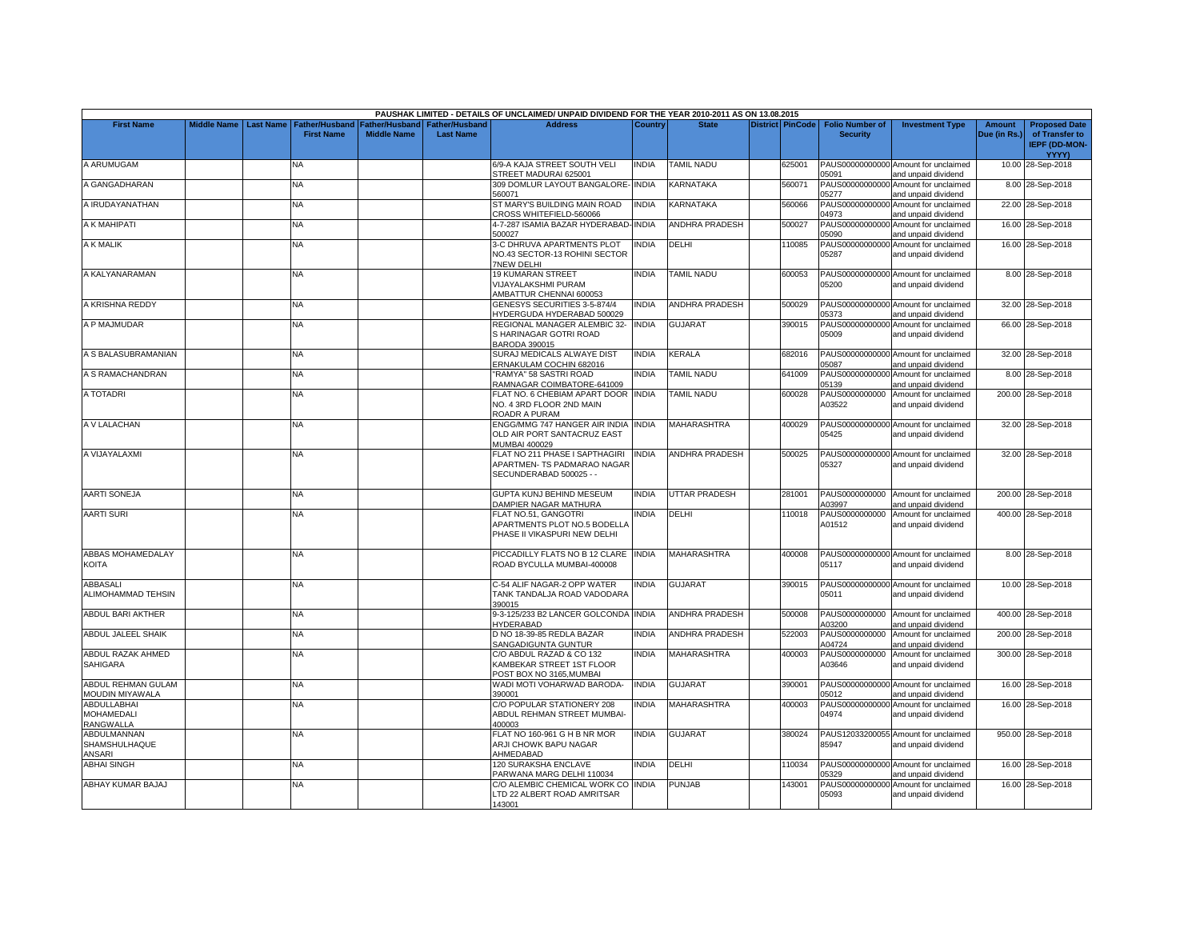|                                               |                         |                       |                    |                               | PAUSHAK LIMITED - DETAILS OF UNCLAIMED/ UNPAID DIVIDEND FOR THE YEAR 2010-2011 AS ON 13.08.2015 |              |                       |                         |                          |                                                             |               |                                        |
|-----------------------------------------------|-------------------------|-----------------------|--------------------|-------------------------------|-------------------------------------------------------------------------------------------------|--------------|-----------------------|-------------------------|--------------------------|-------------------------------------------------------------|---------------|----------------------------------------|
| <b>First Name</b>                             | Middle Name   Last Name | <b>Father/Husband</b> |                    | Father/Husband Father/Husband | <b>Address</b>                                                                                  | Country      | <b>State</b>          | <b>District PinCode</b> | <b>Folio Number of</b>   | <b>Investment Type</b>                                      | <b>Amount</b> | <b>Proposed Date</b>                   |
|                                               |                         | <b>First Name</b>     | <b>Middle Name</b> | <b>Last Name</b>              |                                                                                                 |              |                       |                         | <b>Security</b>          |                                                             | Due (in Rs.)  | of Transfer to<br><b>IEPF (DD-MON-</b> |
|                                               |                         |                       |                    |                               |                                                                                                 |              |                       |                         |                          |                                                             |               | <b>YYYY)</b>                           |
| A ARUMUGAM                                    |                         | NA                    |                    |                               | 6/9-A KAJA STREET SOUTH VELI<br>STREET MADURAI 625001                                           | <b>INDIA</b> | <b>TAMIL NADU</b>     | 625001                  | 05091                    | PAUS00000000000 Amount for unclaimed<br>and unpaid dividend |               | 10.00 28-Sep-2018                      |
| A GANGADHARAN                                 |                         | <b>NA</b>             |                    |                               | 309 DOMLUR LAYOUT BANGALORE- INDIA<br>560071                                                    |              | KARNATAKA             | 560071                  | PAUS00000000000<br>05277 | Amount for unclaimed<br>and unpaid dividend                 |               | 8.00 28-Sep-2018                       |
| A IRUDAYANATHAN                               |                         | <b>NA</b>             |                    |                               | ST MARY'S BUILDING MAIN ROAD<br>CROSS WHITEFIELD-560066                                         | <b>INDIA</b> | KARNATAKA             | 560066                  | PAUS00000000000<br>04973 | Amount for unclaimed<br>and unpaid dividend                 |               | 22.00 28-Sep-2018                      |
| A K MAHIPATI                                  |                         | <b>NA</b>             |                    |                               | 4-7-287 ISAMIA BAZAR HYDERABAD-INDIA<br>500027                                                  |              | <b>ANDHRA PRADESH</b> | 500027                  | PAUS00000000000          | Amount for unclaimed                                        |               | 16.00 28-Sep-2018                      |
| A K MALIK                                     |                         | <b>NA</b>             |                    |                               | 3-C DHRUVA APARTMENTS PLOT                                                                      | <b>INDIA</b> | DELHI                 | 110085                  | 05090<br>PAUS00000000000 | and unpaid dividend<br>Amount for unclaimed                 |               | 16.00 28-Sep-2018                      |
|                                               |                         |                       |                    |                               | NO.43 SECTOR-13 ROHINI SECTOR<br><b>7NEW DELHI</b>                                              |              |                       |                         | 05287                    | and unpaid dividend                                         |               |                                        |
| A KALYANARAMAN                                |                         | <b>NA</b>             |                    |                               | <b>19 KUMARAN STREET</b><br><b>VIJAYALAKSHMI PURAM</b><br>AMBATTUR CHENNAI 600053               | <b>INDIA</b> | <b>TAMIL NADU</b>     | 600053                  | 05200                    | PAUS00000000000 Amount for unclaimed<br>and unpaid dividend |               | 8.00 28-Sep-2018                       |
| A KRISHNA REDDY                               |                         | <b>NA</b>             |                    |                               | GENESYS SECURITIES 3-5-874/4<br><b>HYDERGUDA HYDERABAD 500029</b>                               | <b>INDIA</b> | <b>ANDHRA PRADESH</b> | 500029                  | 05373                    | PAUS00000000000 Amount for unclaimed<br>and unpaid dividend |               | 32.00 28-Sep-2018                      |
| A P MAJMUDAR                                  |                         | <b>NA</b>             |                    |                               | REGIONAL MANAGER ALEMBIC 32-<br>S HARINAGAR GOTRI ROAD                                          | <b>INDIA</b> | <b>GUJARAT</b>        | 390015                  | 05009                    | PAUS00000000000 Amount for unclaimed<br>and unpaid dividend |               | 66.00 28-Sep-2018                      |
| A S BALASUBRAMANIAN                           |                         | <b>NA</b>             |                    |                               | BARODA 390015<br>SURAJ MEDICALS ALWAYE DIST                                                     | <b>INDIA</b> | KERALA                | 682016                  |                          | PAUS00000000000 Amount for unclaimed                        |               | 32.00 28-Sep-2018                      |
|                                               |                         |                       |                    |                               | ERNAKULAM COCHIN 682016                                                                         |              |                       |                         | 05087                    | and unpaid dividend                                         |               |                                        |
| A S RAMACHANDRAN                              |                         | NA                    |                    |                               | 'RAMYA" 58 SASTRI ROAD<br>RAMNAGAR COIMBATORE-641009                                            | <b>INDIA</b> | <b>TAMIL NADU</b>     | 641009                  | 05139                    | PAUS00000000000 Amount for unclaimed<br>and unpaid dividend |               | 8.00 28-Sep-2018                       |
| A TOTADRI                                     |                         | <b>NA</b>             |                    |                               | FLAT NO. 6 CHEBIAM APART DOOR INDIA<br>NO. 4 3RD FLOOR 2ND MAIN<br>ROADR A PURAM                |              | <b>TAMIL NADU</b>     | 600028                  | PAUS0000000000<br>A03522 | Amount for unclaimed<br>and unpaid dividend                 |               | 200.00 28-Sep-2018                     |
| A V LALACHAN                                  |                         | <b>NA</b>             |                    |                               | ENGG/MMG 747 HANGER AIR INDIA<br>OLD AIR PORT SANTACRUZ EAST<br>MUMBAI 400029                   | <b>INDIA</b> | <b>MAHARASHTRA</b>    | 400029                  | 05425                    | PAUS00000000000 Amount for unclaimed<br>and unpaid dividend |               | 32.00 28-Sep-2018                      |
| A VIJAYALAXMI                                 |                         | <b>NA</b>             |                    |                               | FLAT NO 211 PHASE I SAPTHAGIRI<br>APARTMEN- TS PADMARAO NAGAR<br>SECUNDERABAD 500025 - -        | <b>INDIA</b> | ANDHRA PRADESH        | 500025                  | 05327                    | PAUS00000000000 Amount for unclaimed<br>and unpaid dividend |               | 32.00 28-Sep-2018                      |
| <b>AARTI SONEJA</b>                           |                         | <b>NA</b>             |                    |                               | GUPTA KUNJ BEHIND MESEUM<br>DAMPIER NAGAR MATHURA                                               | <b>INDIA</b> | UTTAR PRADESH         | 281001                  | PAUS0000000000<br>A03997 | Amount for unclaimed<br>and unpaid dividend                 |               | 200.00 28-Sep-2018                     |
| <b>AARTI SURI</b>                             |                         | NA                    |                    |                               | FLAT NO.51, GANGOTRI<br><b>APARTMENTS PLOT NO.5 BODELLA</b><br>PHASE II VIKASPURI NEW DELHI     | <b>INDIA</b> | DELHI                 | 110018                  | PAUS0000000000<br>A01512 | Amount for unclaimed<br>and unpaid dividend                 |               | 400.00 28-Sep-2018                     |
| <b>ABBAS MOHAMEDALAY</b><br>KOITA             |                         | NA                    |                    |                               | PICCADILLY FLATS NO B 12 CLARE INDIA<br>ROAD BYCULLA MUMBAI-400008                              |              | <b>MAHARASHTRA</b>    | 400008                  | 05117                    | PAUS00000000000 Amount for unclaimed<br>and unpaid dividend |               | 8.00 28-Sep-2018                       |
| <b>ABBASALI</b><br>ALIMOHAMMAD TEHSIN         |                         | <b>NA</b>             |                    |                               | C-54 ALIF NAGAR-2 OPP WATER<br>TANK TANDALJA ROAD VADODARA<br>390015                            | <b>INDIA</b> | <b>GUJARAT</b>        | 390015                  | 05011                    | PAUS00000000000 Amount for unclaimed<br>and unpaid dividend |               | 10.00 28-Sep-2018                      |
| ABDUL BARI AKTHER                             |                         | NA                    |                    |                               | 9-3-125/233 B2 LANCER GOLCONDA INDIA<br>HYDERABAD                                               |              | ANDHRA PRADESH        | 500008                  | PAUS0000000000<br>A03200 | Amount for unclaimed<br>and unpaid dividend                 |               | 400.00 28-Sep-2018                     |
| ABDUL JALEEL SHAIK                            |                         | <b>NA</b>             |                    |                               | D NO 18-39-85 REDLA BAZAR<br>SANGADIGUNTA GUNTUR                                                | <b>INDIA</b> | ANDHRA PRADESH        | 522003                  | PAUS0000000000<br>A04724 | Amount for unclaimed<br>and unpaid dividend                 |               | 200.00 28-Sep-2018                     |
| <b>ABDUL RAZAK AHMED</b><br>SAHIGARA          |                         | NA                    |                    |                               | C/O ABDUL RAZAD & CO 132<br>KAMBEKAR STREET 1ST FLOOR<br>POST BOX NO 3165, MUMBAI               | <b>INDIA</b> | <b>MAHARASHTRA</b>    | 400003                  | PAUS0000000000<br>A03646 | Amount for unclaimed<br>and unpaid dividend                 |               | 300.00 28-Sep-2018                     |
| <b>ABDUL REHMAN GULAM</b><br>MOUDIN MIYAWALA  |                         | <b>NA</b>             |                    |                               | WADI MOTI VOHARWAD BARODA-<br>390001                                                            | <b>INDIA</b> | GUJARAT               | 390001                  | 05012                    | PAUS00000000000 Amount for unclaimed<br>and unpaid dividend |               | 16.00 28-Sep-2018                      |
| <b>ABDULLABHAI</b><br>MOHAMEDALI<br>RANGWALLA |                         | <b>NA</b>             |                    |                               | C/O POPULAR STATIONERY 208<br>ABDUL REHMAN STREET MUMBAI-<br>400003                             | <b>INDIA</b> | MAHARASHTRA           | 400003                  | 04974                    | PAUS00000000000 Amount for unclaimed<br>and unpaid dividend |               | 16.00 28-Sep-2018                      |
| ABDULMANNAN<br><b>SHAMSHULHAQUE</b><br>ANSARI |                         | <b>NA</b>             |                    |                               | FLAT NO 160-961 G H B NR MOR<br>ARJI CHOWK BAPU NAGAR<br>AHMEDABAD                              | <b>INDIA</b> | <b>GUJARAT</b>        | 380024                  | 85947                    | PAUS12033200055 Amount for unclaimed<br>and unpaid dividend |               | 950.00 28-Sep-2018                     |
| <b>ABHAI SINGH</b>                            |                         | NA.                   |                    |                               | 120 SURAKSHA ENCLAVE<br>PARWANA MARG DELHI 110034                                               | INDIA        | DELHI                 | 110034                  | PAUS00000000000<br>05329 | Amount for unclaimed<br>and unpaid dividend                 |               | 16.00 28-Sep-2018                      |
| ABHAY KUMAR BAJAJ                             |                         | NA.                   |                    |                               | C/O ALEMBIC CHEMICAL WORK CO INDIA<br>LTD 22 ALBERT ROAD AMRITSAR<br>143001                     |              | PUNJAB                | 143001                  | PAUS00000000000<br>05093 | Amount for unclaimed<br>and unpaid dividend                 |               | 16.00 28-Sep-2018                      |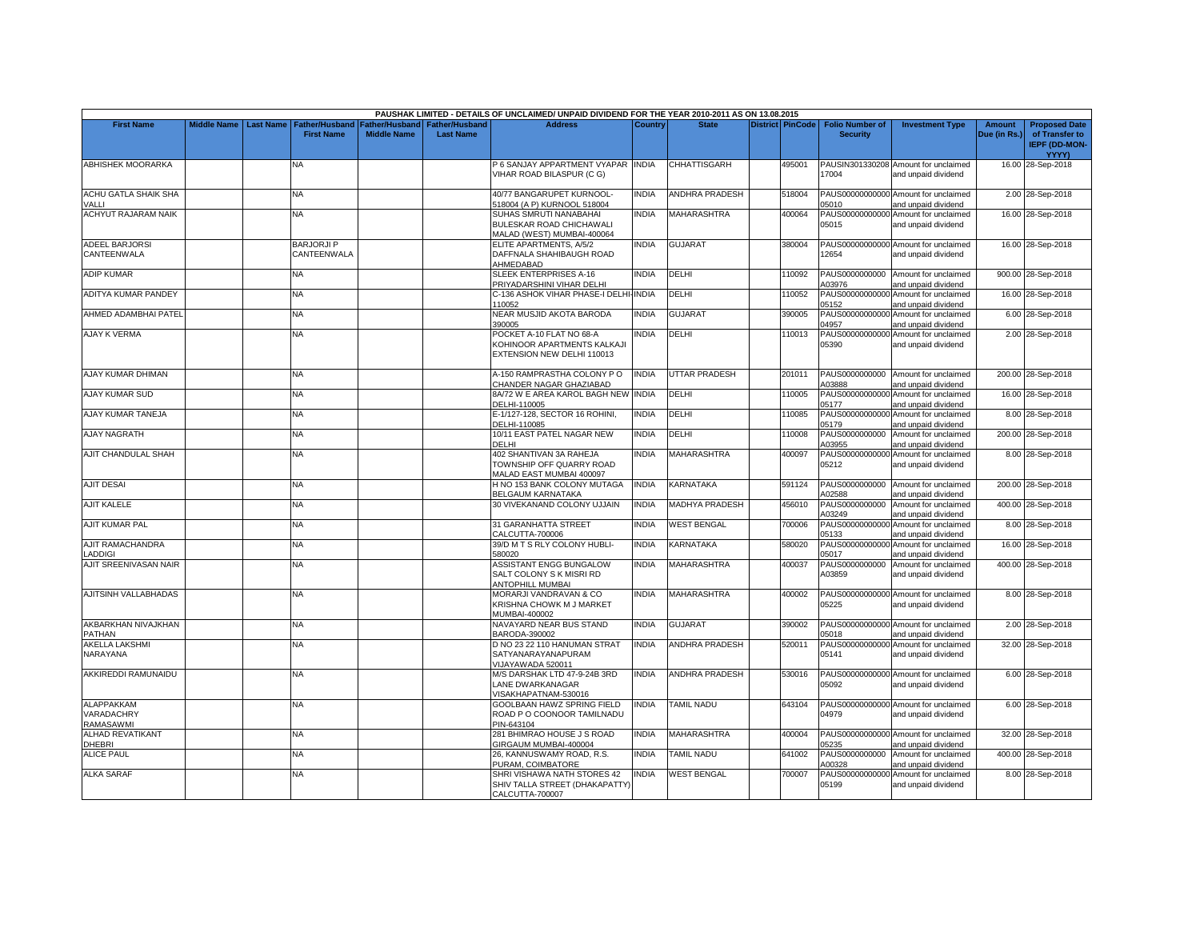|                                              |                    |                  |                                     |                                             |                                           | PAUSHAK LIMITED - DETAILS OF UNCLAIMED/ UNPAID DIVIDEND FOR THE YEAR 2010-2011 AS ON 13.08.2015       |                |                       |                         |                                           |                                                                    |                               |                                                                |
|----------------------------------------------|--------------------|------------------|-------------------------------------|---------------------------------------------|-------------------------------------------|-------------------------------------------------------------------------------------------------------|----------------|-----------------------|-------------------------|-------------------------------------------|--------------------------------------------------------------------|-------------------------------|----------------------------------------------------------------|
| <b>First Name</b>                            | <b>Middle Name</b> | <b>Last Name</b> | Father/Husband<br><b>First Name</b> | <b>Father/Husband</b><br><b>Middle Name</b> | <b>Father/Husband</b><br><b>Last Name</b> | <b>Address</b>                                                                                        | <b>Country</b> | <b>State</b>          | <b>District PinCode</b> | <b>Folio Number of</b><br><b>Security</b> | <b>Investment Type</b>                                             | <b>Amount</b><br>Due (in Rs.) | <b>Proposed Date</b><br>of Transfer to<br><b>IEPF (DD-MON-</b> |
| <b>ABHISHEK MOORARKA</b>                     |                    |                  | NA                                  |                                             |                                           | 6 SANJAY APPARTMENT VYAPAR INDIA                                                                      |                | <b>CHHATTISGARH</b>   | 495001                  |                                           | PAUSIN301330208 Amount for unclaimed                               |                               | YYYY)<br>16.00 28-Sep-2018                                     |
|                                              |                    |                  |                                     |                                             |                                           | VIHAR ROAD BILASPUR (C G)                                                                             |                |                       |                         | 17004                                     | and unpaid dividend                                                |                               |                                                                |
| ACHU GATLA SHAIK SHA                         |                    |                  | NA.                                 |                                             |                                           | 40/77 BANGARUPET KURNOOL-                                                                             | <b>INDIA</b>   | ANDHRA PRADESH        | 518004                  |                                           | PAUS00000000000 Amount for unclaimed                               |                               | 2.00 28-Sep-2018                                               |
| VALLI<br><b>ACHYUT RAJARAM NAIK</b>          |                    |                  |                                     |                                             |                                           | 518004 (A P) KURNOOL 518004                                                                           |                | MAHARASHTRA           | 400064                  | 05010                                     | and unpaid dividend                                                |                               |                                                                |
|                                              |                    |                  | <b>NA</b>                           |                                             |                                           | SUHAS SMRUTI NANABAHAI<br>BULESKAR ROAD CHICHAWALI<br>MALAD (WEST) MUMBAI-400064                      | <b>INDIA</b>   |                       |                         | 05015                                     | PAUS00000000000 Amount for unclaimed<br>and unpaid dividend        |                               | 16.00 28-Sep-2018                                              |
| <b>ADEEL BARJORSI</b>                        |                    |                  | <b>BARJORJI P</b>                   |                                             |                                           | ELITE APARTMENTS, A/5/2                                                                               | <b>INDIA</b>   | <b>GUJARAT</b>        | 380004                  |                                           | PAUS00000000000 Amount for unclaimed                               |                               | 16.00 28-Sep-2018                                              |
| CANTEENWALA                                  |                    |                  | CANTEENWALA                         |                                             |                                           | DAFFNALA SHAHIBAUGH ROAD<br>AHMEDABAD                                                                 |                |                       |                         | 12654                                     | and unpaid dividend                                                |                               |                                                                |
| <b>ADIP KUMAR</b>                            |                    |                  | <b>NA</b>                           |                                             |                                           | SLEEK ENTERPRISES A-16<br>PRIYADARSHINI VIHAR DELHI                                                   | <b>INDIA</b>   | DELHI                 | 110092                  | A03976                                    | PAUS0000000000 Amount for unclaimed<br>and unpaid dividend         |                               | 900.00 28-Sep-2018                                             |
| ADITYA KUMAR PANDEY                          |                    |                  | <b>NA</b>                           |                                             |                                           | C-136 ASHOK VIHAR PHASE-I DELHI-INDIA<br>110052                                                       |                | DELHI                 | 110052                  | PAUS00000000000<br>05152                  | Amount for unclaimed<br>and unpaid dividend                        |                               | 16.00 28-Sep-2018                                              |
| AHMED ADAMBHAI PATEL                         |                    |                  | NA                                  |                                             |                                           | NEAR MUSJID AKOTA BARODA<br>390005                                                                    | <b>INDIA</b>   | <b>GUJARAT</b>        | 390005                  | PAUS00000000000<br>04957                  | Amount for unclaimed<br>and unpaid dividend                        |                               | 6.00 28-Sep-2018                                               |
| <b>AJAY K VERMA</b>                          |                    |                  | NA                                  |                                             |                                           | POCKET A-10 FLAT NO 68-A<br><b>KOHINOOR APARTMENTS KALKAJI</b><br>EXTENSION NEW DELHI 110013          | <b>INDIA</b>   | <b>DELHI</b>          | 110013                  | PAUS00000000000<br>05390                  | Amount for unclaimed<br>and unpaid dividend                        |                               | 2.00 28-Sep-2018                                               |
| AJAY KUMAR DHIMAN                            |                    |                  | NA                                  |                                             |                                           | 4-150 RAMPRASTHA COLONY PO<br>CHANDER NAGAR GHAZIABAD                                                 | <b>INDIA</b>   | UTTAR PRADESH         | 201011                  | A03888                                    | PAUS0000000000 Amount for unclaimed<br>and unpaid dividend         |                               | 200.00 28-Sep-2018                                             |
| <b>AJAY KUMAR SUD</b>                        |                    |                  | <b>NA</b>                           |                                             |                                           | <b>BA/72 W E AREA KAROL BAGH NEW INDIA</b><br>DELHI-110005                                            |                | DELHI                 | 110005                  | PAUS00000000000<br>05177                  | Amount for unclaimed<br>and unpaid dividend                        |                               | 16.00 28-Sep-2018                                              |
| AJAY KUMAR TANEJA                            |                    |                  | NA                                  |                                             |                                           | E-1/127-128, SECTOR 16 ROHINI,<br>DELHI-110085                                                        | <b>INDIA</b>   | DELHI                 | 110085                  | PAUS00000000000<br>05179                  | Amount for unclaimed<br>and unpaid dividend                        |                               | 8.00 28-Sep-2018                                               |
| <b>AJAY NAGRATH</b>                          |                    |                  | NA                                  |                                             |                                           | 10/11 EAST PATEL NAGAR NEW<br>DELHI                                                                   | <b>INDIA</b>   | DELHI                 | 110008                  | PAUS0000000000<br>A03955                  | Amount for unclaimed<br>and unpaid dividend                        |                               | 200.00 28-Sep-2018                                             |
| AJIT CHANDULAL SHAH                          |                    |                  | NA.                                 |                                             |                                           | 402 SHANTIVAN 3A RAHEJA<br>TOWNSHIP OFF QUARRY ROAD<br>MALAD EAST MUMBAI 400097                       | <b>INDIA</b>   | <b>MAHARASHTRA</b>    | 400097                  | 05212                                     | PAUS00000000000 Amount for unclaimed<br>and unpaid dividend        |                               | 8.00 28-Sep-2018                                               |
| <b>AJIT DESAI</b>                            |                    |                  | NA                                  |                                             |                                           | H NO 153 BANK COLONY MUTAGA<br>BELGAUM KARNATAKA                                                      | <b>INDIA</b>   | KARNATAKA             | 591124                  | A02588                                    | PAUS0000000000 Amount for unclaimed<br>and unpaid dividend         |                               | 200.00 28-Sep-2018                                             |
| AJIT KALELE                                  |                    |                  | <b>NA</b>                           |                                             |                                           | 30 VIVEKANAND COLONY UJJAIN                                                                           | <b>INDIA</b>   | MADHYA PRADESH        | 456010                  | PAUS0000000000<br>A03249                  | Amount for unclaimed<br>and unpaid dividend                        |                               | 400.00 28-Sep-2018                                             |
| <b>AJIT KUMAR PAL</b>                        |                    |                  | NA.                                 |                                             |                                           | 31 GARANHATTA STREET<br>CALCUTTA-700006                                                               | <b>INDIA</b>   | <b>WEST BENGAL</b>    | 700006                  | PAUS00000000000<br>05133                  | Amount for unclaimed<br>and unpaid dividend                        |                               | 8.00 28-Sep-2018                                               |
| AJIT RAMACHANDRA<br><b>ADDIGI</b>            |                    |                  | <b>NA</b>                           |                                             |                                           | 39/D M T S RLY COLONY HUBLI-<br>580020                                                                | <b>INDIA</b>   | KARNATAKA             | 580020                  | 05017                                     | PAUS00000000000 Amount for unclaimed<br>and unpaid dividend        |                               | 16.00 28-Sep-2018                                              |
| AJIT SREENIVASAN NAIR                        |                    |                  | <b>NA</b>                           |                                             |                                           | <b>ASSISTANT ENGG BUNGALOW</b><br>SALT COLONY S K MISRI RD<br>ANTOPHILL MUMBAI                        | <b>INDIA</b>   | MAHARASHTRA           | 400037                  | A03859                                    | PAUS0000000000 Amount for unclaimed<br>and unpaid dividend         |                               | 400.00 28-Sep-2018                                             |
| AJITSINH VALLABHADAS                         |                    |                  | NA                                  |                                             |                                           | <b>MORARJI VANDRAVAN &amp; CO</b><br>KRISHNA CHOWK M J MARKET<br>MUMBAI-400002                        | <b>INDIA</b>   | <b>MAHARASHTRA</b>    | 400002                  | 05225                                     | PAUS00000000000 Amount for unclaimed<br>and unpaid dividend        |                               | 8.00 28-Sep-2018                                               |
| AKBARKHAN NIVAJKHAN<br><b>PATHAN</b>         |                    |                  | <b>NA</b>                           |                                             |                                           | NAVAYARD NEAR BUS STAND<br>BARODA-390002                                                              | <b>INDIA</b>   | <b>GUJARAT</b>        | 390002                  | 05018                                     | PAUS00000000000 Amount for unclaimed<br>and unpaid dividend        |                               | 2.00 28-Sep-2018                                               |
| <b>AKELLA LAKSHMI</b><br>NARAYANA            |                    |                  | NΑ                                  |                                             |                                           | D NO 23 22 110 HANUMAN STRAT<br>SATYANARAYANAPURAM<br>VIJAYAWADA 520011                               | <b>INDIA</b>   | <b>ANDHRA PRADESH</b> | 520011                  | 05141                                     | PAUS00000000000 Amount for unclaimed<br>and unpaid dividend        |                               | 32.00 28-Sep-2018                                              |
| AKKIREDDI RAMUNAIDU                          |                    |                  | NA.                                 |                                             |                                           | M/S DARSHAK LTD 47-9-24B 3RD<br>LANE DWARKANAGAR<br>VISAKHAPATNAM-530016                              | <b>INDIA</b>   | <b>ANDHRA PRADESH</b> | 530016                  | 05092                                     | PAUS00000000000 Amount for unclaimed<br>and unpaid dividend        |                               | 6.00 28-Sep-2018                                               |
| <b>ALAPPAKKAM</b><br>VARADACHRY<br>RAMASAWMI |                    |                  | NA.                                 |                                             |                                           | <b>GOOLBAAN HAWZ SPRING FIELD</b><br>ROAD P O COONOOR TAMILNADU<br>PIN-643104                         | <b>INDIA</b>   | <b>TAMIL NADU</b>     | 643104                  | 04979                                     | PAUS00000000000 Amount for unclaimed<br>and unpaid dividend        |                               | 6.00 28-Sep-2018                                               |
| <b>ALHAD REVATIKANT</b>                      |                    |                  | NA                                  |                                             |                                           | 281 BHIMRAO HOUSE J S ROAD<br>GIRGAUM MUMBAI-400004                                                   | <b>INDIA</b>   | <b>MAHARASHTRA</b>    | 400004                  | 05235                                     | PAUS00000000000 Amount for unclaimed                               |                               | 32.00 28-Sep-2018                                              |
| DHEBRI<br><b>ALICE PAUL</b>                  |                    |                  | NA                                  |                                             |                                           | 26. KANNUSWAMY ROAD, R.S.                                                                             | <b>INDIA</b>   | <b>TAMIL NADU</b>     | 641002                  | PAUS0000000000<br>A00328                  | and unpaid dividend<br>Amount for unclaimed<br>and unpaid dividend |                               | 400.00 28-Sep-2018                                             |
| <b>ALKA SARAF</b>                            |                    |                  | NA                                  |                                             |                                           | PURAM, COIMBATORE<br>SHRI VISHAWA NATH STORES 42<br>SHIV TALLA STREET (DHAKAPATTY)<br>CALCUTTA-700007 | <b>INDIA</b>   | <b>WEST BENGAL</b>    | 700007                  | PAUS00000000000<br>05199                  | Amount for unclaimed<br>and unpaid dividend                        |                               | 8.00 28-Sep-2018                                               |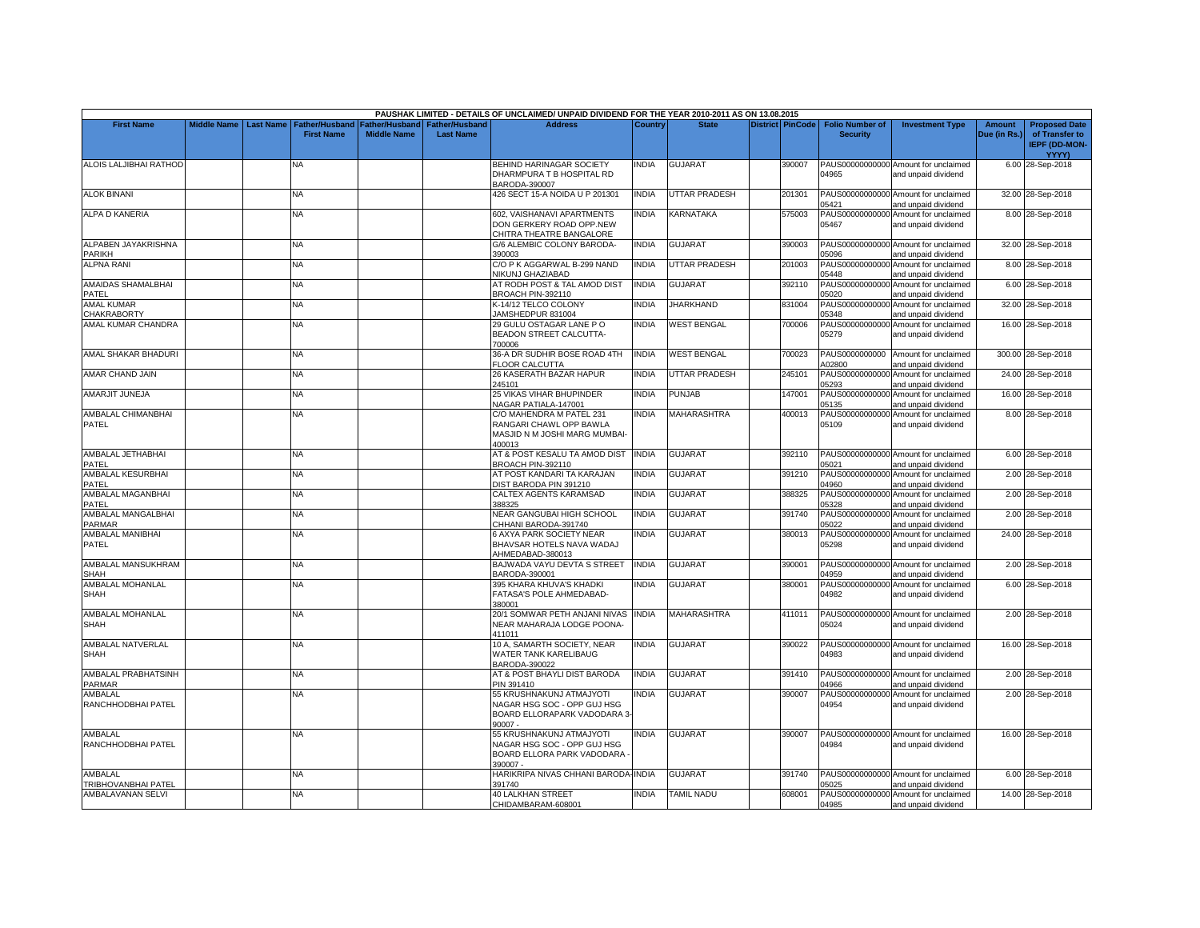|                                       |                    |                  |                                            |                                      |                                           | PAUSHAK LIMITED - DETAILS OF UNCLAIMED/ UNPAID DIVIDEND FOR THE YEAR 2010-2011 AS ON 13.08.2015   |                |                           |                         |                                           |                                                             |                               |                                                                                |
|---------------------------------------|--------------------|------------------|--------------------------------------------|--------------------------------------|-------------------------------------------|---------------------------------------------------------------------------------------------------|----------------|---------------------------|-------------------------|-------------------------------------------|-------------------------------------------------------------|-------------------------------|--------------------------------------------------------------------------------|
| <b>First Name</b>                     | <b>Middle Name</b> | <b>Last Name</b> | <b>Father/Husband</b><br><b>First Name</b> | Father/Husband<br><b>Middle Name</b> | <b>Father/Husband</b><br><b>Last Name</b> | <b>Address</b>                                                                                    | <b>Country</b> | <b>State</b>              | <b>District PinCode</b> | <b>Folio Number of</b><br><b>Security</b> | <b>Investment Type</b>                                      | <b>Amount</b><br>Due (in Rs.) | <b>Proposed Date</b><br>of Transfer to<br><b>IEPF (DD-MON-</b><br><b>YYYY)</b> |
| <b>ALOIS LALJIBHAI RATHOD</b>         |                    |                  | NA                                         |                                      |                                           | BEHIND HARINAGAR SOCIETY<br>DHARMPURA T B HOSPITAL RD<br>BARODA-390007                            | NDIA           | <b>GUJARAT</b>            | 390007                  | 04965                                     | PAUS00000000000 Amount for unclaimed<br>and unpaid dividend |                               | 6.00 28-Sep-2018                                                               |
| <b>ALOK BINANI</b>                    |                    |                  | <b>NA</b>                                  |                                      |                                           | 426 SECT 15-A NOIDA U P 201301                                                                    | <b>NDIA</b>    | <b>UTTAR PRADESH</b>      | 201301                  | 05421                                     | PAUS00000000000 Amount for unclaimed<br>and unpaid dividend |                               | 32.00 28-Sep-2018                                                              |
| <b>ALPA D KANERIA</b>                 |                    |                  | NA                                         |                                      |                                           | 602, VAISHANAVI APARTMENTS<br>DON GERKERY ROAD OPP.NEW<br>CHITRA THEATRE BANGALORE                | <b>NDIA</b>    | KARNATAKA                 | 575003                  | PAUS00000000000<br>05467                  | Amount for unclaimed<br>and unpaid dividend                 |                               | 8.00 28-Sep-2018                                                               |
| ALPABEN JAYAKRISHNA<br>PARIKH         |                    |                  | <b>NA</b>                                  |                                      |                                           | G/6 ALEMBIC COLONY BARODA-<br>390003                                                              | <b>INDIA</b>   | <b>GUJARAT</b>            | 390003                  | 05096                                     | PAUS00000000000 Amount for unclaimed<br>and unpaid dividend |                               | 32.00 28-Sep-2018                                                              |
| <b>ALPNA RANI</b>                     |                    |                  | <b>NA</b>                                  |                                      |                                           | C/O P K AGGARWAL B-299 NAND<br>NIKUNJ GHAZIABAD                                                   | INDIA          | UTTAR PRADESH             | 201003                  | 05448                                     | PAUS00000000000 Amount for unclaimed<br>and unpaid dividend |                               | 8.00 28-Sep-2018                                                               |
| AMAIDAS SHAMALBHAI<br>PATEL           |                    |                  | NA.                                        |                                      |                                           | AT RODH POST & TAL AMOD DIST<br>BROACH PIN-392110                                                 | <b>INDIA</b>   | <b>GUJARAT</b>            | 392110                  | PAUS00000000000<br>05020                  | Amount for unclaimed<br>and unpaid dividend                 |                               | 6.00 28-Sep-2018                                                               |
| <b>AMAL KUMAR</b><br>CHAKRABORTY      |                    |                  | <b>NA</b>                                  |                                      |                                           | K-14/12 TELCO COLONY<br>JAMSHEDPUR 831004                                                         | <b>INDIA</b>   | <b>JHARKHAND</b>          | 831004                  | PAUS00000000000<br>05348                  | Amount for unclaimed<br>and unpaid dividend                 |                               | 32.00 28-Sep-2018                                                              |
| AMAL KUMAR CHANDRA                    |                    |                  | NA.                                        |                                      |                                           | 29 GULU OSTAGAR LANE PO<br>BEADON STREET CALCUTTA-<br>700006                                      | <b>NDIA</b>    | <b>WEST BENGAL</b>        | 700006                  | PAUS00000000000<br>05279                  | Amount for unclaimed<br>and unpaid dividend                 |                               | 16.00 28-Sep-2018                                                              |
| AMAL SHAKAR BHADURI                   |                    |                  | NA.                                        |                                      |                                           | 36-A DR SUDHIR BOSE ROAD 4TH<br><b>FLOOR CALCUTTA</b>                                             | <b>INDIA</b>   | <b><i>NEST BENGAL</i></b> | 700023                  | PAUS0000000000<br>A02800                  | Amount for unclaimed<br>and unpaid dividend                 |                               | 300.00 28-Sep-2018                                                             |
| AMAR CHAND JAIN                       |                    |                  | NA                                         |                                      |                                           | 26 KASERATH BAZAR HAPUR<br>245101                                                                 | <b>NDIA</b>    | UTTAR PRADESH             | 245101                  | PAUS00000000000<br>05293                  | Amount for unclaimed<br>and unpaid dividend                 |                               | 24.00 28-Sep-2018                                                              |
| <b>AMARJIT JUNEJA</b>                 |                    |                  | NA.                                        |                                      |                                           | 25 VIKAS VIHAR BHUPINDER<br>NAGAR PATIALA-147001                                                  | <b>INDIA</b>   | <b>PUNJAB</b>             | 147001                  | PAUS00000000000<br>05135                  | Amount for unclaimed<br>and unpaid dividend                 |                               | 16.00 28-Sep-2018                                                              |
| AMBALAL CHIMANBHAI<br>PATEL           |                    |                  | NA                                         |                                      |                                           | C/O MAHENDRA M PATEL 231<br>RANGARI CHAWL OPP BAWLA<br>MASJID N M JOSHI MARG MUMBAI-<br>400013    | INDIA          | MAHARASHTRA               | 400013                  | 05109                                     | PAUS00000000000 Amount for unclaimed<br>and unpaid dividend |                               | 8.00 28-Sep-2018                                                               |
| AMBALAL JETHABHAI<br>PATEL            |                    |                  | <b>NA</b>                                  |                                      |                                           | AT & POST KESALU TA AMOD DIST<br><b>BROACH PIN-392110</b>                                         | <b>INDIA</b>   | <b>GUJARAT</b>            | 392110                  | 5021                                      | PAUS00000000000 Amount for unclaimed<br>and unpaid dividend |                               | 6.00 28-Sep-2018                                                               |
| AMBALAL KESURBHAI<br>PATEL            |                    |                  | ΝA                                         |                                      |                                           | AT POST KANDARI TA KARAJAN<br>DIST BARODA PIN 391210                                              | <b>NDIA</b>    | GUJARAT                   | 391210                  | PAUS00000000000<br>04960                  | Amount for unclaimed<br>and unpaid dividend                 |                               | 2.00 28-Sep-2018                                                               |
| AMBALAL MAGANBHAI<br>PATEL            |                    |                  | <b>NA</b>                                  |                                      |                                           | CALTEX AGENTS KARAMSAD<br>388325                                                                  | <b>NDIA</b>    | <b>GUJARAT</b>            | 388325                  | PAUS00000000000<br>05328                  | Amount for unclaimed<br>and unpaid dividend                 |                               | 2.00 28-Sep-2018                                                               |
| AMBALAL MANGALBHAI<br>PARMAR          |                    |                  | NA                                         |                                      |                                           | NEAR GANGUBAI HIGH SCHOOL<br>CHHANI BARODA-391740                                                 | INDIA          | <b>GUJARAT</b>            | 391740                  | 05022                                     | PAUS00000000000 Amount for unclaimed<br>and unpaid dividend |                               | 2.00 28-Sep-2018                                                               |
| AMBALAL MANIBHAI<br><b>PATEL</b>      |                    |                  | NA.                                        |                                      |                                           | 6 AXYA PARK SOCIETY NEAR<br>BHAVSAR HOTELS NAVA WADAJ<br>AHMEDABAD-380013                         | <b>NDIA</b>    | GUJARAT                   | 380013                  | 05298                                     | PAUS00000000000 Amount for unclaimed<br>and unpaid dividend |                               | 24.00 28-Sep-2018                                                              |
| AMBALAL MANSUKHRAM<br>SHAH            |                    |                  | <b>NA</b>                                  |                                      |                                           | BAJWADA VAYU DEVTA S STREET<br>BARODA-390001                                                      | <b>INDIA</b>   | <b>GUJARAT</b>            | 390001                  | 04959                                     | PAUS00000000000 Amount for unclaimed<br>and unpaid dividend |                               | 2.00 28-Sep-2018                                                               |
| AMBALAL MOHANLAL<br>SHAH              |                    |                  | <b>NA</b>                                  |                                      |                                           | 395 KHARA KHUVA'S KHADKI<br>FATASA'S POLE AHMEDABAD-<br>380001                                    | <b>INDIA</b>   | <b>GUJARAT</b>            | 380001                  | PAUS00000000000<br>04982                  | Amount for unclaimed<br>and unpaid dividend                 |                               | 6.00 28-Sep-2018                                                               |
| AMBALAL MOHANLAL<br><b>SHAH</b>       |                    |                  | ΝA                                         |                                      |                                           | 20/1 SOMWAR PETH ANJANI NIVAS<br>NEAR MAHARAJA LODGE POONA-<br>411011                             | INDIA          | MAHARASHTRA               | 411011                  | 05024                                     | PAUS00000000000 Amount for unclaimed<br>and unpaid dividend |                               | 2.00 28-Sep-2018                                                               |
| AMBALAL NATVERLAL<br><b>SHAH</b>      |                    |                  | NA                                         |                                      |                                           | 10 A, SAMARTH SOCIETY, NEAR<br>WATER TANK KARELIBAUG<br>BARODA-390022                             | <b>INDIA</b>   | <b>GUJARAT</b>            | 390022                  | 04983                                     | PAUS00000000000 Amount for unclaimed<br>and unpaid dividend |                               | 16.00 28-Sep-2018                                                              |
| AMBALAL PRABHATSINH<br>PARMAR         |                    |                  | <b>NA</b>                                  |                                      |                                           | AT & POST BHAYLI DIST BARODA<br>PIN 391410                                                        | <b>NDIA</b>    | <b>GUJARAT</b>            | 391410                  | 04966                                     | PAUS00000000000 Amount for unclaimed<br>and unpaid dividend |                               | 2.00 28-Sep-2018                                                               |
| AMBALAL<br>RANCHHODBHAI PATEL         |                    |                  | NΑ                                         |                                      |                                           | 55 KRUSHNAKUNJ ATMAJYOTI<br>NAGAR HSG SOC - OPP GUJ HSG<br>BOARD ELLORAPARK VADODARA 3-<br>90007. | <b>NDIA</b>    | <b>GUJARAT</b>            | 390007                  | PAUS00000000000<br>04954                  | Amount for unclaimed<br>and unpaid dividend                 |                               | 2.00 28-Sep-2018                                                               |
| AMBALAL<br>RANCHHODBHAI PATEL         |                    |                  | <b>NA</b>                                  |                                      |                                           | 55 KRUSHNAKUNJ ATMAJYOTI<br>NAGAR HSG SOC - OPP GUJ HSG<br>BOARD ELLORA PARK VADODARA<br>390007 - | <b>NDIA</b>    | <b>GUJARAT</b>            | 390007                  | 04984                                     | PAUS00000000000 Amount for unclaimed<br>and unpaid dividend |                               | 16.00 28-Sep-2018                                                              |
| AMBALAL<br><b>TRIBHOVANBHAI PATEL</b> |                    |                  | <b>NA</b>                                  |                                      |                                           | HARIKRIPA NIVAS CHHANI BARODA-INDIA<br>391740                                                     |                | <b>GUJARAT</b>            | 391740                  | 15025                                     | PAUS00000000000 Amount for unclaimed<br>and unpaid dividend |                               | 6.00 28-Sep-2018                                                               |
| AMBALAVANAN SELVI                     |                    |                  | NA.                                        |                                      |                                           | <b>40 LALKHAN STREET</b><br>CHIDAMBARAM-608001                                                    | <b>NDIA</b>    | <b>TAMIL NADU</b>         | 608001                  | 04985                                     | PAUS00000000000 Amount for unclaimed<br>and unpaid dividend |                               | 14.00 28-Sep-2018                                                              |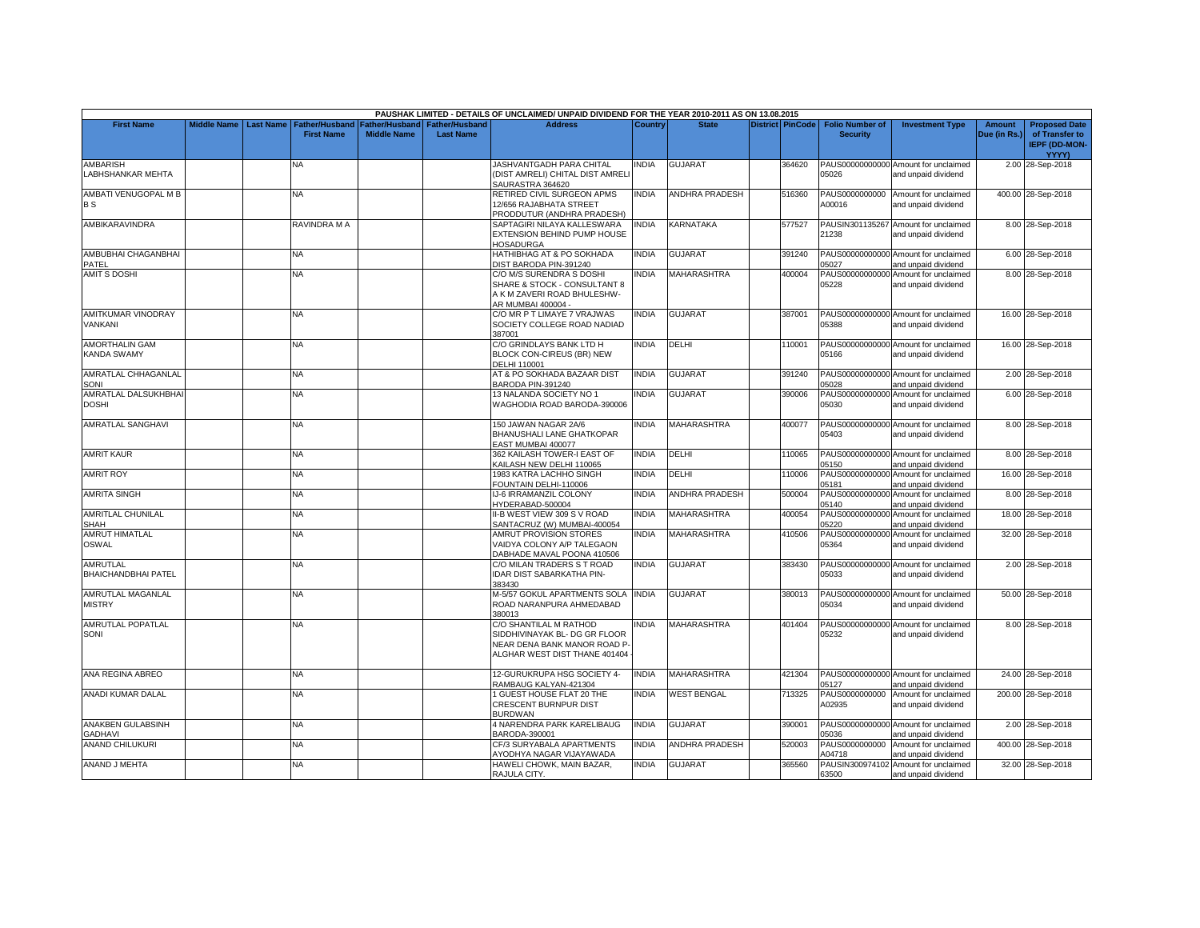|                             |                    |                            |                       |                       | PAUSHAK LIMITED - DETAILS OF UNCLAIMED/ UNPAID DIVIDEND FOR THE YEAR 2010-2011 AS ON 13.08.2015 |                |                       |                         |                        |                                      |               |                      |
|-----------------------------|--------------------|----------------------------|-----------------------|-----------------------|-------------------------------------------------------------------------------------------------|----------------|-----------------------|-------------------------|------------------------|--------------------------------------|---------------|----------------------|
| <b>First Name</b>           | <b>Middle Name</b> | Last Name   Father/Husband | <b>Father/Husband</b> | <b>Father/Husband</b> | <b>Address</b>                                                                                  | <b>Country</b> | <b>State</b>          | <b>District PinCode</b> | <b>Folio Number of</b> | <b>Investment Type</b>               | <b>Amount</b> | <b>Proposed Date</b> |
|                             |                    | <b>First Name</b>          | <b>Middle Name</b>    | <b>Last Name</b>      |                                                                                                 |                |                       |                         | <b>Security</b>        |                                      | Due (in Rs.)  | of Transfer to       |
|                             |                    |                            |                       |                       |                                                                                                 |                |                       |                         |                        |                                      |               | <b>IEPF (DD-MON-</b> |
|                             |                    |                            |                       |                       |                                                                                                 |                |                       |                         |                        |                                      |               | <b>YYYY)</b>         |
| <b>AMBARISH</b>             |                    | NA                         |                       |                       | JASHVANTGADH PARA CHITAL                                                                        | INDIA          | <b>GUJARAT</b>        | 364620                  |                        | PAUS00000000000 Amount for unclaimed |               | 2.00 28-Sep-2018     |
| LABHSHANKAR MEHTA           |                    |                            |                       |                       | (DIST AMRELI) CHITAL DIST AMREL                                                                 |                |                       |                         | 05026                  | and unpaid dividend                  |               |                      |
|                             |                    |                            |                       |                       | SAURASTRA 364620                                                                                |                |                       |                         |                        |                                      |               |                      |
| <b>AMBATI VENUGOPAL M B</b> |                    | NA.                        |                       |                       | RETIRED CIVIL SURGEON APMS                                                                      | <b>INDIA</b>   | <b>ANDHRA PRADESH</b> | 516360                  |                        | PAUS0000000000 Amount for unclaimed  |               | 400.00 28-Sep-2018   |
|                             |                    |                            |                       |                       |                                                                                                 |                |                       |                         | A00016                 |                                      |               |                      |
| <b>BS</b>                   |                    |                            |                       |                       | 12/656 RAJABHATA STREET                                                                         |                |                       |                         |                        | and unpaid dividend                  |               |                      |
|                             |                    |                            |                       |                       | PRODDUTUR (ANDHRA PRADESH)                                                                      |                |                       |                         |                        |                                      |               |                      |
| AMBIKARAVINDRA              |                    | RAVINDRA M A               |                       |                       | SAPTAGIRI NILAYA KALLESWARA                                                                     | <b>INDIA</b>   | KARNATAKA             | 577527                  |                        | PAUSIN301135267 Amount for unclaimed |               | 8.00 28-Sep-2018     |
|                             |                    |                            |                       |                       | EXTENSION BEHIND PUMP HOUSE                                                                     |                |                       |                         | 21238                  | and unpaid dividend                  |               |                      |
|                             |                    |                            |                       |                       | <b>HOSADURGA</b>                                                                                |                |                       |                         |                        |                                      |               |                      |
| AMBUBHAI CHAGANBHAI         |                    | <b>NA</b>                  |                       |                       | HATHIBHAG AT & PO SOKHADA                                                                       | <b>INDIA</b>   | <b>GUJARAT</b>        | 391240                  |                        | PAUS00000000000 Amount for unclaimed |               | 6.00 28-Sep-2018     |
| PATEL                       |                    |                            |                       |                       | DIST BARODA PIN-391240                                                                          |                |                       |                         | 05027                  | and unpaid dividend                  |               |                      |
| <b>AMIT S DOSHI</b>         |                    | <b>NA</b>                  |                       |                       | C/O M/S SURENDRA S DOSHI                                                                        | <b>INDIA</b>   | <b>MAHARASHTRA</b>    | 400004                  |                        | PAUS00000000000 Amount for unclaimed |               | 8.00 28-Sep-2018     |
|                             |                    |                            |                       |                       | SHARE & STOCK - CONSULTANT 8                                                                    |                |                       |                         | 05228                  | and unpaid dividend                  |               |                      |
|                             |                    |                            |                       |                       | A K M ZAVERI ROAD BHULESHW-                                                                     |                |                       |                         |                        |                                      |               |                      |
|                             |                    |                            |                       |                       | AR MUMBAI 400004 -                                                                              |                |                       |                         |                        |                                      |               |                      |
| AMITKUMAR VINODRAY          |                    | <b>NA</b>                  |                       |                       | C/O MR P T LIMAYE 7 VRAJWAS                                                                     | INDIA          | <b>GUJARAT</b>        | 387001                  |                        | PAUS00000000000 Amount for unclaimed |               | 16.00 28-Sep-2018    |
| VANKANI                     |                    |                            |                       |                       | SOCIETY COLLEGE ROAD NADIAD                                                                     |                |                       |                         | 05388                  | and unpaid dividend                  |               |                      |
|                             |                    |                            |                       |                       | 387001                                                                                          |                |                       |                         |                        |                                      |               |                      |
| AMORTHALIN GAM              |                    | NA.                        |                       |                       |                                                                                                 | <b>INDIA</b>   |                       |                         |                        |                                      |               |                      |
|                             |                    |                            |                       |                       | C/O GRINDLAYS BANK LTD H                                                                        |                | DELHI                 | 110001                  |                        | PAUS00000000000 Amount for unclaimed |               | 16.00 28-Sep-2018    |
| <b>KANDA SWAMY</b>          |                    |                            |                       |                       | BLOCK CON-CIREUS (BR) NEW                                                                       |                |                       |                         | 05166                  | and unpaid dividend                  |               |                      |
|                             |                    |                            |                       |                       | <b>DELHI 110001</b>                                                                             |                |                       |                         |                        |                                      |               |                      |
| AMRATLAL CHHAGANLAL         |                    | NA.                        |                       |                       | AT & PO SOKHADA BAZAAR DIST                                                                     | <b>INDIA</b>   | GUJARAT               | 391240                  |                        | PAUS00000000000 Amount for unclaimed |               | 2.00 28-Sep-2018     |
| <b>SONI</b>                 |                    |                            |                       |                       | BARODA PIN-391240                                                                               |                |                       |                         | 05028                  | and unpaid dividend                  |               |                      |
| AMRATLAL DALSUKHBHAI        |                    | NA                         |                       |                       | 13 NALANDA SOCIETY NO 1                                                                         | <b>INDIA</b>   | <b>GUJARAT</b>        | 390006                  | PAUS00000000000        | Amount for unclaimed                 |               | 6.00 28-Sep-2018     |
| <b>DOSHI</b>                |                    |                            |                       |                       | WAGHODIA ROAD BARODA-390006                                                                     |                |                       |                         | 05030                  | and unpaid dividend                  |               |                      |
|                             |                    |                            |                       |                       |                                                                                                 |                |                       |                         |                        |                                      |               |                      |
| <b>AMRATLAL SANGHAVI</b>    |                    | <b>NA</b>                  |                       |                       | 150 JAWAN NAGAR 2A/6                                                                            | <b>INDIA</b>   | <b>MAHARASHTRA</b>    | 400077                  |                        | PAUS00000000000 Amount for unclaimed |               | 8.00 28-Sep-2018     |
|                             |                    |                            |                       |                       | BHANUSHALI LANE GHATKOPAR                                                                       |                |                       |                         | 05403                  | and unpaid dividend                  |               |                      |
|                             |                    |                            |                       |                       | EAST MUMBAI 400077                                                                              |                |                       |                         |                        |                                      |               |                      |
| <b>AMRIT KAUR</b>           |                    | <b>NA</b>                  |                       |                       | 362 KAILASH TOWER-I EAST OF                                                                     | <b>INDIA</b>   | DELHI                 | 110065                  |                        | PAUS00000000000 Amount for unclaimed |               | 8.00 28-Sep-2018     |
|                             |                    |                            |                       |                       | KAILASH NEW DELHI 110065                                                                        |                |                       |                         | 05150                  | and unpaid dividend                  |               |                      |
| <b>AMRIT ROY</b>            |                    | NΑ                         |                       |                       | 1983 KATRA LACHHO SINGH                                                                         | <b>INDIA</b>   | DELHI                 | 110006                  |                        | PAUS00000000000 Amount for unclaimed |               | 16.00 28-Sep-2018    |
|                             |                    |                            |                       |                       |                                                                                                 |                |                       |                         | 05181                  |                                      |               |                      |
|                             |                    |                            |                       |                       | FOUNTAIN DELHI-110006                                                                           |                |                       |                         |                        | and unpaid dividend                  |               |                      |
| <b>AMRITA SINGH</b>         |                    | NA                         |                       |                       | J-6 IRRAMANZIL COLONY                                                                           | <b>INDIA</b>   | <b>ANDHRA PRADESH</b> | 500004                  | PAUS00000000000        | Amount for unclaimed                 |               | 8.00 28-Sep-2018     |
|                             |                    |                            |                       |                       | HYDERABAD-500004                                                                                |                |                       |                         | 05140                  | and unpaid dividend                  |               |                      |
| <b>AMRITLAL CHUNILAL</b>    |                    | <b>NA</b>                  |                       |                       | I-B WEST VIEW 309 S V ROAD                                                                      | INDIA          | MAHARASHTRA           | 400054                  |                        | PAUS00000000000 Amount for unclaimed |               | 18.00 28-Sep-2018    |
| SHAH                        |                    |                            |                       |                       | SANTACRUZ (W) MUMBAI-400054                                                                     |                |                       |                         | 05220                  | and unpaid dividend                  |               |                      |
| <b>AMRUT HIMATLAL</b>       |                    | NA                         |                       |                       | AMRUT PROVISION STORES                                                                          | <b>INDIA</b>   | <b>MAHARASHTRA</b>    | 410506                  |                        | PAUS00000000000 Amount for unclaimed |               | 32.00 28-Sep-2018    |
| <b>OSWAL</b>                |                    |                            |                       |                       | VAIDYA COLONY A/P TALEGAON                                                                      |                |                       |                         | 05364                  | and unpaid dividend                  |               |                      |
|                             |                    |                            |                       |                       | DABHADE MAVAL POONA 410506                                                                      |                |                       |                         |                        |                                      |               |                      |
| <b>AMRUTLAL</b>             |                    | NA                         |                       |                       | C/O MILAN TRADERS S T ROAD                                                                      | <b>INDIA</b>   | <b>GUJARAT</b>        | 383430                  |                        | PAUS00000000000 Amount for unclaimed |               | 2.00 28-Sep-2018     |
| <b>BHAICHANDBHAI PATEL</b>  |                    |                            |                       |                       | <b>IDAR DIST SABARKATHA PIN-</b>                                                                |                |                       |                         | 05033                  | and unpaid dividend                  |               |                      |
|                             |                    |                            |                       |                       | 383430                                                                                          |                |                       |                         |                        |                                      |               |                      |
| AMRUTLAL MAGANLAL           |                    | NA                         |                       |                       | <b>M-5/57 GOKUL APARTMENTS SOLA</b>                                                             | <b>INDIA</b>   | GUJARAT               | 380013                  |                        | PAUS00000000000 Amount for unclaimed |               | 50.00 28-Sep-2018    |
| <b>MISTRY</b>               |                    |                            |                       |                       | ROAD NARANPURA AHMEDABAD                                                                        |                |                       |                         | 05034                  | and unpaid dividend                  |               |                      |
|                             |                    |                            |                       |                       | 380013                                                                                          |                |                       |                         |                        |                                      |               |                      |
|                             |                    | NA                         |                       |                       |                                                                                                 | <b>INDIA</b>   | <b>MAHARASHTRA</b>    | 401404                  |                        |                                      |               |                      |
| AMRUTLAL POPATLAL           |                    |                            |                       |                       | C/O SHANTILAL M RATHOD                                                                          |                |                       |                         |                        | PAUS00000000000 Amount for unclaimed |               | 8.00 28-Sep-2018     |
| SONI                        |                    |                            |                       |                       | SIDDHIVINAYAK BL- DG GR FLOOR                                                                   |                |                       |                         | 05232                  | and unpaid dividend                  |               |                      |
|                             |                    |                            |                       |                       | NEAR DENA BANK MANOR ROAD P-                                                                    |                |                       |                         |                        |                                      |               |                      |
|                             |                    |                            |                       |                       | ALGHAR WEST DIST THANE 401404                                                                   |                |                       |                         |                        |                                      |               |                      |
|                             |                    |                            |                       |                       |                                                                                                 |                |                       |                         |                        |                                      |               |                      |
| ANA REGINA ABREO            |                    | <b>NA</b>                  |                       |                       | 12-GURUKRUPA HSG SOCIETY 4-                                                                     | <b>INDIA</b>   | <b>MAHARASHTRA</b>    | 421304                  |                        | PAUS00000000000 Amount for unclaimed |               | 24.00 28-Sep-2018    |
|                             |                    |                            |                       |                       | RAMBAUG KALYAN-421304                                                                           |                |                       |                         | 05127                  | and unpaid dividend                  |               |                      |
| ANADI KUMAR DALAL           |                    | NA.                        |                       |                       | GUEST HOUSE FLAT 20 THE                                                                         | <b>INDIA</b>   | <b>WEST BENGAL</b>    | 713325                  | PAUS0000000000         | Amount for unclaimed                 |               | 200.00 28-Sep-2018   |
|                             |                    |                            |                       |                       | CRESCENT BURNPUR DIST                                                                           |                |                       |                         | A02935                 | and unpaid dividend                  |               |                      |
|                             |                    |                            |                       |                       | <b>BURDWAN</b>                                                                                  |                |                       |                         |                        |                                      |               |                      |
| ANAKBEN GULABSINH           |                    | NA                         |                       |                       | 4 NARENDRA PARK KARELIBAUG                                                                      | <b>INDIA</b>   | GUJARAT               | 390001                  |                        | PAUS00000000000 Amount for unclaimed |               | 2.00 28-Sep-2018     |
| <b>GADHAVI</b>              |                    |                            |                       |                       | BARODA-390001                                                                                   |                |                       |                         | 05036                  | and unpaid dividend                  |               |                      |
| <b>ANAND CHILUKURI</b>      |                    | <b>NA</b>                  |                       |                       | CF/3 SURYABALA APARTMENTS                                                                       | <b>INDIA</b>   | <b>ANDHRA PRADESH</b> | 520003                  | PAUS0000000000         | Amount for unclaimed                 |               | 400.00 28-Sep-2018   |
|                             |                    |                            |                       |                       | AYODHYA NAGAR VIJAYAWADA                                                                        |                |                       |                         |                        |                                      |               |                      |
|                             |                    |                            |                       |                       |                                                                                                 |                |                       |                         | A04718                 | and unpaid dividend                  |               |                      |
| ANAND J MEHTA               |                    | NA.                        |                       |                       | HAWELI CHOWK, MAIN BAZAR,                                                                       | INDIA          | <b>GUJARAT</b>        | 365560                  |                        | PAUSIN300974102 Amount for unclaimed |               | 32.00 28-Sep-2018    |
|                             |                    |                            |                       |                       | RAJULA CITY.                                                                                    |                |                       |                         | 63500                  | and unpaid dividend                  |               |                      |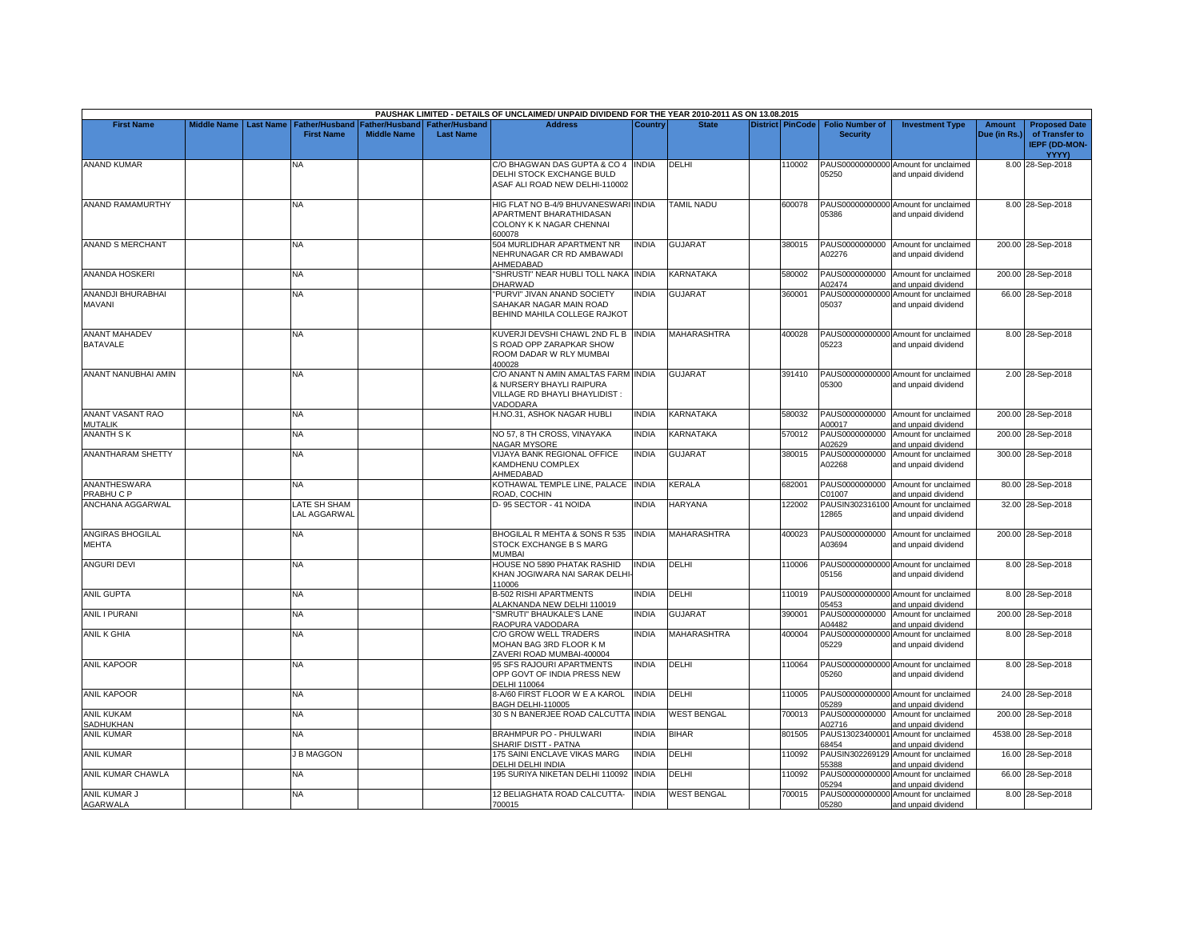|                                         |                         |                              |                    |                               | PAUSHAK LIMITED - DETAILS OF UNCLAIMED/ UNPAID DIVIDEND FOR THE YEAR 2010-2011 AS ON 13.08.2015                     |                |                    |                         |                          |                                                             |              |                                                        |
|-----------------------------------------|-------------------------|------------------------------|--------------------|-------------------------------|---------------------------------------------------------------------------------------------------------------------|----------------|--------------------|-------------------------|--------------------------|-------------------------------------------------------------|--------------|--------------------------------------------------------|
| <b>First Name</b>                       | Middle Name   Last Name | <b>Father/Husband</b>        |                    | Father/Husband Father/Husband | <b>Address</b>                                                                                                      | <b>Country</b> | <b>State</b>       | <b>District PinCode</b> | <b>Folio Number of</b>   | <b>Investment Type</b>                                      | Amount       | <b>Proposed Date</b>                                   |
|                                         |                         | <b>First Name</b>            | <b>Middle Name</b> | <b>Last Name</b>              |                                                                                                                     |                |                    |                         | <b>Security</b>          |                                                             | Due (in Rs.) | of Transfer to<br><b>IEPF (DD-MON-</b><br><b>YYYY)</b> |
| <b>ANAND KUMAR</b>                      |                         | NΑ                           |                    |                               | C/O BHAGWAN DAS GUPTA & CO 4 INDIA<br>DELHI STOCK EXCHANGE BULD<br>ASAF ALI ROAD NEW DELHI-110002                   |                | DELHI              | 110002                  | 05250                    | PAUS00000000000 Amount for unclaimed<br>and unpaid dividend |              | 8.00 28-Sep-2018                                       |
| <b>ANAND RAMAMURTHY</b>                 |                         | <b>NA</b>                    |                    |                               | HIG FLAT NO B-4/9 BHUVANESWARI<br>APARTMENT BHARATHIDASAN<br>COLONY K K NAGAR CHENNAI<br>600078                     | <b>INDIA</b>   | TAMIL NADU         | 600078                  | 05386                    | PAUS00000000000 Amount for unclaimed<br>and unpaid dividend |              | 8.00 28-Sep-2018                                       |
| <b>ANAND S MERCHANT</b>                 |                         | <b>NA</b>                    |                    |                               | 504 MURLIDHAR APARTMENT NR<br>NEHRUNAGAR CR RD AMBAWADI<br>AHMEDABAD                                                | <b>INDIA</b>   | <b>GUJARAT</b>     | 380015                  | A02276                   | PAUS0000000000 Amount for unclaimed<br>and unpaid dividend  |              | 200.00 28-Sep-2018                                     |
| ANANDA HOSKERI                          |                         | NA                           |                    |                               | "SHRUSTI" NEAR HUBLI TOLL NAKA INDIA<br>DHARWAD                                                                     |                | KARNATAKA          | 580002                  | A02474                   | PAUS0000000000 Amount for unclaimed<br>and unpaid dividend  |              | 200.00 28-Sep-2018                                     |
| ANANDJI BHURABHAI<br>MAVANI             |                         | <b>NA</b>                    |                    |                               | "PURVI" JIVAN ANAND SOCIETY<br>SAHAKAR NAGAR MAIN ROAD<br>BEHIND MAHILA COLLEGE RAJKOT                              | <b>INDIA</b>   | <b>GUJARAT</b>     | 360001                  | PAUS00000000000<br>05037 | Amount for unclaimed<br>and unpaid dividend                 |              | 66.00 28-Sep-2018                                      |
| <b>ANANT MAHADEV</b><br><b>BATAVALE</b> |                         | <b>NA</b>                    |                    |                               | KUVERJI DEVSHI CHAWL 2ND FL B INDIA<br>S ROAD OPP ZARAPKAR SHOW<br>ROOM DADAR W RLY MUMBAI<br>400028                |                | <b>MAHARASHTRA</b> | 400028                  | 05223                    | PAUS00000000000 Amount for unclaimed<br>and unpaid dividend |              | 8.00 28-Sep-2018                                       |
| ANANT NANUBHAI AMIN                     |                         | <b>NA</b>                    |                    |                               | C/O ANANT N AMIN AMALTAS FARM INDIA<br>& NURSERY BHAYLI RAIPURA<br>VILLAGE RD BHAYLI BHAYLIDIST:<br><b>/ADODARA</b> |                | <b>GUJARAT</b>     | 391410                  | 05300                    | PAUS00000000000 Amount for unclaimed<br>and unpaid dividend |              | 2.00 28-Sep-2018                                       |
| ANANT VASANT RAO<br><b>MUTALIK</b>      |                         | NA                           |                    |                               | H.NO.31, ASHOK NAGAR HUBLI                                                                                          | NDIA           | KARNATAKA          | 580032                  | PAUS0000000000<br>A00017 | Amount for unclaimed<br>and unpaid dividend                 |              | 200.00 28-Sep-2018                                     |
| <b>ANANTH SK</b>                        |                         | NA                           |                    |                               | NO 57, 8 TH CROSS, VINAYAKA<br>NAGAR MYSORE                                                                         | <b>INDIA</b>   | KARNATAKA          | 570012                  | PAUS0000000000<br>A02629 | Amount for unclaimed<br>and unpaid dividend                 |              | 200.00 28-Sep-2018                                     |
| <b>ANANTHARAM SHETTY</b>                |                         | NA                           |                    |                               | VIJAYA BANK REGIONAL OFFICE<br>KAMDHENU COMPLEX<br>AHMEDABAD                                                        | INDIA          | <b>GUJARAT</b>     | 380015                  | PAUS0000000000<br>A02268 | Amount for unclaimed<br>and unpaid dividend                 |              | 300.00 28-Sep-2018                                     |
| ANANTHESWARA<br>PRABHUCP                |                         | NA                           |                    |                               | KOTHAWAL TEMPLE LINE, PALACE INDIA<br>ROAD, COCHIN                                                                  |                | KERALA             | 682001                  | PAUS0000000000<br>C01007 | Amount for unclaimed<br>and unpaid dividend                 |              | 80.00 28-Sep-2018                                      |
| ANCHANA AGGARWAL                        |                         | LATE SH SHAM<br>LAL AGGARWAL |                    |                               | D-95 SECTOR - 41 NOIDA                                                                                              | <b>NDIA</b>    | <b>HARYANA</b>     | 122002                  | 12865                    | PAUSIN302316100 Amount for unclaimed<br>and unpaid dividend |              | 32.00 28-Sep-2018                                      |
| <b>ANGIRAS BHOGILAL</b><br><b>MEHTA</b> |                         | <b>NA</b>                    |                    |                               | BHOGILAL R MEHTA & SONS R 535<br>STOCK EXCHANGE B S MARG<br>MUMBAI                                                  | <b>INDIA</b>   | <b>MAHARASHTRA</b> | 400023                  | A03694                   | PAUS0000000000 Amount for unclaimed<br>and unpaid dividend  |              | 200.00 28-Sep-2018                                     |
| <b>ANGURI DEVI</b>                      |                         | NA                           |                    |                               | HOUSE NO 5890 PHATAK RASHID<br>KHAN JOGIWARA NAI SARAK DELHI-<br>110006                                             | INDIA          | DELHI              | 110006                  | 05156                    | PAUS00000000000 Amount for unclaimed<br>and unpaid dividend |              | 8.00 28-Sep-2018                                       |
| <b>ANIL GUPTA</b>                       |                         | <b>NA</b>                    |                    |                               | <b>B-502 RISHI APARTMENTS</b><br>ALAKNANDA NEW DELHI 110019                                                         | <b>INDIA</b>   | DELHI              | 110019                  | 05453                    | PAUS00000000000 Amount for unclaimed<br>and unpaid dividend |              | 8.00 28-Sep-2018                                       |
| <b>ANIL I PURANI</b>                    |                         | NA                           |                    |                               | "SMRUTI" BHAUKALE'S LANE<br>RAOPURA VADODARA                                                                        | INDIA          | <b>GUJARAT</b>     | 390001                  | PAUS0000000000<br>A04482 | Amount for unclaimed<br>and unpaid dividend                 |              | 200.00 28-Sep-2018                                     |
| <b>ANIL K GHIA</b>                      |                         | NA                           |                    |                               | C/O GROW WELL TRADERS<br>MOHAN BAG 3RD FLOOR K M<br>ZAVERI ROAD MUMBAI-400004                                       | <b>NDIA</b>    | <b>MAHARASHTRA</b> | 400004                  | 05229                    | PAUS00000000000 Amount for unclaimed<br>and unpaid dividend |              | 8.00 28-Sep-2018                                       |
| <b>ANIL KAPOOR</b>                      |                         | NA                           |                    |                               | 95 SFS RAJOURI APARTMENTS<br>OPP GOVT OF INDIA PRESS NEW<br>DELHI 110064                                            | <b>NDIA</b>    | DELHI              | 110064                  | 05260                    | PAUS00000000000 Amount for unclaimed<br>and unpaid dividend |              | 8.00 28-Sep-2018                                       |
| <b>ANIL KAPOOR</b>                      |                         | <b>NA</b>                    |                    |                               | 8-A/60 FIRST FLOOR W E A KAROL<br>BAGH DELHI-110005                                                                 | <b>INDIA</b>   | DELHI              | 110005                  | 05289                    | PAUS00000000000 Amount for unclaimed<br>and unpaid dividend |              | 24.00 28-Sep-2018                                      |
| <b>ANIL KUKAM</b><br><b>SADHUKHAN</b>   |                         | NA.                          |                    |                               | 30 S N BANERJEE ROAD CALCUTTA INDIA                                                                                 |                | <b>WEST BENGAL</b> | 700013                  | PAUS0000000000<br>A02716 | Amount for unclaimed<br>and unpaid dividend                 |              | 200.00 28-Sep-2018                                     |
| <b>ANIL KUMAR</b>                       |                         | <b>NA</b>                    |                    |                               | BRAHMPUR PO - PHULWARI<br>SHARIF DISTT - PATNA                                                                      | <b>INDIA</b>   | <b>BIHAR</b>       | 801505                  | 68454                    | PAUS13023400001 Amount for unclaimed<br>and unpaid dividend |              | 4538.00 28-Sep-2018                                    |
| <b>ANIL KUMAR</b>                       |                         | J B MAGGON                   |                    |                               | 175 SAINI ENCLAVE VIKAS MARG<br>DELHI DELHI INDIA                                                                   | <b>INDIA</b>   | DELHI              | 110092                  | PAUSIN302269129<br>55388 | Amount for unclaimed<br>and unpaid dividend                 |              | 16.00 28-Sep-2018                                      |
| ANIL KUMAR CHAWLA                       |                         | NA                           |                    |                               | 195 SURIYA NIKETAN DELHI 110092                                                                                     | <b>INDIA</b>   | DELHI              | 110092                  | 15294                    | PAUS00000000000 Amount for unclaimed<br>and unpaid dividend |              | 66.00 28-Sep-2018                                      |
| <b>ANIL KUMAR J</b><br><b>AGARWALA</b>  |                         | NA                           |                    |                               | 12 BELIAGHATA ROAD CALCUTTA-<br>700015                                                                              | <b>INDIA</b>   | <b>WEST BENGAL</b> | 700015                  | 05280                    | PAUS00000000000 Amount for unclaimed<br>and unpaid dividend |              | 8.00 28-Sep-2018                                       |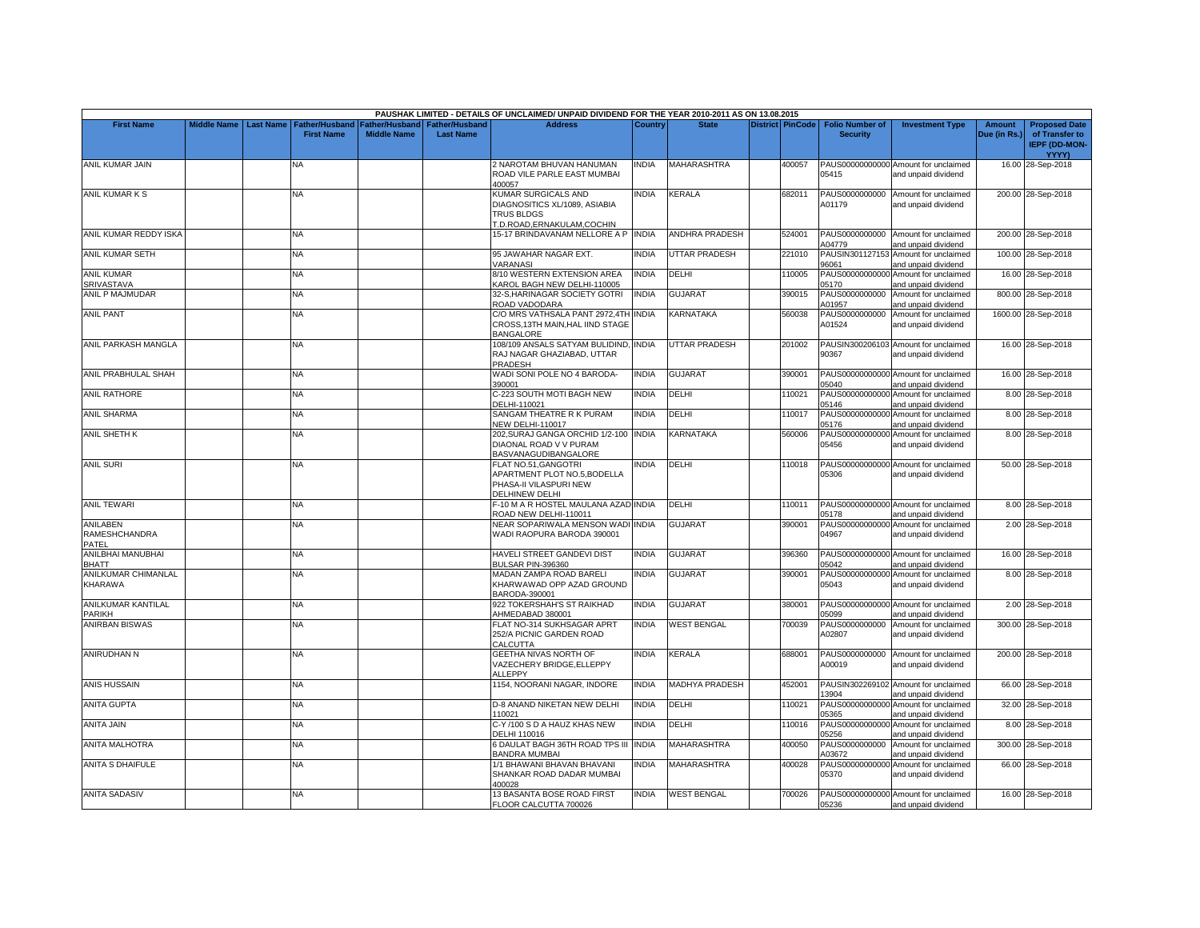|                                                  |  |                                                               |                                             |                                           | PAUSHAK LIMITED - DETAILS OF UNCLAIMED/ UNPAID DIVIDEND FOR THE YEAR 2010-2011 AS ON 13.08.2015          |              |                       |                         |                                           |                                                             |                        |                                                                         |
|--------------------------------------------------|--|---------------------------------------------------------------|---------------------------------------------|-------------------------------------------|----------------------------------------------------------------------------------------------------------|--------------|-----------------------|-------------------------|-------------------------------------------|-------------------------------------------------------------|------------------------|-------------------------------------------------------------------------|
| <b>First Name</b>                                |  | Middle Name   Last Name   Father/Husband<br><b>First Name</b> | <b>Father/Husband</b><br><b>Middle Name</b> | <b>Father/Husband</b><br><b>Last Name</b> | <b>Address</b>                                                                                           | Country      | <b>State</b>          | <b>District PinCode</b> | <b>Folio Number of</b><br><b>Security</b> | <b>Investment Type</b>                                      | Amount<br>Due (in Rs.) | <b>Proposed Date</b><br>of Transfer to<br><b>IEPF (DD-MON-</b><br>YYYY) |
| ANIL KUMAR JAIN                                  |  | NA                                                            |                                             |                                           | 2 NAROTAM BHUVAN HANUMAN<br>ROAD VILE PARLE EAST MUMBAI<br>100057                                        | <b>INDIA</b> | MAHARASHTRA           | 400057                  | 05415                                     | PAUS00000000000 Amount for unclaimed<br>and unpaid dividend |                        | 16.00 28-Sep-2018                                                       |
| ANIL KUMAR K S                                   |  | ΝA                                                            |                                             |                                           | KUMAR SURGICALS AND<br>DIAGNOSITICS XL/1089, ASIABIA<br><b>TRUS BLDGS</b><br>T.D.ROAD, ERNAKULAM, COCHIN | <b>INDIA</b> | <b>KERALA</b>         | 682011                  | PAUS0000000000<br>A01179                  | Amount for unclaimed<br>and unpaid dividend                 |                        | 200.00 28-Sep-2018                                                      |
| ANIL KUMAR REDDY ISKA                            |  | <b>NA</b>                                                     |                                             |                                           | 15-17 BRINDAVANAM NELLORE A P INDIA                                                                      |              | <b>ANDHRA PRADESH</b> | 524001                  | A04779                                    | PAUS0000000000 Amount for unclaimed<br>and unpaid dividend  |                        | 200.00 28-Sep-2018                                                      |
| ANIL KUMAR SETH                                  |  | NA.                                                           |                                             |                                           | 95 JAWAHAR NAGAR EXT.<br>VARANASI                                                                        | <b>INDIA</b> | <b>UTTAR PRADESH</b>  | 221010                  | 96061                                     | PAUSIN301127153 Amount for unclaimed<br>and unpaid dividend |                        | 100.00 28-Sep-2018                                                      |
| <b>ANIL KUMAR</b><br>SRIVASTAVA                  |  | NA                                                            |                                             |                                           | 8/10 WESTERN EXTENSION AREA<br>(AROL BAGH NEW DELHI-110005                                               | <b>INDIA</b> | DELHI                 | 110005                  | 05170                                     | PAUS00000000000 Amount for unclaimed<br>and unpaid dividend |                        | 16.00 28-Sep-2018                                                       |
| ANIL P MAJMUDAR                                  |  | NA                                                            |                                             |                                           | 32-S, HARINAGAR SOCIETY GOTRI<br>ROAD VADODARA                                                           | <b>INDIA</b> | <b>GUJARAT</b>        | 390015                  | PAUS0000000000<br>A01957                  | Amount for unclaimed<br>and unpaid dividend                 |                        | 800.00 28-Sep-2018                                                      |
| <b>ANIL PANT</b>                                 |  | <b>NA</b>                                                     |                                             |                                           | C/O MRS VATHSALA PANT 2972,4TH INDIA<br>CROSS.13TH MAIN.HAL IIND STAGE<br><b>BANGALORE</b>               |              | KARNATAKA             | 560038                  | PAUS0000000000<br>A01524                  | Amount for unclaimed<br>and unpaid dividend                 |                        | 1600.00 28-Sep-2018                                                     |
| <b>ANIL PARKASH MANGLA</b>                       |  | <b>NA</b>                                                     |                                             |                                           | 108/109 ANSALS SATYAM BULIDIND, INDIA<br>RAJ NAGAR GHAZIABAD, UTTAR<br>PRADESH                           |              | <b>UTTAR PRADESH</b>  | 201002                  | 90367                                     | PAUSIN300206103 Amount for unclaimed<br>and unpaid dividend |                        | 16.00 28-Sep-2018                                                       |
| ANIL PRABHULAL SHAH                              |  | NA                                                            |                                             |                                           | WADI SONI POLE NO 4 BARODA-<br>390001                                                                    | <b>INDIA</b> | <b>GUJARAT</b>        | 390001                  | 05040                                     | PAUS00000000000 Amount for unclaimed<br>and unpaid dividend |                        | 16.00 28-Sep-2018                                                       |
| <b>ANIL RATHORE</b>                              |  | <b>NA</b>                                                     |                                             |                                           | C-223 SOUTH MOTI BAGH NEW<br>DELHI-110021                                                                | <b>INDIA</b> | DELHI                 | 110021                  | 05146                                     | PAUS00000000000 Amount for unclaimed<br>and unpaid dividend |                        | 8.00 28-Sep-2018                                                        |
| <b>ANIL SHARMA</b>                               |  | NA                                                            |                                             |                                           | SANGAM THEATRE R K PURAM<br><b>NEW DELHI-110017</b>                                                      | <b>INDIA</b> | DELHI                 | 110017                  | 05176                                     | PAUS00000000000 Amount for unclaimed<br>and unpaid dividend |                        | 8.00 28-Sep-2018                                                        |
| ANIL SHETH K                                     |  | NA.                                                           |                                             |                                           | 202, SURAJ GANGA ORCHID 1/2-100<br>DIAONAL ROAD V V PURAM<br>BASVANAGUDIBANGALORE                        | <b>INDIA</b> | KARNATAKA             | 560006                  | PAUS00000000000<br>05456                  | Amount for unclaimed<br>and unpaid dividend                 |                        | 8.00 28-Sep-2018                                                        |
| <b>ANIL SURI</b>                                 |  | <b>NA</b>                                                     |                                             |                                           | <b>FLAT NO.51.GANGOTRI</b><br>APARTMENT PLOT NO.5, BODELLA<br>PHASA-II VILASPURI NEW<br>DELHINEW DELHI   | INDIA        | DELHI                 | 110018                  | 05306                                     | PAUS00000000000 Amount for unclaimed<br>and unpaid dividend |                        | 50.00 28-Sep-2018                                                       |
| <b>ANIL TEWARI</b>                               |  | <b>NA</b>                                                     |                                             |                                           | -10 M A R HOSTEL MAULANA AZAD INDIA<br>ROAD NEW DELHI-110011                                             |              | <b>DELHI</b>          | 110011                  | 05178                                     | PAUS00000000000 Amount for unclaimed<br>and unpaid dividend |                        | 8.00 28-Sep-2018                                                        |
| <b>ANILABEN</b><br><b>RAMESHCHANDRA</b><br>PATEL |  | <b>NA</b>                                                     |                                             |                                           | NEAR SOPARIWALA MENSON WADI INDIA<br>WADI RAOPURA BARODA 390001                                          |              | GUJARAT               | 390001                  | 04967                                     | PAUS00000000000 Amount for unclaimed<br>and unpaid dividend |                        | 2.00 28-Sep-2018                                                        |
| ANILBHAI MANUBHAI<br>BHATT                       |  | ΝA                                                            |                                             |                                           | HAVELI STREET GANDEVI DIST<br><b>BULSAR PIN-396360</b>                                                   | <b>INDIA</b> | GUJARAT               | 396360                  | 05042                                     | PAUS00000000000 Amount for unclaimed<br>and unpaid dividend |                        | 16.00 28-Sep-2018                                                       |
| ANILKUMAR CHIMANLAL<br>KHARAWA                   |  | <b>NA</b>                                                     |                                             |                                           | MADAN ZAMPA ROAD BARELI<br>KHARWAWAD OPP AZAD GROUND<br>BARODA-390001                                    | <b>INDIA</b> | <b>GUJARAT</b>        | 390001                  | 05043                                     | PAUS00000000000 Amount for unclaimed<br>and unpaid dividend |                        | 8.00 28-Sep-2018                                                        |
| ANILKUMAR KANTILAL<br><b>PARIKH</b>              |  | <b>NA</b>                                                     |                                             |                                           | 922 TOKERSHAH'S ST RAIKHAD<br>AHMEDABAD 380001                                                           | <b>INDIA</b> | <b>GUJARAT</b>        | 380001                  | 05099                                     | PAUS00000000000 Amount for unclaimed<br>and unpaid dividend |                        | 2.00 28-Sep-2018                                                        |
| <b>ANIRBAN BISWAS</b>                            |  | NA.                                                           |                                             |                                           | FLAT NO-314 SUKHSAGAR APRT<br>252/A PICNIC GARDEN ROAD<br>CALCUTTA                                       | <b>INDIA</b> | <b>WEST BENGAL</b>    | 700039                  | PAUS0000000000<br>A02807                  | Amount for unclaimed<br>and unpaid dividend                 |                        | 300.00 28-Sep-2018                                                      |
| ANIRUDHAN N                                      |  | NA.                                                           |                                             |                                           | <b>GEETHA NIVAS NORTH OF</b><br>VAZECHERY BRIDGE, ELLEPPY<br>ALLEPPY                                     | <b>INDIA</b> | KERALA                | 688001                  | PAUS0000000000<br>A00019                  | Amount for unclaimed<br>and unpaid dividend                 |                        | 200.00 28-Sep-2018                                                      |
| <b>ANIS HUSSAIN</b>                              |  | NA.                                                           |                                             |                                           | 1154, NOORANI NAGAR, INDORE                                                                              | <b>INDIA</b> | <b>MADHYA PRADESH</b> | 452001                  | 13904                                     | PAUSIN302269102 Amount for unclaimed<br>and unpaid dividend |                        | 66.00 28-Sep-2018                                                       |
| <b>ANITA GUPTA</b>                               |  | <b>NA</b>                                                     |                                             |                                           | D-8 ANAND NIKETAN NEW DELHI<br>110021                                                                    | <b>INDIA</b> | DELHI                 | 110021                  | PAUS00000000000<br>05365                  | Amount for unclaimed<br>and unpaid dividend                 |                        | 32.00 28-Sep-2018                                                       |
| <b>ANITA JAIN</b>                                |  | NA.                                                           |                                             |                                           | C-Y /100 S D A HAUZ KHAS NEW<br>DELHI 110016                                                             | <b>INDIA</b> | DELHI                 | 110016                  | PAUS00000000000<br>05256                  | Amount for unclaimed<br>and unpaid dividend                 |                        | 8.00 28-Sep-2018                                                        |
| <b>ANITA MALHOTRA</b>                            |  | <b>NA</b>                                                     |                                             |                                           | 6 DAULAT BAGH 36TH ROAD TPS III<br>BANDRA MUMBAI                                                         | <b>INDIA</b> | <b>MAHARASHTRA</b>    | 400050                  | PAUS0000000000<br>A03672                  | Amount for unclaimed<br>and unpaid dividend                 |                        | 300.00 28-Sep-2018                                                      |
| <b>ANITA S DHAIFULE</b>                          |  | NA                                                            |                                             |                                           | 1/1 BHAWANI BHAVAN BHAVANI<br>SHANKAR ROAD DADAR MUMBAI<br>100028                                        | INDIA        | MAHARASHTRA           | 400028                  | 05370                                     | PAUS00000000000 Amount for unclaimed<br>and unpaid dividend |                        | 66.00 28-Sep-2018                                                       |
| <b>ANITA SADASIV</b>                             |  | <b>NA</b>                                                     |                                             |                                           | 13 BASANTA BOSE ROAD FIRST<br>FLOOR CALCUTTA 700026                                                      | <b>INDIA</b> | <b>WEST BENGAL</b>    | 700026                  | 05236                                     | PAUS00000000000 Amount for unclaimed<br>and unpaid dividend |                        | 16.00 28-Sep-2018                                                       |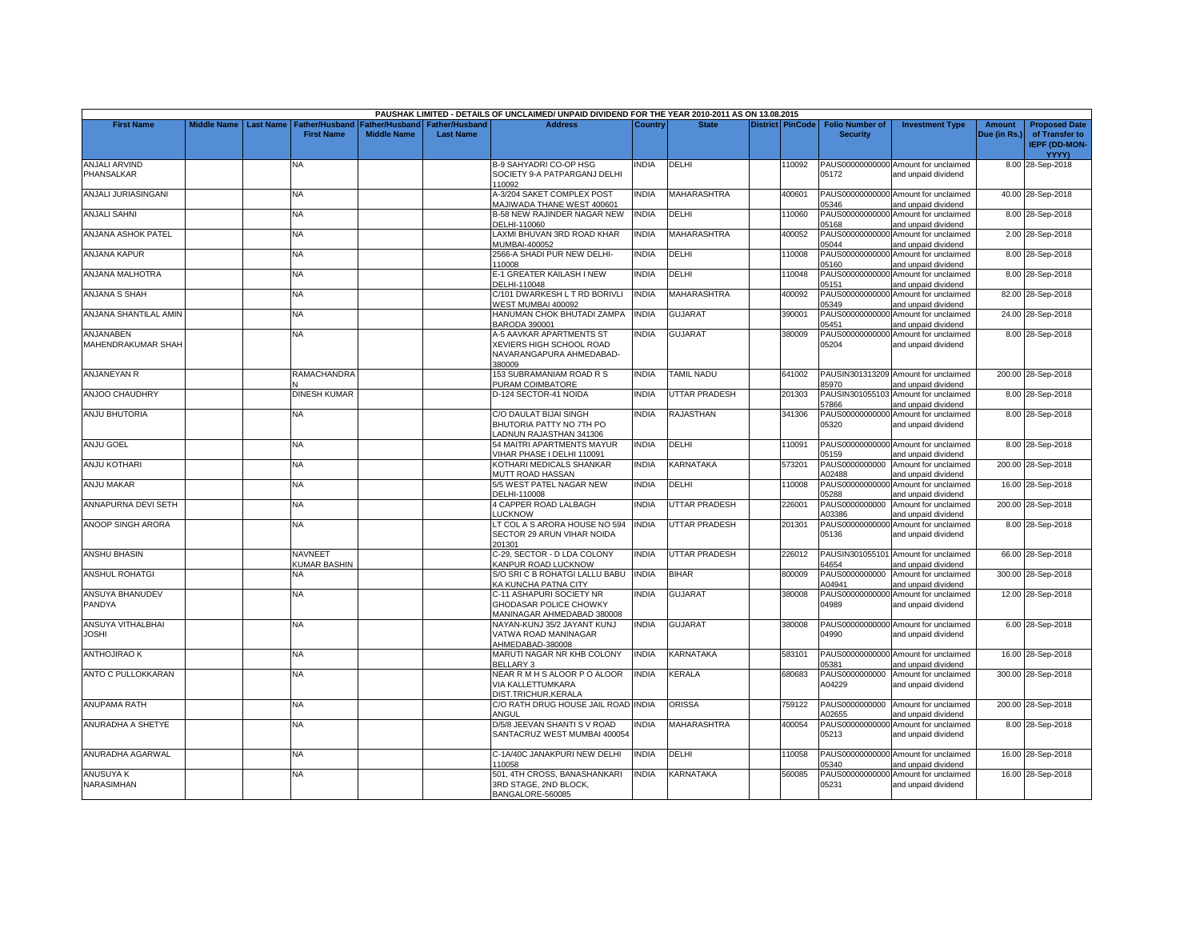|                                           |                    |                  |                                     |                                             |                                           | PAUSHAK LIMITED - DETAILS OF UNCLAIMED/ UNPAID DIVIDEND FOR THE YEAR 2010-2011 AS ON 13.08.2015   |              |                      |                         |                                           |                                                             |                               |                                                                         |
|-------------------------------------------|--------------------|------------------|-------------------------------------|---------------------------------------------|-------------------------------------------|---------------------------------------------------------------------------------------------------|--------------|----------------------|-------------------------|-------------------------------------------|-------------------------------------------------------------|-------------------------------|-------------------------------------------------------------------------|
| <b>First Name</b>                         | <b>Middle Name</b> | <b>Last Name</b> | Father/Husband<br><b>First Name</b> | <b>Father/Husband</b><br><b>Middle Name</b> | <b>Father/Husband</b><br><b>Last Name</b> | <b>Address</b>                                                                                    | Country      | <b>State</b>         | <b>District PinCode</b> | <b>Folio Number of</b><br><b>Security</b> | <b>Investment Type</b>                                      | <b>Amount</b><br>Due (in Rs.) | <b>Proposed Date</b><br>of Transfer to<br><b>IEPF (DD-MON-</b><br>YYYY) |
| <b>ANJALI ARVIND</b><br><b>PHANSALKAR</b> |                    |                  | NA                                  |                                             |                                           | B-9 SAHYADRI CO-OP HSG<br>SOCIETY 9-A PATPARGANJ DELHI<br>110092                                  | INDIA        | DELHI                | 110092                  | 05172                                     | PAUS00000000000 Amount for unclaimed<br>and unpaid dividend |                               | 8.00 28-Sep-2018                                                        |
| ANJALI JURIASINGANI                       |                    |                  | NA.                                 |                                             |                                           | 4-3/204 SAKET COMPLEX POST<br>MAJIWADA THANE WEST 400601                                          | <b>INDIA</b> | <b>MAHARASHTRA</b>   | 400601                  | 05346                                     | PAUS00000000000 Amount for unclaimed<br>and unpaid dividend |                               | 40.00 28-Sep-2018                                                       |
| <b>ANJALI SAHNI</b>                       |                    |                  | NA                                  |                                             |                                           | <b>B-58 NEW RAJINDER NAGAR NEW</b><br>DELHI-110060                                                | <b>INDIA</b> | DELHI                | 110060                  | 05168                                     | PAUS00000000000 Amount for unclaimed<br>and unpaid dividend |                               | 8.00 28-Sep-2018                                                        |
| ANJANA ASHOK PATEL                        |                    |                  | NA                                  |                                             |                                           | LAXMI BHUVAN 3RD ROAD KHAR<br><b>MUMBAI-400052</b>                                                | <b>INDIA</b> | <b>MAHARASHTRA</b>   | 400052                  | 05044                                     | PAUS00000000000 Amount for unclaimed<br>and unpaid dividend |                               | 2.00 28-Sep-2018                                                        |
| ANJANA KAPUR                              |                    |                  | NA                                  |                                             |                                           | 2566-A SHADI PUR NEW DELHI-<br>110008                                                             | <b>INDIA</b> | DELHI                | 110008                  | PAUS00000000000<br>05160                  | Amount for unclaimed<br>and unpaid dividend                 |                               | 8.00 28-Sep-2018                                                        |
| ANJANA MALHOTRA                           |                    |                  | <b>NA</b>                           |                                             |                                           | E-1 GREATER KAILASH I NEW<br>DELHI-110048                                                         | <b>INDIA</b> | <b>DELHI</b>         | 110048                  | PAUS00000000000<br>05151                  | Amount for unclaimed<br>and unpaid dividend                 |                               | 8.00 28-Sep-2018                                                        |
| ANJANA S SHAH                             |                    |                  | ΝA                                  |                                             |                                           | C/101 DWARKESH L T RD BORIVLI<br>WEST MUMBAI 400092                                               | <b>INDIA</b> | MAHARASHTRA          | 400092                  | PAUS00000000000<br>05349                  | Amount for unclaimed<br>and unpaid dividend                 |                               | 82.00 28-Sep-2018                                                       |
| ANJANA SHANTILAL AMIN                     |                    |                  | NA                                  |                                             |                                           | HANUMAN CHOK BHUTADI ZAMPA<br>BARODA 390001                                                       | <b>INDIA</b> | GUJARAT              | 390001                  | PAUS00000000000<br>05451                  | Amount for unclaimed<br>and unpaid dividend                 |                               | 24.00 28-Sep-2018                                                       |
| ANJANABEN<br>MAHENDRAKUMAR SHAH           |                    |                  | <b>NA</b>                           |                                             |                                           | 4-5 AAVKAR APARTMENTS ST<br><b>XEVIERS HIGH SCHOOL ROAD</b><br>NAVARANGAPURA AHMEDABAD-<br>380009 | <b>INDIA</b> | <b>GUJARAT</b>       | 380009                  | PAUS00000000000<br>05204                  | Amount for unclaimed<br>and unpaid dividend                 |                               | 8.00 28-Sep-2018                                                        |
| <b>ANJANEYAN R</b>                        |                    |                  | RAMACHANDRA                         |                                             |                                           | 153 SUBRAMANIAM ROAD R S<br>PURAM COIMBATORE                                                      | <b>INDIA</b> | <b>TAMIL NADU</b>    | 641002                  | 85970                                     | PAUSIN301313209 Amount for unclaimed<br>and unpaid dividend |                               | 200.00 28-Sep-2018                                                      |
| <b>ANJOO CHAUDHRY</b>                     |                    |                  | <b>DINESH KUMAR</b>                 |                                             |                                           | D-124 SECTOR-41 NOIDA                                                                             | <b>INDIA</b> | <b>UTTAR PRADESH</b> | 201303                  | 57866                                     | PAUSIN301055103 Amount for unclaimed<br>and unpaid dividend |                               | 8.00 28-Sep-2018                                                        |
| <b>ANJU BHUTORIA</b>                      |                    |                  | NA                                  |                                             |                                           | C/O DAULAT BIJAI SINGH<br>BHUTORIA PATTY NO 7TH PO<br>ADNUN RAJASTHAN 341306                      | <b>INDIA</b> | RAJASTHAN            | 341306                  | 05320                                     | PAUS00000000000 Amount for unclaimed<br>and unpaid dividend |                               | 8.00 28-Sep-2018                                                        |
| <b>ANJU GOEL</b>                          |                    |                  | NA                                  |                                             |                                           | 54 MAITRI APARTMENTS MAYUR<br>VIHAR PHASE I DELHI 110091                                          | <b>INDIA</b> | DELHI                | 110091                  | 05159                                     | PAUS00000000000 Amount for unclaimed<br>and unpaid dividend |                               | 8.00 28-Sep-2018                                                        |
| <b>ANJU KOTHARI</b>                       |                    |                  | NA                                  |                                             |                                           | KOTHARI MEDICALS SHANKAR<br><b>MUTT ROAD HASSAN</b>                                               | INDIA        | KARNATAKA            | 573201                  | A02488                                    | PAUS0000000000 Amount for unclaimed<br>and unpaid dividend  |                               | 200.00 28-Sep-2018                                                      |
| <b>ANJU MAKAR</b>                         |                    |                  | <b>NA</b>                           |                                             |                                           | 5/5 WEST PATEL NAGAR NEW<br>DELHI-110008                                                          | <b>INDIA</b> | DELHI                | 110008                  | 05288                                     | PAUS00000000000 Amount for unclaimed<br>and unpaid dividend |                               | 16.00 28-Sep-2018                                                       |
| ANNAPURNA DEVI SETH                       |                    |                  | <b>NA</b>                           |                                             |                                           | <b>4 CAPPER ROAD LALBAGH</b><br><b>LUCKNOW</b>                                                    | <b>INDIA</b> | <b>UTTAR PRADESH</b> | 226001                  | PAUS0000000000<br>A03386                  | Amount for unclaimed<br>and unpaid dividend                 |                               | 200.00 28-Sep-2018                                                      |
| ANOOP SINGH ARORA                         |                    |                  | NA.                                 |                                             |                                           | T COL A S ARORA HOUSE NO 594<br>SECTOR 29 ARUN VIHAR NOIDA<br>201301                              | <b>INDIA</b> | <b>UTTAR PRADESH</b> | 201301                  | PAUS00000000000<br>05136                  | Amount for unclaimed<br>and unpaid dividend                 |                               | 8.00 28-Sep-2018                                                        |
| <b>ANSHU BHASIN</b>                       |                    |                  | NAVNEET<br><b>KUMAR BASHIN</b>      |                                             |                                           | C-29, SECTOR - D LDA COLONY<br>KANPUR ROAD LUCKNOW                                                | <b>INDIA</b> | <b>UTTAR PRADESH</b> | 226012                  | 64654                                     | PAUSIN301055101 Amount for unclaimed<br>and unpaid dividend |                               | 66.00 28-Sep-2018                                                       |
| <b>ANSHUL ROHATGI</b>                     |                    |                  | <b>NA</b>                           |                                             |                                           | S/O SRI C B ROHATGI LALLU BABU INDIA<br><b>KA KUNCHA PATNA CITY</b>                               |              | <b>BIHAR</b>         | 800009                  | A04941                                    | PAUS0000000000 Amount for unclaimed<br>and unpaid dividend  |                               | 300.00 28-Sep-2018                                                      |
| ANSUYA BHANUDEV<br>PANDYA                 |                    |                  | NΑ                                  |                                             |                                           | C-11 ASHAPURI SOCIETY NR<br><b>GHODASAR POLICE CHOWKY</b><br>MANINAGAR AHMEDABAD 380008           | <b>INDIA</b> | GUJARAT              | 380008                  | 04989                                     | PAUS00000000000 Amount for unclaimed<br>and unpaid dividend |                               | 12.00 28-Sep-2018                                                       |
| ANSUYA VITHALBHAI<br><b>JOSHI</b>         |                    |                  | NΑ                                  |                                             |                                           | NAYAN-KUNJ 35/2 JAYANT KUNJ<br>VATWA ROAD MANINAGAR<br>AHMEDABAD-380008                           | <b>INDIA</b> | <b>GUJARAT</b>       | 380008                  | 04990                                     | PAUS00000000000 Amount for unclaimed<br>and unpaid dividend |                               | 6.00 28-Sep-2018                                                        |
| <b>ANTHOJIRAO K</b>                       |                    |                  | NA                                  |                                             |                                           | MARUTI NAGAR NR KHB COLONY<br>BELLARY 3                                                           | <b>INDIA</b> | KARNATAKA            | 583101                  | 05381                                     | PAUS00000000000 Amount for unclaimed<br>and unpaid dividend |                               | 16.00 28-Sep-2018                                                       |
| ANTO C PULLOKKARAN                        |                    |                  | NA.                                 |                                             |                                           | <b>NEAR R M H S ALOOR P O ALOOR</b><br>VIA KALLETTUMKARA<br>DIST.TRICHUR,KERALA                   | <b>INDIA</b> | KERALA               | 680683                  | PAUS0000000000<br>A04229                  | Amount for unclaimed<br>and unpaid dividend                 |                               | 300.00 28-Sep-2018                                                      |
| <b>ANUPAMA RATH</b>                       |                    |                  | NA.                                 |                                             |                                           | C/O RATH DRUG HOUSE JAIL ROAD INDIA<br>ANGUL                                                      |              | ORISSA               | 759122                  | A02655                                    | PAUS0000000000 Amount for unclaimed<br>and unpaid dividend  |                               | 200.00 28-Sep-2018                                                      |
| ANURADHA A SHETYE                         |                    |                  | NA                                  |                                             |                                           | D/5/8 JEEVAN SHANTI S V ROAD<br>SANTACRUZ WEST MUMBAI 400054                                      | <b>INDIA</b> | MAHARASHTRA          | 400054                  | 05213                                     | PAUS00000000000 Amount for unclaimed<br>and unpaid dividend |                               | 8.00 28-Sep-2018                                                        |
| ANURADHA AGARWAL                          |                    |                  | <b>NA</b>                           |                                             |                                           | C-1A/40C JANAKPURI NEW DELHI<br>110058                                                            | <b>INDIA</b> | <b>DELHI</b>         | 110058                  | 05340                                     | PAUS00000000000 Amount for unclaimed<br>and unpaid dividend |                               | 16.00 28-Sep-2018                                                       |
| <b>ANUSUYA K</b><br><b>NARASIMHAN</b>     |                    |                  | ΝA                                  |                                             |                                           | 501, 4TH CROSS, BANASHANKARI<br>3RD STAGE, 2ND BLOCK.<br>BANGALORE-560085                         | <b>INDIA</b> | KARNATAKA            | 560085                  | PAUS00000000000<br>05231                  | Amount for unclaimed<br>and unpaid dividend                 |                               | 16.00 28-Sep-2018                                                       |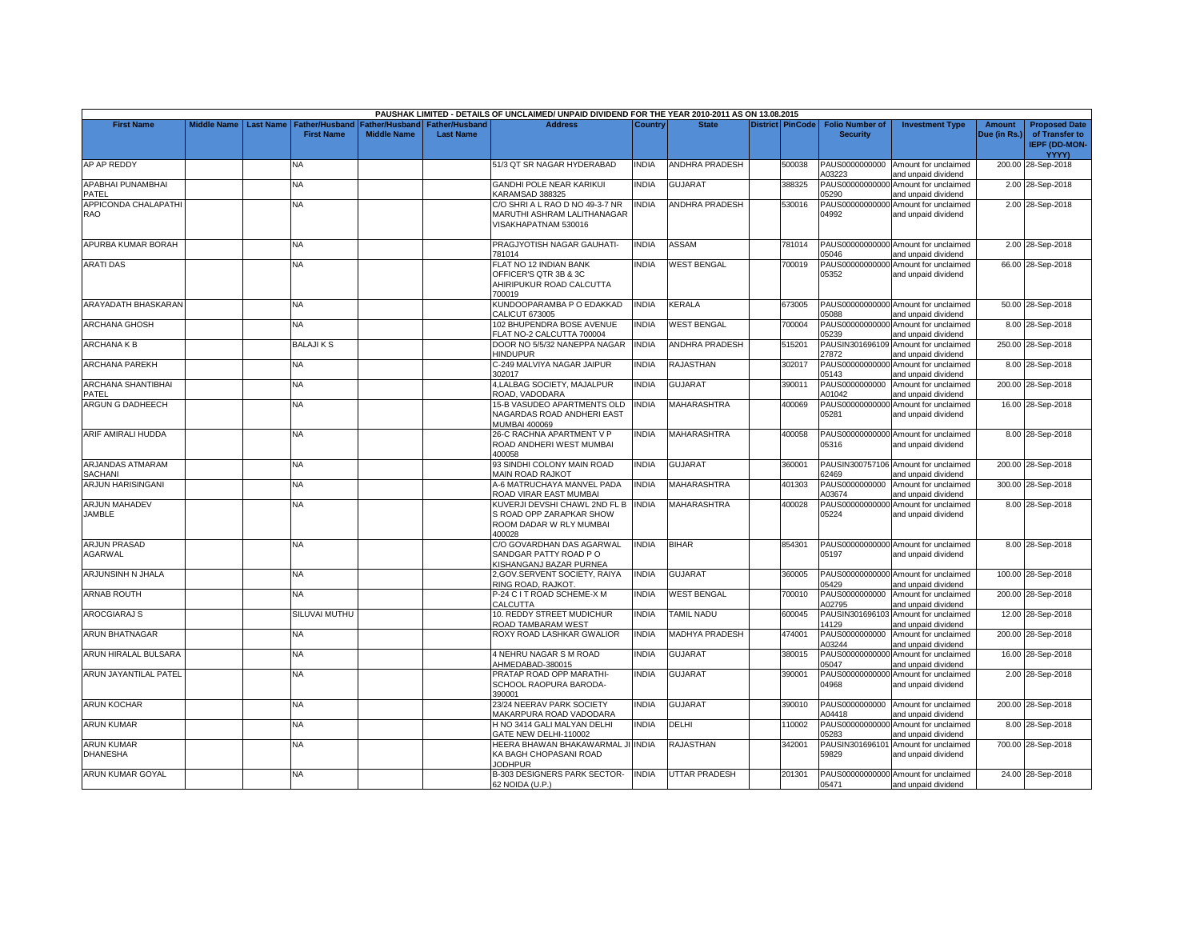|                                       |                    |                  |                                            |                                      |                                    | PAUSHAK LIMITED - DETAILS OF UNCLAIMED/ UNPAID DIVIDEND FOR THE YEAR 2010-2011 AS ON 13.08.2015      |                |                       |                         |                                           |                                                             |                        |                                                         |
|---------------------------------------|--------------------|------------------|--------------------------------------------|--------------------------------------|------------------------------------|------------------------------------------------------------------------------------------------------|----------------|-----------------------|-------------------------|-------------------------------------------|-------------------------------------------------------------|------------------------|---------------------------------------------------------|
| <b>First Name</b>                     | <b>Middle Name</b> | <b>Last Name</b> | <b>Father/Husband</b><br><b>First Name</b> | Father/Husband<br><b>Middle Name</b> | Father/Husband<br><b>Last Name</b> | <b>Address</b>                                                                                       | <b>Country</b> | <b>State</b>          | <b>District PinCode</b> | <b>Folio Number of</b><br><b>Security</b> | <b>Investment Type</b>                                      | Amount<br>Due (in Rs.) | <b>Proposed Date</b><br>of Transfer to<br>IEPF (DD-MON- |
| AP AP REDDY                           |                    |                  |                                            |                                      |                                    | 51/3 QT SR NAGAR HYDERABAD                                                                           |                | ANDHRA PRADESH        |                         | PAUS0000000000                            |                                                             |                        | YYYY)                                                   |
|                                       |                    |                  | NA                                         |                                      |                                    |                                                                                                      | INDIA          |                       | 500038                  | A03223                                    | Amount for unclaimed<br>and unpaid dividend                 |                        | 200.00 28-Sep-2018                                      |
| APABHAI PUNAMBHAI                     |                    |                  | <b>NA</b>                                  |                                      |                                    | GANDHI POLE NEAR KARIKUI                                                                             | <b>INDIA</b>   | <b>GUJARAT</b>        | 388325                  |                                           | PAUS00000000000 Amount for unclaimed                        |                        | 2.00 28-Sep-2018                                        |
| PATEL                                 |                    |                  |                                            |                                      |                                    | KARAMSAD 388325                                                                                      |                |                       |                         | 05290                                     | and unpaid dividend                                         |                        |                                                         |
| APPICONDA CHALAPATHI<br>RAO           |                    |                  | NA                                         |                                      |                                    | C/O SHRI A L RAO D NO 49-3-7 NR<br>MARUTHI ASHRAM LALITHANAGAR<br>VISAKHAPATNAM 530016               | <b>INDIA</b>   | <b>ANDHRA PRADESH</b> | 530016                  | 04992                                     | PAUS00000000000 Amount for unclaimed<br>and unpaid dividend |                        | 2.00 28-Sep-2018                                        |
| APURBA KUMAR BORAH                    |                    |                  | <b>NA</b>                                  |                                      |                                    | PRAGJYOTISH NAGAR GAUHATI-<br>781014                                                                 | <b>INDIA</b>   | <b>ASSAM</b>          | 781014                  | 05046                                     | PAUS00000000000 Amount for unclaimed<br>and unpaid dividend |                        | 2.00 28-Sep-2018                                        |
| <b>ARATI DAS</b>                      |                    |                  | NA                                         |                                      |                                    | FLAT NO 12 INDIAN BANK<br>OFFICER'S QTR 3B & 3C<br>AHIRIPUKUR ROAD CALCUTTA<br>700019                | <b>INDIA</b>   | <b>WEST BENGAL</b>    | 700019                  | 05352                                     | PAUS00000000000 Amount for unclaimed<br>and unpaid dividend |                        | 66.00 28-Sep-2018                                       |
| ARAYADATH BHASKARAN                   |                    |                  | NA                                         |                                      |                                    | KUNDOOPARAMBA P O EDAKKAD<br><b>CALICUT 673005</b>                                                   | <b>INDIA</b>   | KERALA                | 673005                  | 05088                                     | PAUS00000000000 Amount for unclaimed<br>and unpaid dividend |                        | 50.00 28-Sep-2018                                       |
| <b>ARCHANA GHOSH</b>                  |                    |                  | NA                                         |                                      |                                    | 102 BHUPENDRA BOSE AVENUE<br>FLAT NO-2 CALCUTTA 700004                                               | <b>INDIA</b>   | <b>WEST BENGAL</b>    | 700004                  | 05239                                     | PAUS00000000000 Amount for unclaimed<br>and unpaid dividend |                        | 8.00 28-Sep-2018                                        |
| <b>ARCHANAKB</b>                      |                    |                  | <b>BALAJIKS</b>                            |                                      |                                    | DOOR NO 5/5/32 NANEPPA NAGAR<br>HINDUPUR                                                             | <b>INDIA</b>   | <b>ANDHRA PRADESH</b> | 515201                  | PAUSIN301696109<br>27872                  | Amount for unclaimed<br>and unpaid dividend                 |                        | 250.00 28-Sep-2018                                      |
| <b>ARCHANA PAREKH</b>                 |                    |                  | NA                                         |                                      |                                    | C-249 MALVIYA NAGAR JAIPUR<br>302017                                                                 | INDIA          | RAJASTHAN             | 302017                  | 05143                                     | PAUS00000000000 Amount for unclaimed<br>and unpaid dividend |                        | 8.00 28-Sep-2018                                        |
| ARCHANA SHANTIBHAI<br>PATEL           |                    |                  | NA                                         |                                      |                                    | 4, LALBAG SOCIETY, MAJALPUR<br>ROAD, VADODARA                                                        | <b>INDIA</b>   | <b>GUJARAT</b>        | 390011                  | PAUS0000000000<br>A01042                  | Amount for unclaimed<br>and unpaid dividend                 |                        | 200.00 28-Sep-2018                                      |
| ARGUN G DADHEECH                      |                    |                  | NA.                                        |                                      |                                    | 15-B VASUDEO APARTMENTS OLD<br>NAGARDAS ROAD ANDHERI EAST<br>MUMBAI 400069                           | <b>INDIA</b>   | MAHARASHTRA           | 400069                  | 05281                                     | PAUS00000000000 Amount for unclaimed<br>and unpaid dividend |                        | 16.00 28-Sep-2018                                       |
| ARIF AMIRALI HUDDA                    |                    |                  | NA.                                        |                                      |                                    | 26-C RACHNA APARTMENT V P<br>ROAD ANDHERI WEST MUMBAI<br>400058                                      | <b>INDIA</b>   | <b>MAHARASHTRA</b>    | 400058                  | 05316                                     | PAUS00000000000 Amount for unclaimed<br>and unpaid dividend |                        | 8.00 28-Sep-2018                                        |
| ARJANDAS ATMARAM<br>SACHANI           |                    |                  | ΝA                                         |                                      |                                    | 93 SINDHI COLONY MAIN ROAD<br>MAIN ROAD RAJKOT                                                       | INDIA          | <b>GUJARAT</b>        | 360001                  | 62469                                     | PAUSIN300757106 Amount for unclaimed<br>and unpaid dividend |                        | 200.00 28-Sep-2018                                      |
| ARJUN HARISINGANI                     |                    |                  | NΑ                                         |                                      |                                    | 4-6 MATRUCHAYA MANVEL PADA<br>ROAD VIRAR EAST MUMBAI                                                 | <b>INDIA</b>   | <b>MAHARASHTRA</b>    | 401303                  | PAUS0000000000<br>A03674                  | Amount for unclaimed<br>and unpaid dividend                 |                        | 300.00 28-Sep-2018                                      |
| <b>ARJUN MAHADEV</b><br><b>JAMBLE</b> |                    |                  | NA                                         |                                      |                                    | KUVERJI DEVSHI CHAWL 2ND FL B INDIA<br>S ROAD OPP ZARAPKAR SHOW<br>ROOM DADAR W RLY MUMBAI<br>400028 |                | <b>MAHARASHTRA</b>    | 400028                  | 05224                                     | PAUS00000000000 Amount for unclaimed<br>and unpaid dividend |                        | 8.00 28-Sep-2018                                        |
| <b>ARJUN PRASAD</b><br><b>AGARWAL</b> |                    |                  | NA.                                        |                                      |                                    | C/O GOVARDHAN DAS AGARWAL<br>SANDGAR PATTY ROAD PO<br><b>(ISHANGANJ BAZAR PURNEA</b>                 | <b>INDIA</b>   | <b>BIHAR</b>          | 854301                  | 05197                                     | PAUS00000000000 Amount for unclaimed<br>and unpaid dividend |                        | 8.00 28-Sep-2018                                        |
| ARJUNSINH N JHALA                     |                    |                  | NA                                         |                                      |                                    | 2, GOV. SERVENT SOCIETY, RAIYA<br>RING ROAD, RAJKOT                                                  | <b>INDIA</b>   | <b>GUJARAT</b>        | 360005                  | 05429                                     | PAUS00000000000 Amount for unclaimed<br>and unpaid dividend |                        | 100.00 28-Sep-2018                                      |
| <b>ARNAB ROUTH</b>                    |                    |                  | NA.                                        |                                      |                                    | P-24 C I T ROAD SCHEME-X M<br>CALCUTTA                                                               | <b>INDIA</b>   | <b>WEST BENGAL</b>    | 700010                  | PAUS0000000000<br>A02795                  | Amount for unclaimed<br>and unpaid dividend                 |                        | 200.00 28-Sep-2018                                      |
| <b>AROCGIARAJ S</b>                   |                    |                  | SILUVAI MUTHU                              |                                      |                                    | 10. REDDY STREET MUDICHUR<br>ROAD TAMBARAM WEST                                                      | <b>INDIA</b>   | <b>TAMIL NADU</b>     | 600045                  | 14129                                     | PAUSIN301696103 Amount for unclaimed<br>and unpaid dividend |                        | 12.00 28-Sep-2018                                       |
| ARUN BHATNAGAR                        |                    |                  | NA                                         |                                      |                                    | ROXY ROAD LASHKAR GWALIOR                                                                            | <b>INDIA</b>   | <b>MADHYA PRADESH</b> | 474001                  | PAUS0000000000<br>A03244                  | Amount for unclaimed<br>and unpaid dividend                 |                        | 200.00 28-Sep-2018                                      |
| ARUN HIRALAL BULSARA                  |                    |                  | <b>NA</b>                                  |                                      |                                    | 4 NEHRU NAGAR S M ROAD<br>AHMEDABAD-380015                                                           | <b>INDIA</b>   | <b>GUJARAT</b>        | 380015                  | 05047                                     | PAUS00000000000 Amount for unclaimed<br>and unpaid dividend |                        | 16.00 28-Sep-2018                                       |
| ARUN JAYANTILAL PATEL                 |                    |                  | NΑ                                         |                                      |                                    | PRATAP ROAD OPP MARATHI-<br>SCHOOL RAOPURA BARODA-<br>390001                                         | <b>INDIA</b>   | <b>GUJARAT</b>        | 390001                  | 04968                                     | PAUS00000000000 Amount for unclaimed<br>and unpaid dividend |                        | 2.00 28-Sep-2018                                        |
| <b>ARUN KOCHAR</b>                    |                    |                  | <b>NA</b>                                  |                                      |                                    | 23/24 NEERAV PARK SOCIETY<br>MAKARPURA ROAD VADODARA                                                 | <b>INDIA</b>   | <b>GUJARAT</b>        | 390010                  | PAUS0000000000<br>A04418                  | Amount for unclaimed<br>and unpaid dividend                 |                        | 200.00 28-Sep-2018                                      |
| <b>ARUN KUMAR</b>                     |                    |                  | NA                                         |                                      |                                    | H NO 3414 GALI MALYAN DELHI<br>GATE NEW DELHI-110002                                                 | <b>INDIA</b>   | DELHI                 | 110002                  | 05283                                     | PAUS00000000000 Amount for unclaimed<br>and unpaid dividend |                        | 8.00 28-Sep-2018                                        |
| <b>ARUN KUMAR</b><br><b>DHANESHA</b>  |                    |                  | NA.                                        |                                      |                                    | HEERA BHAWAN BHAKAWARMAL<br>KA BAGH CHOPASANI ROAD<br><b>JODHPUR</b>                                 | <b>INDIA</b>   | RAJASTHAN             | 342001                  | PAUSIN30169610<br>59829                   | Amount for unclaimed<br>and unpaid dividend                 |                        | 700.00 28-Sep-2018                                      |
| <b>ARUN KUMAR GOYAL</b>               |                    |                  | <b>NA</b>                                  |                                      |                                    | B-303 DESIGNERS PARK SECTOR-<br>62 NOIDA (U.P.)                                                      | <b>INDIA</b>   | <b>UTTAR PRADESH</b>  | 201301                  | 05471                                     | PAUS00000000000 Amount for unclaimed<br>and unpaid dividend |                        | 24.00 28-Sep-2018                                       |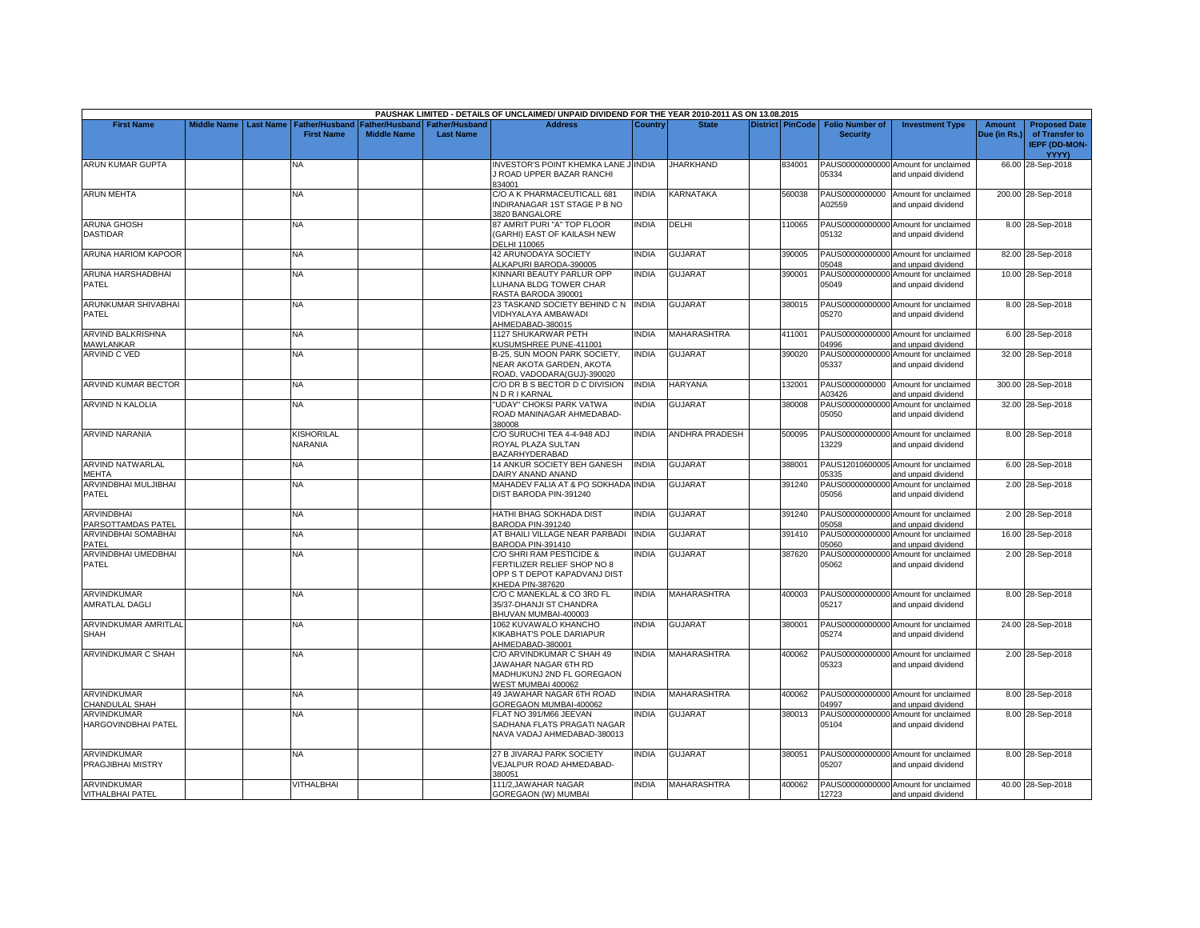|                                               |                    |                  |                                            |                                      |                                           | PAUSHAK LIMITED - DETAILS OF UNCLAIMED/ UNPAID DIVIDEND FOR THE YEAR 2010-2011 AS ON 13.08.2015             |              |                    |                         |                                           |                                                             |                               |                                                                                |
|-----------------------------------------------|--------------------|------------------|--------------------------------------------|--------------------------------------|-------------------------------------------|-------------------------------------------------------------------------------------------------------------|--------------|--------------------|-------------------------|-------------------------------------------|-------------------------------------------------------------|-------------------------------|--------------------------------------------------------------------------------|
| <b>First Name</b>                             | <b>Middle Name</b> | <b>Last Name</b> | <b>Father/Husband</b><br><b>First Name</b> | Father/Husband<br><b>Middle Name</b> | <b>Father/Husband</b><br><b>Last Name</b> | <b>Address</b>                                                                                              | Country      | <b>State</b>       | <b>District PinCode</b> | <b>Folio Number of</b><br><b>Security</b> | <b>Investment Type</b>                                      | <b>Amount</b><br>Due (in Rs.) | <b>Proposed Date</b><br>of Transfer to<br><b>IEPF (DD-MON-</b><br><b>YYYY)</b> |
| ARUN KUMAR GUPTA                              |                    |                  | NA                                         |                                      |                                           | NVESTOR'S POINT KHEMKA LANE JUNDIA<br>J ROAD UPPER BAZAR RANCHI<br>334001                                   |              | <b>JHARKHAND</b>   | 334001                  | 05334                                     | PAUS00000000000 Amount for unclaimed<br>and unpaid dividend |                               | 66.00 28-Sep-2018                                                              |
| <b>ARUN MEHTA</b>                             |                    |                  | NA.                                        |                                      |                                           | C/O A K PHARMACEUTICALL 681<br>INDIRANAGAR 1ST STAGE P B NO<br>3820 BANGALORE                               | <b>INDIA</b> | KARNATAKA          | 560038                  | PAUS0000000000<br>A02559                  | Amount for unclaimed<br>and unpaid dividend                 |                               | 200.00 28-Sep-2018                                                             |
| <b>ARUNA GHOSH</b><br><b>DASTIDAR</b>         |                    |                  | NA.                                        |                                      |                                           | <b>87 AMRIT PURI "A" TOP FLOOR</b><br>(GARHI) EAST OF KAILASH NEW<br><b>DELHI 110065</b>                    | <b>INDIA</b> | DELHI              | 110065                  | 05132                                     | PAUS00000000000 Amount for unclaimed<br>and unpaid dividend |                               | 8.00 28-Sep-2018                                                               |
| ARUNA HARIOM KAPOOR                           |                    |                  | NA.                                        |                                      |                                           | <b>42 ARUNODAYA SOCIETY</b><br>ALKAPURI BARODA-390005                                                       | <b>INDIA</b> | GUJARAT            | 390005                  | 05048                                     | PAUS00000000000 Amount for unclaimed<br>and unpaid dividend |                               | 82.00 28-Sep-2018                                                              |
| ARUNA HARSHADBHAI<br>PATEL                    |                    |                  | <b>NA</b>                                  |                                      |                                           | KINNARI BEAUTY PARLUR OPP<br>LUHANA BLDG TOWER CHAR<br>RASTA BARODA 390001                                  | <b>INDIA</b> | <b>GUJARAT</b>     | 390001                  | 05049                                     | PAUS00000000000 Amount for unclaimed<br>and unpaid dividend |                               | 10.00 28-Sep-2018                                                              |
| ARUNKUMAR SHIVABHAI<br><b>PATEL</b>           |                    |                  | <b>NA</b>                                  |                                      |                                           | 23 TASKAND SOCIETY BEHIND C N<br>VIDHYALAYA AMBAWADI<br>AHMEDABAD-380015                                    | <b>INDIA</b> | <b>GUJARAT</b>     | 380015                  | 05270                                     | PAUS00000000000 Amount for unclaimed<br>and unpaid dividend |                               | 8.00 28-Sep-2018                                                               |
| <b>ARVIND BALKRISHNA</b><br><b>MAWLANKAR</b>  |                    |                  | <b>NA</b>                                  |                                      |                                           | 1127 SHUKARWAR PETH<br>KUSUMSHREE PUNE-411001                                                               | <b>INDIA</b> | <b>MAHARASHTRA</b> | 411001                  | 04996                                     | PAUS00000000000 Amount for unclaimed<br>and unpaid dividend |                               | 6.00 28-Sep-2018                                                               |
| <b>ARVIND C VED</b>                           |                    |                  | ΝA                                         |                                      |                                           | B-25, SUN MOON PARK SOCIETY,<br>NEAR AKOTA GARDEN, AKOTA<br>ROAD, VADODARA(GUJ)-390020                      | <b>INDIA</b> | GUJARAT            | 390020                  | 05337                                     | PAUS00000000000 Amount for unclaimed<br>and unpaid dividend |                               | 32.00 28-Sep-2018                                                              |
| ARVIND KUMAR BECTOR                           |                    |                  | <b>NA</b>                                  |                                      |                                           | C/O DR B S BECTOR D C DIVISION<br><b>VDRIKARNAL</b>                                                         | <b>INDIA</b> | HARYANA            | 132001                  | PAUS0000000000<br>A03426                  | Amount for unclaimed<br>and unpaid dividend                 |                               | 300.00 28-Sep-2018                                                             |
| <b>ARVIND N KALOLIA</b>                       |                    |                  | NA.                                        |                                      |                                           | <b>UDAY" CHOKSI PARK VATWA</b><br>ROAD MANINAGAR AHMEDABAD-<br>380008                                       | <b>INDIA</b> | <b>GUJARAT</b>     | 380008                  | PAUS00000000000<br>05050                  | Amount for unclaimed<br>and unpaid dividend                 |                               | 32.00 28-Sep-2018                                                              |
| <b>ARVIND NARANIA</b>                         |                    |                  | KISHORILAL<br>NARANIA                      |                                      |                                           | C/O SURUCHI TEA 4-4-948 ADJ<br>ROYAL PLAZA SULTAN<br>BAZARHYDERABAD                                         | <b>INDIA</b> | ANDHRA PRADESH     | 500095                  | 13229                                     | PAUS00000000000 Amount for unclaimed<br>and unpaid dividend |                               | 8.00 28-Sep-2018                                                               |
| <b>ARVIND NATWARLAL</b><br>MEHTA              |                    |                  | <b>NA</b>                                  |                                      |                                           | 14 ANKUR SOCIETY BEH GANESH<br>DAIRY ANAND ANAND                                                            | <b>INDIA</b> | <b>GUJARAT</b>     | 388001                  | 05335                                     | PAUS12010600005 Amount for unclaimed<br>and unpaid dividend |                               | 6.00 28-Sep-2018                                                               |
| ARVINDBHAI MULJIBHAI<br>PATEL                 |                    |                  | <b>NA</b>                                  |                                      |                                           | MAHADEV FALIA AT & PO SOKHADA INDIA<br>DIST BARODA PIN-391240                                               |              | GUJARAT            | 391240                  | 05056                                     | PAUS00000000000 Amount for unclaimed<br>and unpaid dividend |                               | 2.00 28-Sep-2018                                                               |
| <b>ARVINDBHAI</b><br>PARSOTTAMDAS PATEL       |                    |                  | NA                                         |                                      |                                           | HATHI BHAG SOKHADA DIST<br>BARODA PIN-391240                                                                | <b>INDIA</b> | <b>GUJARAT</b>     | 391240                  | 05058                                     | PAUS00000000000 Amount for unclaimed<br>and unpaid dividend |                               | 2.00 28-Sep-2018                                                               |
| ARVINDBHAI SOMABHAI<br>PATEL                  |                    |                  | NΑ                                         |                                      |                                           | AT BHAILI VILLAGE NEAR PARBADI<br>BARODA PIN-391410                                                         | <b>INDIA</b> | <b>GUJARAT</b>     | 391410                  | PAUS00000000000<br>05060                  | Amount for unclaimed<br>and unpaid dividend                 |                               | 16.00 28-Sep-2018                                                              |
| ARVINDBHAI UMEDBHAI<br>PATEL                  |                    |                  | NA                                         |                                      |                                           | C/O SHRI RAM PESTICIDE &<br>FERTILIZER RELIEF SHOP NO 8<br>OPP S T DEPOT KAPADVANJ DIST<br>KHEDA PIN-387620 | <b>INDIA</b> | GUJARAT            | 387620                  | PAUS00000000000<br>05062                  | Amount for unclaimed<br>and unpaid dividend                 |                               | 2.00 28-Sep-2018                                                               |
| ARVINDKUMAR<br>AMRATLAL DAGLI                 |                    |                  | NA                                         |                                      |                                           | C/O C MANEKLAL & CO 3RD FL<br>35/37-DHANJI ST CHANDRA<br>BHUVAN MUMBAI-400003                               | <b>INDIA</b> | MAHARASHTRA        | 400003                  | 05217                                     | PAUS00000000000 Amount for unclaimed<br>and unpaid dividend |                               | 8.00 28-Sep-2018                                                               |
| ARVINDKUMAR AMRITLAI<br><b>SHAH</b>           |                    |                  | NA                                         |                                      |                                           | 1062 KUVAWALO KHANCHO<br>KIKABHAT'S POLE DARIAPUR<br>AHMEDABAD-380001                                       | <b>INDIA</b> | <b>GUJARAT</b>     | 380001                  | 05274                                     | PAUS00000000000 Amount for unclaimed<br>and unpaid dividend |                               | 24.00 28-Sep-2018                                                              |
| ARVINDKUMAR C SHAH                            |                    |                  | NA.                                        |                                      |                                           | C/O ARVINDKUMAR C SHAH 49<br>JAWAHAR NAGAR 6TH RD<br>MADHUKUNJ 2ND FL GOREGAON<br>WEST MUMBAI 400062        | <b>INDIA</b> | <b>MAHARASHTRA</b> | 400062                  | 05323                                     | PAUS00000000000 Amount for unclaimed<br>and unpaid dividend |                               | 2.00 28-Sep-2018                                                               |
| ARVINDKUMAR<br>CHANDULAL SHAH                 |                    |                  | <b>NA</b>                                  |                                      |                                           | 49 JAWAHAR NAGAR 6TH ROAD<br>GOREGAON MUMBAI-400062                                                         | <b>INDIA</b> | <b>MAHARASHTRA</b> | 400062                  | 04997                                     | PAUS00000000000 Amount for unclaimed<br>and unpaid dividend |                               | 8.00 28-Sep-2018                                                               |
| <b>ARVINDKUMAR</b><br>HARGOVINDBHAI PATEL     |                    |                  | NA                                         |                                      |                                           | <b>ELAT NO 391/M66 JEEVAN</b><br>SADHANA FLATS PRAGATI NAGAR<br>NAVA VADAJ AHMEDABAD-380013                 | INDIA        | <b>GUJARAT</b>     | 380013                  | 05104                                     | PAUS00000000000 Amount for unclaimed<br>and unpaid dividend |                               | 8.00 28-Sep-2018                                                               |
| <b>ARVINDKUMAR</b><br>PRAGJIBHAI MISTRY       |                    |                  | <b>NA</b>                                  |                                      |                                           | 27 B JIVARAJ PARK SOCIETY<br>VEJALPUR ROAD AHMEDABAD-<br>380051                                             | <b>INDIA</b> | <b>GUJARAT</b>     | 380051                  | 05207                                     | PAUS00000000000 Amount for unclaimed<br>and unpaid dividend |                               | 8.00 28-Sep-2018                                                               |
| <b>ARVINDKUMAR</b><br><b>VITHALBHAI PATEL</b> |                    |                  | VITHALBHAI                                 |                                      |                                           | 111/2, JAWAHAR NAGAR<br><b>GOREGAON (W) MUMBAI</b>                                                          | <b>INDIA</b> | <b>MAHARASHTRA</b> | 400062                  | 12723                                     | PAUS00000000000 Amount for unclaimed<br>and unpaid dividend |                               | 40.00 28-Sep-2018                                                              |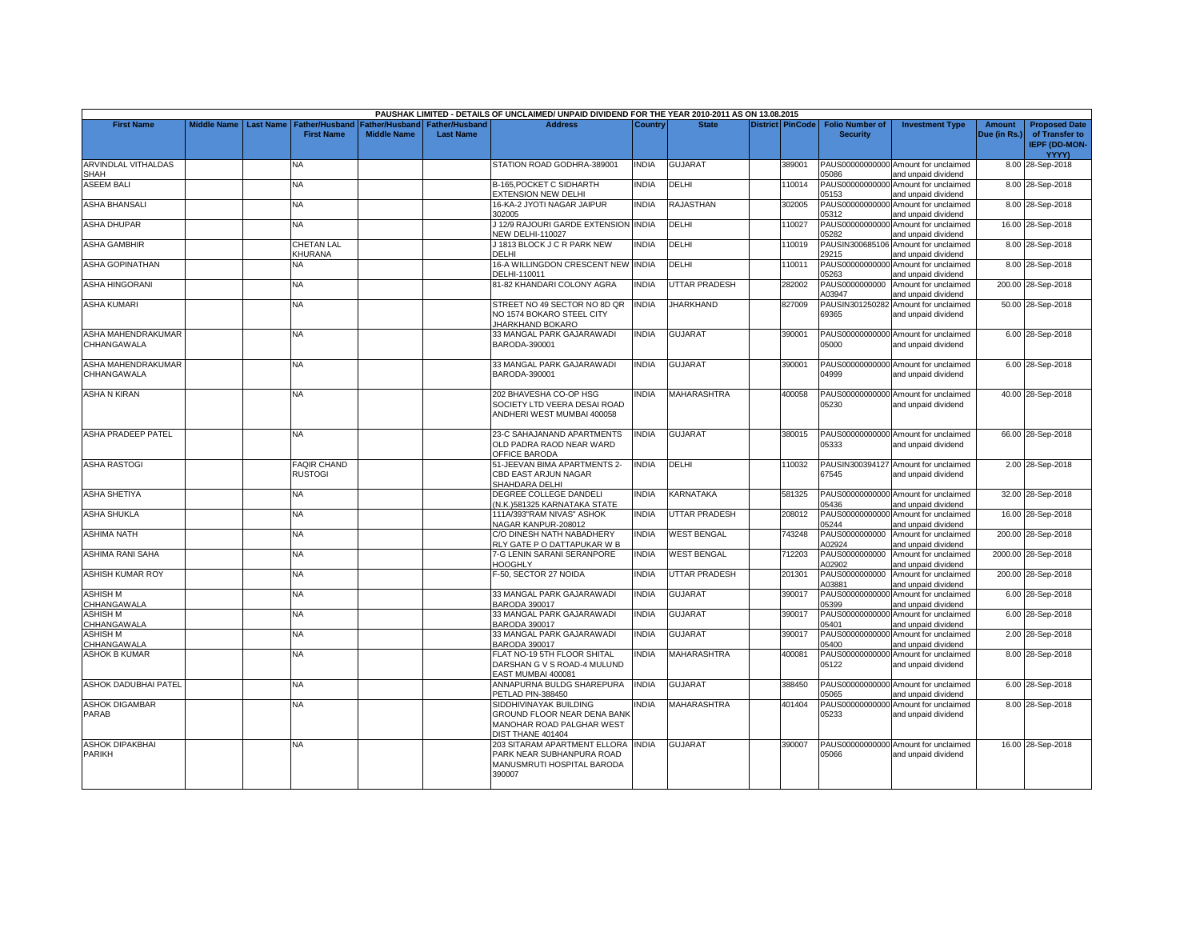|                                |                    |                  |                    |                                                            |                                           | PAUSHAK LIMITED - DETAILS OF UNCLAIMED/ UNPAID DIVIDEND FOR THE YEAR 2010-2011 AS ON 13.08.2015 |                |                      |                         |                                           |                                                |                               |                                                                |
|--------------------------------|--------------------|------------------|--------------------|------------------------------------------------------------|-------------------------------------------|-------------------------------------------------------------------------------------------------|----------------|----------------------|-------------------------|-------------------------------------------|------------------------------------------------|-------------------------------|----------------------------------------------------------------|
| <b>First Name</b>              | <b>Middle Name</b> | <b>Last Name</b> | <b>First Name</b>  | <b>Father/Husband Father/Husband</b><br><b>Middle Name</b> | <b>Father/Husband</b><br><b>Last Name</b> | <b>Address</b>                                                                                  | <b>Country</b> | <b>State</b>         | <b>District PinCode</b> | <b>Folio Number of</b><br><b>Security</b> | <b>Investment Type</b>                         | <b>Amount</b><br>Due (in Rs.) | <b>Proposed Date</b><br>of Transfer to<br><b>IEPF (DD-MON-</b> |
| <b>ARVINDLAL VITHALDAS</b>     |                    |                  | NA                 |                                                            |                                           | STATION ROAD GODHRA-389001                                                                      | <b>INDIA</b>   | <b>GUJARAT</b>       | 389001                  |                                           | PAUS00000000000 Amount for unclaimed           |                               | <b>YYYY)</b>                                                   |
| <b>SHAH</b>                    |                    |                  |                    |                                                            |                                           |                                                                                                 |                |                      |                         | 05086                                     | and unpaid dividend                            |                               | 8.00 28-Sep-2018                                               |
| <b>ASEEM BALI</b>              |                    |                  | <b>NA</b>          |                                                            |                                           | B-165, POCKET C SIDHARTH                                                                        | <b>INDIA</b>   | DELHI                | 110014                  | PAUS00000000000                           | Amount for unclaimed                           |                               | 8.00 28-Sep-2018                                               |
|                                |                    |                  |                    |                                                            |                                           | EXTENSION NEW DELHI                                                                             |                |                      |                         | 05153                                     | and unpaid dividend                            |                               |                                                                |
| <b>ASHA BHANSALI</b>           |                    |                  | NA                 |                                                            |                                           | 16-KA-2 JYOTI NAGAR JAIPUR                                                                      | <b>INDIA</b>   | RAJASTHAN            | 302005                  | PAUS00000000000                           | Amount for unclaimed                           |                               | 8.00 28-Sep-2018                                               |
|                                |                    |                  |                    |                                                            |                                           | 302005                                                                                          |                |                      |                         | 05312                                     | and unpaid dividend                            |                               |                                                                |
| <b>ASHA DHUPAR</b>             |                    |                  | <b>NA</b>          |                                                            |                                           | J 12/9 RAJOURI GARDE EXTENSION INDIA                                                            |                | DELHI                | 110027                  |                                           | PAUS00000000000 Amount for unclaimed           |                               | 16.00 28-Sep-2018                                              |
| <b>ASHA GAMBHIR</b>            |                    |                  | CHETAN LAL         |                                                            |                                           | <b>NEW DELHI-110027</b><br>J1813 BLOCK J C R PARK NEW                                           | <b>INDIA</b>   | <b>DELHI</b>         | 110019                  | 05282<br>PAUSIN300685106                  | and unpaid dividend<br>Amount for unclaimed    |                               | 8.00 28-Sep-2018                                               |
|                                |                    |                  | KHURANA            |                                                            |                                           | DELHI                                                                                           |                |                      |                         | 29215                                     | and unpaid dividend                            |                               |                                                                |
| <b>ASHA GOPINATHAN</b>         |                    |                  | NA                 |                                                            |                                           | 16-A WILLINGDON CRESCENT NEW INDIA                                                              |                | DELHI                | 110011                  | PAUS00000000000                           | Amount for unclaimed                           |                               | 8.00 28-Sep-2018                                               |
|                                |                    |                  |                    |                                                            |                                           | DELHI-110011                                                                                    |                |                      |                         | 05263                                     | and unpaid dividend                            |                               |                                                                |
| <b>ASHA HINGORANI</b>          |                    |                  | NA                 |                                                            |                                           | 81-82 KHANDARI COLONY AGRA                                                                      | <b>INDIA</b>   | <b>UTTAR PRADESH</b> | 282002                  | PAUS0000000000                            | Amount for unclaimed                           |                               | 200.00 28-Sep-2018                                             |
|                                |                    |                  |                    |                                                            |                                           |                                                                                                 |                |                      |                         | A03947                                    | and unpaid dividend                            |                               |                                                                |
| <b>ASHA KUMARI</b>             |                    |                  | NA                 |                                                            |                                           | STREET NO 49 SECTOR NO 8D QR<br>NO 1574 BOKARO STEEL CITY                                       | <b>INDIA</b>   | <b>JHARKHAND</b>     | 827009                  | PAUSIN301250282<br>69365                  | Amount for unclaimed<br>and unpaid dividend    |                               | 50.00 28-Sep-2018                                              |
|                                |                    |                  |                    |                                                            |                                           | JHARKHAND BOKARO                                                                                |                |                      |                         |                                           |                                                |                               |                                                                |
| ASHA MAHENDRAKUMAR             |                    |                  | <b>NA</b>          |                                                            |                                           | 33 MANGAL PARK GAJARAWADI                                                                       | <b>INDIA</b>   | <b>GUJARAT</b>       | 390001                  |                                           | PAUS00000000000 Amount for unclaimed           |                               | 6.00 28-Sep-2018                                               |
| <b>CHHANGAWALA</b>             |                    |                  |                    |                                                            |                                           | BARODA-390001                                                                                   |                |                      |                         | 05000                                     | and unpaid dividend                            |                               |                                                                |
|                                |                    |                  |                    |                                                            |                                           |                                                                                                 |                |                      |                         |                                           |                                                |                               |                                                                |
| ASHA MAHENDRAKUMAR             |                    |                  | <b>NA</b>          |                                                            |                                           | 33 MANGAL PARK GAJARAWADI                                                                       | INDIA          | <b>GUJARAT</b>       | 390001                  |                                           | PAUS00000000000 Amount for unclaimed           |                               | 6.00 28-Sep-2018                                               |
| CHHANGAWALA                    |                    |                  |                    |                                                            |                                           | BARODA-390001                                                                                   |                |                      |                         | 04999                                     | and unpaid dividend                            |                               |                                                                |
| <b>ASHA N KIRAN</b>            |                    |                  | <b>NA</b>          |                                                            |                                           | 202 BHAVESHA CO-OP HSG                                                                          | <b>INDIA</b>   | <b>MAHARASHTRA</b>   | 400058                  |                                           | PAUS00000000000 Amount for unclaimed           |                               | 40.00 28-Sep-2018                                              |
|                                |                    |                  |                    |                                                            |                                           | SOCIETY LTD VEERA DESAI ROAD                                                                    |                |                      |                         | 05230                                     | and unpaid dividend                            |                               |                                                                |
|                                |                    |                  |                    |                                                            |                                           | ANDHERI WEST MUMBAI 400058                                                                      |                |                      |                         |                                           |                                                |                               |                                                                |
|                                |                    |                  |                    |                                                            |                                           |                                                                                                 |                |                      |                         |                                           |                                                |                               |                                                                |
| <b>ASHA PRADEEP PATEL</b>      |                    |                  | <b>NA</b>          |                                                            |                                           | 23-C SAHAJANAND APARTMENTS                                                                      | <b>INDIA</b>   | <b>GUJARAT</b>       | 380015                  |                                           | PAUS00000000000 Amount for unclaimed           |                               | 66.00 28-Sep-2018                                              |
|                                |                    |                  |                    |                                                            |                                           | OLD PADRA RAOD NEAR WARD<br>OFFICE BARODA                                                       |                |                      |                         | 05333                                     | and unpaid dividend                            |                               |                                                                |
| <b>ASHA RASTOGI</b>            |                    |                  | <b>FAQIR CHAND</b> |                                                            |                                           | 51-JEEVAN BIMA APARTMENTS 2-                                                                    | <b>INDIA</b>   | DELHI                | 110032                  |                                           | PAUSIN300394127 Amount for unclaimed           |                               | 2.00 28-Sep-2018                                               |
|                                |                    |                  | <b>RUSTOGI</b>     |                                                            |                                           | CBD EAST ARJUN NAGAR                                                                            |                |                      |                         | 67545                                     | and unpaid dividend                            |                               |                                                                |
|                                |                    |                  |                    |                                                            |                                           | SHAHDARA DELHI                                                                                  |                |                      |                         |                                           |                                                |                               |                                                                |
| <b>ASHA SHETIYA</b>            |                    |                  | NA                 |                                                            |                                           | DEGREE COLLEGE DANDELI                                                                          | <b>INDIA</b>   | KARNATAKA            | 581325                  |                                           | PAUS00000000000 Amount for unclaimed           |                               | 32.00 28-Sep-2018                                              |
| <b>ASHA SHUKLA</b>             |                    |                  | NA.                |                                                            |                                           | (N.K.)581325 KARNATAKA STATE<br>111A/393"RAM NIVAS" ASHOK                                       | <b>INDIA</b>   | <b>JTTAR PRADESH</b> | 208012                  | 05436<br>PAUS000000000                    | and unpaid dividend<br>00 Amount for unclaimed |                               | 16.00 28-Sep-2018                                              |
|                                |                    |                  |                    |                                                            |                                           | NAGAR KANPUR-208012                                                                             |                |                      |                         | 05244                                     | and unpaid dividend                            |                               |                                                                |
| <b>ASHIMA NATH</b>             |                    |                  | <b>NA</b>          |                                                            |                                           | C/O DINESH NATH NABADHERY                                                                       | <b>INDIA</b>   | <b>WEST BENGAL</b>   | 743248                  | PAUS0000000000                            | Amount for unclaimed                           |                               | 200.00 28-Sep-2018                                             |
|                                |                    |                  |                    |                                                            |                                           | RLY GATE P O DATTAPUKAR W B                                                                     |                |                      |                         | A02924                                    | and unpaid dividend                            |                               |                                                                |
| <b>ASHIMA RANI SAHA</b>        |                    |                  | NA                 |                                                            |                                           | 7-G LENIN SARANI SERANPORE                                                                      | <b>INDIA</b>   | <b>WEST BENGAL</b>   | 712203                  | PAUS0000000000                            | Amount for unclaimed                           |                               | 2000.00 28-Sep-2018                                            |
|                                |                    |                  |                    |                                                            |                                           | HOOGHLY                                                                                         |                |                      |                         | A02902                                    | and unpaid dividend                            |                               |                                                                |
| <b>ASHISH KUMAR ROY</b>        |                    |                  | <b>NA</b>          |                                                            |                                           | F-50, SECTOR 27 NOIDA                                                                           | <b>INDIA</b>   | UTTAR PRADESH        | 201301                  | PAUS0000000000<br>103881                  | Amount for unclaimed<br>and unpaid dividend    |                               | 200.00 28-Sep-2018                                             |
| <b>ASHISH M</b>                |                    |                  | <b>NA</b>          |                                                            |                                           | 33 MANGAL PARK GAJARAWADI                                                                       | <b>INDIA</b>   | GUJARAT              | 390017                  | PAUS00000000000                           | Amount for unclaimed                           |                               | 6.00 28-Sep-2018                                               |
| <b>CHHANGAWALA</b>             |                    |                  |                    |                                                            |                                           | <b>BARODA 390017</b>                                                                            |                |                      |                         | 05399                                     | and unpaid dividend                            |                               |                                                                |
| <b>ASHISH M</b>                |                    |                  | NA                 |                                                            |                                           | 33 MANGAL PARK GAJARAWADI                                                                       | <b>INDIA</b>   | GUJARAT              | 390017                  | PAUS000000000                             | Amount for unclaimed                           |                               | 6.00 28-Sep-2018                                               |
| CHHANGAWALA                    |                    |                  |                    |                                                            |                                           | BARODA 390017                                                                                   |                |                      |                         | 05401                                     | and unpaid dividend                            |                               |                                                                |
| <b>ASHISH M</b><br>CHHANGAWALA |                    |                  | <b>NA</b>          |                                                            |                                           | 33 MANGAL PARK GAJARAWADI<br>BARODA 390017                                                      | <b>INDIA</b>   | <b>GUJARAT</b>       | 390017                  | PAUS00000000000<br>05400                  | Amount for unclaimed<br>and unpaid dividend    |                               | 2.00 28-Sep-2018                                               |
| <b>ASHOK B KUMAR</b>           |                    |                  | <b>NA</b>          |                                                            |                                           | FLAT NO-19 5TH FLOOR SHITAL                                                                     | <b>INDIA</b>   | <b>MAHARASHTRA</b>   | 400081                  |                                           | PAUS00000000000 Amount for unclaimed           |                               | 8.00 28-Sep-2018                                               |
|                                |                    |                  |                    |                                                            |                                           | DARSHAN G V S ROAD-4 MULUND                                                                     |                |                      |                         | 05122                                     | and unpaid dividend                            |                               |                                                                |
|                                |                    |                  |                    |                                                            |                                           | EAST MUMBAI 400081                                                                              |                |                      |                         |                                           |                                                |                               |                                                                |
| <b>ASHOK DADUBHAI PATEL</b>    |                    |                  | <b>NA</b>          |                                                            |                                           | ANNAPURNA BULDG SHAREPURA                                                                       | <b>INDIA</b>   | <b>GUJARAT</b>       | 388450                  |                                           | PAUS00000000000 Amount for unclaimed           |                               | 6.00 28-Sep-2018                                               |
|                                |                    |                  |                    |                                                            |                                           | PETLAD PIN-388450                                                                               |                |                      |                         | 05065                                     | and unpaid dividend                            |                               |                                                                |
| <b>ASHOK DIGAMBAR</b><br>PARAB |                    |                  | <b>NA</b>          |                                                            |                                           | SIDDHIVINAYAK BUILDING                                                                          | <b>INDIA</b>   | <b>MAHARASHTRA</b>   | 401404                  | 05233                                     | PAUS00000000000 Amount for unclaimed           |                               | 8.00 28-Sep-2018                                               |
|                                |                    |                  |                    |                                                            |                                           | GROUND FLOOR NEAR DENA BANK<br>MANOHAR ROAD PALGHAR WEST                                        |                |                      |                         |                                           | and unpaid dividend                            |                               |                                                                |
|                                |                    |                  |                    |                                                            |                                           | DIST THANE 401404                                                                               |                |                      |                         |                                           |                                                |                               |                                                                |
| <b>ASHOK DIPAKBHAI</b>         |                    |                  | <b>NA</b>          |                                                            |                                           | 203 SITARAM APARTMENT ELLORA                                                                    | <b>INDIA</b>   | <b>GUJARAT</b>       | 390007                  |                                           | PAUS00000000000 Amount for unclaimed           |                               | 16.00 28-Sep-2018                                              |
| <b>PARIKH</b>                  |                    |                  |                    |                                                            |                                           | PARK NEAR SUBHANPURA ROAD                                                                       |                |                      |                         | 05066                                     | and unpaid dividend                            |                               |                                                                |
|                                |                    |                  |                    |                                                            |                                           | MANUSMRUTI HOSPITAL BARODA                                                                      |                |                      |                         |                                           |                                                |                               |                                                                |
|                                |                    |                  |                    |                                                            |                                           | 390007                                                                                          |                |                      |                         |                                           |                                                |                               |                                                                |
|                                |                    |                  |                    |                                                            |                                           |                                                                                                 |                |                      |                         |                                           |                                                |                               |                                                                |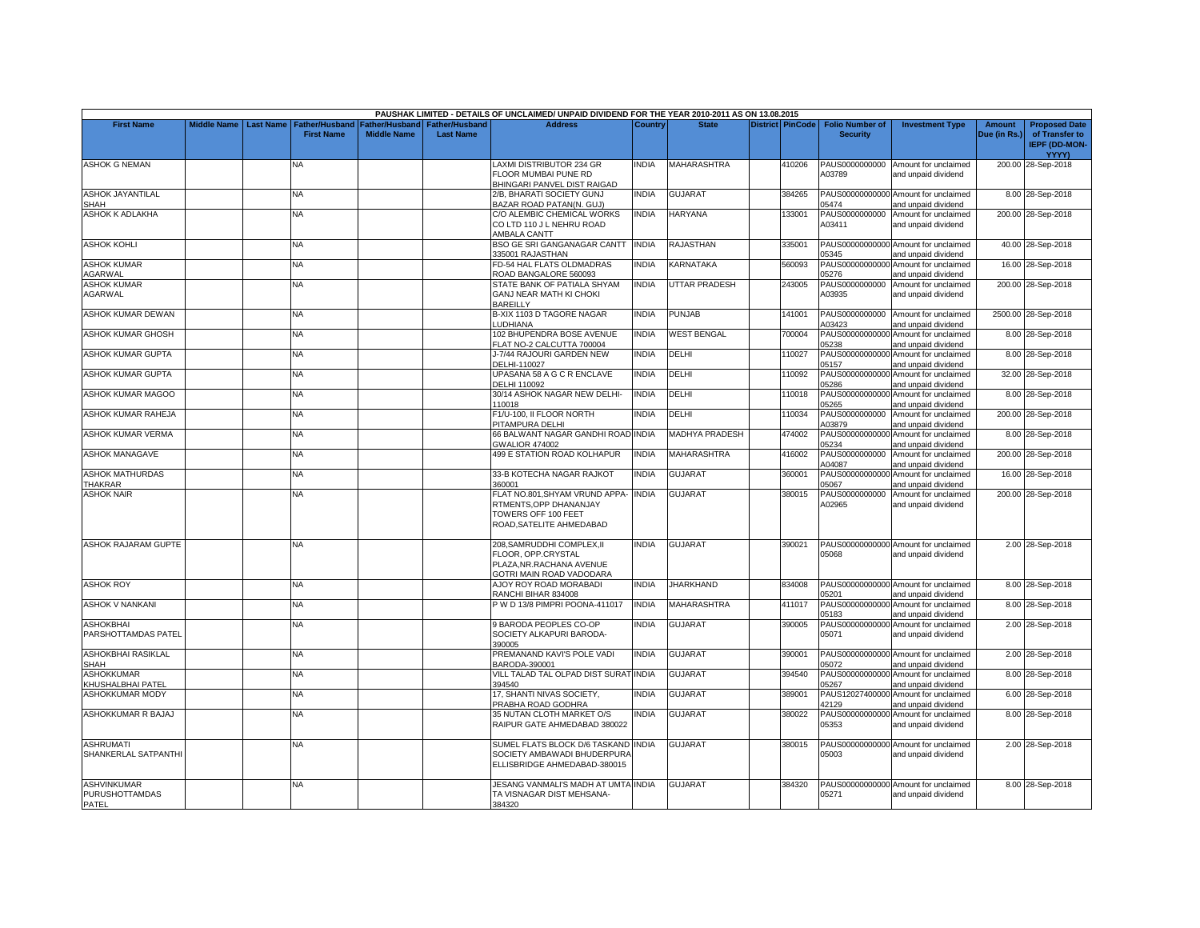|                                                             |                         |                       |                    |                                 | PAUSHAK LIMITED - DETAILS OF UNCLAIMED/ UNPAID DIVIDEND FOR THE YEAR 2010-2011 AS ON 13.08.2015            |                |                       |                         |                          |                                                             |               |                                                        |
|-------------------------------------------------------------|-------------------------|-----------------------|--------------------|---------------------------------|------------------------------------------------------------------------------------------------------------|----------------|-----------------------|-------------------------|--------------------------|-------------------------------------------------------------|---------------|--------------------------------------------------------|
| <b>First Name</b>                                           | Middle Name   Last Name | <b>Father/Husband</b> |                    | Father/Husband I Father/Husband | <b>Address</b>                                                                                             | <b>Country</b> | <b>State</b>          | <b>District PinCode</b> | <b>Folio Number of</b>   | <b>Investment Type</b>                                      | <b>Amount</b> | <b>Proposed Date</b>                                   |
|                                                             |                         | <b>First Name</b>     | <b>Middle Name</b> | <b>Last Name</b>                |                                                                                                            |                |                       |                         | <b>Security</b>          |                                                             | Due (in Rs.)  | of Transfer to<br><b>IEPF (DD-MON-</b><br><b>YYYY)</b> |
| <b>ASHOK G NEMAN</b>                                        |                         | NA                    |                    |                                 | LAXMI DISTRIBUTOR 234 GR<br>FLOOR MUMBAI PUNE RD<br>BHINGARI PANVEL DIST RAIGAD                            | <b>NDIA</b>    | <b>MAHARASHTRA</b>    | 410206                  | PAUS0000000000<br>A03789 | Amount for unclaimed<br>and unpaid dividend                 |               | 200.00 28-Sep-2018                                     |
| ASHOK JAYANTILAL<br>SHAH                                    |                         | NA                    |                    |                                 | 2/B, BHARATI SOCIETY GUNJ<br>BAZAR ROAD PATAN(N. GUJ)                                                      | INDIA          | <b>GUJARAT</b>        | 384265                  | 05474                    | PAUS00000000000 Amount for unclaimed<br>and unpaid dividend |               | 8.00 28-Sep-2018                                       |
| ASHOK K ADLAKHA                                             |                         | NA.                   |                    |                                 | C/O ALEMBIC CHEMICAL WORKS<br>CO LTD 110 J L NEHRU ROAD<br>AMBALA CANTT                                    | <b>NDIA</b>    | <b>HARYANA</b>        | 133001                  | PAUS0000000000<br>A03411 | Amount for unclaimed<br>and unpaid dividend                 |               | 200.00 28-Sep-2018                                     |
| <b>ASHOK KOHLI</b>                                          |                         | <b>NA</b>             |                    |                                 | BSO GE SRI GANGANAGAR CANTT<br>335001 RAJASTHAN                                                            | <b>INDIA</b>   | RAJASTHAN             | 335001                  | 05345                    | PAUS00000000000 Amount for unclaimed<br>and unpaid dividend |               | 40.00 28-Sep-2018                                      |
| <b>ASHOK KUMAR</b><br>AGARWAL                               |                         | NA.                   |                    |                                 | FD-54 HAL FLATS OLDMADRAS<br>ROAD BANGALORE 560093                                                         | INDIA          | KARNATAKA             | 560093                  | 05276                    | PAUS00000000000 Amount for unclaimed<br>and unpaid dividend |               | 16.00 28-Sep-2018                                      |
| <b>ASHOK KUMAR</b><br>AGARWAL                               |                         | <b>NA</b>             |                    |                                 | STATE BANK OF PATIALA SHYAM<br>GANJ NEAR MATH KI CHOKI<br><b>BAREILLY</b>                                  | <b>INDIA</b>   | <b>UTTAR PRADESH</b>  | 243005                  | PAUS0000000000<br>A03935 | Amount for unclaimed<br>and unpaid dividend                 |               | 200.00 28-Sep-2018                                     |
| ASHOK KUMAR DEWAN                                           |                         | NA.                   |                    |                                 | B-XIX 1103 D TAGORE NAGAR<br><b>LUDHIANA</b>                                                               | INDIA          | <b>PUNJAB</b>         | 141001                  | A03423                   | PAUS0000000000 Amount for unclaimed<br>and unpaid dividend  |               | 2500.00 28-Sep-2018                                    |
| ASHOK KUMAR GHOSH                                           |                         | NA                    |                    |                                 | 102 BHUPENDRA BOSE AVENUE<br>FLAT NO-2 CALCUTTA 700004                                                     | INDIA          | <b>WEST BENGAL</b>    | 700004                  | 05238                    | PAUS00000000000 Amount for unclaimed<br>and unpaid dividend |               | 8.00 28-Sep-2018                                       |
| ASHOK KUMAR GUPTA                                           |                         | <b>NA</b>             |                    |                                 | J-7/44 RAJOURI GARDEN NEW<br>DELHI-110027                                                                  | <b>NDIA</b>    | DELHI                 | 110027                  | PAUS00000000000<br>05157 | Amount for unclaimed<br>and unpaid dividend                 |               | 8.00 28-Sep-2018                                       |
| ASHOK KUMAR GUPTA                                           |                         | <b>NA</b>             |                    |                                 | UPASANA 58 A G C R ENCLAVE<br><b>DELHI 110092</b>                                                          | INDIA          | DELHI                 | 110092                  | 05286                    | PAUS00000000000 Amount for unclaimed<br>and unpaid dividend |               | 32.00 28-Sep-2018                                      |
| ASHOK KUMAR MAGOO                                           |                         | NA                    |                    |                                 | 30/14 ASHOK NAGAR NEW DELHI-<br>110018                                                                     | INDIA          | DELHI                 | 110018                  | PAUS00000000000<br>05265 | Amount for unclaimed<br>and unpaid dividend                 |               | 8.00 28-Sep-2018                                       |
| ASHOK KUMAR RAHEJA                                          |                         | NA                    |                    |                                 | F1/U-100, II FLOOR NORTH<br>PITAMPURA DELHI                                                                | INDIA          | DELHI                 | 110034                  | PAUS0000000000<br>A03879 | Amount for unclaimed<br>and unpaid dividend                 |               | 200.00 28-Sep-2018                                     |
| ASHOK KUMAR VERMA                                           |                         | NA                    |                    |                                 | 66 BALWANT NAGAR GANDHI ROAD<br><b>GWALIOR 474002</b>                                                      | <b>INDIA</b>   | <b>MADHYA PRADESH</b> | 474002                  | PAUS00000000000<br>05234 | Amount for unclaimed<br>and unpaid dividend                 |               | 8.00 28-Sep-2018                                       |
| <b>ASHOK MANAGAVE</b>                                       |                         | <b>NA</b>             |                    |                                 | 499 E STATION ROAD KOLHAPUR                                                                                | <b>INDIA</b>   | MAHARASHTRA           | 416002                  | PAUS0000000000<br>404087 | Amount for unclaimed<br>and unpaid dividend                 |               | 200.00 28-Sep-2018                                     |
| <b>ASHOK MATHURDAS</b><br><b>THAKRAR</b>                    |                         | NA                    |                    |                                 | 33-B KOTECHA NAGAR RAJKOT<br>360001                                                                        | <b>NDIA</b>    | <b>GUJARAT</b>        | 360001                  | PAUS00000000000<br>05067 | Amount for unclaimed<br>and unpaid dividend                 |               | 16.00 28-Sep-2018                                      |
| <b>ASHOK NAIR</b>                                           |                         | <b>NA</b>             |                    |                                 | FLAT NO.801, SHYAM VRUND APPA-<br>RTMENTS, OPP DHANANJAY<br>TOWERS OFF 100 FEET<br>ROAD.SATELITE AHMEDABAD | <b>INDIA</b>   | <b>GUJARAT</b>        | 380015                  | PAUS0000000000<br>A02965 | Amount for unclaimed<br>and unpaid dividend                 |               | 200.00 28-Sep-2018                                     |
| <b>ASHOK RAJARAM GUPTE</b>                                  |                         | <b>NA</b>             |                    |                                 | 208, SAMRUDDHI COMPLEX, II<br>FLOOR, OPP.CRYSTAL<br>PLAZA.NR.RACHANA AVENUE<br>GOTRI MAIN ROAD VADODARA    | <b>NDIA</b>    | <b>GUJARAT</b>        | 390021                  | 05068                    | PAUS00000000000 Amount for unclaimed<br>and unpaid dividend |               | 2.00 28-Sep-2018                                       |
| <b>ASHOK ROY</b>                                            |                         | <b>NA</b>             |                    |                                 | AJOY ROY ROAD MORABADI<br>RANCHI BIHAR 834008                                                              | <b>INDIA</b>   | <b>JHARKHAND</b>      | 834008                  | 05201                    | PAUS00000000000 Amount for unclaimed<br>and unpaid dividend |               | 8.00 28-Sep-2018                                       |
| <b>ASHOK V NANKANI</b>                                      |                         | <b>NA</b>             |                    |                                 | W D 13/8 PIMPRI POONA-411017                                                                               | <b>INDIA</b>   | <b>MAHARASHTRA</b>    | 411017                  | PAUS00000000000<br>05183 | Amount for unclaimed<br>and unpaid dividend                 |               | 8.00 28-Sep-2018                                       |
| <b>ASHOKBHAI</b><br>PARSHOTTAMDAS PATEL                     |                         | NA                    |                    |                                 | 9 BARODA PEOPLES CO-OP<br>SOCIETY ALKAPURI BARODA-<br>390005                                               | <b>NDIA</b>    | <b>GUJARAT</b>        | 390005                  | 05071                    | PAUS00000000000 Amount for unclaimed<br>and unpaid dividend |               | 2.00 28-Sep-2018                                       |
| ASHOKBHAI RASIKLAL<br><b>SHAH</b>                           |                         | NA                    |                    |                                 | PREMANAND KAVI'S POLE VADI<br>BARODA-390001                                                                | <b>NDIA</b>    | GUJARAT               | 390001                  | 05072                    | PAUS00000000000 Amount for unclaimed<br>and unpaid dividend |               | 2.00 28-Sep-2018                                       |
| <b>ASHOKKUMAR</b><br>KHUSHALBHAI PATEL                      |                         | <b>NA</b>             |                    |                                 | VILL TALAD TAL OLPAD DIST SURAT INDIA<br>394540                                                            |                | GUJARAT               | 394540                  | 05267                    | PAUS00000000000 Amount for unclaimed<br>and unpaid dividend |               | 8.00 28-Sep-2018                                       |
| ASHOKKUMAR MODY                                             |                         | NA                    |                    |                                 | 17, SHANTI NIVAS SOCIETY,<br>PRABHA ROAD GODHRA                                                            | <b>NDIA</b>    | GUJARAT               | 389001                  | 42129                    | PAUS12027400000 Amount for unclaimed<br>and unpaid dividend |               | 6.00 28-Sep-2018                                       |
| ASHOKKUMAR R BAJAJ                                          |                         | NA.                   |                    |                                 | 35 NUTAN CLOTH MARKET O/S<br>RAIPUR GATE AHMEDABAD 380022                                                  | <b>INDIA</b>   | <b>GUJARAT</b>        | 380022                  | PAUS00000000000<br>05353 | Amount for unclaimed<br>and unpaid dividend                 |               | 8.00 28-Sep-2018                                       |
| <b>ASHRUMATI</b><br>SHANKERLAL SATPANTHI                    |                         | <b>NA</b>             |                    |                                 | SUMEL FLATS BLOCK D/6 TASKAND INDIA<br>SOCIETY AMBAWADI BHUDERPURA<br>ELLISBRIDGE AHMEDABAD-380015         |                | <b>GUJARAT</b>        | 380015                  | 05003                    | PAUS00000000000 Amount for unclaimed<br>and unpaid dividend |               | 2.00 28-Sep-2018                                       |
| <b>ASHVINKUMAR</b><br><b>PURUSHOTTAMDAS</b><br><b>PATEL</b> |                         | <b>NA</b>             |                    |                                 | JESANG VANMALI'S MADH AT UMTA INDIA<br>TA VISNAGAR DIST MEHSANA-<br>384320                                 |                | GUJARAT               | 384320                  | 05271                    | PAUS00000000000 Amount for unclaimed<br>and unpaid dividend |               | 8.00 28-Sep-2018                                       |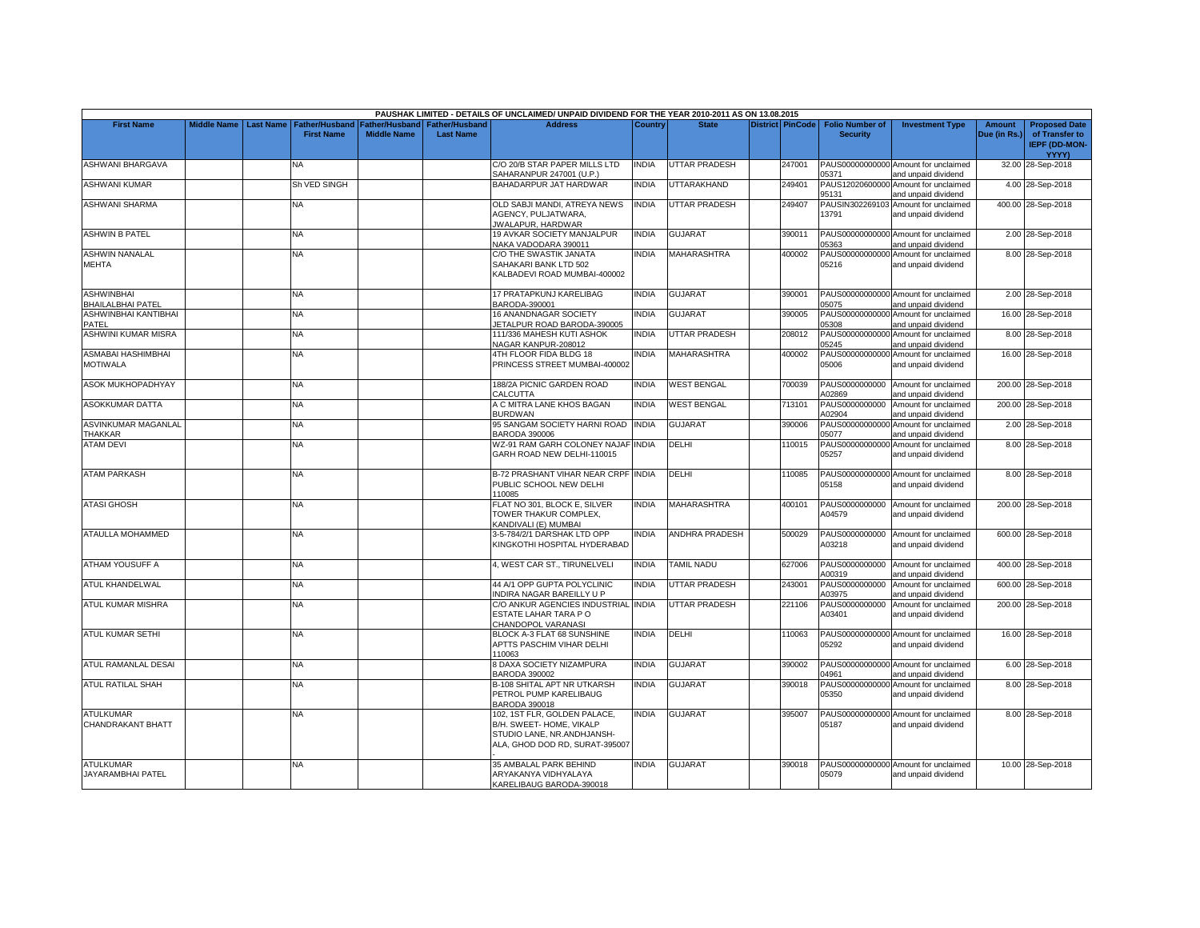|                                               |                    |                  |                                     |                                             |                                           | PAUSHAK LIMITED - DETAILS OF UNCLAIMED/ UNPAID DIVIDEND FOR THE YEAR 2010-2011 AS ON 13.08.2015                          |              |                       |                    |                                                     |                                                             |                               |                                                                         |
|-----------------------------------------------|--------------------|------------------|-------------------------------------|---------------------------------------------|-------------------------------------------|--------------------------------------------------------------------------------------------------------------------------|--------------|-----------------------|--------------------|-----------------------------------------------------|-------------------------------------------------------------|-------------------------------|-------------------------------------------------------------------------|
| <b>First Name</b>                             | <b>Middle Name</b> | <b>Last Name</b> | Father/Husband<br><b>First Name</b> | <b>Father/Husband</b><br><b>Middle Name</b> | <b>Father/Husband</b><br><b>Last Name</b> | <b>Address</b>                                                                                                           | Country      | <b>State</b>          |                    | District PinCode Folio Number of<br><b>Security</b> | <b>Investment Type</b>                                      | <b>Amount</b><br>Due (in Rs.) | <b>Proposed Date</b><br>of Transfer to<br><b>IEPF (DD-MON-</b><br>YYYY) |
| ASHWANI BHARGAVA                              |                    |                  | NA                                  |                                             |                                           | C/O 20/B STAR PAPER MILLS LTD<br>SAHARANPUR 247001 (U.P.)                                                                | INDIA        | <b>UTTAR PRADESH</b>  | 247001             | 05371                                               | PAUS00000000000 Amount for unclaimed<br>and unpaid dividend |                               | 32.00 28-Sep-2018                                                       |
| <b>ASHWANI KUMAR</b>                          |                    |                  | Sh VED SINGH                        |                                             |                                           | BAHADARPUR JAT HARDWAR                                                                                                   | <b>INDIA</b> | <b>UTTARAKHAND</b>    | 249401             | 95131                                               | PAUS12020600000 Amount for unclaimed<br>and unpaid dividend |                               | 4.00 28-Sep-2018                                                        |
| <b>ASHWANI SHARMA</b>                         |                    |                  | <b>NA</b>                           |                                             |                                           | OLD SABJI MANDI, ATREYA NEWS<br>AGENCY, PULJATWARA,<br>JWALAPUR, HARDWAR                                                 | <b>INDIA</b> | <b>UTTAR PRADESH</b>  | 249407             | PAUSIN302269103<br>13791                            | Amount for unclaimed<br>and unpaid dividend                 |                               | 400.00 28-Sep-2018                                                      |
| <b>ASHWIN B PATEL</b>                         |                    |                  | NA                                  |                                             |                                           | 19 AVKAR SOCIETY MANJALPUR<br>NAKA VADODARA 390011                                                                       | <b>INDIA</b> | <b>GUJARAT</b>        | 390011             | 15363                                               | PAUS00000000000 Amount for unclaimed<br>and unpaid dividend |                               | 2.00 28-Sep-2018                                                        |
| <b>ASHWIN NANALAL</b><br>MEHTA                |                    |                  | <b>NA</b>                           |                                             |                                           | C/O THE SWASTIK JANATA<br>SAHAKARI BANK LTD 502<br>KALBADEVI ROAD MUMBAI-400002                                          | <b>INDIA</b> | <b>MAHARASHTRA</b>    | 400002             | PAUS00000000000<br>05216                            | Amount for unclaimed<br>and unpaid dividend                 |                               | 8.00 28-Sep-2018                                                        |
| <b>ASHWINBHAI</b><br><b>BHAILALBHAI PATEL</b> |                    |                  | <b>NA</b>                           |                                             |                                           | 17 PRATAPKUNJ KARELIBAG<br>BARODA-390001                                                                                 | <b>INDIA</b> | <b>GUJARAT</b>        | 390001             | 05075                                               | PAUS00000000000 Amount for unclaimed<br>and unpaid dividend |                               | 2.00 28-Sep-2018                                                        |
| ASHWINBHAI KANTIBHAI<br>PATEL                 |                    |                  | NA                                  |                                             |                                           | 16 ANANDNAGAR SOCIETY<br>JETALPUR ROAD BARODA-390005                                                                     | <b>INDIA</b> | <b>GUJARAT</b>        | 390005             | 05308                                               | PAUS00000000000 Amount for unclaimed<br>and unpaid dividend |                               | 16.00 28-Sep-2018                                                       |
| ASHWINI KUMAR MISRA                           |                    |                  | <b>NA</b>                           |                                             |                                           | 111/336 MAHESH KUTI ASHOK<br>NAGAR KANPUR-208012                                                                         | INDIA        | <b>UTTAR PRADESH</b>  | 208012             | 05245                                               | PAUS00000000000 Amount for unclaimed<br>and unpaid dividend |                               | 8.00 28-Sep-2018                                                        |
| ASMABAI HASHIMBHAI<br><b>MOTIWALA</b>         |                    |                  | <b>NA</b>                           |                                             |                                           | 4TH FLOOR FIDA BLDG 18<br>PRINCESS STREET MUMBAI-400002                                                                  | <b>INDIA</b> | <b>MAHARASHTRA</b>    | 400002             | PAUS00000000000<br>05006                            | Amount for unclaimed<br>and unpaid dividend                 |                               | 16.00 28-Sep-2018                                                       |
| <b>ASOK MUKHOPADHYAY</b>                      |                    |                  | <b>NA</b>                           |                                             |                                           | 188/2A PICNIC GARDEN ROAD<br>CALCUTTA                                                                                    | <b>INDIA</b> | <b>WEST BENGAL</b>    | 700039             | PAUS0000000000<br>102869                            | Amount for unclaimed<br>and unpaid dividend                 |                               | 200.00 28-Sep-2018                                                      |
| ASOKKUMAR DATTA                               |                    |                  | <b>NA</b>                           |                                             |                                           | A C MITRA LANE KHOS BAGAN<br>BURDWAN                                                                                     | <b>INDIA</b> | <b>WEST BENGAL</b>    | 713101             | PAUS0000000000<br>102904                            | Amount for unclaimed<br>and unpaid dividend                 |                               | 200.00 28-Sep-2018                                                      |
| ASVINKUMAR MAGANLAL<br><b>THAKKAR</b>         |                    |                  | <b>NA</b>                           |                                             |                                           | 95 SANGAM SOCIETY HARNI ROAD<br><b>BARODA 390006</b>                                                                     | <b>INDIA</b> | <b>GUJARAT</b>        | 390006             | PAUS00000000000<br>15077                            | Amount for unclaimed<br>and unpaid dividend                 |                               | 2.00 28-Sep-2018                                                        |
| <b>ATAM DEVI</b>                              |                    |                  | <b>NA</b>                           |                                             |                                           | WZ-91 RAM GARH COLONEY NAJAF<br>GARH ROAD NEW DELHI-110015                                                               | <b>INDIA</b> | DELHI                 | 110015             | 05257                                               | PAUS00000000000 Amount for unclaimed<br>and unpaid dividend |                               | 8.00 28-Sep-2018                                                        |
| <b>ATAM PARKASH</b>                           |                    |                  | <b>NA</b>                           |                                             |                                           | <b>B-72 PRASHANT VIHAR NEAR CRPF INDIA</b><br>PUBLIC SCHOOL NEW DELHI<br>110085                                          |              | DELHI                 | 110085             | 05158                                               | PAUS00000000000 Amount for unclaimed<br>and unpaid dividend |                               | 8.00 28-Sep-2018                                                        |
| <b>ATASI GHOSH</b>                            |                    |                  | <b>NA</b>                           |                                             |                                           | FLAT NO 301, BLOCK E, SILVER<br>TOWER THAKUR COMPLEX,<br>KANDIVALI (E) MUMBAI                                            | <b>INDIA</b> | <b>MAHARASHTRA</b>    | 400101             | A04579                                              | PAUS0000000000 Amount for unclaimed<br>and unpaid dividend  |                               | 200.00 28-Sep-2018                                                      |
| ATAULLA MOHAMMED                              |                    |                  | <b>NA</b>                           |                                             |                                           | 3-5-784/2/1 DARSHAK LTD OPP<br>KINGKOTHI HOSPITAL HYDERABAD                                                              | <b>NDIA</b>  | <b>ANDHRA PRADESH</b> | 500029             | PAUS0000000000<br>403218                            | Amount for unclaimed<br>and unpaid dividend                 |                               | 600.00 28-Sep-2018                                                      |
| ATHAM YOUSUFF A                               |                    |                  | <b>NA</b>                           |                                             |                                           | 4, WEST CAR ST., TIRUNELVELI                                                                                             | <b>INDIA</b> | TAMIL NADU            | 627006             | 400319                                              | PAUS0000000000 Amount for unclaimed<br>and unpaid dividend  |                               | 400.00 28-Sep-2018                                                      |
| ATUL KHANDELWAL                               |                    |                  | <b>NA</b>                           |                                             |                                           | 44 A/1 OPP GUPTA POLYCLINIC<br><b>INDIRA NAGAR BAREILLY U P</b>                                                          | <b>INDIA</b> | <b>UTTAR PRADESH</b>  | 24300 <sup>-</sup> | PAUS0000000000<br>403975                            | Amount for unclaimed<br>and unpaid dividend                 |                               | 600.00 28-Sep-2018                                                      |
| ATUL KUMAR MISHRA                             |                    |                  | <b>NA</b>                           |                                             |                                           | C/O ANKUR AGENCIES INDUSTRIAL<br>ESTATE LAHAR TARA PO<br>CHANDOPOL VARANASI                                              | <b>INDIA</b> | <b>UTTAR PRADESH</b>  | 221106             | PAUS0000000000<br>403401                            | Amount for unclaimed<br>and unpaid dividend                 |                               | 200.00 28-Sep-2018                                                      |
| ATUL KUMAR SETHI                              |                    |                  | <b>NA</b>                           |                                             |                                           | BLOCK A-3 FLAT 68 SUNSHINE<br>APTTS PASCHIM VIHAR DELHI<br>110063                                                        | <b>INDIA</b> | DELHI                 | 110063             | 05292                                               | PAUS00000000000 Amount for unclaimed<br>and unpaid dividend |                               | 16.00 28-Sep-2018                                                       |
| ATUL RAMANLAL DESAI                           |                    |                  | NA                                  |                                             |                                           | 8 DAXA SOCIETY NIZAMPURA<br><b>BARODA 390002</b>                                                                         | INDIA        | <b>GUJARAT</b>        | 390002             | 04961                                               | PAUS00000000000 Amount for unclaimed<br>and unpaid dividend |                               | 6.00 28-Sep-2018                                                        |
| <b>ATUL RATILAL SHAH</b>                      |                    |                  | <b>NA</b>                           |                                             |                                           | B-108 SHITAL APT NR UTKARSH<br>PETROL PUMP KARELIBAUG<br><b>BARODA 390018</b>                                            | INDIA        | <b>GUJARAT</b>        | 390018             | 05350                                               | PAUS00000000000 Amount for unclaimed<br>and unpaid dividend |                               | 8.00 28-Sep-2018                                                        |
| <b>ATULKUMAR</b><br>CHANDRAKANT BHATT         |                    |                  | <b>NA</b>                           |                                             |                                           | 102, 1ST FLR, GOLDEN PALACE,<br>B/H. SWEET- HOME, VIKALP<br>STUDIO LANE, NR.ANDHJANSH-<br>ALA, GHOD DOD RD, SURAT-395007 | INDIA        | <b>GUJARAT</b>        | 395007             | 05187                                               | PAUS00000000000 Amount for unclaimed<br>and unpaid dividend |                               | 8.00 28-Sep-2018                                                        |
| <b>ATULKUMAR</b><br>JAYARAMBHAI PATEL         |                    |                  | <b>NA</b>                           |                                             |                                           | 35 AMBALAL PARK BEHIND<br>ARYAKANYA VIDHYALAYA<br>KARELIBAUG BARODA-390018                                               | <b>INDIA</b> | <b>GUJARAT</b>        | 390018             | 05079                                               | PAUS00000000000 Amount for unclaimed<br>and unpaid dividend |                               | 10.00 28-Sep-2018                                                       |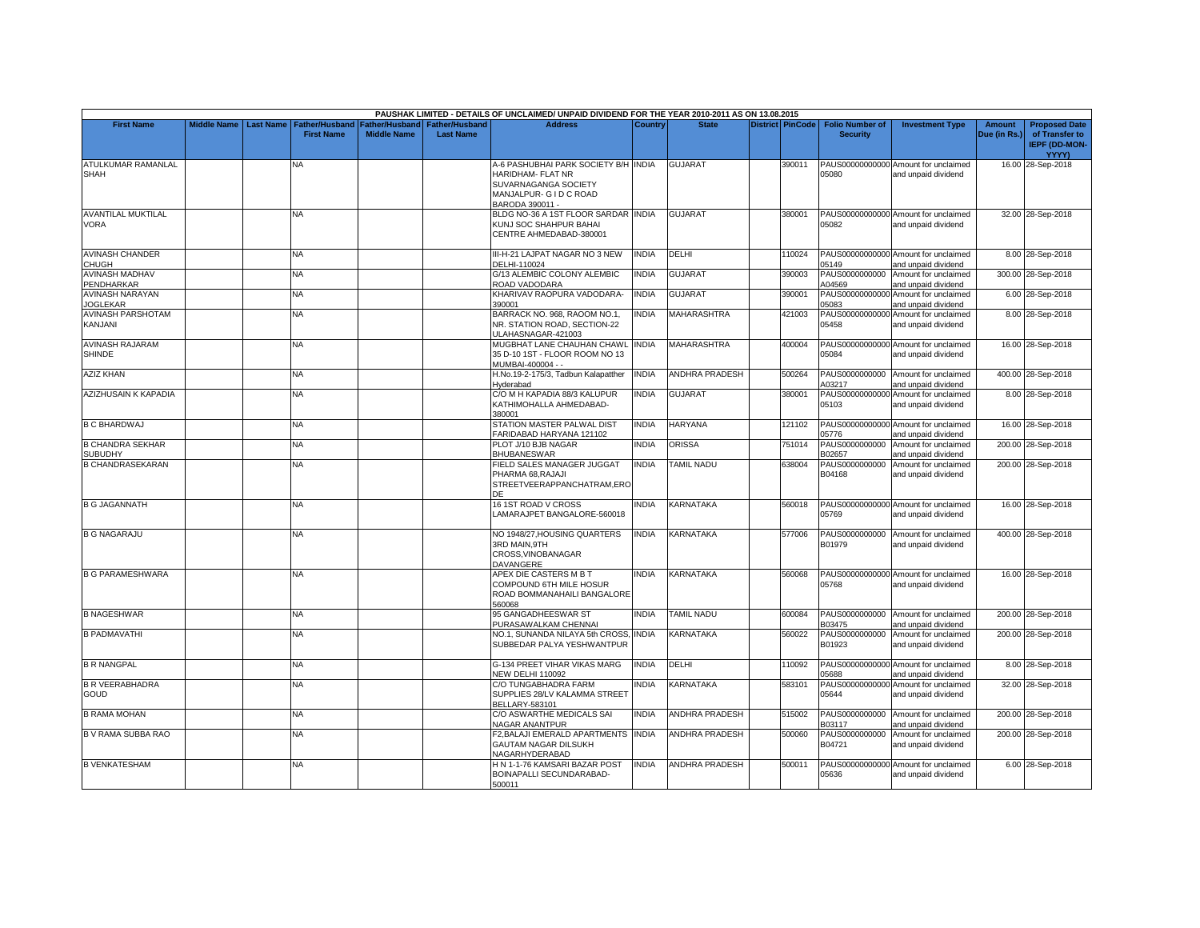|                                           |                         |                                            |                                             |                                           | PAUSHAK LIMITED - DETAILS OF UNCLAIMED/ UNPAID DIVIDEND FOR THE YEAR 2010-2011 AS ON 13.08.2015                                      |                |                       |                         |                                           |                                                             |                               |                                                                         |
|-------------------------------------------|-------------------------|--------------------------------------------|---------------------------------------------|-------------------------------------------|--------------------------------------------------------------------------------------------------------------------------------------|----------------|-----------------------|-------------------------|-------------------------------------------|-------------------------------------------------------------|-------------------------------|-------------------------------------------------------------------------|
| <b>First Name</b>                         | Middle Name   Last Name | <b>Father/Husband</b><br><b>First Name</b> | <b>Father/Husband</b><br><b>Middle Name</b> | <b>Father/Husband</b><br><b>Last Name</b> | <b>Address</b>                                                                                                                       | <b>Country</b> | <b>State</b>          | <b>District PinCode</b> | <b>Folio Number of</b><br><b>Security</b> | <b>Investment Type</b>                                      | <b>Amount</b><br>Due (in Rs.) | <b>Proposed Date</b><br>of Transfer to<br>IEPF (DD-MON-<br><b>YYYY)</b> |
| ATULKUMAR RAMANLAL<br><b>SHAH</b>         |                         | <b>NA</b>                                  |                                             |                                           | A-6 PASHUBHAI PARK SOCIETY B/H INDIA<br><b>HARIDHAM- FLAT NR</b><br>SUVARNAGANGA SOCIETY<br>MANJALPUR- G I D C ROAD<br>BARODA 390011 |                | <b>GUJARAT</b>        | 390011                  | 05080                                     | PAUS00000000000 Amount for unclaimed<br>and unpaid dividend |                               | 16.00 28-Sep-2018                                                       |
| <b>AVANTILAL MUKTILAL</b><br><b>VORA</b>  |                         | NA.                                        |                                             |                                           | BLDG NO-36 A 1ST FLOOR SARDAR INDIA<br>KUNJ SOC SHAHPUR BAHAI<br>CENTRE AHMEDABAD-380001                                             |                | <b>GUJARAT</b>        | 380001                  | 05082                                     | PAUS00000000000 Amount for unclaimed<br>and unpaid dividend |                               | 32.00 28-Sep-2018                                                       |
| <b>AVINASH CHANDER</b><br>CHUGH           |                         | NA                                         |                                             |                                           | III-H-21 LAJPAT NAGAR NO 3 NEW<br>DELHI-110024                                                                                       | <b>INDIA</b>   | DELHI                 | 110024                  | 05149                                     | PAUS00000000000 Amount for unclaimed<br>and unpaid dividend |                               | 8.00 28-Sep-2018                                                        |
| <b>AVINASH MADHAV</b><br>PENDHARKAR       |                         | NΑ                                         |                                             |                                           | G/13 ALEMBIC COLONY ALEMBIC<br>ROAD VADODARA                                                                                         | <b>NDIA</b>    | GUJARAT               | 390003                  | PAUS0000000000<br>A04569                  | Amount for unclaimed<br>and unpaid dividend                 |                               | 300.00 28-Sep-2018                                                      |
| AVINASH NARAYAN<br><b>JOGLEKAR</b>        |                         | <b>NA</b>                                  |                                             |                                           | KHARIVAV RAOPURA VADODARA-<br>390001                                                                                                 | INDIA          | <b>GUJARAT</b>        | 390001                  | 05083                                     | PAUS00000000000 Amount for unclaimed<br>and unpaid dividend |                               | 6.00 28-Sep-2018                                                        |
| AVINASH PARSHOTAM<br>KANJANI              |                         | ΝA                                         |                                             |                                           | BARRACK NO. 968, RAOOM NO.1.<br>NR. STATION ROAD, SECTION-22<br>JLAHASNAGAR-421003                                                   | INDIA          | MAHARASHTRA           | 421003                  | 05458                                     | PAUS00000000000 Amount for unclaimed<br>and unpaid dividend |                               | 8.00 28-Sep-2018                                                        |
| <b>AVINASH RAJARAM</b><br><b>SHINDE</b>   |                         | <b>NA</b>                                  |                                             |                                           | MUGBHAT LANE CHAUHAN CHAWL INDIA<br>35 D-10 1ST - FLOOR ROOM NO 13<br>MUMBAI-400004 - -                                              |                | <b>MAHARASHTRA</b>    | 400004                  | 05084                                     | PAUS00000000000 Amount for unclaimed<br>and unpaid dividend |                               | 16.00 28-Sep-2018                                                       |
| <b>AZIZ KHAN</b>                          |                         | <b>NA</b>                                  |                                             |                                           | H.No.19-2-175/3, Tadbun Kalapatther<br>Hyderabad                                                                                     | <b>INDIA</b>   | <b>ANDHRA PRADESH</b> | 500264                  | PAUS0000000000<br>A03217                  | Amount for unclaimed<br>and unpaid dividend                 |                               | 400.00 28-Sep-2018                                                      |
| AZIZHUSAIN K KAPADIA                      |                         | <b>NA</b>                                  |                                             |                                           | C/O M H KAPADIA 88/3 KALUPUR<br>KATHIMOHALLA AHMEDABAD-<br>380001                                                                    | <b>NDIA</b>    | <b>GUJARAT</b>        | 380001                  | PAUS00000000000<br>05103                  | Amount for unclaimed<br>and unpaid dividend                 |                               | 8.00 28-Sep-2018                                                        |
| <b>B C BHARDWAJ</b>                       |                         | NΑ                                         |                                             |                                           | STATION MASTER PALWAL DIST<br>FARIDABAD HARYANA 121102                                                                               | <b>INDIA</b>   | <b>HARYANA</b>        | 121102                  | PAUS00000000000<br>05776                  | Amount for unclaimed<br>and unpaid dividend                 |                               | 16.00 28-Sep-2018                                                       |
| <b>B CHANDRA SEKHAR</b><br><b>SUBUDHY</b> |                         | <b>NA</b>                                  |                                             |                                           | PLOT J/10 BJB NAGAR<br><b>BHUBANESWAR</b>                                                                                            | <b>NDIA</b>    | <b>ORISSA</b>         | 751014                  | PAUS0000000000<br>B02657                  | Amount for unclaimed<br>and unpaid dividend                 |                               | 200.00 28-Sep-2018                                                      |
| <b>B CHANDRASEKARAN</b>                   |                         | <b>NA</b>                                  |                                             |                                           | FIELD SALES MANAGER JUGGAT<br>PHARMA 68, RAJAJI<br>STREETVEERAPPANCHATRAM,ERO<br>DE                                                  | INDIA          | <b>TAMIL NADU</b>     | 638004                  | PAUS0000000000<br>B04168                  | Amount for unclaimed<br>and unpaid dividend                 |                               | 200.00 28-Sep-2018                                                      |
| <b>B G JAGANNATH</b>                      |                         | <b>NA</b>                                  |                                             |                                           | 16 1ST ROAD V CROSS<br>LAMARAJPET BANGALORE-560018                                                                                   | <b>INDIA</b>   | KARNATAKA             | 560018                  | 05769                                     | PAUS00000000000 Amount for unclaimed<br>and unpaid dividend |                               | 16.00 28-Sep-2018                                                       |
| <b>B G NAGARAJU</b>                       |                         | NA                                         |                                             |                                           | NO 1948/27, HOUSING QUARTERS<br>3RD MAIN, 9TH<br>CROSS, VINOBANAGAR<br>DAVANGERE                                                     | <b>INDIA</b>   | KARNATAKA             | 577006                  | B01979                                    | PAUS0000000000 Amount for unclaimed<br>and unpaid dividend  |                               | 400.00 28-Sep-2018                                                      |
| <b>B G PARAMESHWARA</b>                   |                         | <b>NA</b>                                  |                                             |                                           | APEX DIE CASTERS M B T<br>COMPOUND 6TH MILE HOSUR<br>ROAD BOMMANAHAILI BANGALORE<br>560068                                           | <b>INDIA</b>   | <b>KARNATAKA</b>      | 560068                  | 05768                                     | PAUS00000000000 Amount for unclaimed<br>and unpaid dividend |                               | 16.00 28-Sep-2018                                                       |
| <b>B NAGESHWAR</b>                        |                         | NA.                                        |                                             |                                           | 95 GANGADHEESWAR ST<br>PURASAWALKAM CHENNAI                                                                                          | INDIA          | TAMIL NADU            | 600084                  | PAUS0000000000<br>B03475                  | Amount for unclaimed<br>and unpaid dividend                 |                               | 200.00 28-Sep-2018                                                      |
| <b>B PADMAVATHI</b>                       |                         | <b>NA</b>                                  |                                             |                                           | NO.1, SUNANDA NILAYA 5th CROSS,<br>SUBBEDAR PALYA YESHWANTPUR                                                                        | <b>INDIA</b>   | KARNATAKA             | 560022                  | PAUS0000000000<br>B01923                  | Amount for unclaimed<br>and unpaid dividend                 |                               | 200.00 28-Sep-2018                                                      |
| <b>B R NANGPAL</b>                        |                         | NA.                                        |                                             |                                           | G-134 PREET VIHAR VIKAS MARG<br><b>NEW DELHI 110092</b>                                                                              | INDIA          | DELHI                 | 110092                  | 05688                                     | PAUS00000000000 Amount for unclaimed<br>and unpaid dividend |                               | 8.00 28-Sep-2018                                                        |
| <b>B R VEERABHADRA</b><br>GOUD            |                         | <b>NA</b>                                  |                                             |                                           | C/O TUNGABHADRA FARM<br>SUPPLIES 28/LV KALAMMA STREET<br>BELLARY-583101                                                              | <b>NDIA</b>    | KARNATAKA             | 583101                  | 05644                                     | PAUS00000000000 Amount for unclaimed<br>and unpaid dividend |                               | 32.00 28-Sep-2018                                                       |
| <b>B RAMA MOHAN</b>                       |                         | NA                                         |                                             |                                           | C/O ASWARTHE MEDICALS SAI<br>NAGAR ANANTPUR                                                                                          | INDIA          | <b>ANDHRA PRADESH</b> | 515002                  | B03117                                    | PAUS0000000000 Amount for unclaimed<br>and unpaid dividend  |                               | 200.00 28-Sep-2018                                                      |
| B V RAMA SUBBA RAO                        |                         | NΑ                                         |                                             |                                           | F2, BALAJI EMERALD APARTMENTS<br>GAUTAM NAGAR DILSUKH<br>NAGARHYDERABAD                                                              | <b>INDIA</b>   | ANDHRA PRADESH        | 500060                  | PAUS0000000000<br>B04721                  | Amount for unclaimed<br>and unpaid dividend                 |                               | 200.00 28-Sep-2018                                                      |
| <b>B VENKATESHAM</b>                      |                         | NA                                         |                                             |                                           | H N 1-1-76 KAMSARI BAZAR POST<br>BOINAPALLI SECUNDARABAD-<br>500011                                                                  | INDIA          | <b>ANDHRA PRADESH</b> | 500011                  | 05636                                     | PAUS00000000000 Amount for unclaimed<br>and unpaid dividend |                               | 6.00 28-Sep-2018                                                        |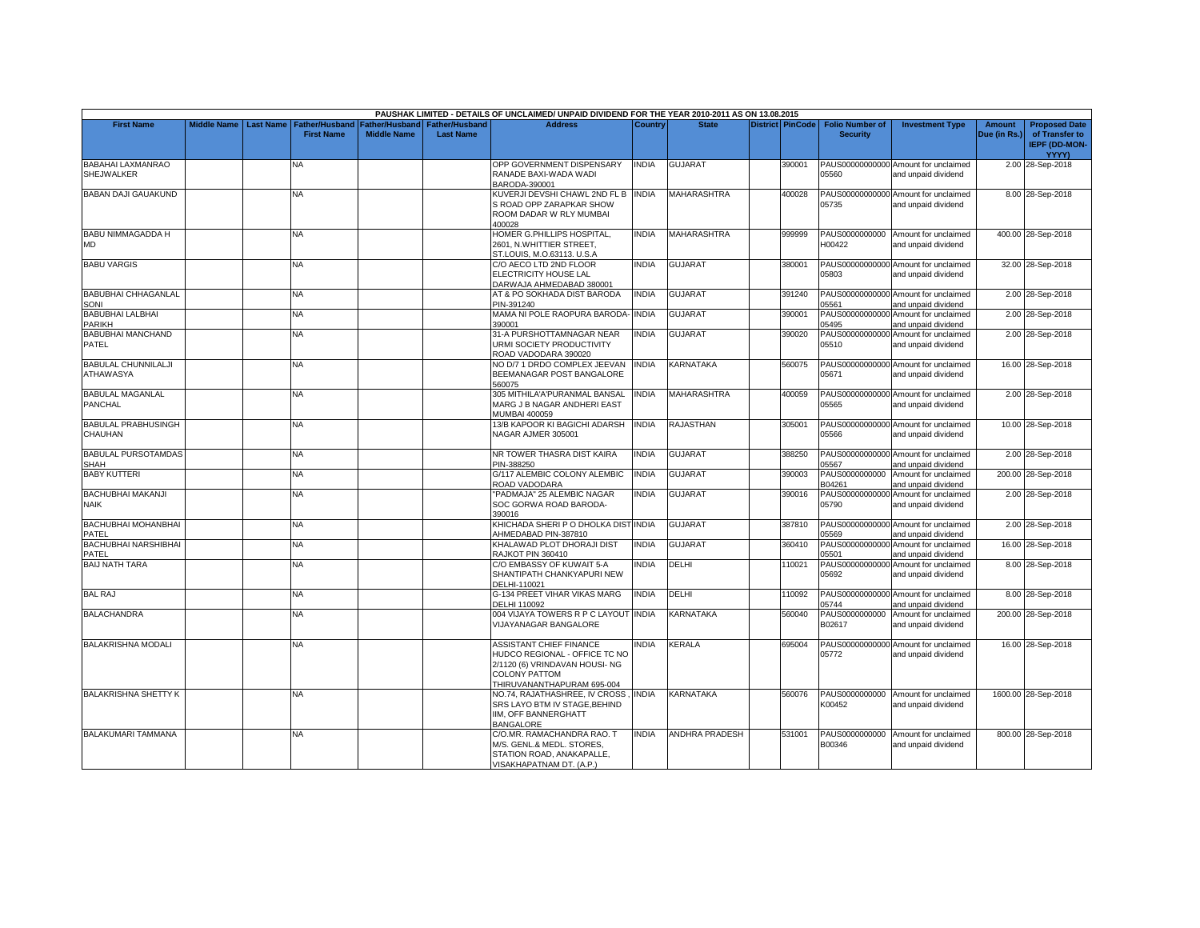|                                                |  |                                          |                       |                       | PAUSHAK LIMITED - DETAILS OF UNCLAIMED/ UNPAID DIVIDEND FOR THE YEAR 2010-2011 AS ON 13.08.2015 |                |                       |        |                                  |                                                             |              |                                 |
|------------------------------------------------|--|------------------------------------------|-----------------------|-----------------------|-------------------------------------------------------------------------------------------------|----------------|-----------------------|--------|----------------------------------|-------------------------------------------------------------|--------------|---------------------------------|
| <b>First Name</b>                              |  | Middle Name   Last Name   Father/Husband | <b>Father/Husband</b> | <b>Father/Husband</b> | <b>Address</b>                                                                                  | <b>Country</b> | <b>State</b>          |        | District PinCode Folio Number of | <b>Investment Type</b>                                      | Amount       | <b>Proposed Date</b>            |
|                                                |  | <b>First Name</b>                        | <b>Middle Name</b>    | <b>Last Name</b>      |                                                                                                 |                |                       |        | <b>Security</b>                  |                                                             | Due (in Rs.) | of Transfer to<br>IEPF (DD-MON- |
| <b>BABAHAI LAXMANRAO</b>                       |  | NA                                       |                       |                       | OPP GOVERNMENT DISPENSARY                                                                       | <b>INDIA</b>   | <b>GUJARAT</b>        | 390001 |                                  | PAUS00000000000 Amount for unclaimed                        |              | YYYY)<br>2.00 28-Sep-2018       |
| SHEJWALKER                                     |  |                                          |                       |                       | RANADE BAXI-WADA WADI<br>BARODA-390001                                                          |                |                       |        | 05560                            | and unpaid dividend                                         |              |                                 |
| <b>BABAN DAJI GAUAKUND</b>                     |  | NA.                                      |                       |                       | KUVERJI DEVSHI CHAWL 2ND FL B INDIA                                                             |                | <b>MAHARASHTRA</b>    | 400028 |                                  | PAUS00000000000 Amount for unclaimed                        |              | 8.00 28-Sep-2018                |
|                                                |  |                                          |                       |                       | S ROAD OPP ZARAPKAR SHOW                                                                        |                |                       |        | 05735                            | and unpaid dividend                                         |              |                                 |
|                                                |  |                                          |                       |                       | ROOM DADAR W RLY MUMBAI<br>400028                                                               |                |                       |        |                                  |                                                             |              |                                 |
| <b>BABU NIMMAGADDA H</b>                       |  | <b>NA</b>                                |                       |                       | HOMER G.PHILLIPS HOSPITAL,                                                                      | <b>INDIA</b>   | <b>MAHARASHTRA</b>    | 999999 | PAUS0000000000                   | Amount for unclaimed                                        |              | 400.00 28-Sep-2018              |
| <b>MD</b>                                      |  |                                          |                       |                       | 2601, N.WHITTIER STREET,<br>ST.LOUIS, M.O.63113. U.S.A                                          |                |                       |        | H00422                           | and unpaid dividend                                         |              |                                 |
| <b>BABU VARGIS</b>                             |  | <b>NA</b>                                |                       |                       | C/O AECO LTD 2ND FLOOR                                                                          | <b>INDIA</b>   | <b>GUJARAT</b>        | 380001 |                                  | PAUS00000000000 Amount for unclaimed                        |              | 32.00 28-Sep-2018               |
|                                                |  |                                          |                       |                       | ELECTRICITY HOUSE LAL                                                                           |                |                       |        | 05803                            | and unpaid dividend                                         |              |                                 |
|                                                |  |                                          |                       |                       | DARWAJA AHMEDABAD 380001                                                                        |                |                       |        |                                  |                                                             |              |                                 |
| <b>BABUBHAI CHHAGANLAL</b>                     |  | NA                                       |                       |                       | AT & PO SOKHADA DIST BARODA                                                                     | <b>INDIA</b>   | <b>GUJARAT</b>        | 391240 |                                  | PAUS00000000000 Amount for unclaimed                        |              | 2.00 28-Sep-2018                |
| SONI<br><b>BABUBHAI LALBHAI</b>                |  | <b>NA</b>                                |                       |                       | PIN-391240<br>MAMA NI POLE RAOPURA BARODA- INDIA                                                |                | GUJARAT               | 390001 | 05561                            | and unpaid dividend<br>PAUS00000000000 Amount for unclaimed |              | 2.00 28-Sep-2018                |
| PARIKH                                         |  |                                          |                       |                       | 390001                                                                                          |                |                       |        | 05495                            | and unpaid dividend                                         |              |                                 |
| <b>BABUBHAI MANCHAND</b>                       |  | <b>NA</b>                                |                       |                       | 31-A PURSHOTTAMNAGAR NEAR                                                                       | <b>INDIA</b>   | <b>GUJARAT</b>        | 390020 |                                  | PAUS00000000000 Amount for unclaimed                        |              | 2.00 28-Sep-2018                |
| PATEL                                          |  |                                          |                       |                       | <b>JRMI SOCIETY PRODUCTIVITY</b>                                                                |                |                       |        | 05510                            | and unpaid dividend                                         |              |                                 |
|                                                |  |                                          |                       |                       | ROAD VADODARA 390020                                                                            |                |                       |        |                                  |                                                             |              |                                 |
| <b>BABULAL CHUNNILALJI</b><br><b>ATHAWASYA</b> |  | NA                                       |                       |                       | NO D/7 1 DRDO COMPLEX JEEVAN<br>BEEMANAGAR POST BANGALORE                                       | <b>INDIA</b>   | KARNATAKA             | 560075 | 05671                            | PAUS00000000000 Amount for unclaimed<br>and unpaid dividend |              | 16.00 28-Sep-2018               |
|                                                |  |                                          |                       |                       | 560075                                                                                          |                |                       |        |                                  |                                                             |              |                                 |
| <b>BABULAL MAGANLAL</b>                        |  | <b>NA</b>                                |                       |                       | 305 MITHILA'A'PURANMAL BANSAL                                                                   | <b>INDIA</b>   | <b>MAHARASHTRA</b>    | 400059 |                                  | PAUS00000000000 Amount for unclaimed                        |              | 2.00 28-Sep-2018                |
| <b>PANCHAL</b>                                 |  |                                          |                       |                       | MARG J B NAGAR ANDHERI EAST                                                                     |                |                       |        | 05565                            | and unpaid dividend                                         |              |                                 |
|                                                |  |                                          |                       |                       | <b>MUMBAI 400059</b>                                                                            |                |                       |        |                                  |                                                             |              |                                 |
| <b>BABULAL PRABHUSINGH</b>                     |  | <b>NA</b>                                |                       |                       | 13/B KAPOOR KI BAGICHI ADARSH                                                                   | <b>INDIA</b>   | <b>RAJASTHAN</b>      | 305001 |                                  | PAUS00000000000 Amount for unclaimed                        |              | 10.00 28-Sep-2018               |
| CHAUHAN                                        |  |                                          |                       |                       | NAGAR AJMER 305001                                                                              |                |                       |        | 05566                            | and unpaid dividend                                         |              |                                 |
| <b>BABULAL PURSOTAMDAS</b><br><b>SHAH</b>      |  | NA.                                      |                       |                       | NR TOWER THASRA DIST KAIRA<br>PIN-388250                                                        | <b>INDIA</b>   | <b>GUJARAT</b>        | 388250 | 05567                            | PAUS00000000000 Amount for unclaimed<br>and unpaid dividend |              | 2.00 28-Sep-2018                |
| <b>BABY KUTTERI</b>                            |  | NA.                                      |                       |                       | G/117 ALEMBIC COLONY ALEMBIC                                                                    | <b>INDIA</b>   | <b>GUJARAT</b>        | 390003 |                                  | PAUS0000000000 Amount for unclaimed                         |              | 200.00 28-Sep-2018              |
|                                                |  |                                          |                       |                       | ROAD VADODARA                                                                                   |                |                       |        | B04261                           | and unpaid dividend                                         |              |                                 |
| BACHUBHAI MAKANJI                              |  | NA.                                      |                       |                       | 'PADMAJA" 25 ALEMBIC NAGAR                                                                      | <b>INDIA</b>   | <b>GUJARAT</b>        | 390016 | PAUS00000000000                  | Amount for unclaimed                                        |              | 2.00 28-Sep-2018                |
| <b>NAIK</b>                                    |  |                                          |                       |                       | SOC GORWA ROAD BARODA-                                                                          |                |                       |        | 05790                            | and unpaid dividend                                         |              |                                 |
| <b>BACHUBHAI MOHANBHAI</b>                     |  | <b>NA</b>                                |                       |                       | 390016<br>KHICHADA SHERI P O DHOLKA DISTINDIA                                                   |                | <b>GUJARAT</b>        | 387810 |                                  | PAUS00000000000 Amount for unclaimed                        |              | 2.00 28-Sep-2018                |
| PATEL                                          |  |                                          |                       |                       | AHMEDABAD PIN-387810                                                                            |                |                       |        | 05569                            | and unpaid dividend                                         |              |                                 |
| <b>BACHUBHAI NARSHIBHAI</b>                    |  | <b>NA</b>                                |                       |                       | KHALAWAD PLOT DHORAJI DIST                                                                      | <b>INDIA</b>   | <b>GUJARAT</b>        | 360410 |                                  | PAUS00000000000 Amount for unclaimed                        |              | 16.00 28-Sep-2018               |
| PATEL                                          |  |                                          |                       |                       | RAJKOT PIN 360410                                                                               |                |                       |        | 05501                            | and unpaid dividend                                         |              |                                 |
| <b>BAIJ NATH TARA</b>                          |  | NA                                       |                       |                       | C/O EMBASSY OF KUWAIT 5-A                                                                       | <b>INDIA</b>   | DELHI                 | 110021 |                                  | PAUS00000000000 Amount for unclaimed                        |              | 8.00 28-Sep-2018                |
|                                                |  |                                          |                       |                       | SHANTIPATH CHANKYAPURI NEW<br>DELHI-110021                                                      |                |                       |        | 05692                            | and unpaid dividend                                         |              |                                 |
| <b>BAL RAJ</b>                                 |  | NA                                       |                       |                       | G-134 PREET VIHAR VIKAS MARG                                                                    | <b>INDIA</b>   | DELHI                 | 110092 |                                  | PAUS00000000000 Amount for unclaimed                        |              | 8.00 28-Sep-2018                |
|                                                |  |                                          |                       |                       | DELHI 110092                                                                                    |                |                       |        | 05744                            | and unpaid dividend                                         |              |                                 |
| <b>BALACHANDRA</b>                             |  | <b>NA</b>                                |                       |                       | 004 VIJAYA TOWERS R P C LAYOUT INDIA                                                            |                | KARNATAKA             | 560040 |                                  | PAUS0000000000 Amount for unclaimed                         |              | 200.00 28-Sep-2018              |
|                                                |  |                                          |                       |                       | <b>VIJAYANAGAR BANGALORE</b>                                                                    |                |                       |        | B02617                           | and unpaid dividend                                         |              |                                 |
| <b>BALAKRISHNA MODALI</b>                      |  | <b>NA</b>                                |                       |                       | ASSISTANT CHIEF FINANCE                                                                         | <b>INDIA</b>   | <b>KERALA</b>         | 695004 |                                  | PAUS00000000000 Amount for unclaimed                        |              | 16.00 28-Sep-2018               |
|                                                |  |                                          |                       |                       | HUDCO REGIONAL - OFFICE TC NO                                                                   |                |                       |        | 05772                            | and unpaid dividend                                         |              |                                 |
|                                                |  |                                          |                       |                       | 2/1120 (6) VRINDAVAN HOUSI- NG                                                                  |                |                       |        |                                  |                                                             |              |                                 |
|                                                |  |                                          |                       |                       | COLONY PATTOM                                                                                   |                |                       |        |                                  |                                                             |              |                                 |
| <b>BALAKRISHNA SHETTY K</b>                    |  | <b>NA</b>                                |                       |                       | THIRUVANANTHAPURAM 695-004<br>NO.74, RAJATHASHREE, IV CROSS,                                    | <b>INDIA</b>   | <b>KARNATAKA</b>      | 560076 |                                  | PAUS0000000000 Amount for unclaimed                         |              | 1600.00 28-Sep-2018             |
|                                                |  |                                          |                       |                       | SRS LAYO BTM IV STAGE, BEHIND                                                                   |                |                       |        | K00452                           | and unpaid dividend                                         |              |                                 |
|                                                |  |                                          |                       |                       | IIM. OFF BANNERGHATT                                                                            |                |                       |        |                                  |                                                             |              |                                 |
|                                                |  |                                          |                       |                       | <b>BANGALORE</b>                                                                                |                |                       |        |                                  |                                                             |              |                                 |
| <b>BALAKUMARI TAMMANA</b>                      |  | <b>NA</b>                                |                       |                       | C/O.MR. RAMACHANDRA RAO. T                                                                      | <b>INDIA</b>   | <b>ANDHRA PRADESH</b> | 531001 | PAUS0000000000                   | Amount for unclaimed                                        |              | 800.00 28-Sep-2018              |
|                                                |  |                                          |                       |                       | M/S. GENL.& MEDL. STORES,<br>STATION ROAD, ANAKAPALLE,                                          |                |                       |        | B00346                           | and unpaid dividend                                         |              |                                 |
|                                                |  |                                          |                       |                       | VISAKHAPATNAM DT. (A.P.)                                                                        |                |                       |        |                                  |                                                             |              |                                 |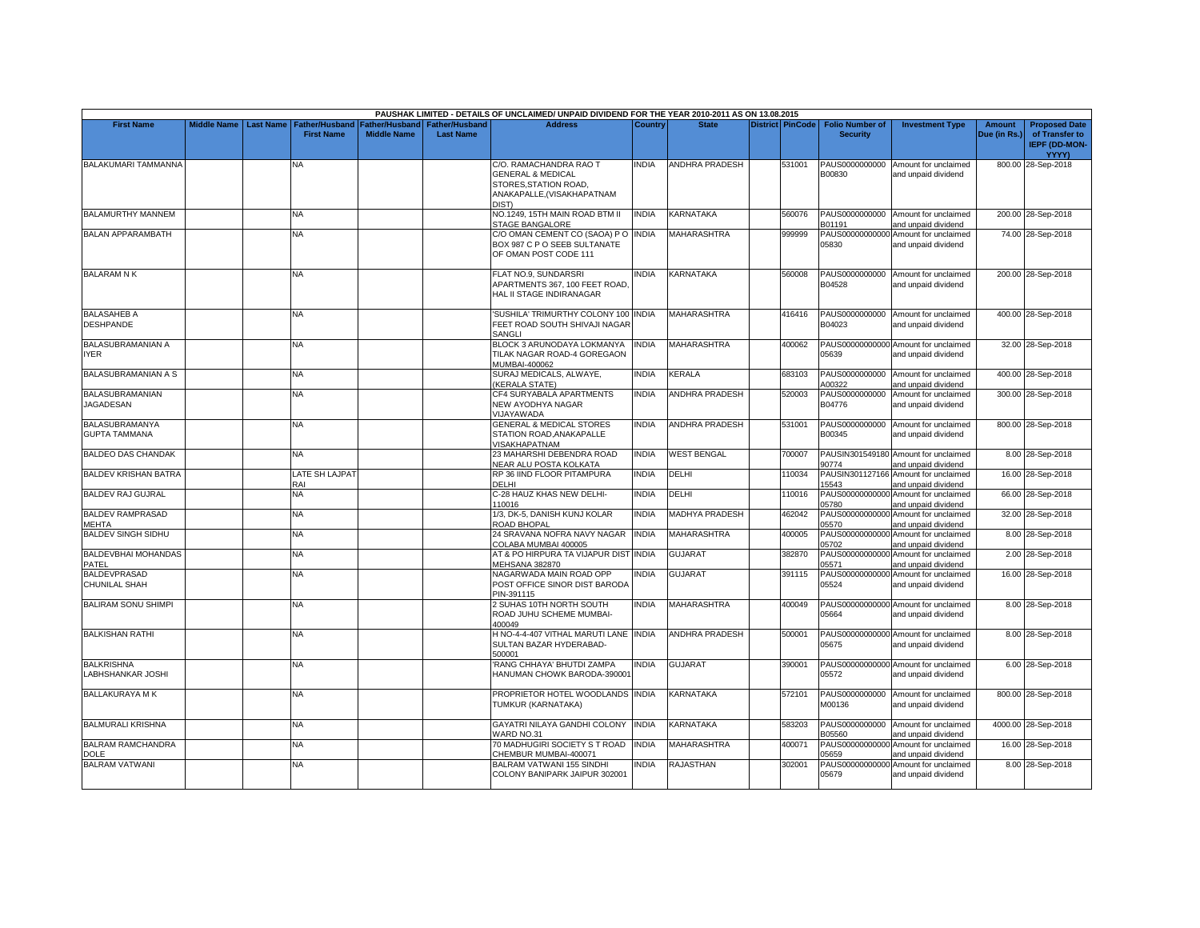|                                               |                         |                                     |                                      |                                    | PAUSHAK LIMITED - DETAILS OF UNCLAIMED/ UNPAID DIVIDEND FOR THE YEAR 2010-2011 AS ON 13.08.2015                       |                |                       |                         |                                           |                                                             |                               |                                                                                |
|-----------------------------------------------|-------------------------|-------------------------------------|--------------------------------------|------------------------------------|-----------------------------------------------------------------------------------------------------------------------|----------------|-----------------------|-------------------------|-------------------------------------------|-------------------------------------------------------------|-------------------------------|--------------------------------------------------------------------------------|
| <b>First Name</b>                             | Middle Name   Last Name | Father/Husband<br><b>First Name</b> | Father/Husband<br><b>Middle Name</b> | Father/Husband<br><b>Last Name</b> | <b>Address</b>                                                                                                        | <b>Country</b> | <b>State</b>          | <b>District PinCode</b> | <b>Folio Number of</b><br><b>Security</b> | <b>Investment Type</b>                                      | <b>Amount</b><br>Due (in Rs.) | <b>Proposed Date</b><br>of Transfer to<br><b>IEPF (DD-MON-</b><br><b>YYYY)</b> |
| BALAKUMARI TAMMANNA                           |                         | NA                                  |                                      |                                    | C/O. RAMACHANDRA RAO T<br><b>GENERAL &amp; MEDICAL</b><br>STORES, STATION ROAD,<br>ANAKAPALLE,(VISAKHAPATNAM<br>DIST) | <b>INDIA</b>   | <b>ANDHRA PRADESH</b> | 531001                  | PAUS0000000000<br>B00830                  | Amount for unclaimed<br>and unpaid dividend                 |                               | 800.00 28-Sep-2018                                                             |
| BALAMURTHY MANNEM                             |                         | NA                                  |                                      |                                    | NO.1249, 15TH MAIN ROAD BTM II<br>STAGE BANGALORE                                                                     | <b>INDIA</b>   | KARNATAKA             | 560076                  | B01191                                    | PAUS0000000000 Amount for unclaimed<br>and unpaid dividend  |                               | 200.00 28-Sep-2018                                                             |
| <b>BALAN APPARAMBATH</b>                      |                         | <b>NA</b>                           |                                      |                                    | C/O OMAN CEMENT CO (SAOA) P O INDIA<br>BOX 987 C P O SEEB SULTANATE<br>OF OMAN POST CODE 111                          |                | MAHARASHTRA           | 999999                  | 05830                                     | PAUS00000000000 Amount for unclaimed<br>and unpaid dividend |                               | 74.00 28-Sep-2018                                                              |
| <b>BALARAM N K</b>                            |                         | <b>NA</b>                           |                                      |                                    | FLAT NO.9, SUNDARSRI<br>APARTMENTS 367, 100 FEET ROAD.<br>HAL II STAGE INDIRANAGAR                                    | <b>INDIA</b>   | KARNATAKA             | 560008                  | PAUS0000000000<br>B04528                  | Amount for unclaimed<br>and unpaid dividend                 |                               | 200.00 28-Sep-2018                                                             |
| <b>BALASAHEB A</b><br><b>DESHPANDE</b>        |                         | NA                                  |                                      |                                    | SUSHILA' TRIMURTHY COLONY 100 INDIA<br>FEET ROAD SOUTH SHIVAJI NAGAR<br>SANGLI                                        |                | MAHARASHTRA           | 416416                  | B04023                                    | PAUS0000000000 Amount for unclaimed<br>and unpaid dividend  |                               | 400.00 28-Sep-2018                                                             |
| <b>BALASUBRAMANIAN A</b><br>IYER              |                         | <b>NA</b>                           |                                      |                                    | BLOCK 3 ARUNODAYA LOKMANYA<br>TILAK NAGAR ROAD-4 GOREGAON<br>MUMBAI-400062                                            | <b>INDIA</b>   | <b>MAHARASHTRA</b>    | 400062                  | 05639                                     | PAUS00000000000 Amount for unclaimed<br>and unpaid dividend |                               | 32.00 28-Sep-2018                                                              |
| BALASUBRAMANIAN A S                           |                         | <b>NA</b>                           |                                      |                                    | SURAJ MEDICALS, ALWAYE,<br><b>KERALA STATE)</b>                                                                       | <b>INDIA</b>   | KERALA                | 683103                  | PAUS0000000000<br>A00322                  | Amount for unclaimed<br>and unpaid dividend                 |                               | 400.00 28-Sep-2018                                                             |
| BALASUBRAMANIAN<br><b>JAGADESAN</b>           |                         | <b>NA</b>                           |                                      |                                    | CF4 SURYABALA APARTMENTS<br>NEW AYODHYA NAGAR<br><b>NUAYAWADA</b>                                                     | <b>INDIA</b>   | <b>ANDHRA PRADESH</b> | 520003                  | PAUS0000000000<br>B04776                  | Amount for unclaimed<br>and unpaid dividend                 |                               | 300.00 28-Sep-2018                                                             |
| <b>BALASUBRAMANYA</b><br><b>GUPTA TAMMANA</b> |                         | <b>NA</b>                           |                                      |                                    | <b>GENERAL &amp; MEDICAL STORES</b><br>STATION ROAD.ANAKAPALLE<br>/ISAKHAPATNAM                                       | <b>INDIA</b>   | <b>ANDHRA PRADESH</b> | 531001                  | PAUS0000000000<br>B00345                  | Amount for unclaimed<br>and unpaid dividend                 |                               | 800.00 28-Sep-2018                                                             |
| <b>BALDEO DAS CHANDAK</b>                     |                         | <b>NA</b>                           |                                      |                                    | 23 MAHARSHI DEBENDRA ROAD<br>NEAR ALU POSTA KOLKATA                                                                   | <b>INDIA</b>   | <b>WEST BENGAL</b>    | 700007                  | 90774                                     | PAUSIN301549180 Amount for unclaimed<br>and unpaid dividend |                               | 8.00 28-Sep-2018                                                               |
| <b>BALDEV KRISHAN BATRA</b>                   |                         | LATE SH LAJPAT<br>RAI               |                                      |                                    | RP 36 IIND FLOOR PITAMPURA<br>DELHI                                                                                   | <b>INDIA</b>   | DELHI                 | 110034                  | PAUSIN301127166<br>15543                  | Amount for unclaimed<br>and unpaid dividend                 |                               | 16.00 28-Sep-2018                                                              |
| <b>BALDEV RAJ GUJRAL</b>                      |                         | <b>NA</b>                           |                                      |                                    | C-28 HAUZ KHAS NEW DELHI-<br>110016                                                                                   | <b>INDIA</b>   | DELHI                 | 110016                  | PAUS00000000000<br>05780                  | Amount for unclaimed<br>and unpaid dividend                 |                               | 66.00 28-Sep-2018                                                              |
| <b>BALDEV RAMPRASAD</b><br>MEHTA              |                         | NA                                  |                                      |                                    | 1/3, DK-5, DANISH KUNJ KOLAR<br>ROAD BHOPAL                                                                           | <b>INDIA</b>   | <b>MADHYA PRADESH</b> | 462042                  | PAUS000000000<br>05570                    | Amount for unclaimed<br>and unpaid dividend                 |                               | 32.00 28-Sep-2018                                                              |
| <b>BALDEV SINGH SIDHU</b>                     |                         | <b>NA</b>                           |                                      |                                    | 24 SRAVANA NOFRA NAVY NAGAR<br>COLABA MUMBAI 400005                                                                   | <b>INDIA</b>   | MAHARASHTRA           | 400005                  | PAUS00000000000<br>05702                  | Amount for unclaimed<br>and unpaid dividend                 |                               | 8.00 28-Sep-2018                                                               |
| BALDEVBHAI MOHANDAS<br>PATEL                  |                         | NA                                  |                                      |                                    | AT & PO HIRPURA TA VIJAPUR DIST INDIA<br><b>MEHSANA 382870</b>                                                        |                | <b>GUJARAT</b>        | 382870                  | PAUS0000000000<br>05571                   | Amount for unclaimed<br>and unpaid dividend                 |                               | 2.00 28-Sep-2018                                                               |
| <b>BALDEVPRASAD</b><br><b>CHUNILAL SHAH</b>   |                         | <b>NA</b>                           |                                      |                                    | NAGARWADA MAIN ROAD OPP<br>POST OFFICE SINOR DIST BARODA<br>PIN-391115                                                | <b>INDIA</b>   | GUJARAT               | 391115                  | PAUS00000000000<br>05524                  | Amount for unclaimed<br>and unpaid dividend                 |                               | 16.00 28-Sep-2018                                                              |
| <b>BALIRAM SONU SHIMPI</b>                    |                         | <b>NA</b>                           |                                      |                                    | 2 SUHAS 10TH NORTH SOUTH<br>ROAD JUHU SCHEME MUMBAI-<br>400049                                                        | <b>INDIA</b>   | <b>MAHARASHTRA</b>    | 400049                  | 05664                                     | PAUS00000000000 Amount for unclaimed<br>and unpaid dividend |                               | 8.00 28-Sep-2018                                                               |
| <b>BALKISHAN RATHI</b>                        |                         | <b>NA</b>                           |                                      |                                    | H NO-4-4-407 VITHAL MARUTI LANE INDIA<br>SULTAN BAZAR HYDERABAD-<br>500001                                            |                | <b>ANDHRA PRADESH</b> | 500001                  | 05675                                     | PAUS00000000000 Amount for unclaimed<br>and unpaid dividend |                               | 8.00 28-Sep-2018                                                               |
| <b>BALKRISHNA</b><br>LABHSHANKAR JOSHI        |                         | NA.                                 |                                      |                                    | RANG CHHAYA' BHUTDI ZAMPA<br>HANUMAN CHOWK BARODA-390001                                                              | <b>INDIA</b>   | <b>GUJARAT</b>        | 390001                  | 05572                                     | PAUS00000000000 Amount for unclaimed<br>and unpaid dividend |                               | 6.00 28-Sep-2018                                                               |
| <b>BALLAKURAYA MK</b>                         |                         | NA                                  |                                      |                                    | PROPRIETOR HOTEL WOODLANDS INDIA<br>TUMKUR (KARNATAKA)                                                                |                | KARNATAKA             | 572101                  | PAUS0000000000<br>M00136                  | Amount for unclaimed<br>and unpaid dividend                 |                               | 800.00 28-Sep-2018                                                             |
| <b>BALMURALI KRISHNA</b>                      |                         | <b>NA</b>                           |                                      |                                    | GAYATRI NILAYA GANDHI COLONY<br><b>WARD NO.31</b>                                                                     | <b>INDIA</b>   | KARNATAKA             | 583203                  | PAUS0000000000<br>B05560                  | Amount for unclaimed<br>and unpaid dividend                 |                               | 4000.00 28-Sep-2018                                                            |
| <b>BALRAM RAMCHANDRA</b><br><b>DOLE</b>       |                         | NA                                  |                                      |                                    | 70 MADHUGIRI SOCIETY S T ROAD<br>CHEMBUR MUMBAI-400071                                                                | <b>INDIA</b>   | MAHARASHTRA           | 400071                  | PAUS00000000000<br>05659                  | Amount for unclaimed<br>and unpaid dividend                 |                               | 16.00 28-Sep-2018                                                              |
| <b>BALRAM VATWANI</b>                         |                         | NA                                  |                                      |                                    | BALRAM VATWANI 155 SINDHI<br>COLONY BANIPARK JAIPUR 302001                                                            | INDIA          | RAJASTHAN             | 302001                  | PAUS00000000000<br>05679                  | Amount for unclaimed<br>and unpaid dividend                 |                               | 8.00 28-Sep-2018                                                               |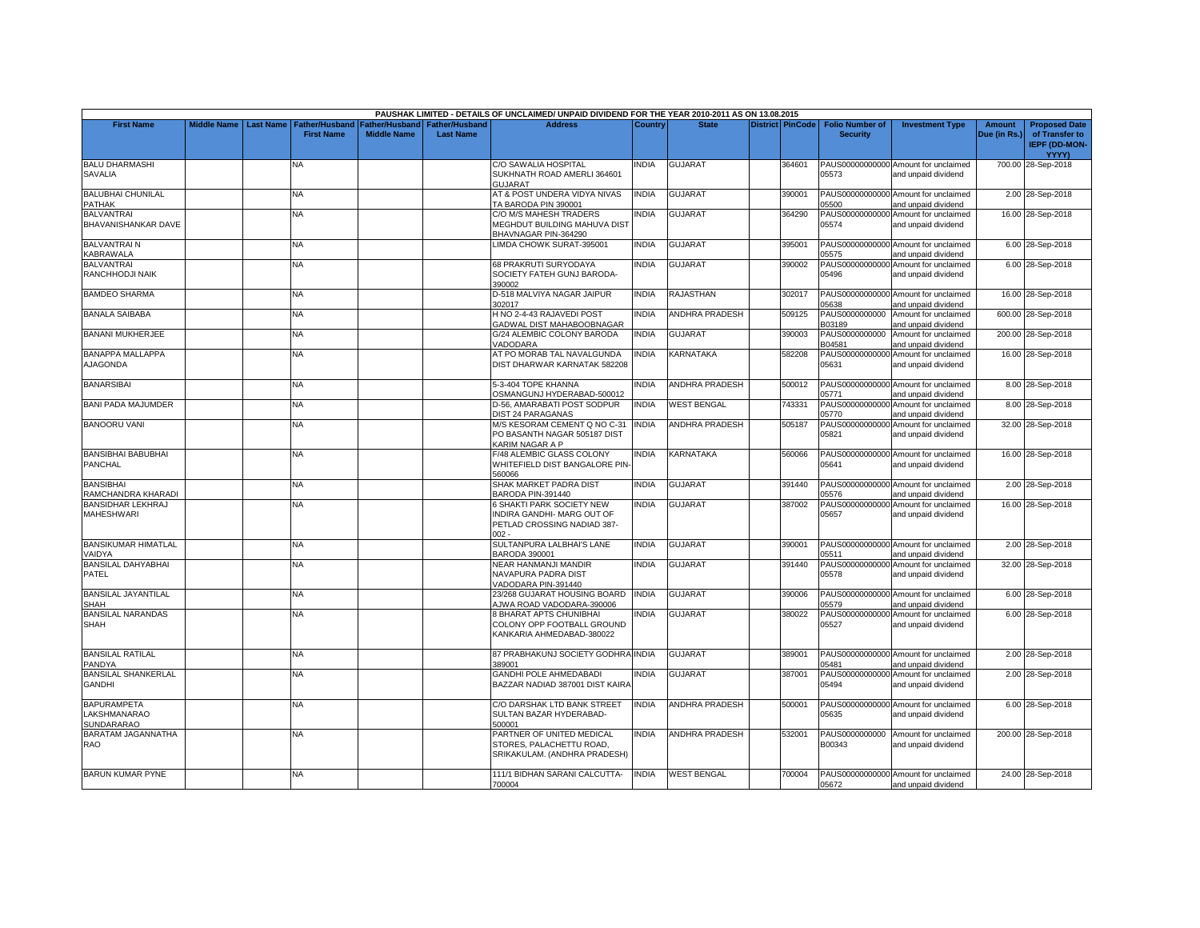|                                                  |                    |                  |                                            |                                             |                                    | PAUSHAK LIMITED - DETAILS OF UNCLAIMED/ UNPAID DIVIDEND FOR THE YEAR 2010-2011 AS ON 13.08.2015   |              |                       |        |                                                       |                                                             |                               |                                                                |
|--------------------------------------------------|--------------------|------------------|--------------------------------------------|---------------------------------------------|------------------------------------|---------------------------------------------------------------------------------------------------|--------------|-----------------------|--------|-------------------------------------------------------|-------------------------------------------------------------|-------------------------------|----------------------------------------------------------------|
| <b>First Name</b>                                | <b>Middle Name</b> | <b>Last Name</b> | <b>Father/Husband</b><br><b>First Name</b> | <b>Father/Husband</b><br><b>Middle Name</b> | Father/Husband<br><b>Last Name</b> | <b>Address</b>                                                                                    | Country      | <b>State</b>          |        | District PinCode   Folio Number of<br><b>Security</b> | <b>Investment Type</b>                                      | <b>Amount</b><br>Due (in Rs.) | <b>Proposed Date</b><br>of Transfer to<br><b>IEPF (DD-MON-</b> |
|                                                  |                    |                  |                                            |                                             |                                    |                                                                                                   |              |                       |        |                                                       |                                                             |                               | YYYY)                                                          |
| <b>BALU DHARMASHI</b><br>SAVALIA                 |                    |                  | NA                                         |                                             |                                    | C/O SAWALIA HOSPITAL<br>SUKHNATH ROAD AMERLI 364601<br><b>GUJARAT</b>                             | NDIA         | <b>GUJARAT</b>        | 364601 | 05573                                                 | PAUS00000000000 Amount for unclaimed<br>and unpaid dividend |                               | 700.00 28-Sep-2018                                             |
| <b>BALUBHAI CHUNILAL</b><br><b>PATHAK</b>        |                    |                  | <b>NA</b>                                  |                                             |                                    | AT & POST UNDERA VIDYA NIVAS<br>TA BARODA PIN 390001                                              | <b>INDIA</b> | <b>GUJARAT</b>        | 390001 | 05500                                                 | PAUS00000000000 Amount for unclaimed<br>and unpaid dividend |                               | 2.00 28-Sep-2018                                               |
| <b>BALVANTRAI</b>                                |                    |                  | <b>NA</b>                                  |                                             |                                    | C/O M/S MAHESH TRADERS                                                                            | INDIA        | <b>GUJARAT</b>        | 364290 |                                                       | PAUS00000000000 Amount for unclaimed                        |                               | 16.00 28-Sep-2018                                              |
| <b>BHAVANISHANKAR DAVE</b>                       |                    |                  |                                            |                                             |                                    | MEGHDUT BUILDING MAHUVA DIST<br>BHAVNAGAR PIN-364290                                              |              |                       |        | 05574                                                 | and unpaid dividend                                         |                               |                                                                |
| <b>BALVANTRAIN</b><br><b>KABRAWALA</b>           |                    |                  | <b>NA</b>                                  |                                             |                                    | LIMDA CHOWK SURAT-395001                                                                          | <b>INDIA</b> | <b>GUJARAT</b>        | 395001 | 05575                                                 | PAUS00000000000 Amount for unclaimed<br>and unpaid dividend |                               | 6.00 28-Sep-2018                                               |
| <b>BALVANTRAI</b><br>RANCHHODJI NAIK             |                    |                  | <b>NA</b>                                  |                                             |                                    | 68 PRAKRUTI SURYODAYA<br>SOCIETY FATEH GUNJ BARODA-<br>390002                                     | <b>NDIA</b>  | <b>GUJARAT</b>        | 390002 | 05496                                                 | PAUS00000000000 Amount for unclaimed<br>and unpaid dividend |                               | 6.00 28-Sep-2018                                               |
| <b>BAMDEO SHARMA</b>                             |                    |                  | <b>NA</b>                                  |                                             |                                    | D-518 MALVIYA NAGAR JAIPUR<br>302017                                                              | <b>INDIA</b> | <b>RAJASTHAN</b>      | 302017 | 05638                                                 | PAUS00000000000 Amount for unclaimed<br>and unpaid dividend |                               | 16.00 28-Sep-2018                                              |
| <b>BANALA SAIBABA</b>                            |                    |                  | NA                                         |                                             |                                    | H NO 2-4-43 RAJAVEDI POST<br>GADWAL DIST MAHABOOBNAGAR                                            | <b>NDIA</b>  | ANDHRA PRADESH        | 509125 | PAUS0000000000<br>B03189                              | Amount for unclaimed<br>and unpaid dividend                 |                               | 600.00 28-Sep-2018                                             |
| <b>BANANI MUKHERJEE</b>                          |                    |                  | NA                                         |                                             |                                    | G/24 ALEMBIC COLONY BARODA<br>VADODARA                                                            | <b>INDIA</b> | <b>GUJARAT</b>        | 390003 | PAUS0000000000<br>B04581                              | Amount for unclaimed<br>and unpaid dividend                 |                               | 200.00 28-Sep-2018                                             |
| <b>BANAPPA MALLAPPA</b><br><b>AJAGONDA</b>       |                    |                  | NA.                                        |                                             |                                    | AT PO MORAB TAL NAVALGUNDA<br>DIST DHARWAR KARNATAK 582208                                        | <b>NDIA</b>  | KARNATAKA             | 582208 | PAUS00000000000<br>05631                              | Amount for unclaimed<br>and unpaid dividend                 |                               | 16.00 28-Sep-2018                                              |
| <b>BANARSIBAI</b>                                |                    |                  | <b>NA</b>                                  |                                             |                                    | 5-3-404 TOPE KHANNA<br>OSMANGUNJ HYDERABAD-500012                                                 | <b>INDIA</b> | <b>ANDHRA PRADESH</b> | 500012 | PAUS00000000000<br>05771                              | Amount for unclaimed<br>and unpaid dividend                 |                               | 8.00 28-Sep-2018                                               |
| <b>BANI PADA MAJUMDER</b>                        |                    |                  | NA.                                        |                                             |                                    | D-56, AMARABATI POST SODPUR<br>DIST 24 PARAGANAS                                                  | <b>INDIA</b> | <b>WEST BENGAL</b>    | 743331 | PAUS00000000000<br>05770                              | Amount for unclaimed<br>and unpaid dividend                 |                               | 8.00 28-Sep-2018                                               |
| <b>BANOORU VANI</b>                              |                    |                  | <b>NA</b>                                  |                                             |                                    | M/S KESORAM CEMENT Q NO C-31<br>PO BASANTH NAGAR 505187 DIST<br>KARIM NAGAR A P                   | <b>INDIA</b> | <b>ANDHRA PRADESH</b> | 505187 | 05821                                                 | PAUS00000000000 Amount for unclaimed<br>and unpaid dividend |                               | 32.00 28-Sep-2018                                              |
| <b>BANSIBHAI BABUBHAI</b><br><b>PANCHAL</b>      |                    |                  | NA.                                        |                                             |                                    | F/48 ALEMBIC GLASS COLONY<br>WHITEFIELD DIST BANGALORE PIN-<br>560066                             | <b>NDIA</b>  | KARNATAKA             | 560066 | 05641                                                 | PAUS00000000000 Amount for unclaimed<br>and unpaid dividend |                               | 16.00 28-Sep-2018                                              |
| <b>BANSIBHAI</b><br>RAMCHANDRA KHARADI           |                    |                  | NΑ                                         |                                             |                                    | SHAK MARKET PADRA DIST<br>BARODA PIN-391440                                                       | <b>NDIA</b>  | <b>GUJARAT</b>        | 391440 | 05576                                                 | PAUS00000000000 Amount for unclaimed<br>and unpaid dividend |                               | 2.00 28-Sep-2018                                               |
| <b>BANSIDHAR LEKHRAJ</b><br><b>MAHESHWARI</b>    |                    |                  | <b>NA</b>                                  |                                             |                                    | 6 SHAKTI PARK SOCIETY NEW<br>INDIRA GANDHI- MARG OUT OF<br>PETLAD CROSSING NADIAD 387-<br>$002 -$ | <b>NDIA</b>  | <b>GUJARAT</b>        | 387002 | 05657                                                 | PAUS00000000000 Amount for unclaimed<br>and unpaid dividend |                               | 16.00 28-Sep-2018                                              |
| <b>BANSIKUMAR HIMATLAL</b><br>VAIDYA             |                    |                  | NA                                         |                                             |                                    | SULTANPURA LALBHAI'S LANE<br><b>BARODA 390001</b>                                                 | <b>INDIA</b> | <b>GUJARAT</b>        | 390001 | 05511                                                 | PAUS00000000000 Amount for unclaimed<br>and unpaid dividend |                               | 2.00 28-Sep-2018                                               |
| <b>BANSILAL DAHYABHAI</b><br><b>PATEL</b>        |                    |                  | NA                                         |                                             |                                    | NEAR HANMANJI MANDIR<br>NAVAPURA PADRA DIST<br>VADODARA PIN-391440                                | NDIA         | <b>GUJARAT</b>        | 391440 | PAUS00000000000<br>05578                              | Amount for unclaimed<br>and unpaid dividend                 |                               | 32.00 28-Sep-2018                                              |
| <b>BANSILAL JAYANTILAL</b><br><b>SHAH</b>        |                    |                  | <b>NA</b>                                  |                                             |                                    | 23/268 GUJARAT HOUSING BOARD<br>AJWA ROAD VADODARA-390006                                         | <b>INDIA</b> | <b>GUJARAT</b>        | 390006 | 05579                                                 | PAUS00000000000 Amount for unclaimed<br>and unpaid dividend |                               | 6.00 28-Sep-2018                                               |
| <b>BANSILAL NARANDAS</b><br><b>SHAH</b>          |                    |                  | NA                                         |                                             |                                    | <b>8 BHARAT APTS CHUNIBHAI</b><br>COLONY OPP FOOTBALL GROUND<br>KANKARIA AHMEDABAD-380022         | NDIA         | <b>GUJARAT</b>        | 380022 | 05527                                                 | PAUS00000000000 Amount for unclaimed<br>and unpaid dividend |                               | 6.00 28-Sep-2018                                               |
| <b>BANSILAL RATILAL</b><br>PANDYA                |                    |                  | <b>NA</b>                                  |                                             |                                    | 87 PRABHAKUNJ SOCIETY GODHRA INDIA<br>389001                                                      |              | <b>GUJARAT</b>        | 389001 | 05481                                                 | PAUS00000000000 Amount for unclaimed<br>and unpaid dividend |                               | 2.00 28-Sep-2018                                               |
| <b>BANSILAL SHANKERLAL</b><br><b>GANDHI</b>      |                    |                  | NΑ                                         |                                             |                                    | GANDHI POLE AHMEDABADI<br>BAZZAR NADIAD 387001 DIST KAIRA                                         | <b>NDIA</b>  | <b>GUJARAT</b>        | 387001 | 05494                                                 | PAUS00000000000 Amount for unclaimed<br>and unpaid dividend |                               | 2.00 28-Sep-2018                                               |
| <b>BAPURAMPETA</b><br>LAKSHMANARAO<br>SUNDARARAO |                    |                  | <b>NA</b>                                  |                                             |                                    | C/O DARSHAK LTD BANK STREET<br>SULTAN BAZAR HYDERABAD-<br>500001                                  | <b>INDIA</b> | <b>ANDHRA PRADESH</b> | 500001 | 05635                                                 | PAUS00000000000 Amount for unclaimed<br>and unpaid dividend |                               | 6.00 28-Sep-2018                                               |
| BARATAM JAGANNATHA<br>RAO                        |                    |                  | <b>NA</b>                                  |                                             |                                    | PARTNER OF UNITED MEDICAL<br>STORES, PALACHETTU ROAD,<br>SRIKAKULAM. (ANDHRA PRADESH)             | <b>INDIA</b> | <b>ANDHRA PRADESH</b> | 532001 | B00343                                                | PAUS0000000000 Amount for unclaimed<br>and unpaid dividend  |                               | 200.00 28-Sep-2018                                             |
| <b>BARUN KUMAR PYNE</b>                          |                    |                  | <b>NA</b>                                  |                                             |                                    | 111/1 BIDHAN SARANI CALCUTTA-<br>700004                                                           | <b>INDIA</b> | <b>WEST BENGAL</b>    | 700004 | 05672                                                 | PAUS00000000000 Amount for unclaimed<br>and unpaid dividend |                               | 24.00 28-Sep-2018                                              |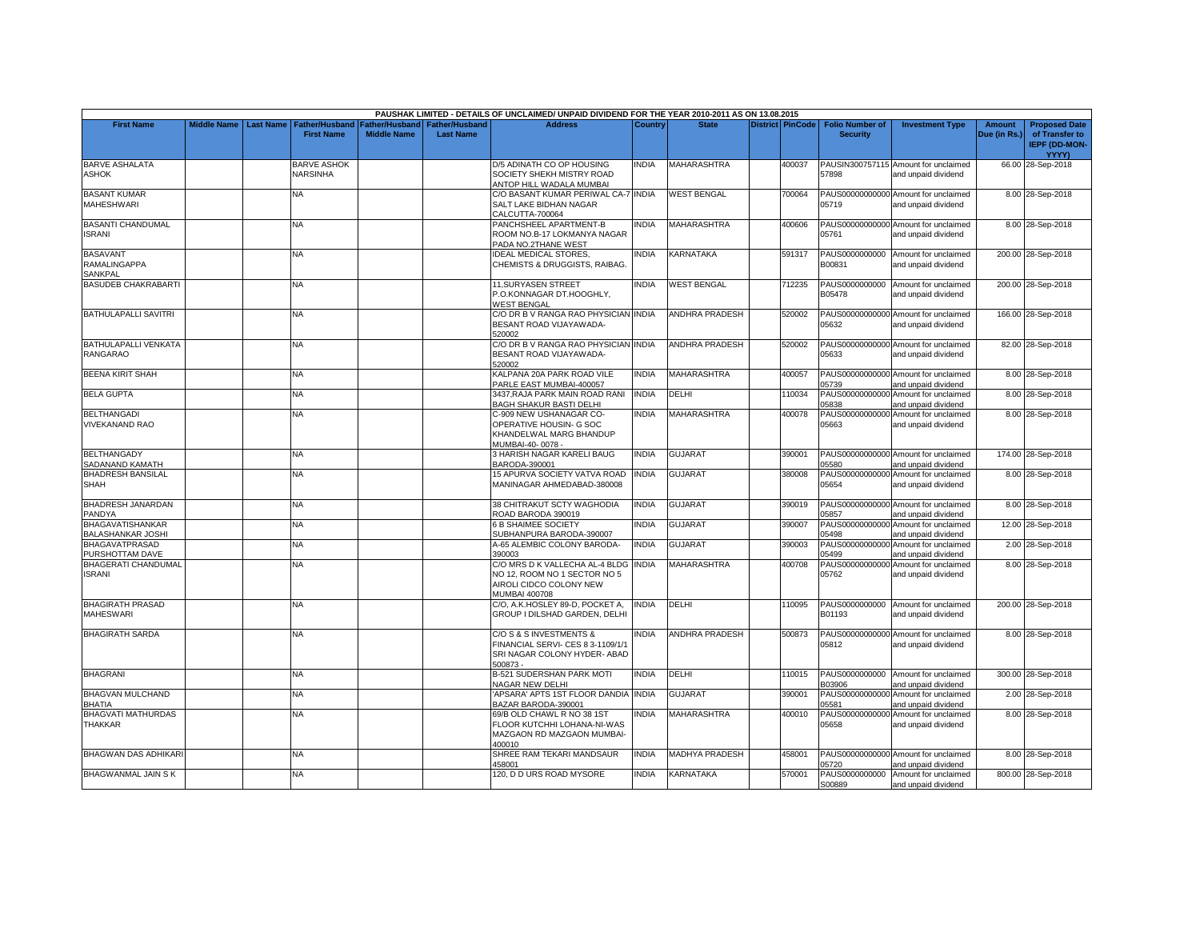|                                                     |                    |                  |                                            |                                      |                                           | PAUSHAK LIMITED - DETAILS OF UNCLAIMED/ UNPAID DIVIDEND FOR THE YEAR 2010-2011 AS ON 13.08.2015                   |                              |                             |                  |                                             |                                                                     |                               |                                                                         |
|-----------------------------------------------------|--------------------|------------------|--------------------------------------------|--------------------------------------|-------------------------------------------|-------------------------------------------------------------------------------------------------------------------|------------------------------|-----------------------------|------------------|---------------------------------------------|---------------------------------------------------------------------|-------------------------------|-------------------------------------------------------------------------|
| <b>First Name</b>                                   | <b>Middle Name</b> | <b>Last Name</b> | <b>Father/Husband</b><br><b>First Name</b> | Father/Husband<br><b>Middle Name</b> | <b>Father/Husband</b><br><b>Last Name</b> | <b>Address</b>                                                                                                    | Country                      | <b>State</b>                | District PinCode | <b>Folio Number of</b><br><b>Security</b>   | <b>Investment Type</b>                                              | <b>Amount</b><br>Due (in Rs.) | <b>Proposed Date</b><br>of Transfer to<br><b>IEPF (DD-MON-</b><br>YYYY) |
| <b>BARVE ASHALATA</b><br>ASHOK                      |                    |                  | <b>BARVE ASHOK</b><br><b>NARSINHA</b>      |                                      |                                           | D/5 ADINATH CO OP HOUSING<br>SOCIETY SHEKH MISTRY ROAD<br>ANTOP HILL WADALA MUMBAI                                | NDIA                         | MAHARASHTRA                 | 400037           | 57898                                       | PAUSIN300757115 Amount for unclaimed<br>and unpaid dividend         |                               | 66.00 28-Sep-2018                                                       |
| <b>BASANT KUMAR</b><br>MAHESHWARI                   |                    |                  | NA                                         |                                      |                                           | C/O BASANT KUMAR PERIWAL CA-7 INDIA<br>SALT LAKE BIDHAN NAGAR<br>CALCUTTA-700064                                  |                              | <b>WEST BENGAL</b>          | 700064           | PAUS00000000000<br>05719                    | Amount for unclaimed<br>and unpaid dividend                         |                               | 8.00 28-Sep-2018                                                        |
| <b>BASANTI CHANDUMAL</b><br>SRANI                   |                    |                  | <b>NA</b>                                  |                                      |                                           | PANCHSHEEL APARTMENT-B<br>ROOM NO.B-17 LOKMANYA NAGAR<br>PADA NO.2THANE WEST                                      | <b>INDIA</b>                 | <b>MAHARASHTRA</b>          | 400606           | 05761                                       | PAUS00000000000 Amount for unclaimed<br>and unpaid dividend         |                               | 8.00 28-Sep-2018                                                        |
| <b>BASAVANT</b><br>RAMALINGAPPA<br>SANKPAL          |                    |                  | <b>NA</b>                                  |                                      |                                           | <b>IDEAL MEDICAL STORES,</b><br>CHEMISTS & DRUGGISTS, RAIBAG.                                                     | <b>INDIA</b>                 | <b>KARNATAKA</b>            | 591317           | PAUS0000000000<br>B00831                    | Amount for unclaimed<br>and unpaid dividend                         |                               | 200.00 28-Sep-2018                                                      |
| <b>BASUDEB CHAKRABARTI</b>                          |                    |                  | NA                                         |                                      |                                           | 11, SURYASEN STREET<br>P.O.KONNAGAR DT.HOOGHLY,<br><b>WEST BENGAL</b>                                             | <b>INDIA</b>                 | <b>WEST BENGAL</b>          | 712235           | PAUS0000000000<br>B05478                    | Amount for unclaimed<br>and unpaid dividend                         |                               | 200.00 28-Sep-2018                                                      |
| <b>BATHULAPALLI SAVITRI</b>                         |                    |                  | NA.                                        |                                      |                                           | C/O DR B V RANGA RAO PHYSICIAN INDIA<br>BESANT ROAD VIJAYAWADA-<br>520002                                         |                              | <b>ANDHRA PRADESH</b>       | 520002           | 05632                                       | PAUS00000000000 Amount for unclaimed<br>and unpaid dividend         |                               | 166.00 28-Sep-2018                                                      |
| BATHULAPALLI VENKATA<br><b>RANGARAO</b>             |                    |                  | <b>NA</b>                                  |                                      |                                           | C/O DR B V RANGA RAO PHYSICIAN INDIA<br>BESANT ROAD VIJAYAWADA-<br>520002                                         |                              | <b>ANDHRA PRADESH</b>       | 520002           | 05633                                       | PAUS00000000000 Amount for unclaimed<br>and unpaid dividend         |                               | 82.00 28-Sep-2018                                                       |
| <b>BEENA KIRIT SHAH</b><br><b>BELA GUPTA</b>        |                    |                  | NA<br><b>NA</b>                            |                                      |                                           | KALPANA 20A PARK ROAD VILE<br>PARLE EAST MUMBAI-400057<br>3437, RAJA PARK MAIN ROAD RANI                          | <b>INDIA</b><br><b>INDIA</b> | <b>MAHARASHTRA</b><br>DELHI | 400057<br>110034 | PAUS00000000000<br>05739<br>PAUS00000000000 | Amount for unclaimed<br>and unpaid dividend<br>Amount for unclaimed |                               | 8.00 28-Sep-2018<br>8.00 28-Sep-2018                                    |
| <b>BELTHANGADI</b>                                  |                    |                  | NA                                         |                                      |                                           | <b>BAGH SHAKUR BASTI DELHI</b><br>C-909 NEW USHANAGAR CO-                                                         | <b>INDIA</b>                 | MAHARASHTRA                 | 400078           | 05838<br>PAUS00000000000                    | and unpaid dividend<br>Amount for unclaimed                         |                               | 8.00 28-Sep-2018                                                        |
| <b>VIVEKANAND RAO</b>                               |                    |                  |                                            |                                      |                                           | OPERATIVE HOUSIN- G SOC<br>KHANDELWAL MARG BHANDUP<br>MUMBAI-40-0078 -                                            |                              |                             |                  | 05663                                       | and unpaid dividend                                                 |                               |                                                                         |
| <b>BELTHANGADY</b><br>SADANAND KAMATH               |                    |                  | NA                                         |                                      |                                           | 3 HARISH NAGAR KARELI BAUG<br>BARODA-390001                                                                       | <b>INDIA</b>                 | <b>GUJARAT</b>              | 390001           | 05580                                       | PAUS00000000000 Amount for unclaimed<br>and unpaid dividend         |                               | 174.00 28-Sep-2018                                                      |
| <b>BHADRESH BANSILAL</b><br><b>SHAH</b>             |                    |                  | <b>NA</b>                                  |                                      |                                           | 15 APURVA SOCIETY VATVA ROAD<br>MANINAGAR AHMEDABAD-380008                                                        | <b>INDIA</b>                 | <b>GUJARAT</b>              | 380008           | 05654                                       | PAUS00000000000 Amount for unclaimed<br>and unpaid dividend         |                               | 8.00 28-Sep-2018                                                        |
| BHADRESH JANARDAN<br>PANDYA                         |                    |                  | <b>NA</b>                                  |                                      |                                           | 38 CHITRAKUT SCTY WAGHODIA<br>ROAD BARODA 390019                                                                  | <b>INDIA</b>                 | <b>GUJARAT</b>              | 390019           | 05857                                       | PAUS00000000000 Amount for unclaimed<br>and unpaid dividend         |                               | 8.00 28-Sep-2018                                                        |
| <b>BHAGAVATISHANKAR</b><br><b>BALASHANKAR JOSHI</b> |                    |                  | <b>NA</b>                                  |                                      |                                           | <b>6 B SHAIMEE SOCIETY</b><br>SUBHANPURA BARODA-390007                                                            | <b>INDIA</b>                 | <b>GUJARAT</b>              | 390007           | PAUS00000000000<br>05498                    | Amount for unclaimed<br>and unpaid dividend                         |                               | 12.00 28-Sep-2018                                                       |
| <b>BHAGAVATPRASAD</b><br>PURSHOTTAM DAVE            |                    |                  | <b>NA</b>                                  |                                      |                                           | A-65 ALEMBIC COLONY BARODA-<br>390003                                                                             | INDIA                        | <b>GUJARAT</b>              | 390003           | PAUS00000000000<br>05499                    | Amount for unclaimed<br>and unpaid dividend                         |                               | 2.00 28-Sep-2018                                                        |
| <b>BHAGERATI CHANDUMAL</b><br>SRANI                 |                    |                  | <b>NA</b>                                  |                                      |                                           | C/O MRS D K VALLECHA AL-4 BLDG<br>NO 12, ROOM NO 1 SECTOR NO 5<br>AIROLI CIDCO COLONY NEW<br><b>MUMBAI 400708</b> | <b>INDIA</b>                 | MAHARASHTRA                 | 400708           | 05762                                       | PAUS00000000000 Amount for unclaimed<br>and unpaid dividend         |                               | 8.00 28-Sep-2018                                                        |
| <b>BHAGIRATH PRASAD</b><br><b>MAHESWARI</b>         |                    |                  | <b>NA</b>                                  |                                      |                                           | C/O, A.K.HOSLEY 89-D, POCKET A,<br>GROUP I DILSHAD GARDEN, DELHI                                                  | <b>INDIA</b>                 | DELHI                       | 110095           | PAUS0000000000<br>B01193                    | Amount for unclaimed<br>and unpaid dividend                         |                               | 200.00 28-Sep-2018                                                      |
| <b>BHAGIRATH SARDA</b>                              |                    |                  | <b>NA</b>                                  |                                      |                                           | C/O S & S INVESTMENTS &<br>FINANCIAL SERVI- CES 8 3-1109/1/1<br>SRI NAGAR COLONY HYDER- ABAD<br>500873            | INDIA                        | ANDHRA PRADESH              | 500873           | PAUS00000000000<br>05812                    | Amount for unclaimed<br>and unpaid dividend                         |                               | 8.00 28-Sep-2018                                                        |
| <b>BHAGRANI</b>                                     |                    |                  | NA                                         |                                      |                                           | B-521 SUDERSHAN PARK MOTI<br>NAGAR NEW DELHI                                                                      | <b>INDIA</b>                 | DELHI                       | 110015           | B03906                                      | PAUS0000000000 Amount for unclaimed<br>and unpaid dividend          |                               | 300.00 28-Sep-2018                                                      |
| <b>BHAGVAN MULCHAND</b><br><b>BHATIA</b>            |                    |                  | <b>NA</b>                                  |                                      |                                           | 'APSARA' APTS 1ST FLOOR DANDIA<br>BAZAR BARODA-390001                                                             | <b>INDIA</b>                 | GUJARAT                     | 390001           | PAUS00000000000<br>05581                    | Amount for unclaimed<br>and unpaid dividend                         |                               | 2.00 28-Sep-2018                                                        |
| <b>BHAGVATI MATHURDAS</b><br><b>THAKKAR</b>         |                    |                  | <b>NA</b>                                  |                                      |                                           | 69/B OLD CHAWL R NO 38 1ST<br>FLOOR KUTCHHI LOHANA-NI-WAS<br>MAZGAON RD MAZGAON MUMBAI-<br>400010                 | <b>NDIA</b>                  | MAHARASHTRA                 | 400010           | PAUS00000000000<br>05658                    | Amount for unclaimed<br>and unpaid dividend                         |                               | 8.00 28-Sep-2018                                                        |
| <b>BHAGWAN DAS ADHIKARI</b>                         |                    |                  | <b>NA</b>                                  |                                      |                                           | SHREE RAM TEKARI MANDSAUR<br>458001                                                                               | <b>INDIA</b>                 | <b>MADHYA PRADESH</b>       | 458001           | 05720                                       | PAUS00000000000 Amount for unclaimed<br>and unpaid dividend         |                               | 8.00 28-Sep-2018                                                        |
| <b>BHAGWANMAL JAIN S K</b>                          |                    |                  | <b>NA</b>                                  |                                      |                                           | 120, D D URS ROAD MYSORE                                                                                          | <b>INDIA</b>                 | <b>KARNATAKA</b>            | 570001           | PAUS0000000000                              | Amount for unclaimed                                                |                               | 800.00 28-Sep-2018                                                      |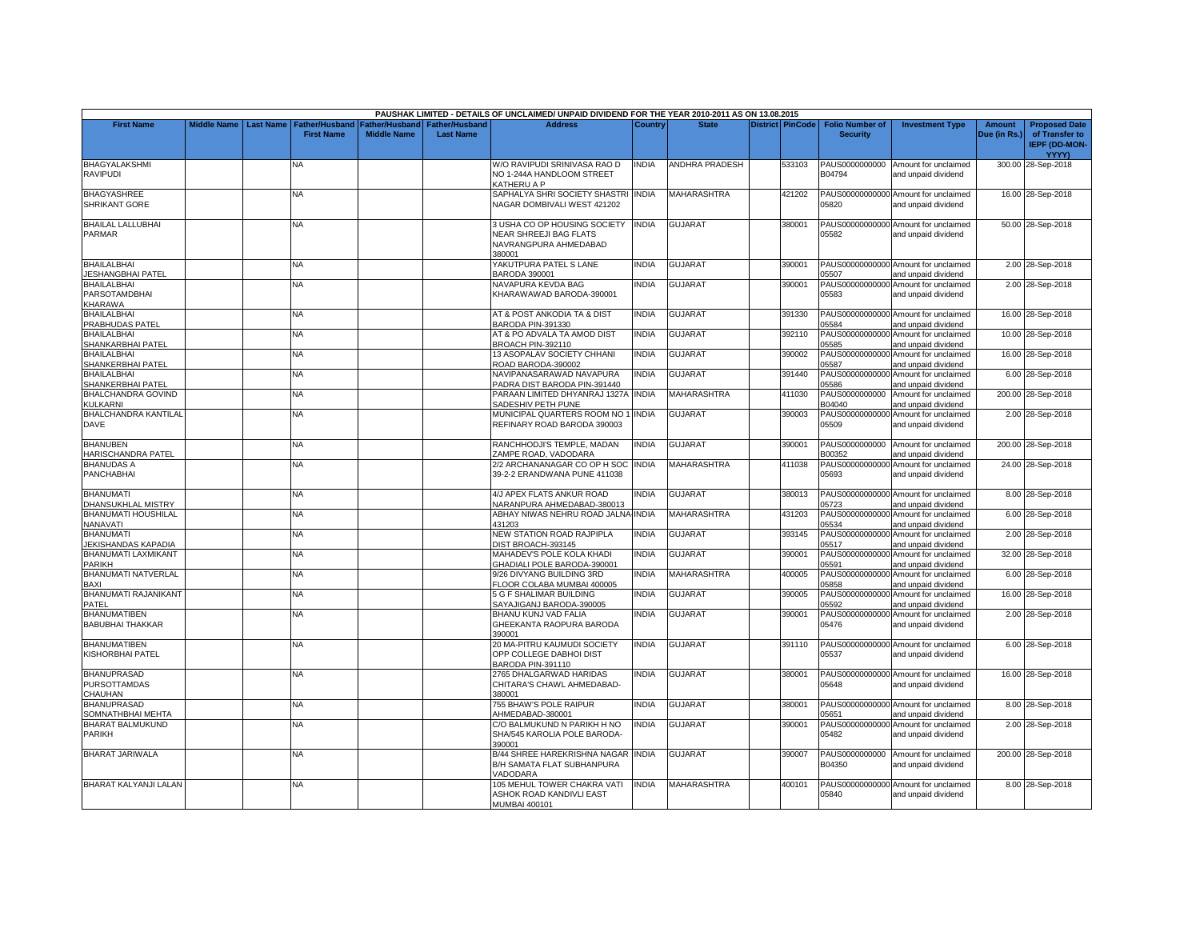|                                                      |                    |                  |                                     |                                      |                                           | PAUSHAK LIMITED - DETAILS OF UNCLAIMED/ UNPAID DIVIDEND FOR THE YEAR 2010-2011 AS ON 13.08.2015        |              |                       |                         |                                           |                                                             |                        |                                        |
|------------------------------------------------------|--------------------|------------------|-------------------------------------|--------------------------------------|-------------------------------------------|--------------------------------------------------------------------------------------------------------|--------------|-----------------------|-------------------------|-------------------------------------------|-------------------------------------------------------------|------------------------|----------------------------------------|
| <b>First Name</b>                                    | <b>Middle Name</b> | <b>Last Name</b> | Father/Husband<br><b>First Name</b> | Father/Husband<br><b>Middle Name</b> | <b>Father/Husband</b><br><b>Last Name</b> | <b>Address</b>                                                                                         | Country      | <b>State</b>          | <b>District PinCode</b> | <b>Folio Number of</b><br><b>Security</b> | <b>Investment Type</b>                                      | Amount<br>Due (in Rs.) | <b>Proposed Date</b><br>of Transfer to |
|                                                      |                    |                  |                                     |                                      |                                           |                                                                                                        |              |                       |                         |                                           |                                                             |                        | <b>IEPF (DD-MON-</b><br><b>YYYY)</b>   |
| <b>BHAGYALAKSHMI</b><br><b>RAVIPUDI</b>              |                    |                  | NA                                  |                                      |                                           | W/O RAVIPUDI SRINIVASA RAO D<br>NO 1-244A HANDLOOM STREET<br>KATHERU A P                               | <b>INDIA</b> | <b>ANDHRA PRADESH</b> | 533103                  | PAUS0000000000<br>B04794                  | Amount for unclaimed<br>and unpaid dividend                 |                        | 300.00 28-Sep-2018                     |
| <b>BHAGYASHREE</b><br><b>SHRIKANT GORE</b>           |                    |                  | <b>NA</b>                           |                                      |                                           | SAPHALYA SHRI SOCIETY SHASTRI INDIA<br>NAGAR DOMBIVALI WEST 421202                                     |              | <b>MAHARASHTRA</b>    | 421202                  | 05820                                     | PAUS00000000000 Amount for unclaimed<br>and unpaid dividend |                        | 16.00 28-Sep-2018                      |
| <b>BHAILAL LALLUBHAI</b><br>PARMAR                   |                    |                  | NA                                  |                                      |                                           | 3 USHA CO OP HOUSING SOCIETY INDIA<br><b>NEAR SHREEJI BAG FLATS</b><br>NAVRANGPURA AHMEDABAD<br>380001 |              | <b>GUJARAT</b>        | 380001                  | 05582                                     | PAUS00000000000 Amount for unclaimed<br>and unpaid dividend |                        | 50.00 28-Sep-2018                      |
| <b>BHAILALBHAI</b><br><b>JESHANGBHAI PATEL</b>       |                    |                  | NA                                  |                                      |                                           | YAKUTPURA PATEL S LANE<br>BARODA 390001                                                                | <b>INDIA</b> | <b>GUJARAT</b>        | 390001                  | 05507                                     | PAUS00000000000 Amount for unclaimed<br>and unpaid dividend |                        | 2.00 28-Sep-2018                       |
| <b>BHAILALBHAI</b><br>PARSOTAMDBHAI<br>KHARAWA       |                    |                  | NA.                                 |                                      |                                           | <b>NAVAPURA KEVDA BAG</b><br>KHARAWAWAD BARODA-390001                                                  | <b>INDIA</b> | GUJARAT               | 390001                  | PAUS00000000000<br>05583                  | Amount for unclaimed<br>and unpaid dividend                 |                        | 2.00 28-Sep-2018                       |
| <b>BHAILALBHAI</b><br>PRABHUDAS PATEL                |                    |                  | <b>NA</b>                           |                                      |                                           | AT & POST ANKODIA TA & DIST<br>BARODA PIN-391330                                                       | <b>INDIA</b> | <b>GUJARAT</b>        | 391330                  | 05584                                     | PAUS00000000000 Amount for unclaimed<br>and unpaid dividend |                        | 16.00 28-Sep-2018                      |
| <b>BHAILALBHAI</b><br>SHANKARBHAI PATEL              |                    |                  | <b>NA</b>                           |                                      |                                           | AT & PO ADVALA TA AMOD DIST<br><b>BROACH PIN-392110</b>                                                | <b>INDIA</b> | GUJARAT               | 392110                  | PAUS00000000000<br>05585                  | Amount for unclaimed<br>and unpaid dividend                 |                        | 10.00 28-Sep-2018                      |
| <b>BHAILALBHAI</b><br>SHANKERBHAI PATEL              |                    |                  | NA.                                 |                                      |                                           | 13 ASOPALAV SOCIETY CHHANI<br>ROAD BARODA-390002                                                       | <b>INDIA</b> | <b>GUJARAT</b>        | 390002                  | PAUS00000000000<br>05587                  | Amount for unclaimed<br>and unpaid dividend                 |                        | 16.00 28-Sep-2018                      |
| <b>BHAILALBHAI</b><br>SHANKERBHAI PATEL              |                    |                  | <b>NA</b>                           |                                      |                                           | NAVIPANASARAWAD NAVAPURA<br>PADRA DIST BARODA PIN-391440                                               | <b>INDIA</b> | GUJARAT               | 391440                  | PAUS00000000000<br>05586                  | Amount for unclaimed<br>and unpaid dividend                 |                        | 6.00 28-Sep-2018                       |
| <b>BHALCHANDRA GOVIND</b><br>KULKARNI                |                    |                  | NA.                                 |                                      |                                           | PARAAN LIMITED DHYANRAJ 1327A INDIA<br>SADESHIV PETH PUNE                                              |              | <b>MAHARASHTRA</b>    | 411030                  | PAUS0000000000<br>B04040                  | Amount for unclaimed<br>and unpaid dividend                 |                        | 200.00 28-Sep-2018                     |
| <b>BHALCHANDRA KANTILAL</b><br><b>DAVE</b>           |                    |                  | NA                                  |                                      |                                           | MUNICIPAL QUARTERS ROOM NO 1 INDIA<br>REFINARY ROAD BARODA 390003                                      |              | GUJARAT               | 390003                  | 05509                                     | PAUS00000000000 Amount for unclaimed<br>and unpaid dividend |                        | 2.00 28-Sep-2018                       |
| <b>BHANUBEN</b><br>HARISCHANDRA PATEL                |                    |                  | NA                                  |                                      |                                           | RANCHHODJI'S TEMPLE, MADAN<br>ZAMPE ROAD, VADODARA                                                     | <b>INDIA</b> | <b>GUJARAT</b>        | 390001                  | PAUS0000000000<br>B00352                  | Amount for unclaimed<br>and unpaid dividend                 |                        | 200.00 28-Sep-2018                     |
| <b>BHANUDAS A</b><br><b>PANCHABHAI</b>               |                    |                  | <b>NA</b>                           |                                      |                                           | 2/2 ARCHANANAGAR CO OP H SOC INDIA<br>39-2-2 ERANDWANA PUNE 411038                                     |              | MAHARASHTRA           | 411038                  | PAUS00000000000<br>05693                  | Amount for unclaimed<br>and unpaid dividend                 |                        | 24.00 28-Sep-2018                      |
| <b>BHANUMATI</b><br>DHANSUKHLAL MISTRY               |                    |                  | <b>NA</b>                           |                                      |                                           | 4/J APEX FLATS ANKUR ROAD<br>VARANPURA AHMEDABAD-380013                                                | <b>INDIA</b> | <b>GUJARAT</b>        | 380013                  | 05723                                     | PAUS00000000000 Amount for unclaimed<br>and unpaid dividend |                        | 8.00 28-Sep-2018                       |
| <b>BHANUMATI HOUSHILAL</b><br>NANAVATI               |                    |                  | NA                                  |                                      |                                           | ABHAY NIWAS NEHRU ROAD JALNA INDIA<br>431203                                                           |              | MAHARASHTRA           | 431203                  | 05534                                     | PAUS00000000000 Amount for unclaimed<br>and unpaid dividend |                        | 6.00 28-Sep-2018                       |
| <b>BHANUMATI</b><br>JEKISHANDAS KAPADIA              |                    |                  | <b>NA</b>                           |                                      |                                           | <b>NEW STATION ROAD RAJPIPLA</b><br>DIST BROACH-393145                                                 | <b>INDIA</b> | <b>GUJARAT</b>        | 393145                  | PAUS00000000000<br>05517                  | Amount for unclaimed<br>and unpaid dividend                 |                        | 2.00 28-Sep-2018                       |
| BHANUMATI LAXMIKANT<br><b>PARIKH</b>                 |                    |                  | NA                                  |                                      |                                           | MAHADEV'S POLE KOLA KHADI<br>GHADIALI POLE BARODA-390001                                               | <b>INDIA</b> | GUJARAT               | 390001                  | PAUS00000000000<br>05591                  | Amount for unclaimed<br>and unpaid dividend                 |                        | 32.00 28-Sep-2018                      |
| BHANUMATI NATVERLAL<br>BAXI                          |                    |                  | NA.                                 |                                      |                                           | 9/26 DIVYANG BUILDING 3RD<br><b>ELOOR COLABA MUMBAI 400005</b>                                         | <b>INDIA</b> | <b>MAHARASHTRA</b>    | 400005                  | PAUS00000000000<br>05858                  | Amount for unclaimed<br>and unpaid dividend                 |                        | 6.00 28-Sep-2018                       |
| BHANUMATI RAJANIKANT<br>PATEL                        |                    |                  | <b>NA</b>                           |                                      |                                           | <b>5 G F SHALIMAR BUILDING</b><br>SAYAJIGANJ BARODA-390005                                             | <b>INDIA</b> | <b>GUJARAT</b>        | 390005                  | PAUS00000000000<br>05592                  | Amount for unclaimed<br>and unpaid dividend                 |                        | 16.00 28-Sep-2018                      |
| <b>BHANUMATIBEN</b><br><b>BABUBHAI THAKKAR</b>       |                    |                  | NA                                  |                                      |                                           | <b>BHANU KUNJ VAD FALIA</b><br>GHEEKANTA RAOPURA BARODA<br>390001                                      | INDIA        | <b>GUJARAT</b>        | 390001                  | PAUS00000000000<br>05476                  | Amount for unclaimed<br>and unpaid dividend                 |                        | 2.00 28-Sep-2018                       |
| <b>BHANUMATIBEN</b><br>KISHORBHAI PATEL              |                    |                  | <b>NA</b>                           |                                      |                                           | 20 MA-PITRU KAUMUDI SOCIETY<br>OPP COLLEGE DABHOI DIST<br>BARODA PIN-391110                            | <b>INDIA</b> | <b>GUJARAT</b>        | 391110                  | 05537                                     | PAUS00000000000 Amount for unclaimed<br>and unpaid dividend |                        | 6.00 28-Sep-2018                       |
| <b>BHANUPRASAD</b><br><b>PURSOTTAMDAS</b><br>CHAUHAN |                    |                  | <b>NA</b>                           |                                      |                                           | 2765 DHALGARWAD HARIDAS<br>CHITARA'S CHAWL AHMEDABAD-<br>380001                                        | <b>INDIA</b> | <b>GUJARAT</b>        | 380001                  | 05648                                     | PAUS00000000000 Amount for unclaimed<br>and unpaid dividend |                        | 16.00 28-Sep-2018                      |
| <b>BHANUPRASAD</b><br>SOMNATHBHAI MEHTA              |                    |                  | <b>NA</b>                           |                                      |                                           | 755 BHAW'S POLE RAIPUR<br>AHMEDABAD-380001                                                             | <b>INDIA</b> | GUJARAT               | 380001                  | 05651                                     | PAUS00000000000 Amount for unclaimed<br>and unpaid dividend |                        | 8.00 28-Sep-2018                       |
| <b>BHARAT BALMUKUND</b><br><b>PARIKH</b>             |                    |                  | NA                                  |                                      |                                           | C/O BALMUKUND N PARIKH H NO<br>SHA/545 KAROLIA POLE BARODA-<br>390001                                  | <b>INDIA</b> | <b>GUJARAT</b>        | 390001                  | PAUS00000000000<br>05482                  | Amount for unclaimed<br>and unpaid dividend                 |                        | 2.00 28-Sep-2018                       |
| <b>BHARAT JARIWALA</b>                               |                    |                  | NA.                                 |                                      |                                           | <b>B/44 SHREE HAREKRISHNA NAGAR INDIA</b><br>B/H SAMATA FLAT SUBHANPURA<br>VADODARA                    |              | <b>GUJARAT</b>        | 390007                  | B04350                                    | PAUS0000000000 Amount for unclaimed<br>and unpaid dividend  |                        | 200.00 28-Sep-2018                     |
| BHARAT KALYANJI LALAN                                |                    |                  | <b>NA</b>                           |                                      |                                           | 105 MEHUL TOWER CHAKRA VATI<br>ASHOK ROAD KANDIVLI EAST<br>MUMBAI 400101                               | <b>INDIA</b> | <b>MAHARASHTRA</b>    | 400101                  | 05840                                     | PAUS00000000000 Amount for unclaimed<br>and unpaid dividend |                        | 8.00 28-Sep-2018                       |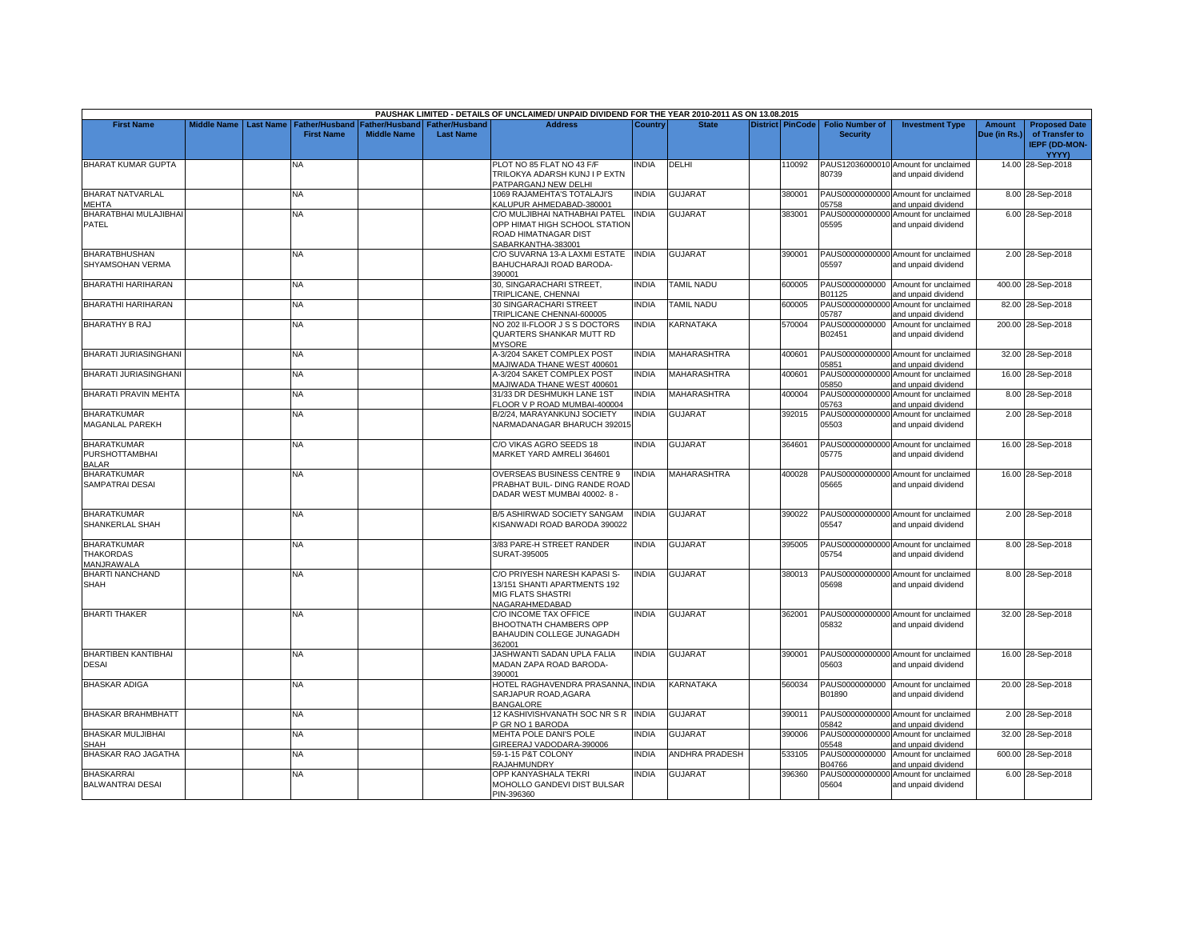|                                                             |                    |                  |                                            |                                             |                                           | PAUSHAK LIMITED - DETAILS OF UNCLAIMED/ UNPAID DIVIDEND FOR THE YEAR 2010-2011 AS ON 13.08.2015     |              |                       |                  |                                           |                                                             |                               |                                                                |
|-------------------------------------------------------------|--------------------|------------------|--------------------------------------------|---------------------------------------------|-------------------------------------------|-----------------------------------------------------------------------------------------------------|--------------|-----------------------|------------------|-------------------------------------------|-------------------------------------------------------------|-------------------------------|----------------------------------------------------------------|
| <b>First Name</b>                                           | <b>Middle Name</b> | <b>Last Name</b> | <b>Father/Husband</b><br><b>First Name</b> | <b>Father/Husband</b><br><b>Middle Name</b> | <b>Father/Husband</b><br><b>Last Name</b> | <b>Address</b>                                                                                      | Country      | <b>State</b>          | District PinCode | <b>Folio Number of</b><br><b>Security</b> | <b>Investment Type</b>                                      | <b>Amount</b><br>Due (in Rs.) | <b>Proposed Date</b><br>of Transfer to<br><b>IEPF (DD-MON-</b> |
|                                                             |                    |                  |                                            |                                             |                                           |                                                                                                     |              |                       |                  |                                           |                                                             |                               | YYYY)                                                          |
| <b>BHARAT KUMAR GUPTA</b>                                   |                    |                  | NA                                         |                                             |                                           | PLOT NO 85 FLAT NO 43 F/F<br>TRILOKYA ADARSH KUNJ I P EXTN<br>PATPARGANJ NEW DELHI                  | INDIA        | DELHI                 | 110092           | 80739                                     | PAUS12036000010 Amount for unclaimed<br>and unpaid dividend |                               | 14.00 28-Sep-2018                                              |
| <b>BHARAT NATVARLAL</b><br>MEHTA                            |                    |                  | NA                                         |                                             |                                           | 1069 RAJAMEHTA'S TOTALAJI'S<br>KALUPUR AHMEDABAD-380001                                             | <b>INDIA</b> | <b>GUJARAT</b>        | 380001           | PAUS00000000000<br>05758                  | Amount for unclaimed<br>and unpaid dividend                 |                               | 8.00 28-Sep-2018                                               |
| BHARATBHAI MULAJIBHAI                                       |                    |                  | NA.                                        |                                             |                                           | C/O MULJIBHAI NATHABHAI PATEL                                                                       | <b>INDIA</b> | <b>GUJARAT</b>        | 383001           |                                           | PAUS00000000000 Amount for unclaimed                        |                               | 6.00 28-Sep-2018                                               |
| PATEL                                                       |                    |                  |                                            |                                             |                                           | OPP HIMAT HIGH SCHOOL STATION<br>ROAD HIMATNAGAR DIST<br>SABARKANTHA-383001                         |              |                       |                  | 05595                                     | and unpaid dividend                                         |                               |                                                                |
| <b>BHARATBHUSHAN</b><br>SHYAMSOHAN VERMA                    |                    |                  | NA                                         |                                             |                                           | C/O SUVARNA 13-A LAXMI ESTATE INDIA<br>BAHUCHARAJI ROAD BARODA-<br>390001                           |              | <b>GUJARAT</b>        | 390001           | PAUS00000000000<br>05597                  | Amount for unclaimed<br>and unpaid dividend                 |                               | 2.00 28-Sep-2018                                               |
| BHARATHI HARIHARAN                                          |                    |                  | NA                                         |                                             |                                           | 30, SINGARACHARI STREET,<br>TRIPLICANE, CHENNAI                                                     | <b>INDIA</b> | TAMIL NADU            | 600005           | PAUS0000000000<br>B01125                  | Amount for unclaimed<br>and unpaid dividend                 |                               | 400.00 28-Sep-2018                                             |
| BHARATHI HARIHARAN                                          |                    |                  | <b>NA</b>                                  |                                             |                                           | 30 SINGARACHARI STREET<br>TRIPLICANE CHENNAI-600005                                                 | <b>INDIA</b> | <b>TAMIL NADU</b>     | 600005           | PAUS00000000000<br>05787                  | Amount for unclaimed<br>and unpaid dividend                 |                               | 82.00 28-Sep-2018                                              |
| <b>BHARATHY B RAJ</b>                                       |                    |                  | NA                                         |                                             |                                           | NO 202 II-FLOOR J S S DOCTORS<br>QUARTERS SHANKAR MUTT RD<br><b>MYSORE</b>                          | <b>INDIA</b> | KARNATAKA             | 570004           | B02451                                    | PAUS0000000000 Amount for unclaimed<br>and unpaid dividend  |                               | 200.00 28-Sep-2018                                             |
| <b>BHARATI JURIASINGHANI</b>                                |                    |                  | <b>NA</b>                                  |                                             |                                           | A-3/204 SAKET COMPLEX POST<br>MAJIWADA THANE WEST 400601                                            | <b>INDIA</b> | <b>MAHARASHTRA</b>    | 400601           | 05851                                     | PAUS00000000000 Amount for unclaimed<br>and unpaid dividend |                               | 32.00 28-Sep-2018                                              |
| <b>BHARATI JURIASINGHANI</b>                                |                    |                  | NA                                         |                                             |                                           | 4-3/204 SAKET COMPLEX POST<br>MAJIWADA THANE WEST 400601                                            | <b>INDIA</b> | <b>MAHARASHTRA</b>    | 400601           | PAUS00000000000<br>05850                  | Amount for unclaimed<br>and unpaid dividend                 |                               | 16.00 28-Sep-2018                                              |
| <b>BHARATI PRAVIN MEHTA</b>                                 |                    |                  | <b>NA</b>                                  |                                             |                                           | 31/33 DR DESHMUKH LANE 1ST<br>FLOOR V P ROAD MUMBAI-400004                                          | <b>INDIA</b> | <b>MAHARASHTRA</b>    | 400004           | PAUS00000000000<br>05763                  | Amount for unclaimed<br>and unpaid dividend                 |                               | 8.00 28-Sep-2018                                               |
| <b>BHARATKUMAR</b><br>MAGANLAL PAREKH                       |                    |                  | NA                                         |                                             |                                           | B/2/24, MARAYANKUNJ SOCIETY<br>NARMADANAGAR BHARUCH 392015                                          | INDIA        | <b>GUJARAT</b>        | 392015           | PAUS00000000000<br>05503                  | Amount for unclaimed<br>and unpaid dividend                 |                               | 2.00 28-Sep-2018                                               |
| <b>BHARATKUMAR</b><br><b>PURSHOTTAMBHAI</b><br><b>BALAR</b> |                    |                  | <b>NA</b>                                  |                                             |                                           | C/O VIKAS AGRO SEEDS 18<br>MARKET YARD AMRELI 364601                                                | <b>INDIA</b> | <b>GUJARAT</b>        | 364601           | 05775                                     | PAUS00000000000 Amount for unclaimed<br>and unpaid dividend |                               | 16.00 28-Sep-2018                                              |
| <b>BHARATKUMAR</b><br>SAMPATRAI DESAI                       |                    |                  | <b>NA</b>                                  |                                             |                                           | OVERSEAS BUSINESS CENTRE 9<br>PRABHAT BUIL- DING RANDE ROAD<br>DADAR WEST MUMBAI 40002-8 -          | <b>INDIA</b> | <b>MAHARASHTRA</b>    | 400028           | 05665                                     | PAUS00000000000 Amount for unclaimed<br>and unpaid dividend |                               | 16.00 28-Sep-2018                                              |
| <b>BHARATKUMAR</b><br>SHANKERLAL SHAH                       |                    |                  | NA                                         |                                             |                                           | B/5 ASHIRWAD SOCIETY SANGAM<br>KISANWADI ROAD BARODA 390022                                         | INDIA        | <b>GUJARAT</b>        | 390022           | 05547                                     | PAUS00000000000 Amount for unclaimed<br>and unpaid dividend |                               | 2.00 28-Sep-2018                                               |
| <b>BHARATKUMAR</b><br><b>THAKORDAS</b><br>MANJRAWALA        |                    |                  | NA                                         |                                             |                                           | 3/83 PARE-H STREET RANDER<br>SURAT-395005                                                           | <b>INDIA</b> | <b>GUJARAT</b>        | 395005           | 05754                                     | PAUS00000000000 Amount for unclaimed<br>and unpaid dividend |                               | 8.00 28-Sep-2018                                               |
| <b>BHARTI NANCHAND</b><br><b>SHAH</b>                       |                    |                  | <b>NA</b>                                  |                                             |                                           | C/O PRIYESH NARESH KAPASI S-<br>13/151 SHANTI APARTMENTS 192<br>MIG FLATS SHASTRI<br>NAGARAHMEDABAD | <b>INDIA</b> | <b>GUJARAT</b>        | 380013           | 05698                                     | PAUS00000000000 Amount for unclaimed<br>and unpaid dividend |                               | 8.00 28-Sep-2018                                               |
| <b>BHARTI THAKER</b>                                        |                    |                  | NA.                                        |                                             |                                           | C/O INCOME TAX OFFICE<br><b>BHOOTNATH CHAMBERS OPP</b><br>BAHAUDIN COLLEGE JUNAGADH<br>362001       | <b>INDIA</b> | <b>GUJARAT</b>        | 362001           | 05832                                     | PAUS00000000000 Amount for unclaimed<br>and unpaid dividend |                               | 32.00 28-Sep-2018                                              |
| <b>BHARTIBEN KANTIBHAI</b><br><b>DESAI</b>                  |                    |                  | <b>NA</b>                                  |                                             |                                           | JASHWANTI SADAN UPLA FALIA<br>MADAN ZAPA ROAD BARODA-<br>390001                                     | <b>INDIA</b> | <b>GUJARAT</b>        | 390001           | 05603                                     | PAUS00000000000 Amount for unclaimed<br>and unpaid dividend |                               | 16.00 28-Sep-2018                                              |
| <b>BHASKAR ADIGA</b>                                        |                    |                  | NA.                                        |                                             |                                           | HOTEL RAGHAVENDRA PRASANNA, INDIA<br>SARJAPUR ROAD.AGARA<br><b>BANGALORE</b>                        |              | <b>KARNATAKA</b>      | 560034           | B01890                                    | PAUS0000000000 Amount for unclaimed<br>and unpaid dividend  |                               | 20.00 28-Sep-2018                                              |
| <b>BHASKAR BRAHMBHATT</b>                                   |                    |                  | NA.                                        |                                             |                                           | 12 KASHIVISHVANATH SOC NR S R INDIA<br>P GR NO 1 BARODA                                             |              | <b>GUJARAT</b>        | 390011           | 05842                                     | PAUS00000000000 Amount for unclaimed<br>and unpaid dividend |                               | 2.00 28-Sep-2018                                               |
| <b>BHASKAR MULJIBHAI</b><br>SHAH                            |                    |                  | <b>NA</b>                                  |                                             |                                           | <b>MEHTA POLE DANI'S POLE</b><br>GIREERAJ VADODARA-390006                                           | <b>INDIA</b> | <b>GUJARAT</b>        | 390006           | PAUS00000000000<br>05548                  | Amount for unclaimed<br>and unpaid dividend                 |                               | 32.00 28-Sep-2018                                              |
| BHASKAR RAO JAGATHA                                         |                    |                  | NA                                         |                                             |                                           | 59-1-15 P&T COLONY<br>RAJAHMUNDRY                                                                   | <b>INDIA</b> | <b>ANDHRA PRADESH</b> | 533105           | PAUS0000000000<br>B04766                  | Amount for unclaimed<br>and unpaid dividend                 |                               | 600.00 28-Sep-2018                                             |
| <b>BHASKARRAI</b><br><b>BALWANTRAI DESAI</b>                |                    |                  | NA.                                        |                                             |                                           | OPP KANYASHALA TEKRI<br>MOHOLLO GANDEVI DIST BULSAR<br>PIN-396360                                   | <b>INDIA</b> | <b>GUJARAT</b>        | 396360           | PAUS00000000000<br>05604                  | Amount for unclaimed<br>and unpaid dividend                 |                               | 6.00 28-Sep-2018                                               |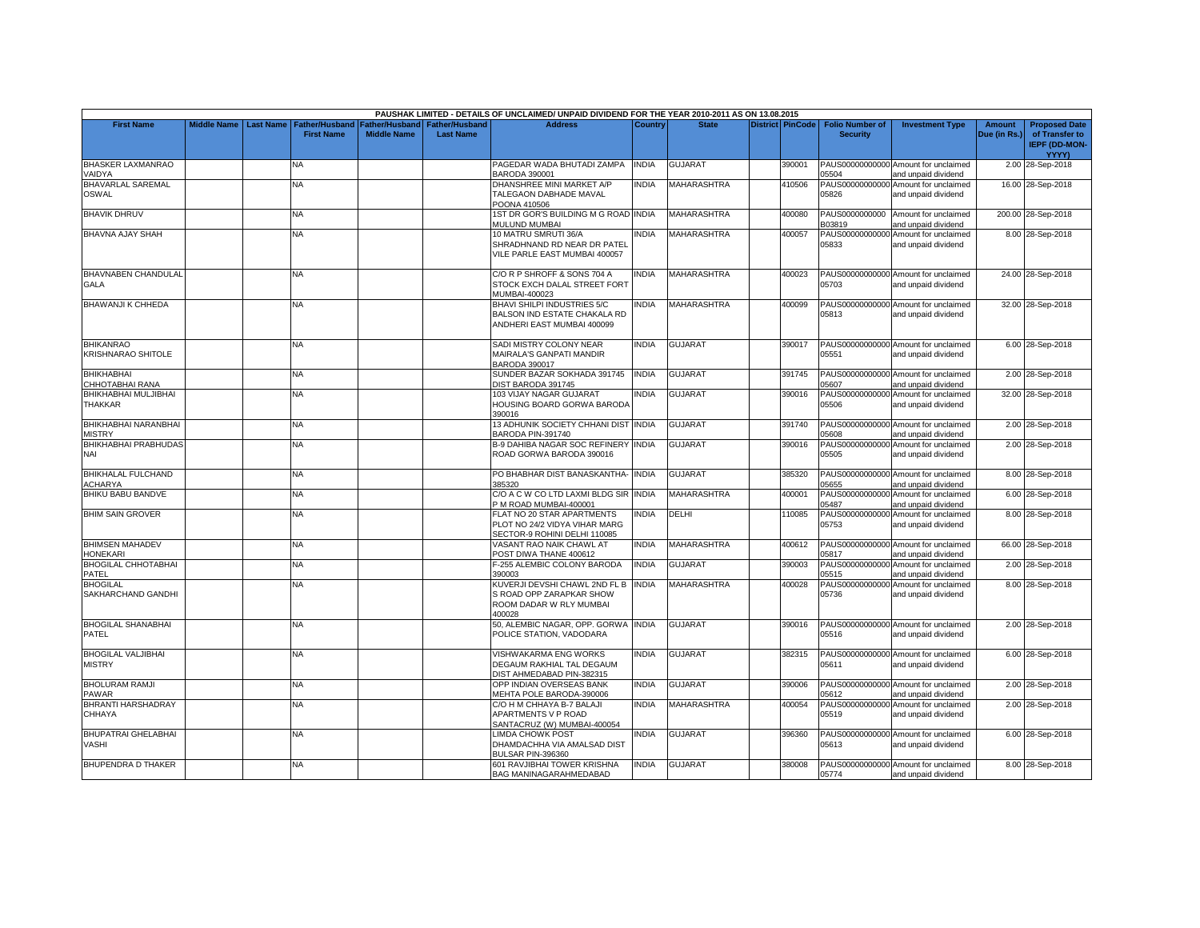|                                            |                         |                                            |                                             |                                    | PAUSHAK LIMITED - DETAILS OF UNCLAIMED/ UNPAID DIVIDEND FOR THE YEAR 2010-2011 AS ON 13.08.2015 |                |                    |                  |                                           |                                                             |                               |                                                                |
|--------------------------------------------|-------------------------|--------------------------------------------|---------------------------------------------|------------------------------------|-------------------------------------------------------------------------------------------------|----------------|--------------------|------------------|-------------------------------------------|-------------------------------------------------------------|-------------------------------|----------------------------------------------------------------|
| <b>First Name</b>                          | Middle Name   Last Name | <b>Father/Husband</b><br><b>First Name</b> | <b>Father/Husband</b><br><b>Middle Name</b> | Father/Husband<br><b>Last Name</b> | <b>Address</b>                                                                                  | <b>Country</b> | <b>State</b>       | District PinCode | <b>Folio Number of</b><br><b>Security</b> | <b>Investment Type</b>                                      | <b>Amount</b><br>Due (in Rs.) | <b>Proposed Date</b><br>of Transfer to<br><b>IEPF (DD-MON-</b> |
| <b>BHASKER LAXMANRAO</b>                   |                         | NA                                         |                                             |                                    | PAGEDAR WADA BHUTADI ZAMPA                                                                      | <b>INDIA</b>   | <b>GUJARAT</b>     | 390001           |                                           | PAUS00000000000 Amount for unclaimed                        |                               | YYYY)<br>2.00 28-Sep-2018                                      |
| VAIDYA                                     |                         |                                            |                                             |                                    | BARODA 390001                                                                                   |                |                    |                  | 05504                                     | and unpaid dividend                                         |                               |                                                                |
| <b>BHAVARLAL SAREMAL</b>                   |                         | <b>NA</b>                                  |                                             |                                    | DHANSHREE MINI MARKET A/P                                                                       | INDIA          | <b>MAHARASHTRA</b> | 410506           |                                           | PAUS00000000000 Amount for unclaimed                        |                               | 16.00 28-Sep-2018                                              |
| OSWAL                                      |                         |                                            |                                             |                                    | TALEGAON DABHADE MAVAL<br>POONA 410506                                                          |                |                    |                  | 05826                                     | and unpaid dividend                                         |                               |                                                                |
| <b>BHAVIK DHRUV</b>                        |                         | NA                                         |                                             |                                    | 1ST DR GOR'S BUILDING M G ROAD INDIA                                                            |                | MAHARASHTRA        | 400080           |                                           | PAUS0000000000 Amount for unclaimed                         |                               | 200.00 28-Sep-2018                                             |
|                                            |                         |                                            |                                             |                                    | MULUND MUMBAI                                                                                   |                |                    |                  | B03819                                    | and unpaid dividend                                         |                               |                                                                |
| <b>BHAVNA AJAY SHAH</b>                    |                         | <b>NA</b>                                  |                                             |                                    | 10 MATRU SMRUTI 36/A<br>SHRADHNAND RD NEAR DR PATEL<br>VILE PARLE EAST MUMBAI 400057            | <b>INDIA</b>   | <b>MAHARASHTRA</b> | 400057           | PAUS00000000000<br>05833                  | Amount for unclaimed<br>and unpaid dividend                 |                               | 8.00 28-Sep-2018                                               |
| BHAVNABEN CHANDULAL                        |                         | NA                                         |                                             |                                    | C/O R P SHROFF & SONS 704 A                                                                     | <b>NDIA</b>    | <b>MAHARASHTRA</b> | 400023           |                                           | PAUS00000000000 Amount for unclaimed                        |                               | 24.00 28-Sep-2018                                              |
| GALA                                       |                         |                                            |                                             |                                    | STOCK EXCH DALAL STREET FORT<br>MUMBAI-400023                                                   |                |                    |                  | 05703                                     | and unpaid dividend                                         |                               |                                                                |
| BHAWANJI K CHHEDA                          |                         | NA                                         |                                             |                                    | BHAVI SHILPI INDUSTRIES 5/C<br>BALSON IND ESTATE CHAKALA RD<br>ANDHERI EAST MUMBAI 400099       | <b>NDIA</b>    | <b>MAHARASHTRA</b> | 400099           | 05813                                     | PAUS00000000000 Amount for unclaimed<br>and unpaid dividend |                               | 32.00 28-Sep-2018                                              |
| <b>BHIKANRAO</b><br>KRISHNARAO SHITOLE     |                         | <b>NA</b>                                  |                                             |                                    | SADI MISTRY COLONY NEAR<br>MAIRALA'S GANPATI MANDIR<br><b>BARODA 390017</b>                     | <b>INDIA</b>   | <b>GUJARAT</b>     | 390017           | 05551                                     | PAUS00000000000 Amount for unclaimed<br>and unpaid dividend |                               | 6.00 28-Sep-2018                                               |
| <b>BHIKHABHAI</b><br>CHHOTABHAI RANA       |                         | <b>NA</b>                                  |                                             |                                    | SUNDER BAZAR SOKHADA 391745<br>DIST BARODA 391745                                               | <b>INDIA</b>   | <b>GUJARAT</b>     | 391745           | 05607                                     | PAUS00000000000 Amount for unclaimed<br>and unpaid dividend |                               | 2.00 28-Sep-2018                                               |
| BHIKHABHAI MULJIBHAI<br>THAKKAR            |                         | <b>NA</b>                                  |                                             |                                    | 103 VIJAY NAGAR GUJARAT<br><b>HOUSING BOARD GORWA BARODA</b><br>390016                          | <b>NDIA</b>    | <b>GUJARAT</b>     | 390016           | PAUS00000000000<br>05506                  | Amount for unclaimed<br>and unpaid dividend                 |                               | 32.00 28-Sep-2018                                              |
| BHIKHABHAI NARANBHAI<br><b>MISTRY</b>      |                         | <b>NA</b>                                  |                                             |                                    | 13 ADHUNIK SOCIETY CHHANI DIST INDIA<br><b>BARODA PIN-391740</b>                                |                | <b>GUJARAT</b>     | 391740           | 05608                                     | PAUS00000000000 Amount for unclaimed<br>and unpaid dividend |                               | 2.00 28-Sep-2018                                               |
| <b>BHIKHABHAI PRABHUDAS</b><br>NAI         |                         | <b>NA</b>                                  |                                             |                                    | <b>B-9 DAHIBA NAGAR SOC REFINERY INDIA</b><br>ROAD GORWA BARODA 390016                          |                | <b>GUJARAT</b>     | 390016           | PAUS00000000000<br>05505                  | Amount for unclaimed<br>and unpaid dividend                 |                               | 2.00 28-Sep-2018                                               |
| <b>BHIKHALAL FULCHAND</b><br>ACHARYA       |                         | <b>NA</b>                                  |                                             |                                    | PO BHABHAR DIST BANASKANTHA- IINDIA<br>385320                                                   |                | <b>GUJARAT</b>     | 385320           | 05655                                     | PAUS00000000000 Amount for unclaimed<br>and unpaid dividend |                               | 8.00 28-Sep-2018                                               |
| <b>BHIKU BABU BANDVE</b>                   |                         | NA                                         |                                             |                                    | C/O A C W CO LTD LAXMI BLDG SIR<br>P M ROAD MUMBAI-400001                                       | <b>INDIA</b>   | <b>MAHARASHTRA</b> | 400001           | PAUS00000000000<br>05487                  | Amount for unclaimed<br>and unpaid dividend                 |                               | 6.00 28-Sep-2018                                               |
| <b>BHIM SAIN GROVER</b>                    |                         | NA                                         |                                             |                                    | FLAT NO 20 STAR APARTMENTS<br>PLOT NO 24/2 VIDYA VIHAR MARG<br>SECTOR-9 ROHINI DELHI 110085     | INDIA          | <b>DELHI</b>       | 110085           | PAUS00000000000<br>05753                  | Amount for unclaimed<br>and unpaid dividend                 |                               | 8.00 28-Sep-2018                                               |
| <b>BHIMSEN MAHADEV</b><br><b>HONEKARI</b>  |                         | NA                                         |                                             |                                    | VASANT RAO NAIK CHAWL AT<br>POST DIWA THANE 400612                                              | INDIA          | MAHARASHTRA        | 400612           | 05817                                     | PAUS00000000000 Amount for unclaimed<br>and unpaid dividend |                               | 66.00 28-Sep-2018                                              |
| <b>BHOGILAL CHHOTABHAI</b><br>PATEL        |                         | <b>NA</b>                                  |                                             |                                    | F-255 ALEMBIC COLONY BARODA<br>390003                                                           | INDIA          | <b>GUJARAT</b>     | 390003           | 05515                                     | PAUS00000000000 Amount for unclaimed<br>and unpaid dividend |                               | 2.00 28-Sep-2018                                               |
| <b>BHOGILAL</b><br>SAKHARCHAND GANDHI      |                         | NA                                         |                                             |                                    | KUVERJI DEVSHI CHAWL 2ND FL B<br>S ROAD OPP ZARAPKAR SHOW<br>ROOM DADAR W RLY MUMBAI<br>400028  | <b>INDIA</b>   | <b>MAHARASHTRA</b> | 400028           | PAUS00000000000<br>05736                  | Amount for unclaimed<br>and unpaid dividend                 |                               | 8.00 28-Sep-2018                                               |
| <b>BHOGILAL SHANABHAI</b><br>PATEL         |                         | NA                                         |                                             |                                    | 50, ALEMBIC NAGAR, OPP. GORWA<br>POLICE STATION, VADODARA                                       | <b>INDIA</b>   | <b>GUJARAT</b>     | 390016           | 05516                                     | PAUS00000000000 Amount for unclaimed<br>and unpaid dividend |                               | 2.00 28-Sep-2018                                               |
| <b>BHOGILAL VALJIBHAI</b><br><b>MISTRY</b> |                         | NA                                         |                                             |                                    | VISHWAKARMA ENG WORKS<br>DEGAUM RAKHIAL TAL DEGAUM<br>DIST AHMEDABAD PIN-382315                 | <b>INDIA</b>   | <b>GUJARAT</b>     | 382315           | 05611                                     | PAUS00000000000 Amount for unclaimed<br>and unpaid dividend |                               | 6.00 28-Sep-2018                                               |
| <b>BHOLURAM RAMJI</b><br>PAWAR             |                         | <b>NA</b>                                  |                                             |                                    | OPP INDIAN OVERSEAS BANK<br>MEHTA POLE BARODA-390006                                            | <b>INDIA</b>   | <b>GUJARAT</b>     | 390006           | 05612                                     | PAUS00000000000 Amount for unclaimed<br>and unpaid dividend |                               | 2.00 28-Sep-2018                                               |
| BHRANTI HARSHADRAY<br>CHHAYA               |                         | <b>NA</b>                                  |                                             |                                    | C/O H M CHHAYA B-7 BALAJI<br><b>APARTMENTS V P ROAD</b><br>SANTACRUZ (W) MUMBAI-400054          | <b>INDIA</b>   | <b>MAHARASHTRA</b> | 400054           | PAUS00000000000<br>05519                  | Amount for unclaimed<br>and unpaid dividend                 |                               | 2.00 28-Sep-2018                                               |
| <b>BHUPATRAI GHELABHAI</b><br>VASHI        |                         | <b>NA</b>                                  |                                             |                                    | <b>LIMDA CHOWK POST</b><br>DHAMDACHHA VIA AMALSAD DIST<br>BULSAR PIN-396360                     | <b>NDIA</b>    | <b>GUJARAT</b>     | 396360           | 05613                                     | PAUS00000000000 Amount for unclaimed<br>and unpaid dividend |                               | 6.00 28-Sep-2018                                               |
| <b>BHUPENDRA D THAKER</b>                  |                         | ΝA                                         |                                             |                                    | 601 RAVJIBHAI TOWER KRISHNA<br>BAG MANINAGARAHMEDABAD                                           | INDIA          | <b>GUJARAT</b>     | 380008           | 05774                                     | PAUS00000000000 Amount for unclaimed<br>and unpaid dividend |                               | 8.00 28-Sep-2018                                               |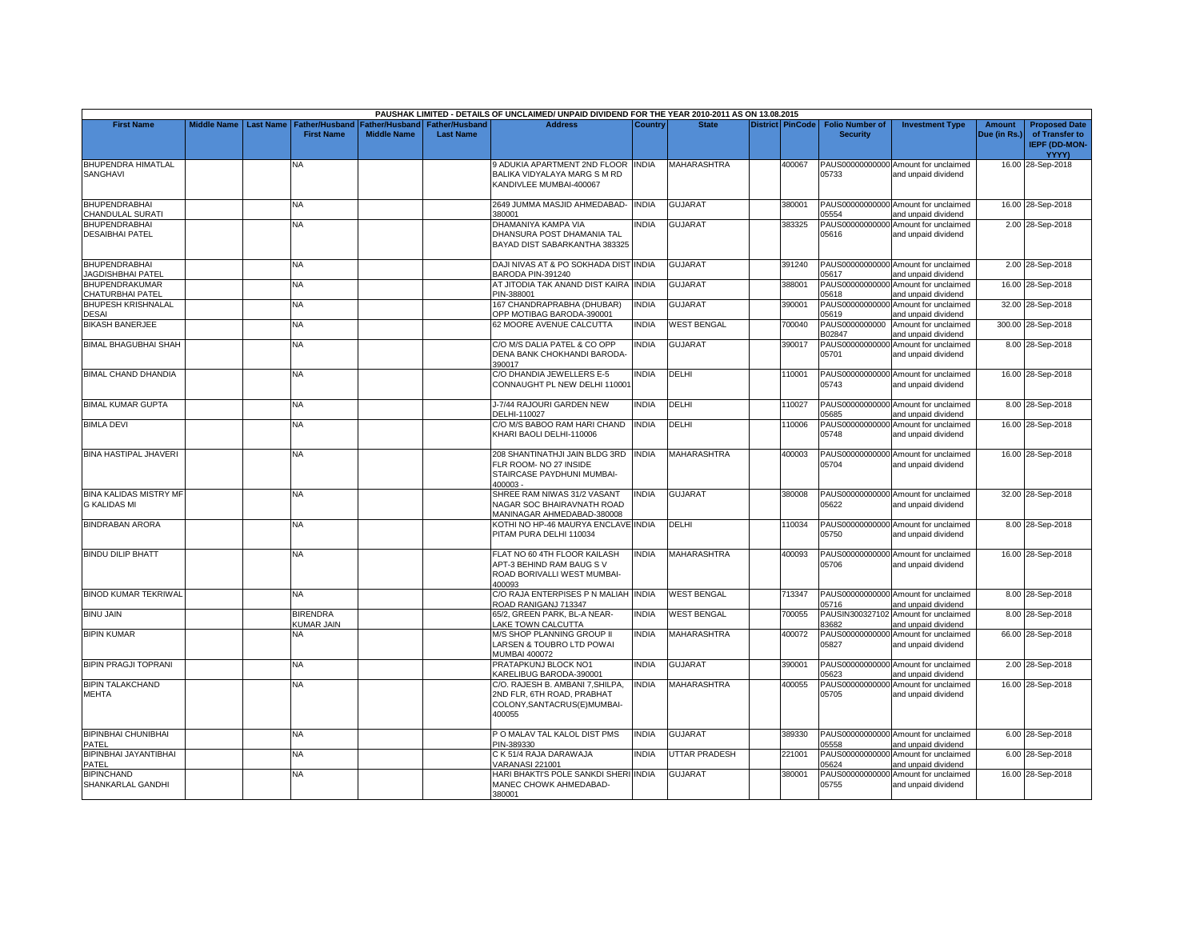|                                                  |                    |           |                                            |                                      |                                           | PAUSHAK LIMITED - DETAILS OF UNCLAIMED/ UNPAID DIVIDEND FOR THE YEAR 2010-2011 AS ON 13.08.2015          |              |                      |                         |                                           |                                                             |                               |                                                                         |
|--------------------------------------------------|--------------------|-----------|--------------------------------------------|--------------------------------------|-------------------------------------------|----------------------------------------------------------------------------------------------------------|--------------|----------------------|-------------------------|-------------------------------------------|-------------------------------------------------------------|-------------------------------|-------------------------------------------------------------------------|
| <b>First Name</b>                                | <b>Middle Name</b> | Last Name | <b>Father/Husband</b><br><b>First Name</b> | Father/Husband<br><b>Middle Name</b> | <b>Father/Husband</b><br><b>Last Name</b> | <b>Address</b>                                                                                           | Country      | <b>State</b>         | <b>District PinCode</b> | <b>Folio Number of</b><br><b>Security</b> | <b>Investment Type</b>                                      | <b>Amount</b><br>Due (in Rs.) | <b>Proposed Date</b><br>of Transfer to<br><b>IEPF (DD-MON-</b><br>YYYY) |
| BHUPENDRA HIMATLAL<br>SANGHAVI                   |                    |           | NA                                         |                                      |                                           | 9 ADUKIA APARTMENT 2ND FLOOR INDIA<br>BALIKA VIDYALAYA MARG S M RD<br>KANDIVLEE MUMBAI-400067            |              | MAHARASHTRA          | 400067                  | 05733                                     | PAUS00000000000 Amount for unclaimed<br>and unpaid dividend |                               | 16.00 28-Sep-2018                                                       |
| <b>BHUPENDRABHAI</b><br>CHANDULAL SURATI         |                    |           | <b>NA</b>                                  |                                      |                                           | 2649 JUMMA MASJID AHMEDABAD-<br>380001                                                                   | <b>INDIA</b> | <b>GUJARAT</b>       | 380001                  | 05554                                     | PAUS00000000000 Amount for unclaimed<br>and unpaid dividend |                               | 16.00 28-Sep-2018                                                       |
| <b>BHUPENDRABHAI</b><br><b>DESAIBHAI PATEL</b>   |                    |           | <b>NA</b>                                  |                                      |                                           | DHAMANIYA KAMPA VIA<br>DHANSURA POST DHAMANIA TAL<br>BAYAD DIST SABARKANTHA 383325                       | <b>INDIA</b> | GUJARAT              | 383325                  | 05616                                     | PAUS00000000000 Amount for unclaimed<br>and unpaid dividend |                               | 2.00 28-Sep-2018                                                        |
| <b>BHUPENDRABHAI</b><br><b>JAGDISHBHAI PATEL</b> |                    |           | <b>NA</b>                                  |                                      |                                           | DAJI NIVAS AT & PO SOKHADA DIST INDIA<br>BARODA PIN-391240                                               |              | <b>GUJARAT</b>       | 391240                  | 05617                                     | PAUS00000000000 Amount for unclaimed<br>and unpaid dividend |                               | 2.00 28-Sep-2018                                                        |
| BHUPENDRAKUMAR<br>CHATURBHAI PATEL               |                    |           | NA                                         |                                      |                                           | AT JITODIA TAK ANAND DIST KAIRA INDIA<br>PIN-388001                                                      |              | GUJARAT              | 388001                  | 05618                                     | PAUS00000000000 Amount for unclaimed<br>and unpaid dividend |                               | 16.00 28-Sep-2018                                                       |
| <b>BHUPESH KRISHNALAL</b><br>DESAI               |                    |           | <b>NA</b>                                  |                                      |                                           | 167 CHANDRAPRABHA (DHUBAR)<br>OPP MOTIBAG BARODA-390001                                                  | <b>INDIA</b> | <b>GUJARAT</b>       | 390001                  | PAUS00000000000<br>05619                  | Amount for unclaimed<br>and unpaid dividend                 |                               | 32.00 28-Sep-2018                                                       |
| <b>BIKASH BANERJEE</b>                           |                    |           | NA                                         |                                      |                                           | 62 MOORE AVENUE CALCUTTA                                                                                 | <b>INDIA</b> | <b>WEST BENGAL</b>   | 700040                  | PAUS0000000000<br>302847                  | Amount for unclaimed<br>and unpaid dividend                 |                               | 300.00 28-Sep-2018                                                      |
| <b>BIMAL BHAGUBHAI SHAH</b>                      |                    |           | NA                                         |                                      |                                           | C/O M/S DALIA PATEL & CO OPP<br>DENA BANK CHOKHANDI BARODA<br>390017                                     | <b>INDIA</b> | GUJARAT              | 390017                  | 05701                                     | PAUS00000000000 Amount for unclaimed<br>and unpaid dividend |                               | 8.00 28-Sep-2018                                                        |
| <b>BIMAL CHAND DHANDIA</b>                       |                    |           | <b>NA</b>                                  |                                      |                                           | C/O DHANDIA JEWELLERS E-5<br>CONNAUGHT PL NEW DELHI 110001                                               | <b>INDIA</b> | DELHI                | 110001                  | 05743                                     | PAUS00000000000 Amount for unclaimed<br>and unpaid dividend |                               | 16.00 28-Sep-2018                                                       |
| <b>BIMAL KUMAR GUPTA</b>                         |                    |           | NA                                         |                                      |                                           | J-7/44 RAJOURI GARDEN NEW<br>DELHI-110027                                                                | <b>INDIA</b> | DELHI                | 110027                  | 05685                                     | PAUS00000000000 Amount for unclaimed<br>and unpaid dividend |                               | 8.00 28-Sep-2018                                                        |
| <b>BIMLA DEVI</b>                                |                    |           | NA                                         |                                      |                                           | C/O M/S BABOO RAM HARI CHAND<br>KHARI BAOLI DELHI-110006                                                 | <b>INDIA</b> | DELHI                | 110006                  | 05748                                     | PAUS00000000000 Amount for unclaimed<br>and unpaid dividend |                               | 16.00 28-Sep-2018                                                       |
| <b>BINA HASTIPAL JHAVERI</b>                     |                    |           | NA.                                        |                                      |                                           | 208 SHANTINATHJI JAIN BLDG 3RD INDIA<br>FLR ROOM- NO 27 INSIDE<br>STAIRCASE PAYDHUNI MUMBAI-<br>400003-  |              | <b>MAHARASHTRA</b>   | 400003                  | 05704                                     | PAUS00000000000 Amount for unclaimed<br>and unpaid dividend |                               | 16.00 28-Sep-2018                                                       |
| <b>BINA KALIDAS MISTRY MF</b><br>G KALIDAS MI    |                    |           | NA                                         |                                      |                                           | SHREE RAM NIWAS 31/2 VASANT<br>NAGAR SOC BHAIRAVNATH ROAD<br>MANINAGAR AHMEDABAD-380008                  | <b>INDIA</b> | <b>GUJARAT</b>       | 380008                  | 05622                                     | PAUS00000000000 Amount for unclaimed<br>and unpaid dividend |                               | 32.00 28-Sep-2018                                                       |
| <b>BINDRABAN ARORA</b>                           |                    |           | NA                                         |                                      |                                           | KOTHI NO HP-46 MAURYA ENCLAVE INDIA<br>PITAM PURA DELHI 110034                                           |              | DELHI                | 110034                  | 05750                                     | PAUS00000000000 Amount for unclaimed<br>and unpaid dividend |                               | 8.00 28-Sep-2018                                                        |
| <b>BINDU DILIP BHATT</b>                         |                    |           | NA                                         |                                      |                                           | FLAT NO 60 4TH FLOOR KAILASH<br>APT-3 BEHIND RAM BAUG SV<br>ROAD BORIVALLI WEST MUMBAI-<br>400093        | <b>INDIA</b> | <b>MAHARASHTRA</b>   | 400093                  | 05706                                     | PAUS00000000000 Amount for unclaimed<br>and unpaid dividend |                               | 16.00 28-Sep-2018                                                       |
| <b>BINOD KUMAR TEKRIWAL</b>                      |                    |           | <b>NA</b>                                  |                                      |                                           | C/O RAJA ENTERPISES P N MALIAH INDIA<br>ROAD RANIGANJ 713347                                             |              | <b>WEST BENGAL</b>   | 713347                  | 05716                                     | PAUS00000000000 Amount for unclaimed<br>and unpaid dividend |                               | 8.00 28-Sep-2018                                                        |
| <b>BINU JAIN</b>                                 |                    |           | <b>BIRENDRA</b><br>KUMAR JAIN              |                                      |                                           | 65/2, GREEN PARK, BL-A NEAR-<br><b>AKE TOWN CALCUTTA</b>                                                 | <b>INDIA</b> | <b>WEST BENGAL</b>   | 700055                  | 33682                                     | PAUSIN300327102 Amount for unclaimed<br>and unpaid dividend |                               | 8.00 28-Sep-2018                                                        |
| <b>BIPIN KUMAR</b>                               |                    |           | NA                                         |                                      |                                           | M/S SHOP PLANNING GROUP II<br>LARSEN & TOUBRO LTD POWAI<br>MUMBAI 400072                                 | <b>INDIA</b> | <b>MAHARASHTRA</b>   | 400072                  | 05827                                     | PAUS00000000000 Amount for unclaimed<br>and unpaid dividend |                               | 66.00 28-Sep-2018                                                       |
| <b>BIPIN PRAGJI TOPRANI</b>                      |                    |           | NA                                         |                                      |                                           | PRATAPKUNJ BLOCK NO1<br>KARELIBUG BARODA-390001                                                          | <b>INDIA</b> | <b>GUJARAT</b>       | 390001                  | 05623                                     | PAUS00000000000 Amount for unclaimed<br>and unpaid dividend |                               | 2.00 28-Sep-2018                                                        |
| <b>BIPIN TALAKCHAND</b><br><b>MEHTA</b>          |                    |           | NA                                         |                                      |                                           | C/O. RAJESH B. AMBANI 7, SHILPA.<br>2ND FLR, 6TH ROAD, PRABHAT<br>COLONY, SANTACRUS(E) MUMBAI-<br>400055 | <b>INDIA</b> | MAHARASHTRA          | 400055                  | 05705                                     | PAUS00000000000 Amount for unclaimed<br>and unpaid dividend |                               | 16.00 28-Sep-2018                                                       |
| <b>BIPINBHAI CHUNIBHAI</b><br>PATEL              |                    |           | NA                                         |                                      |                                           | PO MALAV TAL KALOL DIST PMS<br>PIN-389330                                                                | <b>INDIA</b> | <b>GUJARAT</b>       | 389330                  | 05558                                     | PAUS00000000000 Amount for unclaimed<br>and unpaid dividend |                               | 6.00 28-Sep-2018                                                        |
| BIPINBHAI JAYANTIBHAI<br>PATEL                   |                    |           | NA                                         |                                      |                                           | C K 51/4 RAJA DARAWAJA<br>VARANASI 221001                                                                | <b>INDIA</b> | <b>UTTAR PRADESH</b> | 221001                  | 05624                                     | PAUS00000000000 Amount for unclaimed<br>and unpaid dividend |                               | 6.00 28-Sep-2018                                                        |
| <b>BIPINCHAND</b><br>SHANKARLAL GANDHI           |                    |           | <b>NA</b>                                  |                                      |                                           | HARI BHAKTI'S POLE SANKDI SHERI INDIA<br>MANEC CHOWK AHMEDABAD-<br>380001                                |              | GUJARAT              | 380001                  | PAUS00000000000<br>05755                  | Amount for unclaimed<br>and unpaid dividend                 |                               | 16.00 28-Sep-2018                                                       |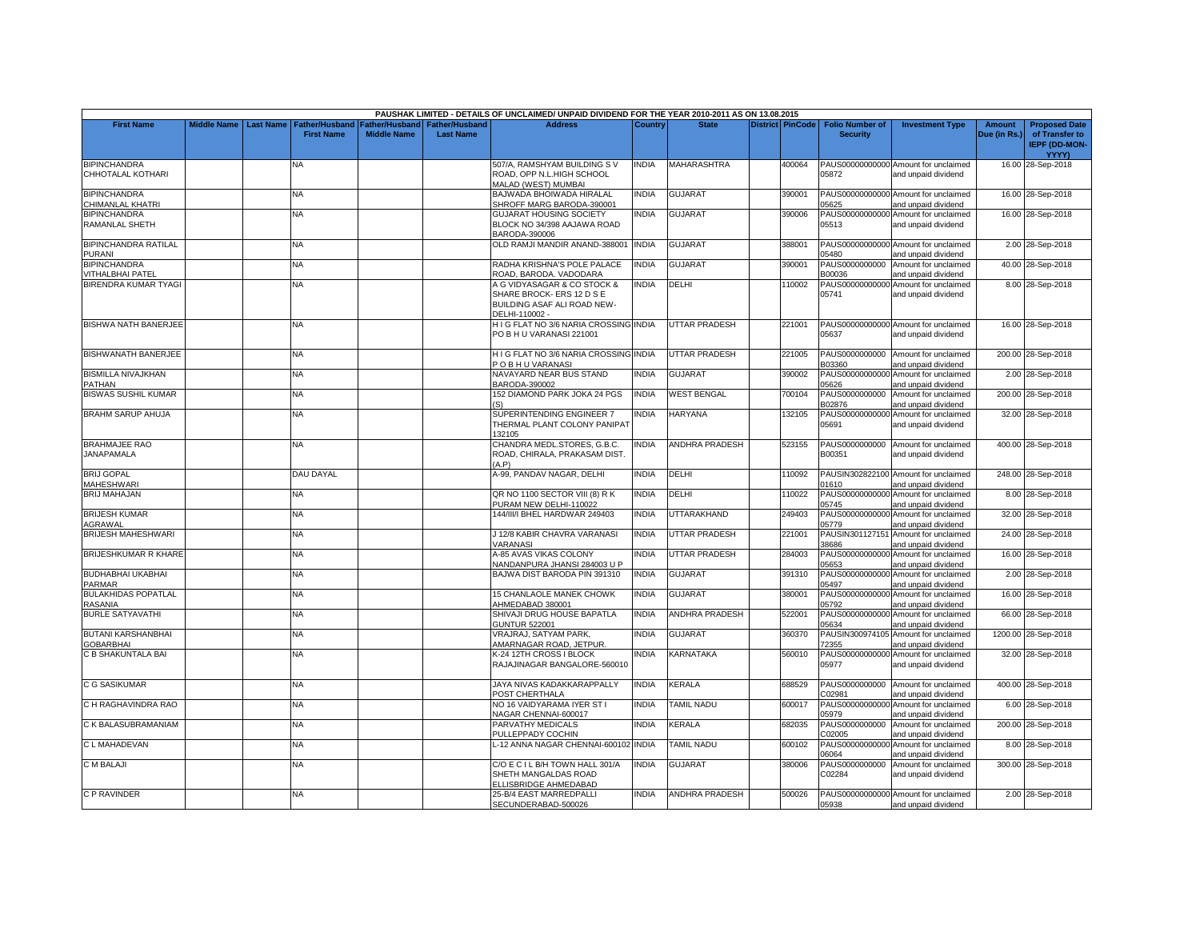|                                        |                    |                  |                       |                    |                  | PAUSHAK LIMITED - DETAILS OF UNCLAIMED/ UNPAID DIVIDEND FOR THE YEAR 2010-2011 AS ON 13.08.2015        |                |                       |                         |                          |                                                             |               |                                                        |
|----------------------------------------|--------------------|------------------|-----------------------|--------------------|------------------|--------------------------------------------------------------------------------------------------------|----------------|-----------------------|-------------------------|--------------------------|-------------------------------------------------------------|---------------|--------------------------------------------------------|
| <b>First Name</b>                      | <b>Middle Name</b> | <b>Last Name</b> | <b>Father/Husband</b> | Father/Husband     | Father/Husband   | <b>Address</b>                                                                                         | <b>Country</b> | <b>State</b>          | <b>District PinCode</b> | <b>Folio Number of</b>   | <b>Investment Type</b>                                      | <b>Amount</b> | <b>Proposed Date</b>                                   |
|                                        |                    |                  | <b>First Name</b>     | <b>Middle Name</b> | <b>Last Name</b> |                                                                                                        |                |                       |                         | <b>Security</b>          |                                                             | Due (in Rs.)  | of Transfer to<br><b>IEPF (DD-MON-</b><br><b>YYYY)</b> |
| <b>BIPINCHANDRA</b>                    |                    |                  | ΝA                    |                    |                  | 507/A, RAMSHYAM BUILDING S V                                                                           | INDIA          | <b>MAHARASHTRA</b>    | 400064                  |                          | PAUS00000000000 Amount for unclaimed                        |               | 16.00 28-Sep-2018                                      |
| CHHOTALAL KOTHARI                      |                    |                  |                       |                    |                  | ROAD, OPP N.L.HIGH SCHOOL<br><b>MALAD (WEST) MUMBAI</b>                                                |                |                       |                         | 05872                    | and unpaid dividend                                         |               |                                                        |
| <b>BIPINCHANDRA</b>                    |                    |                  | NA                    |                    |                  | BAJWADA BHOIWADA HIRALAL                                                                               | <b>INDIA</b>   | <b>GUJARAT</b>        | 390001                  |                          | PAUS00000000000 Amount for unclaimed                        |               | 16.00 28-Sep-2018                                      |
| CHIMANLAL KHATRI                       |                    |                  |                       |                    |                  | SHROFF MARG BARODA-390001                                                                              |                |                       |                         | 05625                    | and unpaid dividend                                         |               |                                                        |
| <b>BIPINCHANDRA</b>                    |                    |                  | NA                    |                    |                  | <b>GUJARAT HOUSING SOCIETY</b>                                                                         | <b>INDIA</b>   | <b>GUJARAT</b>        | 390006                  | PAUS00000000000          | Amount for unclaimed                                        |               | 16.00 28-Sep-2018                                      |
| RAMANLAL SHETH                         |                    |                  |                       |                    |                  | BLOCK NO 34/398 AAJAWA ROAD<br>BARODA-390006                                                           |                |                       |                         | 05513                    | and unpaid dividend                                         |               |                                                        |
| <b>BIPINCHANDRA RATILAL</b><br>PURANI  |                    |                  | <b>NA</b>             |                    |                  | OLD RAMJI MANDIR ANAND-388001                                                                          | <b>INDIA</b>   | <b>GUJARAT</b>        | 388001                  | 05480                    | PAUS00000000000 Amount for unclaimed<br>and unpaid dividend |               | 2.00 28-Sep-2018                                       |
| <b>BIPINCHANDRA</b>                    |                    |                  | NA                    |                    |                  | RADHA KRISHNA'S POLE PALACE                                                                            | INDIA          | <b>GUJARAT</b>        | 390001                  | PAUS0000000000           | Amount for unclaimed                                        |               | 40.00 28-Sep-2018                                      |
| <b>VITHALBHAI PATEL</b>                |                    |                  |                       |                    |                  | ROAD, BARODA, VADODARA                                                                                 |                |                       |                         | B00036                   | and unpaid dividend                                         |               |                                                        |
| <b>BIRENDRA KUMAR TYAGI</b>            |                    |                  | <b>NA</b>             |                    |                  | <b>A G VIDYASAGAR &amp; CO STOCK &amp;</b><br>SHARE BROCK- ERS 12 D S E<br>BUILDING ASAF ALI ROAD NEW- | <b>INDIA</b>   | DELHI                 | 110002                  | PAUS00000000000<br>05741 | Amount for unclaimed<br>and unpaid dividend                 |               | 8.00 28-Sep-2018                                       |
| <b>BISHWA NATH BANERJEE</b>            |                    |                  | NA                    |                    |                  | DELHI-110002 -<br>H I G FLAT NO 3/6 NARIA CROSSING INDIA                                               |                | <b>UTTAR PRADESH</b>  | 221001                  |                          | PAUS00000000000 Amount for unclaimed                        |               | 16.00 28-Sep-2018                                      |
|                                        |                    |                  |                       |                    |                  | PO B H U VARANASI 221001                                                                               |                |                       |                         | 05637                    | and unpaid dividend                                         |               |                                                        |
| <b>BISHWANATH BANERJEE</b>             |                    |                  | <b>NA</b>             |                    |                  | H I G FLAT NO 3/6 NARIA CROSSING INDIA<br>POBHUVARANASI                                                |                | <b>UTTAR PRADESH</b>  | 221005                  | B03360                   | PAUS0000000000 Amount for unclaimed<br>and unpaid dividend  |               | 200.00 28-Sep-2018                                     |
| <b>BISMILLA NIVAJKHAN</b><br>PATHAN    |                    |                  | <b>NA</b>             |                    |                  | NAVAYARD NEAR BUS STAND<br>BARODA-390002                                                               | <b>INDIA</b>   | <b>GUJARAT</b>        | 390002                  | PAUS00000000000<br>05626 | Amount for unclaimed<br>and unpaid dividend                 |               | 2.00 28-Sep-2018                                       |
| <b>BISWAS SUSHIL KUMAR</b>             |                    |                  | <b>NA</b>             |                    |                  | 152 DIAMOND PARK JOKA 24 PGS                                                                           | <b>INDIA</b>   | <b>WEST BENGAL</b>    | 700104                  | PAUS0000000000           | Amount for unclaimed                                        |               | 200.00 28-Sep-2018                                     |
| <b>BRAHM SARUP AHUJA</b>               |                    |                  | NA                    |                    |                  | S)<br>SUPERINTENDING ENGINEER 7                                                                        | INDIA          | <b>HARYANA</b>        | 132105                  | B02876                   | and unpaid dividend<br>PAUS00000000000 Amount for unclaimed |               | 32.00 28-Sep-2018                                      |
|                                        |                    |                  |                       |                    |                  | THERMAL PLANT COLONY PANIPAT<br>132105                                                                 |                |                       |                         | 05691                    | and unpaid dividend                                         |               |                                                        |
| <b>BRAHMAJEE RAO</b>                   |                    |                  | NA                    |                    |                  | CHANDRA MEDL.STORES, G.B.C.                                                                            | <b>INDIA</b>   | <b>ANDHRA PRADESH</b> | 523155                  |                          | PAUS0000000000 Amount for unclaimed                         |               | 400.00 28-Sep-2018                                     |
| <b>JANAPAMALA</b>                      |                    |                  |                       |                    |                  | ROAD, CHIRALA, PRAKASAM DIST.<br>A.P)                                                                  |                |                       |                         | B00351                   | and unpaid dividend                                         |               |                                                        |
| <b>BRIJ GOPAL</b><br><b>MAHESHWARI</b> |                    |                  | <b>DAU DAYAL</b>      |                    |                  | 4-99, PANDAV NAGAR, DELHI                                                                              | <b>INDIA</b>   | DELHI                 | 110092                  | 01610                    | PAUSIN302822100 Amount for unclaimed<br>and unpaid dividend |               | 248.00 28-Sep-2018                                     |
| <b>BRIJ MAHAJAN</b>                    |                    |                  | <b>NA</b>             |                    |                  | QR NO 1100 SECTOR VIII (8) R K<br>PURAM NEW DELHI-110022                                               | <b>INDIA</b>   | DELHI                 | 110022                  | 05745                    | PAUS00000000000 Amount for unclaimed<br>and unpaid dividend |               | 8.00 28-Sep-2018                                       |
| <b>BRIJESH KUMAR</b><br>AGRAWAL        |                    |                  | ΝA                    |                    |                  | 144/III/I BHEL HARDWAR 249403                                                                          | <b>INDIA</b>   | <b>UTTARAKHAND</b>    | 249403                  | PAUS00000000000<br>05779 | Amount for unclaimed<br>and unpaid dividend                 |               | 32.00 28-Sep-2018                                      |
| BRIJESH MAHESHWARI                     |                    |                  | NA                    |                    |                  | J 12/8 KABIR CHAVRA VARANASI<br>VARANASI                                                               | <b>INDIA</b>   | <b>UTTAR PRADESH</b>  | 221001                  | PAUSIN301127151<br>38686 | Amount for unclaimed<br>and unpaid dividend                 |               | 24.00 28-Sep-2018                                      |
| BRIJESHKUMAR R KHARE                   |                    |                  | NA                    |                    |                  | 4-85 AVAS VIKAS COLONY<br>NANDANPURA JHANSI 284003 U P                                                 | <b>INDIA</b>   | <b>JTTAR PRADESH</b>  | 284003                  | PAUS00000000000<br>05653 | Amount for unclaimed<br>and unpaid dividend                 |               | 16.00 28-Sep-2018                                      |
| <b>BUDHABHAI UKABHAI</b>               |                    |                  | NA                    |                    |                  | BAJWA DIST BARODA PIN 391310                                                                           | <b>INDIA</b>   | <b>GUJARAT</b>        | 391310                  | PAUS00000000000          | Amount for unclaimed                                        |               | 2.00 28-Sep-2018                                       |
| PARMAR<br><b>BULAKHIDAS POPATLAL</b>   |                    |                  | NA                    |                    |                  | 15 CHANLAOLE MANEK CHOWK                                                                               | <b>INDIA</b>   | <b>GUJARAT</b>        | 380001                  | 05497<br>PAUS00000000000 | and unpaid dividend<br>Amount for unclaimed                 |               | 16.00 28-Sep-2018                                      |
| RASANIA<br><b>BURLE SATYAVATHI</b>     |                    |                  | NA                    |                    |                  | AHMEDABAD 380001<br>SHIVAJI DRUG HOUSE BAPATLA                                                         | <b>INDIA</b>   | <b>ANDHRA PRADESH</b> | 522001                  | 05792<br>PAUS00000000000 | and unpaid dividend<br>Amount for unclaimed                 |               | 66.00 28-Sep-2018                                      |
| BUTANI KARSHANBHAI                     |                    |                  | NA                    |                    |                  | <b>GUNTUR 522001</b><br>VRAJRAJ, SATYAM PARK,                                                          | <b>INDIA</b>   | <b>GUJARAT</b>        | 360370                  | 05634                    | and unpaid dividend<br>PAUSIN300974105 Amount for unclaimed |               | 1200.00 28-Sep-2018                                    |
| <b>GOBARBHAI</b>                       |                    |                  |                       |                    |                  | AMARNAGAR ROAD, JETPUR.                                                                                |                |                       |                         | 72355                    | and unpaid dividend                                         |               |                                                        |
| C B SHAKUNTALA BAI                     |                    |                  | NA                    |                    |                  | K-24 12TH CROSS I BLOCK<br>RAJAJINAGAR BANGALORE-560010                                                | <b>INDIA</b>   | KARNATAKA             | 560010                  | PAUS00000000000<br>05977 | Amount for unclaimed<br>and unpaid dividend                 |               | 32.00 28-Sep-2018                                      |
| <b>C G SASIKUMAR</b>                   |                    |                  | <b>NA</b>             |                    |                  | JAYA NIVAS KADAKKARAPPALLY<br>POST CHERTHALA                                                           | <b>INDIA</b>   | KERALA                | 688529                  | C02981                   | PAUS0000000000 Amount for unclaimed<br>and unpaid dividend  |               | 400.00 28-Sep-2018                                     |
| C H RAGHAVINDRA RAO                    |                    |                  | NA                    |                    |                  | NO 16 VAIDYARAMA IYER ST I<br>NAGAR CHENNAI-600017                                                     | <b>INDIA</b>   | <b>TAMIL NADU</b>     | 600017                  | PAUS00000000000<br>05979 | Amount for unclaimed<br>and unpaid dividend                 |               | 6.00 28-Sep-2018                                       |
| C K BALASUBRAMANIAM                    |                    |                  | NA.                   |                    |                  | PARVATHY MEDICALS<br>PULLEPPADY COCHIN                                                                 | <b>INDIA</b>   | KERALA                | 682035                  | PAUS0000000000<br>C02005 | Amount for unclaimed<br>and unpaid dividend                 |               | 200.00 28-Sep-2018                                     |
| C L MAHADEVAN                          |                    |                  | <b>NA</b>             |                    |                  | -12 ANNA NAGAR CHENNAI-600102 INDIA                                                                    |                | <b>TAMIL NADU</b>     | 600102                  | PAUS00000000000          | Amount for unclaimed                                        |               | 8.00 28-Sep-2018                                       |
| C M BALAJI                             |                    |                  | NA                    |                    |                  | C/O E C I L B/H TOWN HALL 301/A                                                                        | <b>INDIA</b>   | <b>GUJARAT</b>        | 380006                  | 06064<br>PAUS0000000000  | and unpaid dividend<br>Amount for unclaimed                 |               | 300.00 28-Sep-2018                                     |
|                                        |                    |                  |                       |                    |                  | SHETH MANGALDAS ROAD<br>ELLISBRIDGE AHMEDABAD                                                          |                |                       |                         | C02284                   | and unpaid dividend                                         |               |                                                        |
| C P RAVINDER                           |                    |                  | NA                    |                    |                  | 25-B/4 EAST MARREDPALLI                                                                                | <b>INDIA</b>   | <b>ANDHRA PRADESH</b> | 500026                  |                          | PAUS00000000000 Amount for unclaimed                        |               | 2.00 28-Sep-2018                                       |
|                                        |                    |                  |                       |                    |                  | SECUNDERABAD-500026                                                                                    |                |                       |                         | 05938                    | and unpaid dividend                                         |               |                                                        |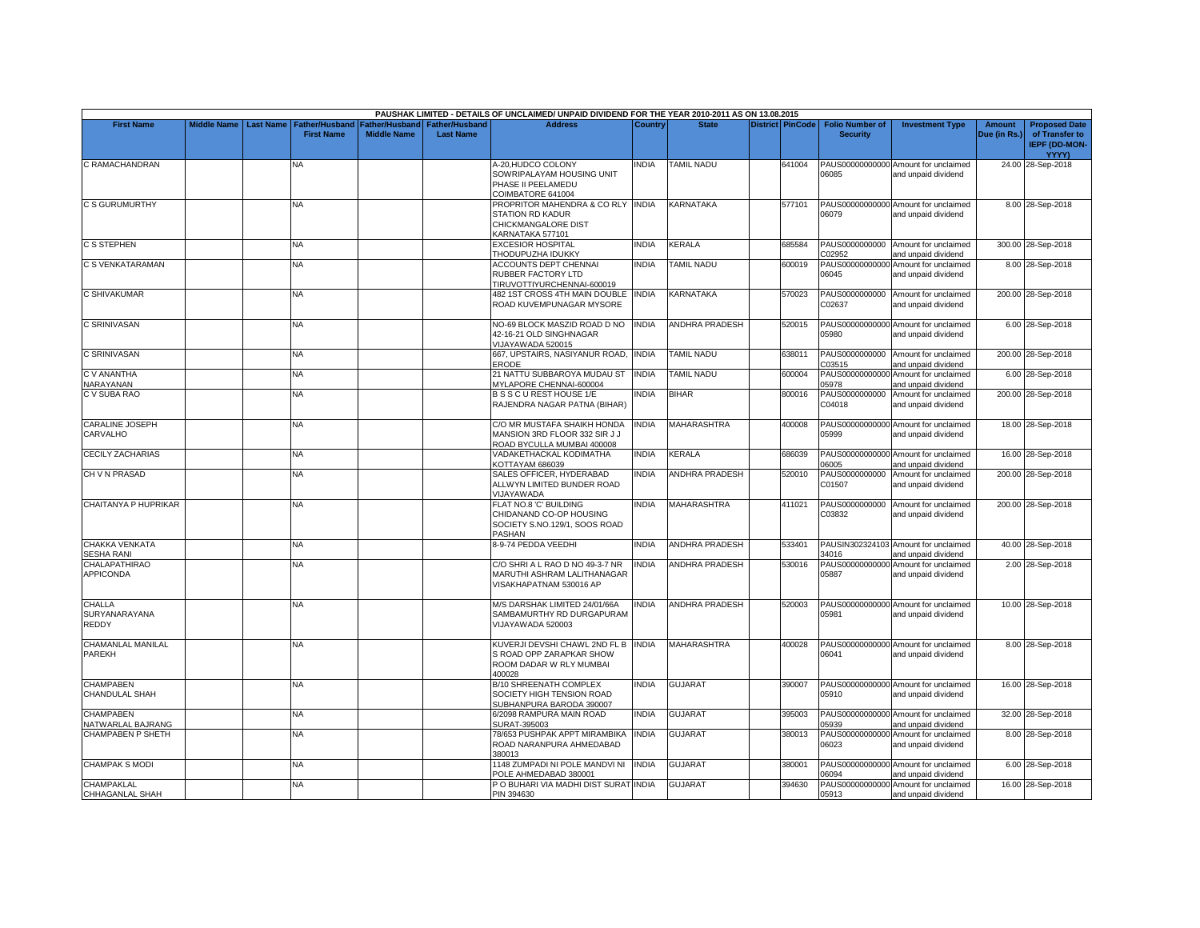|                                          |                         |                                            |                                             |                                           | PAUSHAK LIMITED - DETAILS OF UNCLAIMED/ UNPAID DIVIDEND FOR THE YEAR 2010-2011 AS ON 13.08.2015      |                |                       |                         |                                           |                                                             |                               |                                                                  |
|------------------------------------------|-------------------------|--------------------------------------------|---------------------------------------------|-------------------------------------------|------------------------------------------------------------------------------------------------------|----------------|-----------------------|-------------------------|-------------------------------------------|-------------------------------------------------------------|-------------------------------|------------------------------------------------------------------|
| <b>First Name</b>                        | Middle Name   Last Name | <b>Father/Husband</b><br><b>First Name</b> | <b>Father/Husband</b><br><b>Middle Name</b> | <b>Father/Husband</b><br><b>Last Name</b> | <b>Address</b>                                                                                       | <b>Country</b> | <b>State</b>          | <b>District PinCode</b> | <b>Folio Number of</b><br><b>Security</b> | <b>Investment Type</b>                                      | <b>Amount</b><br>Due (in Rs.) | <b>Proposed Date</b><br>of Transfer to<br>IEPF (DD-MON-<br>YYYY) |
| C RAMACHANDRAN                           |                         | ΝA                                         |                                             |                                           | A-20, HUDCO COLONY<br>SOWRIPALAYAM HOUSING UNIT<br>PHASE II PEELAMEDU<br>COIMBATORE 641004           | NDIA           | <b>TAMIL NADU</b>     | 641004                  | 06085                                     | PAUS00000000000 Amount for unclaimed<br>and unpaid dividend |                               | 24.00 28-Sep-2018                                                |
| C S GURUMURTHY                           |                         | <b>NA</b>                                  |                                             |                                           | PROPRITOR MAHENDRA & CO RLY INDIA<br>STATION RD KADUR<br>CHICKMANGALORE DIST<br>KARNATAKA 577101     |                | KARNATAKA             | 577101                  | 06079                                     | PAUS00000000000 Amount for unclaimed<br>and unpaid dividend |                               | 8.00 28-Sep-2018                                                 |
| <b>C S STEPHEN</b>                       |                         | <b>NA</b>                                  |                                             |                                           | <b>EXCESIOR HOSPITAL</b><br>THODUPUZHA IDUKKY                                                        | <b>INDIA</b>   | KERALA                | 685584                  | C02952                                    | PAUS0000000000 Amount for unclaimed<br>and unpaid dividend  |                               | 300.00 28-Sep-2018                                               |
| C S VENKATARAMAN                         |                         | <b>NA</b>                                  |                                             |                                           | ACCOUNTS DEPT CHENNAI<br>RUBBER FACTORY LTD<br>TIRUVOTTIYURCHENNAI-600019                            | INDIA          | <b>TAMIL NADU</b>     | 600019                  | 06045                                     | PAUS00000000000 Amount for unclaimed<br>and unpaid dividend |                               | 8.00 28-Sep-2018                                                 |
| C SHIVAKUMAR                             |                         | <b>NA</b>                                  |                                             |                                           | 482 1ST CROSS 4TH MAIN DOUBLE<br>ROAD KUVEMPUNAGAR MYSORE                                            | <b>INDIA</b>   | KARNATAKA             | 570023                  | C02637                                    | PAUS0000000000 Amount for unclaimed<br>and unpaid dividend  |                               | 200.00 28-Sep-2018                                               |
| C SRINIVASAN                             |                         | <b>NA</b>                                  |                                             |                                           | NO-69 BLOCK MASZID ROAD D NO<br>42-16-21 OLD SINGHNAGAR<br>VIJAYAWADA 520015                         | <b>INDIA</b>   | <b>ANDHRA PRADESH</b> | 520015                  | 05980                                     | PAUS00000000000 Amount for unclaimed<br>and unpaid dividend |                               | 6.00 28-Sep-2018                                                 |
| C SRINIVASAN                             |                         | <b>NA</b>                                  |                                             |                                           | 667, UPSTAIRS, NASIYANUR ROAD,<br><b>ERODE</b>                                                       | <b>INDIA</b>   | <b>TAMIL NADU</b>     | 638011                  | C03515                                    | PAUS0000000000 Amount for unclaimed<br>and unpaid dividend  |                               | 200.00 28-Sep-2018                                               |
| C V ANANTHA<br>NARAYANAN                 |                         | <b>NA</b>                                  |                                             |                                           | 21 NATTU SUBBAROYA MUDAU ST<br><b>IYLAPORE CHENNAI-600004</b>                                        | <b>INDIA</b>   | <b>TAMIL NADU</b>     | 600004                  | PAUS00000000000<br>05978                  | Amount for unclaimed<br>and unpaid dividend                 |                               | 6.00 28-Sep-2018                                                 |
| C V SUBA RAO                             |                         | <b>NA</b>                                  |                                             |                                           | B S S C U REST HOUSE 1/E<br>RAJENDRA NAGAR PATNA (BIHAR)                                             | <b>INDIA</b>   | <b>BIHAR</b>          | 800016                  | PAUS0000000000<br>C04018                  | Amount for unclaimed<br>and unpaid dividend                 |                               | 200.00 28-Sep-2018                                               |
| CARALINE JOSEPH<br>CARVALHO              |                         | <b>NA</b>                                  |                                             |                                           | C/O MR MUSTAFA SHAIKH HONDA<br>MANSION 3RD FLOOR 332 SIR J J<br>ROAD BYCULLA MUMBAI 400008           | <b>NDIA</b>    | MAHARASHTRA           | 400008                  | 05999                                     | PAUS00000000000 Amount for unclaimed<br>and unpaid dividend |                               | 18.00 28-Sep-2018                                                |
| <b>CECILY ZACHARIAS</b>                  |                         | <b>NA</b>                                  |                                             |                                           | VADAKETHACKAL KODIMATHA<br><b>KOTTAYAM 686039</b>                                                    | India          | KERALA                | 686039                  | 06005                                     | PAUS00000000000 Amount for unclaimed<br>and unpaid dividend |                               | 16.00 28-Sep-2018                                                |
| CH V N PRASAD                            |                         | <b>NA</b>                                  |                                             |                                           | SALES OFFICER, HYDERABAD<br>ALLWYN LIMITED BUNDER ROAD<br><b>JIJAYAWADA</b>                          | <b>NDIA</b>    | <b>ANDHRA PRADESH</b> | 520010                  | PAUS0000000000<br>C01507                  | Amount for unclaimed<br>and unpaid dividend                 |                               | 200.00 28-Sep-2018                                               |
| CHAITANYA P HUPRIKAR                     |                         | <b>NA</b>                                  |                                             |                                           | FLAT NO.8 'C' BUILDING<br>CHIDANAND CO-OP HOUSING<br>SOCIETY S.NO.129/1, SOOS ROAD<br>PASHAN         | <b>INDIA</b>   | MAHARASHTRA           | 411021                  | PAUS0000000000<br>C03832                  | Amount for unclaimed<br>and unpaid dividend                 |                               | 200.00 28-Sep-2018                                               |
| <b>CHAKKA VENKATA</b><br>SESHA RANI      |                         | <b>NA</b>                                  |                                             |                                           | 8-9-74 PEDDA VEEDHI                                                                                  | <b>INDIA</b>   | <b>ANDHRA PRADESH</b> | 533401                  | 34016                                     | PAUSIN302324103 Amount for unclaimed<br>and unpaid dividend |                               | 40.00 28-Sep-2018                                                |
| <b>CHALAPATHIRAO</b><br><b>APPICONDA</b> |                         | NA                                         |                                             |                                           | C/O SHRI A L RAO D NO 49-3-7 NR<br>MARUTHI ASHRAM LALITHANAGAR<br>VISAKHAPATNAM 530016 AP            | <b>INDIA</b>   | <b>ANDHRA PRADESH</b> | 530016                  | 05887                                     | PAUS00000000000 Amount for unclaimed<br>and unpaid dividend |                               | 2.00 28-Sep-2018                                                 |
| <b>CHALLA</b><br>SURYANARAYANA<br>REDDY  |                         | <b>NA</b>                                  |                                             |                                           | M/S DARSHAK LIMITED 24/01/66A<br>SAMBAMURTHY RD DURGAPURAM<br>VIJAYAWADA 520003                      | <b>INDIA</b>   | <b>ANDHRA PRADESH</b> | 520003                  | 05981                                     | PAUS00000000000 Amount for unclaimed<br>and unpaid dividend |                               | 10.00 28-Sep-2018                                                |
| CHAMANLAL MANILAL<br><b>PAREKH</b>       |                         | <b>NA</b>                                  |                                             |                                           | KUVERJI DEVSHI CHAWL 2ND FL B INDIA<br>S ROAD OPP ZARAPKAR SHOW<br>ROOM DADAR W RLY MUMBAI<br>400028 |                | <b>MAHARASHTRA</b>    | 400028                  | 06041                                     | PAUS00000000000 Amount for unclaimed<br>and unpaid dividend |                               | 8.00 28-Sep-2018                                                 |
| <b>CHAMPABEN</b><br>CHANDULAL SHAH       |                         | <b>NA</b>                                  |                                             |                                           | B/10 SHREENATH COMPLEX<br>SOCIETY HIGH TENSION ROAD<br>SUBHANPURA BARODA 390007                      | <b>INDIA</b>   | <b>GUJARAT</b>        | 390007                  | 05910                                     | PAUS00000000000 Amount for unclaimed<br>and unpaid dividend |                               | 16.00 28-Sep-2018                                                |
| <b>CHAMPABEN</b><br>NATWARLAL BAJRANG    |                         | NA                                         |                                             |                                           | 6/2098 RAMPURA MAIN ROAD<br>SURAT-395003                                                             | INDIA          | <b>GUJARAT</b>        | 395003                  | 05939                                     | PAUS00000000000 Amount for unclaimed<br>and unpaid dividend |                               | 32.00 28-Sep-2018                                                |
| <b>CHAMPABEN P SHETH</b>                 |                         | <b>NA</b>                                  |                                             |                                           | 78/653 PUSHPAK APPT MIRAMBIKA<br>ROAD NARANPURA AHMEDABAD<br>380013                                  | <b>INDIA</b>   | <b>GUJARAT</b>        | 380013                  | 06023                                     | PAUS00000000000 Amount for unclaimed<br>and unpaid dividend |                               | 8.00 28-Sep-2018                                                 |
| <b>CHAMPAK S MODI</b>                    |                         | NA                                         |                                             |                                           | 1148 ZUMPADI NI POLE MANDVI NI<br>OLE AHMEDABAD 380001                                               | <b>INDIA</b>   | GUJARAT               | 380001                  | 06094                                     | PAUS00000000000 Amount for unclaimed<br>and unpaid dividend |                               | 6.00 28-Sep-2018                                                 |
| <b>CHAMPAKLAL</b><br>CHHAGANLAL SHAH     |                         | <b>NA</b>                                  |                                             |                                           | P O BUHARI VIA MADHI DIST SURAT INDIA<br>PIN 394630                                                  |                | <b>GUJARAT</b>        | 394630                  | 05913                                     | PAUS00000000000 Amount for unclaimed<br>and unpaid dividend |                               | 16.00 28-Sep-2018                                                |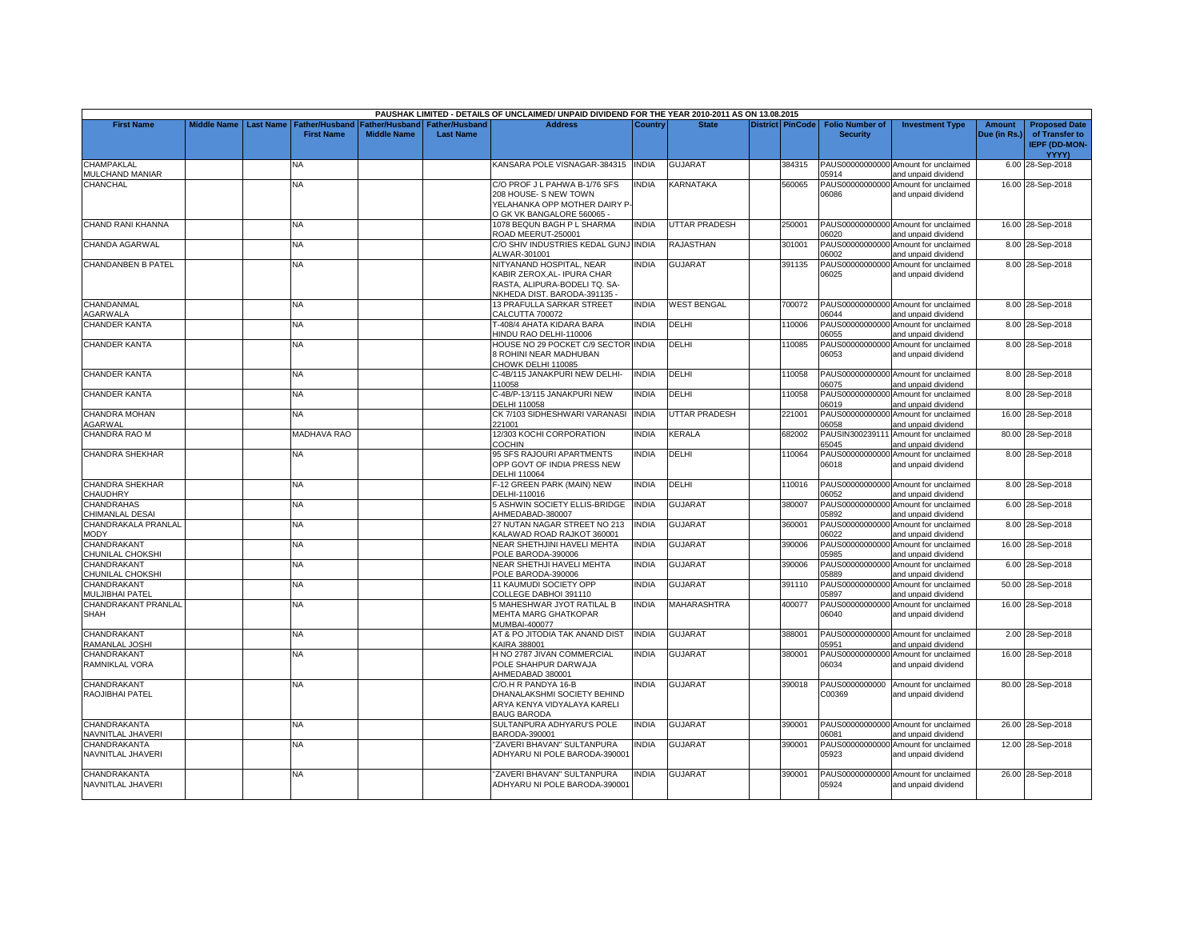|                                               |                    |                  |                                            |                    |                                                     | PAUSHAK LIMITED - DETAILS OF UNCLAIMED/ UNPAID DIVIDEND FOR THE YEAR 2010-2011 AS ON 13.08.2015         |                |                      |                  |                                           |                                                             |                               |                                                                |
|-----------------------------------------------|--------------------|------------------|--------------------------------------------|--------------------|-----------------------------------------------------|---------------------------------------------------------------------------------------------------------|----------------|----------------------|------------------|-------------------------------------------|-------------------------------------------------------------|-------------------------------|----------------------------------------------------------------|
| <b>First Name</b>                             | <b>Middle Name</b> | <b>Last Name</b> | <b>Father/Husband</b><br><b>First Name</b> | <b>Middle Name</b> | Father/Husband   Father/Husband<br><b>Last Name</b> | <b>Address</b>                                                                                          | <b>Country</b> | <b>State</b>         | District PinCode | <b>Folio Number of</b><br><b>Security</b> | <b>Investment Type</b>                                      | <b>Amount</b><br>Due (in Rs.) | <b>Proposed Date</b><br>of Transfer to<br><b>IEPF (DD-MON-</b> |
|                                               |                    |                  |                                            |                    |                                                     |                                                                                                         |                |                      |                  |                                           |                                                             |                               | YYYY)                                                          |
| <b>CHAMPAKLAL</b><br><b>MULCHAND MANIAR</b>   |                    |                  | NA.                                        |                    |                                                     | KANSARA POLE VISNAGAR-384315 INDIA                                                                      |                | <b>GUJARAT</b>       | 384315           | 05914                                     | PAUS00000000000 Amount for unclaimed<br>and unpaid dividend |                               | 6.00 28-Sep-2018                                               |
| CHANCHAL                                      |                    |                  | NA                                         |                    |                                                     | C/O PROF J L PAHWA B-1/76 SFS<br>208 HOUSE- S NEW TOWN                                                  | <b>NDIA</b>    | KARNATAKA            | 560065           | PAUS00000000000<br>06086                  | Amount for unclaimed<br>and unpaid dividend                 |                               | 16.00 28-Sep-2018                                              |
|                                               |                    |                  |                                            |                    |                                                     | YELAHANKA OPP MOTHER DAIRY P-                                                                           |                |                      |                  |                                           |                                                             |                               |                                                                |
|                                               |                    |                  |                                            |                    |                                                     | O GK VK BANGALORE 560065 -                                                                              |                |                      |                  |                                           |                                                             |                               |                                                                |
| CHAND RANI KHANNA                             |                    |                  | NA                                         |                    |                                                     | 1078 BEQUN BAGH P L SHARMA<br>ROAD MEERUT-250001                                                        | <b>INDIA</b>   | <b>UTTAR PRADESH</b> | 250001           | 06020                                     | PAUS00000000000 Amount for unclaimed<br>and unpaid dividend |                               | 16.00 28-Sep-2018                                              |
| CHANDA AGARWAL                                |                    |                  | <b>NA</b>                                  |                    |                                                     | C/O SHIV INDUSTRIES KEDAL GUNJ INDIA                                                                    |                | RAJASTHAN            | 301001           |                                           | PAUS00000000000 Amount for unclaimed                        |                               | 8.00 28-Sep-2018                                               |
| <b>CHANDANBEN B PATEL</b>                     |                    |                  | NA                                         |                    |                                                     | ALWAR-301001<br>NITYANAND HOSPITAL, NEAR                                                                | INDIA          | <b>GUJARAT</b>       | 391135           | 06002                                     | and unpaid dividend<br>PAUS00000000000 Amount for unclaimed |                               | 8.00 28-Sep-2018                                               |
|                                               |                    |                  |                                            |                    |                                                     | KABIR ZEROX, AL- IPURA CHAR<br>RASTA, ALIPURA-BODELI TQ. SA-<br>NKHEDA DIST. BARODA-391135 -            |                |                      |                  | 06025                                     | and unpaid dividend                                         |                               |                                                                |
| CHANDANMAL                                    |                    |                  | <b>NA</b>                                  |                    |                                                     | 13 PRAFULLA SARKAR STREET                                                                               | <b>INDIA</b>   | <b>WEST BENGAL</b>   | 700072           |                                           | PAUS00000000000 Amount for unclaimed                        |                               | 8.00 28-Sep-2018                                               |
| <b>AGARWALA</b><br><b>CHANDER KANTA</b>       |                    |                  | NA                                         |                    |                                                     | CALCUTTA 700072<br>T-408/4 AHATA KIDARA BARA                                                            | INDIA          | DELHI                | 110006           | 06044                                     | and unpaid dividend<br>PAUS00000000000 Amount for unclaimed |                               | 8.00 28-Sep-2018                                               |
|                                               |                    |                  |                                            |                    |                                                     | HINDU RAO DELHI-110006                                                                                  |                |                      |                  | 06055                                     | and unpaid dividend                                         |                               |                                                                |
| <b>CHANDER KANTA</b>                          |                    |                  | <b>NA</b>                                  |                    |                                                     | HOUSE NO 29 POCKET C/9 SECTOR INDIA<br>8 ROHINI NEAR MADHUBAN<br>CHOWK DELHI 110085                     |                | DELHI                | 110085           | 06053                                     | PAUS00000000000 Amount for unclaimed<br>and unpaid dividend |                               | 8.00 28-Sep-2018                                               |
| <b>CHANDER KANTA</b>                          |                    |                  | <b>NA</b>                                  |                    |                                                     | C-4B/115 JANAKPURI NEW DELHI<br>110058                                                                  | INDIA          | DELHI                | 110058           | 06075                                     | PAUS00000000000 Amount for unclaimed<br>and unpaid dividend |                               | 8.00 28-Sep-2018                                               |
| <b>CHANDER KANTA</b>                          |                    |                  | <b>NA</b>                                  |                    |                                                     | C-4B/P-13/115 JANAKPURI NEW<br>DELHI 110058                                                             | <b>INDIA</b>   | DELHI                | 110058           | 06019                                     | PAUS00000000000 Amount for unclaimed<br>and unpaid dividend |                               | 8.00 28-Sep-2018                                               |
| CHANDRA MOHAN<br>AGARWAL                      |                    |                  | NA                                         |                    |                                                     | CK 7/103 SIDHESHWARI VARANASI<br>221001                                                                 | <b>INDIA</b>   | <b>JTTAR PRADESH</b> | 221001           | PAUS00000000000<br>06058                  | Amount for unclaimed<br>and unpaid dividend                 |                               | 16.00 28-Sep-2018                                              |
| CHANDRA RAO M                                 |                    |                  | <b>MADHAVA RAO</b>                         |                    |                                                     | 12/303 KOCHI CORPORATION<br>COCHIN                                                                      | <b>NDIA</b>    | KERALA               | 682002           | PAUSIN30023911<br>65045                   | Amount for unclaimed<br>and unpaid dividend                 |                               | 80.00 28-Sep-2018                                              |
| <b>CHANDRA SHEKHAR</b>                        |                    |                  | <b>NA</b>                                  |                    |                                                     | 95 SFS RAJOURI APARTMENTS<br>OPP GOVT OF INDIA PRESS NEW<br>DELHI 110064                                | <b>INDIA</b>   | DELHI                | 110064           | 06018                                     | PAUS00000000000 Amount for unclaimed<br>and unpaid dividend |                               | 8.00 28-Sep-2018                                               |
| <b>CHANDRA SHEKHAR</b><br><b>CHAUDHRY</b>     |                    |                  | <b>NA</b>                                  |                    |                                                     | F-12 GREEN PARK (MAIN) NEW<br>DELHI-110016                                                              | <b>INDIA</b>   | DELHI                | 110016           | 06052                                     | PAUS00000000000 Amount for unclaimed<br>and unpaid dividend |                               | 8.00 28-Sep-2018                                               |
| <b>CHANDRAHAS</b><br><b>CHIMANLAL DESAI</b>   |                    |                  | <b>NA</b>                                  |                    |                                                     | 5 ASHWIN SOCIETY ELLIS-BRIDGE<br>AHMEDABAD-380007                                                       | <b>INDIA</b>   | GUJARAT              | 380007           | PAUS00000000000<br>05892                  | Amount for unclaimed<br>and unpaid dividend                 |                               | 6.00 28-Sep-2018                                               |
| CHANDRAKALA PRANLAL<br>MODY                   |                    |                  | <b>NA</b>                                  |                    |                                                     | 27 NUTAN NAGAR STREET NO 213<br><b>KALAWAD ROAD RAJKOT 360001</b>                                       | INDIA          | <b>GUJARAT</b>       | 360001           | PAUS00000000000<br>06022                  | Amount for unclaimed<br>and unpaid dividend                 |                               | 8.00 28-Sep-2018                                               |
| CHANDRAKANT<br>CHUNILAL CHOKSHI               |                    |                  | NA                                         |                    |                                                     | NEAR SHETHJINI HAVELI MEHTA<br>POLE BARODA-390006                                                       | INDIA          | <b>GUJARAT</b>       | 390006           | PAUS00000000000<br>05985                  | Amount for unclaimed<br>and unpaid dividend                 |                               | 16.00 28-Sep-2018                                              |
| CHANDRAKANT                                   |                    |                  | NA                                         |                    |                                                     | NEAR SHETHJI HAVELI MEHTA                                                                               | NDIA           | <b>GUJARAT</b>       | 390006           |                                           | PAUS00000000000 Amount for unclaimed                        |                               | 6.00 28-Sep-2018                                               |
| <b>CHUNILAL CHOKSHI</b><br><b>CHANDRAKANT</b> |                    |                  | NA                                         |                    |                                                     | POLE BARODA-390006<br>11 KAUMUDI SOCIETY OPP                                                            | <b>INDIA</b>   | GUJARAT              | 391110           | 05889                                     | and unpaid dividend<br>PAUS00000000000 Amount for unclaimed |                               | 50.00 28-Sep-2018                                              |
| MULJIBHAI PATEL                               |                    |                  |                                            |                    |                                                     | COLLEGE DABHOI 391110                                                                                   |                |                      |                  | 05897                                     | and unpaid dividend                                         |                               |                                                                |
| CHANDRAKANT PRANLAL<br><b>SHAH</b>            |                    |                  | <b>NA</b>                                  |                    |                                                     | 5 MAHESHWAR JYOT RATILAL B<br><b>MEHTA MARG GHATKOPAR</b><br>MUMBAI-400077                              | <b>INDIA</b>   | <b>MAHARASHTRA</b>   | 400077           | 06040                                     | PAUS00000000000 Amount for unclaimed<br>and unpaid dividend |                               | 16.00 28-Sep-2018                                              |
| CHANDRAKANT<br><b>AMANLAL JOSHI</b>           |                    |                  | <b>NA</b>                                  |                    |                                                     | AT & PO JITODIA TAK ANAND DIST<br><b>KAIRA 388001</b>                                                   | <b>INDIA</b>   | <b>GUJARAT</b>       | 388001           | 05951                                     | PAUS00000000000 Amount for unclaimed<br>and unpaid dividend |                               | 2.00 28-Sep-2018                                               |
| CHANDRAKANT<br>RAMNIKLAL VORA                 |                    |                  | NA                                         |                    |                                                     | H NO 2787 JIVAN COMMERCIAL<br>POLE SHAHPUR DARWAJA<br>AHMEDABAD 380001                                  | <b>NDIA</b>    | <b>GUJARAT</b>       | 380001           | 06034                                     | PAUS00000000000 Amount for unclaimed<br>and unpaid dividend |                               | 16.00 28-Sep-2018                                              |
| CHANDRAKANT<br>RAOJIBHAI PATEL                |                    |                  | <b>NA</b>                                  |                    |                                                     | C/O.H R PANDYA 16-B<br>DHANALAKSHMI SOCIETY BEHIND<br>ARYA KENYA VIDYALAYA KARELI<br><b>BAUG BARODA</b> | <b>NDIA</b>    | <b>GUJARAT</b>       | 390018           | PAUS0000000000<br>C00369                  | Amount for unclaimed<br>and unpaid dividend                 |                               | 80.00 28-Sep-2018                                              |
| CHANDRAKANTA<br>NAVNITLAL JHAVERI             |                    |                  | NA                                         |                    |                                                     | SULTANPURA ADHYARU'S POLE<br>BARODA-390001                                                              | <b>INDIA</b>   | <b>GUJARAT</b>       | 390001           | 06081                                     | PAUS00000000000 Amount for unclaimed<br>and unpaid dividend |                               | 26.00 28-Sep-2018                                              |
| CHANDRAKANTA<br>NAVNITLAL JHAVERI             |                    |                  | <b>NA</b>                                  |                    |                                                     | "ZAVERI BHAVAN" SULTANPURA<br>ADHYARU NI POLE BARODA-390001                                             | <b>INDIA</b>   | <b>GUJARAT</b>       | 390001           | 05923                                     | PAUS00000000000 Amount for unclaimed<br>and unpaid dividend |                               | 12.00 28-Sep-2018                                              |
| CHANDRAKANTA<br>NAVNITLAL JHAVERI             |                    |                  | NA                                         |                    |                                                     | "ZAVERI BHAVAN" SULTANPURA<br>ADHYARU NI POLE BARODA-390001                                             | <b>NDIA</b>    | <b>GUJARAT</b>       | 390001           | 05924                                     | PAUS00000000000 Amount for unclaimed<br>and unpaid dividend |                               | 26.00 28-Sep-2018                                              |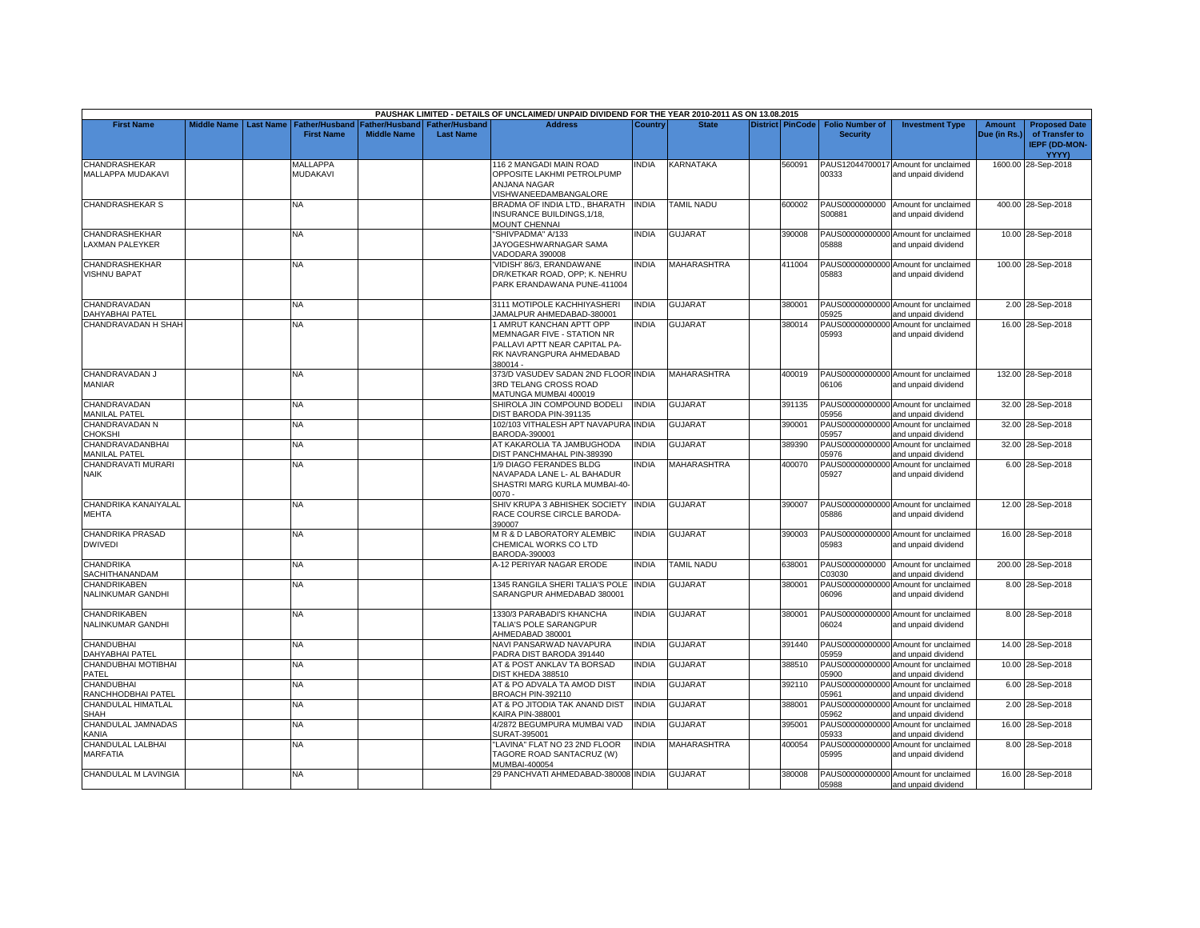|                                                 |                    |                  |                                            |                    |                                                     | PAUSHAK LIMITED - DETAILS OF UNCLAIMED/ UNPAID DIVIDEND FOR THE YEAR 2010-2011 AS ON 13.08.2015                                 |              |                    |                  |                                           |                                                             |                               |                                                                         |
|-------------------------------------------------|--------------------|------------------|--------------------------------------------|--------------------|-----------------------------------------------------|---------------------------------------------------------------------------------------------------------------------------------|--------------|--------------------|------------------|-------------------------------------------|-------------------------------------------------------------|-------------------------------|-------------------------------------------------------------------------|
| <b>First Name</b>                               | <b>Middle Name</b> | <b>Last Name</b> | <b>Father/Husband</b><br><b>First Name</b> | <b>Middle Name</b> | Father/Husband   Father/Husband<br><b>Last Name</b> | <b>Address</b>                                                                                                                  | Country      | <b>State</b>       | District PinCode | <b>Folio Number of</b><br><b>Security</b> | <b>Investment Type</b>                                      | <b>Amount</b><br>Due (in Rs.) | <b>Proposed Date</b><br>of Transfer to<br><b>IEPF (DD-MON-</b><br>YYYY) |
| CHANDRASHEKAR<br>MALLAPPA MUDAKAVI              |                    |                  | MALLAPPA<br>MUDAKAVI                       |                    |                                                     | 116 2 MANGADI MAIN ROAD<br>OPPOSITE LAKHMI PETROLPUMP<br>ANJANA NAGAR<br>VISHWANEEDAMBANGALORE                                  | NDIA         | KARNATAKA          | 560091           | 00333                                     | PAUS12044700017 Amount for unclaimed<br>and unpaid dividend |                               | 1600.00 28-Sep-2018                                                     |
| CHANDRASHEKAR S                                 |                    |                  | <b>NA</b>                                  |                    |                                                     | BRADMA OF INDIA LTD., BHARATH<br>INSURANCE BUILDINGS, 1/18,<br><b>MOUNT CHENNAI</b>                                             | <b>INDIA</b> | <b>TAMIL NADU</b>  | 600002           | S00881                                    | PAUS0000000000 Amount for unclaimed<br>and unpaid dividend  |                               | 400.00 28-Sep-2018                                                      |
| CHANDRASHEKHAR<br><b>AXMAN PALEYKER</b>         |                    |                  | NA                                         |                    |                                                     | "SHIVPADMA" A/133<br>JAYOGESHWARNAGAR SAMA<br>VADODARA 390008                                                                   | <b>INDIA</b> | <b>GUJARAT</b>     | 390008           | 05888                                     | PAUS00000000000 Amount for unclaimed<br>and unpaid dividend |                               | 10.00 28-Sep-2018                                                       |
| CHANDRASHEKHAR<br><b>VISHNU BAPAT</b>           |                    |                  | <b>NA</b>                                  |                    |                                                     | 'VIDISH' 86/3, ERANDAWANE<br>DR/KETKAR ROAD, OPP: K. NEHRU<br>PARK ERANDAWANA PUNE-411004                                       | <b>INDIA</b> | MAHARASHTRA        | 411004           | 05883                                     | PAUS00000000000 Amount for unclaimed<br>and unpaid dividend |                               | 100.00 28-Sep-2018                                                      |
| CHANDRAVADAN<br><b>DAHYABHAI PATEL</b>          |                    |                  | <b>NA</b>                                  |                    |                                                     | 3111 MOTIPOLE KACHHIYASHERI<br>JAMALPUR AHMEDABAD-380001                                                                        | <b>INDIA</b> | <b>GUJARAT</b>     | 380001           | 05925                                     | PAUS00000000000 Amount for unclaimed<br>and unpaid dividend |                               | 2.00 28-Sep-2018                                                        |
| CHANDRAVADAN H SHAH                             |                    |                  | <b>NA</b>                                  |                    |                                                     | 1 AMRUT KANCHAN APTT OPP<br>MEMNAGAR FIVE - STATION NR<br>PALLAVI APTT NEAR CAPITAL PA-<br>RK NAVRANGPURA AHMEDABAD<br>380014 - | <b>INDIA</b> | <b>GUJARAT</b>     | 380014           | 05993                                     | PAUS00000000000 Amount for unclaimed<br>and unpaid dividend |                               | 16.00 28-Sep-2018                                                       |
| CHANDRAVADAN J<br><b>MANIAR</b>                 |                    |                  | <b>NA</b>                                  |                    |                                                     | 373/D VASUDEV SADAN 2ND FLOOR INDIA<br>3RD TELANG CROSS ROAD<br>MATUNGA MUMBAI 400019                                           |              | <b>MAHARASHTRA</b> | 400019           | 06106                                     | PAUS00000000000 Amount for unclaimed<br>and unpaid dividend |                               | 132.00 28-Sep-2018                                                      |
| CHANDRAVADAN<br>MANILAL PATEL                   |                    |                  | <b>NA</b>                                  |                    |                                                     | SHIROLA JIN COMPOUND BODELI<br>DIST BARODA PIN-391135                                                                           | <b>INDIA</b> | <b>GUJARAT</b>     | 391135           | PAUS00000000000<br>05956                  | Amount for unclaimed<br>and unpaid dividend                 |                               | 32.00 28-Sep-2018                                                       |
| CHANDRAVADAN N<br>CHOKSHI                       |                    |                  | <b>NA</b>                                  |                    |                                                     | 102/103 VITHALESH APT NAVAPURA<br>BARODA-390001                                                                                 | <b>INDIA</b> | GUJARAT            | 390001           | PAUS00000000000<br>05957                  | Amount for unclaimed<br>and unpaid dividend                 |                               | 32.00 28-Sep-2018                                                       |
| CHANDRAVADANBHAI<br><b>MANILAL PATEL</b>        |                    |                  | <b>NA</b>                                  |                    |                                                     | AT KAKAROLIA TA JAMBUGHODA<br>DIST PANCHMAHAL PIN-389390                                                                        | <b>INDIA</b> | <b>GUJARAT</b>     | 389390           | 05976                                     | PAUS00000000000 Amount for unclaimed<br>and unpaid dividend |                               | 32.00 28-Sep-2018                                                       |
| CHANDRAVATI MURARI<br>NAIK                      |                    |                  | NA                                         |                    |                                                     | 1/9 DIAGO FERANDES BLDG<br>NAVAPADA LANE L- AL BAHADUR<br>SHASTRI MARG KURLA MUMBAI-40<br>$0070 -$                              | <b>INDIA</b> | MAHARASHTRA        | 400070           | PAUS00000000000<br>05927                  | Amount for unclaimed<br>and unpaid dividend                 |                               | 6.00 28-Sep-2018                                                        |
| CHANDRIKA KANAIYALAL<br>MEHTA                   |                    |                  | <b>NA</b>                                  |                    |                                                     | SHIV KRUPA 3 ABHISHEK SOCIETY<br>RACE COURSE CIRCLE BARODA-<br>390007                                                           | <b>INDIA</b> | <b>GUJARAT</b>     | 390007           | 05886                                     | PAUS00000000000 Amount for unclaimed<br>and unpaid dividend |                               | 12.00 28-Sep-2018                                                       |
| CHANDRIKA PRASAD<br><b>DWIVEDI</b>              |                    |                  | <b>NA</b>                                  |                    |                                                     | M R & D LABORATORY ALEMBIC<br>CHEMICAL WORKS CO LTD<br>BARODA-390003                                                            | <b>INDIA</b> | <b>GUJARAT</b>     | 390003           | 05983                                     | PAUS00000000000 Amount for unclaimed<br>and unpaid dividend |                               | 16.00 28-Sep-2018                                                       |
| CHANDRIKA<br><b>SACHITHANANDAM</b>              |                    |                  | NA.                                        |                    |                                                     | A-12 PERIYAR NAGAR ERODE                                                                                                        | <b>INDIA</b> | TAMIL NADU         | 638001           | C03030                                    | PAUS0000000000 Amount for unclaimed<br>and unpaid dividend  |                               | 200.00 28-Sep-2018                                                      |
| CHANDRIKABEN<br>NALINKUMAR GANDHI               |                    |                  | NA                                         |                    |                                                     | 1345 RANGILA SHERI TALIA'S POLE<br>SARANGPUR AHMEDABAD 380001                                                                   | <b>INDIA</b> | <b>GUJARAT</b>     | 380001           | 06096                                     | PAUS00000000000 Amount for unclaimed<br>and unpaid dividend |                               | 8.00 28-Sep-2018                                                        |
| <b>CHANDRIKABEN</b><br><b>NALINKUMAR GANDHI</b> |                    |                  | NA.                                        |                    |                                                     | 1330/3 PARABADI'S KHANCHA<br>TALIA'S POLE SARANGPUR<br>AHMEDABAD 380001                                                         | <b>INDIA</b> | <b>GUJARAT</b>     | 380001           | 06024                                     | PAUS00000000000 Amount for unclaimed<br>and unpaid dividend |                               | 8.00 28-Sep-2018                                                        |
| CHANDUBHAI<br>DAHYABHAI PATEL                   |                    |                  | <b>NA</b>                                  |                    |                                                     | NAVI PANSARWAD NAVAPURA<br>PADRA DIST BARODA 391440                                                                             | <b>INDIA</b> | <b>GUJARAT</b>     | 391440           | 05959                                     | PAUS00000000000 Amount for unclaimed<br>and unpaid dividend |                               | 14.00 28-Sep-2018                                                       |
| CHANDUBHAI MOTIBHAI<br>PATEL                    |                    |                  | NA.                                        |                    |                                                     | AT & POST ANKLAV TA BORSAD<br>DIST KHEDA 388510                                                                                 | <b>INDIA</b> | <b>GUJARAT</b>     | 388510           | PAUS00000000000<br>05900                  | Amount for unclaimed<br>and unpaid dividend                 |                               | 10.00 28-Sep-2018                                                       |
| CHANDUBHAI<br>RANCHHODBHAI PATEL                |                    |                  | <b>NA</b>                                  |                    |                                                     | AT & PO ADVALA TA AMOD DIST<br><b>BROACH PIN-392110</b>                                                                         | <b>INDIA</b> | <b>GUJARAT</b>     | 392110           | PAUS00000000000<br>05961                  | Amount for unclaimed<br>and unpaid dividend                 |                               | 6.00 28-Sep-2018                                                        |
| CHANDULAL HIMATLAL<br><b>SHAH</b>               |                    |                  | <b>NA</b>                                  |                    |                                                     | AT & PO JITODIA TAK ANAND DIST<br>KAIRA PIN-388001                                                                              | <b>INDIA</b> | <b>GUJARAT</b>     | 388001           | 05962                                     | PAUS00000000000 Amount for unclaimed<br>and unpaid dividend |                               | 2.00 28-Sep-2018                                                        |
| CHANDULAL JAMNADAS<br><b>CANIA</b>              |                    |                  | <b>NA</b>                                  |                    |                                                     | 4/2872 BEGUMPURA MUMBAI VAD<br>SURAT-395001                                                                                     | <b>INDIA</b> | <b>GUJARAT</b>     | 395001           | PAUS00000000000<br>15933                  | Amount for unclaimed<br>and unpaid dividend                 |                               | 16.00 28-Sep-2018                                                       |
| CHANDULAL LALBHAI<br>MARFATIA                   |                    |                  | <b>NA</b>                                  |                    |                                                     | 'LAVINA" FLAT NO 23 2ND FLOOR<br>TAGORE ROAD SANTACRUZ (W)<br>MUMBAI-400054                                                     | <b>INDIA</b> | <b>MAHARASHTRA</b> | 400054           | PAUS00000000000<br>05995                  | Amount for unclaimed<br>and unpaid dividend                 |                               | 8.00 28-Sep-2018                                                        |
| CHANDULAL M LAVINGIA                            |                    |                  | <b>NA</b>                                  |                    |                                                     | 29 PANCHVATI AHMEDABAD-380008 INDIA                                                                                             |              | <b>GUJARAT</b>     | 380008           |                                           | PAUS00000000000 Amount for unclaimed                        |                               | 16.00 28-Sep-2018                                                       |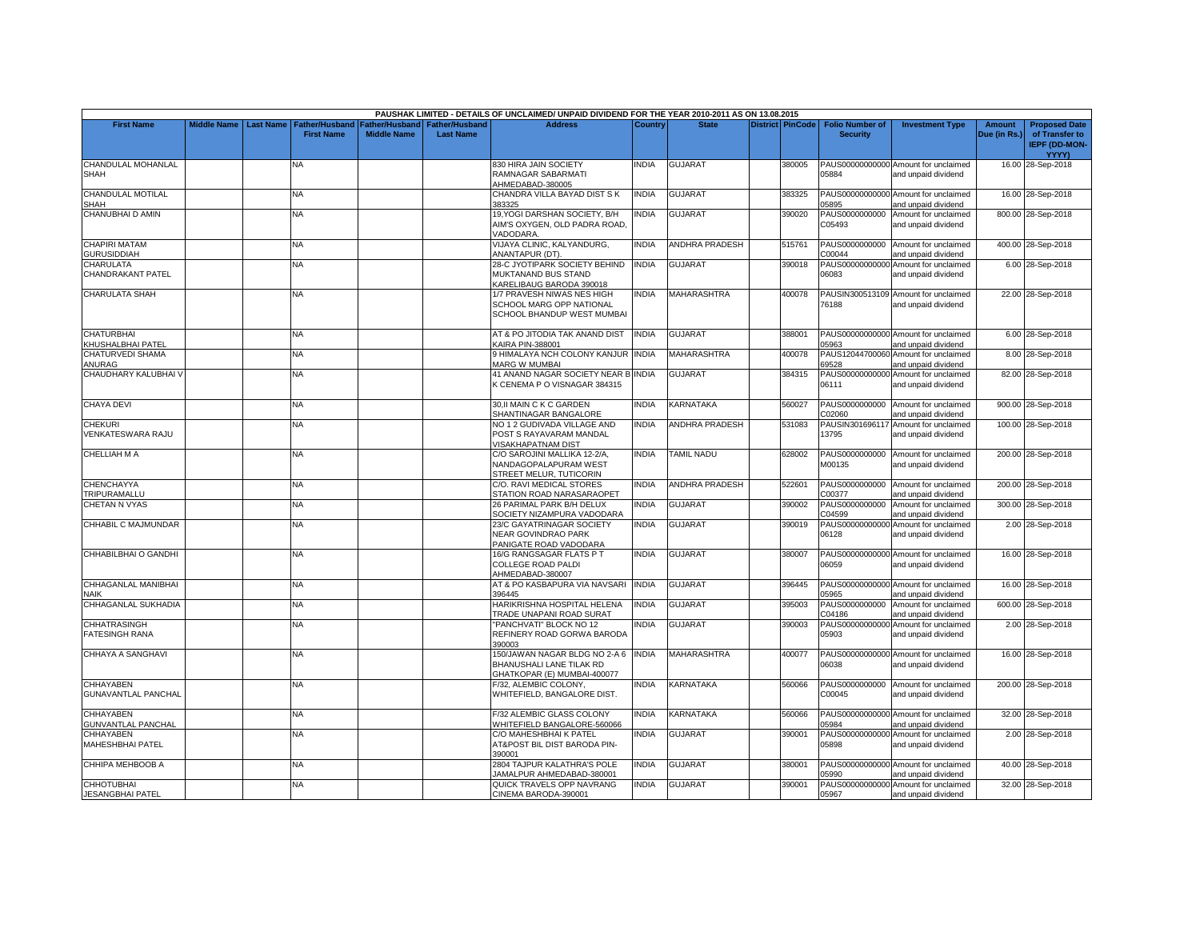|                                                |                    |                  |                                     |                                             |                                           | PAUSHAK LIMITED - DETAILS OF UNCLAIMED/ UNPAID DIVIDEND FOR THE YEAR 2010-2011 AS ON 13.08.2015 |              |                       |                         |                                           |                                                             |                               |                                                                |
|------------------------------------------------|--------------------|------------------|-------------------------------------|---------------------------------------------|-------------------------------------------|-------------------------------------------------------------------------------------------------|--------------|-----------------------|-------------------------|-------------------------------------------|-------------------------------------------------------------|-------------------------------|----------------------------------------------------------------|
| <b>First Name</b>                              | <b>Middle Name</b> | <b>Last Name</b> | Father/Husband<br><b>First Name</b> | <b>Father/Husband</b><br><b>Middle Name</b> | <b>Father/Husband</b><br><b>Last Name</b> | <b>Address</b>                                                                                  | Country      | <b>State</b>          | <b>District PinCode</b> | <b>Folio Number of</b><br><b>Security</b> | <b>Investment Type</b>                                      | <b>Amount</b><br>Due (in Rs.) | <b>Proposed Date</b><br>of Transfer to<br><b>IEPF (DD-MON-</b> |
| CHANDULAL MOHANLAL<br><b>SHAH</b>              |                    |                  | NA                                  |                                             |                                           | <b>330 HIRA JAIN SOCIETY</b><br>RAMNAGAR SABARMATI<br>AHMEDABAD-380005                          | <b>INDIA</b> | <b>GUJARAT</b>        | 380005                  | 05884                                     | PAUS00000000000 Amount for unclaimed<br>and unpaid dividend |                               | YYYY)<br>16.00 28-Sep-2018                                     |
| CHANDULAL MOTILAL<br>SHAH                      |                    |                  | NA.                                 |                                             |                                           | CHANDRA VILLA BAYAD DIST S K<br>383325                                                          | <b>INDIA</b> | <b>GUJARAT</b>        | 383325                  | 05895                                     | PAUS00000000000 Amount for unclaimed<br>and unpaid dividend |                               | 16.00 28-Sep-2018                                              |
| CHANUBHAI D AMIN                               |                    |                  | <b>NA</b>                           |                                             |                                           | 19, YOGI DARSHAN SOCIETY, B/H<br>AIM'S OXYGEN, OLD PADRA ROAD,<br>VADODARA.                     | INDIA        | GUJARAT               | 390020                  | C05493                                    | PAUS0000000000 Amount for unclaimed<br>and unpaid dividend  |                               | 800.00 28-Sep-2018                                             |
| <b>CHAPIRI MATAM</b><br><b>GURUSIDDIAH</b>     |                    |                  | <b>NA</b>                           |                                             |                                           | VIJAYA CLINIC, KALYANDURG,<br>ANANTAPUR (DT).                                                   | <b>INDIA</b> | <b>ANDHRA PRADESH</b> | 515761                  | C00044                                    | PAUS0000000000 Amount for unclaimed<br>and unpaid dividend  |                               | 400.00 28-Sep-2018                                             |
| <b>CHARULATA</b><br>CHANDRAKANT PATEL          |                    |                  | <b>NA</b>                           |                                             |                                           | 28-C JYOTIPARK SOCIETY BEHIND<br>MUKTANAND BUS STAND<br><b>KARELIBAUG BARODA 390018</b>         | <b>INDIA</b> | <b>GUJARAT</b>        | 390018                  | PAUS00000000000<br>06083                  | Amount for unclaimed<br>and unpaid dividend                 |                               | 6.00 28-Sep-2018                                               |
| <b>CHARULATA SHAH</b>                          |                    |                  | NΑ                                  |                                             |                                           | 1/7 PRAVESH NIWAS NES HIGH<br><b>SCHOOL MARG OPP NATIONAL</b><br>SCHOOL BHANDUP WEST MUMBAI     | <b>INDIA</b> | <b>MAHARASHTRA</b>    | 400078                  | 76188                                     | PAUSIN300513109 Amount for unclaimed<br>and unpaid dividend |                               | 22.00 28-Sep-2018                                              |
| <b>CHATURBHAI</b><br>KHUSHALBHAI PATEL         |                    |                  | <b>NA</b>                           |                                             |                                           | AT & PO JITODIA TAK ANAND DIST<br><b>KAIRA PIN-388001</b>                                       | <b>INDIA</b> | <b>GUJARAT</b>        | 388001                  | 05963                                     | PAUS00000000000 Amount for unclaimed<br>and unpaid dividend |                               | 6.00 28-Sep-2018                                               |
| CHATURVEDI SHAMA<br>ANURAG                     |                    |                  | ΝA                                  |                                             |                                           | <b>HIMALAYA NCH COLONY KANJUR INDIA</b><br>MARG W MUMBAI                                        |              | MAHARASHTRA           | 400078                  | 69528                                     | PAUS12044700060 Amount for unclaimed<br>and unpaid dividend |                               | 8.00 28-Sep-2018                                               |
| CHAUDHARY KALUBHAI                             |                    |                  | NA                                  |                                             |                                           | 41 ANAND NAGAR SOCIETY NEAR B INDIA<br>K CENEMA P O VISNAGAR 384315                             |              | GUJARAT               | 384315                  | 06111                                     | PAUS00000000000 Amount for unclaimed<br>and unpaid dividend |                               | 82.00 28-Sep-2018                                              |
| <b>CHAYA DEVI</b>                              |                    |                  | NA.                                 |                                             |                                           | 30, II MAIN C K C GARDEN<br>SHANTINAGAR BANGALORE                                               | <b>INDIA</b> | <b>KARNATAKA</b>      | 560027                  | PAUS0000000000<br>C02060                  | Amount for unclaimed<br>and unpaid dividend                 |                               | 900.00 28-Sep-2018                                             |
| <b>CHEKURI</b><br>VENKATESWARA RAJU            |                    |                  | NA                                  |                                             |                                           | NO 1 2 GUDIVADA VILLAGE AND<br>POST S RAYAVARAM MANDAL<br><b>/ISAKHAPATNAM DIST</b>             | INDIA        | ANDHRA PRADESH        | 531083                  | 13795                                     | PAUSIN301696117 Amount for unclaimed<br>and unpaid dividend |                               | 100.00 28-Sep-2018                                             |
| CHELLIAH M A                                   |                    |                  | <b>NA</b>                           |                                             |                                           | C/O SAROJINI MALLIKA 12-2/A,<br><b>NANDAGOPALAPURAM WEST</b><br>STREET MELUR, TUTICORIN         | <b>INDIA</b> | <b>TAMIL NADU</b>     | 628002                  | M00135                                    | PAUS0000000000 Amount for unclaimed<br>and unpaid dividend  |                               | 200.00 28-Sep-2018                                             |
| <b>CHENCHAYYA</b><br>TRIPURAMALLU              |                    |                  | <b>NA</b>                           |                                             |                                           | C/O. RAVI MEDICAL STORES<br>STATION ROAD NARASARAOPET                                           | <b>INDIA</b> | <b>ANDHRA PRADESH</b> | 522601                  | C00377                                    | PAUS0000000000 Amount for unclaimed<br>and unpaid dividend  |                               | 200.00 28-Sep-2018                                             |
| <b>CHETAN N VYAS</b>                           |                    |                  | NA                                  |                                             |                                           | 26 PARIMAL PARK B/H DELUX<br>SOCIETY NIZAMPURA VADODARA                                         | <b>INDIA</b> | <b>GUJARAT</b>        | 390002                  | PAUS0000000000<br>C04599                  | Amount for unclaimed<br>and unpaid dividend                 |                               | 300.00 28-Sep-2018                                             |
| CHHABIL C MAJMUNDAR                            |                    |                  | NA.                                 |                                             |                                           | 23/C GAYATRINAGAR SOCIETY<br><b>NEAR GOVINDRAO PARK</b><br>PANIGATE ROAD VADODARA               | <b>INDIA</b> | <b>GUJARAT</b>        | 390019                  | PAUS00000000000<br>06128                  | Amount for unclaimed<br>and unpaid dividend                 |                               | 2.00 28-Sep-2018                                               |
| CHHABILBHAI O GANDHI                           |                    |                  | NA                                  |                                             |                                           | 16/G RANGSAGAR FLATS P T<br>COLLEGE ROAD PALDI<br>AHMEDABAD-380007                              | <b>INDIA</b> | GUJARAT               | 380007                  | 06059                                     | PAUS00000000000 Amount for unclaimed<br>and unpaid dividend |                               | 16.00 28-Sep-2018                                              |
| CHHAGANLAL MANIBHAI<br><b>NAIK</b>             |                    |                  | <b>NA</b>                           |                                             |                                           | AT & PO KASBAPURA VIA NAVSARI<br>396445                                                         | <b>INDIA</b> | <b>GUJARAT</b>        | 396445                  | 05965                                     | PAUS00000000000 Amount for unclaimed<br>and unpaid dividend |                               | 16.00 28-Sep-2018                                              |
| CHHAGANLAL SUKHADIA                            |                    |                  | NA                                  |                                             |                                           | HARIKRISHNA HOSPITAL HELENA<br>TRADE UNAPANI ROAD SURAT                                         | <b>INDIA</b> | GUJARAT               | 395003                  | PAUS0000000000<br>C04186                  | Amount for unclaimed<br>and unpaid dividend                 |                               | 600.00 28-Sep-2018                                             |
| <b>CHHATRASINGH</b><br><b>FATESINGH RANA</b>   |                    |                  | NA                                  |                                             |                                           | 'PANCHVATI" BLOCK NO 12<br>REFINERY ROAD GORWA BARODA<br>390003                                 | <b>INDIA</b> | <b>GUJARAT</b>        | 390003                  | PAUS00000000000<br>05903                  | Amount for unclaimed<br>and unpaid dividend                 |                               | 2.00 28-Sep-2018                                               |
| CHHAYA A SANGHAVI                              |                    |                  | NA.                                 |                                             |                                           | 150/JAWAN NAGAR BLDG NO 2-A 6<br>BHANUSHALI LANE TILAK RD<br>GHATKOPAR (E) MUMBAI-400077        | <b>INDIA</b> | <b>MAHARASHTRA</b>    | 400077                  | 06038                                     | PAUS00000000000 Amount for unclaimed<br>and unpaid dividend |                               | 16.00 28-Sep-2018                                              |
| <b>CHHAYABEN</b><br><b>GUNAVANTLAL PANCHAL</b> |                    |                  | NA.                                 |                                             |                                           | -/32, ALEMBIC COLONY,<br>WHITEFIELD, BANGALORE DIST.                                            | <b>INDIA</b> | <b>KARNATAKA</b>      | 560066                  | PAUS0000000000<br>C00045                  | Amount for unclaimed<br>and unpaid dividend                 |                               | 200.00 28-Sep-2018                                             |
| <b>CHHAYABEN</b><br><b>GUNVANTLAL PANCHAL</b>  |                    |                  | NA                                  |                                             |                                           | -/32 ALEMBIC GLASS COLONY<br>WHITEFIELD BANGALORE-560066                                        | INDIA        | KARNATAKA             | 560066                  | 05984                                     | PAUS00000000000 Amount for unclaimed<br>and unpaid dividend |                               | 32.00 28-Sep-2018                                              |
| <b>CHHAYABEN</b><br><b>MAHESHBHAI PATEL</b>    |                    |                  | NA.                                 |                                             |                                           | C/O MAHESHBHAI K PATEL<br>AT&POST BIL DIST BARODA PIN-<br>390001                                | <b>INDIA</b> | GUJARAT               | 390001                  | 05898                                     | PAUS00000000000 Amount for unclaimed<br>and unpaid dividend |                               | 2.00 28-Sep-2018                                               |
| CHHIPA MEHBOOB A                               |                    |                  | NA                                  |                                             |                                           | 2804 TAJPUR KALATHRA'S POLE<br>JAMALPUR AHMEDABAD-380001                                        | INDIA        | <b>GUJARAT</b>        | 380001                  | 05990                                     | PAUS00000000000 Amount for unclaimed<br>and unpaid dividend |                               | 40.00 28-Sep-2018                                              |
| <b>CHHOTUBHAI</b><br><b>JESANGBHAI PATEL</b>   |                    |                  | <b>NA</b>                           |                                             |                                           | QUICK TRAVELS OPP NAVRANG<br>CINEMA BARODA-390001                                               | <b>INDIA</b> | <b>GUJARAT</b>        | 390001                  | 05967                                     | PAUS00000000000 Amount for unclaimed<br>and unpaid dividend |                               | 32.00 28-Sep-2018                                              |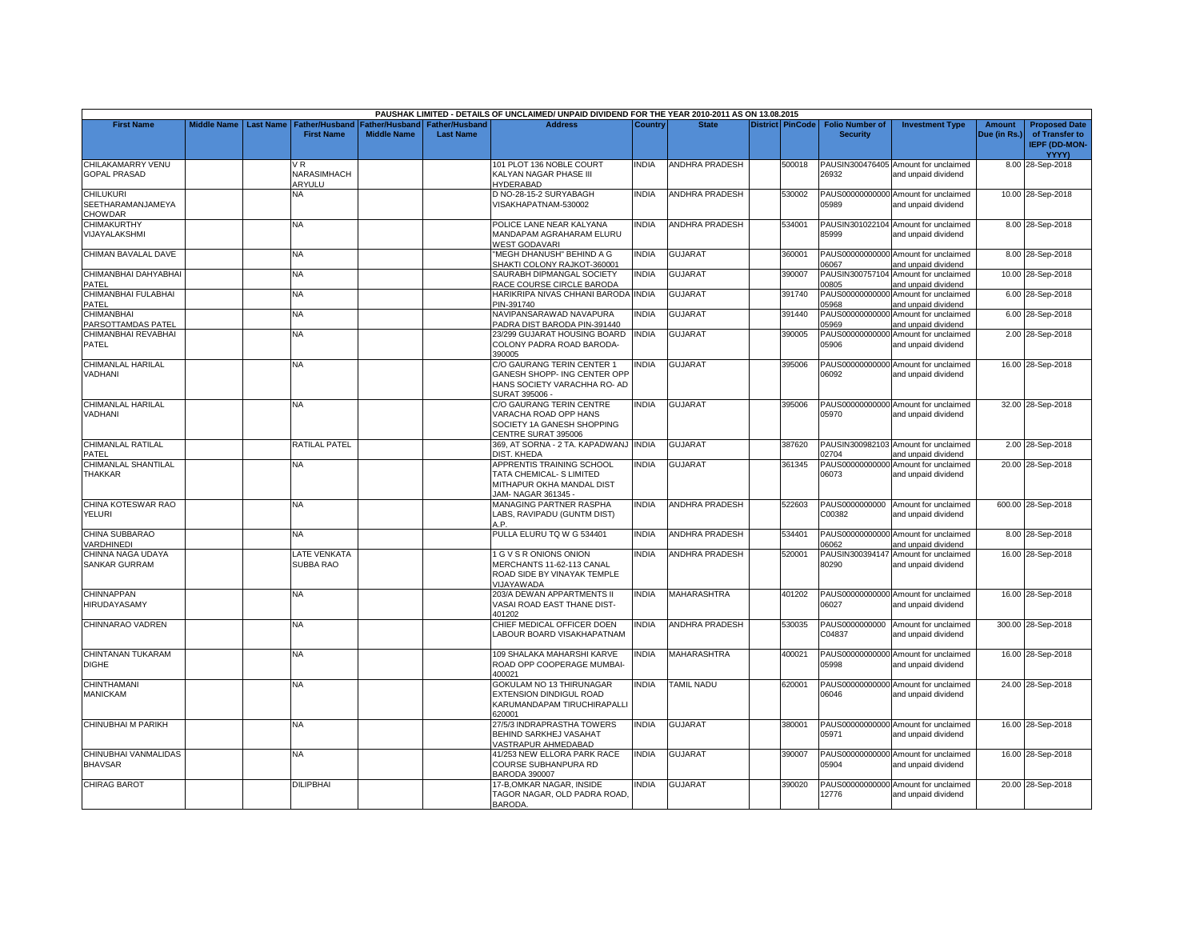|                                                  |                    |                  |                                     |                                      |                                           | PAUSHAK LIMITED - DETAILS OF UNCLAIMED/ UNPAID DIVIDEND FOR THE YEAR 2010-2011 AS ON 13.08.2015                   |              |                       |                         |                                           |                                                             |                               |                                                                                |
|--------------------------------------------------|--------------------|------------------|-------------------------------------|--------------------------------------|-------------------------------------------|-------------------------------------------------------------------------------------------------------------------|--------------|-----------------------|-------------------------|-------------------------------------------|-------------------------------------------------------------|-------------------------------|--------------------------------------------------------------------------------|
| <b>First Name</b>                                | <b>Middle Name</b> | <b>Last Name</b> | Father/Husband<br><b>First Name</b> | Father/Husband<br><b>Middle Name</b> | <b>Father/Husband</b><br><b>Last Name</b> | <b>Address</b>                                                                                                    | Country      | <b>State</b>          | <b>District PinCode</b> | <b>Folio Number of</b><br><b>Security</b> | <b>Investment Type</b>                                      | <b>Amount</b><br>Due (in Rs.) | <b>Proposed Date</b><br>of Transfer to<br><b>IEPF (DD-MON-</b><br><b>YYYY)</b> |
| CHILAKAMARRY VENU<br><b>GOPAL PRASAD</b>         |                    |                  | NARASIMHACH<br>ARYULU               |                                      |                                           | 101 PLOT 136 NOBLE COURT<br>KALYAN NAGAR PHASE III<br><b>HYDERABAD</b>                                            | <b>INDIA</b> | ANDHRA PRADESH        | 500018                  | 26932                                     | PAUSIN300476405 Amount for unclaimed<br>and unpaid dividend |                               | 8.00 28-Sep-2018                                                               |
| <b>CHILUKURI</b><br>SEETHARAMANJAMEYA<br>CHOWDAR |                    |                  | NA                                  |                                      |                                           | D NO-28-15-2 SURYABAGH<br>VISAKHAPATNAM-530002                                                                    | <b>INDIA</b> | ANDHRA PRADESH        | 530002                  | 05989                                     | PAUS00000000000 Amount for unclaimed<br>and unpaid dividend |                               | 10.00 28-Sep-2018                                                              |
| CHIMAKURTHY<br>VIJAYALAKSHMI                     |                    |                  | <b>NA</b>                           |                                      |                                           | POLICE LANE NEAR KALYANA<br>MANDAPAM AGRAHARAM ELURU<br><b>WEST GODAVARI</b>                                      | <b>INDIA</b> | <b>ANDHRA PRADESH</b> | 534001                  | 85999                                     | PAUSIN301022104 Amount for unclaimed<br>and unpaid dividend |                               | 8.00 28-Sep-2018                                                               |
| CHIMAN BAVALAL DAVE                              |                    |                  | ΝA                                  |                                      |                                           | 'MEGH DHANUSH" BEHIND A G<br>SHAKTI COLONY RAJKOT-360001                                                          | <b>INDIA</b> | GUJARAT               | 360001                  | 06067                                     | PAUS00000000000 Amount for unclaimed<br>and unpaid dividend |                               | 8.00 28-Sep-2018                                                               |
| CHIMANBHAI DAHYABHAI<br>PATEL                    |                    |                  | <b>NA</b>                           |                                      |                                           | SAURABH DIPMANGAL SOCIETY<br>RACE COURSE CIRCLE BARODA                                                            | <b>INDIA</b> | <b>GUJARAT</b>        | 390007                  | 00805                                     | PAUSIN300757104 Amount for unclaimed<br>and unpaid dividend |                               | 10.00 28-Sep-2018                                                              |
| CHIMANBHAI FULABHAI<br>PATEL                     |                    |                  | NΑ                                  |                                      |                                           | HARIKRIPA NIVAS CHHANI BARODA INDIA<br>PIN-391740                                                                 |              | GUJARAT               | 391740                  | PAUS00000000000<br>05968                  | Amount for unclaimed<br>and unpaid dividend                 |                               | 6.00 28-Sep-2018                                                               |
| CHIMANBHAI<br>PARSOTTAMDAS PATEL                 |                    |                  | NA                                  |                                      |                                           | NAVIPANSARAWAD NAVAPURA<br>PADRA DIST BARODA PIN-391440                                                           | INDIA        | <b>GUJARAT</b>        | 391440                  | PAUS00000000000<br>05969                  | Amount for unclaimed<br>and unpaid dividend                 |                               | 6.00 28-Sep-2018                                                               |
| CHIMANBHAI REVABHAI<br>PATEL                     |                    |                  | <b>NA</b>                           |                                      |                                           | 23/299 GUJARAT HOUSING BOARD<br>COLONY PADRA ROAD BARODA-<br>390005                                               | <b>INDIA</b> | <b>GUJARAT</b>        | 390005                  | PAUS00000000000<br>05906                  | Amount for unclaimed<br>and unpaid dividend                 |                               | 2.00 28-Sep-2018                                                               |
| CHIMANLAL HARILAL<br>VADHANI                     |                    |                  | <b>NA</b>                           |                                      |                                           | C/O GAURANG TERIN CENTER 1<br>GANESH SHOPP- ING CENTER OPP<br>HANS SOCIETY VARACHHA RO- AD<br><b>SURAT 395006</b> | <b>INDIA</b> | <b>GUJARAT</b>        | 395006                  | 06092                                     | PAUS00000000000 Amount for unclaimed<br>and unpaid dividend |                               | 16.00 28-Sep-2018                                                              |
| <b>CHIMANLAL HARILAL</b><br>VADHANI              |                    |                  | <b>NA</b>                           |                                      |                                           | C/O GAURANG TERIN CENTRE<br>VARACHA ROAD OPP HANS<br>SOCIETY 1A GANESH SHOPPING<br>CENTRE SURAT 395006            | <b>INDIA</b> | <b>GUJARAT</b>        | 395006                  | 05970                                     | PAUS00000000000 Amount for unclaimed<br>and unpaid dividend |                               | 32.00 28-Sep-2018                                                              |
| CHIMANLAL RATILAL<br>PATEL                       |                    |                  | <b>RATILAL PATEL</b>                |                                      |                                           | 369, AT SORNA - 2 TA. KAPADWANJ INDIA<br>DIST, KHEDA                                                              |              | <b>GUJARAT</b>        | 387620                  | 02704                                     | PAUSIN300982103 Amount for unclaimed<br>and unpaid dividend |                               | 2.00 28-Sep-2018                                                               |
| CHIMANLAL SHANTILAL<br>THAKKAR                   |                    |                  | NА                                  |                                      |                                           | APPRENTIS TRAINING SCHOOL<br>TATA CHEMICAL- S LIMITED<br>MITHAPUR OKHA MANDAL DIST<br>JAM- NAGAR 361345 -         | <b>INDIA</b> | <b>GUJARAT</b>        | 361345                  | PAUS00000000000<br>06073                  | Amount for unclaimed<br>and unpaid dividend                 |                               | 20.00 28-Sep-2018                                                              |
| CHINA KOTESWAR RAO<br>YELURI                     |                    |                  | NA                                  |                                      |                                           | <b>MANAGING PARTNER RASPHA</b><br>LABS, RAVIPADU (GUNTM DIST)<br>A.P.                                             | <b>INDIA</b> | <b>ANDHRA PRADESH</b> | 522603                  | PAUS0000000000<br>C00382                  | Amount for unclaimed<br>and unpaid dividend                 |                               | 600.00 28-Sep-2018                                                             |
| CHINA SUBBARAO<br><b>/ARDHINEDI</b>              |                    |                  | NA.                                 |                                      |                                           | PULLA ELURU TQ W G 534401                                                                                         | <b>INDIA</b> | <b>ANDHRA PRADESH</b> | 534401                  | 06062                                     | PAUS00000000000 Amount for unclaimed<br>and unpaid dividend |                               | 8.00 28-Sep-2018                                                               |
| CHINNA NAGA UDAYA<br><b>SANKAR GURRAM</b>        |                    |                  | LATE VENKATA<br>SUBBA RAO           |                                      |                                           | 1 G V S R ONIONS ONION<br>MERCHANTS 11-62-113 CANAL<br>ROAD SIDE BY VINAYAK TEMPLE<br>VIJAYAWADA                  | <b>INDIA</b> | ANDHRA PRADESH        | 520001                  | 80290                                     | PAUSIN300394147 Amount for unclaimed<br>and unpaid dividend |                               | 16.00 28-Sep-2018                                                              |
| CHINNAPPAN<br>HIRUDAYASAMY                       |                    |                  | <b>NA</b>                           |                                      |                                           | 203/A DEWAN APPARTMENTS II<br>VASAI ROAD EAST THANE DIST-<br>401202                                               | <b>INDIA</b> | MAHARASHTRA           | 401202                  | 06027                                     | PAUS00000000000 Amount for unclaimed<br>and unpaid dividend |                               | 16.00 28-Sep-2018                                                              |
| CHINNARAO VADREN                                 |                    |                  | <b>NA</b>                           |                                      |                                           | CHIEF MEDICAL OFFICER DOEN<br>ABOUR BOARD VISAKHAPATNAM                                                           | <b>INDIA</b> | <b>ANDHRA PRADESH</b> | 530035                  | PAUS0000000000<br>C04837                  | Amount for unclaimed<br>and unpaid dividend                 |                               | 300.00 28-Sep-2018                                                             |
| CHINTANAN TUKARAM<br><b>DIGHE</b>                |                    |                  | NA.                                 |                                      |                                           | 109 SHALAKA MAHARSHI KARVE<br>ROAD OPP COOPERAGE MUMBAI-<br>400021                                                | <b>INDIA</b> | MAHARASHTRA           | 400021                  | 05998                                     | PAUS00000000000 Amount for unclaimed<br>and unpaid dividend |                               | 16.00 28-Sep-2018                                                              |
| <b>CHINTHAMANI</b><br><b>MANICKAM</b>            |                    |                  | NA.                                 |                                      |                                           | GOKULAM NO 13 THIRUNAGAR<br>EXTENSION DINDIGUL ROAD<br>KARUMANDAPAM TIRUCHIRAPALLI<br>320001                      | <b>INDIA</b> | <b>TAMIL NADU</b>     | 620001                  | 06046                                     | PAUS00000000000 Amount for unclaimed<br>and unpaid dividend |                               | 24.00 28-Sep-2018                                                              |
| CHINUBHAI M PARIKH                               |                    |                  | <b>NA</b>                           |                                      |                                           | 27/5/3 INDRAPRASTHA TOWERS<br>BEHIND SARKHEJ VASAHAT<br>VASTRAPUR AHMEDABAD                                       | <b>INDIA</b> | <b>GUJARAT</b>        | 380001                  | 05971                                     | PAUS00000000000 Amount for unclaimed<br>and unpaid dividend |                               | 16.00 28-Sep-2018                                                              |
| CHINUBHAI VANMALIDAS<br><b>BHAVSAR</b>           |                    |                  | NA.                                 |                                      |                                           | 41/253 NEW ELLORA PARK RACE<br>COURSE SUBHANPURA RD<br>BARODA 390007                                              | <b>INDIA</b> | <b>GUJARAT</b>        | 390007                  | 05904                                     | PAUS00000000000 Amount for unclaimed<br>and unpaid dividend |                               | 16.00 28-Sep-2018                                                              |
| <b>CHIRAG BAROT</b>                              |                    |                  | <b>DILIPBHAI</b>                    |                                      |                                           | 17-B.OMKAR NAGAR. INSIDE<br>TAGOR NAGAR, OLD PADRA ROAD,<br>BARODA.                                               | <b>NDIA</b>  | <b>GUJARAT</b>        | 390020                  | 12776                                     | PAUS00000000000 Amount for unclaimed<br>and unpaid dividend |                               | 20.00 28-Sep-2018                                                              |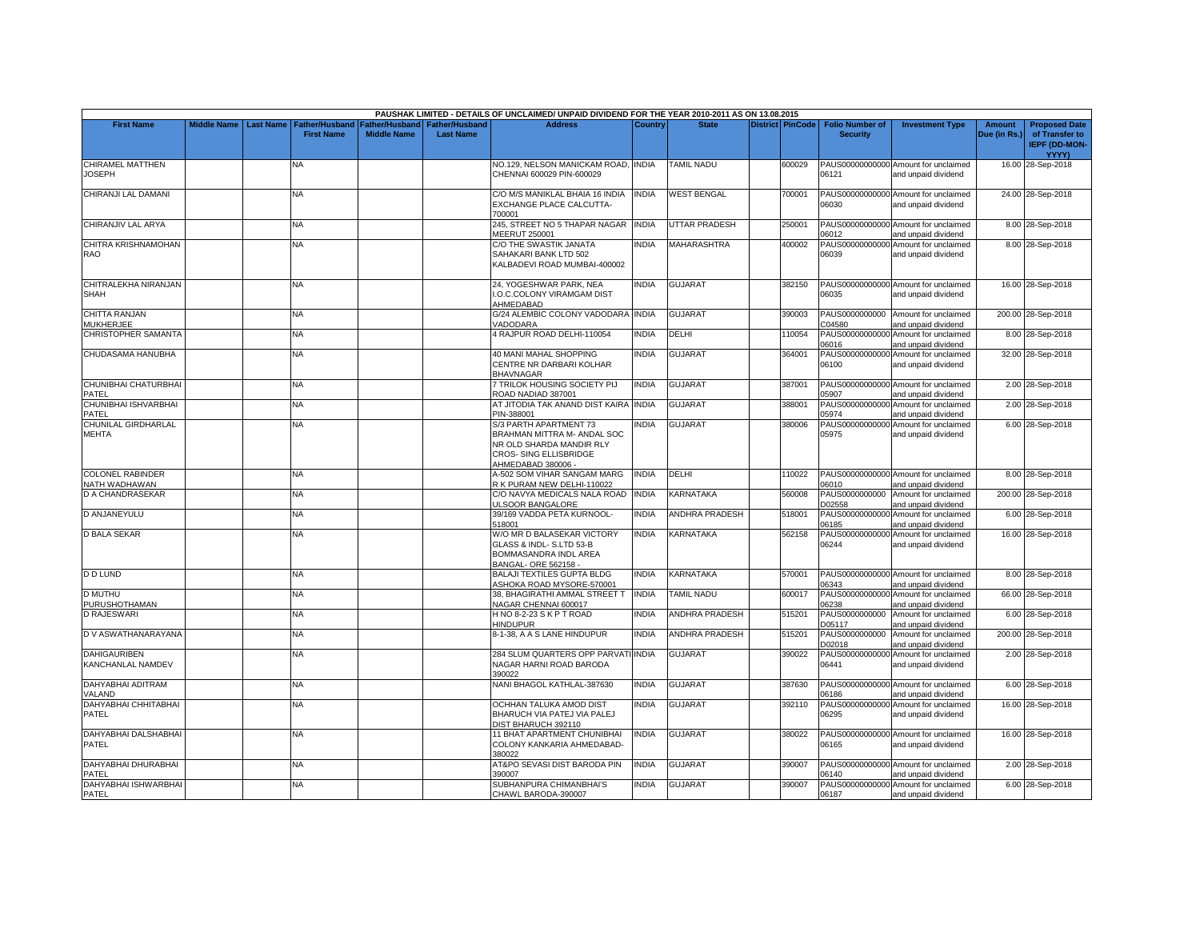|                                          |                    |                  |                                            |                                      |                                           | PAUSHAK LIMITED - DETAILS OF UNCLAIMED/ UNPAID DIVIDEND FOR THE YEAR 2010-2011 AS ON 13.08.2015                                   |              |                       |                         |                                           |                                                             |                               |                                                                                |
|------------------------------------------|--------------------|------------------|--------------------------------------------|--------------------------------------|-------------------------------------------|-----------------------------------------------------------------------------------------------------------------------------------|--------------|-----------------------|-------------------------|-------------------------------------------|-------------------------------------------------------------|-------------------------------|--------------------------------------------------------------------------------|
| <b>First Name</b>                        | <b>Middle Name</b> | <b>Last Name</b> | <b>Father/Husband</b><br><b>First Name</b> | Father/Husband<br><b>Middle Name</b> | <b>Father/Husband</b><br><b>Last Name</b> | <b>Address</b>                                                                                                                    | Country      | <b>State</b>          | <b>District PinCode</b> | <b>Folio Number of</b><br><b>Security</b> | <b>Investment Type</b>                                      | <b>Amount</b><br>Due (in Rs.) | <b>Proposed Date</b><br>of Transfer to<br><b>IEPF (DD-MON-</b><br><b>YYYY)</b> |
| CHIRAMEL MATTHEN<br><b>JOSEPH</b>        |                    |                  | NА                                         |                                      |                                           | NO.129, NELSON MANICKAM ROAD, INDIA<br>CHENNAI 600029 PIN-600029                                                                  |              | <b>TAMIL NADU</b>     | 600029                  | 06121                                     | PAUS00000000000 Amount for unclaimed<br>and unpaid dividend |                               | 16.00 28-Sep-2018                                                              |
| CHIRANJI LAL DAMANI                      |                    |                  | NA                                         |                                      |                                           | C/O M/S MANIKLAL BHAIA 16 INDIA<br>EXCHANGE PLACE CALCUTTA-<br>700001                                                             | <b>INDIA</b> | <b>WEST BENGAL</b>    | 700001                  | 06030                                     | PAUS00000000000 Amount for unclaimed<br>and unpaid dividend |                               | 24.00 28-Sep-2018                                                              |
| CHIRANJIV LAL ARYA                       |                    |                  | NA.                                        |                                      |                                           | 245, STREET NO 5 THAPAR NAGAR<br>MEERUT 250001                                                                                    | <b>INDIA</b> | <b>UTTAR PRADESH</b>  | 250001                  | 06012                                     | PAUS00000000000 Amount for unclaimed<br>and unpaid dividend |                               | 8.00 28-Sep-2018                                                               |
| CHITRA KRISHNAMOHAN<br><b>RAO</b>        |                    |                  | NA                                         |                                      |                                           | C/O THE SWASTIK JANATA<br>SAHAKARI BANK LTD 502<br>KALBADEVI ROAD MUMBAI-400002                                                   | <b>INDIA</b> | MAHARASHTRA           | 400002                  | 06039                                     | PAUS00000000000 Amount for unclaimed<br>and unpaid dividend |                               | 8.00 28-Sep-2018                                                               |
| CHITRALEKHA NIRANJAN<br><b>SHAH</b>      |                    |                  | NA.                                        |                                      |                                           | 24, YOGESHWAR PARK, NEA<br>.O.C.COLONY VIRAMGAM DIST<br>AHMEDABAD                                                                 | <b>INDIA</b> | <b>GUJARAT</b>        | 382150                  | 06035                                     | PAUS00000000000 Amount for unclaimed<br>and unpaid dividend |                               | 16.00 28-Sep-2018                                                              |
| <b>CHITTA RANJAN</b><br>MUKHERJEE        |                    |                  | <b>NA</b>                                  |                                      |                                           | <b>G/24 ALEMBIC COLONY VADODARA INDIA</b><br><b>/ADODARA</b>                                                                      |              | <b>GUJARAT</b>        | 390003                  | C04580                                    | PAUS0000000000 Amount for unclaimed<br>and unpaid dividend  |                               | 200.00 28-Sep-2018                                                             |
| CHRISTOPHER SAMANTA                      |                    |                  | <b>NA</b>                                  |                                      |                                           | 4 RAJPUR ROAD DELHI-110054                                                                                                        | <b>INDIA</b> | DELHI                 | 110054                  | PAUS00000000000<br>06016                  | Amount for unclaimed<br>and unpaid dividend                 |                               | 8.00 28-Sep-2018                                                               |
| CHUDASAMA HANUBHA                        |                    |                  | NA.                                        |                                      |                                           | 40 MANI MAHAL SHOPPING<br>CENTRE NR DARBARI KOLHAR<br><b>BHAVNAGAR</b>                                                            | <b>INDIA</b> | GUJARAT               | 364001                  | 06100                                     | PAUS00000000000 Amount for unclaimed<br>and unpaid dividend |                               | 32.00 28-Sep-2018                                                              |
| CHUNIBHAI CHATURBHAI<br>PATEL            |                    |                  | NA.                                        |                                      |                                           | 7 TRILOK HOUSING SOCIETY PIJ<br>ROAD NADIAD 387001                                                                                | <b>INDIA</b> | <b>GUJARAT</b>        | 387001                  | 05907                                     | PAUS00000000000 Amount for unclaimed<br>and unpaid dividend |                               | 2.00 28-Sep-2018                                                               |
| CHUNIBHAI ISHVARBHAI<br>PATEL            |                    |                  | <b>NA</b>                                  |                                      |                                           | AT JITODIA TAK ANAND DIST KAIRA INDIA<br>PIN-388001                                                                               |              | <b>GUJARAT</b>        | 388001                  | 05974                                     | PAUS00000000000 Amount for unclaimed<br>and unpaid dividend |                               | 2.00 28-Sep-2018                                                               |
| CHUNILAL GIRDHARLAL<br><b>MEHTA</b>      |                    |                  | ΝA                                         |                                      |                                           | S/3 PARTH APARTMENT 73<br>BRAHMAN MITTRA M- ANDAL SOC<br>NR OLD SHARDA MANDIR RLY<br>CROS- SING ELLISBRIDGE<br>AHMEDABAD 380006 - | <b>INDIA</b> | GUJARAT               | 380006                  | PAUS00000000000<br>05975                  | Amount for unclaimed<br>and unpaid dividend                 |                               | 6.00 28-Sep-2018                                                               |
| <b>COLONEL RABINDER</b><br>NATH WADHAWAN |                    |                  | NA.                                        |                                      |                                           | A-502 SOM VIHAR SANGAM MARG<br>R K PURAM NEW DELHI-110022                                                                         | <b>INDIA</b> | <b>DELHI</b>          | 110022                  | 06010                                     | PAUS00000000000 Amount for unclaimed<br>and unpaid dividend |                               | 8.00 28-Sep-2018                                                               |
| <b>D A CHANDRASEKAR</b>                  |                    |                  | NA                                         |                                      |                                           | C/O NAVYA MEDICALS NALA ROAD<br>JLSOOR BANGALORE                                                                                  | <b>INDIA</b> | KARNATAKA             | 560008                  | PAUS0000000000<br>D02558                  | Amount for unclaimed<br>and unpaid dividend                 |                               | 200.00 28-Sep-2018                                                             |
| D ANJANEYULU                             |                    |                  | NA                                         |                                      |                                           | 39/169 VADDA PETA KURNOOL-<br>518001                                                                                              | <b>INDIA</b> | ANDHRA PRADESH        | 518001                  | PAUS00000000000<br>06185                  | Amount for unclaimed<br>and unpaid dividend                 |                               | 6.00 28-Sep-2018                                                               |
| <b>D BALA SEKAR</b>                      |                    |                  | NA.                                        |                                      |                                           | <b>N/O MR D BALASEKAR VICTORY</b><br>GLASS & INDL- S.LTD 53-B<br>BOMMASANDRA INDL AREA<br>BANGAL- ORE 562158 -                    | <b>INDIA</b> | <b>KARNATAKA</b>      | 562158                  | PAUS00000000000<br>06244                  | Amount for unclaimed<br>and unpaid dividend                 |                               | 16.00 28-Sep-2018                                                              |
| <b>D D LUND</b>                          |                    |                  | <b>NA</b>                                  |                                      |                                           | <b>BALAJI TEXTILES GUPTA BLDG</b><br>ASHOKA ROAD MYSORE-570001                                                                    | <b>INDIA</b> | KARNATAKA             | 570001                  | 06343                                     | PAUS00000000000 Amount for unclaimed<br>and unpaid dividend |                               | 8.00 28-Sep-2018                                                               |
| <b>D MUTHU</b><br>PURUSHOTHAMAN          |                    |                  | <b>NA</b>                                  |                                      |                                           | 38, BHAGIRATHI AMMAL STREET T<br><b>NAGAR CHENNAI 600017</b>                                                                      | <b>INDIA</b> | <b>TAMIL NADU</b>     | 600017                  | 06238                                     | PAUS00000000000 Amount for unclaimed<br>and unpaid dividend |                               | 66.00 28-Sep-2018                                                              |
| <b>D RAJESWARI</b>                       |                    |                  | ΝA                                         |                                      |                                           | HNO 8-2-23 SKPT ROAD<br><b>HINDUPUR</b>                                                                                           | <b>INDIA</b> | ANDHRA PRADESH        | 515201                  | PAUS0000000000<br>D05117                  | Amount for unclaimed<br>and unpaid dividend                 |                               | 6.00 28-Sep-2018                                                               |
| D V ASWATHANARAYANA                      |                    |                  | NA.                                        |                                      |                                           | 3-1-38, A A S LANE HINDUPUR                                                                                                       | <b>INDIA</b> | <b>ANDHRA PRADESH</b> | 515201                  | PAUS0000000000<br>D02018                  | Amount for unclaimed<br>and unpaid dividend                 |                               | 200.00 28-Sep-2018                                                             |
| <b>DAHIGAURIBEN</b><br>KANCHANLAL NAMDEV |                    |                  | NA                                         |                                      |                                           | 284 SLUM QUARTERS OPP PARVATI INDIA<br>NAGAR HARNI ROAD BARODA<br>390022                                                          |              | <b>GUJARAT</b>        | 390022                  | 06441                                     | PAUS00000000000 Amount for unclaimed<br>and unpaid dividend |                               | 2.00 28-Sep-2018                                                               |
| DAHYABHAI ADITRAM<br>/ALAND              |                    |                  | <b>NA</b>                                  |                                      |                                           | <b>NANI BHAGOL KATHLAL-387630</b>                                                                                                 | <b>INDIA</b> | <b>GUJARAT</b>        | 387630                  | 06186                                     | PAUS00000000000 Amount for unclaimed<br>and unpaid dividend |                               | 6.00 28-Sep-2018                                                               |
| DAHYABHAI CHHITABHAI<br>PATEL            |                    |                  | NA                                         |                                      |                                           | OCHHAN TALUKA AMOD DIST<br>BHARUCH VIA PATEJ VIA PALEJ<br>DIST BHARUCH 392110                                                     | <b>INDIA</b> | <b>GUJARAT</b>        | 392110                  | 06295                                     | PAUS00000000000 Amount for unclaimed<br>and unpaid dividend |                               | 16.00 28-Sep-2018                                                              |
| DAHYABHAI DALSHABHAI<br>PATEL            |                    |                  | NA                                         |                                      |                                           | 11 BHAT APARTMENT CHUNIBHAI<br>COLONY KANKARIA AHMEDABAD-<br>380022                                                               | <b>INDIA</b> | GUJARAT               | 380022                  | 06165                                     | PAUS00000000000 Amount for unclaimed<br>and unpaid dividend |                               | 16.00 28-Sep-2018                                                              |
| DAHYABHAI DHURABHAI<br>PATEL             |                    |                  | NA                                         |                                      |                                           | AT&PO SEVASI DIST BARODA PIN<br>390007                                                                                            | <b>INDIA</b> | GUJARAT               | 390007                  | 06140                                     | PAUS00000000000 Amount for unclaimed<br>and unpaid dividend |                               | 2.00 28-Sep-2018                                                               |
| DAHYABHAI ISHWARBHAI<br><b>PATEL</b>     |                    |                  | NA.                                        |                                      |                                           | SUBHANPURA CHIMANBHAI'S<br>CHAWL BARODA-390007                                                                                    | <b>INDIA</b> | <b>GUJARAT</b>        | 390007                  | 06187                                     | PAUS00000000000 Amount for unclaimed<br>and unpaid dividend |                               | 6.00 28-Sep-2018                                                               |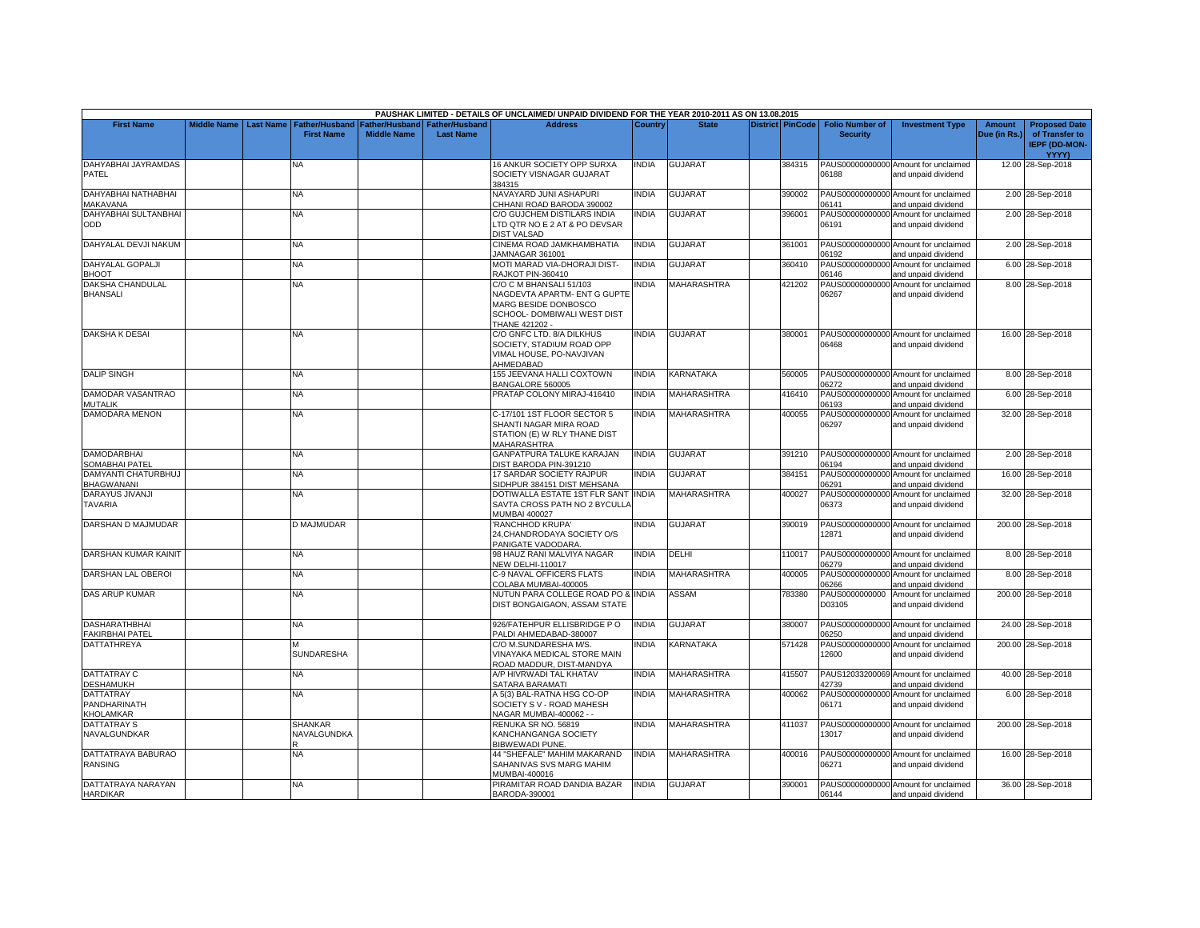|                         |                    |           |                       |                    |                       | PAUSHAK LIMITED - DETAILS OF UNCLAIMED/ UNPAID DIVIDEND FOR THE YEAR 2010-2011 AS ON 13.08.2015 |                |                    |                         |                          |                                      |               |                      |
|-------------------------|--------------------|-----------|-----------------------|--------------------|-----------------------|-------------------------------------------------------------------------------------------------|----------------|--------------------|-------------------------|--------------------------|--------------------------------------|---------------|----------------------|
| <b>First Name</b>       | <b>Middle Name</b> | Last Name | <b>Father/Husband</b> | Father/Husband     | <b>Father/Husband</b> | <b>Address</b>                                                                                  | <b>Country</b> | <b>State</b>       | <b>District PinCode</b> | <b>Folio Number of</b>   | <b>Investment Type</b>               | <b>Amount</b> | <b>Proposed Date</b> |
|                         |                    |           | <b>First Name</b>     | <b>Middle Name</b> | <b>Last Name</b>      |                                                                                                 |                |                    |                         | <b>Security</b>          |                                      | Due (in Rs.)  | of Transfer to       |
|                         |                    |           |                       |                    |                       |                                                                                                 |                |                    |                         |                          |                                      |               | <b>IEPF (DD-MON-</b> |
|                         |                    |           |                       |                    |                       |                                                                                                 |                |                    |                         |                          |                                      |               | YYYY)                |
| DAHYABHAI JAYRAMDAS     |                    |           | NA                    |                    |                       | 16 ANKUR SOCIETY OPP SURXA                                                                      | <b>NDIA</b>    | <b>GUJARAT</b>     | 384315                  |                          | PAUS00000000000 Amount for unclaimed |               | 12.00 28-Sep-2018    |
| PATEL                   |                    |           |                       |                    |                       | SOCIETY VISNAGAR GUJARAT                                                                        |                |                    |                         | 06188                    | and unpaid dividend                  |               |                      |
|                         |                    |           |                       |                    |                       | 384315                                                                                          |                |                    |                         |                          |                                      |               |                      |
| DAHYABHAI NATHABHAI     |                    |           | <b>NA</b>             |                    |                       | NAVAYARD JUNI ASHAPURI                                                                          | <b>NDIA</b>    | <b>GUJARAT</b>     | 390002                  |                          | PAUS00000000000 Amount for unclaimed |               | 2.00 28-Sep-2018     |
| MAKAVANA                |                    |           |                       |                    |                       | CHHANI ROAD BARODA 390002                                                                       |                |                    |                         | 06141                    | and unpaid dividend                  |               |                      |
| DAHYABHAI SULTANBHAI    |                    |           | NA                    |                    |                       | C/O GUJCHEM DISTILARS INDIA                                                                     | INDIA          | <b>GUJARAT</b>     | 396001                  |                          | PAUS00000000000 Amount for unclaimed |               | 2.00 28-Sep-2018     |
| ODD                     |                    |           |                       |                    |                       | LTD QTR NO E 2 AT & PO DEVSAR                                                                   |                |                    |                         | 06191                    | and unpaid dividend                  |               |                      |
|                         |                    |           |                       |                    |                       | <b>DIST VALSAD</b>                                                                              |                |                    |                         |                          |                                      |               |                      |
| DAHYALAL DEVJI NAKUM    |                    |           | <b>NA</b>             |                    |                       | CINEMA ROAD JAMKHAMBHATIA                                                                       | <b>INDIA</b>   | <b>GUJARAT</b>     | 361001                  |                          | PAUS00000000000 Amount for unclaimed |               | 2.00 28-Sep-2018     |
|                         |                    |           |                       |                    |                       |                                                                                                 |                |                    |                         |                          |                                      |               |                      |
|                         |                    |           |                       |                    |                       | JAMNAGAR 361001                                                                                 | <b>INDIA</b>   | <b>GUJARAT</b>     |                         | 06192<br>PAUS00000000000 | and unpaid dividend                  |               |                      |
| <b>DAHYALAL GOPALJI</b> |                    |           | <b>NA</b>             |                    |                       | MOTI MARAD VIA-DHORAJI DIST-                                                                    |                |                    | 360410                  |                          | Amount for unclaimed                 |               | 6.00 28-Sep-2018     |
| BHOOT                   |                    |           |                       |                    |                       | <b>RAJKOT PIN-360410</b>                                                                        |                |                    |                         | 06146                    | and unpaid dividend                  |               |                      |
| DAKSHA CHANDULAL        |                    |           | <b>NA</b>             |                    |                       | C/O C M BHANSALI 51/103                                                                         | <b>NDIA</b>    | <b>MAHARASHTRA</b> | 421202                  | PAUS00000000000          | Amount for unclaimed                 |               | 8.00 28-Sep-2018     |
| <b>BHANSALI</b>         |                    |           |                       |                    |                       | NAGDEVTA APARTM- ENT G GUPTE                                                                    |                |                    |                         | 06267                    | and unpaid dividend                  |               |                      |
|                         |                    |           |                       |                    |                       | MARG BESIDE DONBOSCO                                                                            |                |                    |                         |                          |                                      |               |                      |
|                         |                    |           |                       |                    |                       | SCHOOL- DOMBIWALI WEST DIST                                                                     |                |                    |                         |                          |                                      |               |                      |
|                         |                    |           |                       |                    |                       | THANE 421202 -                                                                                  |                |                    |                         |                          |                                      |               |                      |
| <b>DAKSHA K DESA</b>    |                    |           | <b>NA</b>             |                    |                       | C/O GNFC LTD. 8/A DILKHUS                                                                       | <b>NDIA</b>    | <b>GUJARAT</b>     | 380001                  |                          | PAUS00000000000 Amount for unclaimed |               | 16.00 28-Sep-2018    |
|                         |                    |           |                       |                    |                       | SOCIETY, STADIUM ROAD OPP                                                                       |                |                    |                         | 06468                    | and unpaid dividend                  |               |                      |
|                         |                    |           |                       |                    |                       | VIMAL HOUSE, PO-NAVJIVAN                                                                        |                |                    |                         |                          |                                      |               |                      |
|                         |                    |           |                       |                    |                       | AHMEDABAD                                                                                       |                |                    |                         |                          |                                      |               |                      |
| <b>DALIP SINGH</b>      |                    |           | <b>NA</b>             |                    |                       | 155 JEEVANA HALLI COXTOWN                                                                       | <b>INDIA</b>   | KARNATAKA          | 560005                  |                          | PAUS00000000000 Amount for unclaimed |               | 8.00 28-Sep-2018     |
|                         |                    |           |                       |                    |                       | BANGALORE 560005                                                                                |                |                    |                         | 06272                    | and unpaid dividend                  |               |                      |
| DAMODAR VASANTRAO       |                    |           | <b>NA</b>             |                    |                       | PRATAP COLONY MIRAJ-416410                                                                      | <b>INDIA</b>   | <b>MAHARASHTRA</b> | 416410                  |                          | PAUS00000000000 Amount for unclaimed |               | 6.00 28-Sep-2018     |
| MUTALIK                 |                    |           |                       |                    |                       |                                                                                                 |                |                    |                         | 06193                    | and unpaid dividend                  |               |                      |
| <b>DAMODARA MENON</b>   |                    |           | NA                    |                    |                       | C-17/101 1ST FLOOR SECTOR 5                                                                     | <b>NDIA</b>    | MAHARASHTRA        | 400055                  |                          | PAUS00000000000 Amount for unclaimed |               | 32.00 28-Sep-2018    |
|                         |                    |           |                       |                    |                       | SHANTI NAGAR MIRA ROAD                                                                          |                |                    |                         | 06297                    | and unpaid dividend                  |               |                      |
|                         |                    |           |                       |                    |                       | STATION (E) W RLY THANE DIST                                                                    |                |                    |                         |                          |                                      |               |                      |
|                         |                    |           |                       |                    |                       | <b>MAHARASHTRA</b>                                                                              |                |                    |                         |                          |                                      |               |                      |
| <b>DAMODARBHAI</b>      |                    |           | <b>NA</b>             |                    |                       | GANPATPURA TALUKE KARAJAN                                                                       | <b>INDIA</b>   | <b>GUJARAT</b>     | 391210                  |                          | PAUS00000000000 Amount for unclaimed |               | 2.00 28-Sep-2018     |
| SOMABHAI PATEI          |                    |           |                       |                    |                       | DIST BARODA PIN-391210                                                                          |                |                    |                         | 06194                    | and unpaid dividend                  |               |                      |
| DAMYANTI CHATURBHUJ     |                    |           | NA                    |                    |                       | 17 SARDAR SOCIETY RAJPUR                                                                        | INDIA          | GUJARAT            | 384151                  | PAUS00000000000          | Amount for unclaimed                 |               | 16.00 28-Sep-2018    |
| BHAGWANANI              |                    |           |                       |                    |                       | SIDHPUR 384151 DIST MEHSANA                                                                     |                |                    |                         | 06291                    | and unpaid dividend                  |               |                      |
| DARAYUS JIVANJI         |                    |           | <b>NA</b>             |                    |                       | DOTIWALLA ESTATE 1ST FLR SANT                                                                   | <b>INDIA</b>   | <b>MAHARASHTRA</b> | 400027                  | PAUS00000000000          | Amount for unclaimed                 |               | 32.00 28-Sep-2018    |
| TAVARIA                 |                    |           |                       |                    |                       | SAVTA CROSS PATH NO 2 BYCULLA                                                                   |                |                    |                         | 06373                    | and unpaid dividend                  |               |                      |
|                         |                    |           |                       |                    |                       | <b>MUMBAI 400027</b>                                                                            |                |                    |                         |                          |                                      |               |                      |
| DARSHAN D MAJMUDAR      |                    |           | D MAJMUDAR            |                    |                       | 'RANCHHOD KRUPA'                                                                                | <b>NDIA</b>    | <b>GUJARAT</b>     | 390019                  |                          | PAUS00000000000 Amount for unclaimed |               | 200.00 28-Sep-2018   |
|                         |                    |           |                       |                    |                       | 24, CHANDRODAYA SOCIETY O/S                                                                     |                |                    |                         | 12871                    | and unpaid dividend                  |               |                      |
|                         |                    |           |                       |                    |                       | PANIGATE VADODARA                                                                               |                |                    |                         |                          |                                      |               |                      |
|                         |                    |           |                       |                    |                       |                                                                                                 | <b>NDIA</b>    |                    |                         |                          |                                      |               |                      |
| DARSHAN KUMAR KAINIT    |                    |           | <b>NA</b>             |                    |                       | 98 HAUZ RANI MALVIYA NAGAR                                                                      |                | DELHI              | 110017                  |                          | PAUS00000000000 Amount for unclaimed |               | 8.00 28-Sep-2018     |
|                         |                    |           |                       |                    |                       | <b>NEW DELHI-110017</b>                                                                         |                | <b>MAHARASHTRA</b> |                         | 06279                    | and unpaid dividend                  |               |                      |
| DARSHAN LAL OBEROI      |                    |           | <b>NA</b>             |                    |                       | C-9 NAVAL OFFICERS FLATS                                                                        | <b>INDIA</b>   |                    | 400005                  |                          | PAUS00000000000 Amount for unclaimed |               | 8.00 28-Sep-2018     |
|                         |                    |           |                       |                    |                       | COLABA MUMBAI-400005                                                                            |                |                    |                         | 06266                    | and unpaid dividend                  |               |                      |
| <b>DAS ARUP KUMAR</b>   |                    |           | NA                    |                    |                       | NUTUN PARA COLLEGE ROAD PO & INDIA                                                              |                | <b>ASSAM</b>       | 783380                  |                          | PAUS0000000000 Amount for unclaimed  |               | 200.00 28-Sep-2018   |
|                         |                    |           |                       |                    |                       | DIST BONGAIGAON, ASSAM STATE                                                                    |                |                    |                         | D03105                   | and unpaid dividend                  |               |                      |
|                         |                    |           |                       |                    |                       |                                                                                                 |                |                    |                         |                          |                                      |               |                      |
| <b>DASHARATHBHAI</b>    |                    |           | <b>NA</b>             |                    |                       | 926/FATEHPUR ELLISBRIDGE PO                                                                     | <b>INDIA</b>   | <b>GUJARAT</b>     | 380007                  | PAUS00000000000          | Amount for unclaimed                 |               | 24.00 28-Sep-2018    |
| FAKIRBHAI PATEL         |                    |           |                       |                    |                       | PALDI AHMEDABAD-380007                                                                          |                |                    |                         | 06250                    | and unpaid dividend                  |               |                      |
| <b>DATTATHREYA</b>      |                    |           |                       |                    |                       | C/O M.SUNDARESHA M/S.                                                                           | <b>NDIA</b>    | KARNATAKA          | 571428                  | PAUS00000000000          | Amount for unclaimed                 |               | 200.00 28-Sep-2018   |
|                         |                    |           | <b>SUNDARESHA</b>     |                    |                       | VINAYAKA MEDICAL STORE MAIN                                                                     |                |                    |                         | 12600                    | and unpaid dividend                  |               |                      |
|                         |                    |           |                       |                    |                       | ROAD MADDUR, DIST-MANDYA                                                                        |                |                    |                         |                          |                                      |               |                      |
| DATTATRAY C             |                    |           | <b>NA</b>             |                    |                       | A/P HIVRWADI TAL KHATAV                                                                         | <b>NDIA</b>    | <b>MAHARASHTRA</b> | 415507                  |                          | PAUS12033200069 Amount for unclaimed |               | 40.00 28-Sep-2018    |
| <b>DESHAMUKH</b>        |                    |           |                       |                    |                       | SATARA BARAMATI                                                                                 |                |                    |                         | 42739                    | and unpaid dividend                  |               |                      |
| <b>DATTATRAY</b>        |                    |           | <b>NA</b>             |                    |                       | A 5(3) BAL-RATNA HSG CO-OP                                                                      | <b>INDIA</b>   | <b>MAHARASHTRA</b> | 400062                  |                          | PAUS00000000000 Amount for unclaimed |               | 6.00 28-Sep-2018     |
| PANDHARINATH            |                    |           |                       |                    |                       | SOCIETY S V - ROAD MAHESH                                                                       |                |                    |                         | 06171                    | and unpaid dividend                  |               |                      |
| KHOLAMKAR               |                    |           |                       |                    |                       | NAGAR MUMBAI-400062 - -                                                                         |                |                    |                         |                          |                                      |               |                      |
| <b>DATTATRAY S</b>      |                    |           | SHANKAR               |                    |                       | RENUKA SR NO. 56819                                                                             | <b>INDIA</b>   | <b>MAHARASHTRA</b> | 411037                  |                          | PAUS00000000000 Amount for unclaimed |               | 200.00 28-Sep-2018   |
| NAVALGUNDKAR            |                    |           | NAVALGUNDKA           |                    |                       | KANCHANGANGA SOCIETY                                                                            |                |                    |                         | 13017                    | and unpaid dividend                  |               |                      |
|                         |                    |           |                       |                    |                       | BIBWEWADI PUNE.                                                                                 |                |                    |                         |                          |                                      |               |                      |
| DATTATRAYA BABURAO      |                    |           | <b>NA</b>             |                    |                       | 44 "SHEFALE" MAHIM MAKARAND                                                                     | <b>INDIA</b>   | <b>MAHARASHTRA</b> | 400016                  |                          | PAUS00000000000 Amount for unclaimed |               | 16.00 28-Sep-2018    |
| RANSING                 |                    |           |                       |                    |                       | SAHANIVAS SVS MARG MAHIM                                                                        |                |                    |                         | 06271                    | and unpaid dividend                  |               |                      |
|                         |                    |           |                       |                    |                       | MUMBAI-400016                                                                                   |                |                    |                         |                          |                                      |               |                      |
| DATTATRAYA NARAYAN      |                    |           | <b>NA</b>             |                    |                       | PIRAMITAR ROAD DANDIA BAZAR                                                                     | <b>INDIA</b>   | <b>GUJARAT</b>     | 390001                  |                          | PAUS00000000000 Amount for unclaimed |               | 36.00 28-Sep-2018    |
| <b>HARDIKAR</b>         |                    |           |                       |                    |                       | BARODA-390001                                                                                   |                |                    |                         | 06144                    | and unpaid dividend                  |               |                      |
|                         |                    |           |                       |                    |                       |                                                                                                 |                |                    |                         |                          |                                      |               |                      |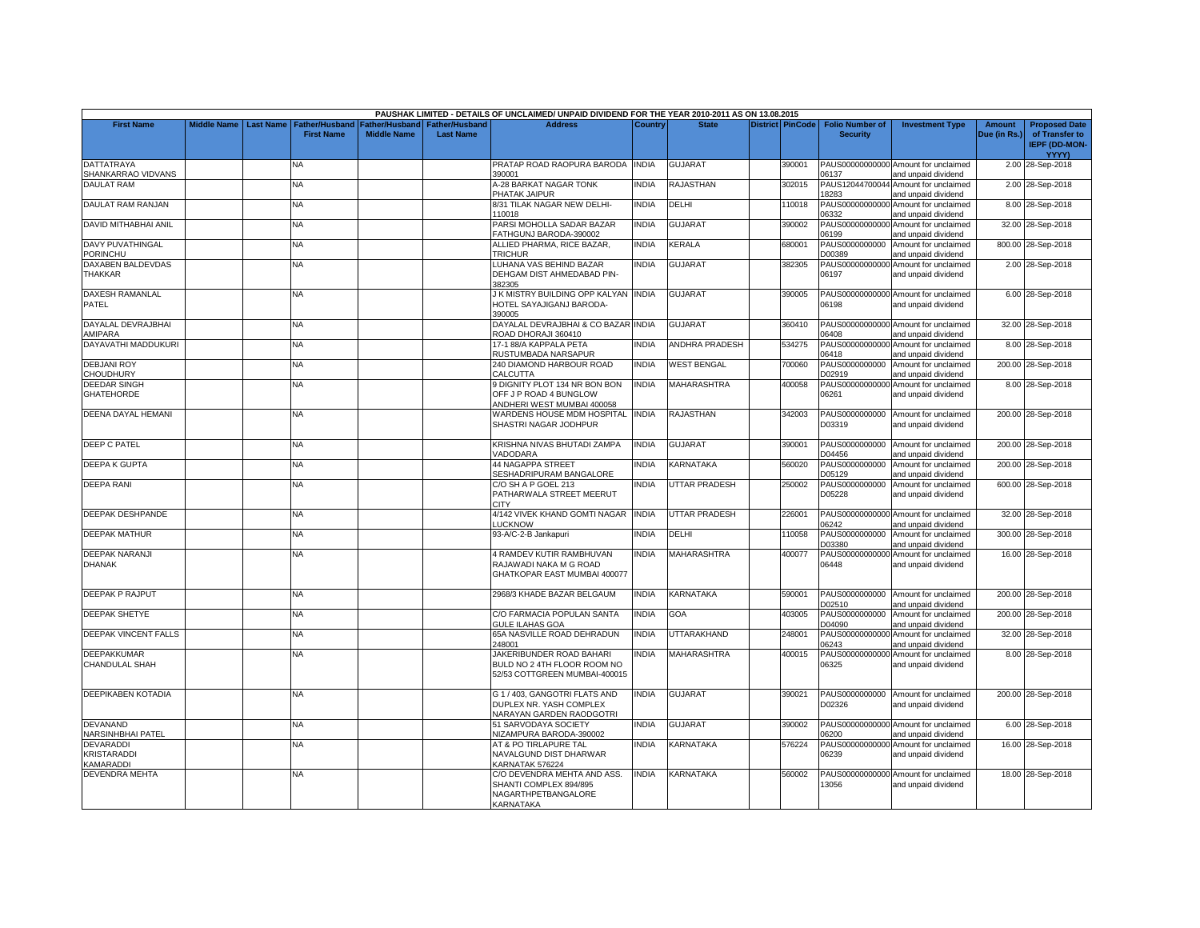|                                                       |                    |                  |                                            |                                      |                                           | PAUSHAK LIMITED - DETAILS OF UNCLAIMED/ UNPAID DIVIDEND FOR THE YEAR 2010-2011 AS ON 13.08.2015  |                |                       |                         |                                           |                                                                                    |                               |                                                                |
|-------------------------------------------------------|--------------------|------------------|--------------------------------------------|--------------------------------------|-------------------------------------------|--------------------------------------------------------------------------------------------------|----------------|-----------------------|-------------------------|-------------------------------------------|------------------------------------------------------------------------------------|-------------------------------|----------------------------------------------------------------|
| <b>First Name</b>                                     | <b>Middle Name</b> | <b>Last Name</b> | <b>Father/Husband</b><br><b>First Name</b> | Father/Husband<br><b>Middle Name</b> | <b>Father/Husband</b><br><b>Last Name</b> | <b>Address</b>                                                                                   | <b>Country</b> | <b>State</b>          | <b>District PinCode</b> | <b>Folio Number of</b><br><b>Security</b> | <b>Investment Type</b>                                                             | <b>Amount</b><br>Due (in Rs.) | <b>Proposed Date</b><br>of Transfer to<br><b>IEPF (DD-MON-</b> |
|                                                       |                    |                  |                                            |                                      |                                           |                                                                                                  |                |                       |                         |                                           |                                                                                    |                               | <b>YYYY)</b>                                                   |
| <b>DATTATRAYA</b><br>SHANKARRAO VIDVANS               |                    |                  | NA                                         |                                      |                                           | PRATAP ROAD RAOPURA BARODA INDIA<br>390001                                                       |                | <b>GUJARAT</b>        | 390001                  | 06137                                     | PAUS00000000000 Amount for unclaimed<br>and unpaid dividend                        |                               | 2.00 28-Sep-2018                                               |
| <b>DAULAT RAM</b>                                     |                    |                  | <b>NA</b>                                  |                                      |                                           | A-28 BARKAT NAGAR TONK<br>PHATAK JAIPUR                                                          | <b>NDIA</b>    | RAJASTHAN             | 302015                  | 18283                                     | PAUS12044700044 Amount for unclaimed<br>and unpaid dividend                        |                               | 2.00 28-Sep-2018                                               |
| <b>DAULAT RAM RANJAN</b>                              |                    |                  | NA.                                        |                                      |                                           | 8/31 TILAK NAGAR NEW DELHI-<br>110018                                                            | <b>NDIA</b>    | DELHI                 | 110018                  | PAUS00000000000<br>06332                  | Amount for unclaimed<br>and unpaid dividend                                        |                               | 8.00 28-Sep-2018                                               |
| DAVID MITHABHAI ANIL                                  |                    |                  | <b>NA</b>                                  |                                      |                                           | PARSI MOHOLLA SADAR BAZAR<br>FATHGUNJ BARODA-390002                                              | INDIA          | <b>GUJARAT</b>        | 390002                  | 06199                                     | PAUS00000000000 Amount for unclaimed<br>and unpaid dividend                        |                               | 32.00 28-Sep-2018                                              |
| <b>DAVY PUVATHINGAL</b><br>PORINCHU                   |                    |                  | NA.                                        |                                      |                                           | ALLIED PHARMA, RICE BAZAR,<br><b>TRICHUR</b>                                                     | <b>INDIA</b>   | KERALA                | 680001                  | PAUS0000000000<br>D00389                  | Amount for unclaimed<br>and unpaid dividend                                        |                               | 800.00 28-Sep-2018                                             |
| DAXABEN BALDEVDAS<br><b>THAKKAR</b>                   |                    |                  | NA                                         |                                      |                                           | LUHANA VAS BEHIND BAZAR<br>DEHGAM DIST AHMEDABAD PIN-                                            | INDIA          | <b>GUJARAT</b>        | 382305                  | 06197                                     | PAUS00000000000 Amount for unclaimed<br>and unpaid dividend                        |                               | 2.00 28-Sep-2018                                               |
| <b>DAXESH RAMANLAL</b><br>PATEL                       |                    |                  | <b>NA</b>                                  |                                      |                                           | 382305<br>J K MISTRY BUILDING OPP KALYAN INDIA<br>HOTEL SAYAJIGANJ BARODA-                       |                | <b>GUJARAT</b>        | 390005                  | 06198                                     | PAUS00000000000 Amount for unclaimed<br>and unpaid dividend                        |                               | 6.00 28-Sep-2018                                               |
| DAYALAL DEVRAJBHAI                                    |                    |                  | NA                                         |                                      |                                           | 390005<br>DAYALAL DEVRAJBHAI & CO BAZAR INDIA                                                    |                | <b>GUJARAT</b>        | 360410                  |                                           | PAUS00000000000 Amount for unclaimed                                               |                               | 32.00 28-Sep-2018                                              |
| AMIPARA<br>DAYAVATHI MADDUKURI                        |                    |                  | NA.                                        |                                      |                                           | ROAD DHORAJI 360410<br>17-1 88/A KAPPALA PETA                                                    | <b>NDIA</b>    | <b>ANDHRA PRADESH</b> | 534275                  | 06408<br>PAUS00000000000                  | and unpaid dividend<br>Amount for unclaimed                                        |                               | 8.00 28-Sep-2018                                               |
| <b>DEBJANI ROY</b>                                    |                    |                  | <b>NA</b>                                  |                                      |                                           | RUSTUMBADA NARSAPUR<br>240 DIAMOND HARBOUR ROAD                                                  | INDIA          | <b>WEST BENGAL</b>    | 700060                  | 06418<br>PAUS0000000000                   | and unpaid dividend<br>Amount for unclaimed                                        |                               | 200.00 28-Sep-2018                                             |
| CHOUDHURY<br><b>DEEDAR SINGH</b><br><b>GHATEHORDE</b> |                    |                  | NA.                                        |                                      |                                           | CALCUTTA<br>9 DIGNITY PLOT 134 NR BON BON<br>OFF J P ROAD 4 BUNGLOW                              | <b>INDIA</b>   | <b>MAHARASHTRA</b>    | 400058                  | D02919<br>06261                           | and unpaid dividend<br>PAUS00000000000 Amount for unclaimed<br>and unpaid dividend |                               | 8.00 28-Sep-2018                                               |
| DEENA DAYAL HEMANI                                    |                    |                  | NA                                         |                                      |                                           | ANDHERI WEST MUMBAI 400058<br>WARDENS HOUSE MDM HOSPITAL<br>SHASTRI NAGAR JODHPUR                | <b>INDIA</b>   | RAJASTHAN             | 342003                  | PAUS0000000000<br>D03319                  | Amount for unclaimed<br>and unpaid dividend                                        |                               | 200.00 28-Sep-2018                                             |
| DEEP C PATEL                                          |                    |                  | <b>NA</b>                                  |                                      |                                           | KRISHNA NIVAS BHUTADI ZAMPA<br>VADODARA                                                          | <b>INDIA</b>   | <b>GUJARAT</b>        | 390001                  | D04456                                    | PAUS0000000000 Amount for unclaimed<br>and unpaid dividend                         |                               | 200.00 28-Sep-2018                                             |
| <b>DEEPA K GUPTA</b>                                  |                    |                  | NA                                         |                                      |                                           | <b>44 NAGAPPA STREET</b><br>SESHADRIPURAM BANGALORE                                              | NDIA           | KARNATAKA             | 560020                  | PAUS0000000000<br>D05129                  | Amount for unclaimed<br>and unpaid dividend                                        |                               | 200.00 28-Sep-2018                                             |
| <b>DEEPA RANI</b>                                     |                    |                  | NA.                                        |                                      |                                           | C/O SH A P GOEL 213<br>PATHARWALA STREET MEERUT<br><b>CITY</b>                                   | <b>NDIA</b>    | <b>UTTAR PRADESH</b>  | 250002                  | PAUS0000000000<br>D05228                  | Amount for unclaimed<br>and unpaid dividend                                        |                               | 600.00 28-Sep-2018                                             |
| <b>DEEPAK DESHPANDE</b>                               |                    |                  | <b>NA</b>                                  |                                      |                                           | 4/142 VIVEK KHAND GOMTI NAGAR INDIA<br>LUCKNOW                                                   |                | <b>UTTAR PRADESH</b>  | 226001                  | 06242                                     | PAUS00000000000 Amount for unclaimed<br>and unpaid dividend                        |                               | 32.00 28-Sep-2018                                              |
| <b>DEEPAK MATHUR</b>                                  |                    |                  | <b>NA</b>                                  |                                      |                                           | 93-A/C-2-B Jankapuri                                                                             | <b>INDIA</b>   | DELHI                 | 110058                  | PAUS0000000000<br>D03380                  | Amount for unclaimed<br>and unpaid dividend                                        |                               | 300.00 28-Sep-2018                                             |
| <b>DEEPAK NARANJI</b><br><b>DHANAK</b>                |                    |                  | NA                                         |                                      |                                           | 4 RAMDEV KUTIR RAMBHUVAN<br>RAJAWADI NAKA M G ROAD<br>GHATKOPAR EAST MUMBAI 400077               | <b>INDIA</b>   | MAHARASHTRA           | 400077                  | PAUS0000000000<br>06448                   | Amount for unclaimed<br>and unpaid dividend                                        |                               | 16.00 28-Sep-2018                                              |
| DEEPAK P RAJPUT                                       |                    |                  | <b>NA</b>                                  |                                      |                                           | 2968/3 KHADE BAZAR BELGAUM                                                                       | <b>INDIA</b>   | KARNATAKA             | 590001                  | D02510                                    | PAUS0000000000 Amount for unclaimed<br>and unpaid dividend                         |                               | 200.00 28-Sep-2018                                             |
| <b>DEEPAK SHETYE</b>                                  |                    |                  | NA                                         |                                      |                                           | C/O FARMACIA POPULAN SANTA<br><b>GULE ILAHAS GOA</b>                                             | INDIA          | GOA                   | 403005                  | PAUS0000000000<br>D04090                  | Amount for unclaimed<br>and unpaid dividend                                        |                               | 200.00 28-Sep-2018                                             |
| DEEPAK VINCENT FALLS                                  |                    |                  | <b>NA</b>                                  |                                      |                                           | 65A NASVILLE ROAD DEHRADUN<br>248001                                                             | INDIA          | UTTARAKHAND           | 248001                  | PAUS00000000000<br>06243                  | Amount for unclaimed<br>and unpaid dividend                                        |                               | 32.00 28-Sep-2018                                              |
| <b>DEEPAKKUMAR</b><br>CHANDULAL SHAH                  |                    |                  | NA.                                        |                                      |                                           | JAKERIBUNDER ROAD BAHARI<br>BULD NO 2 4TH FLOOR ROOM NO<br>52/53 COTTGREEN MUMBAI-400015         | <b>NDIA</b>    | <b>MAHARASHTRA</b>    | 400015                  | PAUS00000000000<br>06325                  | Amount for unclaimed<br>and unpaid dividend                                        |                               | 8.00 28-Sep-2018                                               |
| DEEPIKABEN KOTADIA                                    |                    |                  | NA                                         |                                      |                                           | G 1 / 403. GANGOTRI FLATS AND<br>DUPLEX NR. YASH COMPLEX<br>NARAYAN GARDEN RAODGOTRI             | <b>INDIA</b>   | <b>GUJARAT</b>        | 390021                  | PAUS0000000000<br>D02326                  | Amount for unclaimed<br>and unpaid dividend                                        |                               | 200.00 28-Sep-2018                                             |
| <b>DEVANAND</b><br>NARSINHBHAI PATEL                  |                    |                  | <b>NA</b>                                  |                                      |                                           | 51 SARVODAYA SOCIETY<br>NIZAMPURA BARODA-390002                                                  | <b>NDIA</b>    | <b>GUJARAT</b>        | 390002                  | 06200                                     | PAUS00000000000 Amount for unclaimed<br>and unpaid dividend                        |                               | 6.00 28-Sep-2018                                               |
| <b>DEVARADDI</b><br><b>KRISTARADDI</b><br>KAMARADDI   |                    |                  | NΑ                                         |                                      |                                           | AT & PO TIRLAPURE TAL<br>NAVALGUND DIST DHARWAR<br>KARNATAK 576224                               | <b>NDIA</b>    | KARNATAKA             | 576224                  | 06239                                     | PAUS00000000000 Amount for unclaimed<br>and unpaid dividend                        |                               | 16.00 28-Sep-2018                                              |
| <b>DEVENDRA MEHTA</b>                                 |                    |                  | <b>NA</b>                                  |                                      |                                           | C/O DEVENDRA MEHTA AND ASS.<br>SHANTI COMPLEX 894/895<br>NAGARTHPETBANGALORE<br><b>KARNATAKA</b> | <b>INDIA</b>   | <b>KARNATAKA</b>      | 560002                  | 13056                                     | PAUS00000000000 Amount for unclaimed<br>and unpaid dividend                        |                               | 18.00 28-Sep-2018                                              |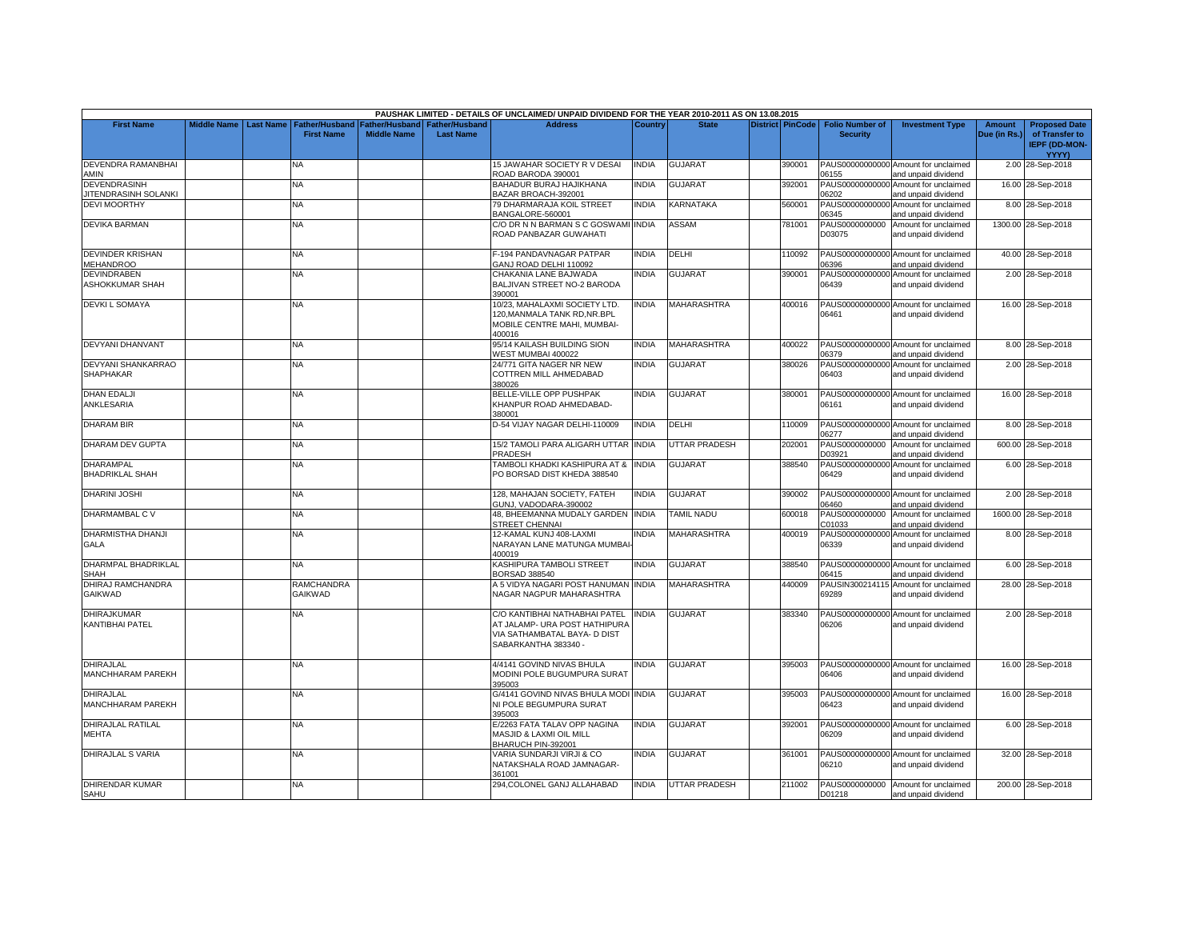|                                                    |                    |                  |                                            |                                             |                                           | PAUSHAK LIMITED - DETAILS OF UNCLAIMED/ UNPAID DIVIDEND FOR THE YEAR 2010-2011 AS ON 13.08.2015                        |              |                      |                  |                                           |                                                             |                               |                                                                |
|----------------------------------------------------|--------------------|------------------|--------------------------------------------|---------------------------------------------|-------------------------------------------|------------------------------------------------------------------------------------------------------------------------|--------------|----------------------|------------------|-------------------------------------------|-------------------------------------------------------------|-------------------------------|----------------------------------------------------------------|
| <b>First Name</b>                                  | <b>Middle Name</b> | <b>Last Name</b> | <b>Father/Husband</b><br><b>First Name</b> | <b>Father/Husband</b><br><b>Middle Name</b> | <b>Father/Husband</b><br><b>Last Name</b> | <b>Address</b>                                                                                                         | Country      | <b>State</b>         | District PinCode | <b>Folio Number of</b><br><b>Security</b> | <b>Investment Type</b>                                      | <b>Amount</b><br>Due (in Rs.) | <b>Proposed Date</b><br>of Transfer to<br><b>IEPF (DD-MON-</b> |
| <b>DEVENDRA RAMANBHAI</b>                          |                    |                  | NA                                         |                                             |                                           | 15 JAWAHAR SOCIETY R V DESAI                                                                                           | <b>INDIA</b> | <b>GUJARAT</b>       | 390001           |                                           | PAUS00000000000 Amount for unclaimed                        |                               | YYYY)                                                          |
| AMIN                                               |                    |                  |                                            |                                             |                                           | ROAD BARODA 390001                                                                                                     |              |                      |                  | 06155                                     | and unpaid dividend                                         |                               | 2.00 28-Sep-2018                                               |
| <b>DEVENDRASINH</b><br><b>JITENDRASINH SOLANKI</b> |                    |                  | NA                                         |                                             |                                           | BAHADUR BURAJ HAJIKHANA<br>BAZAR BROACH-392001                                                                         | <b>INDIA</b> | <b>GUJARAT</b>       | 392001           | PAUS00000000000<br>06202                  | Amount for unclaimed<br>and unpaid dividend                 |                               | 16.00 28-Sep-2018                                              |
| <b>DEVI MOORTHY</b>                                |                    |                  | <b>NA</b>                                  |                                             |                                           | 79 DHARMARAJA KOIL STREET<br>BANGALORE-560001                                                                          | <b>INDIA</b> | KARNATAKA            | 560001           | PAUS00000000000<br>06345                  | Amount for unclaimed<br>and unpaid dividend                 |                               | 8.00 28-Sep-2018                                               |
| <b>DEVIKA BARMAN</b>                               |                    |                  | NA                                         |                                             |                                           | C/O DR N N BARMAN S C GOSWAMI INDIA                                                                                    |              | ASSAM                | 781001           | PAUS0000000000                            | Amount for unclaimed                                        |                               | 1300.00 28-Sep-2018                                            |
|                                                    |                    |                  |                                            |                                             |                                           | ROAD PANBAZAR GUWAHATI                                                                                                 |              |                      |                  | D03075                                    | and unpaid dividend                                         |                               |                                                                |
| <b>DEVINDER KRISHAN</b><br><b>MEHANDROO</b>        |                    |                  | <b>NA</b>                                  |                                             |                                           | -194 PANDAVNAGAR PATPAR<br>GANJ ROAD DELHI 110092                                                                      | <b>INDIA</b> | DELHI                | 110092           | 06396                                     | PAUS00000000000 Amount for unclaimed<br>and unpaid dividend |                               | 40.00 28-Sep-2018                                              |
| <b>DEVINDRABEN</b>                                 |                    |                  | <b>NA</b>                                  |                                             |                                           | CHAKANIA LANE BAJWADA                                                                                                  | <b>INDIA</b> | <b>GUJARAT</b>       | 390001           | PAUS00000000000                           | Amount for unclaimed                                        |                               | 2.00 28-Sep-2018                                               |
| ASHOKKUMAR SHAH                                    |                    |                  |                                            |                                             |                                           | BALJIVAN STREET NO-2 BARODA<br>390001                                                                                  |              |                      |                  | 06439                                     | and unpaid dividend                                         |                               |                                                                |
| <b>DEVKI L SOMAYA</b>                              |                    |                  | NA                                         |                                             |                                           | 10/23, MAHALAXMI SOCIETY LTD.<br>120.MANMALA TANK RD.NR.BPL<br>MOBILE CENTRE MAHI, MUMBAI-<br>400016                   | <b>NDIA</b>  | <b>MAHARASHTRA</b>   | 400016           | 06461                                     | PAUS00000000000 Amount for unclaimed<br>and unpaid dividend |                               | 16.00 28-Sep-2018                                              |
| <b>DEVYANI DHANVANT</b>                            |                    |                  | NA                                         |                                             |                                           | 95/14 KAILASH BUILDING SION<br>WEST MUMBAI 400022                                                                      | <b>INDIA</b> | <b>MAHARASHTRA</b>   | 400022           | 06379                                     | PAUS00000000000 Amount for unclaimed<br>and unpaid dividend |                               | 8.00 28-Sep-2018                                               |
| DEVYANI SHANKARRAO                                 |                    |                  | NA.                                        |                                             |                                           | 24/771 GITA NAGER NR NEW                                                                                               | <b>INDIA</b> | <b>GUJARAT</b>       | 380026           | PAUS00000000000                           | Amount for unclaimed                                        |                               | 2.00 28-Sep-2018                                               |
| <b>SHAPHAKAR</b>                                   |                    |                  |                                            |                                             |                                           | COTTREN MILL AHMEDABAD<br>380026                                                                                       |              |                      |                  | 06403                                     | and unpaid dividend                                         |                               |                                                                |
| <b>DHAN EDALJI</b><br>ANKLESARIA                   |                    |                  | <b>NA</b>                                  |                                             |                                           | BELLE-VILLE OPP PUSHPAK<br>KHANPUR ROAD AHMEDABAD-<br>380001                                                           | <b>INDIA</b> | <b>GUJARAT</b>       | 380001           | 06161                                     | PAUS00000000000 Amount for unclaimed<br>and unpaid dividend |                               | 16.00 28-Sep-2018                                              |
| <b>DHARAM BIR</b>                                  |                    |                  | <b>NA</b>                                  |                                             |                                           | D-54 VIJAY NAGAR DELHI-110009                                                                                          | <b>INDIA</b> | DELHI                | 110009           | 06277                                     | PAUS00000000000 Amount for unclaimed<br>and unpaid dividend |                               | 8.00 28-Sep-2018                                               |
| DHARAM DEV GUPTA                                   |                    |                  | <b>NA</b>                                  |                                             |                                           | 15/2 TAMOLI PARA ALIGARH UTTAR INDIA<br>PRADESH                                                                        |              | UTTAR PRADESH        | 202001           | PAUS0000000000<br>D03921                  | Amount for unclaimed<br>and unpaid dividend                 |                               | 600.00 28-Sep-2018                                             |
| <b>DHARAMPAL</b><br><b>BHADRIKLAL SHAH</b>         |                    |                  | NA                                         |                                             |                                           | TAMBOLI KHADKI KASHIPURA AT &<br>PO BORSAD DIST KHEDA 388540                                                           | <b>INDIA</b> | <b>GUJARAT</b>       | 388540           | PAUS00000000000<br>06429                  | Amount for unclaimed<br>and unpaid dividend                 |                               | 6.00 28-Sep-2018                                               |
| <b>DHARINI JOSHI</b>                               |                    |                  | NA                                         |                                             |                                           | 128, MAHAJAN SOCIETY, FATEH<br>GUNJ, VADODARA-390002                                                                   | <b>INDIA</b> | <b>GUJARAT</b>       | 390002           | PAUS00000000000<br>06460                  | Amount for unclaimed<br>and unpaid dividend                 |                               | 2.00 28-Sep-2018                                               |
| DHARMAMBAL C V                                     |                    |                  | NA.                                        |                                             |                                           | 48. BHEEMANNA MUDALY GARDEN INDIA<br><b>STREET CHENNAI</b>                                                             |              | <b>TAMIL NADU</b>    | 600018           | PAUS0000000000<br>C01033                  | Amount for unclaimed<br>and unpaid dividend                 |                               | 1600.00 28-Sep-2018                                            |
| <b>DHARMISTHA DHANJI</b>                           |                    |                  | NA                                         |                                             |                                           | 12-KAMAL KUNJ 408-LAXMI                                                                                                | <b>INDIA</b> | <b>MAHARASHTRA</b>   | 400019           | PAUS00000000000                           | Amount for unclaimed                                        |                               | 8.00 28-Sep-2018                                               |
| GALA                                               |                    |                  |                                            |                                             |                                           | NARAYAN LANE MATUNGA MUMBAI<br>400019                                                                                  |              |                      |                  | 06339                                     | and unpaid dividend                                         |                               |                                                                |
| DHARMPAL BHADRIKLAL<br><b>SHAH</b>                 |                    |                  | NA.                                        |                                             |                                           | KASHIPURA TAMBOLI STREET<br>BORSAD 388540                                                                              | <b>INDIA</b> | <b>GUJARAT</b>       | 388540           | 06415                                     | PAUS00000000000 Amount for unclaimed<br>and unpaid dividend |                               | 6.00 28-Sep-2018                                               |
| DHIRAJ RAMCHANDRA<br>GAIKWAD                       |                    |                  | RAMCHANDRA<br><b>GAIKWAD</b>               |                                             |                                           | 45 VIDYA NAGARI POST HANUMAN INDIA<br>NAGAR NAGPUR MAHARASHTRA                                                         |              | MAHARASHTRA          | 440009           | 69289                                     | PAUSIN300214115 Amount for unclaimed<br>and unpaid dividend |                               | 28.00 28-Sep-2018                                              |
| <b>DHIRAJKUMAR</b><br>KANTIBHAI PATEL              |                    |                  | NA.                                        |                                             |                                           | C/O KANTIBHAI NATHABHAI PATEL<br>AT JALAMP- URA POST HATHIPURA<br>VIA SATHAMBATAL BAYA- D DIST<br>SABARKANTHA 383340 - | <b>INDIA</b> | <b>GUJARAT</b>       | 383340           | 06206                                     | PAUS00000000000 Amount for unclaimed<br>and unpaid dividend |                               | 2.00 28-Sep-2018                                               |
| <b>DHIRAJLAL</b><br>MANCHHARAM PAREKH              |                    |                  | NA.                                        |                                             |                                           | 4/4141 GOVIND NIVAS BHULA<br>MODINI POLE BUGUMPURA SURAT<br>395003                                                     | <b>INDIA</b> | <b>GUJARAT</b>       | 395003           | 06406                                     | PAUS00000000000 Amount for unclaimed<br>and unpaid dividend |                               | 16.00 28-Sep-2018                                              |
| <b>DHIRAJLAL</b><br>MANCHHARAM PAREKH              |                    |                  | <b>NA</b>                                  |                                             |                                           | <b>G/4141 GOVIND NIVAS BHULA MODI INDIA</b><br>NI POLE BEGUMPURA SURAT<br>395003                                       |              | <b>GUJARAT</b>       | 395003           | 06423                                     | PAUS00000000000 Amount for unclaimed<br>and unpaid dividend |                               | 16.00 28-Sep-2018                                              |
| DHIRAJLAL RATILAL<br>MEHTA                         |                    |                  | NA.                                        |                                             |                                           | E/2263 FATA TALAV OPP NAGINA<br><b>MASJID &amp; LAXMI OIL MILL</b><br>BHARUCH PIN-392001                               | <b>INDIA</b> | <b>GUJARAT</b>       | 392001           | 06209                                     | PAUS00000000000 Amount for unclaimed<br>and unpaid dividend |                               | 6.00 28-Sep-2018                                               |
| <b>DHIRAJLAL S VARIA</b>                           |                    |                  | NA                                         |                                             |                                           | VARIA SUNDARJI VIRJI & CO<br>NATAKSHALA ROAD JAMNAGAR-<br>361001                                                       | <b>INDIA</b> | <b>GUJARAT</b>       | 361001           | 06210                                     | PAUS00000000000 Amount for unclaimed<br>and unpaid dividend |                               | 32.00 28-Sep-2018                                              |
| <b>DHIRENDAR KUMAR</b><br>SAHU                     |                    |                  | <b>NA</b>                                  |                                             |                                           | 294, COLONEL GANJ ALLAHABAD                                                                                            | <b>INDIA</b> | <b>UTTAR PRADESH</b> | 211002           | D01218                                    | PAUS0000000000 Amount for unclaimed<br>and unpaid dividend  |                               | 200.00 28-Sep-2018                                             |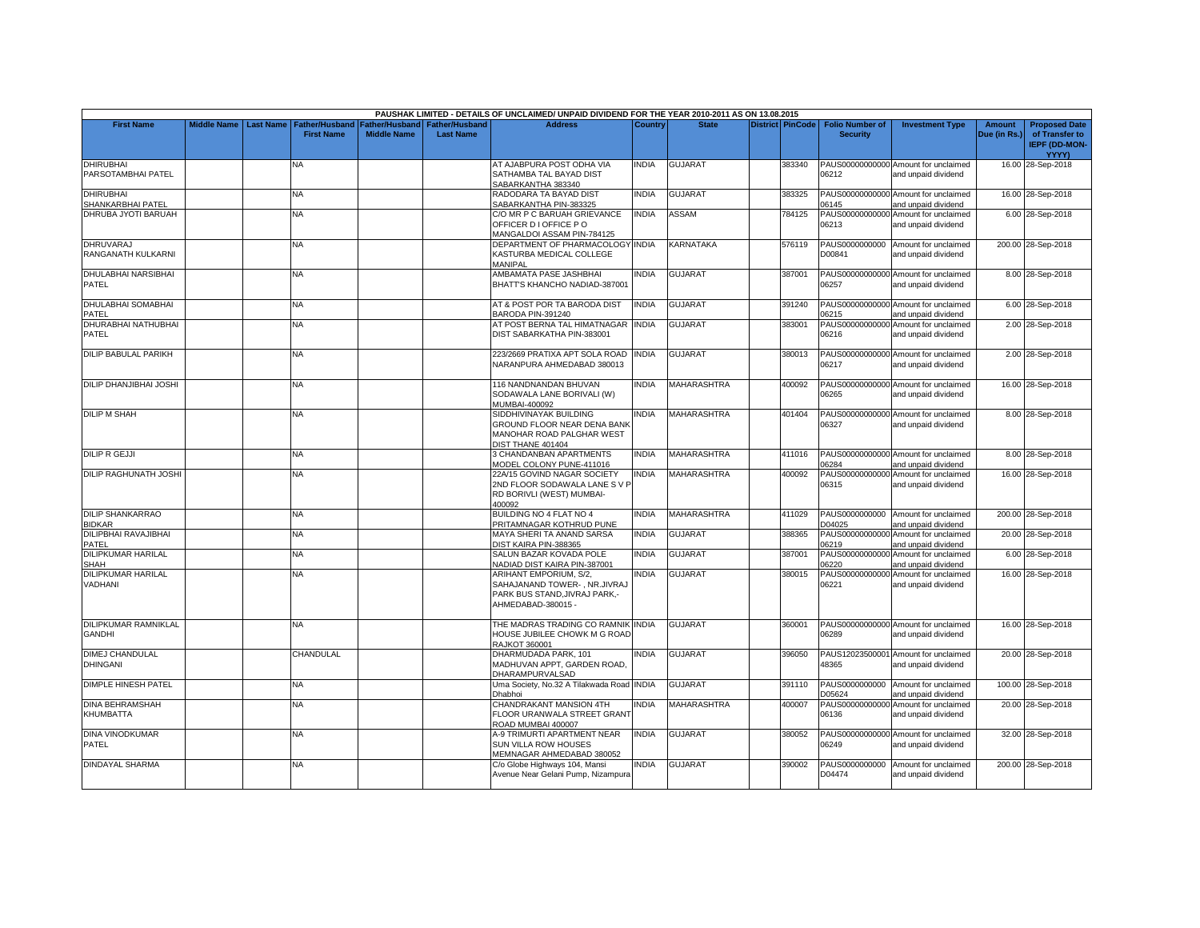|                                              |                         |                                            |                                             |                                           | PAUSHAK LIMITED - DETAILS OF UNCLAIMED/ UNPAID DIVIDEND FOR THE YEAR 2010-2011 AS ON 13.08.2015               |              |                    |        |                                                     |                                                             |                               |                                                                                |
|----------------------------------------------|-------------------------|--------------------------------------------|---------------------------------------------|-------------------------------------------|---------------------------------------------------------------------------------------------------------------|--------------|--------------------|--------|-----------------------------------------------------|-------------------------------------------------------------|-------------------------------|--------------------------------------------------------------------------------|
| <b>First Name</b>                            | Middle Name   Last Name | <b>Father/Husband</b><br><b>First Name</b> | <b>Father/Husband</b><br><b>Middle Name</b> | <b>Father/Husband</b><br><b>Last Name</b> | <b>Address</b>                                                                                                | Country      | <b>State</b>       |        | District PinCode Folio Number of<br><b>Security</b> | <b>Investment Type</b>                                      | <b>Amount</b><br>Due (in Rs.) | <b>Proposed Date</b><br>of Transfer to<br><b>IEPF (DD-MON-</b><br><b>YYYY)</b> |
| <b>DHIRUBHAI</b><br>PARSOTAMBHAI PATEL       |                         | NA                                         |                                             |                                           | AT AJABPURA POST ODHA VIA<br>SATHAMBA TAL BAYAD DIST<br>SABARKANTHA 383340                                    | <b>NDIA</b>  | <b>GUJARAT</b>     | 383340 | 06212                                               | PAUS00000000000 Amount for unclaimed<br>and unpaid dividend |                               | 16.00 28-Sep-2018                                                              |
| <b>DHIRUBHAI</b><br>SHANKARBHAI PATEL        |                         | <b>NA</b>                                  |                                             |                                           | RADODARA TA BAYAD DIST<br>SABARKANTHA PIN-383325                                                              | <b>NDIA</b>  | <b>GUJARAT</b>     | 383325 | 06145                                               | PAUS00000000000 Amount for unclaimed<br>and unpaid dividend |                               | 16.00 28-Sep-2018                                                              |
| DHRUBA JYOTI BARUAH                          |                         | <b>NA</b>                                  |                                             |                                           | C/O MR P C BARUAH GRIEVANCE<br>OFFICER D I OFFICE PO<br>MANGALDOI ASSAM PIN-784125                            | <b>INDIA</b> | <b>ASSAM</b>       | 784125 | 06213                                               | PAUS00000000000 Amount for unclaimed<br>and unpaid dividend |                               | 6.00 28-Sep-2018                                                               |
| DHRUVARAJ<br>RANGANATH KULKARNI              |                         | NΑ                                         |                                             |                                           | DEPARTMENT OF PHARMACOLOGY<br>KASTURBA MEDICAL COLLEGE<br>MANIPAL                                             | <b>INDIA</b> | KARNATAKA          | 576119 | D00841                                              | PAUS0000000000 Amount for unclaimed<br>and unpaid dividend  |                               | 200.00 28-Sep-2018                                                             |
| <b>DHULABHAI NARSIBHAI</b><br>PATEL          |                         | <b>NA</b>                                  |                                             |                                           | AMBAMATA PASE JASHBHAI<br>BHATT'S KHANCHO NADIAD-387001                                                       | <b>INDIA</b> | <b>GUJARAT</b>     | 387001 | 06257                                               | PAUS00000000000 Amount for unclaimed<br>and unpaid dividend |                               | 8.00 28-Sep-2018                                                               |
| <b>DHULABHAI SOMABHAI</b><br>PATEL           |                         | <b>NA</b>                                  |                                             |                                           | AT & POST POR TA BARODA DIST<br>BARODA PIN-391240                                                             | <b>INDIA</b> | <b>GUJARAT</b>     | 391240 | 06215                                               | PAUS00000000000 Amount for unclaimed<br>and unpaid dividend |                               | 6.00 28-Sep-2018                                                               |
| DHURABHAI NATHUBHAI<br>PATEL                 |                         | <b>NA</b>                                  |                                             |                                           | AT POST BERNA TAL HIMATNAGAR<br>DIST SABARKATHA PIN-383001                                                    | <b>INDIA</b> | <b>GUJARAT</b>     | 383001 | PAUS00000000000<br>06216                            | Amount for unclaimed<br>and unpaid dividend                 |                               | 2.00 28-Sep-2018                                                               |
| <b>DILIP BABULAL PARIKH</b>                  |                         | <b>NA</b>                                  |                                             |                                           | 223/2669 PRATIXA APT SOLA ROAD<br>NARANPURA AHMEDABAD 380013                                                  | <b>INDIA</b> | <b>GUJARAT</b>     | 380013 | 06217                                               | PAUS00000000000 Amount for unclaimed<br>and unpaid dividend |                               | 2.00 28-Sep-2018                                                               |
| DILIP DHANJIBHAI JOSHI                       |                         | NΑ                                         |                                             |                                           | 116 NANDNANDAN BHUVAN<br>SODAWALA LANE BORIVALI (W)<br>MUMBAI-400092                                          | <b>NDIA</b>  | <b>MAHARASHTRA</b> | 400092 | 06265                                               | PAUS00000000000 Amount for unclaimed<br>and unpaid dividend |                               | 16.00 28-Sep-2018                                                              |
| <b>DILIP M SHAH</b>                          |                         | NA                                         |                                             |                                           | SIDDHIVINAYAK BUILDING<br>GROUND FLOOR NEAR DENA BANK<br>MANOHAR ROAD PALGHAR WEST<br>DIST THANE 401404       | india        | MAHARASHTRA        | 401404 | 06327                                               | PAUS00000000000 Amount for unclaimed<br>and unpaid dividend |                               | 8.00 28-Sep-2018                                                               |
| <b>DILIP R GEJJI</b>                         |                         | <b>NA</b>                                  |                                             |                                           | <b>3 CHANDANBAN APARTMENTS</b><br>MODEL COLONY PUNE-411016                                                    | <b>NDIA</b>  | MAHARASHTRA        | 411016 | 06284                                               | PAUS00000000000 Amount for unclaimed<br>and unpaid dividend |                               | 8.00 28-Sep-2018                                                               |
| <b>DILIP RAGHUNATH JOSHI</b>                 |                         | <b>NA</b>                                  |                                             |                                           | 22A/15 GOVIND NAGAR SOCIETY<br>2ND FLOOR SODAWALA LANE S V P<br>RD BORIVLI (WEST) MUMBAI-<br>400092           | <b>INDIA</b> | <b>MAHARASHTRA</b> | 400092 | 06315                                               | PAUS00000000000 Amount for unclaimed<br>and unpaid dividend |                               | 16.00 28-Sep-2018                                                              |
| <b>DILIP SHANKARRAO</b><br><b>BIDKAR</b>     |                         | <b>NA</b>                                  |                                             |                                           | BUILDING NO 4 FLAT NO 4<br>PRITAMNAGAR KOTHRUD PUNE                                                           | INDIA        | MAHARASHTRA        | 411029 | D04025                                              | PAUS0000000000 Amount for unclaimed<br>and unpaid dividend  |                               | 200.00 28-Sep-2018                                                             |
| DILIPBHAI RAVAJIBHAI<br>PATEL                |                         | NA                                         |                                             |                                           | MAYA SHERI TA ANAND SARSA<br>DIST KAIRA PIN-388365                                                            | <b>NDIA</b>  | GUJARAT            | 388365 | PAUS00000000000<br>06219                            | Amount for unclaimed<br>and unpaid dividend                 |                               | 20.00 28-Sep-2018                                                              |
| DILIPKUMAR HARILAL<br>SHAH                   |                         | NΑ                                         |                                             |                                           | SALUN BAZAR KOVADA POLE<br>NADIAD DIST KAIRA PIN-387001                                                       | <b>INDIA</b> | <b>GUJARAT</b>     | 387001 | PAUS00000000000<br>06220                            | Amount for unclaimed<br>and unpaid dividend                 |                               | 6.00 28-Sep-2018                                                               |
| DILIPKUMAR HARILAL<br>VADHANI                |                         | <b>NA</b>                                  |                                             |                                           | ARIHANT EMPORIUM, S/2,<br>SAHAJANAND TOWER-, NR.JIVRAJ<br>PARK BUS STAND, JIVRAJ PARK.-<br>AHMEDABAD-380015 - | <b>INDIA</b> | <b>GUJARAT</b>     | 380015 | 06221                                               | PAUS00000000000 Amount for unclaimed<br>and unpaid dividend |                               | 16.00 28-Sep-2018                                                              |
| <b>DILIPKUMAR RAMNIKLAL</b><br><b>GANDHI</b> |                         | <b>NA</b>                                  |                                             |                                           | THE MADRAS TRADING CO RAMNIK INDIA<br>HOUSE JUBILEE CHOWK M G ROAD<br><b>RAJKOT 360001</b>                    |              | <b>GUJARAT</b>     | 360001 | 06289                                               | PAUS00000000000 Amount for unclaimed<br>and unpaid dividend |                               | 16.00 28-Sep-2018                                                              |
| DIMEJ CHANDULAL<br><b>DHINGANI</b>           |                         | CHANDULAL                                  |                                             |                                           | DHARMUDADA PARK, 101<br>MADHUVAN APPT, GARDEN ROAD.<br>DHARAMPURVALSAD                                        | <b>INDIA</b> | <b>GUJARAT</b>     | 396050 | PAUS12023500001<br>48365                            | Amount for unclaimed<br>and unpaid dividend                 |                               | 20.00 28-Sep-2018                                                              |
| <b>DIMPLE HINESH PATEL</b>                   |                         | <b>NA</b>                                  |                                             |                                           | Uma Society, No.32 A Tilakwada Road INDIA<br>Dhabhoi                                                          |              | <b>GUJARAT</b>     | 391110 | D05624                                              | PAUS0000000000 Amount for unclaimed<br>and unpaid dividend  |                               | 100.00 28-Sep-2018                                                             |
| <b>DINA BEHRAMSHAH</b><br>KHUMBATTA          |                         | <b>NA</b>                                  |                                             |                                           | CHANDRAKANT MANSION 4TH<br>FLOOR URANWALA STREET GRANT<br>ROAD MUMBAI 400007                                  | <b>INDIA</b> | <b>MAHARASHTRA</b> | 400007 | PAUS00000000000<br>06136                            | Amount for unclaimed<br>and unpaid dividend                 |                               | 20.00 28-Sep-2018                                                              |
| <b>DINA VINODKUMAR</b><br>PATEL              |                         | ΝA                                         |                                             |                                           | A-9 TRIMURTI APARTMENT NEAR<br>SUN VILLA ROW HOUSES<br>MEMNAGAR AHMEDABAD 380052                              | <b>NDIA</b>  | <b>GUJARAT</b>     | 380052 | 06249                                               | PAUS00000000000 Amount for unclaimed<br>and unpaid dividend |                               | 32.00 28-Sep-2018                                                              |
| <b>DINDAYAL SHARMA</b>                       |                         | ΝA                                         |                                             |                                           | C/o Globe Highways 104, Mansi<br>Avenue Near Gelani Pump, Nizampura                                           | NDIA         | <b>GUJARAT</b>     | 390002 | D04474                                              | PAUS0000000000 Amount for unclaimed<br>and unpaid dividend  |                               | 200.00 28-Sep-2018                                                             |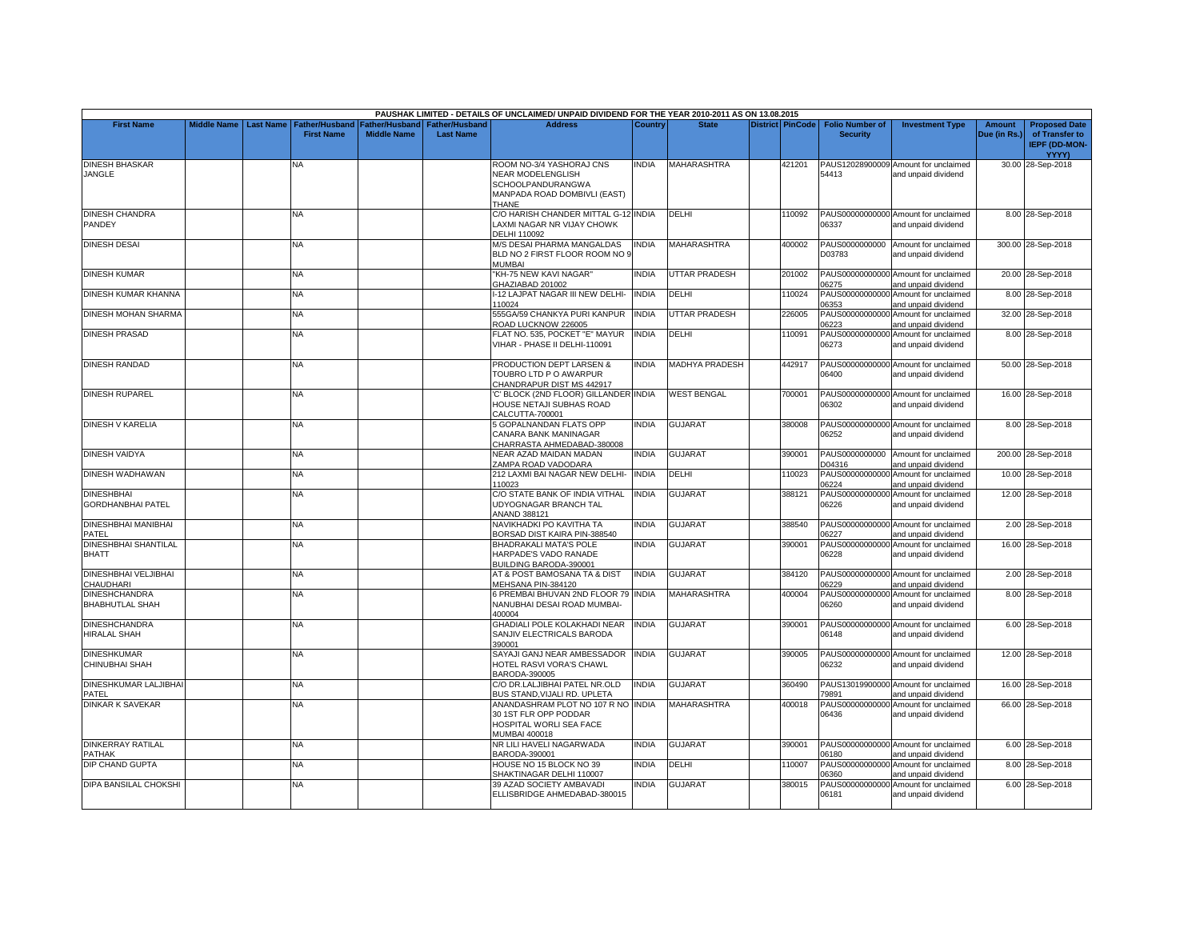|                                                |                    |                  |                                     |                                      |                                           | PAUSHAK LIMITED - DETAILS OF UNCLAIMED/ UNPAID DIVIDEND FOR THE YEAR 2010-2011 AS ON 13.08.2015                           |              |                       |                         |                                           |                                                             |                               |                                                                |
|------------------------------------------------|--------------------|------------------|-------------------------------------|--------------------------------------|-------------------------------------------|---------------------------------------------------------------------------------------------------------------------------|--------------|-----------------------|-------------------------|-------------------------------------------|-------------------------------------------------------------|-------------------------------|----------------------------------------------------------------|
| <b>First Name</b>                              | <b>Middle Name</b> | <b>Last Name</b> | Father/Husband<br><b>First Name</b> | Father/Husband<br><b>Middle Name</b> | <b>Father/Husband</b><br><b>Last Name</b> | <b>Address</b>                                                                                                            | Country      | <b>State</b>          | <b>District PinCode</b> | <b>Folio Number of</b><br><b>Security</b> | <b>Investment Type</b>                                      | <b>Amount</b><br>Due (in Rs.) | <b>Proposed Date</b><br>of Transfer to<br><b>IEPF (DD-MON-</b> |
| <b>DINESH BHASKAR</b><br>JANGLE                |                    |                  | NА                                  |                                      |                                           | ROOM NO-3/4 YASHORAJ CNS<br><b>NEAR MODELENGLISH</b><br><b>SCHOOLPANDURANGWA</b><br>MANPADA ROAD DOMBIVLI (EAST)<br>THANE | <b>INDIA</b> | <b>MAHARASHTRA</b>    | 421201                  | PAUS12028900009<br>54413                  | Amount for unclaimed<br>and unpaid dividend                 |                               | <b>YYYY)</b><br>30.00 28-Sep-2018                              |
| <b>DINESH CHANDRA</b><br>PANDEY                |                    |                  | NA                                  |                                      |                                           | C/O HARISH CHANDER MITTAL G-12 INDIA<br>LAXMI NAGAR NR VIJAY CHOWK<br>DELHI 110092                                        |              | DELHI                 | 110092                  | 06337                                     | PAUS00000000000 Amount for unclaimed<br>and unpaid dividend |                               | 8.00 28-Sep-2018                                               |
| <b>DINESH DESAI</b>                            |                    |                  | NA                                  |                                      |                                           | <b>M/S DESAI PHARMA MANGALDAS</b><br>BLD NO 2 FIRST FLOOR ROOM NO 9<br>MUMBAI                                             | <b>INDIA</b> | <b>MAHARASHTRA</b>    | 400002                  | D03783                                    | PAUS0000000000 Amount for unclaimed<br>and unpaid dividend  |                               | 300.00 28-Sep-2018                                             |
| <b>DINESH KUMAR</b>                            |                    |                  | <b>NA</b>                           |                                      |                                           | "KH-75 NEW KAVI NAGAR"<br>GHAZIABAD 201002                                                                                | <b>INDIA</b> | UTTAR PRADESH         | 201002                  | 06275                                     | PAUS00000000000 Amount for unclaimed<br>and unpaid dividend |                               | 20.00 28-Sep-2018                                              |
| DINESH KUMAR KHANNA                            |                    |                  | NΑ                                  |                                      |                                           | -12 LAJPAT NAGAR III NEW DELHI-<br>110024                                                                                 | <b>INDIA</b> | DELHI                 | 110024                  | PAUS00000000000<br>06353                  | Amount for unclaimed<br>and unpaid dividend                 |                               | 8.00 28-Sep-2018                                               |
| DINESH MOHAN SHARMA                            |                    |                  | NA                                  |                                      |                                           | 555GA/59 CHANKYA PURI KANPUR<br>ROAD LUCKNOW 226005                                                                       | <b>INDIA</b> | <b>UTTAR PRADESH</b>  | 226005                  | PAUS00000000000<br>06223                  | Amount for unclaimed<br>and unpaid dividend                 |                               | 32.00 28-Sep-2018                                              |
| <b>DINESH PRASAD</b>                           |                    |                  | <b>NA</b>                           |                                      |                                           | FLAT NO. 535, POCKET "E" MAYUR<br>VIHAR - PHASE II DELHI-110091                                                           | <b>INDIA</b> | DELHI                 | 110091                  | PAUS00000000000<br>06273                  | Amount for unclaimed<br>and unpaid dividend                 |                               | 8.00 28-Sep-2018                                               |
| <b>DINESH RANDAD</b>                           |                    |                  | <b>NA</b>                           |                                      |                                           | PRODUCTION DEPT LARSEN &<br>TOUBRO LTD P O AWARPUR<br>CHANDRAPUR DIST MS 442917                                           | <b>INDIA</b> | <b>MADHYA PRADESH</b> | 442917                  | 06400                                     | PAUS00000000000 Amount for unclaimed<br>and unpaid dividend |                               | 50.00 28-Sep-2018                                              |
| <b>DINESH RUPAREL</b>                          |                    |                  | NA.                                 |                                      |                                           | C' BLOCK (2ND FLOOR) GILLANDER INDIA<br>HOUSE NETAJI SUBHAS ROAD<br>CALCUTTA-700001                                       |              | <b>WEST BENGAL</b>    | 700001                  | 06302                                     | PAUS00000000000 Amount for unclaimed<br>and unpaid dividend |                               | 16.00 28-Sep-2018                                              |
| <b>DINESH V KARELIA</b>                        |                    |                  | NA                                  |                                      |                                           | <b>GOPALNANDAN FLATS OPP</b><br>CANARA BANK MANINAGAR<br>CHARRASTA AHMEDABAD-380008                                       | <b>INDIA</b> | <b>GUJARAT</b>        | 380008                  | 06252                                     | PAUS00000000000 Amount for unclaimed<br>and unpaid dividend |                               | 8.00 28-Sep-2018                                               |
| <b>DINESH VAIDYA</b>                           |                    |                  | <b>NA</b>                           |                                      |                                           | <b>NEAR AZAD MAIDAN MADAN</b><br>ZAMPA ROAD VADODARA                                                                      | <b>INDIA</b> | <b>GUJARAT</b>        | 390001                  | D04316                                    | PAUS0000000000 Amount for unclaimed<br>and unpaid dividend  |                               | 200.00 28-Sep-2018                                             |
| DINESH WADHAWAN                                |                    |                  | NA                                  |                                      |                                           | 212 LAXMI BAI NAGAR NEW DELHI-<br>110023                                                                                  | <b>INDIA</b> | DELHI                 | 110023                  | PAUS00000000000<br>06224                  | Amount for unclaimed<br>and unpaid dividend                 |                               | 10.00 28-Sep-2018                                              |
| <b>DINESHBHAI</b><br><b>GORDHANBHAI PATEL</b>  |                    |                  | <b>NA</b>                           |                                      |                                           | C/O STATE BANK OF INDIA VITHAL<br><b>JDYOGNAGAR BRANCH TAL</b><br>ANAND 388121                                            | <b>INDIA</b> | <b>GUJARAT</b>        | 388121                  | 06226                                     | PAUS00000000000 Amount for unclaimed<br>and unpaid dividend |                               | 12.00 28-Sep-2018                                              |
| <b>DINESHBHAI MANIBHAI</b><br>PATEL            |                    |                  | <b>NA</b>                           |                                      |                                           | NAVIKHADKI PO KAVITHA TA<br>3ORSAD DIST KAIRA PIN-388540                                                                  | <b>INDIA</b> | <b>GUJARAT</b>        | 388540                  | 06227                                     | PAUS00000000000 Amount for unclaimed<br>and unpaid dividend |                               | 2.00 28-Sep-2018                                               |
| <b>DINESHBHAI SHANTILAL</b><br><b>BHATT</b>    |                    |                  | NA.                                 |                                      |                                           | BHADRAKALI MATA'S POLE<br>HARPADE'S VADO RANADE<br>BUILDING BARODA-390001                                                 | <b>INDIA</b> | GUJARAT               | 390001                  | 06228                                     | PAUS00000000000 Amount for unclaimed<br>and unpaid dividend |                               | 16.00 28-Sep-2018                                              |
| DINESHBHAI VELJIBHAI<br>CHAUDHARI              |                    |                  | NA.                                 |                                      |                                           | AT & POST BAMOSANA TA & DIST<br>MEHSANA PIN-384120                                                                        | <b>INDIA</b> | <b>GUJARAT</b>        | 384120                  | 06229                                     | PAUS00000000000 Amount for unclaimed<br>and unpaid dividend |                               | 2.00 28-Sep-2018                                               |
| <b>DINESHCHANDRA</b><br><b>BHABHUTLAL SHAH</b> |                    |                  | <b>NA</b>                           |                                      |                                           | 6 PREMBAI BHUVAN 2ND FLOOR 79 INDIA<br>NANUBHAI DESAI ROAD MUMBAI-<br>400004                                              |              | MAHARASHTRA           | 400004                  | 06260                                     | PAUS00000000000 Amount for unclaimed<br>and unpaid dividend |                               | 8.00 28-Sep-2018                                               |
| <b>DINESHCHANDRA</b><br><b>HIRALAL SHAH</b>    |                    |                  | <b>NA</b>                           |                                      |                                           | <b>GHADIALI POLE KOLAKHADI NEAR</b><br>SANJIV ELECTRICALS BARODA<br>390001                                                | <b>INDIA</b> | <b>GUJARAT</b>        | 390001                  | 06148                                     | PAUS00000000000 Amount for unclaimed<br>and unpaid dividend |                               | 6.00 28-Sep-2018                                               |
| <b>DINESHKUMAR</b><br>CHINUBHAI SHAH           |                    |                  | NΑ                                  |                                      |                                           | SAYAJI GANJ NEAR AMBESSADOR<br>HOTEL RASVI VORA'S CHAWL<br>BARODA-390005                                                  | <b>INDIA</b> | <b>GUJARAT</b>        | 390005                  | 06232                                     | PAUS00000000000 Amount for unclaimed<br>and unpaid dividend |                               | 12.00 28-Sep-2018                                              |
| <b>DINESHKUMAR LALJIBHAI</b><br>PATEL          |                    |                  | NA.                                 |                                      |                                           | C/O DR.LALJIBHAI PATEL NR.OLD<br>BUS STAND, VIJALI RD. UPLETA                                                             | <b>INDIA</b> | GUJARAT               | 360490                  | 79891                                     | PAUS13019900000 Amount for unclaimed<br>and unpaid dividend |                               | 16.00 28-Sep-2018                                              |
| <b>DINKAR K SAVEKAR</b>                        |                    |                  | <b>NA</b>                           |                                      |                                           | ANANDASHRAM PLOT NO 107 R NO INDIA<br>30 1ST FLR OPP PODDAR<br>HOSPITAL WORLI SEA FACE<br><b>MUMBAI 400018</b>            |              | <b>MAHARASHTRA</b>    | 400018                  | 06436                                     | PAUS00000000000 Amount for unclaimed<br>and unpaid dividend |                               | 66.00 28-Sep-2018                                              |
| <b>DINKERRAY RATILAL</b><br><b>PATHAK</b>      |                    |                  | <b>NA</b>                           |                                      |                                           | NR LILI HAVELI NAGARWADA<br>BARODA-390001                                                                                 | <b>INDIA</b> | <b>GUJARAT</b>        | 390001                  | 06180                                     | PAUS00000000000 Amount for unclaimed<br>and unpaid dividend |                               | 6.00 28-Sep-2018                                               |
| <b>DIP CHAND GUPTA</b>                         |                    |                  | NA                                  |                                      |                                           | HOUSE NO 15 BLOCK NO 39<br>SHAKTINAGAR DELHI 110007                                                                       | INDIA        | DELHI                 | 110007                  | PAUS00000000000<br>06360                  | Amount for unclaimed<br>and unpaid dividend                 |                               | 8.00 28-Sep-2018                                               |
| <b>DIPA BANSILAL CHOKSHI</b>                   |                    |                  | NA                                  |                                      |                                           | 39 AZAD SOCIETY AMBAVADI<br>ELLISBRIDGE AHMEDABAD-380015                                                                  | <b>INDIA</b> | <b>GUJARAT</b>        | 380015                  | PAUS00000000000<br>06181                  | Amount for unclaimed<br>and unpaid dividend                 |                               | 6.00 28-Sep-2018                                               |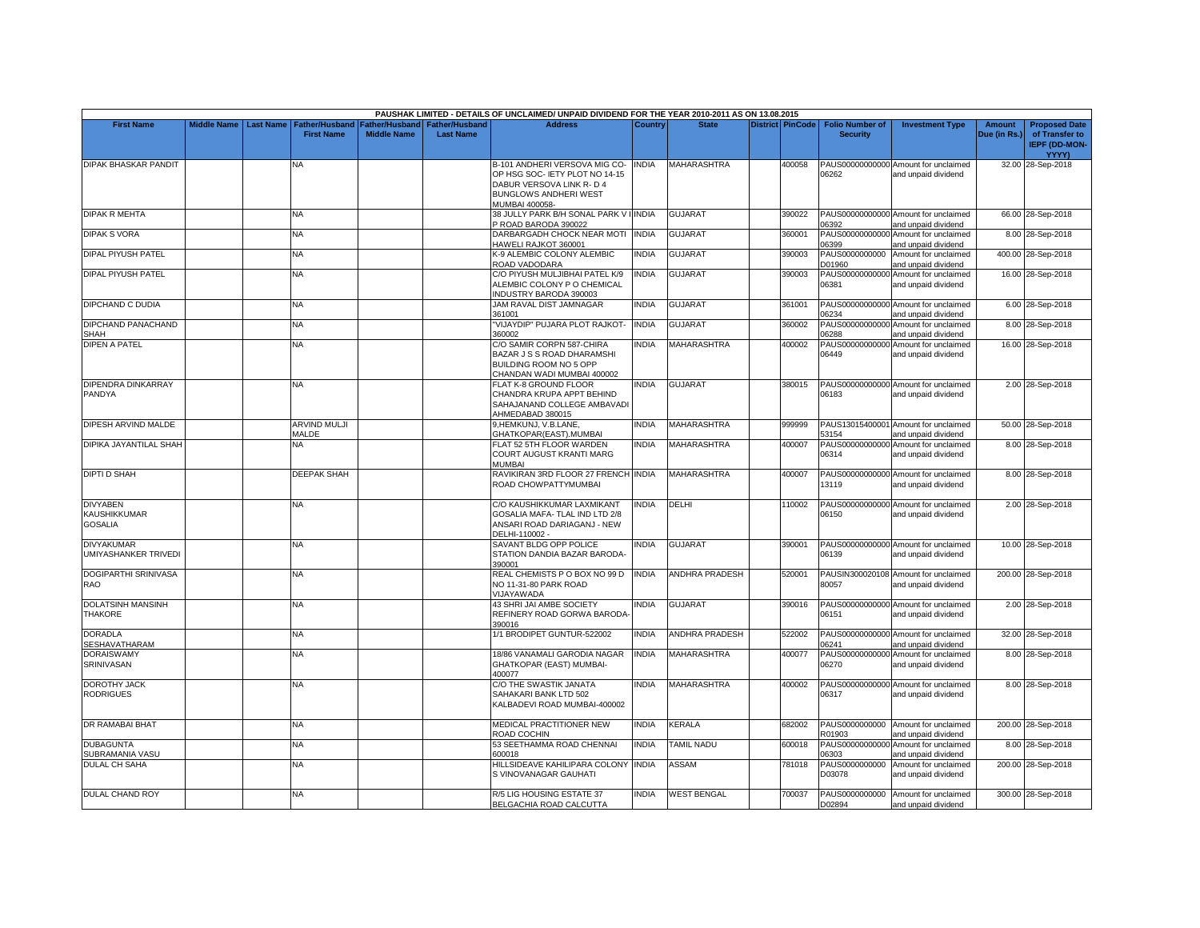|                                                   |                    |                  |                                     |                                      |                                           | PAUSHAK LIMITED - DETAILS OF UNCLAIMED/ UNPAID DIVIDEND FOR THE YEAR 2010-2011 AS ON 13.08.2015                                         |                |                       |                         |                                           |                                                             |                        |                                                                                |
|---------------------------------------------------|--------------------|------------------|-------------------------------------|--------------------------------------|-------------------------------------------|-----------------------------------------------------------------------------------------------------------------------------------------|----------------|-----------------------|-------------------------|-------------------------------------------|-------------------------------------------------------------|------------------------|--------------------------------------------------------------------------------|
| <b>First Name</b>                                 | <b>Middle Name</b> | <b>Last Name</b> | Father/Husband<br><b>First Name</b> | Father/Husband<br><b>Middle Name</b> | <b>Father/Husband</b><br><b>Last Name</b> | <b>Address</b>                                                                                                                          | Country        | <b>State</b>          | <b>District PinCode</b> | <b>Folio Number of</b><br><b>Security</b> | <b>Investment Type</b>                                      | Amount<br>Due (in Rs.) | <b>Proposed Date</b><br>of Transfer to<br><b>IEPF (DD-MON-</b><br><b>YYYY)</b> |
| DIPAK BHASKAR PANDIT                              |                    |                  | NA                                  |                                      |                                           | B-101 ANDHERI VERSOVA MIG CO-<br>OP HSG SOC- IETY PLOT NO 14-15<br>DABUR VERSOVA LINK R- D 4<br>BUNGLOWS ANDHERI WEST<br>MUMBAI 400058- | <b>INDIA</b>   | MAHARASHTRA           | 400058                  | 06262                                     | PAUS00000000000 Amount for unclaimed<br>and unpaid dividend |                        | 32.00 28-Sep-2018                                                              |
| <b>DIPAK R MEHTA</b>                              |                    |                  | NA                                  |                                      |                                           | 38 JULLY PARK B/H SONAL PARK V<br>P ROAD BARODA 390022                                                                                  | <b>I INDIA</b> | <b>GUJARAT</b>        | 390022                  | 06392                                     | PAUS00000000000 Amount for unclaimed<br>and unpaid dividend |                        | 66.00 28-Sep-2018                                                              |
| <b>DIPAK S VORA</b>                               |                    |                  | <b>NA</b>                           |                                      |                                           | DARBARGADH CHOCK NEAR MOTI INDIA<br>HAWELI RAJKOT 360001                                                                                |                | <b>GUJARAT</b>        | 360001                  | 06399                                     | PAUS00000000000 Amount for unclaimed<br>and unpaid dividend |                        | 8.00 28-Sep-2018                                                               |
| <b>DIPAL PIYUSH PATEL</b>                         |                    |                  | NΑ                                  |                                      |                                           | <b>K-9 ALEMBIC COLONY ALEMBIC</b><br>ROAD VADODARA                                                                                      | <b>INDIA</b>   | GUJARAT               | 390003                  | PAUS0000000000<br>D01960                  | Amount for unclaimed<br>and unpaid dividend                 |                        | 400.00 28-Sep-2018                                                             |
| <b>DIPAL PIYUSH PATEL</b>                         |                    |                  | <b>NA</b>                           |                                      |                                           | C/O PIYUSH MULJIBHAI PATEL K/9<br>ALEMBIC COLONY P O CHEMICAL<br>NDUSTRY BARODA 390003                                                  | <b>INDIA</b>   | <b>GUJARAT</b>        | 390003                  | 06381                                     | PAUS00000000000 Amount for unclaimed<br>and unpaid dividend |                        | 16.00 28-Sep-2018                                                              |
| DIPCHAND C DUDIA                                  |                    |                  | <b>NA</b>                           |                                      |                                           | JAM RAVAL DIST JAMNAGAR<br>361001                                                                                                       | <b>INDIA</b>   | <b>GUJARAT</b>        | 361001                  | 06234                                     | PAUS00000000000 Amount for unclaimed<br>and unpaid dividend |                        | 6.00 28-Sep-2018                                                               |
| DIPCHAND PANACHAND<br>SHAH                        |                    |                  | NΑ                                  |                                      |                                           | VIJAYDIP" PUJARA PLOT RAJKOT-<br>360002                                                                                                 | <b>INDIA</b>   | <b>GUJARAT</b>        | 360002                  | PAUS00000000000<br>06288                  | Amount for unclaimed<br>and unpaid dividend                 |                        | 8.00 28-Sep-2018                                                               |
| <b>DIPEN A PATEL</b>                              |                    |                  | NA                                  |                                      |                                           | C/O SAMIR CORPN 587-CHIRA<br>BAZAR J S S ROAD DHARAMSHI<br>BUILDING ROOM NO 5 OPP<br>CHANDAN WADI MUMBAI 400002                         | <b>INDIA</b>   | <b>MAHARASHTRA</b>    | 400002                  | 06449                                     | PAUS00000000000 Amount for unclaimed<br>and unpaid dividend |                        | 16.00 28-Sep-2018                                                              |
| DIPENDRA DINKARRAY<br>PANDYA                      |                    |                  | <b>NA</b>                           |                                      |                                           | <b>FLAT K-8 GROUND FLOOR</b><br>CHANDRA KRUPA APPT BEHIND<br>SAHAJANAND COLLEGE AMBAVADI<br>AHMEDABAD 380015                            | <b>INDIA</b>   | <b>GUJARAT</b>        | 380015                  | 06183                                     | PAUS00000000000 Amount for unclaimed<br>and unpaid dividend |                        | 2.00 28-Sep-2018                                                               |
| DIPESH ARVIND MALDE                               |                    |                  | <b>ARVIND MULJI</b><br>MALDE        |                                      |                                           | 9, HEMKUNJ, V.B.LANE,<br>GHATKOPAR(EAST).MUMBAI                                                                                         | <b>INDIA</b>   | <b>MAHARASHTRA</b>    | 999999                  | 53154                                     | PAUS13015400001 Amount for unclaimed<br>and unpaid dividend |                        | 50.00 28-Sep-2018                                                              |
| <b>DIPIKA JAYANTILAL SHAH</b>                     |                    |                  | NA                                  |                                      |                                           | FLAT 52 5TH FLOOR WARDEN<br>COURT AUGUST KRANTI MARG<br>MUMBAI                                                                          | <b>INDIA</b>   | MAHARASHTRA           | 400007                  | PAUS00000000000<br>06314                  | Amount for unclaimed<br>and unpaid dividend                 |                        | 8.00 28-Sep-2018                                                               |
| <b>DIPTI D SHAH</b>                               |                    |                  | <b>DEEPAK SHAH</b>                  |                                      |                                           | RAVIKIRAN 3RD FLOOR 27 FRENCH INDIA<br>ROAD CHOWPATTYMUMBAI                                                                             |                | <b>MAHARASHTRA</b>    | 400007                  | 13119                                     | PAUS00000000000 Amount for unclaimed<br>and unpaid dividend |                        | 8.00 28-Sep-2018                                                               |
| <b>DIVYABEN</b><br>KAUSHIKKUMAR<br><b>GOSALIA</b> |                    |                  | NA.                                 |                                      |                                           | C/O KAUSHIKKUMAR LAXMIKANT<br>GOSALIA MAFA- TLAL IND LTD 2/8<br>ANSARI ROAD DARIAGANJ - NEW<br>DELHI-110002 -                           | <b>INDIA</b>   | DELHI                 | 110002                  | 06150                                     | PAUS00000000000 Amount for unclaimed<br>and unpaid dividend |                        | 2.00 28-Sep-2018                                                               |
| <b>DIVYAKUMAR</b><br>UMIYASHANKER TRIVEDI         |                    |                  | NA.                                 |                                      |                                           | SAVANT BLDG OPP POLICE<br>STATION DANDIA BAZAR BARODA-<br>390001                                                                        | <b>INDIA</b>   | <b>GUJARAT</b>        | 390001                  | 06139                                     | PAUS00000000000 Amount for unclaimed<br>and unpaid dividend |                        | 10.00 28-Sep-2018                                                              |
| <b>DOGIPARTHI SRINIVASA</b><br>RAO                |                    |                  | <b>NA</b>                           |                                      |                                           | REAL CHEMISTS P O BOX NO 99 D<br>NO 11-31-80 PARK ROAD<br><b>VIJAYAWADA</b>                                                             | <b>INDIA</b>   | <b>ANDHRA PRADESH</b> | 520001                  | 80057                                     | PAUSIN300020108 Amount for unclaimed<br>and unpaid dividend |                        | 200.00 28-Sep-2018                                                             |
| <b>DOLATSINH MANSINH</b><br><b>THAKORE</b>        |                    |                  | <b>NA</b>                           |                                      |                                           | <b>43 SHRI JAI AMBE SOCIETY</b><br>REFINERY ROAD GORWA BARODA<br>390016                                                                 | <b>INDIA</b>   | <b>GUJARAT</b>        | 390016                  | 06151                                     | PAUS00000000000 Amount for unclaimed<br>and unpaid dividend |                        | 2.00 28-Sep-2018                                                               |
| <b>DORADLA</b><br><b>SESHAVATHARAM</b>            |                    |                  | <b>NA</b>                           |                                      |                                           | 1/1 BRODIPET GUNTUR-522002                                                                                                              | <b>INDIA</b>   | <b>ANDHRA PRADESH</b> | 522002                  | 06241                                     | PAUS00000000000 Amount for unclaimed<br>and unpaid dividend |                        | 32.00 28-Sep-2018                                                              |
| <b>DORAISWAMY</b><br>SRINIVASAN                   |                    |                  | NA                                  |                                      |                                           | 18/86 VANAMALI GARODIA NAGAR<br>GHATKOPAR (EAST) MUMBAI-<br>400077                                                                      | <b>INDIA</b>   | MAHARASHTRA           | 400077                  | PAUS00000000000<br>06270                  | Amount for unclaimed<br>and unpaid dividend                 |                        | 8.00 28-Sep-2018                                                               |
| <b>DOROTHY JACK</b><br><b>RODRIGUES</b>           |                    |                  | NA.                                 |                                      |                                           | C/O THE SWASTIK JANATA<br>SAHAKARI BANK LTD 502<br>KALBADEVI ROAD MUMBAI-400002                                                         | <b>INDIA</b>   | <b>MAHARASHTRA</b>    | 400002                  | 06317                                     | PAUS00000000000 Amount for unclaimed<br>and unpaid dividend |                        | 8.00 28-Sep-2018                                                               |
| <b>DR RAMABAI BHAT</b>                            |                    |                  | NA.                                 |                                      |                                           | MEDICAL PRACTITIONER NEW<br>ROAD COCHIN                                                                                                 | <b>INDIA</b>   | KERALA                | 682002                  | R01903                                    | PAUS0000000000 Amount for unclaimed<br>and unpaid dividend  |                        | 200.00 28-Sep-2018                                                             |
| <b>DUBAGUNTA</b><br>SUBRAMANIA VASU               |                    |                  | <b>NA</b>                           |                                      |                                           | 53 SEETHAMMA ROAD CHENNAI<br>600018                                                                                                     | <b>INDIA</b>   | <b>TAMIL NADU</b>     | 600018                  | PAUS00000000000<br>06303                  | Amount for unclaimed<br>and unpaid dividend                 |                        | 8.00 28-Sep-2018                                                               |
| <b>DULAL CH SAHA</b>                              |                    |                  | NA                                  |                                      |                                           | HILLSIDEAVE KAHILIPARA COLONY<br>S VINOVANAGAR GAUHATI                                                                                  | <b>INDIA</b>   | ASSAM                 | 781018                  | PAUS0000000000<br>D03078                  | Amount for unclaimed<br>and unpaid dividend                 |                        | 200.00 28-Sep-2018                                                             |
| DULAL CHAND ROY                                   |                    |                  | <b>NA</b>                           |                                      |                                           | R/5 LIG HOUSING ESTATE 37<br>BELGACHIA ROAD CALCUTTA                                                                                    | <b>INDIA</b>   | <b>WEST BENGAL</b>    | 700037                  | D02894                                    | PAUS0000000000 Amount for unclaimed<br>and unpaid dividend  |                        | 300.00 28-Sep-2018                                                             |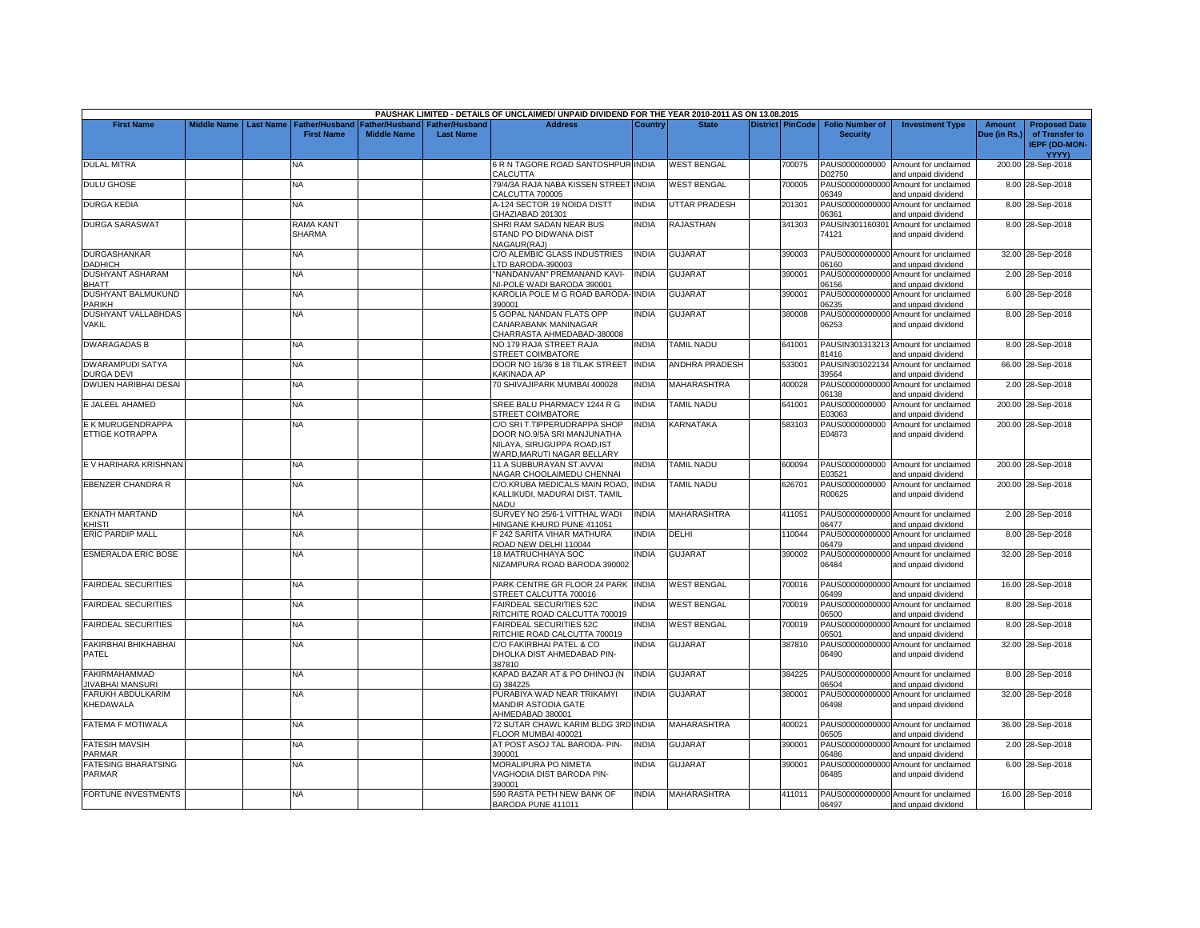|                                                 |                    |                  |                                   |                    |                  | PAUSHAK LIMITED - DETAILS OF UNCLAIMED/ UNPAID DIVIDEND FOR THE YEAR 2010-2011 AS ON 13.08.2015 |              |                      |                         |                          |                                                             |              |                                                        |
|-------------------------------------------------|--------------------|------------------|-----------------------------------|--------------------|------------------|-------------------------------------------------------------------------------------------------|--------------|----------------------|-------------------------|--------------------------|-------------------------------------------------------------|--------------|--------------------------------------------------------|
| <b>First Name</b>                               | <b>Middle Name</b> | <b>Last Name</b> | Father/Husband                    | Father/Husband     | Father/Husband   | <b>Address</b>                                                                                  | Country      | <b>State</b>         | <b>District PinCode</b> | <b>Folio Number of</b>   | <b>Investment Type</b>                                      | Amount       | <b>Proposed Date</b>                                   |
|                                                 |                    |                  | <b>First Name</b>                 | <b>Middle Name</b> | <b>Last Name</b> |                                                                                                 |              |                      |                         | <b>Security</b>          |                                                             | Due (in Rs.) | of Transfer to<br><b>IEPF (DD-MON-</b><br><b>YYYY)</b> |
| <b>DULAL MITRA</b>                              |                    |                  | NA                                |                    |                  | <b>6 R N TAGORE ROAD SANTOSHPUR INDIA</b><br>CALCUTTA                                           |              | <b>WEST BENGAL</b>   | 700075                  | PAUS0000000000<br>D02750 | Amount for unclaimed<br>and unpaid dividend                 |              | 200.00 28-Sep-2018                                     |
| <b>DULU GHOSE</b>                               |                    |                  | NA                                |                    |                  | 79/4/3A RAJA NABA KISSEN STREET INDIA<br>CALCUTTA 700005                                        |              | <b>WEST BENGAL</b>   | 700005                  | PAUS00000000000<br>06349 | Amount for unclaimed<br>and unpaid dividend                 |              | 8.00 28-Sep-2018                                       |
| <b>DURGA KEDIA</b>                              |                    |                  | NA.                               |                    |                  | 4-124 SECTOR 19 NOIDA DISTT<br>GHAZIABAD 201301                                                 | <b>INDIA</b> | <b>JTTAR PRADESH</b> | 201301                  | PAUS00000000000<br>06361 | Amount for unclaimed<br>and unpaid dividend                 |              | 8.00 28-Sep-2018                                       |
| <b>DURGA SARASWAT</b>                           |                    |                  | <b>RAMA KANT</b><br><b>SHARMA</b> |                    |                  | SHRI RAM SADAN NEAR BUS<br>STAND PO DIDWANA DIST<br><b>NAGAUR(RAJ)</b>                          | <b>INDIA</b> | <b>RAJASTHAN</b>     | 341303                  | 74121                    | PAUSIN301160301 Amount for unclaimed<br>and unpaid dividend |              | 8.00 28-Sep-2018                                       |
| <b>DURGASHANKAR</b><br><b>DADHICH</b>           |                    |                  | NΑ                                |                    |                  | C/O ALEMBIC GLASS INDUSTRIES<br>TD BARODA-390003                                                | <b>INDIA</b> | GUJARAT              | 390003                  | 06160                    | PAUS00000000000 Amount for unclaimed<br>and unpaid dividend |              | 32.00 28-Sep-2018                                      |
| <b>DUSHYANT ASHARAM</b><br><b>BHATT</b>         |                    |                  | <b>NA</b>                         |                    |                  | 'NANDANVAN" PREMANAND KAVI-<br><b>NI-POLE WADI BARODA 390001</b>                                | <b>INDIA</b> | <b>GUJARAT</b>       | 390001                  | 06156                    | PAUS00000000000 Amount for unclaimed<br>and unpaid dividend |              | 2.00 28-Sep-2018                                       |
| DUSHYANT BALMUKUND<br>PARIKH                    |                    |                  | <b>NA</b>                         |                    |                  | <b>KAROLIA POLE M G ROAD BARODA- INDIA</b><br>390001                                            |              | <b>GUJARAT</b>       | 390001                  | PAUS00000000000<br>06235 | Amount for unclaimed<br>and unpaid dividend                 |              | 6.00 28-Sep-2018                                       |
| <b>DUSHYANT VALLABHDAS</b><br><b>VAKIL</b>      |                    |                  | NA                                |                    |                  | <b>5 GOPAL NANDAN FLATS OPP</b><br>CANARABANK MANINAGAR<br>CHARRASTA AHMEDABAD-380008           | INDIA        | <b>GUJARAT</b>       | 380008                  | 06253                    | PAUS00000000000 Amount for unclaimed<br>and unpaid dividend |              | 8.00 28-Sep-2018                                       |
| <b>DWARAGADAS B</b>                             |                    |                  | NA                                |                    |                  | NO 179 RAJA STREET RAJA<br>STREET COIMBATORE                                                    | <b>INDIA</b> | <b>TAMIL NADU</b>    | 641001                  | 81416                    | PAUSIN301313213 Amount for unclaimed<br>and unpaid dividend |              | 8.00 28-Sep-2018                                       |
| <b>DWARAMPUDI SATYA</b><br><b>DURGA DEVI</b>    |                    |                  | NA                                |                    |                  | DOOR NO 16/36 8 18 TILAK STREET<br><b>KAKINADA AP</b>                                           | <b>INDIA</b> | ANDHRA PRADESH       | 533001                  | 39564                    | PAUSIN301022134 Amount for unclaimed<br>and unpaid dividend |              | 66.00 28-Sep-2018                                      |
| <b>DWIJEN HARIBHAI DESAI</b>                    |                    |                  | <b>NA</b>                         |                    |                  | 70 SHIVAJIPARK MUMBAI 400028                                                                    | <b>INDIA</b> | MAHARASHTRA          | 400028                  | PAUS00000000000<br>06138 | Amount for unclaimed<br>and unpaid dividend                 |              | 2.00 28-Sep-2018                                       |
| E JALEEL AHAMED                                 |                    |                  | ΝA                                |                    |                  | SREE BALU PHARMACY 1244 R G<br><b>STREET COIMBATORE</b>                                         | <b>INDIA</b> | <b>TAMIL NADU</b>    | 641001                  | PAUS0000000000<br>E03063 | Amount for unclaimed<br>and unpaid dividend                 |              | 200.00 28-Sep-2018                                     |
| E K MURUGENDRAPPA<br>ETTIGE KOTRAPPA            |                    |                  | <b>NA</b>                         |                    |                  | C/O SRI T.TIPPERUDRAPPA SHOP<br>DOOR NO.9/5A SRI MANJUNATHA<br>NILAYA, SIRUGUPPA ROAD, IST      | <b>INDIA</b> | KARNATAKA            | 583103                  | PAUS0000000000<br>E04873 | Amount for unclaimed<br>and unpaid dividend                 |              | 200.00 28-Sep-2018                                     |
| E V HARIHARA KRISHNAN                           |                    |                  | <b>NA</b>                         |                    |                  | WARD.MARUTI NAGAR BELLARY<br>11 A SUBBURAYAN ST AVVAI<br>NAGAR CHOOLAIMEDU CHENNAI              | <b>INDIA</b> | <b>TAMIL NADU</b>    | 600094                  | E03521                   | PAUS0000000000 Amount for unclaimed<br>and unpaid dividend  |              | 200.00 28-Sep-2018                                     |
| EBENZER CHANDRA R                               |                    |                  | NA                                |                    |                  | C/O.KRUBA MEDICALS MAIN ROAD.<br>KALLIKUDI, MADURAI DIST, TAMIL<br>NADU                         | <b>INDIA</b> | TAMIL NADU           | 626701                  | PAUS0000000000<br>R00625 | Amount for unclaimed<br>and unpaid dividend                 |              | 200.00 28-Sep-2018                                     |
| <b>EKNATH MARTAND</b><br>(HISTI                 |                    |                  | NA                                |                    |                  | SURVEY NO 25/6-1 VITTHAL WADI<br>HINGANE KHURD PUNE 411051                                      | <b>INDIA</b> | MAHARASHTRA          | 411051                  | 06477                    | PAUS00000000000 Amount for unclaimed<br>and unpaid dividend |              | 2.00 28-Sep-2018                                       |
| <b>ERIC PARDIP MALL</b>                         |                    |                  | <b>NA</b>                         |                    |                  | 242 SARITA VIHAR MATHURA<br>ROAD NEW DELHI 110044                                               | <b>INDIA</b> | DELHI                | 110044                  | 06479                    | PAUS00000000000 Amount for unclaimed<br>and unpaid dividend |              | 8.00 28-Sep-2018                                       |
| <b>ESMERALDA ERIC BOSE</b>                      |                    |                  | ΝA                                |                    |                  | 18 MATRUCHHAYA SOC<br>NIZAMPURA ROAD BARODA 390002                                              | <b>INDIA</b> | GUJARAT              | 390002                  | 06484                    | PAUS00000000000 Amount for unclaimed<br>and unpaid dividend |              | 32.00 28-Sep-2018                                      |
| <b>FAIRDEAL SECURITIES</b>                      |                    |                  | NΑ                                |                    |                  | PARK CENTRE GR FLOOR 24 PARK INDIA<br>STREET CALCUTTA 700016                                    |              | <b>WEST BENGAL</b>   | 700016                  | 06499                    | PAUS00000000000 Amount for unclaimed<br>and unpaid dividend |              | 16.00 28-Sep-2018                                      |
| <b>FAIRDEAL SECURITIES</b>                      |                    |                  | <b>NA</b>                         |                    |                  | AIRDEAL SECURITIES 52C<br>RITCHITE ROAD CALCUTTA 700019                                         | <b>INDIA</b> | <b>WEST BENGAL</b>   | 700019                  | 06500                    | PAUS00000000000 Amount for unclaimed<br>and unpaid dividend |              | 8.00 28-Sep-2018                                       |
| <b>FAIRDEAL SECURITIES</b>                      |                    |                  | ΝA                                |                    |                  | AIRDEAL SECURITIES 52C<br>RITCHIE ROAD CALCUTTA 700019                                          | <b>INDIA</b> | <b>WEST BENGAL</b>   | 700019                  | PAUS00000000000<br>06501 | Amount for unclaimed<br>and unpaid dividend                 |              | 8.00 28-Sep-2018                                       |
| <b>FAKIRBHAI BHIKHABHAI</b><br><b>PATEL</b>     |                    |                  | <b>NA</b>                         |                    |                  | C/O FAKIRBHAI PATEL & CO<br>DHOLKA DIST AHMEDABAD PIN-<br>387810                                | <b>INDIA</b> | <b>GUJARAT</b>       | 387810                  | 06490                    | PAUS00000000000 Amount for unclaimed<br>and unpaid dividend |              | 32.00 28-Sep-2018                                      |
| <b>FAKIRMAHAMMAD</b><br><b>IIVABHAI MANSURI</b> |                    |                  | <b>NA</b>                         |                    |                  | KAPAD BAZAR AT & PO DHINOJ (N<br>3) 384225                                                      | <b>INDIA</b> | <b>GUJARAT</b>       | 384225                  | 06504                    | PAUS00000000000 Amount for unclaimed<br>and unpaid dividend |              | 8.00 28-Sep-2018                                       |
| FARUKH ABDULKARIM<br>KHEDAWALA                  |                    |                  | NA                                |                    |                  | PURABIYA WAD NEAR TRIKAMYI<br><b>MANDIR ASTODIA GATE</b><br>AHMEDABAD 380001                    | <b>INDIA</b> | GUJARAT              | 380001                  | 06498                    | PAUS00000000000 Amount for unclaimed<br>and unpaid dividend |              | 32.00 28-Sep-2018                                      |
| <b>FATEMA F MOTIWALA</b>                        |                    |                  | NA.                               |                    |                  | 72 SUTAR CHAWL KARIM BLDG 3RD INDIA<br>FLOOR MUMBAI 400021                                      |              | <b>MAHARASHTRA</b>   | 400021                  | 06505                    | PAUS00000000000 Amount for unclaimed<br>and unpaid dividend |              | 36.00 28-Sep-2018                                      |
| <b>FATESIH MAVSIH</b><br>PARMAR                 |                    |                  | <b>NA</b>                         |                    |                  | AT POST ASOJ TAL BARODA- PIN-<br>390001                                                         | <b>INDIA</b> | <b>GUJARAT</b>       | 390001                  | PAUS00000000000<br>06486 | Amount for unclaimed<br>and unpaid dividend                 |              | 2.00 28-Sep-2018                                       |
| <b>FATESING BHARATSING</b><br>PARMAR            |                    |                  | NA                                |                    |                  | <b>MORALIPURA PO NIMETA</b><br>VAGHODIA DIST BARODA PIN-<br>390001                              | <b>INDIA</b> | <b>GUJARAT</b>       | 390001                  | 06485                    | PAUS00000000000 Amount for unclaimed<br>and unpaid dividend |              | 6.00 28-Sep-2018                                       |
| <b>FORTUNE INVESTMENTS</b>                      |                    |                  | <b>NA</b>                         |                    |                  | 590 RASTA PETH NEW BANK OF<br>BARODA PUNE 411011                                                | <b>INDIA</b> | <b>MAHARASHTRA</b>   | 411011                  | 06497                    | PAUS00000000000 Amount for unclaimed<br>and unpaid dividend |              | 16.00 28-Sep-2018                                      |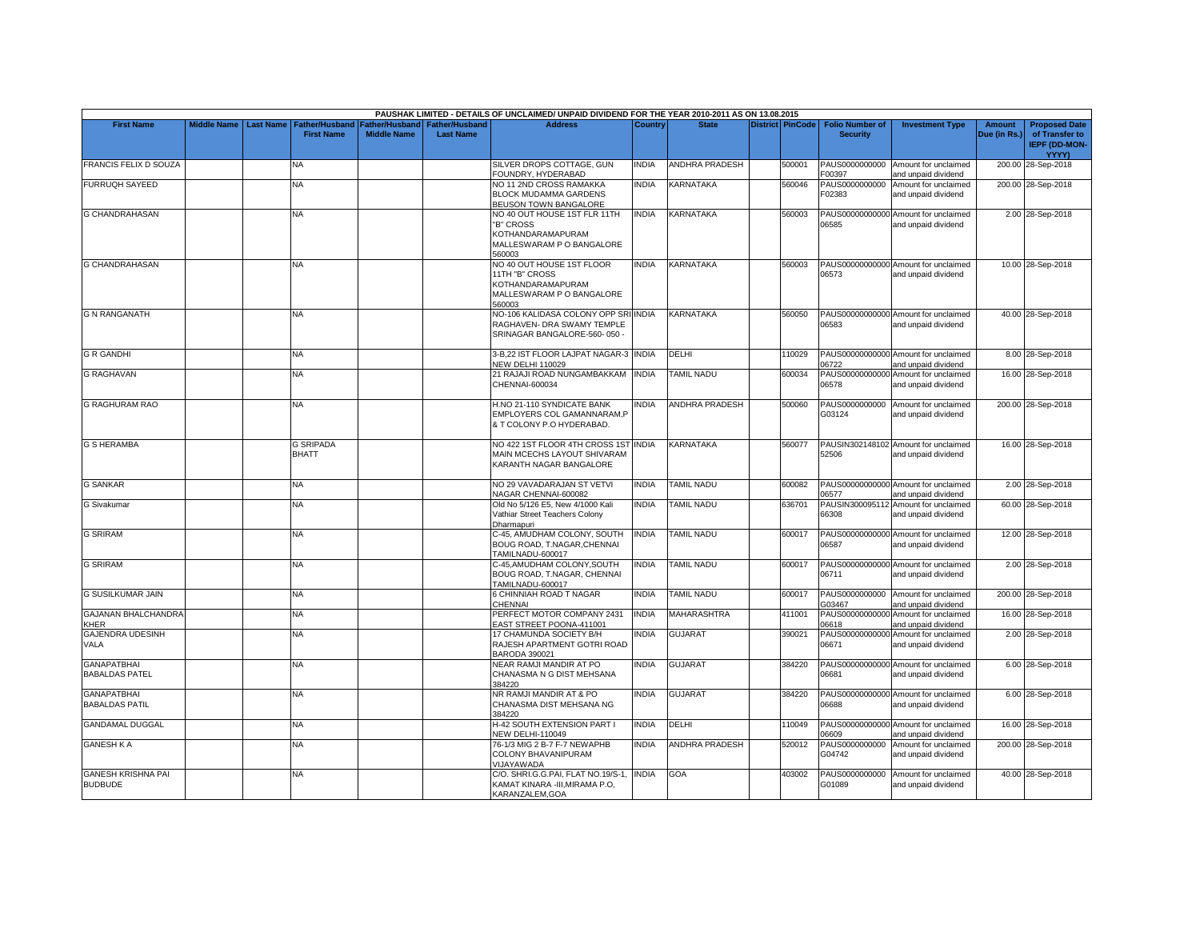|                                             |                    |                  |                                            |                                             |                                           | PAUSHAK LIMITED - DETAILS OF UNCLAIMED/ UNPAID DIVIDEND FOR THE YEAR 2010-2011 AS ON 13.08.2015         |              |                       |                         |                                           |                                                             |                               |                                                                         |
|---------------------------------------------|--------------------|------------------|--------------------------------------------|---------------------------------------------|-------------------------------------------|---------------------------------------------------------------------------------------------------------|--------------|-----------------------|-------------------------|-------------------------------------------|-------------------------------------------------------------|-------------------------------|-------------------------------------------------------------------------|
| <b>First Name</b>                           | <b>Middle Name</b> | <b>Last Name</b> | <b>Father/Husband</b><br><b>First Name</b> | <b>Father/Husband</b><br><b>Middle Name</b> | <b>Father/Husband</b><br><b>Last Name</b> | <b>Address</b>                                                                                          | Country      | <b>State</b>          | <b>District PinCode</b> | <b>Folio Number of</b><br><b>Security</b> | <b>Investment Type</b>                                      | <b>Amount</b><br>Due (in Rs.) | <b>Proposed Date</b><br>of Transfer to<br><b>IEPF (DD-MON-</b><br>YYYY) |
| <b>FRANCIS FELIX D SOUZA</b>                |                    |                  | N٨                                         |                                             |                                           | SILVER DROPS COTTAGE, GUN<br>FOUNDRY, HYDERABAD                                                         | INDIA        | ANDHRA PRADESH        | 500001                  | PAUS0000000000<br>F00397                  | Amount for unclaimed<br>and unpaid dividend                 |                               | 200.00 28-Sep-2018                                                      |
| <b>FURRUQH SAYEED</b>                       |                    |                  | NA                                         |                                             |                                           | NO 11 2ND CROSS RAMAKKA<br>BLOCK MUDAMMA GARDENS<br>BEUSON TOWN BANGALORE                               | <b>INDIA</b> | KARNATAKA             | 560046                  | PAUS0000000000<br>F02383                  | Amount for unclaimed<br>and unpaid dividend                 |                               | 200.00 28-Sep-2018                                                      |
| <b>G CHANDRAHASAN</b>                       |                    |                  | NA                                         |                                             |                                           | NO 40 OUT HOUSE 1ST FLR 11TH<br>"B" CROSS<br>KOTHANDARAMAPURAM<br>MALLESWARAM P O BANGALORE<br>560003   | <b>INDIA</b> | KARNATAKA             | 560003                  | 06585                                     | PAUS00000000000 Amount for unclaimed<br>and unpaid dividend |                               | 2.00 28-Sep-2018                                                        |
| <b>G CHANDRAHASAN</b>                       |                    |                  | <b>NA</b>                                  |                                             |                                           | NO 40 OUT HOUSE 1ST FLOOR<br>11TH "B" CROSS<br>KOTHANDARAMAPURAM<br>MALLESWARAM P O BANGALORE<br>560003 | INDIA        | KARNATAKA             | 560003                  | 06573                                     | PAUS00000000000 Amount for unclaimed<br>and unpaid dividend |                               | 10.00 28-Sep-2018                                                       |
| <b>G N RANGANATH</b>                        |                    |                  | <b>NA</b>                                  |                                             |                                           | NO-106 KALIDASA COLONY OPP SRI INDIA<br>RAGHAVEN- DRA SWAMY TEMPLE<br>SRINAGAR BANGALORE-560-050 -      |              | KARNATAKA             | 560050                  | 06583                                     | PAUS00000000000 Amount for unclaimed<br>and unpaid dividend |                               | 40.00 28-Sep-2018                                                       |
| <b>G R GANDHI</b>                           |                    |                  | <b>NA</b>                                  |                                             |                                           | 3-B,22 IST FLOOR LAJPAT NAGAR-3 INDIA<br><b>NEW DELHI 110029</b>                                        |              | DELHI                 | 110029                  | 06722                                     | PAUS00000000000 Amount for unclaimed<br>and unpaid dividend |                               | 8.00 28-Sep-2018                                                        |
| <b>G RAGHAVAN</b>                           |                    |                  | <b>NA</b>                                  |                                             |                                           | 21 RAJAJI ROAD NUNGAMBAKKAM INDIA<br>CHENNAI-600034                                                     |              | <b>TAMIL NADU</b>     | 600034                  | 06578                                     | PAUS00000000000 Amount for unclaimed<br>and unpaid dividend |                               | 16.00 28-Sep-2018                                                       |
| <b>G RAGHURAM RAO</b>                       |                    |                  | NA                                         |                                             |                                           | H.NO 21-110 SYNDICATE BANK<br>EMPLOYERS COL GAMANNARAM,P<br>& T COLONY P.O HYDERABAD.                   | <b>INDIA</b> | <b>ANDHRA PRADESH</b> | 500060                  | PAUS0000000000<br>G03124                  | Amount for unclaimed<br>and unpaid dividend                 |                               | 200.00 28-Sep-2018                                                      |
| <b>G S HERAMBA</b>                          |                    |                  | <b>G SRIPADA</b><br><b>BHATT</b>           |                                             |                                           | NO 422 1ST FLOOR 4TH CROSS 1ST INDIA<br>MAIN MCECHS LAYOUT SHIVARAM<br>KARANTH NAGAR BANGALORE          |              | <b>KARNATAKA</b>      | 560077                  | 52506                                     | PAUSIN302148102 Amount for unclaimed<br>and unpaid dividend |                               | 16.00 28-Sep-2018                                                       |
| <b>G SANKAR</b>                             |                    |                  | <b>NA</b>                                  |                                             |                                           | NO 29 VAVADARAJAN ST VETVI<br>NAGAR CHENNAI-600082                                                      | <b>INDIA</b> | <b>TAMIL NADU</b>     | 600082                  | 06577                                     | PAUS00000000000 Amount for unclaimed<br>and unpaid dividend |                               | 2.00 28-Sep-2018                                                        |
| G Sivakumar                                 |                    |                  | NA                                         |                                             |                                           | Old No 5/126 E5, New 4/1000 Kali<br>Vathiar Street Teachers Colony<br>Dharmapuri                        | <b>INDIA</b> | TAMIL NADU            | 636701                  | 66308                                     | PAUSIN300095112 Amount for unclaimed<br>and unpaid dividend |                               | 60.00 28-Sep-2018                                                       |
| <b>G SRIRAM</b>                             |                    |                  | NA                                         |                                             |                                           | C-45, AMUDHAM COLONY, SOUTH<br>BOUG ROAD, T.NAGAR, CHENNAI<br>TAMILNADU-600017                          | <b>INDIA</b> | <b>TAMIL NADU</b>     | 600017                  | 06587                                     | PAUS00000000000 Amount for unclaimed<br>and unpaid dividend |                               | 12.00 28-Sep-2018                                                       |
| <b>G SRIRAM</b>                             |                    |                  | <b>NA</b>                                  |                                             |                                           | C-45,AMUDHAM COLONY,SOUTH<br>BOUG ROAD, T.NAGAR, CHENNAI<br>TAMILNADU-600017                            | <b>INDIA</b> | TAMIL NADU            | 600017                  | 06711                                     | PAUS00000000000 Amount for unclaimed<br>and unpaid dividend |                               | 2.00 28-Sep-2018                                                        |
| <b>G SUSILKUMAR JAIN</b>                    |                    |                  | <b>NA</b>                                  |                                             |                                           | 6 CHINNIAH ROAD T NAGAR<br>CHENNAI                                                                      | <b>INDIA</b> | <b>TAMIL NADU</b>     | 600017                  | G03467                                    | PAUS0000000000 Amount for unclaimed<br>and unpaid dividend  |                               | 200.00 28-Sep-2018                                                      |
| <b>GAJANAN BHALCHANDRA</b><br>KHER          |                    |                  | <b>NA</b>                                  |                                             |                                           | PERFECT MOTOR COMPANY 2431<br>EAST STREET POONA-411001                                                  | <b>INDIA</b> | MAHARASHTRA           | 411001                  | 06618                                     | PAUS00000000000 Amount for unclaimed<br>and unpaid dividend |                               | 16.00 28-Sep-2018                                                       |
| <b>GAJENDRA UDESINH</b><br>VALA             |                    |                  | NA.                                        |                                             |                                           | 17 CHAMUNDA SOCIETY B/H<br>RAJESH APARTMENT GOTRI ROAD<br>BARODA 390021                                 | <b>INDIA</b> | <b>GUJARAT</b>        | 390021                  | 06671                                     | PAUS00000000000 Amount for unclaimed<br>and unpaid dividend |                               | 2.00 28-Sep-2018                                                        |
| <b>GANAPATBHAI</b><br><b>BABALDAS PATEL</b> |                    |                  | NА                                         |                                             |                                           | NEAR RAMJI MANDIR AT PO<br>CHANASMA N G DIST MEHSANA<br>384220                                          | <b>INDIA</b> | <b>GUJARAT</b>        | 384220                  | 06681                                     | PAUS00000000000 Amount for unclaimed<br>and unpaid dividend |                               | 6.00 28-Sep-2018                                                        |
| <b>GANAPATBHAI</b><br><b>BABALDAS PATIL</b> |                    |                  | NA.                                        |                                             |                                           | NR RAMJI MANDIR AT & PO<br>CHANASMA DIST MEHSANA NG<br>384220                                           | <b>INDIA</b> | <b>GUJARAT</b>        | 384220                  | 06688                                     | PAUS00000000000 Amount for unclaimed<br>and unpaid dividend |                               | 6.00 28-Sep-2018                                                        |
| <b>GANDAMAL DUGGAL</b>                      |                    |                  | NA                                         |                                             |                                           | H-42 SOUTH EXTENSION PART I<br>NEW DELHI-110049                                                         | <b>INDIA</b> | DELHI                 | 110049                  | 96609                                     | PAUS00000000000 Amount for unclaimed<br>and unpaid dividend |                               | 16.00 28-Sep-2018                                                       |
| <b>GANESH K A</b>                           |                    |                  | <b>NA</b>                                  |                                             |                                           | 76-1/3 MIG 2 B-7 F-7 NEWAPHB<br>COLONY BHAVANIPURAM<br><b>VIJAYAWADA</b>                                | <b>INDIA</b> | <b>ANDHRA PRADESH</b> | 520012                  | PAUS0000000000<br>G04742                  | Amount for unclaimed<br>and unpaid dividend                 |                               | 200.00 28-Sep-2018                                                      |
| <b>GANESH KRISHNA PAI</b><br><b>BUDBUDE</b> |                    |                  | NA                                         |                                             |                                           | C/O. SHRI.G.G.PAI, FLAT NO.19/S-1,<br>KAMAT KINARA -III, MIRAMA P.O.<br>KARANZALEM, GOA                 | <b>INDIA</b> | GOA                   | 403002                  | PAUS0000000000<br>G01089                  | Amount for unclaimed<br>and unpaid dividend                 |                               | 40.00 28-Sep-2018                                                       |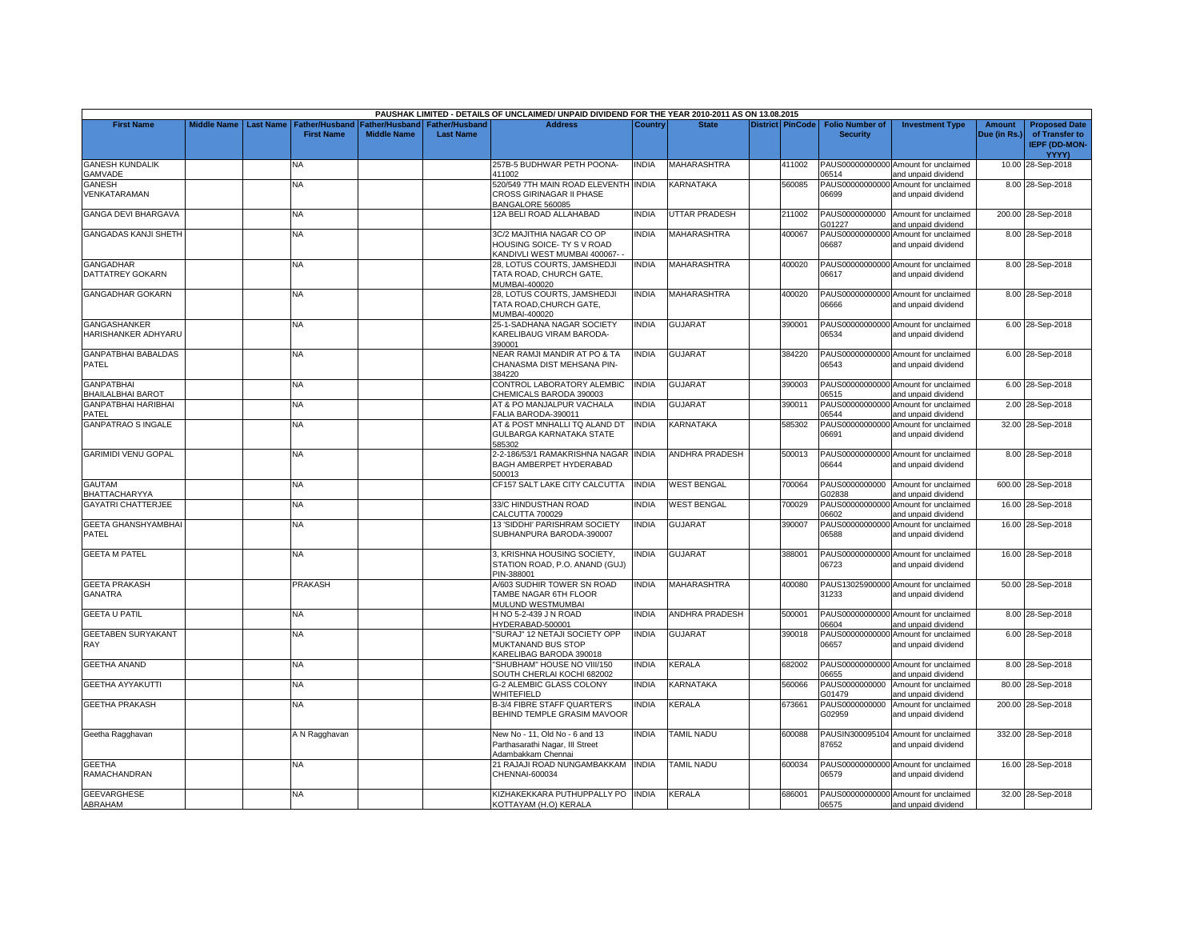|                                            |                    |                  |                                     |                                      |                                           | PAUSHAK LIMITED - DETAILS OF UNCLAIMED/ UNPAID DIVIDEND FOR THE YEAR 2010-2011 AS ON 13.08.2015 |              |                       |                         |                                           |                                                             |                               |                                                                                |
|--------------------------------------------|--------------------|------------------|-------------------------------------|--------------------------------------|-------------------------------------------|-------------------------------------------------------------------------------------------------|--------------|-----------------------|-------------------------|-------------------------------------------|-------------------------------------------------------------|-------------------------------|--------------------------------------------------------------------------------|
| <b>First Name</b>                          | <b>Middle Name</b> | <b>Last Name</b> | Father/Husband<br><b>First Name</b> | Father/Husband<br><b>Middle Name</b> | <b>Father/Husband</b><br><b>Last Name</b> | <b>Address</b>                                                                                  | Country      | <b>State</b>          | <b>District PinCode</b> | <b>Folio Number of</b><br><b>Security</b> | <b>Investment Type</b>                                      | <b>Amount</b><br>Due (in Rs.) | <b>Proposed Date</b><br>of Transfer to<br><b>IEPF (DD-MON-</b><br><b>YYYY)</b> |
| <b>GANESH KUNDALIK</b><br>GAMVADE          |                    |                  | NA                                  |                                      |                                           | 257B-5 BUDHWAR PETH POONA-<br>411002                                                            | <b>INDIA</b> | <b>MAHARASHTRA</b>    | 411002                  | 06514                                     | PAUS00000000000 Amount for unclaimed<br>and unpaid dividend |                               | 10.00 28-Sep-2018                                                              |
| <b>GANESH</b><br>VENKATARAMAN              |                    |                  | NA                                  |                                      |                                           | 520/549 7TH MAIN ROAD ELEVENTH INDIA<br>CROSS GIRINAGAR II PHASE<br>BANGALORE 560085            |              | KARNATAKA             | 560085                  | PAUS00000000000<br>06699                  | Amount for unclaimed<br>and unpaid dividend                 |                               | 8.00 28-Sep-2018                                                               |
| <b>GANGA DEVI BHARGAVA</b>                 |                    |                  | NA                                  |                                      |                                           | 2A BELI ROAD ALLAHABAD                                                                          | <b>INDIA</b> | <b>JTTAR PRADESH</b>  | 211002                  | G01227                                    | PAUS0000000000 Amount for unclaimed<br>and unpaid dividend  |                               | 200.00 28-Sep-2018                                                             |
| <b>GANGADAS KANJI SHETH</b>                |                    |                  | <b>NA</b>                           |                                      |                                           | 3C/2 MAJITHIA NAGAR CO OP<br>HOUSING SOICE- TY S V ROAD<br>KANDIVLI WEST MUMBAI 400067-         | <b>INDIA</b> | <b>MAHARASHTRA</b>    | 400067                  | 06687                                     | PAUS00000000000 Amount for unclaimed<br>and unpaid dividend |                               | 8.00 28-Sep-2018                                                               |
| <b>GANGADHAR</b><br>DATTATREY GOKARN       |                    |                  | NA                                  |                                      |                                           | 28, LOTUS COURTS, JAMSHEDJI<br>TATA ROAD, CHURCH GATE,<br><b>MUMBAI-400020</b>                  | <b>INDIA</b> | MAHARASHTRA           | 400020                  | 06617                                     | PAUS00000000000 Amount for unclaimed<br>and unpaid dividend |                               | 8.00 28-Sep-2018                                                               |
| <b>GANGADHAR GOKARN</b>                    |                    |                  | NΑ                                  |                                      |                                           | 28, LOTUS COURTS, JAMSHEDJI<br>TATA ROAD.CHURCH GATE.<br>MUMBAI-400020                          | <b>INDIA</b> | <b>MAHARASHTRA</b>    | 400020                  | 06666                                     | PAUS00000000000 Amount for unclaimed<br>and unpaid dividend |                               | 8.00 28-Sep-2018                                                               |
| <b>GANGASHANKER</b><br>HARISHANKER ADHYARU |                    |                  | NA.                                 |                                      |                                           | 25-1-SADHANA NAGAR SOCIETY<br>KARELIBAUG VIRAM BARODA-<br>390001                                | <b>INDIA</b> | GUJARAT               | 390001                  | 06534                                     | PAUS00000000000 Amount for unclaimed<br>and unpaid dividend |                               | 6.00 28-Sep-2018                                                               |
| <b>GANPATBHAI BABALDAS</b><br><b>PATEL</b> |                    |                  | NA.                                 |                                      |                                           | <b>VEAR RAMJI MANDIR AT PO &amp; TA</b><br>CHANASMA DIST MEHSANA PIN-<br>384220                 | <b>INDIA</b> | <b>GUJARAT</b>        | 384220                  | 06543                                     | PAUS00000000000 Amount for unclaimed<br>and unpaid dividend |                               | 6.00 28-Sep-2018                                                               |
| <b>GANPATBHAI</b><br>BHAILALBHAI BAROT     |                    |                  | <b>NA</b>                           |                                      |                                           | CONTROL LABORATORY ALEMBIC<br>CHEMICALS BARODA 390003                                           | <b>INDIA</b> | <b>GUJARAT</b>        | 390003                  | 06515                                     | PAUS00000000000 Amount for unclaimed<br>and unpaid dividend |                               | 6.00 28-Sep-2018                                                               |
| <b>GANPATBHAI HARIBHAI</b><br>PATEL        |                    |                  | <b>NA</b>                           |                                      |                                           | AT & PO MANJALPUR VACHALA<br>FALIA BARODA-390011                                                | <b>INDIA</b> | GUJARAT               | 390011                  | 06544                                     | PAUS00000000000 Amount for unclaimed<br>and unpaid dividend |                               | 2.00 28-Sep-2018                                                               |
| <b>GANPATRAO S INGALE</b>                  |                    |                  | NA                                  |                                      |                                           | AT & POST MNHALLI TQ ALAND DT<br>GULBARGA KARNATAKA STATE<br>585302                             | <b>INDIA</b> | KARNATAKA             | 585302                  | PAUS00000000000<br>06691                  | Amount for unclaimed<br>and unpaid dividend                 |                               | 32.00 28-Sep-2018                                                              |
| <b>GARIMIDI VENU GOPAL</b>                 |                    |                  | <b>NA</b>                           |                                      |                                           | 2-2-186/53/1 RAMAKRISHNA NAGAR INDIA<br>BAGH AMBERPET HYDERABAD<br>500013                       |              | <b>ANDHRA PRADESH</b> | 500013                  | 06644                                     | PAUS00000000000 Amount for unclaimed<br>and unpaid dividend |                               | 8.00 28-Sep-2018                                                               |
| <b>GAUTAM</b><br>BHATTACHARYYA             |                    |                  | <b>NA</b>                           |                                      |                                           | CF157 SALT LAKE CITY CALCUTTA                                                                   | <b>INDIA</b> | <b>WEST BENGAL</b>    | 700064                  | G02838                                    | PAUS0000000000 Amount for unclaimed<br>and unpaid dividend  |                               | 600.00 28-Sep-2018                                                             |
| <b>GAYATRI CHATTERJEE</b>                  |                    |                  | NA.                                 |                                      |                                           | 33/C HINDUSTHAN ROAD<br>CALCUTTA 700029                                                         | <b>INDIA</b> | <b>WEST BENGAL</b>    | 700029                  | PAUS00000000000<br>06602                  | Amount for unclaimed<br>and unpaid dividend                 |                               | 16.00 28-Sep-2018                                                              |
| GEETA GHANSHYAMBHAI<br>PATEL               |                    |                  | <b>NA</b>                           |                                      |                                           | 13 'SIDDHI' PARISHRAM SOCIETY<br>SUBHANPURA BARODA-390007                                       | <b>INDIA</b> | <b>GUJARAT</b>        | 390007                  | 06588                                     | PAUS00000000000 Amount for unclaimed<br>and unpaid dividend |                               | 16.00 28-Sep-2018                                                              |
| <b>GEETA M PATEL</b>                       |                    |                  | <b>NA</b>                           |                                      |                                           | 3, KRISHNA HOUSING SOCIETY,<br>STATION ROAD, P.O. ANAND (GUJ)<br>PIN-388001                     | <b>INDIA</b> | <b>GUJARAT</b>        | 388001                  | 06723                                     | PAUS00000000000 Amount for unclaimed<br>and unpaid dividend |                               | 16.00 28-Sep-2018                                                              |
| <b>GEETA PRAKASH</b><br><b>GANATRA</b>     |                    |                  | <b>PRAKASH</b>                      |                                      |                                           | <b>V603 SUDHIR TOWER SN ROAD</b><br>TAMBE NAGAR 6TH FLOOR<br><b>MULUND WESTMUMBAI</b>           | <b>INDIA</b> | <b>MAHARASHTRA</b>    | 400080                  | 31233                                     | PAUS13025900000 Amount for unclaimed<br>and unpaid dividend |                               | 50.00 28-Sep-2018                                                              |
| <b>GEETA U PATIL</b>                       |                    |                  | ΝA                                  |                                      |                                           | H NO 5-2-439 J N ROAD<br>HYDERABAD-500001                                                       | INDIA        | ANDHRA PRADESH        | 500001                  | 06604                                     | PAUS00000000000 Amount for unclaimed<br>and unpaid dividend |                               | 8.00 28-Sep-2018                                                               |
| <b>GEETABEN SURYAKANT</b><br>RAY           |                    |                  | NA.                                 |                                      |                                           | 'SURAJ" 12 NETAJI SOCIETY OPP<br><b>MUKTANAND BUS STOP</b><br>KARELIBAG BARODA 390018           | <b>INDIA</b> | <b>GUJARAT</b>        | 390018                  | 06657                                     | PAUS00000000000 Amount for unclaimed<br>and unpaid dividend |                               | 6.00 28-Sep-2018                                                               |
| <b>GEETHA ANAND</b>                        |                    |                  | <b>NA</b>                           |                                      |                                           | 'SHUBHAM" HOUSE NO VIII/150<br>SOUTH CHERLAI KOCHI 682002                                       | <b>INDIA</b> | KERALA                | 682002                  | 06655                                     | PAUS00000000000 Amount for unclaimed<br>and unpaid dividend |                               | 8.00 28-Sep-2018                                                               |
| <b>GEETHA AYYAKUTTI</b>                    |                    |                  | NA.                                 |                                      |                                           | G-2 ALEMBIC GLASS COLONY<br>WHITEFIELD                                                          | <b>INDIA</b> | KARNATAKA             | 560066                  | PAUS0000000000<br>G01479                  | Amount for unclaimed<br>and unpaid dividend                 |                               | 80.00 28-Sep-2018                                                              |
| <b>GEETHA PRAKASH</b>                      |                    |                  | <b>NA</b>                           |                                      |                                           | <b>B-3/4 FIBRE STAFF QUARTER'S</b><br>BEHIND TEMPLE GRASIM MAVOOR                               | <b>INDIA</b> | KERALA                | 673661                  | PAUS0000000000<br>G02959                  | Amount for unclaimed<br>and unpaid dividend                 |                               | 200.00 28-Sep-2018                                                             |
| Geetha Ragghavan                           |                    |                  | A N Ragghavan                       |                                      |                                           | New No - 11, Old No - 6 and 13<br>Parthasarathi Nagar, III Street<br>Adambakkam Chennai         | <b>INDIA</b> | TAMIL NADU            | 600088                  | 87652                                     | PAUSIN300095104 Amount for unclaimed<br>and unpaid dividend |                               | 332.00 28-Sep-2018                                                             |
| <b>GEETHA</b><br>RAMACHANDRAN              |                    |                  | NA                                  |                                      |                                           | 21 RAJAJI ROAD NUNGAMBAKKAM<br>CHENNAI-600034                                                   | <b>INDIA</b> | TAMIL NADU            | 600034                  | 06579                                     | PAUS00000000000 Amount for unclaimed<br>and unpaid dividend |                               | 16.00 28-Sep-2018                                                              |
| <b>GEEVARGHESE</b><br>ABRAHAM              |                    |                  | NA.                                 |                                      |                                           | KIZHAKEKKARA PUTHUPPALLY PO INDIA<br>KOTTAYAM (H.O) KERALA                                      |              | <b>KERALA</b>         | 686001                  | 06575                                     | PAUS00000000000 Amount for unclaimed<br>and unpaid dividend |                               | 32.00 28-Sep-2018                                                              |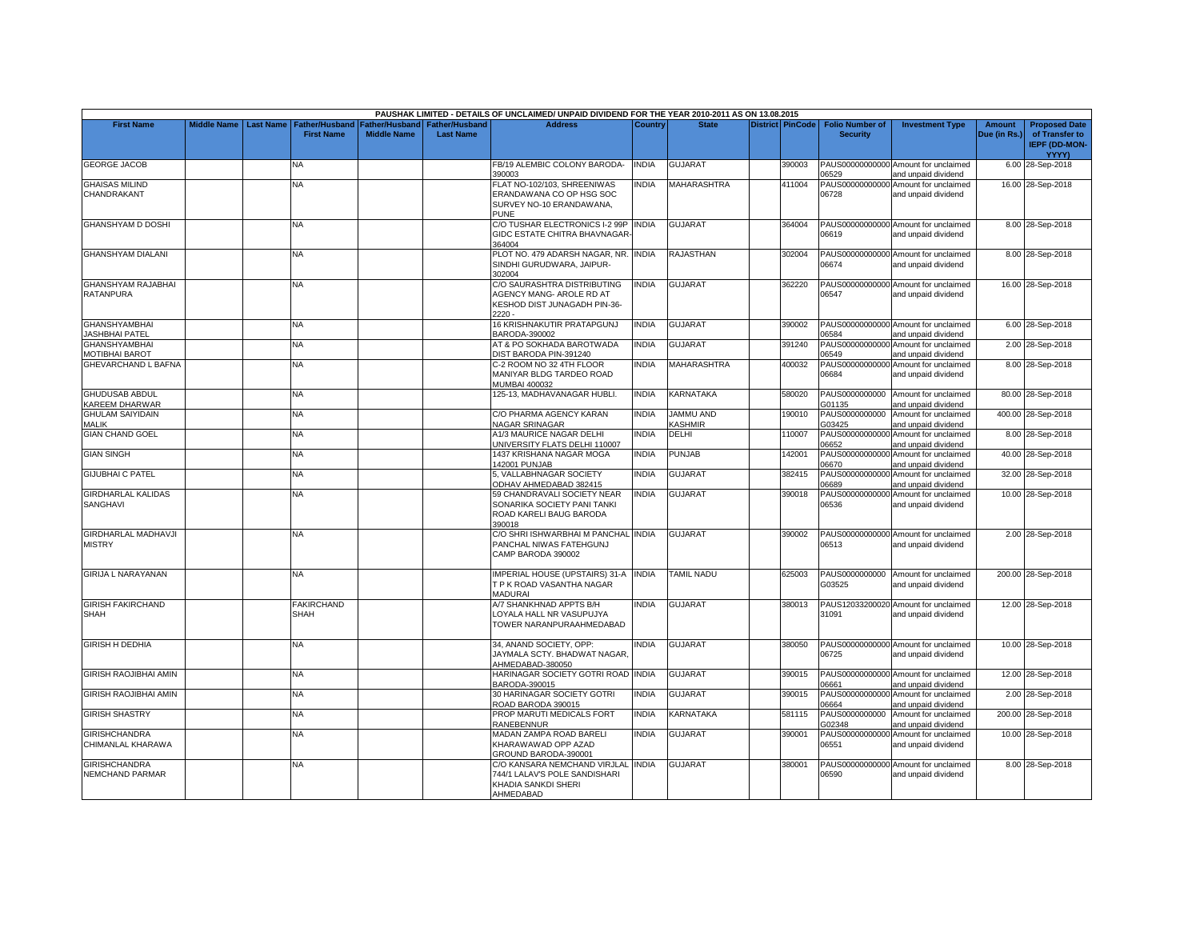|                                                |             |                  |                                     |                    |                                                     | PAUSHAK LIMITED - DETAILS OF UNCLAIMED/ UNPAID DIVIDEND FOR THE YEAR 2010-2011 AS ON 13.08.2015         |                |                      |                         |                                           |                                                             |                               |                                                                         |
|------------------------------------------------|-------------|------------------|-------------------------------------|--------------------|-----------------------------------------------------|---------------------------------------------------------------------------------------------------------|----------------|----------------------|-------------------------|-------------------------------------------|-------------------------------------------------------------|-------------------------------|-------------------------------------------------------------------------|
| <b>First Name</b>                              | Middle Name | <b>Last Name</b> | Father/Husband<br><b>First Name</b> | <b>Middle Name</b> | Father/Husband   Father/Husband<br><b>Last Name</b> | <b>Address</b>                                                                                          | <b>Country</b> | <b>State</b>         | <b>District PinCode</b> | <b>Folio Number of</b><br><b>Security</b> | <b>Investment Type</b>                                      | <b>Amount</b><br>Due (in Rs.) | <b>Proposed Date</b><br>of Transfer to<br><b>IEPF (DD-MON-</b><br>YYYY) |
| <b>GEORGE JACOB</b>                            |             |                  | NA                                  |                    |                                                     | FB/19 ALEMBIC COLONY BARODA-<br>390003                                                                  | INDIA          | <b>GUJARAT</b>       | 390003                  | 06529                                     | PAUS00000000000 Amount for unclaimed<br>and unpaid dividend |                               | 6.00 28-Sep-2018                                                        |
| <b>GHAISAS MILIND</b><br>CHANDRAKANT           |             |                  | <b>NA</b>                           |                    |                                                     | FLAT NO-102/103, SHREENIWAS<br>ERANDAWANA CO OP HSG SOC<br>SURVEY NO-10 ERANDAWANA,<br>PUNE             | <b>NDIA</b>    | <b>MAHARASHTRA</b>   | 411004                  | 06728                                     | PAUS00000000000 Amount for unclaimed<br>and unpaid dividend |                               | 16.00 28-Sep-2018                                                       |
| <b>GHANSHYAM D DOSHI</b>                       |             |                  | <b>NA</b>                           |                    |                                                     | C/O TUSHAR ELECTRONICS I-2 99P INDIA<br>GIDC ESTATE CHITRA BHAVNAGAR-<br>364004                         |                | <b>GUJARAT</b>       | 364004                  | 06619                                     | PAUS00000000000 Amount for unclaimed<br>and unpaid dividend |                               | 8.00 28-Sep-2018                                                        |
| <b>GHANSHYAM DIALANI</b>                       |             |                  | NA                                  |                    |                                                     | PLOT NO. 479 ADARSH NAGAR, NR.<br>SINDHI GURUDWARA, JAIPUR-<br>302004                                   | <b>INDIA</b>   | <b>RAJASTHAN</b>     | 302004                  | 06674                                     | PAUS00000000000 Amount for unclaimed<br>and unpaid dividend |                               | 8.00 28-Sep-2018                                                        |
| <b>GHANSHYAM RAJABHAI</b><br><b>RATANPURA</b>  |             |                  | NA                                  |                    |                                                     | C/O SAURASHTRA DISTRIBUTING<br>AGENCY MANG- AROLE RD AT<br>KESHOD DIST JUNAGADH PIN-36-<br>$2220 -$     | <b>NDIA</b>    | <b>GUJARAT</b>       | 362220                  | 06547                                     | PAUS00000000000 Amount for unclaimed<br>and unpaid dividend |                               | 16.00 28-Sep-2018                                                       |
| <b>GHANSHYAMBHAI</b><br>JASHBHAI PATEL         |             |                  | NA                                  |                    |                                                     | 16 KRISHNAKUTIR PRATAPGUNJ<br>BARODA-390002                                                             | <b>INDIA</b>   | <b>GUJARAT</b>       | 390002                  | 06584                                     | PAUS00000000000 Amount for unclaimed<br>and unpaid dividend |                               | 6.00 28-Sep-2018                                                        |
| <b>GHANSHYAMBHAI</b><br><b>MOTIBHAI BAROT</b>  |             |                  | NA                                  |                    |                                                     | AT & PO SOKHADA BAROTWADA<br>DIST BARODA PIN-391240                                                     | <b>INDIA</b>   | <b>GUJARAT</b>       | 391240                  | 06549                                     | PAUS00000000000 Amount for unclaimed<br>and unpaid dividend |                               | 2.00 28-Sep-2018                                                        |
| GHEVARCHAND L BAFNA                            |             |                  | NA                                  |                    |                                                     | C-2 ROOM NO 32 4TH FLOOR<br>MANIYAR BLDG TARDEO ROAD<br>MUMBAI 400032                                   | INDIA          | MAHARASHTRA          | 400032                  | PAUS00000000000<br>06684                  | Amount for unclaimed<br>and unpaid dividend                 |                               | 8.00 28-Sep-2018                                                        |
| <b>GHUDUSAB ABDUL</b><br>KAREEM DHARWAR        |             |                  | <b>NA</b>                           |                    |                                                     | 125-13, MADHAVANAGAR HUBLI.                                                                             | <b>INDIA</b>   | KARNATAKA            | 580020                  | G01135                                    | PAUS0000000000 Amount for unclaimed<br>and unpaid dividend  |                               | 80.00 28-Sep-2018                                                       |
| <b>GHULAM SAIYIDAIN</b><br><b>MALIK</b>        |             |                  | NA                                  |                    |                                                     | C/O PHARMA AGENCY KARAN<br>NAGAR SRINAGAR                                                               | <b>NDIA</b>    | JAMMU AND<br>KASHMIR | 190010                  | PAUS0000000000<br>G03425                  | Amount for unclaimed<br>and unpaid dividend                 |                               | 400.00 28-Sep-2018                                                      |
| <b>GIAN CHAND GOEL</b>                         |             |                  | <b>NA</b>                           |                    |                                                     | A1/3 MAURICE NAGAR DELHI<br>UNIVERSITY FLATS DELHI 110007                                               | INDIA          | DELHI                | 110007                  | 06652                                     | PAUS00000000000 Amount for unclaimed<br>and unpaid dividend |                               | 8.00 28-Sep-2018                                                        |
| <b>GIAN SINGH</b>                              |             |                  | NA                                  |                    |                                                     | 1437 KRISHANA NAGAR MOGA<br>142001 PUNJAB                                                               | <b>INDIA</b>   | PUNJAB               | 142001                  | 06670                                     | PAUS00000000000 Amount for unclaimed<br>and unpaid dividend |                               | 40.00 28-Sep-2018                                                       |
| <b>GIJUBHAI C PATEL</b>                        |             |                  | <b>NA</b>                           |                    |                                                     | 5. VALLABHNAGAR SOCIETY<br>ODHAV AHMEDABAD 382415                                                       | <b>INDIA</b>   | <b>GUJARAT</b>       | 382415                  | 06689                                     | PAUS00000000000 Amount for unclaimed<br>and unpaid dividend |                               | 32.00 28-Sep-2018                                                       |
| <b>GIRDHARLAL KALIDAS</b><br>SANGHAVI          |             |                  | NA                                  |                    |                                                     | 59 CHANDRAVALI SOCIETY NEAR<br>SONARIKA SOCIETY PANI TANKI<br>ROAD KARELI BAUG BARODA<br>390018         | <b>INDIA</b>   | <b>GUJARAT</b>       | 390018                  | 06536                                     | PAUS00000000000 Amount for unclaimed<br>and unpaid dividend |                               | 10.00 28-Sep-2018                                                       |
| <b>GIRDHARLAL MADHAVJI</b><br><b>MISTRY</b>    |             |                  | <b>NA</b>                           |                    |                                                     | C/O SHRI ISHWARBHAI M PANCHAL INDIA<br>PANCHAL NIWAS FATEHGUNJ<br>CAMP BARODA 390002                    |                | <b>GUJARAT</b>       | 390002                  | 06513                                     | PAUS00000000000 Amount for unclaimed<br>and unpaid dividend |                               | 2.00 28-Sep-2018                                                        |
| <b>GIRIJA L NARAYANAN</b>                      |             |                  | <b>NA</b>                           |                    |                                                     | IMPERIAL HOUSE (UPSTAIRS) 31-A INDIA<br>T P K ROAD VASANTHA NAGAR<br><b>MADURAI</b>                     |                | <b>TAMIL NADU</b>    | 625003                  | G03525                                    | PAUS0000000000 Amount for unclaimed<br>and unpaid dividend  |                               | 200.00 28-Sep-2018                                                      |
| <b>GIRISH FAKIRCHAND</b><br><b>SHAH</b>        |             |                  | <b>FAKIRCHAND</b><br><b>SHAH</b>    |                    |                                                     | A/7 SHANKHNAD APPTS B/H<br>LOYALA HALL NR VASUPUJYA<br>TOWER NARANPURAAHMEDABAD                         | <b>INDIA</b>   | <b>GUJARAT</b>       | 380013                  | 31091                                     | PAUS12033200020 Amount for unclaimed<br>and unpaid dividend |                               | 12.00 28-Sep-2018                                                       |
| <b>GIRISH H DEDHIA</b>                         |             |                  | NA                                  |                    |                                                     | 34, ANAND SOCIETY, OPP:<br>JAYMALA SCTY, BHADWAT NAGAR.<br>AHMEDABAD-380050                             | <b>NDIA</b>    | <b>GUJARAT</b>       | 380050                  | 06725                                     | PAUS00000000000 Amount for unclaimed<br>and unpaid dividend |                               | 10.00 28-Sep-2018                                                       |
| <b>GIRISH RAOJIBHAI AMIN</b>                   |             |                  | <b>NA</b>                           |                    |                                                     | HARINAGAR SOCIETY GOTRI ROAD INDIA<br>BARODA-390015                                                     |                | <b>GUJARAT</b>       | 390015                  | 06661                                     | PAUS00000000000 Amount for unclaimed<br>and unpaid dividend |                               | 12.00 28-Sep-2018                                                       |
| <b>GIRISH RAOJIBHAI AMIN</b>                   |             |                  | NA                                  |                    |                                                     | 30 HARINAGAR SOCIETY GOTRI<br>ROAD BARODA 390015                                                        | <b>INDIA</b>   | <b>GUJARAT</b>       | 390015                  | 06664                                     | PAUS00000000000 Amount for unclaimed<br>and unpaid dividend |                               | 2.00 28-Sep-2018                                                        |
| <b>GIRISH SHASTRY</b>                          |             |                  | NA.                                 |                    |                                                     | PROP MARUTI MEDICALS FORT<br><b>RANEBENNUR</b>                                                          | <b>INDIA</b>   | KARNATAKA            | 581115                  | PAUS0000000000<br>G02348                  | Amount for unclaimed<br>and unpaid dividend                 |                               | 200.00 28-Sep-2018                                                      |
| <b>GIRISHCHANDRA</b><br>CHIMANLAL KHARAWA      |             |                  | <b>NA</b>                           |                    |                                                     | MADAN ZAMPA ROAD BARELI<br>KHARAWAWAD OPP AZAD<br>GROUND BARODA-390001                                  | <b>INDIA</b>   | <b>GUJARAT</b>       | 390001                  | 06551                                     | PAUS00000000000 Amount for unclaimed<br>and unpaid dividend |                               | 10.00 28-Sep-2018                                                       |
| <b>GIRISHCHANDRA</b><br><b>NEMCHAND PARMAR</b> |             |                  | NA                                  |                    |                                                     | C/O KANSARA NEMCHAND VIRJLAL INDIA<br>744/1 LALAV'S POLE SANDISHARI<br>KHADIA SANKDI SHERI<br>AHMEDABAD |                | <b>GUJARAT</b>       | 380001                  | 06590                                     | PAUS00000000000 Amount for unclaimed<br>and unpaid dividend |                               | 8.00 28-Sep-2018                                                        |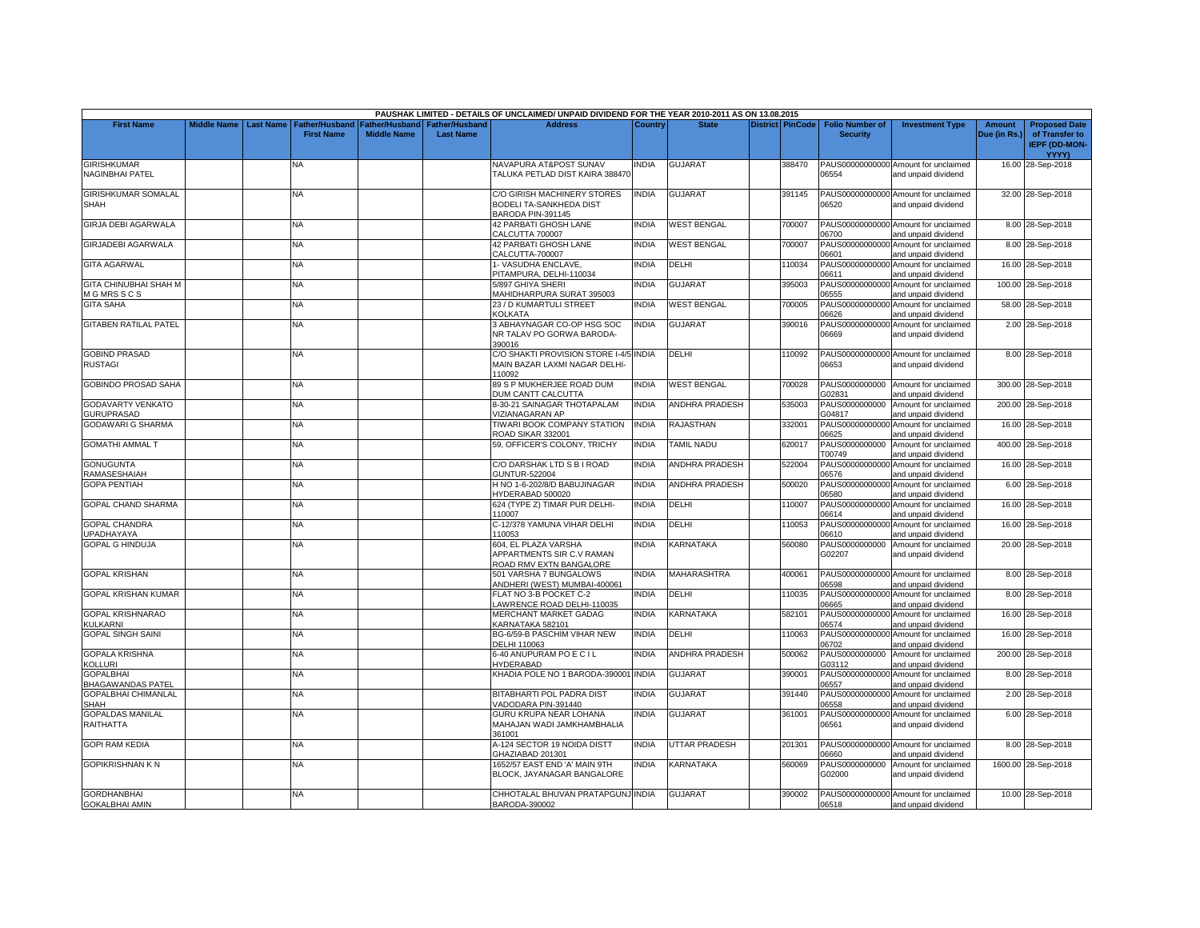| <b>Middle Name</b><br><b>First Name</b><br><b>Last Name</b><br><b>Father/Husband</b><br>Father/Husband<br>Father/Husband<br><b>Address</b><br><b>Country</b><br><b>State</b><br><b>District PinCode</b><br><b>Folio Number of</b><br><b>Investment Type</b><br><b>Amount</b><br><b>Proposed Date</b><br><b>First Name</b><br><b>Middle Name</b><br><b>Last Name</b><br><b>Security</b><br>Due (in Rs.)<br>of Transfer to<br>IEPF (DD-MON-<br><b>YYYY)</b><br><b>GIRISHKUMAR</b><br><b>NAVAPURA AT&amp;POST SUNAV</b><br>INDIA<br><b>GUJARAT</b><br>388470<br>PAUS00000000000 Amount for unclaimed<br>16.00 28-Sep-2018<br>ΝA<br><b>NAGINBHAI PATEL</b><br>TALUKA PETLAD DIST KAIRA 388470<br>06554<br>and unpaid dividend<br><b>GIRISHKUMAR SOMALAL</b><br>C/O GIRISH MACHINERY STORES<br><b>NDIA</b><br><b>GUJARAT</b><br>391145<br>PAUS00000000000 Amount for unclaimed<br>32.00 28-Sep-2018<br>NA<br>BODELI TA-SANKHEDA DIST<br>06520<br><b>SHAH</b><br>and unpaid dividend<br>BARODA PIN-391145<br><b>GIRJA DEBI AGARWALA</b><br><b>WEST BENGAL</b><br>700007<br>PAUS00000000000 Amount for unclaimed<br>NA<br><b>42 PARBATI GHOSH LANE</b><br><b>INDIA</b><br>8.00 28-Sep-2018<br>06700<br>CALCUTTA 700007<br>and unpaid dividend<br><b>GIRJADEBI AGARWALA</b><br><b>WEST BENGAL</b><br><b>NA</b><br><b>42 PARBATI GHOSH LANE</b><br><b>INDIA</b><br>700007<br>PAUS00000000000 Amount for unclaimed<br>8.00 28-Sep-2018<br>CALCUTTA-700007<br>06601<br>and unpaid dividend<br><b>GITA AGARWAL</b><br>I-VASUDHA ENCLAVE,<br>INDIA<br>DELHI<br>110034<br>PAUS00000000000 Amount for unclaimed<br>16.00 28-Sep-2018<br>NA<br>PITAMPURA, DELHI-110034<br>06611<br>and unpaid dividend<br>GUJARAT<br><b>GITA CHINUBHAI SHAH M</b><br><b>NA</b><br>5/897 GHIYA SHERI<br><b>INDIA</b><br>395003<br>PAUS0000000000<br>Amount for unclaimed<br>100.00 28-Sep-2018<br><b>MGMRSSCS</b><br>MAHIDHARPURA SURAT 395003<br>06555<br>and unpaid dividend<br><b>WEST BENGAL</b><br><b>GITA SAHA</b><br><b>NA</b><br>23 / D KUMARTULI STREET<br><b>INDIA</b><br>700005<br>PAUS00000000000<br>Amount for unclaimed<br>58.00 28-Sep-2018<br>KOLKATA<br>06626<br>and unpaid dividend<br>ABHAYNAGAR CO-OP HSG SOC<br><b>GUJARAT</b><br><b>GITABEN RATILAL PATEL</b><br><b>NA</b><br><b>INDIA</b><br>390016<br>PAUS00000000000<br>Amount for unclaimed<br>2.00 28-Sep-2018<br>NR TALAV PO GORWA BARODA-<br>06669<br>and unpaid dividend<br>390016<br><b>GOBIND PRASAD</b><br>C/O SHAKTI PROVISION STORE I-4/5 INDIA<br>DELHI<br>110092<br>PAUS00000000000 Amount for unclaimed<br>8.00 28-Sep-2018<br>NA.<br>RUSTAGI<br>MAIN BAZAR LAXMI NAGAR DELHI-<br>06653<br>and unpaid dividend<br>110092<br>GOBINDO PROSAD SAHA<br><b>39 S P MUKHERJEE ROAD DUM</b><br><b>INDIA</b><br><b>WEST BENGAL</b><br>700028<br>PAUS0000000000 Amount for unclaimed<br>300.00 28-Sep-2018<br><b>NA</b><br>DUM CANTT CALCUTTA<br>302831<br>and unpaid dividend<br>ANDHRA PRADESH<br><b>GODAVARTY VENKATO</b><br>NA<br>3-30-21 SAINAGAR THOTAPALAM<br><b>INDIA</b><br>535003<br>PAUS0000000000<br>Amount for unclaimed<br>200.00 28-Sep-2018<br><b>GURUPRASAD</b><br>VIZIANAGARAN AP<br>G04817<br>and unpaid dividend<br><b>GODAWARI G SHARMA</b><br><b>TIWARI BOOK COMPANY STATION</b><br><b>INDIA</b><br>RAJASTHAN<br>16.00 28-Sep-2018<br><b>NA</b><br>332001<br>PAUS00000000000 Amount for unclaimed<br><b>ROAD SIKAR 332001</b><br>06625<br>and unpaid dividend<br><b>GOMATHI AMMAL T</b><br>59, OFFICER'S COLONY, TRICHY<br><b>INDIA</b><br><b>TAMIL NADU</b><br>620017<br>PAUS0000000000<br>400.00 28-Sep-2018<br><b>NA</b><br>Amount for unclaimed<br>T00749<br>and unpaid dividend<br><b>GONUGUNTA</b><br>NA.<br>C/O DARSHAK LTD S B I ROAD<br><b>INDIA</b><br><b>ANDHRA PRADESH</b><br>522004<br>PAUS0000000000<br>Amount for unclaimed<br>16.00 28-Sep-2018<br>RAMASESHAIAH<br><b>GUNTUR-522004</b><br>06576<br>and unpaid dividend<br><b>ANDHRA PRADESH</b><br>PAUS00000000000<br><b>GOPA PENTIAH</b><br>H NO 1-6-202/8/D BABUJINAGAR<br><b>INDIA</b><br>500020<br>Amount for unclaimed<br>6.00 28-Sep-2018<br>NA<br>HYDERABAD 500020<br>06580<br>and unpaid dividend<br>GOPAL CHAND SHARMA<br>624 (TYPE Z) TIMAR PUR DELHI-<br><b>INDIA</b><br>DELHI<br>110007<br>PAUS00000000000<br>16.00 28-Sep-2018<br>NA<br>Amount for unclaimed<br>110007<br>06614<br>and unpaid dividend<br><b>GOPAL CHANDRA</b><br>NA<br>C-12/378 YAMUNA VIHAR DELHI<br><b>INDIA</b><br>DELHI<br>110053<br>PAUS00000000000<br>16.00 28-Sep-2018<br>Amount for unclaimed<br><b>JPADHAYAYA</b><br>110053<br>06610<br>and unpaid dividend<br><b>GOPAL G HINDUJA</b><br>604, EL PLAZA VARSHA<br><b>INDIA</b><br>KARNATAKA<br>560080<br>PAUS0000000000<br>Amount for unclaimed<br>20.00 28-Sep-2018<br>NA<br>G02207<br>APPARTMENTS SIR C.V RAMAN<br>and unpaid dividend<br>ROAD RMV EXTN BANGALORE<br><b>GOPAL KRISHAN</b><br><b>MAHARASHTRA</b><br>400061<br>PAUS00000000000 Amount for unclaimed<br>8.00 28-Sep-2018<br><b>NA</b><br>501 VARSHA 7 BUNGALOWS<br><b>INDIA</b><br>ANDHERI (WEST) MUMBAI-400061<br>06598<br>and unpaid dividend<br><b>GOPAL KRISHAN KUMAR</b><br>FLAT NO 3-B POCKET C-2<br><b>INDIA</b><br>DELHI<br>110035<br>PAUS00000000000<br>8.00 28-Sep-2018<br>NA.<br>Amount for unclaimed<br>AWRENCE ROAD DELHI-110035<br>06665<br>and unpaid dividend<br><b>GOPAL KRISHNARAO</b><br>NA.<br><b>MERCHANT MARKET GADAG</b><br><b>INDIA</b><br><b>KARNATAKA</b><br>582101<br>PAUS0000000000<br>Amount for unclaimed<br>16.00 28-Sep-2018<br>KULKARNI<br>KARNATAKA 582101<br>06574<br>and unpaid dividend<br><b>GOPAL SINGH SAINI</b><br><b>BG-6/59-B PASCHIM VIHAR NEW</b><br>PAUS00000000000<br><b>INDIA</b><br>DELHI<br>110063<br>Amount for unclaimed<br>16.00 28-Sep-2018<br>NA<br>DELHI 110063<br>06702<br>and unpaid dividend<br><b>GOPALA KRISHNA</b><br>6-40 ANUPURAM PO E C I L<br><b>INDIA</b><br>ANDHRA PRADESH<br>500062<br>PAUS0000000000<br>200.00 28-Sep-2018<br>NA.<br>Amount for unclaimed<br>KOLLURI<br>HYDERABAD<br>G03112<br>and unpaid dividend<br><b>GOPALBHAI</b><br>NA<br>KHADIA POLE NO 1 BARODA-390001 INDIA<br><b>GUJARAT</b><br>390001<br>PAUS00000000000<br>8.00 28-Sep-2018<br>Amount for unclaimed<br><b>BHAGAWANDAS PATEL</b><br>06557<br>and unpaid dividend<br><b>GOPALBHAI CHIMANLAL</b><br>NA<br>BITABHARTI POL PADRA DIST<br><b>INDIA</b><br><b>GUJARAT</b><br>391440<br>PAUS00000000000<br>Amount for unclaimed<br>2.00 28-Sep-2018<br>06558<br><b>SHAH</b><br>VADODARA PIN-391440<br>and unpaid dividend<br><b>GOPALDAS MANILAL</b><br><b>GUJARAT</b><br>PAUS00000000000 Amount for unclaimed<br>6.00 28-Sep-2018<br>NA<br>GURU KRUPA NEAR LOHANA<br>india<br>361001<br>RAITHATTA<br>MAHAJAN WADI JAMKHAMBHALIA<br>06561<br>and unpaid dividend<br>361001<br><b>GOPI RAM KEDIA</b><br>A-124 SECTOR 19 NOIDA DISTT<br><b>INDIA</b><br><b>UTTAR PRADESH</b><br>201301<br>PAUS00000000000<br>NA<br>8.00 28-Sep-2018<br>Amount for unclaimed<br>GHAZIABAD 201301<br>06660<br>and unpaid dividend<br><b>GOPIKRISHNAN K N</b><br>NA.<br>1652/57 EAST END 'A' MAIN 9TH<br>INDIA<br><b>KARNATAKA</b><br>560069<br>PAUS0000000000<br>Amount for unclaimed<br>1600.00 28-Sep-2018<br>BLOCK, JAYANAGAR BANGALORE<br>G02000<br>and unpaid dividend<br><b>GORDHANBHAI</b><br>CHHOTALAL BHUVAN PRATAPGUNJ INDIA<br><b>GUJARAT</b><br>10.00 28-Sep-2018<br>NA<br>390002<br>PAUS00000000000 Amount for unclaimed<br><b>GOKALBHAI AMIN</b><br>BARODA-390002<br>06518<br>and unpaid dividend |  |  |  | PAUSHAK LIMITED - DETAILS OF UNCLAIMED/ UNPAID DIVIDEND FOR THE YEAR 2010-2011 AS ON 13.08.2015 |  |  |  |  |
|------------------------------------------------------------------------------------------------------------------------------------------------------------------------------------------------------------------------------------------------------------------------------------------------------------------------------------------------------------------------------------------------------------------------------------------------------------------------------------------------------------------------------------------------------------------------------------------------------------------------------------------------------------------------------------------------------------------------------------------------------------------------------------------------------------------------------------------------------------------------------------------------------------------------------------------------------------------------------------------------------------------------------------------------------------------------------------------------------------------------------------------------------------------------------------------------------------------------------------------------------------------------------------------------------------------------------------------------------------------------------------------------------------------------------------------------------------------------------------------------------------------------------------------------------------------------------------------------------------------------------------------------------------------------------------------------------------------------------------------------------------------------------------------------------------------------------------------------------------------------------------------------------------------------------------------------------------------------------------------------------------------------------------------------------------------------------------------------------------------------------------------------------------------------------------------------------------------------------------------------------------------------------------------------------------------------------------------------------------------------------------------------------------------------------------------------------------------------------------------------------------------------------------------------------------------------------------------------------------------------------------------------------------------------------------------------------------------------------------------------------------------------------------------------------------------------------------------------------------------------------------------------------------------------------------------------------------------------------------------------------------------------------------------------------------------------------------------------------------------------------------------------------------------------------------------------------------------------------------------------------------------------------------------------------------------------------------------------------------------------------------------------------------------------------------------------------------------------------------------------------------------------------------------------------------------------------------------------------------------------------------------------------------------------------------------------------------------------------------------------------------------------------------------------------------------------------------------------------------------------------------------------------------------------------------------------------------------------------------------------------------------------------------------------------------------------------------------------------------------------------------------------------------------------------------------------------------------------------------------------------------------------------------------------------------------------------------------------------------------------------------------------------------------------------------------------------------------------------------------------------------------------------------------------------------------------------------------------------------------------------------------------------------------------------------------------------------------------------------------------------------------------------------------------------------------------------------------------------------------------------------------------------------------------------------------------------------------------------------------------------------------------------------------------------------------------------------------------------------------------------------------------------------------------------------------------------------------------------------------------------------------------------------------------------------------------------------------------------------------------------------------------------------------------------------------------------------------------------------------------------------------------------------------------------------------------------------------------------------------------------------------------------------------------------------------------------------------------------------------------------------------------------------------------------------------------------------------------------------------------------------------------------------------------------------------------------------------------------------------------------------------------------------------------------------------------------------------------------------------------------------------------------------------------------------------------------------------------------------------------------------------------------------------------------------------------------------------------------------------------------------------------------------------------------------------------------------------------------------------------------------------------------------------------------------------------------------------------------------------------------------------------------------------------------------------------------------------------------------------------------------------------------------------------------------------------------------------------------------------------------------------------------------------------------------------------------------------------------------------------------------------------------------------------------------------------------------------------------------------------------------------------------------------------------------------------------------------------------------------------------------------------------------------------------------------------------------------------------------------------------------------------------------------------------------------------------------------------------|--|--|--|-------------------------------------------------------------------------------------------------|--|--|--|--|
|                                                                                                                                                                                                                                                                                                                                                                                                                                                                                                                                                                                                                                                                                                                                                                                                                                                                                                                                                                                                                                                                                                                                                                                                                                                                                                                                                                                                                                                                                                                                                                                                                                                                                                                                                                                                                                                                                                                                                                                                                                                                                                                                                                                                                                                                                                                                                                                                                                                                                                                                                                                                                                                                                                                                                                                                                                                                                                                                                                                                                                                                                                                                                                                                                                                                                                                                                                                                                                                                                                                                                                                                                                                                                                                                                                                                                                                                                                                                                                                                                                                                                                                                                                                                                                                                                                                                                                                                                                                                                                                                                                                                                                                                                                                                                                                                                                                                                                                                                                                                                                                                                                                                                                                                                                                                                                                                                                                                                                                                                                                                                                                                                                                                                                                                                                                                                                                                                                                                                                                                                                                                                                                                                                                                                                                                                                                                                                                                                                                                                                                                                                                                                                                                                                                                                                                                                                                                                                                                                                                                                                                                                                                                                                                                                                                                                                                                                                                                                                                                              |  |  |  |                                                                                                 |  |  |  |  |
|                                                                                                                                                                                                                                                                                                                                                                                                                                                                                                                                                                                                                                                                                                                                                                                                                                                                                                                                                                                                                                                                                                                                                                                                                                                                                                                                                                                                                                                                                                                                                                                                                                                                                                                                                                                                                                                                                                                                                                                                                                                                                                                                                                                                                                                                                                                                                                                                                                                                                                                                                                                                                                                                                                                                                                                                                                                                                                                                                                                                                                                                                                                                                                                                                                                                                                                                                                                                                                                                                                                                                                                                                                                                                                                                                                                                                                                                                                                                                                                                                                                                                                                                                                                                                                                                                                                                                                                                                                                                                                                                                                                                                                                                                                                                                                                                                                                                                                                                                                                                                                                                                                                                                                                                                                                                                                                                                                                                                                                                                                                                                                                                                                                                                                                                                                                                                                                                                                                                                                                                                                                                                                                                                                                                                                                                                                                                                                                                                                                                                                                                                                                                                                                                                                                                                                                                                                                                                                                                                                                                                                                                                                                                                                                                                                                                                                                                                                                                                                                                              |  |  |  |                                                                                                 |  |  |  |  |
|                                                                                                                                                                                                                                                                                                                                                                                                                                                                                                                                                                                                                                                                                                                                                                                                                                                                                                                                                                                                                                                                                                                                                                                                                                                                                                                                                                                                                                                                                                                                                                                                                                                                                                                                                                                                                                                                                                                                                                                                                                                                                                                                                                                                                                                                                                                                                                                                                                                                                                                                                                                                                                                                                                                                                                                                                                                                                                                                                                                                                                                                                                                                                                                                                                                                                                                                                                                                                                                                                                                                                                                                                                                                                                                                                                                                                                                                                                                                                                                                                                                                                                                                                                                                                                                                                                                                                                                                                                                                                                                                                                                                                                                                                                                                                                                                                                                                                                                                                                                                                                                                                                                                                                                                                                                                                                                                                                                                                                                                                                                                                                                                                                                                                                                                                                                                                                                                                                                                                                                                                                                                                                                                                                                                                                                                                                                                                                                                                                                                                                                                                                                                                                                                                                                                                                                                                                                                                                                                                                                                                                                                                                                                                                                                                                                                                                                                                                                                                                                                              |  |  |  |                                                                                                 |  |  |  |  |
|                                                                                                                                                                                                                                                                                                                                                                                                                                                                                                                                                                                                                                                                                                                                                                                                                                                                                                                                                                                                                                                                                                                                                                                                                                                                                                                                                                                                                                                                                                                                                                                                                                                                                                                                                                                                                                                                                                                                                                                                                                                                                                                                                                                                                                                                                                                                                                                                                                                                                                                                                                                                                                                                                                                                                                                                                                                                                                                                                                                                                                                                                                                                                                                                                                                                                                                                                                                                                                                                                                                                                                                                                                                                                                                                                                                                                                                                                                                                                                                                                                                                                                                                                                                                                                                                                                                                                                                                                                                                                                                                                                                                                                                                                                                                                                                                                                                                                                                                                                                                                                                                                                                                                                                                                                                                                                                                                                                                                                                                                                                                                                                                                                                                                                                                                                                                                                                                                                                                                                                                                                                                                                                                                                                                                                                                                                                                                                                                                                                                                                                                                                                                                                                                                                                                                                                                                                                                                                                                                                                                                                                                                                                                                                                                                                                                                                                                                                                                                                                                              |  |  |  |                                                                                                 |  |  |  |  |
|                                                                                                                                                                                                                                                                                                                                                                                                                                                                                                                                                                                                                                                                                                                                                                                                                                                                                                                                                                                                                                                                                                                                                                                                                                                                                                                                                                                                                                                                                                                                                                                                                                                                                                                                                                                                                                                                                                                                                                                                                                                                                                                                                                                                                                                                                                                                                                                                                                                                                                                                                                                                                                                                                                                                                                                                                                                                                                                                                                                                                                                                                                                                                                                                                                                                                                                                                                                                                                                                                                                                                                                                                                                                                                                                                                                                                                                                                                                                                                                                                                                                                                                                                                                                                                                                                                                                                                                                                                                                                                                                                                                                                                                                                                                                                                                                                                                                                                                                                                                                                                                                                                                                                                                                                                                                                                                                                                                                                                                                                                                                                                                                                                                                                                                                                                                                                                                                                                                                                                                                                                                                                                                                                                                                                                                                                                                                                                                                                                                                                                                                                                                                                                                                                                                                                                                                                                                                                                                                                                                                                                                                                                                                                                                                                                                                                                                                                                                                                                                                              |  |  |  |                                                                                                 |  |  |  |  |
|                                                                                                                                                                                                                                                                                                                                                                                                                                                                                                                                                                                                                                                                                                                                                                                                                                                                                                                                                                                                                                                                                                                                                                                                                                                                                                                                                                                                                                                                                                                                                                                                                                                                                                                                                                                                                                                                                                                                                                                                                                                                                                                                                                                                                                                                                                                                                                                                                                                                                                                                                                                                                                                                                                                                                                                                                                                                                                                                                                                                                                                                                                                                                                                                                                                                                                                                                                                                                                                                                                                                                                                                                                                                                                                                                                                                                                                                                                                                                                                                                                                                                                                                                                                                                                                                                                                                                                                                                                                                                                                                                                                                                                                                                                                                                                                                                                                                                                                                                                                                                                                                                                                                                                                                                                                                                                                                                                                                                                                                                                                                                                                                                                                                                                                                                                                                                                                                                                                                                                                                                                                                                                                                                                                                                                                                                                                                                                                                                                                                                                                                                                                                                                                                                                                                                                                                                                                                                                                                                                                                                                                                                                                                                                                                                                                                                                                                                                                                                                                                              |  |  |  |                                                                                                 |  |  |  |  |
|                                                                                                                                                                                                                                                                                                                                                                                                                                                                                                                                                                                                                                                                                                                                                                                                                                                                                                                                                                                                                                                                                                                                                                                                                                                                                                                                                                                                                                                                                                                                                                                                                                                                                                                                                                                                                                                                                                                                                                                                                                                                                                                                                                                                                                                                                                                                                                                                                                                                                                                                                                                                                                                                                                                                                                                                                                                                                                                                                                                                                                                                                                                                                                                                                                                                                                                                                                                                                                                                                                                                                                                                                                                                                                                                                                                                                                                                                                                                                                                                                                                                                                                                                                                                                                                                                                                                                                                                                                                                                                                                                                                                                                                                                                                                                                                                                                                                                                                                                                                                                                                                                                                                                                                                                                                                                                                                                                                                                                                                                                                                                                                                                                                                                                                                                                                                                                                                                                                                                                                                                                                                                                                                                                                                                                                                                                                                                                                                                                                                                                                                                                                                                                                                                                                                                                                                                                                                                                                                                                                                                                                                                                                                                                                                                                                                                                                                                                                                                                                                              |  |  |  |                                                                                                 |  |  |  |  |
|                                                                                                                                                                                                                                                                                                                                                                                                                                                                                                                                                                                                                                                                                                                                                                                                                                                                                                                                                                                                                                                                                                                                                                                                                                                                                                                                                                                                                                                                                                                                                                                                                                                                                                                                                                                                                                                                                                                                                                                                                                                                                                                                                                                                                                                                                                                                                                                                                                                                                                                                                                                                                                                                                                                                                                                                                                                                                                                                                                                                                                                                                                                                                                                                                                                                                                                                                                                                                                                                                                                                                                                                                                                                                                                                                                                                                                                                                                                                                                                                                                                                                                                                                                                                                                                                                                                                                                                                                                                                                                                                                                                                                                                                                                                                                                                                                                                                                                                                                                                                                                                                                                                                                                                                                                                                                                                                                                                                                                                                                                                                                                                                                                                                                                                                                                                                                                                                                                                                                                                                                                                                                                                                                                                                                                                                                                                                                                                                                                                                                                                                                                                                                                                                                                                                                                                                                                                                                                                                                                                                                                                                                                                                                                                                                                                                                                                                                                                                                                                                              |  |  |  |                                                                                                 |  |  |  |  |
|                                                                                                                                                                                                                                                                                                                                                                                                                                                                                                                                                                                                                                                                                                                                                                                                                                                                                                                                                                                                                                                                                                                                                                                                                                                                                                                                                                                                                                                                                                                                                                                                                                                                                                                                                                                                                                                                                                                                                                                                                                                                                                                                                                                                                                                                                                                                                                                                                                                                                                                                                                                                                                                                                                                                                                                                                                                                                                                                                                                                                                                                                                                                                                                                                                                                                                                                                                                                                                                                                                                                                                                                                                                                                                                                                                                                                                                                                                                                                                                                                                                                                                                                                                                                                                                                                                                                                                                                                                                                                                                                                                                                                                                                                                                                                                                                                                                                                                                                                                                                                                                                                                                                                                                                                                                                                                                                                                                                                                                                                                                                                                                                                                                                                                                                                                                                                                                                                                                                                                                                                                                                                                                                                                                                                                                                                                                                                                                                                                                                                                                                                                                                                                                                                                                                                                                                                                                                                                                                                                                                                                                                                                                                                                                                                                                                                                                                                                                                                                                                              |  |  |  |                                                                                                 |  |  |  |  |
|                                                                                                                                                                                                                                                                                                                                                                                                                                                                                                                                                                                                                                                                                                                                                                                                                                                                                                                                                                                                                                                                                                                                                                                                                                                                                                                                                                                                                                                                                                                                                                                                                                                                                                                                                                                                                                                                                                                                                                                                                                                                                                                                                                                                                                                                                                                                                                                                                                                                                                                                                                                                                                                                                                                                                                                                                                                                                                                                                                                                                                                                                                                                                                                                                                                                                                                                                                                                                                                                                                                                                                                                                                                                                                                                                                                                                                                                                                                                                                                                                                                                                                                                                                                                                                                                                                                                                                                                                                                                                                                                                                                                                                                                                                                                                                                                                                                                                                                                                                                                                                                                                                                                                                                                                                                                                                                                                                                                                                                                                                                                                                                                                                                                                                                                                                                                                                                                                                                                                                                                                                                                                                                                                                                                                                                                                                                                                                                                                                                                                                                                                                                                                                                                                                                                                                                                                                                                                                                                                                                                                                                                                                                                                                                                                                                                                                                                                                                                                                                                              |  |  |  |                                                                                                 |  |  |  |  |
|                                                                                                                                                                                                                                                                                                                                                                                                                                                                                                                                                                                                                                                                                                                                                                                                                                                                                                                                                                                                                                                                                                                                                                                                                                                                                                                                                                                                                                                                                                                                                                                                                                                                                                                                                                                                                                                                                                                                                                                                                                                                                                                                                                                                                                                                                                                                                                                                                                                                                                                                                                                                                                                                                                                                                                                                                                                                                                                                                                                                                                                                                                                                                                                                                                                                                                                                                                                                                                                                                                                                                                                                                                                                                                                                                                                                                                                                                                                                                                                                                                                                                                                                                                                                                                                                                                                                                                                                                                                                                                                                                                                                                                                                                                                                                                                                                                                                                                                                                                                                                                                                                                                                                                                                                                                                                                                                                                                                                                                                                                                                                                                                                                                                                                                                                                                                                                                                                                                                                                                                                                                                                                                                                                                                                                                                                                                                                                                                                                                                                                                                                                                                                                                                                                                                                                                                                                                                                                                                                                                                                                                                                                                                                                                                                                                                                                                                                                                                                                                                              |  |  |  |                                                                                                 |  |  |  |  |
|                                                                                                                                                                                                                                                                                                                                                                                                                                                                                                                                                                                                                                                                                                                                                                                                                                                                                                                                                                                                                                                                                                                                                                                                                                                                                                                                                                                                                                                                                                                                                                                                                                                                                                                                                                                                                                                                                                                                                                                                                                                                                                                                                                                                                                                                                                                                                                                                                                                                                                                                                                                                                                                                                                                                                                                                                                                                                                                                                                                                                                                                                                                                                                                                                                                                                                                                                                                                                                                                                                                                                                                                                                                                                                                                                                                                                                                                                                                                                                                                                                                                                                                                                                                                                                                                                                                                                                                                                                                                                                                                                                                                                                                                                                                                                                                                                                                                                                                                                                                                                                                                                                                                                                                                                                                                                                                                                                                                                                                                                                                                                                                                                                                                                                                                                                                                                                                                                                                                                                                                                                                                                                                                                                                                                                                                                                                                                                                                                                                                                                                                                                                                                                                                                                                                                                                                                                                                                                                                                                                                                                                                                                                                                                                                                                                                                                                                                                                                                                                                              |  |  |  |                                                                                                 |  |  |  |  |
|                                                                                                                                                                                                                                                                                                                                                                                                                                                                                                                                                                                                                                                                                                                                                                                                                                                                                                                                                                                                                                                                                                                                                                                                                                                                                                                                                                                                                                                                                                                                                                                                                                                                                                                                                                                                                                                                                                                                                                                                                                                                                                                                                                                                                                                                                                                                                                                                                                                                                                                                                                                                                                                                                                                                                                                                                                                                                                                                                                                                                                                                                                                                                                                                                                                                                                                                                                                                                                                                                                                                                                                                                                                                                                                                                                                                                                                                                                                                                                                                                                                                                                                                                                                                                                                                                                                                                                                                                                                                                                                                                                                                                                                                                                                                                                                                                                                                                                                                                                                                                                                                                                                                                                                                                                                                                                                                                                                                                                                                                                                                                                                                                                                                                                                                                                                                                                                                                                                                                                                                                                                                                                                                                                                                                                                                                                                                                                                                                                                                                                                                                                                                                                                                                                                                                                                                                                                                                                                                                                                                                                                                                                                                                                                                                                                                                                                                                                                                                                                                              |  |  |  |                                                                                                 |  |  |  |  |
|                                                                                                                                                                                                                                                                                                                                                                                                                                                                                                                                                                                                                                                                                                                                                                                                                                                                                                                                                                                                                                                                                                                                                                                                                                                                                                                                                                                                                                                                                                                                                                                                                                                                                                                                                                                                                                                                                                                                                                                                                                                                                                                                                                                                                                                                                                                                                                                                                                                                                                                                                                                                                                                                                                                                                                                                                                                                                                                                                                                                                                                                                                                                                                                                                                                                                                                                                                                                                                                                                                                                                                                                                                                                                                                                                                                                                                                                                                                                                                                                                                                                                                                                                                                                                                                                                                                                                                                                                                                                                                                                                                                                                                                                                                                                                                                                                                                                                                                                                                                                                                                                                                                                                                                                                                                                                                                                                                                                                                                                                                                                                                                                                                                                                                                                                                                                                                                                                                                                                                                                                                                                                                                                                                                                                                                                                                                                                                                                                                                                                                                                                                                                                                                                                                                                                                                                                                                                                                                                                                                                                                                                                                                                                                                                                                                                                                                                                                                                                                                                              |  |  |  |                                                                                                 |  |  |  |  |
|                                                                                                                                                                                                                                                                                                                                                                                                                                                                                                                                                                                                                                                                                                                                                                                                                                                                                                                                                                                                                                                                                                                                                                                                                                                                                                                                                                                                                                                                                                                                                                                                                                                                                                                                                                                                                                                                                                                                                                                                                                                                                                                                                                                                                                                                                                                                                                                                                                                                                                                                                                                                                                                                                                                                                                                                                                                                                                                                                                                                                                                                                                                                                                                                                                                                                                                                                                                                                                                                                                                                                                                                                                                                                                                                                                                                                                                                                                                                                                                                                                                                                                                                                                                                                                                                                                                                                                                                                                                                                                                                                                                                                                                                                                                                                                                                                                                                                                                                                                                                                                                                                                                                                                                                                                                                                                                                                                                                                                                                                                                                                                                                                                                                                                                                                                                                                                                                                                                                                                                                                                                                                                                                                                                                                                                                                                                                                                                                                                                                                                                                                                                                                                                                                                                                                                                                                                                                                                                                                                                                                                                                                                                                                                                                                                                                                                                                                                                                                                                                              |  |  |  |                                                                                                 |  |  |  |  |
|                                                                                                                                                                                                                                                                                                                                                                                                                                                                                                                                                                                                                                                                                                                                                                                                                                                                                                                                                                                                                                                                                                                                                                                                                                                                                                                                                                                                                                                                                                                                                                                                                                                                                                                                                                                                                                                                                                                                                                                                                                                                                                                                                                                                                                                                                                                                                                                                                                                                                                                                                                                                                                                                                                                                                                                                                                                                                                                                                                                                                                                                                                                                                                                                                                                                                                                                                                                                                                                                                                                                                                                                                                                                                                                                                                                                                                                                                                                                                                                                                                                                                                                                                                                                                                                                                                                                                                                                                                                                                                                                                                                                                                                                                                                                                                                                                                                                                                                                                                                                                                                                                                                                                                                                                                                                                                                                                                                                                                                                                                                                                                                                                                                                                                                                                                                                                                                                                                                                                                                                                                                                                                                                                                                                                                                                                                                                                                                                                                                                                                                                                                                                                                                                                                                                                                                                                                                                                                                                                                                                                                                                                                                                                                                                                                                                                                                                                                                                                                                                              |  |  |  |                                                                                                 |  |  |  |  |
|                                                                                                                                                                                                                                                                                                                                                                                                                                                                                                                                                                                                                                                                                                                                                                                                                                                                                                                                                                                                                                                                                                                                                                                                                                                                                                                                                                                                                                                                                                                                                                                                                                                                                                                                                                                                                                                                                                                                                                                                                                                                                                                                                                                                                                                                                                                                                                                                                                                                                                                                                                                                                                                                                                                                                                                                                                                                                                                                                                                                                                                                                                                                                                                                                                                                                                                                                                                                                                                                                                                                                                                                                                                                                                                                                                                                                                                                                                                                                                                                                                                                                                                                                                                                                                                                                                                                                                                                                                                                                                                                                                                                                                                                                                                                                                                                                                                                                                                                                                                                                                                                                                                                                                                                                                                                                                                                                                                                                                                                                                                                                                                                                                                                                                                                                                                                                                                                                                                                                                                                                                                                                                                                                                                                                                                                                                                                                                                                                                                                                                                                                                                                                                                                                                                                                                                                                                                                                                                                                                                                                                                                                                                                                                                                                                                                                                                                                                                                                                                                              |  |  |  |                                                                                                 |  |  |  |  |
|                                                                                                                                                                                                                                                                                                                                                                                                                                                                                                                                                                                                                                                                                                                                                                                                                                                                                                                                                                                                                                                                                                                                                                                                                                                                                                                                                                                                                                                                                                                                                                                                                                                                                                                                                                                                                                                                                                                                                                                                                                                                                                                                                                                                                                                                                                                                                                                                                                                                                                                                                                                                                                                                                                                                                                                                                                                                                                                                                                                                                                                                                                                                                                                                                                                                                                                                                                                                                                                                                                                                                                                                                                                                                                                                                                                                                                                                                                                                                                                                                                                                                                                                                                                                                                                                                                                                                                                                                                                                                                                                                                                                                                                                                                                                                                                                                                                                                                                                                                                                                                                                                                                                                                                                                                                                                                                                                                                                                                                                                                                                                                                                                                                                                                                                                                                                                                                                                                                                                                                                                                                                                                                                                                                                                                                                                                                                                                                                                                                                                                                                                                                                                                                                                                                                                                                                                                                                                                                                                                                                                                                                                                                                                                                                                                                                                                                                                                                                                                                                              |  |  |  |                                                                                                 |  |  |  |  |
|                                                                                                                                                                                                                                                                                                                                                                                                                                                                                                                                                                                                                                                                                                                                                                                                                                                                                                                                                                                                                                                                                                                                                                                                                                                                                                                                                                                                                                                                                                                                                                                                                                                                                                                                                                                                                                                                                                                                                                                                                                                                                                                                                                                                                                                                                                                                                                                                                                                                                                                                                                                                                                                                                                                                                                                                                                                                                                                                                                                                                                                                                                                                                                                                                                                                                                                                                                                                                                                                                                                                                                                                                                                                                                                                                                                                                                                                                                                                                                                                                                                                                                                                                                                                                                                                                                                                                                                                                                                                                                                                                                                                                                                                                                                                                                                                                                                                                                                                                                                                                                                                                                                                                                                                                                                                                                                                                                                                                                                                                                                                                                                                                                                                                                                                                                                                                                                                                                                                                                                                                                                                                                                                                                                                                                                                                                                                                                                                                                                                                                                                                                                                                                                                                                                                                                                                                                                                                                                                                                                                                                                                                                                                                                                                                                                                                                                                                                                                                                                                              |  |  |  |                                                                                                 |  |  |  |  |
|                                                                                                                                                                                                                                                                                                                                                                                                                                                                                                                                                                                                                                                                                                                                                                                                                                                                                                                                                                                                                                                                                                                                                                                                                                                                                                                                                                                                                                                                                                                                                                                                                                                                                                                                                                                                                                                                                                                                                                                                                                                                                                                                                                                                                                                                                                                                                                                                                                                                                                                                                                                                                                                                                                                                                                                                                                                                                                                                                                                                                                                                                                                                                                                                                                                                                                                                                                                                                                                                                                                                                                                                                                                                                                                                                                                                                                                                                                                                                                                                                                                                                                                                                                                                                                                                                                                                                                                                                                                                                                                                                                                                                                                                                                                                                                                                                                                                                                                                                                                                                                                                                                                                                                                                                                                                                                                                                                                                                                                                                                                                                                                                                                                                                                                                                                                                                                                                                                                                                                                                                                                                                                                                                                                                                                                                                                                                                                                                                                                                                                                                                                                                                                                                                                                                                                                                                                                                                                                                                                                                                                                                                                                                                                                                                                                                                                                                                                                                                                                                              |  |  |  |                                                                                                 |  |  |  |  |
|                                                                                                                                                                                                                                                                                                                                                                                                                                                                                                                                                                                                                                                                                                                                                                                                                                                                                                                                                                                                                                                                                                                                                                                                                                                                                                                                                                                                                                                                                                                                                                                                                                                                                                                                                                                                                                                                                                                                                                                                                                                                                                                                                                                                                                                                                                                                                                                                                                                                                                                                                                                                                                                                                                                                                                                                                                                                                                                                                                                                                                                                                                                                                                                                                                                                                                                                                                                                                                                                                                                                                                                                                                                                                                                                                                                                                                                                                                                                                                                                                                                                                                                                                                                                                                                                                                                                                                                                                                                                                                                                                                                                                                                                                                                                                                                                                                                                                                                                                                                                                                                                                                                                                                                                                                                                                                                                                                                                                                                                                                                                                                                                                                                                                                                                                                                                                                                                                                                                                                                                                                                                                                                                                                                                                                                                                                                                                                                                                                                                                                                                                                                                                                                                                                                                                                                                                                                                                                                                                                                                                                                                                                                                                                                                                                                                                                                                                                                                                                                                              |  |  |  |                                                                                                 |  |  |  |  |
|                                                                                                                                                                                                                                                                                                                                                                                                                                                                                                                                                                                                                                                                                                                                                                                                                                                                                                                                                                                                                                                                                                                                                                                                                                                                                                                                                                                                                                                                                                                                                                                                                                                                                                                                                                                                                                                                                                                                                                                                                                                                                                                                                                                                                                                                                                                                                                                                                                                                                                                                                                                                                                                                                                                                                                                                                                                                                                                                                                                                                                                                                                                                                                                                                                                                                                                                                                                                                                                                                                                                                                                                                                                                                                                                                                                                                                                                                                                                                                                                                                                                                                                                                                                                                                                                                                                                                                                                                                                                                                                                                                                                                                                                                                                                                                                                                                                                                                                                                                                                                                                                                                                                                                                                                                                                                                                                                                                                                                                                                                                                                                                                                                                                                                                                                                                                                                                                                                                                                                                                                                                                                                                                                                                                                                                                                                                                                                                                                                                                                                                                                                                                                                                                                                                                                                                                                                                                                                                                                                                                                                                                                                                                                                                                                                                                                                                                                                                                                                                                              |  |  |  |                                                                                                 |  |  |  |  |
|                                                                                                                                                                                                                                                                                                                                                                                                                                                                                                                                                                                                                                                                                                                                                                                                                                                                                                                                                                                                                                                                                                                                                                                                                                                                                                                                                                                                                                                                                                                                                                                                                                                                                                                                                                                                                                                                                                                                                                                                                                                                                                                                                                                                                                                                                                                                                                                                                                                                                                                                                                                                                                                                                                                                                                                                                                                                                                                                                                                                                                                                                                                                                                                                                                                                                                                                                                                                                                                                                                                                                                                                                                                                                                                                                                                                                                                                                                                                                                                                                                                                                                                                                                                                                                                                                                                                                                                                                                                                                                                                                                                                                                                                                                                                                                                                                                                                                                                                                                                                                                                                                                                                                                                                                                                                                                                                                                                                                                                                                                                                                                                                                                                                                                                                                                                                                                                                                                                                                                                                                                                                                                                                                                                                                                                                                                                                                                                                                                                                                                                                                                                                                                                                                                                                                                                                                                                                                                                                                                                                                                                                                                                                                                                                                                                                                                                                                                                                                                                                              |  |  |  |                                                                                                 |  |  |  |  |
|                                                                                                                                                                                                                                                                                                                                                                                                                                                                                                                                                                                                                                                                                                                                                                                                                                                                                                                                                                                                                                                                                                                                                                                                                                                                                                                                                                                                                                                                                                                                                                                                                                                                                                                                                                                                                                                                                                                                                                                                                                                                                                                                                                                                                                                                                                                                                                                                                                                                                                                                                                                                                                                                                                                                                                                                                                                                                                                                                                                                                                                                                                                                                                                                                                                                                                                                                                                                                                                                                                                                                                                                                                                                                                                                                                                                                                                                                                                                                                                                                                                                                                                                                                                                                                                                                                                                                                                                                                                                                                                                                                                                                                                                                                                                                                                                                                                                                                                                                                                                                                                                                                                                                                                                                                                                                                                                                                                                                                                                                                                                                                                                                                                                                                                                                                                                                                                                                                                                                                                                                                                                                                                                                                                                                                                                                                                                                                                                                                                                                                                                                                                                                                                                                                                                                                                                                                                                                                                                                                                                                                                                                                                                                                                                                                                                                                                                                                                                                                                                              |  |  |  |                                                                                                 |  |  |  |  |
|                                                                                                                                                                                                                                                                                                                                                                                                                                                                                                                                                                                                                                                                                                                                                                                                                                                                                                                                                                                                                                                                                                                                                                                                                                                                                                                                                                                                                                                                                                                                                                                                                                                                                                                                                                                                                                                                                                                                                                                                                                                                                                                                                                                                                                                                                                                                                                                                                                                                                                                                                                                                                                                                                                                                                                                                                                                                                                                                                                                                                                                                                                                                                                                                                                                                                                                                                                                                                                                                                                                                                                                                                                                                                                                                                                                                                                                                                                                                                                                                                                                                                                                                                                                                                                                                                                                                                                                                                                                                                                                                                                                                                                                                                                                                                                                                                                                                                                                                                                                                                                                                                                                                                                                                                                                                                                                                                                                                                                                                                                                                                                                                                                                                                                                                                                                                                                                                                                                                                                                                                                                                                                                                                                                                                                                                                                                                                                                                                                                                                                                                                                                                                                                                                                                                                                                                                                                                                                                                                                                                                                                                                                                                                                                                                                                                                                                                                                                                                                                                              |  |  |  |                                                                                                 |  |  |  |  |
|                                                                                                                                                                                                                                                                                                                                                                                                                                                                                                                                                                                                                                                                                                                                                                                                                                                                                                                                                                                                                                                                                                                                                                                                                                                                                                                                                                                                                                                                                                                                                                                                                                                                                                                                                                                                                                                                                                                                                                                                                                                                                                                                                                                                                                                                                                                                                                                                                                                                                                                                                                                                                                                                                                                                                                                                                                                                                                                                                                                                                                                                                                                                                                                                                                                                                                                                                                                                                                                                                                                                                                                                                                                                                                                                                                                                                                                                                                                                                                                                                                                                                                                                                                                                                                                                                                                                                                                                                                                                                                                                                                                                                                                                                                                                                                                                                                                                                                                                                                                                                                                                                                                                                                                                                                                                                                                                                                                                                                                                                                                                                                                                                                                                                                                                                                                                                                                                                                                                                                                                                                                                                                                                                                                                                                                                                                                                                                                                                                                                                                                                                                                                                                                                                                                                                                                                                                                                                                                                                                                                                                                                                                                                                                                                                                                                                                                                                                                                                                                                              |  |  |  |                                                                                                 |  |  |  |  |
|                                                                                                                                                                                                                                                                                                                                                                                                                                                                                                                                                                                                                                                                                                                                                                                                                                                                                                                                                                                                                                                                                                                                                                                                                                                                                                                                                                                                                                                                                                                                                                                                                                                                                                                                                                                                                                                                                                                                                                                                                                                                                                                                                                                                                                                                                                                                                                                                                                                                                                                                                                                                                                                                                                                                                                                                                                                                                                                                                                                                                                                                                                                                                                                                                                                                                                                                                                                                                                                                                                                                                                                                                                                                                                                                                                                                                                                                                                                                                                                                                                                                                                                                                                                                                                                                                                                                                                                                                                                                                                                                                                                                                                                                                                                                                                                                                                                                                                                                                                                                                                                                                                                                                                                                                                                                                                                                                                                                                                                                                                                                                                                                                                                                                                                                                                                                                                                                                                                                                                                                                                                                                                                                                                                                                                                                                                                                                                                                                                                                                                                                                                                                                                                                                                                                                                                                                                                                                                                                                                                                                                                                                                                                                                                                                                                                                                                                                                                                                                                                              |  |  |  |                                                                                                 |  |  |  |  |
|                                                                                                                                                                                                                                                                                                                                                                                                                                                                                                                                                                                                                                                                                                                                                                                                                                                                                                                                                                                                                                                                                                                                                                                                                                                                                                                                                                                                                                                                                                                                                                                                                                                                                                                                                                                                                                                                                                                                                                                                                                                                                                                                                                                                                                                                                                                                                                                                                                                                                                                                                                                                                                                                                                                                                                                                                                                                                                                                                                                                                                                                                                                                                                                                                                                                                                                                                                                                                                                                                                                                                                                                                                                                                                                                                                                                                                                                                                                                                                                                                                                                                                                                                                                                                                                                                                                                                                                                                                                                                                                                                                                                                                                                                                                                                                                                                                                                                                                                                                                                                                                                                                                                                                                                                                                                                                                                                                                                                                                                                                                                                                                                                                                                                                                                                                                                                                                                                                                                                                                                                                                                                                                                                                                                                                                                                                                                                                                                                                                                                                                                                                                                                                                                                                                                                                                                                                                                                                                                                                                                                                                                                                                                                                                                                                                                                                                                                                                                                                                                              |  |  |  |                                                                                                 |  |  |  |  |
|                                                                                                                                                                                                                                                                                                                                                                                                                                                                                                                                                                                                                                                                                                                                                                                                                                                                                                                                                                                                                                                                                                                                                                                                                                                                                                                                                                                                                                                                                                                                                                                                                                                                                                                                                                                                                                                                                                                                                                                                                                                                                                                                                                                                                                                                                                                                                                                                                                                                                                                                                                                                                                                                                                                                                                                                                                                                                                                                                                                                                                                                                                                                                                                                                                                                                                                                                                                                                                                                                                                                                                                                                                                                                                                                                                                                                                                                                                                                                                                                                                                                                                                                                                                                                                                                                                                                                                                                                                                                                                                                                                                                                                                                                                                                                                                                                                                                                                                                                                                                                                                                                                                                                                                                                                                                                                                                                                                                                                                                                                                                                                                                                                                                                                                                                                                                                                                                                                                                                                                                                                                                                                                                                                                                                                                                                                                                                                                                                                                                                                                                                                                                                                                                                                                                                                                                                                                                                                                                                                                                                                                                                                                                                                                                                                                                                                                                                                                                                                                                              |  |  |  |                                                                                                 |  |  |  |  |
|                                                                                                                                                                                                                                                                                                                                                                                                                                                                                                                                                                                                                                                                                                                                                                                                                                                                                                                                                                                                                                                                                                                                                                                                                                                                                                                                                                                                                                                                                                                                                                                                                                                                                                                                                                                                                                                                                                                                                                                                                                                                                                                                                                                                                                                                                                                                                                                                                                                                                                                                                                                                                                                                                                                                                                                                                                                                                                                                                                                                                                                                                                                                                                                                                                                                                                                                                                                                                                                                                                                                                                                                                                                                                                                                                                                                                                                                                                                                                                                                                                                                                                                                                                                                                                                                                                                                                                                                                                                                                                                                                                                                                                                                                                                                                                                                                                                                                                                                                                                                                                                                                                                                                                                                                                                                                                                                                                                                                                                                                                                                                                                                                                                                                                                                                                                                                                                                                                                                                                                                                                                                                                                                                                                                                                                                                                                                                                                                                                                                                                                                                                                                                                                                                                                                                                                                                                                                                                                                                                                                                                                                                                                                                                                                                                                                                                                                                                                                                                                                              |  |  |  |                                                                                                 |  |  |  |  |
|                                                                                                                                                                                                                                                                                                                                                                                                                                                                                                                                                                                                                                                                                                                                                                                                                                                                                                                                                                                                                                                                                                                                                                                                                                                                                                                                                                                                                                                                                                                                                                                                                                                                                                                                                                                                                                                                                                                                                                                                                                                                                                                                                                                                                                                                                                                                                                                                                                                                                                                                                                                                                                                                                                                                                                                                                                                                                                                                                                                                                                                                                                                                                                                                                                                                                                                                                                                                                                                                                                                                                                                                                                                                                                                                                                                                                                                                                                                                                                                                                                                                                                                                                                                                                                                                                                                                                                                                                                                                                                                                                                                                                                                                                                                                                                                                                                                                                                                                                                                                                                                                                                                                                                                                                                                                                                                                                                                                                                                                                                                                                                                                                                                                                                                                                                                                                                                                                                                                                                                                                                                                                                                                                                                                                                                                                                                                                                                                                                                                                                                                                                                                                                                                                                                                                                                                                                                                                                                                                                                                                                                                                                                                                                                                                                                                                                                                                                                                                                                                              |  |  |  |                                                                                                 |  |  |  |  |
|                                                                                                                                                                                                                                                                                                                                                                                                                                                                                                                                                                                                                                                                                                                                                                                                                                                                                                                                                                                                                                                                                                                                                                                                                                                                                                                                                                                                                                                                                                                                                                                                                                                                                                                                                                                                                                                                                                                                                                                                                                                                                                                                                                                                                                                                                                                                                                                                                                                                                                                                                                                                                                                                                                                                                                                                                                                                                                                                                                                                                                                                                                                                                                                                                                                                                                                                                                                                                                                                                                                                                                                                                                                                                                                                                                                                                                                                                                                                                                                                                                                                                                                                                                                                                                                                                                                                                                                                                                                                                                                                                                                                                                                                                                                                                                                                                                                                                                                                                                                                                                                                                                                                                                                                                                                                                                                                                                                                                                                                                                                                                                                                                                                                                                                                                                                                                                                                                                                                                                                                                                                                                                                                                                                                                                                                                                                                                                                                                                                                                                                                                                                                                                                                                                                                                                                                                                                                                                                                                                                                                                                                                                                                                                                                                                                                                                                                                                                                                                                                              |  |  |  |                                                                                                 |  |  |  |  |
|                                                                                                                                                                                                                                                                                                                                                                                                                                                                                                                                                                                                                                                                                                                                                                                                                                                                                                                                                                                                                                                                                                                                                                                                                                                                                                                                                                                                                                                                                                                                                                                                                                                                                                                                                                                                                                                                                                                                                                                                                                                                                                                                                                                                                                                                                                                                                                                                                                                                                                                                                                                                                                                                                                                                                                                                                                                                                                                                                                                                                                                                                                                                                                                                                                                                                                                                                                                                                                                                                                                                                                                                                                                                                                                                                                                                                                                                                                                                                                                                                                                                                                                                                                                                                                                                                                                                                                                                                                                                                                                                                                                                                                                                                                                                                                                                                                                                                                                                                                                                                                                                                                                                                                                                                                                                                                                                                                                                                                                                                                                                                                                                                                                                                                                                                                                                                                                                                                                                                                                                                                                                                                                                                                                                                                                                                                                                                                                                                                                                                                                                                                                                                                                                                                                                                                                                                                                                                                                                                                                                                                                                                                                                                                                                                                                                                                                                                                                                                                                                              |  |  |  |                                                                                                 |  |  |  |  |
|                                                                                                                                                                                                                                                                                                                                                                                                                                                                                                                                                                                                                                                                                                                                                                                                                                                                                                                                                                                                                                                                                                                                                                                                                                                                                                                                                                                                                                                                                                                                                                                                                                                                                                                                                                                                                                                                                                                                                                                                                                                                                                                                                                                                                                                                                                                                                                                                                                                                                                                                                                                                                                                                                                                                                                                                                                                                                                                                                                                                                                                                                                                                                                                                                                                                                                                                                                                                                                                                                                                                                                                                                                                                                                                                                                                                                                                                                                                                                                                                                                                                                                                                                                                                                                                                                                                                                                                                                                                                                                                                                                                                                                                                                                                                                                                                                                                                                                                                                                                                                                                                                                                                                                                                                                                                                                                                                                                                                                                                                                                                                                                                                                                                                                                                                                                                                                                                                                                                                                                                                                                                                                                                                                                                                                                                                                                                                                                                                                                                                                                                                                                                                                                                                                                                                                                                                                                                                                                                                                                                                                                                                                                                                                                                                                                                                                                                                                                                                                                                              |  |  |  |                                                                                                 |  |  |  |  |
|                                                                                                                                                                                                                                                                                                                                                                                                                                                                                                                                                                                                                                                                                                                                                                                                                                                                                                                                                                                                                                                                                                                                                                                                                                                                                                                                                                                                                                                                                                                                                                                                                                                                                                                                                                                                                                                                                                                                                                                                                                                                                                                                                                                                                                                                                                                                                                                                                                                                                                                                                                                                                                                                                                                                                                                                                                                                                                                                                                                                                                                                                                                                                                                                                                                                                                                                                                                                                                                                                                                                                                                                                                                                                                                                                                                                                                                                                                                                                                                                                                                                                                                                                                                                                                                                                                                                                                                                                                                                                                                                                                                                                                                                                                                                                                                                                                                                                                                                                                                                                                                                                                                                                                                                                                                                                                                                                                                                                                                                                                                                                                                                                                                                                                                                                                                                                                                                                                                                                                                                                                                                                                                                                                                                                                                                                                                                                                                                                                                                                                                                                                                                                                                                                                                                                                                                                                                                                                                                                                                                                                                                                                                                                                                                                                                                                                                                                                                                                                                                              |  |  |  |                                                                                                 |  |  |  |  |
|                                                                                                                                                                                                                                                                                                                                                                                                                                                                                                                                                                                                                                                                                                                                                                                                                                                                                                                                                                                                                                                                                                                                                                                                                                                                                                                                                                                                                                                                                                                                                                                                                                                                                                                                                                                                                                                                                                                                                                                                                                                                                                                                                                                                                                                                                                                                                                                                                                                                                                                                                                                                                                                                                                                                                                                                                                                                                                                                                                                                                                                                                                                                                                                                                                                                                                                                                                                                                                                                                                                                                                                                                                                                                                                                                                                                                                                                                                                                                                                                                                                                                                                                                                                                                                                                                                                                                                                                                                                                                                                                                                                                                                                                                                                                                                                                                                                                                                                                                                                                                                                                                                                                                                                                                                                                                                                                                                                                                                                                                                                                                                                                                                                                                                                                                                                                                                                                                                                                                                                                                                                                                                                                                                                                                                                                                                                                                                                                                                                                                                                                                                                                                                                                                                                                                                                                                                                                                                                                                                                                                                                                                                                                                                                                                                                                                                                                                                                                                                                                              |  |  |  |                                                                                                 |  |  |  |  |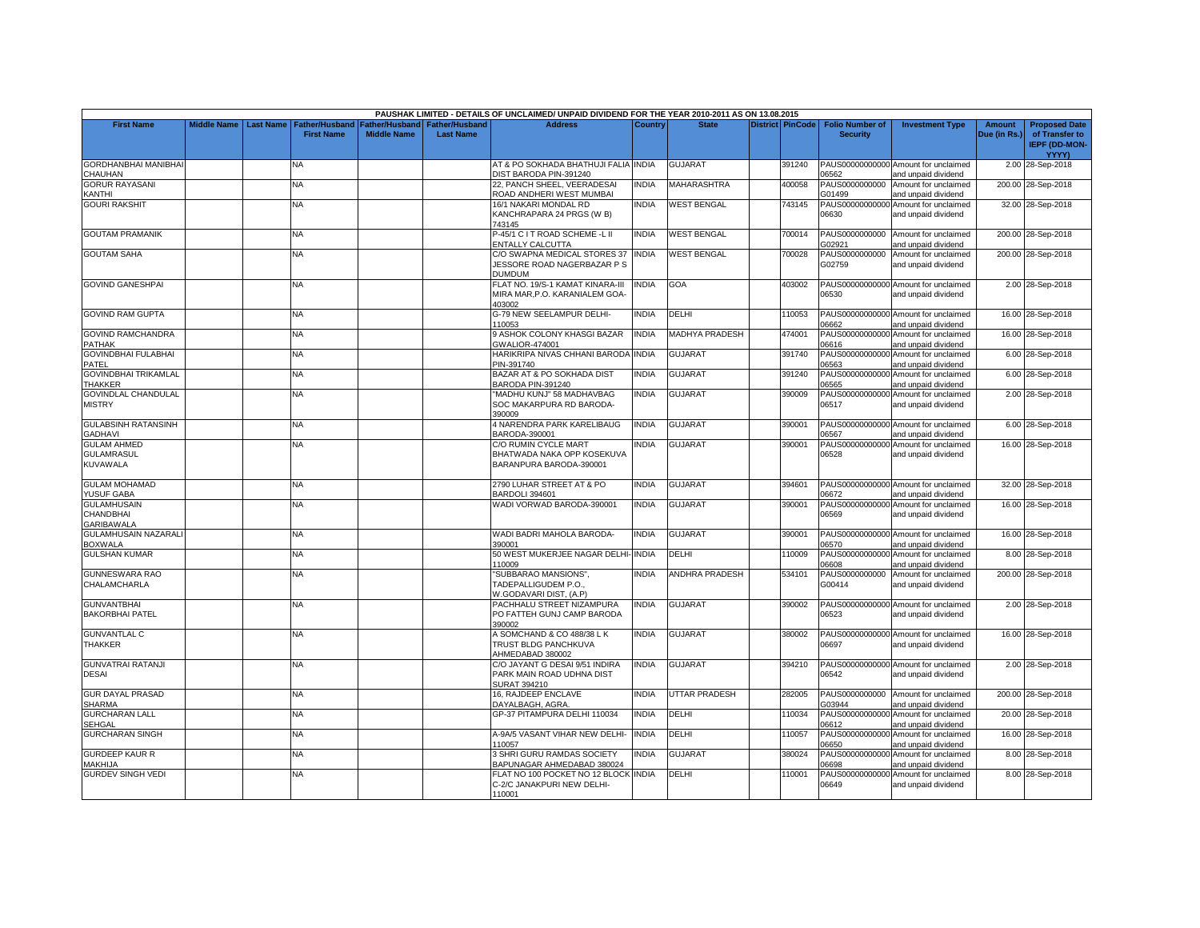|                                                            |             |                  |                                            |                                        |                                    | PAUSHAK LIMITED - DETAILS OF UNCLAIMED/ UNPAID DIVIDEND FOR THE YEAR 2010-2011 AS ON 13.08.2015 |              |                       |                         |                                           |                                                             |                               |                                                                |
|------------------------------------------------------------|-------------|------------------|--------------------------------------------|----------------------------------------|------------------------------------|-------------------------------------------------------------------------------------------------|--------------|-----------------------|-------------------------|-------------------------------------------|-------------------------------------------------------------|-------------------------------|----------------------------------------------------------------|
| <b>First Name</b>                                          | Middle Name | <b>Last Name</b> | <b>Father/Husband</b><br><b>First Name</b> | Father/Husband I<br><b>Middle Name</b> | Father/Husband<br><b>Last Name</b> | <b>Address</b>                                                                                  | Country      | <b>State</b>          | <b>District PinCode</b> | <b>Folio Number of</b><br><b>Security</b> | <b>Investment Type</b>                                      | <b>Amount</b><br>Due (in Rs.) | <b>Proposed Date</b><br>of Transfer to<br><b>IEPF (DD-MON-</b> |
|                                                            |             |                  |                                            |                                        |                                    |                                                                                                 |              |                       |                         |                                           |                                                             |                               | YYYY)                                                          |
| <b>GORDHANBHAI MANIBHAI</b><br>CHAUHAN                     |             |                  | NA.                                        |                                        |                                    | AT & PO SOKHADA BHATHUJI FALIA INDIA<br>DIST BARODA PIN-391240                                  |              | <b>GUJARAT</b>        | 391240                  | 06562                                     | PAUS00000000000 Amount for unclaimed<br>and unpaid dividend |                               | 2.00 28-Sep-2018                                               |
| <b>GORUR RAYASANI</b><br><b>KANTHI</b>                     |             |                  | <b>NA</b>                                  |                                        |                                    | 22. PANCH SHEEL, VEERADESAI<br>ROAD ANDHERI WEST MUMBAI                                         | <b>INDIA</b> | <b>MAHARASHTRA</b>    | 400058                  | PAUS0000000000<br>G01499                  | Amount for unclaimed<br>and unpaid dividend                 |                               | 200.00 28-Sep-2018                                             |
| <b>GOURI RAKSHIT</b>                                       |             |                  | <b>NA</b>                                  |                                        |                                    | 16/1 NAKARI MONDAL RD<br>KANCHRAPARA 24 PRGS (W B)<br>743145                                    | <b>INDIA</b> | <b>WEST BENGAL</b>    | 743145                  | PAUS00000000000<br>06630                  | Amount for unclaimed<br>and unpaid dividend                 |                               | 32.00 28-Sep-2018                                              |
| <b>GOUTAM PRAMANIK</b>                                     |             |                  | NA                                         |                                        |                                    | P-45/1 C I T ROAD SCHEME -L II<br>ENTALLY CALCUTTA                                              | <b>INDIA</b> | <b>WEST BENGAL</b>    | 700014                  | PAUS0000000000<br>G02921                  | Amount for unclaimed<br>and unpaid dividend                 |                               | 200.00 28-Sep-2018                                             |
| <b>GOUTAM SAHA</b>                                         |             |                  | <b>NA</b>                                  |                                        |                                    | C/O SWAPNA MEDICAL STORES 37<br>JESSORE ROAD NAGERBAZAR P S<br>DUMDUM                           | <b>INDIA</b> | <b>WEST BENGAL</b>    | 700028                  | PAUS0000000000<br>G02759                  | Amount for unclaimed<br>and unpaid dividend                 |                               | 200.00 28-Sep-2018                                             |
| <b>GOVIND GANESHPAI</b>                                    |             |                  | NA                                         |                                        |                                    | FLAT NO. 19/S-1 KAMAT KINARA-III<br>MIRA MAR, P.O. KARANIALEM GOA-<br>403002                    | <b>INDIA</b> | GOA                   | 403002                  | 06530                                     | PAUS00000000000 Amount for unclaimed<br>and unpaid dividend |                               | 2.00 28-Sep-2018                                               |
| <b>GOVIND RAM GUPTA</b>                                    |             |                  | ΝA                                         |                                        |                                    | G-79 NEW SEELAMPUR DELHI-<br>110053                                                             | <b>INDIA</b> | DELHI                 | 110053                  | 06662                                     | PAUS00000000000 Amount for unclaimed<br>and unpaid dividend |                               | 16.00 28-Sep-2018                                              |
| <b>GOVIND RAMCHANDRA</b><br><b>PATHAK</b>                  |             |                  | <b>NA</b>                                  |                                        |                                    | <b>J ASHOK COLONY KHASGI BAZAR</b><br>GWALIOR-474001                                            | <b>INDIA</b> | MADHYA PRADESH        | 474001                  | PAUS00000000000<br>06616                  | Amount for unclaimed<br>and unpaid dividend                 |                               | 16.00 28-Sep-2018                                              |
| <b>GOVINDBHAI FULABHAI</b><br>PATEL                        |             |                  | NA                                         |                                        |                                    | HARIKRIPA NIVAS CHHANI BARODA INDIA<br>PIN-391740                                               |              | GUJARAT               | 391740                  | 06563                                     | PAUS00000000000 Amount for unclaimed<br>and unpaid dividend |                               | 6.00 28-Sep-2018                                               |
| <b>GOVINDBHAI TRIKAMLAL</b><br><b>THAKKER</b>              |             |                  | <b>NA</b>                                  |                                        |                                    | BAZAR AT & PO SOKHADA DIST<br>BARODA PIN-391240                                                 | <b>INDIA</b> | GUJARAT               | 391240                  | PAUS00000000000<br>06565                  | Amount for unclaimed<br>and unpaid dividend                 |                               | 6.00 28-Sep-2018                                               |
| GOVINDLAL CHANDULAL<br><b>MISTRY</b>                       |             |                  | <b>NA</b>                                  |                                        |                                    | 'MADHU KUNJ" 58 MADHAVBAG<br>SOC MAKARPURA RD BARODA-<br>390009                                 | <b>INDIA</b> | <b>GUJARAT</b>        | 390009                  | PAUS00000000000<br>06517                  | Amount for unclaimed<br>and unpaid dividend                 |                               | 2.00 28-Sep-2018                                               |
| <b>GULABSINH RATANSINH</b><br><b>GADHAVI</b>               |             |                  | <b>NA</b>                                  |                                        |                                    | 4 NARENDRA PARK KARELIBAUG<br>BARODA-390001                                                     | <b>INDIA</b> | GUJARAT               | 390001                  | 06567                                     | PAUS00000000000 Amount for unclaimed<br>and unpaid dividend |                               | 6.00 28-Sep-2018                                               |
| <b>GULAM AHMED</b><br><b>GULAMRASUL</b><br><b>KUVAWALA</b> |             |                  | <b>NA</b>                                  |                                        |                                    | C/O RUMIN CYCLE MART<br>BHATWADA NAKA OPP KOSEKUVA<br>BARANPURA BARODA-390001                   | <b>INDIA</b> | GUJARAT               | 390001                  | 06528                                     | PAUS00000000000 Amount for unclaimed<br>and unpaid dividend |                               | 16.00 28-Sep-2018                                              |
| <b>GULAM MOHAMAD</b><br>YUSUF GABA                         |             |                  | <b>NA</b>                                  |                                        |                                    | 2790 LUHAR STREET AT & PO<br>BARDOLI 394601                                                     | <b>INDIA</b> | <b>GUJARAT</b>        | 394601                  | 06672                                     | PAUS00000000000 Amount for unclaimed<br>and unpaid dividend |                               | 32.00 28-Sep-2018                                              |
| <b>GULAMHUSAIN</b><br>CHANDBHAI<br><b>GARIBAWALA</b>       |             |                  | <b>NA</b>                                  |                                        |                                    | WADI VORWAD BARODA-390001                                                                       | <b>INDIA</b> | <b>GUJARAT</b>        | 390001                  | 06569                                     | PAUS00000000000 Amount for unclaimed<br>and unpaid dividend |                               | 16.00 28-Sep-2018                                              |
| GULAMHUSAIN NAZARALI<br><b>BOXWALA</b>                     |             |                  | <b>NA</b>                                  |                                        |                                    | WADI BADRI MAHOLA BARODA-<br>390001                                                             | <b>INDIA</b> | <b>GUJARAT</b>        | 390001                  | 06570                                     | PAUS00000000000 Amount for unclaimed<br>and unpaid dividend |                               | 16.00 28-Sep-2018                                              |
| <b>GULSHAN KUMAR</b>                                       |             |                  | NA                                         |                                        |                                    | 50 WEST MUKERJEE NAGAR DELHI-INDIA<br>110009                                                    |              | DELHI                 | 110009                  | PAUS00000000000<br>06608                  | Amount for unclaimed<br>and unpaid dividend                 |                               | 8.00 28-Sep-2018                                               |
| GUNNESWARA RAO<br>CHALAMCHARLA                             |             |                  | <b>NA</b>                                  |                                        |                                    | 'SUBBARAO MANSIONS",<br>TADEPALLIGUDEM P.O.,<br>W.GODAVARI DIST, (A.P)                          | <b>INDIA</b> | <b>ANDHRA PRADESH</b> | 534101                  | PAUS0000000000<br>G00414                  | Amount for unclaimed<br>and unpaid dividend                 |                               | 200.00 28-Sep-2018                                             |
| <b>GUNVANTBHAI</b><br><b>BAKORBHAI PATEL</b>               |             |                  | <b>NA</b>                                  |                                        |                                    | PACHHALU STREET NIZAMPURA<br>PO FATTEH GUNJ CAMP BARODA<br>390002                               | <b>INDIA</b> | <b>GUJARAT</b>        | 390002                  | 06523                                     | PAUS00000000000 Amount for unclaimed<br>and unpaid dividend |                               | 2.00 28-Sep-2018                                               |
| <b>GUNVANTLAL C</b><br>THAKKER                             |             |                  | NA                                         |                                        |                                    | A SOMCHAND & CO 488/38 L K<br>TRUST BLDG PANCHKUVA<br>AHMEDABAD 380002                          | <b>INDIA</b> | <b>GUJARAT</b>        | 380002                  | 06697                                     | PAUS00000000000 Amount for unclaimed<br>and unpaid dividend |                               | 16.00 28-Sep-2018                                              |
| <b>GUNVATRAI RATANJI</b><br><b>DESAI</b>                   |             |                  | NA.                                        |                                        |                                    | C/O JAYANT G DESAI 9/51 INDIRA<br>PARK MAIN ROAD UDHNA DIST<br>SURAT 394210                     | INDIA        | <b>GUJARAT</b>        | 394210                  | 06542                                     | PAUS00000000000 Amount for unclaimed<br>and unpaid dividend |                               | 2.00 28-Sep-2018                                               |
| <b>GUR DAYAL PRASAD</b><br><b>SHARMA</b>                   |             |                  | <b>NA</b>                                  |                                        |                                    | 16, RAJDEEP ENCLAVE<br>DAYALBAGH, AGRA.                                                         | <b>INDIA</b> | UTTAR PRADESH         | 282005                  | PAUS0000000000<br>G03944                  | Amount for unclaimed<br>and unpaid dividend                 |                               | 200.00 28-Sep-2018                                             |
| <b>GURCHARAN LALL</b><br><b>SEHGAL</b>                     |             |                  | NA.                                        |                                        |                                    | GP-37 PITAMPURA DELHI 110034                                                                    | <b>INDIA</b> | DELHI                 | 110034                  | PAUS000000000<br>06612                    | Amount for unclaimed<br>and unpaid dividend                 |                               | 20.00 28-Sep-2018                                              |
| GURCHARAN SINGH                                            |             |                  | <b>NA</b>                                  |                                        |                                    | A-9A/5 VASANT VIHAR NEW DELHI-<br>10057                                                         | <b>INDIA</b> | DELHI                 | 110057                  | PAUS0000000000<br>06650                   | Amount for unclaimed<br>and unpaid dividend                 |                               | 16.00 28-Sep-2018                                              |
| <b>GURDEEP KAUR R</b><br>MAKHIJA                           |             |                  | <b>NA</b>                                  |                                        |                                    | 3 SHRI GURU RAMDAS SOCIETY<br>BAPUNAGAR AHMEDABAD 380024                                        | <b>INDIA</b> | GUJARAT               | 380024                  | PAUS00000000000<br>06698                  | Amount for unclaimed<br>and unpaid dividend                 |                               | 8.00 28-Sep-2018                                               |
| <b>GURDEV SINGH VEDI</b>                                   |             |                  | NA                                         |                                        |                                    | FLAT NO 100 POCKET NO 12 BLOCK INDIA<br>C-2/C JANAKPURI NEW DELHI-<br>110001                    |              | DELHI                 | 110001                  | PAUS00000000000<br>06649                  | Amount for unclaimed<br>and unpaid dividend                 |                               | 8.00 28-Sep-2018                                               |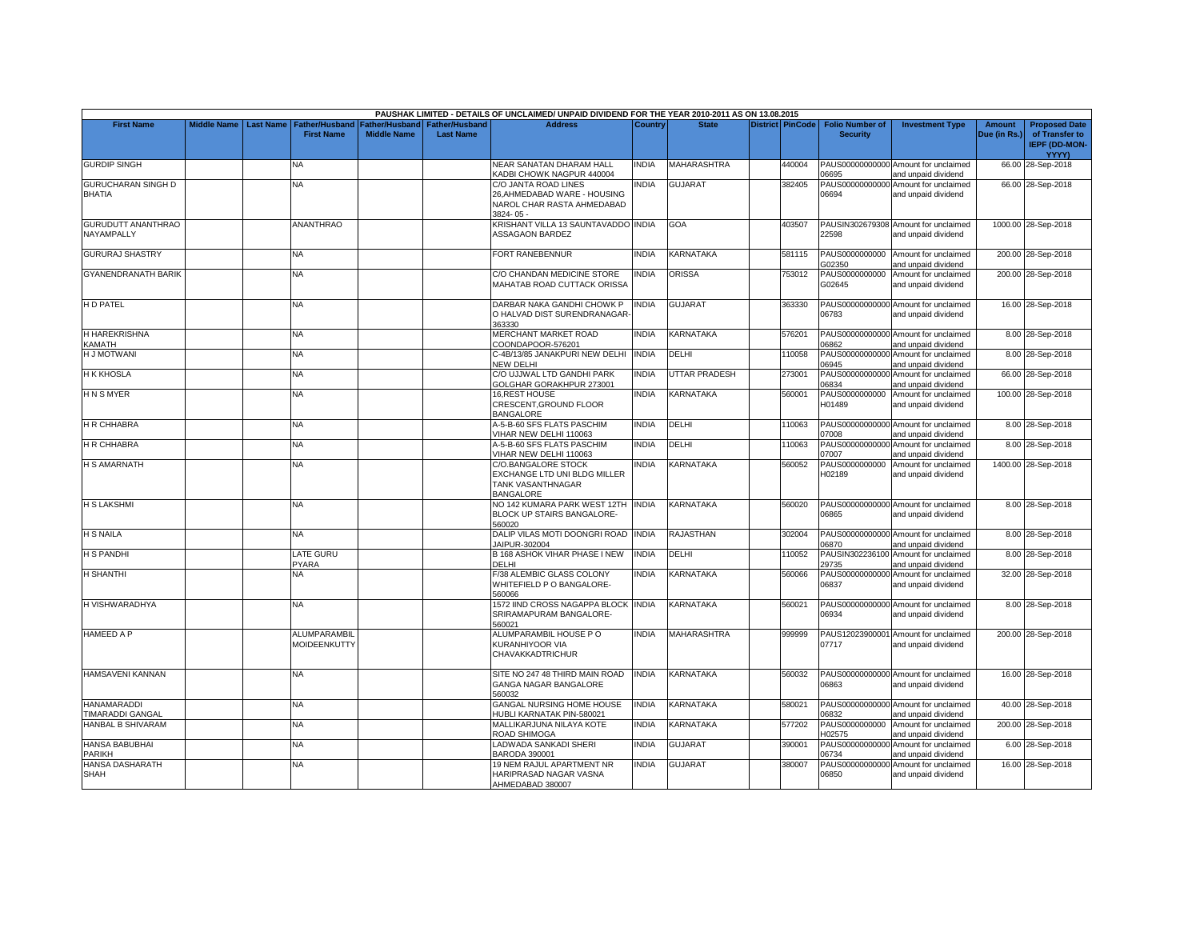|                                         |                    |                  |                                            |                    |                                                     | PAUSHAK LIMITED - DETAILS OF UNCLAIMED/ UNPAID DIVIDEND FOR THE YEAR 2010-2011 AS ON 13.08.2015     |              |                      |                  |                                           |                                                             |                               |                                                                         |
|-----------------------------------------|--------------------|------------------|--------------------------------------------|--------------------|-----------------------------------------------------|-----------------------------------------------------------------------------------------------------|--------------|----------------------|------------------|-------------------------------------------|-------------------------------------------------------------|-------------------------------|-------------------------------------------------------------------------|
| <b>First Name</b>                       | <b>Middle Name</b> | <b>Last Name</b> | <b>Father/Husband</b><br><b>First Name</b> | <b>Middle Name</b> | Father/Husband   Father/Husband<br><b>Last Name</b> | <b>Address</b>                                                                                      | Country      | <b>State</b>         | District PinCode | <b>Folio Number of</b><br><b>Security</b> | <b>Investment Type</b>                                      | <b>Amount</b><br>Due (in Rs.) | <b>Proposed Date</b><br>of Transfer to<br><b>IEPF (DD-MON-</b><br>YYYY) |
| <b>GURDIP SINGH</b>                     |                    |                  | NA                                         |                    |                                                     | NEAR SANATAN DHARAM HALL<br>KADBI CHOWK NAGPUR 440004                                               | INDIA        | MAHARASHTRA          | 440004           | 06695                                     | PAUS00000000000 Amount for unclaimed<br>and unpaid dividend |                               | 66.00 28-Sep-2018                                                       |
| GURUCHARAN SINGH D<br><b>BHATIA</b>     |                    |                  | <b>NA</b>                                  |                    |                                                     | C/O JANTA ROAD LINES<br>26, AHMEDABAD WARE - HOUSING<br>NAROL CHAR RASTA AHMEDABAD<br>3824-05-      | <b>INDIA</b> | <b>GUJARAT</b>       | 382405           | PAUS00000000000<br>06694                  | Amount for unclaimed<br>and unpaid dividend                 |                               | 66.00 28-Sep-2018                                                       |
| <b>GURUDUTT ANANTHRAO</b><br>NAYAMPALLY |                    |                  | <b>ANANTHRAO</b>                           |                    |                                                     | KRISHANT VILLA 13 SAUNTAVADDO INDIA<br><b>ASSAGAON BARDEZ</b>                                       |              | GOA                  | 403507           | 22598                                     | PAUSIN302679308 Amount for unclaimed<br>and unpaid dividend |                               | 1000.00 28-Sep-2018                                                     |
| <b>GURURAJ SHASTRY</b>                  |                    |                  | NA                                         |                    |                                                     | FORT RANEBENNUR                                                                                     | <b>INDIA</b> | KARNATAKA            | 581115           | PAUS0000000000<br>G02350                  | Amount for unclaimed<br>and unpaid dividend                 |                               | 200.00 28-Sep-2018                                                      |
| <b>GYANENDRANATH BARIK</b>              |                    |                  | <b>NA</b>                                  |                    |                                                     | C/O CHANDAN MEDICINE STORE<br>MAHATAB ROAD CUTTACK ORISSA                                           | <b>INDIA</b> | <b>ORISSA</b>        | 753012           | PAUS0000000000<br>G02645                  | Amount for unclaimed<br>and unpaid dividend                 |                               | 200.00 28-Sep-2018                                                      |
| H D PATEL                               |                    |                  | <b>NA</b>                                  |                    |                                                     | DARBAR NAKA GANDHI CHOWK P<br>O HALVAD DIST SURENDRANAGAR<br>363330                                 | <b>INDIA</b> | <b>GUJARAT</b>       | 363330           | PAUS00000000000<br>06783                  | Amount for unclaimed<br>and unpaid dividend                 |                               | 16.00 28-Sep-2018                                                       |
| H HAREKRISHNA<br><b>CAMATH</b>          |                    |                  | NA                                         |                    |                                                     | MERCHANT MARKET ROAD<br>COONDAPOOR-576201                                                           | <b>INDIA</b> | KARNATAKA            | 576201           | 06862                                     | PAUS00000000000 Amount for unclaimed<br>and unpaid dividend |                               | 8.00 28-Sep-2018                                                        |
| <b>H J MOTWANI</b>                      |                    |                  | <b>NA</b>                                  |                    |                                                     | C-4B/13/85 JANAKPURI NEW DELHI<br><b>NEW DELHI</b>                                                  | <b>INDIA</b> | <b>DELHI</b>         | 110058           | 06945                                     | PAUS00000000000 Amount for unclaimed<br>and unpaid dividend |                               | 8.00 28-Sep-2018                                                        |
| H K KHOSLA                              |                    |                  | NA                                         |                    |                                                     | C/O UJJWAL LTD GANDHI PARK<br><b>GOLGHAR GORAKHPUR 273001</b>                                       | <b>INDIA</b> | <b>UTTAR PRADESH</b> | 273001           | PAUS00000000000<br>06834                  | Amount for unclaimed<br>and unpaid dividend                 |                               | 66.00 28-Sep-2018                                                       |
| <b>HNSMYER</b>                          |                    |                  | <b>NA</b>                                  |                    |                                                     | <b>16.REST HOUSE</b><br>CRESCENT, GROUND FLOOR<br><b>BANGALORE</b>                                  | <b>INDIA</b> | <b>KARNATAKA</b>     | 560001           | PAUS0000000000<br>H01489                  | Amount for unclaimed<br>and unpaid dividend                 |                               | 100.00 28-Sep-2018                                                      |
| H R CHHABRA                             |                    |                  | <b>NA</b>                                  |                    |                                                     | A-5-B-60 SFS FLATS PASCHIM<br>VIHAR NEW DELHI 110063                                                | <b>INDIA</b> | DELHI                | 110063           | PAUS00000000000<br>07008                  | Amount for unclaimed<br>and unpaid dividend                 |                               | 8.00 28-Sep-2018                                                        |
| H R CHHABRA                             |                    |                  | <b>NA</b>                                  |                    |                                                     | A-5-B-60 SFS FLATS PASCHIM<br>VIHAR NEW DELHI 110063                                                | <b>INDIA</b> | <b>DELHI</b>         | 110063           | 07007                                     | PAUS00000000000 Amount for unclaimed<br>and unpaid dividend |                               | 8.00 28-Sep-2018                                                        |
| <b>H S AMARNATH</b>                     |                    |                  | NA                                         |                    |                                                     | C/O.BANGALORE STOCK<br>EXCHANGE LTD UNI BLDG MILLER<br><b>TANK VASANTHNAGAR</b><br><b>BANGALORE</b> | INDIA        | KARNATAKA            | 560052           | PAUS0000000000<br>H02189                  | Amount for unclaimed<br>and unpaid dividend                 |                               | 1400.00 28-Sep-2018                                                     |
| <b>H S LAKSHMI</b>                      |                    |                  | <b>NA</b>                                  |                    |                                                     | NO 142 KUMARA PARK WEST 12TH INDIA<br>BLOCK UP STAIRS BANGALORE-<br>560020                          |              | <b>KARNATAKA</b>     | 560020           | 06865                                     | PAUS00000000000 Amount for unclaimed<br>and unpaid dividend |                               | 8.00 28-Sep-2018                                                        |
| <b>H S NAILA</b>                        |                    |                  | <b>NA</b>                                  |                    |                                                     | DALIP VILAS MOTI DOONGRI ROAD<br>JAIPUR-302004                                                      | <b>INDIA</b> | <b>RAJASTHAN</b>     | 302004           | 06870                                     | PAUS00000000000 Amount for unclaimed<br>and unpaid dividend |                               | 8.00 28-Sep-2018                                                        |
| H S PANDHI                              |                    |                  | <b>LATE GURU</b><br>PYARA                  |                    |                                                     | B 168 ASHOK VIHAR PHASE I NEW<br><b>DELHI</b>                                                       | <b>INDIA</b> | DELHI                | 110052           | 29735                                     | PAUSIN302236100 Amount for unclaimed<br>and unpaid dividend |                               | 8.00 28-Sep-2018                                                        |
| <b>H SHANTHI</b>                        |                    |                  | <b>NA</b>                                  |                    |                                                     | F/38 ALEMBIC GLASS COLONY<br>WHITEFIELD P O BANGALORE-<br>560066                                    | <b>INDIA</b> | KARNATAKA            | 560066           | PAUS00000000000<br>06837                  | Amount for unclaimed<br>and unpaid dividend                 |                               | 32.00 28-Sep-2018                                                       |
| H VISHWARADHYA                          |                    |                  | <b>NA</b>                                  |                    |                                                     | 1572 IIND CROSS NAGAPPA BLOCK<br>SRIRAMAPURAM BANGALORE-<br>560021                                  | <b>INDIA</b> | KARNATAKA            | 560021           | PAUS00000000000<br>06934                  | Amount for unclaimed<br>and unpaid dividend                 |                               | 8.00 28-Sep-2018                                                        |
| HAMEED A P                              |                    |                  | <b>ALUMPARAMBIL</b><br>MOIDEENKUTTY        |                    |                                                     | ALUMPARAMBIL HOUSE PO<br>KURANHIYOOR VIA<br><b>CHAVAKKADTRICHUR</b>                                 | <b>INDIA</b> | MAHARASHTRA          | 999999           | 07717                                     | PAUS12023900001 Amount for unclaimed<br>and unpaid dividend |                               | 200.00 28-Sep-2018                                                      |
| HAMSAVENI KANNAN                        |                    |                  | <b>NA</b>                                  |                    |                                                     | SITE NO 247 48 THIRD MAIN ROAD<br>GANGA NAGAR BANGALORE<br>560032                                   | <b>INDIA</b> | <b>KARNATAKA</b>     | 560032           | 06863                                     | PAUS00000000000 Amount for unclaimed<br>and unpaid dividend |                               | 16.00 28-Sep-2018                                                       |
| <b>HANAMARADDI</b><br>TIMARADDI GANGAL  |                    |                  | <b>NA</b>                                  |                    |                                                     | <b>GANGAL NURSING HOME HOUSE</b><br>HUBLI KARNATAK PIN-580021                                       | <b>INDIA</b> | <b>KARNATAKA</b>     | 580021           | 06832                                     | PAUS00000000000 Amount for unclaimed<br>and unpaid dividend |                               | 40.00 28-Sep-2018                                                       |
| HANBAL B SHIVARAM                       |                    |                  | <b>NA</b>                                  |                    |                                                     | MALLIKARJUNA NILAYA KOTE<br>ROAD SHIMOGA                                                            | <b>INDIA</b> | KARNATAKA            | 577202           | PAUS0000000000<br>102575                  | Amount for unclaimed<br>and unpaid dividend                 |                               | 200.00 28-Sep-2018                                                      |
| <b>HANSA BABUBHAI</b><br><b>PARIKH</b>  |                    |                  | <b>NA</b>                                  |                    |                                                     | LADWADA SANKADI SHERI<br>BARODA 390001                                                              | <b>INDIA</b> | <b>GUJARAT</b>       | 390001           | PAUS0000000000<br>06734                   | Amount for unclaimed<br>and unpaid dividend                 |                               | 6.00 28-Sep-2018                                                        |
| HANSA DASHARATH<br><b>SHAH</b>          |                    |                  | NA                                         |                    |                                                     | 19 NEM RAJUL APARTMENT NR<br>HARIPRASAD NAGAR VASNA<br>AHMEDABAD 380007                             | <b>INDIA</b> | <b>GUJARAT</b>       | 380007           | PAUS00000000000<br>06850                  | Amount for unclaimed<br>and unpaid dividend                 |                               | 16.00 28-Sep-2018                                                       |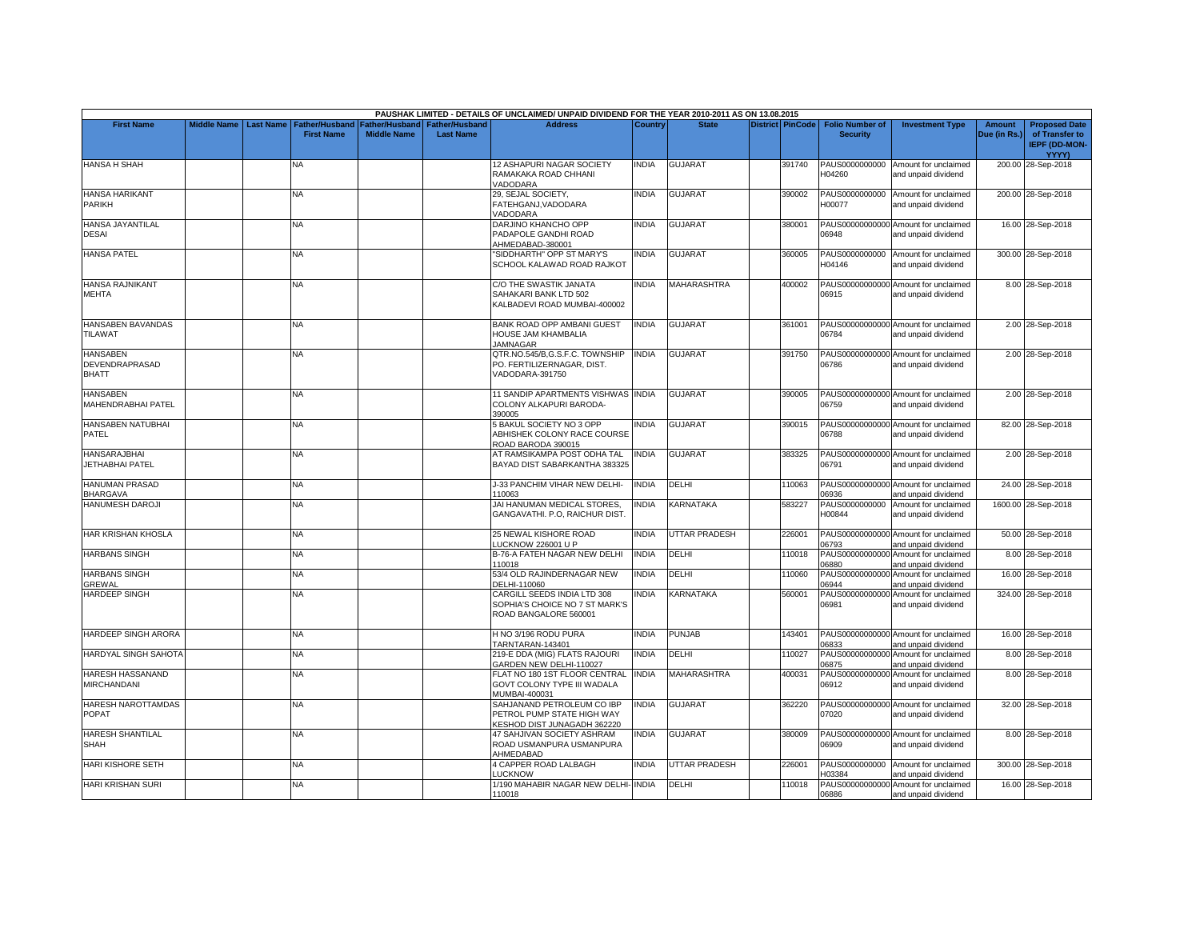|                                                   |                    |                  |                                            |                                             |                                           | PAUSHAK LIMITED - DETAILS OF UNCLAIMED/ UNPAID DIVIDEND FOR THE YEAR 2010-2011 AS ON 13.08.2015 |              |                      |                         |                                           |                                                             |                               |                                                                         |
|---------------------------------------------------|--------------------|------------------|--------------------------------------------|---------------------------------------------|-------------------------------------------|-------------------------------------------------------------------------------------------------|--------------|----------------------|-------------------------|-------------------------------------------|-------------------------------------------------------------|-------------------------------|-------------------------------------------------------------------------|
| <b>First Name</b>                                 | <b>Middle Name</b> | <b>Last Name</b> | <b>Father/Husband</b><br><b>First Name</b> | <b>Father/Husband</b><br><b>Middle Name</b> | <b>Father/Husband</b><br><b>Last Name</b> | <b>Address</b>                                                                                  | Country      | <b>State</b>         | <b>District PinCode</b> | <b>Folio Number of</b><br><b>Security</b> | <b>Investment Type</b>                                      | <b>Amount</b><br>Due (in Rs.) | <b>Proposed Date</b><br>of Transfer to<br><b>IEPF (DD-MON-</b><br>YYYY) |
| <b>HANSA H SHAH</b>                               |                    |                  | NА                                         |                                             |                                           | 12 ASHAPURI NAGAR SOCIETY<br>RAMAKAKA ROAD CHHANI<br>VADODARA                                   | <b>INDIA</b> | <b>GUJARAT</b>       | 391740                  | H04260                                    | PAUS0000000000 Amount for unclaimed<br>and unpaid dividend  |                               | 200.00 28-Sep-2018                                                      |
| <b>HANSA HARIKANT</b><br><b>PARIKH</b>            |                    |                  | NA.                                        |                                             |                                           | 29, SEJAL SOCIETY,<br>FATEHGANJ, VADODARA<br>VADODARA                                           | <b>INDIA</b> | GUJARAT              | 390002                  | PAUS0000000000<br>H00077                  | Amount for unclaimed<br>and unpaid dividend                 |                               | 200.00 28-Sep-2018                                                      |
| <b>HANSA JAYANTILAL</b><br><b>DESAI</b>           |                    |                  | NA.                                        |                                             |                                           | DARJINO KHANCHO OPP<br>PADAPOLE GANDHI ROAD<br>AHMEDABAD-380001                                 | <b>INDIA</b> | <b>GUJARAT</b>       | 380001                  | 06948                                     | PAUS00000000000 Amount for unclaimed<br>and unpaid dividend |                               | 16.00 28-Sep-2018                                                       |
| <b>HANSA PATEL</b>                                |                    |                  | NA.                                        |                                             |                                           | "SIDDHARTH" OPP ST MARY'S<br>SCHOOL KALAWAD ROAD RAJKOT                                         | <b>INDIA</b> | GUJARAT              | 360005                  | PAUS0000000000<br>H04146                  | Amount for unclaimed<br>and unpaid dividend                 |                               | 300.00 28-Sep-2018                                                      |
| <b>HANSA RAJNIKANT</b><br><b>MEHTA</b>            |                    |                  | NA.                                        |                                             |                                           | C/O THE SWASTIK JANATA<br>SAHAKARI BANK LTD 502<br>KALBADEVI ROAD MUMBAI-400002                 | <b>INDIA</b> | MAHARASHTRA          | 400002                  | 06915                                     | PAUS00000000000 Amount for unclaimed<br>and unpaid dividend |                               | 8.00 28-Sep-2018                                                        |
| <b>HANSABEN BAVANDAS</b><br><b>TILAWAT</b>        |                    |                  | <b>NA</b>                                  |                                             |                                           | BANK ROAD OPP AMBANI GUEST<br>HOUSE JAM KHAMBALIA<br><b>JAMNAGAR</b>                            | <b>INDIA</b> | <b>GUJARAT</b>       | 361001                  | 06784                                     | PAUS00000000000 Amount for unclaimed<br>and unpaid dividend |                               | 2.00 28-Sep-2018                                                        |
| <b>HANSABEN</b><br>DEVENDRAPRASAD<br><b>BHATT</b> |                    |                  | NΑ                                         |                                             |                                           | QTR.NO.545/B,G.S.F.C. TOWNSHIP<br>PO. FERTILIZERNAGAR, DIST.<br>VADODARA-391750                 | <b>INDIA</b> | GUJARAT              | 391750                  | 06786                                     | PAUS00000000000 Amount for unclaimed<br>and unpaid dividend |                               | 2.00 28-Sep-2018                                                        |
| <b>HANSABEN</b><br>MAHENDRABHAI PATEL             |                    |                  | <b>NA</b>                                  |                                             |                                           | 11 SANDIP APARTMENTS VISHWAS INDIA<br>COLONY ALKAPURI BARODA-<br>390005                         |              | <b>GUJARAT</b>       | 390005                  | 06759                                     | PAUS00000000000 Amount for unclaimed<br>and unpaid dividend |                               | 2.00 28-Sep-2018                                                        |
| <b>HANSABEN NATUBHAI</b><br><b>PATEL</b>          |                    |                  | NA                                         |                                             |                                           | 5 BAKUL SOCIETY NO 3 OPP<br>ABHISHEK COLONY RACE COURSE<br>ROAD BARODA 390015                   | <b>INDIA</b> | GUJARAT              | 390015                  | 06788                                     | PAUS00000000000 Amount for unclaimed<br>and unpaid dividend |                               | 82.00 28-Sep-2018                                                       |
| <b>HANSARAJBHAI</b><br>JETHABHAI PATEL            |                    |                  | <b>NA</b>                                  |                                             |                                           | AT RAMSIKAMPA POST ODHA TAL<br>BAYAD DIST SABARKANTHA 383325                                    | <b>INDIA</b> | <b>GUJARAT</b>       | 383325                  | 06791                                     | PAUS00000000000 Amount for unclaimed<br>and unpaid dividend |                               | 2.00 28-Sep-2018                                                        |
| <b>HANUMAN PRASAD</b><br><b>BHARGAVA</b>          |                    |                  | ΝA                                         |                                             |                                           | J-33 PANCHIM VIHAR NEW DELHI-<br>110063                                                         | <b>INDIA</b> | DELHI                | 110063                  | 06936                                     | PAUS00000000000 Amount for unclaimed<br>and unpaid dividend |                               | 24.00 28-Sep-2018                                                       |
| <b>HANUMESH DAROJI</b>                            |                    |                  | NA                                         |                                             |                                           | JAI HANUMAN MEDICAL STORES,<br>GANGAVATHI. P.O, RAICHUR DIST.                                   | <b>INDIA</b> | <b>KARNATAKA</b>     | 583227                  | PAUS0000000000<br>H00844                  | Amount for unclaimed<br>and unpaid dividend                 |                               | 1600.00 28-Sep-2018                                                     |
| HAR KRISHAN KHOSLA                                |                    |                  | NA                                         |                                             |                                           | 25 NEWAL KISHORE ROAD<br>LUCKNOW 226001 U P                                                     | <b>INDIA</b> | <b>JTTAR PRADESH</b> | 226001                  | 06793                                     | PAUS00000000000 Amount for unclaimed<br>and unpaid dividend |                               | 50.00 28-Sep-2018                                                       |
| <b>HARBANS SINGH</b>                              |                    |                  | NA                                         |                                             |                                           | B-76-A FATEH NAGAR NEW DELHI<br>110018                                                          | <b>INDIA</b> | DELHI                | 110018                  | 06880                                     | PAUS00000000000 Amount for unclaimed<br>and unpaid dividend |                               | 8.00 28-Sep-2018                                                        |
| <b>HARBANS SINGH</b><br><b>SREWAL</b>             |                    |                  | NA                                         |                                             |                                           | 53/4 OLD RAJINDERNAGAR NEW<br>DELHI-110060                                                      | <b>INDIA</b> | DELHI                | 110060                  | 06944                                     | PAUS00000000000 Amount for unclaimed<br>and unpaid dividend |                               | 16.00 28-Sep-2018                                                       |
| <b>HARDEEP SINGH</b>                              |                    |                  | NA                                         |                                             |                                           | CARGILL SEEDS INDIA LTD 308<br>SOPHIA'S CHOICE NO 7 ST MARK'S<br>ROAD BANGALORE 560001          | <b>INDIA</b> | <b>KARNATAKA</b>     | 560001                  | 06981                                     | PAUS00000000000 Amount for unclaimed<br>and unpaid dividend |                               | 324.00 28-Sep-2018                                                      |
| <b>HARDEEP SINGH ARORA</b>                        |                    |                  | <b>NA</b>                                  |                                             |                                           | H NO 3/196 RODU PURA<br>TARNTARAN-143401                                                        | <b>INDIA</b> | <b>PUNJAB</b>        | 143401                  | 06833                                     | PAUS00000000000 Amount for unclaimed<br>and unpaid dividend |                               | 16.00 28-Sep-2018                                                       |
| <b>HARDYAL SINGH SAHOTA</b>                       |                    |                  | NA.                                        |                                             |                                           | 219-E DDA (MIG) FLATS RAJOURI<br>GARDEN NEW DELHI-110027                                        | <b>INDIA</b> | DELHI                | 110027                  | 06875                                     | PAUS00000000000 Amount for unclaimed<br>and unpaid dividend |                               | 8.00 28-Sep-2018                                                        |
| HARESH HASSANAND<br><b>MIRCHANDANI</b>            |                    |                  | ΝA                                         |                                             |                                           | FLAT NO 180 1ST FLOOR CENTRAL<br>GOVT COLONY TYPE III WADALA<br>MUMBAI-400031                   | <b>INDIA</b> | MAHARASHTRA          | 400031                  | 06912                                     | PAUS00000000000 Amount for unclaimed<br>and unpaid dividend |                               | 8.00 28-Sep-2018                                                        |
| HARESH NAROTTAMDAS<br>POPAT                       |                    |                  | <b>NA</b>                                  |                                             |                                           | SAHJANAND PETROLEUM CO IBP<br>PETROL PUMP STATE HIGH WAY<br>KESHOD DIST JUNAGADH 362220         | <b>INDIA</b> | <b>GUJARAT</b>       | 362220                  | 07020                                     | PAUS00000000000 Amount for unclaimed<br>and unpaid dividend |                               | 32.00 28-Sep-2018                                                       |
| <b>HARESH SHANTILAL</b><br>SHAH                   |                    |                  | NA                                         |                                             |                                           | 47 SAHJIVAN SOCIETY ASHRAM<br>ROAD USMANPURA USMANPURA<br>AHMEDABAD                             | <b>INDIA</b> | <b>GUJARAT</b>       | 380009                  | 06909                                     | PAUS00000000000 Amount for unclaimed<br>and unpaid dividend |                               | 8.00 28-Sep-2018                                                        |
| <b>HARI KISHORE SETH</b>                          |                    |                  | NA                                         |                                             |                                           | <b>4 CAPPER ROAD LALBAGH</b><br><b>LUCKNOW</b>                                                  | <b>INDIA</b> | UTTAR PRADESH        | 226001                  | H03384                                    | PAUS0000000000 Amount for unclaimed<br>and unpaid dividend  |                               | 300.00 28-Sep-2018                                                      |
| <b>HARI KRISHAN SURI</b>                          |                    |                  | NA.                                        |                                             |                                           | 1/190 MAHABIR NAGAR NEW DELHI- INDIA<br>110018                                                  |              | DELHI                | 110018                  | 06886                                     | PAUS00000000000 Amount for unclaimed<br>and unpaid dividend |                               | 16.00 28-Sep-2018                                                       |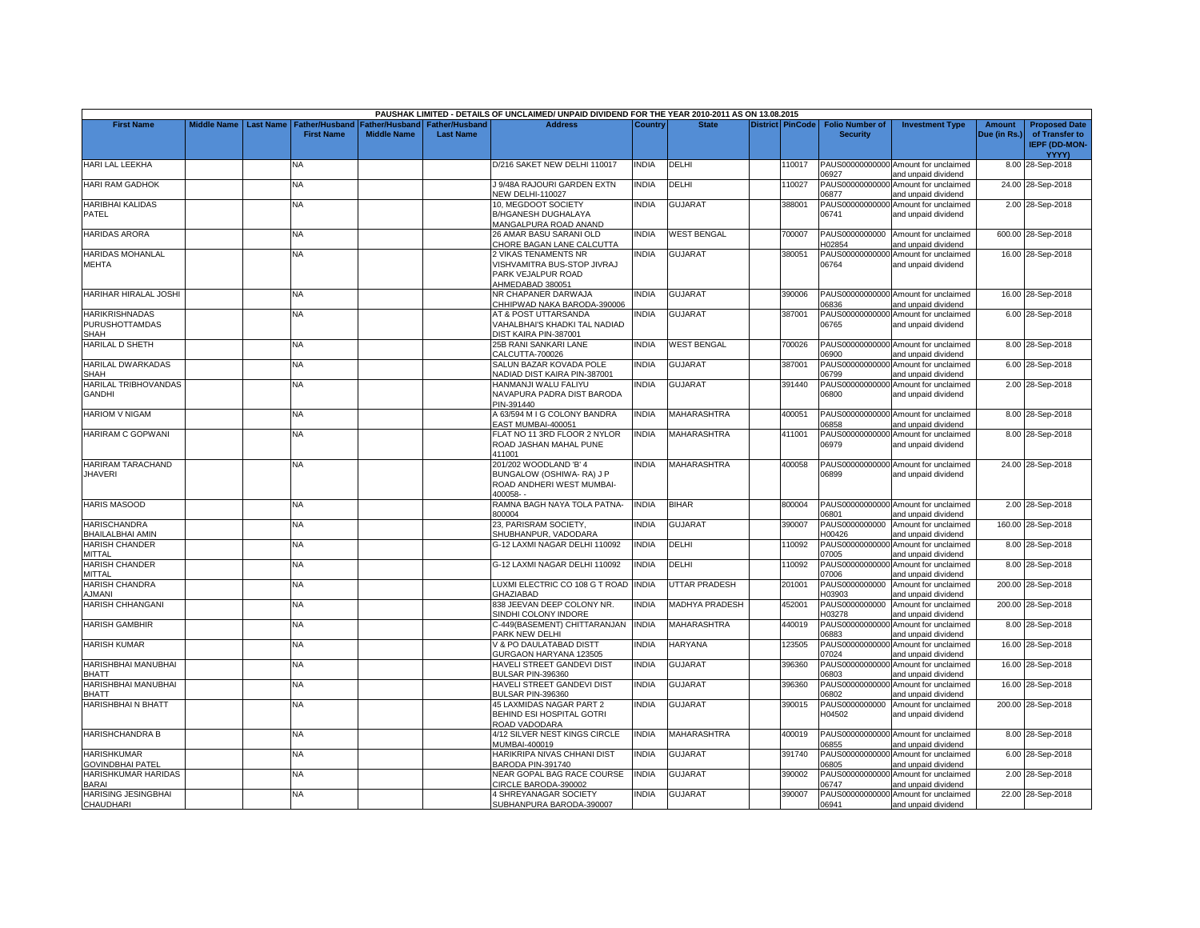|                                                        |                    |                  |                       |                    |                  | PAUSHAK LIMITED - DETAILS OF UNCLAIMED/ UNPAID DIVIDEND FOR THE YEAR 2010-2011 AS ON 13.08.2015 |              |                       |                         |                          |                                                             |              |                                                        |
|--------------------------------------------------------|--------------------|------------------|-----------------------|--------------------|------------------|-------------------------------------------------------------------------------------------------|--------------|-----------------------|-------------------------|--------------------------|-------------------------------------------------------------|--------------|--------------------------------------------------------|
| <b>First Name</b>                                      | <b>Middle Name</b> | <b>Last Name</b> | <b>Father/Husband</b> | Father/Husband     | Father/Husband   | <b>Address</b>                                                                                  | Country      | <b>State</b>          | <b>District PinCode</b> | <b>Folio Number of</b>   | <b>Investment Type</b>                                      | Amount       | <b>Proposed Date</b>                                   |
|                                                        |                    |                  | <b>First Name</b>     | <b>Middle Name</b> | <b>Last Name</b> |                                                                                                 |              |                       |                         | <b>Security</b>          |                                                             | Due (in Rs.) | of Transfer to<br><b>IEPF (DD-MON-</b><br><b>YYYY)</b> |
| HARI LAL LEEKHA                                        |                    |                  | N٨                    |                    |                  | D/216 SAKET NEW DELHI 110017                                                                    | <b>INDIA</b> | DELHI                 | 110017                  | 06927                    | PAUS00000000000 Amount for unclaimed<br>and unpaid dividend |              | 8.00 28-Sep-2018                                       |
| <b>HARI RAM GADHOK</b>                                 |                    |                  | ΝA                    |                    |                  | J 9/48A RAJOURI GARDEN EXTN<br>NEW DELHI-110027                                                 | INDIA        | DELHI                 | 110027                  | 06877                    | PAUS00000000000 Amount for unclaimed<br>and unpaid dividend |              | 24.00 28-Sep-2018                                      |
| <b>HARIBHAI KALIDAS</b><br>PATEL                       |                    |                  | NA.                   |                    |                  | 10, MEGDOOT SOCIETY<br><b>B/HGANESH DUGHALAYA</b><br>MANGALPURA ROAD ANAND                      | <b>INDIA</b> | <b>GUJARAT</b>        | 388001                  | 06741                    | PAUS00000000000 Amount for unclaimed<br>and unpaid dividend |              | 2.00 28-Sep-2018                                       |
| <b>HARIDAS ARORA</b>                                   |                    |                  | NA                    |                    |                  | 26 AMAR BASU SARANI OLD<br>CHORE BAGAN LANE CALCUTTA                                            | <b>INDIA</b> | <b>WEST BENGAL</b>    | 700007                  | H02854                   | PAUS0000000000 Amount for unclaimed<br>and unpaid dividend  |              | 600.00 28-Sep-2018                                     |
| <b>HARIDAS MOHANLAL</b><br><b>MEHTA</b>                |                    |                  | NA.                   |                    |                  | 2 VIKAS TENAMENTS NR<br>VISHVAMITRA BUS-STOP JIVRAJ<br>PARK VEJALPUR ROAD<br>AHMEDABAD 380051   | <b>INDIA</b> | GUJARAT               | 380051                  | 06764                    | PAUS00000000000 Amount for unclaimed<br>and unpaid dividend |              | 16.00 28-Sep-2018                                      |
| HARIHAR HIRALAL JOSHI                                  |                    |                  | NΑ                    |                    |                  | NR CHAPANER DARWAJA<br>CHHIPWAD NAKA BARODA-390006                                              | INDIA        | GUJARAT               | 390006                  | 06836                    | PAUS00000000000 Amount for unclaimed<br>and unpaid dividend |              | 16.00 28-Sep-2018                                      |
| <b>HARIKRISHNADAS</b><br><b>PURUSHOTTAMDAS</b><br>SHAH |                    |                  | NA                    |                    |                  | <b>AT &amp; POST UTTARSANDA</b><br>VAHALBHAI'S KHADKI TAL NADIAD<br>DIST KAIRA PIN-387001       | <b>NDIA</b>  | <b>GUJARAT</b>        | 387001                  | 06765                    | PAUS00000000000 Amount for unclaimed<br>and unpaid dividend |              | 6.00 28-Sep-2018                                       |
| <b>HARILAL D SHETH</b>                                 |                    |                  | NA                    |                    |                  | 25B RANI SANKARI LANE<br>CALCUTTA-700026                                                        | <b>INDIA</b> | <b>WEST BENGAL</b>    | 700026                  | 06900                    | PAUS00000000000 Amount for unclaimed<br>and unpaid dividend |              | 8.00 28-Sep-2018                                       |
| <b>HARILAL DWARKADAS</b><br>SHAH                       |                    |                  | ΝĀ                    |                    |                  | SALUN BAZAR KOVADA POLE<br>NADIAD DIST KAIRA PIN-387001                                         | INDIA        | GUJARAT               | 387001                  | 06799                    | PAUS00000000000 Amount for unclaimed<br>and unpaid dividend |              | 6.00 28-Sep-2018                                       |
| HARILAL TRIBHOVANDAS<br><b>GANDHI</b>                  |                    |                  | <b>NA</b>             |                    |                  | HANMANJI WALU FALIYU<br>NAVAPURA PADRA DIST BARODA<br>PIN-391440                                | INDIA        | <b>GUJARAT</b>        | 391440                  | 06800                    | PAUS00000000000 Amount for unclaimed<br>and unpaid dividend |              | 2.00 28-Sep-2018                                       |
| <b>HARIOM V NIGAM</b>                                  |                    |                  | NA                    |                    |                  | A 63/594 M I G COLONY BANDRA<br>EAST MUMBAI-400051                                              | <b>INDIA</b> | MAHARASHTRA           | 400051                  | 06858                    | PAUS00000000000 Amount for unclaimed<br>and unpaid dividend |              | 8.00 28-Sep-2018                                       |
| <b>HARIRAM C GOPWANI</b>                               |                    |                  | NA.                   |                    |                  | FLAT NO 11 3RD FLOOR 2 NYLOR<br>ROAD JASHAN MAHAL PUNE<br>411001                                | <b>INDIA</b> | <b>MAHARASHTRA</b>    | 411001                  | 06979                    | PAUS00000000000 Amount for unclaimed<br>and unpaid dividend |              | 8.00 28-Sep-2018                                       |
| <b>HARIRAM TARACHAND</b><br><b>JHAVERI</b>             |                    |                  | NA                    |                    |                  | 201/202 WOODLAND 'B' 4<br>BUNGALOW (OSHIWA- RA) J P<br>ROAD ANDHERI WEST MUMBAI-<br>400058-     | INDIA        | MAHARASHTRA           | 400058                  | 06899                    | PAUS00000000000 Amount for unclaimed<br>and unpaid dividend |              | 24.00 28-Sep-2018                                      |
| <b>HARIS MASOOD</b>                                    |                    |                  | NA.                   |                    |                  | RAMNA BAGH NAYA TOLA PATNA-<br>800004                                                           | <b>INDIA</b> | <b>BIHAR</b>          | 800004                  | 06801                    | PAUS00000000000 Amount for unclaimed<br>and unpaid dividend |              | 2.00 28-Sep-2018                                       |
| <b>HARISCHANDRA</b><br>BHAILALBHAI AMIN                |                    |                  | <b>NA</b>             |                    |                  | 23, PARISRAM SOCIETY,<br>SHUBHANPUR, VADODARA                                                   | <b>INDIA</b> | <b>GUJARAT</b>        | 390007                  | PAUS0000000000<br>H00426 | Amount for unclaimed<br>and unpaid dividend                 |              | 160.00 28-Sep-2018                                     |
| <b>HARISH CHANDER</b><br>MITTAL                        |                    |                  | NA.                   |                    |                  | G-12 LAXMI NAGAR DELHI 110092                                                                   | <b>INDIA</b> | DELHI                 | 110092                  | PAUS00000000000<br>07005 | Amount for unclaimed<br>and unpaid dividend                 |              | 8.00 28-Sep-2018                                       |
| <b>HARISH CHANDER</b><br>MITTAL                        |                    |                  | ΝA                    |                    |                  | G-12 LAXMI NAGAR DELHI 110092                                                                   | <b>INDIA</b> | DELHI                 | 110092                  | 07006                    | PAUS00000000000 Amount for unclaimed<br>and unpaid dividend |              | 8.00 28-Sep-2018                                       |
| HARISH CHANDRA<br><b>JMANI</b>                         |                    |                  | NA                    |                    |                  | LUXMI ELECTRIC CO 108 G T ROAD<br>GHAZIABAD                                                     | <b>INDIA</b> | UTTAR PRADESH         | 201001                  | PAUS0000000000<br>H03903 | Amount for unclaimed<br>and unpaid dividend                 |              | 200.00 28-Sep-2018                                     |
| <b>HARISH CHHANGANI</b>                                |                    |                  | NA                    |                    |                  | 338 JEEVAN DEEP COLONY NR.<br>SINDHI COLONY INDORE                                              | <b>INDIA</b> | <b>MADHYA PRADESH</b> | 452001                  | PAUS0000000000<br>H03278 | Amount for unclaimed<br>and unpaid dividend                 |              | 200.00 28-Sep-2018                                     |
| <b>HARISH GAMBHIR</b>                                  |                    |                  | ΝA                    |                    |                  | C-449(BASEMENT) CHITTARANJAN<br>PARK NEW DELHI                                                  | <b>INDIA</b> | <b>MAHARASHTRA</b>    | 440019                  | 06883                    | PAUS00000000000 Amount for unclaimed<br>and unpaid dividend |              | 8.00 28-Sep-2018                                       |
| <b>HARISH KUMAR</b>                                    |                    |                  | NA                    |                    |                  | <b>V &amp; PO DAULATABAD DISTT</b><br>GURGAON HARYANA 123505                                    | <b>INDIA</b> | <b>HARYANA</b>        | 123505                  | 07024                    | PAUS00000000000 Amount for unclaimed<br>and unpaid dividend |              | 16.00 28-Sep-2018                                      |
| HARISHBHAI MANUBHAI<br><b>BHATT</b>                    |                    |                  | ΝA                    |                    |                  | HAVELI STREET GANDEVI DIST<br>BULSAR PIN-396360                                                 | <b>INDIA</b> | GUJARAT               | 396360                  | 06803                    | PAUS00000000000 Amount for unclaimed<br>and unpaid dividend |              | 16.00 28-Sep-2018                                      |
| HARISHBHAI MANUBHAI<br><b>BHATT</b>                    |                    |                  | NA.                   |                    |                  | HAVELI STREET GANDEVI DIST<br><b>BULSAR PIN-396360</b>                                          | <b>INDIA</b> | <b>GUJARAT</b>        | 396360                  | 06802                    | PAUS00000000000 Amount for unclaimed<br>and unpaid dividend |              | 16.00 28-Sep-2018                                      |
| <b>HARISHBHAI N BHATT</b>                              |                    |                  | NA                    |                    |                  | 45 LAXMIDAS NAGAR PART 2<br>BEHIND ESI HOSPITAL GOTRI<br>ROAD VADODARA                          | <b>INDIA</b> | GUJARAT               | 390015                  | PAUS0000000000<br>H04502 | Amount for unclaimed<br>and unpaid dividend                 |              | 200.00 28-Sep-2018                                     |
| <b>HARISHCHANDRA B</b>                                 |                    |                  | NA                    |                    |                  | 4/12 SILVER NEST KINGS CIRCLE<br>MUMBAI-400019                                                  | <b>INDIA</b> | <b>MAHARASHTRA</b>    | 400019                  | 06855                    | PAUS00000000000 Amount for unclaimed<br>and unpaid dividend |              | 8.00 28-Sep-2018                                       |
| <b>HARISHKUMAR</b><br><b>GOVINDBHAI PATEL</b>          |                    |                  | NA.                   |                    |                  | HARIKRIPA NIVAS CHHANI DIST<br><b>BARODA PIN-391740</b>                                         | <b>INDIA</b> | <b>GUJARAT</b>        | 391740                  | 06805                    | PAUS00000000000 Amount for unclaimed<br>and unpaid dividend |              | 6.00 28-Sep-2018                                       |
| HARISHKUMAR HARIDAS<br><b>BARAI</b>                    |                    |                  | NΑ                    |                    |                  | <b>NEAR GOPAL BAG RACE COURSE</b><br>CIRCLE BARODA-390002                                       | INDIA        | <b>GUJARAT</b>        | 390002                  | 06747                    | PAUS00000000000 Amount for unclaimed<br>and unpaid dividend |              | 2.00 28-Sep-2018                                       |
| <b>HARISING JESINGBHAI</b><br>CHAUDHARI                |                    |                  | NA                    |                    |                  | <b>4 SHREYANAGAR SOCIETY</b><br>SUBHANPURA BARODA-390007                                        | <b>INDIA</b> | <b>GUJARAT</b>        | 390007                  | 06941                    | PAUS00000000000 Amount for unclaimed<br>and unpaid dividend |              | 22.00 28-Sep-2018                                      |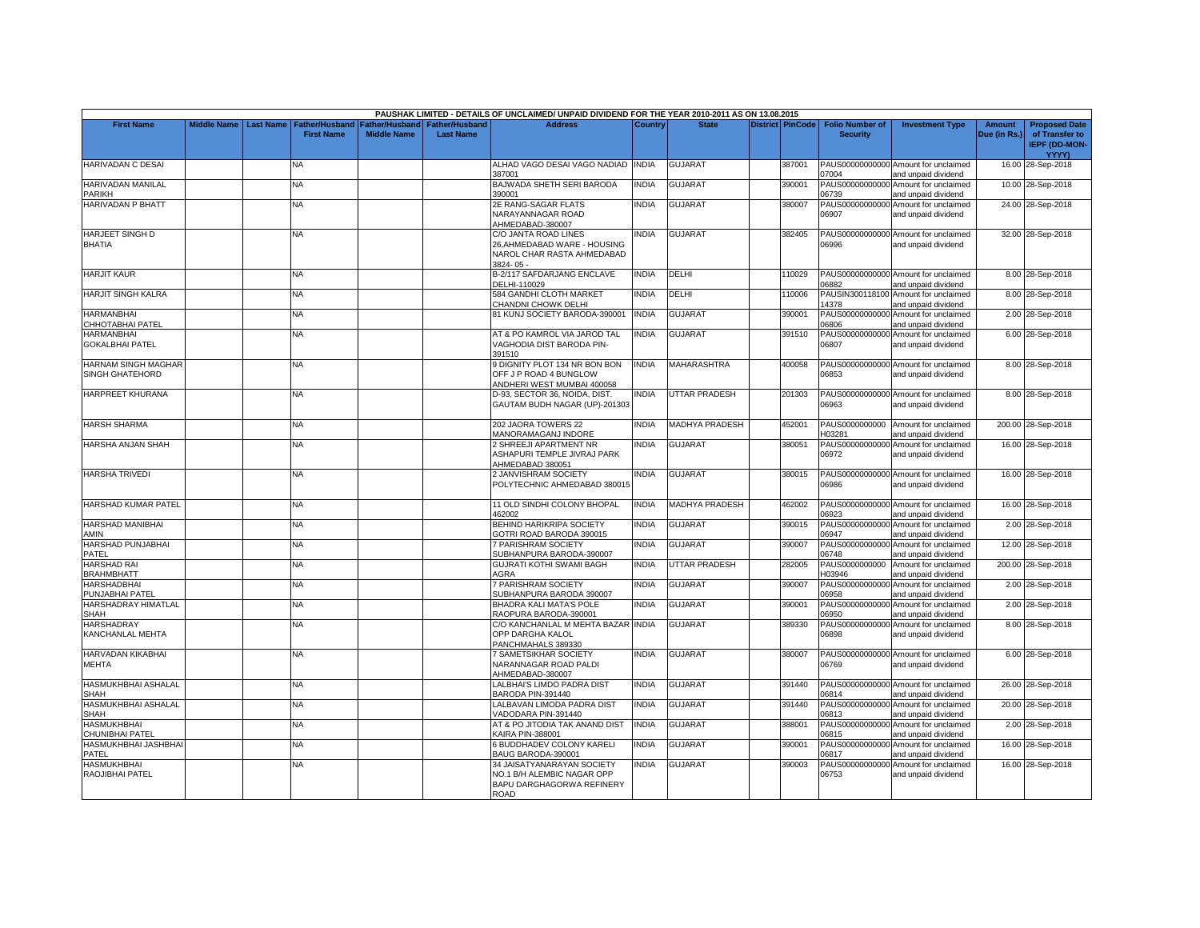|                                               |                    |                  |                                            |                                             |                                           | PAUSHAK LIMITED - DETAILS OF UNCLAIMED/ UNPAID DIVIDEND FOR THE YEAR 2010-2011 AS ON 13.08.2015 |              |                       |                  |                                           |                                                             |                               |                                                                |
|-----------------------------------------------|--------------------|------------------|--------------------------------------------|---------------------------------------------|-------------------------------------------|-------------------------------------------------------------------------------------------------|--------------|-----------------------|------------------|-------------------------------------------|-------------------------------------------------------------|-------------------------------|----------------------------------------------------------------|
| <b>First Name</b>                             | <b>Middle Name</b> | <b>Last Name</b> | <b>Father/Husband</b><br><b>First Name</b> | <b>Father/Husband</b><br><b>Middle Name</b> | <b>Father/Husband</b><br><b>Last Name</b> | <b>Address</b>                                                                                  | Country      | <b>State</b>          | District PinCode | <b>Folio Number of</b><br><b>Security</b> | <b>Investment Type</b>                                      | <b>Amount</b><br>Due (in Rs.) | <b>Proposed Date</b><br>of Transfer to<br><b>IEPF (DD-MON-</b> |
|                                               |                    |                  |                                            |                                             |                                           |                                                                                                 |              |                       |                  |                                           |                                                             |                               | YYYY)                                                          |
| <b>HARIVADAN C DESAI</b>                      |                    |                  | NA                                         |                                             |                                           | ALHAD VAGO DESAI VAGO NADIAD INDIA<br>387001                                                    |              | <b>GUJARAT</b>        | 387001           | 07004                                     | PAUS00000000000 Amount for unclaimed<br>and unpaid dividend |                               | 16.00 28-Sep-2018                                              |
| HARIVADAN MANILAL<br>PARIKH                   |                    |                  | <b>NA</b>                                  |                                             |                                           | BAJWADA SHETH SERI BARODA<br>390001                                                             | <b>INDIA</b> | <b>GUJARAT</b>        | 390001           | PAUS00000000000<br>06739                  | Amount for unclaimed<br>and unpaid dividend                 |                               | 10.00 28-Sep-2018                                              |
| HARIVADAN P BHATT                             |                    |                  | NA                                         |                                             |                                           | 2E RANG-SAGAR FLATS<br>NARAYANNAGAR ROAD<br>AHMEDABAD-380007                                    | <b>INDIA</b> | <b>GUJARAT</b>        | 380007           | PAUS00000000000<br>06907                  | Amount for unclaimed<br>and unpaid dividend                 |                               | 24.00 28-Sep-2018                                              |
| <b>HARJEET SINGH D</b><br><b>BHATIA</b>       |                    |                  | NA                                         |                                             |                                           | C/O JANTA ROAD LINES<br>26, AHMEDABAD WARE - HOUSING<br>NAROL CHAR RASTA AHMEDABAD<br>3824-05-  | <b>INDIA</b> | <b>GUJARAT</b>        | 382405           | 06996                                     | PAUS00000000000 Amount for unclaimed<br>and unpaid dividend |                               | 32.00 28-Sep-2018                                              |
| <b>HARJIT KAUR</b>                            |                    |                  | <b>NA</b>                                  |                                             |                                           | B-2/117 SAFDARJANG ENCLAVE<br>DELHI-110029                                                      | <b>INDIA</b> | DELHI                 | 110029           | 06882                                     | PAUS00000000000 Amount for unclaimed<br>and unpaid dividend |                               | 8.00 28-Sep-2018                                               |
| <b>HARJIT SINGH KALRA</b>                     |                    |                  | NA                                         |                                             |                                           | 584 GANDHI CLOTH MARKET<br>CHANDNI CHOWK DELHI                                                  | <b>INDIA</b> | DELHI                 | 110006           | 14378                                     | PAUSIN300118100 Amount for unclaimed<br>and unpaid dividend |                               | 8.00 28-Sep-2018                                               |
| <b>HARMANBHAI</b>                             |                    |                  | NA.                                        |                                             |                                           | 81 KUNJ SOCIETY BARODA-390001                                                                   | <b>INDIA</b> | <b>GUJARAT</b>        | 390001           | PAUS00000000000                           | Amount for unclaimed                                        |                               | 2.00 28-Sep-2018                                               |
| CHHOTABHAI PATEL                              |                    |                  |                                            |                                             |                                           | AT & PO KAMROL VIA JAROD TAL                                                                    | <b>INDIA</b> |                       |                  | 06806<br>PAUS00000000000                  | and unpaid dividend                                         |                               |                                                                |
| <b>HARMANBHAI</b><br><b>GOKALBHAI PATEL</b>   |                    |                  | NA                                         |                                             |                                           | VAGHODIA DIST BARODA PIN-<br>391510                                                             |              | <b>GUJARAT</b>        | 391510           | 06807                                     | Amount for unclaimed<br>and unpaid dividend                 |                               | 6.00 28-Sep-2018                                               |
| <b>HARNAM SINGH MAGHAR</b><br>SINGH GHATEHORD |                    |                  | NA.                                        |                                             |                                           | <b>DIGNITY PLOT 134 NR BON BON</b><br>OFF J P ROAD 4 BUNGLOW<br>ANDHERI WEST MUMBAI 400058      | <b>INDIA</b> | MAHARASHTRA           | 400058           | 06853                                     | PAUS00000000000 Amount for unclaimed<br>and unpaid dividend |                               | 8.00 28-Sep-2018                                               |
| <b>HARPREET KHURANA</b>                       |                    |                  | <b>NA</b>                                  |                                             |                                           | D-93, SECTOR 36, NOIDA, DIST.<br>GAUTAM BUDH NAGAR (UP)-201303                                  | <b>INDIA</b> | <b>UTTAR PRADESH</b>  | 201303           | 06963                                     | PAUS00000000000 Amount for unclaimed<br>and unpaid dividend |                               | 8.00 28-Sep-2018                                               |
| HARSH SHARMA                                  |                    |                  | <b>NA</b>                                  |                                             |                                           | 202 JAORA TOWERS 22<br><b>MANORAMAGANJ INDORE</b>                                               | <b>INDIA</b> | <b>MADHYA PRADESH</b> | 452001           | PAUS0000000000<br>H03281                  | Amount for unclaimed<br>and unpaid dividend                 |                               | 200.00 28-Sep-2018                                             |
| HARSHA ANJAN SHAH                             |                    |                  | <b>NA</b>                                  |                                             |                                           | 2 SHREEJI APARTMENT NR<br>ASHAPURI TEMPLE JIVRAJ PARK<br>AHMEDABAD 380051                       | <b>INDIA</b> | <b>GUJARAT</b>        | 380051           | 06972                                     | PAUS00000000000 Amount for unclaimed<br>and unpaid dividend |                               | 16.00 28-Sep-2018                                              |
| <b>HARSHA TRIVEDI</b>                         |                    |                  | <b>NA</b>                                  |                                             |                                           | 2 JANVISHRAM SOCIETY<br>POLYTECHNIC AHMEDABAD 380015                                            | <b>INDIA</b> | <b>GUJARAT</b>        | 380015           | 06986                                     | PAUS00000000000 Amount for unclaimed<br>and unpaid dividend |                               | 16.00 28-Sep-2018                                              |
| HARSHAD KUMAR PATEL                           |                    |                  | <b>NA</b>                                  |                                             |                                           | 11 OLD SINDHI COLONY BHOPAL<br>462002                                                           | <b>INDIA</b> | MADHYA PRADESH        | 462002           | 06923                                     | PAUS00000000000 Amount for unclaimed<br>and unpaid dividend |                               | 16.00 28-Sep-2018                                              |
| <b>HARSHAD MANIBHAI</b><br>AMIN               |                    |                  | NA                                         |                                             |                                           | <b>BEHIND HARIKRIPA SOCIETY</b><br>GOTRI ROAD BARODA 390015                                     | <b>INDIA</b> | <b>GUJARAT</b>        | 390015           | PAUS00000000000<br>06947                  | Amount for unclaimed<br>and unpaid dividend                 |                               | 2.00 28-Sep-2018                                               |
| HARSHAD PUNJABHAI                             |                    |                  | NA                                         |                                             |                                           | 7 PARISHRAM SOCIETY                                                                             | <b>INDIA</b> | GUJARAT               | 390007           | PAUS00000000000                           | Amount for unclaimed                                        |                               | 12.00 28-Sep-2018                                              |
| PATEL<br><b>HARSHAD RAI</b>                   |                    |                  | NA.                                        |                                             |                                           | SUBHANPURA BARODA-390007<br>GUJRATI KOTHI SWAMI BAGH                                            | <b>INDIA</b> | UTTAR PRADESH         | 282005           | 06748<br>PAUS0000000000                   | and unpaid dividend<br>Amount for unclaimed                 |                               | 200.00 28-Sep-2018                                             |
| <b>BRAHMBHATT</b><br><b>HARSHADBHAI</b>       |                    |                  | NA                                         |                                             |                                           | AGRA<br>7 PARISHRAM SOCIETY                                                                     | <b>INDIA</b> | <b>GUJARAT</b>        | 390007           | H03946                                    | and unpaid dividend<br>PAUS00000000000 Amount for unclaimed |                               | 2.00 28-Sep-2018                                               |
| PUNJABHAI PATEL<br>HARSHADRAY HIMATLAL        |                    |                  | NA                                         |                                             |                                           | SUBHANPURA BARODA 390007<br>BHADRA KALI MATA'S POLE                                             | <b>INDIA</b> | <b>GUJARAT</b>        | 390001           | 06958<br>PAUS00000000000                  | and unpaid dividend<br>Amount for unclaimed                 |                               | 2.00 28-Sep-2018                                               |
| <b>SHAH</b><br><b>HARSHADRAY</b>              |                    |                  | NA.                                        |                                             |                                           | RAOPURA BARODA-390001<br>C/O KANCHANLAL M MEHTA BAZAR INDIA                                     |              | <b>GUJARAT</b>        | 389330           | 06950<br>PAUS00000000000                  | and unpaid dividend<br>Amount for unclaimed                 |                               | 8.00 28-Sep-2018                                               |
| KANCHANLAL MEHTA                              |                    |                  |                                            |                                             |                                           | OPP DARGHA KALOL<br>PANCHMAHALS 389330                                                          |              |                       |                  | 06898                                     | and unpaid dividend                                         |                               |                                                                |
| HARVADAN KIKABHAI<br>MEHTA                    |                    |                  | NA.                                        |                                             |                                           | <b>SAMETSIKHAR SOCIETY</b><br>NARANNAGAR ROAD PALDI<br>AHMEDABAD-380007                         | <b>INDIA</b> | <b>GUJARAT</b>        | 380007           | 06769                                     | PAUS00000000000 Amount for unclaimed<br>and unpaid dividend |                               | 6.00 28-Sep-2018                                               |
| HASMUKHBHAI ASHALAL<br><b>SHAH</b>            |                    |                  | <b>NA</b>                                  |                                             |                                           | ALBHAI'S LIMDO PADRA DIST<br>BARODA PIN-391440                                                  | <b>INDIA</b> | <b>GUJARAT</b>        | 391440           | 06814                                     | PAUS00000000000 Amount for unclaimed<br>and unpaid dividend |                               | 26.00 28-Sep-2018                                              |
| <b>HASMUKHBHAI ASHALAL</b><br><b>SHAH</b>     |                    |                  | <b>NA</b>                                  |                                             |                                           | LALBAVAN LIMODA PADRA DIST<br>/ADODARA PIN-391440                                               | <b>INDIA</b> | <b>GUJARAT</b>        | 391440           | 06813                                     | PAUS00000000000 Amount for unclaimed<br>and unpaid dividend |                               | 20.00 28-Sep-2018                                              |
| <b>HASMUKHBHAI</b><br>CHUNIBHAI PATEL         |                    |                  | NA                                         |                                             |                                           | AT & PO JITODIA TAK ANAND DIST<br><b>KAIRA PIN-388001</b>                                       | <b>INDIA</b> | <b>GUJARAT</b>        | 388001           | PAUS00000000000<br>06815                  | Amount for unclaimed<br>and unpaid dividend                 |                               | 2.00 28-Sep-2018                                               |
| HASMUKHBHAI JASHBHAI<br>PATEL                 |                    |                  | <b>NA</b>                                  |                                             |                                           | <b>BUDDHADEV COLONY KARELI</b>                                                                  | <b>INDIA</b> | <b>GUJARAT</b>        | 390001           | PAUS00000000000<br>06817                  | Amount for unclaimed                                        |                               | 16.00 28-Sep-2018                                              |
| <b>HASMUKHBHAI</b>                            |                    |                  | NA                                         |                                             |                                           | BAUG BARODA-390001<br>34 JAISATYANARAYAN SOCIETY                                                | NDIA         | <b>GUJARAT</b>        | 390003           | PAUS00000000000                           | and unpaid dividend<br>Amount for unclaimed                 |                               | 16.00 28-Sep-2018                                              |
| RAOJIBHAI PATEL                               |                    |                  |                                            |                                             |                                           | NO.1 B/H ALEMBIC NAGAR OPP<br>BAPU DARGHAGORWA REFINERY<br><b>ROAD</b>                          |              |                       |                  | 06753                                     | and unpaid dividend                                         |                               |                                                                |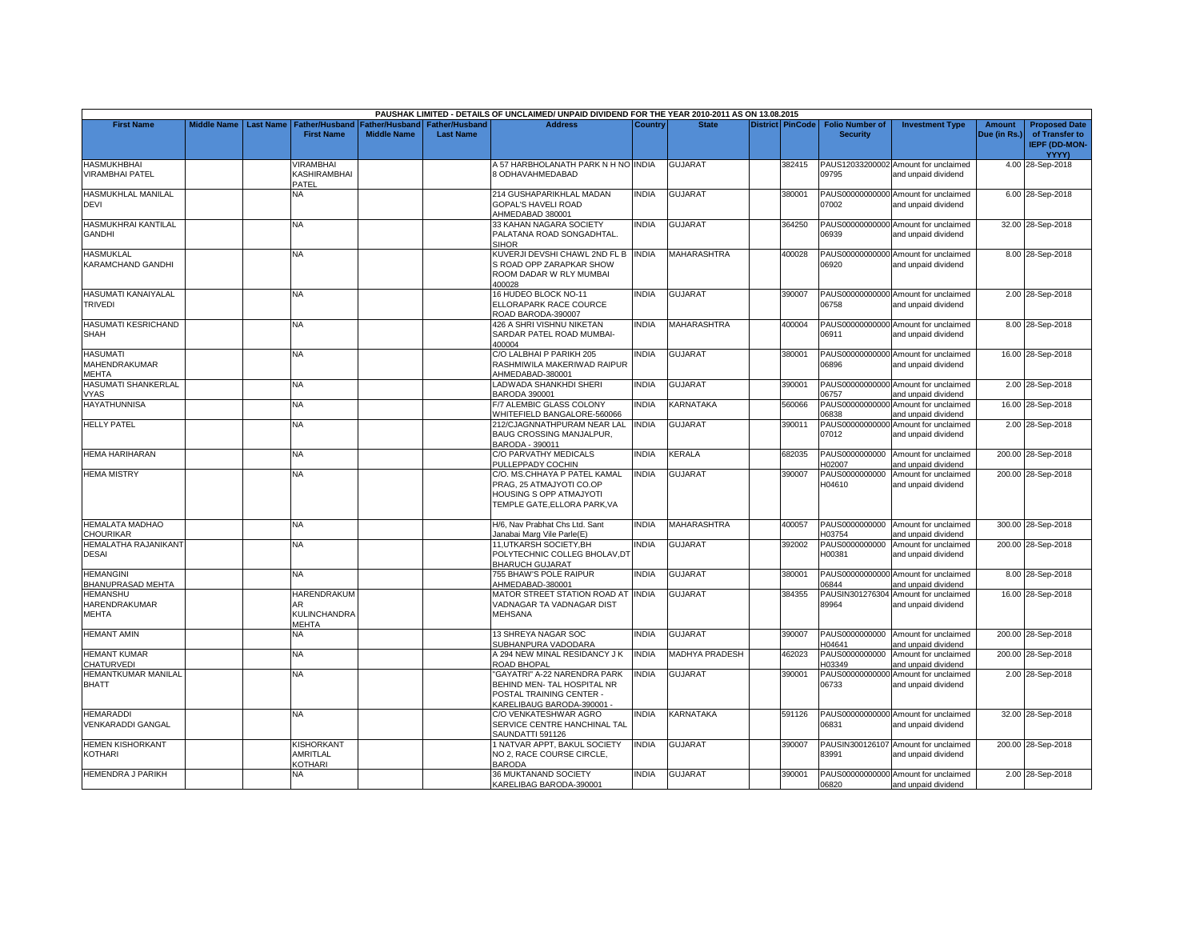|                                              |                    |                  |                                            |                                             |                                    | PAUSHAK LIMITED - DETAILS OF UNCLAIMED/ UNPAID DIVIDEND FOR THE YEAR 2010-2011 AS ON 13.08.2015                       |                |                       |                         |                                           |                                                             |                        |                                                                         |
|----------------------------------------------|--------------------|------------------|--------------------------------------------|---------------------------------------------|------------------------------------|-----------------------------------------------------------------------------------------------------------------------|----------------|-----------------------|-------------------------|-------------------------------------------|-------------------------------------------------------------|------------------------|-------------------------------------------------------------------------|
| <b>First Name</b>                            | <b>Middle Name</b> | <b>Last Name</b> | <b>Father/Husband</b><br><b>First Name</b> | <b>Father/Husband</b><br><b>Middle Name</b> | Father/Husband<br><b>Last Name</b> | <b>Address</b>                                                                                                        | <b>Country</b> | <b>State</b>          | <b>District PinCode</b> | <b>Folio Number of</b><br><b>Security</b> | <b>Investment Type</b>                                      | Amount<br>Due (in Rs.) | <b>Proposed Date</b><br>of Transfer to<br><b>IEPF (DD-MON-</b><br>YYYY) |
| <b>HASMUKHBHAI</b><br><b>VIRAMBHAI PATEL</b> |                    |                  | <b>/IRAMBHAI</b><br>KASHIRAMBHAI<br>PATEL  |                                             |                                    | A 57 HARBHOLANATH PARK N H NO INDIA<br><b>SODHAVAHMEDABAD</b>                                                         |                | GUJARAT               | 382415                  | 09795                                     | PAUS12033200002 Amount for unclaimed<br>and unpaid dividend |                        | 4.00 28-Sep-2018                                                        |
| <b>HASMUKHLAL MANILAL</b><br><b>DEVI</b>     |                    |                  | <b>NA</b>                                  |                                             |                                    | 214 GUSHAPARIKHLAL MADAN<br>GOPAL'S HAVELI ROAD<br>AHMEDABAD 380001                                                   | <b>INDIA</b>   | <b>GUJARAT</b>        | 380001                  | 07002                                     | PAUS00000000000 Amount for unclaimed<br>and unpaid dividend |                        | 6.00 28-Sep-2018                                                        |
| HASMUKHRAI KANTILAL<br><b>GANDHI</b>         |                    |                  | NA                                         |                                             |                                    | 33 KAHAN NAGARA SOCIETY<br>PALATANA ROAD SONGADHTAL.<br><b>SIHOR</b>                                                  | <b>INDIA</b>   | GUJARAT               | 364250                  | 06939                                     | PAUS00000000000 Amount for unclaimed<br>and unpaid dividend |                        | 32.00 28-Sep-2018                                                       |
| <b>HASMUKLAL</b><br>KARAMCHAND GANDHI        |                    |                  | NΑ                                         |                                             |                                    | KUVERJI DEVSHI CHAWL 2ND FL B INDIA<br>S ROAD OPP ZARAPKAR SHOW<br>ROOM DADAR W RLY MUMBAI<br>400028                  |                | MAHARASHTRA           | 400028                  | 06920                                     | PAUS00000000000 Amount for unclaimed<br>and unpaid dividend |                        | 8.00 28-Sep-2018                                                        |
| <b>HASUMATI KANAIYALAL</b><br><b>TRIVEDI</b> |                    |                  | <b>NA</b>                                  |                                             |                                    | 16 HUDEO BLOCK NO-11<br>ELLORAPARK RACE COURCE<br>ROAD BARODA-390007                                                  | <b>INDIA</b>   | <b>GUJARAT</b>        | 390007                  | 06758                                     | PAUS00000000000 Amount for unclaimed<br>and unpaid dividend |                        | 2.00 28-Sep-2018                                                        |
| <b>HASUMATI KESRICHAND</b><br><b>SHAH</b>    |                    |                  | NA                                         |                                             |                                    | 426 A SHRI VISHNU NIKETAN<br>SARDAR PATEL ROAD MUMBAI-<br>400004                                                      | <b>INDIA</b>   | MAHARASHTRA           | 400004                  | 06911                                     | PAUS00000000000 Amount for unclaimed<br>and unpaid dividend |                        | 8.00 28-Sep-2018                                                        |
| <b>HASUMATI</b><br>MAHENDRAKUMAR<br>MEHTA    |                    |                  | NΑ                                         |                                             |                                    | C/O LALBHAI P PARIKH 205<br>RASHMIWILA MAKERIWAD RAIPUR<br>AHMEDABAD-380001                                           | <b>INDIA</b>   | <b>GUJARAT</b>        | 380001                  | 06896                                     | PAUS00000000000 Amount for unclaimed<br>and unpaid dividend |                        | 16.00 28-Sep-2018                                                       |
| HASUMATI SHANKERLAL<br><b>VYAS</b>           |                    |                  | NA                                         |                                             |                                    | LADWADA SHANKHDI SHERI<br><b>BARODA 390001</b>                                                                        | INDIA          | <b>GUJARAT</b>        | 390001                  | 06757                                     | PAUS00000000000 Amount for unclaimed<br>and unpaid dividend |                        | 2.00 28-Sep-2018                                                        |
| <b>HAYATHUNNISA</b>                          |                    |                  | NΑ                                         |                                             |                                    | F/7 ALEMBIC GLASS COLONY<br>WHITEFIELD BANGALORE-560066                                                               | <b>INDIA</b>   | KARNATAKA             | 560066                  | 06838                                     | PAUS00000000000 Amount for unclaimed<br>and unpaid dividend |                        | 16.00 28-Sep-2018                                                       |
| <b>HELLY PATEL</b>                           |                    |                  | NA                                         |                                             |                                    | 212/CJAGNNATHPURAM NEAR LAL<br>BAUG CROSSING MANJALPUR,<br>BARODA - 390011                                            | <b>INDIA</b>   | <b>GUJARAT</b>        | 390011                  | 07012                                     | PAUS00000000000 Amount for unclaimed<br>and unpaid dividend |                        | 2.00 28-Sep-2018                                                        |
| HEMA HARIHARAN                               |                    |                  | NA                                         |                                             |                                    | C/O PARVATHY MEDICALS<br>PULLEPPADY COCHIN                                                                            | <b>INDIA</b>   | KERALA                | 682035                  | PAUS0000000000<br>H02007                  | Amount for unclaimed<br>and unpaid dividend                 |                        | 200.00 28-Sep-2018                                                      |
| <b>HEMA MISTRY</b>                           |                    |                  | NA                                         |                                             |                                    | C/O. MS.CHHAYA P PATEL KAMAL<br>PRAG, 25 ATMAJYOTI CO.OP<br>HOUSING S OPP ATMAJYOTI<br>TEMPLE GATE, ELLORA PARK, VA   | <b>INDIA</b>   | <b>GUJARAT</b>        | 390007                  | PAUS0000000000<br>H04610                  | Amount for unclaimed<br>and unpaid dividend                 |                        | 200.00 28-Sep-2018                                                      |
| <b>HEMALATA MADHAO</b><br>CHOURIKAR          |                    |                  | NA                                         |                                             |                                    | H/6. Nav Prabhat Chs Ltd. Sant<br>Janabai Marg Vile Parle(E)                                                          | <b>INDIA</b>   | <b>MAHARASHTRA</b>    | 400057                  | H03754                                    | PAUS0000000000 Amount for unclaimed<br>and unpaid dividend  |                        | 300.00 28-Sep-2018                                                      |
| HEMALATHA RAJANIKANT<br><b>DESAI</b>         |                    |                  | <b>NA</b>                                  |                                             |                                    | 11. UTKARSH SOCIETY. BH<br>POLYTECHNIC COLLEG BHOLAV,DT<br><b>BHARUCH GUJARAT</b>                                     | <b>INDIA</b>   | <b>GUJARAT</b>        | 392002                  | PAUS0000000000<br>H00381                  | Amount for unclaimed<br>and unpaid dividend                 |                        | 200.00 28-Sep-2018                                                      |
| <b>HEMANGINI</b><br>BHANUPRASAD MEHTA        |                    |                  | NA                                         |                                             |                                    | 755 BHAW'S POLE RAIPUR<br>AHMEDABAD-380001                                                                            | <b>INDIA</b>   | <b>GUJARAT</b>        | 380001                  | 06844                                     | PAUS00000000000 Amount for unclaimed<br>and unpaid dividend |                        | 8.00 28-Sep-2018                                                        |
| <b>HEMANSHU</b><br>HARENDRAKUMAR<br>MEHTA    |                    |                  | HARENDRAKUM<br>AR<br>KULINCHANDRA<br>MEHTA |                                             |                                    | MATOR STREET STATION ROAD AT INDIA<br>VADNAGAR TA VADNAGAR DIST<br>MEHSANA                                            |                | <b>GUJARAT</b>        | 384355                  | 89964                                     | PAUSIN301276304 Amount for unclaimed<br>and unpaid dividend |                        | 16.00 28-Sep-2018                                                       |
| <b>HEMANT AMIN</b>                           |                    |                  | NΑ                                         |                                             |                                    | 13 SHREYA NAGAR SOC<br>SUBHANPURA VADODARA                                                                            | <b>INDIA</b>   | <b>GUJARAT</b>        | 390007                  | PAUS0000000000<br>H04641                  | Amount for unclaimed<br>and unpaid dividend                 |                        | 200.00 28-Sep-2018                                                      |
| <b>HEMANT KUMAR</b><br>CHATURVEDI            |                    |                  | NΑ                                         |                                             |                                    | A 294 NEW MINAL RESIDANCY J K<br>ROAD BHOPAL                                                                          | <b>INDIA</b>   | <b>MADHYA PRADESH</b> | 462023                  | PAUS0000000000<br>H03349                  | Amount for unclaimed<br>and unpaid dividend                 |                        | 200.00 28-Sep-2018                                                      |
| HEMANTKUMAR MANILAL<br><b>BHATT</b>          |                    |                  | NA                                         |                                             |                                    | 'GAYATRI" A-22 NARENDRA PARK<br>BEHIND MEN- TAL HOSPITAL NR<br>POSTAL TRAINING CENTER -<br>KARELIBAUG BARODA-390001 - | <b>INDIA</b>   | <b>GUJARAT</b>        | 390001                  | 06733                                     | PAUS00000000000 Amount for unclaimed<br>and unpaid dividend |                        | 2.00 28-Sep-2018                                                        |
| <b>HEMARADDI</b><br>VENKARADDI GANGAL        |                    |                  | ΝA                                         |                                             |                                    | C/O VENKATESHWAR AGRO<br>SERVICE CENTRE HANCHINAL TAL<br>SAUNDATTI 591126                                             | <b>INDIA</b>   | KARNATAKA             | 591126                  | 06831                                     | PAUS00000000000 Amount for unclaimed<br>and unpaid dividend |                        | 32.00 28-Sep-2018                                                       |
| <b>HEMEN KISHORKANT</b><br>KOTHARI           |                    |                  | KISHORKANT<br>AMRITLAL<br><b>KOTHARI</b>   |                                             |                                    | 1 NATVAR APPT, BAKUL SOCIETY<br>NO 2, RACE COURSE CIRCLE,<br><b>BARODA</b>                                            | <b>INDIA</b>   | <b>GUJARAT</b>        | 390007                  | 83991                                     | PAUSIN300126107 Amount for unclaimed<br>and unpaid dividend |                        | 200.00 28-Sep-2018                                                      |
| <b>HEMENDRA J PARIKH</b>                     |                    |                  | NA                                         |                                             |                                    | 36 MUKTANAND SOCIETY<br>KARELIBAG BARODA-390001                                                                       | <b>INDIA</b>   | <b>GUJARAT</b>        | 390001                  | 06820                                     | PAUS00000000000 Amount for unclaimed<br>and unpaid dividend |                        | 2.00 28-Sep-2018                                                        |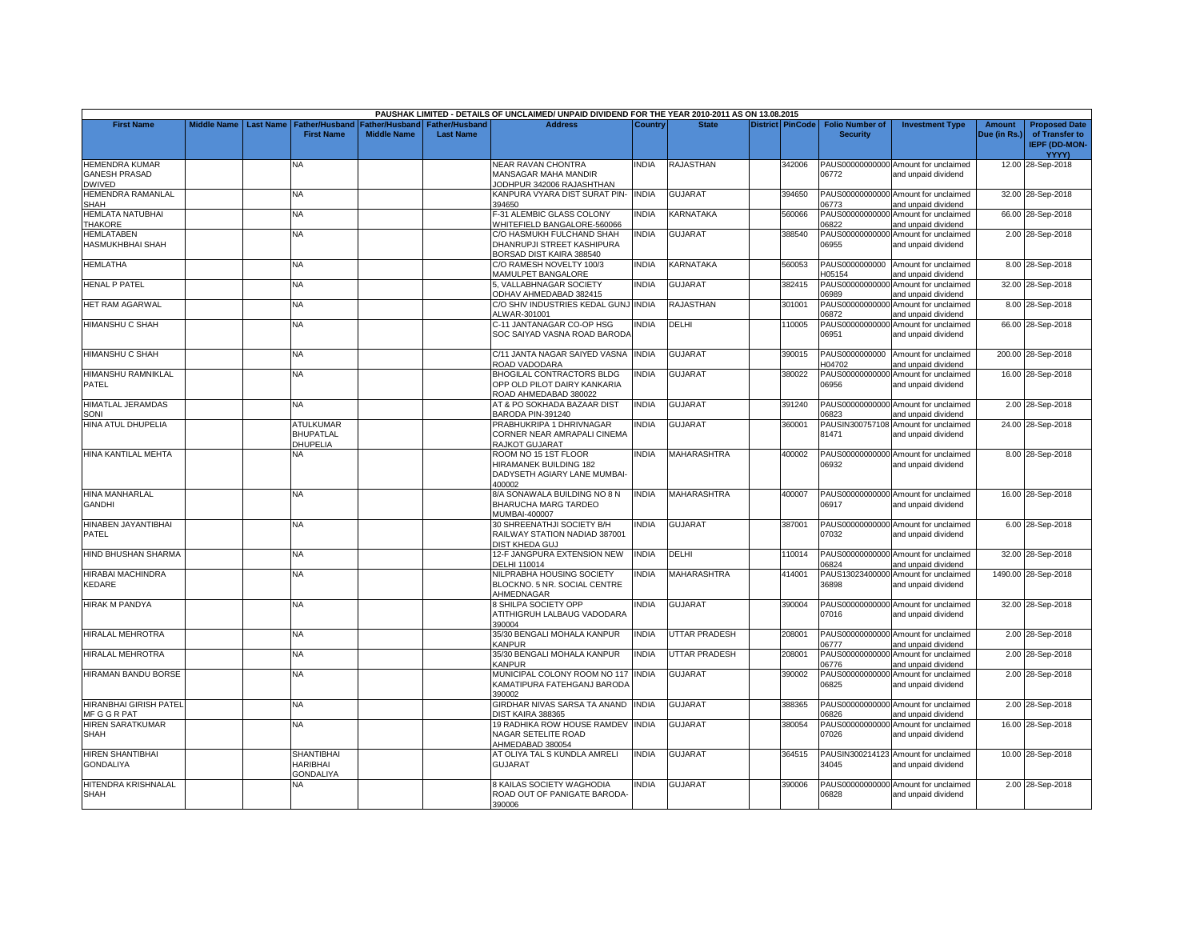|                                                         |                    |                  |                                                          |                                      |                                           | PAUSHAK LIMITED - DETAILS OF UNCLAIMED/ UNPAID DIVIDEND FOR THE YEAR 2010-2011 AS ON 13.08.2015 |              |                      |                         |                                           |                                                             |                               |                                                         |
|---------------------------------------------------------|--------------------|------------------|----------------------------------------------------------|--------------------------------------|-------------------------------------------|-------------------------------------------------------------------------------------------------|--------------|----------------------|-------------------------|-------------------------------------------|-------------------------------------------------------------|-------------------------------|---------------------------------------------------------|
| <b>First Name</b>                                       | <b>Middle Name</b> | <b>Last Name</b> | <b>Father/Husband</b><br><b>First Name</b>               | Father/Husband<br><b>Middle Name</b> | <b>Father/Husband</b><br><b>Last Name</b> | <b>Address</b>                                                                                  | Country      | <b>State</b>         | <b>District PinCode</b> | <b>Folio Number of</b><br><b>Security</b> | <b>Investment Type</b>                                      | <b>Amount</b><br>Due (in Rs.) | <b>Proposed Date</b><br>of Transfer to<br>IEPF (DD-MON- |
| <b>HEMENDRA KUMAR</b><br><b>GANESH PRASAD</b><br>DWIVED |                    |                  | NA                                                       |                                      |                                           | <b>NEAR RAVAN CHONTRA</b><br><b>MANSAGAR MAHA MANDIR</b><br>JODHPUR 342006 RAJASHTHAN           | <b>INDIA</b> | <b>RAJASTHAN</b>     | 342006                  | 06772                                     | PAUS00000000000 Amount for unclaimed<br>and unpaid dividend |                               | <b>YYYY)</b><br>12.00 28-Sep-2018                       |
| HEMENDRA RAMANLAL<br>SHAH                               |                    |                  | NA                                                       |                                      |                                           | KANPURA VYARA DIST SURAT PIN-<br>394650                                                         | <b>INDIA</b> | <b>GUJARAT</b>       | 394650                  | 06773                                     | PAUS00000000000 Amount for unclaimed<br>and unpaid dividend |                               | 32.00 28-Sep-2018                                       |
| HEMLATA NATUBHAI<br><b>THAKORE</b>                      |                    |                  | NA                                                       |                                      |                                           | -31 ALEMBIC GLASS COLONY<br>WHITEFIELD BANGALORE-560066                                         | <b>INDIA</b> | <b>KARNATAKA</b>     | 560066                  | PAUS00000000000<br>06822                  | Amount for unclaimed<br>and unpaid dividend                 |                               | 66.00 28-Sep-2018                                       |
| <b>HEMLATABEN</b><br><b>HASMUKHBHAI SHAH</b>            |                    |                  | <b>NA</b>                                                |                                      |                                           | C/O HASMUKH FULCHAND SHAH<br>DHANRUPJI STREET KASHIPURA<br>BORSAD DIST KAIRA 388540             | <b>INDIA</b> | <b>GUJARAT</b>       | 388540                  | 06955                                     | PAUS00000000000 Amount for unclaimed<br>and unpaid dividend |                               | 2.00 28-Sep-2018                                        |
| <b>HEMLATHA</b>                                         |                    |                  | NA.                                                      |                                      |                                           | C/O RAMESH NOVELTY 100/3<br><b>MAMULPET BANGALORE</b>                                           | INDIA        | KARNATAKA            | 560053                  | H05154                                    | PAUS0000000000 Amount for unclaimed<br>and unpaid dividend  |                               | 8.00 28-Sep-2018                                        |
| <b>HENAL P PATEL</b>                                    |                    |                  | <b>NA</b>                                                |                                      |                                           | 5. VALLABHNAGAR SOCIETY<br>ODHAV AHMEDABAD 382415                                               | <b>INDIA</b> | <b>GUJARAT</b>       | 382415                  | PAUS00000000000<br>06989                  | Amount for unclaimed<br>and unpaid dividend                 |                               | 32.00 28-Sep-2018                                       |
| <b>HET RAM AGARWAL</b>                                  |                    |                  | <b>NA</b>                                                |                                      |                                           | C/O SHIV INDUSTRIES KEDAL GUNJ INDIA<br>ALWAR-301001                                            |              | <b>RAJASTHAN</b>     | 301001                  | PAUS00000000000<br>06872                  | Amount for unclaimed<br>and unpaid dividend                 |                               | 8.00 28-Sep-2018                                        |
| <b>HIMANSHU C SHAH</b>                                  |                    |                  | <b>NA</b>                                                |                                      |                                           | C-11 JANTANAGAR CO-OP HSG<br>SOC SAIYAD VASNA ROAD BARODA                                       | <b>INDIA</b> | DELHI                | 110005                  | PAUS00000000000<br>06951                  | Amount for unclaimed<br>and unpaid dividend                 |                               | 66.00 28-Sep-2018                                       |
| <b>HIMANSHU C SHAH</b>                                  |                    |                  | <b>NA</b>                                                |                                      |                                           | C/11 JANTA NAGAR SAIYED VASNA<br>ROAD VADODARA                                                  | <b>INDIA</b> | <b>GUJARAT</b>       | 390015                  | PAUS0000000000<br>H04702                  | Amount for unclaimed<br>and unpaid dividend                 |                               | 200.00 28-Sep-2018                                      |
| HIMANSHU RAMNIKLAL<br>PATEL                             |                    |                  | NA                                                       |                                      |                                           | BHOGILAL CONTRACTORS BLDG<br>OPP OLD PILOT DAIRY KANKARIA<br>ROAD AHMEDABAD 380022              | <b>INDIA</b> | <b>GUJARAT</b>       | 380022                  | 06956                                     | PAUS00000000000 Amount for unclaimed<br>and unpaid dividend |                               | 16.00 28-Sep-2018                                       |
| <b>HIMATLAL JERAMDAS</b><br>SONI                        |                    |                  | <b>NA</b>                                                |                                      |                                           | AT & PO SOKHADA BAZAAR DIST<br>BARODA PIN-391240                                                | <b>INDIA</b> | <b>GUJARAT</b>       | 391240                  | 06823                                     | PAUS00000000000 Amount for unclaimed<br>and unpaid dividend |                               | 2.00 28-Sep-2018                                        |
| <b>HINA ATUL DHUPELIA</b>                               |                    |                  | ATULKUMAR<br><b>BHUPATLAL</b><br>DHUPELIA                |                                      |                                           | PRABHUKRIPA 1 DHRIVNAGAR<br>CORNER NEAR AMRAPALI CINEMA<br>RAJKOT GUJARAT                       | <b>INDIA</b> | <b>GUJARAT</b>       | 360001                  | PAUSIN300757108<br>81471                  | Amount for unclaimed<br>and unpaid dividend                 |                               | 24.00 28-Sep-2018                                       |
| HINA KANTILAL MEHTA                                     |                    |                  | NA                                                       |                                      |                                           | ROOM NO 15 1ST FLOOR<br><b>HIRAMANEK BUILDING 182</b><br>DADYSETH AGIARY LANE MUMBAI-<br>100002 | <b>INDIA</b> | <b>MAHARASHTRA</b>   | 400002                  | 06932                                     | PAUS00000000000 Amount for unclaimed<br>and unpaid dividend |                               | 8.00 28-Sep-2018                                        |
| <b>HINA MANHARLAL</b><br><b>GANDHI</b>                  |                    |                  | <b>NA</b>                                                |                                      |                                           | 3/A SONAWALA BUILDING NO 8 N<br>BHARUCHA MARG TARDEO<br>MUMBAI-400007                           | <b>INDIA</b> | <b>MAHARASHTRA</b>   | 400007                  | 06917                                     | PAUS00000000000 Amount for unclaimed<br>and unpaid dividend |                               | 16.00 28-Sep-2018                                       |
| HINABEN JAYANTIBHAI<br>PATEL                            |                    |                  | <b>NA</b>                                                |                                      |                                           | 30 SHREENATHJI SOCIETY B/H<br>RAILWAY STATION NADIAD 387001<br>DIST KHEDA GUJ                   | <b>INDIA</b> | <b>GUJARAT</b>       | 387001                  | 07032                                     | PAUS00000000000 Amount for unclaimed<br>and unpaid dividend |                               | 6.00 28-Sep-2018                                        |
| HIND BHUSHAN SHARMA                                     |                    |                  | NA                                                       |                                      |                                           | 12-F JANGPURA EXTENSION NEW<br>DELHI 110014                                                     | <b>INDIA</b> | DELHI                | 110014                  | 06824                                     | PAUS00000000000 Amount for unclaimed<br>and unpaid dividend |                               | 32.00 28-Sep-2018                                       |
| HIRABAI MACHINDRA<br>KEDARE                             |                    |                  | NA.                                                      |                                      |                                           | NILPRABHA HOUSING SOCIETY<br>BLOCKNO, 5 NR, SOCIAL CENTRE<br>AHMEDNAGAR                         | <b>INDIA</b> | MAHARASHTRA          | 414001                  | PAUS13023400000<br>36898                  | Amount for unclaimed<br>and unpaid dividend                 |                               | 1490.00 28-Sep-2018                                     |
| <b>HIRAK M PANDYA</b>                                   |                    |                  | NA.                                                      |                                      |                                           | <b>SHILPA SOCIETY OPP</b><br>ATITHIGRUH LALBAUG VADODARA<br>390004                              | <b>INDIA</b> | <b>GUJARAT</b>       | 390004                  | 07016                                     | PAUS00000000000 Amount for unclaimed<br>and unpaid dividend |                               | 32.00 28-Sep-2018                                       |
| <b>HIRALAL MEHROTRA</b>                                 |                    |                  | <b>NA</b>                                                |                                      |                                           | 35/30 BENGALI MOHALA KANPUR<br><b>KANPUR</b>                                                    | <b>INDIA</b> | <b>UTTAR PRADESH</b> | 208001                  | 06777                                     | PAUS00000000000 Amount for unclaimed<br>and unpaid dividend |                               | 2.00 28-Sep-2018                                        |
| HIRALAL MEHROTRA                                        |                    |                  | NA                                                       |                                      |                                           | 35/30 BENGALI MOHALA KANPUR<br><b>KANPUR</b>                                                    | <b>INDIA</b> | <b>UTTAR PRADESH</b> | 208001                  | PAUS00000000000<br>06776                  | Amount for unclaimed<br>and unpaid dividend                 |                               | 2.00 28-Sep-2018                                        |
| <b>HIRAMAN BANDU BORSE</b>                              |                    |                  | <b>NA</b>                                                |                                      |                                           | MUNICIPAL COLONY ROOM NO 117 INDIA<br>KAMATIPURA FATEHGANJ BARODA<br>390002                     |              | <b>GUJARAT</b>       | 390002                  | 06825                                     | PAUS00000000000 Amount for unclaimed<br>and unpaid dividend |                               | 2.00 28-Sep-2018                                        |
| <b>HIRANBHAI GIRISH PATEL</b><br>MF G G R PAT           |                    |                  | <b>NA</b>                                                |                                      |                                           | GIRDHAR NIVAS SARSA TA ANAND<br>DIST KAIRA 388365                                               | <b>INDIA</b> | <b>GUJARAT</b>       | 388365                  | 06826                                     | PAUS00000000000 Amount for unclaimed<br>and unpaid dividend |                               | 2.00 28-Sep-2018                                        |
| <b>HIREN SARATKUMAR</b><br><b>SHAH</b>                  |                    |                  | <b>NA</b>                                                |                                      |                                           | 19 RADHIKA ROW HOUSE RAMDEV INDIA<br>NAGAR SETELITE ROAD<br>AHMEDABAD 380054                    |              | <b>GUJARAT</b>       | 380054                  | PAUS00000000000<br>07026                  | Amount for unclaimed<br>and unpaid dividend                 |                               | 16.00 28-Sep-2018                                       |
| <b>HIREN SHANTIBHAI</b><br><b>GONDALIYA</b>             |                    |                  | <b>SHANTIBHAI</b><br><b>HARIBHAI</b><br><b>GONDALIYA</b> |                                      |                                           | AT OLIYA TAL S KUNDLA AMRELI<br><b>GUJARAT</b>                                                  | <b>INDIA</b> | <b>GUJARAT</b>       | 364515                  | 34045                                     | PAUSIN300214123 Amount for unclaimed<br>and unpaid dividend |                               | 10.00 28-Sep-2018                                       |
| HITENDRA KRISHNALAL<br><b>SHAH</b>                      |                    |                  | NA.                                                      |                                      |                                           | <b>B KAILAS SOCIETY WAGHODIA</b><br>ROAD OUT OF PANIGATE BARODA-<br>390006                      | <b>NDIA</b>  | <b>GUJARAT</b>       | 390006                  | PAUS00000000000<br>06828                  | Amount for unclaimed<br>and unpaid dividend                 |                               | 2.00 28-Sep-2018                                        |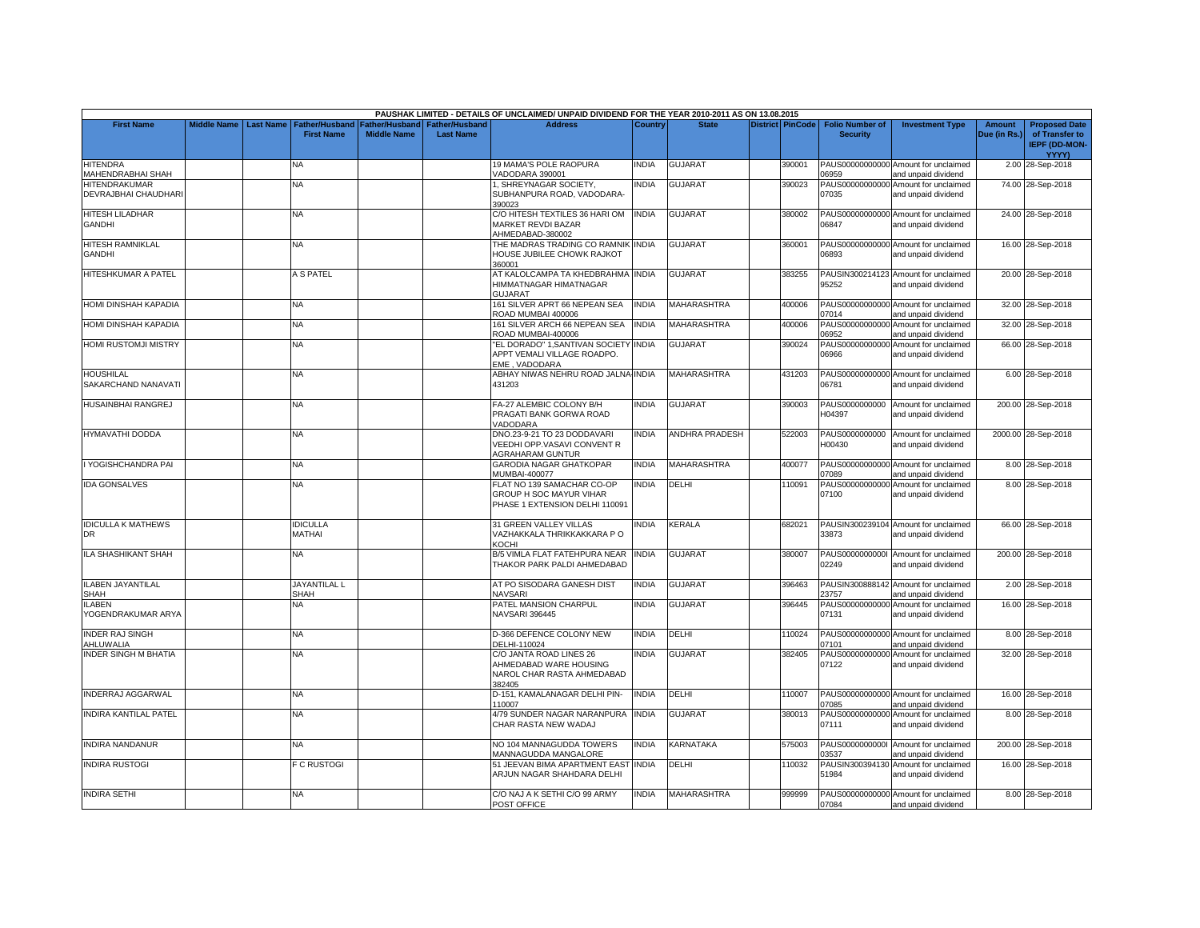|                              |                    |                  |                       |                    |                  | PAUSHAK LIMITED - DETAILS OF UNCLAIMED/ UNPAID DIVIDEND FOR THE YEAR 2010-2011 AS ON 13.08.2015 |              |                       |                         |                        |                                      |              |                      |
|------------------------------|--------------------|------------------|-----------------------|--------------------|------------------|-------------------------------------------------------------------------------------------------|--------------|-----------------------|-------------------------|------------------------|--------------------------------------|--------------|----------------------|
| <b>First Name</b>            | <b>Middle Name</b> | <b>Last Name</b> | <b>Father/Husband</b> | Father/Husband     | Father/Husband   | <b>Address</b>                                                                                  | Country      | <b>State</b>          | <b>District PinCode</b> | <b>Folio Number of</b> | <b>Investment Type</b>               | Amount       | <b>Proposed Date</b> |
|                              |                    |                  | <b>First Name</b>     | <b>Middle Name</b> | <b>Last Name</b> |                                                                                                 |              |                       |                         | <b>Security</b>        |                                      | Due (in Rs.) | of Transfer to       |
|                              |                    |                  |                       |                    |                  |                                                                                                 |              |                       |                         |                        |                                      |              | <b>IEPF (DD-MON-</b> |
|                              |                    |                  |                       |                    |                  |                                                                                                 |              |                       |                         |                        |                                      |              | <b>YYYY)</b>         |
| <b>HITENDRA</b>              |                    |                  | NA                    |                    |                  | 19 MAMA'S POLE RAOPURA                                                                          | INDIA        | <b>GUJARAT</b>        | 390001                  |                        | PAUS00000000000 Amount for unclaimed |              | 2.00 28-Sep-2018     |
|                              |                    |                  |                       |                    |                  |                                                                                                 |              |                       |                         |                        |                                      |              |                      |
| <b>JAHENDRABHAI SHAH</b>     |                    |                  |                       |                    |                  | <b>/ADODARA 390001</b>                                                                          |              |                       |                         | 06959                  | and unpaid dividend                  |              |                      |
| HITENDRAKUMAR                |                    |                  | ΝA                    |                    |                  | , SHREYNAGAR SOCIETY,                                                                           | <b>INDIA</b> | GUJARAT               | 390023                  | PAUS00000000000        | Amount for unclaimed                 |              | 74.00 28-Sep-2018    |
| DEVRAJBHAI CHAUDHARI         |                    |                  |                       |                    |                  | SUBHANPURA ROAD, VADODARA-                                                                      |              |                       |                         | 07035                  | and unpaid dividend                  |              |                      |
|                              |                    |                  |                       |                    |                  | 390023                                                                                          |              |                       |                         |                        |                                      |              |                      |
| <b>HITESH LILADHAR</b>       |                    |                  | NA                    |                    |                  | C/O HITESH TEXTILES 36 HARI OM                                                                  | <b>INDIA</b> | <b>GUJARAT</b>        | 380002                  |                        | PAUS00000000000 Amount for unclaimed |              | 24.00 28-Sep-2018    |
| <b>GANDHI</b>                |                    |                  |                       |                    |                  | MARKET REVDI BAZAR                                                                              |              |                       |                         | 06847                  | and unpaid dividend                  |              |                      |
|                              |                    |                  |                       |                    |                  | AHMEDABAD-380002                                                                                |              |                       |                         |                        |                                      |              |                      |
| <b>HITESH RAMNIKLAL</b>      |                    |                  | <b>NA</b>             |                    |                  | THE MADRAS TRADING CO RAMNIK INDIA                                                              |              | <b>GUJARAT</b>        | 360001                  |                        | PAUS00000000000 Amount for unclaimed |              | 16.00 28-Sep-2018    |
|                              |                    |                  |                       |                    |                  |                                                                                                 |              |                       |                         |                        |                                      |              |                      |
| <b>GANDHI</b>                |                    |                  |                       |                    |                  | HOUSE JUBILEE CHOWK RAJKOT                                                                      |              |                       |                         | 06893                  | and unpaid dividend                  |              |                      |
|                              |                    |                  |                       |                    |                  | 360001                                                                                          |              |                       |                         |                        |                                      |              |                      |
| <b>HITESHKUMAR A PATEL</b>   |                    |                  | A S PATEL             |                    |                  | AT KALOLCAMPA TA KHEDBRAHMA INDIA                                                               |              | <b>GUJARAT</b>        | 383255                  |                        | PAUSIN300214123 Amount for unclaimed |              | 20.00 28-Sep-2018    |
|                              |                    |                  |                       |                    |                  | HIMMATNAGAR HIMATNAGAR                                                                          |              |                       |                         | 95252                  | and unpaid dividend                  |              |                      |
|                              |                    |                  |                       |                    |                  | <b>GUJARAT</b>                                                                                  |              |                       |                         |                        |                                      |              |                      |
| HOMI DINSHAH KAPADIA         |                    |                  | NA                    |                    |                  | 161 SILVER APRT 66 NEPEAN SEA                                                                   | <b>INDIA</b> | <b>MAHARASHTRA</b>    | 400006                  |                        | PAUS00000000000 Amount for unclaimed |              | 32.00 28-Sep-2018    |
|                              |                    |                  |                       |                    |                  | ROAD MUMBAI 400006                                                                              |              |                       |                         | 07014                  | and unpaid dividend                  |              |                      |
| HOMI DINSHAH KAPADIA         |                    |                  | NA                    |                    |                  | 161 SILVER ARCH 66 NEPEAN SEA                                                                   | <b>INDIA</b> | <b>MAHARASHTRA</b>    | 400006                  | PAUS00000000000        | Amount for unclaimed                 |              | 32.00 28-Sep-2018    |
|                              |                    |                  |                       |                    |                  | ROAD MUMBAI-400006                                                                              |              |                       |                         | 06952                  |                                      |              |                      |
|                              |                    |                  |                       |                    |                  |                                                                                                 |              |                       |                         |                        | and unpaid dividend                  |              |                      |
| HOMI RUSTOMJI MISTRY         |                    |                  | NA                    |                    |                  | 'EL DORADO" 1, SANTIVAN SOCIETY INDIA                                                           |              | <b>GUJARAT</b>        | 390024                  |                        | PAUS00000000000 Amount for unclaimed |              | 66.00 28-Sep-2018    |
|                              |                    |                  |                       |                    |                  | APPT VEMALI VILLAGE ROADPO.                                                                     |              |                       |                         | 06966                  | and unpaid dividend                  |              |                      |
|                              |                    |                  |                       |                    |                  | EME, VADODARA                                                                                   |              |                       |                         |                        |                                      |              |                      |
| <b>HOUSHILAL</b>             |                    |                  | <b>NA</b>             |                    |                  | ABHAY NIWAS NEHRU ROAD JALNA INDIA                                                              |              | <b>MAHARASHTRA</b>    | 431203                  |                        | PAUS00000000000 Amount for unclaimed |              | 6.00 28-Sep-2018     |
| SAKARCHAND NANAVATI          |                    |                  |                       |                    |                  | 431203                                                                                          |              |                       |                         | 06781                  | and unpaid dividend                  |              |                      |
|                              |                    |                  |                       |                    |                  |                                                                                                 |              |                       |                         |                        |                                      |              |                      |
| <b>HUSAINBHAI RANGREJ</b>    |                    |                  | ΝA                    |                    |                  | FA-27 ALEMBIC COLONY B/H                                                                        | INDIA        | GUJARAT               | 390003                  | PAUS0000000000         | Amount for unclaimed                 |              | 200.00 28-Sep-2018   |
|                              |                    |                  |                       |                    |                  | PRAGATI BANK GORWA ROAD                                                                         |              |                       |                         | H04397                 | and unpaid dividend                  |              |                      |
|                              |                    |                  |                       |                    |                  | VADODARA                                                                                        |              |                       |                         |                        |                                      |              |                      |
|                              |                    |                  |                       |                    |                  |                                                                                                 |              |                       |                         |                        |                                      |              |                      |
| HYMAVATHI DODDA              |                    |                  | NA.                   |                    |                  | DNO.23-9-21 TO 23 DODDAVARI                                                                     | <b>INDIA</b> | <b>ANDHRA PRADESH</b> | 522003                  | PAUS0000000000         | Amount for unclaimed                 |              | 2000.00 28-Sep-2018  |
|                              |                    |                  |                       |                    |                  | VEEDHI OPP.VASAVI CONVENT R                                                                     |              |                       |                         | H00430                 | and unpaid dividend                  |              |                      |
|                              |                    |                  |                       |                    |                  | <b>AGRAHARAM GUNTUR</b>                                                                         |              |                       |                         |                        |                                      |              |                      |
| I YOGISHCHANDRA PAI          |                    |                  | <b>NA</b>             |                    |                  | <b>GARODIA NAGAR GHATKOPAR</b>                                                                  | <b>INDIA</b> | MAHARASHTRA           | 400077                  |                        | PAUS00000000000 Amount for unclaimed |              | 8.00 28-Sep-2018     |
|                              |                    |                  |                       |                    |                  | <b>MUMBAI-400077</b>                                                                            |              |                       |                         | 07089                  | and unpaid dividend                  |              |                      |
| <b>IDA GONSALVES</b>         |                    |                  | NA                    |                    |                  | FLAT NO 139 SAMACHAR CO-OP                                                                      | <b>INDIA</b> | DELHI                 | 110091                  | PAUS00000000000        | Amount for unclaimed                 |              | 8.00 28-Sep-2018     |
|                              |                    |                  |                       |                    |                  | <b>GROUP H SOC MAYUR VIHAR</b>                                                                  |              |                       |                         | 07100                  | and unpaid dividend                  |              |                      |
|                              |                    |                  |                       |                    |                  | PHASE 1 EXTENSION DELHI 110091                                                                  |              |                       |                         |                        |                                      |              |                      |
|                              |                    |                  |                       |                    |                  |                                                                                                 |              |                       |                         |                        |                                      |              |                      |
|                              |                    |                  |                       |                    |                  |                                                                                                 |              |                       |                         |                        |                                      |              |                      |
| <b>IDICULLA K MATHEWS</b>    |                    |                  | <b>IDICULLA</b>       |                    |                  | 31 GREEN VALLEY VILLAS                                                                          | <b>INDIA</b> | <b>KERALA</b>         | 682021                  |                        | PAUSIN300239104 Amount for unclaimed |              | 66.00 28-Sep-2018    |
| <b>DR</b>                    |                    |                  | MATHAI                |                    |                  | VAZHAKKALA THRIKKAKKARA PO                                                                      |              |                       |                         | 33873                  | and unpaid dividend                  |              |                      |
|                              |                    |                  |                       |                    |                  | <b>KOCHI</b>                                                                                    |              |                       |                         |                        |                                      |              |                      |
| <b>ILA SHASHIKANT SHAH</b>   |                    |                  | ΝA                    |                    |                  | B/5 VIMLA FLAT FATEHPURA NEAR INDIA                                                             |              | GUJARAT               | 380007                  |                        | PAUS00000000001 Amount for unclaimed |              | 200.00 28-Sep-2018   |
|                              |                    |                  |                       |                    |                  | THAKOR PARK PALDI AHMEDABAD                                                                     |              |                       |                         | 02249                  | and unpaid dividend                  |              |                      |
|                              |                    |                  |                       |                    |                  |                                                                                                 |              |                       |                         |                        |                                      |              |                      |
| <b>ILABEN JAYANTILAL</b>     |                    |                  | <b>JAYANTILAL L</b>   |                    |                  | AT PO SISODARA GANESH DIST                                                                      | <b>INDIA</b> | GUJARAT               | 396463                  |                        | PAUSIN300888142 Amount for unclaimed |              | 2.00 28-Sep-2018     |
| SHAH                         |                    |                  | SHAH                  |                    |                  | <b>NAVSARI</b>                                                                                  |              |                       |                         | 23757                  | and unpaid dividend                  |              |                      |
| <b>ILABEN</b>                |                    |                  | NA                    |                    |                  | PATEL MANSION CHARPUL                                                                           | <b>INDIA</b> | <b>GUJARAT</b>        | 396445                  |                        | PAUS00000000000 Amount for unclaimed |              | 16.00 28-Sep-2018    |
| <b>/OGENDRAKUMAR ARYA</b>    |                    |                  |                       |                    |                  | <b>NAVSARI 396445</b>                                                                           |              |                       |                         | 07131                  |                                      |              |                      |
|                              |                    |                  |                       |                    |                  |                                                                                                 |              |                       |                         |                        | and unpaid dividend                  |              |                      |
|                              |                    |                  |                       |                    |                  |                                                                                                 |              |                       |                         |                        |                                      |              |                      |
| <b>INDER RAJ SINGH</b>       |                    |                  | <b>NA</b>             |                    |                  | D-366 DEFENCE COLONY NEW                                                                        | <b>INDIA</b> | DELHI                 | 110024                  |                        | PAUS00000000000 Amount for unclaimed |              | 8.00 28-Sep-2018     |
| AHLUWALIA                    |                    |                  |                       |                    |                  | DELHI-110024                                                                                    |              |                       |                         | 07101                  | and unpaid dividend                  |              |                      |
| <b>INDER SINGH M BHATIA</b>  |                    |                  | NA.                   |                    |                  | C/O JANTA ROAD LINES 26                                                                         | <b>INDIA</b> | GUJARAT               | 382405                  | PAUS00000000000        | Amount for unclaimed                 |              | 32.00 28-Sep-2018    |
|                              |                    |                  |                       |                    |                  | AHMEDABAD WARE HOUSING                                                                          |              |                       |                         | 07122                  | and unpaid dividend                  |              |                      |
|                              |                    |                  |                       |                    |                  | NAROL CHAR RASTA AHMEDABAD                                                                      |              |                       |                         |                        |                                      |              |                      |
|                              |                    |                  |                       |                    |                  | 382405                                                                                          |              |                       |                         |                        |                                      |              |                      |
| <b>INDERRAJ AGGARWAL</b>     |                    |                  | NA                    |                    |                  | D-151, KAMALANAGAR DELHI PIN-                                                                   | <b>INDIA</b> | DELHI                 | 110007                  |                        | PAUS00000000000 Amount for unclaimed |              | 16.00 28-Sep-2018    |
|                              |                    |                  |                       |                    |                  | 110007                                                                                          |              |                       |                         | 07085                  | and unpaid dividend                  |              |                      |
|                              |                    |                  |                       |                    |                  |                                                                                                 | <b>INDIA</b> | GUJARAT               |                         |                        | PAUS00000000000 Amount for unclaimed |              |                      |
| <b>INDIRA KANTILAL PATEL</b> |                    |                  | NA                    |                    |                  | 4/79 SUNDER NAGAR NARANPURA                                                                     |              |                       | 380013                  |                        |                                      |              | 8.00 28-Sep-2018     |
|                              |                    |                  |                       |                    |                  | CHAR RASTA NEW WADAJ                                                                            |              |                       |                         | 07111                  | and unpaid dividend                  |              |                      |
|                              |                    |                  |                       |                    |                  |                                                                                                 |              |                       |                         |                        |                                      |              |                      |
| <b>INDIRA NANDANUR</b>       |                    |                  | <b>NA</b>             |                    |                  | NO 104 MANNAGUDDA TOWERS                                                                        | <b>INDIA</b> | KARNATAKA             | 575003                  | PAUS00000000001        | Amount for unclaimed                 |              | 200.00 28-Sep-2018   |
|                              |                    |                  |                       |                    |                  | <b>MANNAGUDDA MANGALORE</b>                                                                     |              |                       |                         | 03537                  | and unpaid dividend                  |              |                      |
| <b>INDIRA RUSTOGI</b>        |                    |                  | <b>C RUSTOGI</b>      |                    |                  | 51 JEEVAN BIMA APARTMENT EAST                                                                   | <b>INDIA</b> | DELHI                 | 110032                  |                        | PAUSIN300394130 Amount for unclaimed |              | 16.00 28-Sep-2018    |
|                              |                    |                  |                       |                    |                  | ARJUN NAGAR SHAHDARA DELHI                                                                      |              |                       |                         | 51984                  | and unpaid dividend                  |              |                      |
|                              |                    |                  |                       |                    |                  |                                                                                                 |              |                       |                         |                        |                                      |              |                      |
| <b>INDIRA SETHI</b>          |                    |                  | <b>NA</b>             |                    |                  | C/O NAJ A K SETHI C/O 99 ARMY                                                                   | <b>INDIA</b> | <b>MAHARASHTRA</b>    | 999999                  |                        | PAUS00000000000 Amount for unclaimed |              | 8.00 28-Sep-2018     |
|                              |                    |                  |                       |                    |                  | POST OFFICE                                                                                     |              |                       |                         | 07084                  | and unpaid dividend                  |              |                      |
|                              |                    |                  |                       |                    |                  |                                                                                                 |              |                       |                         |                        |                                      |              |                      |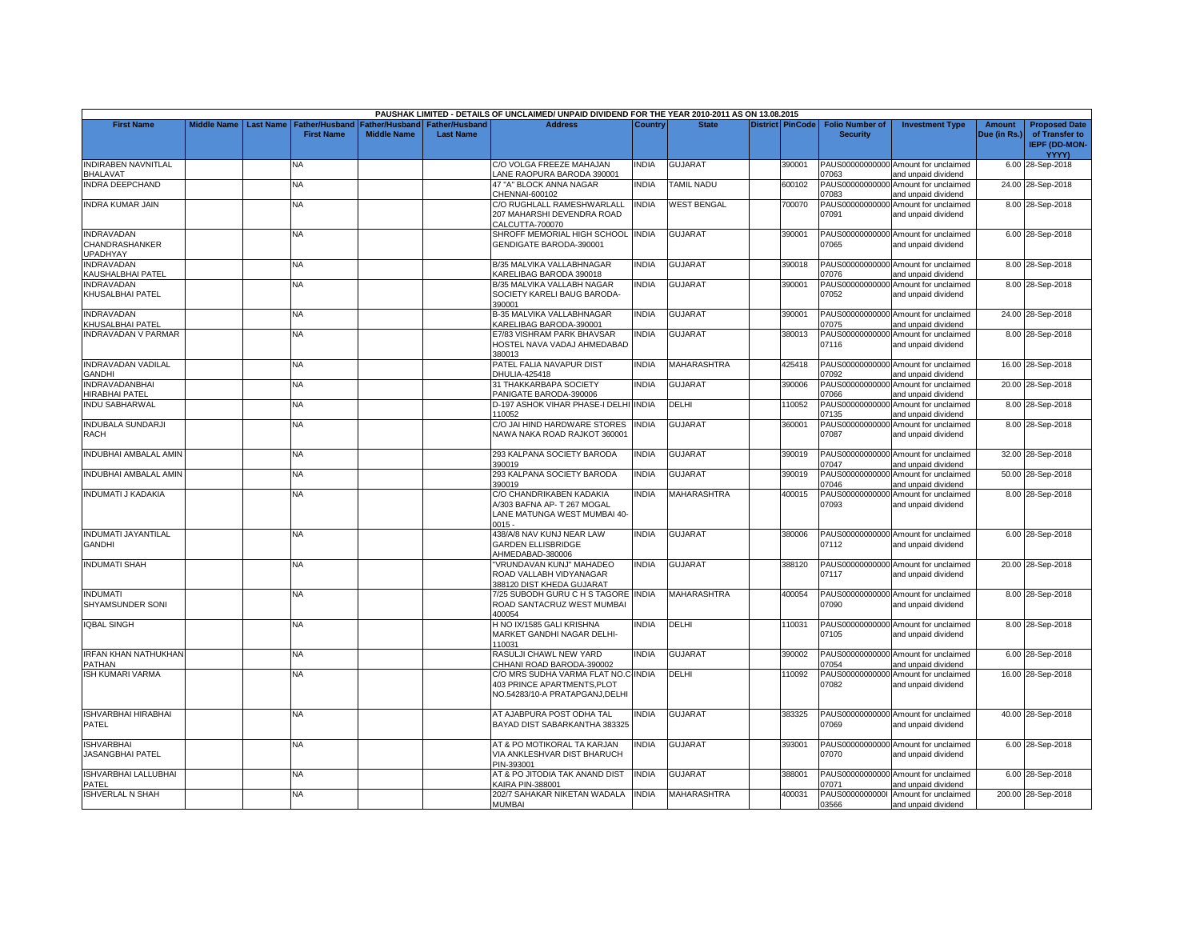|                                                        |                    |                  |                                            |                                             |                                           | PAUSHAK LIMITED - DETAILS OF UNCLAIMED/ UNPAID DIVIDEND FOR THE YEAR 2010-2011 AS ON 13.08.2015      |              |                    |                         |                                           |                                                             |                        |                                                                |
|--------------------------------------------------------|--------------------|------------------|--------------------------------------------|---------------------------------------------|-------------------------------------------|------------------------------------------------------------------------------------------------------|--------------|--------------------|-------------------------|-------------------------------------------|-------------------------------------------------------------|------------------------|----------------------------------------------------------------|
| <b>First Name</b>                                      | <b>Middle Name</b> | <b>Last Name</b> | <b>Father/Husband</b><br><b>First Name</b> | <b>Father/Husband</b><br><b>Middle Name</b> | <b>Father/Husband</b><br><b>Last Name</b> | <b>Address</b>                                                                                       | Country      | <b>State</b>       | <b>District PinCode</b> | <b>Folio Number of</b><br><b>Security</b> | <b>Investment Type</b>                                      | Amount<br>Due (in Rs.) | <b>Proposed Date</b><br>of Transfer to<br><b>IEPF (DD-MON-</b> |
| <b>INDIRABEN NAVNITLAL</b>                             |                    |                  | NA                                         |                                             |                                           | C/O VOLGA FREEZE MAHAJAN                                                                             | <b>NDIA</b>  | <b>GUJARAT</b>     | 390001                  |                                           | PAUS00000000000 Amount for unclaimed                        |                        | <b>YYYY)</b><br>6.00 28-Sep-2018                               |
| <b>BHALAVAT</b>                                        |                    |                  |                                            |                                             |                                           | ANE RAOPURA BARODA 390001                                                                            |              |                    |                         | 07063                                     | and unpaid dividend                                         |                        |                                                                |
| <b>INDRA DEEPCHAND</b>                                 |                    |                  | <b>NA</b>                                  |                                             |                                           | 47 "A" BLOCK ANNA NAGAR<br>CHENNAI-600102                                                            | <b>NDIA</b>  | <b>TAMIL NADU</b>  | 600102                  | PAUS00000000000<br>07083                  | Amount for unclaimed<br>and unpaid dividend                 |                        | 24.00 28-Sep-2018                                              |
| <b>INDRA KUMAR JAIN</b>                                |                    |                  | NA                                         |                                             |                                           | C/O RUGHLALL RAMESHWARLALL<br>207 MAHARSHI DEVENDRA ROAD<br>CALCUTTA-700070                          | <b>INDIA</b> | <b>WEST BENGAL</b> | 700070                  | PAUS00000000000<br>07091                  | Amount for unclaimed<br>and unpaid dividend                 |                        | 8.00 28-Sep-2018                                               |
| <b>INDRAVADAN</b><br>CHANDRASHANKER<br><b>UPADHYAY</b> |                    |                  | NA.                                        |                                             |                                           | SHROFF MEMORIAL HIGH SCHOOL INDIA<br>GENDIGATE BARODA-390001                                         |              | <b>GUJARAT</b>     | 390001                  | 07065                                     | PAUS00000000000 Amount for unclaimed<br>and unpaid dividend |                        | 6.00 28-Sep-2018                                               |
| INDRAVADAN<br>KAUSHALBHAI PATEL                        |                    |                  | NA                                         |                                             |                                           | B/35 MALVIKA VALLABHNAGAR<br>KARELIBAG BARODA 390018                                                 | INDIA        | GUJARAT            | 390018                  | 07076                                     | PAUS00000000000 Amount for unclaimed<br>and unpaid dividend |                        | 8.00 28-Sep-2018                                               |
| <b>INDRAVADAN</b><br>KHUSALBHAI PATEL                  |                    |                  | NA                                         |                                             |                                           | B/35 MALVIKA VALLABH NAGAR<br>SOCIETY KARELI BAUG BARODA-<br>390001                                  | <b>INDIA</b> | <b>GUJARAT</b>     | 390001                  | PAUS00000000000<br>07052                  | Amount for unclaimed<br>and unpaid dividend                 |                        | 8.00 28-Sep-2018                                               |
| <b>INDRAVADAN</b><br>KHUSALBHAI PATEL                  |                    |                  | NA                                         |                                             |                                           | B-35 MALVIKA VALLABHNAGAR<br>KARELIBAG BARODA-390001                                                 | INDIA        | <b>GUJARAT</b>     | 390001                  | 07075                                     | PAUS00000000000 Amount for unclaimed<br>and unpaid dividend |                        | 24.00 28-Sep-2018                                              |
| <b>INDRAVADAN V PARMAR</b>                             |                    |                  | NA                                         |                                             |                                           | E7/83 VISHRAM PARK BHAVSAR<br>HOSTEL NAVA VADAJ AHMEDABAD<br>380013                                  | <b>NDIA</b>  | <b>GUJARAT</b>     | 380013                  | 07116                                     | PAUS00000000000 Amount for unclaimed<br>and unpaid dividend |                        | 8.00 28-Sep-2018                                               |
| <b>INDRAVADAN VADILAL</b><br>GANDHI                    |                    |                  | <b>NA</b>                                  |                                             |                                           | PATEL FALIA NAVAPUR DIST<br>DHULIA-425418                                                            | INDIA        | MAHARASHTRA        | 425418                  | 07092                                     | PAUS00000000000 Amount for unclaimed<br>and unpaid dividend |                        | 16.00 28-Sep-2018                                              |
| <b>INDRAVADANBHAI</b><br>HIRABHAI PATEL                |                    |                  | NA.                                        |                                             |                                           | 31 THAKKARBAPA SOCIETY<br>PANIGATE BARODA-390006                                                     | <b>INDIA</b> | <b>GUJARAT</b>     | 390006                  | PAUS00000000000<br>07066                  | Amount for unclaimed<br>and unpaid dividend                 |                        | 20.00 28-Sep-2018                                              |
| <b>INDU SABHARWAL</b>                                  |                    |                  | <b>NA</b>                                  |                                             |                                           | D-197 ASHOK VIHAR PHASE-I DELHI<br>110052                                                            | <b>INDIA</b> | DELHI              | 110052                  | 07135                                     | PAUS00000000000 Amount for unclaimed<br>and unpaid dividend |                        | 8.00 28-Sep-2018                                               |
| <b>INDUBALA SUNDARJI</b><br><b>RACH</b>                |                    |                  | NA                                         |                                             |                                           | C/O JAI HIND HARDWARE STORES<br>NAWA NAKA ROAD RAJKOT 360001                                         | <b>INDIA</b> | <b>GUJARAT</b>     | 360001                  | PAUS00000000000<br>07087                  | Amount for unclaimed<br>and unpaid dividend                 |                        | 8.00 28-Sep-2018                                               |
| INDUBHAI AMBALAL AMIN                                  |                    |                  | <b>NA</b>                                  |                                             |                                           | 293 KALPANA SOCIETY BARODA<br>390019                                                                 | <b>NDIA</b>  | <b>GUJARAT</b>     | 390019                  | 17047                                     | PAUS00000000000 Amount for unclaimed<br>and unpaid dividend |                        | 32.00 28-Sep-2018                                              |
| INDUBHAI AMBALAL AMIN                                  |                    |                  | NA                                         |                                             |                                           | 293 KALPANA SOCIETY BARODA<br>390019                                                                 | <b>NDIA</b>  | GUJARAT            | 390019                  | PAUS00000000000<br>07046                  | Amount for unclaimed<br>and unpaid dividend                 |                        | 50.00 28-Sep-2018                                              |
| <b>INDUMATI J KADAKIA</b>                              |                    |                  | <b>NA</b>                                  |                                             |                                           | C/O CHANDRIKABEN KADAKIA<br>A/303 BAFNA AP- T 267 MOGAL<br>LANE MATUNGA WEST MUMBAI 40-<br>$0015 -$  | <b>NDIA</b>  | MAHARASHTRA        | 400015                  | PAUS00000000000<br>07093                  | Amount for unclaimed<br>and unpaid dividend                 |                        | 8.00 28-Sep-2018                                               |
| <b>INDUMATI JAYANTILAL</b><br><b>GANDHI</b>            |                    |                  | NA.                                        |                                             |                                           | 438/A/8 NAV KUNJ NEAR LAW<br><b>GARDEN ELLISBRIDGE</b><br>AHMEDABAD-380006                           | <b>INDIA</b> | <b>GUJARAT</b>     | 380006                  | 07112                                     | PAUS00000000000 Amount for unclaimed<br>and unpaid dividend |                        | 6.00 28-Sep-2018                                               |
| <b>INDUMATI SHAH</b>                                   |                    |                  | NA                                         |                                             |                                           | "VRUNDAVAN KUNJ" MAHADEO<br>ROAD VALLABH VIDYANAGAR<br>388120 DIST KHEDA GUJARAT                     | INDIA        | <b>GUJARAT</b>     | 388120                  | 07117                                     | PAUS00000000000 Amount for unclaimed<br>and unpaid dividend |                        | 20.00 28-Sep-2018                                              |
| <b>INDUMATI</b><br>SHYAMSUNDER SONI                    |                    |                  | <b>NA</b>                                  |                                             |                                           | 7/25 SUBODH GURU C H S TAGORE INDIA<br>ROAD SANTACRUZ WEST MUMBAI<br>400054                          |              | <b>MAHARASHTRA</b> | 400054                  | 07090                                     | PAUS00000000000 Amount for unclaimed<br>and unpaid dividend |                        | 8.00 28-Sep-2018                                               |
| <b>IQBAL SINGH</b>                                     |                    |                  | ΝA                                         |                                             |                                           | H NO IX/1585 GALI KRISHNA<br>MARKET GANDHI NAGAR DELHI-<br>110031                                    | <b>NDIA</b>  | DELHI              | 110031                  | 07105                                     | PAUS00000000000 Amount for unclaimed<br>and unpaid dividend |                        | 8.00 28-Sep-2018                                               |
| IRFAN KHAN NATHUKHAN<br>PATHAN                         |                    |                  | <b>NA</b>                                  |                                             |                                           | RASULJI CHAWL NEW YARD<br>CHHANI ROAD BARODA-390002                                                  | <b>NDIA</b>  | <b>GUJARAT</b>     | 390002                  | PAUS00000000000<br>07054                  | Amount for unclaimed<br>and unpaid dividend                 |                        | 6.00 28-Sep-2018                                               |
| <b>ISH KUMARI VARMA</b>                                |                    |                  | NA                                         |                                             |                                           | C/O MRS SUDHA VARMA FLAT NO.C INDIA<br>403 PRINCE APARTMENTS, PLOT<br>NO.54283/10-A PRATAPGANJ,DELHI |              | DELHI              | 110092                  | 07082                                     | PAUS00000000000 Amount for unclaimed<br>and unpaid dividend |                        | 16.00 28-Sep-2018                                              |
| <b>ISHVARBHAI HIRABHAI</b><br>PATEL                    |                    |                  | NA                                         |                                             |                                           | AT AJABPURA POST ODHA TAL<br>BAYAD DIST SABARKANTHA 383325                                           | INDIA        | <b>GUJARAT</b>     | 383325                  | 07069                                     | PAUS00000000000 Amount for unclaimed<br>and unpaid dividend |                        | 40.00 28-Sep-2018                                              |
| <b>ISHVARBHAI</b><br>JASANGBHAI PATEL                  |                    |                  | <b>NA</b>                                  |                                             |                                           | AT & PO MOTIKORAL TA KARJAN<br>VIA ANKLESHVAR DIST BHARUCH<br>PIN-393001                             | <b>INDIA</b> | <b>GUJARAT</b>     | 393001                  | 07070                                     | PAUS00000000000 Amount for unclaimed<br>and unpaid dividend |                        | 6.00 28-Sep-2018                                               |
| ISHVARBHAI LALLUBHAI<br>PATEL                          |                    |                  | NA                                         |                                             |                                           | AT & PO JITODIA TAK ANAND DIST<br>KAIRA PIN-388001                                                   | <b>NDIA</b>  | GUJARAT            | 388001                  | 07071                                     | PAUS00000000000 Amount for unclaimed<br>and unpaid dividend |                        | 6.00 28-Sep-2018                                               |
| <b>ISHVERLAL N SHAH</b>                                |                    |                  | <b>NA</b>                                  |                                             |                                           | 202/7 SAHAKAR NIKETAN WADALA<br><b>MUMBAI</b>                                                        | <b>INDIA</b> | <b>MAHARASHTRA</b> | 400031                  | 03566                                     | PAUS00000000001 Amount for unclaimed<br>and unpaid dividend |                        | 200.00 28-Sep-2018                                             |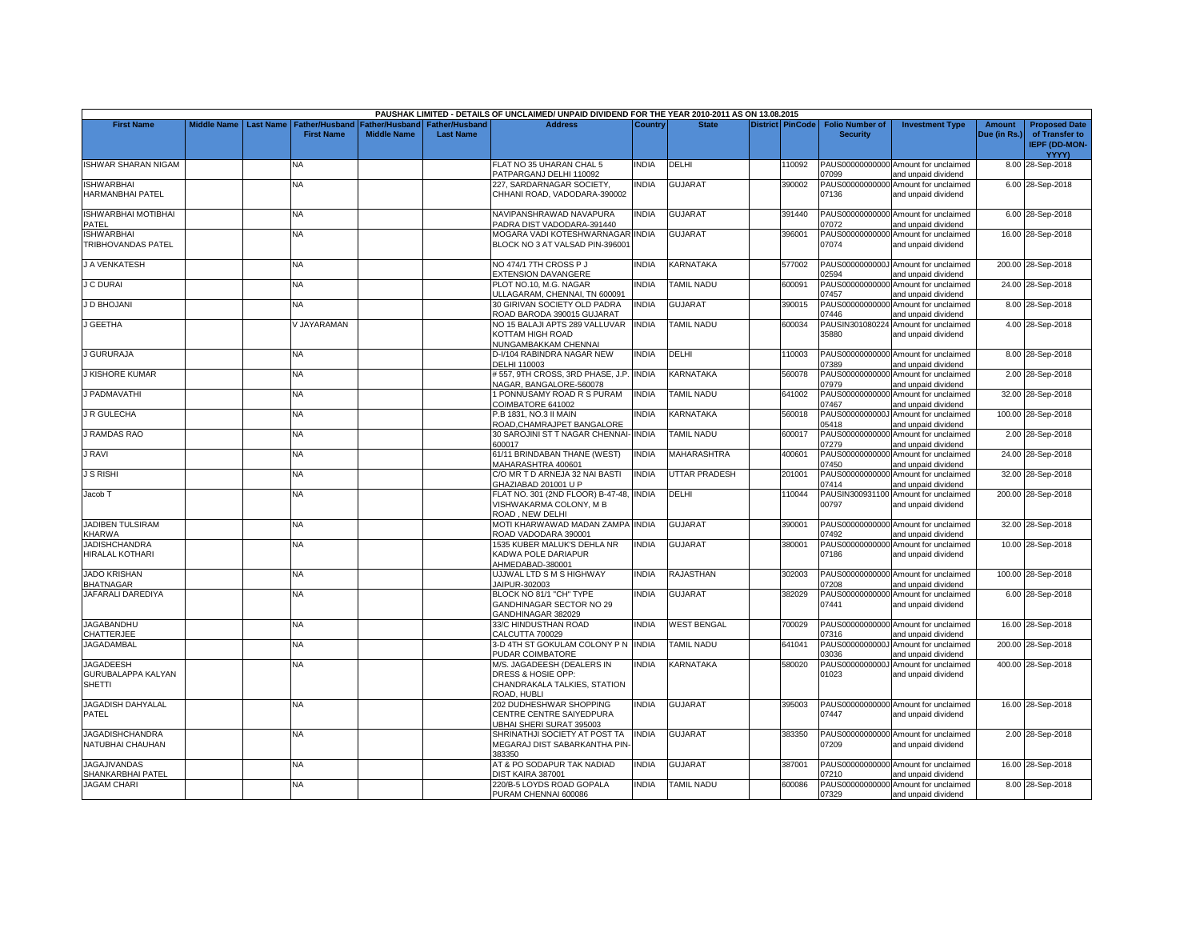|                                                                |             |                  |                                     |                    |                                                     | PAUSHAK LIMITED - DETAILS OF UNCLAIMED/ UNPAID DIVIDEND FOR THE YEAR 2010-2011 AS ON 13.08.2015 |              |                          |                         |                                           |                                                             |                               |                                                                |
|----------------------------------------------------------------|-------------|------------------|-------------------------------------|--------------------|-----------------------------------------------------|-------------------------------------------------------------------------------------------------|--------------|--------------------------|-------------------------|-------------------------------------------|-------------------------------------------------------------|-------------------------------|----------------------------------------------------------------|
| <b>First Name</b>                                              | Middle Name | <b>Last Name</b> | Father/Husband<br><b>First Name</b> | <b>Middle Name</b> | Father/Husband   Father/Husband<br><b>Last Name</b> | <b>Address</b>                                                                                  | Country      | <b>State</b>             | <b>District PinCode</b> | <b>Folio Number of</b><br><b>Security</b> | <b>Investment Type</b>                                      | <b>Amount</b><br>Due (in Rs.) | <b>Proposed Date</b><br>of Transfer to<br><b>IEPF (DD-MON-</b> |
| <b>ISHWAR SHARAN NIGAM</b>                                     |             |                  | NA.                                 |                    |                                                     | FLAT NO 35 UHARAN CHAL 5                                                                        | <b>INDIA</b> | DELHI                    | 110092                  |                                           | PAUS00000000000 Amount for unclaimed                        |                               | YYYY)<br>8.00 28-Sep-2018                                      |
|                                                                |             |                  |                                     |                    |                                                     | PATPARGANJ DELHI 110092                                                                         |              |                          |                         | 07099                                     | and unpaid dividend                                         |                               |                                                                |
| <b>ISHWARBHAI</b><br>HARMANBHAI PATEL                          |             |                  | <b>NA</b>                           |                    |                                                     | 227, SARDARNAGAR SOCIETY,<br>CHHANI ROAD, VADODARA-390002                                       | <b>INDIA</b> | <b>GUJARAT</b>           | 390002                  | 07136                                     | PAUS00000000000 Amount for unclaimed<br>and unpaid dividend |                               | 6.00 28-Sep-2018                                               |
| <b>ISHWARBHAI MOTIBHAI</b><br>PATEL                            |             |                  | NA                                  |                    |                                                     | NAVIPANSHRAWAD NAVAPURA<br>PADRA DIST VADODARA-391440                                           | INDIA        | GUJARAT                  | 391440                  | 07072                                     | PAUS00000000000 Amount for unclaimed<br>and unpaid dividend |                               | 6.00 28-Sep-2018                                               |
| <b>ISHWARBHAI</b>                                              |             |                  | NA                                  |                    |                                                     | MOGARA VADI KOTESHWARNAGAR INDIA                                                                |              | GUJARAT                  | 396001                  |                                           | PAUS00000000000 Amount for unclaimed                        |                               | 16.00 28-Sep-2018                                              |
| TRIBHOVANDAS PATEL                                             |             |                  |                                     |                    |                                                     | BLOCK NO 3 AT VALSAD PIN-396001                                                                 |              |                          |                         | 07074                                     | and unpaid dividend                                         |                               |                                                                |
| J A VENKATESH                                                  |             |                  | NA                                  |                    |                                                     | NO 474/1 7TH CROSS P J<br><b>EXTENSION DAVANGERE</b>                                            | <b>INDIA</b> | KARNATAKA                | 577002                  | 02594                                     | PAUS0000000000J Amount for unclaimed<br>and unpaid dividend |                               | 200.00 28-Sep-2018                                             |
| <b>J C DURAI</b>                                               |             |                  | NA                                  |                    |                                                     | PLOT NO.10, M.G. NAGAR<br><b>JLLAGARAM, CHENNAI, TN 600091</b>                                  | <b>INDIA</b> | <b>TAMIL NADU</b>        | 600091                  | PAUS00000000000<br>07457                  | Amount for unclaimed<br>and unpaid dividend                 |                               | 24.00 28-Sep-2018                                              |
| J D BHOJANI                                                    |             |                  | <b>NA</b>                           |                    |                                                     | 30 GIRIVAN SOCIETY OLD PADRA<br>ROAD BARODA 390015 GUJARAT                                      | <b>INDIA</b> | <b>GUJARAT</b>           | 390015                  | 07446                                     | PAUS00000000000 Amount for unclaimed<br>and unpaid dividend |                               | 8.00 28-Sep-2018                                               |
| <b>GEETHA</b>                                                  |             |                  | <b>JAYARAMAN</b>                    |                    |                                                     | NO 15 BALAJI APTS 289 VALLUVAR<br>KOTTAM HIGH ROAD<br>NUNGAMBAKKAM CHENNAI                      | <b>INDIA</b> | <b>TAMIL NADU</b>        | 600034                  | PAUSIN301080224<br>35880                  | Amount for unclaimed<br>and unpaid dividend                 |                               | 4.00 28-Sep-2018                                               |
| J GURURAJA                                                     |             |                  | NA                                  |                    |                                                     | D-I/104 RABINDRA NAGAR NEW<br>DELHI 110003                                                      | <b>INDIA</b> | DELHI                    | 110003                  | 07389                                     | PAUS00000000000 Amount for unclaimed<br>and unpaid dividend |                               | 8.00 28-Sep-2018                                               |
| <b>J KISHORE KUMAR</b>                                         |             |                  | <b>NA</b>                           |                    |                                                     | #557, 9TH CROSS, 3RD PHASE, J.P<br>NAGAR, BANGALORE-560078                                      | <b>INDIA</b> | KARNATAKA                | 560078                  | 07979                                     | PAUS00000000000 Amount for unclaimed<br>and unpaid dividend |                               | 2.00 28-Sep-2018                                               |
| J PADMAVATHI                                                   |             |                  | <b>NA</b>                           |                    |                                                     | 1 PONNUSAMY ROAD R S PURAM<br>COIMBATORE 641002                                                 | <b>INDIA</b> | TAMIL NADU               | 641002                  | PAUS00000000000<br>07467                  | Amount for unclaimed<br>and unpaid dividend                 |                               | 32.00 28-Sep-2018                                              |
| <b>J R GULECHA</b>                                             |             |                  | NA.                                 |                    |                                                     | P.B 1831. NO.3 II MAIN<br>ROAD, CHAMRAJPET BANGALORE                                            | INDIA        | KARNATAKA                | 560018                  | PAUS0000000000J<br>05418                  | Amount for unclaimed<br>and unpaid dividend                 |                               | 100.00 28-Sep-2018                                             |
| RAMDAS RAO                                                     |             |                  | <b>NA</b>                           |                    |                                                     | 30 SAROJINI ST T NAGAR CHENNAI-<br>600017                                                       | <b>INDIA</b> | <b><i>FAMIL NADU</i></b> | 600017                  | PAUS00000000000<br>07279                  | Amount for unclaimed<br>and unpaid dividend                 |                               | 2.00 28-Sep-2018                                               |
| <b>J RAVI</b>                                                  |             |                  | NA                                  |                    |                                                     | 61/11 BRINDABAN THANE (WEST)<br><b>MAHARASHTRA 400601</b>                                       | <b>INDIA</b> | MAHARASHTRA              | 400601                  | PAUS00000000000<br>07450                  | Amount for unclaimed<br>and unpaid dividend                 |                               | 24.00 28-Sep-2018                                              |
| J S RISHI                                                      |             |                  | NA                                  |                    |                                                     | C/O MR T D ARNEJA 32 NAI BASTI<br>GHAZIABAD 201001 U P                                          | <b>INDIA</b> | <b>JTTAR PRADESH</b>     | 201001                  | 07414                                     | PAUS00000000000 Amount for unclaimed<br>and unpaid dividend |                               | 32.00 28-Sep-2018                                              |
| Jacob T                                                        |             |                  | <b>NA</b>                           |                    |                                                     | FLAT NO. 301 (2ND FLOOR) B-47-48, INDIA<br>VISHWAKARMA COLONY, M B<br>ROAD, NEW DELHI           |              | DELHI                    | 110044                  | 00797                                     | PAUSIN300931100 Amount for unclaimed<br>and unpaid dividend |                               | 200.00 28-Sep-2018                                             |
| JADIBEN TULSIRAM<br>KHARWA                                     |             |                  | <b>NA</b>                           |                    |                                                     | MOTI KHARWAWAD MADAN ZAMPA<br>ROAD VADODARA 390001                                              | <b>INDIA</b> | GUJARAT                  | 390001                  | 07492                                     | PAUS00000000000 Amount for unclaimed<br>and unpaid dividend |                               | 32.00 28-Sep-2018                                              |
| <b>JADISHCHANDRA</b><br><b>HIRALAL KOTHARI</b>                 |             |                  | NA                                  |                    |                                                     | 1535 KUBER MALUK'S DEHLA NR<br>KADWA POLE DARIAPUR<br>AHMEDABAD-380001                          | <b>INDIA</b> | GUJARAT                  | 380001                  | 07186                                     | PAUS00000000000 Amount for unclaimed<br>and unpaid dividend |                               | 10.00 28-Sep-2018                                              |
| <b>JADO KRISHAN</b><br><b>BHATNAGAR</b>                        |             |                  | NA                                  |                    |                                                     | UJJWAL LTD S M S HIGHWAY<br>JAIPUR-302003                                                       | <b>INDIA</b> | RAJASTHAN                | 302003                  | 7208                                      | PAUS00000000000 Amount for unclaimed<br>and unpaid dividend |                               | 100.00 28-Sep-2018                                             |
| JAFARALI DAREDIYA                                              |             |                  | NA                                  |                    |                                                     | BLOCK NO 81/1 "CH" TYPE<br>GANDHINAGAR SECTOR NO 29<br>GANDHINAGAR 382029                       | <b>INDIA</b> | GUJARAT                  | 382029                  | 07441                                     | PAUS00000000000 Amount for unclaimed<br>and unpaid dividend |                               | 6.00 28-Sep-2018                                               |
| <b>JAGABANDHU</b><br>CHATTERJEE                                |             |                  | NA                                  |                    |                                                     | 33/C HINDUSTHAN ROAD<br>CALCUTTA 700029                                                         | <b>INDIA</b> | <b>WEST BENGAL</b>       | 700029                  | 07316                                     | PAUS00000000000 Amount for unclaimed<br>and unpaid dividend |                               | 16.00 28-Sep-2018                                              |
| JAGADAMBAL                                                     |             |                  | <b>NA</b>                           |                    |                                                     | 3-D 4TH ST GOKULAM COLONY P N INDIA<br>PUDAR COIMBATORE                                         |              | <b>TAMIL NADU</b>        | 641041                  | PAUS0000000000J<br>03036                  | Amount for unclaimed<br>and unpaid dividend                 |                               | 200.00 28-Sep-2018                                             |
| <b>JAGADEESH</b><br><b>GURUBALAPPA KALYAN</b><br><b>SHETTI</b> |             |                  | NA                                  |                    |                                                     | M/S. JAGADEESH (DEALERS IN<br>DRESS & HOSIE OPP:<br>CHANDRAKALA TALKIES, STATION<br>ROAD, HUBLI | <b>INDIA</b> | KARNATAKA                | 580020                  | PAUS0000000000J<br>01023                  | Amount for unclaimed<br>and unpaid dividend                 |                               | 400.00 28-Sep-2018                                             |
| JAGADISH DAHYALAL<br>PATEL                                     |             |                  | <b>NA</b>                           |                    |                                                     | 202 DUDHESHWAR SHOPPING<br>CENTRE CENTRE SAIYEDPURA<br>UBHAI SHERI SURAT 395003                 | <b>INDIA</b> | <b>GUJARAT</b>           | 395003                  | 07447                                     | PAUS00000000000 Amount for unclaimed<br>and unpaid dividend |                               | 16.00 28-Sep-2018                                              |
| <b>JAGADISHCHANDRA</b><br>NATUBHAI CHAUHAN                     |             |                  | <b>NA</b>                           |                    |                                                     | SHRINATHJI SOCIETY AT POST TA<br>MEGARAJ DIST SABARKANTHA PIN-<br>383350                        | <b>INDIA</b> | <b>GUJARAT</b>           | 383350                  | 07209                                     | PAUS00000000000 Amount for unclaimed<br>and unpaid dividend |                               | 2.00 28-Sep-2018                                               |
| <b>JAGAJIVANDAS</b><br>SHANKARBHAI PATEL                       |             |                  | <b>NA</b>                           |                    |                                                     | AT & PO SODAPUR TAK NADIAD<br>DIST KAIRA 387001                                                 | INDIA        | <b>GUJARAT</b>           | 387001                  | 07210                                     | PAUS00000000000 Amount for unclaimed<br>and unpaid dividend |                               | 16.00 28-Sep-2018                                              |
| <b>JAGAM CHARI</b>                                             |             |                  | NA                                  |                    |                                                     | 220/B-5 LOYDS ROAD GOPALA<br>PURAM CHENNAI 600086                                               | <b>INDIA</b> | <b>TAMIL NADU</b>        | 600086                  | 07329                                     | PAUS00000000000 Amount for unclaimed<br>and unpaid dividend |                               | 8.00 28-Sep-2018                                               |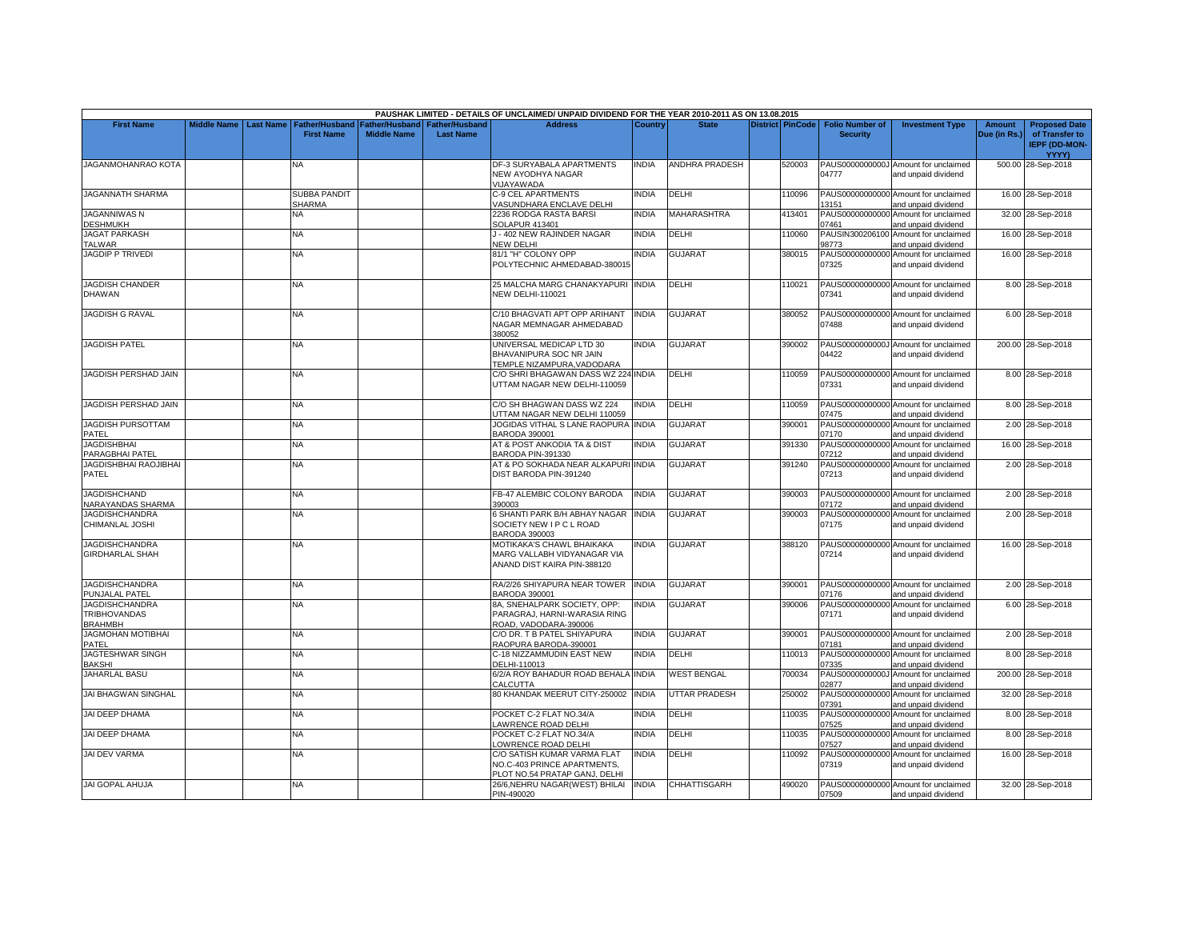|                                                                |                         |                                            |                    |                                                     | PAUSHAK LIMITED - DETAILS OF UNCLAIMED/ UNPAID DIVIDEND FOR THE YEAR 2010-2011 AS ON 13.08.2015 |              |                           |                         |                                           |                                                             |                               |                                                                         |
|----------------------------------------------------------------|-------------------------|--------------------------------------------|--------------------|-----------------------------------------------------|-------------------------------------------------------------------------------------------------|--------------|---------------------------|-------------------------|-------------------------------------------|-------------------------------------------------------------|-------------------------------|-------------------------------------------------------------------------|
| <b>First Name</b>                                              | Middle Name   Last Name | <b>Father/Husband</b><br><b>First Name</b> | <b>Middle Name</b> | Father/Husband   Father/Husband<br><b>Last Name</b> | <b>Address</b>                                                                                  | Country      | <b>State</b>              | <b>District PinCode</b> | <b>Folio Number of</b><br><b>Security</b> | <b>Investment Type</b>                                      | <b>Amount</b><br>Due (in Rs.) | <b>Proposed Date</b><br>of Transfer to<br><b>IEPF (DD-MON-</b><br>YYYY) |
| <b>JAGANMOHANRAO KOTA</b>                                      |                         | NA                                         |                    |                                                     | DF-3 SURYABALA APARTMENTS<br><b>NEW AYODHYA NAGAR</b><br>VIJAYAWADA                             | <b>INDIA</b> | <b>ANDHRA PRADESH</b>     | 520003                  | 04777                                     | PAUS0000000000J Amount for unclaimed<br>and unpaid dividend |                               | 500.00 28-Sep-2018                                                      |
| <b>JAGANNATH SHARMA</b>                                        |                         | <b>SUBBA PANDIT</b><br><b>SHARMA</b>       |                    |                                                     | <b>C-9 CEL APARTMENTS</b><br>VASUNDHARA ENCLAVE DELHI                                           | <b>INDIA</b> | DELHI                     | 110096                  | 13151                                     | PAUS00000000000 Amount for unclaimed<br>and unpaid dividend |                               | 16.00 28-Sep-2018                                                       |
| <b>JAGANNIWAS N</b><br><b>DESHMUKH</b>                         |                         | NA                                         |                    |                                                     | 2236 RODGA RASTA BARSI<br>SOLAPUR 413401                                                        | INDIA        | MAHARASHTRA               | 413401                  | 07461                                     | PAUS00000000000 Amount for unclaimed<br>and unpaid dividend |                               | 32.00 28-Sep-2018                                                       |
| <b>JAGAT PARKASH</b><br><b>TALWAR</b>                          |                         | NA                                         |                    |                                                     | J - 402 NEW RAJINDER NAGAR<br>NEW DELHI                                                         | <b>INDIA</b> | DELHI                     | 110060                  | 98773                                     | PAUSIN300206100 Amount for unclaimed<br>and unpaid dividend |                               | 16.00 28-Sep-2018                                                       |
| <b>JAGDIP P TRIVEDI</b>                                        |                         | NA                                         |                    |                                                     | 81/1 "H" COLONY OPP<br>POLYTECHNIC AHMEDABAD-380015                                             | <b>INDIA</b> | <b>GUJARAT</b>            | 380015                  | PAUS00000000000<br>07325                  | Amount for unclaimed<br>and unpaid dividend                 |                               | 16.00 28-Sep-2018                                                       |
| <b>JAGDISH CHANDER</b><br><b>DHAWAN</b>                        |                         | NA.                                        |                    |                                                     | 25 MALCHA MARG CHANAKYAPURI INDIA<br>NEW DELHI-110021                                           |              | DELHI                     | 10021                   | 07341                                     | PAUS00000000000 Amount for unclaimed<br>and unpaid dividend |                               | 8.00 28-Sep-2018                                                        |
| <b>JAGDISH G RAVAL</b>                                         |                         | NA                                         |                    |                                                     | C/10 BHAGVATI APT OPP ARIHANT<br>NAGAR MEMNAGAR AHMEDABAD<br>380052                             | <b>INDIA</b> | <b>GUJARAT</b>            | 380052                  | 07488                                     | PAUS00000000000 Amount for unclaimed<br>and unpaid dividend |                               | 6.00 28-Sep-2018                                                        |
| <b>JAGDISH PATEL</b>                                           |                         | <b>NA</b>                                  |                    |                                                     | UNIVERSAL MEDICAP LTD 30<br>BHAVANIPURA SOC NR JAIN<br>TEMPLE NIZAMPURA, VADODARA               | <b>INDIA</b> | <b>GUJARAT</b>            | 390002                  | 04422                                     | PAUS0000000000J Amount for unclaimed<br>and unpaid dividend |                               | 200.00 28-Sep-2018                                                      |
| JAGDISH PERSHAD JAIN                                           |                         | <b>NA</b>                                  |                    |                                                     | C/O SHRI BHAGAWAN DASS WZ 224 INDIA<br>UTTAM NAGAR NEW DELHI-110059                             |              | DELHI                     | 110059                  | 07331                                     | PAUS00000000000 Amount for unclaimed<br>and unpaid dividend |                               | 8.00 28-Sep-2018                                                        |
| <b>JAGDISH PERSHAD JAIN</b>                                    |                         | NA                                         |                    |                                                     | C/O SH BHAGWAN DASS WZ 224<br>UTTAM NAGAR NEW DELHI 110059                                      | <b>INDIA</b> | DELHI                     | 110059                  | 07475                                     | PAUS00000000000 Amount for unclaimed<br>and unpaid dividend |                               | 8.00 28-Sep-2018                                                        |
| <b>JAGDISH PURSOTTAM</b><br>PATEL                              |                         | <b>NA</b>                                  |                    |                                                     | JOGIDAS VITHAL S LANE RAOPURA INDIA<br>BARODA 390001                                            |              | <b>GUJARAT</b>            | 390001                  | 07170                                     | PAUS00000000000 Amount for unclaimed<br>and unpaid dividend |                               | 2.00 28-Sep-2018                                                        |
| <b>JAGDISHBHAI</b><br>PARAGBHAI PATEL                          |                         | NA                                         |                    |                                                     | AT & POST ANKODIA TA & DIST<br><b>BARODA PIN-391330</b>                                         | <b>INDIA</b> | GUJARAT                   | 391330                  | PAUS00000000000<br>07212                  | Amount for unclaimed<br>and unpaid dividend                 |                               | 16.00 28-Sep-2018                                                       |
| <b>JAGDISHBHAI RAOJIBHAI</b><br>PATEL                          |                         | NA                                         |                    |                                                     | AT & PO SOKHADA NEAR ALKAPURI INDIA<br>DIST BARODA PIN-391240                                   |              | <b>GUJARAT</b>            | 391240                  | PAUS00000000000<br>07213                  | Amount for unclaimed<br>and unpaid dividend                 |                               | 2.00 28-Sep-2018                                                        |
| <b>JAGDISHCHAND</b><br>NARAYANDAS SHARMA                       |                         | <b>NA</b>                                  |                    |                                                     | FB-47 ALEMBIC COLONY BARODA<br>390003                                                           | <b>INDIA</b> | <b>GUJARAT</b>            | 390003                  | 07172                                     | PAUS00000000000 Amount for unclaimed<br>and unpaid dividend |                               | 2.00 28-Sep-2018                                                        |
| <b>JAGDISHCHANDRA</b><br>CHIMANLAL JOSHI                       |                         | NA                                         |                    |                                                     | SHANTI PARK B/H ABHAY NAGAR INDIA<br>SOCIETY NEW I P C L ROAD<br>BARODA 390003                  |              | <b>GUJARAT</b>            | 390003                  | PAUS00000000000<br>07175                  | Amount for unclaimed<br>and unpaid dividend                 |                               | 2.00 28-Sep-2018                                                        |
| <b>JAGDISHCHANDRA</b><br><b>GIRDHARLAL SHAH</b>                |                         | NA                                         |                    |                                                     | MOTIKAKA'S CHAWL BHAIKAKA<br>MARG VALLABH VIDYANAGAR VIA<br>ANAND DIST KAIRA PIN-388120         | <b>INDIA</b> | <b>GUJARAT</b>            | 388120                  | 07214                                     | PAUS00000000000 Amount for unclaimed<br>and unpaid dividend |                               | 16.00 28-Sep-2018                                                       |
| <b>JAGDISHCHANDRA</b><br>PUNJALAL PATEL                        |                         | NA                                         |                    |                                                     | RA/2/26 SHIYAPURA NEAR TOWER<br>BARODA 390001                                                   | <b>INDIA</b> | <b>GUJARAT</b>            | 390001                  | 07176                                     | PAUS00000000000 Amount for unclaimed<br>and unpaid dividend |                               | 2.00 28-Sep-2018                                                        |
| <b>JAGDISHCHANDRA</b><br><b>TRIBHOVANDAS</b><br><b>BRAHMBH</b> |                         | <b>NA</b>                                  |                    |                                                     | 8A. SNEHALPARK SOCIETY, OPP:<br>PARAGRAJ, HARNI-WARASIA RING<br>ROAD, VADODARA-390006           | <b>INDIA</b> | <b>GUJARAT</b>            | 390006                  | 07171                                     | PAUS00000000000 Amount for unclaimed<br>and unpaid dividend |                               | 6.00 28-Sep-2018                                                        |
| <b>JAGMOHAN MOTIBHAI</b><br>PATEL                              |                         | <b>NA</b>                                  |                    |                                                     | C/O DR. T B PATEL SHIYAPURA<br>RAOPURA BARODA-390001                                            | <b>INDIA</b> | <b>GUJARAT</b>            | 390001                  | 07181                                     | PAUS00000000000 Amount for unclaimed<br>and unpaid dividend |                               | 2.00 28-Sep-2018                                                        |
| <b>JAGTESHWAR SINGH</b><br><b>BAKSHI</b>                       |                         | NA                                         |                    |                                                     | C-18 NIZZAMMUDIN EAST NEW<br>DELHI-110013                                                       | <b>INDIA</b> | DELHI                     | 110013                  | PAUS00000000000<br>07335                  | Amount for unclaimed<br>and unpaid dividend                 |                               | 8.00 28-Sep-2018                                                        |
| JAHARLAL BASU                                                  |                         | <b>NA</b>                                  |                    |                                                     | 6/2/A ROY BAHADUR ROAD BEHALA INDIA<br>CALCUTTA                                                 |              | <b><i>NEST BENGAL</i></b> | 700034                  | PAUS0000000000J<br>02877                  | Amount for unclaimed<br>and unpaid dividend                 |                               | 200.00 28-Sep-2018                                                      |
| <b>JAI BHAGWAN SINGHAL</b>                                     |                         | NA                                         |                    |                                                     | 80 KHANDAK MEERUT CITY-250002                                                                   | <b>INDIA</b> | UTTAR PRADESH             | 250002                  | 07391                                     | PAUS00000000000 Amount for unclaimed<br>and unpaid dividend |                               | 32.00 28-Sep-2018                                                       |
| JAI DEEP DHAMA                                                 |                         | NA.                                        |                    |                                                     | POCKET C-2 FLAT NO.34/A<br>LAWRENCE ROAD DELHI                                                  | <b>INDIA</b> | DELHI                     | 110035                  | 07525                                     | PAUS00000000000 Amount for unclaimed<br>and unpaid dividend |                               | 8.00 28-Sep-2018                                                        |
| <b>JAI DEEP DHAMA</b>                                          |                         | NA                                         |                    |                                                     | POCKET C-2 FLAT NO.34/A<br>LOWRENCE ROAD DELHI                                                  | <b>INDIA</b> | DELHI                     | 110035                  | PAUS00000000000<br>07527                  | Amount for unclaimed<br>and unpaid dividend                 |                               | 8.00 28-Sep-2018                                                        |
| <b>JAI DEV VARMA</b>                                           |                         | <b>NA</b>                                  |                    |                                                     | C/O SATISH KUMAR VARMA FLAT<br>NO.C-403 PRINCE APARTMENTS,<br>PLOT NO.54 PRATAP GANJ, DELHI     | <b>INDIA</b> | <b>DELHI</b>              | 110092                  | PAUS00000000000<br>07319                  | Amount for unclaimed<br>and unpaid dividend                 |                               | 16.00 28-Sep-2018                                                       |
| <b>JAI GOPAL AHUJA</b>                                         |                         | <b>NA</b>                                  |                    |                                                     | 26/6, NEHRU NAGAR (WEST) BHILAI<br>PIN-490020                                                   | <b>INDIA</b> | <b>CHHATTISGARH</b>       | 490020                  | 07509                                     | PAUS00000000000 Amount for unclaimed<br>and unpaid dividend |                               | 32.00 28-Sep-2018                                                       |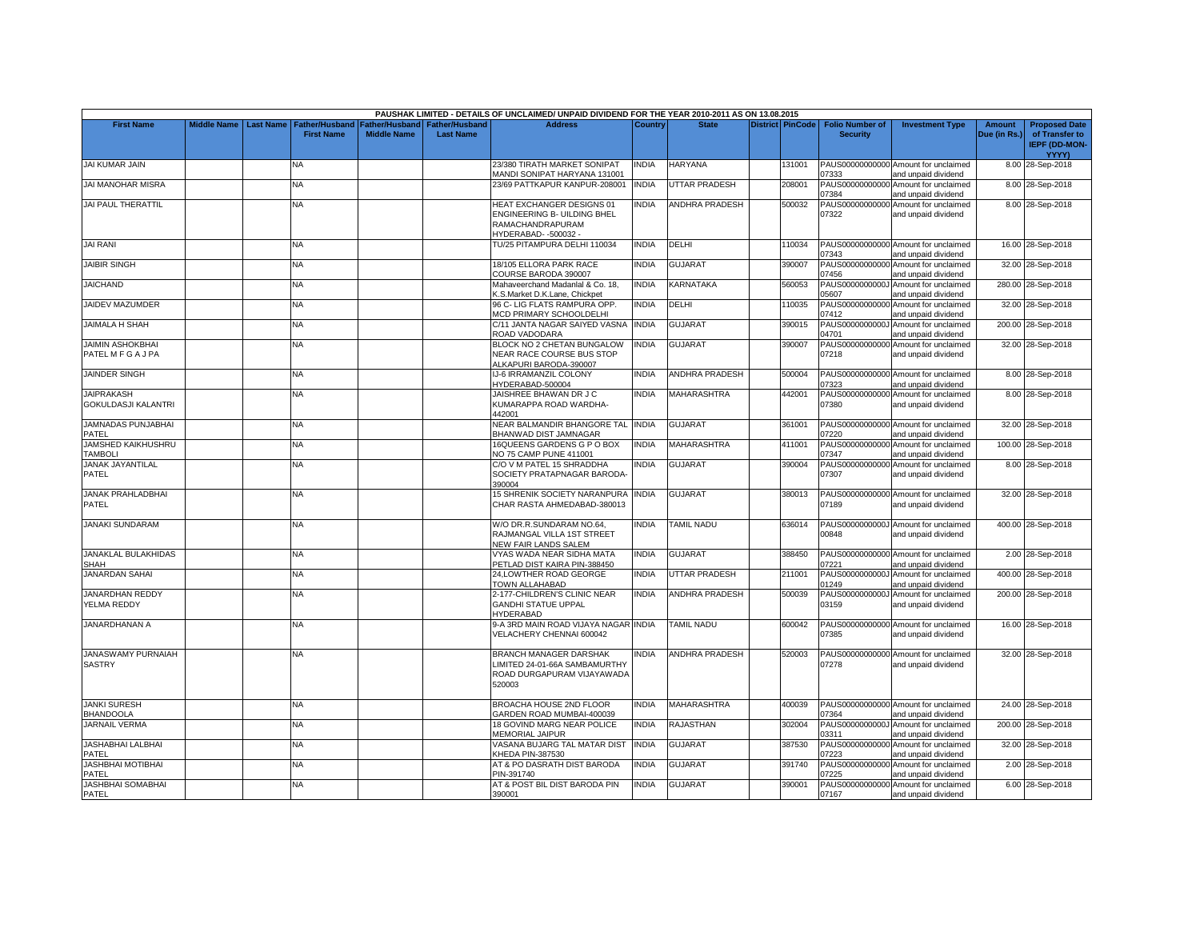|                                                 |             |                  |                                            |                                        |                                           | PAUSHAK LIMITED - DETAILS OF UNCLAIMED/ UNPAID DIVIDEND FOR THE YEAR 2010-2011 AS ON 13.08.2015        |              |                       |                         |                                           |                                                             |                               |                                                                         |
|-------------------------------------------------|-------------|------------------|--------------------------------------------|----------------------------------------|-------------------------------------------|--------------------------------------------------------------------------------------------------------|--------------|-----------------------|-------------------------|-------------------------------------------|-------------------------------------------------------------|-------------------------------|-------------------------------------------------------------------------|
| <b>First Name</b>                               | Middle Name | <b>Last Name</b> | <b>Father/Husband</b><br><b>First Name</b> | Father/Husband I<br><b>Middle Name</b> | <b>Father/Husband</b><br><b>Last Name</b> | <b>Address</b>                                                                                         | Country      | <b>State</b>          | <b>District PinCode</b> | <b>Folio Number of</b><br><b>Security</b> | <b>Investment Type</b>                                      | <b>Amount</b><br>Due (in Rs.) | <b>Proposed Date</b><br>of Transfer to<br><b>IEPF (DD-MON-</b><br>YYYY) |
| JAI KUMAR JAIN                                  |             |                  | NA.                                        |                                        |                                           | 23/380 TIRATH MARKET SONIPAT<br>MANDI SONIPAT HARYANA 131001                                           | <b>INDIA</b> | <b>HARYANA</b>        | 131001                  | 07333                                     | PAUS00000000000 Amount for unclaimed<br>and unpaid dividend |                               | 8.00 28-Sep-2018                                                        |
| <b>JAI MANOHAR MISRA</b>                        |             |                  | <b>NA</b>                                  |                                        |                                           | 23/69 PATTKAPUR KANPUR-208001                                                                          | <b>INDIA</b> | <b>UTTAR PRADESH</b>  | 208001                  | PAUS00000000000<br>07384                  | Amount for unclaimed<br>and unpaid dividend                 |                               | 8.00 28-Sep-2018                                                        |
| <b>JAI PAUL THERATTIL</b>                       |             |                  | NA                                         |                                        |                                           | HEAT EXCHANGER DESIGNS 01<br>ENGINEERING B- UILDING BHEL<br>RAMACHANDRAPURAM<br>HYDERABAD--500032-     | <b>INDIA</b> | <b>ANDHRA PRADESH</b> | 500032                  | PAUS00000000000<br>07322                  | Amount for unclaimed<br>and unpaid dividend                 |                               | 8.00 28-Sep-2018                                                        |
| <b>JAI RANI</b>                                 |             |                  | NA                                         |                                        |                                           | TU/25 PITAMPURA DELHI 110034                                                                           | <b>INDIA</b> | DELHI                 | 110034                  | 07343                                     | PAUS00000000000 Amount for unclaimed<br>and unpaid dividend |                               | 16.00 28-Sep-2018                                                       |
| <b>JAIBIR SINGH</b>                             |             |                  | NA.                                        |                                        |                                           | 18/105 ELLORA PARK RACE<br>COURSE BARODA 390007                                                        | <b>INDIA</b> | <b>GUJARAT</b>        | 390007                  | PAUS00000000000<br>07456                  | Amount for unclaimed<br>and unpaid dividend                 |                               | 32.00 28-Sep-2018                                                       |
| <b>JAICHAND</b>                                 |             |                  | NA                                         |                                        |                                           | Mahaveerchand Madanlal & Co. 18,<br>K.S.Market D.K.Lane, Chickpet                                      | <b>INDIA</b> | KARNATAKA             | 560053                  | PAUS0000000000J<br>05607                  | Amount for unclaimed<br>and unpaid dividend                 |                               | 280.00 28-Sep-2018                                                      |
| JAIDEV MAZUMDER                                 |             |                  | NA                                         |                                        |                                           | 96 C- LIG FLATS RAMPURA OPP.<br><b>MCD PRIMARY SCHOOLDELHI</b>                                         | <b>INDIA</b> | DELHI                 | 110035                  | PAUS00000000000<br>07412                  | Amount for unclaimed<br>and unpaid dividend                 |                               | 32.00 28-Sep-2018                                                       |
| <b>JAIMALA H SHAH</b>                           |             |                  | NA                                         |                                        |                                           | C/11 JANTA NAGAR SAIYED VASNA<br>ROAD VADODARA                                                         | <b>INDIA</b> | GUJARAT               | 390015                  | PAUS0000000000J<br>04701                  | Amount for unclaimed<br>and unpaid dividend                 |                               | 200.00 28-Sep-2018                                                      |
| <b>JAIMIN ASHOKBHAI</b><br>PATEL M F G A J PA   |             |                  | <b>NA</b>                                  |                                        |                                           | BLOCK NO 2 CHETAN BUNGALOW<br>NEAR RACE COURSE BUS STOP<br>ALKAPURI BARODA-390007                      | <b>INDIA</b> | GUJARAT               | 390007                  | PAUS00000000000<br>07218                  | Amount for unclaimed<br>and unpaid dividend                 |                               | 32.00 28-Sep-2018                                                       |
| <b>JAINDER SINGH</b>                            |             |                  | <b>NA</b>                                  |                                        |                                           | IJ-6 IRRAMANZIL COLONY<br>HYDERABAD-500004                                                             | INDIA        | <b>ANDHRA PRADESH</b> | 500004                  | 07323                                     | PAUS00000000000 Amount for unclaimed<br>and unpaid dividend |                               | 8.00 28-Sep-2018                                                        |
| <b>JAIPRAKASH</b><br><b>GOKULDASJI KALANTRI</b> |             |                  | <b>NA</b>                                  |                                        |                                           | JAISHREE BHAWAN DR J C<br>KUMARAPPA ROAD WARDHA-<br>442001                                             | <b>INDIA</b> | <b>MAHARASHTRA</b>    | 442001                  | 07380                                     | PAUS00000000000 Amount for unclaimed<br>and unpaid dividend |                               | 8.00 28-Sep-2018                                                        |
| JAMNADAS PUNJABHAI<br>PATEL                     |             |                  | NA                                         |                                        |                                           | NEAR BALMANDIR BHANGORE TAL INDIA<br><b>BHANWAD DIST JAMNAGAR</b>                                      |              | GUJARAT               | 361001                  | PAUS00000000000<br>07220                  | Amount for unclaimed<br>and unpaid dividend                 |                               | 32.00 28-Sep-2018                                                       |
| JAMSHED KAIKHUSHRU<br><b>TAMBOLI</b>            |             |                  | NA                                         |                                        |                                           | 16QUEENS GARDENS G P O BOX<br>NO 75 CAMP PUNE 411001                                                   | <b>INDIA</b> | <b>MAHARASHTRA</b>    | 411001                  | PAUS00000000000<br>07347                  | Amount for unclaimed<br>and unpaid dividend                 |                               | 100.00 28-Sep-2018                                                      |
| <b>JANAK JAYANTILAL</b><br>PATEL                |             |                  | NA.                                        |                                        |                                           | C/O V M PATEL 15 SHRADDHA<br>SOCIETY PRATAPNAGAR BARODA<br>390004                                      | INDIA        | GUJARAT               | 390004                  | 07307                                     | PAUS00000000000 Amount for unclaimed<br>and unpaid dividend |                               | 8.00 28-Sep-2018                                                        |
| <b>JANAK PRAHLADBHAI</b><br>PATEL               |             |                  | <b>NA</b>                                  |                                        |                                           | 15 SHRENIK SOCIETY NARANPURA INDIA<br>CHAR RASTA AHMEDABAD-380013                                      |              | <b>GUJARAT</b>        | 380013                  | 07189                                     | PAUS00000000000 Amount for unclaimed<br>and unpaid dividend |                               | 32.00 28-Sep-2018                                                       |
| <b>JANAKI SUNDARAM</b>                          |             |                  | <b>NA</b>                                  |                                        |                                           | W/O DR.R.SUNDARAM NO.64,<br>RAJMANGAL VILLA 1ST STREET<br>NEW FAIR LANDS SALEM                         | <b>INDIA</b> | TAMIL NADU            | 636014                  | 00848                                     | PAUS0000000000J Amount for unclaimed<br>and unpaid dividend |                               | 400.00 28-Sep-2018                                                      |
| JANAKLAL BULAKHIDAS<br>SHAH                     |             |                  | <b>NA</b>                                  |                                        |                                           | VYAS WADA NEAR SIDHA MATA<br>PETLAD DIST KAIRA PIN-388450                                              | <b>INDIA</b> | GUJARAT               | 388450                  | 07221                                     | PAUS00000000000 Amount for unclaimed<br>and unpaid dividend |                               | 2.00 28-Sep-2018                                                        |
| JANARDAN SAHAI                                  |             |                  | NA                                         |                                        |                                           | 24, LOWTHER ROAD GEORGE<br>TOWN ALLAHABAD                                                              | INDIA        | UTTAR PRADESH         | 211001                  | PAUS0000000000J<br>01249                  | Amount for unclaimed<br>and unpaid dividend                 |                               | 400.00 28-Sep-2018                                                      |
| <b>JANARDHAN REDDY</b><br>YELMA REDDY           |             |                  | <b>NA</b>                                  |                                        |                                           | 2-177-CHILDREN'S CLINIC NEAR<br><b>GANDHI STATUE UPPAL</b><br>HYDERABAD                                | <b>INDIA</b> | ANDHRA PRADESH        | 500039                  | PAUS0000000000J<br>03159                  | Amount for unclaimed<br>and unpaid dividend                 |                               | 200.00 28-Sep-2018                                                      |
| JANARDHANAN A                                   |             |                  | <b>NA</b>                                  |                                        |                                           | 9-A 3RD MAIN ROAD VIJAYA NAGAR INDIA<br>VELACHERY CHENNAI 600042                                       |              | <b>TAMIL NADU</b>     | 600042                  | 07385                                     | PAUS00000000000 Amount for unclaimed<br>and unpaid dividend |                               | 16.00 28-Sep-2018                                                       |
| <b>JANASWAMY PURNAIAH</b><br><b>SASTRY</b>      |             |                  | <b>NA</b>                                  |                                        |                                           | <b>BRANCH MANAGER DARSHAK</b><br>LIMITED 24-01-66A SAMBAMURTHY<br>ROAD DURGAPURAM VIJAYAWADA<br>520003 | <b>INDIA</b> | <b>ANDHRA PRADESH</b> | 520003                  | 07278                                     | PAUS00000000000 Amount for unclaimed<br>and unpaid dividend |                               | 32.00 28-Sep-2018                                                       |
| <b>JANKI SURESH</b><br><b>BHANDOOLA</b>         |             |                  | NA                                         |                                        |                                           | BROACHA HOUSE 2ND FLOOR<br>GARDEN ROAD MUMBAI-400039                                                   | <b>INDIA</b> | <b>MAHARASHTRA</b>    | 400039                  | 07364                                     | PAUS00000000000 Amount for unclaimed<br>and unpaid dividend |                               | 24.00 28-Sep-2018                                                       |
| <b>JARNAIL VERMA</b>                            |             |                  | NA                                         |                                        |                                           | 18 GOVIND MARG NEAR POLICE<br><b>MEMORIAL JAIPUR</b>                                                   | <b>INDIA</b> | RAJASTHAN             | 302004                  | 03311                                     | PAUS0000000000J Amount for unclaimed<br>and unpaid dividend |                               | 200.00 28-Sep-2018                                                      |
| <b>JASHABHAI LALBHAI</b><br>PATEL               |             |                  | <b>NA</b>                                  |                                        |                                           | VASANA BUJARG TAL MATAR DIS'<br>KHEDA PIN-387530                                                       | <b>INDIA</b> | GUJARAT               | 387530                  | 07223                                     | PAUS00000000000 Amount for unclaimed<br>and unpaid dividend |                               | 32.00 28-Sep-2018                                                       |
| <b>JASHBHAI MOTIBHAI</b><br>PATEL               |             |                  | NA                                         |                                        |                                           | AT & PO DASRATH DIST BARODA<br>PIN-391740                                                              | <b>INDIA</b> | <b>GUJARAT</b>        | 391740                  | PAUS00000000000<br>07225                  | Amount for unclaimed<br>and unpaid dividend                 |                               | 2.00 28-Sep-2018                                                        |
| <b>JASHBHAI SOMABHAI</b><br>PATEL               |             |                  | <b>NA</b>                                  |                                        |                                           | AT & POST BIL DIST BARODA PIN<br>390001                                                                | <b>INDIA</b> | <b>GUJARAT</b>        | 390001                  | 07167                                     | PAUS00000000000 Amount for unclaimed<br>and unpaid dividend |                               | 6.00 28-Sep-2018                                                        |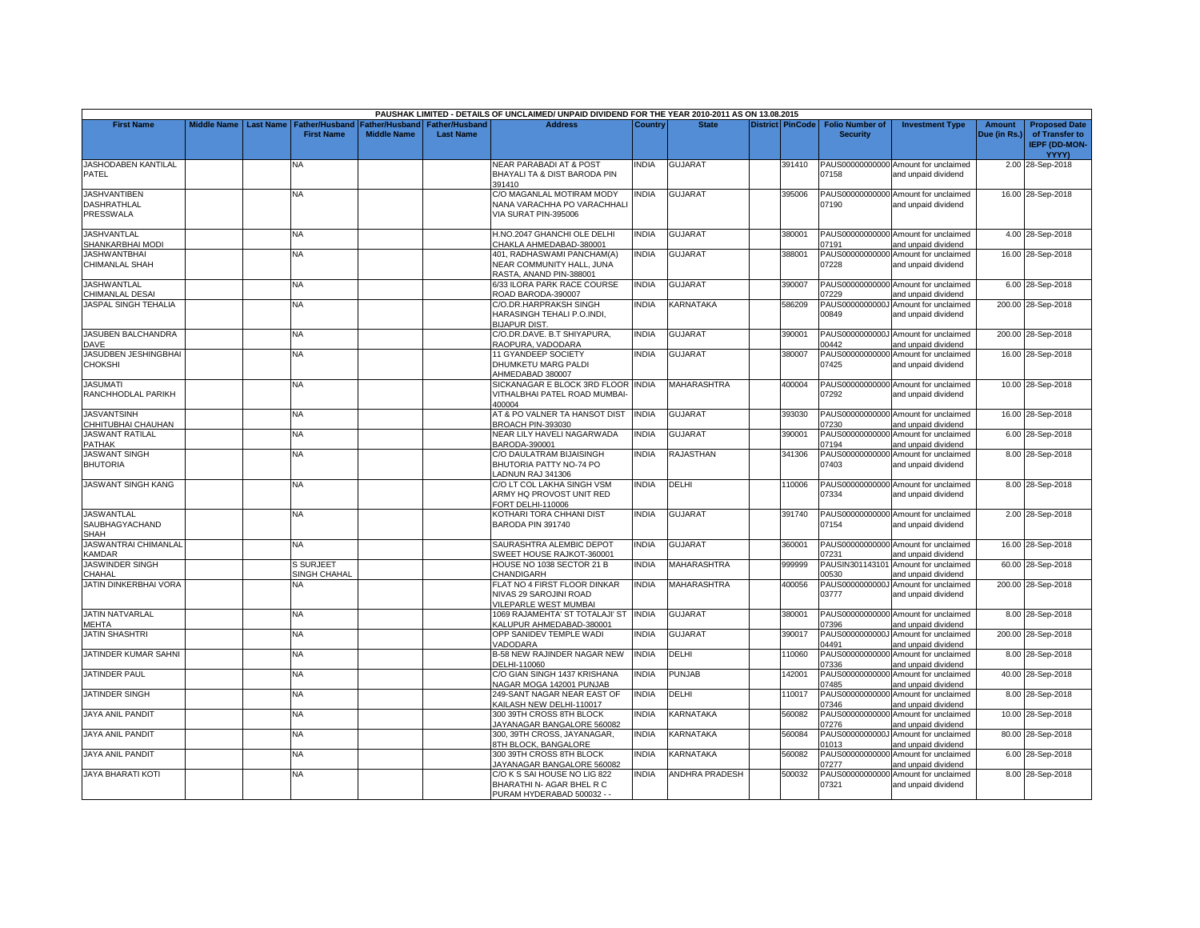|                                                        |                    |                  |                                         |                                             |                                           | PAUSHAK LIMITED - DETAILS OF UNCLAIMED/ UNPAID DIVIDEND FOR THE YEAR 2010-2011 AS ON 13.08.2015 |                |                    |                         |                                           |                                                             |                               |                                                                         |
|--------------------------------------------------------|--------------------|------------------|-----------------------------------------|---------------------------------------------|-------------------------------------------|-------------------------------------------------------------------------------------------------|----------------|--------------------|-------------------------|-------------------------------------------|-------------------------------------------------------------|-------------------------------|-------------------------------------------------------------------------|
| <b>First Name</b>                                      | <b>Middle Name</b> | <b>Last Name</b> | Father/Husband<br><b>First Name</b>     | <b>Father/Husband</b><br><b>Middle Name</b> | <b>Father/Husband</b><br><b>Last Name</b> | <b>Address</b>                                                                                  | <b>Country</b> | <b>State</b>       | <b>District PinCode</b> | <b>Folio Number of</b><br><b>Security</b> | <b>Investment Type</b>                                      | <b>Amount</b><br>Due (in Rs.) | <b>Proposed Date</b><br>of Transfer to<br><b>IEPF (DD-MON-</b><br>YYYY) |
| JASHODABEN KANTILAL<br>PATEL                           |                    |                  | NA                                      |                                             |                                           | <b>NEAR PARABADI AT &amp; POST</b><br>BHAYALI TA & DIST BARODA PIN<br>391410                    | INDIA          | <b>GUJARAT</b>     | 391410                  | 07158                                     | PAUS00000000000 Amount for unclaimed<br>and unpaid dividend |                               | 2.00 28-Sep-2018                                                        |
| <b>JASHVANTIBEN</b><br><b>DASHRATHLAL</b><br>PRESSWALA |                    |                  | NA.                                     |                                             |                                           | C/O MAGANLAL MOTIRAM MODY<br>NANA VARACHHA PO VARACHHAL<br>VIA SURAT PIN-395006                 | <b>INDIA</b>   | <b>GUJARAT</b>     | 395006                  | 07190                                     | PAUS00000000000 Amount for unclaimed<br>and unpaid dividend |                               | 16.00 28-Sep-2018                                                       |
| JASHVANTLAL<br>SHANKARBHAI MODI                        |                    |                  | <b>NA</b>                               |                                             |                                           | H.NO.2047 GHANCHI OLE DELHI<br>CHAKLA AHMEDABAD-380001                                          | <b>INDIA</b>   | GUJARAT            | 380001                  | 07191                                     | PAUS00000000000 Amount for unclaimed<br>and unpaid dividend |                               | 4.00 28-Sep-2018                                                        |
| <b>JASHWANTBHAI</b><br><b>CHIMANLAL SHAH</b>           |                    |                  | NA.                                     |                                             |                                           | 401, RADHASWAMI PANCHAM(A)<br>NEAR COMMUNITY HALL, JUNA<br>RASTA, ANAND PIN-388001              | <b>INDIA</b>   | GUJARAT            | 388001                  | PAUS00000000000<br>07228                  | Amount for unclaimed<br>and unpaid dividend                 |                               | 16.00 28-Sep-2018                                                       |
| <b>JASHWANTLAL</b><br>CHIMANLAL DESAI                  |                    |                  | NA.                                     |                                             |                                           | 6/33 ILORA PARK RACE COURSE<br>ROAD BARODA-390007                                               | <b>INDIA</b>   | GUJARAT            | 390007                  | 07229                                     | PAUS00000000000 Amount for unclaimed<br>and unpaid dividend |                               | 6.00 28-Sep-2018                                                        |
| JASPAL SINGH TEHALIA                                   |                    |                  | <b>NA</b>                               |                                             |                                           | C/O.DR.HARPRAKSH SINGH<br><b>HARASINGH TEHALI P.O.INDI.</b><br><b>BIJAPUR DIST.</b>             | <b>INDIA</b>   | <b>KARNATAKA</b>   | 586209                  | 00849                                     | PAUS0000000000J Amount for unclaimed<br>and unpaid dividend |                               | 200.00 28-Sep-2018                                                      |
| JASUBEN BALCHANDRA<br><b>DAVE</b>                      |                    |                  | <b>NA</b>                               |                                             |                                           | C/O.DR.DAVE. B.T SHIYAPURA,<br>RAOPURA, VADODARA                                                | <b>INDIA</b>   | <b>GUJARAT</b>     | 390001                  | 00442                                     | PAUS0000000000J Amount for unclaimed<br>and unpaid dividend |                               | 200.00 28-Sep-2018                                                      |
| JASUDBEN JESHINGBHAI<br><b>CHOKSHI</b>                 |                    |                  | NA                                      |                                             |                                           | 11 GYANDEEP SOCIETY<br>DHUMKETU MARG PALDI<br>AHMEDABAD 380007                                  | <b>INDIA</b>   | GUJARAT            | 380007                  | 07425                                     | PAUS00000000000 Amount for unclaimed<br>and unpaid dividend |                               | 16.00 28-Sep-2018                                                       |
| <b>JASUMATI</b><br>RANCHHODLAL PARIKH                  |                    |                  | <b>NA</b>                               |                                             |                                           | SICKANAGAR E BLOCK 3RD FLOOR INDIA<br>VITHALBHAI PATEL ROAD MUMBAI<br>400004                    |                | <b>MAHARASHTRA</b> | 400004                  | 07292                                     | PAUS00000000000 Amount for unclaimed<br>and unpaid dividend |                               | 10.00 28-Sep-2018                                                       |
| <b>JASVANTSINH</b><br>CHHITUBHAI CHAUHAN               |                    |                  | NA                                      |                                             |                                           | AT & PO VALNER TA HANSOT DIST<br><b>BROACH PIN-393030</b>                                       | <b>INDIA</b>   | <b>GUJARAT</b>     | 393030                  | 07230                                     | PAUS00000000000 Amount for unclaimed<br>and unpaid dividend |                               | 16.00 28-Sep-2018                                                       |
| <b>JASWANT RATILAL</b><br>PATHAK                       |                    |                  | NA                                      |                                             |                                           | VEAR LILY HAVELI NAGARWADA<br>BARODA-390001                                                     | <b>INDIA</b>   | GUJARAT            | 390001                  | PAUS00000000000<br>07194                  | Amount for unclaimed<br>and unpaid dividend                 |                               | 6.00 28-Sep-2018                                                        |
| <b>JASWANT SINGH</b><br><b>BHUTORIA</b>                |                    |                  | <b>NA</b>                               |                                             |                                           | C/O DAULATRAM BIJAISINGH<br>BHUTORIA PATTY NO-74 PO<br>ADNUN RAJ 341306                         | <b>INDIA</b>   | <b>RAJASTHAN</b>   | 341306                  | 07403                                     | PAUS00000000000 Amount for unclaimed<br>and unpaid dividend |                               | 8.00 28-Sep-2018                                                        |
| <b>JASWANT SINGH KANG</b>                              |                    |                  | <b>NA</b>                               |                                             |                                           | C/O LT COL LAKHA SINGH VSM<br>ARMY HQ PROVOST UNIT RED<br>ORT DELHI-110006                      | <b>INDIA</b>   | DELHI              | 110006                  | 07334                                     | PAUS00000000000 Amount for unclaimed<br>and unpaid dividend |                               | 8.00 28-Sep-2018                                                        |
| <b>JASWANTLAL</b><br>SAUBHAGYACHAND<br>SHAH            |                    |                  | <b>NA</b>                               |                                             |                                           | <b>KOTHARI TORA CHHANI DIST</b><br>BARODA PIN 391740                                            | INDIA          | <b>GUJARAT</b>     | 391740                  | 07154                                     | PAUS00000000000 Amount for unclaimed<br>and unpaid dividend |                               | 2.00 28-Sep-2018                                                        |
| JASWANTRAI CHIMANLAL<br><b>CAMDAR</b>                  |                    |                  | <b>NA</b>                               |                                             |                                           | SAURASHTRA ALEMBIC DEPOT<br>SWEET HOUSE RAJKOT-360001                                           | <b>INDIA</b>   | <b>GUJARAT</b>     | 360001                  | 07231                                     | PAUS00000000000 Amount for unclaimed<br>and unpaid dividend |                               | 16.00 28-Sep-2018                                                       |
| <b>JASWINDER SINGH</b><br>CHAHAL                       |                    |                  | <b>S SURJEET</b><br><b>SINGH CHAHAL</b> |                                             |                                           | HOUSE NO 1038 SECTOR 21 B<br>CHANDIGARH                                                         | <b>INDIA</b>   | MAHARASHTRA        | 999999                  | PAUSIN301143101<br>00530                  | Amount for unclaimed<br>and unpaid dividend                 |                               | 60.00 28-Sep-2018                                                       |
| JATIN DINKERBHAI VORA                                  |                    |                  | NA.                                     |                                             |                                           | FLAT NO 4 FIRST FLOOR DINKAR<br>NIVAS 29 SAROJINI ROAD<br><b>VILEPARLE WEST MUMBAI</b>          | <b>INDIA</b>   | MAHARASHTRA        | 400056                  | 03777                                     | PAUS0000000000J Amount for unclaimed<br>and unpaid dividend |                               | 200.00 28-Sep-2018                                                      |
| <b>JATIN NATVARLAL</b><br>MEHTA                        |                    |                  | NA                                      |                                             |                                           | 1069 RAJAMEHTA' ST TOTALAJI' ST INDIA<br>KALUPUR AHMEDABAD-380001                               |                | GUJARAT            | 380001                  | 07396                                     | PAUS00000000000 Amount for unclaimed<br>and unpaid dividend |                               | 8.00 28-Sep-2018                                                        |
| <b>JATIN SHASHTRI</b>                                  |                    |                  | <b>NA</b>                               |                                             |                                           | OPP SANIDEV TEMPLE WADI<br>VADODARA                                                             | <b>INDIA</b>   | <b>GUJARAT</b>     | 390017                  | 04491                                     | PAUS0000000000J Amount for unclaimed<br>and unpaid dividend |                               | 200.00 28-Sep-2018                                                      |
| JATINDER KUMAR SAHNI                                   |                    |                  | NA                                      |                                             |                                           | <b>B-58 NEW RAJINDER NAGAR NEW</b><br>DELHI-110060                                              | <b>INDIA</b>   | DELHI              | 110060                  | PAUS00000000000<br>07336                  | Amount for unclaimed<br>and unpaid dividend                 |                               | 8.00 28-Sep-2018                                                        |
| JATINDER PAUL                                          |                    |                  | NA.                                     |                                             |                                           | C/O GIAN SINGH 1437 KRISHANA<br>NAGAR MOGA 142001 PUNJAB                                        | <b>INDIA</b>   | PUNJAB             | 142001                  | PAUS00000000000<br>07485                  | Amount for unclaimed<br>and unpaid dividend                 |                               | 40.00 28-Sep-2018                                                       |
| <b>JATINDER SINGH</b>                                  |                    |                  | <b>NA</b>                               |                                             |                                           | 249-SANT NAGAR NEAR EAST OF<br>KAILASH NEW DELHI-110017                                         | <b>INDIA</b>   | DELHI              | 110017                  | 07346                                     | PAUS00000000000 Amount for unclaimed<br>and unpaid dividend |                               | 8.00 28-Sep-2018                                                        |
| <b>JAYA ANIL PANDIT</b>                                |                    |                  | NA                                      |                                             |                                           | 300 39TH CROSS 8TH BLOCK<br>JAYANAGAR BANGALORE 560082                                          | INDIA          | <b>KARNATAKA</b>   | 560082                  | PAUS00000000000<br>07276                  | Amount for unclaimed<br>and unpaid dividend                 |                               | 10.00 28-Sep-2018                                                       |
| JAYA ANIL PANDIT                                       |                    |                  | NΑ                                      |                                             |                                           | 300, 39TH CROSS, JAYANAGAR,<br><b>3TH BLOCK, BANGALORE</b>                                      | <b>INDIA</b>   | KARNATAKA          | 560084                  | PAUS0000000000J<br>01013                  | Amount for unclaimed<br>and unpaid dividend                 |                               | 80.00 28-Sep-2018                                                       |
| <b>JAYA ANIL PANDIT</b>                                |                    |                  | <b>NA</b>                               |                                             |                                           | 300 39TH CROSS 8TH BLOCK<br>JAYANAGAR BANGALORE 560082                                          | <b>INDIA</b>   | KARNATAKA          | 560082                  | PAUS00000000000<br>07277                  | Amount for unclaimed<br>and unpaid dividend                 |                               | 6.00 28-Sep-2018                                                        |
| <b>JAYA BHARATI KOTI</b>                               |                    |                  | ΝA                                      |                                             |                                           | C/O K S SAI HOUSE NO LIG 822<br>BHARATHI N- AGAR BHEL R C<br>PURAM HYDERABAD 500032 - -         | <b>INDIA</b>   | ANDHRA PRADESH     | 500032                  | PAUS00000000000<br>07321                  | Amount for unclaimed<br>and unpaid dividend                 |                               | 8.00 28-Sep-2018                                                        |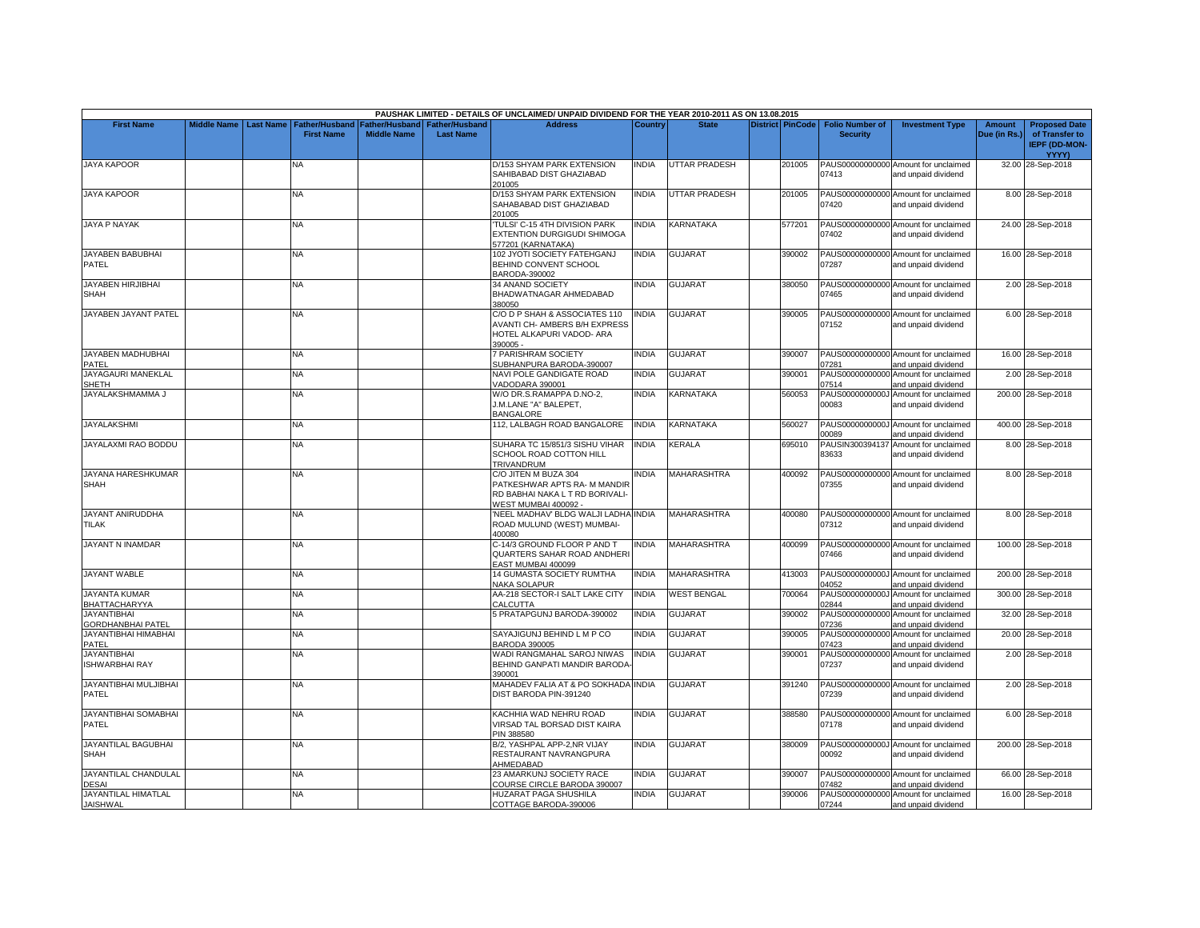|                                                |                    |                  |                                            |                                      |                                           | PAUSHAK LIMITED - DETAILS OF UNCLAIMED/ UNPAID DIVIDEND FOR THE YEAR 2010-2011 AS ON 13.08.2015                |              |                      |                         |                                           |                                                             |                        |                                                                                |
|------------------------------------------------|--------------------|------------------|--------------------------------------------|--------------------------------------|-------------------------------------------|----------------------------------------------------------------------------------------------------------------|--------------|----------------------|-------------------------|-------------------------------------------|-------------------------------------------------------------|------------------------|--------------------------------------------------------------------------------|
| <b>First Name</b>                              | <b>Middle Name</b> | <b>Last Name</b> | <b>Father/Husband</b><br><b>First Name</b> | Father/Husband<br><b>Middle Name</b> | <b>Father/Husband</b><br><b>Last Name</b> | <b>Address</b>                                                                                                 | Country      | <b>State</b>         | <b>District PinCode</b> | <b>Folio Number of</b><br><b>Security</b> | <b>Investment Type</b>                                      | Amount<br>Due (in Rs.) | <b>Proposed Date</b><br>of Transfer to<br><b>IEPF (DD-MON-</b><br><b>YYYY)</b> |
| <b>JAYA KAPOOR</b>                             |                    |                  | NA                                         |                                      |                                           | D/153 SHYAM PARK EXTENSION<br>SAHIBABAD DIST GHAZIABAD<br>201005                                               | <b>INDIA</b> | <b>UTTAR PRADESH</b> | 201005                  | 07413                                     | PAUS00000000000 Amount for unclaimed<br>and unpaid dividend |                        | 32.00 28-Sep-2018                                                              |
| <b>JAYA KAPOOR</b>                             |                    |                  | <b>NA</b>                                  |                                      |                                           | D/153 SHYAM PARK EXTENSION<br>SAHABABAD DIST GHAZIABAD<br>201005                                               | <b>INDIA</b> | UTTAR PRADESH        | 201005                  | 07420                                     | PAUS00000000000 Amount for unclaimed<br>and unpaid dividend |                        | 8.00 28-Sep-2018                                                               |
| <b>JAYA P NAYAK</b>                            |                    |                  | <b>NA</b>                                  |                                      |                                           | TULSI' C-15 4TH DIVISION PARK<br>EXTENTION DURGIGUDI SHIMOGA<br>577201 (KARNATAKA)                             | <b>INDIA</b> | <b>KARNATAKA</b>     | 577201                  | 07402                                     | PAUS00000000000 Amount for unclaimed<br>and unpaid dividend |                        | 24.00 28-Sep-2018                                                              |
| JAYABEN BABUBHAI<br>PATEL                      |                    |                  | NA.                                        |                                      |                                           | 102 JYOTI SOCIETY FATEHGANJ<br>BEHIND CONVENT SCHOOL<br>BARODA-390002                                          | <b>INDIA</b> | GUJARAT              | 390002                  | 07287                                     | PAUS00000000000 Amount for unclaimed<br>and unpaid dividend |                        | 16.00 28-Sep-2018                                                              |
| JAYABEN HIRJIBHAI<br><b>SHAH</b>               |                    |                  | NA.                                        |                                      |                                           | 34 ANAND SOCIETY<br>BHADWATNAGAR AHMEDABAD<br>380050                                                           | <b>INDIA</b> | <b>GUJARAT</b>       | 380050                  | 07465                                     | PAUS00000000000 Amount for unclaimed<br>and unpaid dividend |                        | 2.00 28-Sep-2018                                                               |
| JAYABEN JAYANT PATEL                           |                    |                  | NA                                         |                                      |                                           | C/O D P SHAH & ASSOCIATES 110<br><b>AVANTI CH- AMBERS B/H EXPRESS</b><br>HOTEL ALKAPURI VADOD- ARA<br>390005 - | <b>INDIA</b> | <b>GUJARAT</b>       | 390005                  | 07152                                     | PAUS00000000000 Amount for unclaimed<br>and unpaid dividend |                        | 6.00 28-Sep-2018                                                               |
| JAYABEN MADHUBHAI<br>PATEL                     |                    |                  | NA.                                        |                                      |                                           | PARISHRAM SOCIETY<br>SUBHANPURA BARODA-390007                                                                  | <b>INDIA</b> | GUJARAT              | 390007                  | 07281                                     | PAUS00000000000 Amount for unclaimed<br>and unpaid dividend |                        | 16.00 28-Sep-2018                                                              |
| JAYAGAURI MANEKLAL<br>SHETH                    |                    |                  | <b>NA</b>                                  |                                      |                                           | NAVI POLE GANDIGATE ROAD<br>VADODARA 390001                                                                    | <b>INDIA</b> | GUJARAT              | 390001                  | 07514                                     | PAUS00000000000 Amount for unclaimed<br>and unpaid dividend |                        | 2.00 28-Sep-2018                                                               |
| JAYALAKSHMAMMA J                               |                    |                  | NA.                                        |                                      |                                           | N/O DR.S.RAMAPPA D.NO-2,<br>J.M.LANE "A" BALEPET,<br>BANGALORE                                                 | <b>INDIA</b> | KARNATAKA            | 560053                  | 00083                                     | PAUS0000000000J Amount for unclaimed<br>and unpaid dividend |                        | 200.00 28-Sep-2018                                                             |
| <b>JAYALAKSHMI</b>                             |                    |                  | <b>NA</b>                                  |                                      |                                           | 112. LALBAGH ROAD BANGALORE                                                                                    | <b>INDIA</b> | <b>KARNATAKA</b>     | 560027                  | 00089                                     | PAUS0000000000J Amount for unclaimed<br>and unpaid dividend |                        | 400.00 28-Sep-2018                                                             |
| JAYALAXMI RAO BODDU                            |                    |                  | NA.                                        |                                      |                                           | SUHARA TC 15/851/3 SISHU VIHAR<br>SCHOOL ROAD COTTON HILL<br>TRIVANDRUM                                        | <b>INDIA</b> | KERALA               | 695010                  | PAUSIN300394137<br>83633                  | Amount for unclaimed<br>and unpaid dividend                 |                        | 8.00 28-Sep-2018                                                               |
| JAYANA HARESHKUMAR<br><b>SHAH</b>              |                    |                  | NA.                                        |                                      |                                           | C/O JITEN M BUZA 304<br>PATKESHWAR APTS RA-M MANDIR<br>RD BABHAI NAKA L T RD BORIVALI-<br>VEST MUMBAI 400092 - | <b>INDIA</b> | MAHARASHTRA          | 400092                  | 07355                                     | PAUS00000000000 Amount for unclaimed<br>and unpaid dividend |                        | 8.00 28-Sep-2018                                                               |
| JAYANT ANIRUDDHA<br><b>TILAK</b>               |                    |                  | NA                                         |                                      |                                           | NEEL MADHAV' BLDG WALJI LADHA INDIA<br>ROAD MULUND (WEST) MUMBAI-<br>400080                                    |              | MAHARASHTRA          | 400080                  | 07312                                     | PAUS00000000000 Amount for unclaimed<br>and unpaid dividend |                        | 8.00 28-Sep-2018                                                               |
| JAYANT N INAMDAR                               |                    |                  | NA.                                        |                                      |                                           | C-14/3 GROUND FLOOR P AND T<br>QUARTERS SAHAR ROAD ANDHERI<br>EAST MUMBAI 400099                               | <b>INDIA</b> | <b>MAHARASHTRA</b>   | 400099                  | 07466                                     | PAUS00000000000 Amount for unclaimed<br>and unpaid dividend |                        | 100.00 28-Sep-2018                                                             |
| <b>JAYANT WABLE</b>                            |                    |                  | <b>NA</b>                                  |                                      |                                           | 14 GUMASTA SOCIETY RUMTHA<br><b>JAKA SOLAPUR</b>                                                               | <b>INDIA</b> | <b>MAHARASHTRA</b>   | 413003                  | 04052                                     | PAUS0000000000J Amount for unclaimed<br>and unpaid dividend |                        | 200.00 28-Sep-2018                                                             |
| <b>JAYANTA KUMAR</b><br>BHATTACHARYYA          |                    |                  | NA.                                        |                                      |                                           | 4A-218 SECTOR-I SALT LAKE CITY<br>CALCUTTA                                                                     | <b>INDIA</b> | <b>WEST BENGAL</b>   | 700064                  | PAUS0000000000J<br>02844                  | Amount for unclaimed<br>and unpaid dividend                 |                        | 300.00 28-Sep-2018                                                             |
| <b>JAYANTIBHAI</b><br><b>GORDHANBHAI PATEL</b> |                    |                  | <b>NA</b>                                  |                                      |                                           | <b>FRATAPGUNJ BARODA-390002</b>                                                                                | <b>INDIA</b> | <b>GUJARAT</b>       | 390002                  | PAUS00000000000<br>07236                  | Amount for unclaimed<br>and unpaid dividend                 |                        | 32.00 28-Sep-2018                                                              |
| JAYANTIBHAI HIMABHAI<br>PATEL                  |                    |                  | <b>NA</b>                                  |                                      |                                           | SAYAJIGUNJ BEHIND L M P CO<br><b>BARODA 390005</b>                                                             | <b>INDIA</b> | GUJARAT              | 390005                  | PAUS00000000000<br>07423                  | Amount for unclaimed<br>and unpaid dividend                 |                        | 20.00 28-Sep-2018                                                              |
| <b>JAYANTIBHAI</b><br><b>ISHWARBHAI RAY</b>    |                    |                  | NA                                         |                                      |                                           | WADI RANGMAHAL SAROJ NIWAS<br>BEHIND GANPATI MANDIR BARODA<br>390001                                           | <b>INDIA</b> | GUJARAT              | 390001                  | 07237                                     | PAUS00000000000 Amount for unclaimed<br>and unpaid dividend |                        | 2.00 28-Sep-2018                                                               |
| JAYANTIBHAI MULJIBHAI<br><b>PATEL</b>          |                    |                  | <b>NA</b>                                  |                                      |                                           | MAHADEV FALIA AT & PO SOKHADA INDIA<br>DIST BARODA PIN-391240                                                  |              | <b>GUJARAT</b>       | 391240                  | 07239                                     | PAUS00000000000 Amount for unclaimed<br>and unpaid dividend |                        | 2.00 28-Sep-2018                                                               |
| <b>JAYANTIBHAI SOMABHAI</b><br>PATEL           |                    |                  | ΝA                                         |                                      |                                           | KACHHIA WAD NEHRU ROAD<br>VIRSAD TAL BORSAD DIST KAIRA<br>PIN 388580                                           | INDIA        | <b>GUJARAT</b>       | 388580                  | 07178                                     | PAUS00000000000 Amount for unclaimed<br>and unpaid dividend |                        | 6.00 28-Sep-2018                                                               |
| JAYANTILAL BAGUBHAI<br><b>SHAH</b>             |                    |                  | NA.                                        |                                      |                                           | B/2, YASHPAL APP-2,NR VIJAY<br>RESTAURANT NAVRANGPURA<br>AHMEDABAD                                             | <b>INDIA</b> | <b>GUJARAT</b>       | 380009                  | 00092                                     | PAUS0000000000J Amount for unclaimed<br>and unpaid dividend |                        | 200.00 28-Sep-2018                                                             |
| JAYANTILAL CHANDULAL<br>DESAI                  |                    |                  | NA                                         |                                      |                                           | 23 AMARKUNJ SOCIETY RACE<br>COURSE CIRCLE BARODA 390007                                                        | <b>INDIA</b> | GUJARAT              | 390007                  | 07482                                     | PAUS00000000000 Amount for unclaimed<br>and unpaid dividend |                        | 66.00 28-Sep-2018                                                              |
| JAYANTILAL HIMATLAL<br><b>JAISHWAL</b>         |                    |                  | NA                                         |                                      |                                           | HUZARAT PAGA SHUSHILA<br>COTTAGE BARODA-390006                                                                 | <b>INDIA</b> | <b>GUJARAT</b>       | 390006                  | 07244                                     | PAUS00000000000 Amount for unclaimed<br>and unpaid dividend |                        | 16.00 28-Sep-2018                                                              |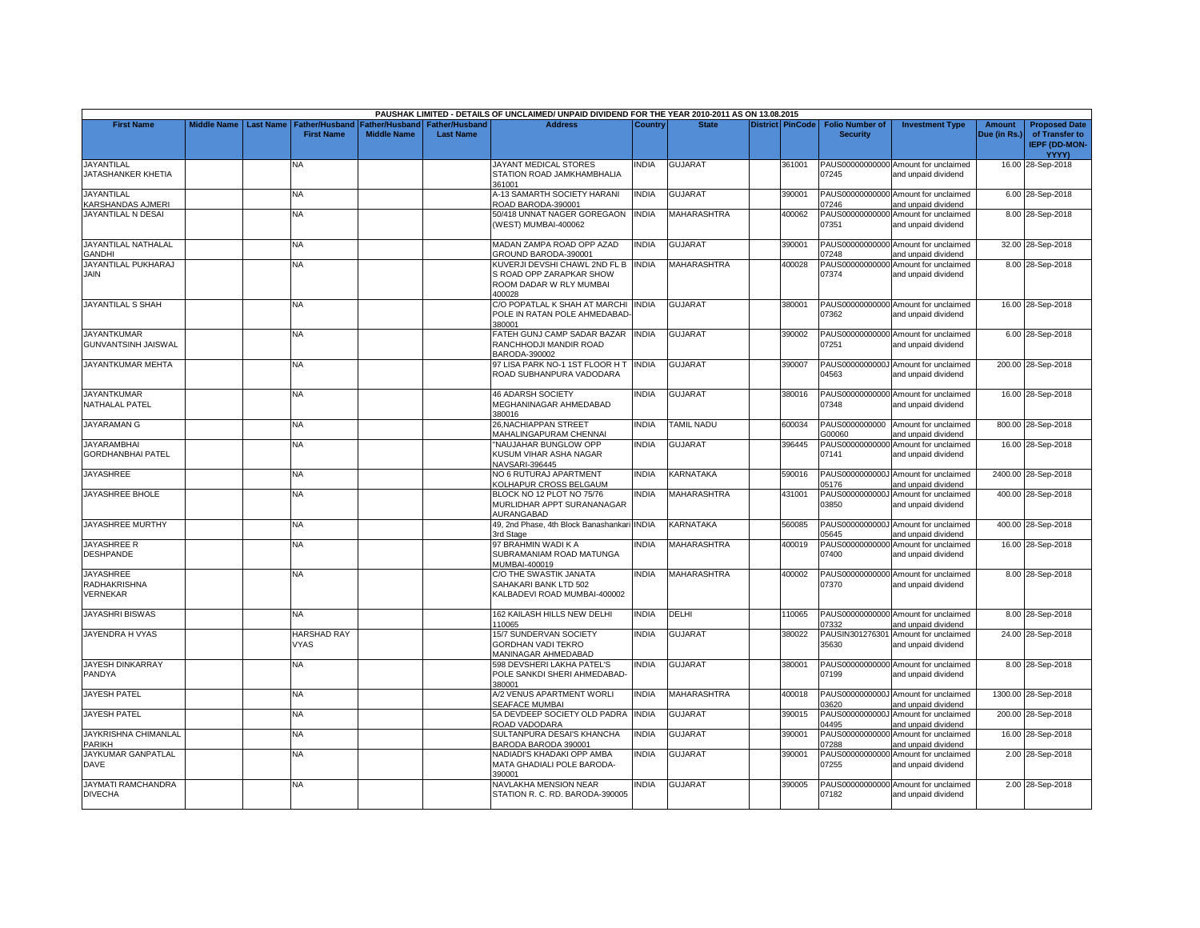|                                                     |                    |                  |                                            |                                      |                                           | PAUSHAK LIMITED - DETAILS OF UNCLAIMED/ UNPAID DIVIDEND FOR THE YEAR 2010-2011 AS ON 13.08.2015 |                |                    |                         |                                           |                                                             |                               |                                                                |
|-----------------------------------------------------|--------------------|------------------|--------------------------------------------|--------------------------------------|-------------------------------------------|-------------------------------------------------------------------------------------------------|----------------|--------------------|-------------------------|-------------------------------------------|-------------------------------------------------------------|-------------------------------|----------------------------------------------------------------|
| <b>First Name</b>                                   | <b>Middle Name</b> | <b>Last Name</b> | <b>Father/Husband</b><br><b>First Name</b> | Father/Husband<br><b>Middle Name</b> | <b>Father/Husband</b><br><b>Last Name</b> | <b>Address</b>                                                                                  | <b>Country</b> | <b>State</b>       | <b>District PinCode</b> | <b>Folio Number of</b><br><b>Security</b> | <b>Investment Type</b>                                      | <b>Amount</b><br>Due (in Rs.) | <b>Proposed Date</b><br>of Transfer to<br><b>IEPF (DD-MON-</b> |
| <b>JAYANTILAL</b><br>JATASHANKER KHETIA             |                    |                  | NA                                         |                                      |                                           | JAYANT MEDICAL STORES<br>STATION ROAD JAMKHAMBHALIA<br>361001                                   | <b>NDIA</b>    | <b>GUJARAT</b>     | 361001                  | 07245                                     | PAUS00000000000 Amount for unclaimed<br>and unpaid dividend |                               | <b>YYYY)</b><br>16.00 28-Sep-2018                              |
| <b>JAYANTILAL</b><br><b>ARSHANDAS AJMERI</b>        |                    |                  | <b>NA</b>                                  |                                      |                                           | A-13 SAMARTH SOCIETY HARANI<br>ROAD BARODA-390001                                               | <b>INDIA</b>   | <b>GUJARAT</b>     | 390001                  | 07246                                     | PAUS00000000000 Amount for unclaimed<br>and unpaid dividend |                               | 6.00 28-Sep-2018                                               |
| <b>JAYANTILAL N DESAI</b>                           |                    |                  | NĀ                                         |                                      |                                           | 50/418 UNNAT NAGER GOREGAON<br>(WEST) MUMBAI-400062                                             | INDIA          | MAHARASHTRA        | 400062                  | PAUS00000000000<br>07351                  | Amount for unclaimed<br>and unpaid dividend                 |                               | 8.00 28-Sep-2018                                               |
| JAYANTILAL NATHALAL<br><b>GANDHI</b>                |                    |                  | NA.                                        |                                      |                                           | MADAN ZAMPA ROAD OPP AZAD<br>GROUND BARODA-390001                                               | <b>INDIA</b>   | <b>GUJARAT</b>     | 390001                  | 07248                                     | PAUS00000000000 Amount for unclaimed<br>and unpaid dividend |                               | 32.00 28-Sep-2018                                              |
| JAYANTILAL PUKHARAJ<br>JAIN                         |                    |                  | NA                                         |                                      |                                           | KUVERJI DEVSHI CHAWL 2ND FL B<br>S ROAD OPP ZARAPKAR SHOW<br>ROOM DADAR W RLY MUMBAI<br>400028  | <b>INDIA</b>   | <b>MAHARASHTRA</b> | 400028                  | 07374                                     | PAUS00000000000 Amount for unclaimed<br>and unpaid dividend |                               | 8.00 28-Sep-2018                                               |
| <b>JAYANTILAL S SHAH</b>                            |                    |                  | <b>NA</b>                                  |                                      |                                           | C/O POPATLAL K SHAH AT MARCHI INDIA<br>POLE IN RATAN POLE AHMEDABAD-<br>380001                  |                | <b>GUJARAT</b>     | 380001                  | 07362                                     | PAUS00000000000 Amount for unclaimed<br>and unpaid dividend |                               | 16.00 28-Sep-2018                                              |
| <b>JAYANTKUMAR</b><br><b>GUNVANTSINH JAISWAL</b>    |                    |                  | <b>NA</b>                                  |                                      |                                           | FATEH GUNJ CAMP SADAR BAZAR<br>RANCHHODJI MANDIR ROAD<br>BARODA-390002                          | <b>INDIA</b>   | <b>GUJARAT</b>     | 390002                  | 07251                                     | PAUS00000000000 Amount for unclaimed<br>and unpaid dividend |                               | 6.00 28-Sep-2018                                               |
| JAYANTKUMAR MEHTA                                   |                    |                  | NA                                         |                                      |                                           | 97 LISA PARK NO-1 1ST FLOOR H T<br>ROAD SUBHANPURA VADODARA                                     | <b>INDIA</b>   | <b>GUJARAT</b>     | 390007                  | 04563                                     | PAUS0000000000J Amount for unclaimed<br>and unpaid dividend |                               | 200.00 28-Sep-2018                                             |
| <b>JAYANTKUMAR</b><br>NATHALAL PATEL                |                    |                  | NΑ                                         |                                      |                                           | <b>46 ADARSH SOCIETY</b><br>MEGHANINAGAR AHMEDABAD<br>380016                                    | <b>INDIA</b>   | <b>GUJARAT</b>     | 380016                  | 07348                                     | PAUS00000000000 Amount for unclaimed<br>and unpaid dividend |                               | 16.00 28-Sep-2018                                              |
| <b>JAYARAMAN G</b>                                  |                    |                  | <b>NA</b>                                  |                                      |                                           | 26, NACHIAPPAN STREET<br>MAHALINGAPURAM CHENNAI                                                 | <b>INDIA</b>   | <b>TAMIL NADU</b>  | 600034                  | PAUS0000000000<br>300060                  | Amount for unclaimed<br>and unpaid dividend                 |                               | 800.00 28-Sep-2018                                             |
| JAYARAMBHAI<br><b>GORDHANBHAI PATEL</b>             |                    |                  | <b>NA</b>                                  |                                      |                                           | "NAUJAHAR BUNGLOW OPP<br>KUSUM VIHAR ASHA NAGAR<br>NAVSARI-396445                               | <b>INDIA</b>   | <b>GUJARAT</b>     | 396445                  | PAUS00000000000<br>07141                  | Amount for unclaimed<br>and unpaid dividend                 |                               | 16.00 28-Sep-2018                                              |
| <b>JAYASHREE</b>                                    |                    |                  | NA                                         |                                      |                                           | NO 6 RUTURAJ APARTMENT<br>KOLHAPUR CROSS BELGAUM                                                | <b>NDIA</b>    | KARNATAKA          | 590016                  | 05176                                     | PAUS0000000000J Amount for unclaimed<br>and unpaid dividend |                               | 2400.00 28-Sep-2018                                            |
| JAYASHREE BHOLE                                     |                    |                  | NA.                                        |                                      |                                           | BLOCK NO 12 PLOT NO 75/76<br>MURLIDHAR APPT SURANANAGAR<br>AURANGABAD                           | <b>NDIA</b>    | MAHARASHTRA        | 431001                  | PAUS0000000000J<br>03850                  | Amount for unclaimed<br>and unpaid dividend                 |                               | 400.00 28-Sep-2018                                             |
| JAYASHREE MURTHY                                    |                    |                  | NA.                                        |                                      |                                           | 49, 2nd Phase, 4th Block Banashankari INDIA<br>3rd Stage                                        |                | KARNATAKA          | 560085                  | 05645                                     | PAUS0000000000J Amount for unclaimed<br>and unpaid dividend |                               | 400.00 28-Sep-2018                                             |
| JAYASHREE R<br><b>DESHPANDE</b>                     |                    |                  | <b>NA</b>                                  |                                      |                                           | 97 BRAHMIN WADI K A<br>SUBRAMANIAM ROAD MATUNGA<br>MUMBAI-400019                                | <b>NDIA</b>    | <b>MAHARASHTRA</b> | 400019                  | 07400                                     | PAUS00000000000 Amount for unclaimed<br>and unpaid dividend |                               | 16.00 28-Sep-2018                                              |
| <b>JAYASHREE</b><br><b>RADHAKRISHNA</b><br>VERNEKAR |                    |                  | NA                                         |                                      |                                           | C/O THE SWASTIK JANATA<br>SAHAKARI BANK LTD 502<br>KALBADEVI ROAD MUMBAI-400002                 | <b>INDIA</b>   | <b>MAHARASHTRA</b> | 400002                  | 07370                                     | PAUS00000000000 Amount for unclaimed<br>and unpaid dividend |                               | 8.00 28-Sep-2018                                               |
| <b>JAYASHRI BISWAS</b>                              |                    |                  | NA                                         |                                      |                                           | 162 KAILASH HILLS NEW DELHI<br>110065                                                           | INDIA          | DELHI              | 110065                  | 07332                                     | PAUS00000000000 Amount for unclaimed<br>and unpaid dividend |                               | 8.00 28-Sep-2018                                               |
| JAYENDRA H VYAS                                     |                    |                  | <b>HARSHAD RAY</b><br><b>VYAS</b>          |                                      |                                           | 15/7 SUNDERVAN SOCIETY<br>GORDHAN VADI TEKRO<br>MANINAGAR AHMEDABAD                             | <b>INDIA</b>   | <b>GUJARAT</b>     | 380022                  | PAUSIN301276301<br>35630                  | Amount for unclaimed<br>and unpaid dividend                 |                               | 24.00 28-Sep-2018                                              |
| <b>JAYESH DINKARRAY</b><br>PANDYA                   |                    |                  | NA                                         |                                      |                                           | 598 DEVSHERI LAKHA PATEL'S<br>POLE SANKDI SHERI AHMEDABAD-<br>380001                            | INDIA          | <b>GUJARAT</b>     | 380001                  | 07199                                     | PAUS00000000000 Amount for unclaimed<br>and unpaid dividend |                               | 8.00 28-Sep-2018                                               |
| <b>JAYESH PATEL</b>                                 |                    |                  | <b>NA</b>                                  |                                      |                                           | A/2 VENUS APARTMENT WORLI<br>SEAFACE MUMBAI                                                     | <b>INDIA</b>   | MAHARASHTRA        | 400018                  | 03620                                     | PAUS0000000000J Amount for unclaimed<br>and unpaid dividend |                               | 1300.00 28-Sep-2018                                            |
| <b>JAYESH PATEL</b>                                 |                    |                  | NA                                         |                                      |                                           | 5A DEVDEEP SOCIETY OLD PADRA<br>ROAD VADODARA                                                   | <b>INDIA</b>   | <b>GUJARAT</b>     | 390015                  | PAUS0000000000<br>04495                   | Amount for unclaimed<br>and unpaid dividend                 |                               | 200.00 28-Sep-2018                                             |
| JAYKRISHNA CHIMANLAL<br>PARIKH                      |                    |                  | <b>NA</b>                                  |                                      |                                           | SULTANPURA DESAI'S KHANCHA<br>BARODA BARODA 390001                                              | <b>INDIA</b>   | <b>GUJARAT</b>     | 390001                  | PAUS00000000000<br>07288                  | Amount for unclaimed<br>and unpaid dividend                 |                               | 16.00 28-Sep-2018                                              |
| JAYKUMAR GANPATLAL<br><b>DAVE</b>                   |                    |                  | <b>NA</b>                                  |                                      |                                           | NADIADI'S KHADAKI OPP AMBA<br>MATA GHADIALI POLE BARODA-<br>390001                              | <b>NDIA</b>    | <b>GUJARAT</b>     | 390001                  | 07255                                     | PAUS00000000000 Amount for unclaimed<br>and unpaid dividend |                               | 2.00 28-Sep-2018                                               |
| JAYMATI RAMCHANDRA<br><b>DIVECHA</b>                |                    |                  | NA                                         |                                      |                                           | NAVLAKHA MENSION NEAR<br>STATION R. C. RD. BARODA-390005                                        | INDIA          | <b>GUJARAT</b>     | 390005                  | 07182                                     | PAUS00000000000 Amount for unclaimed<br>and unpaid dividend |                               | 2.00 28-Sep-2018                                               |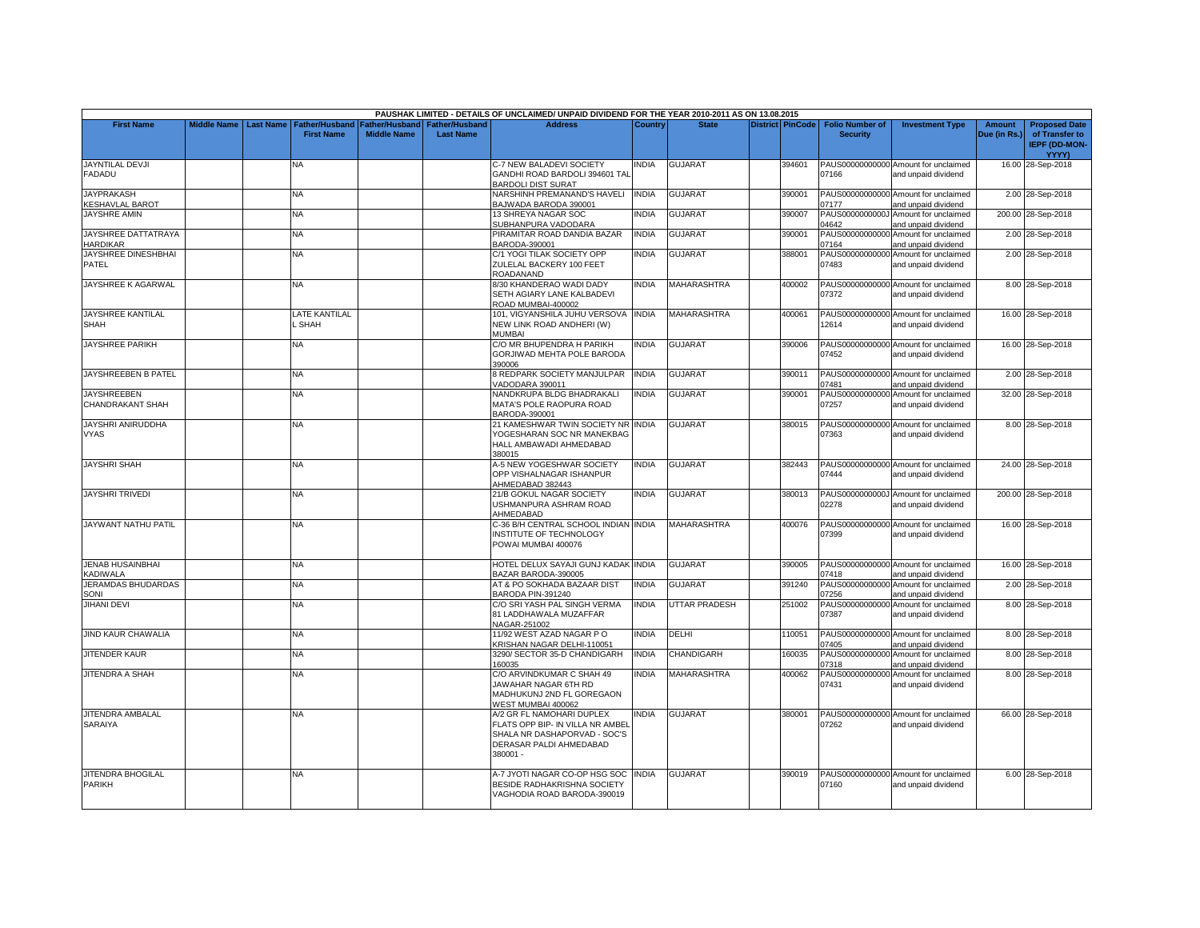|                                             |                    |                  |                                     |                                      |                                           | PAUSHAK LIMITED - DETAILS OF UNCLAIMED/ UNPAID DIVIDEND FOR THE YEAR 2010-2011 AS ON 13.08.2015                                      |              |                      |                         |                                           |                                                             |                               |                                                                                |
|---------------------------------------------|--------------------|------------------|-------------------------------------|--------------------------------------|-------------------------------------------|--------------------------------------------------------------------------------------------------------------------------------------|--------------|----------------------|-------------------------|-------------------------------------------|-------------------------------------------------------------|-------------------------------|--------------------------------------------------------------------------------|
| <b>First Name</b>                           | <b>Middle Name</b> | <b>Last Name</b> | Father/Husband<br><b>First Name</b> | Father/Husband<br><b>Middle Name</b> | <b>Father/Husband</b><br><b>Last Name</b> | <b>Address</b>                                                                                                                       | Country      | <b>State</b>         | <b>District PinCode</b> | <b>Folio Number of</b><br><b>Security</b> | <b>Investment Type</b>                                      | <b>Amount</b><br>Due (in Rs.) | <b>Proposed Date</b><br>of Transfer to<br><b>IEPF (DD-MON-</b><br><b>YYYY)</b> |
| <b>JAYNTILAL DEVJI</b><br><b>FADADU</b>     |                    |                  | NA                                  |                                      |                                           | C-7 NEW BALADEVI SOCIETY<br>GANDHI ROAD BARDOLI 394601 TAL<br>BARDOLI DIST SURAT                                                     | INDIA        | <b>GUJARAT</b>       | 394601                  | 07166                                     | PAUS00000000000 Amount for unclaimed<br>and unpaid dividend |                               | 16.00 28-Sep-2018                                                              |
| <b>JAYPRAKASH</b><br><b>KESHAVLAL BAROT</b> |                    |                  | <b>NA</b>                           |                                      |                                           | <b>NARSHINH PREMANAND'S HAVELI</b><br>BAJWADA BARODA 390001                                                                          | <b>INDIA</b> | <b>GUJARAT</b>       | 390001                  | 07177                                     | PAUS00000000000 Amount for unclaimed<br>and unpaid dividend |                               | 2.00 28-Sep-2018                                                               |
| <b>JAYSHRE AMIN</b>                         |                    |                  | NA                                  |                                      |                                           | 13 SHREYA NAGAR SOC<br>SUBHANPURA VADODARA                                                                                           | <b>INDIA</b> | GUJARAT              | 390007                  | PAUS0000000000J<br>04642                  | Amount for unclaimed<br>and unpaid dividend                 |                               | 200.00 28-Sep-2018                                                             |
| JAYSHREE DATTATRAYA<br><b>HARDIKAR</b>      |                    |                  | NA.                                 |                                      |                                           | PIRAMITAR ROAD DANDIA BAZAR<br>BARODA-390001                                                                                         | <b>INDIA</b> | <b>GUJARAT</b>       | 390001                  | 07164                                     | PAUS00000000000 Amount for unclaimed<br>and unpaid dividend |                               | 2.00 28-Sep-2018                                                               |
| JAYSHREE DINESHBHAI<br>PATEL                |                    |                  | NΑ                                  |                                      |                                           | C/1 YOGI TILAK SOCIETY OPP<br>ZULELAL BACKERY 100 FEET<br>ROADANAND                                                                  | <b>INDIA</b> | GUJARAT              | 388001                  | PAUS00000000000<br>07483                  | Amount for unclaimed<br>and unpaid dividend                 |                               | 2.00 28-Sep-2018                                                               |
| JAYSHREE K AGARWAL                          |                    |                  | NA.                                 |                                      |                                           | 3/30 KHANDERAO WADI DADY<br>SETH AGIARY LANE KALBADEVI<br>ROAD MUMBAI-400002                                                         | <b>INDIA</b> | MAHARASHTRA          | 400002                  | 07372                                     | PAUS00000000000 Amount for unclaimed<br>and unpaid dividend |                               | 8.00 28-Sep-2018                                                               |
| <b>JAYSHREE KANTILAL</b><br><b>SHAH</b>     |                    |                  | LATE KANTILAL<br>SHAH               |                                      |                                           | 101, VIGYANSHILA JUHU VERSOVA<br>NEW LINK ROAD ANDHERI (W)<br>MUMBAI                                                                 | <b>INDIA</b> | MAHARASHTRA          | 400061                  | 12614                                     | PAUS00000000000 Amount for unclaimed<br>and unpaid dividend |                               | 16.00 28-Sep-2018                                                              |
| <b>JAYSHREE PARIKH</b>                      |                    |                  | NA.                                 |                                      |                                           | C/O MR BHUPENDRA H PARIKH<br>GORJIWAD MEHTA POLE BARODA<br>390006                                                                    | <b>INDIA</b> | <b>GUJARAT</b>       | 390006                  | 07452                                     | PAUS00000000000 Amount for unclaimed<br>and unpaid dividend |                               | 16.00 28-Sep-2018                                                              |
| JAYSHREEBEN B PATEL                         |                    |                  | <b>NA</b>                           |                                      |                                           | <b>S REDPARK SOCIETY MANJULPAR</b><br>/ADODARA 390011                                                                                | <b>INDIA</b> | <b>GUJARAT</b>       | 390011                  | 07481                                     | PAUS00000000000 Amount for unclaimed<br>and unpaid dividend |                               | 2.00 28-Sep-2018                                                               |
| <b>JAYSHREEBEN</b><br>CHANDRAKANT SHAH      |                    |                  | NA.                                 |                                      |                                           | <b>NANDKRUPA BLDG BHADRAKALI</b><br>MATA'S POLE RAOPURA ROAD<br>BARODA-390001                                                        | <b>INDIA</b> | <b>GUJARAT</b>       | 390001                  | 07257                                     | PAUS00000000000 Amount for unclaimed<br>and unpaid dividend |                               | 32.00 28-Sep-2018                                                              |
| JAYSHRI ANIRUDDHA<br><b>VYAS</b>            |                    |                  | NA.                                 |                                      |                                           | 21 KAMESHWAR TWIN SOCIETY NR INDIA<br>YOGESHARAN SOC NR MANEKBAG<br>HALL AMBAWADI AHMEDABAD<br>380015                                |              | <b>GUJARAT</b>       | 380015                  | 07363                                     | PAUS00000000000 Amount for unclaimed<br>and unpaid dividend |                               | 8.00 28-Sep-2018                                                               |
| <b>JAYSHRI SHAH</b>                         |                    |                  | NA                                  |                                      |                                           | 4-5 NEW YOGESHWAR SOCIETY<br>OPP VISHALNAGAR ISHANPUR<br>AHMEDABAD 382443                                                            | <b>INDIA</b> | <b>GUJARAT</b>       | 382443                  | 07444                                     | PAUS00000000000 Amount for unclaimed<br>and unpaid dividend |                               | 24.00 28-Sep-2018                                                              |
| <b>JAYSHRI TRIVEDI</b>                      |                    |                  | NA.                                 |                                      |                                           | 21/B GOKUL NAGAR SOCIETY<br><b>JSHMANPURA ASHRAM ROAD</b><br>AHMEDABAD                                                               | <b>INDIA</b> | <b>GUJARAT</b>       | 380013                  | 02278                                     | PAUS0000000000J Amount for unclaimed<br>and unpaid dividend |                               | 200.00 28-Sep-2018                                                             |
| JAYWANT NATHU PATIL                         |                    |                  | NA                                  |                                      |                                           | C-36 B/H CENTRAL SCHOOL INDIAN INDIA<br>INSTITUTE OF TECHNOLOGY<br>POWAI MUMBAI 400076                                               |              | <b>MAHARASHTRA</b>   | 400076                  | 07399                                     | PAUS00000000000 Amount for unclaimed<br>and unpaid dividend |                               | 16.00 28-Sep-2018                                                              |
| <b>JENAB HUSAINBHAI</b><br><b>ADIWALA</b>   |                    |                  | NA                                  |                                      |                                           | HOTEL DELUX SAYAJI GUNJ KADAK INDIA<br>BAZAR BARODA-390005                                                                           |              | GUJARAT              | 390005                  | 07418                                     | PAUS00000000000 Amount for unclaimed<br>and unpaid dividend |                               | 16.00 28-Sep-2018                                                              |
| JERAMDAS BHUDARDAS<br><b>SONI</b>           |                    |                  | <b>NA</b>                           |                                      |                                           | AT & PO SOKHADA BAZAAR DIST<br>BARODA PIN-391240                                                                                     | <b>INDIA</b> | <b>GUJARAT</b>       | 391240                  | 07256                                     | PAUS00000000000 Amount for unclaimed<br>and unpaid dividend |                               | 2.00 28-Sep-2018                                                               |
| <b>JIHANI DEVI</b>                          |                    |                  | NA                                  |                                      |                                           | C/O SRI YASH PAL SINGH VERMA<br>81 LADDHAWALA MUZAFFAR<br>NAGAR-251002                                                               | <b>INDIA</b> | <b>JTTAR PRADESH</b> | 251002                  | 07387                                     | PAUS00000000000 Amount for unclaimed<br>and unpaid dividend |                               | 8.00 28-Sep-2018                                                               |
| <b>JIND KAUR CHAWALIA</b>                   |                    |                  | NA.                                 |                                      |                                           | 11/92 WEST AZAD NAGAR PO<br>KRISHAN NAGAR DELHI-110051                                                                               | <b>INDIA</b> | DELHI                | 110051                  | 07405                                     | PAUS00000000000 Amount for unclaimed<br>and unpaid dividend |                               | 8.00 28-Sep-2018                                                               |
| <b>JITENDER KAUR</b>                        |                    |                  | <b>NA</b>                           |                                      |                                           | 3290/ SECTOR 35-D CHANDIGARH<br>160035                                                                                               | <b>INDIA</b> | CHANDIGARH           | 160035                  | 07318                                     | PAUS00000000000 Amount for unclaimed<br>and unpaid dividend |                               | 8.00 28-Sep-2018                                                               |
| JITENDRA A SHAH                             |                    |                  | NA.                                 |                                      |                                           | C/O ARVINDKUMAR C SHAH 49<br>JAWAHAR NAGAR 6TH RD<br>MADHUKUNJ 2ND FL GOREGAON<br>WEST MUMBAI 400062                                 | <b>INDIA</b> | <b>MAHARASHTRA</b>   | 400062                  | 07431                                     | PAUS00000000000 Amount for unclaimed<br>and unpaid dividend |                               | 8.00 28-Sep-2018                                                               |
| JITENDRA AMBALAL<br>SARAIYA                 |                    |                  | <b>NA</b>                           |                                      |                                           | 4/2 GR FL NAMOHARI DUPLEX<br>FLATS OPP BIP- IN VILLA NR AMBEL<br>SHALA NR DASHAPORVAD - SOC'S<br>DERASAR PALDI AHMEDABAD<br>380001 - | <b>INDIA</b> | <b>GUJARAT</b>       | 380001                  | 07262                                     | PAUS00000000000 Amount for unclaimed<br>and unpaid dividend |                               | 66.00 28-Sep-2018                                                              |
| JITENDRA BHOGILAL<br><b>PARIKH</b>          |                    |                  | NA                                  |                                      |                                           | 4-7 JYOTI NAGAR CO-OP HSG SOC<br>BESIDE RADHAKRISHNA SOCIETY<br>VAGHODIA ROAD BARODA-390019                                          | <b>INDIA</b> | <b>GUJARAT</b>       | 390019                  | 07160                                     | PAUS00000000000 Amount for unclaimed<br>and unpaid dividend |                               | 6.00 28-Sep-2018                                                               |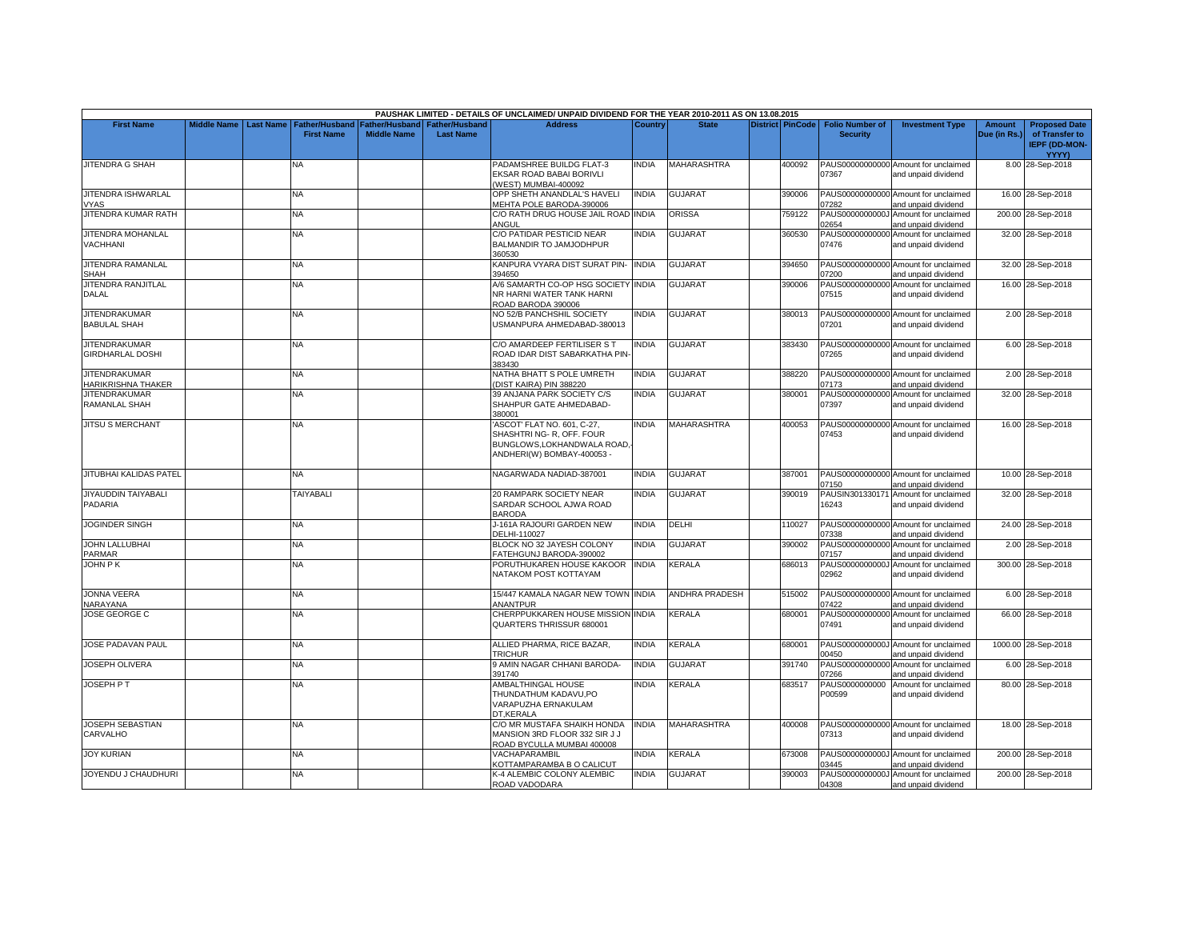|                                                   |                    |                  |                                            |                                      |                                           | PAUSHAK LIMITED - DETAILS OF UNCLAIMED/ UNPAID DIVIDEND FOR THE YEAR 2010-2011 AS ON 13.08.2015                     |                |                       |        |                                                     |                                                             |                        |                                                                         |
|---------------------------------------------------|--------------------|------------------|--------------------------------------------|--------------------------------------|-------------------------------------------|---------------------------------------------------------------------------------------------------------------------|----------------|-----------------------|--------|-----------------------------------------------------|-------------------------------------------------------------|------------------------|-------------------------------------------------------------------------|
| <b>First Name</b>                                 | <b>Middle Name</b> | <b>Last Name</b> | <b>Father/Husband</b><br><b>First Name</b> | Father/Husband<br><b>Middle Name</b> | <b>Father/Husband</b><br><b>Last Name</b> | <b>Address</b>                                                                                                      | <b>Country</b> | <b>State</b>          |        | District PinCode Folio Number of<br><b>Security</b> | <b>Investment Type</b>                                      | Amount<br>Due (in Rs.) | <b>Proposed Date</b><br>of Transfer to<br><b>IEPF (DD-MON-</b><br>YYYY) |
| <b>JITENDRA G SHAH</b>                            |                    |                  | NA                                         |                                      |                                           | PADAMSHREE BUILDG FLAT-3<br>EKSAR ROAD BABAI BORIVLI<br>WEST) MUMBAI-400092                                         | <b>INDIA</b>   | <b>MAHARASHTRA</b>    | 400092 | 07367                                               | PAUS00000000000 Amount for unclaimed<br>and unpaid dividend |                        | 8.00 28-Sep-2018                                                        |
| JITENDRA ISHWARLAL<br><b>VYAS</b>                 |                    |                  | <b>NA</b>                                  |                                      |                                           | OPP SHETH ANANDLAL'S HAVELI<br>MEHTA POLE BARODA-390006                                                             | <b>INDIA</b>   | <b>GUJARAT</b>        | 390006 | 07282                                               | PAUS00000000000 Amount for unclaimed<br>and unpaid dividend |                        | 16.00 28-Sep-2018                                                       |
| JITENDRA KUMAR RATH                               |                    |                  | <b>NA</b>                                  |                                      |                                           | C/O RATH DRUG HOUSE JAIL ROAD INDIA<br>ANGUL                                                                        |                | ORISSA                | 759122 | 02654                                               | PAUS0000000000J Amount for unclaimed<br>and unpaid dividend |                        | 200.00 28-Sep-2018                                                      |
| <b>JITENDRA MOHANLAL</b><br><b>VACHHANI</b>       |                    |                  | <b>NA</b>                                  |                                      |                                           | C/O PATIDAR PESTICID NEAR<br>BALMANDIR TO JAMJODHPUR<br>360530                                                      | <b>INDIA</b>   | <b>GUJARAT</b>        | 360530 | 07476                                               | PAUS00000000000 Amount for unclaimed<br>and unpaid dividend |                        | 32.00 28-Sep-2018                                                       |
| JITENDRA RAMANLAL<br>SHAH                         |                    |                  | <b>NA</b>                                  |                                      |                                           | KANPURA VYARA DIST SURAT PIN-<br>394650                                                                             | <b>INDIA</b>   | <b>GUJARAT</b>        | 394650 | 07200                                               | PAUS00000000000 Amount for unclaimed<br>and unpaid dividend |                        | 32.00 28-Sep-2018                                                       |
| JITENDRA RANJITLAL<br><b>DALAL</b>                |                    |                  | <b>NA</b>                                  |                                      |                                           | A/6 SAMARTH CO-OP HSG SOCIETY INDIA<br>NR HARNI WATER TANK HARNI<br>ROAD BARODA 390006                              |                | <b>GUJARAT</b>        | 390006 | 07515                                               | PAUS00000000000 Amount for unclaimed<br>and unpaid dividend |                        | 16.00 28-Sep-2018                                                       |
| <b>JITENDRAKUMAR</b><br><b>BABULAL SHAH</b>       |                    |                  | ΝA                                         |                                      |                                           | NO 52/B PANCHSHIL SOCIETY<br>USMANPURA AHMEDABAD-380013                                                             | india          | <b>GUJARAT</b>        | 380013 | 07201                                               | PAUS00000000000 Amount for unclaimed<br>and unpaid dividend |                        | 2.00 28-Sep-2018                                                        |
| <b>JITENDRAKUMAR</b><br><b>GIRDHARLAL DOSHI</b>   |                    |                  | <b>NA</b>                                  |                                      |                                           | C/O AMARDEEP FERTILISER S T<br>ROAD IDAR DIST SABARKATHA PIN<br>383430                                              | <b>INDIA</b>   | <b>GUJARAT</b>        | 383430 | 07265                                               | PAUS00000000000 Amount for unclaimed<br>and unpaid dividend |                        | 6.00 28-Sep-2018                                                        |
| <b>JITENDRAKUMAR</b><br><b>HARIKRISHNA THAKER</b> |                    |                  | <b>NA</b>                                  |                                      |                                           | NATHA BHATT S POLE UMRETH<br>DIST KAIRA) PIN 388220                                                                 | <b>INDIA</b>   | <b>GUJARAT</b>        | 388220 | 07173                                               | PAUS00000000000 Amount for unclaimed<br>and unpaid dividend |                        | 2.00 28-Sep-2018                                                        |
| <b>JITENDRAKUMAR</b><br>RAMANLAL SHAH             |                    |                  | <b>NA</b>                                  |                                      |                                           | 39 ANJANA PARK SOCIETY C/S<br>SHAHPUR GATE AHMEDABAD-<br>380001                                                     | <b>INDIA</b>   | <b>GUJARAT</b>        | 380001 | 07397                                               | PAUS00000000000 Amount for unclaimed<br>and unpaid dividend |                        | 32.00 28-Sep-2018                                                       |
| <b>JITSU S MERCHANT</b>                           |                    |                  | <b>NA</b>                                  |                                      |                                           | ASCOT' FLAT NO. 601, C-27,<br>SHASHTRI NG-R, OFF. FOUR<br>BUNGLOWS, LOKHANDWALA ROAD,<br>ANDHERI(W) BOMBAY-400053 - | <b>INDIA</b>   | <b>MAHARASHTRA</b>    | 400053 | 07453                                               | PAUS00000000000 Amount for unclaimed<br>and unpaid dividend |                        | 16.00 28-Sep-2018                                                       |
| JITUBHAI KALIDAS PATEL                            |                    |                  | <b>NA</b>                                  |                                      |                                           | NAGARWADA NADIAD-387001                                                                                             | INDIA          | <b>GUJARAT</b>        | 387001 | 07150                                               | PAUS00000000000 Amount for unclaimed<br>and unpaid dividend |                        | 10.00 28-Sep-2018                                                       |
| JIYAUDDIN TAIYABALI<br>PADARIA                    |                    |                  | <b>TAIYABALI</b>                           |                                      |                                           | 20 RAMPARK SOCIETY NEAR<br>SARDAR SCHOOL AJWA ROAD<br><b>BARODA</b>                                                 | <b>INDIA</b>   | <b>GUJARAT</b>        | 390019 | PAUSIN301330171<br>16243                            | Amount for unclaimed<br>and unpaid dividend                 |                        | 32.00 28-Sep-2018                                                       |
| <b>JOGINDER SINGH</b>                             |                    |                  | <b>NA</b>                                  |                                      |                                           | J-161A RAJOURI GARDEN NEW<br>DELHI-110027                                                                           | <b>INDIA</b>   | DELHI                 | 110027 | 17338                                               | PAUS00000000000 Amount for unclaimed<br>and unpaid dividend |                        | 24.00 28-Sep-2018                                                       |
| JOHN LALLUBHAI<br>PARMAR                          |                    |                  | <b>NA</b>                                  |                                      |                                           | BLOCK NO 32 JAYESH COLONY<br>FATEHGUNJ BARODA-390002                                                                | <b>INDIA</b>   | <b>GUJARAT</b>        | 390002 | 07157                                               | PAUS00000000000 Amount for unclaimed<br>and unpaid dividend |                        | 2.00 28-Sep-2018                                                        |
| JOHN P K                                          |                    |                  | <b>NA</b>                                  |                                      |                                           | PORUTHUKAREN HOUSE KAKOOR<br>NATAKOM POST KOTTAYAM                                                                  | <b>INDIA</b>   | KERALA                | 686013 | 02962                                               | PAUS0000000000J Amount for unclaimed<br>and unpaid dividend |                        | 300.00 28-Sep-2018                                                      |
| <b>JONNA VEERA</b><br>VARAYANA                    |                    |                  | <b>NA</b>                                  |                                      |                                           | 15/447 KAMALA NAGAR NEW TOWN INDIA<br>ANANTPUR                                                                      |                | <b>ANDHRA PRADESH</b> | 515002 | 07422                                               | PAUS00000000000 Amount for unclaimed<br>and unpaid dividend |                        | 6.00 28-Sep-2018                                                        |
| JOSE GEORGE C                                     |                    |                  | <b>NA</b>                                  |                                      |                                           | CHERPPUKKAREN HOUSE MISSION INDIA<br>QUARTERS THRISSUR 680001                                                       |                | <b>KERALA</b>         | 680001 | 07491                                               | PAUS00000000000 Amount for unclaimed<br>and unpaid dividend |                        | 66.00 28-Sep-2018                                                       |
| JOSE PADAVAN PAUL                                 |                    |                  | <b>NA</b>                                  |                                      |                                           | ALLIED PHARMA, RICE BAZAR,<br><b>TRICHUR</b>                                                                        | INDIA          | <b>KERALA</b>         | 680001 | 00450                                               | PAUS0000000000J Amount for unclaimed<br>and unpaid dividend |                        | 1000.00 28-Sep-2018                                                     |
| JOSEPH OLIVERA                                    |                    |                  | NA                                         |                                      |                                           | 9 AMIN NAGAR CHHANI BARODA-<br>391740                                                                               | <b>INDIA</b>   | <b>GUJARAT</b>        | 391740 | 07266                                               | PAUS00000000000 Amount for unclaimed<br>and unpaid dividend |                        | 6.00 28-Sep-2018                                                        |
| JOSEPH PT                                         |                    |                  | <b>NA</b>                                  |                                      |                                           | AMBALTHINGAL HOUSE<br>THUNDATHUM KADAVU,PO<br>VARAPUZHA ERNAKULAM<br>DT,KERALA                                      | INDIA          | <b>KERALA</b>         | 683517 | PAUS0000000000<br>P00599                            | Amount for unclaimed<br>and unpaid dividend                 |                        | 80.00 28-Sep-2018                                                       |
| JOSEPH SEBASTIAN<br>CARVALHO                      |                    |                  | <b>NA</b>                                  |                                      |                                           | C/O MR MUSTAFA SHAIKH HONDA<br>MANSION 3RD FLOOR 332 SIR J J<br>ROAD BYCULLA MUMBAI 400008                          | INDIA          | <b>MAHARASHTRA</b>    | 400008 | 07313                                               | PAUS00000000000 Amount for unclaimed<br>and unpaid dividend |                        | 18.00 28-Sep-2018                                                       |
| <b>JOY KURIAN</b>                                 |                    |                  | <b>NA</b>                                  |                                      |                                           | VACHAPARAMBIL<br>KOTTAMPARAMBA B O CALICUT                                                                          | <b>INDIA</b>   | <b>KERALA</b>         | 673008 | PAUS0000000000J<br>3445                             | Amount for unclaimed<br>and unpaid dividend                 |                        | 200.00 28-Sep-2018                                                      |
| JOYENDU J CHAUDHURI                               |                    |                  | <b>NA</b>                                  |                                      |                                           | K-4 ALEMBIC COLONY ALEMBIC<br>ROAD VADODARA                                                                         | <b>INDIA</b>   | <b>GUJARAT</b>        | 390003 | PAUS0000000000J<br>04308                            | Amount for unclaimed<br>and unpaid dividend                 |                        | 200.00 28-Sep-2018                                                      |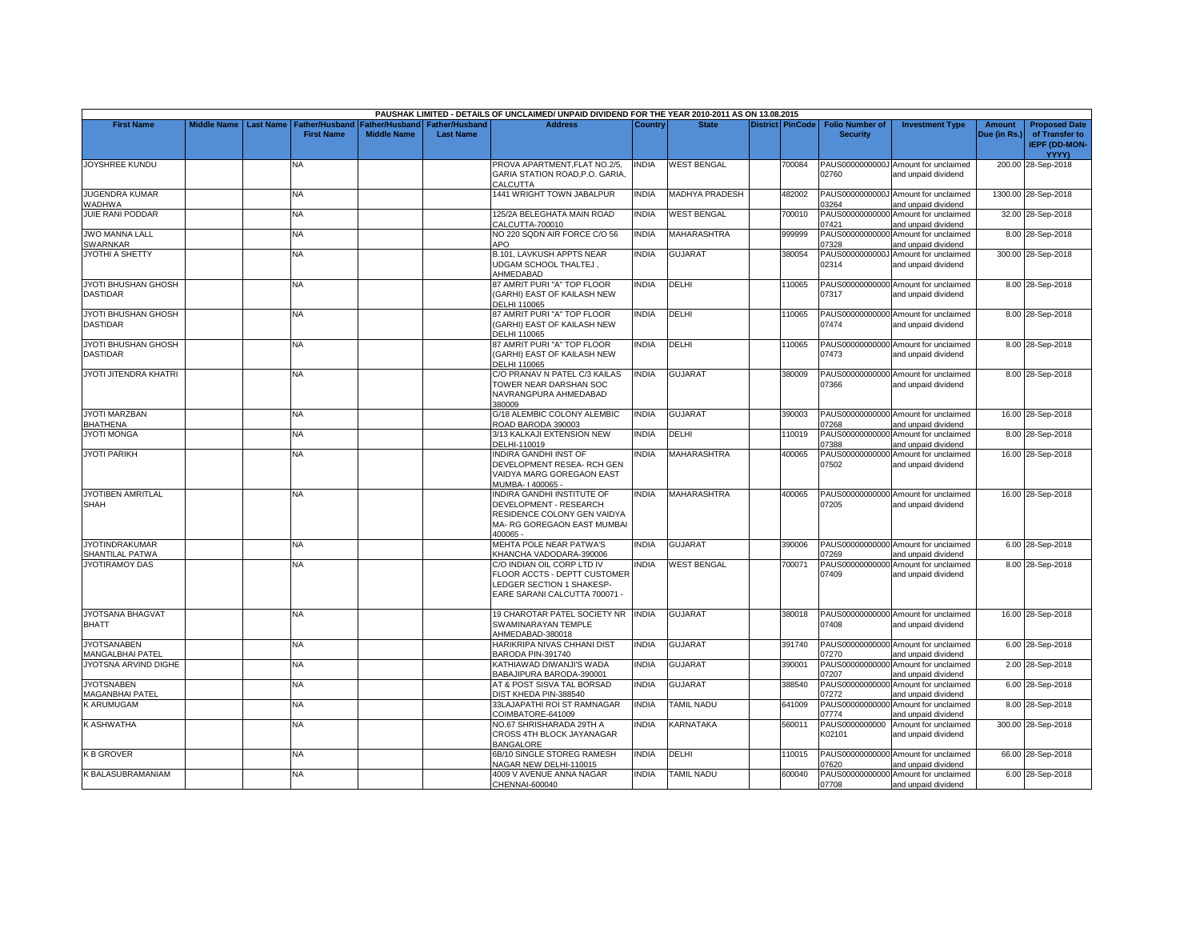|                                               |                    |                  |                                     |                                      |                                           | PAUSHAK LIMITED - DETAILS OF UNCLAIMED/ UNPAID DIVIDEND FOR THE YEAR 2010-2011 AS ON 13.08.2015                                |              |                       |        |                                                     |                                                             |                               |                                                                         |
|-----------------------------------------------|--------------------|------------------|-------------------------------------|--------------------------------------|-------------------------------------------|--------------------------------------------------------------------------------------------------------------------------------|--------------|-----------------------|--------|-----------------------------------------------------|-------------------------------------------------------------|-------------------------------|-------------------------------------------------------------------------|
| <b>First Name</b>                             | <b>Middle Name</b> | <b>Last Name</b> | Father/Husband<br><b>First Name</b> | Father/Husband<br><b>Middle Name</b> | <b>Father/Husband</b><br><b>Last Name</b> | <b>Address</b>                                                                                                                 | Country      | <b>State</b>          |        | District PinCode Folio Number of<br><b>Security</b> | <b>Investment Type</b>                                      | <b>Amount</b><br>Due (in Rs.) | <b>Proposed Date</b><br>of Transfer to<br><b>IEPF (DD-MON-</b><br>YYYY) |
| JOYSHREE KUNDU                                |                    |                  | NA                                  |                                      |                                           | PROVA APARTMENT, FLAT NO.2/5,<br>GARIA STATION ROAD, P.O. GARIA<br>CALCUTTA                                                    | NDIA         | <b>WEST BENGAL</b>    | 700084 | PAUS0000000000J<br>02760                            | Amount for unclaimed<br>and unpaid dividend                 |                               | 200.00 28-Sep-2018                                                      |
| <b>JUGENDRA KUMAR</b><br>WADHWA               |                    |                  | <b>NA</b>                           |                                      |                                           | 1441 WRIGHT TOWN JABALPUR                                                                                                      | <b>NDIA</b>  | <b>MADHYA PRADESH</b> | 482002 | PAUS0000000000.<br>3264                             | Amount for unclaimed<br>and unpaid dividend                 |                               | 1300.00 28-Sep-2018                                                     |
| JUIE RANI PODDAR                              |                    |                  | <b>NA</b>                           |                                      |                                           | 125/2A BELEGHATA MAIN ROAD<br>CALCUTTA-700010                                                                                  | <b>INDIA</b> | <b>WEST BENGAL</b>    | 700010 | PAUS00000000000<br>07421                            | Amount for unclaimed<br>and unpaid dividend                 |                               | 32.00 28-Sep-2018                                                       |
| <b>JWO MANNA LALL</b><br><b>SWARNKAR</b>      |                    |                  | <b>NA</b>                           |                                      |                                           | NO 220 SQDN AIR FORCE C/O 56<br><b>APO</b>                                                                                     | <b>INDIA</b> | <b>MAHARASHTRA</b>    | 999999 | PAUS00000000000<br>07328                            | Amount for unclaimed<br>and unpaid dividend                 |                               | 8.00 28-Sep-2018                                                        |
| JYOTHI A SHETTY                               |                    |                  | <b>NA</b>                           |                                      |                                           | B.101, LAVKUSH APPTS NEAR<br>UDGAM SCHOOL THALTEJ,<br>AHMEDABAD                                                                | <b>NDIA</b>  | <b>GUJARAT</b>        | 380054 | PAUS0000000000.<br>02314                            | Amount for unclaimed<br>and unpaid dividend                 |                               | 300.00 28-Sep-2018                                                      |
| JYOTI BHUSHAN GHOSH<br><b>DASTIDAR</b>        |                    |                  | <b>NA</b>                           |                                      |                                           | 87 AMRIT PURI "A" TOP FLOOR<br>(GARHI) EAST OF KAILASH NEW<br><b>DELHI 110065</b>                                              | <b>NDIA</b>  | DELHI                 | 110065 | PAUS00000000000<br>07317                            | Amount for unclaimed<br>and unpaid dividend                 |                               | 8.00 28-Sep-2018                                                        |
| JYOTI BHUSHAN GHOSH<br><b>DASTIDAR</b>        |                    |                  | NA                                  |                                      |                                           | 87 AMRIT PURI "A" TOP FLOOR<br>(GARHI) EAST OF KAILASH NEW<br>DELHI 110065                                                     | NDIA         | DELHI                 | 110065 | 07474                                               | PAUS00000000000 Amount for unclaimed<br>and unpaid dividend |                               | 8.00 28-Sep-2018                                                        |
| <b>JYOTI BHUSHAN GHOSH</b><br><b>DASTIDAR</b> |                    |                  | NA                                  |                                      |                                           | 87 AMRIT PURI "A" TOP FLOOR<br>(GARHI) EAST OF KAILASH NEW<br>DELHI 110065                                                     | <b>NDIA</b>  | DELHI                 | 110065 | 07473                                               | PAUS00000000000 Amount for unclaimed<br>and unpaid dividend |                               | 8.00 28-Sep-2018                                                        |
| JYOTI JITENDRA KHATRI                         |                    |                  | <b>NA</b>                           |                                      |                                           | C/O PRANAV N PATEL C/3 KAILAS<br>TOWER NEAR DARSHAN SOC<br>NAVRANGPURA AHMEDABAD<br>380009                                     | <b>NDIA</b>  | <b>GUJARAT</b>        | 380009 | 07366                                               | PAUS00000000000 Amount for unclaimed<br>and unpaid dividend |                               | 8.00 28-Sep-2018                                                        |
| JYOTI MARZBAN<br><b>BHATHENA</b>              |                    |                  | <b>NA</b>                           |                                      |                                           | G/18 ALEMBIC COLONY ALEMBIC<br>ROAD BARODA 390003                                                                              | INDIA        | <b>GUJARAT</b>        | 390003 | 07268                                               | PAUS00000000000 Amount for unclaimed<br>and unpaid dividend |                               | 16.00 28-Sep-2018                                                       |
| <b>JYOTI MONGA</b>                            |                    |                  | <b>NA</b>                           |                                      |                                           | 3/13 KALKAJI EXTENSION NEW<br>DELHI-110019                                                                                     | <b>NDIA</b>  | DELHI                 | 110019 | PAUS00000000000<br>07388                            | Amount for unclaimed<br>and unpaid dividend                 |                               | 8.00 28-Sep-2018                                                        |
| <b>JYOTI PARIKH</b>                           |                    |                  | NA                                  |                                      |                                           | <b>INDIRA GANDHI INST OF</b><br>DEVELOPMENT RESEA- RCH GEN<br>VAIDYA MARG GOREGAON EAST<br>MUMBA-1400065-                      | <b>NDIA</b>  | MAHARASHTRA           | 400065 | PAUS00000000000<br>07502                            | Amount for unclaimed<br>and unpaid dividend                 |                               | 16.00 28-Sep-2018                                                       |
| JYOTIBEN AMRITLAL<br>SHAH                     |                    |                  | NA                                  |                                      |                                           | INDIRA GANDHI INSTITUTE OF<br>DEVELOPMENT - RESEARCH<br>RESIDENCE COLONY GEN VAIDYA<br>MA- RG GOREGAON EAST MUMBAI<br>400065 - | <b>INDIA</b> | <b>MAHARASHTRA</b>    | 400065 | 07205                                               | PAUS00000000000 Amount for unclaimed<br>and unpaid dividend |                               | 16.00 28-Sep-2018                                                       |
| <b>JYOTINDRAKUMAR</b><br>SHANTILAL PATWA      |                    |                  | <b>NA</b>                           |                                      |                                           | MEHTA POLE NEAR PATWA'S<br>KHANCHA VADODARA-390006                                                                             | <b>NDIA</b>  | <b>GUJARAT</b>        | 390006 | 07269                                               | PAUS00000000000 Amount for unclaimed<br>and unpaid dividend |                               | 6.00 28-Sep-2018                                                        |
| <b>JYOTIRAMOY DAS</b>                         |                    |                  | <b>NA</b>                           |                                      |                                           | C/O INDIAN OIL CORP LTD IV<br>FLOOR ACCTS - DEPTT CUSTOMER<br>LEDGER SECTION 1 SHAKESP-<br>EARE SARANI CALCUTTA 700071 -       | <b>NDIA</b>  | WEST BENGAL           | 700071 | PAUS00000000000<br>07409                            | Amount for unclaimed<br>and unpaid dividend                 |                               | 8.00 28-Sep-2018                                                        |
| JYOTSANA BHAGVAT<br><b>BHATT</b>              |                    |                  | <b>NA</b>                           |                                      |                                           | 19 CHAROTAR PATEL SOCIETY NR<br>SWAMINARAYAN TEMPLE<br>AHMEDABAD-380018                                                        | <b>INDIA</b> | <b>GUJARAT</b>        | 380018 | 07408                                               | PAUS00000000000 Amount for unclaimed<br>and unpaid dividend |                               | 16.00 28-Sep-2018                                                       |
| <b>JYOTSANABEN</b><br><b>MANGALBHAI PATEL</b> |                    |                  | <b>NA</b>                           |                                      |                                           | HARIKRIPA NIVAS CHHANI DIST<br>BARODA PIN-391740                                                                               | <b>NDIA</b>  | <b>GUJARAT</b>        | 391740 | 07270                                               | PAUS00000000000 Amount for unclaimed<br>and unpaid dividend |                               | 6.00 28-Sep-2018                                                        |
| JYOTSNA ARVIND DIGHE                          |                    |                  | NA                                  |                                      |                                           | KATHIAWAD DIWANJI'S WADA<br>BABAJIPURA BARODA-390001                                                                           | NDIA         | <b>GUJARAT</b>        | 390001 | 07207                                               | PAUS00000000000 Amount for unclaimed<br>and unpaid dividend |                               | 2.00 28-Sep-2018                                                        |
| <b>JYOTSNABEN</b><br><b>MAGANBHAI PATEL</b>   |                    |                  | <b>NA</b>                           |                                      |                                           | AT & POST SISVA TAL BORSAD<br>DIST KHEDA PIN-388540                                                                            | <b>NDIA</b>  | GUJARAT               | 388540 | PAUS00000000000<br>07272                            | Amount for unclaimed<br>and unpaid dividend                 |                               | 6.00 28-Sep-2018                                                        |
| K ARUMUGAM                                    |                    |                  | <b>NA</b>                           |                                      |                                           | 33LAJAPATHI ROI ST RAMNAGAR<br>COIMBATORE-641009                                                                               | <b>INDIA</b> | <b>TAMIL NADU</b>     | 641009 | PAUS00000000000<br>07774                            | Amount for unclaimed<br>and unpaid dividend                 |                               | 8.00 28-Sep-2018                                                        |
| K ASHWATHA                                    |                    |                  | <b>NA</b>                           |                                      |                                           | NO.67 SHRISHARADA 29TH A<br>CROSS 4TH BLOCK JAYANAGAR<br><b>BANGALORE</b>                                                      | <b>NDIA</b>  | <b>KARNATAKA</b>      | 560011 | PAUS0000000000<br>K02101                            | Amount for unclaimed<br>and unpaid dividend                 |                               | 300.00 28-Sep-2018                                                      |
| <b>K B GROVER</b>                             |                    |                  | <b>NA</b>                           |                                      |                                           | 6B/10 SINGLE STOREG RAMESH<br>NAGAR NEW DELHI-110015                                                                           | NDIA         | DELHI                 | 110015 | PAUS00000000000<br>7620                             | Amount for unclaimed<br>and unpaid dividend                 |                               | 66.00 28-Sep-2018                                                       |
| <b>SBALASUBRAMANIAM</b>                       |                    |                  | <b>NA</b>                           |                                      |                                           | 4009 V AVENUE ANNA NAGAR                                                                                                       | <b>NDIA</b>  | <b>TAMIL NADU</b>     | 600040 | PAUS00000000000                                     | Amount for unclaimed                                        |                               | 6.00 28-Sep-2018                                                        |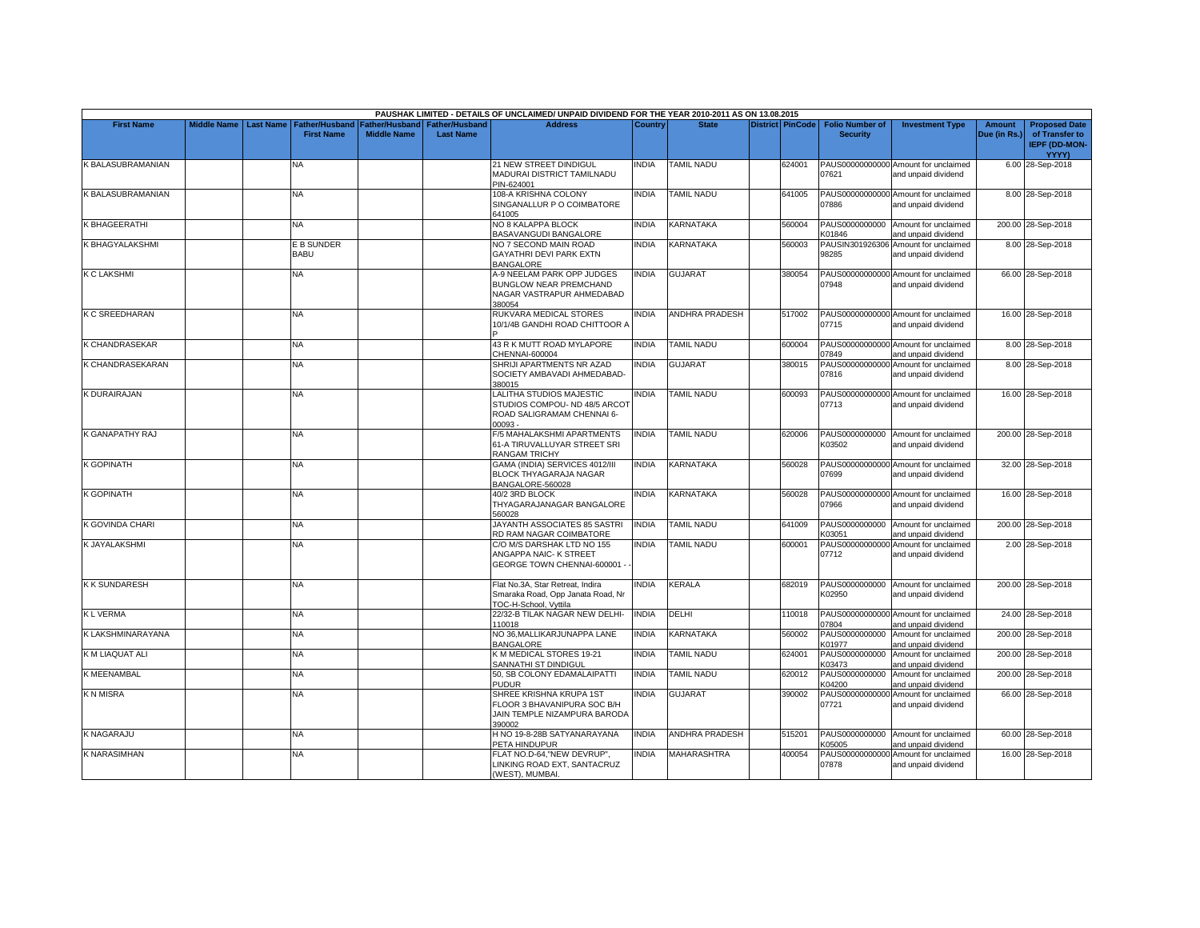|                          |                         |                                            |                                      |                                           | PAUSHAK LIMITED - DETAILS OF UNCLAIMED/ UNPAID DIVIDEND FOR THE YEAR 2010-2011 AS ON 13.08.2015    |                |                       |                         |                                           |                                                             |                        |                                                                  |
|--------------------------|-------------------------|--------------------------------------------|--------------------------------------|-------------------------------------------|----------------------------------------------------------------------------------------------------|----------------|-----------------------|-------------------------|-------------------------------------------|-------------------------------------------------------------|------------------------|------------------------------------------------------------------|
| <b>First Name</b>        | Middle Name   Last Name | <b>Father/Husband</b><br><b>First Name</b> | Father/Husband<br><b>Middle Name</b> | <b>Father/Husband</b><br><b>Last Name</b> | <b>Address</b>                                                                                     | <b>Country</b> | <b>State</b>          | <b>District PinCode</b> | <b>Folio Number of</b><br><b>Security</b> | <b>Investment Type</b>                                      | Amount<br>Due (in Rs.) | <b>Proposed Date</b><br>of Transfer to<br>IEPF (DD-MON-<br>YYYY) |
| <b>K BALASUBRAMANIAN</b> |                         | NА                                         |                                      |                                           | 21 NEW STREET DINDIGUL<br>MADURAI DISTRICT TAMILNADU<br>PIN-624001                                 | INDIA          | TAMIL NADU            | 624001                  | 07621                                     | PAUS00000000000 Amount for unclaimed<br>and unpaid dividend |                        | 6.00 28-Sep-2018                                                 |
| K BALASUBRAMANIAN        |                         | NA.                                        |                                      |                                           | 108-A KRISHNA COLONY<br>SINGANALLUR P O COIMBATORE<br>641005                                       | <b>INDIA</b>   | <b>TAMIL NADU</b>     | 641005                  | 07886                                     | PAUS00000000000 Amount for unclaimed<br>and unpaid dividend |                        | 8.00 28-Sep-2018                                                 |
| K BHAGEERATHI            |                         | <b>NA</b>                                  |                                      |                                           | NO 8 KALAPPA BLOCK<br>BASAVANGUDI BANGALORE                                                        | <b>INDIA</b>   | KARNATAKA             | 560004                  | K01846                                    | PAUS0000000000 Amount for unclaimed<br>and unpaid dividend  |                        | 200.00 28-Sep-2018                                               |
| K BHAGYALAKSHMI          |                         | E B SUNDER<br><b>BABU</b>                  |                                      |                                           | NO 7 SECOND MAIN ROAD<br><b>GAYATHRI DEVI PARK EXTN</b><br><b>BANGALORE</b>                        | <b>INDIA</b>   | KARNATAKA             | 560003                  | 98285                                     | PAUSIN301926306 Amount for unclaimed<br>and unpaid dividend |                        | 8.00 28-Sep-2018                                                 |
| <b>K C LAKSHMI</b>       |                         | NΑ                                         |                                      |                                           | A-9 NEELAM PARK OPP JUDGES<br><b>BUNGLOW NEAR PREMCHAND</b><br>NAGAR VASTRAPUR AHMEDABAD<br>380054 | <b>INDIA</b>   | GUJARAT               | 380054                  | 07948                                     | PAUS00000000000 Amount for unclaimed<br>and unpaid dividend |                        | 66.00 28-Sep-2018                                                |
| <b>K C SREEDHARAN</b>    |                         | NA                                         |                                      |                                           | RUKVARA MEDICAL STORES<br>10/1/4B GANDHI ROAD CHITTOOR A                                           | <b>INDIA</b>   | <b>ANDHRA PRADESH</b> | 517002                  | 07715                                     | PAUS00000000000 Amount for unclaimed<br>and unpaid dividend |                        | 16.00 28-Sep-2018                                                |
| K CHANDRASEKAR           |                         | <b>NA</b>                                  |                                      |                                           | 43 R K MUTT ROAD MYLAPORE<br>CHENNAI-600004                                                        | <b>INDIA</b>   | <b>TAMIL NADU</b>     | 600004                  | 07849                                     | PAUS00000000000 Amount for unclaimed<br>and unpaid dividend |                        | 8.00 28-Sep-2018                                                 |
| K CHANDRASEKARAN         |                         | NA                                         |                                      |                                           | SHRIJI APARTMENTS NR AZAD<br>SOCIETY AMBAVADI AHMEDABAD-<br>380015                                 | <b>INDIA</b>   | <b>GUJARAT</b>        | 380015                  | 07816                                     | PAUS00000000000 Amount for unclaimed<br>and unpaid dividend |                        | 8.00 28-Sep-2018                                                 |
| <b>K DURAIRAJAN</b>      |                         | <b>NA</b>                                  |                                      |                                           | LALITHA STUDIOS MAJESTIC<br>STUDIOS COMPOU- ND 48/5 ARCOT<br>ROAD SALIGRAMAM CHENNAI 6-<br>00093 - | <b>INDIA</b>   | <b>TAMIL NADU</b>     | 600093                  | 07713                                     | PAUS00000000000 Amount for unclaimed<br>and unpaid dividend |                        | 16.00 28-Sep-2018                                                |
| K GANAPATHY RAJ          |                         | <b>NA</b>                                  |                                      |                                           | F/5 MAHALAKSHMI APARTMENTS<br>61-A TIRUVALLUYAR STREET SRI<br>RANGAM TRICHY                        | <b>INDIA</b>   | <b>TAMIL NADU</b>     | 620006                  | K03502                                    | PAUS0000000000 Amount for unclaimed<br>and unpaid dividend  |                        | 200.00 28-Sep-2018                                               |
| <b>K GOPINATH</b>        |                         | NA                                         |                                      |                                           | GAMA (INDIA) SERVICES 4012/III<br>BLOCK THYAGARAJA NAGAR<br>BANGALORE-560028                       | <b>INDIA</b>   | KARNATAKA             | 560028                  | 07699                                     | PAUS00000000000 Amount for unclaimed<br>and unpaid dividend |                        | 32.00 28-Sep-2018                                                |
| <b>K GOPINATH</b>        |                         | NA.                                        |                                      |                                           | 40/2 3RD BLOCK<br>THYAGARAJANAGAR BANGALORE<br>560028                                              | <b>INDIA</b>   | KARNATAKA             | 560028                  | 07966                                     | PAUS00000000000 Amount for unclaimed<br>and unpaid dividend |                        | 16.00 28-Sep-2018                                                |
| K GOVINDA CHARI          |                         | <b>NA</b>                                  |                                      |                                           | JAYANTH ASSOCIATES 85 SASTRI<br>RD RAM NAGAR COIMBATORE                                            | <b>INDIA</b>   | <b>TAMIL NADU</b>     | 641009                  | PAUS0000000000<br><b>K03051</b>           | Amount for unclaimed<br>and unpaid dividend                 |                        | 200.00 28-Sep-2018                                               |
| <b>K JAYALAKSHMI</b>     |                         | NΑ                                         |                                      |                                           | C/O M/S DARSHAK LTD NO 155<br>ANGAPPA NAIC- K STREET<br>GEORGE TOWN CHENNAI-600001                 | <b>INDIA</b>   | <b>TAMIL NADU</b>     | 600001                  | 07712                                     | PAUS00000000000 Amount for unclaimed<br>and unpaid dividend |                        | 2.00 28-Sep-2018                                                 |
| <b>K K SUNDARESH</b>     |                         | NA                                         |                                      |                                           | Flat No.3A, Star Retreat, Indira<br>Smaraka Road, Opp Janata Road, Nr<br>TOC-H-School, Vyttila     | <b>INDIA</b>   | KERALA                | 682019                  | K02950                                    | PAUS0000000000 Amount for unclaimed<br>and unpaid dividend  |                        | 200.00 28-Sep-2018                                               |
| <b>KLVERMA</b>           |                         | <b>NA</b>                                  |                                      |                                           | 22/32-B TILAK NAGAR NEW DELHI-<br>110018                                                           | <b>INDIA</b>   | DELHI                 | 110018                  | 07804                                     | PAUS00000000000 Amount for unclaimed<br>and unpaid dividend |                        | 24.00 28-Sep-2018                                                |
| K LAKSHMINARAYANA        |                         | ΝA                                         |                                      |                                           | NO 36, MALLIKARJUNAPPA LANE<br><b>BANGALORE</b>                                                    | <b>INDIA</b>   | <b>KARNATAKA</b>      | 560002                  | PAUS0000000000<br>K01977                  | Amount for unclaimed<br>and unpaid dividend                 |                        | 200.00 28-Sep-2018                                               |
| K M LIAQUAT ALI          |                         | <b>NA</b>                                  |                                      |                                           | K M MEDICAL STORES 19-21<br>SANNATHI ST DINDIGUL                                                   | <b>INDIA</b>   | <b>TAMIL NADU</b>     | 624001                  | PAUS0000000000<br>K03473                  | Amount for unclaimed<br>and unpaid dividend                 |                        | 200.00 28-Sep-2018                                               |
| <b>K MEENAMBAL</b>       |                         | NA                                         |                                      |                                           | 50, SB COLONY EDAMALAIPATTI<br>PUDUR                                                               | <b>INDIA</b>   | <b>TAMIL NADU</b>     | 620012                  | PAUS0000000000<br>K04200                  | Amount for unclaimed<br>and unpaid dividend                 |                        | 200.00 28-Sep-2018                                               |
| <b>KNMISRA</b>           |                         | NA.                                        |                                      |                                           | SHREE KRISHNA KRUPA 1ST<br>FLOOR 3 BHAVANIPURA SOC B/H<br>JAIN TEMPLE NIZAMPURA BARODA<br>390002   | <b>INDIA</b>   | <b>GUJARAT</b>        | 390002                  | 07721                                     | PAUS00000000000 Amount for unclaimed<br>and unpaid dividend |                        | 66.00 28-Sep-2018                                                |
| K NAGARAJU               |                         | NA                                         |                                      |                                           | H NO 19-8-28B SATYANARAYANA<br>PETA HINDUPUR                                                       | <b>INDIA</b>   | <b>ANDHRA PRADESH</b> | 515201                  | PAUS0000000000<br>K05005                  | Amount for unclaimed<br>and unpaid dividend                 |                        | 60.00 28-Sep-2018                                                |
| <b>K NARASIMHAN</b>      |                         | NA.                                        |                                      |                                           | FLAT NO.D-64,"NEW DEVRUP",<br>LINKING ROAD EXT, SANTACRUZ<br>(WEST), MUMBAI.                       | <b>INDIA</b>   | <b>MAHARASHTRA</b>    | 400054                  | 07878                                     | PAUS00000000000 Amount for unclaimed<br>and unpaid dividend |                        | 16.00 28-Sep-2018                                                |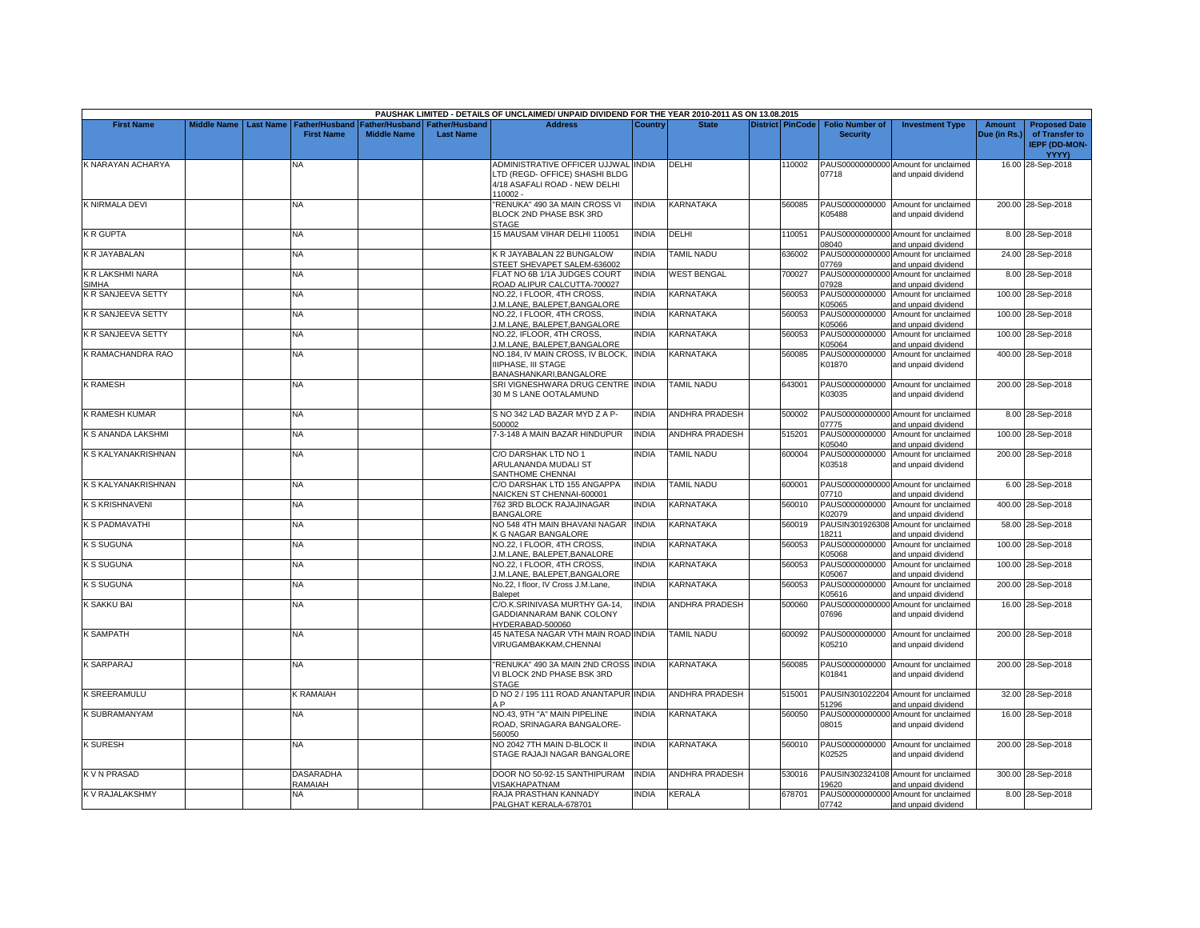|                                  |                         |                                    |                    |                               | PAUSHAK LIMITED - DETAILS OF UNCLAIMED/ UNPAID DIVIDEND FOR THE YEAR 2010-2011 AS ON 13.08.2015                    |                |                       |                         |                          |                                                             |              |                                                        |
|----------------------------------|-------------------------|------------------------------------|--------------------|-------------------------------|--------------------------------------------------------------------------------------------------------------------|----------------|-----------------------|-------------------------|--------------------------|-------------------------------------------------------------|--------------|--------------------------------------------------------|
| <b>First Name</b>                | Middle Name   Last Name | <b>Father/Husband</b>              |                    | Father/Husband Father/Husband | <b>Address</b>                                                                                                     | <b>Country</b> | <b>State</b>          | <b>District PinCode</b> | <b>Folio Number of</b>   | <b>Investment Type</b>                                      | Amount       | <b>Proposed Date</b>                                   |
|                                  |                         | <b>First Name</b>                  | <b>Middle Name</b> | <b>Last Name</b>              |                                                                                                                    |                |                       |                         | <b>Security</b>          |                                                             | Due (in Rs.) | of Transfer to<br><b>IEPF (DD-MON-</b><br><b>YYYY)</b> |
| K NARAYAN ACHARYA                |                         | NA                                 |                    |                               | ADMINISTRATIVE OFFICER UJJWAL INDIA<br>LTD (REGD- OFFICE) SHASHI BLDG<br>4/18 ASAFALI ROAD - NEW DELHI<br>110002 - |                | DELHI                 | 110002                  | 07718                    | PAUS00000000000 Amount for unclaimed<br>and unpaid dividend |              | 16.00 28-Sep-2018                                      |
| K NIRMALA DEVI                   |                         | <b>NA</b>                          |                    |                               | RENUKA" 490 3A MAIN CROSS VI<br>BLOCK 2ND PHASE BSK 3RD<br><b>STAGE</b>                                            | <b>NDIA</b>    | KARNATAKA             | 560085                  | K05488                   | PAUS0000000000 Amount for unclaimed<br>and unpaid dividend  |              | 200.00 28-Sep-2018                                     |
| <b>K R GUPTA</b>                 |                         | <b>NA</b>                          |                    |                               | 15 MAUSAM VIHAR DELHI 110051                                                                                       | <b>INDIA</b>   | DELHI                 | 110051                  | 08040                    | PAUS00000000000 Amount for unclaimed<br>and unpaid dividend |              | 8.00 28-Sep-2018                                       |
| K R JAYABALAN                    |                         | NA                                 |                    |                               | K R JAYABALAN 22 BUNGALOW<br>STEET SHEVAPET SALEM-636002                                                           | <b>INDIA</b>   | <b>TAMIL NADU</b>     | 636002                  | 07769                    | PAUS00000000000 Amount for unclaimed<br>and unpaid dividend |              | 24.00 28-Sep-2018                                      |
| K R LAKSHMI NARA<br><b>SIMHA</b> |                         | <b>NA</b>                          |                    |                               | FLAT NO 6B 1/1A JUDGES COURT<br>ROAD ALIPUR CALCUTTA-700027                                                        | <b>INDIA</b>   | <b>WEST BENGAL</b>    | 700027                  | 07928                    | PAUS00000000000 Amount for unclaimed<br>and unpaid dividend |              | 8.00 28-Sep-2018                                       |
| K R SANJEEVA SETTY               |                         | NA                                 |                    |                               | NO.22, I FLOOR, 4TH CROSS,<br>J.M.LANE, BALEPET, BANGALORE                                                         | <b>NDIA</b>    | KARNATAKA             | 560053                  | PAUS0000000000<br>K05065 | Amount for unclaimed<br>and unpaid dividend                 |              | 100.00 28-Sep-2018                                     |
| K R SANJEEVA SETTY               |                         | NA.                                |                    |                               | NO.22. I FLOOR. 4TH CROSS.<br>I.M.LANE, BALEPET, BANGALORE                                                         | <b>NDIA</b>    | <b>KARNATAKA</b>      | 560053                  | PAUS0000000000<br>K05066 | Amount for unclaimed<br>and unpaid dividend                 |              | 100.00 28-Sep-2018                                     |
| K R SANJEEVA SETTY               |                         | NA                                 |                    |                               | NO.22, IFLOOR, 4TH CROSS,<br>J.M.LANE, BALEPET, BANGALORE                                                          | <b>NDIA</b>    | KARNATAKA             | 560053                  | PAUS0000000000<br>K05064 | Amount for unclaimed<br>and unpaid dividend                 |              | 100.00 28-Sep-2018                                     |
| K RAMACHANDRA RAO                |                         | <b>NA</b>                          |                    |                               | NO.184, IV MAIN CROSS, IV BLOCK,<br><b>IIIPHASE, III STAGE</b><br>BANASHANKARI, BANGALORE                          | <b>INDIA</b>   | <b>KARNATAKA</b>      | 560085                  | PAUS0000000000<br>K01870 | Amount for unclaimed<br>and unpaid dividend                 |              | 400.00 28-Sep-2018                                     |
| <b>K RAMESH</b>                  |                         | <b>NA</b>                          |                    |                               | SRI VIGNESHWARA DRUG CENTRE INDIA<br>30 M S LANE OOTALAMUND                                                        |                | <b>TAMIL NADU</b>     | 643001                  | K03035                   | PAUS0000000000 Amount for unclaimed<br>and unpaid dividend  |              | 200.00 28-Sep-2018                                     |
| K RAMESH KUMAR                   |                         | NA.                                |                    |                               | S NO 342 LAD BAZAR MYD Z A P-<br>500002                                                                            | <b>INDIA</b>   | <b>ANDHRA PRADESH</b> | 500002                  | 07775                    | PAUS00000000000 Amount for unclaimed<br>and unpaid dividend |              | 8.00 28-Sep-2018                                       |
| K S ANANDA LAKSHMI               |                         | NA                                 |                    |                               | 7-3-148 A MAIN BAZAR HINDUPUR                                                                                      | <b>INDIA</b>   | <b>ANDHRA PRADESH</b> | 515201                  | PAUS0000000000<br>K05040 | Amount for unclaimed<br>and unpaid dividend                 |              | 100.00 28-Sep-2018                                     |
| K S KALYANAKRISHNAN              |                         | <b>NA</b>                          |                    |                               | C/O DARSHAK LTD NO 1<br>ARULANANDA MUDALI ST<br>SANTHOME CHENNAI                                                   | <b>INDIA</b>   | <b>TAMIL NADU</b>     | 600004                  | PAUS0000000000<br>K03518 | Amount for unclaimed<br>and unpaid dividend                 |              | 200.00 28-Sep-2018                                     |
| K S KALYANAKRISHNAN              |                         | NA                                 |                    |                               | C/O DARSHAK LTD 155 ANGAPPA<br>NAICKEN ST CHENNAI-600001                                                           | INDIA          | <b>TAMIL NADU</b>     | 600001                  | 07710                    | PAUS00000000000 Amount for unclaimed<br>and unpaid dividend |              | 6.00 28-Sep-2018                                       |
| K S KRISHNAVENI                  |                         | <b>NA</b>                          |                    |                               | 762 3RD BLOCK RAJAJINAGAR<br><b>BANGALORE</b>                                                                      | <b>NDIA</b>    | KARNATAKA             | 560010                  | PAUS0000000000<br>K02079 | Amount for unclaimed<br>and unpaid dividend                 |              | 400.00 28-Sep-2018                                     |
| <b>K S PADMAVATHI</b>            |                         | <b>NA</b>                          |                    |                               | NO 548 4TH MAIN BHAVANI NAGAR INDIA<br>K G NAGAR BANGALORE                                                         |                | KARNATAKA             | 560019                  | 18211                    | PAUSIN301926308 Amount for unclaimed<br>and unpaid dividend |              | 58.00 28-Sep-2018                                      |
| <b>K S SUGUNA</b>                |                         | <b>NA</b>                          |                    |                               | NO.22, I FLOOR, 4TH CROSS,<br>J.M.LANE, BALEPET, BANALORE                                                          | <b>INDIA</b>   | KARNATAKA             | 560053                  | PAUS0000000000<br>K05068 | Amount for unclaimed<br>and unpaid dividend                 |              | 100.00 28-Sep-2018                                     |
| <b>K S SUGUNA</b>                |                         | NA                                 |                    |                               | NO.22, I FLOOR, 4TH CROSS,<br>J.M.LANE, BALEPET, BANGALORE                                                         | <b>INDIA</b>   | KARNATAKA             | 560053                  | PAUS0000000000<br>K05067 | Amount for unclaimed<br>and unpaid dividend                 |              | 100.00 28-Sep-2018                                     |
| K S SUGUNA                       |                         | NA                                 |                    |                               | No.22, I floor, IV Cross J.M.Lane,<br>Balepet                                                                      | <b>INDIA</b>   | KARNATAKA             | 560053                  | PAUS0000000000<br>K05616 | Amount for unclaimed<br>and unpaid dividend                 |              | 200.00 28-Sep-2018                                     |
| K SAKKU BAI                      |                         | <b>NA</b>                          |                    |                               | C/O.K.SRINIVASA MURTHY GA-14.<br>GADDIANNARAM BANK COLONY<br>HYDERABAD-500060                                      | <b>INDIA</b>   | <b>ANDHRA PRADESH</b> | 500060                  | 07696                    | PAUS00000000000 Amount for unclaimed<br>and unpaid dividend |              | 16.00 28-Sep-2018                                      |
| <b>K SAMPATH</b>                 |                         | NA                                 |                    |                               | 45 NATESA NAGAR VTH MAIN ROAD INDIA<br>VIRUGAMBAKKAM.CHENNAI                                                       |                | <b>TAMIL NADU</b>     | 600092                  | K05210                   | PAUS0000000000 Amount for unclaimed<br>and unpaid dividend  |              | 200.00 28-Sep-2018                                     |
| <b>K SARPARAJ</b>                |                         | NA.                                |                    |                               | RENUKA" 490 3A MAIN 2ND CROSS INDIA<br>VI BLOCK 2ND PHASE BSK 3RD<br><b>STAGE</b>                                  |                | KARNATAKA             | 560085                  | K01841                   | PAUS0000000000 Amount for unclaimed<br>and unpaid dividend  |              | 200.00 28-Sep-2018                                     |
| <b>K SREERAMULU</b>              |                         | <b>KRAMAIAH</b>                    |                    |                               | D NO 2 / 195 111 ROAD ANANTAPUR INDIA<br>A P                                                                       |                | <b>ANDHRA PRADESH</b> | 515001                  | 51296                    | PAUSIN301022204 Amount for unclaimed<br>and unpaid dividend |              | 32.00 28-Sep-2018                                      |
| K SUBRAMANYAM                    |                         | NA                                 |                    |                               | NO.43, 9TH "A" MAIN PIPELINE<br>ROAD, SRINAGARA BANGALORE-<br>560050                                               | INDIA          | KARNATAKA             | 560050                  | 08015                    | PAUS00000000000 Amount for unclaimed<br>and unpaid dividend |              | 16.00 28-Sep-2018                                      |
| <b>K SURESH</b>                  |                         | <b>NA</b>                          |                    |                               | NO 2042 7TH MAIN D-BLOCK II<br>STAGE RAJAJI NAGAR BANGALORE                                                        | <b>INDIA</b>   | KARNATAKA             | 560010                  | PAUS0000000000<br>K02525 | Amount for unclaimed<br>and unpaid dividend                 |              | 200.00 28-Sep-2018                                     |
| <b>KVN PRASAD</b>                |                         | <b>DASARADHA</b><br><b>RAMAIAH</b> |                    |                               | DOOR NO 50-92-15 SANTHIPURAM<br><b>/ISAKHAPATNAM</b>                                                               | <b>NDIA</b>    | <b>ANDHRA PRADESH</b> | 530016                  | 19620                    | PAUSIN302324108 Amount for unclaimed<br>and unpaid dividend |              | 300.00 28-Sep-2018                                     |
| K V RAJALAKSHMY                  |                         | NA                                 |                    |                               | RAJA PRASTHAN KANNADY<br>PALGHAT KERALA-678701                                                                     | <b>NDIA</b>    | <b>KERALA</b>         | 678701                  | 07742                    | PAUS00000000000 Amount for unclaimed<br>and unpaid dividend |              | 8.00 28-Sep-2018                                       |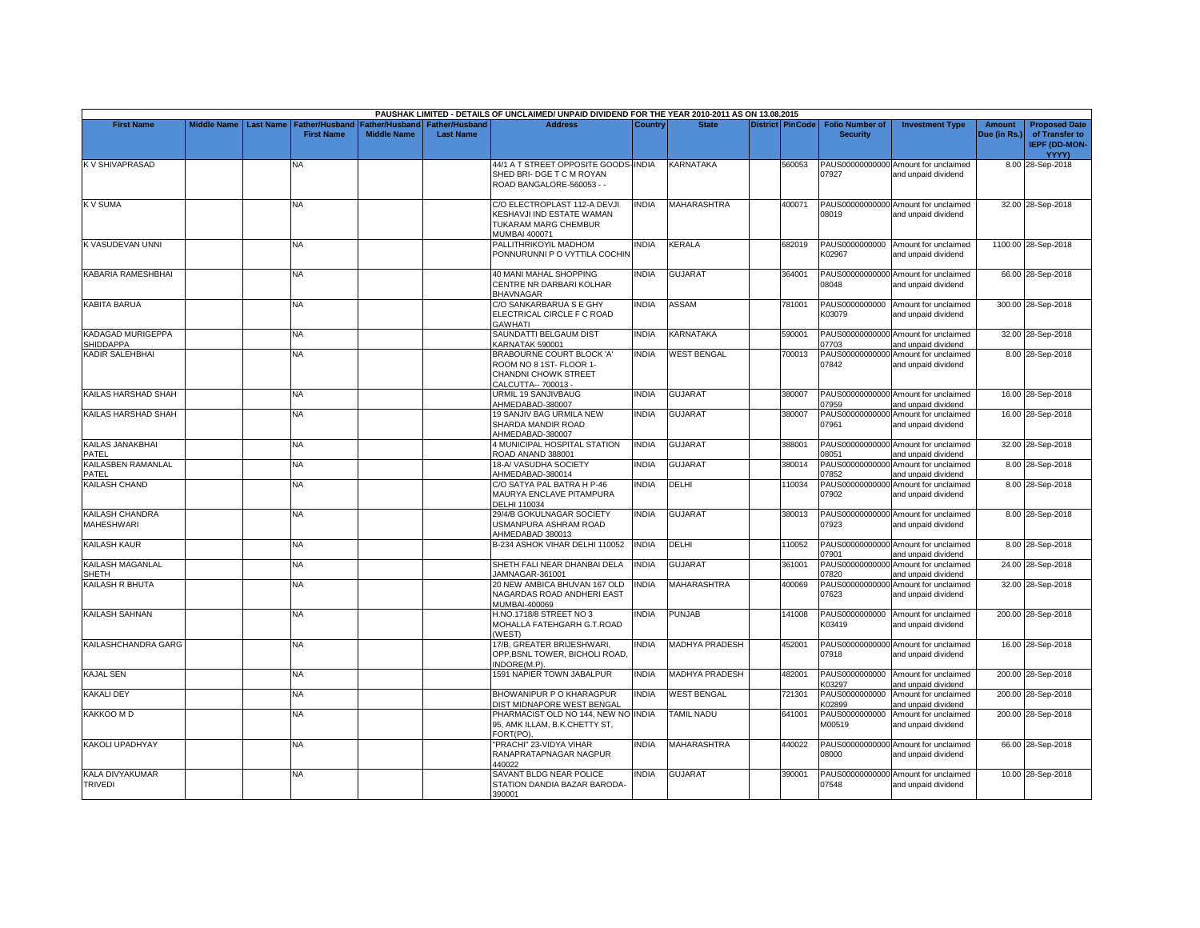|                                       |                    |                  |                                            |                                      |                                           | PAUSHAK LIMITED - DETAILS OF UNCLAIMED/ UNPAID DIVIDEND FOR THE YEAR 2010-2011 AS ON 13.08.2015     |              |                       |                         |                                           |                                                             |                               |                                                                         |
|---------------------------------------|--------------------|------------------|--------------------------------------------|--------------------------------------|-------------------------------------------|-----------------------------------------------------------------------------------------------------|--------------|-----------------------|-------------------------|-------------------------------------------|-------------------------------------------------------------|-------------------------------|-------------------------------------------------------------------------|
| <b>First Name</b>                     | <b>Middle Name</b> | <b>Last Name</b> | <b>Father/Husband</b><br><b>First Name</b> | Father/Husband<br><b>Middle Name</b> | <b>Father/Husband</b><br><b>Last Name</b> | <b>Address</b>                                                                                      | Country      | <b>State</b>          | <b>District PinCode</b> | <b>Folio Number of</b><br><b>Security</b> | <b>Investment Type</b>                                      | <b>Amount</b><br>Due (in Rs.) | <b>Proposed Date</b><br>of Transfer to<br><b>IEPF (DD-MON-</b><br>YYYY) |
| K V SHIVAPRASAD                       |                    |                  | N٨                                         |                                      |                                           | 44/1 A T STREET OPPOSITE GOODS-INDIA<br>SHED BRI- DGE T C M ROYAN<br>ROAD BANGALORE-560053 - -      |              | KARNATAKA             | 560053                  | 07927                                     | PAUS00000000000 Amount for unclaimed<br>and unpaid dividend |                               | 8.00 28-Sep-2018                                                        |
| <b>KV SUMA</b>                        |                    |                  | <b>NA</b>                                  |                                      |                                           | C/O ELECTROPLAST 112-A DEVJI<br>KESHAVJI IND ESTATE WAMAN<br>TUKARAM MARG CHEMBUR<br>MUMBAI 400071  | <b>INDIA</b> | <b>MAHARASHTRA</b>    | 400071                  | 08019                                     | PAUS00000000000 Amount for unclaimed<br>and unpaid dividend |                               | 32.00 28-Sep-2018                                                       |
| <b>K VASUDEVAN UNNI</b>               |                    |                  | NA                                         |                                      |                                           | PALLITHRIKOYIL MADHOM<br>PONNURUNNI P O VYTTILA COCHIN                                              | <b>INDIA</b> | KERALA                | 682019                  | K02967                                    | PAUS0000000000 Amount for unclaimed<br>and unpaid dividend  |                               | 1100.00 28-Sep-2018                                                     |
| <b>KABARIA RAMESHBHAI</b>             |                    |                  | <b>NA</b>                                  |                                      |                                           | 40 MANI MAHAL SHOPPING<br>CENTRE NR DARBARI KOLHAR<br><b>BHAVNAGAR</b>                              | <b>INDIA</b> | <b>GUJARAT</b>        | 364001                  | 08048                                     | PAUS00000000000 Amount for unclaimed<br>and unpaid dividend |                               | 66.00 28-Sep-2018                                                       |
| <b>KABITA BARUA</b>                   |                    |                  | <b>NA</b>                                  |                                      |                                           | C/O SANKARBARUA S E GHY<br>ELECTRICAL CIRCLE F C ROAD<br><b>GAWHATI</b>                             | <b>INDIA</b> | <b>ASSAM</b>          | 781001                  | K03079                                    | PAUS0000000000 Amount for unclaimed<br>and unpaid dividend  |                               | 300.00 28-Sep-2018                                                      |
| <b>KADAGAD MURIGEPPA</b><br>SHIDDAPPA |                    |                  | NA                                         |                                      |                                           | SAUNDATTI BELGAUM DIST<br>KARNATAK 590001                                                           | <b>INDIA</b> | KARNATAKA             | 590001                  | 07703                                     | PAUS00000000000 Amount for unclaimed<br>and unpaid dividend |                               | 32.00 28-Sep-2018                                                       |
| <b>KADIR SALEHBHAI</b>                |                    |                  | <b>NA</b>                                  |                                      |                                           | BRABOURNE COURT BLOCK 'A'<br>ROOM NO 8 1ST- FLOOR 1-<br>CHANDNI CHOWK STREET<br>CALCUTTA-- 700013 - | <b>INDIA</b> | <b>WEST BENGAL</b>    | 700013                  | 07842                                     | PAUS00000000000 Amount for unclaimed<br>and unpaid dividend |                               | 8.00 28-Sep-2018                                                        |
| KAILAS HARSHAD SHAH                   |                    |                  | NA                                         |                                      |                                           | URMIL 19 SANJIVBAUG<br>AHMEDABAD-380007                                                             | <b>INDIA</b> | <b>GUJARAT</b>        | 380007                  | 07959                                     | PAUS00000000000 Amount for unclaimed<br>and unpaid dividend |                               | 16.00 28-Sep-2018                                                       |
| KAILAS HARSHAD SHAH                   |                    |                  | NA                                         |                                      |                                           | 19 SANJIV BAG URMILA NEW<br>SHARDA MANDIR ROAD<br>AHMEDABAD-380007                                  | INDIA        | GUJARAT               | 380007                  | 07961                                     | PAUS00000000000 Amount for unclaimed<br>and unpaid dividend |                               | 16.00 28-Sep-2018                                                       |
| KAILAS JANAKBHAI<br>PATEL             |                    |                  | <b>NA</b>                                  |                                      |                                           | 4 MUNICIPAL HOSPITAL STATION<br>ROAD ANAND 388001                                                   | <b>INDIA</b> | <b>GUJARAT</b>        | 388001                  | 08051                                     | PAUS00000000000 Amount for unclaimed<br>and unpaid dividend |                               | 32.00 28-Sep-2018                                                       |
| <b>KAILASBEN RAMANLAL</b><br>PATEL    |                    |                  | NA                                         |                                      |                                           | 18-A/VASUDHA SOCIETY<br>AHMEDABAD-380014                                                            | <b>INDIA</b> | <b>GUJARAT</b>        | 380014                  | 07852                                     | PAUS00000000000 Amount for unclaimed<br>and unpaid dividend |                               | 8.00 28-Sep-2018                                                        |
| KAILASH CHAND                         |                    |                  | NA.                                        |                                      |                                           | C/O SATYA PAL BATRA H P-46<br>MAURYA ENCLAVE PITAMPURA<br>DELHI 110034                              | <b>INDIA</b> | DELHI                 | 110034                  | 07902                                     | PAUS00000000000 Amount for unclaimed<br>and unpaid dividend |                               | 8.00 28-Sep-2018                                                        |
| KAILASH CHANDRA<br><b>MAHESHWARI</b>  |                    |                  | NA                                         |                                      |                                           | 29/4/B GOKULNAGAR SOCIETY<br>USMANPURA ASHRAM ROAD<br>AHMEDABAD 380013                              | <b>INDIA</b> | <b>GUJARAT</b>        | 380013                  | 07923                                     | PAUS00000000000 Amount for unclaimed<br>and unpaid dividend |                               | 8.00 28-Sep-2018                                                        |
| <b>KAILASH KAUR</b>                   |                    |                  | NA                                         |                                      |                                           | B-234 ASHOK VIHAR DELHI 110052                                                                      | <b>INDIA</b> | DELHI                 | 110052                  | 07901                                     | PAUS00000000000 Amount for unclaimed<br>and unpaid dividend |                               | 8.00 28-Sep-2018                                                        |
| KAILASH MAGANLAL<br>SHETH             |                    |                  | ΝA                                         |                                      |                                           | SHETH FALI NEAR DHANBAI DELA<br>JAMNAGAR-361001                                                     | <b>INDIA</b> | <b>GUJARAT</b>        | 361001                  | 07820                                     | PAUS00000000000 Amount for unclaimed<br>and unpaid dividend |                               | 24.00 28-Sep-2018                                                       |
| <b>KAILASH R BHUTA</b>                |                    |                  | NA                                         |                                      |                                           | 20 NEW AMBICA BHUVAN 167 OLD<br>NAGARDAS ROAD ANDHERI EAST<br>MUMBAI-400069                         | <b>INDIA</b> | MAHARASHTRA           | 400069                  | 07623                                     | PAUS00000000000 Amount for unclaimed<br>and unpaid dividend |                               | 32.00 28-Sep-2018                                                       |
| <b>KAILASH SAHNAN</b>                 |                    |                  | <b>NA</b>                                  |                                      |                                           | H.NO.1718/8 STREET NO 3<br>MOHALLA FATEHGARH G.T.ROAD<br>(WEST)                                     | <b>INDIA</b> | PUNJAB                | 141008                  | K03419                                    | PAUS0000000000 Amount for unclaimed<br>and unpaid dividend  |                               | 200.00 28-Sep-2018                                                      |
| KAILASHCHANDRA GARG                   |                    |                  | ΝA                                         |                                      |                                           | 17/B, GREATER BRIJESHWARI,<br>OPP.BSNL TOWER, BICHOLI ROAD<br>NDORE(M.P)                            | <b>INDIA</b> | <b>MADHYA PRADESH</b> | 452001                  | 07918                                     | PAUS00000000000 Amount for unclaimed<br>and unpaid dividend |                               | 16.00 28-Sep-2018                                                       |
| <b>KAJAL SEN</b>                      |                    |                  | <b>NA</b>                                  |                                      |                                           | 1591 NAPIER TOWN JABALPUR                                                                           | <b>INDIA</b> | <b>MADHYA PRADESH</b> | 482001                  | K03297                                    | PAUS0000000000 Amount for unclaimed<br>and unpaid dividend  |                               | 200.00 28-Sep-2018                                                      |
| <b>KAKALI DEY</b>                     |                    |                  | NA                                         |                                      |                                           | BHOWANIPUR P O KHARAGPUR<br>DIST MIDNAPORE WEST BENGAL                                              | <b>INDIA</b> | <b>WEST BENGAL</b>    | 721301                  | PAUS0000000000<br>K02899                  | Amount for unclaimed<br>and unpaid dividend                 |                               | 200.00 28-Sep-2018                                                      |
| KAKKOO M D                            |                    |                  | NA                                         |                                      |                                           | PHARMACIST OLD NO 144. NEW NO INDIA<br>95, AMK ILLAM, B.K.CHETTY ST,<br>FORT(PO).                   |              | TAMIL NADU            | 641001                  | PAUS0000000000<br>M00519                  | Amount for unclaimed<br>and unpaid dividend                 |                               | 200.00 28-Sep-2018                                                      |
| <b>KAKOLI UPADHYAY</b>                |                    |                  | <b>NA</b>                                  |                                      |                                           | 'PRACHI" 23-VIDYA VIHAR<br>RANAPRATAPNAGAR NAGPUR<br>440022                                         | <b>INDIA</b> | <b>MAHARASHTRA</b>    | 440022                  | 08000                                     | PAUS00000000000 Amount for unclaimed<br>and unpaid dividend |                               | 66.00 28-Sep-2018                                                       |
| KALA DIVYAKUMAR<br><b>TRIVEDI</b>     |                    |                  | NA                                         |                                      |                                           | SAVANT BLDG NEAR POLICE<br>STATION DANDIA BAZAR BARODA-<br>390001                                   | <b>INDIA</b> | <b>GUJARAT</b>        | 390001                  | 07548                                     | PAUS00000000000 Amount for unclaimed<br>and unpaid dividend |                               | 10.00 28-Sep-2018                                                       |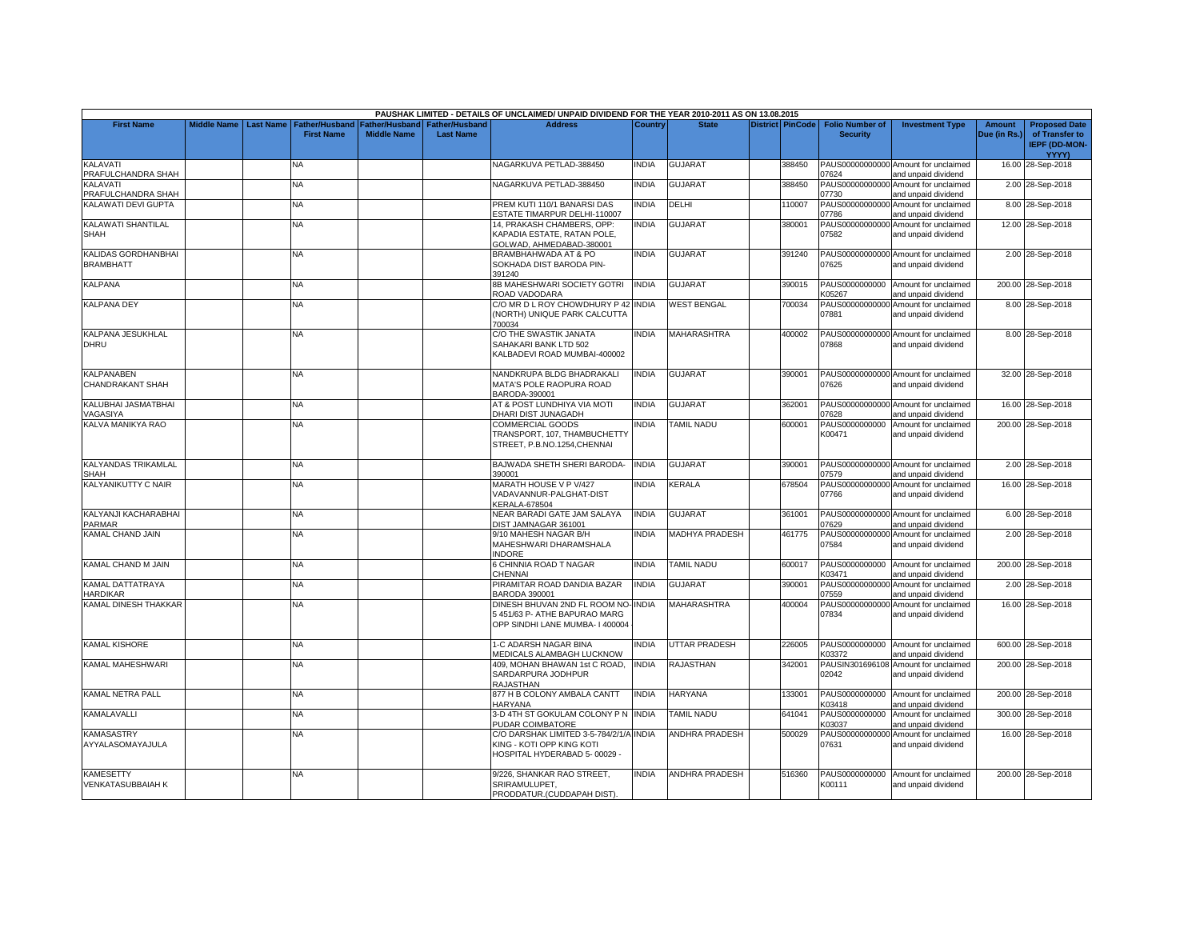|                                         |                    |           |                                            |                                      |                                           | PAUSHAK LIMITED - DETAILS OF UNCLAIMED/ UNPAID DIVIDEND FOR THE YEAR 2010-2011 AS ON 13.08.2015        |                |                    |                         |                                           |                                                             |                               |                                                                |
|-----------------------------------------|--------------------|-----------|--------------------------------------------|--------------------------------------|-------------------------------------------|--------------------------------------------------------------------------------------------------------|----------------|--------------------|-------------------------|-------------------------------------------|-------------------------------------------------------------|-------------------------------|----------------------------------------------------------------|
| <b>First Name</b>                       | <b>Middle Name</b> | Last Name | <b>Father/Husband</b><br><b>First Name</b> | Father/Husband<br><b>Middle Name</b> | <b>Father/Husband</b><br><b>Last Name</b> | <b>Address</b>                                                                                         | <b>Country</b> | <b>State</b>       | <b>District PinCode</b> | <b>Folio Number of</b><br><b>Security</b> | <b>Investment Type</b>                                      | <b>Amount</b><br>Due (in Rs.) | <b>Proposed Date</b><br>of Transfer to<br><b>IEPF (DD-MON-</b> |
| KALAVATI                                |                    |           | NA                                         |                                      |                                           | NAGARKUVA PETLAD-388450                                                                                | INDIA          | <b>GUJARAT</b>     | 388450                  |                                           | PAUS00000000000 Amount for unclaimed                        |                               | YYYY)<br>16.00 28-Sep-2018                                     |
| PRAFULCHANDRA SHAH                      |                    |           |                                            |                                      |                                           |                                                                                                        |                |                    |                         | 07624                                     | and unpaid dividend                                         |                               |                                                                |
| KALAVATI<br>PRAFULCHANDRA SHAH          |                    |           | <b>NA</b>                                  |                                      |                                           | NAGARKUVA PETLAD-388450                                                                                | <b>INDIA</b>   | GUJARAT            | 388450                  | PAUS00000000000<br>07730                  | Amount for unclaimed<br>and unpaid dividend                 |                               | 2.00 28-Sep-2018                                               |
| KALAWATI DEVI GUPTA                     |                    |           | NA                                         |                                      |                                           | PREM KUTI 110/1 BANARSI DAS<br>ESTATE TIMARPUR DELHI-110007                                            | <b>INDIA</b>   | DELHI              | 110007                  | 07786                                     | PAUS00000000000 Amount for unclaimed<br>and unpaid dividend |                               | 8.00 28-Sep-2018                                               |
| KALAWATI SHANTILAL<br>SHAH              |                    |           | NA                                         |                                      |                                           | 14, PRAKASH CHAMBERS, OPP:<br>KAPADIA ESTATE, RATAN POLE,<br>GOLWAD, AHMEDABAD-380001                  | <b>INDIA</b>   | GUJARAT            | 380001                  | 07582                                     | PAUS00000000000 Amount for unclaimed<br>and unpaid dividend |                               | 12.00 28-Sep-2018                                              |
| KALIDAS GORDHANBHAI<br><b>BRAMBHATT</b> |                    |           | NA                                         |                                      |                                           | BRAMBHAHWADA AT & PO<br>SOKHADA DIST BARODA PIN-<br>391240                                             | <b>INDIA</b>   | <b>GUJARAT</b>     | 391240                  | 07625                                     | PAUS00000000000 Amount for unclaimed<br>and unpaid dividend |                               | 2.00 28-Sep-2018                                               |
| <b>KALPANA</b>                          |                    |           | NA                                         |                                      |                                           | 8B MAHESHWARI SOCIETY GOTRI<br>ROAD VADODARA                                                           | <b>INDIA</b>   | GUJARAT            | 390015                  | PAUS0000000000<br><b>K05267</b>           | Amount for unclaimed<br>and unpaid dividend                 |                               | 200.00 28-Sep-2018                                             |
| <b>KALPANA DEY</b>                      |                    |           | NA                                         |                                      |                                           | C/O MR D L ROY CHOWDHURY P 42 INDIA<br>(NORTH) UNIQUE PARK CALCUTTA<br>700034                          |                | <b>WEST BENGAL</b> | 700034                  | 07881                                     | PAUS00000000000 Amount for unclaimed<br>and unpaid dividend |                               | 8.00 28-Sep-2018                                               |
| KALPANA JESUKHLAL<br><b>DHRU</b>        |                    |           | NΑ                                         |                                      |                                           | C/O THE SWASTIK JANATA<br>SAHAKARI BANK LTD 502<br>KALBADEVI ROAD MUMBAI-400002                        | <b>INDIA</b>   | <b>MAHARASHTRA</b> | 400002                  | 07868                                     | PAUS00000000000 Amount for unclaimed<br>and unpaid dividend |                               | 8.00 28-Sep-2018                                               |
| KALPANABEN<br>CHANDRAKANT SHAH          |                    |           | NA                                         |                                      |                                           | NANDKRUPA BLDG BHADRAKALI<br>MATA'S POLE RAOPURA ROAD<br>BARODA-390001                                 | <b>INDIA</b>   | <b>GUJARAT</b>     | 390001                  | 07626                                     | PAUS00000000000 Amount for unclaimed<br>and unpaid dividend |                               | 32.00 28-Sep-2018                                              |
| KALUBHAI JASMATBHAI<br>VAGASIYA         |                    |           | <b>NA</b>                                  |                                      |                                           | AT & POST LUNDHIYA VIA MOTI<br>DHARI DIST JUNAGADH                                                     | <b>INDIA</b>   | <b>GUJARAT</b>     | 362001                  | 07628                                     | PAUS00000000000 Amount for unclaimed<br>and unpaid dividend |                               | 16.00 28-Sep-2018                                              |
| KALVA MANIKYA RAO                       |                    |           | NA                                         |                                      |                                           | COMMERCIAL GOODS<br>TRANSPORT, 107, THAMBUCHETTY<br>STREET, P.B.NO.1254.CHENNAI                        | <b>INDIA</b>   | TAMIL NADU         | 600001                  | PAUS0000000000<br>K00471                  | Amount for unclaimed<br>and unpaid dividend                 |                               | 200.00 28-Sep-2018                                             |
| KALYANDAS TRIKAMLAL<br>SHAH             |                    |           | ΝA                                         |                                      |                                           | BAJWADA SHETH SHERI BARODA-<br>390001                                                                  | <b>INDIA</b>   | GUJARAT            | 390001                  | 07579                                     | PAUS00000000000 Amount for unclaimed<br>and unpaid dividend |                               | 2.00 28-Sep-2018                                               |
| KALYANIKUTTY C NAIR                     |                    |           | <b>NA</b>                                  |                                      |                                           | MARATH HOUSE V P V/427<br>VADAVANNUR-PALGHAT-DIST<br><b>KERALA-678504</b>                              | <b>INDIA</b>   | KERALA             | 678504                  | 07766                                     | PAUS00000000000 Amount for unclaimed<br>and unpaid dividend |                               | 16.00 28-Sep-2018                                              |
| KALYANJI KACHARABHAI<br>PARMAR          |                    |           | NA                                         |                                      |                                           | NEAR BARADI GATE JAM SALAYA<br>DIST JAMNAGAR 361001                                                    | <b>INDIA</b>   | <b>GUJARAT</b>     | 361001                  | 07629                                     | PAUS00000000000 Amount for unclaimed<br>and unpaid dividend |                               | 6.00 28-Sep-2018                                               |
| KAMAL CHAND JAIN                        |                    |           | <b>NA</b>                                  |                                      |                                           | 9/10 MAHESH NAGAR B/H<br>MAHESHWARI DHARAMSHALA<br><b>INDORE</b>                                       | <b>INDIA</b>   | MADHYA PRADESH     | 461775                  | 07584                                     | PAUS00000000000 Amount for unclaimed<br>and unpaid dividend |                               | 2.00 28-Sep-2018                                               |
| KAMAL CHAND M JAIN                      |                    |           | NA                                         |                                      |                                           | 6 CHINNIA ROAD T NAGAR<br>CHENNAI                                                                      | <b>INDIA</b>   | TAMIL NADU         | 600017                  | <03471                                    | PAUS0000000000 Amount for unclaimed<br>and unpaid dividend  |                               | 200.00 28-Sep-2018                                             |
| KAMAL DATTATRAYA<br>HARDIKAR            |                    |           | <b>NA</b>                                  |                                      |                                           | PIRAMITAR ROAD DANDIA BAZAR<br>BARODA 390001                                                           | <b>INDIA</b>   | GUJARAT            | 390001                  | 07559                                     | PAUS00000000000 Amount for unclaimed<br>and unpaid dividend |                               | 2.00 28-Sep-2018                                               |
| KAMAL DINESH THAKKAR                    |                    |           | NΑ                                         |                                      |                                           | DINESH BHUVAN 2ND FL ROOM NO-INDIA<br>5 451/63 P- ATHE BAPURAO MARG<br>OPP SINDHI LANE MUMBA- I 400004 |                | <b>MAHARASHTRA</b> | 400004                  | 07834                                     | PAUS00000000000 Amount for unclaimed<br>and unpaid dividend |                               | 16.00 28-Sep-2018                                              |
| KAMAL KISHORE                           |                    |           | NA                                         |                                      |                                           | I-C ADARSH NAGAR BINA<br><b>MEDICALS ALAMBAGH LUCKNOW</b>                                              | <b>INDIA</b>   | UTTAR PRADESH      | 226005                  | PAUS0000000000<br>K03372                  | Amount for unclaimed<br>and unpaid dividend                 |                               | 600.00 28-Sep-2018                                             |
| <b>KAMAL MAHESHWARI</b>                 |                    |           | NA                                         |                                      |                                           | 409, MOHAN BHAWAN 1st C ROAD,<br>SARDARPURA JODHPUR<br>RAJASTHAN                                       | <b>INDIA</b>   | <b>RAJASTHAN</b>   | 342001                  | 02042                                     | PAUSIN301696108 Amount for unclaimed<br>and unpaid dividend |                               | 200.00 28-Sep-2018                                             |
| KAMAL NETRA PALL                        |                    |           | <b>NA</b>                                  |                                      |                                           | 877 H B COLONY AMBALA CANTT<br><b>HARYANA</b>                                                          | <b>INDIA</b>   | <b>HARYANA</b>     | 133001                  | PAUS0000000000<br>K03418                  | Amount for unclaimed<br>and unpaid dividend                 |                               | 200.00 28-Sep-2018                                             |
| KAMALAVALLI                             |                    |           | NA                                         |                                      |                                           | 3-D 4TH ST GOKULAM COLONY P N INDIA<br>PUDAR COIMBATORE                                                |                | TAMIL NADU         | 641041                  | PAUS0000000000<br><b>K03037</b>           | Amount for unclaimed<br>and unpaid dividend                 |                               | 300.00 28-Sep-2018                                             |
| <b>KAMASASTRY</b><br>AYYALASOMAYAJULA   |                    |           | NA                                         |                                      |                                           | C/O DARSHAK LIMITED 3-5-784/2/1/A INDIA<br>KING - KOTI OPP KING KOTI<br>HOSPITAL HYDERABAD 5-00029 -   |                | ANDHRA PRADESH     | 500029                  | 07631                                     | PAUS00000000000 Amount for unclaimed<br>and unpaid dividend |                               | 16.00 28-Sep-2018                                              |
| <b>KAMESETTY</b><br>VENKATASUBBAIAH K   |                    |           | NA                                         |                                      |                                           | 9/226, SHANKAR RAO STREET,<br>SRIRAMULUPET.<br>PRODDATUR.(CUDDAPAH DIST).                              | <b>INDIA</b>   | ANDHRA PRADESH     | 516360                  | PAUS0000000000<br>K00111                  | Amount for unclaimed<br>and unpaid dividend                 |                               | 200.00 28-Sep-2018                                             |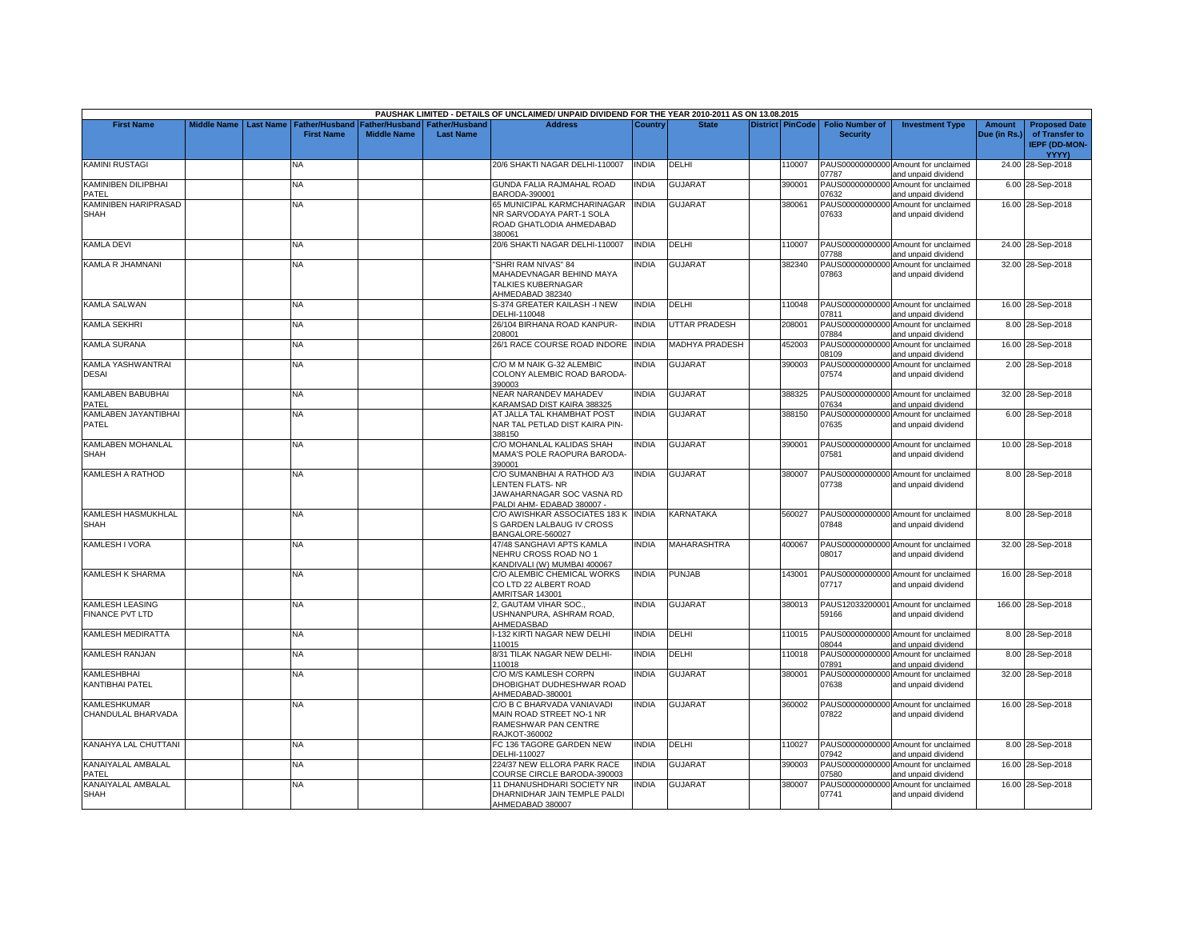|                                                  |                    |                  |                                            |                                      |                                           | PAUSHAK LIMITED - DETAILS OF UNCLAIMED/ UNPAID DIVIDEND FOR THE YEAR 2010-2011 AS ON 13.08.2015          |              |                       |                         |                                           |                                                             |                        |                                                                         |
|--------------------------------------------------|--------------------|------------------|--------------------------------------------|--------------------------------------|-------------------------------------------|----------------------------------------------------------------------------------------------------------|--------------|-----------------------|-------------------------|-------------------------------------------|-------------------------------------------------------------|------------------------|-------------------------------------------------------------------------|
| <b>First Name</b>                                | <b>Middle Name</b> | <b>Last Name</b> | <b>Father/Hushand</b><br><b>First Name</b> | Father/Husband<br><b>Middle Name</b> | <b>Father/Husband</b><br><b>Last Name</b> | <b>Address</b>                                                                                           | Country      | <b>State</b>          | <b>District PinCode</b> | <b>Folio Number of</b><br><b>Security</b> | <b>Investment Type</b>                                      | Amount<br>Due (in Rs.) | <b>Proposed Date</b><br>of Transfer to<br><b>IEPF (DD-MON-</b><br>YYYY) |
| <b>KAMINI RUSTAGI</b>                            |                    |                  | NА                                         |                                      |                                           | 20/6 SHAKTI NAGAR DELHI-110007                                                                           | <b>INDIA</b> | DELHI                 | 110007                  | 07787                                     | PAUS00000000000 Amount for unclaimed<br>and unpaid dividend |                        | 24.00 28-Sep-2018                                                       |
| KAMINIBEN DILIPBHAI<br>PATEL                     |                    |                  | NA                                         |                                      |                                           | GUNDA FALIA RAJMAHAL ROAD<br>BARODA-390001                                                               | <b>INDIA</b> | GUJARAT               | 390001                  | 07632                                     | PAUS00000000000 Amount for unclaimed<br>and unpaid dividend |                        | 6.00 28-Sep-2018                                                        |
| KAMINIBEN HARIPRASAD<br><b>SHAH</b>              |                    |                  | NA                                         |                                      |                                           | 65 MUNICIPAL KARMCHARINAGAR<br>NR SARVODAYA PART-1 SOLA<br>ROAD GHATLODIA AHMEDABAD<br>380061            | <b>INDIA</b> | GUJARAT               | 380061                  | 07633                                     | PAUS00000000000 Amount for unclaimed<br>and unpaid dividend |                        | 16.00 28-Sep-2018                                                       |
| <b>KAMLA DEVI</b>                                |                    |                  | NA                                         |                                      |                                           | 20/6 SHAKTI NAGAR DELHI-110007                                                                           | <b>INDIA</b> | DELHI                 | 110007                  | 07788                                     | PAUS00000000000 Amount for unclaimed<br>and unpaid dividend |                        | 24.00 28-Sep-2018                                                       |
| KAMLA R JHAMNANI                                 |                    |                  | NA                                         |                                      |                                           | "SHRI RAM NIVAS" 84<br>MAHADEVNAGAR BEHIND MAYA<br>TALKIES KUBERNAGAR<br>AHMEDABAD 382340                | INDIA        | <b>GUJARAT</b>        | 382340                  | 07863                                     | PAUS00000000000 Amount for unclaimed<br>and unpaid dividend |                        | 32.00 28-Sep-2018                                                       |
| <b>KAMLA SALWAN</b>                              |                    |                  | NA                                         |                                      |                                           | S-374 GREATER KAILASH -I NEW<br>DELHI-110048                                                             | <b>INDIA</b> | DELHI                 | 110048                  | 07811                                     | PAUS00000000000 Amount for unclaimed<br>and unpaid dividend |                        | 16.00 28-Sep-2018                                                       |
| <b>KAMLA SEKHRI</b>                              |                    |                  | NΑ                                         |                                      |                                           | 26/104 BIRHANA ROAD KANPUR-<br>208001                                                                    | <b>INDIA</b> | <b>JTTAR PRADESH</b>  | 208001                  | 07884                                     | PAUS00000000000 Amount for unclaimed<br>and unpaid dividend |                        | 8.00 28-Sep-2018                                                        |
| <b>KAMLA SURANA</b>                              |                    |                  | NA                                         |                                      |                                           | 26/1 RACE COURSE ROAD INDORE                                                                             | <b>INDIA</b> | <b>MADHYA PRADESH</b> | 452003                  | 08109                                     | PAUS00000000000 Amount for unclaimed<br>and unpaid dividend |                        | 16.00 28-Sep-2018                                                       |
| <b>KAMLA YASHWANTRAI</b><br><b>DESAI</b>         |                    |                  | NA                                         |                                      |                                           | C/O M M NAIK G-32 ALEMBIC<br>COLONY ALEMBIC ROAD BARODA-<br>390003                                       | <b>INDIA</b> | GUJARAT               | 390003                  | 07574                                     | PAUS00000000000 Amount for unclaimed<br>and unpaid dividend |                        | 2.00 28-Sep-2018                                                        |
| KAMLABEN BABUBHAI<br>PATEL                       |                    |                  | NA.                                        |                                      |                                           | NEAR NARANDEV MAHADEV<br>KARAMSAD DIST KAIRA 388325                                                      | <b>INDIA</b> | <b>GUJARAT</b>        | 388325                  | 07634                                     | PAUS00000000000 Amount for unclaimed<br>and unpaid dividend |                        | 32.00 28-Sep-2018                                                       |
| KAMLABEN JAYANTIBHAI<br><b>PATEL</b>             |                    |                  | NA                                         |                                      |                                           | AT JALLA TAL KHAMBHAT POST<br>NAR TAL PETLAD DIST KAIRA PIN-<br>388150                                   | <b>INDIA</b> | <b>GUJARAT</b>        | 388150                  | 07635                                     | PAUS00000000000 Amount for unclaimed<br>and unpaid dividend |                        | 6.00 28-Sep-2018                                                        |
| KAMLABEN MOHANLAL<br><b>SHAH</b>                 |                    |                  | <b>NA</b>                                  |                                      |                                           | C/O MOHANLAL KALIDAS SHAH<br>MAMA'S POLE RAOPURA BARODA-<br>390001                                       | <b>INDIA</b> | <b>GUJARAT</b>        | 390001                  | 07581                                     | PAUS00000000000 Amount for unclaimed<br>and unpaid dividend |                        | 10.00 28-Sep-2018                                                       |
| <b>KAMLESH A RATHOD</b>                          |                    |                  | NA                                         |                                      |                                           | C/O SUMANBHAI A RATHOD A/3<br>LENTEN FLATS-NR<br>JAWAHARNAGAR SOC VASNA RD<br>PALDI AHM- EDABAD 380007 - | <b>INDIA</b> | <b>GUJARAT</b>        | 380007                  | 07738                                     | PAUS00000000000 Amount for unclaimed<br>and unpaid dividend |                        | 8.00 28-Sep-2018                                                        |
| KAMLESH HASMUKHLAL<br><b>SHAH</b>                |                    |                  | NA                                         |                                      |                                           | C/O AWISHKAR ASSOCIATES 183 K INDIA<br>S GARDEN LALBAUG IV CROSS<br>BANGALORE-560027                     |              | KARNATAKA             | 560027                  | 07848                                     | PAUS00000000000 Amount for unclaimed<br>and unpaid dividend |                        | 8.00 28-Sep-2018                                                        |
| <b>KAMLESH I VORA</b>                            |                    |                  | NΑ                                         |                                      |                                           | 47/48 SANGHAVI APTS KAMLA<br>NEHRU CROSS ROAD NO 1<br>KANDIVALI (W) MUMBAI 400067                        | <b>INDIA</b> | MAHARASHTRA           | 400067                  | 08017                                     | PAUS00000000000 Amount for unclaimed<br>and unpaid dividend |                        | 32.00 28-Sep-2018                                                       |
| KAMLESH K SHARMA                                 |                    |                  | NA.                                        |                                      |                                           | C/O ALEMBIC CHEMICAL WORKS<br>CO LTD 22 ALBERT ROAD<br>AMRITSAR 143001                                   | <b>INDIA</b> | PUNJAB                | 143001                  | 07717                                     | PAUS00000000000 Amount for unclaimed<br>and unpaid dividend |                        | 16.00 28-Sep-2018                                                       |
| <b>KAMLESH LEASING</b><br><b>FINANCE PVT LTD</b> |                    |                  | NA.                                        |                                      |                                           | 2. GAUTAM VIHAR SOC<br>USHNANPURA, ASHRAM ROAD,<br>AHMEDASBAD                                            | <b>INDIA</b> | <b>GUJARAT</b>        | 380013                  | 59166                                     | PAUS12033200001 Amount for unclaimed<br>and unpaid dividend |                        | 166.00 28-Sep-2018                                                      |
| <b>KAMLESH MEDIRATTA</b>                         |                    |                  | <b>NA</b>                                  |                                      |                                           | -132 KIRTI NAGAR NEW DELHI<br>110015                                                                     | <b>INDIA</b> | DELHI                 | 110015                  | 08044                                     | PAUS00000000000 Amount for unclaimed<br>and unpaid dividend |                        | 8.00 28-Sep-2018                                                        |
| <b>KAMLESH RANJAN</b>                            |                    |                  | NA                                         |                                      |                                           | 8/31 TILAK NAGAR NEW DELHI-<br>110018                                                                    | <b>INDIA</b> | DELHI                 | 110018                  | 07891                                     | PAUS00000000000 Amount for unclaimed<br>and unpaid dividend |                        | 8.00 28-Sep-2018                                                        |
| <b>KAMLESHBHAI</b><br>KANTIBHAI PATEL            |                    |                  | NA.                                        |                                      |                                           | C/O M/S KAMLESH CORPN<br>DHOBIGHAT DUDHESHWAR ROAD<br>AHMEDABAD-380001                                   | <b>INDIA</b> | GUJARAT               | 380001                  | 07638                                     | PAUS00000000000 Amount for unclaimed<br>and unpaid dividend |                        | 32.00 28-Sep-2018                                                       |
| <b>KAMLESHKUMAR</b><br>CHANDULAL BHARVADA        |                    |                  | NA                                         |                                      |                                           | C/O B C BHARVADA VANIAVADI<br>MAIN ROAD STREET NO-1 NR<br>RAMESHWAR PAN CENTRE<br>RAJKOT-360002          | <b>INDIA</b> | <b>GUJARAT</b>        | 360002                  | 07822                                     | PAUS00000000000 Amount for unclaimed<br>and unpaid dividend |                        | 16.00 28-Sep-2018                                                       |
| KANAHYA LAL CHUTTANI                             |                    |                  | <b>NA</b>                                  |                                      |                                           | FC 136 TAGORE GARDEN NEW<br>DELHI-110027                                                                 | <b>INDIA</b> | <b>DELHI</b>          | 110027                  | 07942                                     | PAUS00000000000 Amount for unclaimed<br>and unpaid dividend |                        | 8.00 28-Sep-2018                                                        |
| KANAIYALAL AMBALAL<br>PATEL                      |                    |                  | NA                                         |                                      |                                           | 224/37 NEW ELLORA PARK RACE<br>COURSE CIRCLE BARODA-390003                                               | INDIA        | <b>GUJARAT</b>        | 390003                  | PAUS00000000000<br>07580                  | Amount for unclaimed<br>and unpaid dividend                 |                        | 16.00 28-Sep-2018                                                       |
| KANAIYALAL AMBALAL<br><b>SHAH</b>                |                    |                  | NA.                                        |                                      |                                           | 11 DHANUSHDHARI SOCIETY NR<br>DHARNIDHAR JAIN TEMPLE PALDI<br>AHMEDABAD 380007                           | <b>NDIA</b>  | <b>GUJARAT</b>        | 380007                  | PAUS00000000000<br>07741                  | Amount for unclaimed<br>and unpaid dividend                 |                        | 16.00 28-Sep-2018                                                       |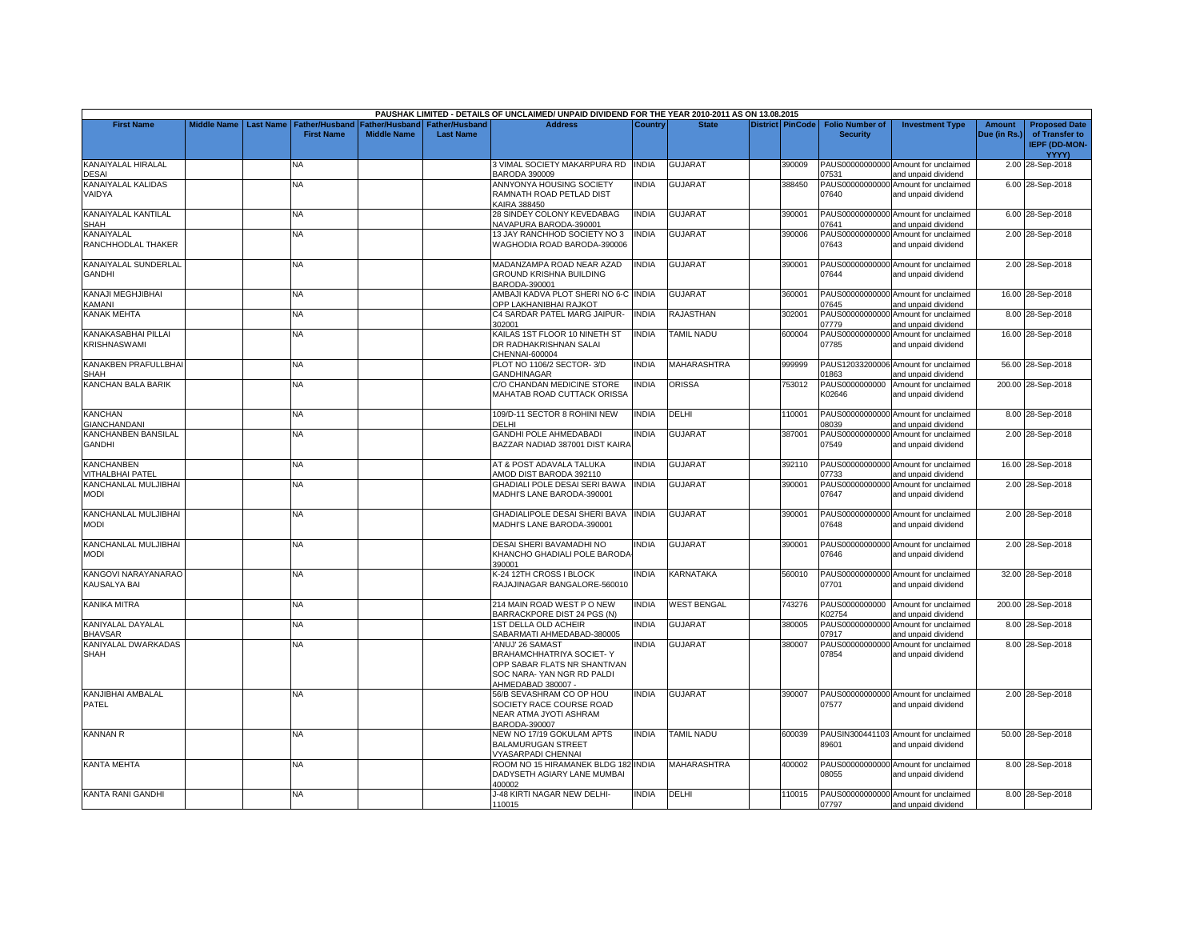|                                      |                    |                  |                                            |                    |                                                   | PAUSHAK LIMITED - DETAILS OF UNCLAIMED/ UNPAID DIVIDEND FOR THE YEAR 2010-2011 AS ON 13.08.2015                                  |              |                    |                         |                                           |                                                             |                        |                                        |
|--------------------------------------|--------------------|------------------|--------------------------------------------|--------------------|---------------------------------------------------|----------------------------------------------------------------------------------------------------------------------------------|--------------|--------------------|-------------------------|-------------------------------------------|-------------------------------------------------------------|------------------------|----------------------------------------|
| <b>First Name</b>                    | <b>Middle Name</b> | <b>Last Name</b> | <b>Father/Husband</b><br><b>First Name</b> | <b>Middle Name</b> | Father/Husband Father/Husband<br><b>Last Name</b> | <b>Address</b>                                                                                                                   | Country      | <b>State</b>       | <b>District PinCode</b> | <b>Folio Number of</b><br><b>Security</b> | <b>Investment Type</b>                                      | Amount<br>Due (in Rs.) | <b>Proposed Date</b><br>of Transfer to |
|                                      |                    |                  |                                            |                    |                                                   |                                                                                                                                  |              |                    |                         |                                           |                                                             |                        | <b>IEPF (DD-MON-</b><br><b>YYYY)</b>   |
| KANAIYALAL HIRALAL<br>DESAI          |                    |                  | NA                                         |                    |                                                   | 3 VIMAL SOCIETY MAKARPURA RD<br><b>BARODA 390009</b>                                                                             | <b>INDIA</b> | <b>GUJARAT</b>     | 390009                  | 7531                                      | PAUS00000000000 Amount for unclaimed<br>and unpaid dividend |                        | 2.00 28-Sep-2018                       |
| KANAIYALAL KALIDAS<br>VAIDYA         |                    |                  | NΑ                                         |                    |                                                   | ANNYONYA HOUSING SOCIETY<br>RAMNATH ROAD PETLAD DIST<br>KAIRA 388450                                                             | <b>INDIA</b> | <b>GUJARAT</b>     | 388450                  | 07640                                     | PAUS00000000000 Amount for unclaimed<br>and unpaid dividend |                        | 6.00 28-Sep-2018                       |
| KANAIYALAL KANTILAL<br>SHAH          |                    |                  | NA                                         |                    |                                                   | 28 SINDEY COLONY KEVEDABAG<br>NAVAPURA BARODA-390001                                                                             | INDIA        | <b>GUJARAT</b>     | 390001                  | 07641                                     | PAUS00000000000 Amount for unclaimed<br>and unpaid dividend |                        | 6.00 28-Sep-2018                       |
| KANAIYALAL<br>RANCHHODLAL THAKER     |                    |                  | NΑ                                         |                    |                                                   | 13 JAY RANCHHOD SOCIETY NO 3<br>WAGHODIA ROAD BARODA-390006                                                                      | <b>INDIA</b> | <b>GUJARAT</b>     | 390006                  | 07643                                     | PAUS00000000000 Amount for unclaimed<br>and unpaid dividend |                        | 2.00 28-Sep-2018                       |
| KANAIYALAL SUNDERLAL<br>GANDHI       |                    |                  | NA                                         |                    |                                                   | MADANZAMPA ROAD NEAR AZAD<br>GROUND KRISHNA BUILDING<br>BARODA-390001                                                            | INDIA        | <b>GUJARA1</b>     | 390001                  | 07644                                     | PAUS00000000000 Amount for unclaimed<br>and unpaid dividend |                        | 2.00 28-Sep-2018                       |
| KANAJI MEGHJIBHAI<br><b>CAMANI</b>   |                    |                  | NA.                                        |                    |                                                   | AMBAJI KADVA PLOT SHERI NO 6-C INDIA<br>OPP LAKHANIBHAI RAJKOT                                                                   |              | <b>GUJARAT</b>     | 360001                  | 07645                                     | PAUS00000000000 Amount for unclaimed<br>and unpaid dividend |                        | 16.00 28-Sep-2018                      |
| KANAK MEHTA                          |                    |                  | NA                                         |                    |                                                   | C4 SARDAR PATEL MARG JAIPUR-<br>302001                                                                                           | <b>INDIA</b> | <b>RAJASTHAN</b>   | 302001                  | )7779                                     | PAUS00000000000 Amount for unclaimed<br>and unpaid dividend |                        | 8.00 28-Sep-2018                       |
| KANAKASABHAI PILLAI<br>KRISHNASWAMI  |                    |                  | NΑ                                         |                    |                                                   | KAILAS 1ST FLOOR 10 NINETH ST<br>DR RADHAKRISHNAN SALAI<br>CHENNAI-600004                                                        | <b>INDIA</b> | <b>TAMIL NADU</b>  | 600004                  | 07785                                     | PAUS00000000000 Amount for unclaimed<br>and unpaid dividend |                        | 16.00 28-Sep-2018                      |
| KANAKBEN PRAFULLBHA<br>SHAH          |                    |                  | NA                                         |                    |                                                   | PLOT NO 1106/2 SECTOR-3/D<br><b>GANDHINAGAR</b>                                                                                  | india        | MAHARASHTRA        | 999999                  | 01863                                     | PAUS12033200006 Amount for unclaimed<br>and unpaid dividend |                        | 56.00 28-Sep-2018                      |
| KANCHAN BALA BARIK                   |                    |                  | <b>NA</b>                                  |                    |                                                   | C/O CHANDAN MEDICINE STORE<br>MAHATAB ROAD CUTTACK ORISSA                                                                        | <b>INDIA</b> | <b>ORISSA</b>      | 753012                  | K02646                                    | PAUS0000000000 Amount for unclaimed<br>and unpaid dividend  |                        | 200.00 28-Sep-2018                     |
| <b>KANCHAN</b><br>GIANCHANDANI       |                    |                  | NA                                         |                    |                                                   | 109/D-11 SECTOR 8 ROHINI NEW<br>DELHI                                                                                            | INDIA        | DELHI              | 110001                  | 08039                                     | PAUS00000000000 Amount for unclaimed<br>and unpaid dividend |                        | 8.00 28-Sep-2018                       |
| KANCHANBEN BANSILAL<br><b>GANDHI</b> |                    |                  | <b>NA</b>                                  |                    |                                                   | <b>GANDHI POLE AHMEDABADI</b><br>BAZZAR NADIAD 387001 DIST KAIRA                                                                 | <b>INDIA</b> | <b>GUJARAT</b>     | 387001                  | 07549                                     | PAUS00000000000 Amount for unclaimed<br>and unpaid dividend |                        | 2.00 28-Sep-2018                       |
| KANCHANBEN<br>VITHALBHAI PATEL       |                    |                  | NA                                         |                    |                                                   | AT & POST ADAVALA TALUKA<br>AMOD DIST BARODA 392110                                                                              | INDIA        | <b>GUJARAT</b>     | 392110                  | 07733                                     | PAUS00000000000 Amount for unclaimed<br>and unpaid dividend |                        | 16.00 28-Sep-2018                      |
| KANCHANLAL MULJIBHAI<br>MODI         |                    |                  | NA                                         |                    |                                                   | GHADIALI POLE DESAI SERI BAWA<br>MADHI'S LANE BARODA-390001                                                                      | INDIA        | <b>GUJARAT</b>     | 390001                  | 07647                                     | PAUS00000000000 Amount for unclaimed<br>and unpaid dividend |                        | 2.00 28-Sep-2018                       |
| KANCHANLAL MULJIBHAI<br><b>MODI</b>  |                    |                  | NA                                         |                    |                                                   | GHADIALIPOLE DESAI SHERI BAVA<br>MADHI'S LANE BARODA-390001                                                                      | <b>INDIA</b> | <b>GUJARAT</b>     | 390001                  | 07648                                     | PAUS00000000000 Amount for unclaimed<br>and unpaid dividend |                        | 2.00 28-Sep-2018                       |
| KANCHANLAL MULJIBHAI<br><b>MODI</b>  |                    |                  | NΑ                                         |                    |                                                   | DESAI SHERI BAVAMADHI NO<br>KHANCHO GHADIALI POLE BARODA<br>390001                                                               | India        | <b>GUJARAT</b>     | 390001                  | 07646                                     | PAUS00000000000 Amount for unclaimed<br>and unpaid dividend |                        | 2.00 28-Sep-2018                       |
| KANGOVI NARAYANARAO<br>KAUSALYA BAI  |                    |                  | NΑ                                         |                    |                                                   | K-24 12TH CROSS I BLOCK<br>RAJAJINAGAR BANGALORE-560010                                                                          | INDIA        | KARNATAKA          | 560010                  | 07701                                     | PAUS00000000000 Amount for unclaimed<br>and unpaid dividend |                        | 32.00 28-Sep-2018                      |
| KANIKA MITRA                         |                    |                  | NΑ                                         |                    |                                                   | 214 MAIN ROAD WEST PONEW<br>BARRACKPORE DIST 24 PGS (N)                                                                          | <b>INDIA</b> | <b>WEST BENGAL</b> | 743276                  | PAUS0000000000<br><b>K02754</b>           | Amount for unclaimed<br>and unpaid dividend                 |                        | 200.00 28-Sep-2018                     |
| KANIYALAL DAYALAL<br><b>BHAVSAR</b>  |                    |                  | <b>NA</b>                                  |                    |                                                   | <b>1ST DELLA OLD ACHEIR</b><br>SABARMATI AHMEDABAD-380005                                                                        | <b>INDIA</b> | <b>GUJARAT</b>     | 380005                  | PAUS00000000000<br>7917                   | Amount for unclaimed<br>and unpaid dividend                 |                        | 8.00 28-Sep-2018                       |
| KANIYALAL DWARKADAS<br>SHAH          |                    |                  | NA                                         |                    |                                                   | ANUJ' 26 SAMAST<br>BRAHAMCHHATRIYA SOCIET- Y<br>OPP SABAR FLATS NR SHANTIVAN<br>SOC NARA- YAN NGR RD PALDI<br>AHMEDABAD 380007 - | <b>INDIA</b> | <b>GUJARAT</b>     | 380007                  | 07854                                     | PAUS00000000000 Amount for unclaimed<br>and unpaid dividend |                        | 8.00 28-Sep-2018                       |
| KANJIBHAI AMBALAL<br>PATEL           |                    |                  | <b>NA</b>                                  |                    |                                                   | 56/B SEVASHRAM CO OP HOU<br>SOCIETY RACE COURSE ROAD<br>NEAR ATMA JYOTI ASHRAM<br>BARODA-390007                                  | <b>INDIA</b> | <b>GUJARAT</b>     | 390007                  | 07577                                     | PAUS00000000000 Amount for unclaimed<br>and unpaid dividend |                        | 2.00 28-Sep-2018                       |
| <b>KANNAN R</b>                      |                    |                  | <b>NA</b>                                  |                    |                                                   | NEW NO 17/19 GOKULAM APTS<br><b>BALAMURUGAN STREET</b><br>VYASARPADI CHENNAI                                                     | <b>INDIA</b> | <b>TAMIL NADU</b>  | 600039                  | 89601                                     | PAUSIN300441103 Amount for unclaimed<br>and unpaid dividend |                        | 50.00 28-Sep-2018                      |
| <b>KANTA MEHTA</b>                   |                    |                  | NA                                         |                    |                                                   | ROOM NO 15 HIRAMANEK BLDG 182 INDIA<br>DADYSETH AGIARY LANE MUMBAI<br>100002                                                     |              | MAHARASHTRA        | 400002                  | 08055                                     | PAUS00000000000 Amount for unclaimed<br>and unpaid dividend |                        | 8.00 28-Sep-2018                       |
| KANTA RANI GANDHI                    |                    |                  | <b>NA</b>                                  |                    |                                                   | J-48 KIRTI NAGAR NEW DELHI-<br>110015                                                                                            | <b>INDIA</b> | DELHI              | 110015                  | 07797                                     | PAUS00000000000 Amount for unclaimed<br>and unpaid dividend |                        | 8.00 28-Sep-2018                       |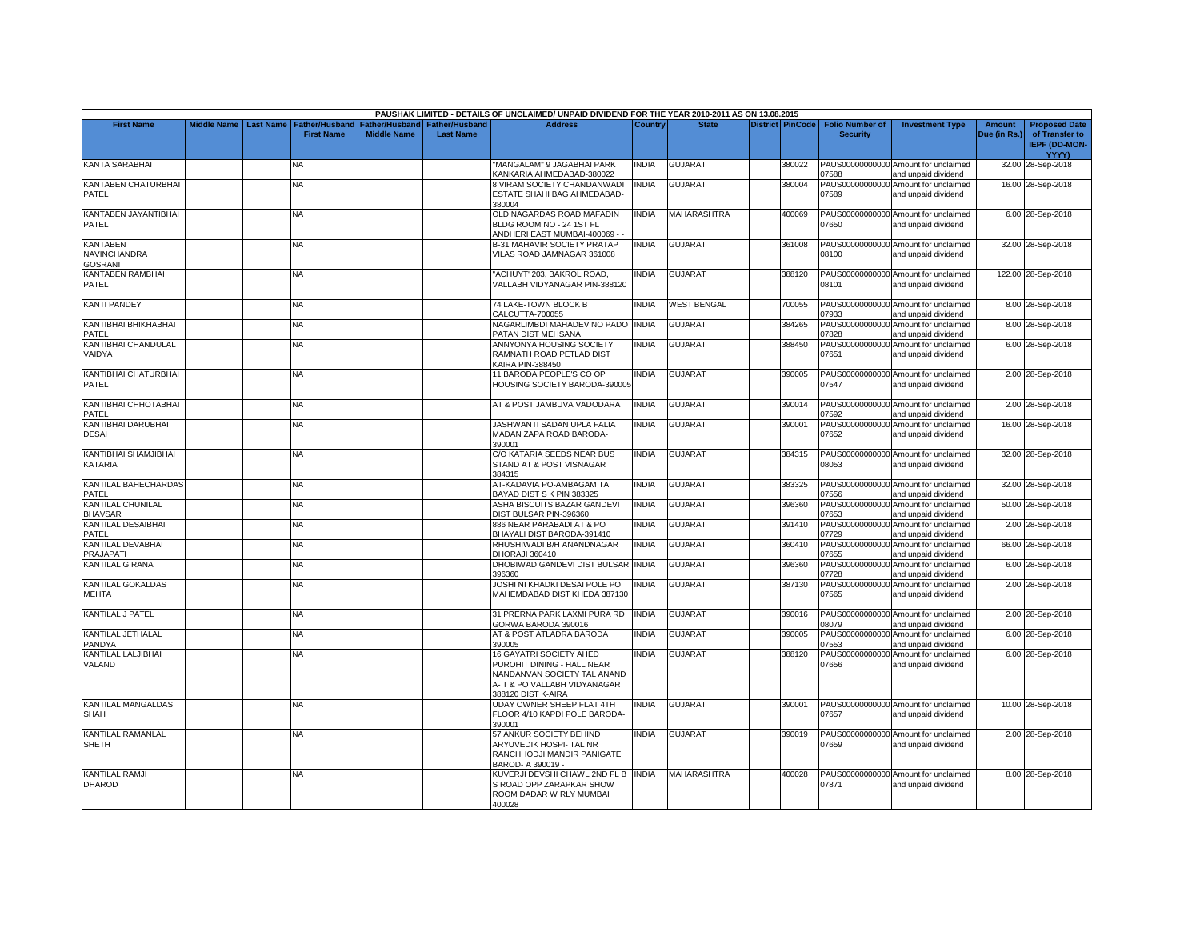|                                     |                    |           |                       |                    |                       | PAUSHAK LIMITED - DETAILS OF UNCLAIMED/ UNPAID DIVIDEND FOR THE YEAR 2010-2011 AS ON 13.08.2015 |                |                    |                         |                          |                                                             |               |                                        |
|-------------------------------------|--------------------|-----------|-----------------------|--------------------|-----------------------|-------------------------------------------------------------------------------------------------|----------------|--------------------|-------------------------|--------------------------|-------------------------------------------------------------|---------------|----------------------------------------|
| <b>First Name</b>                   | <b>Middle Name</b> | Last Name | <b>Father/Husband</b> | Father/Husband     | <b>Father/Husband</b> | <b>Address</b>                                                                                  | <b>Country</b> | <b>State</b>       | <b>District PinCode</b> | <b>Folio Number of</b>   | <b>Investment Type</b>                                      | <b>Amount</b> | <b>Proposed Date</b>                   |
|                                     |                    |           | <b>First Name</b>     | <b>Middle Name</b> | <b>Last Name</b>      |                                                                                                 |                |                    |                         | <b>Security</b>          |                                                             | Due (in Rs.)  | of Transfer to<br><b>IEPF (DD-MON-</b> |
|                                     |                    |           |                       |                    |                       |                                                                                                 |                |                    |                         |                          |                                                             |               | <b>YYYY)</b>                           |
| <b>KANTA SARABHAI</b>               |                    |           | NA                    |                    |                       | "MANGALAM" 9 JAGABHAI PARK<br>KANKARIA AHMEDABAD-380022                                         | INDIA          | <b>GUJARAT</b>     | 380022                  | 07588                    | PAUS00000000000 Amount for unclaimed<br>and unpaid dividend |               | 32.00 28-Sep-2018                      |
| KANTABEN CHATURBHAI                 |                    |           | NA                    |                    |                       | 8 VIRAM SOCIETY CHANDANWADI                                                                     | <b>NDIA</b>    | <b>GUJARAT</b>     | 380004                  |                          | PAUS00000000000 Amount for unclaimed                        |               | 16.00 28-Sep-2018                      |
| PATEL                               |                    |           |                       |                    |                       | ESTATE SHAHI BAG AHMEDABAD-<br>380004                                                           |                |                    |                         | 07589                    | and unpaid dividend                                         |               |                                        |
| KANTABEN JAYANTIBHAI                |                    |           | NA                    |                    |                       | OLD NAGARDAS ROAD MAFADIN                                                                       | INDIA          | MAHARASHTRA        | 400069                  |                          | PAUS00000000000 Amount for unclaimed                        |               | 6.00 28-Sep-2018                       |
| PATEL                               |                    |           |                       |                    |                       | BLDG ROOM NO - 24 1ST FL<br>ANDHERI EAST MUMBAI-400069 -                                        |                |                    |                         | 07650                    | and unpaid dividend                                         |               |                                        |
| <b>KANTABEN</b>                     |                    |           | NΑ                    |                    |                       | B-31 MAHAVIR SOCIETY PRATAP                                                                     | <b>INDIA</b>   | <b>GUJARAT</b>     | 361008                  |                          | PAUS00000000000 Amount for unclaimed                        |               | 32.00 28-Sep-2018                      |
| NAVINCHANDRA                        |                    |           |                       |                    |                       | VILAS ROAD JAMNAGAR 361008                                                                      |                |                    |                         | 08100                    | and unpaid dividend                                         |               |                                        |
| GOSRANI                             |                    |           |                       |                    |                       |                                                                                                 |                |                    |                         |                          |                                                             |               |                                        |
| KANTABEN RAMBHAI                    |                    |           | <b>NA</b>             |                    |                       | "ACHUYT' 203. BAKROL ROAD.                                                                      | <b>INDIA</b>   | <b>GUJARAT</b>     | 388120                  |                          | PAUS00000000000 Amount for unclaimed                        |               | 122.00 28-Sep-2018                     |
| PATEL                               |                    |           |                       |                    |                       | VALLABH VIDYANAGAR PIN-388120                                                                   |                |                    |                         | 08101                    | and unpaid dividend                                         |               |                                        |
| <b>KANTI PANDEY</b>                 |                    |           | <b>NA</b>             |                    |                       | 74 LAKE-TOWN BLOCK B                                                                            | <b>NDIA</b>    | <b>WEST BENGAL</b> | 700055                  |                          | PAUS00000000000 Amount for unclaimed                        |               | 8.00 28-Sep-2018                       |
|                                     |                    |           |                       |                    |                       | CALCUTTA-700055                                                                                 |                |                    |                         | 07933                    | and unpaid dividend                                         |               |                                        |
| KANTIBHAI BHIKHABHAI<br>PATEL       |                    |           | <b>NA</b>             |                    |                       | NAGARLIMBDI MAHADEV NO PADO<br>PATAN DIST MEHSANA                                               | <b>INDIA</b>   | <b>GUJARAT</b>     | 384265                  | PAUS00000000000<br>07828 | Amount for unclaimed<br>and unpaid dividend                 |               | 8.00 28-Sep-2018                       |
| KANTIBHAI CHANDULAL                 |                    |           | <b>NA</b>             |                    |                       | ANNYONYA HOUSING SOCIETY                                                                        | <b>NDIA</b>    | <b>GUJARAT</b>     | 388450                  | PAUS00000000000          | Amount for unclaimed                                        |               | 6.00 28-Sep-2018                       |
| VAIDYA                              |                    |           |                       |                    |                       | RAMNATH ROAD PETLAD DIST<br><b>KAIRA PIN-388450</b>                                             |                |                    |                         | 07651                    | and unpaid dividend                                         |               |                                        |
| KANTIBHAI CHATURBHAI                |                    |           | <b>NA</b>             |                    |                       | 11 BARODA PEOPLE'S CO OP                                                                        | <b>NDIA</b>    | <b>GUJARAT</b>     | 390005                  |                          | PAUS00000000000 Amount for unclaimed                        |               | 2.00 28-Sep-2018                       |
| PATEL                               |                    |           |                       |                    |                       | HOUSING SOCIETY BARODA-390005                                                                   |                |                    |                         | 07547                    | and unpaid dividend                                         |               |                                        |
| KANTIBHAI CHHOTABHAI                |                    |           | <b>NA</b>             |                    |                       | AT & POST JAMBUVA VADODARA                                                                      | <b>INDIA</b>   | <b>GUJARAT</b>     | 390014                  |                          | PAUS00000000000 Amount for unclaimed                        |               | 2.00 28-Sep-2018                       |
| PATEL<br>KANTIBHAI DARUBHAI         |                    |           | <b>NA</b>             |                    |                       | JASHWANTI SADAN UPLA FALIA                                                                      | <b>INDIA</b>   | <b>GUJARAT</b>     | 390001                  | 07592<br>PAUS00000000000 | and unpaid dividend                                         |               | 16.00 28-Sep-2018                      |
| DESAI                               |                    |           |                       |                    |                       | MADAN ZAPA ROAD BARODA-                                                                         |                |                    |                         | 07652                    | Amount for unclaimed<br>and unpaid dividend                 |               |                                        |
|                                     |                    |           |                       |                    |                       | 390001                                                                                          |                |                    |                         |                          |                                                             |               |                                        |
| KANTIBHAI SHAMJIBHAI                |                    |           | NA                    |                    |                       | C/O KATARIA SEEDS NEAR BUS                                                                      | <b>INDIA</b>   | <b>GUJARAT</b>     | 384315                  |                          | PAUS00000000000 Amount for unclaimed                        |               | 32.00 28-Sep-2018                      |
| KATARIA                             |                    |           |                       |                    |                       | STAND AT & POST VISNAGAR                                                                        |                |                    |                         | 08053                    | and unpaid dividend                                         |               |                                        |
| KANTILAL BAHECHARDAS                |                    |           | NΑ                    |                    |                       | 384315<br>AT-KADAVIA PO-AMBAGAM TA                                                              | <b>NDIA</b>    | <b>GUJARAT</b>     | 383325                  |                          | PAUS00000000000 Amount for unclaimed                        |               |                                        |
| PATEL                               |                    |           |                       |                    |                       | BAYAD DIST S K PIN 383325                                                                       |                |                    |                         | 07556                    | and unpaid dividend                                         |               | 32.00 28-Sep-2018                      |
| KANTILAL CHUNILAL<br><b>BHAVSAR</b> |                    |           | <b>NA</b>             |                    |                       | ASHA BISCUITS BAZAR GANDEVI<br>DIST BULSAR PIN-396360                                           | <b>INDIA</b>   | <b>GUJARAT</b>     | 396360                  | 07653                    | PAUS00000000000 Amount for unclaimed<br>and unpaid dividend |               | 50.00 28-Sep-2018                      |
| KANTILAL DESAIBHAI                  |                    |           | NA                    |                    |                       | 886 NEAR PARABADI AT & PO                                                                       | <b>INDIA</b>   | GUJARAT            | 391410                  | PAUS00000000000          | Amount for unclaimed                                        |               | 2.00 28-Sep-2018                       |
| PATEL                               |                    |           |                       |                    |                       | BHAYALI DIST BARODA-391410                                                                      |                |                    |                         | 07729                    | and unpaid dividend                                         |               |                                        |
| KANTILAL DEVABHAI                   |                    |           | <b>NA</b>             |                    |                       | RHUSHIWADI B/H ANANDNAGAR                                                                       | <b>INDIA</b>   | <b>GUJARAT</b>     | 360410                  |                          | PAUS00000000000 Amount for unclaimed                        |               | 66.00 28-Sep-2018                      |
| PRAJAPATI                           |                    |           |                       |                    |                       | DHORAJI 360410                                                                                  |                |                    |                         | 07655                    | and unpaid dividend                                         |               |                                        |
| KANTILAL G RANA                     |                    |           | NA                    |                    |                       | DHOBIWAD GANDEVI DIST BULSAR INDIA<br>396360                                                    |                | <b>GUJARAT</b>     | 396360                  | PAUS00000000000<br>07728 | Amount for unclaimed<br>and unpaid dividend                 |               | 6.00 28-Sep-2018                       |
| KANTILAL GOKALDAS                   |                    |           | <b>NA</b>             |                    |                       | JOSHI NI KHADKI DESAI POLE PO                                                                   | <b>INDIA</b>   | <b>GUJARAT</b>     | 387130                  | PAUS00000000000          | Amount for unclaimed                                        |               | 2.00 28-Sep-2018                       |
| MEHTA                               |                    |           |                       |                    |                       | MAHEMDABAD DIST KHEDA 387130                                                                    |                |                    |                         | 07565                    | and unpaid dividend                                         |               |                                        |
| KANTILAL J PATEL                    |                    |           | <b>NA</b>             |                    |                       | 31 PRERNA PARK LAXMI PURA RD                                                                    | INDIA          | <b>GUJARAT</b>     | 390016                  |                          | PAUS00000000000 Amount for unclaimed                        |               | 2.00 28-Sep-2018                       |
|                                     |                    |           |                       |                    |                       | GORWA BARODA 390016                                                                             |                |                    |                         | 08079                    | and unpaid dividend                                         |               |                                        |
| KANTILAL JETHALAL<br>PANDYA         |                    |           | NA                    |                    |                       | AT & POST ATLADRA BARODA<br>390005                                                              | INDIA          | <b>GUJARAT</b>     | 390005                  | PAUS00000000000<br>07553 | Amount for unclaimed<br>and unpaid dividend                 |               | 6.00 28-Sep-2018                       |
| KANTILAL LALJIBHAI                  |                    |           | <b>NA</b>             |                    |                       | 16 GAYATRI SOCIETY AHED                                                                         | <b>INDIA</b>   | <b>GUJARAT</b>     | 388120                  | PAUS00000000000          | Amount for unclaimed                                        |               | 6.00 28-Sep-2018                       |
| VALAND                              |                    |           |                       |                    |                       | PUROHIT DINING - HALL NEAR                                                                      |                |                    |                         | 07656                    | and unpaid dividend                                         |               |                                        |
|                                     |                    |           |                       |                    |                       | NANDANVAN SOCIETY TAL ANAND                                                                     |                |                    |                         |                          |                                                             |               |                                        |
|                                     |                    |           |                       |                    |                       | A- T & PO VALLABH VIDYANAGAR                                                                    |                |                    |                         |                          |                                                             |               |                                        |
| KANTILAL MANGALDAS                  |                    |           |                       |                    |                       | 388120 DIST K-AIRA                                                                              | <b>INDIA</b>   | <b>GUJARAT</b>     |                         |                          |                                                             |               | 10.00 28-Sep-2018                      |
| SHAH                                |                    |           | <b>NA</b>             |                    |                       | UDAY OWNER SHEEP FLAT 4TH<br>FLOOR 4/10 KAPDI POLE BARODA-                                      |                |                    | 390001                  | PAUS00000000000<br>07657 | Amount for unclaimed<br>and unpaid dividend                 |               |                                        |
|                                     |                    |           |                       |                    |                       | 390001                                                                                          |                |                    |                         |                          |                                                             |               |                                        |
| KANTILAL RAMANLAL                   |                    |           | <b>NA</b>             |                    |                       | 57 ANKUR SOCIETY BEHIND                                                                         | <b>INDIA</b>   | <b>GUJARAT</b>     | 390019                  |                          | PAUS00000000000 Amount for unclaimed                        |               | 2.00 28-Sep-2018                       |
| SHETH                               |                    |           |                       |                    |                       | ARYUVEDIK HOSPI- TAL NR<br>RANCHHODJI MANDIR PANIGATE                                           |                |                    |                         | 07659                    | and unpaid dividend                                         |               |                                        |
|                                     |                    |           |                       |                    |                       | BAROD- A 390019 -                                                                               |                |                    |                         |                          |                                                             |               |                                        |
| KANTILAL RAMJI                      |                    |           | <b>NA</b>             |                    |                       | KUVERJI DEVSHI CHAWL 2ND FL B INDIA                                                             |                | <b>MAHARASHTRA</b> | 400028                  |                          | PAUS00000000000 Amount for unclaimed                        |               | 8.00 28-Sep-2018                       |
| <b>DHAROD</b>                       |                    |           |                       |                    |                       | S ROAD OPP ZARAPKAR SHOW                                                                        |                |                    |                         | 07871                    | and unpaid dividend                                         |               |                                        |
|                                     |                    |           |                       |                    |                       | ROOM DADAR W RLY MUMBAI                                                                         |                |                    |                         |                          |                                                             |               |                                        |
|                                     |                    |           |                       |                    |                       | 400028                                                                                          |                |                    |                         |                          |                                                             |               |                                        |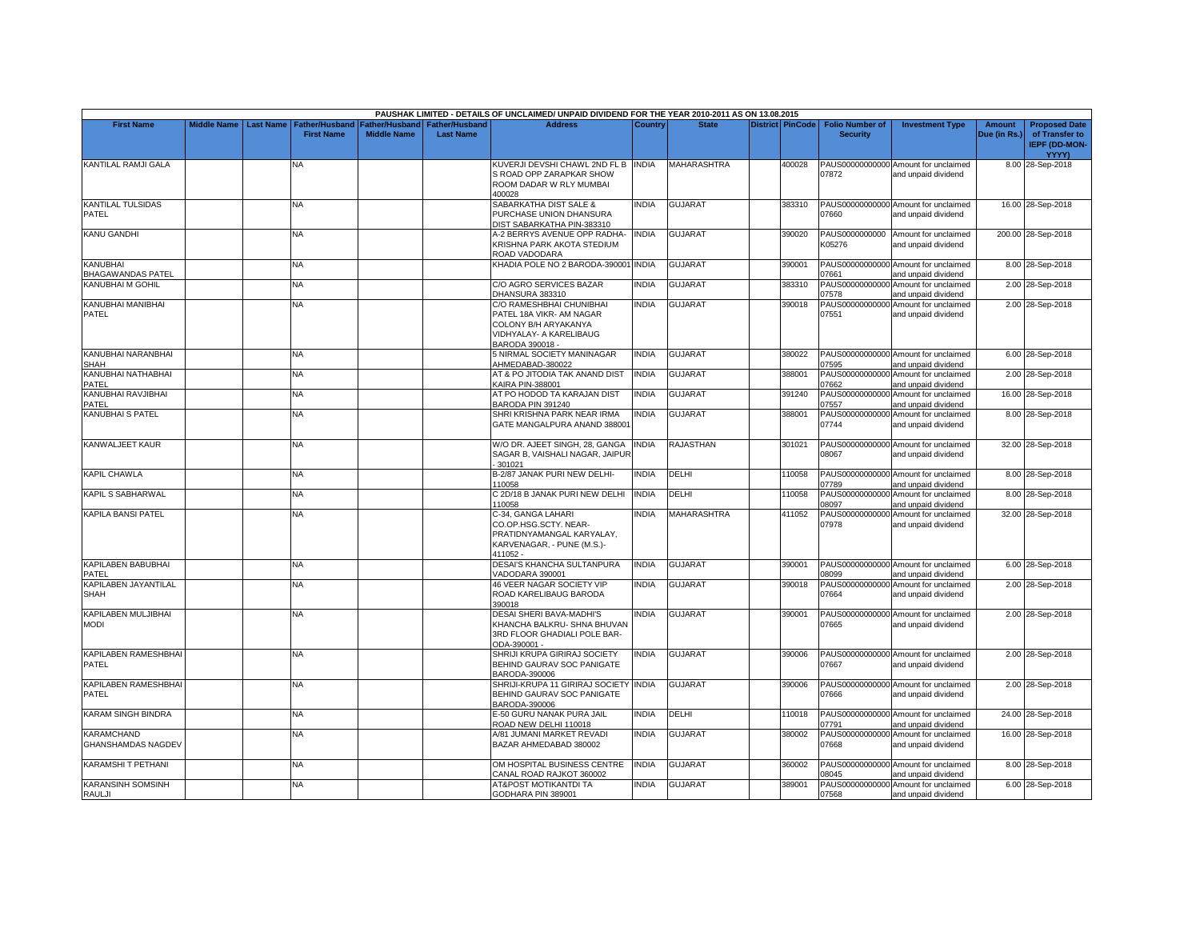|                                                |                    |                  |                                            |                                      |                                           | PAUSHAK LIMITED - DETAILS OF UNCLAIMED/ UNPAID DIVIDEND FOR THE YEAR 2010-2011 AS ON 13.08.2015                          |              |                |                         |                                           |                                                             |                               |                                                                         |
|------------------------------------------------|--------------------|------------------|--------------------------------------------|--------------------------------------|-------------------------------------------|--------------------------------------------------------------------------------------------------------------------------|--------------|----------------|-------------------------|-------------------------------------------|-------------------------------------------------------------|-------------------------------|-------------------------------------------------------------------------|
| <b>First Name</b>                              | <b>Middle Name</b> | <b>Last Name</b> | <b>Father/Husband</b><br><b>First Name</b> | Father/Husband<br><b>Middle Name</b> | <b>Father/Husband</b><br><b>Last Name</b> | <b>Address</b>                                                                                                           | Country      | <b>State</b>   | <b>District PinCode</b> | <b>Folio Number of</b><br><b>Security</b> | <b>Investment Type</b>                                      | <b>Amount</b><br>Due (in Rs.) | <b>Proposed Date</b><br>of Transfer to<br><b>IEPF (DD-MON-</b><br>YYYY) |
| <b>KANTILAL RAMJI GALA</b>                     |                    |                  | N٨                                         |                                      |                                           | KUVERJI DEVSHI CHAWL 2ND FL B INDIA<br>S ROAD OPP ZARAPKAR SHOW<br>ROOM DADAR W RLY MUMBAI<br>400028                     |              | MAHARASHTRA    | 400028                  | 07872                                     | PAUS00000000000 Amount for unclaimed<br>and unpaid dividend |                               | 8.00 28-Sep-2018                                                        |
| <b>KANTILAL TULSIDAS</b><br>PATEL              |                    |                  | <b>NA</b>                                  |                                      |                                           | SABARKATHA DIST SALE &<br>PURCHASE UNION DHANSURA<br>DIST SABARKATHA PIN-383310                                          | <b>INDIA</b> | <b>GUJARAT</b> | 383310                  | 07660                                     | PAUS00000000000 Amount for unclaimed<br>and unpaid dividend |                               | 16.00 28-Sep-2018                                                       |
| <b>KANU GANDHI</b>                             |                    |                  | NA                                         |                                      |                                           | A-2 BERRYS AVENUE OPP RADHA-<br>KRISHNA PARK AKOTA STEDIUM<br>ROAD VADODARA                                              | <b>INDIA</b> | GUJARAT        | 390020                  | PAUS0000000000<br>K05276                  | Amount for unclaimed<br>and unpaid dividend                 |                               | 200.00 28-Sep-2018                                                      |
| <b>KANUBHAI</b><br><b>BHAGAWANDAS PATEL</b>    |                    |                  | NA                                         |                                      |                                           | KHADIA POLE NO 2 BARODA-390001 INDIA                                                                                     |              | <b>GUJARAT</b> | 390001                  | 07661                                     | PAUS00000000000 Amount for unclaimed<br>nd unpaid dividend  |                               | 8.00 28-Sep-2018                                                        |
| <b>KANUBHAI M GOHIL</b>                        |                    |                  | NA                                         |                                      |                                           | C/O AGRO SERVICES BAZAR<br>DHANSURA 383310                                                                               | <b>INDIA</b> | <b>GUJARAT</b> | 383310                  | PAUS00000000000<br>07578                  | Amount for unclaimed<br>and unpaid dividend                 |                               | 2.00 28-Sep-2018                                                        |
| KANUBHAI MANIBHAI<br><b>PATEL</b>              |                    |                  | NA                                         |                                      |                                           | C/O RAMESHBHAI CHUNIBHAI<br>PATEL 18A VIKR- AM NAGAR<br>COLONY B/H ARYAKANYA<br>VIDHYALAY- A KARELIBAUG<br>BARODA 390018 | <b>INDIA</b> | <b>GUJARAT</b> | 390018                  | 07551                                     | PAUS00000000000 Amount for unclaimed<br>and unpaid dividend |                               | 2.00 28-Sep-2018                                                        |
| KANUBHAI NARANBHAI<br><b>SHAH</b>              |                    |                  | NA                                         |                                      |                                           | 5 NIRMAL SOCIETY MANINAGAR<br>AHMEDABAD-380022                                                                           | <b>INDIA</b> | GUJARAT        | 380022                  | 07595                                     | PAUS00000000000 Amount for unclaimed<br>and unpaid dividend |                               | 6.00 28-Sep-2018                                                        |
| KANUBHAI NATHABHAI<br>PATEL                    |                    |                  | NA.                                        |                                      |                                           | AT & PO JITODIA TAK ANAND DIST<br><b>KAIRA PIN-388001</b>                                                                | <b>INDIA</b> | GUJARAT        | 388001                  | 07662                                     | PAUS00000000000 Amount for unclaimed<br>and unpaid dividend |                               | 2.00 28-Sep-2018                                                        |
| KANUBHAI RAVJIBHAI<br>PATEL                    |                    |                  | <b>NA</b>                                  |                                      |                                           | AT PO HODOD TA KARAJAN DIST<br><b>BARODA PIN 391240</b>                                                                  | <b>INDIA</b> | <b>GUJARAT</b> | 391240                  | 07557                                     | PAUS00000000000 Amount for unclaimed<br>and unpaid dividend |                               | 16.00 28-Sep-2018                                                       |
| <b>KANUBHAI S PATEL</b>                        |                    |                  | NA                                         |                                      |                                           | SHRI KRISHNA PARK NEAR IRMA<br>GATE MANGALPURA ANAND 388001                                                              | INDIA        | <b>GUJARAT</b> | 388001                  | 07744                                     | PAUS00000000000 Amount for unclaimed<br>and unpaid dividend |                               | 8.00 28-Sep-2018                                                        |
| KANWALJEET KAUR                                |                    |                  | NA.                                        |                                      |                                           | W/O DR. AJEET SINGH, 28, GANGA<br>SAGAR B, VAISHALI NAGAR, JAIPUR<br>301021                                              | <b>INDIA</b> | RAJASTHAN      | 301021                  | 08067                                     | PAUS00000000000 Amount for unclaimed<br>and unpaid dividend |                               | 32.00 28-Sep-2018                                                       |
| <b>KAPIL CHAWLA</b>                            |                    |                  | NA.                                        |                                      |                                           | B-2/87 JANAK PURI NEW DELHI-<br>110058                                                                                   | <b>INDIA</b> | DELHI          | 110058                  | 07789                                     | PAUS00000000000 Amount for unclaimed<br>and unpaid dividend |                               | 8.00 28-Sep-2018                                                        |
| <b>KAPIL S SABHARWAL</b>                       |                    |                  | NA                                         |                                      |                                           | C 2D/18 B JANAK PURI NEW DELHI<br>110058                                                                                 | <b>INDIA</b> | DELHI          | 110058                  | 08097                                     | PAUS00000000000 Amount for unclaimed<br>and unpaid dividend |                               | 8.00 28-Sep-2018                                                        |
| <b>KAPILA BANSI PATEL</b>                      |                    |                  | NA                                         |                                      |                                           | C-34, GANGA LAHARI<br>CO.OP.HSG.SCTY. NEAR-<br>PRATIDNYAMANGAL KARYALAY,<br>KARVENAGAR, - PUNE (M.S.)-<br>411052-        | INDIA        | MAHARASHTRA    | 411052                  | 07978                                     | PAUS00000000000 Amount for unclaimed<br>and unpaid dividend |                               | 32.00 28-Sep-2018                                                       |
| KAPILABEN BABUBHAI<br>PATEL                    |                    |                  | NA                                         |                                      |                                           | DESAI'S KHANCHA SULTANPURA<br>VADODARA 390001                                                                            | <b>INDIA</b> | <b>GUJARAT</b> | 390001                  | 08099                                     | PAUS00000000000 Amount for unclaimed<br>and unpaid dividend |                               | 6.00 28-Sep-2018                                                        |
| <b>KAPILABEN JAYANTILAL</b><br><b>SHAH</b>     |                    |                  | NA                                         |                                      |                                           | <b>46 VEER NAGAR SOCIETY VIP</b><br>ROAD KARELIBAUG BARODA<br>390018                                                     | <b>INDIA</b> | <b>GUJARAT</b> | 390018                  | 07664                                     | PAUS00000000000 Amount for unclaimed<br>and unpaid dividend |                               | 2.00 28-Sep-2018                                                        |
| <b>KAPILABEN MULJIBHAI</b><br><b>MODI</b>      |                    |                  | NA                                         |                                      |                                           | DESAI SHERI BAVA-MADHI'S<br>KHANCHA BALKRU- SHNA BHUVAN<br>3RD FLOOR GHADIALI POLE BAR-<br>ODA-390001 -                  | INDIA        | <b>GUJARAT</b> | 390001                  | 07665                                     | PAUS00000000000 Amount for unclaimed<br>and unpaid dividend |                               | 2.00 28-Sep-2018                                                        |
| KAPILABEN RAMESHBHAI<br>PATEL                  |                    |                  | NA.                                        |                                      |                                           | SHRIJI KRUPA GIRIRAJ SOCIETY<br>BEHIND GAURAV SOC PANIGATE<br>BARODA-390006                                              | <b>INDIA</b> | <b>GUJARAT</b> | 390006                  | 07667                                     | PAUS00000000000 Amount for unclaimed<br>and unpaid dividend |                               | 2.00 28-Sep-2018                                                        |
| KAPILABEN RAMESHBHAI<br>PATEL                  |                    |                  | NA.                                        |                                      |                                           | SHRIJI-KRUPA 11 GIRIRAJ SOCIETY INDIA<br>BEHIND GAURAV SOC PANIGATE<br>BARODA-390006                                     |              | GUJARAT        | 390006                  | 07666                                     | PAUS00000000000 Amount for unclaimed<br>and unpaid dividend |                               | 2.00 28-Sep-2018                                                        |
| <b>KARAM SINGH BINDRA</b>                      |                    |                  | NA                                         |                                      |                                           | E-50 GURU NANAK PURA JAIL<br>ROAD NEW DELHI 110018                                                                       | INDIA        | DELHI          | 110018                  | 07791                                     | PAUS00000000000 Amount for unclaimed<br>and unpaid dividend |                               | 24.00 28-Sep-2018                                                       |
| <b>KARAMCHAND</b><br><b>GHANSHAMDAS NAGDEV</b> |                    |                  | NA.                                        |                                      |                                           | A/81 JUMANI MARKET REVADI<br>BAZAR AHMEDABAD 380002                                                                      | <b>INDIA</b> | GUJARAT        | 380002                  | 07668                                     | PAUS00000000000 Amount for unclaimed<br>and unpaid dividend |                               | 16.00 28-Sep-2018                                                       |
| KARAMSHI T PETHANI                             |                    |                  | ΝA                                         |                                      |                                           | OM HOSPITAL BUSINESS CENTRE<br>CANAL ROAD RAJKOT 360002                                                                  | <b>INDIA</b> | <b>GUJARAT</b> | 360002                  | 08045                                     | PAUS00000000000 Amount for unclaimed<br>and unpaid dividend |                               | 8.00 28-Sep-2018                                                        |
| <b>KARANSINH SOMSINH</b><br>RAULJI             |                    |                  | NA                                         |                                      |                                           | AT&POST MOTIKANTDI TA<br>GODHARA PIN 389001                                                                              | <b>INDIA</b> | <b>GUJARAT</b> | 389001                  | 07568                                     | PAUS00000000000 Amount for unclaimed<br>and unpaid dividend |                               | 6.00 28-Sep-2018                                                        |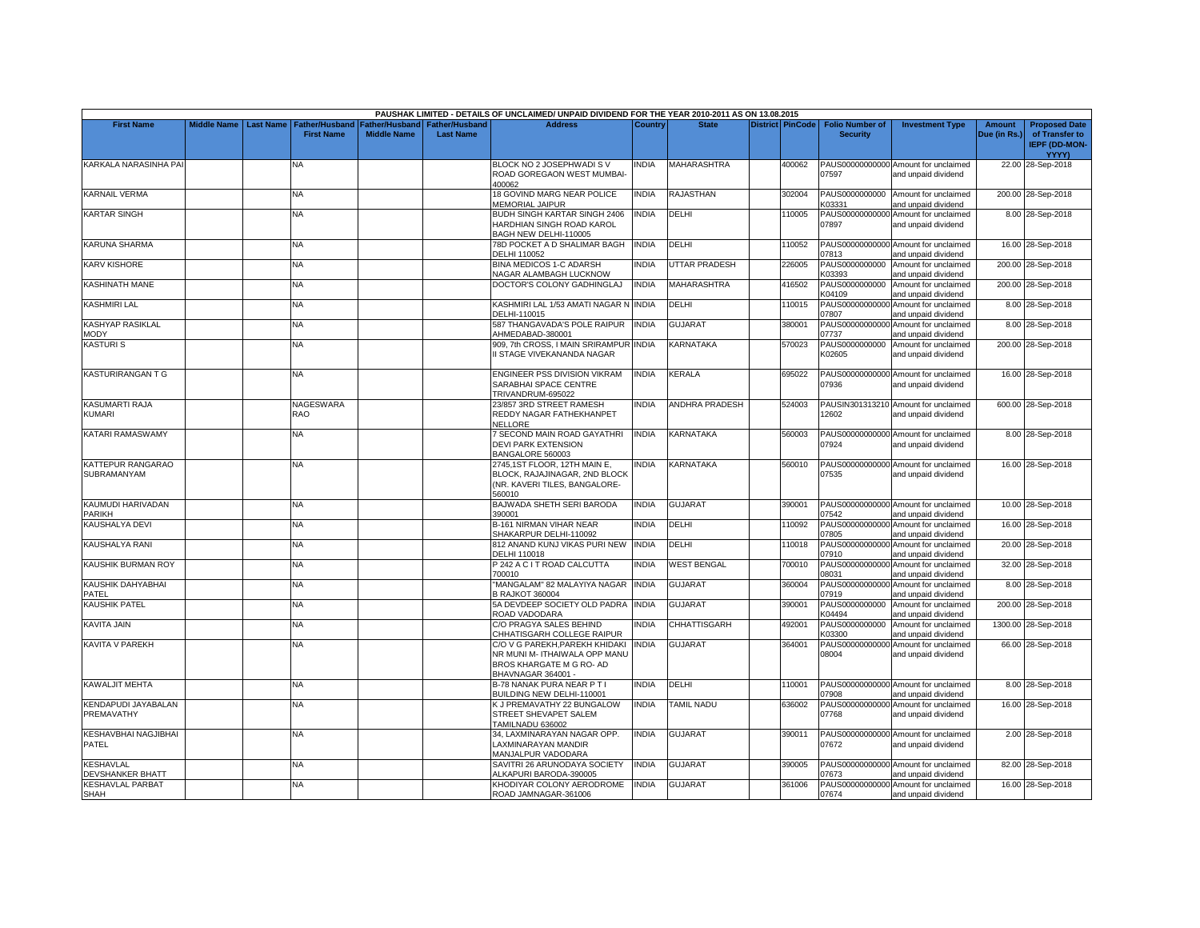|                                             |                    |                  |                                            |                                             |                                           | PAUSHAK LIMITED - DETAILS OF UNCLAIMED/ UNPAID DIVIDEND FOR THE YEAR 2010-2011 AS ON 13.08.2015                  |                |                       |                         |                                           |                                                             |                               |                                                                |
|---------------------------------------------|--------------------|------------------|--------------------------------------------|---------------------------------------------|-------------------------------------------|------------------------------------------------------------------------------------------------------------------|----------------|-----------------------|-------------------------|-------------------------------------------|-------------------------------------------------------------|-------------------------------|----------------------------------------------------------------|
| <b>First Name</b>                           | <b>Middle Name</b> | <b>Last Name</b> | <b>Father/Husband</b><br><b>First Name</b> | <b>Father/Husband</b><br><b>Middle Name</b> | <b>Father/Husband</b><br><b>Last Name</b> | <b>Address</b>                                                                                                   | <b>Country</b> | <b>State</b>          | <b>District PinCode</b> | <b>Folio Number of</b><br><b>Security</b> | <b>Investment Type</b>                                      | <b>Amount</b><br>Due (in Rs.) | <b>Proposed Date</b><br>of Transfer to<br><b>IEPF (DD-MON-</b> |
| KARKALA NARASINHA PAI                       |                    |                  | NA                                         |                                             |                                           | BLOCK NO 2 JOSEPHWADI S V<br>ROAD GOREGAON WEST MUMBAI<br>100062                                                 | INDIA          | MAHARASHTRA           | 400062                  | 07597                                     | PAUS00000000000 Amount for unclaimed<br>and unpaid dividend |                               | YYYY)<br>22.00 28-Sep-2018                                     |
| <b>KARNAIL VERMA</b>                        |                    |                  | NA.                                        |                                             |                                           | 18 GOVIND MARG NEAR POLICE<br>MEMORIAL JAIPUR                                                                    | <b>INDIA</b>   | RAJASTHAN             | 302004                  | PAUS0000000000<br>K03331                  | Amount for unclaimed<br>and unpaid dividend                 |                               | 200.00 28-Sep-2018                                             |
| <b>KARTAR SINGH</b>                         |                    |                  | NA                                         |                                             |                                           | BUDH SINGH KARTAR SINGH 2406<br>HARDHIAN SINGH ROAD KAROL<br>BAGH NEW DELHI-110005                               | <b>INDIA</b>   | DELHI                 | 110005                  | 07897                                     | PAUS00000000000 Amount for unclaimed<br>and unpaid dividend |                               | 8.00 28-Sep-2018                                               |
| <b>KARUNA SHARMA</b>                        |                    |                  | <b>NA</b>                                  |                                             |                                           | 78D POCKET A D SHALIMAR BAGH<br><b>DELHI 110052</b>                                                              | <b>INDIA</b>   | DELHI                 | 110052                  | 07813                                     | PAUS00000000000 Amount for unclaimed<br>and unpaid dividend |                               | 16.00 28-Sep-2018                                              |
| <b>KARV KISHORE</b>                         |                    |                  | NA                                         |                                             |                                           | BINA MEDICOS 1-C ADARSH<br><b>NAGAR ALAMBAGH LUCKNOW</b>                                                         | <b>INDIA</b>   | <b>UTTAR PRADESH</b>  | 226005                  | PAUS0000000000<br>K03393                  | Amount for unclaimed<br>and unpaid dividend                 |                               | 200.00 28-Sep-2018                                             |
| <b>KASHINATH MANE</b>                       |                    |                  | NA                                         |                                             |                                           | DOCTOR'S COLONY GADHINGLAJ                                                                                       | <b>INDIA</b>   | <b>MAHARASHTRA</b>    | 416502                  | PAUS0000000000<br>K04109                  | Amount for unclaimed<br>and unpaid dividend                 |                               | 200.00 28-Sep-2018                                             |
| <b>KASHMIRI LAL</b>                         |                    |                  | <b>NA</b>                                  |                                             |                                           | KASHMIRI LAL 1/53 AMATI NAGAR NINDIA<br>DELHI-110015                                                             |                | DELHI                 | 110015                  | 07807                                     | PAUS00000000000 Amount for unclaimed<br>and unpaid dividend |                               | 8.00 28-Sep-2018                                               |
| <b>KASHYAP RASIKLAL</b><br>MODY             |                    |                  | NΑ                                         |                                             |                                           | 587 THANGAVADA'S POLE RAIPUR<br>AHMEDABAD-380001                                                                 | <b>INDIA</b>   | GUJARAT               | 380001                  | PAUS00000000000<br>07737                  | Amount for unclaimed<br>and unpaid dividend                 |                               | 8.00 28-Sep-2018                                               |
| <b>KASTURIS</b>                             |                    |                  | NA                                         |                                             |                                           | 909, 7th CROSS, I MAIN SRIRAMPUR INDIA<br>I STAGE VIVEKANANDA NAGAR                                              |                | KARNATAKA             | 570023                  | PAUS0000000000<br>K02605                  | Amount for unclaimed<br>and unpaid dividend                 |                               | 200.00 28-Sep-2018                                             |
| <b>KASTURIRANGAN T G</b>                    |                    |                  | NA.                                        |                                             |                                           | ENGINEER PSS DIVISION VIKRAM<br>SARABHAI SPACE CENTRE<br>TRIVANDRUM-695022                                       | <b>INDIA</b>   | KERALA                | 695022                  | 07936                                     | PAUS00000000000 Amount for unclaimed<br>and unpaid dividend |                               | 16.00 28-Sep-2018                                              |
| <b>KASUMARTI RAJA</b><br><b>KUMARI</b>      |                    |                  | NAGESWARA<br>RAO                           |                                             |                                           | 23/857 3RD STREET RAMESH<br>REDDY NAGAR FATHEKHANPET<br>NELLORE                                                  | <b>INDIA</b>   | <b>ANDHRA PRADESH</b> | 524003                  | 12602                                     | PAUSIN301313210 Amount for unclaimed<br>and unpaid dividend |                               | 600.00 28-Sep-2018                                             |
| KATARI RAMASWAMY                            |                    |                  | NA.                                        |                                             |                                           | SECOND MAIN ROAD GAYATHRI<br><b>DEVI PARK EXTENSION</b><br>BANGALORE 560003                                      | <b>INDIA</b>   | <b>KARNATAKA</b>      | 560003                  | 07924                                     | PAUS00000000000 Amount for unclaimed<br>and unpaid dividend |                               | 8.00 28-Sep-2018                                               |
| <b>KATTEPUR RANGARAO</b><br>SUBRAMANYAM     |                    |                  | <b>NA</b>                                  |                                             |                                           | 2745,1ST FLOOR, 12TH MAIN E,<br>BLOCK, RAJAJINAGAR, 2ND BLOCK<br>(NR. KAVERI TILES, BANGALORE-<br>560010         | INDIA          | KARNATAKA             | 560010                  | 07535                                     | PAUS00000000000 Amount for unclaimed<br>and unpaid dividend |                               | 16.00 28-Sep-2018                                              |
| KAUMUDI HARIVADAN<br><b>PARIKH</b>          |                    |                  | NA                                         |                                             |                                           | BAJWADA SHETH SERI BARODA<br>390001                                                                              | <b>INDIA</b>   | <b>GUJARAT</b>        | 390001                  | 07542                                     | PAUS00000000000 Amount for unclaimed<br>and unpaid dividend |                               | 10.00 28-Sep-2018                                              |
| KAUSHALYA DEVI                              |                    |                  | NA.                                        |                                             |                                           | 3-161 NIRMAN VIHAR NEAR<br>SHAKARPUR DELHI-110092                                                                | <b>INDIA</b>   | DELHI                 | 110092                  | PAUS00000000000<br>07805                  | Amount for unclaimed<br>and unpaid dividend                 |                               | 16.00 28-Sep-2018                                              |
| KAUSHALYA RANI                              |                    |                  | <b>NA</b>                                  |                                             |                                           | 812 ANAND KUNJ VIKAS PURI NEW<br>DELHI 110018                                                                    | <b>INDIA</b>   | DELHI                 | 110018                  | PAUS00000000000<br>07910                  | Amount for unclaimed<br>and unpaid dividend                 |                               | 20.00 28-Sep-2018                                              |
| KAUSHIK BURMAN ROY                          |                    |                  | NA                                         |                                             |                                           | 242 A C I T ROAD CALCUTTA<br>700010                                                                              | <b>INDIA</b>   | <b>WEST BENGAL</b>    | 700010                  | PAUS00000000000<br>08031                  | Amount for unclaimed<br>and unpaid dividend                 |                               | 32.00 28-Sep-2018                                              |
| KAUSHIK DAHYABHAI<br>PATEL                  |                    |                  | <b>NA</b>                                  |                                             |                                           | 'MANGALAM" 82 MALAYIYA NAGAR<br><b>B RAJKOT 360004</b>                                                           | <b>INDIA</b>   | <b>GUJARAT</b>        | 360004                  | PAUS00000000000<br>07919                  | Amount for unclaimed<br>and unpaid dividend                 |                               | 8.00 28-Sep-2018                                               |
| <b>KAUSHIK PATEL</b>                        |                    |                  | NA                                         |                                             |                                           | 5A DEVDEEP SOCIETY OLD PADRA<br>ROAD VADODARA                                                                    | <b>INDIA</b>   | GUJARAT               | 390001                  | PAUS0000000000<br>K04494                  | Amount for unclaimed<br>and unpaid dividend                 |                               | 200.00 28-Sep-2018                                             |
| KAVITA JAIN                                 |                    |                  | NA                                         |                                             |                                           | C/O PRAGYA SALES BEHIND<br>CHHATISGARH COLLEGE RAIPUR                                                            | <b>INDIA</b>   | CHHATTISGARH          | 492001                  | PAUS0000000000<br>K03300                  | Amount for unclaimed<br>and unpaid dividend                 |                               | 1300.00 28-Sep-2018                                            |
| <b>KAVITA V PAREKH</b>                      |                    |                  | <b>NA</b>                                  |                                             |                                           | C/O V G PAREKH,PAREKH KHIDAKI<br>NR MUNI M- ITHAIWALA OPP MANU<br>BROS KHARGATE M G RO- AD<br>BHAVNAGAR 364001 - | <b>INDIA</b>   | <b>GUJARAT</b>        | 364001                  | PAUS00000000000<br>08004                  | Amount for unclaimed<br>and unpaid dividend                 |                               | 66.00 28-Sep-2018                                              |
| <b>KAWALJIT MEHTA</b>                       |                    |                  | <b>NA</b>                                  |                                             |                                           | <b>B-78 NANAK PURA NEAR PTI</b><br>BUILDING NEW DELHI-110001                                                     | <b>INDIA</b>   | DELHI                 | 110001                  | 07908                                     | PAUS00000000000 Amount for unclaimed<br>and unpaid dividend |                               | 8.00 28-Sep-2018                                               |
| KENDAPUDI JAYABALAN<br>PREMAVATHY           |                    |                  | <b>NA</b>                                  |                                             |                                           | K J PREMAVATHY 22 BUNGALOW<br>STREET SHEVAPET SALEM<br>TAMILNADU 636002                                          | <b>INDIA</b>   | <b>TAMIL NADU</b>     | 636002                  | 07768                                     | PAUS00000000000 Amount for unclaimed<br>and unpaid dividend |                               | 16.00 28-Sep-2018                                              |
| <b>KESHAVBHAI NAGJIBHAI</b><br>PATEL        |                    |                  | <b>NA</b>                                  |                                             |                                           | 34, LAXMINARAYAN NAGAR OPP.<br>AXMINARAYAN MANDIR<br>MANJALPUR VADODARA                                          | <b>INDIA</b>   | <b>GUJARAT</b>        | 390011                  | 07672                                     | PAUS00000000000 Amount for unclaimed<br>and unpaid dividend |                               | 2.00 28-Sep-2018                                               |
| <b>KESHAVLAL</b><br><b>DEVSHANKER BHATT</b> |                    |                  | NA                                         |                                             |                                           | SAVITRI 26 ARUNODAYA SOCIETY<br>ALKAPURI BARODA-390005                                                           | <b>INDIA</b>   | <b>GUJARAT</b>        | 390005                  | 07673                                     | PAUS00000000000 Amount for unclaimed<br>and unpaid dividend |                               | 82.00 28-Sep-2018                                              |
| <b>KESHAVLAL PARBAT</b><br>SHAH             |                    |                  | <b>NA</b>                                  |                                             |                                           | KHODIYAR COLONY AERODROME<br>ROAD JAMNAGAR-361006                                                                | <b>INDIA</b>   | <b>GUJARAT</b>        | 361006                  | 07674                                     | PAUS00000000000 Amount for unclaimed<br>and unpaid dividend |                               | 16.00 28-Sep-2018                                              |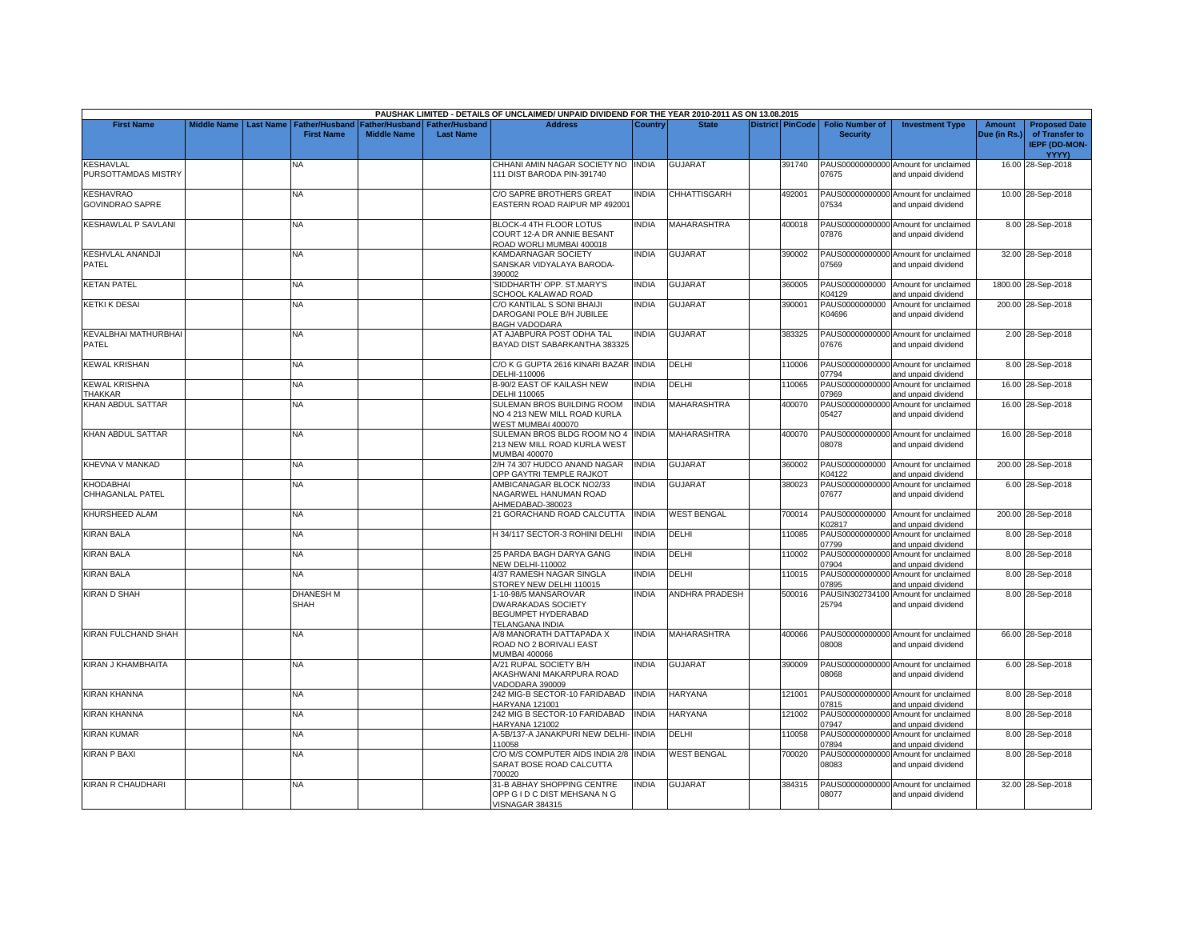|                                            |                       |                                 |                                                                        |                  | PAUSHAK LIMITED - DETAILS OF UNCLAIMED/ UNPAID DIVIDEND FOR THE YEAR 2010-2011 AS ON 13.08.2015 |                |                       |                         |                                           |                                                             |                        |                                                                         |
|--------------------------------------------|-----------------------|---------------------------------|------------------------------------------------------------------------|------------------|-------------------------------------------------------------------------------------------------|----------------|-----------------------|-------------------------|-------------------------------------------|-------------------------------------------------------------|------------------------|-------------------------------------------------------------------------|
| <b>First Name</b>                          | Middle Name Last Name | <b>First Name</b>               | Father/Husband   Father/Husband   Father/Husband<br><b>Middle Name</b> | <b>Last Name</b> | <b>Address</b>                                                                                  | <b>Country</b> | <b>State</b>          | <b>District PinCode</b> | <b>Folio Number of</b><br><b>Security</b> | <b>Investment Type</b>                                      | Amount<br>Due (in Rs.) | <b>Proposed Date</b><br>of Transfer to<br><b>IEPF (DD-MON-</b><br>YYYY) |
| <b>KESHAVLAL</b><br>PURSOTTAMDAS MISTRY    |                       | <b>NA</b>                       |                                                                        |                  | CHHANI AMIN NAGAR SOCIETY NO INDIA<br>111 DIST BARODA PIN-391740                                |                | <b>GUJARAT</b>        | 391740                  | 07675                                     | PAUS00000000000 Amount for unclaimed<br>and unpaid dividend |                        | 16.00 28-Sep-2018                                                       |
| <b>KESHAVRAO</b><br><b>GOVINDRAO SAPRE</b> |                       | NA                              |                                                                        |                  | C/O SAPRE BROTHERS GREAT<br>EASTERN ROAD RAIPUR MP 492001                                       | <b>NDIA</b>    | CHHATTISGARH          | 492001                  | 07534                                     | PAUS00000000000 Amount for unclaimed<br>and unpaid dividend |                        | 10.00 28-Sep-2018                                                       |
| <b>KESHAWLAL P SAVLANI</b>                 |                       | <b>NA</b>                       |                                                                        |                  | BLOCK-4 4TH FLOOR LOTUS<br>COURT 12-A DR ANNIE BESANT<br>ROAD WORLI MUMBAI 400018               | <b>NDIA</b>    | <b>MAHARASHTRA</b>    | 400018                  | 07876                                     | PAUS00000000000 Amount for unclaimed<br>and unpaid dividend |                        | 8.00 28-Sep-2018                                                        |
| <b>KESHVLAL ANANDJI</b><br>PATEL           |                       | NA                              |                                                                        |                  | KAMDARNAGAR SOCIETY<br>SANSKAR VIDYALAYA BARODA-<br>390002                                      | INDIA          | GUJARAT               | 390002                  | 07569                                     | PAUS00000000000 Amount for unclaimed<br>and unpaid dividend |                        | 32.00 28-Sep-2018                                                       |
| <b>KETAN PATEL</b>                         |                       | <b>NA</b>                       |                                                                        |                  | SIDDHARTH' OPP. ST.MARY'S<br>SCHOOL KALAWAD ROAD                                                | <b>INDIA</b>   | <b>GUJARAT</b>        | 360005                  | K04129                                    | PAUS0000000000 Amount for unclaimed<br>and unpaid dividend  |                        | 1800.00 28-Sep-2018                                                     |
| <b>KETKI K DESAI</b>                       |                       | <b>NA</b>                       |                                                                        |                  | C/O KANTILAL S SONI BHAIJI<br>DAROGANI POLE B/H JUBILEE<br><b>BAGH VADODARA</b>                 | <b>INDIA</b>   | <b>GUJARAT</b>        | 390001                  | PAUS0000000000<br>K04696                  | Amount for unclaimed<br>and unpaid dividend                 |                        | 200.00 28-Sep-2018                                                      |
| KEVALBHAI MATHURBHAI<br>PATEL              |                       | NA                              |                                                                        |                  | AT AJABPURA POST ODHA TAL<br>BAYAD DIST SABARKANTHA 383325                                      | <b>NDIA</b>    | GUJARAT               | 383325                  | 07676                                     | PAUS00000000000 Amount for unclaimed<br>and unpaid dividend |                        | 2.00 28-Sep-2018                                                        |
| KEWAL KRISHAN                              |                       | NA.                             |                                                                        |                  | C/O K G GUPTA 2616 KINARI BAZAR INDIA<br>DELHI-110006                                           |                | DELHI                 | 110006                  | 07794                                     | PAUS00000000000 Amount for unclaimed<br>and unpaid dividend |                        | 8.00 28-Sep-2018                                                        |
| <b>KEWAL KRISHNA</b><br><b>THAKKAR</b>     |                       | <b>NA</b>                       |                                                                        |                  | <b>B-90/2 EAST OF KAILASH NEW</b><br><b>DELHI 110065</b>                                        | <b>NDIA</b>    | DELHI                 | 110065                  | 07969                                     | PAUS00000000000 Amount for unclaimed<br>and unpaid dividend |                        | 16.00 28-Sep-2018                                                       |
| KHAN ABDUL SATTAR                          |                       | NA                              |                                                                        |                  | SULEMAN BROS BUILDING ROOM<br>NO 4 213 NEW MILL ROAD KURLA<br>WEST MUMBAI 400070                | <b>INDIA</b>   | <b>MAHARASHTRA</b>    | 400070                  | 05427                                     | PAUS00000000000 Amount for unclaimed<br>and unpaid dividend |                        | 16.00 28-Sep-2018                                                       |
| <b>KHAN ABDUL SATTAR</b>                   |                       | <b>NA</b>                       |                                                                        |                  | SULEMAN BROS BLDG ROOM NO 4<br>213 NEW MILL ROAD KURLA WEST<br>MUMBAI 400070                    | <b>INDIA</b>   | <b>MAHARASHTRA</b>    | 400070                  | 08078                                     | PAUS00000000000 Amount for unclaimed<br>and unpaid dividend |                        | 16.00 28-Sep-2018                                                       |
| KHEVNA V MANKAD                            |                       | NA.                             |                                                                        |                  | 2/H 74 307 HUDCO ANAND NAGAR<br>OPP GAYTRI TEMPLE RAJKOT                                        | <b>INDIA</b>   | <b>GUJARAT</b>        | 360002                  | K04122                                    | PAUS0000000000 Amount for unclaimed<br>and unpaid dividend  |                        | 200.00 28-Sep-2018                                                      |
| KHODABHAI<br><b>CHHAGANLAL PATEL</b>       |                       | NA                              |                                                                        |                  | AMBICANAGAR BLOCK NO2/33<br>NAGARWEL HANUMAN ROAD<br>AHMEDABAD-380023                           | INDIA          | <b>GUJARAT</b>        | 380023                  | 07677                                     | PAUS00000000000 Amount for unclaimed<br>and unpaid dividend |                        | 6.00 28-Sep-2018                                                        |
| KHURSHEED ALAM                             |                       | NA                              |                                                                        |                  | 21 GORACHAND ROAD CALCUTTA                                                                      | <b>INDIA</b>   | <b>WEST BENGAL</b>    | 700014                  | K02817                                    | PAUS0000000000 Amount for unclaimed<br>and unpaid dividend  |                        | 200.00 28-Sep-2018                                                      |
| <b>KIRAN BALA</b>                          |                       | <b>NA</b>                       |                                                                        |                  | H 34/117 SECTOR-3 ROHINI DELHI                                                                  | <b>INDIA</b>   | DELHI                 | 110085                  | 07799                                     | PAUS00000000000 Amount for unclaimed<br>and unpaid dividend |                        | 8.00 28-Sep-2018                                                        |
| <b>KIRAN BALA</b>                          |                       | <b>NA</b>                       |                                                                        |                  | 25 PARDA BAGH DARYA GANG<br><b>NEW DELHI-110002</b>                                             | INDIA          | DELHI                 | 110002                  | 07904                                     | PAUS00000000000 Amount for unclaimed<br>and unpaid dividend |                        | 8.00 28-Sep-2018                                                        |
| KIRAN BALA                                 |                       | <b>NA</b>                       |                                                                        |                  | 4/37 RAMESH NAGAR SINGLA<br>STOREY NEW DELHI 110015                                             | INDIA          | DELHI                 | 110015                  | PAUS00000000000<br>07895                  | Amount for unclaimed<br>and unpaid dividend                 |                        | 8.00 28-Sep-2018                                                        |
| <b>KIRAN D SHAH</b>                        |                       | <b>DHANESH M</b><br><b>SHAH</b> |                                                                        |                  | 1-10-98/5 MANSAROVAR<br><b>DWARAKADAS SOCIETY</b><br>BEGUMPET HYDERABAD<br>TELANGANA INDIA      | INDIA          | <b>ANDHRA PRADESH</b> | 500016                  | PAUSIN302734100<br>25794                  | Amount for unclaimed<br>and unpaid dividend                 |                        | 8.00 28-Sep-2018                                                        |
| <b>KIRAN FULCHAND SHAH</b>                 |                       | <b>NA</b>                       |                                                                        |                  | A/8 MANORATH DATTAPADA X<br>ROAD NO 2 BORIVALI EAST<br><b>MUMBAI 400066</b>                     | <b>NDIA</b>    | MAHARASHTRA           | 400066                  | 08008                                     | PAUS00000000000 Amount for unclaimed<br>and unpaid dividend |                        | 66.00 28-Sep-2018                                                       |
| KIRAN J KHAMBHAITA                         |                       | ΝA                              |                                                                        |                  | A/21 RUPAL SOCIETY B/H<br>AKASHWANI MAKARPURA ROAD<br><b>/ADODARA 390009</b>                    | INDIA          | <b>GUJARAT</b>        | 390009                  | 08068                                     | PAUS00000000000 Amount for unclaimed<br>and unpaid dividend |                        | 6.00 28-Sep-2018                                                        |
| <b>KIRAN KHANNA</b>                        |                       | NA                              |                                                                        |                  | 242 MIG-B SECTOR-10 FARIDABAD<br><b>HARYANA 121001</b>                                          | <b>INDIA</b>   | <b>HARYANA</b>        | 121001                  | 07815                                     | PAUS00000000000 Amount for unclaimed<br>and unpaid dividend |                        | 8.00 28-Sep-2018                                                        |
| <b>KIRAN KHANNA</b>                        |                       | NA.                             |                                                                        |                  | 242 MIG B SECTOR-10 FARIDABAD<br>HARYANA 121002                                                 | <b>INDIA</b>   | <b>HARYANA</b>        | 121002                  | 07947                                     | PAUS00000000000 Amount for unclaimed<br>and unpaid dividend |                        | 8.00 28-Sep-2018                                                        |
| <b>KIRAN KUMAR</b>                         |                       | <b>NA</b>                       |                                                                        |                  | A-5B/137-A JANAKPURI NEW DELHI- INDIA<br>110058                                                 |                | DELHI                 | 110058                  | 07894                                     | PAUS00000000000 Amount for unclaimed<br>and unpaid dividend |                        | 8.00 28-Sep-2018                                                        |
| <b>KIRAN P BAXI</b>                        |                       | <b>NA</b>                       |                                                                        |                  | C/O M/S COMPUTER AIDS INDIA 2/8 INDIA<br>SARAT BOSE ROAD CALCUTTA<br>700020                     |                | <b>WEST BENGAL</b>    | 700020                  | 08083                                     | PAUS00000000000 Amount for unclaimed<br>and unpaid dividend |                        | 8.00 28-Sep-2018                                                        |
| KIRAN R CHAUDHARI                          |                       | <b>NA</b>                       |                                                                        |                  | 31-B ABHAY SHOPPING CENTRE<br>OPP G I D C DIST MEHSANA N G<br><b>VISNAGAR 384315</b>            | <b>NDIA</b>    | <b>GUJARAT</b>        | 384315                  | 08077                                     | PAUS00000000000 Amount for unclaimed<br>and unpaid dividend |                        | 32.00 28-Sep-2018                                                       |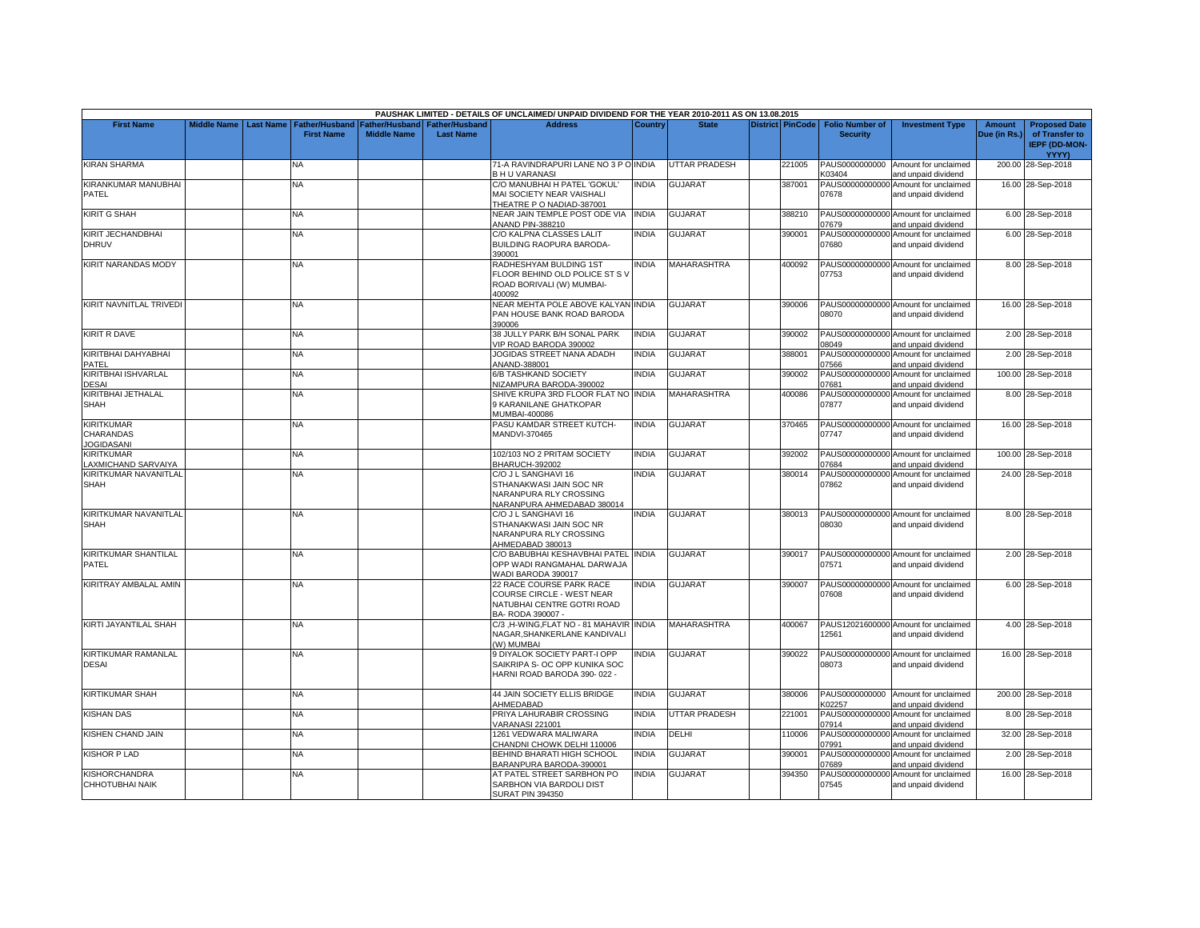|                                                            |                    |                  |                                            |                                             |                                           | PAUSHAK LIMITED - DETAILS OF UNCLAIMED/ UNPAID DIVIDEND FOR THE YEAR 2010-2011 AS ON 13.08.2015          |              |                      |                         |                                           |                                                             |                        |                                                                         |
|------------------------------------------------------------|--------------------|------------------|--------------------------------------------|---------------------------------------------|-------------------------------------------|----------------------------------------------------------------------------------------------------------|--------------|----------------------|-------------------------|-------------------------------------------|-------------------------------------------------------------|------------------------|-------------------------------------------------------------------------|
| <b>First Name</b>                                          | <b>Middle Name</b> | <b>Last Name</b> | <b>Father/Husband</b><br><b>First Name</b> | <b>Father/Husband</b><br><b>Middle Name</b> | <b>Father/Husband</b><br><b>Last Name</b> | <b>Address</b>                                                                                           | Country      | <b>State</b>         | <b>District PinCode</b> | <b>Folio Number of</b><br><b>Security</b> | <b>Investment Type</b>                                      | Amount<br>Due (in Rs.) | <b>Proposed Date</b><br>of Transfer to<br><b>IEPF (DD-MON-</b><br>YYYY) |
| <b>KIRAN SHARMA</b>                                        |                    |                  | N٨                                         |                                             |                                           | 71-A RAVINDRAPURI LANE NO 3 P O INDIA<br><b>BHU VARANASI</b>                                             |              | UTTAR PRADESH        | 221005                  | PAUS0000000000<br>K03404                  | Amount for unclaimed<br>and unpaid dividend                 |                        | 200.00 28-Sep-2018                                                      |
| KIRANKUMAR MANUBHAI<br><b>PATEL</b>                        |                    |                  | NA                                         |                                             |                                           | C/O MANUBHAI H PATEL 'GOKUL'<br>MAI SOCIETY NEAR VAISHALI<br>THEATRE P O NADIAD-387001                   | <b>INDIA</b> | GUJARAT              | 387001                  | 07678                                     | PAUS00000000000 Amount for unclaimed<br>and unpaid dividend |                        | 16.00 28-Sep-2018                                                       |
| <b>KIRIT G SHAH</b>                                        |                    |                  | NA                                         |                                             |                                           | NEAR JAIN TEMPLE POST ODE VIA TINDIA<br><b>ANAND PIN-388210</b>                                          |              | <b>GUJARAT</b>       | 388210                  | 07679                                     | PAUS00000000000 Amount for unclaimed<br>and unpaid dividend |                        | 6.00 28-Sep-2018                                                        |
| KIRIT JECHANDBHAI<br><b>DHRUV</b>                          |                    |                  | <b>NA</b>                                  |                                             |                                           | C/O KALPNA CLASSES LALIT<br><b>BUILDING RAOPURA BARODA-</b><br>390001                                    | <b>INDIA</b> | <b>GUJARAT</b>       | 390001                  | 07680                                     | PAUS00000000000 Amount for unclaimed<br>and unpaid dividend |                        | 6.00 28-Sep-2018                                                        |
| <b>KIRIT NARANDAS MODY</b>                                 |                    |                  | NA                                         |                                             |                                           | RADHESHYAM BULDING 1ST<br>FLOOR BEHIND OLD POLICE ST S V<br>ROAD BORIVALI (W) MUMBAI-<br>400092          | <b>INDIA</b> | MAHARASHTRA          | 400092                  | 07753                                     | PAUS00000000000 Amount for unclaimed<br>and unpaid dividend |                        | 8.00 28-Sep-2018                                                        |
| <b>KIRIT NAVNITLAL TRIVEDI</b>                             |                    |                  | NA                                         |                                             |                                           | NEAR MEHTA POLE ABOVE KALYAN INDIA<br>PAN HOUSE BANK ROAD BARODA<br>390006                               |              | <b>GUJARAT</b>       | 390006                  | 08070                                     | PAUS00000000000 Amount for unclaimed<br>and unpaid dividend |                        | 16.00 28-Sep-2018                                                       |
| <b>KIRIT R DAVE</b>                                        |                    |                  | NA.                                        |                                             |                                           | 38 JULLY PARK B/H SONAL PARK<br>VIP ROAD BARODA 390002                                                   | <b>INDIA</b> | <b>GUJARAT</b>       | 390002                  | 08049                                     | PAUS00000000000 Amount for unclaimed<br>and unpaid dividend |                        | 2.00 28-Sep-2018                                                        |
| KIRITBHAI DAHYABHAI<br>PATEL                               |                    |                  | NA                                         |                                             |                                           | JOGIDAS STREET NANA ADADH<br>ANAND-388001                                                                | <b>INDIA</b> | <b>GUJARAT</b>       | 388001                  | 07566                                     | PAUS00000000000 Amount for unclaimed<br>and unpaid dividend |                        | 2.00 28-Sep-2018                                                        |
| KIRITBHAI ISHVARLAL<br><b>DESAI</b>                        |                    |                  | NA                                         |                                             |                                           | 6/B TASHKAND SOCIETY<br>NIZAMPURA BARODA-390002                                                          | <b>INDIA</b> | GUJARAT              | 390002                  | 07681                                     | PAUS00000000000 Amount for unclaimed<br>and unpaid dividend |                        | 100.00 28-Sep-2018                                                      |
| KIRITBHAI JETHALAL<br><b>SHAH</b>                          |                    |                  | NA.                                        |                                             |                                           | SHIVE KRUPA 3RD FLOOR FLAT NO INDIA<br>9 KARANILANE GHATKOPAR<br>MUMBAI-400086                           |              | <b>MAHARASHTRA</b>   | 400086                  | 07877                                     | PAUS00000000000 Amount for unclaimed<br>and unpaid dividend |                        | 8.00 28-Sep-2018                                                        |
| <b>KIRITKUMAR</b><br><b>CHARANDAS</b><br><b>JOGIDASANI</b> |                    |                  | NA.                                        |                                             |                                           | PASU KAMDAR STREET KUTCH-<br>MANDVI-370465                                                               | <b>INDIA</b> | <b>GUJARAT</b>       | 370465                  | 07747                                     | PAUS00000000000 Amount for unclaimed<br>and unpaid dividend |                        | 16.00 28-Sep-2018                                                       |
| <b>KIRITKUMAR</b><br>AXMICHAND SARVAIYA                    |                    |                  | NA                                         |                                             |                                           | 102/103 NO 2 PRITAM SOCIETY<br><b>BHARUCH-392002</b>                                                     | <b>INDIA</b> | GUJARAT              | 392002                  | 07684                                     | PAUS00000000000 Amount for unclaimed<br>and unpaid dividend |                        | 100.00 28-Sep-2018                                                      |
| KIRITKUMAR NAVANITLAL<br><b>SHAH</b>                       |                    |                  | NA                                         |                                             |                                           | C/O J L SANGHAVI 16<br>STHANAKWASI JAIN SOC NR<br>NARANPURA RLY CROSSING<br>NARANPURA AHMEDABAD 380014   | <b>INDIA</b> | <b>GUJARAT</b>       | 380014                  | 07862                                     | PAUS00000000000 Amount for unclaimed<br>and unpaid dividend |                        | 24.00 28-Sep-2018                                                       |
| KIRITKUMAR NAVANITLAL<br><b>SHAH</b>                       |                    |                  | NA                                         |                                             |                                           | C/O J L SANGHAVI 16<br>STHANAKWASI JAIN SOC NR<br>NARANPURA RLY CROSSING<br>AHMEDABAD 380013             | <b>INDIA</b> | <b>GUJARAT</b>       | 380013                  | 08030                                     | PAUS00000000000 Amount for unclaimed<br>and unpaid dividend |                        | 8.00 28-Sep-2018                                                        |
| KIRITKUMAR SHANTILAL<br>PATEL                              |                    |                  | <b>NA</b>                                  |                                             |                                           | C/O BABUBHAI KESHAVBHAI PATEL INDIA<br>OPP WADI RANGMAHAL DARWAJA<br>WADI BARODA 390017                  |              | <b>GUJARAT</b>       | 390017                  | 07571                                     | PAUS00000000000 Amount for unclaimed<br>and unpaid dividend |                        | 2.00 28-Sep-2018                                                        |
| KIRITRAY AMBALAL AMIN                                      |                    |                  | NA                                         |                                             |                                           | 22 RACE COURSE PARK RACE<br>COURSE CIRCLE - WEST NEAR<br>NATUBHAI CENTRE GOTRI ROAD<br>BA- RODA 390007 - | <b>INDIA</b> | <b>GUJARAT</b>       | 390007                  | 07608                                     | PAUS00000000000 Amount for unclaimed<br>and unpaid dividend |                        | 6.00 28-Sep-2018                                                        |
| KIRTI JAYANTILAL SHAH                                      |                    |                  | NA                                         |                                             |                                           | C/3 ,H-WING,FLAT NO - 81 MAHAVIR INDIA<br>NAGAR, SHANKERLANE KANDIVALI<br>W) MUMBAI                      |              | <b>MAHARASHTRA</b>   | 400067                  | 12561                                     | PAUS12021600000 Amount for unclaimed<br>and unpaid dividend |                        | 4.00 28-Sep-2018                                                        |
| <b>KIRTIKUMAR RAMANLAL</b><br><b>DESAI</b>                 |                    |                  | NA                                         |                                             |                                           | <b>JUITALOK SOCIETY PART-I OPP</b><br>SAIKRIPA S- OC OPP KUNIKA SOC<br>HARNI ROAD BARODA 390-022 -       | <b>INDIA</b> | <b>GUJARAT</b>       | 390022                  | 08073                                     | PAUS00000000000 Amount for unclaimed<br>and unpaid dividend |                        | 16.00 28-Sep-2018                                                       |
| <b>KIRTIKUMAR SHAH</b>                                     |                    |                  | NA                                         |                                             |                                           | 44 JAIN SOCIETY ELLIS BRIDGE<br>AHMEDABAD                                                                | <b>INDIA</b> | GUJARAT              | 380006                  | PAUS0000000000<br>K02257                  | Amount for unclaimed<br>and unpaid dividend                 |                        | 200.00 28-Sep-2018                                                      |
| <b>KISHAN DAS</b>                                          |                    |                  | NA                                         |                                             |                                           | PRIYA LAHURABIR CROSSING<br>VARANASI 221001                                                              | <b>INDIA</b> | <b>JTTAR PRADESH</b> | 221001                  | 07914                                     | PAUS00000000000 Amount for unclaimed<br>and unpaid dividend |                        | 8.00 28-Sep-2018                                                        |
| KISHEN CHAND JAIN                                          |                    |                  | NA                                         |                                             |                                           | 1261 VEDWARA MALIWARA<br>CHANDNI CHOWK DELHI 110006                                                      | <b>INDIA</b> | DELHI                | 110006                  | 07991                                     | PAUS00000000000 Amount for unclaimed<br>and unpaid dividend |                        | 32.00 28-Sep-2018                                                       |
| <b>KISHOR P LAD</b>                                        |                    |                  | ΝA                                         |                                             |                                           | BEHIND BHARATI HIGH SCHOOL<br>BARANPURA BARODA-390001                                                    | <b>INDIA</b> | <b>GUJARAT</b>       | 390001                  | 07689                                     | PAUS00000000000 Amount for unclaimed<br>and unpaid dividend |                        | 2.00 28-Sep-2018                                                        |
| <b>KISHORCHANDRA</b><br>CHHOTUBHAI NAIK                    |                    |                  | NA.                                        |                                             |                                           | AT PATEL STREET SARBHON PO<br>SARBHON VIA BARDOLI DIST<br><b>SURAT PIN 394350</b>                        | <b>INDIA</b> | GUJARAT              | 394350                  | 07545                                     | PAUS00000000000 Amount for unclaimed<br>and unpaid dividend |                        | 16.00 28-Sep-2018                                                       |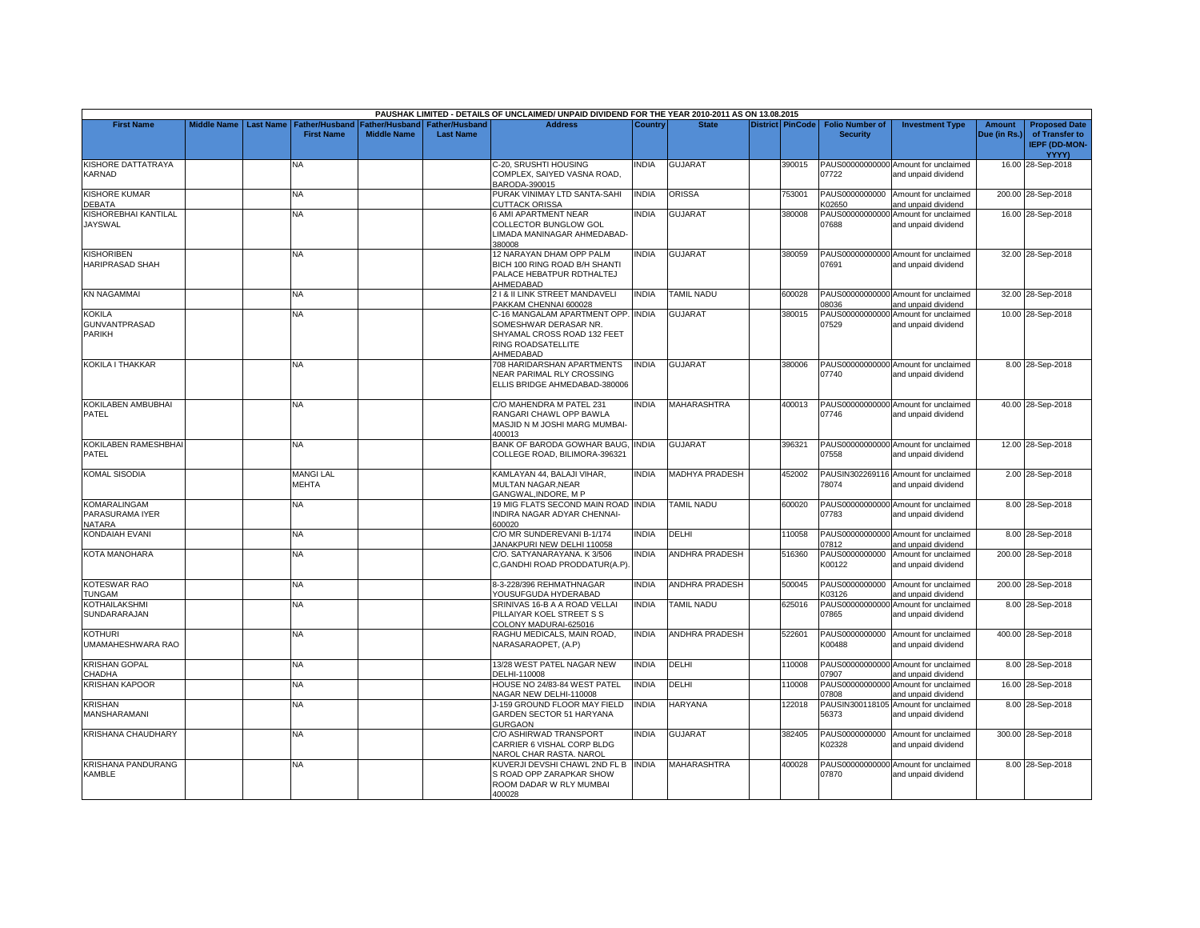|                                                        |                    |                  |                                            |                                      |                                    | PAUSHAK LIMITED - DETAILS OF UNCLAIMED/ UNPAID DIVIDEND FOR THE YEAR 2010-2011 AS ON 13.08.2015                               |                |                       |                         |                                           |                                                             |                               |                                                                         |
|--------------------------------------------------------|--------------------|------------------|--------------------------------------------|--------------------------------------|------------------------------------|-------------------------------------------------------------------------------------------------------------------------------|----------------|-----------------------|-------------------------|-------------------------------------------|-------------------------------------------------------------|-------------------------------|-------------------------------------------------------------------------|
| <b>First Name</b>                                      | <b>Middle Name</b> | <b>Last Name</b> | <b>Father/Husband</b><br><b>First Name</b> | Father/Husband<br><b>Middle Name</b> | Father/Husband<br><b>Last Name</b> | <b>Address</b>                                                                                                                | <b>Country</b> | <b>State</b>          | <b>District PinCode</b> | <b>Folio Number of</b><br><b>Security</b> | <b>Investment Type</b>                                      | <b>Amount</b><br>Due (in Rs.) | <b>Proposed Date</b><br>of Transfer to<br><b>IEPF (DD-MON-</b><br>YYYY) |
| KISHORE DATTATRAYA<br><b>KARNAD</b>                    |                    |                  | NA                                         |                                      |                                    | C-20, SRUSHTI HOUSING<br>COMPLEX, SAIYED VASNA ROAD.<br>BARODA-390015                                                         | INDIA          | <b>GUJARAT</b>        | 390015                  | 07722                                     | PAUS00000000000 Amount for unclaimed<br>and unpaid dividend |                               | 16.00 28-Sep-2018                                                       |
| <b>KISHORE KUMAR</b><br>DEBATA                         |                    |                  | NA                                         |                                      |                                    | PURAK VINIMAY LTD SANTA-SAHI<br><b>CUTTACK ORISSA</b>                                                                         | <b>INDIA</b>   | ORISSA                | 753001                  | K02650                                    | PAUS0000000000 Amount for unclaimed<br>and unpaid dividend  |                               | 200.00 28-Sep-2018                                                      |
| KISHOREBHAI KANTILAL<br><b>JAYSWAL</b>                 |                    |                  | NA                                         |                                      |                                    | <b>6 AMI APARTMENT NEAR</b><br>COLLECTOR BUNGLOW GOL<br>LIMADA MANINAGAR AHMEDABAD-<br>380008                                 | <b>INDIA</b>   | <b>GUJARAT</b>        | 380008                  | 07688                                     | PAUS00000000000 Amount for unclaimed<br>and unpaid dividend |                               | 16.00 28-Sep-2018                                                       |
| <b>KISHORIBEN</b><br><b>HARIPRASAD SHAH</b>            |                    |                  | <b>NA</b>                                  |                                      |                                    | 12 NARAYAN DHAM OPP PALM<br>BICH 100 RING ROAD B/H SHANTI<br>PALACE HEBATPUR RDTHALTEJ<br>AHMEDABAD                           | <b>INDIA</b>   | <b>GUJARAT</b>        | 380059                  | 07691                                     | PAUS00000000000 Amount for unclaimed<br>and unpaid dividend |                               | 32.00 28-Sep-2018                                                       |
| <b>KN NAGAMMAI</b>                                     |                    |                  | <b>NA</b>                                  |                                      |                                    | 2   & II LINK STREET MANDAVELI<br>PAKKAM CHENNAI 600028                                                                       | <b>INDIA</b>   | <b>TAMIL NADU</b>     | 600028                  | 08036                                     | PAUS00000000000 Amount for unclaimed<br>and unpaid dividend |                               | 32.00 28-Sep-2018                                                       |
| <b>KOKILA</b><br><b>GUNVANTPRASAD</b><br><b>PARIKH</b> |                    |                  | ΝA                                         |                                      |                                    | C-16 MANGALAM APARTMENT OPP. INDIA<br>SOMESHWAR DERASAR NR.<br>SHYAMAL CROSS ROAD 132 FEET<br>RING ROADSATELLITE<br>AHMEDABAD |                | GUJARAT               | 380015                  | 07529                                     | PAUS00000000000 Amount for unclaimed<br>and unpaid dividend |                               | 10.00 28-Sep-2018                                                       |
| KOKILA I THAKKAR                                       |                    |                  | NA                                         |                                      |                                    | 708 HARIDARSHAN APARTMENTS<br>NEAR PARIMAL RLY CROSSING<br>ELLIS BRIDGE AHMEDABAD-380006                                      | <b>INDIA</b>   | <b>GUJARAT</b>        | 380006                  | 07740                                     | PAUS00000000000 Amount for unclaimed<br>and unpaid dividend |                               | 8.00 28-Sep-2018                                                        |
| KOKILABEN AMBUBHAI<br><b>PATEL</b>                     |                    |                  | ΝA                                         |                                      |                                    | C/O MAHENDRA M PATEL 231<br>RANGARI CHAWL OPP BAWLA<br>MASJID N M JOSHI MARG MUMBAI-<br>400013                                | <b>INDIA</b>   | <b>MAHARASHTRA</b>    | 400013                  | 07746                                     | PAUS00000000000 Amount for unclaimed<br>and unpaid dividend |                               | 40.00 28-Sep-2018                                                       |
| KOKILABEN RAMESHBHAI<br><b>PATEL</b>                   |                    |                  | NA                                         |                                      |                                    | BANK OF BARODA GOWHAR BAUG, INDIA<br>COLLEGE ROAD, BILIMORA-396321                                                            |                | GUJARAT               | 396321                  | 07558                                     | PAUS00000000000 Amount for unclaimed<br>and unpaid dividend |                               | 12.00 28-Sep-2018                                                       |
| <b>KOMAL SISODIA</b>                                   |                    |                  | <b>MANGILAL</b><br><b>MEHTA</b>            |                                      |                                    | KAMLAYAN 44, BALAJI VIHAR,<br>MULTAN NAGAR, NEAR<br>GANGWAL, INDORE, M P                                                      | <b>INDIA</b>   | <b>MADHYA PRADESH</b> | 452002                  | 78074                                     | PAUSIN302269116 Amount for unclaimed<br>and unpaid dividend |                               | 2.00 28-Sep-2018                                                        |
| <b>KOMARALINGAM</b><br>PARASURAMA IYER<br>NATARA       |                    |                  | NA                                         |                                      |                                    | 19 MIG FLATS SECOND MAIN ROAD INDIA<br>INDIRA NAGAR ADYAR CHENNAI-<br>600020                                                  |                | <b>TAMIL NADU</b>     | 600020                  | 07783                                     | PAUS00000000000 Amount for unclaimed<br>and unpaid dividend |                               | 8.00 28-Sep-2018                                                        |
| KONDAIAH EVANI                                         |                    |                  | NA.                                        |                                      |                                    | C/O MR SUNDEREVANI B-1/174<br>JANAKPURI NEW DELHI 110058                                                                      | <b>INDIA</b>   | DELHI                 | 110058                  | 07812                                     | PAUS00000000000 Amount for unclaimed<br>and unpaid dividend |                               | 8.00 28-Sep-2018                                                        |
| <b>KOTA MANOHARA</b>                                   |                    |                  | <b>NA</b>                                  |                                      |                                    | C/O. SATYANARAYANA. K3/506<br>C, GANDHI ROAD PRODDATUR(A.P).                                                                  | <b>INDIA</b>   | <b>ANDHRA PRADESH</b> | 516360                  | PAUS0000000000<br>K00122                  | Amount for unclaimed<br>and unpaid dividend                 |                               | 200.00 28-Sep-2018                                                      |
| <b>KOTESWAR RAO</b><br><b>TUNGAM</b>                   |                    |                  | <b>NA</b>                                  |                                      |                                    | 8-3-228/396 REHMATHNAGAR<br>YOUSUFGUDA HYDERABAD                                                                              | <b>INDIA</b>   | <b>ANDHRA PRADESH</b> | 500045                  | K03126                                    | PAUS0000000000 Amount for unclaimed<br>and unpaid dividend  |                               | 200.00 28-Sep-2018                                                      |
| <b>KOTHAILAKSHMI</b><br>SUNDARARAJAN                   |                    |                  | NA                                         |                                      |                                    | SRINIVAS 16-B A A ROAD VELLAI<br>PILLAIYAR KOEL STREET S S<br>COLONY MADURAI-625016                                           | <b>INDIA</b>   | <b>TAMIL NADU</b>     | 625016                  | 07865                                     | PAUS00000000000 Amount for unclaimed<br>and unpaid dividend |                               | 8.00 28-Sep-2018                                                        |
| <b>KOTHURI</b><br>UMAMAHESHWARA RAO                    |                    |                  | NΑ                                         |                                      |                                    | RAGHU MEDICALS, MAIN ROAD,<br>NARASARAOPET, (A.P)                                                                             | <b>INDIA</b>   | <b>ANDHRA PRADESH</b> | 522601                  | PAUS0000000000<br>K00488                  | Amount for unclaimed<br>and unpaid dividend                 |                               | 400.00 28-Sep-2018                                                      |
| <b>KRISHAN GOPAL</b><br>CHADHA                         |                    |                  | <b>NA</b>                                  |                                      |                                    | 13/28 WEST PATEL NAGAR NEW<br>DELHI-110008                                                                                    | <b>INDIA</b>   | DELHI                 | 110008                  | 07907                                     | PAUS00000000000 Amount for unclaimed<br>and unpaid dividend |                               | 8.00 28-Sep-2018                                                        |
| <b>KRISHAN KAPOOR</b>                                  |                    |                  | NA                                         |                                      |                                    | HOUSE NO 24/83-84 WEST PATEL<br>NAGAR NEW DELHI-110008                                                                        | <b>INDIA</b>   | DELHI                 | 110008                  | 07808                                     | PAUS00000000000 Amount for unclaimed<br>and unpaid dividend |                               | 16.00 28-Sep-2018                                                       |
| <b>KRISHAN</b><br>MANSHARAMANI                         |                    |                  | NA                                         |                                      |                                    | J-159 GROUND FLOOR MAY FIELD<br>GARDEN SECTOR 51 HARYANA<br><b>GURGAON</b>                                                    | <b>INDIA</b>   | HARYANA               | 122018                  | 56373                                     | PAUSIN300118105 Amount for unclaimed<br>and unpaid dividend |                               | 8.00 28-Sep-2018                                                        |
| <b>KRISHANA CHAUDHARY</b>                              |                    |                  | NA                                         |                                      |                                    | C/O ASHIRWAD TRANSPORT<br>CARRIER 6 VISHAL CORP BLDG<br>NAROL CHAR RASTA. NAROL                                               | <b>INDIA</b>   | <b>GUJARAT</b>        | 382405                  | K02328                                    | PAUS0000000000 Amount for unclaimed<br>and unpaid dividend  |                               | 300.00 28-Sep-2018                                                      |
| <b>KRISHANA PANDURANG</b><br><b>KAMBLE</b>             |                    |                  | ΝA                                         |                                      |                                    | KUVERJI DEVSHI CHAWL 2ND FL B INDIA<br>S ROAD OPP ZARAPKAR SHOW<br>ROOM DADAR W RLY MUMBAI<br>400028                          |                | MAHARASHTRA           | 400028                  | 07870                                     | PAUS00000000000 Amount for unclaimed<br>and unpaid dividend |                               | 8.00 28-Sep-2018                                                        |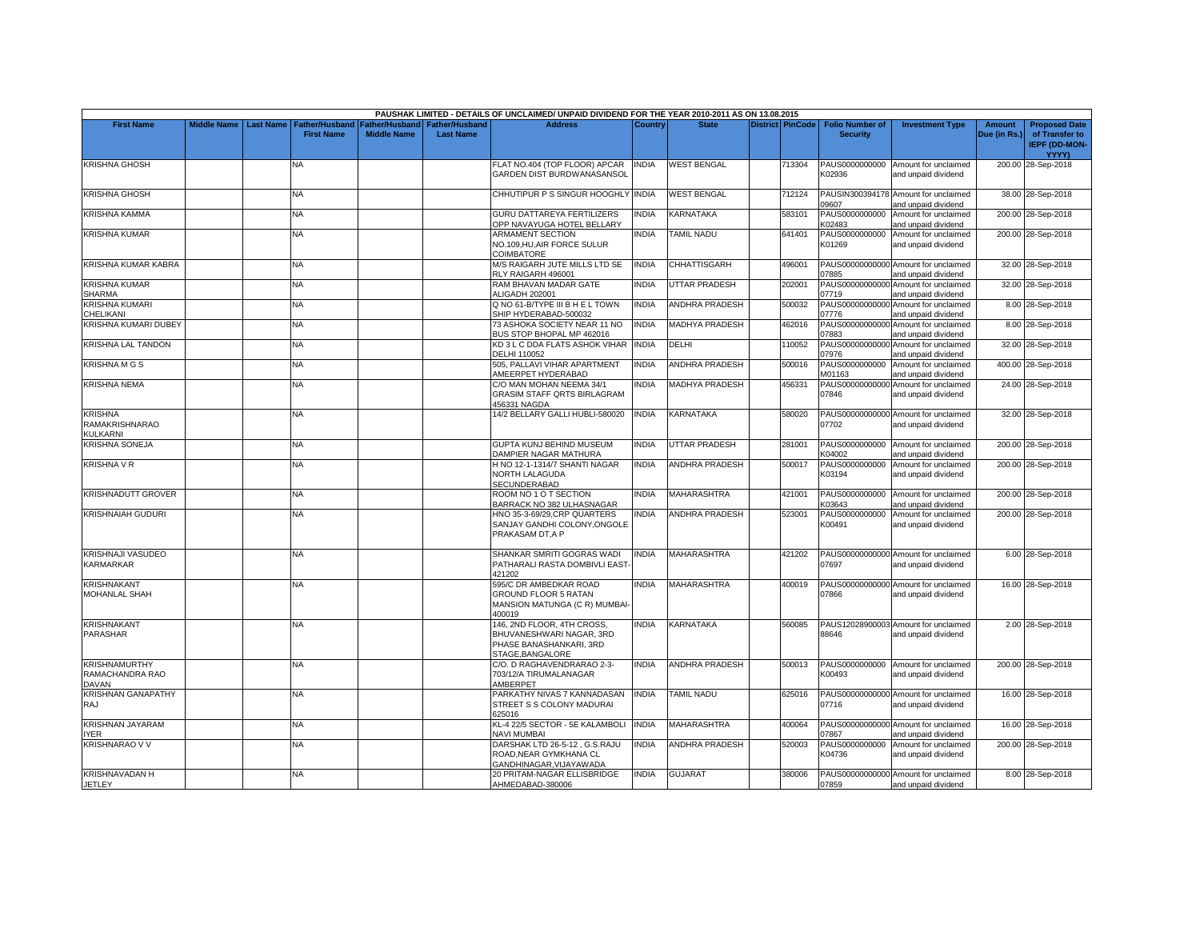|                                                         |                    |                  |                                            |                                             |                                           | PAUSHAK LIMITED - DETAILS OF UNCLAIMED/ UNPAID DIVIDEND FOR THE YEAR 2010-2011 AS ON 13.08.2015       |                |                       |                  |                                           |                                                             |                               |                                                                         |
|---------------------------------------------------------|--------------------|------------------|--------------------------------------------|---------------------------------------------|-------------------------------------------|-------------------------------------------------------------------------------------------------------|----------------|-----------------------|------------------|-------------------------------------------|-------------------------------------------------------------|-------------------------------|-------------------------------------------------------------------------|
| <b>First Name</b>                                       | <b>Middle Name</b> | <b>Last Name</b> | <b>Father/Husband</b><br><b>First Name</b> | <b>Father/Husband</b><br><b>Middle Name</b> | <b>Father/Husband</b><br><b>Last Name</b> | <b>Address</b>                                                                                        | <b>Country</b> | <b>State</b>          | District PinCode | <b>Folio Number of</b><br><b>Security</b> | <b>Investment Type</b>                                      | <b>Amount</b><br>Due (in Rs.) | <b>Proposed Date</b><br>of Transfer to<br><b>IEPF (DD-MON-</b><br>YYYY) |
| <b>KRISHNA GHOSH</b>                                    |                    |                  | NA                                         |                                             |                                           | FLAT NO.404 (TOP FLOOR) APCAR<br><b>GARDEN DIST BURDWANASANSOL</b>                                    | INDIA          | <b>WEST BENGAL</b>    | 713304           | PAUS0000000000<br>K02936                  | Amount for unclaimed<br>and unpaid dividend                 |                               | 200.00 28-Sep-2018                                                      |
| <b>KRISHNA GHOSH</b>                                    |                    |                  | NA                                         |                                             |                                           | CHHUTIPUR P S SINGUR HOOGHLY INDIA                                                                    |                | <b>WEST BENGAL</b>    | 712124           | PAUSIN300394178<br>09607                  | Amount for unclaimed<br>and unpaid dividend                 |                               | 38.00 28-Sep-2018                                                       |
| KRISHNA KAMMA                                           |                    |                  | NA                                         |                                             |                                           | GURU DATTAREYA FERTILIZERS<br>OPP NAVAYUGA HOTEL BELLARY                                              | INDIA          | KARNATAKA             | 583101           | PAUS0000000000<br>K02483                  | Amount for unclaimed<br>and unpaid dividend                 |                               | 200.00 28-Sep-2018                                                      |
| <b>KRISHNA KUMAR</b>                                    |                    |                  | NA.                                        |                                             |                                           | ARMAMENT SECTION<br>NO.109, HU, AIR FORCE SULUR<br>COIMBATORE                                         | <b>INDIA</b>   | <b>TAMIL NADU</b>     | 641401           | PAUS0000000000<br>K01269                  | Amount for unclaimed<br>and unpaid dividend                 |                               | 200.00 28-Sep-2018                                                      |
| KRISHNA KUMAR KABRA                                     |                    |                  | NA.                                        |                                             |                                           | <b>M/S RAIGARH JUTE MILLS LTD SE</b><br>RLY RAIGARH 496001                                            | <b>INDIA</b>   | <b>CHHATTISGARH</b>   | 496001           | 07885                                     | PAUS00000000000 Amount for unclaimed<br>and unpaid dividend |                               | 32.00 28-Sep-2018                                                       |
| KRISHNA KUMAR<br>SHARMA                                 |                    |                  | NA                                         |                                             |                                           | RAM BHAVAN MADAR GATE<br>ALIGADH 202001                                                               | <b>INDIA</b>   | <b>UTTAR PRADESH</b>  | 202001           | PAUS00000000000<br>07719                  | Amount for unclaimed<br>and unpaid dividend                 |                               | 32.00 28-Sep-2018                                                       |
| <b>KRISHNA KUMARI</b><br>CHELIKANI                      |                    |                  | NA                                         |                                             |                                           | Q NO 61-B/TYPE III B H E L TOWN<br>SHIP HYDERABAD-500032                                              | <b>INDIA</b>   | <b>ANDHRA PRADESH</b> | 500032           | 07776                                     | PAUS00000000000 Amount for unclaimed<br>and unpaid dividend |                               | 8.00 28-Sep-2018                                                        |
| KRISHNA KUMARI DUBEY                                    |                    |                  | NA                                         |                                             |                                           | 73 ASHOKA SOCIETY NEAR 11 NO<br>BUS STOP BHOPAL MP 462016                                             | <b>INDIA</b>   | <b>MADHYA PRADESH</b> | 462016           | PAUS00000000000<br>07883                  | Amount for unclaimed<br>and unpaid dividend                 |                               | 8.00 28-Sep-2018                                                        |
| KRISHNA LAL TANDON                                      |                    |                  | <b>NA</b>                                  |                                             |                                           | KD 3 L C DDA FLATS ASHOK VIHAR<br>DELHI 110052                                                        | <b>INDIA</b>   | DELHI                 | 110052           | PAUS00000000000<br>07976                  | Amount for unclaimed<br>and unpaid dividend                 |                               | 32.00 28-Sep-2018                                                       |
| <b>KRISHNAMGS</b>                                       |                    |                  | NA                                         |                                             |                                           | 505, PALLAVI VIHAR APARTMENT<br>AMEERPET HYDERABAD                                                    | <b>INDIA</b>   | <b>ANDHRA PRADESH</b> | 500016           | PAUS0000000000<br>M01163                  | Amount for unclaimed<br>and unpaid dividend                 |                               | 400.00 28-Sep-2018                                                      |
| <b>KRISHNA NEMA</b>                                     |                    |                  | NA                                         |                                             |                                           | C/O MAN MOHAN NEEMA 34/1<br><b>GRASIM STAFF ORTS BIRLAGRAM</b><br>456331 NAGDA                        | <b>NDIA</b>    | MADHYA PRADESH        | 456331           | PAUS00000000000<br>07846                  | Amount for unclaimed<br>and unpaid dividend                 |                               | 24.00 28-Sep-2018                                                       |
| <b>KRISHNA</b><br><b>RAMAKRISHNARAO</b><br>KULKARNI     |                    |                  | NA                                         |                                             |                                           | 14/2 BELLARY GALLI HUBLI-580020                                                                       | <b>INDIA</b>   | KARNATAKA             | 580020           | 07702                                     | PAUS00000000000 Amount for unclaimed<br>and unpaid dividend |                               | 32.00 28-Sep-2018                                                       |
| <b>KRISHNA SONEJA</b>                                   |                    |                  | <b>NA</b>                                  |                                             |                                           | GUPTA KUNJ BEHIND MUSEUM<br>DAMPIER NAGAR MATHURA                                                     | <b>INDIA</b>   | UTTAR PRADESH         | 281001           | K04002                                    | PAUS0000000000 Amount for unclaimed<br>and unpaid dividend  |                               | 200.00 28-Sep-2018                                                      |
| <b>KRISHNA V R</b>                                      |                    |                  | NA                                         |                                             |                                           | H NO 12-1-1314/7 SHANTI NAGAR<br>NORTH LALAGUDA<br>SECUNDERABAD                                       | <b>INDIA</b>   | <b>ANDHRA PRADESH</b> | 500017           | PAUS0000000000<br>K03194                  | Amount for unclaimed<br>and unpaid dividend                 |                               | 200.00 28-Sep-2018                                                      |
| <b>KRISHNADUTT GROVER</b>                               |                    |                  | NA                                         |                                             |                                           | ROOM NO 1 O T SECTION<br>BARRACK NO 382 ULHASNAGAR                                                    | <b>INDIA</b>   | <b>MAHARASHTRA</b>    | 421001           | K03643                                    | PAUS0000000000 Amount for unclaimed<br>and unpaid dividend  |                               | 200.00 28-Sep-2018                                                      |
| <b>KRISHNAIAH GUDURI</b>                                |                    |                  | NA.                                        |                                             |                                           | HNO 35-3-69/29, CRP QUARTERS<br>SANJAY GANDHI COLONY, ONGOLE<br>PRAKASAM DT, A P                      | INDIA          | <b>ANDHRA PRADESH</b> | 523001           | PAUS0000000000<br>K00491                  | Amount for unclaimed<br>and unpaid dividend                 |                               | 200.00 28-Sep-2018                                                      |
| <b>KRISHNAJI VASUDEO</b><br>KARMARKAR                   |                    |                  | <b>NA</b>                                  |                                             |                                           | SHANKAR SMRITI GOGRAS WADI<br>PATHARALI RASTA DOMBIVLI EAST-<br>421202                                | <b>INDIA</b>   | <b>MAHARASHTRA</b>    | 421202           | 07697                                     | PAUS00000000000 Amount for unclaimed<br>and unpaid dividend |                               | 6.00 28-Sep-2018                                                        |
| <b>KRISHNAKANT</b><br><b>MOHANLAL SHAH</b>              |                    |                  | <b>NA</b>                                  |                                             |                                           | 595/C DR AMBEDKAR ROAD<br>GROUND FLOOR 5 RATAN<br>MANSION MATUNGA (C R) MUMBAI-<br>400019             | <b>INDIA</b>   | <b>MAHARASHTRA</b>    | 400019           | 07866                                     | PAUS00000000000 Amount for unclaimed<br>and unpaid dividend |                               | 16.00 28-Sep-2018                                                       |
| <b>KRISHNAKANT</b><br>PARASHAR                          |                    |                  | NA                                         |                                             |                                           | 146, 2ND FLOOR, 4TH CROSS,<br>BHUVANESHWARI NAGAR, 3RD<br>PHASE BANASHANKARI, 3RD<br>STAGE, BANGALORE | INDIA          | KARNATAKA             | 560085           | PAUS12028900003<br>88646                  | Amount for unclaimed<br>and unpaid dividend                 |                               | 2.00 28-Sep-2018                                                        |
| <b>KRISHNAMURTHY</b><br>RAMACHANDRA RAO<br><b>DAVAN</b> |                    |                  | NA.                                        |                                             |                                           | C/O. D RAGHAVENDRARAO 2-3-<br>703/12/A TIRUMALANAGAR<br>AMBERPET                                      | <b>INDIA</b>   | <b>ANDHRA PRADESH</b> | 500013           | K00493                                    | PAUS0000000000 Amount for unclaimed<br>and unpaid dividend  |                               | 200.00 28-Sep-2018                                                      |
| <b>KRISHNAN GANAPATHY</b><br>RAJ                        |                    |                  | <b>NA</b>                                  |                                             |                                           | PARKATHY NIVAS 7 KANNADASAN<br>STREET S S COLONY MADURAI<br>625016                                    | <b>INDIA</b>   | <b>TAMIL NADU</b>     | 625016           | 07716                                     | PAUS00000000000 Amount for unclaimed<br>and unpaid dividend |                               | 16.00 28-Sep-2018                                                       |
| KRISHNAN JAYARAM<br><b>YER</b>                          |                    |                  | NA                                         |                                             |                                           | KL-4 22/5 SECTOR - 5E KALAMBOLI<br>NAVI MUMBAI                                                        | <b>INDIA</b>   | MAHARASHTRA           | 400064           | 07867                                     | PAUS00000000000 Amount for unclaimed<br>and unpaid dividend |                               | 16.00 28-Sep-2018                                                       |
| <b>KRISHNARAO V V</b>                                   |                    |                  | <b>NA</b>                                  |                                             |                                           | DARSHAK LTD 26-5-12, G.S.RAJU<br>ROAD, NEAR GYMKHANA CL<br>GANDHINAGAR, VIJAYAWADA                    | <b>INDIA</b>   | <b>ANDHRA PRADESH</b> | 520003           | K04736                                    | PAUS0000000000 Amount for unclaimed<br>and unpaid dividend  |                               | 200.00 28-Sep-2018                                                      |
| <b>KRISHNAVADAN H</b><br><b>JETLEY</b>                  |                    |                  | <b>NA</b>                                  |                                             |                                           | 20 PRITAM-NAGAR ELLISBRIDGE<br>AHMEDABAD-380006                                                       | <b>INDIA</b>   | <b>GUJARAT</b>        | 380006           | 07859                                     | PAUS00000000000 Amount for unclaimed<br>and unpaid dividend |                               | 8.00 28-Sep-2018                                                        |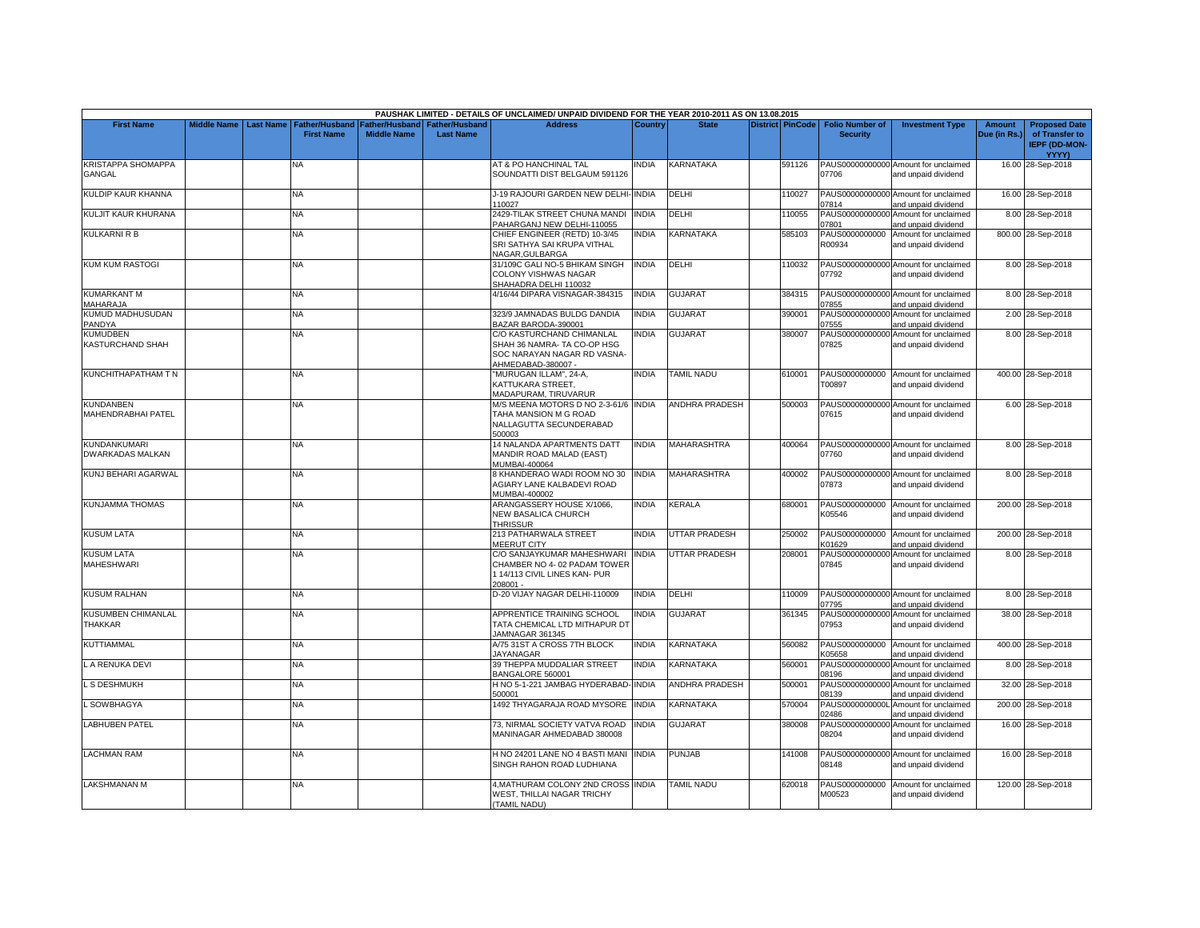|                                                |                    |                  |                                     |                                      |                                           | PAUSHAK LIMITED - DETAILS OF UNCLAIMED/ UNPAID DIVIDEND FOR THE YEAR 2010-2011 AS ON 13.08.2015               |              |                       |                         |                                           |                                                             |                               |                                                                                |
|------------------------------------------------|--------------------|------------------|-------------------------------------|--------------------------------------|-------------------------------------------|---------------------------------------------------------------------------------------------------------------|--------------|-----------------------|-------------------------|-------------------------------------------|-------------------------------------------------------------|-------------------------------|--------------------------------------------------------------------------------|
| <b>First Name</b>                              | <b>Middle Name</b> | <b>Last Name</b> | Father/Husband<br><b>First Name</b> | Father/Husband<br><b>Middle Name</b> | <b>Father/Husband</b><br><b>Last Name</b> | <b>Address</b>                                                                                                | Country      | <b>State</b>          | <b>District PinCode</b> | <b>Folio Number of</b><br><b>Security</b> | <b>Investment Type</b>                                      | <b>Amount</b><br>Due (in Rs.) | <b>Proposed Date</b><br>of Transfer to<br><b>IEPF (DD-MON-</b><br><b>YYYY)</b> |
| <b>KRISTAPPA SHOMAPPA</b><br>GANGAL            |                    |                  | NA                                  |                                      |                                           | AT & PO HANCHINAL TAL<br>SOUNDATTI DIST BELGAUM 591126                                                        | INDIA        | <b>KARNATAKA</b>      | 591126                  | 07706                                     | PAUS00000000000 Amount for unclaimed<br>and unpaid dividend |                               | 16.00 28-Sep-2018                                                              |
| KULDIP KAUR KHANNA                             |                    |                  | <b>NA</b>                           |                                      |                                           | J-19 RAJOURI GARDEN NEW DELHI-INDIA<br>110027                                                                 |              | DELHI                 | 110027                  | 07814                                     | PAUS00000000000 Amount for unclaimed<br>and unpaid dividend |                               | 16.00 28-Sep-2018                                                              |
| KULJIT KAUR KHURANA                            |                    |                  | NA.                                 |                                      |                                           | 2429-TILAK STREET CHUNA MANDI<br>PAHARGANJ NEW DELHI-110055                                                   | <b>INDIA</b> | DELHI                 | 110055                  | PAUS00000000000<br>07801                  | Amount for unclaimed<br>and unpaid dividend                 |                               | 8.00 28-Sep-2018                                                               |
| <b>KULKARNI R B</b>                            |                    |                  | <b>NA</b>                           |                                      |                                           | CHIEF ENGINEER (RETD) 10-3/45<br>SRI SATHYA SAI KRUPA VITHAL<br><b>NAGAR, GULBARGA</b>                        | <b>INDIA</b> | <b>KARNATAKA</b>      | 585103                  | PAUS0000000000<br>R00934                  | Amount for unclaimed<br>and unpaid dividend                 |                               | 800.00 28-Sep-2018                                                             |
| <b>KUM KUM RASTOGI</b>                         |                    |                  | NA                                  |                                      |                                           | 31/109C GALI NO-5 BHIKAM SINGH<br><b>COLONY VISHWAS NAGAR</b><br>SHAHADRA DELHI 110032                        | <b>INDIA</b> | DELHI                 | 110032                  | 07792                                     | PAUS00000000000 Amount for unclaimed<br>and unpaid dividend |                               | 8.00 28-Sep-2018                                                               |
| <b>KUMARKANT M</b><br>MAHARAJA                 |                    |                  | NA                                  |                                      |                                           | 4/16/44 DIPARA VISNAGAR-384315                                                                                | <b>INDIA</b> | GUJARAT               | 384315                  | 07855                                     | PAUS00000000000 Amount for unclaimed<br>and unpaid dividend |                               | 8.00 28-Sep-2018                                                               |
| KUMUD MADHUSUDAN<br>PANDYA                     |                    |                  | NA                                  |                                      |                                           | 323/9 JAMNADAS BULDG DANDIA<br>BAZAR BARODA-390001                                                            | <b>INDIA</b> | <b>GUJARAT</b>        | 390001                  | PAUS00000000000<br>07555                  | Amount for unclaimed<br>and unpaid dividend                 |                               | 2.00 28-Sep-2018                                                               |
| <b>KUMUDBEN</b><br>KASTURCHAND SHAH            |                    |                  | <b>NA</b>                           |                                      |                                           | C/O KASTURCHAND CHIMANLAL<br>SHAH 36 NAMRA- TA CO-OP HSG<br>SOC NARAYAN NAGAR RD VASNA-<br>AHMEDABAD-380007 - | <b>INDIA</b> | <b>GUJARAT</b>        | 380007                  | PAUS00000000000<br>07825                  | Amount for unclaimed<br>and unpaid dividend                 |                               | 8.00 28-Sep-2018                                                               |
| KUNCHITHAPATHAM T N                            |                    |                  | <b>NA</b>                           |                                      |                                           | 'MURUGAN ILLAM", 24-A,<br>KATTUKARA STREET.<br><b>MADAPURAM, TIRUVARUR</b>                                    | <b>INDIA</b> | <b>TAMIL NADU</b>     | 610001                  | T00897                                    | PAUS0000000000 Amount for unclaimed<br>and unpaid dividend  |                               | 400.00 28-Sep-2018                                                             |
| <b>KUNDANBEN</b><br>MAHENDRABHAI PATEL         |                    |                  | NA                                  |                                      |                                           | M/S MEENA MOTORS D NO 2-3-61/6 INDIA<br>TAHA MANSION M G ROAD<br><b>NALLAGUTTA SECUNDERABAD</b><br>500003     |              | <b>ANDHRA PRADESH</b> | 500003                  | 07615                                     | PAUS00000000000 Amount for unclaimed<br>and unpaid dividend |                               | 6.00 28-Sep-2018                                                               |
| <b>KUNDANKUMARI</b><br><b>DWARKADAS MALKAN</b> |                    |                  | <b>NA</b>                           |                                      |                                           | 14 NALANDA APARTMENTS DATT<br><b>MANDIR ROAD MALAD (EAST)</b><br>MUMBAI-400064                                | <b>INDIA</b> | <b>MAHARASHTRA</b>    | 400064                  | 07760                                     | PAUS00000000000 Amount for unclaimed<br>and unpaid dividend |                               | 8.00 28-Sep-2018                                                               |
| KUNJ BEHARI AGARWAL                            |                    |                  | ΝA                                  |                                      |                                           | <b>B KHANDERAO WADI ROOM NO 30</b><br><b>AGIARY LANE KALBADEVI ROAD</b><br>MUMBAI-400002                      | <b>INDIA</b> | <b>MAHARASHTRA</b>    | 400002                  | 07873                                     | PAUS00000000000 Amount for unclaimed<br>and unpaid dividend |                               | 8.00 28-Sep-2018                                                               |
| <b>KUNJAMMA THOMAS</b>                         |                    |                  | NA.                                 |                                      |                                           | ARANGASSERY HOUSE X/1066,<br>NEW BASALICA CHURCH<br><b>THRISSUR</b>                                           | <b>INDIA</b> | KERALA                | 680001                  | PAUS0000000000<br>K05546                  | Amount for unclaimed<br>and unpaid dividend                 |                               | 200.00 28-Sep-2018                                                             |
| <b>KUSUM LATA</b>                              |                    |                  | NA.                                 |                                      |                                           | 213 PATHARWALA STREET<br><b>MEERUT CITY</b>                                                                   | <b>INDIA</b> | <b>UTTAR PRADESH</b>  | 250002                  | K01629                                    | PAUS0000000000 Amount for unclaimed<br>and unpaid dividend  |                               | 200.00 28-Sep-2018                                                             |
| <b>KUSUM LATA</b><br><b>MAHESHWARI</b>         |                    |                  | <b>NA</b>                           |                                      |                                           | C/O SANJAYKUMAR MAHESHWARI INDIA<br>CHAMBER NO 4-02 PADAM TOWER<br>114/113 CIVIL LINES KAN- PUR<br>208001-    |              | UTTAR PRADESH         | 208001                  | 07845                                     | PAUS00000000000 Amount for unclaimed<br>and unpaid dividend |                               | 8.00 28-Sep-2018                                                               |
| <b>KUSUM RALHAN</b>                            |                    |                  | <b>NA</b>                           |                                      |                                           | D-20 VIJAY NAGAR DELHI-110009                                                                                 | <b>INDIA</b> | DELHI                 | 110009                  | 07795                                     | PAUS00000000000 Amount for unclaimed<br>and unpaid dividend |                               | 8.00 28-Sep-2018                                                               |
| <b>KUSUMBEN CHIMANLAL</b><br>THAKKAR           |                    |                  | NA                                  |                                      |                                           | APPRENTICE TRAINING SCHOOL<br>TATA CHEMICAL LTD MITHAPUR DT<br>JAMNAGAR 361345                                | INDIA        | <b>GUJARAT</b>        | 361345                  | 07953                                     | PAUS00000000000 Amount for unclaimed<br>and unpaid dividend |                               | 38.00 28-Sep-2018                                                              |
| KUTTIAMMAL                                     |                    |                  | NA                                  |                                      |                                           | 4/75 31ST A CROSS 7TH BLOCK<br><b>JAYANAGAR</b>                                                               | <b>INDIA</b> | KARNATAKA             | 560082                  | K05658                                    | PAUS0000000000 Amount for unclaimed<br>and unpaid dividend  |                               | 400.00 28-Sep-2018                                                             |
| L A RENUKA DEVI                                |                    |                  | <b>NA</b>                           |                                      |                                           | 39 THEPPA MUDDALIAR STREET<br>BANGALORE 560001                                                                | <b>INDIA</b> | KARNATAKA             | 560001                  | 08196                                     | PAUS00000000000 Amount for unclaimed<br>and unpaid dividend |                               | 8.00 28-Sep-2018                                                               |
| L S DESHMUKH                                   |                    |                  | NA.                                 |                                      |                                           | H NO 5-1-221 JAMBAG HYDERABAD- INDIA<br>500001                                                                |              | ANDHRA PRADESH        | 500001                  | 08139                                     | PAUS00000000000 Amount for unclaimed<br>and unpaid dividend |                               | 32.00 28-Sep-2018                                                              |
| SOWBHAGYA                                      |                    |                  | <b>NA</b>                           |                                      |                                           | 1492 THYAGARAJA ROAD MYSORE                                                                                   | <b>INDIA</b> | KARNATAKA             | 570004                  | 02486                                     | PAUS0000000000L Amount for unclaimed<br>and unpaid dividend |                               | 200.00 28-Sep-2018                                                             |
| <b>LABHUBEN PATEL</b>                          |                    |                  | NA.                                 |                                      |                                           | 73, NIRMAL SOCIETY VATVA ROAD<br>MANINAGAR AHMEDABAD 380008                                                   | <b>INDIA</b> | <b>GUJARAT</b>        | 380008                  | PAUS00000000000<br>08204                  | Amount for unclaimed<br>and unpaid dividend                 |                               | 16.00 28-Sep-2018                                                              |
| <b>LACHMAN RAM</b>                             |                    |                  | NA.                                 |                                      |                                           | H NO 24201 LANE NO 4 BASTI MANI INDIA<br>SINGH RAHON ROAD LUDHIANA                                            |              | <b>PUNJAB</b>         | 141008                  | 08148                                     | PAUS00000000000 Amount for unclaimed<br>and unpaid dividend |                               | 16.00 28-Sep-2018                                                              |
| <b>LAKSHMANAN M</b>                            |                    |                  | NA.                                 |                                      |                                           | MATHURAM COLONY 2ND CROSS INDIA<br>WEST, THILLAI NAGAR TRICHY<br>(TAMIL NADU)                                 |              | <b>TAMIL NADU</b>     | 620018                  | PAUS0000000000<br>M00523                  | Amount for unclaimed<br>and unpaid dividend                 |                               | 120.00 28-Sep-2018                                                             |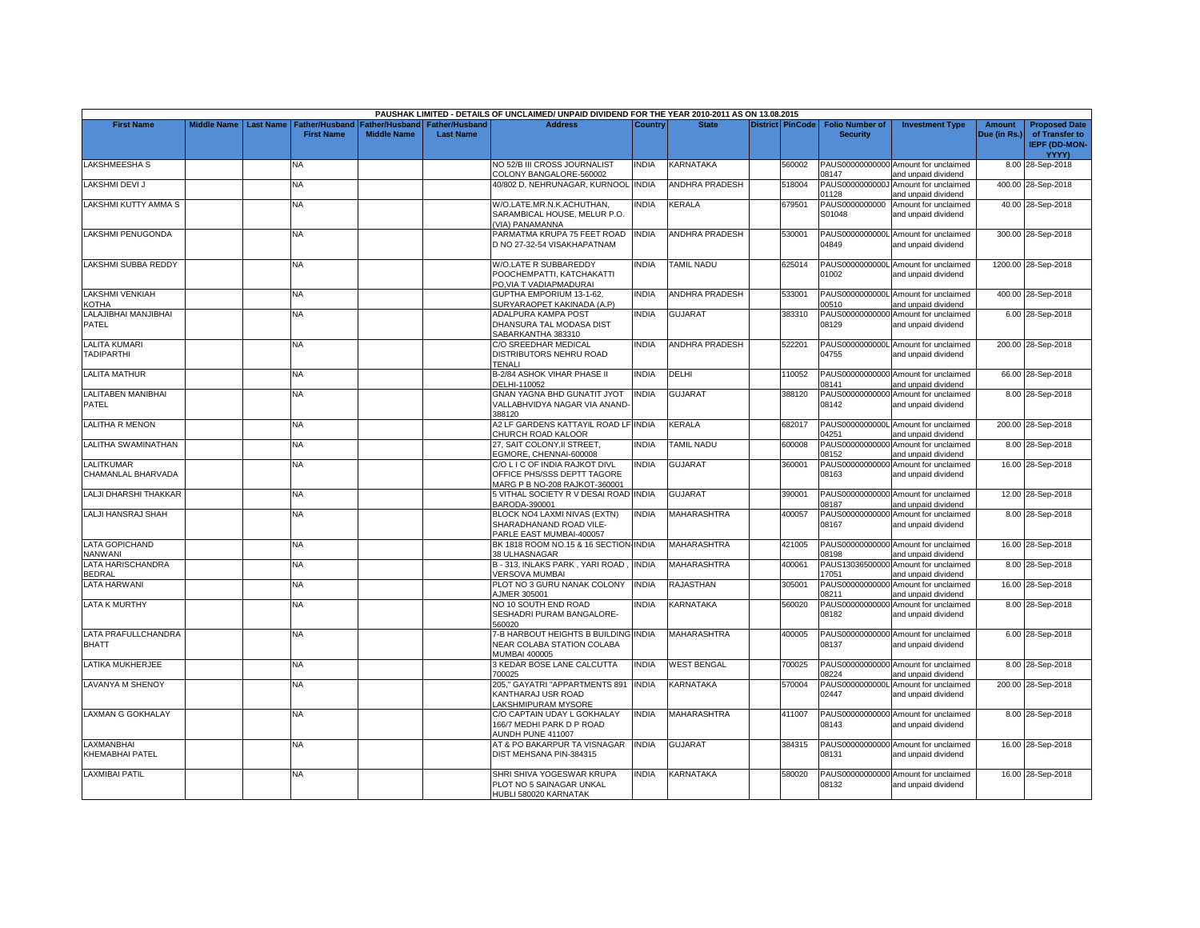|                                           |                    |                  |                                            |                                             |                                    | PAUSHAK LIMITED - DETAILS OF UNCLAIMED/ UNPAID DIVIDEND FOR THE YEAR 2010-2011 AS ON 13.08.2015 |              |                       |                         |                                           |                                                             |                               |                                                                |
|-------------------------------------------|--------------------|------------------|--------------------------------------------|---------------------------------------------|------------------------------------|-------------------------------------------------------------------------------------------------|--------------|-----------------------|-------------------------|-------------------------------------------|-------------------------------------------------------------|-------------------------------|----------------------------------------------------------------|
| <b>First Name</b>                         | <b>Middle Name</b> | <b>Last Name</b> | <b>Father/Husband</b><br><b>First Name</b> | <b>Father/Husband</b><br><b>Middle Name</b> | Father/Husband<br><b>Last Name</b> | <b>Address</b>                                                                                  | Country      | <b>State</b>          | <b>District PinCode</b> | <b>Folio Number of</b><br><b>Security</b> | <b>Investment Type</b>                                      | <b>Amount</b><br>Due (in Rs.) | <b>Proposed Date</b><br>of Transfer to<br><b>IEPF (DD-MON-</b> |
|                                           |                    |                  |                                            |                                             |                                    |                                                                                                 |              |                       |                         |                                           |                                                             |                               | YYYY)                                                          |
| LAKSHMEESHA S                             |                    |                  | NA                                         |                                             |                                    | NO 52/B III CROSS JOURNALIST<br>COLONY BANGALORE-560002                                         | INDIA        | KARNATAKA             | 560002                  | PAUS00000000000<br>08147                  | Amount for unclaimed<br>and unpaid dividend                 |                               | 8.00 28-Sep-2018                                               |
| LAKSHMI DEVI J                            |                    |                  | NA                                         |                                             |                                    | 40/802 D, NEHRUNAGAR, KURNOOL INDIA                                                             |              | <b>ANDHRA PRADESH</b> | 518004                  | PAUS0000000000J<br>01128                  | Amount for unclaimed<br>and unpaid dividend                 |                               | 400.00 28-Sep-2018                                             |
| <b>LAKSHMI KUTTY AMMA S</b>               |                    |                  | <b>NA</b>                                  |                                             |                                    | W/O.LATE.MR.N.K.ACHUTHAN,                                                                       | <b>INDIA</b> | KERALA                | 679501                  | PAUS0000000000                            | Amount for unclaimed                                        |                               | 40.00 28-Sep-2018                                              |
|                                           |                    |                  |                                            |                                             |                                    | SARAMBICAL HOUSE, MELUR P.O.<br>(VIA) PANAMANNA                                                 |              |                       |                         | S01048                                    | and unpaid dividend                                         |                               |                                                                |
| LAKSHMI PENUGONDA                         |                    |                  | <b>NA</b>                                  |                                             |                                    | PARMATMA KRUPA 75 FEET ROAD<br>D NO 27-32-54 VISAKHAPATNAM                                      | <b>INDIA</b> | <b>ANDHRA PRADESH</b> | 530001                  | 04849                                     | PAUS0000000000L Amount for unclaimed<br>and unpaid dividend |                               | 300.00 28-Sep-2018                                             |
| LAKSHMI SUBBA REDDY                       |                    |                  | NA                                         |                                             |                                    | W/O.LATE R SUBBAREDDY<br>POOCHEMPATTI, KATCHAKATTI                                              | INDIA        | <b>TAMIL NADU</b>     | 625014                  | 01002                                     | PAUS0000000000L Amount for unclaimed<br>and unpaid dividend |                               | 1200.00 28-Sep-2018                                            |
| <b>LAKSHMI VENKIAH</b>                    |                    |                  | <b>NA</b>                                  |                                             |                                    | PO, VIA T VADIAPMADURAI<br><b>GUPTHA EMPORIUM 13-1-62.</b>                                      | <b>INDIA</b> | <b>ANDHRA PRADESH</b> | 533001                  |                                           | PAUS0000000000L Amount for unclaimed                        |                               | 400.00 28-Sep-2018                                             |
| <b>KOTHA</b>                              |                    |                  |                                            |                                             |                                    | SURYARAOPET KAKINADA (A.P)                                                                      |              |                       |                         | 00510                                     | and unpaid dividend                                         |                               |                                                                |
| LALAJIBHAI MANJIBHAI<br>PATEL             |                    |                  | NA                                         |                                             |                                    | ADALPURA KAMPA POST<br>DHANSURA TAL MODASA DIST<br>SABARKANTHA 383310                           | <b>INDIA</b> | <b>GUJARAT</b>        | 383310                  | 08129                                     | PAUS00000000000 Amount for unclaimed<br>and unpaid dividend |                               | 6.00 28-Sep-2018                                               |
| <b>LALITA KUMARI</b>                      |                    |                  | NA                                         |                                             |                                    | C/O SREEDHAR MEDICAL                                                                            | <b>INDIA</b> | <b>ANDHRA PRADESH</b> | 522201                  |                                           | PAUS0000000000L Amount for unclaimed                        |                               | 200.00 28-Sep-2018                                             |
| <b>TADIPARTHI</b>                         |                    |                  |                                            |                                             |                                    | DISTRIBUTORS NEHRU ROAD<br>TENALI                                                               |              |                       |                         | 04755                                     | and unpaid dividend                                         |                               |                                                                |
| <b>LALITA MATHUR</b>                      |                    |                  | NA                                         |                                             |                                    | B-2/84 ASHOK VIHAR PHASE II<br>DELHI-110052                                                     | <b>INDIA</b> | DELHI                 | 110052                  | 08141                                     | PAUS00000000000 Amount for unclaimed<br>and unpaid dividend |                               | 66.00 28-Sep-2018                                              |
| LALITABEN MANIBHAI<br>PATEL               |                    |                  | <b>NA</b>                                  |                                             |                                    | <b>GNAN YAGNA BHD GUNATIT JYOT</b><br>VALLABHVIDYA NAGAR VIA ANAND-<br>388120                   | <b>INDIA</b> | <b>GUJARAT</b>        | 388120                  | 08142                                     | PAUS00000000000 Amount for unclaimed<br>and unpaid dividend |                               | 8.00 28-Sep-2018                                               |
| <b>LALITHA R MENON</b>                    |                    |                  | <b>NA</b>                                  |                                             |                                    | A2 LF GARDENS KATTAYIL ROAD LF INDIA<br>CHURCH ROAD KALOOR                                      |              | KERALA                | 682017                  | 04251                                     | PAUS0000000000L Amount for unclaimed<br>and unpaid dividend |                               | 200.00 28-Sep-2018                                             |
| <b>LALITHA SWAMINATHAN</b>                |                    |                  | <b>NA</b>                                  |                                             |                                    | 27. SAIT COLONY.II STREET.                                                                      | <b>INDIA</b> | <b>TAMIL NADU</b>     | 600008                  |                                           | PAUS00000000000 Amount for unclaimed                        |                               | 8.00 28-Sep-2018                                               |
|                                           |                    |                  |                                            |                                             |                                    | EGMORE, CHENNAI-600008                                                                          |              |                       |                         | 08152                                     | and unpaid dividend                                         |                               |                                                                |
| <b>LALITKUMAR</b><br>CHAMANLAL BHARVADA   |                    |                  | NA                                         |                                             |                                    | C/O L I C OF INDIA RAJKOT DIVL<br>OFFICE PHS/SSS DEPTT TAGORE<br>MARG P B NO-208 RAJKOT-360001  | <b>INDIA</b> | <b>GUJARAT</b>        | 360001                  | 08163                                     | PAUS00000000000 Amount for unclaimed<br>and unpaid dividend |                               | 16.00 28-Sep-2018                                              |
| LALJI DHARSHI THAKKAR                     |                    |                  | NA                                         |                                             |                                    | 5 VITHAL SOCIETY R V DESAI ROAD INDIA<br>BARODA-390001                                          |              | <b>GUJARAT</b>        | 390001                  | 08187                                     | PAUS00000000000 Amount for unclaimed<br>and unpaid dividend |                               | 12.00 28-Sep-2018                                              |
| LALJI HANSRAJ SHAH                        |                    |                  | NA.                                        |                                             |                                    | BLOCK NO4 LAXMI NIVAS (EXTN)<br>SHARADHANAND ROAD VILE-<br>PARLE EAST MUMBAI-400057             | <b>INDIA</b> | MAHARASHTRA           | 400057                  | 08167                                     | PAUS00000000000 Amount for unclaimed<br>and unpaid dividend |                               | 8.00 28-Sep-2018                                               |
| <b>LATA GOPICHAND</b><br><b>NANWANI</b>   |                    |                  | <b>NA</b>                                  |                                             |                                    | BK 1818 ROOM NO.15 & 16 SECTION INDIA<br>38 ULHASNAGAR                                          |              | <b>MAHARASHTRA</b>    | 421005                  | 08198                                     | PAUS00000000000 Amount for unclaimed<br>and unpaid dividend |                               | 16.00 28-Sep-2018                                              |
| <b>LATA HARISCHANDRA</b><br><b>BEDRAL</b> |                    |                  | NA.                                        |                                             |                                    | B - 313, INLAKS PARK , YARI ROAD<br><b>VERSOVA MUMBAI</b>                                       | <b>INDIA</b> | MAHARASHTRA           | 400061                  | 17051                                     | PAUS13036500000 Amount for unclaimed<br>and unpaid dividend |                               | 8.00 28-Sep-2018                                               |
| <b>LATA HARWANI</b>                       |                    |                  | NA                                         |                                             |                                    | PLOT NO 3 GURU NANAK COLONY<br>AJMER 305001                                                     | <b>INDIA</b> | RAJASTHAN             | 305001                  | 08211                                     | PAUS00000000000 Amount for unclaimed<br>and unpaid dividend |                               | 16.00 28-Sep-2018                                              |
| <b>LATA K MURTHY</b>                      |                    |                  | NA                                         |                                             |                                    | NO 10 SOUTH END ROAD<br>SESHADRI PURAM BANGALORE-                                               | <b>INDIA</b> | KARNATAKA             | 560020                  | PAUS00000000000<br>08182                  | Amount for unclaimed<br>and unpaid dividend                 |                               | 8.00 28-Sep-2018                                               |
| LATA PRAFULLCHANDRA<br><b>BHATT</b>       |                    |                  | <b>NA</b>                                  |                                             |                                    | 560020<br>-B HARBOUT HEIGHTS B BUILDING INDIA<br>NEAR COLABA STATION COLABA                     |              | <b>MAHARASHTRA</b>    | 400005                  | 08137                                     | PAUS00000000000 Amount for unclaimed<br>and unpaid dividend |                               | 6.00 28-Sep-2018                                               |
| LATIKA MUKHERJEE                          |                    |                  | NA.                                        |                                             |                                    | <b>MUMBAI 400005</b><br>3 KEDAR BOSE LANE CALCUTTA<br>700025                                    | <b>INDIA</b> | <b>WEST BENGAL</b>    | 700025                  | 08224                                     | PAUS00000000000 Amount for unclaimed<br>and unpaid dividend |                               | 8.00 28-Sep-2018                                               |
| <b>LAVANYA M SHENOY</b>                   |                    |                  | <b>NA</b>                                  |                                             |                                    | 205," GAYATRI "APPARTMENTS 891<br>KANTHARAJ USR ROAD<br>LAKSHMIPURAM MYSORE                     | <b>INDIA</b> | KARNATAKA             | 570004                  | 02447                                     | PAUS0000000000L Amount for unclaimed<br>and unpaid dividend |                               | 200.00 28-Sep-2018                                             |
| <b>LAXMAN G GOKHALAY</b>                  |                    |                  | NA.                                        |                                             |                                    | C/O CAPTAIN UDAY L GOKHALAY<br>166/7 MEDHI PARK D P ROAD<br><b>AUNDH PUNE 411007</b>            | <b>INDIA</b> | MAHARASHTRA           | 411007                  | 08143                                     | PAUS00000000000 Amount for unclaimed<br>and unpaid dividend |                               | 8.00 28-Sep-2018                                               |
| <b>LAXMANBHAI</b><br>KHEMABHAI PATEL      |                    |                  | <b>NA</b>                                  |                                             |                                    | AT & PO BAKARPUR TA VISNAGAR<br>DIST MEHSANA PIN-384315                                         | <b>INDIA</b> | <b>GUJARAT</b>        | 384315                  | 08131                                     | PAUS00000000000 Amount for unclaimed<br>and unpaid dividend |                               | 16.00 28-Sep-2018                                              |
| <b>LAXMIBAI PATIL</b>                     |                    |                  | <b>NA</b>                                  |                                             |                                    | SHRI SHIVA YOGESWAR KRUPA<br>PLOT NO 5 SAINAGAR UNKAL<br>HUBLI 580020 KARNATAK                  | <b>INDIA</b> | KARNATAKA             | 580020                  | 08132                                     | PAUS00000000000 Amount for unclaimed<br>and unpaid dividend |                               | 16.00 28-Sep-2018                                              |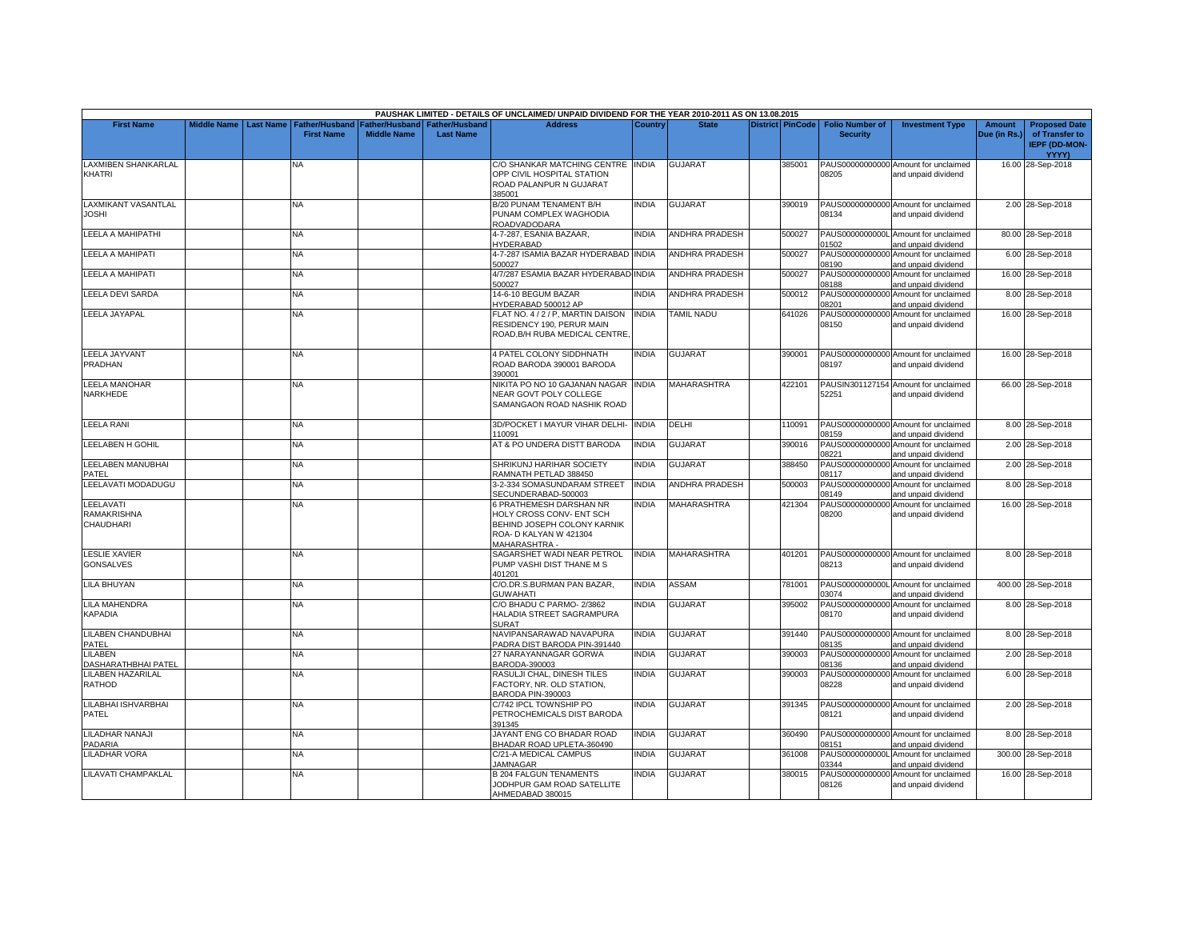|                                              |                    |                  |                                            |                                      |                                           | PAUSHAK LIMITED - DETAILS OF UNCLAIMED/ UNPAID DIVIDEND FOR THE YEAR 2010-2011 AS ON 13.08.2015                               |                |                       |                         |                                           |                                                             |                               |                                                                         |
|----------------------------------------------|--------------------|------------------|--------------------------------------------|--------------------------------------|-------------------------------------------|-------------------------------------------------------------------------------------------------------------------------------|----------------|-----------------------|-------------------------|-------------------------------------------|-------------------------------------------------------------|-------------------------------|-------------------------------------------------------------------------|
| <b>First Name</b>                            | <b>Middle Name</b> | <b>Last Name</b> | <b>Father/Husband</b><br><b>First Name</b> | Father/Husband<br><b>Middle Name</b> | <b>Father/Husband</b><br><b>Last Name</b> | <b>Address</b>                                                                                                                | <b>Country</b> | <b>State</b>          | <b>District PinCode</b> | <b>Folio Number of</b><br><b>Security</b> | <b>Investment Type</b>                                      | <b>Amount</b><br>Due (in Rs.) | <b>Proposed Date</b><br>of Transfer to<br><b>IEPF (DD-MON-</b><br>YYYY) |
| <b>LAXMIBEN SHANKARLAL</b><br><b>KHATRI</b>  |                    |                  | N٨                                         |                                      |                                           | C/O SHANKAR MATCHING CENTRE INDIA<br>OPP CIVIL HOSPITAL STATION<br>ROAD PALANPUR N GUJARAT<br>385001                          |                | <b>GUJARAT</b>        | 385001                  | 08205                                     | PAUS00000000000 Amount for unclaimed<br>and unpaid dividend |                               | 16.00 28-Sep-2018                                                       |
| <b>LAXMIKANT VASANTLAL</b><br><b>JOSHI</b>   |                    |                  | <b>NA</b>                                  |                                      |                                           | B/20 PUNAM TENAMENT B/H<br>PUNAM COMPLEX WAGHODIA<br>ROADVADODARA                                                             | <b>INDIA</b>   | <b>GUJARAT</b>        | 390019                  | 08134                                     | PAUS00000000000 Amount for unclaimed<br>and unpaid dividend |                               | 2.00 28-Sep-2018                                                        |
| LEELA A MAHIPATHI                            |                    |                  | ΝA                                         |                                      |                                           | 4-7-287, ESANIA BAZAAR,<br>HYDERABAD                                                                                          | <b>INDIA</b>   | <b>ANDHRA PRADESH</b> | 500027                  | 01502                                     | PAUS0000000000L Amount for unclaimed<br>and unpaid dividend |                               | 80.00 28-Sep-2018                                                       |
| <b>LEELA A MAHIPATI</b>                      |                    |                  | NA.                                        |                                      |                                           | 4-7-287 ISAMIA BAZAR HYDERABAD INDIA<br>500027                                                                                |                | <b>ANDHRA PRADESH</b> | 500027                  | PAUS00000000000<br>08190                  | Amount for unclaimed<br>and unpaid dividend                 |                               | 6.00 28-Sep-2018                                                        |
| LEELA A MAHIPATI                             |                    |                  | NA                                         |                                      |                                           | 4/7/287 ESAMIA BAZAR HYDERABAD INDIA<br>500027                                                                                |                | ANDHRA PRADESH        | 500027                  | 08188                                     | PAUS00000000000 Amount for unclaimed<br>and unpaid dividend |                               | 16.00 28-Sep-2018                                                       |
| LEELA DEVI SARDA                             |                    |                  | NA                                         |                                      |                                           | 14-6-10 BEGUM BAZAR<br>HYDERABAD 500012 AP                                                                                    | <b>INDIA</b>   | <b>ANDHRA PRADESH</b> | 500012                  | 08201                                     | PAUS00000000000 Amount for unclaimed<br>and unpaid dividend |                               | 8.00 28-Sep-2018                                                        |
| <b>LEELA JAYAPAL</b>                         |                    |                  | NА                                         |                                      |                                           | FLAT NO. 4 / 2 / P, MARTIN DAISON<br>RESIDENCY 190, PERUR MAIN<br>ROAD.B/H RUBA MEDICAL CENTRE.                               | <b>INDIA</b>   | <b>TAMIL NADU</b>     | 641026                  | 08150                                     | PAUS00000000000 Amount for unclaimed<br>and unpaid dividend |                               | 16.00 28-Sep-2018                                                       |
| <b>LEELA JAYVANT</b><br>PRADHAN              |                    |                  | NA                                         |                                      |                                           | 4 PATEL COLONY SIDDHNATH<br>ROAD BARODA 390001 BARODA<br>390001                                                               | <b>INDIA</b>   | GUJARAT               | 390001                  | 08197                                     | PAUS00000000000 Amount for unclaimed<br>and unpaid dividend |                               | 16.00 28-Sep-2018                                                       |
| LEELA MANOHAR<br>NARKHEDE                    |                    |                  | <b>NA</b>                                  |                                      |                                           | NIKITA PO NO 10 GAJANAN NAGAR INDIA<br>NEAR GOVT POLY COLLEGE<br>SAMANGAON ROAD NASHIK ROAD                                   |                | MAHARASHTRA           | 422101                  | 52251                                     | PAUSIN301127154 Amount for unclaimed<br>and unpaid dividend |                               | 66.00 28-Sep-2018                                                       |
| <b>LEELA RANI</b>                            |                    |                  | <b>NA</b>                                  |                                      |                                           | 3D/POCKET I MAYUR VIHAR DELHI-<br>110091                                                                                      | <b>INDIA</b>   | DELHI                 | 110091                  | 08159                                     | PAUS00000000000 Amount for unclaimed<br>and unpaid dividend |                               | 8.00 28-Sep-2018                                                        |
| <b>LEELABEN H GOHIL</b>                      |                    |                  | <b>NA</b>                                  |                                      |                                           | AT & PO UNDERA DISTT BARODA                                                                                                   | <b>INDIA</b>   | GUJARAT               | 390016                  | 08221                                     | PAUS00000000000 Amount for unclaimed<br>and unpaid dividend |                               | 2.00 28-Sep-2018                                                        |
| LEELABEN MANUBHAI<br>PATEL                   |                    |                  | NA                                         |                                      |                                           | SHRIKUNJ HARIHAR SOCIETY<br>RAMNATH PETLAD 388450                                                                             | INDIA          | GUJARAT               | 388450                  | 08117                                     | PAUS00000000000 Amount for unclaimed<br>and unpaid dividend |                               | 2.00 28-Sep-2018                                                        |
| LEELAVATI MODADUGU                           |                    |                  | NA                                         |                                      |                                           | 3-2-334 SOMASUNDARAM STREET<br>SECUNDERABAD-500003                                                                            | <b>INDIA</b>   | <b>ANDHRA PRADESH</b> | 500003                  | 08149                                     | PAUS00000000000 Amount for unclaimed<br>and unpaid dividend |                               | 8.00 28-Sep-2018                                                        |
| LEELAVATI<br><b>RAMAKRISHNA</b><br>CHAUDHARI |                    |                  | <b>NA</b>                                  |                                      |                                           | 6 PRATHEMESH DARSHAN NR<br>HOLY CROSS CONV- ENT SCH<br>BEHIND JOSEPH COLONY KARNIK<br>ROA- D KALYAN W 421304<br>MAHARASHTRA - | <b>INDIA</b>   | MAHARASHTRA           | 421304                  | 08200                                     | PAUS00000000000 Amount for unclaimed<br>and unpaid dividend |                               | 16.00 28-Sep-2018                                                       |
| <b>LESLIE XAVIER</b><br><b>GONSALVES</b>     |                    |                  | NA.                                        |                                      |                                           | SAGARSHET WADI NEAR PETROL<br>PUMP VASHI DIST THANE M S<br>401201                                                             | <b>INDIA</b>   | <b>MAHARASHTRA</b>    | 401201                  | 08213                                     | PAUS00000000000 Amount for unclaimed<br>and unpaid dividend |                               | 8.00 28-Sep-2018                                                        |
| <b>LILA BHUYAN</b>                           |                    |                  | NΑ                                         |                                      |                                           | C/O.DR.S.BURMAN PAN BAZAR,<br><b>GUWAHATI</b>                                                                                 | <b>INDIA</b>   | <b>ASSAM</b>          | 781001                  | 03074                                     | PAUS0000000000L Amount for unclaimed<br>and unpaid dividend |                               | 400.00 28-Sep-2018                                                      |
| <b>LILA MAHENDRA</b><br><b>KAPADIA</b>       |                    |                  | NA                                         |                                      |                                           | C/O BHADU C PARMO-2/3862<br>HALADIA STREET SAGRAMPURA<br><b>SURAT</b>                                                         | <b>INDIA</b>   | GUJARAT               | 395002                  | 08170                                     | PAUS00000000000 Amount for unclaimed<br>and unpaid dividend |                               | 8.00 28-Sep-2018                                                        |
| LILABEN CHANDUBHAI<br>PATEL                  |                    |                  | NA.                                        |                                      |                                           | NAVIPANSARAWAD NAVAPURA<br>PADRA DIST BARODA PIN-391440                                                                       | <b>INDIA</b>   | <b>GUJARAT</b>        | 391440                  | 08135                                     | PAUS00000000000 Amount for unclaimed<br>and unpaid dividend |                               | 8.00 28-Sep-2018                                                        |
| LILABEN<br>DASHARATHBHAI PATEL               |                    |                  | ΝA                                         |                                      |                                           | 27 NARAYANNAGAR GORWA<br>BARODA-390003                                                                                        | <b>INDIA</b>   | <b>GUJARAT</b>        | 390003                  | 08136                                     | PAUS00000000000 Amount for unclaimed<br>and unpaid dividend |                               | 2.00 28-Sep-2018                                                        |
| <b>LILABEN HAZARILAL</b><br>RATHOD           |                    |                  | NA.                                        |                                      |                                           | RASULJI CHAL, DINESH TILES<br>FACTORY, NR. OLD STATION,<br>BARODA PIN-390003                                                  | <b>INDIA</b>   | GUJARAT               | 390003                  | 08228                                     | PAUS00000000000 Amount for unclaimed<br>and unpaid dividend |                               | 6.00 28-Sep-2018                                                        |
| LILABHAI ISHVARBHAI<br><b>PATEL</b>          |                    |                  | NA.                                        |                                      |                                           | C/742 IPCL TOWNSHIP PO<br>PETROCHEMICALS DIST BARODA<br>391345                                                                | <b>INDIA</b>   | <b>GUJARAT</b>        | 391345                  | 08121                                     | PAUS00000000000 Amount for unclaimed<br>and unpaid dividend |                               | 2.00 28-Sep-2018                                                        |
| LILADHAR NANAJI<br><b>ADARIA</b>             |                    |                  | NA                                         |                                      |                                           | JAYANT ENG CO BHADAR ROAD<br>BHADAR ROAD UPLETA-360490                                                                        | <b>INDIA</b>   | GUJARAT               | 360490                  | 08151                                     | PAUS00000000000 Amount for unclaimed<br>and unpaid dividend |                               | 8.00 28-Sep-2018                                                        |
| <b>LILADHAR VORA</b>                         |                    |                  | NA.                                        |                                      |                                           | C/21-A MEDICAL CAMPUS<br><b>JAMNAGAR</b>                                                                                      | <b>INDIA</b>   | <b>GUJARAT</b>        | 361008                  | 03344                                     | PAUS0000000000L Amount for unclaimed<br>and unpaid dividend |                               | 300.00 28-Sep-2018                                                      |
| LILAVATI CHAMPAKLAL                          |                    |                  | ΝA                                         |                                      |                                           | <b>B 204 FALGUN TENAMENTS</b><br>JODHPUR GAM ROAD SATELLITE<br>AHMEDABAD 380015                                               | INDIA          | GUJARAT               | 380015                  | 08126                                     | PAUS00000000000 Amount for unclaimed<br>and unpaid dividend |                               | 16.00 28-Sep-2018                                                       |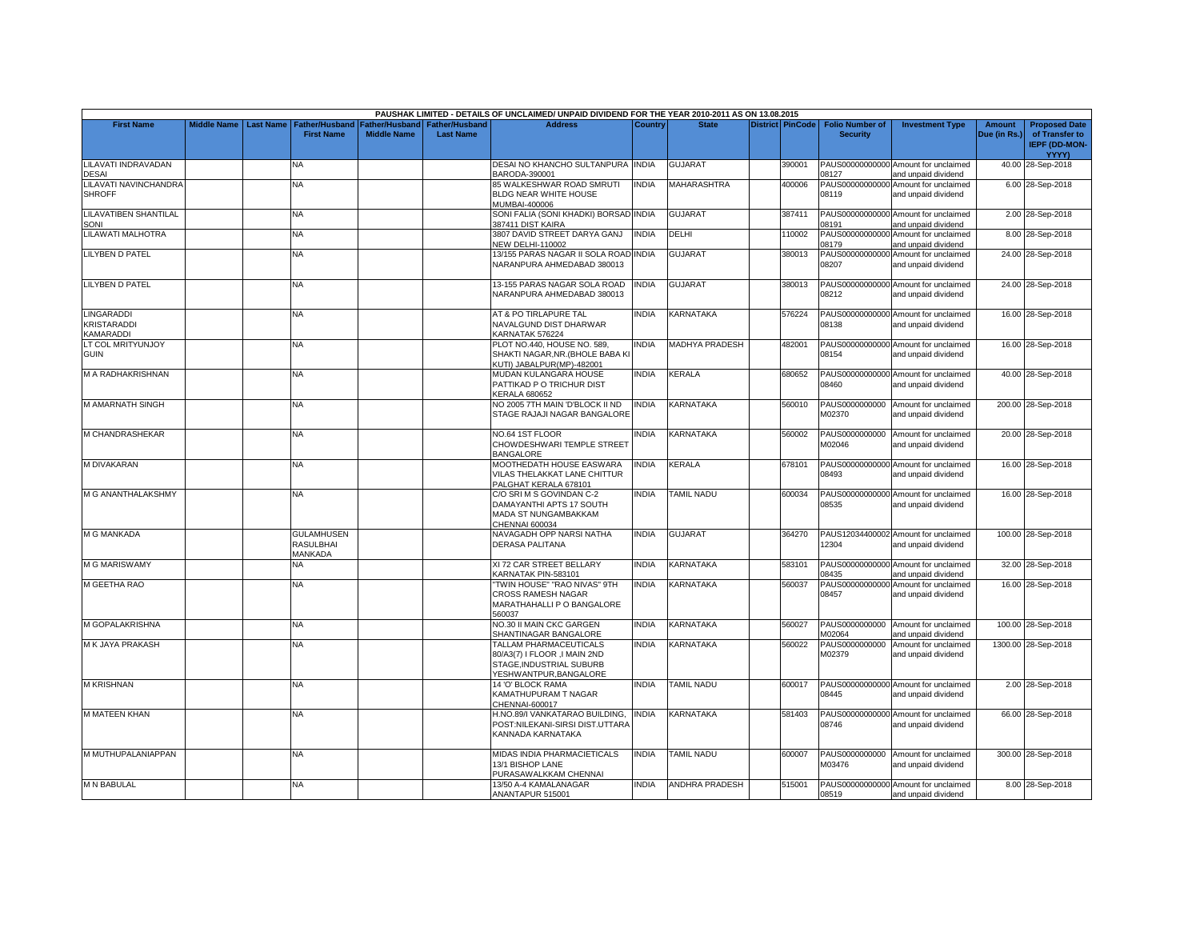|                                                        |                    |                  |                                            |                    |                                                     | PAUSHAK LIMITED - DETAILS OF UNCLAIMED/ UNPAID DIVIDEND FOR THE YEAR 2010-2011 AS ON 13.08.2015               |                |                       |                         |                                           |                                                                                    |                               |                                                                         |
|--------------------------------------------------------|--------------------|------------------|--------------------------------------------|--------------------|-----------------------------------------------------|---------------------------------------------------------------------------------------------------------------|----------------|-----------------------|-------------------------|-------------------------------------------|------------------------------------------------------------------------------------|-------------------------------|-------------------------------------------------------------------------|
| <b>First Name</b>                                      | <b>Middle Name</b> | <b>Last Name</b> | <b>Father/Husband</b><br><b>First Name</b> | <b>Middle Name</b> | Father/Husband   Father/Husband<br><b>Last Name</b> | <b>Address</b>                                                                                                | <b>Country</b> | <b>State</b>          | <b>District PinCode</b> | <b>Folio Number of</b><br><b>Security</b> | <b>Investment Type</b>                                                             | <b>Amount</b><br>Due (in Rs.) | <b>Proposed Date</b><br>of Transfer to<br><b>IEPF (DD-MON-</b><br>YYYY) |
| LILAVATI INDRAVADAN                                    |                    |                  | NA.                                        |                    |                                                     | DESAI NO KHANCHO SULTANPURA INDIA                                                                             |                | <b>GUJARAT</b>        | 390001                  |                                           | PAUS00000000000 Amount for unclaimed                                               |                               | 40.00 28-Sep-2018                                                       |
| <b>DESAI</b><br>LILAVATI NAVINCHANDRA<br><b>SHROFF</b> |                    |                  | <b>NA</b>                                  |                    |                                                     | BARODA-390001<br>85 WALKESHWAR ROAD SMRUTI<br>BLDG NEAR WHITE HOUSE<br>MUMBAI-400006                          | <b>NDIA</b>    | <b>MAHARASHTRA</b>    | 400006                  | 08127<br>08119                            | and unpaid dividend<br>PAUS00000000000 Amount for unclaimed<br>and unpaid dividend |                               | 6.00 28-Sep-2018                                                        |
| <b>LILAVATIBEN SHANTILAL</b><br>SONI                   |                    |                  | NA                                         |                    |                                                     | SONI FALIA (SONI KHADKI) BORSAD INDIA<br>387411 DIST KAIRA                                                    |                | <b>GUJARAT</b>        | 387411                  | 08191                                     | PAUS00000000000 Amount for unclaimed<br>and unpaid dividend                        |                               | 2.00 28-Sep-2018                                                        |
| LILAWATI MALHOTRA                                      |                    |                  | NA                                         |                    |                                                     | 3807 DAVID STREET DARYA GANJ<br><b>NEW DELHI-110002</b>                                                       | <b>NDIA</b>    | DELHI                 | 110002                  | 08179                                     | PAUS00000000000 Amount for unclaimed<br>and unpaid dividend                        |                               | 8.00 28-Sep-2018                                                        |
| <b>LILYBEN D PATEL</b>                                 |                    |                  | NA                                         |                    |                                                     | 13/155 PARAS NAGAR II SOLA ROAD<br>NARANPURA AHMEDABAD 380013                                                 | <b>INDIA</b>   | <b>GUJARAT</b>        | 380013                  | PAUS00000000000<br>08207                  | Amount for unclaimed<br>and unpaid dividend                                        |                               | 24.00 28-Sep-2018                                                       |
| <b>LILYBEN D PATEL</b>                                 |                    |                  | <b>NA</b>                                  |                    |                                                     | 13-155 PARAS NAGAR SOLA ROAD<br>NARANPURA AHMEDABAD 380013                                                    | <b>NDIA</b>    | <b>GUJARAT</b>        | 380013                  | 08212                                     | PAUS00000000000 Amount for unclaimed<br>and unpaid dividend                        |                               | 24.00 28-Sep-2018                                                       |
| <b>LINGARADDI</b><br>KRISTARADDI<br>KAMARADDI          |                    |                  | NA.                                        |                    |                                                     | AT & PO TIRLAPURE TAL<br>NAVALGUND DIST DHARWAR<br>KARNATAK 576224                                            | NDIA           | KARNATAKA             | 576224                  | 08138                                     | PAUS00000000000 Amount for unclaimed<br>and unpaid dividend                        |                               | 16.00 28-Sep-2018                                                       |
| LT COL MRITYUNJOY<br><b>GUIN</b>                       |                    |                  | <b>NA</b>                                  |                    |                                                     | PLOT NO.440, HOUSE NO. 589,<br>SHAKTI NAGAR, NR. (BHOLE BABA KI<br>KUTI) JABALPUR(MP)-482001                  | <b>NDIA</b>    | <b>MADHYA PRADESH</b> | 482001                  | 08154                                     | PAUS00000000000 Amount for unclaimed<br>and unpaid dividend                        |                               | 16.00 28-Sep-2018                                                       |
| M A RADHAKRISHNAN                                      |                    |                  | <b>NA</b>                                  |                    |                                                     | MUDAN KULANGARA HOUSE<br>PATTIKAD P O TRICHUR DIST<br><b>KERALA 680652</b>                                    | <b>NDIA</b>    | KERALA                | 680652                  | 08460                                     | PAUS00000000000 Amount for unclaimed<br>and unpaid dividend                        |                               | 40.00 28-Sep-2018                                                       |
| M AMARNATH SINGH                                       |                    |                  | NA                                         |                    |                                                     | NO 2005 7TH MAIN 'D'BLOCK II ND<br>STAGE RAJAJI NAGAR BANGALORE                                               | <b>INDIA</b>   | KARNATAKA             | 560010                  | M02370                                    | PAUS0000000000 Amount for unclaimed<br>and unpaid dividend                         |                               | 200.00 28-Sep-2018                                                      |
| M CHANDRASHEKAR                                        |                    |                  | NA                                         |                    |                                                     | NO.64 1ST FLOOR<br>CHOWDESHWARI TEMPLE STREET<br><b>BANGALORE</b>                                             | <b>NDIA</b>    | KARNATAKA             | 560002                  | M02046                                    | PAUS0000000000 Amount for unclaimed<br>and unpaid dividend                         |                               | 20.00 28-Sep-2018                                                       |
| M DIVAKARAN                                            |                    |                  | NA.                                        |                    |                                                     | MOOTHEDATH HOUSE EASWARA<br>VILAS THELAKKAT LANE CHITTUR<br>PALGHAT KERALA 678101                             | INDIA          | KERALA                | 678101                  | 08493                                     | PAUS00000000000 Amount for unclaimed<br>and unpaid dividend                        |                               | 16.00 28-Sep-2018                                                       |
| M G ANANTHALAKSHMY                                     |                    |                  | <b>NA</b>                                  |                    |                                                     | C/O SRI M S GOVINDAN C-2<br>DAMAYANTHI APTS 17 SOUTH<br>MADA ST NUNGAMBAKKAM<br>CHENNAI 600034                | <b>NDIA</b>    | <b>TAMIL NADU</b>     | 600034                  | 08535                                     | PAUS00000000000 Amount for unclaimed<br>and unpaid dividend                        |                               | 16.00 28-Sep-2018                                                       |
| <b>M G MANKADA</b>                                     |                    |                  | <b>GULAMHUSEN</b><br>RASULBHAI<br>MANKADA  |                    |                                                     | NAVAGADH OPP NARSI NATHA<br><b>DERASA PALITANA</b>                                                            | <b>NDIA</b>    | <b>GUJARAT</b>        | 364270                  | 12304                                     | PAUS12034400002 Amount for unclaimed<br>and unpaid dividend                        |                               | 100.00 28-Sep-2018                                                      |
| <b>M G MARISWAMY</b>                                   |                    |                  | NA                                         |                    |                                                     | XI 72 CAR STREET BELLARY<br>KARNATAK PIN-583101                                                               | NDIA           | KARNATAKA             | 583101                  | 08435                                     | PAUS00000000000 Amount for unclaimed<br>and unpaid dividend                        |                               | 32.00 28-Sep-2018                                                       |
| M GEETHA RAO                                           |                    |                  | NA                                         |                    |                                                     | TWIN HOUSE" "RAO NIVAS" 9TH<br><b>CROSS RAMESH NAGAR</b><br>MARATHAHALLI P O BANGALORE<br>560037              | INDIA          | KARNATAKA             | 560037                  | 08457                                     | PAUS00000000000 Amount for unclaimed<br>and unpaid dividend                        |                               | 16.00 28-Sep-2018                                                       |
| M GOPALAKRISHNA                                        |                    |                  | NA                                         |                    |                                                     | NO.30 II MAIN CKC GARGEN<br>SHANTINAGAR BANGALORE                                                             | <b>INDIA</b>   | KARNATAKA             | 560027                  | PAUS0000000000<br>M02064                  | Amount for unclaimed<br>and unpaid dividend                                        |                               | 100.00 28-Sep-2018                                                      |
| M K JAYA PRAKASH                                       |                    |                  | <b>NA</b>                                  |                    |                                                     | TALLAM PHARMACEUTICALS<br>80/A3(7) I FLOOR , I MAIN 2ND<br>STAGE, INDUSTRIAL SUBURB<br>YESHWANTPUR, BANGALORE | <b>NDIA</b>    | KARNATAKA             | 560022                  | PAUS0000000000<br>M02379                  | Amount for unclaimed<br>and unpaid dividend                                        |                               | 1300.00 28-Sep-2018                                                     |
| <b>M KRISHNAN</b>                                      |                    |                  | <b>NA</b>                                  |                    |                                                     | 14 'O' BLOCK RAMA<br>KAMATHUPURAM T NAGAR<br>CHENNAI-600017                                                   | <b>NDIA</b>    | <b>TAMIL NADU</b>     | 600017                  | 08445                                     | PAUS00000000000 Amount for unclaimed<br>and unpaid dividend                        |                               | 2.00 28-Sep-2018                                                        |
| <b>M MATEEN KHAN</b>                                   |                    |                  | NA.                                        |                    |                                                     | H.NO.89/I VANKATARAO BUILDING,<br>POST:NILEKANI-SIRSI DIST.UTTARA<br>KANNADA KARNATAKA                        | <b>INDIA</b>   | KARNATAKA             | 581403                  | 08746                                     | PAUS00000000000 Amount for unclaimed<br>and unpaid dividend                        |                               | 66.00 28-Sep-2018                                                       |
| M MUTHUPALANIAPPAN                                     |                    |                  | <b>NA</b>                                  |                    |                                                     | MIDAS INDIA PHARMACIETICALS<br>13/1 BISHOP LANE<br>PURASAWALKKAM CHENNAI                                      | <b>INDIA</b>   | <b>TAMIL NADU</b>     | 600007                  | M03476                                    | PAUS0000000000 Amount for unclaimed<br>and unpaid dividend                         |                               | 300.00 28-Sep-2018                                                      |
| <b>M N BABULAL</b>                                     |                    |                  | <b>NA</b>                                  |                    |                                                     | 13/50 A-4 KAMALANAGAR<br>ANANTAPUR 515001                                                                     | <b>INDIA</b>   | <b>ANDHRA PRADESH</b> | 515001                  | 08519                                     | PAUS00000000000 Amount for unclaimed<br>and unpaid dividend                        |                               | 8.00 28-Sep-2018                                                        |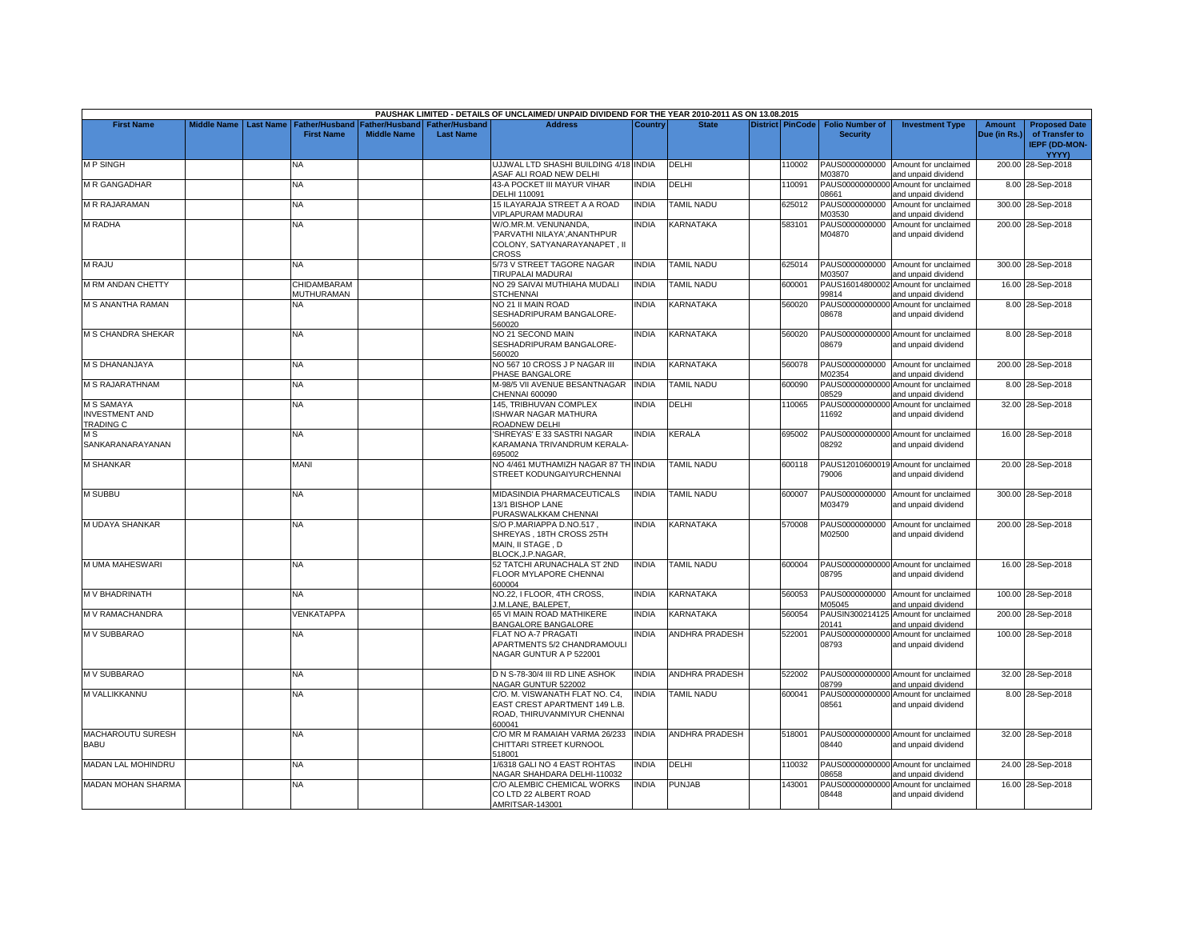|                                                                |                         |                           |                    |                               | PAUSHAK LIMITED - DETAILS OF UNCLAIMED/ UNPAID DIVIDEND FOR THE YEAR 2010-2011 AS ON 13.08.2015          |              |                          |                         |                          |                                                             |              |                                                        |
|----------------------------------------------------------------|-------------------------|---------------------------|--------------------|-------------------------------|----------------------------------------------------------------------------------------------------------|--------------|--------------------------|-------------------------|--------------------------|-------------------------------------------------------------|--------------|--------------------------------------------------------|
| <b>First Name</b>                                              | Middle Name   Last Name | <b>Father/Husband</b>     |                    | Father/Husband Father/Husband | <b>Address</b>                                                                                           | Country      | <b>State</b>             | <b>District PinCode</b> | <b>Folio Number of</b>   | <b>Investment Type</b>                                      | Amount       | <b>Proposed Date</b>                                   |
|                                                                |                         | <b>First Name</b>         | <b>Middle Name</b> | <b>Last Name</b>              |                                                                                                          |              |                          |                         | <b>Security</b>          |                                                             | Due (in Rs.) | of Transfer to<br><b>IEPF (DD-MON-</b><br><b>YYYY)</b> |
| <b>MP SINGH</b>                                                |                         | NΑ                        |                    |                               | UJJWAL LTD SHASHI BUILDING 4/18 INDIA<br><b>ASAF ALI ROAD NEW DELHI</b>                                  |              | DELHI                    | 110002                  | PAUS0000000000<br>M03870 | Amount for unclaimed<br>and unpaid dividend                 |              | 200.00 28-Sep-2018                                     |
| M R GANGADHAR                                                  |                         | NA                        |                    |                               | 43-A POCKET III MAYUR VIHAR<br>DELHI 110091                                                              | INDIA        | DELHI                    | 110091                  | PAUS00000000000<br>08661 | Amount for unclaimed<br>and unpaid dividend                 |              | 8.00 28-Sep-2018                                       |
| M R RAJARAMAN                                                  |                         | NA                        |                    |                               | 15 ILAYARAJA STREET A A ROAD<br>VIPLAPURAM MADURAI                                                       | <b>INDIA</b> | <b>TAMIL NADU</b>        | 625012                  | PAUS0000000000<br>M03530 | Amount for unclaimed<br>and unpaid dividend                 |              | 300.00 28-Sep-2018                                     |
| <b>M RADHA</b>                                                 |                         | NA                        |                    |                               | W/O.MR.M. VENUNANDA,<br>PARVATHI NILAYA', ANANTHPUR<br>COLONY, SATYANARAYANAPET, II<br>CROSS             | <b>INDIA</b> | KARNATAKA                | 583101                  | PAUS0000000000<br>M04870 | Amount for unclaimed<br>and unpaid dividend                 |              | 200.00 28-Sep-2018                                     |
| <b>M RAJU</b>                                                  |                         | NA                        |                    |                               | 5/73 V STREET TAGORE NAGAR<br>TIRUPALAI MADURAI                                                          | <b>INDIA</b> | TAMIL NADU               | 625014                  | PAUS0000000000<br>M03507 | Amount for unclaimed<br>and unpaid dividend                 |              | 300.00 28-Sep-2018                                     |
| M RM ANDAN CHETTY                                              |                         | CHIDAMBARAM<br>MUTHURAMAN |                    |                               | NO 29 SAIVAI MUTHIAHA MUDALI<br><b>STCHENNAI</b>                                                         | <b>INDIA</b> | <b>TAMIL NADU</b>        | 600001                  | PAUS1601480000<br>99814  | Amount for unclaimed<br>and unpaid dividend                 |              | 16.00 28-Sep-2018                                      |
| M S ANANTHA RAMAN                                              |                         | NA                        |                    |                               | NO 21 II MAIN ROAD<br>SESHADRIPURAM BANGALORE-<br>560020                                                 | <b>INDIA</b> | KARNATAKA                | 560020                  | 08678                    | PAUS00000000000 Amount for unclaimed<br>and unpaid dividend |              | 8.00 28-Sep-2018                                       |
| <b>M S CHANDRA SHEKAR</b>                                      |                         | <b>NA</b>                 |                    |                               | NO 21 SECOND MAIN<br>SESHADRIPURAM BANGALORE-<br>560020                                                  | <b>INDIA</b> | KARNATAKA                | 560020                  | 08679                    | PAUS00000000000 Amount for unclaimed<br>and unpaid dividend |              | 8.00 28-Sep-2018                                       |
| M S DHANANJAYA                                                 |                         | NA.                       |                    |                               | NO 567 10 CROSS J P NAGAR III<br>PHASE BANGALORE                                                         | <b>INDIA</b> | KARNATAKA                | 560078                  | PAUS0000000000<br>M02354 | Amount for unclaimed<br>and unpaid dividend                 |              | 200.00 28-Sep-2018                                     |
| M S RAJARATHNAM                                                |                         | <b>NA</b>                 |                    |                               | M-98/5 VII AVENUE BESANTNAGAR<br>CHENNAI 600090                                                          | <b>INDIA</b> | <b><i>FAMIL NADU</i></b> | 600090                  | PAUS00000000000<br>08529 | Amount for unclaimed<br>and unpaid dividend                 |              | 8.00 28-Sep-2018                                       |
| <b>M S SAMAYA</b><br><b>INVESTMENT AND</b><br><b>TRADING C</b> |                         | NA                        |                    |                               | 145, TRIBHUVAN COMPLEX<br>ISHWAR NAGAR MATHURA<br>ROADNEW DELHI                                          | INDIA        | DELHI                    | 110065                  | PAUS00000000000<br>11692 | Amount for unclaimed<br>and unpaid dividend                 |              | 32.00 28-Sep-2018                                      |
| M S<br>SANKARANARAYANAN                                        |                         | <b>NA</b>                 |                    |                               | SHREYAS' E 33 SASTRI NAGAR<br>KARAMANA TRIVANDRUM KERALA<br>695002                                       | <b>INDIA</b> | KERALA                   | 695002                  | 08292                    | PAUS00000000000 Amount for unclaimed<br>and unpaid dividend |              | 16.00 28-Sep-2018                                      |
| <b>M SHANKAR</b>                                               |                         | <b>MANI</b>               |                    |                               | NO 4/461 MUTHAMIZH NAGAR 87 TH INDIA<br>STREET KODUNGAIYURCHENNAI                                        |              | <b>TAMIL NADU</b>        | 600118                  | 79006                    | PAUS12010600019 Amount for unclaimed<br>and unpaid dividend |              | 20.00 28-Sep-2018                                      |
| <b>M SUBBU</b>                                                 |                         | <b>NA</b>                 |                    |                               | MIDASINDIA PHARMACEUTICALS<br>13/1 BISHOP LANE<br>PURASWALKKAM CHENNAI                                   | <b>INDIA</b> | <b>TAMIL NADU</b>        | 600007                  | M03479                   | PAUS0000000000 Amount for unclaimed<br>and unpaid dividend  |              | 300.00 28-Sep-2018                                     |
| M UDAYA SHANKAR                                                |                         | <b>NA</b>                 |                    |                               | S/O P.MARIAPPA D.NO.517,<br>SHREYAS, 18TH CROSS 25TH<br>MAIN. II STAGE . D<br>BLOCK, J.P. NAGAR,         | <b>INDIA</b> | KARNATAKA                | 570008                  | PAUS0000000000<br>M02500 | Amount for unclaimed<br>and unpaid dividend                 |              | 200.00 28-Sep-2018                                     |
| M UMA MAHESWARI                                                |                         | NA                        |                    |                               | 52 TATCHI ARUNACHALA ST 2ND<br>FLOOR MYLAPORE CHENNAI<br>600004                                          | <b>INDIA</b> | TAMIL NADU               | 600004                  | 08795                    | PAUS00000000000 Amount for unclaimed<br>and unpaid dividend |              | 16.00 28-Sep-2018                                      |
| M V BHADRINATH                                                 |                         | NA                        |                    |                               | NO.22, I FLOOR, 4TH CROSS,<br>J.M.LANE, BALEPET                                                          | <b>INDIA</b> | KARNATAKA                | 560053                  | PAUS0000000000<br>M05045 | Amount for unclaimed<br>and unpaid dividend                 |              | 100.00 28-Sep-2018                                     |
| M V RAMACHANDRA                                                |                         | VENKATAPPA                |                    |                               | 65 VI MAIN ROAD MATHIKERE<br>BANGALORE BANGALORE                                                         | INDIA        | KARNATAKA                | 560054                  | PAUSIN300214125<br>20141 | Amount for unclaimed<br>and unpaid dividend                 |              | 200.00 28-Sep-2018                                     |
| M V SUBBARAO                                                   |                         | NA                        |                    |                               | FLAT NO A-7 PRAGATI<br>APARTMENTS 5/2 CHANDRAMOULI<br>NAGAR GUNTUR A P 522001                            | <b>INDIA</b> | <b>ANDHRA PRADESH</b>    | 522001                  | PAUS00000000000<br>08793 | Amount for unclaimed<br>and unpaid dividend                 |              | 100.00 28-Sep-2018                                     |
| M V SUBBARAO                                                   |                         | NA                        |                    |                               | D N S-78-30/4 III RD LINE ASHOK<br>NAGAR GUNTUR 522002                                                   | <b>INDIA</b> | ANDHRA PRADESH           | 522002                  | 08799                    | PAUS00000000000 Amount for unclaimed<br>and unpaid dividend |              | 32.00 28-Sep-2018                                      |
| M VALLIKKANNU                                                  |                         | NA                        |                    |                               | C/O. M. VISWANATH FLAT NO. C4,<br>EAST CREST APARTMENT 149 L.B.<br>ROAD, THIRUVANMIYUR CHENNAI<br>600041 | <b>INDIA</b> | TAMIL NADU               | 600041                  | PAUS00000000000<br>08561 | Amount for unclaimed<br>and unpaid dividend                 |              | 8.00 28-Sep-2018                                       |
| MACHAROUTU SURESH<br><b>BABU</b>                               |                         | NA                        |                    |                               | C/O MR M RAMAIAH VARMA 26/233<br>CHITTARI STREET KURNOOL<br>518001                                       | <b>INDIA</b> | <b>ANDHRA PRADESH</b>    | 518001                  | 08440                    | PAUS00000000000 Amount for unclaimed<br>and unpaid dividend |              | 32.00 28-Sep-2018                                      |
| <b>MADAN LAL MOHINDRU</b>                                      |                         | NA.                       |                    |                               | 1/6318 GALI NO 4 EAST ROHTAS<br>NAGAR SHAHDARA DELHI-110032                                              | <b>INDIA</b> | DELHI                    | 110032                  | 08658                    | PAUS00000000000 Amount for unclaimed<br>and unpaid dividend |              | 24.00 28-Sep-2018                                      |
| <b>MADAN MOHAN SHARMA</b>                                      |                         | <b>NA</b>                 |                    |                               | C/O ALEMBIC CHEMICAL WORKS<br>CO LTD 22 ALBERT ROAD<br>AMRITSAR-143001                                   | <b>INDIA</b> | <b>PUNJAB</b>            | 143001                  | PAUS00000000000<br>08448 | Amount for unclaimed<br>and unpaid dividend                 |              | 16.00 28-Sep-2018                                      |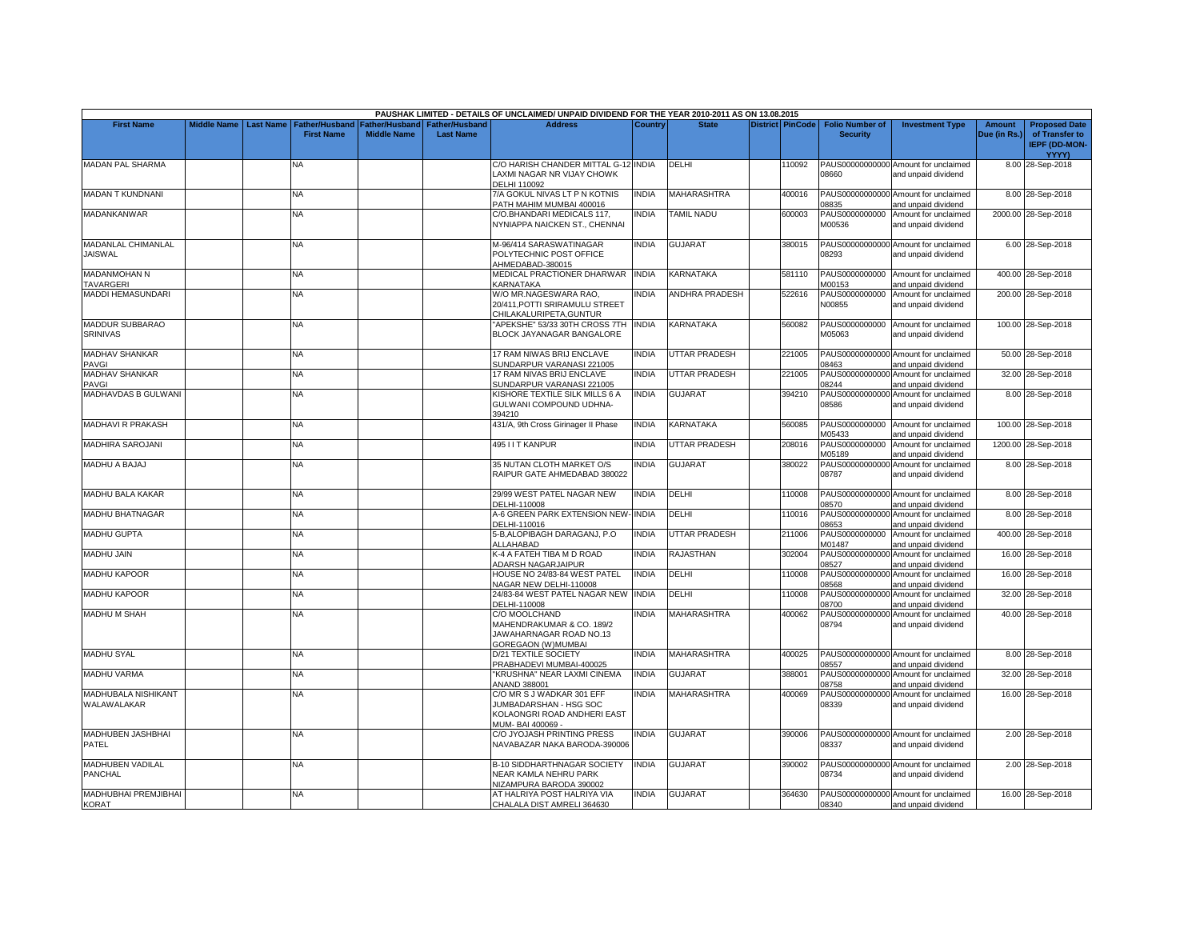|                                             |                         |                                     |                                             |                                           | PAUSHAK LIMITED - DETAILS OF UNCLAIMED/ UNPAID DIVIDEND FOR THE YEAR 2010-2011 AS ON 13.08.2015         |              |                      |                         |                                           |                                                             |                               |                                                                         |
|---------------------------------------------|-------------------------|-------------------------------------|---------------------------------------------|-------------------------------------------|---------------------------------------------------------------------------------------------------------|--------------|----------------------|-------------------------|-------------------------------------------|-------------------------------------------------------------|-------------------------------|-------------------------------------------------------------------------|
| <b>First Name</b>                           | Middle Name   Last Name | Father/Husband<br><b>First Name</b> | <b>Father/Husband</b><br><b>Middle Name</b> | <b>Father/Husband</b><br><b>Last Name</b> | <b>Address</b>                                                                                          | Country      | <b>State</b>         | <b>District PinCode</b> | <b>Folio Number of</b><br><b>Security</b> | <b>Investment Type</b>                                      | <b>Amount</b><br>Due (in Rs.) | <b>Proposed Date</b><br>of Transfer to<br><b>IEPF (DD-MON-</b><br>YYYY) |
| <b>MADAN PAL SHARMA</b>                     |                         | NA                                  |                                             |                                           | C/O HARISH CHANDER MITTAL G-12 INDIA<br>LAXMI NAGAR NR VIJAY CHOWK<br>DELHI 110092                      |              | DELHI                | 110092                  | 08660                                     | PAUS00000000000 Amount for unclaimed<br>and unpaid dividend |                               | 8.00 28-Sep-2018                                                        |
| <b>MADAN T KUNDNANI</b>                     |                         | ΝA                                  |                                             |                                           | 7/A GOKUL NIVAS LT P N KOTNIS<br>PATH MAHIM MUMBAI 400016                                               | <b>NDIA</b>  | <b>MAHARASHTRA</b>   | 400016                  | 08835                                     | PAUS00000000000 Amount for unclaimed<br>and unpaid dividend |                               | 8.00 28-Sep-2018                                                        |
| MADANKANWAR                                 |                         | NA                                  |                                             |                                           | C/O.BHANDARI MEDICALS 117,<br>NYNIAPPA NAICKEN ST., CHENNAI                                             | <b>NDIA</b>  | <b>TAMIL NADU</b>    | 600003                  | PAUS0000000000<br>M00536                  | Amount for unclaimed<br>and unpaid dividend                 |                               | 2000.00 28-Sep-2018                                                     |
| <b>MADANLAL CHIMANLAL</b><br><b>JAISWAL</b> |                         | <b>NA</b>                           |                                             |                                           | M-96/414 SARASWATINAGAR<br>POLYTECHNIC POST OFFICE<br>AHMEDABAD-380015                                  | INDIA        | <b>GUJARAT</b>       | 380015                  | 08293                                     | PAUS00000000000 Amount for unclaimed<br>and unpaid dividend |                               | 6.00 28-Sep-2018                                                        |
| <b>MADANMOHAN N</b><br>TAVARGERI            |                         | <b>NA</b>                           |                                             |                                           | MEDICAL PRACTIONER DHARWAR<br>KARNATAKA                                                                 | <b>INDIA</b> | KARNATAKA            | 581110                  | M00153                                    | PAUS0000000000 Amount for unclaimed<br>and unpaid dividend  |                               | 400.00 28-Sep-2018                                                      |
| MADDI HEMASUNDARI                           |                         | NA.                                 |                                             |                                           | W/O MR.NAGESWARA RAO,<br>20/411. POTTI SRIRAMULU STREET<br>CHILAKALURIPETA, GUNTUR                      | <b>NDIA</b>  | ANDHRA PRADESH       | 522616                  | PAUS0000000000<br>N00855                  | Amount for unclaimed<br>and unpaid dividend                 |                               | 200.00 28-Sep-2018                                                      |
| MADDUR SUBBARAO<br><b>SRINIVAS</b>          |                         | NA                                  |                                             |                                           | APEKSHE" 53/33 30TH CROSS 7TH<br>BLOCK JAYANAGAR BANGALORE                                              | <b>INDIA</b> | KARNATAKA            | 560082                  | M05063                                    | PAUS0000000000 Amount for unclaimed<br>and unpaid dividend  |                               | 100.00 28-Sep-2018                                                      |
| <b>MADHAV SHANKAR</b><br>PAVGI              |                         | <b>NA</b>                           |                                             |                                           | 17 RAM NIWAS BRIJ ENCLAVE<br>SUNDARPUR VARANASI 221005                                                  | <b>NDIA</b>  | <b>UTTAR PRADESH</b> | 221005                  | 08463                                     | PAUS00000000000 Amount for unclaimed<br>and unpaid dividend |                               | 50.00 28-Sep-2018                                                       |
| MADHAV SHANKAR<br>PAVGI                     |                         | NA                                  |                                             |                                           | 17 RAM NIVAS BRIJ ENCLAVE<br>SUNDARPUR VARANASI 221005                                                  | <b>INDIA</b> | UTTAR PRADESH        | 221005                  | PAUS00000000000<br>08244                  | Amount for unclaimed<br>and unpaid dividend                 |                               | 32.00 28-Sep-2018                                                       |
| MADHAVDAS B GULWANI                         |                         | NA.                                 |                                             |                                           | KISHORE TEXTILE SILK MILLS 6 A<br>GULWANI COMPOUND UDHNA-<br>394210                                     | <b>INDIA</b> | <b>GUJARAT</b>       | 394210                  | 08586                                     | PAUS00000000000 Amount for unclaimed<br>and unpaid dividend |                               | 8.00 28-Sep-2018                                                        |
| <b>MADHAVI R PRAKASH</b>                    |                         | <b>NA</b>                           |                                             |                                           | 431/A, 9th Cross Girinager II Phase                                                                     | <b>INDIA</b> | KARNATAKA            | 560085                  | M05433                                    | PAUS0000000000 Amount for unclaimed<br>and unpaid dividend  |                               | 100.00 28-Sep-2018                                                      |
| MADHIRA SAROJANI                            |                         | <b>NA</b>                           |                                             |                                           | 495 I I T KANPUR                                                                                        | <b>INDIA</b> | <b>UTTAR PRADESH</b> | 208016                  | PAUS0000000000<br>M05189                  | Amount for unclaimed<br>and unpaid dividend                 |                               | 1200.00 28-Sep-2018                                                     |
| MADHU A BAJAJ                               |                         | <b>NA</b>                           |                                             |                                           | 35 NUTAN CLOTH MARKET O/S<br>RAIPUR GATE AHMEDABAD 380022                                               | INDIA        | <b>GUJARAT</b>       | 380022                  | PAUS00000000000<br>08787                  | Amount for unclaimed<br>and unpaid dividend                 |                               | 8.00 28-Sep-2018                                                        |
| MADHU BALA KAKAR                            |                         | <b>NA</b>                           |                                             |                                           | 29/99 WEST PATEL NAGAR NEW<br>DELHI-110008                                                              | <b>NDIA</b>  | DELHI                | 110008                  | 08570                                     | PAUS00000000000 Amount for unclaimed<br>and unpaid dividend |                               | 8.00 28-Sep-2018                                                        |
| <b>MADHU BHATNAGAR</b>                      |                         | NA                                  |                                             |                                           | A-6 GREEN PARK EXTENSION NEW<br>DELHI-110016                                                            | <b>INDIA</b> | DELHI                | 110016                  | PAUS00000000000<br>08653                  | Amount for unclaimed<br>and unpaid dividend                 |                               | 8.00 28-Sep-2018                                                        |
| <b>MADHU GUPTA</b>                          |                         | <b>NA</b>                           |                                             |                                           | 5-B, ALOPIBAGH DARAGANJ, P.O<br>ALLAHABAD                                                               | <b>NDIA</b>  | <b>UTTAR PRADESH</b> | 211006                  | PAUS0000000000<br>M01487                  | Amount for unclaimed<br>and unpaid dividend                 |                               | 400.00 28-Sep-2018                                                      |
| <b>MADHU JAIN</b>                           |                         | NΑ                                  |                                             |                                           | K-4 A FATEH TIBA M D ROAD<br>ADARSH NAGARJAIPUR                                                         | <b>INDIA</b> | RAJASTHAN            | 302004                  | PAUS00000000000<br>08527                  | Amount for unclaimed<br>and unpaid dividend                 |                               | 16.00 28-Sep-2018                                                       |
| <b>MADHU KAPOOR</b>                         |                         | <b>NA</b>                           |                                             |                                           | HOUSE NO 24/83-84 WEST PATEL<br>NAGAR NEW DELHI-110008                                                  | INDIA        | DELHI                | 110008                  | PAUS00000000000<br>08568                  | Amount for unclaimed<br>and unpaid dividend                 |                               | 16.00 28-Sep-2018                                                       |
| <b>MADHU KAPOOR</b>                         |                         | <b>NA</b>                           |                                             |                                           | 24/83-84 WEST PATEL NAGAR NEW<br>DELHI-110008                                                           | <b>INDIA</b> | DELHI                | 110008                  | PAUS00000000000<br>08700                  | Amount for unclaimed<br>and unpaid dividend                 |                               | 32.00 28-Sep-2018                                                       |
| <b>MADHU M SHAH</b>                         |                         | NA                                  |                                             |                                           | C/O MOOLCHAND<br>MAHENDRAKUMAR & CO. 189/2<br>JAWAHARNAGAR ROAD NO.13<br>GOREGAON (W)MUMBAI             | <b>NDIA</b>  | <b>MAHARASHTRA</b>   | 400062                  | PAUS00000000000<br>08794                  | Amount for unclaimed<br>and unpaid dividend                 |                               | 40.00 28-Sep-2018                                                       |
| <b>MADHU SYAL</b>                           |                         | <b>NA</b>                           |                                             |                                           | D/21 TEXTILE SOCIETY<br>PRABHADEVI MUMBAI-400025                                                        | <b>NDIA</b>  | <b>MAHARASHTRA</b>   | 400025                  | 08557                                     | PAUS00000000000 Amount for unclaimed<br>and unpaid dividend |                               | 8.00 28-Sep-2018                                                        |
| <b>MADHU VARMA</b>                          |                         | <b>NA</b>                           |                                             |                                           | "KRUSHNA" NEAR LAXMI CINEMA<br>ANAND 388001                                                             | <b>INDIA</b> | <b>GUJARAT</b>       | 388001                  | 08758                                     | PAUS00000000000 Amount for unclaimed<br>and unpaid dividend |                               | 32.00 28-Sep-2018                                                       |
| <b>MADHUBALA NISHIKANT</b><br>WALAWALAKAR   |                         | NA.                                 |                                             |                                           | C/O MR S J WADKAR 301 EFF<br>JUMBADARSHAN - HSG SOC<br>KOLAONGRI ROAD ANDHERI EAST<br>MUM- BAI 400069 - | <b>NDIA</b>  | <b>MAHARASHTRA</b>   | 400069                  | PAUS00000000000<br>08339                  | Amount for unclaimed<br>and unpaid dividend                 |                               | 16.00 28-Sep-2018                                                       |
| MADHUBEN JASHBHAI<br>PATEL                  |                         | NA                                  |                                             |                                           | C/O JYOJASH PRINTING PRESS<br>NAVABAZAR NAKA BARODA-390006                                              | <b>INDIA</b> | <b>GUJARAT</b>       | 390006                  | 08337                                     | PAUS00000000000 Amount for unclaimed<br>and unpaid dividend |                               | 2.00 28-Sep-2018                                                        |
| <b>MADHUBEN VADILAL</b><br><b>PANCHAL</b>   |                         | NA                                  |                                             |                                           | <b>B-10 SIDDHARTHNAGAR SOCIETY</b><br>NEAR KAMLA NEHRU PARK<br>NIZAMPURA BARODA 390002                  | INDIA        | <b>GUJARAT</b>       | 390002                  | 08734                                     | PAUS00000000000 Amount for unclaimed<br>and unpaid dividend |                               | 2.00 28-Sep-2018                                                        |
| MADHUBHAI PREMJIBHAI<br><b>KORAT</b>        |                         | <b>NA</b>                           |                                             |                                           | AT HALRIYA POST HALRIYA VIA<br>CHALALA DIST AMRELI 364630                                               | <b>NDIA</b>  | <b>GUJARAT</b>       | 364630                  | 08340                                     | PAUS00000000000 Amount for unclaimed<br>and unpaid dividend |                               | 16.00 28-Sep-2018                                                       |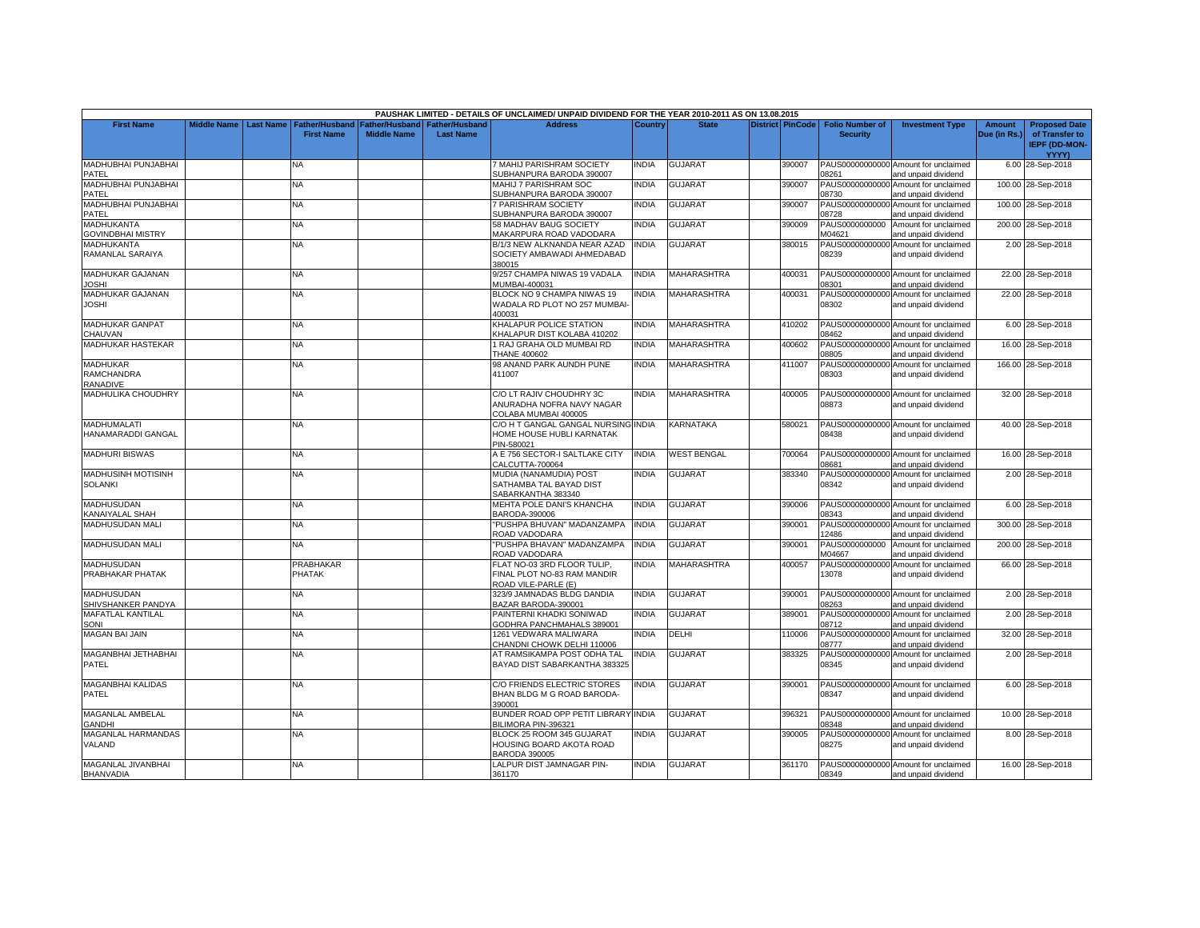|                                  |                         |                       |                    |                                      | PAUSHAK LIMITED - DETAILS OF UNCLAIMED/ UNPAID DIVIDEND FOR THE YEAR 2010-2011 AS ON 13.08.2015 |                |                    |        |                                  |                                                             |              |                      |
|----------------------------------|-------------------------|-----------------------|--------------------|--------------------------------------|-------------------------------------------------------------------------------------------------|----------------|--------------------|--------|----------------------------------|-------------------------------------------------------------|--------------|----------------------|
| <b>First Name</b>                | Middle Name   Last Name | <b>Father/Husband</b> |                    | <b>Father/Husband Father/Husband</b> | <b>Address</b>                                                                                  | <b>Country</b> | <b>State</b>       |        | District PinCode Folio Number of | <b>Investment Type</b>                                      | Amount       | <b>Proposed Date</b> |
|                                  |                         | <b>First Name</b>     | <b>Middle Name</b> | <b>Last Name</b>                     |                                                                                                 |                |                    |        | <b>Security</b>                  |                                                             | Due (in Rs.) | of Transfer to       |
|                                  |                         |                       |                    |                                      |                                                                                                 |                |                    |        |                                  |                                                             |              | IEPF (DD-MON-        |
|                                  |                         |                       |                    |                                      |                                                                                                 |                |                    |        |                                  |                                                             |              | YYYY)                |
| MADHUBHAI PUNJABHAI              |                         | NA                    |                    |                                      | MAHIJ PARISHRAM SOCIETY                                                                         | INDIA          | <b>GUJARAT</b>     | 390007 |                                  | PAUS00000000000 Amount for unclaimed                        |              | 6.00 28-Sep-2018     |
| PATEL                            |                         |                       |                    |                                      | SUBHANPURA BARODA 390007                                                                        |                |                    |        | 08261                            | and unpaid dividend                                         |              |                      |
| MADHUBHAI PUNJABHAI              |                         | <b>NA</b>             |                    |                                      | MAHIJ 7 PARISHRAM SOC                                                                           | <b>INDIA</b>   | <b>GUJARAT</b>     | 390007 |                                  | PAUS00000000000 Amount for unclaimed                        |              | 100.00 28-Sep-2018   |
| PATEL                            |                         |                       |                    |                                      | SUBHANPURA BARODA 390007                                                                        |                |                    |        | 08730                            | and unpaid dividend                                         |              |                      |
| MADHUBHAI PUNJABHAI              |                         | NΑ                    |                    |                                      | 7 PARISHRAM SOCIETY                                                                             | <b>INDIA</b>   | <b>GUJARAT</b>     | 390007 |                                  | PAUS00000000000 Amount for unclaimed                        |              | 100.00 28-Sep-2018   |
| PATEL                            |                         |                       |                    |                                      | SUBHANPURA BARODA 390007                                                                        |                |                    |        | 08728                            | and unpaid dividend                                         |              |                      |
| <b>MADHUKANTA</b>                |                         | <b>NA</b>             |                    |                                      | 58 MADHAV BAUG SOCIETY                                                                          | INDIA          | <b>GUJARAT</b>     | 390009 | PAUS0000000000                   | Amount for unclaimed                                        |              | 200.00 28-Sep-2018   |
| <b>GOVINDBHAI MISTRY</b>         |                         |                       |                    |                                      | MAKARPURA ROAD VADODARA                                                                         |                |                    |        | M04621                           | and unpaid dividend                                         |              |                      |
| MADHUKANTA                       |                         | ΝA                    |                    |                                      | B/1/3 NEW ALKNANDA NEAR AZAD                                                                    | <b>NDIA</b>    | <b>GUJARAT</b>     | 380015 |                                  | PAUS00000000000 Amount for unclaimed                        |              | 2.00 28-Sep-2018     |
| RAMANLAL SARAIYA                 |                         |                       |                    |                                      | SOCIETY AMBAWADI AHMEDABAD                                                                      |                |                    |        | 08239                            | and unpaid dividend                                         |              |                      |
| MADHUKAR GAJANAN                 |                         | <b>NA</b>             |                    |                                      | 380015                                                                                          | <b>INDIA</b>   | MAHARASHTRA        | 400031 |                                  | PAUS00000000000 Amount for unclaimed                        |              |                      |
|                                  |                         |                       |                    |                                      | 9/257 CHAMPA NIWAS 19 VADALA                                                                    |                |                    |        |                                  |                                                             |              | 22.00 28-Sep-2018    |
| <b>JOSHI</b><br>MADHUKAR GAJANAN |                         | <b>NA</b>             |                    |                                      | MUMBAI-400031<br>BLOCK NO 9 CHAMPA NIWAS 19                                                     | <b>INDIA</b>   | <b>MAHARASHTRA</b> | 400031 | 08301                            | and unpaid dividend<br>PAUS00000000000 Amount for unclaimed |              |                      |
| <b>JOSHI</b>                     |                         |                       |                    |                                      | WADALA RD PLOT NO 257 MUMBAI                                                                    |                |                    |        | 08302                            |                                                             |              | 22.00 28-Sep-2018    |
|                                  |                         |                       |                    |                                      | 400031                                                                                          |                |                    |        |                                  | and unpaid dividend                                         |              |                      |
| MADHUKAR GANPAT                  |                         | NA                    |                    |                                      | KHALAPUR POLICE STATION                                                                         | <b>INDIA</b>   | <b>MAHARASHTRA</b> | 410202 |                                  | PAUS00000000000 Amount for unclaimed                        |              | 6.00 28-Sep-2018     |
| CHAUVAN                          |                         |                       |                    |                                      | KHALAPUR DIST KOLABA 410202                                                                     |                |                    |        | 08462                            | and unpaid dividend                                         |              |                      |
| MADHUKAR HASTEKAR                |                         | NΑ                    |                    |                                      | RAJ GRAHA OLD MUMBAI RD                                                                         | <b>INDIA</b>   | <b>MAHARASHTRA</b> | 400602 | PAUS00000000000                  | Amount for unclaimed                                        |              | 16.00 28-Sep-2018    |
|                                  |                         |                       |                    |                                      | <b>THANE 400602</b>                                                                             |                |                    |        | 08805                            | and unpaid dividend                                         |              |                      |
| <b>MADHUKAR</b>                  |                         | NA                    |                    |                                      | 98 ANAND PARK AUNDH PUNE                                                                        | INDIA          | MAHARASHTRA        | 411007 |                                  | PAUS00000000000 Amount for unclaimed                        |              | 166.00 28-Sep-2018   |
| RAMCHANDRA                       |                         |                       |                    |                                      | 411007                                                                                          |                |                    |        | 08303                            | and unpaid dividend                                         |              |                      |
| RANADIVE                         |                         |                       |                    |                                      |                                                                                                 |                |                    |        |                                  |                                                             |              |                      |
| MADHULIKA CHOUDHRY               |                         | NA                    |                    |                                      | C/O LT RAJIV CHOUDHRY 3C                                                                        | INDIA          | <b>MAHARASHTRA</b> | 400005 |                                  | PAUS00000000000 Amount for unclaimed                        |              | 32.00 28-Sep-2018    |
|                                  |                         |                       |                    |                                      | ANURADHA NOFRA NAVY NAGAR                                                                       |                |                    |        | 08873                            | and unpaid dividend                                         |              |                      |
|                                  |                         |                       |                    |                                      | COLABA MUMBAI 400005                                                                            |                |                    |        |                                  |                                                             |              |                      |
| <b>MADHUMALATI</b>               |                         | <b>NA</b>             |                    |                                      | C/O H T GANGAL GANGAL NURSING INDIA                                                             |                | KARNATAKA          | 580021 |                                  | PAUS00000000000 Amount for unclaimed                        |              | 40.00 28-Sep-2018    |
| HANAMARADDI GANGAL               |                         |                       |                    |                                      | HOME HOUSE HUBLI KARNATAK                                                                       |                |                    |        | 08438                            | and unpaid dividend                                         |              |                      |
|                                  |                         |                       |                    |                                      | PIN-580021                                                                                      |                |                    |        |                                  |                                                             |              |                      |
| <b>MADHURI BISWAS</b>            |                         | NΑ                    |                    |                                      | <b>A E 756 SECTOR-I SALTLAKE CITY</b>                                                           | <b>INDIA</b>   | <b>WEST BENGAL</b> | 700064 |                                  | PAUS00000000000 Amount for unclaimed                        |              | 16.00 28-Sep-2018    |
|                                  |                         |                       |                    |                                      | CALCUTTA-700064                                                                                 |                |                    |        | 08681                            | and unpaid dividend                                         |              |                      |
| <b>MADHUSINH MOTISINH</b>        |                         | <b>NA</b>             |                    |                                      | MUDIA (NANAMUDIA) POST                                                                          | <b>INDIA</b>   | <b>GUJARAT</b>     | 383340 |                                  | PAUS00000000000 Amount for unclaimed                        |              | 2.00 28-Sep-2018     |
| <b>SOLANKI</b>                   |                         |                       |                    |                                      | SATHAMBA TAL BAYAD DIST                                                                         |                |                    |        | 08342                            | and unpaid dividend                                         |              |                      |
|                                  |                         |                       |                    |                                      | SABARKANTHA 383340                                                                              |                |                    |        |                                  |                                                             |              |                      |
| <b>MADHUSUDAN</b>                |                         | NA                    |                    |                                      | MEHTA POLE DANI'S KHANCHA                                                                       | INDIA          | <b>GUJARAT</b>     | 390006 |                                  | PAUS00000000000 Amount for unclaimed                        |              | 6.00 28-Sep-2018     |
| KANAIYALAL SHAH                  |                         |                       |                    |                                      | BARODA-390006                                                                                   |                |                    |        | 08343                            | and unpaid dividend                                         |              |                      |
| MADHUSUDAN MALI                  |                         | NA                    |                    |                                      | PUSHPA BHUVAN" MADANZAMPA                                                                       | <b>INDIA</b>   | <b>GUJARAT</b>     | 390001 |                                  | PAUS00000000000 Amount for unclaimed                        |              | 300.00 28-Sep-2018   |
|                                  |                         |                       |                    |                                      | ROAD VADODARA                                                                                   |                |                    |        | 12486                            | and unpaid dividend                                         |              |                      |
| MADHUSUDAN MALI                  |                         | <b>NA</b>             |                    |                                      | 'PUSHPA BHAVAN" MADANZAMPA                                                                      | <b>INDIA</b>   | <b>GUJARAT</b>     | 390001 | PAUS0000000000                   | Amount for unclaimed                                        |              | 200.00 28-Sep-2018   |
|                                  |                         |                       |                    |                                      | ROAD VADODARA                                                                                   |                |                    |        | M04667                           | and unpaid dividend                                         |              |                      |
| MADHUSUDAN                       |                         | PRABHAKAR             |                    |                                      | FLAT NO-03 3RD FLOOR TULIP,                                                                     | INDIA          | MAHARASHTRA        | 400057 | PAUS00000000000                  | 0 Amount for unclaimed                                      |              | 66.00 28-Sep-2018    |
| PRABHAKAR PHATAK                 |                         | PHATAK                |                    |                                      | FINAL PLOT NO-83 RAM MANDIR                                                                     |                |                    |        | 13078                            | and unpaid dividend                                         |              |                      |
|                                  |                         |                       |                    |                                      | ROAD VILE-PARLE (E)                                                                             |                |                    |        |                                  |                                                             |              |                      |
| <b>MADHUSUDAN</b>                |                         | NA                    |                    |                                      | 323/9 JAMNADAS BLDG DANDIA                                                                      | <b>INDIA</b>   | <b>GUJARAT</b>     | 390001 |                                  | PAUS00000000000 Amount for unclaimed                        |              | 2.00 28-Sep-2018     |
| SHIVSHANKER PANDYA               |                         |                       |                    |                                      | BAZAR BARODA-390001                                                                             |                |                    |        | 08263                            | and unpaid dividend                                         |              |                      |
| <b>MAFATLAL KANTILAL</b>         |                         | NA                    |                    |                                      | PAINTERNI KHADKI SONIWAD                                                                        | INDIA          | <b>GUJARAT</b>     | 389001 |                                  | PAUS00000000000 Amount for unclaimed                        |              | 2.00 28-Sep-2018     |
| SONI                             |                         |                       |                    |                                      | GODHRA PANCHMAHALS 389001                                                                       |                |                    |        | 08712                            | and unpaid dividend                                         |              |                      |
| <b>MAGAN BAI JAIN</b>            |                         | NA                    |                    |                                      | 1261 VEDWARA MALIWARA                                                                           | <b>INDIA</b>   | DELHI              | 110006 |                                  | PAUS00000000000 Amount for unclaimed                        |              | 32.00 28-Sep-2018    |
|                                  |                         |                       |                    |                                      | CHANDNI CHOWK DELHI 110006                                                                      |                |                    |        | 08777                            | and unpaid dividend                                         |              |                      |
| MAGANBHAI JETHABHAI              |                         | <b>NA</b>             |                    |                                      | AT RAMSIKAMPA POST ODHA TAL                                                                     | <b>INDIA</b>   | <b>GUJARAT</b>     | 383325 |                                  | PAUS00000000000 Amount for unclaimed                        |              | 2.00 28-Sep-2018     |
| PATEL                            |                         |                       |                    |                                      | BAYAD DIST SABARKANTHA 383325                                                                   |                |                    |        | 08345                            | and unpaid dividend                                         |              |                      |
|                                  |                         |                       |                    |                                      |                                                                                                 |                |                    |        |                                  |                                                             |              |                      |
| MAGANBHAI KALIDAS                |                         | <b>NA</b>             |                    |                                      | C/O FRIENDS ELECTRIC STORES                                                                     | <b>NDIA</b>    | <b>GUJARAT</b>     | 390001 |                                  | PAUS00000000000 Amount for unclaimed                        |              | 6.00 28-Sep-2018     |
| PATEL                            |                         |                       |                    |                                      | BHAN BLDG M G ROAD BARODA-                                                                      |                |                    |        | 08347                            | and unpaid dividend                                         |              |                      |
| MAGANLAL AMBELAL                 |                         |                       |                    |                                      | 390001<br>BUNDER ROAD OPP PETIT LIBRARY INDIA                                                   |                | <b>GUJARAT</b>     | 396321 |                                  |                                                             |              |                      |
|                                  |                         | ΝA                    |                    |                                      |                                                                                                 |                |                    |        |                                  | PAUS00000000000 Amount for unclaimed                        |              | 10.00 28-Sep-2018    |
| GANDHI<br>MAGANLAL HARMANDAS     |                         | <b>NA</b>             |                    |                                      | BILIMORA PIN-396321<br>BLOCK 25 ROOM 345 GUJARAT                                                | <b>INDIA</b>   | <b>GUJARAT</b>     | 390005 | 08348                            | and unpaid dividend<br>PAUS00000000000 Amount for unclaimed |              | 8.00 28-Sep-2018     |
| VALAND                           |                         |                       |                    |                                      | HOUSING BOARD AKOTA ROAD                                                                        |                |                    |        | 08275                            | and unpaid dividend                                         |              |                      |
|                                  |                         |                       |                    |                                      | <b>BARODA 390005</b>                                                                            |                |                    |        |                                  |                                                             |              |                      |
| MAGANLAL JIVANBHAI               |                         | NA                    |                    |                                      | LALPUR DIST JAMNAGAR PIN-                                                                       | INDIA          | <b>GUJARAT</b>     | 361170 |                                  | PAUS00000000000 Amount for unclaimed                        |              | 16.00 28-Sep-2018    |
| <b>BHANVADIA</b>                 |                         |                       |                    |                                      | 361170                                                                                          |                |                    |        | 08349                            | and unpaid dividend                                         |              |                      |
|                                  |                         |                       |                    |                                      |                                                                                                 |                |                    |        |                                  |                                                             |              |                      |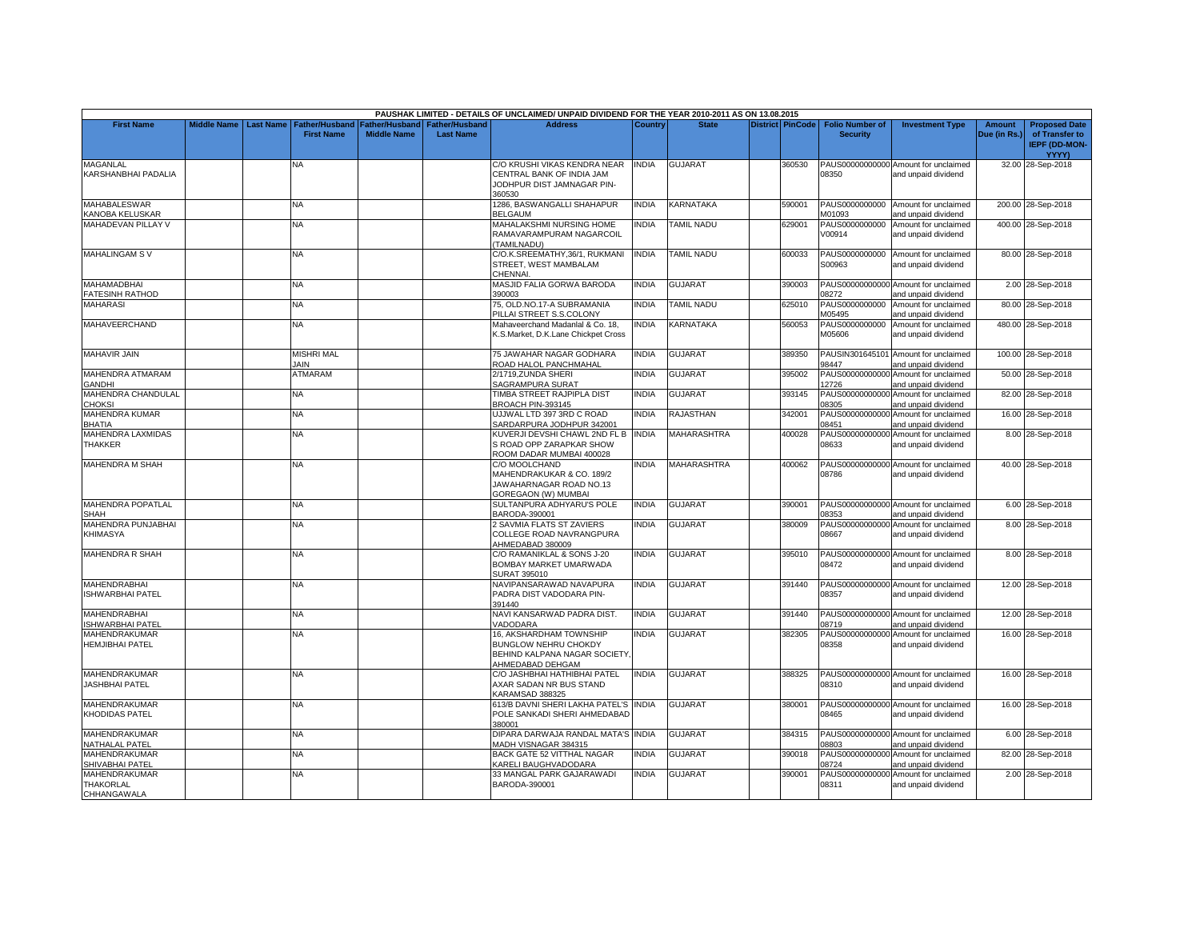|                                                         |                    |                  |                                            |                                             |                                           | PAUSHAK LIMITED - DETAILS OF UNCLAIMED/ UNPAID DIVIDEND FOR THE YEAR 2010-2011 AS ON 13.08.2015      |              |                    |                         |                                           |                                                             |                               |                                                                         |
|---------------------------------------------------------|--------------------|------------------|--------------------------------------------|---------------------------------------------|-------------------------------------------|------------------------------------------------------------------------------------------------------|--------------|--------------------|-------------------------|-------------------------------------------|-------------------------------------------------------------|-------------------------------|-------------------------------------------------------------------------|
| <b>First Name</b>                                       | <b>Middle Name</b> | <b>Last Name</b> | <b>Father/Husband</b><br><b>First Name</b> | <b>Father/Husband</b><br><b>Middle Name</b> | <b>Father/Husband</b><br><b>Last Name</b> | <b>Address</b>                                                                                       | Country      | <b>State</b>       | <b>District PinCode</b> | <b>Folio Number of</b><br><b>Security</b> | <b>Investment Type</b>                                      | <b>Amount</b><br>Due (in Rs.) | <b>Proposed Date</b><br>of Transfer to<br><b>IEPF (DD-MON-</b><br>YYYY) |
| <b>MAGANLAL</b><br>KARSHANBHAI PADALIA                  |                    |                  | N٨                                         |                                             |                                           | C/O KRUSHI VIKAS KENDRA NEAR<br>CENTRAL BANK OF INDIA JAM<br>JODHPUR DIST JAMNAGAR PIN-<br>360530    | <b>INDIA</b> | <b>GUJARAT</b>     | 360530                  | 08350                                     | PAUS00000000000 Amount for unclaimed<br>and unpaid dividend |                               | 32.00 28-Sep-2018                                                       |
| <b>MAHABALESWAR</b><br>KANOBA KELUSKAR                  |                    |                  | <b>NA</b>                                  |                                             |                                           | 1286, BASWANGALLI SHAHAPUR<br><b>BELGAUM</b>                                                         | <b>INDIA</b> | KARNATAKA          | 590001                  | M01093                                    | PAUS0000000000 Amount for unclaimed<br>and unpaid dividend  |                               | 200.00 28-Sep-2018                                                      |
| <b>MAHADEVAN PILLAY V</b>                               |                    |                  | NA                                         |                                             |                                           | MAHALAKSHMI NURSING HOME<br>RAMAVARAMPURAM NAGARCOIL<br><b>TAMILNADU)</b>                            | <b>INDIA</b> | <b>TAMIL NADU</b>  | 629001                  | PAUS0000000000<br>V00914                  | Amount for unclaimed<br>and unpaid dividend                 |                               | 400.00 28-Sep-2018                                                      |
| <b>MAHALINGAM SV</b>                                    |                    |                  | NA.                                        |                                             |                                           | C/O.K.SREEMATHY,36/1, RUKMANI<br>STREET, WEST MAMBALAM<br>CHENNAI                                    | <b>INDIA</b> | <b>TAMIL NADU</b>  | 600033                  | PAUS0000000000<br>S00963                  | Amount for unclaimed<br>and unpaid dividend                 |                               | 80.00 28-Sep-2018                                                       |
| <b>MAHAMADBHAI</b><br><b>FATESINH RATHOD</b>            |                    |                  | NA.                                        |                                             |                                           | MASJID FALIA GORWA BARODA<br>390003                                                                  | <b>INDIA</b> | <b>GUJARAT</b>     | 390003                  | 08272                                     | PAUS00000000000 Amount for unclaimed<br>and unpaid dividend |                               | 2.00 28-Sep-2018                                                        |
| <b>MAHARASI</b>                                         |                    |                  | NA                                         |                                             |                                           | 75, OLD.NO.17-A SUBRAMANIA<br>PILLAI STREET S.S.COLONY                                               | <b>INDIA</b> | <b>TAMIL NADU</b>  | 625010                  | PAUS0000000000<br>M05495                  | Amount for unclaimed<br>and unpaid dividend                 |                               | 80.00 28-Sep-2018                                                       |
| MAHAVEERCHAND                                           |                    |                  | <b>NA</b>                                  |                                             |                                           | Mahaveerchand Madanlal & Co. 18,<br>K.S.Market, D.K.Lane Chickpet Cross                              | <b>INDIA</b> | KARNATAKA          | 560053                  | PAUS0000000000<br>M05606                  | Amount for unclaimed<br>and unpaid dividend                 |                               | 480.00 28-Sep-2018                                                      |
| <b>MAHAVIR JAIN</b>                                     |                    |                  | <b>MISHRI MAL</b><br><b>JAIN</b>           |                                             |                                           | 75 JAWAHAR NAGAR GODHARA<br>ROAD HALOL PANCHMAHAL                                                    | <b>INDIA</b> | GUJARAT            | 389350                  | 98447                                     | PAUSIN301645101 Amount for unclaimed<br>and unpaid dividend |                               | 100.00 28-Sep-2018                                                      |
| MAHENDRA ATMARAM<br>GANDHI                              |                    |                  | ATMARAM                                    |                                             |                                           | 2/1719, ZUNDA SHERI<br>SAGRAMPURA SURAT                                                              | <b>INDIA</b> | <b>GUJARAT</b>     | 395002                  | PAUS00000000000<br>12726                  | Amount for unclaimed<br>and unpaid dividend                 |                               | 50.00 28-Sep-2018                                                       |
| MAHENDRA CHANDULAL<br><b>CHOKSI</b>                     |                    |                  | NA                                         |                                             |                                           | TIMBA STREET RAJPIPLA DIST<br>BROACH PIN-393145                                                      | <b>INDIA</b> | GUJARAT            | 393145                  | 08305                                     | PAUS00000000000 Amount for unclaimed<br>and unpaid dividend |                               | 82.00 28-Sep-2018                                                       |
| MAHENDRA KUMAR<br>BHATIA                                |                    |                  | ΝA                                         |                                             |                                           | UJJWAL LTD 397 3RD C ROAD<br>SARDARPURA JODHPUR 342001                                               | INDIA        | RAJASTHAN          | 342001                  | 08451                                     | PAUS00000000000 Amount for unclaimed<br>and unpaid dividend |                               | 16.00 28-Sep-2018                                                       |
| MAHENDRA LAXMIDAS<br>THAKKER                            |                    |                  | NA.                                        |                                             |                                           | KUVERJI DEVSHI CHAWL 2ND FL B<br>S ROAD OPP ZARAPKAR SHOW<br>ROOM DADAR MUMBAI 400028                | <b>INDIA</b> | <b>MAHARASHTRA</b> | 400028                  | 08633                                     | PAUS00000000000 Amount for unclaimed<br>and unpaid dividend |                               | 8.00 28-Sep-2018                                                        |
| <b>MAHENDRA M SHAH</b>                                  |                    |                  | NА                                         |                                             |                                           | C/O MOOLCHAND<br>MAHENDRAKUKAR & CO. 189/2<br>JAWAHARNAGAR ROAD NO.13<br>GOREGAON (W) MUMBAI         | INDIA        | MAHARASHTRA        | 400062                  | 08786                                     | PAUS00000000000 Amount for unclaimed<br>and unpaid dividend |                               | 40.00 28-Sep-2018                                                       |
| MAHENDRA POPATLAL<br>SHAH                               |                    |                  | <b>NA</b>                                  |                                             |                                           | SULTANPURA ADHYARU'S POLE<br>BARODA-390001                                                           | <b>INDIA</b> | <b>GUJARAT</b>     | 390001                  | 08353                                     | PAUS00000000000 Amount for unclaimed<br>and unpaid dividend |                               | 6.00 28-Sep-2018                                                        |
| MAHENDRA PUNJABHAI<br>KHIMASYA                          |                    |                  | NA.                                        |                                             |                                           | 2 SAVMIA FLATS ST ZAVIERS<br>COLLEGE ROAD NAVRANGPURA<br>AHMEDABAD 380009                            | <b>INDIA</b> | GUJARAT            | 380009                  | 08667                                     | PAUS00000000000 Amount for unclaimed<br>and unpaid dividend |                               | 8.00 28-Sep-2018                                                        |
| MAHENDRA R SHAH                                         |                    |                  | NA.                                        |                                             |                                           | C/O RAMANIKLAL & SONS J-20<br>BOMBAY MARKET UMARWADA<br>SURAT 395010                                 | <b>INDIA</b> | <b>GUJARAT</b>     | 395010                  | 08472                                     | PAUS00000000000 Amount for unclaimed<br>and unpaid dividend |                               | 8.00 28-Sep-2018                                                        |
| <b>MAHENDRABHAI</b><br><b>ISHWARBHAI PATEL</b>          |                    |                  | NΑ                                         |                                             |                                           | NAVIPANSARAWAD NAVAPURA<br>PADRA DIST VADODARA PIN-<br>391440                                        | <b>INDIA</b> | GUJARAT            | 391440                  | 08357                                     | PAUS00000000000 Amount for unclaimed<br>and unpaid dividend |                               | 12.00 28-Sep-2018                                                       |
| <b>MAHENDRABHAI</b><br>SHWARBHAI PATEL                  |                    |                  | NA                                         |                                             |                                           | NAVI KANSARWAD PADRA DIST.<br>VADODARA                                                               | <b>INDIA</b> | GUJARAT            | 391440                  | 08719                                     | PAUS00000000000 Amount for unclaimed<br>and unpaid dividend |                               | 12.00 28-Sep-2018                                                       |
| MAHENDRAKUMAR<br><b>HEMJIBHAI PATEL</b>                 |                    |                  | NA                                         |                                             |                                           | 16. AKSHARDHAM TOWNSHIP<br>BUNGLOW NEHRU CHOKDY<br>BEHIND KALPANA NAGAR SOCIETY.<br>AHMEDABAD DEHGAM | <b>INDIA</b> | <b>GUJARAT</b>     | 382305                  | 08358                                     | PAUS00000000000 Amount for unclaimed<br>and unpaid dividend |                               | 16.00 28-Sep-2018                                                       |
| MAHENDRAKUMAR<br>JASHBHAI PATEL                         |                    |                  | NA.                                        |                                             |                                           | C/O JASHBHAI HATHIBHAI PATEL<br>AXAR SADAN NR BUS STAND<br>KARAMSAD 388325                           | <b>INDIA</b> | <b>GUJARAT</b>     | 388325                  | 08310                                     | PAUS00000000000 Amount for unclaimed<br>and unpaid dividend |                               | 16.00 28-Sep-2018                                                       |
| MAHENDRAKUMAR<br>KHODIDAS PATEL                         |                    |                  | NA.                                        |                                             |                                           | 613/B DAVNI SHERI LAKHA PATEL'S INDIA<br>POLE SANKADI SHERI AHMEDABAD<br>380001                      |              | <b>GUJARAT</b>     | 380001                  | 08465                                     | PAUS00000000000 Amount for unclaimed<br>and unpaid dividend |                               | 16.00 28-Sep-2018                                                       |
| MAHENDRAKUMAR<br>NATHALAL PATEL                         |                    |                  | NA                                         |                                             |                                           | DIPARA DARWAJA RANDAL MATA'S INDIA<br>MADH VISNAGAR 384315                                           |              | GUJARAT            | 384315                  | 08803                                     | PAUS00000000000 Amount for unclaimed<br>and unpaid dividend |                               | 6.00 28-Sep-2018                                                        |
| MAHENDRAKUMAR<br>SHIVABHAI PATEL                        |                    |                  | NA                                         |                                             |                                           | BACK GATE 52 VITTHAL NAGAR<br>KARELI BAUGHVADODARA                                                   | <b>INDIA</b> | <b>GUJARAT</b>     | 390018                  | PAUS00000000000<br>08724                  | Amount for unclaimed<br>and unpaid dividend                 |                               | 82.00 28-Sep-2018                                                       |
| MAHENDRAKUMAR<br><b>THAKORLAL</b><br><b>CHHANGAWALA</b> |                    |                  | ΝA                                         |                                             |                                           | 33 MANGAL PARK GAJARAWADI<br>BARODA-390001                                                           | <b>INDIA</b> | GUJARAT            | 390001                  | 08311                                     | PAUS00000000000 Amount for unclaimed<br>and unpaid dividend |                               | 2.00 28-Sep-2018                                                        |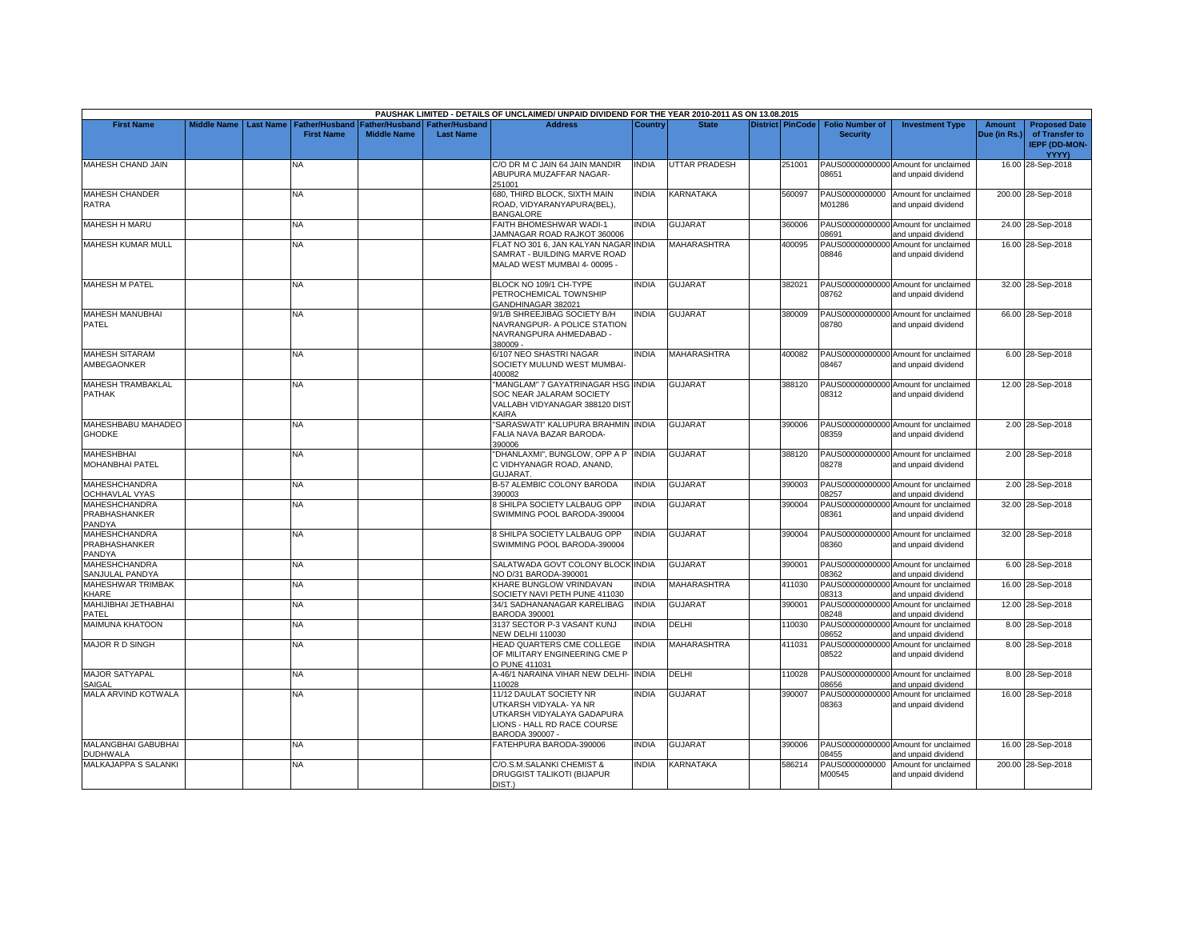|                                                        |                    |                  |                                            |                                                              |                  | PAUSHAK LIMITED - DETAILS OF UNCLAIMED/ UNPAID DIVIDEND FOR THE YEAR 2010-2011 AS ON 13.08.2015                                         |              |                      |                         |                                           |                                                             |                               |                                                                                |
|--------------------------------------------------------|--------------------|------------------|--------------------------------------------|--------------------------------------------------------------|------------------|-----------------------------------------------------------------------------------------------------------------------------------------|--------------|----------------------|-------------------------|-------------------------------------------|-------------------------------------------------------------|-------------------------------|--------------------------------------------------------------------------------|
| <b>First Name</b>                                      | <b>Middle Name</b> | <b>Last Name</b> | <b>Father/Husband</b><br><b>First Name</b> | <b>Father/Husband   Father/Husband</b><br><b>Middle Name</b> | <b>Last Name</b> | <b>Address</b>                                                                                                                          | Country      | <b>State</b>         | <b>District PinCode</b> | <b>Folio Number of</b><br><b>Security</b> | <b>Investment Type</b>                                      | <b>Amount</b><br>Due (in Rs.) | <b>Proposed Date</b><br>of Transfer to<br><b>IEPF (DD-MON-</b><br><b>YYYY)</b> |
| MAHESH CHAND JAIN                                      |                    |                  | NA                                         |                                                              |                  | C/O DR M C JAIN 64 JAIN MANDIR<br>ABUPURA MUZAFFAR NAGAR-<br>251001                                                                     | NDIA         | <b>UTTAR PRADESH</b> | 251001                  | 08651                                     | PAUS00000000000 Amount for unclaimed<br>and unpaid dividend |                               | 16.00 28-Sep-2018                                                              |
| <b>MAHESH CHANDER</b><br>RATRA                         |                    |                  | <b>NA</b>                                  |                                                              |                  | 680, THIRD BLOCK, SIXTH MAIN<br>ROAD, VIDYARANYAPURA(BEL),<br><b>BANGALORE</b>                                                          | <b>INDIA</b> | KARNATAKA            | 560097                  | M01286                                    | PAUS0000000000 Amount for unclaimed<br>and unpaid dividend  |                               | 200.00 28-Sep-2018                                                             |
| <b>MAHESH H MARU</b>                                   |                    |                  | <b>NA</b>                                  |                                                              |                  | FAITH BHOMESHWAR WADI-1<br><b>IAMNAGAR ROAD RAJKOT 360006</b>                                                                           | <b>NDIA</b>  | <b>GUJARAT</b>       | 360006                  | 08691                                     | PAUS00000000000 Amount for unclaimed<br>and unpaid dividend |                               | 24.00 28-Sep-2018                                                              |
| <b>MAHESH KUMAR MULL</b>                               |                    |                  | <b>NA</b>                                  |                                                              |                  | FLAT NO 301 6, JAN KALYAN NAGAR INDIA<br>SAMRAT - BUILDING MARVE ROAD<br>MALAD WEST MUMBAI 4-00095 -                                    |              | <b>MAHARASHTRA</b>   | 400095                  | 08846                                     | PAUS00000000000 Amount for unclaimed<br>and unpaid dividend |                               | 16.00 28-Sep-2018                                                              |
| <b>MAHESH M PATEL</b>                                  |                    |                  | <b>NA</b>                                  |                                                              |                  | BLOCK NO 109/1 CH-TYPE<br>PETROCHEMICAL TOWNSHIP<br>GANDHINAGAR 382021                                                                  | <b>INDIA</b> | <b>GUJARAT</b>       | 382021                  | 08762                                     | PAUS00000000000 Amount for unclaimed<br>and unpaid dividend |                               | 32.00 28-Sep-2018                                                              |
| <b>MAHESH MANUBHAI</b><br>PATEL                        |                    |                  | NA                                         |                                                              |                  | 9/1/B SHREEJIBAG SOCIETY B/H<br>NAVRANGPUR- A POLICE STATION<br>NAVRANGPURA AHMEDABAD -<br>380009 -                                     | <b>NDIA</b>  | <b>GUJARAT</b>       | 380009                  | 08780                                     | PAUS00000000000 Amount for unclaimed<br>and unpaid dividend |                               | 66.00 28-Sep-2018                                                              |
| <b>MAHESH SITARAM</b><br>AMBEGAONKER                   |                    |                  | NA                                         |                                                              |                  | 6/107 NEO SHASTRI NAGAR<br>SOCIETY MULUND WEST MUMBAI-<br>400082                                                                        | <b>NDIA</b>  | <b>MAHARASHTRA</b>   | 400082                  | 08467                                     | PAUS00000000000 Amount for unclaimed<br>and unpaid dividend |                               | 6.00 28-Sep-2018                                                               |
| MAHESH TRAMBAKLAL<br>PATHAK                            |                    |                  | <b>NA</b>                                  |                                                              |                  | "MANGLAM" 7 GAYATRINAGAR HSG INDIA<br>SOC NEAR JALARAM SOCIETY<br>VALLABH VIDYANAGAR 388120 DIST<br>KAIRA                               |              | <b>GUJARAT</b>       | 388120                  | 08312                                     | PAUS00000000000 Amount for unclaimed<br>and unpaid dividend |                               | 12.00 28-Sep-2018                                                              |
| MAHESHBABU MAHADEO<br><b>GHODKE</b>                    |                    |                  | <b>NA</b>                                  |                                                              |                  | SARASWATI" KALUPURA BRAHMIN INDIA<br>FALIA NAVA BAZAR BARODA-<br>390006                                                                 |              | <b>GUJARAT</b>       | 390006                  | 08359                                     | PAUS00000000000 Amount for unclaimed<br>and unpaid dividend |                               | 2.00 28-Sep-2018                                                               |
| <b>MAHESHBHAI</b><br>MOHANBHAI PATEL                   |                    |                  | <b>NA</b>                                  |                                                              |                  | "DHANLAXMI", BUNGLOW, OPP A P<br>C VIDHYANAGR ROAD, ANAND,<br>GUJARAT.                                                                  | <b>NDIA</b>  | GUJARAT              | 388120                  | 08278                                     | PAUS00000000000 Amount for unclaimed<br>and unpaid dividend |                               | 2.00 28-Sep-2018                                                               |
| <b>MAHESHCHANDRA</b><br><b>OCHHAVLAL VYAS</b>          |                    |                  | <b>NA</b>                                  |                                                              |                  | B-57 ALEMBIC COLONY BARODA<br>390003                                                                                                    | <b>INDIA</b> | <b>GUJARAT</b>       | 390003                  | 08257                                     | PAUS00000000000 Amount for unclaimed<br>and unpaid dividend |                               | 2.00 28-Sep-2018                                                               |
| <b>MAHESHCHANDRA</b><br><b>PRABHASHANKER</b><br>PANDYA |                    |                  | <b>NA</b>                                  |                                                              |                  | 8 SHILPA SOCIETY LALBAUG OPP<br>SWIMMING POOL BARODA-390004                                                                             | <b>NDIA</b>  | GUJARAT              | 390004                  | 08361                                     | PAUS00000000000 Amount for unclaimed<br>and unpaid dividend |                               | 32.00 28-Sep-2018                                                              |
| <b>MAHESHCHANDRA</b><br>PRABHASHANKER<br>PANDYA        |                    |                  | <b>NA</b>                                  |                                                              |                  | 8 SHILPA SOCIETY LALBAUG OPP<br>SWIMMING POOL BARODA-390004                                                                             | <b>INDIA</b> | <b>GUJARAT</b>       | 390004                  | 08360                                     | PAUS00000000000 Amount for unclaimed<br>and unpaid dividend |                               | 32.00 28-Sep-2018                                                              |
| <b>MAHESHCHANDRA</b><br>SANJULAL PANDYA                |                    |                  | NA.                                        |                                                              |                  | SALATWADA GOVT COLONY BLOCK INDIA<br>NO D/31 BARODA-390001                                                                              |              | <b>GUJARAT</b>       | 390001                  | 08362                                     | PAUS00000000000 Amount for unclaimed<br>and unpaid dividend |                               | 6.00 28-Sep-2018                                                               |
| <b>MAHESHWAR TRIMBAK</b><br><b>CHARE</b>               |                    |                  | <b>NA</b>                                  |                                                              |                  | KHARE BUNGLOW VRINDAVAN<br>SOCIETY NAVI PETH PUNE 411030                                                                                | <b>INDIA</b> | MAHARASHTRA          | 411030                  | 08313                                     | PAUS00000000000 Amount for unclaimed<br>and unpaid dividend |                               | 16.00 28-Sep-2018                                                              |
| MAHIJIBHAI JETHABHAI<br>PATEL                          |                    |                  | NA                                         |                                                              |                  | 34/1 SADHANANAGAR KARELIBAG<br><b>BARODA 390001</b>                                                                                     | <b>INDIA</b> | GUJARAT              | 390001                  | 08248                                     | PAUS00000000000 Amount for unclaimed<br>and unpaid dividend |                               | 12.00 28-Sep-2018                                                              |
| MAIMUNA KHATOON                                        |                    |                  | NA                                         |                                                              |                  | 3137 SECTOR P-3 VASANT KUNJ<br><b>NEW DELHI 110030</b>                                                                                  | <b>INDIA</b> | DELHI                | 110030                  | PAUS00000000000<br>08652                  | Amount for unclaimed<br>and unpaid dividend                 |                               | 8.00 28-Sep-2018                                                               |
| <b>MAJOR R D SINGH</b>                                 |                    |                  | <b>NA</b>                                  |                                                              |                  | HEAD QUARTERS CME COLLEGE<br>OF MILITARY ENGINEERING CME P<br>O PUNE 411031                                                             | <b>NDIA</b>  | <b>MAHARASHTRA</b>   | 411031                  | PAUS00000000000<br>08522                  | Amount for unclaimed<br>and unpaid dividend                 |                               | 8.00 28-Sep-2018                                                               |
| <b>MAJOR SATYAPAL</b><br>SAIGAL                        |                    |                  | NA                                         |                                                              |                  | A-46/1 NARAINA VIHAR NEW DELHI<br>110028                                                                                                | <b>INDIA</b> | DELHI                | 110028                  | 08656                                     | PAUS00000000000 Amount for unclaimed<br>and unpaid dividend |                               | 8.00 28-Sep-2018                                                               |
| MALA ARVIND KOTWALA                                    |                    |                  | NA                                         |                                                              |                  | 11/12 DAULAT SOCIETY NR<br>UTKARSH VIDYALA- YA NR<br>UTKARSH VIDYALAYA GADAPURA<br><b>JONS - HALL RD RACE COURSE</b><br>BARODA 390007 - | <b>INDIA</b> | <b>GUJARAT</b>       | 390007                  | PAUS00000000000<br>08363                  | Amount for unclaimed<br>and unpaid dividend                 |                               | 16.00 28-Sep-2018                                                              |
| MALANGBHAI GABUBHAI<br><b>DUDHWALA</b>                 |                    |                  | <b>NA</b>                                  |                                                              |                  | FATEHPURA BARODA-390006                                                                                                                 | <b>NDIA</b>  | <b>GUJARAT</b>       | 390006                  | 08455                                     | PAUS00000000000 Amount for unclaimed<br>and unpaid dividend |                               | 16.00 28-Sep-2018                                                              |
| MALKAJAPPA S SALANKI                                   |                    |                  | NA                                         |                                                              |                  | C/O.S.M.SALANKI CHEMIST &<br>DRUGGIST TALIKOTI (BIJAPUR<br>DIST.)                                                                       | <b>NDIA</b>  | <b>KARNATAKA</b>     | 586214                  | PAUS0000000000<br>M00545                  | Amount for unclaimed<br>and unpaid dividend                 |                               | 200.00 28-Sep-2018                                                             |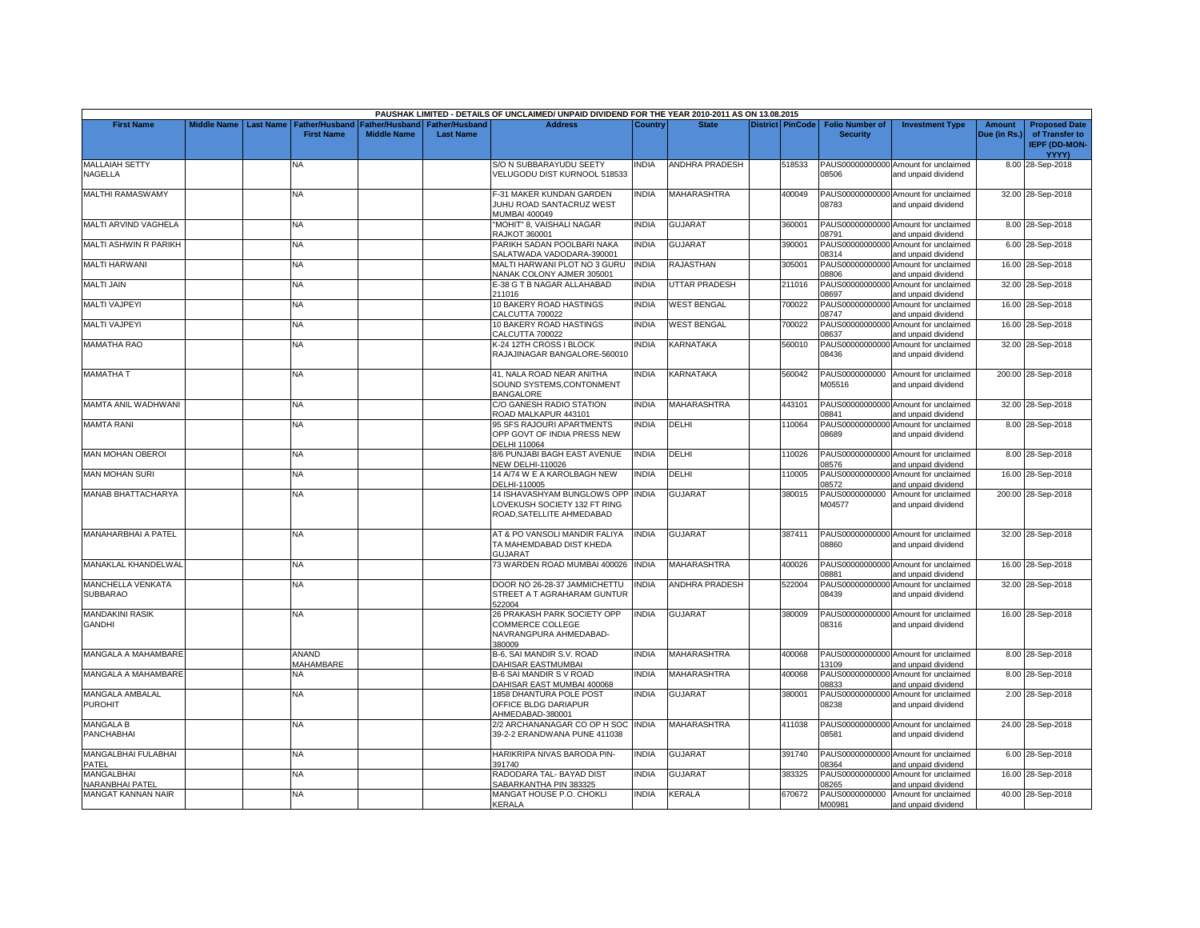|                                             |                    |                  |                                     |                                      |                                           | PAUSHAK LIMITED - DETAILS OF UNCLAIMED/ UNPAID DIVIDEND FOR THE YEAR 2010-2011 AS ON 13.08.2015 |              |                       |                         |                                           |                                                             |                        |                                                                                |
|---------------------------------------------|--------------------|------------------|-------------------------------------|--------------------------------------|-------------------------------------------|-------------------------------------------------------------------------------------------------|--------------|-----------------------|-------------------------|-------------------------------------------|-------------------------------------------------------------|------------------------|--------------------------------------------------------------------------------|
| <b>First Name</b>                           | <b>Middle Name</b> | <b>Last Name</b> | Father/Husband<br><b>First Name</b> | Father/Husband<br><b>Middle Name</b> | <b>Father/Husband</b><br><b>Last Name</b> | <b>Address</b>                                                                                  | Country      | <b>State</b>          | <b>District PinCode</b> | <b>Folio Number of</b><br><b>Security</b> | <b>Investment Type</b>                                      | Amount<br>Due (in Rs.) | <b>Proposed Date</b><br>of Transfer to<br><b>IEPF (DD-MON-</b><br><b>YYYY)</b> |
| <b>MALLAIAH SETTY</b><br>NAGELLA            |                    |                  | NA                                  |                                      |                                           | <b>S/O N SUBBARAYUDU SEETY</b><br>VELUGODU DIST KURNOOL 518533                                  | INDIA        | <b>ANDHRA PRADESH</b> | 518533                  | 08506                                     | PAUS00000000000 Amount for unclaimed<br>and unpaid dividend |                        | 8.00 28-Sep-2018                                                               |
| MALTHI RAMASWAMY                            |                    |                  | <b>NA</b>                           |                                      |                                           | -31 MAKER KUNDAN GARDEN<br>JUHU ROAD SANTACRUZ WEST<br><b>MUMBAI 400049</b>                     | <b>INDIA</b> | MAHARASHTRA           | 400049                  | 08783                                     | PAUS00000000000 Amount for unclaimed<br>and unpaid dividend |                        | 32.00 28-Sep-2018                                                              |
| MALTI ARVIND VAGHELA                        |                    |                  | <b>NA</b>                           |                                      |                                           | "MOHIT" 8, VAISHALI NAGAR<br><b>RAJKOT 360001</b>                                               | <b>INDIA</b> | <b>GUJARAT</b>        | 360001                  | 08791                                     | PAUS00000000000 Amount for unclaimed<br>and unpaid dividend |                        | 8.00 28-Sep-2018                                                               |
| <b>MALTI ASHWIN R PARIKH</b>                |                    |                  | <b>NA</b>                           |                                      |                                           | PARIKH SADAN POOLBARI NAKA<br>SALATWADA VADODARA-390001                                         | <b>INDIA</b> | GUJARAT               | 390001                  | 08314                                     | PAUS00000000000 Amount for unclaimed<br>and unpaid dividend |                        | 6.00 28-Sep-2018                                                               |
| <b>MALTI HARWANI</b>                        |                    |                  | ΝA                                  |                                      |                                           | MALTI HARWANI PLOT NO 3 GURU<br><b>NANAK COLONY AJMER 305001</b>                                | <b>INDIA</b> | RAJASTHAN             | 305001                  | PAUS00000000000<br>08806                  | Amount for unclaimed<br>and unpaid dividend                 |                        | 16.00 28-Sep-2018                                                              |
| <b>MALTI JAIN</b>                           |                    |                  | NA                                  |                                      |                                           | <b>E-38 G T B NAGAR ALLAHABAD</b><br>211016                                                     | <b>INDIA</b> | UTTAR PRADESH         | 211016                  | PAUS00000000000<br>08697                  | Amount for unclaimed<br>and unpaid dividend                 |                        | 32.00 28-Sep-2018                                                              |
| <b>MALTI VAJPEYI</b>                        |                    |                  | NA                                  |                                      |                                           | 10 BAKERY ROAD HASTINGS<br>CALCUTTA 700022                                                      | <b>INDIA</b> | <b>WEST BENGAL</b>    | 700022                  | PAUS00000000000<br>08747                  | Amount for unclaimed<br>and unpaid dividend                 |                        | 16.00 28-Sep-2018                                                              |
| <b>MALTI VAJPEYI</b>                        |                    |                  | NΑ                                  |                                      |                                           | 10 BAKERY ROAD HASTINGS<br>CALCUTTA 700022                                                      | <b>INDIA</b> | <b>WEST BENGAL</b>    | 700022                  | PAUS00000000000<br>08637                  | Amount for unclaimed<br>and unpaid dividend                 |                        | 16.00 28-Sep-2018                                                              |
| <b>MAMATHA RAO</b>                          |                    |                  | NA                                  |                                      |                                           | K-24 12TH CROSS I BLOCK<br>RAJAJINAGAR BANGALORE-560010                                         | <b>INDIA</b> | KARNATAKA             | 560010                  | 08436                                     | PAUS00000000000 Amount for unclaimed<br>and unpaid dividend |                        | 32.00 28-Sep-2018                                                              |
| <b>MAMATHAT</b>                             |                    |                  | <b>NA</b>                           |                                      |                                           | 41, NALA ROAD NEAR ANITHA<br>SOUND SYSTEMS, CONTONMENT<br>BANGALORE                             | <b>INDIA</b> | KARNATAKA             | 560042                  | M05516                                    | PAUS0000000000 Amount for unclaimed<br>and unpaid dividend  |                        | 200.00 28-Sep-2018                                                             |
| MAMTA ANIL WADHWANI                         |                    |                  | ΝA                                  |                                      |                                           | C/O GANESH RADIO STATION<br>ROAD MALKAPUR 443101                                                | INDIA        | MAHARASHTRA           | 443101                  | 08841                                     | PAUS00000000000 Amount for unclaimed<br>and unpaid dividend |                        | 32.00 28-Sep-2018                                                              |
| <b>MAMTA RANI</b>                           |                    |                  | <b>NA</b>                           |                                      |                                           | <b>95 SFS RAJOURI APARTMENTS</b><br>OPP GOVT OF INDIA PRESS NEW<br>DELHI 110064                 | <b>INDIA</b> | DELHI                 | 110064                  | 08689                                     | PAUS00000000000 Amount for unclaimed<br>and unpaid dividend |                        | 8.00 28-Sep-2018                                                               |
| <b>MAN MOHAN OBEROI</b>                     |                    |                  | <b>NA</b>                           |                                      |                                           | <b>3/6 PUNJABI BAGH EAST AVENUE</b><br><b>NEW DELHI-110026</b>                                  | <b>INDIA</b> | <b>DELHI</b>          | 110026                  | 08576                                     | PAUS00000000000 Amount for unclaimed<br>and unpaid dividend |                        | 8.00 28-Sep-2018                                                               |
| <b>MAN MOHAN SURI</b>                       |                    |                  | NA.                                 |                                      |                                           | 14 A/74 W E A KAROLBAGH NEW<br>DELHI-110005                                                     | <b>INDIA</b> | DELHI                 | 110005                  | PAUS00000000000<br>08572                  | Amount for unclaimed<br>and unpaid dividend                 |                        | 16.00 28-Sep-2018                                                              |
| <b>MANAB BHATTACHARYA</b>                   |                    |                  | <b>NA</b>                           |                                      |                                           | 14 ISHAVASHYAM BUNGLOWS OPP INDIA<br>LOVEKUSH SOCIETY 132 FT RING<br>ROAD, SATELLITE AHMEDABAD  |              | <b>GUJARAT</b>        | 380015                  | M04577                                    | PAUS0000000000 Amount for unclaimed<br>and unpaid dividend  |                        | 200.00 28-Sep-2018                                                             |
| MANAHARBHAI A PATEL                         |                    |                  | <b>NA</b>                           |                                      |                                           | AT & PO VANSOLI MANDIR FALIYA<br>TA MAHEMDABAD DIST KHEDA<br><b>GUJARAT</b>                     | <b>INDIA</b> | <b>GUJARAT</b>        | 387411                  | 08860                                     | PAUS00000000000 Amount for unclaimed<br>and unpaid dividend |                        | 32.00 28-Sep-2018                                                              |
| MANAKLAL KHANDELWAL                         |                    |                  | NA                                  |                                      |                                           | 73 WARDEN ROAD MUMBAI 400026 INDIA                                                              |              | MAHARASHTRA           | 400026                  | 08881                                     | PAUS00000000000 Amount for unclaimed<br>and unpaid dividend |                        | 16.00 28-Sep-2018                                                              |
| MANCHELLA VENKATA<br>SUBBARAO               |                    |                  | NA.                                 |                                      |                                           | DOOR NO 26-28-37 JAMMICHETTU<br>STREET A T AGRAHARAM GUNTUR<br>522004                           | <b>INDIA</b> | <b>ANDHRA PRADESH</b> | 522004                  | PAUS00000000000<br>08439                  | Amount for unclaimed<br>and unpaid dividend                 |                        | 32.00 28-Sep-2018                                                              |
| <b>MANDAKINI RASIK</b><br><b>GANDHI</b>     |                    |                  | NA                                  |                                      |                                           | 26 PRAKASH PARK SOCIETY OPP<br>COMMERCE COLLEGE<br>NAVRANGPURA AHMEDABAD-<br>380009             | <b>INDIA</b> | <b>GUJARAT</b>        | 380009                  | 08316                                     | PAUS00000000000 Amount for unclaimed<br>and unpaid dividend |                        | 16.00 28-Sep-2018                                                              |
| MANGALA A MAHAMBARE                         |                    |                  | <b>ANAND</b><br>MAHAMBARE           |                                      |                                           | <b>B-6, SAI MANDIR S.V. ROAD</b><br>DAHISAR EASTMUMBAI                                          | <b>INDIA</b> | MAHARASHTRA           | 400068                  | 13109                                     | PAUS00000000000 Amount for unclaimed<br>and unpaid dividend |                        | 8.00 28-Sep-2018                                                               |
| MANGALA A MAHAMBARE                         |                    |                  | NA                                  |                                      |                                           | <b>B-6 SAI MANDIR S V ROAD</b><br>DAHISAR EAST MUMBAI 400068                                    | <b>INDIA</b> | <b>MAHARASHTRA</b>    | 400068                  | 08833                                     | PAUS00000000000 Amount for unclaimed<br>and unpaid dividend |                        | 8.00 28-Sep-2018                                                               |
| MANGALA AMBALAL<br><b>PUROHIT</b>           |                    |                  | NA                                  |                                      |                                           | 1858 DHANTURA POLE POST<br>OFFICE BLDG DARIAPUR<br>AHMEDABAD-380001                             | <b>INDIA</b> | GUJARAT               | 380001                  | 08238                                     | PAUS00000000000 Amount for unclaimed<br>and unpaid dividend |                        | 2.00 28-Sep-2018                                                               |
| <b>MANGALA B</b><br><b>PANCHABHAI</b>       |                    |                  | NA                                  |                                      |                                           | 2/2 ARCHANANAGAR CO OP H SOC INDIA<br>39-2-2 ERANDWANA PUNE 411038                              |              | <b>MAHARASHTRA</b>    | 411038                  | 08581                                     | PAUS00000000000 Amount for unclaimed<br>and unpaid dividend |                        | 24.00 28-Sep-2018                                                              |
| MANGALBHAI FULABHAI<br>PATEL                |                    |                  | NA.                                 |                                      |                                           | HARIKRIPA NIVAS BARODA PIN-<br>391740                                                           | <b>INDIA</b> | <b>GUJARAT</b>        | 391740                  | 08364                                     | PAUS00000000000 Amount for unclaimed<br>and unpaid dividend |                        | 6.00 28-Sep-2018                                                               |
| <b>MANGALBHAI</b><br><b>NARANBHAI PATEL</b> |                    |                  | NA                                  |                                      |                                           | RADODARA TAL- BAYAD DIST<br>SABARKANTHA PIN 383325                                              | <b>INDIA</b> | GUJARAT               | 383325                  | PAUS00000000000<br>08265                  | Amount for unclaimed<br>and unpaid dividend                 |                        | 16.00 28-Sep-2018                                                              |
| MANGAT KANNAN NAIR                          |                    |                  | <b>NA</b>                           |                                      |                                           | <b>MANGAT HOUSE P.O. CHOKLI</b><br>KERALA                                                       | <b>INDIA</b> | <b>KERALA</b>         | 670672                  | M00981                                    | PAUS0000000000 Amount for unclaimed<br>and unpaid dividend  |                        | 40.00 28-Sep-2018                                                              |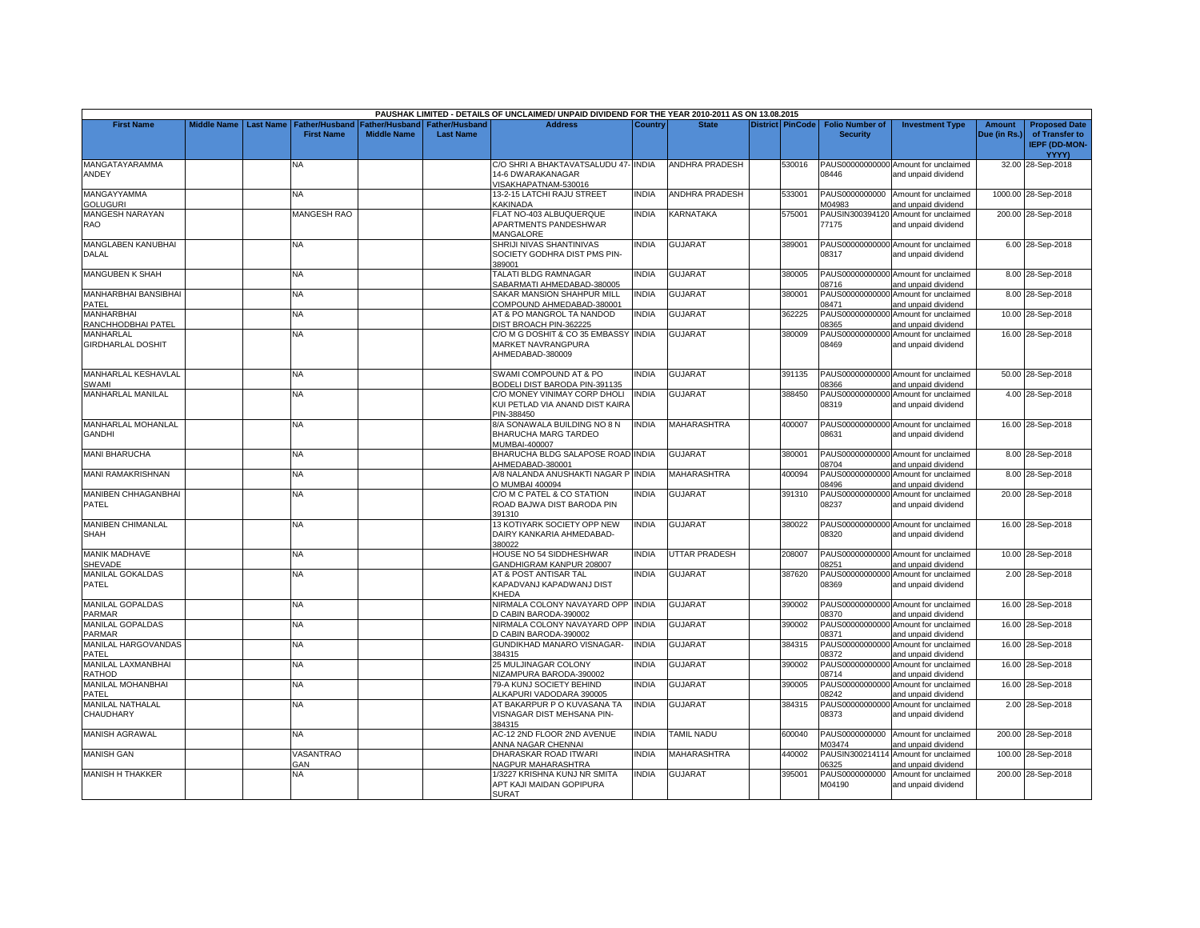|                                              |                    |                  |                                     |                                             |                                           | PAUSHAK LIMITED - DETAILS OF UNCLAIMED/ UNPAID DIVIDEND FOR THE YEAR 2010-2011 AS ON 13.08.2015 |                |                       |                         |                                           |                                                                    |                               |                                                                |
|----------------------------------------------|--------------------|------------------|-------------------------------------|---------------------------------------------|-------------------------------------------|-------------------------------------------------------------------------------------------------|----------------|-----------------------|-------------------------|-------------------------------------------|--------------------------------------------------------------------|-------------------------------|----------------------------------------------------------------|
| <b>First Name</b>                            | <b>Middle Name</b> | <b>Last Name</b> | Father/Husband<br><b>First Name</b> | <b>Father/Husband</b><br><b>Middle Name</b> | <b>Father/Husband</b><br><b>Last Name</b> | <b>Address</b>                                                                                  | <b>Country</b> | <b>State</b>          | <b>District PinCode</b> | <b>Folio Number of</b><br><b>Security</b> | <b>Investment Type</b>                                             | <b>Amount</b><br>Due (in Rs.) | <b>Proposed Date</b><br>of Transfer to<br><b>IEPF (DD-MON-</b> |
|                                              |                    |                  |                                     |                                             |                                           |                                                                                                 |                |                       |                         |                                           |                                                                    |                               | YYYY)                                                          |
| MANGATAYARAMMA<br>ANDEY                      |                    |                  | NA                                  |                                             |                                           | C/O SHRI A BHAKTAVATSALUDU 47- INDIA<br>14-6 DWARAKANAGAR<br>VISAKHAPATNAM-530016               |                | <b>ANDHRA PRADESH</b> | 530016                  | 08446                                     | PAUS00000000000 Amount for unclaimed<br>and unpaid dividend        |                               | 32.00 28-Sep-2018                                              |
| MANGAYYAMMA<br><b>GOLUGURI</b>               |                    |                  | NA.                                 |                                             |                                           | 13-2-15 LATCHI RAJU STREET<br><b>KAKINADA</b>                                                   | <b>INDIA</b>   | ANDHRA PRADESH        | 533001                  | PAUS0000000000<br>M04983                  | Amount for unclaimed<br>and unpaid dividend                        |                               | 1000.00 28-Sep-2018                                            |
| <b>MANGESH NARAYAN</b>                       |                    |                  | <b>MANGESH RAO</b>                  |                                             |                                           | FLAT NO-403 ALBUQUERQUE                                                                         | <b>INDIA</b>   | KARNATAKA             | 575001                  |                                           | PAUSIN300394120 Amount for unclaimed                               |                               | 200.00 28-Sep-2018                                             |
| RAO                                          |                    |                  |                                     |                                             |                                           | APARTMENTS PANDESHWAR<br><b>MANGALORE</b>                                                       |                |                       |                         | 77175                                     | and unpaid dividend                                                |                               |                                                                |
| <b>MANGLABEN KANUBHAI</b>                    |                    |                  | <b>NA</b>                           |                                             |                                           | SHRIJI NIVAS SHANTINIVAS                                                                        | <b>INDIA</b>   | <b>GUJARAT</b>        | 389001                  |                                           | PAUS00000000000 Amount for unclaimed                               |                               | 6.00 28-Sep-2018                                               |
| <b>DALAL</b>                                 |                    |                  |                                     |                                             |                                           | SOCIETY GODHRA DIST PMS PIN-<br>389001                                                          |                |                       |                         | 08317                                     | and unpaid dividend                                                |                               |                                                                |
| MANGUBEN K SHAH                              |                    |                  | <b>NA</b>                           |                                             |                                           | TALATI BLDG RAMNAGAR<br>SABARMATI AHMEDABAD-380005                                              | <b>INDIA</b>   | <b>GUJARAT</b>        | 380005                  | 08716                                     | PAUS00000000000 Amount for unclaimed<br>and unpaid dividend        |                               | 8.00 28-Sep-2018                                               |
| MANHARBHAI BANSIBHAI                         |                    |                  | <b>NA</b>                           |                                             |                                           | SAKAR MANSION SHAHPUR MILL                                                                      | <b>NDIA</b>    | GUJARAT               | 380001                  | PAUS00000000000                           | Amount for unclaimed                                               |                               | 8.00 28-Sep-2018                                               |
| PATEL                                        |                    |                  |                                     |                                             |                                           | COMPOUND AHMEDABAD-380001                                                                       |                |                       |                         | 08471                                     | and unpaid dividend                                                |                               |                                                                |
| MANHARBHAI                                   |                    |                  | ΝĀ                                  |                                             |                                           | AT & PO MANGROL TA NANDOD                                                                       | <b>INDIA</b>   | <b>GUJARAT</b>        | 362225                  | PAUS00000000000                           | Amount for unclaimed                                               |                               | 10.00 28-Sep-2018                                              |
| RANCHHODBHAI PATEL                           |                    |                  |                                     |                                             |                                           | DIST BROACH PIN-362225                                                                          |                |                       |                         | 08365                                     | and unpaid dividend                                                |                               |                                                                |
| <b>MANHARLAL</b><br><b>GIRDHARLAL DOSHIT</b> |                    |                  | NA.                                 |                                             |                                           | C/O M G DOSHIT & CO 35 EMBASSY<br><b>MARKET NAVRANGPURA</b><br>AHMEDABAD-380009                 | <b>INDIA</b>   | <b>GUJARAT</b>        | 380009                  | PAUS00000000000<br>08469                  | Amount for unclaimed<br>and unpaid dividend                        |                               | 16.00 28-Sep-2018                                              |
| MANHARLAL KESHAVLAL<br>SWAMI                 |                    |                  | <b>NA</b>                           |                                             |                                           | SWAMI COMPOUND AT & PO<br>BODELI DIST BARODA PIN-391135                                         | <b>INDIA</b>   | <b>GUJARAT</b>        | 391135                  | 08366                                     | PAUS00000000000 Amount for unclaimed<br>and unpaid dividend        |                               | 50.00 28-Sep-2018                                              |
| MANHARLAL MANILAL                            |                    |                  | NA.                                 |                                             |                                           | C/O MONEY VINIMAY CORP DHOLI                                                                    | <b>INDIA</b>   | <b>GUJARAT</b>        | 388450                  |                                           | PAUS00000000000 Amount for unclaimed                               |                               | 4.00 28-Sep-2018                                               |
|                                              |                    |                  |                                     |                                             |                                           | KUI PETLAD VIA ANAND DIST KAIRA<br>PIN-388450                                                   |                |                       |                         | 08319                                     | and unpaid dividend                                                |                               |                                                                |
| <b>MANHARLAL MOHANLAL</b><br><b>GANDHI</b>   |                    |                  | NA                                  |                                             |                                           | 3/A SONAWALA BUILDING NO 8 N<br>BHARUCHA MARG TARDEO<br>MUMBAI-400007                           | <b>INDIA</b>   | <b>MAHARASHTRA</b>    | 400007                  | 08631                                     | PAUS00000000000 Amount for unclaimed<br>and unpaid dividend        |                               | 16.00 28-Sep-2018                                              |
| <b>MANI BHARUCHA</b>                         |                    |                  | NA.                                 |                                             |                                           | BHARUCHA BLDG SALAPOSE ROAD INDIA<br>AHMEDABAD-380001                                           |                | <b>GUJARAT</b>        | 380001                  | 08704                                     | PAUS00000000000 Amount for unclaimed<br>and unpaid dividend        |                               | 8.00 28-Sep-2018                                               |
| <b>MANI RAMAKRISHNAN</b>                     |                    |                  | NA                                  |                                             |                                           | A/8 NALANDA ANUSHAKTI NAGAR PINDIA<br>O MUMBAI 400094                                           |                | MAHARASHTRA           | 400094                  | 08496                                     | PAUS00000000000 Amount for unclaimed<br>and unpaid dividend        |                               | 8.00 28-Sep-2018                                               |
| <b>MANIBEN CHHAGANBHAI</b><br>PATEL          |                    |                  | NA.                                 |                                             |                                           | C/O M C PATEL & CO STATION<br>ROAD BAJWA DIST BARODA PIN<br>391310                              | <b>INDIA</b>   | <b>GUJARAT</b>        | 391310                  | PAUS00000000000<br>08237                  | Amount for unclaimed<br>and unpaid dividend                        |                               | 20.00 28-Sep-2018                                              |
| <b>MANIBEN CHIMANLAL</b><br><b>SHAH</b>      |                    |                  | ΝA                                  |                                             |                                           | 13 KOTIYARK SOCIETY OPP NEW<br>DAIRY KANKARIA AHMEDABAD-<br>380022                              | <b>INDIA</b>   | GUJARAT               | 380022                  | 08320                                     | PAUS00000000000 Amount for unclaimed<br>and unpaid dividend        |                               | 16.00 28-Sep-2018                                              |
| <b>MANIK MADHAVE</b><br>SHEVADE              |                    |                  | <b>NA</b>                           |                                             |                                           | HOUSE NO 54 SIDDHESHWAR<br>GANDHIGRAM KANPUR 208007                                             | <b>INDIA</b>   | UTTAR PRADESH         | 208007                  | 08251                                     | PAUS00000000000 Amount for unclaimed<br>and unpaid dividend        |                               | 10.00 28-Sep-2018                                              |
| <b>MANILAL GOKALDAS</b><br><b>PATEL</b>      |                    |                  | NA.                                 |                                             |                                           | AT & POST ANTISAR TAL<br>KAPADVANJ KAPADWANJ DIST<br>KHEDA                                      | <b>INDIA</b>   | <b>GUJARAT</b>        | 387620                  | 08369                                     | PAUS00000000000 Amount for unclaimed<br>and unpaid dividend        |                               | 2.00 28-Sep-2018                                               |
| <b>MANILAL GOPALDAS</b><br>PARMAR            |                    |                  | NΑ                                  |                                             |                                           | NIRMALA COLONY NAVAYARD OPP INDIA<br>D CABIN BARODA-390002                                      |                | <b>GUJARAT</b>        | 390002                  | 08370                                     | PAUS00000000000 Amount for unclaimed<br>and unpaid dividend        |                               | 16.00 28-Sep-2018                                              |
| <b>MANILAL GOPALDAS</b><br>PARMAR            |                    |                  | <b>NA</b>                           |                                             |                                           | NIRMALA COLONY NAVAYARD OPP INDIA<br>D CABIN BARODA-390002                                      |                | <b>GUJARAT</b>        | 390002                  | 08371                                     | PAUS00000000000 Amount for unclaimed<br>and unpaid dividend        |                               | 16.00 28-Sep-2018                                              |
| MANILAL HARGOVANDAS<br>PATEL                 |                    |                  | ΝA                                  |                                             |                                           | <b>GUNDIKHAD MANARO VISNAGAR-</b><br>384315                                                     | <b>INDIA</b>   | GUJARAT               | 384315                  | PAUS00000000000<br>08372                  | Amount for unclaimed<br>and unpaid dividend                        |                               | 16.00 28-Sep-2018                                              |
| MANILAL LAXMANBHAI<br>RATHOD                 |                    |                  | NA                                  |                                             |                                           | 25 MULJINAGAR COLONY<br>NIZAMPURA BARODA-390002                                                 | INDIA          | GUJARAT               | 390002                  | PAUS00000000000<br>08714                  | Amount for unclaimed<br>and unpaid dividend                        |                               | 16.00 28-Sep-2018                                              |
| MANILAL MOHANBHAI<br>PATEL                   |                    |                  | <b>NA</b>                           |                                             |                                           | 79-A KUNJ SOCIETY BEHIND<br>ALKAPURI VADODARA 390005                                            | <b>INDIA</b>   | GUJARAT               | 390005                  | PAUS00000000000<br>08242                  | Amount for unclaimed<br>and unpaid dividend                        |                               | 16.00 28-Sep-2018                                              |
| <b>MANILAL NATHALAL</b><br>CHAUDHARY         |                    |                  | NA                                  |                                             |                                           | AT BAKARPUR P O KUVASANA TA<br>VISNAGAR DIST MEHSANA PIN-<br>384315                             | <b>INDIA</b>   | GUJARAT               | 384315                  | PAUS00000000000<br>08373                  | Amount for unclaimed<br>and unpaid dividend                        |                               | 2.00 28-Sep-2018                                               |
| <b>MANISH AGRAWAL</b>                        |                    |                  | <b>NA</b>                           |                                             |                                           | AC-12 2ND FLOOR 2ND AVENUE<br>ANNA NAGAR CHENNAI                                                | <b>INDIA</b>   | <b>TAMIL NADU</b>     | 600040                  | PAUS0000000000<br>M03474                  | Amount for unclaimed<br>and unpaid dividend                        |                               | 200.00 28-Sep-2018                                             |
| <b>MANISH GAN</b>                            |                    |                  | <b>VASANTRAO</b>                    |                                             |                                           | DHARASKAR ROAD ITWARI                                                                           | <b>INDIA</b>   | <b>MAHARASHTRA</b>    | 440002                  | PAUSIN300214114                           | Amount for unclaimed                                               |                               | 100.00 28-Sep-2018                                             |
| <b>MANISH H THAKKER</b>                      |                    |                  | GAN<br><b>NA</b>                    |                                             |                                           | NAGPUR MAHARASHTRA<br>1/3227 KRISHNA KUNJ NR SMITA<br>APT KAJI MAIDAN GOPIPURA                  | <b>INDIA</b>   | GUJARAT               | 395001                  | 06325<br>PAUS0000000000<br>M04190         | and unpaid dividend<br>Amount for unclaimed<br>and unpaid dividend |                               | 200.00 28-Sep-2018                                             |
|                                              |                    |                  |                                     |                                             |                                           | <b>SURAT</b>                                                                                    |                |                       |                         |                                           |                                                                    |                               |                                                                |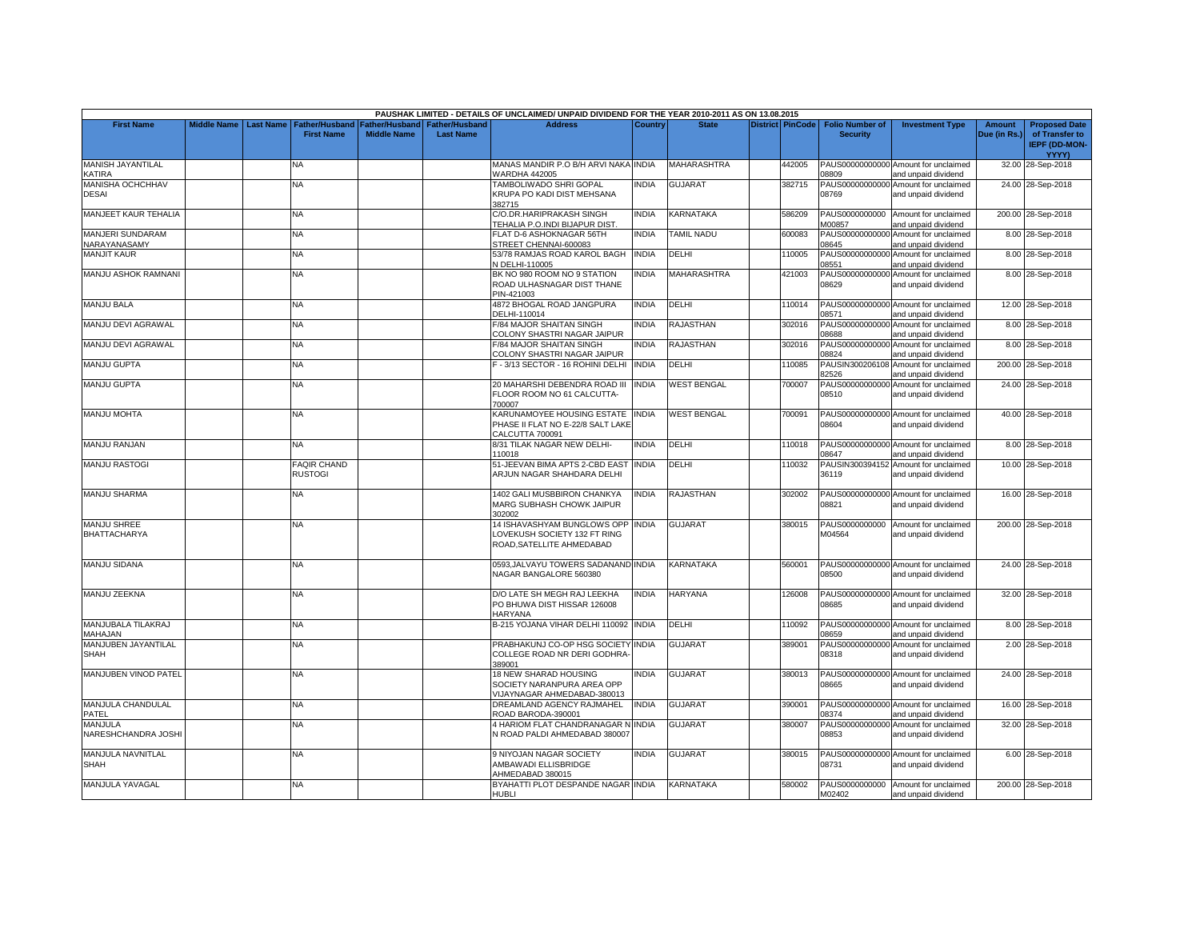|                                    |                    |           |                                            |                                      |                                           | PAUSHAK LIMITED - DETAILS OF UNCLAIMED/ UNPAID DIVIDEND FOR THE YEAR 2010-2011 AS ON 13.08.2015 |              |                    |                         |                                           |                                                             |                               |                                                                |
|------------------------------------|--------------------|-----------|--------------------------------------------|--------------------------------------|-------------------------------------------|-------------------------------------------------------------------------------------------------|--------------|--------------------|-------------------------|-------------------------------------------|-------------------------------------------------------------|-------------------------------|----------------------------------------------------------------|
| <b>First Name</b>                  | <b>Middle Name</b> | Last Name | <b>Father/Husband</b><br><b>First Name</b> | Father/Husband<br><b>Middle Name</b> | <b>Father/Husband</b><br><b>Last Name</b> | <b>Address</b>                                                                                  | Country      | <b>State</b>       | <b>District PinCode</b> | <b>Folio Number of</b><br><b>Security</b> | <b>Investment Type</b>                                      | <b>Amount</b><br>Due (in Rs.) | <b>Proposed Date</b><br>of Transfer to<br><b>IEPF (DD-MON-</b> |
|                                    |                    |           |                                            |                                      |                                           |                                                                                                 |              |                    |                         |                                           |                                                             |                               | YYYY)                                                          |
| MANISH JAYANTILAL<br>KATIRA        |                    |           | NA.                                        |                                      |                                           | MANAS MANDIR P.O B/H ARVI NAKA INDIA<br>WARDHA 442005                                           |              | <b>MAHARASHTRA</b> | 442005                  | 08809                                     | PAUS00000000000 Amount for unclaimed<br>and unpaid dividend |                               | 32.00 28-Sep-2018                                              |
| MANISHA OCHCHHAV<br>DESAI          |                    |           | <b>NA</b>                                  |                                      |                                           | TAMBOLIWADO SHRI GOPAL<br>KRUPA PO KADI DIST MEHSANA                                            | <b>NDIA</b>  | <b>GUJARAT</b>     | 382715                  | 08769                                     | PAUS00000000000 Amount for unclaimed<br>and unpaid dividend |                               | 24.00 28-Sep-2018                                              |
| MANJEET KAUR TEHALIA               |                    |           | NA                                         |                                      |                                           | 382715<br>C/O.DR. HARIPRAKASH SINGH<br>TEHALIA P.O.INDI BIJAPUR DIST.                           | INDIA        | KARNATAKA          | 586209                  | M00857                                    | PAUS0000000000 Amount for unclaimed<br>and unpaid dividend  |                               | 200.00 28-Sep-2018                                             |
| MANJERI SUNDARAM<br>NARAYANASAMY   |                    |           | <b>NA</b>                                  |                                      |                                           | FLAT D-6 ASHOKNAGAR 56TH<br>STREET CHENNAI-600083                                               | <b>INDIA</b> | <b>TAMIL NADU</b>  | 600083                  | 08645                                     | PAUS00000000000 Amount for unclaimed<br>and unpaid dividend |                               | 8.00 28-Sep-2018                                               |
| <b>MANJIT KAUR</b>                 |                    |           | <b>NA</b>                                  |                                      |                                           | 53/78 RAMJAS ROAD KAROL BAGH<br>N DELHI-110005                                                  | <b>INDIA</b> | DELHI              | 110005                  | PAUS00000000000<br>08551                  | Amount for unclaimed<br>and unpaid dividend                 |                               | 8.00 28-Sep-2018                                               |
| MANJU ASHOK RAMNANI                |                    |           | <b>NA</b>                                  |                                      |                                           | BK NO 980 ROOM NO 9 STATION<br>ROAD ULHASNAGAR DIST THANE<br>PIN-421003                         | <b>INDIA</b> | <b>MAHARASHTRA</b> | 421003                  | 08629                                     | PAUS00000000000 Amount for unclaimed<br>and unpaid dividend |                               | 8.00 28-Sep-2018                                               |
| <b>MANJU BALA</b>                  |                    |           | <b>NA</b>                                  |                                      |                                           | 4872 BHOGAL ROAD JANGPURA<br>DELHI-110014                                                       | <b>INDIA</b> | DELHI              | 110014                  | 08571                                     | PAUS00000000000 Amount for unclaimed<br>and unpaid dividend |                               | 12.00 28-Sep-2018                                              |
| MANJU DEVI AGRAWAL                 |                    |           | <b>NA</b>                                  |                                      |                                           | F/84 MAJOR SHAITAN SINGH<br>COLONY SHASTRI NAGAR JAIPUR                                         | INDIA        | RAJASTHAN          | 302016                  | PAUS00000000000<br>08688                  | Amount for unclaimed<br>and unpaid dividend                 |                               | 8.00 28-Sep-2018                                               |
| MANJU DEVI AGRAWAL                 |                    |           | <b>NA</b>                                  |                                      |                                           | F/84 MAJOR SHAITAN SINGH<br>COLONY SHASTRI NAGAR JAIPUR                                         | <b>NDIA</b>  | RAJASTHAN          | 302016                  | PAUS00000000000<br>08824                  | Amount for unclaimed<br>and unpaid dividend                 |                               | 8.00 28-Sep-2018                                               |
| <b>MANJU GUPTA</b>                 |                    |           | NA                                         |                                      |                                           | F - 3/13 SECTOR - 16 ROHINI DELHI                                                               | <b>INDIA</b> | DELHI              | 110085                  | 82526                                     | PAUSIN300206108 Amount for unclaimed<br>and unpaid dividend |                               | 200.00 28-Sep-2018                                             |
| <b>MANJU GUPTA</b>                 |                    |           | <b>NA</b>                                  |                                      |                                           | 20 MAHARSHI DEBENDRA ROAD III<br>FLOOR ROOM NO 61 CALCUTTA-<br>700007                           | <b>INDIA</b> | <b>WEST BENGAL</b> | 700007                  | PAUS00000000000<br>08510                  | Amount for unclaimed<br>and unpaid dividend                 |                               | 24.00 28-Sep-2018                                              |
| <b>MANJU MOHTA</b>                 |                    |           | NA                                         |                                      |                                           | KARUNAMOYEE HOUSING ESTATE<br>PHASE II FLAT NO E-22/8 SALT LAKE<br>CALCUTTA 700091              | <b>INDIA</b> | <b>WEST BENGAL</b> | 700091                  | 08604                                     | PAUS00000000000 Amount for unclaimed<br>and unpaid dividend |                               | 40.00 28-Sep-2018                                              |
| <b>MANJU RANJAN</b>                |                    |           | NA                                         |                                      |                                           | 8/31 TILAK NAGAR NEW DELHI-<br>110018                                                           | <b>INDIA</b> | DELHI              | 110018                  | 08647                                     | PAUS00000000000 Amount for unclaimed<br>and unpaid dividend |                               | 8.00 28-Sep-2018                                               |
| <b>MANJU RASTOGI</b>               |                    |           | <b>FAQIR CHAND</b><br><b>RUSTOGI</b>       |                                      |                                           | 51-JEEVAN BIMA APTS 2-CBD EAST<br>ARJUN NAGAR SHAHDARA DELHI                                    | <b>INDIA</b> | DELHI              | 110032                  | 36119                                     | PAUSIN300394152 Amount for unclaimed<br>and unpaid dividend |                               | 10.00 28-Sep-2018                                              |
| <b>MANJU SHARMA</b>                |                    |           | <b>NA</b>                                  |                                      |                                           | 1402 GALI MUSBBIRON CHANKYA<br>MARG SUBHASH CHOWK JAIPUR<br>302002                              | <b>INDIA</b> | RAJASTHAN          | 302002                  | 08821                                     | PAUS00000000000 Amount for unclaimed<br>and unpaid dividend |                               | 16.00 28-Sep-2018                                              |
| <b>MANJU SHREE</b><br>BHATTACHARYA |                    |           | NA                                         |                                      |                                           | 14 ISHAVASHYAM BUNGLOWS OPP INDIA<br>LOVEKUSH SOCIETY 132 FT RING<br>ROAD, SATELLITE AHMEDABAD  |              | <b>GUJARAT</b>     | 380015                  | M04564                                    | PAUS0000000000 Amount for unclaimed<br>and unpaid dividend  |                               | 200.00 28-Sep-2018                                             |
| <b>MANJU SIDANA</b>                |                    |           | NA                                         |                                      |                                           | 0593, JALVAYU TOWERS SADANAND INDIA<br>NAGAR BANGALORE 560380                                   |              | KARNATAKA          | 560001                  | 08500                                     | PAUS00000000000 Amount for unclaimed<br>and unpaid dividend |                               | 24.00 28-Sep-2018                                              |
| MANJU ZEEKNA                       |                    |           | NA                                         |                                      |                                           | D/O LATE SH MEGH RAJ LEEKHA<br>PO BHUWA DIST HISSAR 126008<br><b>HARYANA</b>                    | <b>INDIA</b> | <b>HARYANA</b>     | 126008                  | 08685                                     | PAUS00000000000 Amount for unclaimed<br>and unpaid dividend |                               | 32.00 28-Sep-2018                                              |
| MANJUBALA TILAKRAJ<br>MAHAJAN      |                    |           | <b>NA</b>                                  |                                      |                                           | B-215 YOJANA VIHAR DELHI 110092 INDIA                                                           |              | DELHI              | 110092                  | 08659                                     | PAUS00000000000 Amount for unclaimed<br>and unpaid dividend |                               | 8.00 28-Sep-2018                                               |
| MANJUBEN JAYANTILAL<br>SHAH        |                    |           | <b>NA</b>                                  |                                      |                                           | PRABHAKUNJ CO-OP HSG SOCIETY INDIA<br>COLLEGE ROAD NR DERI GODHRA-<br>389001                    |              | <b>GUJARAT</b>     | 389001                  | PAUS00000000000<br>08318                  | Amount for unclaimed<br>and unpaid dividend                 |                               | 2.00 28-Sep-2018                                               |
| MANJUBEN VINOD PATEL               |                    |           | <b>NA</b>                                  |                                      |                                           | 18 NEW SHARAD HOUSING<br>SOCIETY NARANPURA AREA OPP<br>VIJAYNAGAR AHMEDABAD-380013              | <b>NDIA</b>  | <b>GUJARAT</b>     | 380013                  | 08665                                     | PAUS00000000000 Amount for unclaimed<br>and unpaid dividend |                               | 24.00 28-Sep-2018                                              |
| MANJULA CHANDULAL<br>PATEL         |                    |           | NΑ                                         |                                      |                                           | DREAMLAND AGENCY RAJMAHEL<br>ROAD BARODA-390001                                                 | <b>INDIA</b> | <b>GUJARAT</b>     | 390001                  | 08374                                     | PAUS00000000000 Amount for unclaimed<br>and unpaid dividend |                               | 16.00 28-Sep-2018                                              |
| MANJULA<br>NARESHCHANDRA JOSHI     |                    |           | <b>NA</b>                                  |                                      |                                           | 4 HARIOM FLAT CHANDRANAGAR N<br>N ROAD PALDI AHMEDABAD 380007                                   | <b>INDIA</b> | <b>GUJARAT</b>     | 380007                  | 08853                                     | PAUS00000000000 Amount for unclaimed<br>and unpaid dividend |                               | 32.00 28-Sep-2018                                              |
| MANJULA NAVNITLAL<br>SHAH          |                    |           | <b>NA</b>                                  |                                      |                                           | 9 NIYOJAN NAGAR SOCIETY<br>AMBAWADI ELLISBRIDGE<br>AHMEDABAD 380015                             | <b>INDIA</b> | <b>GUJARAT</b>     | 380015                  | 08731                                     | PAUS00000000000 Amount for unclaimed<br>and unpaid dividend |                               | 6.00 28-Sep-2018                                               |
| MANJULA YAVAGAL                    |                    |           | <b>NA</b>                                  |                                      |                                           | BYAHATTI PLOT DESPANDE NAGAR INDIA<br><b>HUBLI</b>                                              |              | <b>KARNATAKA</b>   | 580002                  | M02402                                    | PAUS0000000000 Amount for unclaimed<br>and unpaid dividend  |                               | 200.00 28-Sep-2018                                             |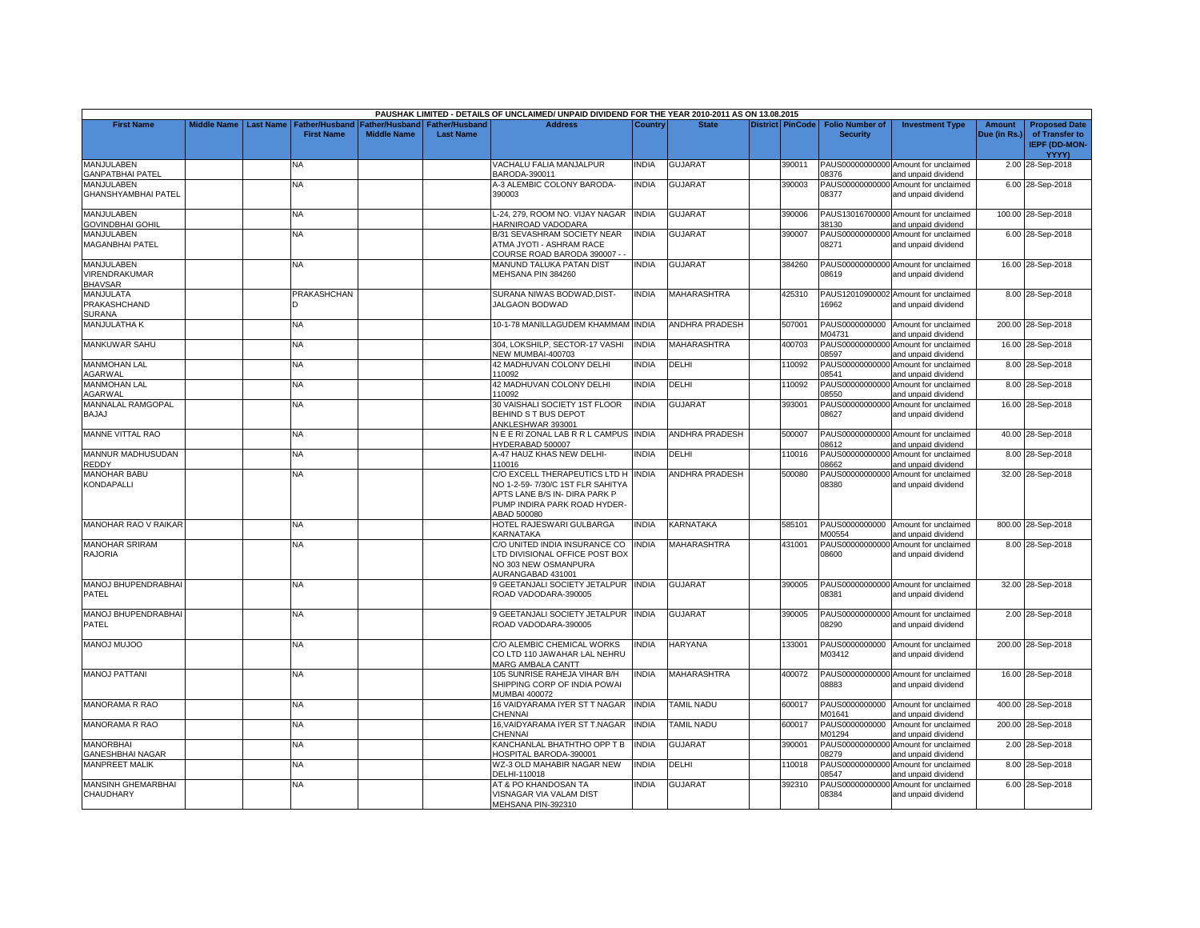|                                                 |                    |                  |                                            |                                      |                                           | PAUSHAK LIMITED - DETAILS OF UNCLAIMED/ UNPAID DIVIDEND FOR THE YEAR 2010-2011 AS ON 13.08.2015                                                    |                |                       |                         |                                           |                                                             |                               |                                                                |
|-------------------------------------------------|--------------------|------------------|--------------------------------------------|--------------------------------------|-------------------------------------------|----------------------------------------------------------------------------------------------------------------------------------------------------|----------------|-----------------------|-------------------------|-------------------------------------------|-------------------------------------------------------------|-------------------------------|----------------------------------------------------------------|
| <b>First Name</b>                               | <b>Middle Name</b> | <b>Last Name</b> | <b>Father/Husband</b><br><b>First Name</b> | Father/Husband<br><b>Middle Name</b> | <b>Father/Husband</b><br><b>Last Name</b> | <b>Address</b>                                                                                                                                     | <b>Country</b> | <b>State</b>          | <b>District PinCode</b> | <b>Folio Number of</b><br><b>Security</b> | <b>Investment Type</b>                                      | <b>Amount</b><br>Due (in Rs.) | <b>Proposed Date</b><br>of Transfer to<br><b>IEPF (DD-MON-</b> |
|                                                 |                    |                  |                                            |                                      |                                           |                                                                                                                                                    |                |                       |                         |                                           |                                                             |                               | <b>YYYY)</b>                                                   |
| MANJULABEN<br><b>GANPATBHAI PATEL</b>           |                    |                  | NA                                         |                                      |                                           | VACHALU FALIA MANJALPUR<br>BARODA-390011                                                                                                           | <b>NDIA</b>    | <b>GUJARAT</b>        | 390011                  | PAUS00000000000<br>08376                  | Amount for unclaimed<br>and unpaid dividend                 |                               | 2.00 28-Sep-2018                                               |
| <b>MANJULABEN</b><br><b>GHANSHYAMBHAI PATEL</b> |                    |                  | <b>NA</b>                                  |                                      |                                           | A-3 ALEMBIC COLONY BARODA-<br>390003                                                                                                               | <b>NDIA</b>    | <b>GUJARAT</b>        | 390003                  | PAUS00000000000<br>08377                  | Amount for unclaimed<br>and unpaid dividend                 |                               | 6.00 28-Sep-2018                                               |
| MANJULABEN<br>GOVINDBHAI GOHIL                  |                    |                  | NA                                         |                                      |                                           | -24, 279, ROOM NO. VIJAY NAGAR<br>HARNIROAD VADODARA                                                                                               | <b>INDIA</b>   | <b>GUJARAT</b>        | 390006                  | 38130                                     | PAUS13016700000 Amount for unclaimed<br>and unpaid dividend |                               | 100.00 28-Sep-2018                                             |
| MANJULABEN<br><b>MAGANBHAI PATEL</b>            |                    |                  | NA.                                        |                                      |                                           | B/31 SEVASHRAM SOCIETY NEAR<br>ATMA JYOTI - ASHRAM RACE<br>COURSE ROAD BARODA 390007 -                                                             | <b>INDIA</b>   | <b>GUJARAT</b>        | 390007                  | 08271                                     | PAUS00000000000 Amount for unclaimed<br>and unpaid dividend |                               | 6.00 28-Sep-2018                                               |
| MANJULABEN<br>VIRENDRAKUMAR<br><b>BHAVSAR</b>   |                    |                  | NA                                         |                                      |                                           | MANUND TALUKA PATAN DIST<br>MEHSANA PIN 384260                                                                                                     | INDIA          | <b>GUJARAT</b>        | 384260                  | 08619                                     | PAUS00000000000 Amount for unclaimed<br>and unpaid dividend |                               | 16.00 28-Sep-2018                                              |
| MANJULATA<br>PRAKASHCHAND<br><b>SURANA</b>      |                    |                  | <b>PRAKASHCHAN</b><br>n                    |                                      |                                           | SURANA NIWAS BODWAD, DIST-<br><b>JALGAON BODWAD</b>                                                                                                | <b>INDIA</b>   | <b>MAHARASHTRA</b>    | 425310                  | 16962                                     | PAUS12010900002 Amount for unclaimed<br>and unpaid dividend |                               | 8.00 28-Sep-2018                                               |
| <b>MANJULATHA K</b>                             |                    |                  | <b>NA</b>                                  |                                      |                                           | 10-1-78 MANILLAGUDEM KHAMMAM                                                                                                                       | <b>INDIA</b>   | <b>ANDHRA PRADESH</b> | 507001                  | PAUS0000000000<br>M04731                  | Amount for unclaimed<br>and unpaid dividend                 |                               | 200.00 28-Sep-2018                                             |
| <b>MANKUWAR SAHU</b>                            |                    |                  | <b>NA</b>                                  |                                      |                                           | 304. LOKSHILP, SECTOR-17 VASHI<br>NEW MUMBAI-400703                                                                                                | <b>INDIA</b>   | <b>MAHARASHTRA</b>    | 400703                  | PAUS00000000000<br>08597                  | Amount for unclaimed<br>and unpaid dividend                 |                               | 16.00 28-Sep-2018                                              |
| <b>MANMOHAN LAL</b><br>AGARWAL                  |                    |                  | <b>NA</b>                                  |                                      |                                           | 42 MADHUVAN COLONY DELHI<br>110092                                                                                                                 | INDIA          | DELHI                 | 110092                  | PAUS00000000000<br>08541                  | Amount for unclaimed<br>and unpaid dividend                 |                               | 8.00 28-Sep-2018                                               |
| <b>MANMOHAN LAL</b><br>AGARWAL                  |                    |                  | NA                                         |                                      |                                           | <b>42 MADHUVAN COLONY DELHI</b><br>110092                                                                                                          | <b>INDIA</b>   | DELHI                 | 110092                  | PAUS00000000000<br>08550                  | Amount for unclaimed<br>and unpaid dividend                 |                               | 8.00 28-Sep-2018                                               |
| <b>MANNALAL RAMGOPAL</b><br>BAJAJ               |                    |                  | <b>NA</b>                                  |                                      |                                           | 30 VAISHALI SOCIETY 1ST FLOOR<br>BEHIND S T BUS DEPOT<br>ANKLESHWAR 393001                                                                         | <b>INDIA</b>   | <b>GUJARAT</b>        | 393001                  | 08627                                     | PAUS00000000000 Amount for unclaimed<br>and unpaid dividend |                               | 16.00 28-Sep-2018                                              |
| MANNE VITTAL RAO                                |                    |                  | NA                                         |                                      |                                           | NEERIZONAL LABRRL CAMPUS INDIA<br>HYDERABAD 500007                                                                                                 |                | <b>ANDHRA PRADESH</b> | 500007                  | 08612                                     | PAUS00000000000 Amount for unclaimed<br>and unpaid dividend |                               | 40.00 28-Sep-2018                                              |
| <b>MANNUR MADHUSUDAN</b><br>REDDY               |                    |                  | <b>NA</b>                                  |                                      |                                           | A-47 HAUZ KHAS NEW DELHI-<br>110016                                                                                                                | <b>NDIA</b>    | DELHI                 | 110016                  | PAUS00000000000<br>08662                  | Amount for unclaimed<br>and unpaid dividend                 |                               | 8.00 28-Sep-2018                                               |
| <b>MANOHAR BABU</b><br><b>KONDAPALLI</b>        |                    |                  | ΝA                                         |                                      |                                           | C/O EXCELL THERAPEUTICS LTD H<br>NO 1-2-59- 7/30/C 1ST FLR SAHITYA<br>APTS LANE B/S IN- DIRA PARK P<br>PUMP INDIRA PARK ROAD HYDER-<br>ABAD 500080 | INDIA          | <b>ANDHRA PRADESH</b> | 500080                  | PAUS00000000000<br>08380                  | Amount for unclaimed<br>and unpaid dividend                 |                               | 32.00 28-Sep-2018                                              |
| MANOHAR RAO V RAIKAR                            |                    |                  | <b>NA</b>                                  |                                      |                                           | HOTEL RAJESWARI GULBARGA<br>KARNATAKA                                                                                                              | <b>NDIA</b>    | <b>KARNATAKA</b>      | 585101                  | V100554                                   | PAUS0000000000 Amount for unclaimed<br>and unpaid dividend  |                               | 800.00 28-Sep-2018                                             |
| <b>MANOHAR SRIRAM</b><br><b>RAJORIA</b>         |                    |                  | NA.                                        |                                      |                                           | C/O UNITED INDIA INSURANCE CO<br>LTD DIVISIONAL OFFICE POST BOX<br>NO 303 NEW OSMANPURA<br>AURANGABAD 431001                                       | <b>INDIA</b>   | <b>MAHARASHTRA</b>    | 431001                  | 08600                                     | PAUS00000000000 Amount for unclaimed<br>and unpaid dividend |                               | 8.00 28-Sep-2018                                               |
| MANOJ BHUPENDRABHAI<br>PATEL                    |                    |                  | <b>NA</b>                                  |                                      |                                           | 9 GEETANJALI SOCIETY JETALPUR INDIA<br>ROAD VADODARA-390005                                                                                        |                | <b>GUJARAT</b>        | 390005                  | 08381                                     | PAUS00000000000 Amount for unclaimed<br>and unpaid dividend |                               | 32.00 28-Sep-2018                                              |
| MANOJ BHUPENDRABHAI<br>PATEL                    |                    |                  | ΝA                                         |                                      |                                           | 9 GEETANJALI SOCIETY JETALPUR<br>ROAD VADODARA-390005                                                                                              | <b>INDIA</b>   | <b>GUJARAT</b>        | 390005                  | 08290                                     | PAUS00000000000 Amount for unclaimed<br>and unpaid dividend |                               | 2.00 28-Sep-2018                                               |
| <b>OOLUM LONAM</b>                              |                    |                  | NA                                         |                                      |                                           | C/O ALEMBIC CHEMICAL WORKS<br>CO LTD 110 JAWAHAR LAL NEHRU<br>MARG AMBALA CANTT                                                                    | <b>NDIA</b>    | <b>HARYANA</b>        | 133001                  | M03412                                    | PAUS0000000000 Amount for unclaimed<br>and unpaid dividend  |                               | 200.00 28-Sep-2018                                             |
| <b>MANOJ PATTANI</b>                            |                    |                  | <b>NA</b>                                  |                                      |                                           | 105 SUNRISE RAHEJA VIHAR B/H<br>SHIPPING CORP OF INDIA POWAI<br>MUMBAI 400072                                                                      | <b>NDIA</b>    | <b>MAHARASHTRA</b>    | 400072                  | 08883                                     | PAUS00000000000 Amount for unclaimed<br>and unpaid dividend |                               | 16.00 28-Sep-2018                                              |
| <b>MANORAMA R RAO</b>                           |                    |                  | <b>NA</b>                                  |                                      |                                           | 16 VAIDYARAMA IYER ST T NAGAR<br>CHENNAI                                                                                                           | <b>INDIA</b>   | <b>TAMIL NADU</b>     | 600017                  | M01641                                    | PAUS0000000000 Amount for unclaimed<br>and unpaid dividend  |                               | 400.00 28-Sep-2018                                             |
| MANORAMA R RAO                                  |                    |                  | <b>NA</b>                                  |                                      |                                           | 16, VAIDYARAMA IYER ST T.NAGAR<br>CHENNAI                                                                                                          | <b>INDIA</b>   | <b>TAMIL NADU</b>     | 600017                  | PAUS0000000000<br>M01294                  | Amount for unclaimed<br>and unpaid dividend                 |                               | 200.00 28-Sep-2018                                             |
| <b>MANORBHAI</b><br><b>GANESHBHAI NAGAR</b>     |                    |                  | <b>NA</b>                                  |                                      |                                           | KANCHANLAL BHATHTHO OPP T B<br>HOSPITAL BARODA-390001                                                                                              | <b>INDIA</b>   | <b>GUJARAT</b>        | 390001                  | PAUS00000000000<br>08279                  | Amount for unclaimed<br>and unpaid dividend                 |                               | 2.00 28-Sep-2018                                               |
| <b>MANPREET MALIK</b>                           |                    |                  | ΝA                                         |                                      |                                           | WZ-3 OLD MAHABIR NAGAR NEW<br>DELHI-110018                                                                                                         | <b>NDIA</b>    | DELHI                 | 110018                  | PAUS00000000000<br>08547                  | Amount for unclaimed<br>and unpaid dividend                 |                               | 8.00 28-Sep-2018                                               |
| <b>MANSINH GHEMARBHAI</b><br>CHAUDHARY          |                    |                  | NA.                                        |                                      |                                           | AT & PO KHANDOSAN TA<br>VISNAGAR VIA VALAM DIST<br>MEHSANA PIN-392310                                                                              | <b>NDIA</b>    | GUJARAT               | 392310                  | PAUS0000000000<br>08384                   | Amount for unclaimed<br>and unpaid dividend                 |                               | 6.00 28-Sep-2018                                               |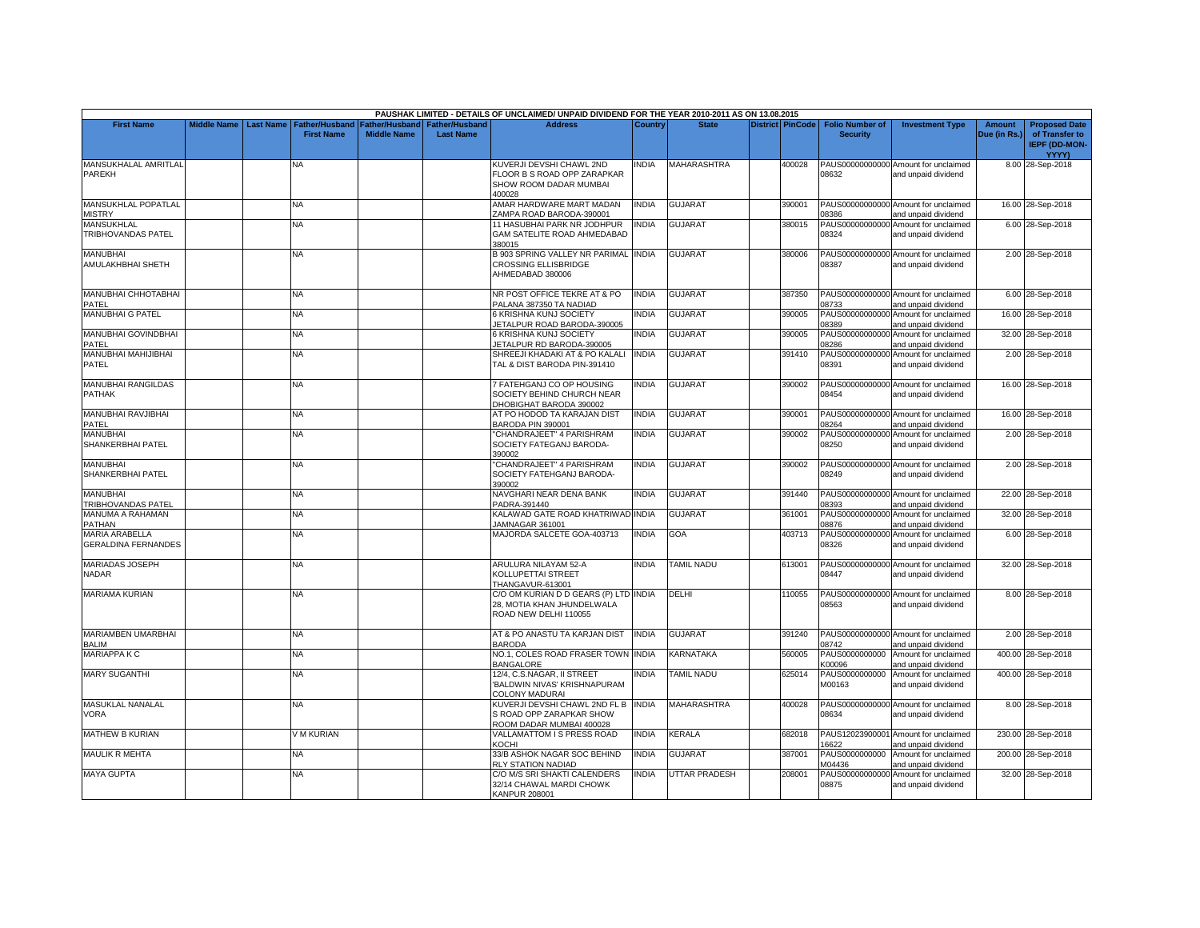|                                                     |                    |           |                                            |                                      |                                           | PAUSHAK LIMITED - DETAILS OF UNCLAIMED/ UNPAID DIVIDEND FOR THE YEAR 2010-2011 AS ON 13.08.2015 |                |                      |                         |                                           |                                                             |                               |                                                                         |
|-----------------------------------------------------|--------------------|-----------|--------------------------------------------|--------------------------------------|-------------------------------------------|-------------------------------------------------------------------------------------------------|----------------|----------------------|-------------------------|-------------------------------------------|-------------------------------------------------------------|-------------------------------|-------------------------------------------------------------------------|
| <b>First Name</b>                                   | <b>Middle Name</b> | Last Name | <b>Father/Husband</b><br><b>First Name</b> | Father/Husband<br><b>Middle Name</b> | <b>Father/Husband</b><br><b>Last Name</b> | <b>Address</b>                                                                                  | <b>Country</b> | <b>State</b>         | <b>District PinCode</b> | <b>Folio Number of</b><br><b>Security</b> | <b>Investment Type</b>                                      | <b>Amount</b><br>Due (in Rs.) | <b>Proposed Date</b><br>of Transfer to<br><b>IEPF (DD-MON-</b><br>YYYY) |
| MANSUKHALAL AMRITLAL<br>PAREKH                      |                    |           | ΝA                                         |                                      |                                           | KUVERJI DEVSHI CHAWL 2ND<br>FLOOR B S ROAD OPP ZARAPKAR<br>SHOW ROOM DADAR MUMBAI<br>400028     | INDIA          | MAHARASHTRA          | 400028                  | 08632                                     | PAUS00000000000 Amount for unclaimed<br>and unpaid dividend |                               | 8.00 28-Sep-2018                                                        |
| MANSUKHLAL POPATLAL<br><b>MISTRY</b>                |                    |           | <b>NA</b>                                  |                                      |                                           | AMAR HARDWARE MART MADAN<br>ZAMPA ROAD BARODA-390001                                            | <b>INDIA</b>   | <b>GUJARAT</b>       | 390001                  | 08386                                     | PAUS00000000000 Amount for unclaimed<br>and unpaid dividend |                               | 16.00 28-Sep-2018                                                       |
| <b>MANSUKHLAL</b><br>TRIBHOVANDAS PATEL             |                    |           | <b>NA</b>                                  |                                      |                                           | 11 HASUBHAI PARK NR JODHPUR<br>GAM SATELITE ROAD AHMEDABAD<br>380015                            | <b>INDIA</b>   | GUJARAT              | 380015                  | 08324                                     | PAUS00000000000 Amount for unclaimed<br>and unpaid dividend |                               | 6.00 28-Sep-2018                                                        |
| MANUBHAI<br>AMULAKHBHAI SHETH                       |                    |           | NA                                         |                                      |                                           | B 903 SPRING VALLEY NR PARIMAL INDIA<br>CROSSING ELLISBRIDGE<br>AHMEDABAD 380006                |                | <b>GUJARAT</b>       | 380006                  | 08387                                     | PAUS00000000000 Amount for unclaimed<br>and unpaid dividend |                               | 2.00 28-Sep-2018                                                        |
| MANUBHAI CHHOTABHAI<br>PATEL                        |                    |           | <b>NA</b>                                  |                                      |                                           | NR POST OFFICE TEKRE AT & PO<br>PALANA 387350 TA NADIAD                                         | <b>INDIA</b>   | GUJARAT              | 387350                  | 08733                                     | PAUS00000000000 Amount for unclaimed<br>and unpaid dividend |                               | 6.00 28-Sep-2018                                                        |
| MANUBHAI G PATEL                                    |                    |           | ΝA                                         |                                      |                                           | 6 KRISHNA KUNJ SOCIETY<br>JETALPUR ROAD BARODA-390005                                           | <b>INDIA</b>   | GUJARAT              | 390005                  | 08389                                     | PAUS00000000000 Amount for unclaimed<br>and unpaid dividend |                               | 16.00 28-Sep-2018                                                       |
| MANUBHAI GOVINDBHAI<br>PATEL                        |                    |           | NA                                         |                                      |                                           | 6 KRISHNA KUNJ SOCIETY<br>JETALPUR RD BARODA-390005                                             | <b>INDIA</b>   | <b>GUJARAT</b>       | 390005                  | 08286                                     | PAUS00000000000 Amount for unclaimed<br>and unpaid dividend |                               | 32.00 28-Sep-2018                                                       |
| MANUBHAI MAHIJIBHAI<br>PATEL                        |                    |           | NA                                         |                                      |                                           | SHREEJI KHADAKI AT & PO KALALI<br>TAL & DIST BARODA PIN-391410                                  | <b>INDIA</b>   | GUJARAT              | 391410                  | 08391                                     | PAUS00000000000 Amount for unclaimed<br>and unpaid dividend |                               | 2.00 28-Sep-2018                                                        |
| <b>MANUBHAI RANGILDAS</b><br>PATHAK                 |                    |           | <b>NA</b>                                  |                                      |                                           | 7 FATEHGANJ CO OP HOUSING<br>SOCIETY BEHIND CHURCH NEAR<br>DHOBIGHAT BARODA 390002              | <b>INDIA</b>   | <b>GUJARAT</b>       | 390002                  | 08454                                     | PAUS00000000000 Amount for unclaimed<br>and unpaid dividend |                               | 16.00 28-Sep-2018                                                       |
| MANUBHAI RAVJIBHAI<br>PATEL                         |                    |           | NA                                         |                                      |                                           | AT PO HODOD TA KARAJAN DIST<br>BARODA PIN 390001                                                | <b>INDIA</b>   | <b>GUJARAT</b>       | 390001                  | 08264                                     | PAUS00000000000 Amount for unclaimed<br>and unpaid dividend |                               | 16.00 28-Sep-2018                                                       |
| MANUBHAI<br>SHANKERBHAI PATEL                       |                    |           | <b>NA</b>                                  |                                      |                                           | "CHANDRAJEET" 4 PARISHRAM<br>SOCIETY FATEGANJ BARODA-<br>390002                                 | <b>INDIA</b>   | <b>GUJARAT</b>       | 390002                  | 08250                                     | PAUS00000000000 Amount for unclaimed<br>and unpaid dividend |                               | 2.00 28-Sep-2018                                                        |
| MANUBHAI<br>SHANKERBHAI PATEL                       |                    |           | ΝA                                         |                                      |                                           | "CHANDRAJEET" 4 PARISHRAM<br>SOCIETY FATEHGANJ BARODA-<br>390002                                | <b>INDIA</b>   | <b>GUJARAT</b>       | 390002                  | 08249                                     | PAUS00000000000 Amount for unclaimed<br>and unpaid dividend |                               | 2.00 28-Sep-2018                                                        |
| <b>MANUBHAI</b><br><b>TRIBHOVANDAS PATEL</b>        |                    |           | <b>NA</b>                                  |                                      |                                           | NAVGHARI NEAR DENA BANK<br>PADRA-391440                                                         | <b>INDIA</b>   | <b>GUJARAT</b>       | 391440                  | 28393                                     | PAUS00000000000 Amount for unclaimed<br>and unpaid dividend |                               | 22.00 28-Sep-2018                                                       |
| MANUMA A RAHAMAN<br>PATHAN                          |                    |           | NA.                                        |                                      |                                           | KALAWAD GATE ROAD KHATRIWAD INDIA<br>JAMNAGAR 361001                                            |                | GUJARAT              | 361001                  | 08876                                     | PAUS00000000000 Amount for unclaimed<br>and unpaid dividend |                               | 32.00 28-Sep-2018                                                       |
| <b>MARIA ARABELLA</b><br><b>GERALDINA FERNANDES</b> |                    |           | <b>NA</b>                                  |                                      |                                           | MAJORDA SALCETE GOA-403713                                                                      | <b>INDIA</b>   | GOA                  | 403713                  | 08326                                     | PAUS00000000000 Amount for unclaimed<br>and unpaid dividend |                               | 6.00 28-Sep-2018                                                        |
| <b>MARIADAS JOSEPH</b><br>NADAR                     |                    |           | NA                                         |                                      |                                           | ARULURA NILAYAM 52-A<br>KOLLUPETTAI STREET<br>THANGAVUR-613001                                  | <b>INDIA</b>   | <b>TAMIL NADU</b>    | 613001                  | 08447                                     | PAUS00000000000 Amount for unclaimed<br>and unpaid dividend |                               | 32.00 28-Sep-2018                                                       |
| <b>MARIAMA KURIAN</b>                               |                    |           | <b>NA</b>                                  |                                      |                                           | C/O OM KURIAN D D GEARS (P) LTD INDIA<br>28, MOTIA KHAN JHUNDELWALA<br>ROAD NEW DELHI 110055    |                | <b>DELHI</b>         | 110055                  | 08563                                     | PAUS00000000000 Amount for unclaimed<br>and unpaid dividend |                               | 8.00 28-Sep-2018                                                        |
| MARIAMBEN UMARBHAI<br>BALIM                         |                    |           | NA                                         |                                      |                                           | AT & PO ANASTU TA KARJAN DIST<br><b>BARODA</b>                                                  | <b>INDIA</b>   | <b>GUJARAT</b>       | 391240                  | 08742                                     | PAUS00000000000 Amount for unclaimed<br>and unpaid dividend |                               | 2.00 28-Sep-2018                                                        |
| <b>MARIAPPAKC</b>                                   |                    |           | <b>NA</b>                                  |                                      |                                           | NO.1, COLES ROAD FRASER TOWN INDIA<br><b>BANGALORE</b>                                          |                | <b>KARNATAKA</b>     | 560005                  | PAUS0000000000<br>K00096                  | Amount for unclaimed<br>and unpaid dividend                 |                               | 400.00 28-Sep-2018                                                      |
| <b>MARY SUGANTHI</b>                                |                    |           | <b>NA</b>                                  |                                      |                                           | 12/4, C.S.NAGAR, II STREET<br>BALDWIN NIVAS' KRISHNAPURAM<br>COLONY MADURAI                     | <b>INDIA</b>   | TAMIL NADU           | 625014                  | PAUS0000000000<br>M00163                  | Amount for unclaimed<br>and unpaid dividend                 |                               | 400.00 28-Sep-2018                                                      |
| MASUKLAL NANALAL<br>VORA                            |                    |           | NA                                         |                                      |                                           | KUVERJI DEVSHI CHAWL 2ND FL B<br>S ROAD OPP ZARAPKAR SHOW<br>ROOM DADAR MUMBAI 400028           | <b>INDIA</b>   | <b>MAHARASHTRA</b>   | 400028                  | 08634                                     | PAUS00000000000 Amount for unclaimed<br>and unpaid dividend |                               | 8.00 28-Sep-2018                                                        |
| MATHEW B KURIAN                                     |                    |           | V M KURIAN                                 |                                      |                                           | VALLAMATTOM I S PRESS ROAD<br>KOCHI                                                             | <b>INDIA</b>   | <b>KERALA</b>        | 682018                  | 16622                                     | PAUS12023900001 Amount for unclaimed<br>and unpaid dividend |                               | 230.00 28-Sep-2018                                                      |
| <b>MAULIK R MEHTA</b>                               |                    |           | <b>NA</b>                                  |                                      |                                           | 33/B ASHOK NAGAR SOC BEHIND<br>RLY STATION NADIAD                                               | <b>INDIA</b>   | GUJARAT              | 387001                  | PAUS0000000000<br>M04436                  | Amount for unclaimed<br>and unpaid dividend                 |                               | 200.00 28-Sep-2018                                                      |
| <b>MAYA GUPTA</b>                                   |                    |           | <b>NA</b>                                  |                                      |                                           | C/O M/S SRI SHAKTI CALENDERS<br>32/14 CHAWAL MARDI CHOWK<br><b>KANPUR 208001</b>                | <b>INDIA</b>   | <b>UTTAR PRADESH</b> | 208001                  | PAUS00000000000<br>08875                  | Amount for unclaimed<br>and unpaid dividend                 |                               | 32.00 28-Sep-2018                                                       |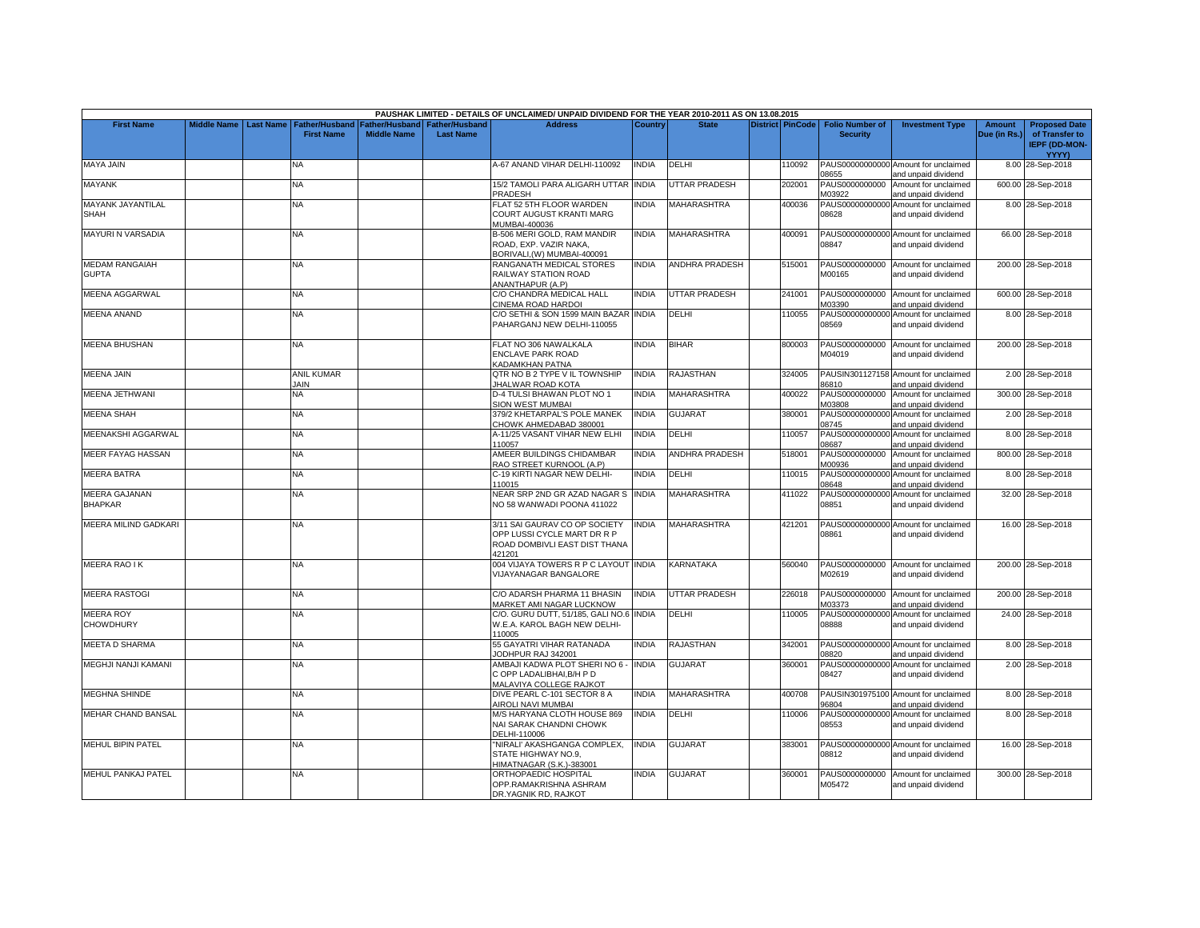|                                         |                    |                  |                                            |                                             |                                           | PAUSHAK LIMITED - DETAILS OF UNCLAIMED/ UNPAID DIVIDEND FOR THE YEAR 2010-2011 AS ON 13.08.2015         |                |                       |                         |                                           |                                                             |                               |                                                                         |
|-----------------------------------------|--------------------|------------------|--------------------------------------------|---------------------------------------------|-------------------------------------------|---------------------------------------------------------------------------------------------------------|----------------|-----------------------|-------------------------|-------------------------------------------|-------------------------------------------------------------|-------------------------------|-------------------------------------------------------------------------|
| <b>First Name</b>                       | <b>Middle Name</b> | <b>Last Name</b> | <b>Father/Husband</b><br><b>First Name</b> | <b>Father/Husband</b><br><b>Middle Name</b> | <b>Father/Husband</b><br><b>Last Name</b> | <b>Address</b>                                                                                          | <b>Country</b> | <b>State</b>          | <b>District PinCode</b> | <b>Folio Number of</b><br><b>Security</b> | <b>Investment Type</b>                                      | <b>Amount</b><br>Due (in Rs.) | <b>Proposed Date</b><br>of Transfer to<br><b>IEPF (DD-MON-</b><br>YYYY) |
| <b>MAYA JAIN</b>                        |                    |                  | NA                                         |                                             |                                           | A-67 ANAND VIHAR DELHI-110092                                                                           | NDIA           | DELHI                 | 110092                  | 08655                                     | PAUS00000000000 Amount for unclaimed<br>and unpaid dividend |                               | 8.00 28-Sep-2018                                                        |
| <b>MAYANK</b>                           |                    |                  | NA                                         |                                             |                                           | 15/2 TAMOLI PARA ALIGARH UTTAR<br><b>PRADESH</b>                                                        | <b>INDIA</b>   | <b>JTTAR PRADESH</b>  | 202001                  | PAUS0000000000<br>M03922                  | Amount for unclaimed<br>and unpaid dividend                 |                               | 600.00 28-Sep-2018                                                      |
| <b>MAYANK JAYANTILAL</b><br><b>SHAH</b> |                    |                  | <b>NA</b>                                  |                                             |                                           | FLAT 52 5TH FLOOR WARDEN<br><b>COURT AUGUST KRANTI MARG</b><br>MUMBAI-400036                            | <b>INDIA</b>   | <b>MAHARASHTRA</b>    | 400036                  | 08628                                     | PAUS00000000000 Amount for unclaimed<br>and unpaid dividend |                               | 8.00 28-Sep-2018                                                        |
| <b>MAYURI N VARSADIA</b>                |                    |                  | <b>NA</b>                                  |                                             |                                           | B-506 MERI GOLD, RAM MANDIR<br>ROAD, EXP. VAZIR NAKA.<br>BORIVALI.(W) MUMBAI-400091                     | <b>INDIA</b>   | <b>MAHARASHTRA</b>    | 400091                  | 08847                                     | PAUS00000000000 Amount for unclaimed<br>and unpaid dividend |                               | 66.00 28-Sep-2018                                                       |
| <b>MEDAM RANGAIAH</b><br><b>GUPTA</b>   |                    |                  | NA                                         |                                             |                                           | RANGANATH MEDICAL STORES<br>RAILWAY STATION ROAD<br>ANANTHAPUR (A.P)                                    | INDIA          | ANDHRA PRADESH        | 515001                  | M00165                                    | PAUS0000000000 Amount for unclaimed<br>and unpaid dividend  |                               | 200.00 28-Sep-2018                                                      |
| MEENA AGGARWAL                          |                    |                  | <b>NA</b>                                  |                                             |                                           | C/O CHANDRA MEDICAL HALL<br>CINEMA ROAD HARDOI                                                          | <b>INDIA</b>   | <b>UTTAR PRADESH</b>  | 241001                  | M03390                                    | PAUS0000000000 Amount for unclaimed<br>and unpaid dividend  |                               | 600.00 28-Sep-2018                                                      |
| <b>MEENA ANAND</b>                      |                    |                  | NA                                         |                                             |                                           | C/O SETHI & SON 1599 MAIN BAZAR INDIA<br>PAHARGANJ NEW DELHI-110055                                     |                | DELHI                 | 110055                  | 08569                                     | PAUS00000000000 Amount for unclaimed<br>and unpaid dividend |                               | 8.00 28-Sep-2018                                                        |
| <b>MEENA BHUSHAN</b>                    |                    |                  | NA                                         |                                             |                                           | FLAT NO 306 NAWALKALA<br><b>ENCLAVE PARK ROAD</b><br>KADAMKHAN PATNA                                    | <b>NDIA</b>    | <b>BIHAR</b>          | 800003                  | PAUS0000000000<br>M04019                  | Amount for unclaimed<br>and unpaid dividend                 |                               | 200.00 28-Sep-2018                                                      |
| <b>MEENA JAIN</b>                       |                    |                  | <b>ANIL KUMAR</b><br><b>JAIN</b>           |                                             |                                           | QTR NO B 2 TYPE V IL TOWNSHIP<br><b>JHALWAR ROAD KOTA</b>                                               | <b>INDIA</b>   | <b>RAJASTHAN</b>      | 324005                  | 36810                                     | PAUSIN301127158 Amount for unclaimed<br>and unpaid dividend |                               | 2.00 28-Sep-2018                                                        |
| MEENA JETHWANI                          |                    |                  | <b>NA</b>                                  |                                             |                                           | D-4 TULSI BHAWAN PLOT NO 1<br>SION WEST MUMBAI                                                          | <b>NDIA</b>    | <b>MAHARASHTRA</b>    | 400022                  | PAUS0000000000<br>M03808                  | Amount for unclaimed<br>and unpaid dividend                 |                               | 300.00 28-Sep-2018                                                      |
| <b>MEENA SHAH</b>                       |                    |                  | NA                                         |                                             |                                           | 379/2 KHETARPAL'S POLE MANEK<br>CHOWK AHMEDABAD 380001                                                  | INDIA          | <b>GUJARAT</b>        | 380001                  | 08745                                     | PAUS00000000000 Amount for unclaimed<br>and unpaid dividend |                               | 2.00 28-Sep-2018                                                        |
| MEENAKSHI AGGARWAL                      |                    |                  | <b>NA</b>                                  |                                             |                                           | A-11/25 VASANT VIHAR NEW ELHI<br>110057                                                                 | <b>INDIA</b>   | DELHI                 | 110057                  | 08687                                     | PAUS00000000000 Amount for unclaimed<br>and unpaid dividend |                               | 8.00 28-Sep-2018                                                        |
| <b>MEER FAYAG HASSAN</b>                |                    |                  | NA                                         |                                             |                                           | AMEER BUILDINGS CHIDAMBAR<br>RAO STREET KURNOOL (A.P)                                                   | <b>INDIA</b>   | <b>ANDHRA PRADESH</b> | 518001                  | PAUS0000000000<br>M00936                  | Amount for unclaimed<br>and unpaid dividend                 |                               | 800.00 28-Sep-2018                                                      |
| <b>MEERA BATRA</b>                      |                    |                  | <b>NA</b>                                  |                                             |                                           | C-19 KIRTI NAGAR NEW DELHI-<br>110015                                                                   | <b>INDIA</b>   | DELHI                 | 110015                  | 08648                                     | PAUS00000000000 Amount for unclaimed<br>and unpaid dividend |                               | 8.00 28-Sep-2018                                                        |
| <b>MEERA GAJANAN</b><br><b>BHAPKAR</b>  |                    |                  | NA                                         |                                             |                                           | NEAR SRP 2ND GR AZAD NAGAR S<br>NO 58 WANWADI POONA 411022                                              | <b>INDIA</b>   | <b>MAHARASHTRA</b>    | 411022                  | 08851                                     | PAUS00000000000 Amount for unclaimed<br>and unpaid dividend |                               | 32.00 28-Sep-2018                                                       |
| MEERA MILIND GADKARI                    |                    |                  | <b>NA</b>                                  |                                             |                                           | 3/11 SAI GAURAV CO OP SOCIETY<br>OPP LUSSI CYCLE MART DR R P<br>ROAD DOMBIVLI EAST DIST THANA<br>421201 | <b>NDIA</b>    | <b>MAHARASHTRA</b>    | 421201                  | 08861                                     | PAUS00000000000 Amount for unclaimed<br>and unpaid dividend |                               | 16.00 28-Sep-2018                                                       |
| <b>MEERA RAO IK</b>                     |                    |                  | NA.                                        |                                             |                                           | 004 VIJAYA TOWERS R P C LAYOUT IINDIA<br><b>VIJAYANAGAR BANGALORE</b>                                   |                | KARNATAKA             | 560040                  | M02619                                    | PAUS0000000000 Amount for unclaimed<br>and unpaid dividend  |                               | 200.00 28-Sep-2018                                                      |
| <b>MEERA RASTOGI</b>                    |                    |                  | <b>NA</b>                                  |                                             |                                           | C/O ADARSH PHARMA 11 BHASIN<br>MARKET AMI NAGAR LUCKNOW                                                 | <b>INDIA</b>   | UTTAR PRADESH         | 226018                  | M03373                                    | PAUS0000000000 Amount for unclaimed<br>and unpaid dividend  |                               | 200.00 28-Sep-2018                                                      |
| <b>MEERA ROY</b><br><b>CHOWDHURY</b>    |                    |                  | NA                                         |                                             |                                           | C/O. GURU DUTT, 51/185, GALI NO.6 INDIA<br>W.E.A. KAROL BAGH NEW DELHI-<br>110005                       |                | DELHI                 | 110005                  | 08888                                     | PAUS00000000000 Amount for unclaimed<br>and unpaid dividend |                               | 24.00 28-Sep-2018                                                       |
| MEETA D SHARMA                          |                    |                  | NA                                         |                                             |                                           | 55 GAYATRI VIHAR RATANADA<br>JODHPUR RAJ 342001                                                         | <b>NDIA</b>    | RAJASTHAN             | 342001                  | 08820                                     | PAUS00000000000 Amount for unclaimed<br>and unpaid dividend |                               | 8.00 28-Sep-2018                                                        |
| MEGHJI NANJI KAMANI                     |                    |                  | NA.                                        |                                             |                                           | AMBAJI KADWA PLOT SHERI NO 6<br>C OPP LADALIBHAI, B/H P D<br>MALAVIYA COLLEGE RAJKOT                    | <b>INDIA</b>   | GUJARAT               | 360001                  | 08427                                     | PAUS00000000000 Amount for unclaimed<br>and unpaid dividend |                               | 2.00 28-Sep-2018                                                        |
| <b>MEGHNA SHINDE</b>                    |                    |                  | NA                                         |                                             |                                           | DIVE PEARL C-101 SECTOR 8 A<br>AIROLI NAVI MUMBAI                                                       | <b>INDIA</b>   | <b>MAHARASHTRA</b>    | 400708                  | 96804                                     | PAUSIN301975100 Amount for unclaimed<br>and unpaid dividend |                               | 8.00 28-Sep-2018                                                        |
| <b>MEHAR CHAND BANSAL</b>               |                    |                  | NA.                                        |                                             |                                           | M/S HARYANA CLOTH HOUSE 869<br>NAI SARAK CHANDNI CHOWK<br>DELHI-110006                                  | INDIA          | DELHI                 | 110006                  | 08553                                     | PAUS00000000000 Amount for unclaimed<br>and unpaid dividend |                               | 8.00 28-Sep-2018                                                        |
| <b>MEHUL BIPIN PATEL</b>                |                    |                  | <b>NA</b>                                  |                                             |                                           | "NIRALI' AKASHGANGA COMPLEX<br>STATE HIGHWAY NO.9,<br>HIMATNAGAR (S.K.)-383001                          | <b>INDIA</b>   | <b>GUJARAT</b>        | 383001                  | 08812                                     | PAUS00000000000 Amount for unclaimed<br>and unpaid dividend |                               | 16.00 28-Sep-2018                                                       |
| <b>MEHUL PANKAJ PATEL</b>               |                    |                  | <b>NA</b>                                  |                                             |                                           | ORTHOPAEDIC HOSPITAL<br>OPP.RAMAKRISHNA ASHRAM<br>DR.YAGNIK RD, RAJKOT                                  | <b>NDIA</b>    | GUJARAT               | 360001                  | PAUS0000000000<br>M05472                  | Amount for unclaimed<br>and unpaid dividend                 |                               | 300.00 28-Sep-2018                                                      |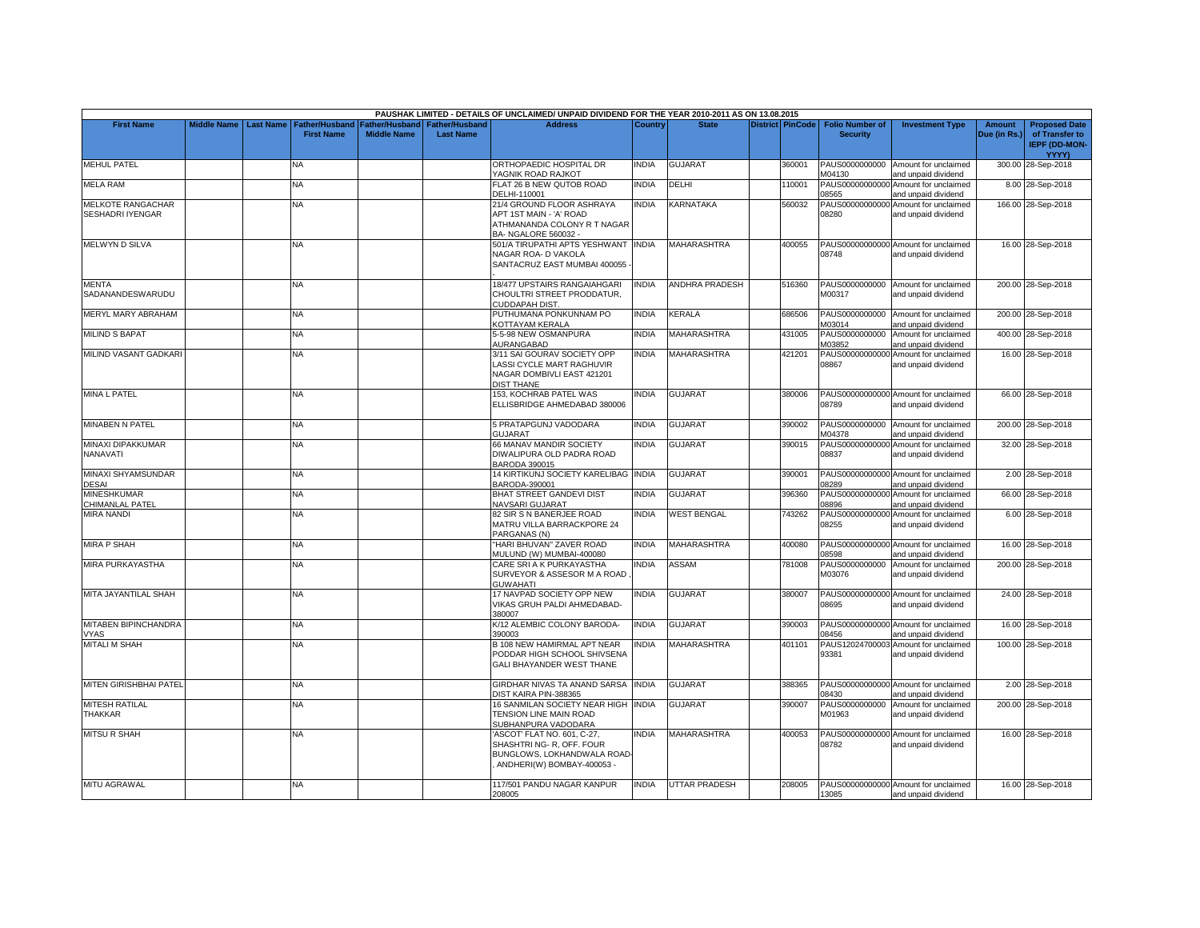|                                              |                    |                  |                                            |                                             |                                           | PAUSHAK LIMITED - DETAILS OF UNCLAIMED/ UNPAID DIVIDEND FOR THE YEAR 2010-2011 AS ON 13.08.2015                     |              |                       |                         |                                           |                                                             |                               |                                                                         |
|----------------------------------------------|--------------------|------------------|--------------------------------------------|---------------------------------------------|-------------------------------------------|---------------------------------------------------------------------------------------------------------------------|--------------|-----------------------|-------------------------|-------------------------------------------|-------------------------------------------------------------|-------------------------------|-------------------------------------------------------------------------|
| <b>First Name</b>                            | <b>Middle Name</b> | <b>Last Name</b> | <b>Father/Husband</b><br><b>First Name</b> | <b>Father/Husband</b><br><b>Middle Name</b> | <b>Father/Husband</b><br><b>Last Name</b> | <b>Address</b>                                                                                                      | Country      | <b>State</b>          | <b>District PinCode</b> | <b>Folio Number of</b><br><b>Security</b> | <b>Investment Type</b>                                      | <b>Amount</b><br>Due (in Rs.) | <b>Proposed Date</b><br>of Transfer to<br><b>IEPF (DD-MON-</b><br>YYYY) |
| <b>MEHUL PATEL</b>                           |                    |                  | NA                                         |                                             |                                           | ORTHOPAEDIC HOSPITAL DR<br>YAGNIK ROAD RAJKOT                                                                       | <b>NDIA</b>  | <b>GUJARAT</b>        | 360001                  | PAUS0000000000<br>M04130                  | Amount for unclaimed<br>and unpaid dividend                 |                               | 300.00 28-Sep-2018                                                      |
| <b>MELA RAM</b>                              |                    |                  | <b>NA</b>                                  |                                             |                                           | FLAT 26 B NEW QUTOB ROAD<br>DELHI-110001                                                                            | <b>NDIA</b>  | DELHI                 | 110001                  | PAUS00000000000<br>08565                  | Amount for unclaimed<br>and unpaid dividend                 |                               | 8.00 28-Sep-2018                                                        |
| MELKOTE RANGACHAR<br><b>SESHADRI IYENGAR</b> |                    |                  | NA                                         |                                             |                                           | 21/4 GROUND FLOOR ASHRAYA<br>APT 1ST MAIN - 'A' ROAD<br>ATHMANANDA COLONY R T NAGAR<br>BA- NGALORE 560032 -         | <b>INDIA</b> | KARNATAKA             | 560032                  | 08280                                     | PAUS00000000000 Amount for unclaimed<br>and unpaid dividend |                               | 166.00 28-Sep-2018                                                      |
| <b>MELWYN D SILVA</b>                        |                    |                  | <b>NA</b>                                  |                                             |                                           | 501/A TIRUPATHI APTS YESHWANT INDIA<br>NAGAR ROA- D VAKOLA<br>SANTACRUZ EAST MUMBAI 400055                          |              | <b>MAHARASHTRA</b>    | 400055                  | 08748                                     | PAUS00000000000 Amount for unclaimed<br>and unpaid dividend |                               | 16.00 28-Sep-2018                                                       |
| <b>MENTA</b><br>SADANANDESWARUDU             |                    |                  | <b>NA</b>                                  |                                             |                                           | 18/477 UPSTAIRS RANGAIAHGARI<br>CHOULTRI STREET PRODDATUR.<br>CUDDAPAH DIST.                                        | <b>NDIA</b>  | <b>ANDHRA PRADESH</b> | 516360                  | PAUS0000000000<br>M00317                  | Amount for unclaimed<br>and unpaid dividend                 |                               | 200.00 28-Sep-2018                                                      |
| MERYL MARY ABRAHAM                           |                    |                  | NA.                                        |                                             |                                           | PUTHUMANA PONKUNNAM PO<br>KOTTAYAM KERALA                                                                           | NDIA         | KERALA                | 686506                  | M03014                                    | PAUS0000000000 Amount for unclaimed<br>and unpaid dividend  |                               | 200.00 28-Sep-2018                                                      |
| <b>MILIND S BAPAT</b>                        |                    |                  | <b>NA</b>                                  |                                             |                                           | 5-5-98 NEW OSMANPURA<br><b>NURANGABAD</b>                                                                           | <b>INDIA</b> | <b>MAHARASHTRA</b>    | 431005                  | M03852                                    | PAUS0000000000 Amount for unclaimed<br>and unpaid dividend  |                               | 400.00 28-Sep-2018                                                      |
| MILIND VASANT GADKARI                        |                    |                  | NA                                         |                                             |                                           | 3/11 SAI GOURAV SOCIETY OPP<br><b>LASSI CYCLE MART RAGHUVIR</b><br>NAGAR DOMBIVLI EAST 421201<br><b>DIST THANE</b>  | <b>NDIA</b>  | <b>MAHARASHTRA</b>    | 421201                  | 08867                                     | PAUS00000000000 Amount for unclaimed<br>and unpaid dividend |                               | 16.00 28-Sep-2018                                                       |
| <b>MINA L PATEL</b>                          |                    |                  | <b>NA</b>                                  |                                             |                                           | 153. KOCHRAB PATEL WAS<br>ELLISBRIDGE AHMEDABAD 380006                                                              | <b>INDIA</b> | <b>GUJARAT</b>        | 380006                  | 08789                                     | PAUS00000000000 Amount for unclaimed<br>and unpaid dividend |                               | 66.00 28-Sep-2018                                                       |
| <b>MINABEN N PATEL</b>                       |                    |                  | <b>NA</b>                                  |                                             |                                           | 5 PRATAPGUNJ VADODARA<br>GUJARAT                                                                                    | <b>INDIA</b> | GUJARAT               | 390002                  | M04378                                    | PAUS0000000000 Amount for unclaimed<br>and unpaid dividend  |                               | 200.00 28-Sep-2018                                                      |
| MINAXI DIPAKKUMAR<br>NANAVATI                |                    |                  | NA                                         |                                             |                                           | 66 MANAV MANDIR SOCIETY<br>DIWALIPURA OLD PADRA ROAD<br><b>BARODA 390015</b>                                        | <b>NDIA</b>  | GUJARAT               | 390015                  | 08837                                     | PAUS00000000000 Amount for unclaimed<br>and unpaid dividend |                               | 32.00 28-Sep-2018                                                       |
| MINAXI SHYAMSUNDAR<br><b>DESAI</b>           |                    |                  | NA                                         |                                             |                                           | 14 KIRTIKUNJ SOCIETY KARELIBAG INDIA<br>BARODA-390001                                                               |              | GUJARAT               | 390001                  | 08289                                     | PAUS00000000000 Amount for unclaimed<br>and unpaid dividend |                               | 2.00 28-Sep-2018                                                        |
| <b>MINESHKUMAR</b><br>CHIMANLAL PATEL        |                    |                  | <b>NA</b>                                  |                                             |                                           | <b>BHAT STREET GANDEVI DIST</b><br><b>NAVSARI GUJARAT</b>                                                           | INDIA        | <b>GUJARAT</b>        | 396360                  | PAUS00000000000<br>08896                  | Amount for unclaimed<br>and unpaid dividend                 |                               | 66.00 28-Sep-2018                                                       |
| <b>MIRA NANDI</b>                            |                    |                  | NA.                                        |                                             |                                           | 82 SIR S N BANERJEE ROAD<br>MATRU VILLA BARRACKPORE 24<br>PARGANAS (N)                                              | <b>NDIA</b>  | <b>WEST BENGAL</b>    | 743262                  | 08255                                     | PAUS00000000000 Amount for unclaimed<br>and unpaid dividend |                               | 6.00 28-Sep-2018                                                        |
| <b>MIRA P SHAH</b>                           |                    |                  | NA                                         |                                             |                                           | "HARI BHUVAN" ZAVER ROAD<br>MULUND (W) MUMBAI-400080                                                                | INDIA        | <b>MAHARASHTRA</b>    | 400080                  | 08598                                     | PAUS00000000000 Amount for unclaimed<br>and unpaid dividend |                               | 16.00 28-Sep-2018                                                       |
| <b>MIRA PURKAYASTHA</b>                      |                    |                  | NA.                                        |                                             |                                           | CARE SRI A K PURKAYASTHA<br>SURVEYOR & ASSESOR M A ROAD<br><b>GUWAHATI</b>                                          | <b>NDIA</b>  | ASSAM                 | 781008                  | PAUS0000000000<br>M03076                  | Amount for unclaimed<br>and unpaid dividend                 |                               | 200.00 28-Sep-2018                                                      |
| MITA JAYANTILAL SHAH                         |                    |                  | <b>NA</b>                                  |                                             |                                           | 17 NAVPAD SOCIETY OPP NEW<br>VIKAS GRUH PALDI AHMEDABAD-<br>380007                                                  | <b>NDIA</b>  | GUJARAT               | 380007                  | 08695                                     | PAUS00000000000 Amount for unclaimed<br>and unpaid dividend |                               | 24.00 28-Sep-2018                                                       |
| MITABEN BIPINCHANDRA<br><b>VYAS</b>          |                    |                  | <b>NA</b>                                  |                                             |                                           | K/12 ALEMBIC COLONY BARODA-<br>390003                                                                               | <b>INDIA</b> | <b>GUJARAT</b>        | 390003                  | 08456                                     | PAUS00000000000 Amount for unclaimed<br>and unpaid dividend |                               | 16.00 28-Sep-2018                                                       |
| <b>MITALI M SHAH</b>                         |                    |                  | NA.                                        |                                             |                                           | B 108 NEW HAMIRMAL APT NEAR<br>PODDAR HIGH SCHOOL SHIVSENA<br><b>GALI BHAYANDER WEST THANE</b>                      | INDIA        | <b>MAHARASHTRA</b>    | 401101                  | 93381                                     | PAUS12024700003 Amount for unclaimed<br>and unpaid dividend |                               | 100.00 28-Sep-2018                                                      |
| MITEN GIRISHBHAI PATEL                       |                    |                  | NA                                         |                                             |                                           | GIRDHAR NIVAS TA ANAND SARSA<br>DIST KAIRA PIN-388365                                                               | <b>INDIA</b> | <b>GUJARAT</b>        | 388365                  | 08430                                     | PAUS00000000000 Amount for unclaimed<br>and unpaid dividend |                               | 2.00 28-Sep-2018                                                        |
| <b>MITESH RATILAL</b><br>THAKKAR             |                    |                  | <b>NA</b>                                  |                                             |                                           | 16 SANMILAN SOCIETY NEAR HIGH INDIA<br>TENSION LINE MAIN ROAD<br>SUBHANPURA VADODARA                                |              | GUJARAT               | 390007                  | M01963                                    | PAUS0000000000 Amount for unclaimed<br>and unpaid dividend  |                               | 200.00 28-Sep-2018                                                      |
| <b>MITSU R SHAH</b>                          |                    |                  | <b>NA</b>                                  |                                             |                                           | ASCOT' FLAT NO. 601, C-27,<br>SHASHTRI NG-R, OFF. FOUR<br>BUNGLOWS, LOKHANDWALA ROAD-<br>ANDHERI(W) BOMBAY-400053 - | <b>INDIA</b> | <b>MAHARASHTRA</b>    | 400053                  | 08782                                     | PAUS00000000000 Amount for unclaimed<br>and unpaid dividend |                               | 16.00 28-Sep-2018                                                       |
| <b>MITU AGRAWAL</b>                          |                    |                  | <b>NA</b>                                  |                                             |                                           | 117/501 PANDU NAGAR KANPUR<br>208005                                                                                | <b>INDIA</b> | <b>UTTAR PRADESH</b>  | 208005                  | 13085                                     | PAUS00000000000 Amount for unclaimed<br>and unpaid dividend |                               | 16.00 28-Sep-2018                                                       |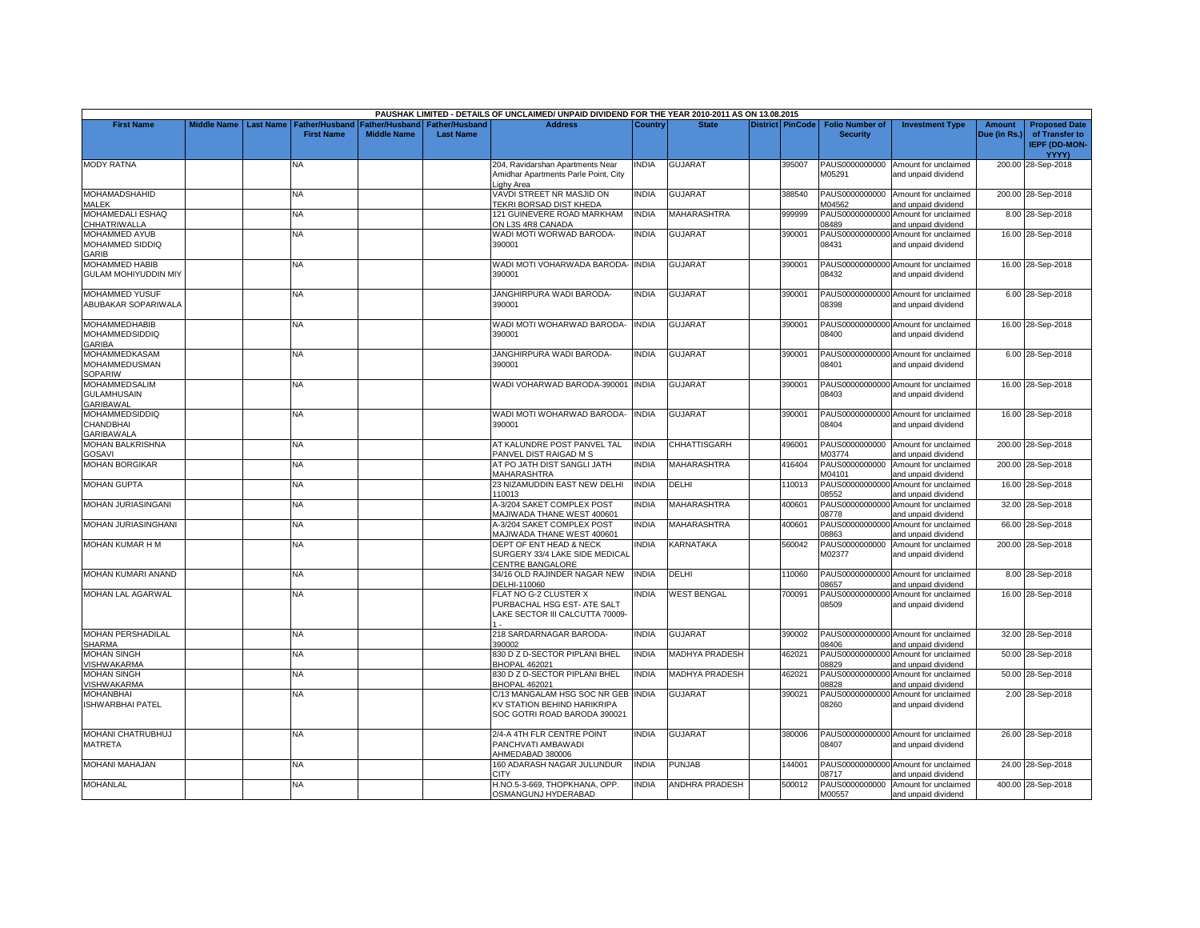|                                                                |                    |                  |                                            |                                             |                                    | PAUSHAK LIMITED - DETAILS OF UNCLAIMED/ UNPAID DIVIDEND FOR THE YEAR 2010-2011 AS ON 13.08.2015   |              |                       |                  |                                           |                                                             |                               |                                                                |
|----------------------------------------------------------------|--------------------|------------------|--------------------------------------------|---------------------------------------------|------------------------------------|---------------------------------------------------------------------------------------------------|--------------|-----------------------|------------------|-------------------------------------------|-------------------------------------------------------------|-------------------------------|----------------------------------------------------------------|
| <b>First Name</b>                                              | <b>Middle Name</b> | <b>Last Name</b> | <b>Father/Husband</b><br><b>First Name</b> | <b>Father/Husband</b><br><b>Middle Name</b> | Father/Husband<br><b>Last Name</b> | <b>Address</b>                                                                                    | Country      | <b>State</b>          | District PinCode | <b>Folio Number of</b><br><b>Security</b> | <b>Investment Type</b>                                      | <b>Amount</b><br>Due (in Rs.) | <b>Proposed Date</b><br>of Transfer to<br><b>IEPF (DD-MON-</b> |
| <b>MODY RATNA</b>                                              |                    |                  | NA                                         |                                             |                                    | 204, Ravidarshan Apartments Near<br>Amidhar Apartments Parle Point, City<br>ighy Area             | <b>NDIA</b>  | <b>GUJARAT</b>        | 395007           | PAUS0000000000<br>M05291                  | Amount for unclaimed<br>and unpaid dividend                 |                               | YYYY)<br>200.00 28-Sep-2018                                    |
| MOHAMADSHAHID<br>MALEK                                         |                    |                  | <b>NA</b>                                  |                                             |                                    | VAVDI STREET NR MASJID ON<br>TEKRI BORSAD DIST KHEDA                                              | <b>INDIA</b> | <b>GUJARAT</b>        | 388540           | PAUS0000000000<br>M04562                  | Amount for unclaimed<br>and unpaid dividend                 |                               | 200.00 28-Sep-2018                                             |
| MOHAMEDALI ESHAQ<br><b>CHHATRIWALLA</b>                        |                    |                  | NA                                         |                                             |                                    | 121 GUINEVERE ROAD MARKHAM<br>ON L3S 4R8 CANADA                                                   | <b>INDIA</b> | MAHARASHTRA           | 999999           | 08489                                     | PAUS00000000000 Amount for unclaimed<br>and unpaid dividend |                               | 8.00 28-Sep-2018                                               |
| <b>MOHAMMED AYUB</b><br>MOHAMMED SIDDIQ<br><b>GARIB</b>        |                    |                  | <b>NA</b>                                  |                                             |                                    | WADI MOTI WORWAD BARODA-<br>390001                                                                | <b>INDIA</b> | <b>GUJARAT</b>        | 390001           | 08431                                     | PAUS00000000000 Amount for unclaimed<br>and unpaid dividend |                               | 16.00 28-Sep-2018                                              |
| MOHAMMED HABIB<br><b>GULAM MOHIYUDDIN MIY</b>                  |                    |                  | NA.                                        |                                             |                                    | WADI MOTI VOHARWADA BARODA- INDIA<br>390001                                                       |              | <b>GUJARAT</b>        | 390001           | 08432                                     | PAUS00000000000 Amount for unclaimed<br>and unpaid dividend |                               | 16.00 28-Sep-2018                                              |
| <b>MOHAMMED YUSUF</b><br>ABUBAKAR SOPARIWALA                   |                    |                  | NA                                         |                                             |                                    | JANGHIRPURA WADI BARODA-<br>390001                                                                | <b>INDIA</b> | <b>GUJARAT</b>        | 390001           | 08398                                     | PAUS00000000000 Amount for unclaimed<br>and unpaid dividend |                               | 6.00 28-Sep-2018                                               |
| MOHAMMEDHABIB<br><b>MOHAMMEDSIDDIQ</b><br><b>GARIBA</b>        |                    |                  | <b>NA</b>                                  |                                             |                                    | WADI MOTI WOHARWAD BARODA-<br>390001                                                              | <b>INDIA</b> | <b>GUJARAT</b>        | 390001           | 08400                                     | PAUS00000000000 Amount for unclaimed<br>and unpaid dividend |                               | 16.00 28-Sep-2018                                              |
| MOHAMMEDKASAM<br><b>MOHAMMEDUSMAN</b><br><b>SOPARIW</b>        |                    |                  | NA                                         |                                             |                                    | JANGHIRPURA WADI BARODA-<br>390001                                                                | <b>INDIA</b> | <b>GUJARAT</b>        | 390001           | 08401                                     | PAUS00000000000 Amount for unclaimed<br>and unpaid dividend |                               | 6.00 28-Sep-2018                                               |
| <b>MOHAMMEDSALIM</b><br><b>GULAMHUSAIN</b><br><b>GARIBAWAL</b> |                    |                  | <b>NA</b>                                  |                                             |                                    | WADI VOHARWAD BARODA-390001 INDIA                                                                 |              | <b>GUJARAT</b>        | 390001           | 08403                                     | PAUS00000000000 Amount for unclaimed<br>and unpaid dividend |                               | 16.00 28-Sep-2018                                              |
| <b>MOHAMMEDSIDDIQ</b><br>CHANDBHAI<br>GARIBAWALA               |                    |                  | NA                                         |                                             |                                    | WADI MOTI WOHARWAD BARODA-<br>390001                                                              | <b>INDIA</b> | <b>GUJARAT</b>        | 390001           | 08404                                     | PAUS00000000000 Amount for unclaimed<br>and unpaid dividend |                               | 16.00 28-Sep-2018                                              |
| MOHAN BALKRISHNA<br>GOSAVI                                     |                    |                  | NA                                         |                                             |                                    | AT KALUNDRE POST PANVEL TAL<br>PANVEL DIST RAIGAD M S                                             | <b>INDIA</b> | <b>CHHATTISGARH</b>   | 496001           | PAUS0000000000<br>M03774                  | Amount for unclaimed<br>and unpaid dividend                 |                               | 200.00 28-Sep-2018                                             |
| <b>MOHAN BORGIKAR</b>                                          |                    |                  | NA                                         |                                             |                                    | AT PO JATH DIST SANGLI JATH<br>MAHARASHTRA                                                        | INDIA        | MAHARASHTRA           | 416404           | PAUS0000000000<br>M04101                  | Amount for unclaimed<br>and unpaid dividend                 |                               | 200.00 28-Sep-2018                                             |
| <b>MOHAN GUPTA</b>                                             |                    |                  | <b>NA</b>                                  |                                             |                                    | 23 NIZAMUDDIN EAST NEW DELHI<br>110013                                                            | <b>INDIA</b> | DELHI                 | 110013           | PAUS00000000000<br>08552                  | Amount for unclaimed<br>and unpaid dividend                 |                               | 16.00 28-Sep-2018                                              |
| MOHAN JURIASINGANI                                             |                    |                  | NA                                         |                                             |                                    | 4-3/204 SAKET COMPLEX POST<br>MAJIWADA THANE WEST 400601                                          | <b>INDIA</b> | <b>MAHARASHTRA</b>    | 400601           | PAUS00000000000<br>08778                  | Amount for unclaimed<br>and unpaid dividend                 |                               | 32.00 28-Sep-2018                                              |
| MOHAN JURIASINGHANI                                            |                    |                  | <b>NA</b>                                  |                                             |                                    | 4-3/204 SAKET COMPLEX POST<br>MAJIWADA THANE WEST 400601                                          | <b>INDIA</b> | <b>MAHARASHTRA</b>    | 400601           | PAUS00000000000<br>08863                  | Amount for unclaimed<br>and unpaid dividend                 |                               | 66.00 28-Sep-2018                                              |
| MOHAN KUMAR H M                                                |                    |                  | NA                                         |                                             |                                    | DEPT OF ENT HEAD & NECK<br>SURGERY 33/4 LAKE SIDE MEDICAL<br>CENTRE BANGALORE                     | <b>INDIA</b> | KARNATAKA             | 560042           | PAUS0000000000<br>M02377                  | Amount for unclaimed<br>and unpaid dividend                 |                               | 200.00 28-Sep-2018                                             |
| MOHAN KUMARI ANAND                                             |                    |                  | <b>NA</b>                                  |                                             |                                    | 34/16 OLD RAJINDER NAGAR NEW<br>DELHI-110060                                                      | <b>INDIA</b> | DELHI                 | 110060           | 08657                                     | PAUS00000000000 Amount for unclaimed<br>and unpaid dividend |                               | 8.00 28-Sep-2018                                               |
| <b>MOHAN LAL AGARWAL</b>                                       |                    |                  | <b>NA</b>                                  |                                             |                                    | FLAT NO G-2 CLUSTER X<br>PURBACHAL HSG EST- ATE SALT<br>LAKE SECTOR III CALCUTTA 70009-           | <b>INDIA</b> | <b>WEST BENGAL</b>    | 700091           | PAUS00000000000<br>08509                  | Amount for unclaimed<br>and unpaid dividend                 |                               | 16.00 28-Sep-2018                                              |
| <b>MOHAN PERSHADILAL</b><br><b>SHARMA</b>                      |                    |                  | NA                                         |                                             |                                    | 218 SARDARNAGAR BARODA-<br>390002                                                                 | <b>INDIA</b> | <b>GUJARAT</b>        | 390002           | 08406                                     | PAUS00000000000 Amount for unclaimed<br>and unpaid dividend |                               | 32.00 28-Sep-2018                                              |
| <b>MOHAN SINGH</b><br><b>ISHWAKARMA</b>                        |                    |                  | NA                                         |                                             |                                    | 330 D Z D-SECTOR PIPLANI BHEL<br><b>BHOPAL 462021</b>                                             | <b>INDIA</b> | <b>MADHYA PRADESH</b> | 462021           | PAUS00000000000<br>08829                  | Amount for unclaimed<br>and unpaid dividend                 |                               | 50.00 28-Sep-2018                                              |
| <b>MOHAN SINGH</b><br><b>ISHWAKARMA</b>                        |                    |                  | NA                                         |                                             |                                    | 330 D Z D-SECTOR PIPLANI BHEL<br><b>BHOPAL 462021</b>                                             | <b>INDIA</b> | MADHYA PRADESH        | 462021           | PAUS00000000000<br>08828                  | Amount for unclaimed<br>and unpaid dividend                 |                               | 50.00 28-Sep-2018                                              |
| MOHANBHAI<br>ISHWARBHAI PATEL                                  |                    |                  | <b>NA</b>                                  |                                             |                                    | C/13 MANGALAM HSG SOC NR GEB INDIA<br>KV STATION BEHIND HARIKRIPA<br>SOC GOTRI ROAD BARODA 390021 |              | <b>GUJARAT</b>        | 390021           | PAUS00000000000<br>08260                  | Amount for unclaimed<br>and unpaid dividend                 |                               | 2.00 28-Sep-2018                                               |
| MOHANI CHATRUBHUJ<br>MATRETA                                   |                    |                  | NA.                                        |                                             |                                    | 2/4-A 4TH FLR CENTRE POINT<br>PANCHVATI AMBAWADI<br>AHMEDABAD 380006                              | <b>INDIA</b> | <b>GUJARAT</b>        | 380006           | 08407                                     | PAUS00000000000 Amount for unclaimed<br>and unpaid dividend |                               | 26.00 28-Sep-2018                                              |
| MOHANI MAHAJAN                                                 |                    |                  | NA                                         |                                             |                                    | 160 ADARASH NAGAR JULUNDUR<br>CITY                                                                | <b>INDIA</b> | <b>PUNJAB</b>         | 144001           | 08717                                     | PAUS00000000000 Amount for unclaimed<br>and unpaid dividend |                               | 24.00 28-Sep-2018                                              |
| <b>MOHANLAL</b>                                                |                    |                  | NA                                         |                                             |                                    | H.NO.5-3-669, THOPKHANA, OPP.<br>OSMANGUNJ HYDERABAD                                              | <b>INDIA</b> | ANDHRA PRADESH        | 500012           | M00557                                    | PAUS0000000000 Amount for unclaimed<br>and unpaid dividend  |                               | 400.00 28-Sep-2018                                             |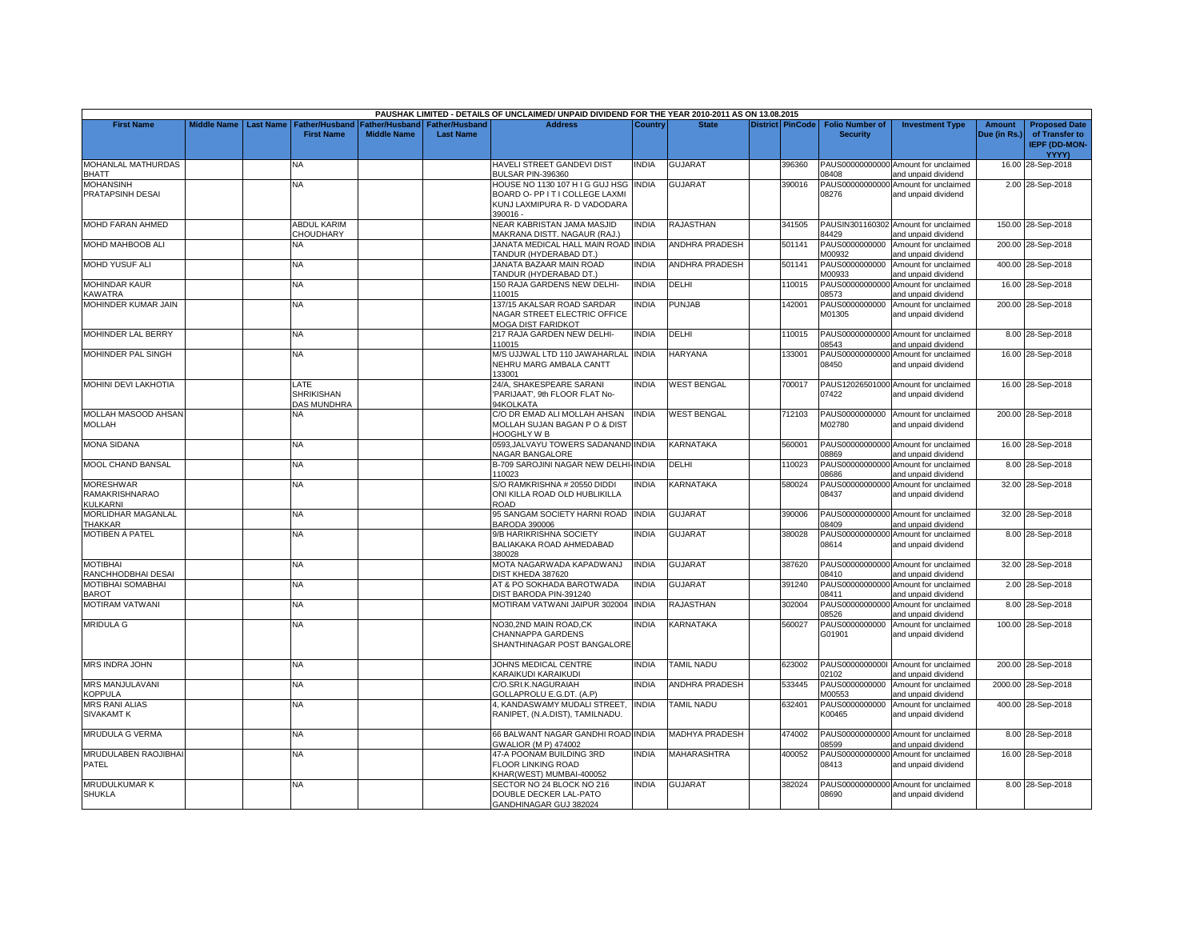|                                            |                       |                                  |                                                                        |                  | PAUSHAK LIMITED - DETAILS OF UNCLAIMED/ UNPAID DIVIDEND FOR THE YEAR 2010-2011 AS ON 13.08.2015 |                |                       |                         |                                           |                                                             |                        |                                                                |
|--------------------------------------------|-----------------------|----------------------------------|------------------------------------------------------------------------|------------------|-------------------------------------------------------------------------------------------------|----------------|-----------------------|-------------------------|-------------------------------------------|-------------------------------------------------------------|------------------------|----------------------------------------------------------------|
| <b>First Name</b>                          | Middle Name Last Name | <b>First Name</b>                | Father/Husband   Father/Husband   Father/Husband<br><b>Middle Name</b> | <b>Last Name</b> | <b>Address</b>                                                                                  | <b>Country</b> | <b>State</b>          | <b>District PinCode</b> | <b>Folio Number of</b><br><b>Security</b> | <b>Investment Type</b>                                      | Amount<br>Due (in Rs.) | <b>Proposed Date</b><br>of Transfer to<br><b>IEPF (DD-MON-</b> |
| MOHANLAL MATHURDAS                         |                       | <b>NA</b>                        |                                                                        |                  | HAVELI STREET GANDEVI DIST                                                                      | <b>INDIA</b>   | <b>GUJARAT</b>        | 396360                  |                                           | PAUS00000000000 Amount for unclaimed                        |                        | YYYY)<br>16.00 28-Sep-2018                                     |
| <b>BHATT</b>                               |                       |                                  |                                                                        |                  | BULSAR PIN-396360                                                                               |                |                       |                         | 08408                                     | and unpaid dividend                                         |                        |                                                                |
| <b>MOHANSINH</b>                           |                       | NA.                              |                                                                        |                  | HOUSE NO 1130 107 H I G GUJ HSG                                                                 | <b>INDIA</b>   | <b>GUJARAT</b>        | 390016                  |                                           | PAUS00000000000 Amount for unclaimed                        |                        | 2.00 28-Sep-2018                                               |
| PRATAPSINH DESAI                           |                       |                                  |                                                                        |                  | BOARD O- PP IT I COLLEGE LAXMI<br>KUNJ LAXMIPURA R- D VADODARA                                  |                |                       |                         | 08276                                     | and unpaid dividend                                         |                        |                                                                |
|                                            |                       |                                  |                                                                        |                  | 390016 -                                                                                        |                |                       |                         |                                           |                                                             |                        |                                                                |
| MOHD FARAN AHMED                           |                       | <b>ABDUL KARIM</b>               |                                                                        |                  | NEAR KABRISTAN JAMA MASJID                                                                      | <b>INDIA</b>   | <b>RAJASTHAN</b>      | 341505                  |                                           | PAUSIN301160302 Amount for unclaimed                        |                        | 150.00 28-Sep-2018                                             |
| MOHD MAHBOOB ALI                           |                       | CHOUDHARY<br><b>NA</b>           |                                                                        |                  | MAKRANA DISTT. NAGAUR (RAJ.)<br>JANATA MEDICAL HALL MAIN ROAD INDIA                             |                | <b>ANDHRA PRADESH</b> | 501141                  | 84429                                     | and unpaid dividend<br>PAUS0000000000 Amount for unclaimed  |                        | 200.00 28-Sep-2018                                             |
| <b>MOHD YUSUF ALI</b>                      |                       | NA                               |                                                                        |                  | <b>TANDUR (HYDERABAD DT.)</b><br>JANATA BAZAAR MAIN ROAD                                        | INDIA          | ANDHRA PRADESH        | 501141                  | M00932<br>PAUS0000000000                  | and unpaid dividend<br>Amount for unclaimed                 |                        | 400.00 28-Sep-2018                                             |
|                                            |                       |                                  |                                                                        |                  | TANDUR (HYDERABAD DT.)                                                                          |                |                       |                         | M00933                                    | and unpaid dividend                                         |                        |                                                                |
| <b>MOHINDAR KAUR</b>                       |                       | NA                               |                                                                        |                  | 150 RAJA GARDENS NEW DELHI-                                                                     | INDIA          | DELHI                 | 110015                  | PAUS00000000000                           | Amount for unclaimed                                        |                        | 16.00 28-Sep-2018                                              |
| <b>KAWATRA</b>                             |                       |                                  |                                                                        |                  | 110015                                                                                          |                | PUNJAB                |                         | 08573                                     | and unpaid dividend                                         |                        |                                                                |
| MOHINDER KUMAR JAIN                        |                       | <b>NA</b>                        |                                                                        |                  | 137/15 AKALSAR ROAD SARDAR<br>NAGAR STREET ELECTRIC OFFICE<br><b>MOGA DIST FARIDKOT</b>         | <b>INDIA</b>   |                       | 142001                  | PAUS0000000000<br>M01305                  | Amount for unclaimed<br>and unpaid dividend                 |                        | 200.00 28-Sep-2018                                             |
| MOHINDER LAL BERRY                         |                       | NA                               |                                                                        |                  | 217 RAJA GARDEN NEW DELHI-                                                                      | INDIA          | DELHI                 | 110015                  |                                           | PAUS00000000000 Amount for unclaimed                        |                        | 8.00 28-Sep-2018                                               |
|                                            |                       |                                  |                                                                        |                  | 110015                                                                                          |                |                       |                         | 08543                                     | and unpaid dividend                                         |                        |                                                                |
| MOHINDER PAL SINGH                         |                       | <b>NA</b>                        |                                                                        |                  | M/S UJJWAL LTD 110 JAWAHARLAI<br>NEHRU MARG AMBALA CANTT<br>133001                              | <b>INDIA</b>   | <b>HARYANA</b>        | 133001                  | PAUS00000000000<br>08450                  | Amount for unclaimed<br>and unpaid dividend                 |                        | 16.00 28-Sep-2018                                              |
| <b>MOHINI DEVI LAKHOTIA</b>                |                       | LATE                             |                                                                        |                  | 24/A, SHAKESPEARE SARANI                                                                        | <b>NDIA</b>    | <b>WEST BENGAL</b>    | 700017                  |                                           | PAUS12026501000 Amount for unclaimed                        |                        | 16.00 28-Sep-2018                                              |
|                                            |                       | <b>SHRIKISHAN</b><br>DAS MUNDHRA |                                                                        |                  | 'PARIJAAT', 9th FLOOR FLAT No-<br>94KOLKATA                                                     |                |                       |                         | 07422                                     | and unpaid dividend                                         |                        |                                                                |
| MOLLAH MASOOD AHSAN<br><b>MOLLAH</b>       |                       | NA                               |                                                                        |                  | C/O DR EMAD ALI MOLLAH AHSAN<br>MOLLAH SUJAN BAGAN P O & DIST                                   | india          | <b>WEST BENGAL</b>    | 712103                  | M02780                                    | PAUS0000000000 Amount for unclaimed<br>and unpaid dividend  |                        | 200.00 28-Sep-2018                                             |
| <b>MONA SIDANA</b>                         |                       | <b>NA</b>                        |                                                                        |                  | HOOGHLY W B<br>0593, JALVAYU TOWERS SADANAND INDIA                                              |                | <b>KARNATAKA</b>      | 560001                  |                                           | PAUS00000000000 Amount for unclaimed                        |                        | 16.00 28-Sep-2018                                              |
|                                            |                       |                                  |                                                                        |                  | NAGAR BANGALORE                                                                                 |                |                       |                         | 08869                                     | and unpaid dividend                                         |                        |                                                                |
| <b>MOOL CHAND BANSAL</b>                   |                       | NA                               |                                                                        |                  | B-709 SAROJINI NAGAR NEW DELHI-<br>110023                                                       | <b>NDIA</b>    | DELHI                 | 110023                  | PAUS00000000000<br>08686                  | Amount for unclaimed<br>and unpaid dividend                 |                        | 8.00 28-Sep-2018                                               |
| <b>MORESHWAR</b><br><b>RAMAKRISHNARAO</b>  |                       | NA                               |                                                                        |                  | S/O RAMKRISHNA # 20550 DIDDI<br>ONI KILLA ROAD OLD HUBLIKILLA                                   | <b>NDIA</b>    | <b>KARNATAKA</b>      | 580024                  | PAUS00000000000<br>08437                  | Amount for unclaimed<br>and unpaid dividend                 |                        | 32.00 28-Sep-2018                                              |
| KULKARNI                                   |                       |                                  |                                                                        |                  | <b>ROAD</b>                                                                                     |                |                       |                         |                                           |                                                             |                        |                                                                |
| MORLIDHAR MAGANLAL<br><b>THAKKAR</b>       |                       | NA                               |                                                                        |                  | 95 SANGAM SOCIETY HARNI ROAD INDIA<br><b>BARODA 390006</b>                                      |                | GUJARAT               | 390006                  | 08409                                     | PAUS00000000000 Amount for unclaimed<br>and unpaid dividend |                        | 32.00 28-Sep-2018                                              |
| <b>MOTIBEN A PATEL</b>                     |                       | NA                               |                                                                        |                  | 9/B HARIKRISHNA SOCIETY                                                                         | <b>NDIA</b>    | GUJARAT               | 380028                  |                                           | PAUS00000000000 Amount for unclaimed                        |                        | 8.00 28-Sep-2018                                               |
|                                            |                       |                                  |                                                                        |                  | BALIAKAKA ROAD AHMEDABAD<br>380028                                                              |                |                       |                         | 08614                                     | and unpaid dividend                                         |                        |                                                                |
| <b>MOTIBHAI</b>                            |                       | NA.                              |                                                                        |                  | MOTA NAGARWADA KAPADWANJ                                                                        | <b>INDIA</b>   | GUJARAT               | 387620                  |                                           | PAUS00000000000 Amount for unclaimed                        |                        | 32.00 28-Sep-2018                                              |
| RANCHHODBHAI DESAI<br>MOTIBHAI SOMABHAI    |                       | <b>NA</b>                        |                                                                        |                  | DIST KHEDA 387620<br>AT & PO SOKHADA BAROTWADA                                                  | <b>INDIA</b>   | <b>GUJARAT</b>        | 391240                  | 08410                                     | and unpaid dividend<br>PAUS00000000000 Amount for unclaimed |                        |                                                                |
| <b>BAROT</b>                               |                       |                                  |                                                                        |                  | DIST BARODA PIN-391240                                                                          |                |                       |                         | 08411                                     | and unpaid dividend                                         |                        | 2.00 28-Sep-2018                                               |
| MOTIRAM VATWANI                            |                       | <b>NA</b>                        |                                                                        |                  | MOTIRAM VATWANI JAIPUR 302004                                                                   | <b>INDIA</b>   | RAJASTHAN             | 302004                  | PAUS00000000000<br>08526                  | Amount for unclaimed<br>and unpaid dividend                 |                        | 8.00 28-Sep-2018                                               |
| <b>MRIDULA G</b>                           |                       | <b>NA</b>                        |                                                                        |                  | NO30.2ND MAIN ROAD.CK                                                                           | <b>INDIA</b>   | KARNATAKA             | 560027                  | PAUS0000000000                            | Amount for unclaimed                                        |                        | 100.00 28-Sep-2018                                             |
|                                            |                       |                                  |                                                                        |                  | CHANNAPPA GARDENS<br>SHANTHINAGAR POST BANGALORE                                                |                |                       |                         | G01901                                    | and unpaid dividend                                         |                        |                                                                |
| MRS INDRA JOHN                             |                       | NA.                              |                                                                        |                  | JOHNS MEDICAL CENTRE<br>KARAIKUDI KARAIKUDI                                                     | INDIA          | <b>TAMIL NADU</b>     | 623002                  | 02102                                     | PAUS00000000001 Amount for unclaimed<br>and unpaid dividend |                        | 200.00 28-Sep-2018                                             |
| MRS MANJULAVANI                            |                       | NA                               |                                                                        |                  | C/O.SRI.K.NAGURAIAH                                                                             | <b>INDIA</b>   | <b>ANDHRA PRADESH</b> | 533445                  | PAUS0000000000                            | Amount for unclaimed                                        |                        | 2000.00 28-Sep-2018                                            |
| <b>KOPPULA</b>                             |                       |                                  |                                                                        |                  | GOLLAPROLU E.G.DT. (A.P)                                                                        |                |                       |                         | M00553                                    | and unpaid dividend                                         |                        |                                                                |
| <b>MRS RANI ALIAS</b><br><b>SIVAKAMT K</b> |                       | <b>NA</b>                        |                                                                        |                  | 4, KANDASWAMY MUDALI STREET<br>RANIPET, (N.A.DIST), TAMILNADU.                                  | <b>INDIA</b>   | TAMIL NADU            | 632401                  | PAUS0000000000<br>K00465                  | Amount for unclaimed<br>and unpaid dividend                 |                        | 400.00 28-Sep-2018                                             |
| <b>MRUDULA G VERMA</b>                     |                       | <b>NA</b>                        |                                                                        |                  | 66 BALWANT NAGAR GANDHI ROAD INDIA<br>GWALIOR (M P) 474002                                      |                | <b>MADHYA PRADESH</b> | 474002                  | 08599                                     | PAUS00000000000 Amount for unclaimed<br>and unpaid dividend |                        | 8.00 28-Sep-2018                                               |
| MRUDULABEN RAOJIBHAI<br>PATEL              |                       | NA                               |                                                                        |                  | 47-A POONAM BUILDING 3RD<br>FLOOR LINKING ROAD                                                  | <b>NDIA</b>    | <b>MAHARASHTRA</b>    | 400052                  | 08413                                     | PAUS00000000000 Amount for unclaimed<br>and unpaid dividend |                        | 16.00 28-Sep-2018                                              |
| MRUDULKUMAR K                              |                       | NA                               |                                                                        |                  | <har(west) mumbai-400052<br="">SECTOR NO 24 BLOCK NO 216</har(west)>                            | <b>NDIA</b>    | GUJARAT               | 382024                  |                                           | PAUS00000000000 Amount for unclaimed                        |                        | 8.00 28-Sep-2018                                               |
| <b>SHUKLA</b>                              |                       |                                  |                                                                        |                  | DOUBLE DECKER LAL-PATO<br>GANDHINAGAR GUJ 382024                                                |                |                       |                         | 08690                                     | and unpaid dividend                                         |                        |                                                                |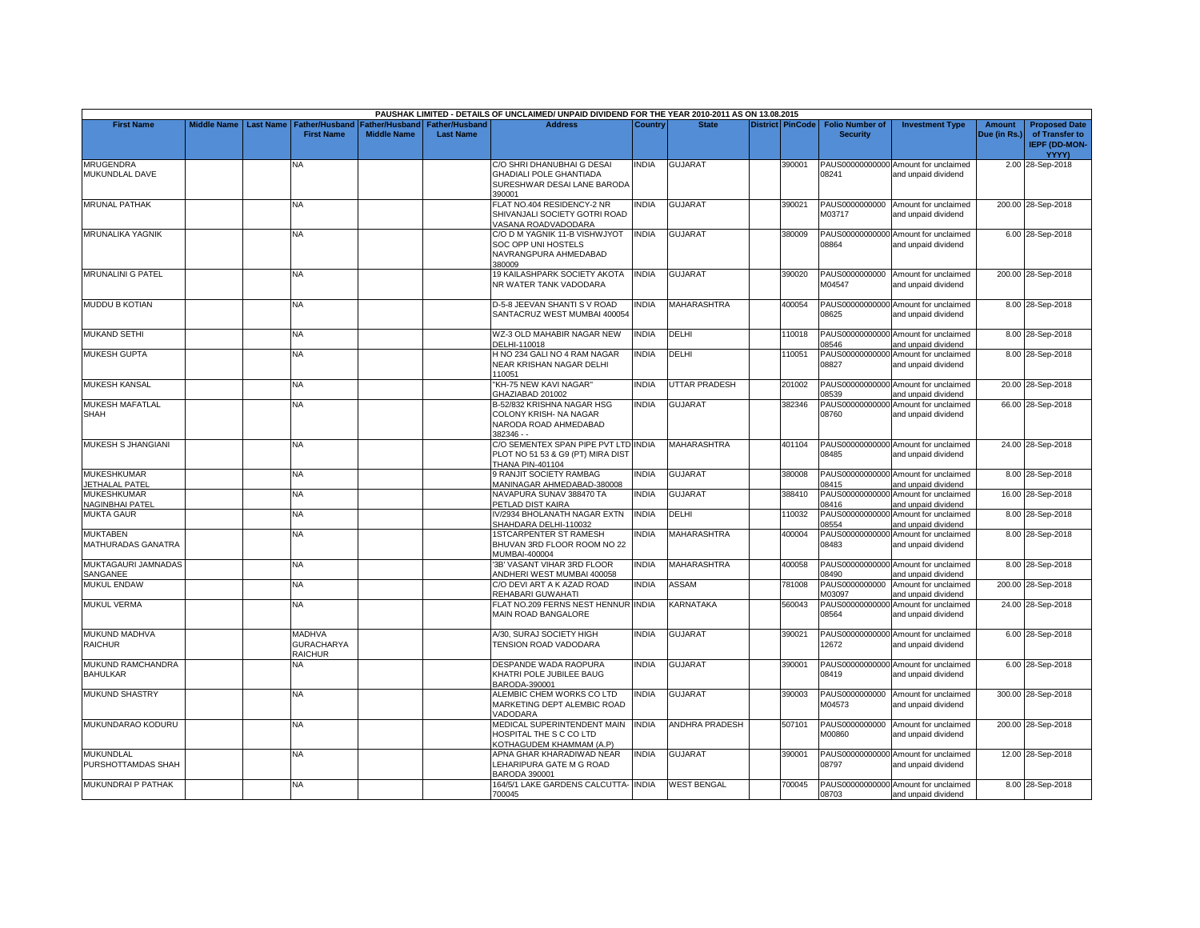|                                        |                    |                  |                                                      |                    |                                                   | PAUSHAK LIMITED - DETAILS OF UNCLAIMED/ UNPAID DIVIDEND FOR THE YEAR 2010-2011 AS ON 13.08.2015       |              |                       |                         |                                           |                                                             |                               |                                                                                |
|----------------------------------------|--------------------|------------------|------------------------------------------------------|--------------------|---------------------------------------------------|-------------------------------------------------------------------------------------------------------|--------------|-----------------------|-------------------------|-------------------------------------------|-------------------------------------------------------------|-------------------------------|--------------------------------------------------------------------------------|
| <b>First Name</b>                      | <b>Middle Name</b> | <b>Last Name</b> | <b>Father/Husband</b><br><b>First Name</b>           | <b>Middle Name</b> | Father/Husband Father/Husband<br><b>Last Name</b> | <b>Address</b>                                                                                        | Country      | <b>State</b>          | <b>District PinCode</b> | <b>Folio Number of</b><br><b>Security</b> | <b>Investment Type</b>                                      | <b>Amount</b><br>Due (in Rs.) | <b>Proposed Date</b><br>of Transfer to<br><b>IEPF (DD-MON-</b><br><b>YYYY)</b> |
| <b>MRUGENDRA</b><br>MUKUNDLAL DAVE     |                    |                  | NA.                                                  |                    |                                                   | C/O SHRI DHANUBHAI G DESAI<br><b>GHADIALI POLE GHANTIADA</b><br>SURESHWAR DESAI LANE BARODA<br>390001 | <b>INDIA</b> | <b>GUJARAT</b>        | 390001                  | 08241                                     | PAUS00000000000 Amount for unclaimed<br>and unpaid dividend |                               | 2.00 28-Sep-2018                                                               |
| <b>MRUNAL PATHAK</b>                   |                    |                  | NA                                                   |                    |                                                   | FLAT NO.404 RESIDENCY-2 NR<br>SHIVANJALI SOCIETY GOTRI ROAD<br>VASANA ROADVADODARA                    | <b>INDIA</b> | <b>GUJARAT</b>        | 390021                  | PAUS0000000000<br>M03717                  | Amount for unclaimed<br>and unpaid dividend                 |                               | 200.00 28-Sep-2018                                                             |
| <b>MRUNALIKA YAGNIK</b>                |                    |                  | <b>NA</b>                                            |                    |                                                   | C/O D M YAGNIK 11-B VISHWJYOT<br>SOC OPP UNI HOSTELS<br>NAVRANGPURA AHMEDABAD<br>380009               | <b>INDIA</b> | <b>GUJARAT</b>        | 380009                  | 08864                                     | PAUS00000000000 Amount for unclaimed<br>and unpaid dividend |                               | 6.00 28-Sep-2018                                                               |
| <b>MRUNALINI G PATEL</b>               |                    |                  | <b>NA</b>                                            |                    |                                                   | 19 KAILASHPARK SOCIETY AKOTA<br>NR WATER TANK VADODARA                                                | <b>INDIA</b> | <b>GUJARAT</b>        | 390020                  | PAUS0000000000<br>M04547                  | Amount for unclaimed<br>and unpaid dividend                 |                               | 200.00 28-Sep-2018                                                             |
| <b>MUDDU B KOTIAN</b>                  |                    |                  | NA                                                   |                    |                                                   | D-5-8 JEEVAN SHANTI S V ROAD<br>SANTACRUZ WEST MUMBAI 400054                                          | <b>INDIA</b> | MAHARASHTRA           | 400054                  | 08625                                     | PAUS00000000000 Amount for unclaimed<br>and unpaid dividend |                               | 8.00 28-Sep-2018                                                               |
| <b>MUKAND SETHI</b>                    |                    |                  | <b>NA</b>                                            |                    |                                                   | WZ-3 OLD MAHABIR NAGAR NEW<br>DELHI-110018                                                            | <b>INDIA</b> | DELHI                 | 110018                  | 08546                                     | PAUS00000000000 Amount for unclaimed<br>and unpaid dividend |                               | 8.00 28-Sep-2018                                                               |
| <b>MUKESH GUPTA</b>                    |                    |                  | NA                                                   |                    |                                                   | H NO 234 GALI NO 4 RAM NAGAR<br>NEAR KRISHAN NAGAR DELHI<br>110051                                    | <b>INDIA</b> | DELHI                 | 110051                  | 08827                                     | PAUS00000000000 Amount for unclaimed<br>and unpaid dividend |                               | 8.00 28-Sep-2018                                                               |
| <b>MUKESH KANSAL</b>                   |                    |                  | NA                                                   |                    |                                                   | "KH-75 NEW KAVI NAGAR"<br>GHAZIABAD 201002                                                            | <b>INDIA</b> | UTTAR PRADESH         | 201002                  | 08539                                     | PAUS00000000000 Amount for unclaimed<br>and unpaid dividend |                               | 20.00 28-Sep-2018                                                              |
| MUKESH MAFATLAL<br><b>SHAH</b>         |                    |                  | <b>NA</b>                                            |                    |                                                   | B-52/832 KRISHNA NAGAR HSG<br>COLONY KRISH- NA NAGAR<br>NARODA ROAD AHMEDABAD<br>$382346 -$           | <b>INDIA</b> | <b>GUJARAT</b>        | 382346                  | PAUS00000000000<br>08760                  | Amount for unclaimed<br>and unpaid dividend                 |                               | 66.00 28-Sep-2018                                                              |
| MUKESH S JHANGIANI                     |                    |                  | <b>NA</b>                                            |                    |                                                   | C/O SEMENTEX SPAN PIPE PVT LTD INDIA<br>PLOT NO 51 53 & G9 (PT) MIRA DIST<br><b>THANA PIN-401104</b>  |              | <b>MAHARASHTRA</b>    | 401104                  | 08485                                     | PAUS00000000000 Amount for unclaimed<br>and unpaid dividend |                               | 24.00 28-Sep-2018                                                              |
| <b>MUKESHKUMAR</b><br>JETHALAL PATEL   |                    |                  | NA                                                   |                    |                                                   | 9 RANJIT SOCIETY RAMBAG<br>MANINAGAR AHMEDABAD-380008                                                 | <b>INDIA</b> | GUJARAT               | 380008                  | 08415                                     | PAUS00000000000 Amount for unclaimed<br>and unpaid dividend |                               | 8.00 28-Sep-2018                                                               |
| <b>MUKESHKUMAR</b><br>NAGINBHAI PATEL  |                    |                  | <b>NA</b>                                            |                    |                                                   | NAVAPURA SUNAV 388470 TA<br>PETLAD DIST KAIRA                                                         | <b>INDIA</b> | GUJARAT               | 388410                  | 08416                                     | PAUS00000000000 Amount for unclaimed<br>and unpaid dividend |                               | 16.00 28-Sep-2018                                                              |
| <b>MUKTA GAUR</b>                      |                    |                  | NA                                                   |                    |                                                   | IV/2934 BHOLANATH NAGAR EXTN<br>SHAHDARA DELHI-110032                                                 | <b>INDIA</b> | DELHI                 | 110032                  | PAUS00000000000<br>08554                  | Amount for unclaimed<br>and unpaid dividend                 |                               | 8.00 28-Sep-2018                                                               |
| <b>MUKTABEN</b><br>MATHURADAS GANATRA  |                    |                  | <b>NA</b>                                            |                    |                                                   | <b>ISTCARPENTER ST RAMESH</b><br>BHUVAN 3RD FLOOR ROOM NO 22<br>MUMBAI-400004                         | <b>INDIA</b> | <b>MAHARASHTRA</b>    | 400004                  | PAUS00000000000<br>08483                  | Amount for unclaimed<br>and unpaid dividend                 |                               | 8.00 28-Sep-2018                                                               |
| MUKTAGAURI JAMNADAS<br>SANGANEE        |                    |                  | NA.                                                  |                    |                                                   | 3B' VASANT VIHAR 3RD FLOOR<br>ANDHERI WEST MUMBAI 400058                                              | INDIA        | MAHARASHTRA           | 400058                  | 08490                                     | PAUS00000000000 Amount for unclaimed<br>and unpaid dividend |                               | 8.00 28-Sep-2018                                                               |
| <b>MUKUL ENDAW</b>                     |                    |                  | <b>NA</b>                                            |                    |                                                   | C/O DEVI ART A K AZAD ROAD<br>REHABARI GUWAHATI                                                       | <b>INDIA</b> | <b>ASSAM</b>          | 781008                  | PAUS0000000000<br>M03097                  | Amount for unclaimed<br>and unpaid dividend                 |                               | 200.00 28-Sep-2018                                                             |
| <b>MUKUL VERMA</b>                     |                    |                  | NA                                                   |                    |                                                   | FLAT NO.209 FERNS NEST HENNUR INDIA<br>MAIN ROAD BANGALORE                                            |              | KARNATAKA             | 560043                  | PAUS00000000000<br>08564                  | Amount for unclaimed<br>and unpaid dividend                 |                               | 24.00 28-Sep-2018                                                              |
| MUKUND MADHVA<br>RAICHUR               |                    |                  | <b>MADHVA</b><br><b>GURACHARYA</b><br><b>RAICHUR</b> |                    |                                                   | A/30, SURAJ SOCIETY HIGH<br>TENSION ROAD VADODARA                                                     | <b>INDIA</b> | <b>GUJARAT</b>        | 390021                  | 12672                                     | PAUS00000000000 Amount for unclaimed<br>and unpaid dividend |                               | 6.00 28-Sep-2018                                                               |
| MUKUND RAMCHANDRA<br><b>BAHULKAR</b>   |                    |                  | NA                                                   |                    |                                                   | DESPANDE WADA RAOPURA<br>KHATRI POLE JUBILEE BAUG<br>BARODA-390001                                    | <b>INDIA</b> | <b>GUJARAT</b>        | 390001                  | 08419                                     | PAUS00000000000 Amount for unclaimed<br>and unpaid dividend |                               | 6.00 28-Sep-2018                                                               |
| <b>MUKUND SHASTRY</b>                  |                    |                  | <b>NA</b>                                            |                    |                                                   | ALEMBIC CHEM WORKS CO LTD<br>MARKETING DEPT ALEMBIC ROAD<br>VADODARA                                  | <b>INDIA</b> | GUJARAT               | 390003                  | PAUS0000000000<br>M04573                  | Amount for unclaimed<br>and unpaid dividend                 |                               | 300.00 28-Sep-2018                                                             |
| MUKUNDARAO KODURU                      |                    |                  | NA                                                   |                    |                                                   | MEDICAL SUPERINTENDENT MAIN<br>HOSPITAL THE S C CO LTD<br>(OTHAGUDEM KHAMMAM (A.P)                    | <b>INDIA</b> | <b>ANDHRA PRADESH</b> | 507101                  | PAUS0000000000<br>M00860                  | Amount for unclaimed<br>and unpaid dividend                 |                               | 200.00 28-Sep-2018                                                             |
| <b>MUKUNDLAL</b><br>PURSHOTTAMDAS SHAH |                    |                  | <b>NA</b>                                            |                    |                                                   | APNA GHAR KHARADIWAD NEAR<br>LEHARIPURA GATE M G ROAD<br>BARODA 390001                                | <b>INDIA</b> | <b>GUJARAT</b>        | 390001                  | 08797                                     | PAUS00000000000 Amount for unclaimed<br>and unpaid dividend |                               | 12.00 28-Sep-2018                                                              |
| MUKUNDRAI P PATHAK                     |                    |                  | <b>NA</b>                                            |                    |                                                   | 164/5/1 LAKE GARDENS CALCUTTA- INDIA<br>700045                                                        |              | <b>WEST BENGAL</b>    | 700045                  | 08703                                     | PAUS00000000000 Amount for unclaimed<br>and unpaid dividend |                               | 8.00 28-Sep-2018                                                               |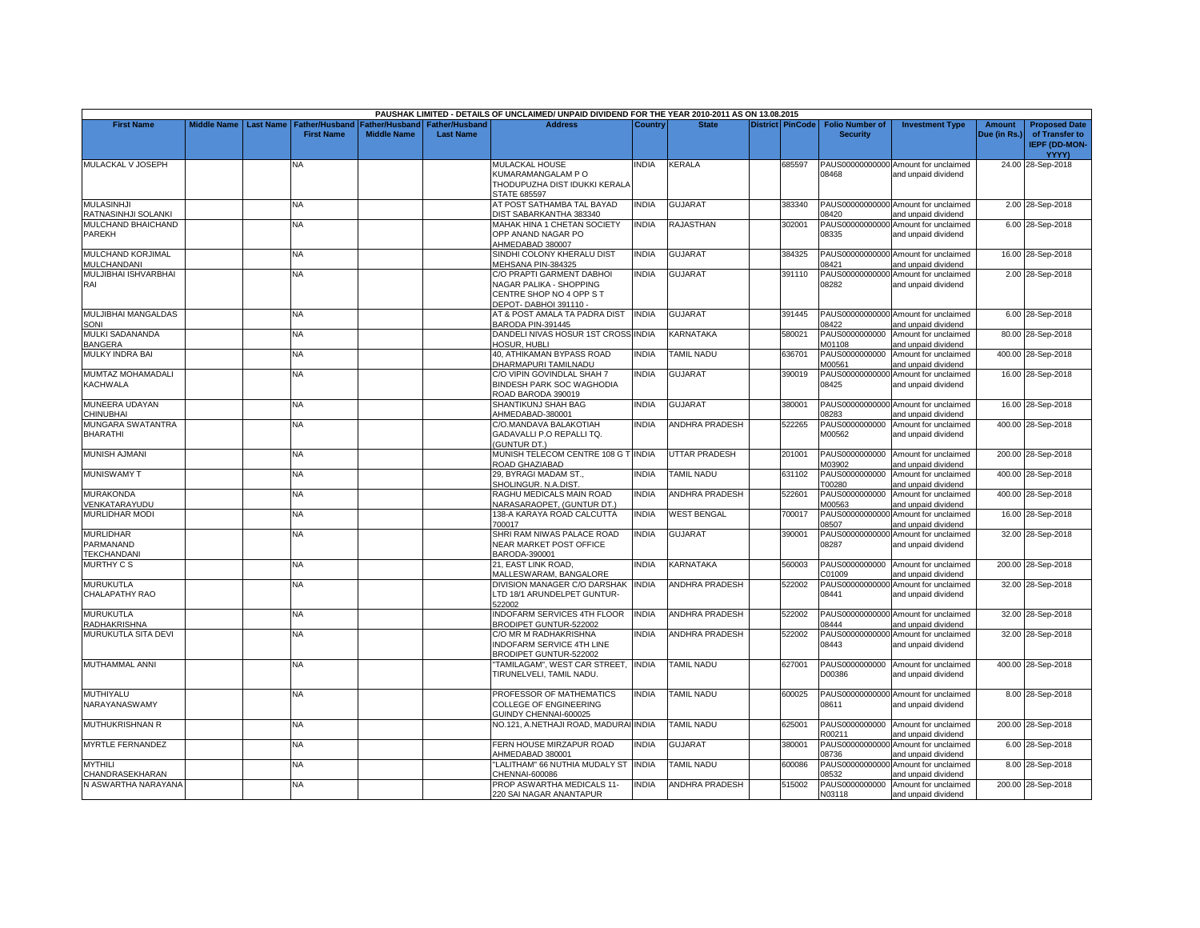|                                                     |                    |                  |                                            |                                      |                                           | PAUSHAK LIMITED - DETAILS OF UNCLAIMED/ UNPAID DIVIDEND FOR THE YEAR 2010-2011 AS ON 13.08.2015           |              |                          |                         |                                           |                                                             |                               |                                                                         |
|-----------------------------------------------------|--------------------|------------------|--------------------------------------------|--------------------------------------|-------------------------------------------|-----------------------------------------------------------------------------------------------------------|--------------|--------------------------|-------------------------|-------------------------------------------|-------------------------------------------------------------|-------------------------------|-------------------------------------------------------------------------|
| <b>First Name</b>                                   | <b>Middle Name</b> | <b>Last Name</b> | <b>Father/Husband</b><br><b>First Name</b> | Father/Husband<br><b>Middle Name</b> | <b>Father/Husband</b><br><b>Last Name</b> | <b>Address</b>                                                                                            | Country      | <b>State</b>             | <b>District PinCode</b> | <b>Folio Number of</b><br><b>Security</b> | <b>Investment Type</b>                                      | <b>Amount</b><br>Due (in Rs.) | <b>Proposed Date</b><br>of Transfer to<br><b>IEPF (DD-MON-</b><br>YYYY) |
| MULACKAL V JOSEPH                                   |                    |                  | N٨                                         |                                      |                                           | <b>MULACKAL HOUSE</b><br>KUMARAMANGALAM PO<br>THODUPUZHA DIST IDUKKI KERALA<br>STATE 685597               | <b>INDIA</b> | <b>KERALA</b>            | 685597                  | 08468                                     | PAUS00000000000 Amount for unclaimed<br>and unpaid dividend |                               | 24.00 28-Sep-2018                                                       |
| <b>MULASINHJI</b><br>RATNASINHJI SOLANKI            |                    |                  | <b>NA</b>                                  |                                      |                                           | AT POST SATHAMBA TAL BAYAD<br>DIST SABARKANTHA 383340                                                     | <b>INDIA</b> | <b>GUJARAT</b>           | 383340                  | 08420                                     | PAUS00000000000 Amount for unclaimed<br>and unpaid dividend |                               | 2.00 28-Sep-2018                                                        |
| MULCHAND BHAICHAND<br><b>PAREKH</b>                 |                    |                  | NA.                                        |                                      |                                           | MAHAK HINA 1 CHETAN SOCIETY<br>OPP ANAND NAGAR PO<br>AHMEDABAD 380007                                     | <b>INDIA</b> | RAJASTHAN                | 302001                  | 08335                                     | PAUS00000000000 Amount for unclaimed<br>and unpaid dividend |                               | 6.00 28-Sep-2018                                                        |
| MULCHAND KORJIMAL<br>MULCHANDANI                    |                    |                  | NA                                         |                                      |                                           | SINDHI COLONY KHERALU DIST<br>MEHSANA PIN-384325                                                          | <b>INDIA</b> | GUJARAT                  | 384325                  | 08421                                     | PAUS00000000000 Amount for unclaimed<br>and unpaid dividend |                               | 16.00 28-Sep-2018                                                       |
| MULJIBHAI ISHVARBHAI<br>RAI                         |                    |                  | NA                                         |                                      |                                           | C/O PRAPTI GARMENT DABHOI<br>NAGAR PALIKA - SHOPPING<br>CENTRE SHOP NO 4 OPP S T<br>DEPOT-DABHOI 391110 - | <b>INDIA</b> | <b>GUJARAT</b>           | 391110                  | 08282                                     | PAUS00000000000 Amount for unclaimed<br>and unpaid dividend |                               | 2.00 28-Sep-2018                                                        |
| MULJIBHAI MANGALDAS<br>SONI                         |                    |                  | NA                                         |                                      |                                           | AT & POST AMALA TA PADRA DIST<br>BARODA PIN-391445                                                        | <b>INDIA</b> | <b>GUJARAT</b>           | 391445                  | 08422                                     | PAUS00000000000 Amount for unclaimed<br>and unpaid dividend |                               | 6.00 28-Sep-2018                                                        |
| MULKI SADANANDA<br><b>BANGERA</b>                   |                    |                  | NA                                         |                                      |                                           | DANDELI NIVAS HOSUR 1ST CROSS INDIA<br>HOSUR, HUBLI                                                       |              | <b>KARNATAKA</b>         | 580021                  | M01108                                    | PAUS0000000000 Amount for unclaimed<br>and unpaid dividend  |                               | 80.00 28-Sep-2018                                                       |
| <b>MULKY INDRA BAI</b>                              |                    |                  | NA                                         |                                      |                                           | 40, ATHIKAMAN BYPASS ROAD<br>DHARMAPURI TAMILNADU                                                         | <b>INDIA</b> | <b><i>FAMIL NADU</i></b> | 636701                  | PAUS0000000000<br>M00561                  | Amount for unclaimed<br>and unpaid dividend                 |                               | 400.00 28-Sep-2018                                                      |
| <b>MUMTAZ MOHAMADALI</b><br><b>KACHWALA</b>         |                    |                  | NA.                                        |                                      |                                           | C/O VIPIN GOVINDLAL SHAH 7<br>BINDESH PARK SOC WAGHODIA<br>ROAD BARODA 390019                             | <b>INDIA</b> | GUJARAT                  | 390019                  | 08425                                     | PAUS00000000000 Amount for unclaimed<br>and unpaid dividend |                               | 16.00 28-Sep-2018                                                       |
| MUNEERA UDAYAN<br>CHINUBHAI                         |                    |                  | NΑ                                         |                                      |                                           | SHANTIKUNJ SHAH BAG<br>AHMEDABAD-380001                                                                   | <b>INDIA</b> | <b>GUJARAT</b>           | 380001                  | 08283                                     | PAUS00000000000 Amount for unclaimed<br>and unpaid dividend |                               | 16.00 28-Sep-2018                                                       |
| <b>MUNGARA SWATANTRA</b><br><b>BHARATHI</b>         |                    |                  | NA                                         |                                      |                                           | C/O.MANDAVA BALAKOTIAH<br>GADAVALLI P.O REPALLI TQ.<br>(GUNTUR DT.)                                       | <b>INDIA</b> | <b>ANDHRA PRADESH</b>    | 522265                  | PAUS0000000000<br>M00562                  | Amount for unclaimed<br>and unpaid dividend                 |                               | 400.00 28-Sep-2018                                                      |
| MUNISH AJMANI                                       |                    |                  | <b>NA</b>                                  |                                      |                                           | MUNISH TELECOM CENTRE 108 G T INDIA<br>ROAD GHAZIABAD                                                     |              | <b>UTTAR PRADESH</b>     | 201001                  | M03902                                    | PAUS0000000000 Amount for unclaimed<br>and unpaid dividend  |                               | 200.00 28-Sep-2018                                                      |
| <b>MUNISWAMY T</b>                                  |                    |                  | NΑ                                         |                                      |                                           | 29, BYRAGI MADAM ST.,<br>SHOLINGUR, N.A.DIST.                                                             | <b>INDIA</b> | <b>TAMIL NADU</b>        | 631102                  | PAUS0000000000<br>T00280                  | Amount for unclaimed<br>and unpaid dividend                 |                               | 400.00 28-Sep-2018                                                      |
| <b>MURAKONDA</b><br>/ENKATARAYUDU                   |                    |                  | NA.                                        |                                      |                                           | RAGHU MEDICALS MAIN ROAD<br>NARASARAOPET, (GUNTUR DT.)                                                    | <b>INDIA</b> | <b>ANDHRA PRADESH</b>    | 522601                  | PAUS0000000000<br>M00563                  | Amount for unclaimed<br>and unpaid dividend                 |                               | 400.00 28-Sep-2018                                                      |
| <b>MURLIDHAR MODI</b>                               |                    |                  | ΝA                                         |                                      |                                           | 138-A KARAYA ROAD CALCUTTA<br>700017                                                                      | <b>INDIA</b> | <b>WEST BENGAL</b>       | 700017                  | PAUS00000000000<br>08507                  | Amount for unclaimed<br>and unpaid dividend                 |                               | 16.00 28-Sep-2018                                                       |
| <b>MURLIDHAR</b><br>PARMANAND<br><b>TEKCHANDANI</b> |                    |                  | NA                                         |                                      |                                           | SHRI RAM NIWAS PALACE ROAD<br>NEAR MARKET POST OFFICE<br>BARODA-390001                                    | <b>INDIA</b> | GUJARAT                  | 390001                  | 08287                                     | PAUS00000000000 Amount for unclaimed<br>and unpaid dividend |                               | 32.00 28-Sep-2018                                                       |
| <b>MURTHY CS</b>                                    |                    |                  | NA                                         |                                      |                                           | 21, EAST LINK ROAD.<br><b>MALLESWARAM, BANGALORE</b>                                                      | <b>INDIA</b> | KARNATAKA                | 560003                  | C01009                                    | PAUS0000000000 Amount for unclaimed<br>and unpaid dividend  |                               | 200.00 28-Sep-2018                                                      |
| <b>MURUKUTLA</b><br>CHALAPATHY RAO                  |                    |                  | NA                                         |                                      |                                           | DIVISION MANAGER C/O DARSHAK INDIA<br>LTD 18/1 ARUNDELPET GUNTUR-<br>522002                               |              | <b>ANDHRA PRADESH</b>    | 522002                  | 08441                                     | PAUS00000000000 Amount for unclaimed<br>and unpaid dividend |                               | 32.00 28-Sep-2018                                                       |
| MURUKUTLA<br>RADHAKRISHNA                           |                    |                  | NA                                         |                                      |                                           | NDOFARM SERVICES 4TH FLOOR<br>BRODIPET GUNTUR-522002                                                      | <b>INDIA</b> | <b>ANDHRA PRADESH</b>    | 522002                  | 08444                                     | PAUS00000000000 Amount for unclaimed<br>and unpaid dividend |                               | 32.00 28-Sep-2018                                                       |
| MURUKUTLA SITA DEVI                                 |                    |                  | <b>NA</b>                                  |                                      |                                           | C/O MR M RADHAKRISHNA<br>INDOFARM SERVICE 4TH LINE<br>BRODIPET GUNTUR-522002                              | <b>INDIA</b> | <b>ANDHRA PRADESH</b>    | 522002                  | 08443                                     | PAUS00000000000 Amount for unclaimed<br>and unpaid dividend |                               | 32.00 28-Sep-2018                                                       |
| MUTHAMMAL ANNI                                      |                    |                  | ΝA                                         |                                      |                                           | 'TAMILAGAM", WEST CAR STREET, INDIA<br>TIRUNELVELI, TAMIL NADU.                                           |              | <b>TAMIL NADU</b>        | 627001                  | D00386                                    | PAUS0000000000 Amount for unclaimed<br>and unpaid dividend  |                               | 400.00 28-Sep-2018                                                      |
| MUTHIYALU<br>NARAYANASWAMY                          |                    |                  | <b>NA</b>                                  |                                      |                                           | PROFESSOR OF MATHEMATICS<br>COLLEGE OF ENGINEERING<br>GUINDY CHENNAI-600025                               | <b>INDIA</b> | <b>TAMIL NADU</b>        | 600025                  | 08611                                     | PAUS00000000000 Amount for unclaimed<br>and unpaid dividend |                               | 8.00 28-Sep-2018                                                        |
| MUTHUKRISHNAN R                                     |                    |                  | <b>NA</b>                                  |                                      |                                           | NO.121, A.NETHAJI ROAD, MADURAI INDIA                                                                     |              | <b>TAMIL NADU</b>        | 625001                  | R00211                                    | PAUS0000000000 Amount for unclaimed<br>and unpaid dividend  |                               | 200.00 28-Sep-2018                                                      |
| MYRTLE FERNANDEZ                                    |                    |                  | NΑ                                         |                                      |                                           | FERN HOUSE MIRZAPUR ROAD<br>AHMEDABAD 380001                                                              | <b>INDIA</b> | <b>GUJARAT</b>           | 380001                  | 08736                                     | PAUS00000000000 Amount for unclaimed<br>and unpaid dividend |                               | 6.00 28-Sep-2018                                                        |
| <b>MYTHILI</b><br>CHANDRASEKHARAN                   |                    |                  | NA                                         |                                      |                                           | 'LALITHAM" 66 NUTHIA MUDALY ST<br>CHENNAI-600086                                                          | <b>INDIA</b> | <b>TAMIL NADU</b>        | 600086                  | PAUS00000000000<br>08532                  | Amount for unclaimed<br>and unpaid dividend                 |                               | 8.00 28-Sep-2018                                                        |
| N ASWARTHA NARAYANA                                 |                    |                  | NA                                         |                                      |                                           | PROP ASWARTHA MEDICALS 11-<br>220 SAI NAGAR ANANTAPUR                                                     | <b>INDIA</b> | <b>ANDHRA PRADESH</b>    | 515002                  | N03118                                    | PAUS0000000000 Amount for unclaimed<br>and unpaid dividend  |                               | 200.00 28-Sep-2018                                                      |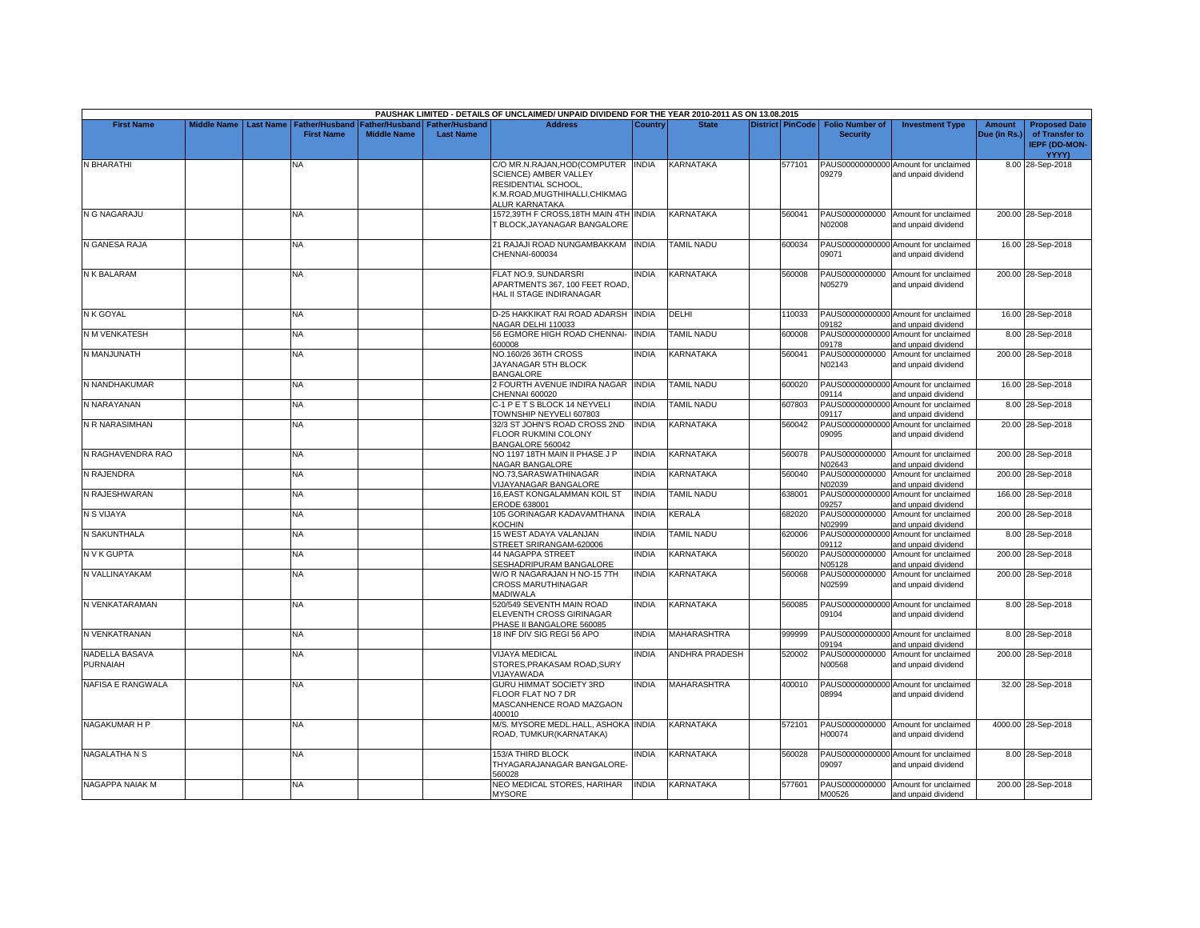|                            |                    |                  |                                            |                                        |                                           | PAUSHAK LIMITED - DETAILS OF UNCLAIMED/ UNPAID DIVIDEND FOR THE YEAR 2010-2011 AS ON 13.08.2015                                        |              |                       |                         |                                           |                                                             |                               |                                                                                |
|----------------------------|--------------------|------------------|--------------------------------------------|----------------------------------------|-------------------------------------------|----------------------------------------------------------------------------------------------------------------------------------------|--------------|-----------------------|-------------------------|-------------------------------------------|-------------------------------------------------------------|-------------------------------|--------------------------------------------------------------------------------|
| <b>First Name</b>          | <b>Middle Name</b> | <b>Last Name</b> | <b>Father/Husband</b><br><b>First Name</b> | Father/Husband I<br><b>Middle Name</b> | <b>Father/Husband</b><br><b>Last Name</b> | <b>Address</b>                                                                                                                         | Country      | <b>State</b>          | <b>District PinCode</b> | <b>Folio Number of</b><br><b>Security</b> | <b>Investment Type</b>                                      | <b>Amount</b><br>Due (in Rs.) | <b>Proposed Date</b><br>of Transfer to<br><b>IEPF (DD-MON-</b><br><b>YYYY)</b> |
| N BHARATHI                 |                    |                  | NA.                                        |                                        |                                           | C/O MR.N.RAJAN, HOD(COMPUTER INDIA<br>SCIENCE) AMBER VALLEY<br>RESIDENTIAL SCHOOL,<br>K.M.ROAD, MUGTHIHALLI, CHIKMAG<br>ALUR KARNATAKA |              | KARNATAKA             | 577101                  | 09279                                     | PAUS00000000000 Amount for unclaimed<br>and unpaid dividend |                               | 8.00 28-Sep-2018                                                               |
| N G NAGARAJU               |                    |                  | NA                                         |                                        |                                           | 1572,39TH F CROSS,18TH MAIN 4TH INDIA<br><b>BLOCK, JAYANAGAR BANGALORE</b>                                                             |              | KARNATAKA             | 560041                  | N02008                                    | PAUS0000000000 Amount for unclaimed<br>and unpaid dividend  |                               | 200.00 28-Sep-2018                                                             |
| N GANESA RAJA              |                    |                  | <b>NA</b>                                  |                                        |                                           | 21 RAJAJI ROAD NUNGAMBAKKAM<br>CHENNAI-600034                                                                                          | <b>INDIA</b> | <b>TAMIL NADU</b>     | 600034                  | 09071                                     | PAUS00000000000 Amount for unclaimed<br>and unpaid dividend |                               | 16.00 28-Sep-2018                                                              |
| N K BALARAM                |                    |                  | <b>NA</b>                                  |                                        |                                           | FLAT NO.9, SUNDARSRI<br>APARTMENTS 367, 100 FEET ROAD,<br>HAL II STAGE INDIRANAGAR                                                     | <b>INDIA</b> | <b>KARNATAKA</b>      | 560008                  | N05279                                    | PAUS0000000000 Amount for unclaimed<br>and unpaid dividend  |                               | 200.00 28-Sep-2018                                                             |
| N K GOYAL                  |                    |                  | NA.                                        |                                        |                                           | D-25 HAKKIKAT RAI ROAD ADARSH INDIA<br>NAGAR DELHI 110033                                                                              |              | DELHI                 | 110033                  | 09182                                     | PAUS00000000000 Amount for unclaimed<br>and unpaid dividend |                               | 16.00 28-Sep-2018                                                              |
| <b>N M VENKATESH</b>       |                    |                  | <b>NA</b>                                  |                                        |                                           | 56 EGMORE HIGH ROAD CHENNAI-<br>600008                                                                                                 | <b>INDIA</b> | <b>TAMIL NADU</b>     | 600008                  | 09178                                     | PAUS00000000000 Amount for unclaimed<br>and unpaid dividend |                               | 8.00 28-Sep-2018                                                               |
| N MANJUNATH                |                    |                  | <b>NA</b>                                  |                                        |                                           | NO.160/26 36TH CROSS<br>JAYANAGAR 5TH BLOCK<br><b>BANGALORE</b>                                                                        | <b>INDIA</b> | <b>KARNATAKA</b>      | 560041                  | PAUS0000000000<br>N02143                  | Amount for unclaimed<br>and unpaid dividend                 |                               | 200.00 28-Sep-2018                                                             |
| N NANDHAKUMAR              |                    |                  | <b>NA</b>                                  |                                        |                                           | 2 FOURTH AVENUE INDIRA NAGAR INDIA<br>CHENNAI 600020                                                                                   |              | <b>TAMIL NADU</b>     | 600020                  | 09114                                     | PAUS00000000000 Amount for unclaimed<br>and unpaid dividend |                               | 16.00 28-Sep-2018                                                              |
| N NARAYANAN                |                    |                  | <b>NA</b>                                  |                                        |                                           | C-1 P E T S BLOCK 14 NEYVELI<br>TOWNSHIP NEYVELI 607803                                                                                | <b>INDIA</b> | <b>TAMIL NADU</b>     | 607803                  | PAUS00000000000<br>09117                  | Amount for unclaimed<br>and unpaid dividend                 |                               | 8.00 28-Sep-2018                                                               |
| N R NARASIMHAN             |                    |                  | <b>NA</b>                                  |                                        |                                           | 32/3 ST JOHN'S ROAD CROSS 2ND<br>FLOOR RUKMINI COLONY<br>BANGALORE 560042                                                              | <b>INDIA</b> | KARNATAKA             | 560042                  | 09095                                     | PAUS00000000000 Amount for unclaimed<br>and unpaid dividend |                               | 20.00 28-Sep-2018                                                              |
| N RAGHAVENDRA RAO          |                    |                  | <b>NA</b>                                  |                                        |                                           | NO 1197 18TH MAIN II PHASE J P<br>NAGAR BANGALORE                                                                                      | <b>INDIA</b> | KARNATAKA             | 560078                  | PAUS0000000000<br><b>V02643</b>           | Amount for unclaimed<br>and unpaid dividend                 |                               | 200.00 28-Sep-2018                                                             |
| N RAJENDRA                 |                    |                  | NA                                         |                                        |                                           | NO.73, SARASWATHINAGAR<br>VIJAYANAGAR BANGALORE                                                                                        | <b>INDIA</b> | <b>KARNATAKA</b>      | 560040                  | PAUS0000000000<br>N02039                  | Amount for unclaimed<br>and unpaid dividend                 |                               | 200.00 28-Sep-2018                                                             |
| N RAJESHWARAN              |                    |                  | <b>NA</b>                                  |                                        |                                           | 16.EAST KONGALAMMAN KOIL ST<br><b>ERODE 638001</b>                                                                                     | <b>INDIA</b> | <b>TAMIL NADU</b>     | 638001                  | PAUS00000000000<br>09257                  | Amount for unclaimed<br>and unpaid dividend                 |                               | 166.00 28-Sep-2018                                                             |
| N S VIJAYA                 |                    |                  | NA                                         |                                        |                                           | 105 GORINAGAR KADAVAMTHANA<br><b>COCHIN</b>                                                                                            | <b>INDIA</b> | KERALA                | 682020                  | PAUS0000000000<br><b>V02999</b>           | Amount for unclaimed<br>and unpaid dividend                 |                               | 200.00 28-Sep-2018                                                             |
| N SAKUNTHALA               |                    |                  | <b>NA</b>                                  |                                        |                                           | 15 WEST ADAYA VALANJAN<br>STREET SRIRANGAM-620006                                                                                      | <b>INDIA</b> | <b>TAMIL NADU</b>     | 620006                  | PAUS00000000000<br>09112                  | Amount for unclaimed<br>and unpaid dividend                 |                               | 8.00 28-Sep-2018                                                               |
| N V K GUPTA                |                    |                  | <b>NA</b>                                  |                                        |                                           | <b>44 NAGAPPA STREET</b><br>SESHADRIPURAM BANGALORE                                                                                    | <b>INDIA</b> | KARNATAKA             | 560020                  | PAUS0000000000<br>N05128                  | Amount for unclaimed<br>and unpaid dividend                 |                               | 200.00 28-Sep-2018                                                             |
| N VALLINAYAKAM             |                    |                  | <b>NA</b>                                  |                                        |                                           | W/O R NAGARAJAN H NO-15 7TH<br><b>CROSS MARUTHINAGAR</b><br><b>MADIWALA</b>                                                            | <b>INDIA</b> | KARNATAKA             | 560068                  | PAUS0000000000<br>N02599                  | Amount for unclaimed<br>and unpaid dividend                 |                               | 200.00 28-Sep-2018                                                             |
| N VENKATARAMAN             |                    |                  | <b>NA</b>                                  |                                        |                                           | 520/549 SEVENTH MAIN ROAD<br>ELEVENTH CROSS GIRINAGAR<br>PHASE II BANGALORE 560085                                                     | <b>INDIA</b> | KARNATAKA             | 560085                  | 09104                                     | PAUS00000000000 Amount for unclaimed<br>and unpaid dividend |                               | 8.00 28-Sep-2018                                                               |
| N VENKATRANAN              |                    |                  | <b>NA</b>                                  |                                        |                                           | 18 INF DIV SIG REGI 56 APO                                                                                                             | <b>INDIA</b> | <b>MAHARASHTRA</b>    | 999999                  | 09194                                     | PAUS00000000000 Amount for unclaimed<br>and unpaid dividend |                               | 8.00 28-Sep-2018                                                               |
| NADELLA BASAVA<br>PURNAIAH |                    |                  | NA                                         |                                        |                                           | <b>VIJAYA MEDICAL</b><br>STORES, PRAKASAM ROAD, SURY<br><b>VIJAYAWADA</b>                                                              | <b>INDIA</b> | <b>ANDHRA PRADESH</b> | 520002                  | PAUS0000000000<br>N00568                  | Amount for unclaimed<br>and unpaid dividend                 |                               | 200.00 28-Sep-2018                                                             |
| <b>NAFISA E RANGWALA</b>   |                    |                  | <b>NA</b>                                  |                                        |                                           | GURU HIMMAT SOCIETY 3RD<br>FLOOR FLAT NO 7 DR<br>MASCANHENCE ROAD MAZGAON<br>400010                                                    | <b>INDIA</b> | <b>MAHARASHTRA</b>    | 400010                  | 08994                                     | PAUS00000000000 Amount for unclaimed<br>and unpaid dividend |                               | 32.00 28-Sep-2018                                                              |
| NAGAKUMAR H P              |                    |                  | NA                                         |                                        |                                           | M/S. MYSORE MEDL.HALL, ASHOKA INDIA<br>ROAD, TUMKUR(KARNATAKA)                                                                         |              | KARNATAKA             | 572101                  | H00074                                    | PAUS0000000000 Amount for unclaimed<br>and unpaid dividend  |                               | 4000.00 28-Sep-2018                                                            |
| <b>NAGALATHA N S</b>       |                    |                  | <b>NA</b>                                  |                                        |                                           | 153/A THIRD BLOCK<br>THYAGARAJANAGAR BANGALORE<br>560028                                                                               | <b>INDIA</b> | <b>KARNATAKA</b>      | 560028                  | 09097                                     | PAUS00000000000 Amount for unclaimed<br>and unpaid dividend |                               | 8.00 28-Sep-2018                                                               |
| NAGAPPA NAIAK M            |                    |                  | <b>NA</b>                                  |                                        |                                           | NEO MEDICAL STORES, HARIHAR<br><b>MYSORE</b>                                                                                           | <b>INDIA</b> | <b>KARNATAKA</b>      | 577601                  | M00526                                    | PAUS0000000000 Amount for unclaimed<br>and unpaid dividend  |                               | 200.00 28-Sep-2018                                                             |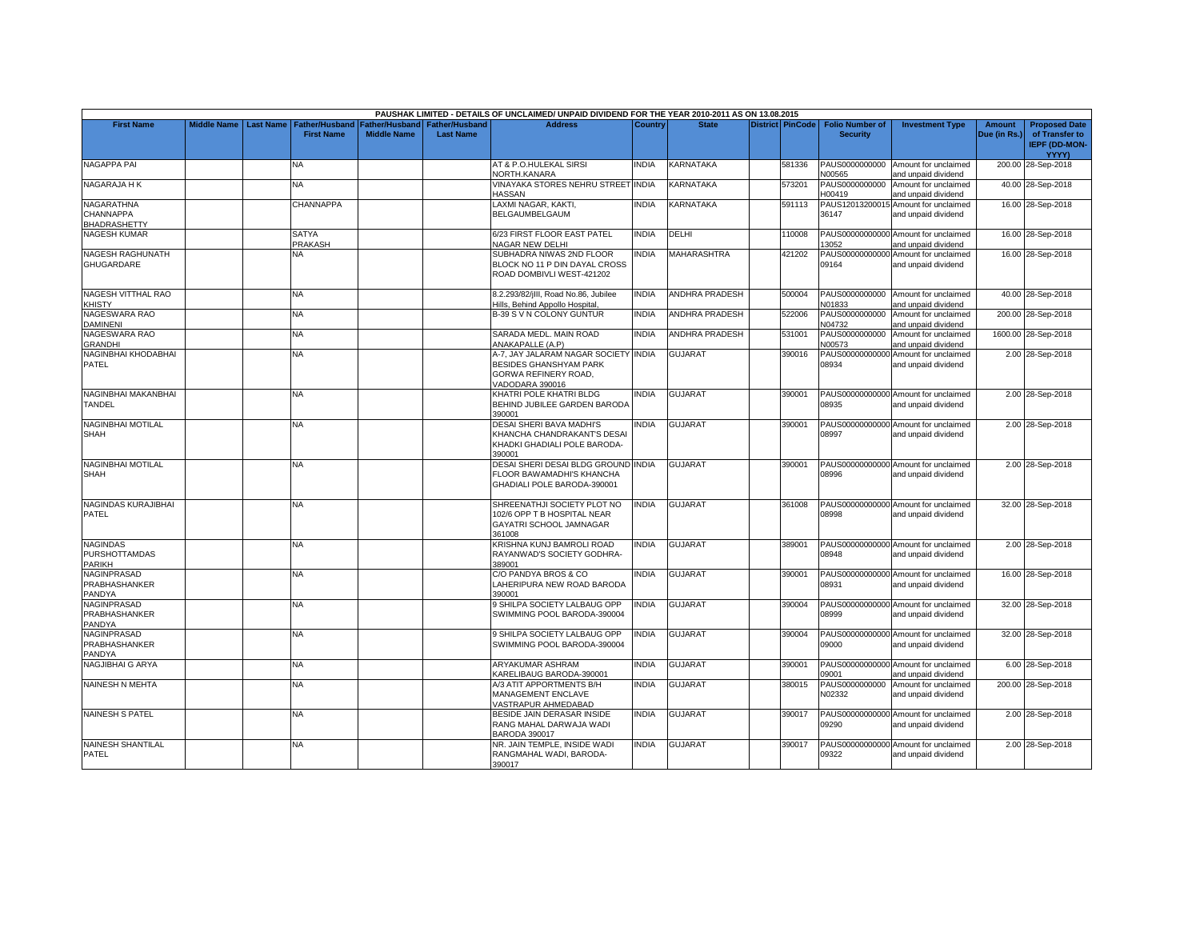|                                                   |                    |                  |                                |                       |                       | PAUSHAK LIMITED - DETAILS OF UNCLAIMED/ UNPAID DIVIDEND FOR THE YEAR 2010-2011 AS ON 13.08.2015                  |              |                       |                         |                          |                                                             |               |                                        |
|---------------------------------------------------|--------------------|------------------|--------------------------------|-----------------------|-----------------------|------------------------------------------------------------------------------------------------------------------|--------------|-----------------------|-------------------------|--------------------------|-------------------------------------------------------------|---------------|----------------------------------------|
| <b>First Name</b>                                 | <b>Middle Name</b> | <b>Last Name</b> | <b>Father/Husband</b>          | <b>Father/Husband</b> | <b>Father/Husband</b> | <b>Address</b>                                                                                                   | Country      | <b>State</b>          | <b>District PinCode</b> | <b>Folio Number of</b>   | <b>Investment Type</b>                                      | <b>Amount</b> | <b>Proposed Date</b>                   |
|                                                   |                    |                  | <b>First Name</b>              | <b>Middle Name</b>    | <b>Last Name</b>      |                                                                                                                  |              |                       |                         | <b>Security</b>          |                                                             | Due (in Rs.)  | of Transfer to<br><b>IEPF (DD-MON-</b> |
|                                                   |                    |                  |                                |                       |                       |                                                                                                                  |              |                       |                         |                          |                                                             |               | YYYY)                                  |
| NAGAPPA PAI                                       |                    |                  | ΝA                             |                       |                       | AT & P.O.HULEKAL SIRSI<br>NORTH.KANARA                                                                           | NDIA         | KARNATAKA             | 581336                  | N00565                   | PAUS0000000000 Amount for unclaimed<br>and unpaid dividend  |               | 200.00 28-Sep-2018                     |
| NAGARAJA HK                                       |                    |                  | <b>NA</b>                      |                       |                       | VINAYAKA STORES NEHRU STREET INDIA<br><b>HASSAN</b>                                                              |              | <b>KARNATAKA</b>      | 573201                  | PAUS0000000000<br>H00419 | Amount for unclaimed<br>and unpaid dividend                 |               | 40.00 28-Sep-2018                      |
| NAGARATHNA                                        |                    |                  | <b>CHANNAPPA</b>               |                       |                       | LAXMI NAGAR, KAKTI,                                                                                              | INDIA        | KARNATAKA             | 591113                  | PAUS12013200015          | Amount for unclaimed                                        |               | 16.00 28-Sep-2018                      |
| CHANNAPPA<br>BHADRASHETTY                         |                    |                  |                                |                       |                       | <b>BELGAUMBELGAUM</b>                                                                                            |              |                       |                         | 36147                    | and unpaid dividend                                         |               |                                        |
| <b>NAGESH KUMAR</b>                               |                    |                  | <b>SATYA</b><br><b>PRAKASH</b> |                       |                       | 6/23 FIRST FLOOR EAST PATEL<br><b>NAGAR NEW DELHI</b>                                                            | <b>NDIA</b>  | DELHI                 | 110008                  | 13052                    | PAUS00000000000 Amount for unclaimed<br>and unpaid dividend |               | 16.00 28-Sep-2018                      |
| NAGESH RAGHUNATH<br>GHUGARDARE                    |                    |                  | <b>NA</b>                      |                       |                       | SUBHADRA NIWAS 2ND FLOOR<br>BLOCK NO 11 P DIN DAYAL CROSS<br>ROAD DOMBIVLI WEST-421202                           | <b>INDIA</b> | MAHARASHTRA           | 421202                  | 09164                    | PAUS00000000000 Amount for unclaimed<br>and unpaid dividend |               | 16.00 28-Sep-2018                      |
| NAGESH VITTHAL RAO<br><b>KHISTY</b>               |                    |                  | NA                             |                       |                       | 8.2.293/82/jlll, Road No.86, Jubilee<br>Hills, Behind Appollo Hospital,                                          | <b>NDIA</b>  | <b>ANDHRA PRADESH</b> | 500004                  | PAUS0000000000<br>N01833 | Amount for unclaimed<br>and unpaid dividend                 |               | 40.00 28-Sep-2018                      |
| NAGESWARA RAO                                     |                    |                  | NA.                            |                       |                       | B-39 S V N COLONY GUNTUR                                                                                         | INDIA        | ANDHRA PRADESH        | 522006                  | PAUS0000000000           | Amount for unclaimed                                        |               | 200.00 28-Sep-2018                     |
| <b>DAMINENI</b>                                   |                    |                  |                                |                       |                       |                                                                                                                  |              |                       |                         | N04732                   | and unpaid dividend                                         |               |                                        |
| NAGESWARA RAO<br><b>GRANDHI</b>                   |                    |                  | <b>NA</b>                      |                       |                       | SARADA MEDL, MAIN ROAD<br>ANAKAPALLE (A.P)                                                                       | <b>INDIA</b> | <b>ANDHRA PRADESH</b> | 531001                  | PAUS0000000000<br>N00573 | Amount for unclaimed<br>and unpaid dividend                 |               | 1600.00 28-Sep-2018                    |
| NAGINBHAI KHODABHAI<br><b>PATEL</b>               |                    |                  | <b>NA</b>                      |                       |                       | A-7, JAY JALARAM NAGAR SOCIETY INDIA<br>BESIDES GHANSHYAM PARK<br><b>GORWA REFINERY ROAD.</b><br>VADODARA 390016 |              | <b>GUJARAT</b>        | 390016                  | 08934                    | PAUS00000000000 Amount for unclaimed<br>and unpaid dividend |               | 2.00 28-Sep-2018                       |
| NAGINBHAI MAKANBHAI<br><b>TANDEL</b>              |                    |                  | <b>NA</b>                      |                       |                       | KHATRI POLE KHATRI BLDG<br>BEHIND JUBILEE GARDEN BARODA<br>390001                                                | <b>INDIA</b> | GUJARAT               | 390001                  | 08935                    | PAUS00000000000 Amount for unclaimed<br>and unpaid dividend |               | 2.00 28-Sep-2018                       |
| NAGINBHAI MOTILAL<br><b>SHAH</b>                  |                    |                  | <b>NA</b>                      |                       |                       | DESAI SHERI BAVA MADHI'S<br>KHANCHA CHANDRAKANT'S DESAI<br>KHADKI GHADIALI POLE BARODA-<br>390001                | <b>INDIA</b> | <b>GUJARAT</b>        | 390001                  | 08997                    | PAUS00000000000 Amount for unclaimed<br>and unpaid dividend |               | 2.00 28-Sep-2018                       |
| <b>NAGINBHAI MOTILAL</b><br><b>SHAH</b>           |                    |                  | NA                             |                       |                       | DESAI SHERI DESAI BLDG GROUND INDIA<br>FLOOR BAWAMADHI'S KHANCHA<br>GHADIALI POLE BARODA-390001                  |              | <b>GUJARAT</b>        | 390001                  | 08996                    | PAUS00000000000 Amount for unclaimed<br>and unpaid dividend |               | 2.00 28-Sep-2018                       |
| NAGINDAS KURAJIBHAI<br><b>PATEL</b>               |                    |                  | <b>NA</b>                      |                       |                       | SHREENATHJI SOCIETY PLOT NO<br>102/6 OPP T B HOSPITAL NEAR<br>GAYATRI SCHOOL JAMNAGAR<br>361008                  | <b>INDIA</b> | <b>GUJARAT</b>        | 361008                  | 08998                    | PAUS00000000000 Amount for unclaimed<br>and unpaid dividend |               | 32.00 28-Sep-2018                      |
| <b>NAGINDAS</b><br><b>PURSHOTTAMDAS</b><br>PARIKH |                    |                  | <b>NA</b>                      |                       |                       | KRISHNA KUNJ BAMROLI ROAD<br>RAYANWAD'S SOCIETY GODHRA-<br>389001                                                | <b>NDIA</b>  | <b>GUJARAT</b>        | 389001                  | 08948                    | PAUS00000000000 Amount for unclaimed<br>and unpaid dividend |               | 2.00 28-Sep-2018                       |
| <b>NAGINPRASAD</b><br>PRABHASHANKER<br>PANDYA     |                    |                  | <b>NA</b>                      |                       |                       | C/O PANDYA BROS & CO<br>LAHERIPURA NEW ROAD BARODA<br>390001                                                     | <b>INDIA</b> | <b>GUJARAT</b>        | 390001                  | 08931                    | PAUS00000000000 Amount for unclaimed<br>and unpaid dividend |               | 16.00 28-Sep-2018                      |
| NAGINPRASAD<br><b>PRABHASHANKER</b><br>PANDYA     |                    |                  | NA                             |                       |                       | 9 SHILPA SOCIETY LALBAUG OPP<br>SWIMMING POOL BARODA-390004                                                      | <b>NDIA</b>  | <b>GUJARAT</b>        | 390004                  | 08999                    | PAUS00000000000 Amount for unclaimed<br>and unpaid dividend |               | 32.00 28-Sep-2018                      |
| <b>NAGINPRASAD</b><br>PRABHASHANKER<br>PANDYA     |                    |                  | <b>NA</b>                      |                       |                       | 9 SHILPA SOCIETY LALBAUG OPP<br>SWIMMING POOL BARODA-390004                                                      | INDIA        | <b>GUJARAT</b>        | 390004                  | 09000                    | PAUS00000000000 Amount for unclaimed<br>and unpaid dividend |               | 32.00 28-Sep-2018                      |
| NAGJIBHAI G ARYA                                  |                    |                  | NA                             |                       |                       | ARYAKUMAR ASHRAM<br>KARELIBAUG BARODA-390001                                                                     | INDIA        | <b>GUJARAT</b>        | 390001                  | 09001                    | PAUS00000000000 Amount for unclaimed<br>and unpaid dividend |               | 6.00 28-Sep-2018                       |
| NAINESH N MEHTA                                   |                    |                  | <b>NA</b>                      |                       |                       | A/3 ATIT APPORTMENTS B/H<br>MANAGEMENT ENCLAVE<br>VASTRAPUR AHMEDABAD                                            | <b>INDIA</b> | <b>GUJARAT</b>        | 380015                  | PAUS0000000000<br>N02332 | Amount for unclaimed<br>and unpaid dividend                 |               | 200.00 28-Sep-2018                     |
| <b>NAINESH S PATEL</b>                            |                    |                  | NA.                            |                       |                       | BESIDE JAIN DERASAR INSIDE<br>RANG MAHAL DARWAJA WADI<br><b>BARODA 390017</b>                                    | <b>NDIA</b>  | <b>GUJARAT</b>        | 390017                  | 09290                    | PAUS00000000000 Amount for unclaimed<br>and unpaid dividend |               | 2.00 28-Sep-2018                       |
| <b>NAINESH SHANTILAL</b><br>PATEL                 |                    |                  | <b>NA</b>                      |                       |                       | NR. JAIN TEMPLE, INSIDE WADI<br>RANGMAHAL WADI, BARODA-<br>390017                                                | <b>NDIA</b>  | GUJARAT               | 390017                  | 09322                    | PAUS00000000000 Amount for unclaimed<br>and unpaid dividend |               | 2.00 28-Sep-2018                       |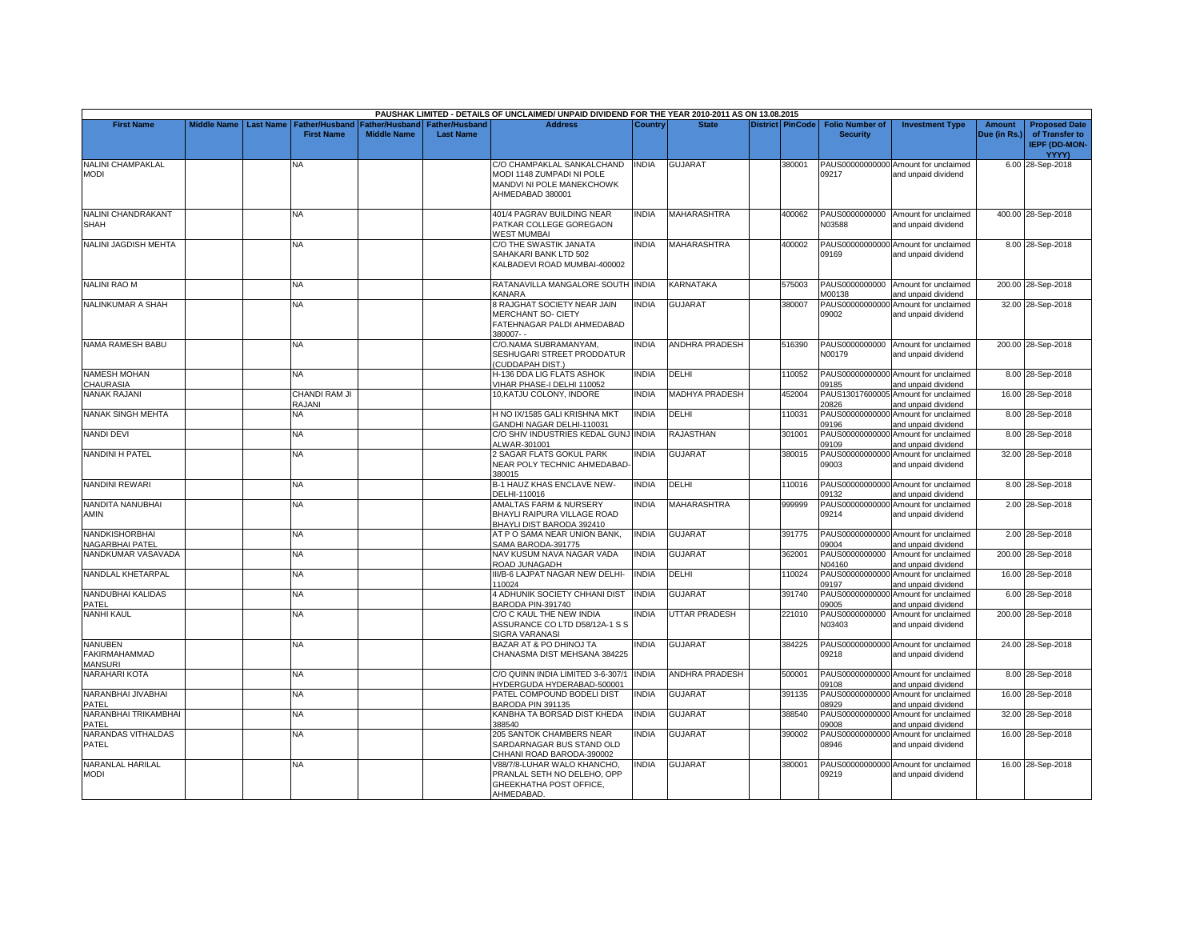|                                                          |                    |                  |                                            |                                             |                                           | PAUSHAK LIMITED - DETAILS OF UNCLAIMED/ UNPAID DIVIDEND FOR THE YEAR 2010-2011 AS ON 13.08.2015          |                |                       |                  |                                           |                                                             |                               |                                                                         |
|----------------------------------------------------------|--------------------|------------------|--------------------------------------------|---------------------------------------------|-------------------------------------------|----------------------------------------------------------------------------------------------------------|----------------|-----------------------|------------------|-------------------------------------------|-------------------------------------------------------------|-------------------------------|-------------------------------------------------------------------------|
| <b>First Name</b>                                        | <b>Middle Name</b> | <b>Last Name</b> | <b>Father/Husband</b><br><b>First Name</b> | <b>Father/Husband</b><br><b>Middle Name</b> | <b>Father/Husband</b><br><b>Last Name</b> | <b>Address</b>                                                                                           | <b>Country</b> | <b>State</b>          | District PinCode | <b>Folio Number of</b><br><b>Security</b> | <b>Investment Type</b>                                      | <b>Amount</b><br>Due (in Rs.) | <b>Proposed Date</b><br>of Transfer to<br><b>IEPF (DD-MON-</b><br>YYYY) |
| <b>NALINI CHAMPAKLAL</b><br><b>MODI</b>                  |                    |                  | ΝA                                         |                                             |                                           | C/O CHAMPAKLAL SANKALCHAND<br>MODI 1148 ZUMPADI NI POLE<br>MANDVI NI POLE MANEKCHOWK<br>AHMEDABAD 380001 | <b>INDIA</b>   | <b>GUJARAT</b>        | 380001           | 09217                                     | PAUS00000000000 Amount for unclaimed<br>and unpaid dividend |                               | 6.00 28-Sep-2018                                                        |
| NALINI CHANDRAKANT<br><b>SHAH</b>                        |                    |                  | <b>NA</b>                                  |                                             |                                           | 401/4 PAGRAV BUILDING NEAR<br>PATKAR COLLEGE GOREGAON<br>WEST MUMBAI                                     | <b>NDIA</b>    | MAHARASHTRA           | 400062           | N03588                                    | PAUS0000000000 Amount for unclaimed<br>and unpaid dividend  |                               | 400.00 28-Sep-2018                                                      |
| <b>NALINI JAGDISH MEHTA</b>                              |                    |                  | <b>NA</b>                                  |                                             |                                           | C/O THE SWASTIK JANATA<br>SAHAKARI BANK LTD 502<br>KALBADEVI ROAD MUMBAI-400002                          | <b>INDIA</b>   | <b>MAHARASHTRA</b>    | 400002           | 09169                                     | PAUS00000000000 Amount for unclaimed<br>and unpaid dividend |                               | 8.00 28-Sep-2018                                                        |
| <b>NALINI RAO M</b>                                      |                    |                  | NA                                         |                                             |                                           | RATANAVILLA MANGALORE SOUTH INDIA<br>KANARA                                                              |                | KARNATAKA             | 575003           | PAUS0000000000<br>M00138                  | Amount for unclaimed<br>and unpaid dividend                 |                               | 200.00 28-Sep-2018                                                      |
| NALINKUMAR A SHAH                                        |                    |                  | NA.                                        |                                             |                                           | 8 RAJGHAT SOCIETY NEAR JAIN<br><b>MERCHANT SO- CIETY</b><br>FATEHNAGAR PALDI AHMEDABAD<br>380007--       | <b>NDIA</b>    | <b>GUJARAT</b>        | 380007           | PAUS00000000000<br>09002                  | Amount for unclaimed<br>and unpaid dividend                 |                               | 32.00 28-Sep-2018                                                       |
| NAMA RAMESH BABU                                         |                    |                  | NΑ                                         |                                             |                                           | C/O.NAMA SUBRAMANYAM,<br>SESHUGARI STREET PRODDATUR<br>(CUDDAPAH DIST.)                                  | <b>INDIA</b>   | <b>ANDHRA PRADESH</b> | 516390           | N00179                                    | PAUS0000000000 Amount for unclaimed<br>and unpaid dividend  |                               | 200.00 28-Sep-2018                                                      |
| <b>NAMESH MOHAN</b><br><b>HAURASIA</b>                   |                    |                  | NA                                         |                                             |                                           | H-136 DDA LIG FLATS ASHOK<br>VIHAR PHASE-I DELHI 110052                                                  | <b>INDIA</b>   | DELHI                 | 110052           | 09185                                     | PAUS00000000000 Amount for unclaimed<br>and unpaid dividend |                               | 8.00 28-Sep-2018                                                        |
| <b>NANAK RAJANI</b>                                      |                    |                  | <b>CHANDI RAM JI</b><br>RAJANI             |                                             |                                           | 10.KATJU COLONY, INDORE                                                                                  | <b>INDIA</b>   | <b>MADHYA PRADESH</b> | 452004           | PAUS13017600005<br>20826                  | Amount for unclaimed<br>and unpaid dividend                 |                               | 16.00 28-Sep-2018                                                       |
| NANAK SINGH MEHTA                                        |                    |                  | NA                                         |                                             |                                           | H NO IX/1585 GALI KRISHNA MKT<br>GANDHI NAGAR DELHI-110031                                               | INDIA          | DELHI                 | 110031           | 09196                                     | PAUS00000000000 Amount for unclaimed<br>and unpaid dividend |                               | 8.00 28-Sep-2018                                                        |
| <b>NANDI DEVI</b>                                        |                    |                  | <b>NA</b>                                  |                                             |                                           | C/O SHIV INDUSTRIES KEDAL GUNJ INDIA<br>ALWAR-301001                                                     |                | <b>RAJASTHAN</b>      | 301001           | 09109                                     | PAUS00000000000 Amount for unclaimed<br>and unpaid dividend |                               | 8.00 28-Sep-2018                                                        |
| <b>NANDINI H PATEL</b>                                   |                    |                  | NA                                         |                                             |                                           | 2 SAGAR FLATS GOKUL PARK<br>NEAR POLY TECHNIC AHMEDABAD-<br>380015                                       | <b>NDIA</b>    | <b>GUJARAT</b>        | 380015           | 09003                                     | PAUS00000000000 Amount for unclaimed<br>and unpaid dividend |                               | 32.00 28-Sep-2018                                                       |
| <b>NANDINI REWARI</b>                                    |                    |                  | <b>NA</b>                                  |                                             |                                           | <b>B-1 HAUZ KHAS ENCLAVE NEW-</b><br>DELHI-110016                                                        | <b>INDIA</b>   | DELHI                 | 110016           | 09132                                     | PAUS00000000000 Amount for unclaimed<br>and unpaid dividend |                               | 8.00 28-Sep-2018                                                        |
| NANDITA NANUBHAI<br>AMIN                                 |                    |                  | <b>NA</b>                                  |                                             |                                           | AMALTAS FARM & NURSERY<br>BHAYLI RAIPURA VILLAGE ROAD<br>BHAYLI DIST BARODA 392410                       | <b>NDIA</b>    | <b>MAHARASHTRA</b>    | 999999           | PAUS00000000000<br>09214                  | Amount for unclaimed<br>and unpaid dividend                 |                               | 2.00 28-Sep-2018                                                        |
| <b>NANDKISHORBHAI</b><br><b>NAGARBHAI PATEL</b>          |                    |                  | <b>NA</b>                                  |                                             |                                           | AT P O SAMA NEAR UNION BANK.<br>SAMA BARODA-391775                                                       | <b>INDIA</b>   | <b>GUJARAT</b>        | 391775           | 09004                                     | PAUS00000000000 Amount for unclaimed<br>and unpaid dividend |                               | 2.00 28-Sep-2018                                                        |
| NANDKUMAR VASAVADA                                       |                    |                  | <b>NA</b>                                  |                                             |                                           | NAV KUSUM NAVA NAGAR VADA<br>ROAD JUNAGADH                                                               | <b>INDIA</b>   | <b>GUJARAT</b>        | 362001           | PAUS0000000000<br>N04160                  | Amount for unclaimed<br>and unpaid dividend                 |                               | 200.00 28-Sep-2018                                                      |
| NANDLAL KHETARPAL                                        |                    |                  | <b>NA</b>                                  |                                             |                                           | III/B-6 LAJPAT NAGAR NEW DELHI-<br>110024                                                                | <b>INDIA</b>   | DELHI                 | 110024           | PAUS00000000000<br>09197                  | Amount for unclaimed<br>and unpaid dividend                 |                               | 16.00 28-Sep-2018                                                       |
| <b>NANDUBHAI KALIDAS</b><br>PATEL                        |                    |                  | <b>NA</b>                                  |                                             |                                           | 4 ADHUNIK SOCIETY CHHANI DIST<br>BARODA PIN-391740                                                       | <b>INDIA</b>   | <b>GUJARAT</b>        | 391740           | 09005                                     | PAUS00000000000 Amount for unclaimed<br>and unpaid dividend |                               | 6.00 28-Sep-2018                                                        |
| <b>NANHI KAUL</b>                                        |                    |                  | <b>NA</b>                                  |                                             |                                           | C/O C KAUL THE NEW INDIA<br>ASSURANCE CO LTD D58/12A-1 S S<br>SIGRA VARANASI                             | INDIA          | <b>UTTAR PRADESH</b>  | 221010           | PAUS0000000000<br>N03403                  | Amount for unclaimed<br>and unpaid dividend                 |                               | 200.00 28-Sep-2018                                                      |
| <b>NANUBEN</b><br><b>FAKIRMAHAMMAD</b><br><b>MANSURI</b> |                    |                  | <b>NA</b>                                  |                                             |                                           | BAZAR AT & PO DHINOJ TA<br>CHANASMA DIST MEHSANA 384225                                                  | <b>NDIA</b>    | <b>GUJARAT</b>        | 384225           | 09218                                     | PAUS00000000000 Amount for unclaimed<br>and unpaid dividend |                               | 24.00 28-Sep-2018                                                       |
| NARAHARI KOTA                                            |                    |                  | <b>NA</b>                                  |                                             |                                           | C/O QUINN INDIA LIMITED 3-6-307/1<br>HYDERGUDA HYDERABAD-500001                                          | <b>INDIA</b>   | <b>ANDHRA PRADESH</b> | 500001           | 09108                                     | PAUS00000000000 Amount for unclaimed<br>and unpaid dividend |                               | 8.00 28-Sep-2018                                                        |
| NARANBHAI JIVABHAI<br>PATEL                              |                    |                  | <b>NA</b>                                  |                                             |                                           | PATEL COMPOUND BODELI DIST<br>BARODA PIN 391135                                                          | <b>INDIA</b>   | GUJARAT               | 391135           | PAUS00000000000<br>08929                  | Amount for unclaimed<br>and unpaid dividend                 |                               | 16.00 28-Sep-2018                                                       |
| NARANBHAI TRIKAMBHAI<br>PATEL                            |                    |                  | NA                                         |                                             |                                           | KANBHA TA BORSAD DIST KHEDA<br>388540                                                                    | <b>INDIA</b>   | <b>GUJARAT</b>        | 388540           | PAUS0000000000<br>09008                   | Amount for unclaimed<br>and unpaid dividend                 |                               | 32.00 28-Sep-2018                                                       |
| NARANDAS VITHALDAS<br>PATEL                              |                    |                  | <b>NA</b>                                  |                                             |                                           | 205 SANTOK CHAMBERS NEAR<br>SARDARNAGAR BUS STAND OLD<br>CHHANI ROAD BARODA-390002                       | <b>NDIA</b>    | <b>GUJARAT</b>        | 390002           | PAUS00000000000<br>08946                  | Amount for unclaimed<br>and unpaid dividend                 |                               | 16.00 28-Sep-2018                                                       |
| NARANLAL HARILAL<br><b>MODI</b>                          |                    |                  | NA                                         |                                             |                                           | V88/7/8-LUHAR WALO KHANCHO.<br>PRANLAL SETH NO DELEHO, OPP<br>GHEEKHATHA POST OFFICE,<br>AHMEDABAD.      | <b>NDIA</b>    | <b>GUJARAT</b>        | 380001           | 09219                                     | PAUS00000000000 Amount for unclaimed<br>and unpaid dividend |                               | 16.00 28-Sep-2018                                                       |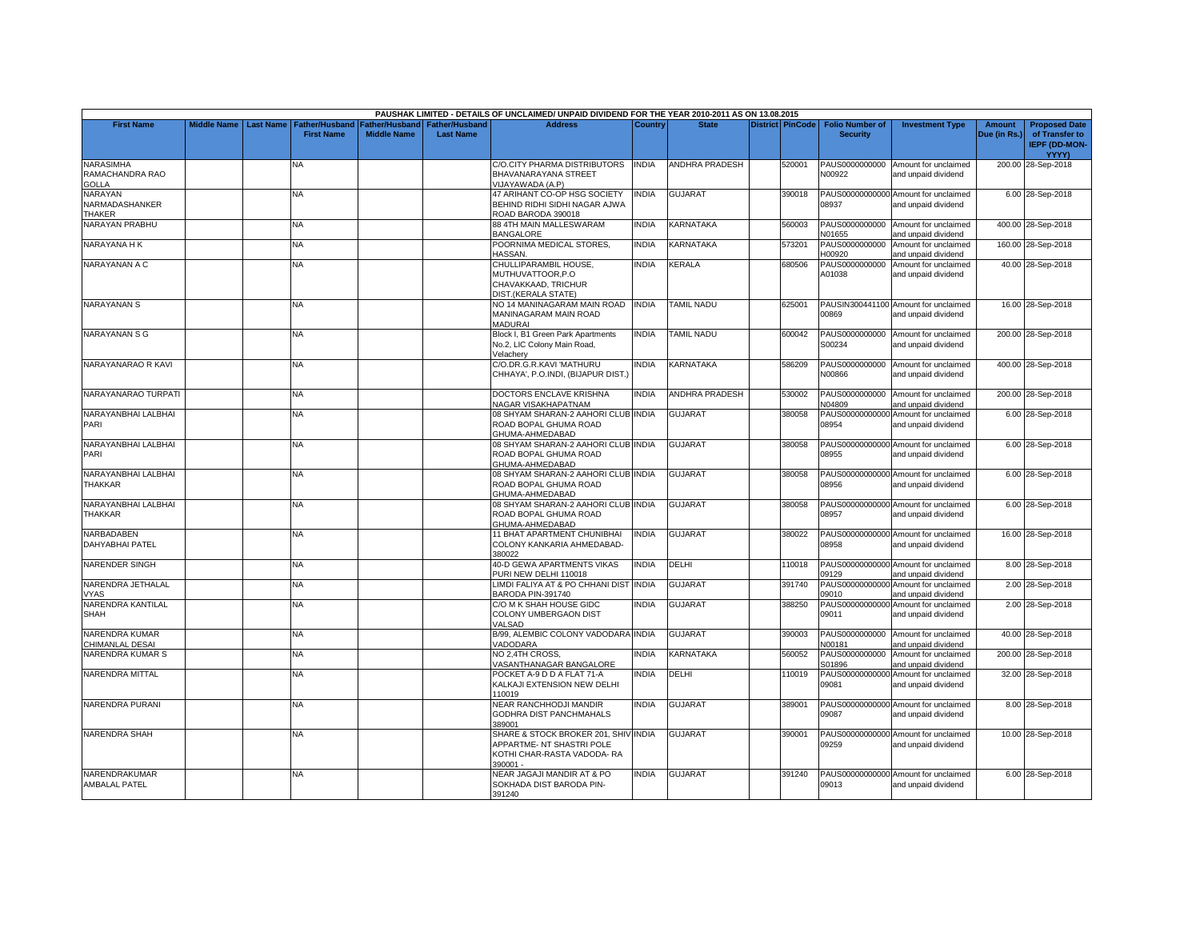|                                              |             |                  |                                            |                    |                                                     | PAUSHAK LIMITED - DETAILS OF UNCLAIMED/ UNPAID DIVIDEND FOR THE YEAR 2010-2011 AS ON 13.08.2015             |                |                       |                         |                                           |                                                             |                               |                                                                         |
|----------------------------------------------|-------------|------------------|--------------------------------------------|--------------------|-----------------------------------------------------|-------------------------------------------------------------------------------------------------------------|----------------|-----------------------|-------------------------|-------------------------------------------|-------------------------------------------------------------|-------------------------------|-------------------------------------------------------------------------|
| <b>First Name</b>                            | Middle Name | <b>Last Name</b> | <b>Father/Husband</b><br><b>First Name</b> | <b>Middle Name</b> | Father/Husband   Father/Husband<br><b>Last Name</b> | <b>Address</b>                                                                                              | <b>Country</b> | <b>State</b>          | <b>District PinCode</b> | <b>Folio Number of</b><br><b>Security</b> | <b>Investment Type</b>                                      | <b>Amount</b><br>Due (in Rs.) | <b>Proposed Date</b><br>of Transfer to<br><b>IEPF (DD-MON-</b><br>YYYY) |
| <b>NARASIMHA</b><br>RAMACHANDRA RAO<br>GOLLA |             |                  | NA.                                        |                    |                                                     | C/O.CITY PHARMA DISTRIBUTORS<br>BHAVANARAYANA STREET<br>VIJAYAWADA (A.P)                                    | <b>INDIA</b>   | <b>ANDHRA PRADESH</b> | 520001                  | N00922                                    | PAUS0000000000 Amount for unclaimed<br>and unpaid dividend  |                               | 200.00 28-Sep-2018                                                      |
| NARAYAN<br>NARMADASHANKER<br>THAKER          |             |                  | <b>NA</b>                                  |                    |                                                     | 47 ARIHANT CO-OP HSG SOCIETY<br>BEHIND RIDHI SIDHI NAGAR AJWA<br>ROAD BARODA 390018                         | <b>NDIA</b>    | <b>GUJARAT</b>        | 390018                  | 08937                                     | PAUS00000000000 Amount for unclaimed<br>and unpaid dividend |                               | 6.00 28-Sep-2018                                                        |
| <b>NARAYAN PRABHU</b>                        |             |                  | <b>NA</b>                                  |                    |                                                     | 88 4TH MAIN MALLESWARAM<br><b>BANGALORE</b>                                                                 | <b>INDIA</b>   | KARNATAKA             | 560003                  | N01655                                    | PAUS0000000000 Amount for unclaimed<br>and unpaid dividend  |                               | 400.00 28-Sep-2018                                                      |
| NARAYANA H K                                 |             |                  | <b>NA</b>                                  |                    |                                                     | POORNIMA MEDICAL STORES.<br><b>HASSAN</b>                                                                   | <b>INDIA</b>   | KARNATAKA             | 573201                  | PAUS0000000000<br>H00920                  | Amount for unclaimed<br>and unpaid dividend                 |                               | 160.00 28-Sep-2018                                                      |
| NARAYANAN A C                                |             |                  | NA.                                        |                    |                                                     | CHULLIPARAMBIL HOUSE.<br>MUTHUVATTOOR, P.O.<br>CHAVAKKAAD, TRICHUR<br>DIST.(KERALA STATE)                   | INDIA          | <b>KERALA</b>         | 680506                  | PAUS0000000000<br>A01038                  | Amount for unclaimed<br>and unpaid dividend                 |                               | 40.00 28-Sep-2018                                                       |
| <b>NARAYANAN S</b>                           |             |                  | <b>NA</b>                                  |                    |                                                     | NO 14 MANINAGARAM MAIN ROAD<br>MANINAGARAM MAIN ROAD<br><b>MADURAI</b>                                      | <b>INDIA</b>   | <b>TAMIL NADU</b>     | 625001                  | 00869                                     | PAUSIN300441100 Amount for unclaimed<br>and unpaid dividend |                               | 16.00 28-Sep-2018                                                       |
| <b>NARAYANAN S G</b>                         |             |                  | NA.                                        |                    |                                                     | Block I, B1 Green Park Apartments<br>No.2, LIC Colony Main Road,<br>Velachery                               | <b>INDIA</b>   | <b>TAMIL NADU</b>     | 600042                  | S00234                                    | PAUS0000000000 Amount for unclaimed<br>and unpaid dividend  |                               | 200.00 28-Sep-2018                                                      |
| NARAYANARAO R KAVI                           |             |                  | NA.                                        |                    |                                                     | C/O.DR.G.R.KAVI 'MATHURU<br>CHHAYA', P.O.INDI, (BIJAPUR DIST.)                                              | INDIA          | KARNATAKA             | 586209                  | N00866                                    | PAUS0000000000 Amount for unclaimed<br>and unpaid dividend  |                               | 400.00 28-Sep-2018                                                      |
| NARAYANARAO TURPATI                          |             |                  | <b>NA</b>                                  |                    |                                                     | DOCTORS ENCLAVE KRISHNA<br>NAGAR VISAKHAPATNAM                                                              | <b>INDIA</b>   | <b>ANDHRA PRADESH</b> | 530002                  | N04809                                    | PAUS0000000000 Amount for unclaimed<br>and unpaid dividend  |                               | 200.00 28-Sep-2018                                                      |
| NARAYANBHAI LALBHAI<br>PARI                  |             |                  | NA                                         |                    |                                                     | 08 SHYAM SHARAN-2 AAHORI CLUB INDIA<br>ROAD BOPAL GHUMA ROAD<br>GHUMA-AHMEDABAD                             |                | <b>GUJARAT</b>        | 380058                  | 08954                                     | PAUS00000000000 Amount for unclaimed<br>and unpaid dividend |                               | 6.00 28-Sep-2018                                                        |
| NARAYANBHAI LALBHAI<br>PARI                  |             |                  | <b>NA</b>                                  |                    |                                                     | 08 SHYAM SHARAN-2 AAHORI CLUB INDIA<br>ROAD BOPAL GHUMA ROAD<br>GHUMA-AHMEDABAD                             |                | <b>GUJARAT</b>        | 380058                  | 08955                                     | PAUS00000000000 Amount for unclaimed<br>and unpaid dividend |                               | 6.00 28-Sep-2018                                                        |
| NARAYANBHAI LALBHAI<br>THAKKAR               |             |                  | NA                                         |                    |                                                     | 08 SHYAM SHARAN-2 AAHORI CLUB INDIA<br>ROAD BOPAL GHUMA ROAD<br>GHUMA-AHMEDABAD                             |                | <b>GUJARAT</b>        | 380058                  | 08956                                     | PAUS00000000000 Amount for unclaimed<br>and unpaid dividend |                               | 6.00 28-Sep-2018                                                        |
| NARAYANBHAI LALBHAI<br>THAKKAR               |             |                  | <b>NA</b>                                  |                    |                                                     | 08 SHYAM SHARAN-2 AAHORI CLUB INDIA<br>ROAD BOPAL GHUMA ROAD<br>GHUMA-AHMEDABAD                             |                | <b>GUJARAT</b>        | 380058                  | 08957                                     | PAUS00000000000 Amount for unclaimed<br>and unpaid dividend |                               | 6.00 28-Sep-2018                                                        |
| <b>NARBADABEN</b><br><b>DAHYABHAI PATEL</b>  |             |                  | <b>NA</b>                                  |                    |                                                     | 11 BHAT APARTMENT CHUNIBHAI<br>COLONY KANKARIA AHMEDABAD-<br>380022                                         | <b>NDIA</b>    | <b>GUJARAT</b>        | 380022                  | 08958                                     | PAUS00000000000 Amount for unclaimed<br>and unpaid dividend |                               | 16.00 28-Sep-2018                                                       |
| <b>NARENDER SINGH</b>                        |             |                  | NA                                         |                    |                                                     | <b>40-D GEWA APARTMENTS VIKAS</b><br>PURI NEW DELHI 110018                                                  | INDIA          | DELHI                 | 110018                  | 09129                                     | PAUS00000000000 Amount for unclaimed<br>and unpaid dividend |                               | 8.00 28-Sep-2018                                                        |
| NARENDRA JETHALAL<br><b>VYAS</b>             |             |                  | <b>NA</b>                                  |                    |                                                     | LIMDI FALIYA AT & PO CHHANI DIST<br>BARODA PIN-391740                                                       | <b>INDIA</b>   | <b>GUJARAT</b>        | 391740                  | 09010                                     | PAUS00000000000 Amount for unclaimed<br>and unpaid dividend |                               | 2.00 28-Sep-2018                                                        |
| NARENDRA KANTILAL<br><b>SHAH</b>             |             |                  | <b>NA</b>                                  |                    |                                                     | C/O M K SHAH HOUSE GIDC<br>COLONY UMBERGAON DIST<br>VALSAD                                                  | <b>NDIA</b>    | <b>GUJARAT</b>        | 388250                  | PAUS00000000000<br>09011                  | Amount for unclaimed<br>and unpaid dividend                 |                               | 2.00 28-Sep-2018                                                        |
| NARENDRA KUMAR<br>CHIMANLAL DESAI            |             |                  | NA                                         |                    |                                                     | B/99, ALEMBIC COLONY VADODARA INDIA<br>VADODARA                                                             |                | GUJARAT               | 390003                  | PAUS0000000000<br>N00181                  | Amount for unclaimed<br>and unpaid dividend                 |                               | 40.00 28-Sep-2018                                                       |
| NARENDRA KUMAR S                             |             |                  | <b>NA</b>                                  |                    |                                                     | NO 2.4TH CROSS.<br><b>/ASANTHANAGAR BANGALORE</b>                                                           | <b>NDIA</b>    | KARNATAKA             | 560052                  | PAUS0000000000<br>S01896                  | Amount for unclaimed<br>and unpaid dividend                 |                               | 200.00 28-Sep-2018                                                      |
| <b>NARENDRA MITTAL</b>                       |             |                  | NA                                         |                    |                                                     | POCKET A-9 D D A FLAT 71-A<br>KALKAJI EXTENSION NEW DELHI<br>10019                                          | NDIA           | DELHI                 | 110019                  | 09081                                     | PAUS00000000000 Amount for unclaimed<br>and unpaid dividend |                               | 32.00 28-Sep-2018                                                       |
| <b>NARENDRA PURANI</b>                       |             |                  | NA.                                        |                    |                                                     | NEAR RANCHHODJI MANDIR<br><b>GODHRA DIST PANCHMAHALS</b><br>389001                                          | <b>INDIA</b>   | GUJARAT               | 389001                  | 09087                                     | PAUS00000000000 Amount for unclaimed<br>and unpaid dividend |                               | 8.00 28-Sep-2018                                                        |
| NARENDRA SHAH                                |             |                  | <b>NA</b>                                  |                    |                                                     | SHARE & STOCK BROKER 201, SHIV INDIA<br>APPARTME- NT SHASTRI POLE<br>KOTHI CHAR-RASTA VADODA- RA<br>390001- |                | <b>GUJARAT</b>        | 390001                  | 09259                                     | PAUS00000000000 Amount for unclaimed<br>and unpaid dividend |                               | 10.00 28-Sep-2018                                                       |
| NARENDRAKUMAR<br><b>AMBALAL PATEL</b>        |             |                  | <b>NA</b>                                  |                    |                                                     | NEAR JAGAJI MANDIR AT & PO<br>SOKHADA DIST BARODA PIN-<br>391240                                            | <b>NDIA</b>    | GUJARAT               | 391240                  | 09013                                     | PAUS00000000000 Amount for unclaimed<br>and unpaid dividend |                               | 6.00 28-Sep-2018                                                        |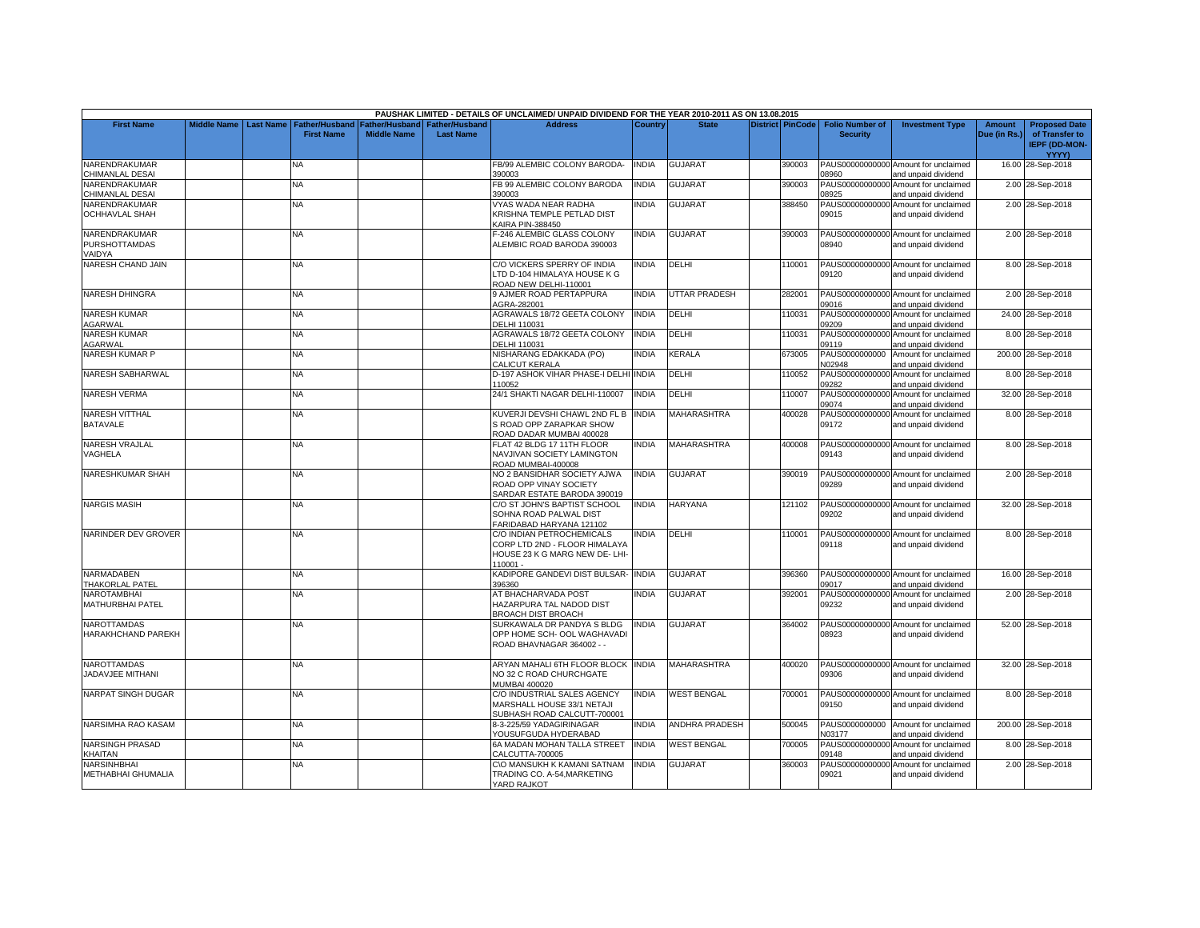|                                                 |                    |                  |                                            |                    |                                                     | PAUSHAK LIMITED - DETAILS OF UNCLAIMED/ UNPAID DIVIDEND FOR THE YEAR 2010-2011 AS ON 13.08.2015          |              |                       |                  |                                           |                                                             |                               |                                                                         |
|-------------------------------------------------|--------------------|------------------|--------------------------------------------|--------------------|-----------------------------------------------------|----------------------------------------------------------------------------------------------------------|--------------|-----------------------|------------------|-------------------------------------------|-------------------------------------------------------------|-------------------------------|-------------------------------------------------------------------------|
| <b>First Name</b>                               | <b>Middle Name</b> | <b>Last Name</b> | <b>Father/Husband</b><br><b>First Name</b> | <b>Middle Name</b> | Father/Husband   Father/Husband<br><b>Last Name</b> | <b>Address</b>                                                                                           | Country      | <b>State</b>          | District PinCode | <b>Folio Number of</b><br><b>Security</b> | <b>Investment Type</b>                                      | <b>Amount</b><br>Due (in Rs.) | <b>Proposed Date</b><br>of Transfer to<br><b>IEPF (DD-MON-</b><br>YYYY) |
| NARENDRAKUMAR<br>CHIMANLAL DESAI                |                    |                  | NA                                         |                    |                                                     | FB/99 ALEMBIC COLONY BARODA-<br>390003                                                                   | <b>INDIA</b> | <b>GUJARAT</b>        | 390003           | 03960                                     | PAUS00000000000 Amount for unclaimed<br>and unpaid dividend |                               | 16.00 28-Sep-2018                                                       |
| NARENDRAKUMAR<br>CHIMANLAL DESAI                |                    |                  | <b>NA</b>                                  |                    |                                                     | FB 99 ALEMBIC COLONY BARODA<br>390003                                                                    | <b>INDIA</b> | <b>GUJARAT</b>        | 390003           | PAUS00000000000<br>08925                  | Amount for unclaimed<br>and unpaid dividend                 |                               | 2.00 28-Sep-2018                                                        |
| NARENDRAKUMAR<br><b>OCHHAVLAL SHAH</b>          |                    |                  | <b>NA</b>                                  |                    |                                                     | VYAS WADA NEAR RADHA<br>KRISHNA TEMPLE PETLAD DIST<br>KAIRA PIN-388450                                   | <b>INDIA</b> | <b>GUJARAT</b>        | 388450           | 09015                                     | PAUS00000000000 Amount for unclaimed<br>and unpaid dividend |                               | 2.00 28-Sep-2018                                                        |
| NARENDRAKUMAR<br><b>PURSHOTTAMDAS</b><br>VAIDYA |                    |                  | NA                                         |                    |                                                     | F-246 ALEMBIC GLASS COLONY<br>ALEMBIC ROAD BARODA 390003                                                 | <b>INDIA</b> | <b>GUJARAT</b>        | 390003           | 08940                                     | PAUS00000000000 Amount for unclaimed<br>and unpaid dividend |                               | 2.00 28-Sep-2018                                                        |
| NARESH CHAND JAIN                               |                    |                  | NA                                         |                    |                                                     | C/O VICKERS SPERRY OF INDIA<br>TD D-104 HIMALAYA HOUSE K G<br>ROAD NEW DELHI-110001                      | <b>INDIA</b> | DELHI                 | 110001           | 09120                                     | PAUS00000000000 Amount for unclaimed<br>and unpaid dividend |                               | 8.00 28-Sep-2018                                                        |
| <b>NARESH DHINGRA</b>                           |                    |                  | <b>NA</b>                                  |                    |                                                     | 9 AJMER ROAD PERTAPPURA<br>AGRA-282001                                                                   | <b>INDIA</b> | <b>UTTAR PRADESH</b>  | 282001           | 09016                                     | PAUS00000000000 Amount for unclaimed<br>and unpaid dividend |                               | 2.00 28-Sep-2018                                                        |
| <b>NARESH KUMAR</b><br>AGARWAL                  |                    |                  | NA.                                        |                    |                                                     | AGRAWALS 18/72 GEETA COLONY<br>DELHI 110031                                                              | <b>INDIA</b> | DELHI                 | 110031           | 09209                                     | PAUS00000000000 Amount for unclaimed<br>and unpaid dividend |                               | 24.00 28-Sep-2018                                                       |
| <b>NARESH KUMAR</b><br>AGARWAL                  |                    |                  | NA                                         |                    |                                                     | AGRAWALS 18/72 GEETA COLONY<br>DELHI 110031                                                              | <b>INDIA</b> | DELHI                 | 110031           | PAUS00000000000<br>09119                  | Amount for unclaimed<br>and unpaid dividend                 |                               | 8.00 28-Sep-2018                                                        |
| <b>NARESH KUMAR P</b>                           |                    |                  | <b>NA</b>                                  |                    |                                                     | NISHARANG EDAKKADA (PO)<br>CALICUT KERALA                                                                | <b>INDIA</b> | <b>KERALA</b>         | 673005           | PAUS0000000000<br>N02948                  | Amount for unclaimed<br>and unpaid dividend                 |                               | 200.00 28-Sep-2018                                                      |
| NARESH SABHARWAL                                |                    |                  | NA                                         |                    |                                                     | D-197 ASHOK VIHAR PHASE-I DELHI<br>10052                                                                 | <b>INDIA</b> | DELHI                 | 110052           | PAUS00000000000<br>09282                  | Amount for unclaimed<br>and unpaid dividend                 |                               | 8.00 28-Sep-2018                                                        |
| <b>NARESH VERMA</b>                             |                    |                  | <b>NA</b>                                  |                    |                                                     | 24/1 SHAKTI NAGAR DELHI-110007                                                                           | <b>INDIA</b> | DELHI                 | 110007           | PAUS00000000000<br>09074                  | Amount for unclaimed<br>and unpaid dividend                 |                               | 32.00 28-Sep-2018                                                       |
| NARESH VITTHAL<br><b>BATAVALE</b>               |                    |                  | NA                                         |                    |                                                     | KUVERJI DEVSHI CHAWL 2ND FL B INDIA<br>S ROAD OPP ZARAPKAR SHOW<br>ROAD DADAR MUMBAI 400028              |              | MAHARASHTRA           | 400028           | PAUS00000000000<br>09172                  | Amount for unclaimed<br>and unpaid dividend                 |                               | 8.00 28-Sep-2018                                                        |
| <b>NARESH VRAJLAL</b><br>VAGHELA                |                    |                  | <b>NA</b>                                  |                    |                                                     | FLAT 42 BLDG 17 11TH FLOOR<br>NAVJIVAN SOCIETY LAMINGTON<br>ROAD MUMBAI-400008                           | <b>INDIA</b> | <b>MAHARASHTRA</b>    | 400008           | 09143                                     | PAUS00000000000 Amount for unclaimed<br>and unpaid dividend |                               | 8.00 28-Sep-2018                                                        |
| NARESHKUMAR SHAH                                |                    |                  | <b>NA</b>                                  |                    |                                                     | NO 2 BANSIDHAR SOCIETY AJWA<br>ROAD OPP VINAY SOCIETY<br>SARDAR ESTATE BARODA 390019                     | <b>INDIA</b> | <b>GUJARAT</b>        | 390019           | 09289                                     | PAUS00000000000 Amount for unclaimed<br>and unpaid dividend |                               | 2.00 28-Sep-2018                                                        |
| <b>NARGIS MASIH</b>                             |                    |                  | <b>NA</b>                                  |                    |                                                     | C/O ST JOHN'S BAPTIST SCHOOL<br>SOHNA ROAD PALWAL DIST<br>FARIDABAD HARYANA 121102                       | <b>INDIA</b> | <b>HARYANA</b>        | 121102           | 09202                                     | PAUS00000000000 Amount for unclaimed<br>and unpaid dividend |                               | 32.00 28-Sep-2018                                                       |
| <b>NARINDER DEV GROVER</b>                      |                    |                  | <b>NA</b>                                  |                    |                                                     | C/O INDIAN PETROCHEMICALS<br>CORP LTD 2ND - FLOOR HIMALAYA<br>HOUSE 23 K G MARG NEW DE- LHI-<br>110001 - | <b>NDIA</b>  | DELHI                 | 110001           | PAUS00000000000<br>09118                  | Amount for unclaimed<br>and unpaid dividend                 |                               | 8.00 28-Sep-2018                                                        |
| <b>NARMADABEN</b><br><b>THAKORLAL PATEL</b>     |                    |                  | <b>NA</b>                                  |                    |                                                     | KADIPORE GANDEVI DIST BULSAR-<br>396360                                                                  | <b>INDIA</b> | <b>GUJARAT</b>        | 396360           | 09017                                     | PAUS00000000000 Amount for unclaimed<br>and unpaid dividend |                               | 16.00 28-Sep-2018                                                       |
| NAROTAMBHAI<br>MATHURBHAI PATEL                 |                    |                  | <b>NA</b>                                  |                    |                                                     | AT BHACHARVADA POST<br>HAZARPURA TAL NADOD DIST<br><b>BROACH DIST BROACH</b>                             | <b>INDIA</b> | <b>GUJARAT</b>        | 392001           | 09232                                     | PAUS00000000000 Amount for unclaimed<br>and unpaid dividend |                               | 2.00 28-Sep-2018                                                        |
| <b>NAROTTAMDAS</b><br>HARAKHCHAND PAREKH        |                    |                  | <b>NA</b>                                  |                    |                                                     | SURKAWALA DR PANDYA S BLDG<br>OPP HOME SCH- OOL WAGHAVADI<br>ROAD BHAVNAGAR 364002 - -                   | <b>INDIA</b> | <b>GUJARAT</b>        | 364002           | 08923                                     | PAUS00000000000 Amount for unclaimed<br>and unpaid dividend |                               | 52.00 28-Sep-2018                                                       |
| NAROTTAMDAS<br>JADAVJEE MITHANI                 |                    |                  | NA                                         |                    |                                                     | ARYAN MAHALI 6TH FLOOR BLOCK INDIA<br>NO 32 C ROAD CHURCHGATE<br>MUMBAI 400020                           |              | MAHARASHTRA           | 400020           | 09306                                     | PAUS00000000000 Amount for unclaimed<br>and unpaid dividend |                               | 32.00 28-Sep-2018                                                       |
| NARPAT SINGH DUGAR                              |                    |                  | <b>NA</b>                                  |                    |                                                     | C/O INDUSTRIAL SALES AGENCY<br>MARSHALL HOUSE 33/1 NETAJI<br>SUBHASH ROAD CALCUTT-700001                 | <b>INDIA</b> | <b>WEST BENGAL</b>    | 700001           | 09150                                     | PAUS00000000000 Amount for unclaimed<br>and unpaid dividend |                               | 8.00 28-Sep-2018                                                        |
| NARSIMHA RAO KASAM                              |                    |                  | NA                                         |                    |                                                     | 8-3-225/59 YADAGIRINAGAR<br>YOUSUFGUDA HYDERABAD                                                         | <b>INDIA</b> | <b>ANDHRA PRADESH</b> | 500045           | PAUS0000000000<br><b>N03177</b>           | Amount for unclaimed<br>and unpaid dividend                 |                               | 200.00 28-Sep-2018                                                      |
| NARSINGH PRASAD<br>KHAITAN                      |                    |                  | <b>NA</b>                                  |                    |                                                     | 6A MADAN MOHAN TALLA STREET<br>CALCUTTA-700005                                                           | <b>INDIA</b> | <b>WEST BENGAL</b>    | 700005           | PAUS00000000000<br>09148                  | Amount for unclaimed<br>and unpaid dividend                 |                               | 8.00 28-Sep-2018                                                        |
| NARSINHBHAI<br>METHABHAI GHUMALIA               |                    |                  | NA                                         |                    |                                                     | C\O MANSUKH K KAMANI SATNAM<br>TRADING CO. A-54, MARKETING<br>YARD RAJKOT                                | <b>INDIA</b> | <b>GUJARAT</b>        | 360003           | PAUS00000000000<br>09021                  | Amount for unclaimed<br>and unpaid dividend                 |                               | 2.00 28-Sep-2018                                                        |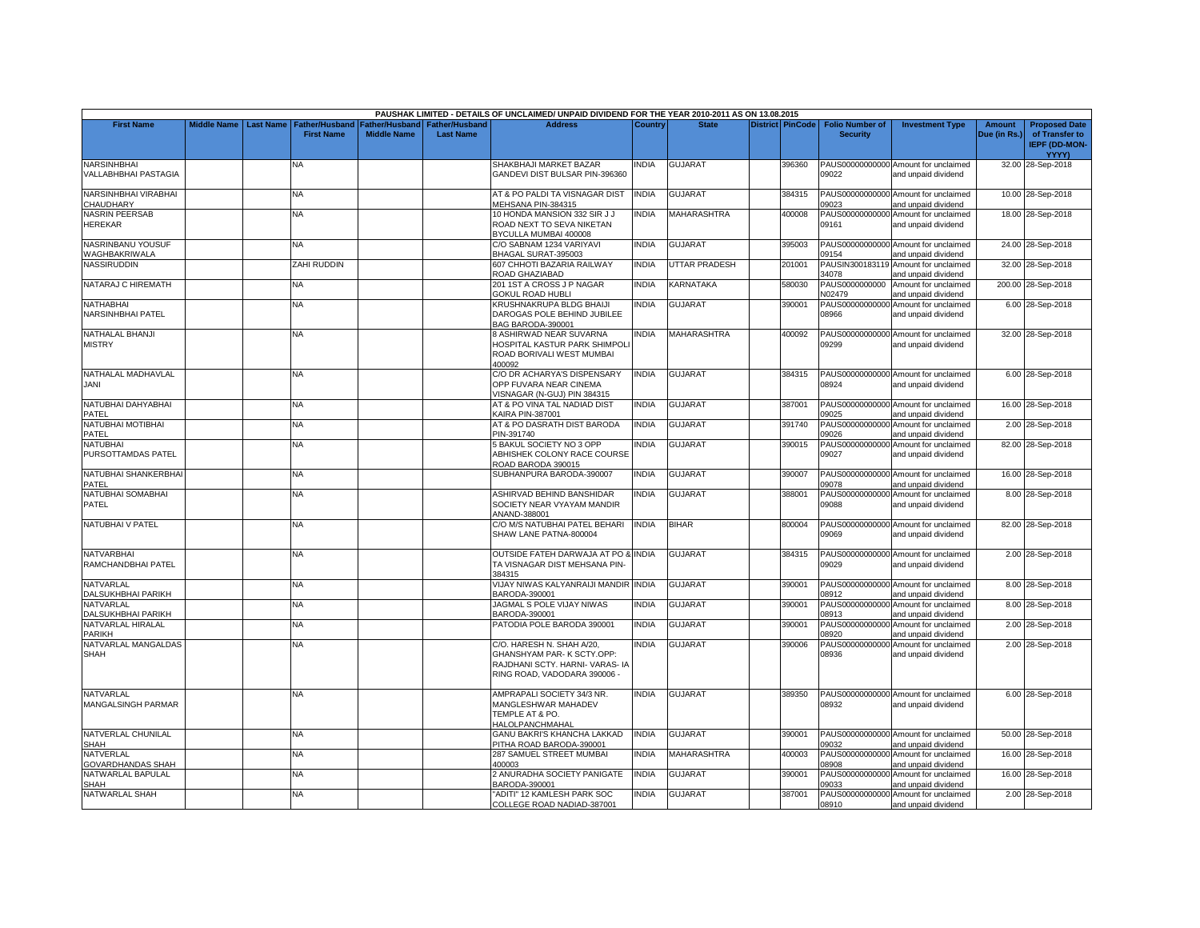|                                               |                    |                  |                                     |                                      |                                           | PAUSHAK LIMITED - DETAILS OF UNCLAIMED/ UNPAID DIVIDEND FOR THE YEAR 2010-2011 AS ON 13.08.2015                           |              |                    |                         |                                           |                                                             |                        |                                                                                |
|-----------------------------------------------|--------------------|------------------|-------------------------------------|--------------------------------------|-------------------------------------------|---------------------------------------------------------------------------------------------------------------------------|--------------|--------------------|-------------------------|-------------------------------------------|-------------------------------------------------------------|------------------------|--------------------------------------------------------------------------------|
| <b>First Name</b>                             | <b>Middle Name</b> | <b>Last Name</b> | Father/Husband<br><b>First Name</b> | Father/Husband<br><b>Middle Name</b> | <b>Father/Husband</b><br><b>Last Name</b> | <b>Address</b>                                                                                                            | Country      | <b>State</b>       | <b>District PinCode</b> | <b>Folio Number of</b><br><b>Security</b> | <b>Investment Type</b>                                      | Amount<br>Due (in Rs.) | <b>Proposed Date</b><br>of Transfer to<br><b>IEPF (DD-MON-</b><br><b>YYYY)</b> |
| <b>NARSINHBHAI</b><br>VALLABHBHAI PASTAGIA    |                    |                  | NA                                  |                                      |                                           | SHAKBHAJI MARKET BAZAR<br>GANDEVI DIST BULSAR PIN-396360                                                                  | INDIA        | <b>GUJARAT</b>     | 396360                  | 09022                                     | PAUS00000000000 Amount for unclaimed<br>and unpaid dividend |                        | 32.00 28-Sep-2018                                                              |
| NARSINHBHAI VIRABHAI<br>CHAUDHARY             |                    |                  | <b>NA</b>                           |                                      |                                           | AT & PO PALDI TA VISNAGAR DIST<br>MEHSANA PIN-384315                                                                      | <b>INDIA</b> | <b>GUJARAT</b>     | 384315                  | 09023                                     | PAUS00000000000 Amount for unclaimed<br>and unpaid dividend |                        | 10.00 28-Sep-2018                                                              |
| <b>NASRIN PEERSAB</b><br><b>HEREKAR</b>       |                    |                  | NA                                  |                                      |                                           | 10 HONDA MANSION 332 SIR J J<br>ROAD NEXT TO SEVA NIKETAN<br>BYCULLA MUMBAI 400008                                        | <b>INDIA</b> | MAHARASHTRA        | 400008                  | 09161                                     | PAUS00000000000 Amount for unclaimed<br>and unpaid dividend |                        | 18.00 28-Sep-2018                                                              |
| NASRINBANU YOUSUF<br>WAGHBAKRIWALA            |                    |                  | <b>NA</b>                           |                                      |                                           | C/O SABNAM 1234 VARIYAVI<br>BHAGAL SURAT-395003                                                                           | <b>INDIA</b> | <b>GUJARAT</b>     | 395003                  | 09154                                     | PAUS00000000000 Amount for unclaimed<br>and unpaid dividend |                        | 24.00 28-Sep-2018                                                              |
| NASSIRUDDIN                                   |                    |                  | ZAHI RUDDIN                         |                                      |                                           | 607 CHHOTI BAZARIA RAILWAY<br>ROAD GHAZIABAD                                                                              | <b>INDIA</b> | UTTAR PRADESH      | 201001                  | 34078                                     | PAUSIN300183119 Amount for unclaimed<br>and unpaid dividend |                        | 32.00 28-Sep-2018                                                              |
| NATARAJ C HIREMATH                            |                    |                  | NΑ                                  |                                      |                                           | 201 1ST A CROSS J P NAGAR<br><b>GOKUL ROAD HUBLI</b>                                                                      | <b>INDIA</b> | KARNATAKA          | 580030                  | PAUS0000000000<br>N02479                  | Amount for unclaimed<br>and unpaid dividend                 |                        | 200.00 28-Sep-2018                                                             |
| NATHABHAI<br><b>NARSINHBHAI PATEL</b>         |                    |                  | <b>NA</b>                           |                                      |                                           | KRUSHNAKRUPA BLDG BHAIJI<br>DAROGAS POLE BEHIND JUBILEE<br>BAG BARODA-390001                                              | <b>INDIA</b> | <b>GUJARAT</b>     | 390001                  | 08966                                     | PAUS00000000000 Amount for unclaimed<br>and unpaid dividend |                        | 6.00 28-Sep-2018                                                               |
| <b>NATHALAL BHANJI</b><br><b>MISTRY</b>       |                    |                  | <b>NA</b>                           |                                      |                                           | <b>BASHIRWAD NEAR SUVARNA</b><br>HOSPITAL KASTUR PARK SHIMPOLI<br>ROAD BORIVALI WEST MUMBAI<br>400092                     | <b>INDIA</b> | <b>MAHARASHTRA</b> | 400092                  | 09299                                     | PAUS00000000000 Amount for unclaimed<br>and unpaid dividend |                        | 32.00 28-Sep-2018                                                              |
| NATHALAL MADHAVLAL<br><b>JANI</b>             |                    |                  | <b>NA</b>                           |                                      |                                           | C/O DR ACHARYA'S DISPENSARY<br>OPP FUVARA NEAR CINEMA<br>/ISNAGAR (N-GUJ) PIN 384315                                      | <b>INDIA</b> | <b>GUJARAT</b>     | 384315                  | 08924                                     | PAUS00000000000 Amount for unclaimed<br>and unpaid dividend |                        | 6.00 28-Sep-2018                                                               |
| NATUBHAI DAHYABHAI<br>PATEL                   |                    |                  | ΝA                                  |                                      |                                           | AT & PO VINA TAL NADIAD DIST<br>KAIRA PIN-387001                                                                          | <b>INDIA</b> | GUJARAT            | 387001                  | 09025                                     | PAUS00000000000 Amount for unclaimed<br>and unpaid dividend |                        | 16.00 28-Sep-2018                                                              |
| NATUBHAI MOTIBHAI<br>PATEL                    |                    |                  | <b>NA</b>                           |                                      |                                           | AT & PO DASRATH DIST BARODA<br>PIN-391740                                                                                 | <b>INDIA</b> | <b>GUJARAT</b>     | 391740                  | 09026                                     | PAUS00000000000 Amount for unclaimed<br>and unpaid dividend |                        | 2.00 28-Sep-2018                                                               |
| <b>NATUBHAI</b><br>PURSOTTAMDAS PATEL         |                    |                  | NΑ                                  |                                      |                                           | 5 BAKUL SOCIETY NO 3 OPP<br>ABHISHEK COLONY RACE COURSE<br>ROAD BARODA 390015                                             | <b>INDIA</b> | <b>GUJARAT</b>     | 390015                  | PAUS00000000000<br>09027                  | Amount for unclaimed<br>and unpaid dividend                 |                        | 82.00 28-Sep-2018                                                              |
| NATUBHAI SHANKERBHAI<br>PATEL                 |                    |                  | NA.                                 |                                      |                                           | SUBHANPURA BARODA-390007                                                                                                  | <b>INDIA</b> | GUJARAT            | 390007                  | 09078                                     | PAUS00000000000 Amount for unclaimed<br>and unpaid dividend |                        | 16.00 28-Sep-2018                                                              |
| NATUBHAI SOMABHAI<br><b>PATEL</b>             |                    |                  | <b>NA</b>                           |                                      |                                           | ASHIRVAD BEHIND BANSHIDAR<br>SOCIETY NEAR VYAYAM MANDIR<br>ANAND-388001                                                   | <b>INDIA</b> | <b>GUJARAT</b>     | 388001                  | 09088                                     | PAUS00000000000 Amount for unclaimed<br>and unpaid dividend |                        | 8.00 28-Sep-2018                                                               |
| NATUBHAI V PATEL                              |                    |                  | <b>NA</b>                           |                                      |                                           | C/O M/S NATUBHAI PATEL BEHARI<br>SHAW LANE PATNA-800004                                                                   | <b>INDIA</b> | <b>BIHAR</b>       | 800004                  | 09069                                     | PAUS00000000000 Amount for unclaimed<br>and unpaid dividend |                        | 82.00 28-Sep-2018                                                              |
| <b>NATVARBHAI</b><br>RAMCHANDBHAI PATEL       |                    |                  | ΝA                                  |                                      |                                           | OUTSIDE FATEH DARWAJA AT PO & INDIA<br>TA VISNAGAR DIST MEHSANA PIN-<br>384315                                            |              | GUJARAT            | 384315                  | 09029                                     | PAUS00000000000 Amount for unclaimed<br>and unpaid dividend |                        | 2.00 28-Sep-2018                                                               |
| NATVARLAL<br>DALSUKHBHAI PARIKH               |                    |                  | NΑ                                  |                                      |                                           | VIJAY NIWAS KALYANRAIJI MANDIR INDIA<br>BARODA-390001                                                                     |              | GUJARAT            | 390001                  | 08912                                     | PAUS00000000000 Amount for unclaimed<br>and unpaid dividend |                        | 8.00 28-Sep-2018                                                               |
| NATVARLAL<br>DALSUKHBHAI PARIKH               |                    |                  | <b>NA</b>                           |                                      |                                           | JAGMAL S POLE VIJAY NIWAS<br>BARODA-390001                                                                                | <b>INDIA</b> | <b>GUJARAT</b>     | 390001                  | PAUS00000000000<br>08913                  | Amount for unclaimed<br>and unpaid dividend                 |                        | 8.00 28-Sep-2018                                                               |
| NATVARLAL HIRALAL<br><b>PARIKH</b>            |                    |                  | ΝA                                  |                                      |                                           | PATODIA POLE BARODA 390001                                                                                                | <b>INDIA</b> | GUJARAT            | 390001                  | PAUS00000000000<br>08920                  | Amount for unclaimed<br>and unpaid dividend                 |                        | 2.00 28-Sep-2018                                                               |
| NATVARLAL MANGALDAS<br><b>SHAH</b>            |                    |                  | <b>NA</b>                           |                                      |                                           | C/O. HARESH N. SHAH A/20.<br>GHANSHYAM PAR-K SCTY.OPP:<br>RAJDHANI SCTY. HARNI- VARAS- IA<br>RING ROAD, VADODARA 390006 - | <b>INDIA</b> | <b>GUJARAT</b>     | 390006                  | 08936                                     | PAUS00000000000 Amount for unclaimed<br>and unpaid dividend |                        | 2.00 28-Sep-2018                                                               |
| <b>NATVARLAL</b><br><b>MANGALSINGH PARMAR</b> |                    |                  | NA.                                 |                                      |                                           | AMPRAPALI SOCIETY 34/3 NR.<br>MANGLESHWAR MAHADEV<br>TEMPLE AT & PO.<br><b>HALOLPANCHMAHAL</b>                            | <b>INDIA</b> | <b>GUJARAT</b>     | 389350                  | 08932                                     | PAUS00000000000 Amount for unclaimed<br>and unpaid dividend |                        | 6.00 28-Sep-2018                                                               |
| NATVERLAL CHUNILAL<br><b>SHAH</b>             |                    |                  | NA                                  |                                      |                                           | <b>GANU BAKRI'S KHANCHA LAKKAD</b><br>PITHA ROAD BARODA-390001                                                            | <b>INDIA</b> | <b>GUJARAT</b>     | 390001                  | 09032                                     | PAUS00000000000 Amount for unclaimed<br>and unpaid dividend |                        | 50.00 28-Sep-2018                                                              |
| <b>NATVERLAL</b><br>GOVARDHANDAS SHAH         |                    |                  | NA.                                 |                                      |                                           | 287 SAMUEL STREET MUMBAI<br>400003                                                                                        | <b>INDIA</b> | <b>MAHARASHTRA</b> | 400003                  | PAUS00000000000<br>08908                  | Amount for unclaimed<br>and unpaid dividend                 |                        | 16.00 28-Sep-2018                                                              |
| NATWARLAL BAPULAL<br>SHAH                     |                    |                  | NA                                  |                                      |                                           | 2 ANURADHA SOCIETY PANIGATE<br>BARODA-390001                                                                              | <b>INDIA</b> | GUJARAT            | 390001                  | PAUS00000000000<br>09033                  | Amount for unclaimed<br>and unpaid dividend                 |                        | 16.00 28-Sep-2018                                                              |
| NATWARLAL SHAH                                |                    |                  | <b>NA</b>                           |                                      |                                           | 'ADITI" 12 KAMLESH PARK SOC<br>COLLEGE ROAD NADIAD-387001                                                                 | <b>INDIA</b> | <b>GUJARAT</b>     | 387001                  | 08910                                     | PAUS00000000000 Amount for unclaimed<br>and unpaid dividend |                        | 2.00 28-Sep-2018                                                               |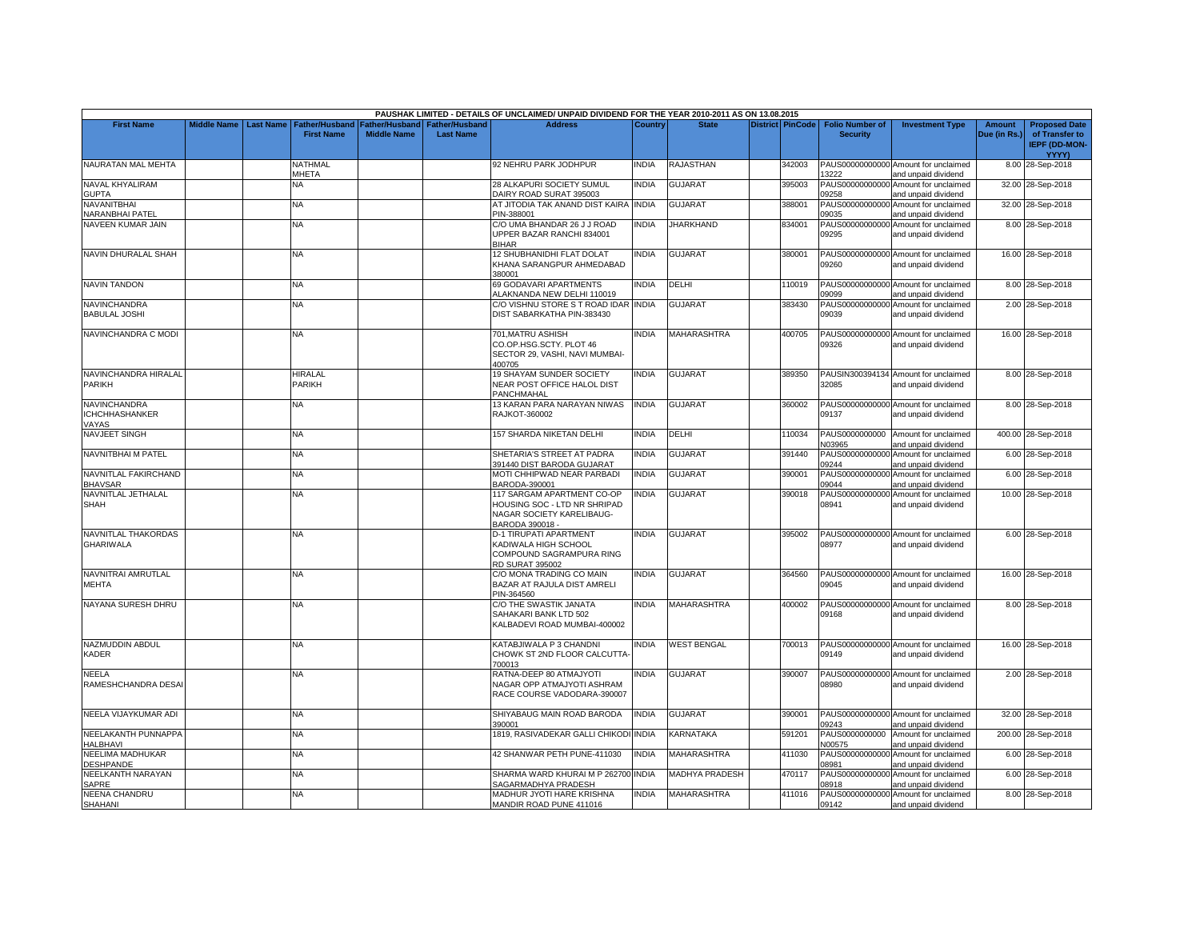|                                                       |                    |                  |                                            |                                      |                                           | PAUSHAK LIMITED - DETAILS OF UNCLAIMED/ UNPAID DIVIDEND FOR THE YEAR 2010-2011 AS ON 13.08.2015            |              |                       |                         |                                           |                                                             |                        |                                                                                |
|-------------------------------------------------------|--------------------|------------------|--------------------------------------------|--------------------------------------|-------------------------------------------|------------------------------------------------------------------------------------------------------------|--------------|-----------------------|-------------------------|-------------------------------------------|-------------------------------------------------------------|------------------------|--------------------------------------------------------------------------------|
| <b>First Name</b>                                     | <b>Middle Name</b> | <b>Last Name</b> | <b>Father/Husband</b><br><b>First Name</b> | Father/Husband<br><b>Middle Name</b> | <b>Father/Husband</b><br><b>Last Name</b> | <b>Address</b>                                                                                             | Country      | <b>State</b>          | <b>District PinCode</b> | <b>Folio Number of</b><br><b>Security</b> | <b>Investment Type</b>                                      | Amount<br>Due (in Rs.) | <b>Proposed Date</b><br>of Transfer to<br><b>IEPF (DD-MON-</b><br><b>YYYY)</b> |
| NAURATAN MAL MEHTA                                    |                    |                  | NATHMAL<br>MHETA                           |                                      |                                           | 92 NEHRU PARK JODHPUR                                                                                      | INDIA        | RAJASTHAN             | 342003                  | 13222                                     | PAUS00000000000 Amount for unclaimed<br>and unpaid dividend |                        | 8.00 28-Sep-2018                                                               |
| NAVAL KHYALIRAM<br><b>GUPTA</b>                       |                    |                  | ΝA                                         |                                      |                                           | 28 ALKAPURI SOCIETY SUMUL<br>DAIRY ROAD SURAT 395003                                                       | <b>INDIA</b> | <b>GUJARAT</b>        | 395003                  | 09258                                     | PAUS00000000000 Amount for unclaimed<br>and unpaid dividend |                        | 32.00 28-Sep-2018                                                              |
| NAVANITBHAI<br><b>NARANBHAI PATEL</b>                 |                    |                  | NA.                                        |                                      |                                           | AT JITODIA TAK ANAND DIST KAIRA INDIA<br>PIN-388001                                                        |              | <b>GUJARAT</b>        | 388001                  | PAUS00000000000<br>09035                  | Amount for unclaimed<br>and unpaid dividend                 |                        | 32.00 28-Sep-2018                                                              |
| NAVEEN KUMAR JAIN                                     |                    |                  | NA                                         |                                      |                                           | C/O UMA BHANDAR 26 J J ROAD<br>UPPER BAZAR RANCHI 834001<br><b>BIHAR</b>                                   | <b>INDIA</b> | <b>JHARKHAND</b>      | 834001                  | 09295                                     | PAUS00000000000 Amount for unclaimed<br>and unpaid dividend |                        | 8.00 28-Sep-2018                                                               |
| NAVIN DHURALAL SHAH                                   |                    |                  | NΑ                                         |                                      |                                           | 12 SHUBHANIDHI FLAT DOLAT<br>KHANA SARANGPUR AHMEDABAD<br>380001                                           | <b>INDIA</b> | GUJARAT               | 380001                  | 09260                                     | PAUS00000000000 Amount for unclaimed<br>and unpaid dividend |                        | 16.00 28-Sep-2018                                                              |
| <b>NAVIN TANDON</b>                                   |                    |                  | NA                                         |                                      |                                           | 69 GODAVARI APARTMENTS<br>ALAKNANDA NEW DELHI 110019                                                       | <b>INDIA</b> | DELHI                 | 110019                  | 09099                                     | PAUS00000000000 Amount for unclaimed<br>and unpaid dividend |                        | 8.00 28-Sep-2018                                                               |
| NAVINCHANDRA<br><b>BABULAL JOSHI</b>                  |                    |                  | <b>NA</b>                                  |                                      |                                           | C/O VISHNU STORE S T ROAD IDAR INDIA<br>DIST SABARKATHA PIN-383430                                         |              | <b>GUJARAT</b>        | 383430                  | 09039                                     | PAUS00000000000 Amount for unclaimed<br>and unpaid dividend |                        | 2.00 28-Sep-2018                                                               |
| NAVINCHANDRA C MODI                                   |                    |                  | NA                                         |                                      |                                           | 701.MATRU ASHISH<br>CO.OP.HSG.SCTY. PLOT 46<br>SECTOR 29, VASHI, NAVI MUMBAI-<br>400705                    | <b>INDIA</b> | MAHARASHTRA           | 400705                  | 09326                                     | PAUS00000000000 Amount for unclaimed<br>and unpaid dividend |                        | 16.00 28-Sep-2018                                                              |
| NAVINCHANDRA HIRALAL<br>PARIKH                        |                    |                  | <b>HIRALAL</b><br>PARIKH                   |                                      |                                           | 19 SHAYAM SUNDER SOCIETY<br>NEAR POST OFFICE HALOL DIST<br>PANCHMAHAL                                      | <b>INDIA</b> | <b>GUJARAT</b>        | 389350                  | 32085                                     | PAUSIN300394134 Amount for unclaimed<br>and unpaid dividend |                        | 8.00 28-Sep-2018                                                               |
| <b>NAVINCHANDRA</b><br><b>ICHCHHASHANKER</b><br>VAYAS |                    |                  | ΝA                                         |                                      |                                           | 13 KARAN PARA NARAYAN NIWAS<br>RAJKOT-360002                                                               | <b>INDIA</b> | GUJARAT               | 360002                  | 09137                                     | PAUS00000000000 Amount for unclaimed<br>and unpaid dividend |                        | 8.00 28-Sep-2018                                                               |
| <b>NAVJEET SINGH</b>                                  |                    |                  | NA.                                        |                                      |                                           | 157 SHARDA NIKETAN DELHI                                                                                   | <b>INDIA</b> | DELHI                 | 110034                  | PAUS0000000000<br>N03965                  | Amount for unclaimed<br>and unpaid dividend                 |                        | 400.00 28-Sep-2018                                                             |
| NAVNITBHAI M PATEL                                    |                    |                  | <b>NA</b>                                  |                                      |                                           | SHETARIA'S STREET AT PADRA<br>391440 DIST BARODA GUJARAT                                                   | <b>INDIA</b> | <b>GUJARAT</b>        | 391440                  | 09244                                     | PAUS00000000000 Amount for unclaimed<br>and unpaid dividend |                        | 6.00 28-Sep-2018                                                               |
| NAVNITLAL FAKIRCHAND<br><b>BHAVSAR</b>                |                    |                  | NA.                                        |                                      |                                           | MOTI CHHIPWAD NEAR PARBADI<br>BARODA-390001                                                                | <b>INDIA</b> | <b>GUJARAT</b>        | 390001                  | PAUS00000000000<br>09044                  | Amount for unclaimed<br>and unpaid dividend                 |                        | 6.00 28-Sep-2018                                                               |
| NAVNITLAL JETHALAL<br><b>SHAH</b>                     |                    |                  | NA                                         |                                      |                                           | 117 SARGAM APARTMENT CO-OP<br>HOUSING SOC - LTD NR SHRIPAD<br>NAGAR SOCIETY KARELIBAUG-<br>BARODA 390018 - | <b>INDIA</b> | <b>GUJARAT</b>        | 390018                  | 08941                                     | PAUS00000000000 Amount for unclaimed<br>and unpaid dividend |                        | 10.00 28-Sep-2018                                                              |
| NAVNITLAL THAKORDAS<br><b>GHARIWALA</b>               |                    |                  | NA                                         |                                      |                                           | D-1 TIRUPATI APARTMENT<br>KADIWALA HIGH SCHOOL<br>COMPOUND SAGRAMPURA RING<br><b>RD SURAT 395002</b>       | <b>INDIA</b> | <b>GUJARAT</b>        | 395002                  | 08977                                     | PAUS00000000000 Amount for unclaimed<br>and unpaid dividend |                        | 6.00 28-Sep-2018                                                               |
| NAVNITRAI AMRUTLAL<br><b>MEHTA</b>                    |                    |                  | NA                                         |                                      |                                           | C/O MONA TRADING CO MAIN<br>BAZAR AT RAJULA DIST AMRELI<br>PIN-364560                                      | <b>INDIA</b> | <b>GUJARAT</b>        | 364560                  | 09045                                     | PAUS00000000000 Amount for unclaimed<br>and unpaid dividend |                        | 16.00 28-Sep-2018                                                              |
| NAYANA SURESH DHRU                                    |                    |                  | NA                                         |                                      |                                           | C/O THE SWASTIK JANATA<br>SAHAKARI BANK LTD 502<br>KALBADEVI ROAD MUMBAI-400002                            | <b>INDIA</b> | <b>MAHARASHTRA</b>    | 400002                  | 09168                                     | PAUS00000000000 Amount for unclaimed<br>and unpaid dividend |                        | 8.00 28-Sep-2018                                                               |
| NAZMUDDIN ABDUL<br>KADER                              |                    |                  | <b>NA</b>                                  |                                      |                                           | KATABJIWALA P 3 CHANDNI<br>CHOWK ST 2ND FLOOR CALCUTTA<br>700013                                           | <b>INDIA</b> | <b>WEST BENGAL</b>    | 700013                  | 09149                                     | PAUS00000000000 Amount for unclaimed<br>and unpaid dividend |                        | 16.00 28-Sep-2018                                                              |
| <b>NEELA</b><br>RAMESHCHANDRA DESAI                   |                    |                  | <b>NA</b>                                  |                                      |                                           | RATNA-DEEP 80 ATMAJYOTI<br>NAGAR OPP ATMAJYOTI ASHRAM<br>RACE COURSE VADODARA-390007                       | <b>INDIA</b> | <b>GUJARAT</b>        | 390007                  | 08980                                     | PAUS00000000000 Amount for unclaimed<br>and unpaid dividend |                        | 2.00 28-Sep-2018                                                               |
| NEELA VIJAYKUMAR ADI                                  |                    |                  | NA                                         |                                      |                                           | SHIYABAUG MAIN ROAD BARODA<br>390001                                                                       | <b>INDIA</b> | GUJARAT               | 390001                  | 09243                                     | PAUS00000000000 Amount for unclaimed<br>and unpaid dividend |                        | 32.00 28-Sep-2018                                                              |
| NEELAKANTH PUNNAPPA<br><b>HALBHAVI</b>                |                    |                  | NA                                         |                                      |                                           | 1819, RASIVADEKAR GALLI CHIKOD                                                                             | <b>INDIA</b> | KARNATAKA             | 591201                  | PAUS0000000000<br>N00575                  | Amount for unclaimed<br>and unpaid dividend                 |                        | 200.00 28-Sep-2018                                                             |
| NEELIMA MADHUKAR<br><b>DESHPANDE</b>                  |                    |                  | NA.                                        |                                      |                                           | 42 SHANWAR PETH PUNE-411030                                                                                | <b>INDIA</b> | <b>MAHARASHTRA</b>    | 411030                  | PAUS00000000000<br>08981                  | Amount for unclaimed<br>and unpaid dividend                 |                        | 6.00 28-Sep-2018                                                               |
| NEELKANTH NARAYAN<br><b>SAPRE</b>                     |                    |                  | NA                                         |                                      |                                           | SHARMA WARD KHURAI M P 262700 INDIA<br>SAGARMADHYA PRADESH                                                 |              | <b>MADHYA PRADESH</b> | 470117                  | 08918                                     | PAUS00000000000 Amount for unclaimed<br>and unpaid dividend |                        | 6.00 28-Sep-2018                                                               |
| <b>NEENA CHANDRU</b><br><b>SHAHANI</b>                |                    |                  | NA                                         |                                      |                                           | MADHUR JYOTI HARE KRISHNA<br>MANDIR ROAD PUNE 411016                                                       | <b>INDIA</b> | <b>MAHARASHTRA</b>    | 411016                  | 09142                                     | PAUS00000000000 Amount for unclaimed<br>and unpaid dividend |                        | 8.00 28-Sep-2018                                                               |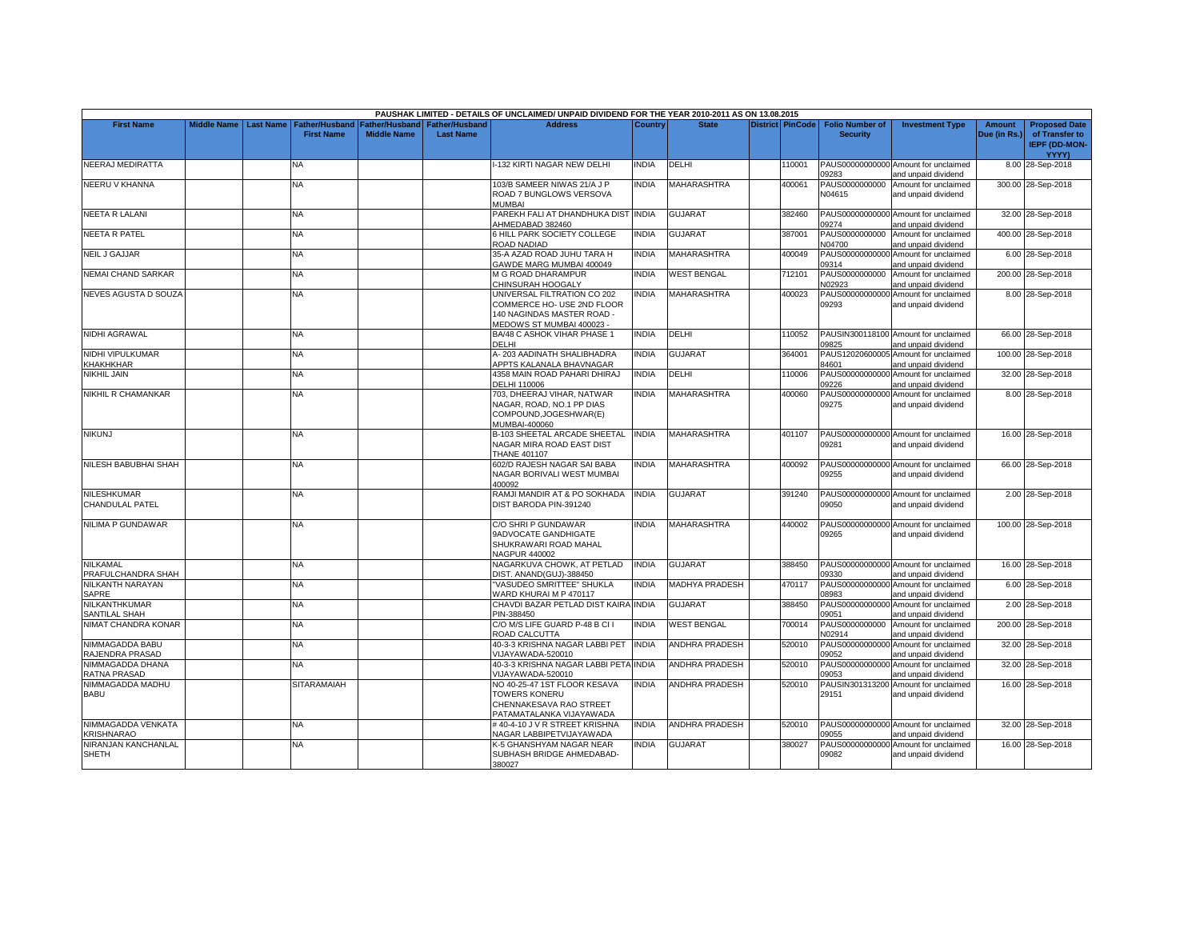|                           |  |                                          |                    |                       | PAUSHAK LIMITED - DETAILS OF UNCLAIMED/ UNPAID DIVIDEND FOR THE YEAR 2010-2011 AS ON 13.08.2015 |                |                       |                  |                        |                                                             |               |                      |
|---------------------------|--|------------------------------------------|--------------------|-----------------------|-------------------------------------------------------------------------------------------------|----------------|-----------------------|------------------|------------------------|-------------------------------------------------------------|---------------|----------------------|
| <b>First Name</b>         |  | Middle Name   Last Name   Father/Husband | Father/Husband     | <b>Father/Husband</b> | <b>Address</b>                                                                                  | <b>Country</b> | <b>State</b>          | District PinCode | <b>Folio Number of</b> | <b>Investment Type</b>                                      | <b>Amount</b> | <b>Proposed Date</b> |
|                           |  | <b>First Name</b>                        | <b>Middle Name</b> | <b>Last Name</b>      |                                                                                                 |                |                       |                  | <b>Security</b>        |                                                             | Due (in Rs.)  | of Transfer to       |
|                           |  |                                          |                    |                       |                                                                                                 |                |                       |                  |                        |                                                             |               | <b>IEPF (DD-MON-</b> |
|                           |  |                                          |                    |                       |                                                                                                 |                |                       |                  |                        |                                                             |               | YYYY)                |
| NEERAJ MEDIRATTA          |  | NA                                       |                    |                       | -132 KIRTI NAGAR NEW DELHI                                                                      | <b>INDIA</b>   | DELHI                 | 110001           |                        | PAUS00000000000 Amount for unclaimed                        |               | 8.00 28-Sep-2018     |
|                           |  |                                          |                    |                       |                                                                                                 |                |                       |                  | 09283                  | and unpaid dividend                                         |               |                      |
| <b>NEERU V KHANNA</b>     |  | NA                                       |                    |                       | 103/B SAMEER NIWAS 21/A J P                                                                     | <b>INDIA</b>   | <b>MAHARASHTRA</b>    | 400061           | PAUS0000000000         | Amount for unclaimed                                        |               | 300.00 28-Sep-2018   |
|                           |  |                                          |                    |                       | ROAD 7 BUNGLOWS VERSOVA                                                                         |                |                       |                  | N04615                 | and unpaid dividend                                         |               |                      |
|                           |  |                                          |                    |                       | MUMBAI                                                                                          |                |                       |                  |                        |                                                             |               |                      |
| <b>NEETA R LALANI</b>     |  | NA                                       |                    |                       | PAREKH FALI AT DHANDHUKA DIST                                                                   | <b>INDIA</b>   | <b>GUJARAT</b>        | 382460           |                        | PAUS00000000000 Amount for unclaimed                        |               | 32.00 28-Sep-2018    |
|                           |  |                                          |                    |                       | AHMEDABAD 382460                                                                                |                |                       |                  | 09274                  | and unpaid dividend                                         |               |                      |
| <b>NEETA R PATEL</b>      |  | NA                                       |                    |                       | <b>SHILL PARK SOCIETY COLLEGE</b>                                                               | <b>INDIA</b>   | <b>GUJARAT</b>        | 387001           | PAUS0000000000         | Amount for unclaimed                                        |               |                      |
|                           |  |                                          |                    |                       | ROAD NADIAD                                                                                     |                |                       |                  | N04700                 | and unpaid dividend                                         |               | 400.00 28-Sep-2018   |
|                           |  |                                          |                    |                       |                                                                                                 |                | MAHARASHTRA           |                  |                        |                                                             |               |                      |
| <b>NEIL J GAJJAR</b>      |  | NA                                       |                    |                       | 35-A AZAD ROAD JUHU TARA H                                                                      | <b>INDIA</b>   |                       | 400049           | 09314                  | PAUS00000000000 Amount for unclaimed                        |               | 6.00 28-Sep-2018     |
|                           |  |                                          |                    |                       | GAWDE MARG MUMBAI 400049                                                                        |                |                       |                  |                        | and unpaid dividend                                         |               |                      |
| <b>NEMAI CHAND SARKAR</b> |  | NA                                       |                    |                       | M G ROAD DHARAMPUR                                                                              | <b>INDIA</b>   | <b>WEST BENGAL</b>    | 712101           | PAUS0000000000         | Amount for unclaimed                                        |               | 200.00 28-Sep-2018   |
|                           |  |                                          |                    |                       | CHINSURAH HOOGALY                                                                               |                |                       |                  | V02923                 | and unpaid dividend                                         |               |                      |
| NEVES AGUSTA D SOUZA      |  | NΑ                                       |                    |                       | UNIVERSAL FILTRATION CO 202                                                                     | <b>INDIA</b>   | <b>MAHARASHTRA</b>    | 400023           |                        | PAUS00000000000 Amount for unclaimed                        |               | 8.00 28-Sep-2018     |
|                           |  |                                          |                    |                       | COMMERCE HO- USE 2ND FLOOR                                                                      |                |                       |                  | 09293                  | and unpaid dividend                                         |               |                      |
|                           |  |                                          |                    |                       | 140 NAGINDAS MASTER ROAD -                                                                      |                |                       |                  |                        |                                                             |               |                      |
|                           |  |                                          |                    |                       | <b>MEDOWS ST MUMBAI 400023 -</b>                                                                |                |                       |                  |                        |                                                             |               |                      |
| <b>NIDHI AGRAWAL</b>      |  | ΝA                                       |                    |                       | BA/48 C ASHOK VIHAR PHASE 1                                                                     | <b>INDIA</b>   | DELHI                 | 110052           |                        | PAUSIN300118100 Amount for unclaimed                        |               | 66.00 28-Sep-2018    |
|                           |  |                                          |                    |                       | DELHI                                                                                           |                |                       |                  | 09825                  | and unpaid dividend                                         |               |                      |
| NIDHI VIPULKUMAR          |  | <b>NA</b>                                |                    |                       | A-203 AADINATH SHALIBHADRA                                                                      | <b>INDIA</b>   | GUJARAT               | 364001           | PAUS12020600005        | Amount for unclaimed                                        |               | 100.00 28-Sep-2018   |
| KHAKHKHAR                 |  |                                          |                    |                       | APPTS KALANALA BHAVNAGAR                                                                        |                |                       |                  | 34601                  | and unpaid dividend                                         |               |                      |
| <b>NIKHIL JAIN</b>        |  | ΝA                                       |                    |                       | 4358 MAIN ROAD PAHARI DHIRAJ                                                                    | <b>INDIA</b>   | DELHI                 | 110006           |                        | PAUS00000000000 Amount for unclaimed                        |               | 32.00 28-Sep-2018    |
|                           |  |                                          |                    |                       | DELHI 110006                                                                                    |                |                       |                  | 09226                  | and unpaid dividend                                         |               |                      |
| NIKHIL R CHAMANKAR        |  | NA                                       |                    |                       | 703, DHEERAJ VIHAR, NATWAR                                                                      | <b>INDIA</b>   | MAHARASHTRA           | 400060           |                        | PAUS00000000000 Amount for unclaimed                        |               | 8.00 28-Sep-2018     |
|                           |  |                                          |                    |                       | NAGAR, ROAD, NO.1 PP DIAS                                                                       |                |                       |                  | 09275                  | and unpaid dividend                                         |               |                      |
|                           |  |                                          |                    |                       | COMPOUND, JOGESHWAR(E)                                                                          |                |                       |                  |                        |                                                             |               |                      |
|                           |  |                                          |                    |                       | MUMBAI-400060                                                                                   |                |                       |                  |                        |                                                             |               |                      |
| <b>NIKUNJ</b>             |  | <b>NA</b>                                |                    |                       | <b>B-103 SHEETAL ARCADE SHEETAL</b>                                                             | <b>INDIA</b>   | <b>MAHARASHTRA</b>    | 401107           |                        | PAUS00000000000 Amount for unclaimed                        |               | 16.00 28-Sep-2018    |
|                           |  |                                          |                    |                       | NAGAR MIRA ROAD EAST DIST                                                                       |                |                       |                  | 09281                  | and unpaid dividend                                         |               |                      |
|                           |  |                                          |                    |                       | <b>THANE 401107</b>                                                                             |                |                       |                  |                        |                                                             |               |                      |
| NILESH BABUBHAI SHAH      |  | NA                                       |                    |                       | 602/D RAJESH NAGAR SAI BABA                                                                     | <b>INDIA</b>   | MAHARASHTRA           | 400092           |                        | PAUS00000000000 Amount for unclaimed                        |               | 66.00 28-Sep-2018    |
|                           |  |                                          |                    |                       | NAGAR BORIVALI WEST MUMBAI                                                                      |                |                       |                  | 09255                  | and unpaid dividend                                         |               |                      |
|                           |  |                                          |                    |                       | 400092                                                                                          |                |                       |                  |                        |                                                             |               |                      |
| <b>NILESHKUMAR</b>        |  | <b>NA</b>                                |                    |                       | RAMJI MANDIR AT & PO SOKHADA                                                                    | <b>INDIA</b>   | <b>GUJARAT</b>        | 391240           |                        | PAUS00000000000 Amount for unclaimed                        |               | 2.00 28-Sep-2018     |
| <b>CHANDULAL PATEL</b>    |  |                                          |                    |                       | DIST BARODA PIN-391240                                                                          |                |                       |                  | 09050                  | and unpaid dividend                                         |               |                      |
|                           |  |                                          |                    |                       |                                                                                                 |                |                       |                  |                        |                                                             |               |                      |
| NILIMA P GUNDAWAR         |  | NA                                       |                    |                       | C/O SHRI P GUNDAWAR                                                                             | <b>INDIA</b>   | <b>MAHARASHTRA</b>    | 440002           |                        | PAUS00000000000 Amount for unclaimed                        |               | 100.00 28-Sep-2018   |
|                           |  |                                          |                    |                       | 9ADVOCATE GANDHIGATE                                                                            |                |                       |                  | 09265                  | and unpaid dividend                                         |               |                      |
|                           |  |                                          |                    |                       | SHUKRAWARI ROAD MAHAL                                                                           |                |                       |                  |                        |                                                             |               |                      |
|                           |  |                                          |                    |                       | <b>NAGPUR 440002</b>                                                                            |                |                       |                  |                        |                                                             |               |                      |
| <b>NILKAMAL</b>           |  | ΝA                                       |                    |                       | NAGARKUVA CHOWK, AT PETLAD                                                                      | <b>INDIA</b>   | <b>GUJARAT</b>        | 388450           |                        | PAUS00000000000 Amount for unclaimed                        |               | 16.00 28-Sep-2018    |
| PRAFULCHANDRA SHAH        |  |                                          |                    |                       | DIST. ANAND(GUJ)-388450                                                                         |                |                       |                  | 09330                  | and unpaid dividend                                         |               |                      |
| NILKANTH NARAYAN          |  | <b>NA</b>                                |                    |                       | 'VASUDEO SMRITTEE" SHUKLA                                                                       | <b>INDIA</b>   | <b>MADHYA PRADESH</b> | 470117           |                        | PAUS00000000000 Amount for unclaimed                        |               | 6.00 28-Sep-2018     |
| SAPRE                     |  |                                          |                    |                       | WARD KHURAI M P 470117                                                                          |                |                       |                  | 08983                  | and unpaid dividend                                         |               |                      |
| NILKANTHKUMAR             |  | NA                                       |                    |                       | CHAVDI BAZAR PETLAD DIST KAIRA INDIA                                                            |                | GUJARAT               | 388450           |                        | PAUS00000000000 Amount for unclaimed                        |               | 2.00 28-Sep-2018     |
| SANTILAL SHAH             |  |                                          |                    |                       | PIN-388450                                                                                      |                |                       |                  | 09051                  | and unpaid dividend                                         |               |                      |
| NIMAT CHANDRA KONAR       |  | <b>NA</b>                                |                    |                       | C/O M/S LIFE GUARD P-48 B CI I                                                                  | <b>INDIA</b>   | <b>WEST BENGAL</b>    | 700014           | PAUS0000000000         | Amount for unclaimed                                        |               | 200.00 28-Sep-2018   |
|                           |  |                                          |                    |                       | ROAD CALCUTTA                                                                                   |                |                       |                  | N02914                 |                                                             |               |                      |
| NIMMAGADDA BABU           |  | NA                                       |                    |                       | 40-3-3 KRISHNA NAGAR LABBI PET                                                                  | <b>INDIA</b>   | <b>ANDHRA PRADESH</b> | 520010           |                        | and unpaid dividend<br>PAUS00000000000 Amount for unclaimed |               |                      |
|                           |  |                                          |                    |                       |                                                                                                 |                |                       |                  |                        |                                                             |               | 32.00 28-Sep-2018    |
| RAJENDRA PRASAD           |  |                                          |                    |                       | VIJAYAWADA-520010                                                                               |                |                       |                  | 09052                  | and unpaid dividend                                         |               |                      |
| NIMMAGADDA DHANA          |  | NA                                       |                    |                       | 40-3-3 KRISHNA NAGAR LABBI PETA                                                                 | <b>INDIA</b>   | <b>ANDHRA PRADESH</b> | 520010           | PAUS00000000000        | Amount for unclaimed                                        |               | 32.00 28-Sep-2018    |
| RATNA PRASAD              |  |                                          |                    |                       | VIJAYAWADA-520010                                                                               |                |                       |                  | 09053                  | and unpaid dividend                                         |               |                      |
| NIMMAGADDA MADHU          |  | <b>SITARAMAIAH</b>                       |                    |                       | NO 40-25-47 1ST FLOOR KESAVA                                                                    | <b>INDIA</b>   | <b>ANDHRA PRADESH</b> | 520010           | PAUSIN301313200        | Amount for unclaimed                                        |               | 16.00 28-Sep-2018    |
| <b>BABU</b>               |  |                                          |                    |                       | TOWERS KONERU                                                                                   |                |                       |                  | 29151                  | and unpaid dividend                                         |               |                      |
|                           |  |                                          |                    |                       | CHENNAKESAVA RAO STREET                                                                         |                |                       |                  |                        |                                                             |               |                      |
|                           |  |                                          |                    |                       | PATAMATALANKA VIJAYAWADA                                                                        |                |                       |                  |                        |                                                             |               |                      |
| NIMMAGADDA VENKATA        |  | NA.                                      |                    |                       | #40-4-10 J V R STREET KRISHNA                                                                   | <b>INDIA</b>   | <b>ANDHRA PRADESH</b> | 520010           |                        | PAUS00000000000 Amount for unclaimed                        |               | 32.00 28-Sep-2018    |
| <b>KRISHNARAO</b>         |  |                                          |                    |                       | NAGAR LABBIPETVIJAYAWADA                                                                        |                |                       |                  | 19055                  | and unpaid dividend                                         |               |                      |
| NIRANJAN KANCHANLAL       |  | NA.                                      |                    |                       | K-5 GHANSHYAM NAGAR NEAR                                                                        | <b>INDIA</b>   | <b>GUJARAT</b>        | 380027           |                        | PAUS00000000000 Amount for unclaimed                        |               | 16.00 28-Sep-2018    |
| <b>SHETH</b>              |  |                                          |                    |                       | SUBHASH BRIDGE AHMEDABAD-                                                                       |                |                       |                  | 09082                  | and unpaid dividend                                         |               |                      |
|                           |  |                                          |                    |                       | 380027                                                                                          |                |                       |                  |                        |                                                             |               |                      |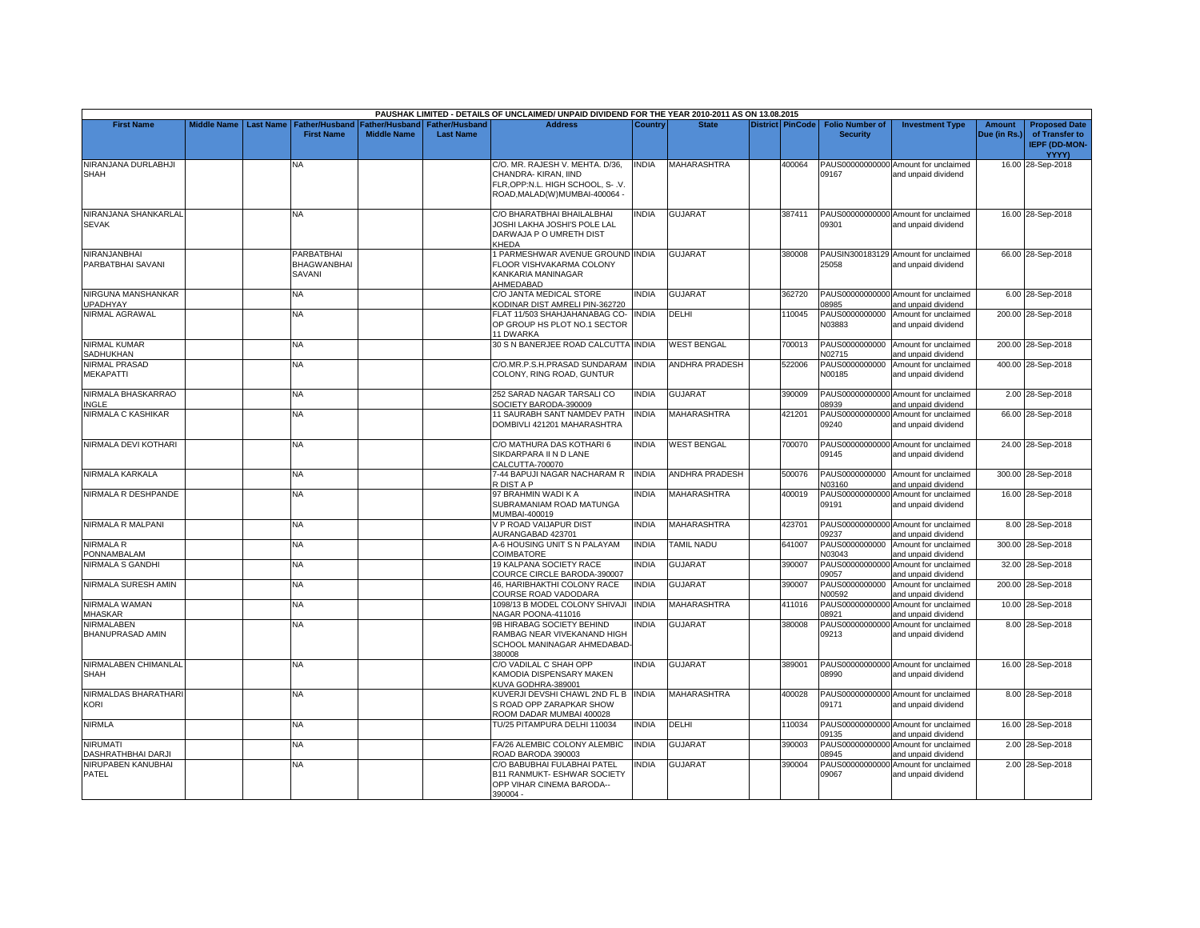|                                              |                    |                  |                                            |                                             |                                           | PAUSHAK LIMITED - DETAILS OF UNCLAIMED/ UNPAID DIVIDEND FOR THE YEAR 2010-2011 AS ON 13.08.2015                              |                |                       |                         |                                           |                                                             |                               |                                                                         |
|----------------------------------------------|--------------------|------------------|--------------------------------------------|---------------------------------------------|-------------------------------------------|------------------------------------------------------------------------------------------------------------------------------|----------------|-----------------------|-------------------------|-------------------------------------------|-------------------------------------------------------------|-------------------------------|-------------------------------------------------------------------------|
| <b>First Name</b>                            | <b>Middle Name</b> | <b>Last Name</b> | <b>Father/Husband</b><br><b>First Name</b> | <b>Father/Husband</b><br><b>Middle Name</b> | <b>Father/Husband</b><br><b>Last Name</b> | <b>Address</b>                                                                                                               | <b>Country</b> | <b>State</b>          | <b>District PinCode</b> | <b>Folio Number of</b><br><b>Security</b> | <b>Investment Type</b>                                      | <b>Amount</b><br>Due (in Rs.) | <b>Proposed Date</b><br>of Transfer to<br><b>IEPF (DD-MON-</b><br>YYYY) |
| NIRANJANA DURLABHJI<br><b>SHAH</b>           |                    |                  | N٨                                         |                                             |                                           | C/O. MR. RAJESH V. MEHTA. D/36,<br>CHANDRA-KIRAN, IIND<br>FLR, OPP:N.L. HIGH SCHOOL, S-.V.<br>ROAD, MALAD(W) MUMBAI-400064 - | <b>INDIA</b>   | MAHARASHTRA           | 400064                  | 09167                                     | PAUS00000000000 Amount for unclaimed<br>and unpaid dividend |                               | 16.00 28-Sep-2018                                                       |
| NIRANJANA SHANKARLAL<br><b>SEVAK</b>         |                    |                  | <b>NA</b>                                  |                                             |                                           | C/O BHARATBHAI BHAILALBHAI<br>JOSHI LAKHA JOSHI'S POLE LAL<br>DARWAJA P O UMRETH DIST<br>KHEDA                               | INDIA          | <b>GUJARAT</b>        | 387411                  | 09301                                     | PAUS00000000000 Amount for unclaimed<br>and unpaid dividend |                               | 16.00 28-Sep-2018                                                       |
| NIRANJANBHAI<br>PARBATBHAI SAVANI            |                    |                  | PARBATBHAI<br><b>BHAGWANBHAI</b><br>SAVANI |                                             |                                           | 1 PARMESHWAR AVENUE GROUND INDIA<br>FLOOR VISHVAKARMA COLONY<br>KANKARIA MANINAGAR<br>AHMEDABAD                              |                | <b>GUJARAT</b>        | 380008                  | 25058                                     | PAUSIN300183129 Amount for unclaimed<br>and unpaid dividend |                               | 66.00 28-Sep-2018                                                       |
| NIRGUNA MANSHANKAR<br><b>JPADHYAY</b>        |                    |                  | <b>NA</b>                                  |                                             |                                           | C/O JANTA MEDICAL STORE<br>KODINAR DIST AMRELI PIN-362720                                                                    | <b>INDIA</b>   | <b>GUJARAT</b>        | 362720                  | 08985                                     | PAUS00000000000 Amount for unclaimed<br>and unpaid dividend |                               | 6.00 28-Sep-2018                                                        |
| NIRMAL AGRAWAL                               |                    |                  | NA                                         |                                             |                                           | FLAT 11/503 SHAHJAHANABAG CO- INDIA<br>OP GROUP HS PLOT NO.1 SECTOR<br>11 DWARKA                                             |                | DELHI                 | 110045                  | PAUS0000000000<br>N03883                  | Amount for unclaimed<br>and unpaid dividend                 |                               | 200.00 28-Sep-2018                                                      |
| <b>NIRMAL KUMAR</b><br>SADHUKHAN             |                    |                  | NA                                         |                                             |                                           | 30 S N BANERJEE ROAD CALCUTTA INDIA                                                                                          |                | <b>WEST BENGAL</b>    | 700013                  | PAUS0000000000<br>N02715                  | Amount for unclaimed<br>and unpaid dividend                 |                               | 200.00 28-Sep-2018                                                      |
| <b>NIRMAL PRASAD</b><br><b>MEKAPATTI</b>     |                    |                  | NA                                         |                                             |                                           | C/O.MR.P.S.H.PRASAD SUNDARAM<br>COLONY, RING ROAD, GUNTUR                                                                    | <b>INDIA</b>   | ANDHRA PRADESH        | 522006                  | PAUS0000000000<br>N00185                  | Amount for unclaimed<br>and unpaid dividend                 |                               | 400.00 28-Sep-2018                                                      |
| NIRMALA BHASKARRAO<br><b>INGLE</b>           |                    |                  | NA.                                        |                                             |                                           | 252 SARAD NAGAR TARSALI CO<br>SOCIETY BARODA-390009                                                                          | <b>INDIA</b>   | <b>GUJARAT</b>        | 390009                  | 08939                                     | PAUS00000000000 Amount for unclaimed<br>and unpaid dividend |                               | 2.00 28-Sep-2018                                                        |
| NIRMALA C KASHIKAR                           |                    |                  | ΝA                                         |                                             |                                           | 11 SAURABH SANT NAMDEV PATH<br>DOMBIVLI 421201 MAHARASHTRA                                                                   | <b>INDIA</b>   | MAHARASHTRA           | 421201                  | 09240                                     | PAUS00000000000 Amount for unclaimed<br>and unpaid dividend |                               | 66.00 28-Sep-2018                                                       |
| NIRMALA DEVI KOTHARI                         |                    |                  | <b>NA</b>                                  |                                             |                                           | C/O MATHURA DAS KOTHARI 6<br>SIKDARPARA II N D LANE<br>CALCUTTA-700070                                                       | <b>INDIA</b>   | <b>WEST BENGAL</b>    | 700070                  | 09145                                     | PAUS00000000000 Amount for unclaimed<br>and unpaid dividend |                               | 24.00 28-Sep-2018                                                       |
| NIRMALA KARKALA                              |                    |                  | <b>NA</b>                                  |                                             |                                           | 7-44 BAPUJI NAGAR NACHARAM R<br>R DIST A P                                                                                   | <b>INDIA</b>   | <b>ANDHRA PRADESH</b> | 500076                  | N03160                                    | PAUS0000000000 Amount for unclaimed<br>and unpaid dividend  |                               | 300.00 28-Sep-2018                                                      |
| NIRMALA R DESHPANDE                          |                    |                  | NA                                         |                                             |                                           | 97 BRAHMIN WADI K A<br>SUBRAMANIAM ROAD MATUNGA<br>MUMBAI-400019                                                             | <b>INDIA</b>   | <b>MAHARASHTRA</b>    | 400019                  | 09191                                     | PAUS00000000000 Amount for unclaimed<br>and unpaid dividend |                               | 16.00 28-Sep-2018                                                       |
| NIRMALA R MALPANI                            |                    |                  | NA                                         |                                             |                                           | V P ROAD VAIJAPUR DIST<br>AURANGABAD 423701                                                                                  | <b>INDIA</b>   | <b>MAHARASHTRA</b>    | 423701                  | 09237                                     | PAUS00000000000 Amount for unclaimed<br>and unpaid dividend |                               | 8.00 28-Sep-2018                                                        |
| NIRMALA R<br>PONNAMBALAM                     |                    |                  | NΑ                                         |                                             |                                           | A-6 HOUSING UNIT S N PALAYAM<br><b>COIMBATORE</b>                                                                            | <b>INDIA</b>   | <b>TAMIL NADU</b>     | 641007                  | PAUS0000000000<br>N03043                  | Amount for unclaimed<br>and unpaid dividend                 |                               | 300.00 28-Sep-2018                                                      |
| <b>NIRMALA S GANDHI</b>                      |                    |                  | NA                                         |                                             |                                           | 19 KALPANA SOCIETY RACE<br>COURCE CIRCLE BARODA-390007                                                                       | INDIA          | <b>GUJARAT</b>        | 390007                  | 09057                                     | PAUS00000000000 Amount for unclaimed<br>and unpaid dividend |                               | 32.00 28-Sep-2018                                                       |
| NIRMALA SURESH AMIN                          |                    |                  | <b>NA</b>                                  |                                             |                                           | 46, HARIBHAKTHI COLONY RACE<br>COURSE ROAD VADODARA                                                                          | <b>INDIA</b>   | <b>GUJARAT</b>        | 390007                  | PAUS0000000000<br>N00592                  | Amount for unclaimed<br>and unpaid dividend                 |                               | 200.00 28-Sep-2018                                                      |
| NIRMALA WAMAN<br><b>MHASKAR</b>              |                    |                  | <b>NA</b>                                  |                                             |                                           | 1098/13 B MODEL COLONY SHIVAJI<br>NAGAR POONA-411016                                                                         | <b>INDIA</b>   | <b>MAHARASHTRA</b>    | 411016                  | 08921                                     | PAUS00000000000 Amount for unclaimed<br>and unpaid dividend |                               | 10.00 28-Sep-2018                                                       |
| <b>NIRMALABEN</b><br>BHANUPRASAD AMIN        |                    |                  | NA                                         |                                             |                                           | 9B HIRABAG SOCIETY BEHIND<br>RAMBAG NEAR VIVEKANAND HIGH<br>SCHOOL MANINAGAR AHMEDABAD-<br>380008                            | <b>INDIA</b>   | <b>GUJARAT</b>        | 380008                  | 09213                                     | PAUS00000000000 Amount for unclaimed<br>and unpaid dividend |                               | 8.00 28-Sep-2018                                                        |
| NIRMALABEN CHIMANLAL<br><b>SHAH</b>          |                    |                  | NA                                         |                                             |                                           | C/O VADILAL C SHAH OPP<br>KAMODIA DISPENSARY MAKEN<br>KUVA GODHRA-389001                                                     | <b>INDIA</b>   | <b>GUJARAT</b>        | 389001                  | 08990                                     | PAUS00000000000 Amount for unclaimed<br>and unpaid dividend |                               | 16.00 28-Sep-2018                                                       |
| NIRMALDAS BHARATHARI<br><b>KORI</b>          |                    |                  | NA                                         |                                             |                                           | KUVERJI DEVSHI CHAWL 2ND FL B INDIA<br>S ROAD OPP ZARAPKAR SHOW<br>ROOM DADAR MUMBAI 400028                                  |                | MAHARASHTRA           | 400028                  | 09171                                     | PAUS00000000000 Amount for unclaimed<br>and unpaid dividend |                               | 8.00 28-Sep-2018                                                        |
| <b>NIRMLA</b>                                |                    |                  | NA                                         |                                             |                                           | TU/25 PITAMPURA DELHI 110034                                                                                                 | <b>INDIA</b>   | DELHI                 | 110034                  | 09135                                     | PAUS00000000000 Amount for unclaimed<br>nd unpaid dividend  |                               | 16.00 28-Sep-2018                                                       |
| <b>NIRUMATI</b><br><b>DASHRATHBHAI DARJI</b> |                    |                  | NA.                                        |                                             |                                           | FA/26 ALEMBIC COLONY ALEMBIC<br>ROAD BARODA 390003                                                                           | <b>INDIA</b>   | <b>GUJARAT</b>        | 390003                  | PAUS00000000000<br>08945                  | Amount for unclaimed<br>and unpaid dividend                 |                               | 2.00 28-Sep-2018                                                        |
| NIRUPABEN KANUBHAI<br><b>PATEL</b>           |                    |                  | ΝA                                         |                                             |                                           | C/O BABUBHAI FULABHAI PATEL<br>B11 RANMUKT- ESHWAR SOCIETY<br>OPP VIHAR CINEMA BARODA--<br>390004 -                          | INDIA          | <b>GUJARAT</b>        | 390004                  | 09067                                     | PAUS00000000000 Amount for unclaimed<br>and unpaid dividend |                               | 2.00 28-Sep-2018                                                        |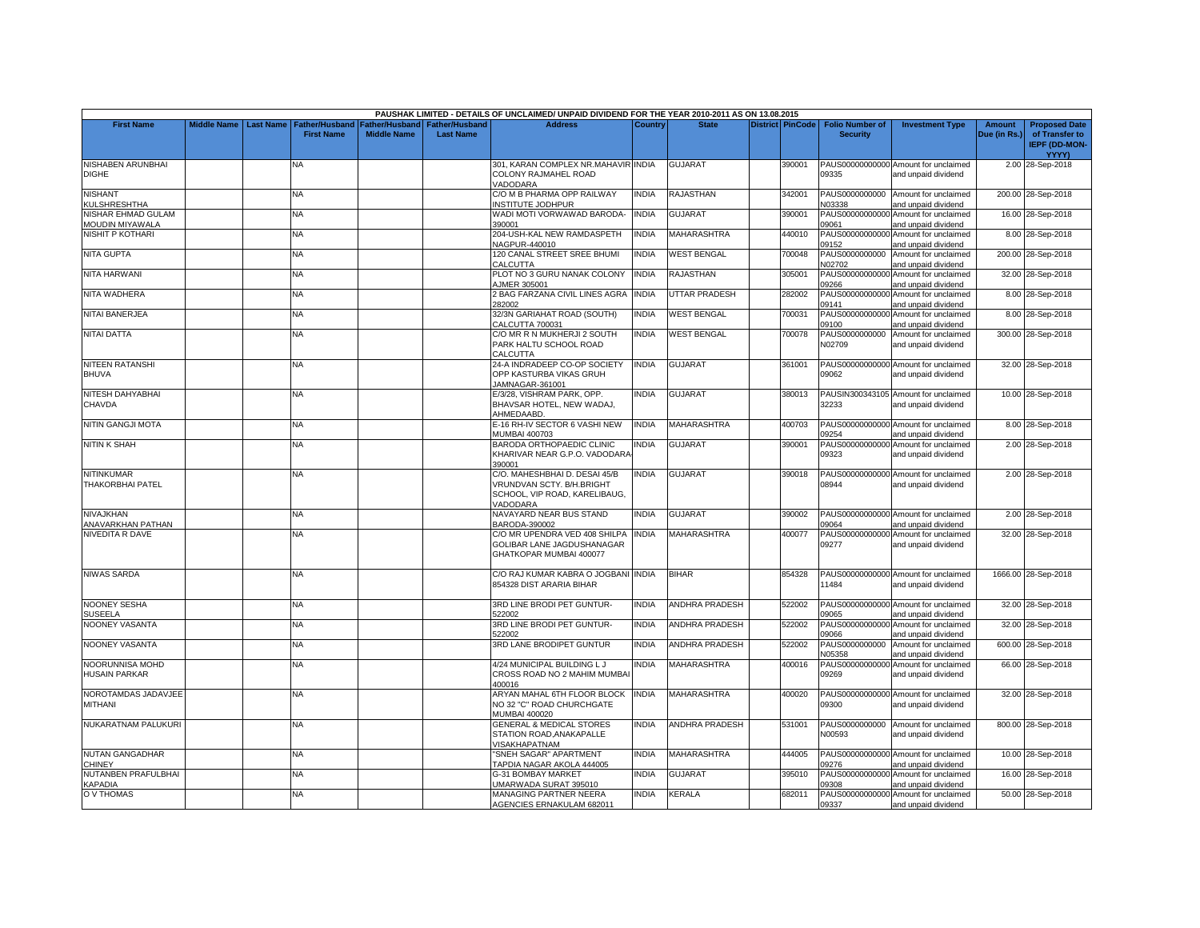|                                              |                    |                  |                                            |                                      |                                           | PAUSHAK LIMITED - DETAILS OF UNCLAIMED/ UNPAID DIVIDEND FOR THE YEAR 2010-2011 AS ON 13.08.2015         |                |                       |                         |                                           |                                                             |                        |                                                                                |
|----------------------------------------------|--------------------|------------------|--------------------------------------------|--------------------------------------|-------------------------------------------|---------------------------------------------------------------------------------------------------------|----------------|-----------------------|-------------------------|-------------------------------------------|-------------------------------------------------------------|------------------------|--------------------------------------------------------------------------------|
| <b>First Name</b>                            | <b>Middle Name</b> | <b>Last Name</b> | <b>Father/Husband</b><br><b>First Name</b> | Father/Husband<br><b>Middle Name</b> | <b>Father/Husband</b><br><b>Last Name</b> | <b>Address</b>                                                                                          | <b>Country</b> | <b>State</b>          | <b>District PinCode</b> | <b>Folio Number of</b><br><b>Security</b> | <b>Investment Type</b>                                      | Amount<br>Due (in Rs.) | <b>Proposed Date</b><br>of Transfer to<br><b>IEPF (DD-MON-</b><br><b>YYYY)</b> |
| NISHABEN ARUNBHAI<br><b>DIGHE</b>            |                    |                  | NA                                         |                                      |                                           | 301, KARAN COMPLEX NR.MAHAVIR INDIA<br>COLONY RAJMAHEL ROAD<br>VADODARA                                 |                | <b>GUJARAT</b>        | 390001                  | 09335                                     | PAUS00000000000 Amount for unclaimed<br>and unpaid dividend |                        | 2.00 28-Sep-2018                                                               |
| <b>NISHANT</b><br>KULSHRESHTHA               |                    |                  | <b>NA</b>                                  |                                      |                                           | C/O M B PHARMA OPP RAILWAY<br>INSTITUTE JODHPUR                                                         | <b>NDIA</b>    | RAJASTHAN             | 342001                  | PAUS0000000000<br><b>N03338</b>           | Amount for unclaimed<br>and unpaid dividend                 |                        | 200.00 28-Sep-2018                                                             |
| NISHAR EHMAD GULAM<br>MOUDIN MIYAWALA        |                    |                  | NA                                         |                                      |                                           | WADI MOTI VORWAWAD BARODA-<br>390001                                                                    | INDIA          | <b>GUJARAT</b>        | 390001                  | PAUS00000000000<br>09061                  | Amount for unclaimed<br>and unpaid dividend                 |                        | 16.00 28-Sep-2018                                                              |
| <b>NISHIT P KOTHARI</b>                      |                    |                  | <b>NA</b>                                  |                                      |                                           | 204-USH-KAL NEW RAMDASPETH<br>NAGPUR-440010                                                             | <b>NDIA</b>    | <b>MAHARASHTRA</b>    | 440010                  | PAUS00000000000<br>09152                  | Amount for unclaimed<br>and unpaid dividend                 |                        | 8.00 28-Sep-2018                                                               |
| <b>NITA GUPTA</b>                            |                    |                  | NΑ                                         |                                      |                                           | 120 CANAL STREET SREE BHUMI<br>CALCUTTA                                                                 | <b>NDIA</b>    | <b>WEST BENGAL</b>    | 700048                  | PAUS0000000000<br>N02702                  | Amount for unclaimed<br>and unpaid dividend                 |                        | 200.00 28-Sep-2018                                                             |
| <b>NITA HARWANI</b>                          |                    |                  | <b>NA</b>                                  |                                      |                                           | PLOT NO 3 GURU NANAK COLONY<br>AJMER 305001                                                             | INDIA          | RAJASTHAN             | 305001                  | 09266                                     | PAUS00000000000 Amount for unclaimed<br>and unpaid dividend |                        | 32.00 28-Sep-2018                                                              |
| NITA WADHERA                                 |                    |                  | <b>NA</b>                                  |                                      |                                           | 2 BAG FARZANA CIVIL LINES AGRA<br>282002                                                                | <b>INDIA</b>   | <b>UTTAR PRADESH</b>  | 282002                  | PAUS00000000000<br>09141                  | Amount for unclaimed<br>and unpaid dividend                 |                        | 8.00 28-Sep-2018                                                               |
| <b>NITAI BANERJEA</b>                        |                    |                  | <b>NA</b>                                  |                                      |                                           | 32/3N GARIAHAT ROAD (SOUTH)<br>CALCUTTA 700031                                                          | INDIA          | <b>WEST BENGAL</b>    | 700031                  | PAUS00000000000<br>09100                  | Amount for unclaimed<br>and unpaid dividend                 |                        | 8.00 28-Sep-2018                                                               |
| NITAI DATTA                                  |                    |                  | <b>NA</b>                                  |                                      |                                           | C/O MR R N MUKHERJI 2 SOUTH<br>PARK HALTU SCHOOL ROAD<br>CALCUTTA                                       | <b>NDIA</b>    | <b>WEST BENGAL</b>    | 700078                  | PAUS0000000000<br>N02709                  | Amount for unclaimed<br>and unpaid dividend                 |                        | 300.00 28-Sep-2018                                                             |
| <b>NITEEN RATANSHI</b><br><b>BHUVA</b>       |                    |                  | NĀ                                         |                                      |                                           | 24-A INDRADEEP CO-OP SOCIETY<br>OPP KASTURBA VIKAS GRUH<br>JAMNAGAR-361001                              | INDIA          | <b>GUJARAT</b>        | 361001                  | 09062                                     | PAUS00000000000 Amount for unclaimed<br>and unpaid dividend |                        | 32.00 28-Sep-2018                                                              |
| NITESH DAHYABHAI<br>CHAVDA                   |                    |                  | NA.                                        |                                      |                                           | E/3/28, VISHRAM PARK, OPP.<br>BHAVSAR HOTEL, NEW WADAJ,<br>AHMEDAABD.                                   | <b>INDIA</b>   | <b>GUJARAT</b>        | 380013                  | 32233                                     | PAUSIN300343105 Amount for unclaimed<br>and unpaid dividend |                        | 10.00 28-Sep-2018                                                              |
| <b>NITIN GANGJI MOTA</b>                     |                    |                  | <b>NA</b>                                  |                                      |                                           | E-16 RH-IV SECTOR 6 VASHI NEW<br>MUMBAI 400703                                                          | INDIA          | <b>MAHARASHTRA</b>    | 400703                  | 09254                                     | PAUS00000000000 Amount for unclaimed<br>and unpaid dividend |                        | 8.00 28-Sep-2018                                                               |
| <b>NITIN K SHAH</b>                          |                    |                  | NA                                         |                                      |                                           | BARODA ORTHOPAEDIC CLINIC<br>KHARIVAR NEAR G.P.O. VADODARA<br>390001                                    | INDIA          | <b>GUJARAT</b>        | 390001                  | PAUS00000000000<br>09323                  | Amount for unclaimed<br>and unpaid dividend                 |                        | 2.00 28-Sep-2018                                                               |
| <b>NITINKUMAR</b><br><b>THAKORBHAI PATEL</b> |                    |                  | NA.                                        |                                      |                                           | C/O. MAHESHBHAI D. DESAI 45/B<br>VRUNDVAN SCTY. B/H.BRIGHT<br>SCHOOL, VIP ROAD, KARELIBAUG,<br>VADODARA | <b>NDIA</b>    | <b>GUJARAT</b>        | 390018                  | 08944                                     | PAUS00000000000 Amount for unclaimed<br>and unpaid dividend |                        | 2.00 28-Sep-2018                                                               |
| NIVAJKHAN<br>ANAVARKHAN PATHAN               |                    |                  | NA                                         |                                      |                                           | NAVAYARD NEAR BUS STAND<br>BARODA-390002                                                                | INDIA          | <b>GUJARAT</b>        | 390002                  | 09064                                     | PAUS00000000000 Amount for unclaimed<br>and unpaid dividend |                        | 2.00 28-Sep-2018                                                               |
| NIVEDITA R DAVE                              |                    |                  | NA.                                        |                                      |                                           | C/O MR UPENDRA VED 408 SHILPA<br>GOLIBAR LANE JAGDUSHANAGAR<br>GHATKOPAR MUMBAI 400077                  | <b>INDIA</b>   | <b>MAHARASHTRA</b>    | 400077                  | 09277                                     | PAUS00000000000 Amount for unclaimed<br>and unpaid dividend |                        | 32.00 28-Sep-2018                                                              |
| <b>NIWAS SARDA</b>                           |                    |                  | <b>NA</b>                                  |                                      |                                           | C/O RAJ KUMAR KABRA O JOGBANI INDIA<br>854328 DIST ARARIA BIHAR                                         |                | <b>BIHAR</b>          | 854328                  | 11484                                     | PAUS00000000000 Amount for unclaimed<br>and unpaid dividend |                        | 1666.00 28-Sep-2018                                                            |
| <b>NOONEY SESHA</b><br><b>SUSEELA</b>        |                    |                  | <b>NA</b>                                  |                                      |                                           | 3RD LINE BRODI PET GUNTUR-<br>522002                                                                    | <b>INDIA</b>   | <b>ANDHRA PRADESH</b> | 522002                  | 9065                                      | PAUS00000000000 Amount for unclaimed<br>and unpaid dividend |                        | 32.00 28-Sep-2018                                                              |
| NOONEY VASANTA                               |                    |                  | NA                                         |                                      |                                           | 3RD LINE BRODI PET GUNTUR-<br>522002                                                                    | <b>NDIA</b>    | <b>ANDHRA PRADESH</b> | 522002                  | PAUS00000000000<br>39066                  | Amount for unclaimed<br>and unpaid dividend                 |                        | 32.00 28-Sep-2018                                                              |
| NOONEY VASANTA                               |                    |                  | <b>NA</b>                                  |                                      |                                           | 3RD LANE BRODIPET GUNTUR                                                                                | <b>NDIA</b>    | <b>ANDHRA PRADESH</b> | 522002                  | PAUS0000000000<br>N05358                  | Amount for unclaimed<br>and unpaid dividend                 |                        | 600.00 28-Sep-2018                                                             |
| NOORUNNISA MOHD<br><b>HUSAIN PARKAR</b>      |                    |                  | <b>NA</b>                                  |                                      |                                           | 4/24 MUNICIPAL BUILDING LJ<br>CROSS ROAD NO 2 MAHIM MUMBAI<br>400016                                    | INDIA          | MAHARASHTRA           | 400016                  | 09269                                     | PAUS00000000000 Amount for unclaimed<br>and unpaid dividend |                        | 66.00 28-Sep-2018                                                              |
| NOROTAMDAS JADAVJEE<br>MITHANI               |                    |                  | NA                                         |                                      |                                           | ARYAN MAHAL 6TH FLOOR BLOCK<br>NO 32 "C" ROAD CHURCHGATE<br>MUMBAI 400020                               | <b>INDIA</b>   | <b>MAHARASHTRA</b>    | 400020                  | 09300                                     | PAUS00000000000 Amount for unclaimed<br>and unpaid dividend |                        | 32.00 28-Sep-2018                                                              |
| NUKARATNAM PALUKURI                          |                    |                  | NA.                                        |                                      |                                           | <b>GENERAL &amp; MEDICAL STORES</b><br>STATION ROAD, ANAKAPALLE<br>VISAKHAPATNAM                        | <b>INDIA</b>   | <b>ANDHRA PRADESH</b> | 531001                  | PAUS0000000000<br>N00593                  | Amount for unclaimed<br>and unpaid dividend                 |                        | 800.00 28-Sep-2018                                                             |
| <b>NUTAN GANGADHAR</b><br><b>CHINEY</b>      |                    |                  | NA.                                        |                                      |                                           | "SNEH SAGAR" APARTMENT<br>TAPDIA NAGAR AKOLA 444005                                                     | <b>NDIA</b>    | <b>MAHARASHTRA</b>    | 444005                  | 09276                                     | PAUS00000000000 Amount for unclaimed<br>and unpaid dividend |                        | 10.00 28-Sep-2018                                                              |
| NUTANBEN PRAFULBHAI<br><b>KAPADIA</b>        |                    |                  | NA                                         |                                      |                                           | G-31 BOMBAY MARKET<br>JMARWADA SURAT 395010                                                             | <b>NDIA</b>    | GUJARAT               | 395010                  | PAUS00000000000<br>09308                  | Amount for unclaimed<br>and unpaid dividend                 |                        | 16.00 28-Sep-2018                                                              |
| O V THOMAS                                   |                    |                  | <b>NA</b>                                  |                                      |                                           | MANAGING PARTNER NEERA<br>AGENCIES ERNAKULAM 682011                                                     | <b>NDIA</b>    | <b>KERALA</b>         | 682011                  | 09337                                     | PAUS00000000000 Amount for unclaimed<br>and unpaid dividend |                        | 50.00 28-Sep-2018                                                              |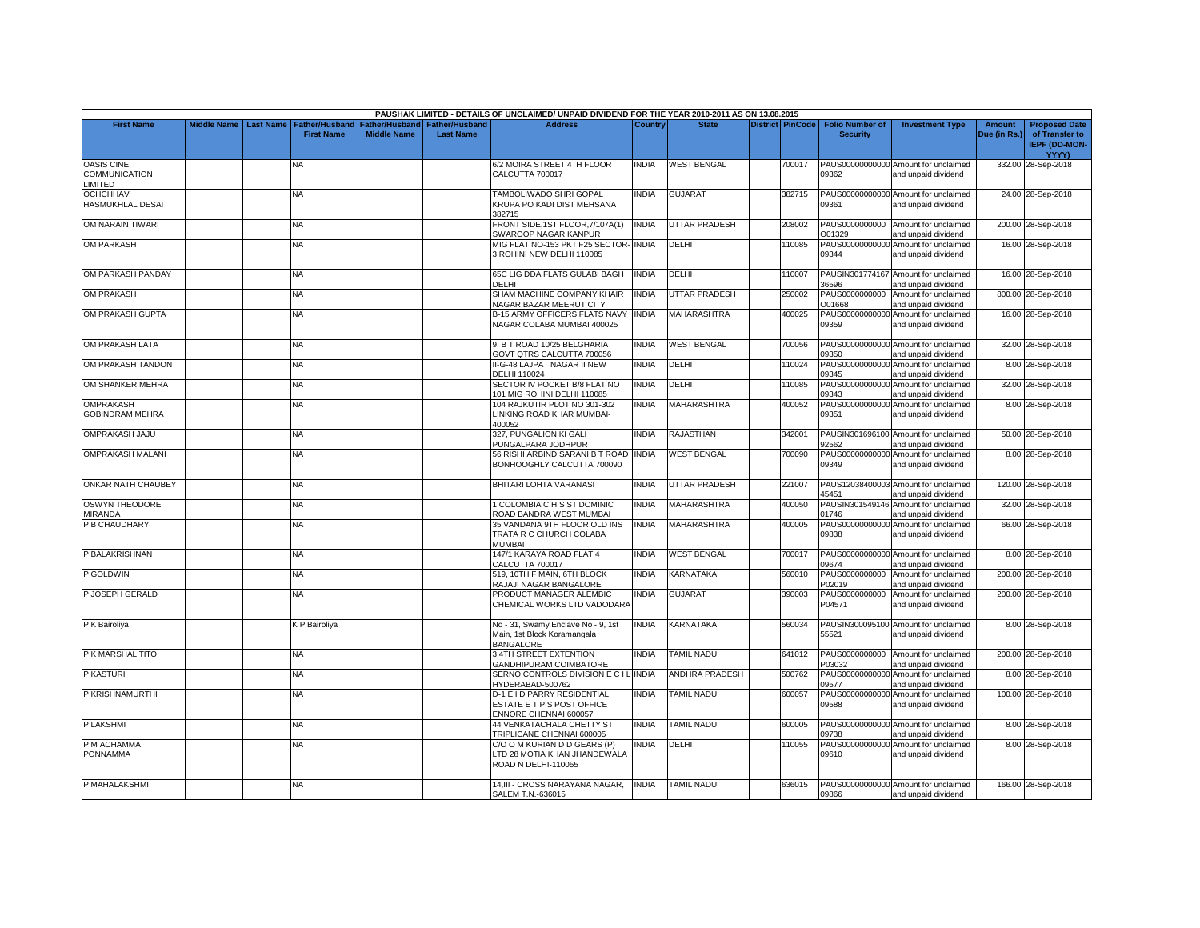|                                                     |                    |                  |                                            |                                             |                                           | PAUSHAK LIMITED - DETAILS OF UNCLAIMED/ UNPAID DIVIDEND FOR THE YEAR 2010-2011 AS ON 13.08.2015 |              |                      |                         |                                           |                                                             |                               |                                                                         |
|-----------------------------------------------------|--------------------|------------------|--------------------------------------------|---------------------------------------------|-------------------------------------------|-------------------------------------------------------------------------------------------------|--------------|----------------------|-------------------------|-------------------------------------------|-------------------------------------------------------------|-------------------------------|-------------------------------------------------------------------------|
| <b>First Name</b>                                   | <b>Middle Name</b> | <b>Last Name</b> | <b>Father/Husband</b><br><b>First Name</b> | <b>Father/Husband</b><br><b>Middle Name</b> | <b>Father/Husband</b><br><b>Last Name</b> | <b>Address</b>                                                                                  | Country      | <b>State</b>         | <b>District PinCode</b> | <b>Folio Number of</b><br><b>Security</b> | <b>Investment Type</b>                                      | <b>Amount</b><br>Due (in Rs.) | <b>Proposed Date</b><br>of Transfer to<br><b>IEPF (DD-MON-</b><br>YYYY) |
| <b>OASIS CINE</b><br>COMMUNICATION<br><b>IMITED</b> |                    |                  | NA                                         |                                             |                                           | 6/2 MOIRA STREET 4TH FLOOR<br>CALCUTTA 700017                                                   | <b>INDIA</b> | <b>WEST BENGAL</b>   | 700017                  | 09362                                     | PAUS00000000000 Amount for unclaimed<br>and unpaid dividend |                               | 332.00 28-Sep-2018                                                      |
| <b>OCHCHHAV</b><br>HASMUKHLAL DESAI                 |                    |                  | NA.                                        |                                             |                                           | <b>TAMBOLIWADO SHRI GOPAL</b><br>KRUPA PO KADI DIST MEHSANA<br>382715                           | <b>INDIA</b> | <b>GUJARAT</b>       | 382715                  | 09361                                     | PAUS00000000000 Amount for unclaimed<br>and unpaid dividend |                               | 24.00 28-Sep-2018                                                       |
| OM NARAIN TIWARI                                    |                    |                  | NA.                                        |                                             |                                           | FRONT SIDE, 1ST FLOOR, 7/107A(1)<br>SWAROOP NAGAR KANPUR                                        | <b>INDIA</b> | UTTAR PRADESH        | 208002                  | O01329                                    | PAUS0000000000 Amount for unclaimed<br>and unpaid dividend  |                               | 200.00 28-Sep-2018                                                      |
| <b>OM PARKASH</b>                                   |                    |                  | NA                                         |                                             |                                           | MIG FLAT NO-153 PKT F25 SECTOR- INDIA<br>3 ROHINI NEW DELHI 110085                              |              | DELHI                | 110085                  | 09344                                     | PAUS00000000000 Amount for unclaimed<br>and unpaid dividend |                               | 16.00 28-Sep-2018                                                       |
| OM PARKASH PANDAY                                   |                    |                  | <b>NA</b>                                  |                                             |                                           | 65C LIG DDA FLATS GULABI BAGH<br>DELHI                                                          | <b>INDIA</b> | <b>DELHI</b>         | 110007                  | 36596                                     | PAUSIN301774167 Amount for unclaimed<br>and unpaid dividend |                               | 16.00 28-Sep-2018                                                       |
| <b>OM PRAKASH</b>                                   |                    |                  | NΑ                                         |                                             |                                           | SHAM MACHINE COMPANY KHAIR<br>NAGAR BAZAR MEERUT CITY                                           | <b>INDIA</b> | <b>JTTAR PRADESH</b> | 250002                  | PAUS0000000000<br>001668                  | Amount for unclaimed<br>and unpaid dividend                 |                               | 800.00 28-Sep-2018                                                      |
| OM PRAKASH GUPTA                                    |                    |                  | NA                                         |                                             |                                           | 3-15 ARMY OFFICERS FLATS NAVY INDIA<br>NAGAR COLABA MUMBAI 400025                               |              | MAHARASHTRA          | 400025                  | PAUS00000000000<br>09359                  | Amount for unclaimed<br>and unpaid dividend                 |                               | 16.00 28-Sep-2018                                                       |
| OM PRAKASH LATA                                     |                    |                  | NA                                         |                                             |                                           | 3. B T ROAD 10/25 BELGHARIA<br>GOVT QTRS CALCUTTA 700056                                        | <b>INDIA</b> | <b>WEST BENGAL</b>   | 700056                  | 09350                                     | PAUS00000000000 Amount for unclaimed<br>and unpaid dividend |                               | 32.00 28-Sep-2018                                                       |
| OM PRAKASH TANDON                                   |                    |                  | ΝA                                         |                                             |                                           | I-G-48 LAJPAT NAGAR II NEW<br>DELHI 110024                                                      | <b>INDIA</b> | DELHI                | 110024                  | 09345                                     | PAUS00000000000 Amount for unclaimed<br>and unpaid dividend |                               | 8.00 28-Sep-2018                                                        |
| OM SHANKER MEHRA                                    |                    |                  | NA                                         |                                             |                                           | SECTOR IV POCKET B/8 FLAT NO<br>101 MIG ROHINI DELHI 110085                                     | <b>INDIA</b> | DELHI                | 110085                  | PAUS00000000000<br>09343                  | Amount for unclaimed<br>and unpaid dividend                 |                               | 32.00 28-Sep-2018                                                       |
| <b>OMPRAKASH</b><br><b>GOBINDRAM MEHRA</b>          |                    |                  | NA.                                        |                                             |                                           | 104 RAJKUTIR PLOT NO 301-302<br>LINKING ROAD KHAR MUMBAI-<br>400052                             | <b>INDIA</b> | <b>MAHARASHTRA</b>   | 400052                  | PAUS00000000000<br>09351                  | Amount for unclaimed<br>and unpaid dividend                 |                               | 8.00 28-Sep-2018                                                        |
| OMPRAKASH JAJU                                      |                    |                  | NA.                                        |                                             |                                           | 327, PUNGALION KI GALI<br>PUNGALPARA JODHPUR                                                    | <b>INDIA</b> | <b>RAJASTHAN</b>     | 342001                  | 92562                                     | PAUSIN301696100 Amount for unclaimed<br>and unpaid dividend |                               | 50.00 28-Sep-2018                                                       |
| <b>OMPRAKASH MALANI</b>                             |                    |                  | <b>NA</b>                                  |                                             |                                           | 56 RISHI ARBIND SARANI B T ROAD INDIA<br>BONHOOGHLY CALCUTTA 700090                             |              | <b>WEST BENGAL</b>   | 700090                  | 09349                                     | PAUS00000000000 Amount for unclaimed<br>and unpaid dividend |                               | 8.00 28-Sep-2018                                                        |
| <b>ONKAR NATH CHAUBEY</b>                           |                    |                  | <b>NA</b>                                  |                                             |                                           | BHITARI LOHTA VARANASI                                                                          | <b>INDIA</b> | <b>UTTAR PRADESH</b> | 221007                  | 45451                                     | PAUS12038400003 Amount for unclaimed<br>and unpaid dividend |                               | 120.00 28-Sep-2018                                                      |
| <b>OSWYN THEODORE</b><br><b>MIRANDA</b>             |                    |                  | NA                                         |                                             |                                           | I COLOMBIA C H S ST DOMINIC<br>ROAD BANDRA WEST MUMBAI                                          | <b>INDIA</b> | <b>MAHARASHTRA</b>   | 400050                  | 01746                                     | PAUSIN301549146 Amount for unclaimed<br>and unpaid dividend |                               | 32.00 28-Sep-2018                                                       |
| P B CHAUDHARY                                       |                    |                  | NA.                                        |                                             |                                           | 35 VANDANA 9TH FLOOR OLD INS<br>TRATA R C CHURCH COLABA<br>MUMBAI                               | <b>INDIA</b> | <b>MAHARASHTRA</b>   | 400005                  | 09838                                     | PAUS00000000000 Amount for unclaimed<br>and unpaid dividend |                               | 66.00 28-Sep-2018                                                       |
| P BALAKRISHNAN                                      |                    |                  | <b>NA</b>                                  |                                             |                                           | 147/1 KARAYA ROAD FLAT 4<br>CALCUTTA 700017                                                     | <b>INDIA</b> | <b>WEST BENGAL</b>   | 700017                  | 09674                                     | PAUS00000000000 Amount for unclaimed<br>and unpaid dividend |                               | 8.00 28-Sep-2018                                                        |
| P GOLDWIN                                           |                    |                  | <b>NA</b>                                  |                                             |                                           | 519, 10TH F MAIN, 6TH BLOCK<br>RAJAJI NAGAR BANGALORE                                           | <b>INDIA</b> | KARNATAKA            | 560010                  | PAUS0000000000<br>P02019                  | Amount for unclaimed<br>and unpaid dividend                 |                               | 200.00 28-Sep-2018                                                      |
| P JOSEPH GERALD                                     |                    |                  | NA                                         |                                             |                                           | PRODUCT MANAGER ALEMBIC<br>CHEMICAL WORKS LTD VADODARA                                          | <b>INDIA</b> | GUJARAT              | 390003                  | PAUS0000000000<br>P04571                  | Amount for unclaimed<br>and unpaid dividend                 |                               | 200.00 28-Sep-2018                                                      |
| P K Bairoliya                                       |                    |                  | K P Bairoliya                              |                                             |                                           | No - 31, Swamy Enclave No - 9, 1st<br>Main, 1st Block Koramangala<br><b>BANGALORE</b>           | <b>INDIA</b> | KARNATAKA            | 560034                  | 55521                                     | PAUSIN300095100 Amount for unclaimed<br>and unpaid dividend |                               | 8.00 28-Sep-2018                                                        |
| P K MARSHAL TITO                                    |                    |                  | NA.                                        |                                             |                                           | 3 4TH STREET EXTENTION<br><b>GANDHIPURAM COIMBATORE</b>                                         | <b>INDIA</b> | <b>TAMIL NADU</b>    | 641012                  | PAUS0000000000<br>P03032                  | Amount for unclaimed<br>and unpaid dividend                 |                               | 200.00 28-Sep-2018                                                      |
| P KASTURI                                           |                    |                  | <b>NA</b>                                  |                                             |                                           | SERNO CONTROLS DIVISION E C I L INDIA<br>1YDERABAD-500762                                       |              | ANDHRA PRADESH       | 500762                  | 09577                                     | PAUS00000000000 Amount for unclaimed<br>and unpaid dividend |                               | 8.00 28-Sep-2018                                                        |
| P KRISHNAMURTHI                                     |                    |                  | NA                                         |                                             |                                           | D-1 E I D PARRY RESIDENTIAL<br>ESTATE E T P S POST OFFICE<br>ENNORE CHENNAI 600057              | <b>INDIA</b> | <b>TAMIL NADU</b>    | 600057                  | PAUS00000000000<br>09588                  | Amount for unclaimed<br>and unpaid dividend                 |                               | 100.00 28-Sep-2018                                                      |
| P LAKSHMI                                           |                    |                  | <b>NA</b>                                  |                                             |                                           | <b>44 VENKATACHALA CHETTY ST</b><br>TRIPLICANE CHENNAI 600005                                   | <b>INDIA</b> | <b>TAMIL NADU</b>    | 600005                  | 09738                                     | PAUS00000000000 Amount for unclaimed<br>and unpaid dividend |                               | 8.00 28-Sep-2018                                                        |
| P M ACHAMMA<br><b>PONNAMMA</b>                      |                    |                  | NA.                                        |                                             |                                           | C/O O M KURIAN D D GEARS (P)<br>TD 28 MOTIA KHAN JHANDEWALA<br>ROAD N DELHI-110055              | <b>INDIA</b> | DELHI                | 110055                  | PAUS00000000000<br>09610                  | Amount for unclaimed<br>and unpaid dividend                 |                               | 8.00 28-Sep-2018                                                        |
| P MAHALAKSHMI                                       |                    |                  | <b>NA</b>                                  |                                             |                                           | 14.III - CROSS NARAYANA NAGAR.<br>SALEM T.N.-636015                                             | <b>INDIA</b> | <b>TAMIL NADU</b>    | 636015                  | 09866                                     | PAUS00000000000 Amount for unclaimed<br>and unpaid dividend |                               | 166.00 28-Sep-2018                                                      |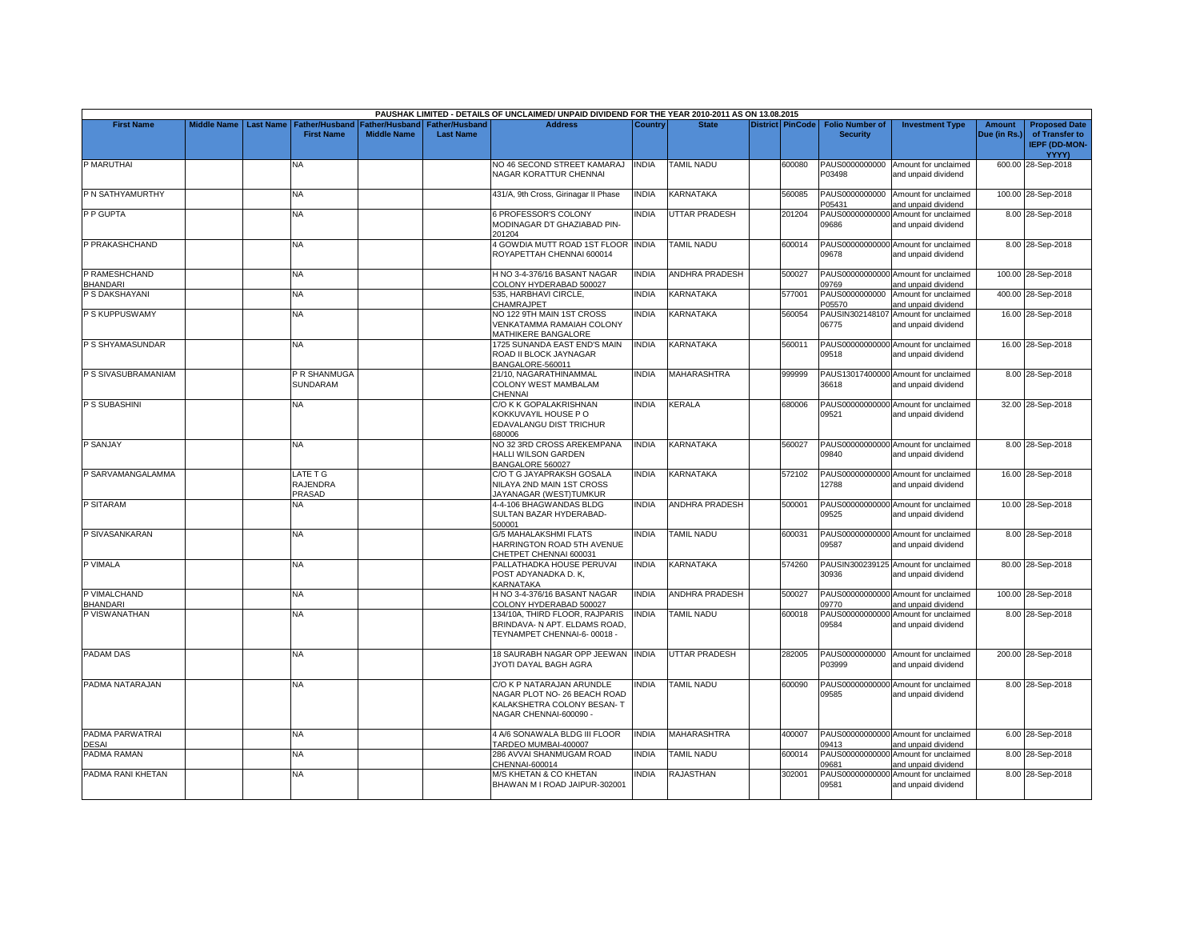|                                  |                    |                  |                                            |                                      |                                           | PAUSHAK LIMITED - DETAILS OF UNCLAIMED/ UNPAID DIVIDEND FOR THE YEAR 2010-2011 AS ON 13.08.2015                    |              |                       |                         |                                           |                                                             |                               |                                                                         |
|----------------------------------|--------------------|------------------|--------------------------------------------|--------------------------------------|-------------------------------------------|--------------------------------------------------------------------------------------------------------------------|--------------|-----------------------|-------------------------|-------------------------------------------|-------------------------------------------------------------|-------------------------------|-------------------------------------------------------------------------|
| <b>First Name</b>                | <b>Middle Name</b> | <b>Last Name</b> | <b>Father/Husband</b><br><b>First Name</b> | Father/Husband<br><b>Middle Name</b> | <b>Father/Husband</b><br><b>Last Name</b> | <b>Address</b>                                                                                                     | Country      | <b>State</b>          | <b>District PinCode</b> | <b>Folio Number of</b><br><b>Security</b> | <b>Investment Type</b>                                      | <b>Amount</b><br>Due (in Rs.) | <b>Proposed Date</b><br>of Transfer to<br><b>IEPF (DD-MON-</b><br>YYYY) |
| P MARUTHAI                       |                    |                  | NA                                         |                                      |                                           | NO 46 SECOND STREET KAMARAJ<br>NAGAR KORATTUR CHENNAI                                                              | <b>INDIA</b> | <b>TAMIL NADU</b>     | 600080                  | PAUS0000000000<br>P03498                  | Amount for unclaimed<br>and unpaid dividend                 |                               | 600.00 28-Sep-2018                                                      |
| P N SATHYAMURTHY                 |                    |                  | NΑ                                         |                                      |                                           | 431/A, 9th Cross, Girinagar II Phase                                                                               | <b>INDIA</b> | KARNATAKA             | 560085                  | PAUS0000000000<br>P05431                  | Amount for unclaimed<br>and unpaid dividend                 |                               | 100.00 28-Sep-2018                                                      |
| P P GUPTA                        |                    |                  | <b>NA</b>                                  |                                      |                                           | <b>S PROFESSOR'S COLONY</b><br>MODINAGAR DT GHAZIABAD PIN-<br>201204                                               | <b>INDIA</b> | UTTAR PRADESH         | 201204                  | 09686                                     | PAUS00000000000 Amount for unclaimed<br>and unpaid dividend |                               | 8.00 28-Sep-2018                                                        |
| P PRAKASHCHAND                   |                    |                  | <b>NA</b>                                  |                                      |                                           | 4 GOWDIA MUTT ROAD 1ST FLOOR INDIA<br>ROYAPETTAH CHENNAI 600014                                                    |              | <b>TAMIL NADU</b>     | 600014                  | 09678                                     | PAUS00000000000 Amount for unclaimed<br>and unpaid dividend |                               | 8.00 28-Sep-2018                                                        |
| P RAMESHCHAND<br><b>BHANDARI</b> |                    |                  | <b>NA</b>                                  |                                      |                                           | H NO 3-4-376/16 BASANT NAGAR<br>COLONY HYDERABAD 500027                                                            | <b>INDIA</b> | <b>ANDHRA PRADESH</b> | 500027                  | 09769                                     | PAUS00000000000 Amount for unclaimed<br>and unpaid dividend |                               | 100.00 28-Sep-2018                                                      |
| P S DAKSHAYANI                   |                    |                  | <b>NA</b>                                  |                                      |                                           | 535, HARBHAVI CIRCLE,<br>CHAMRAJPET                                                                                | <b>INDIA</b> | KARNATAKA             | 577001                  | PAUS0000000000<br>P05570                  | Amount for unclaimed<br>and unpaid dividend                 |                               | 400.00 28-Sep-2018                                                      |
| P S KUPPUSWAMY                   |                    |                  | NA                                         |                                      |                                           | NO 122 9TH MAIN 1ST CROSS<br>VENKATAMMA RAMAIAH COLONY<br><b>MATHIKERE BANGALORE</b>                               | <b>INDIA</b> | KARNATAKA             | 560054                  | 06775                                     | PAUSIN302148107 Amount for unclaimed<br>and unpaid dividend |                               | 16.00 28-Sep-2018                                                       |
| P S SHYAMASUNDAR                 |                    |                  | NA.                                        |                                      |                                           | 1725 SUNANDA EAST END'S MAIN<br>ROAD II BLOCK JAYNAGAR<br>BANGALORE-560011                                         | <b>INDIA</b> | KARNATAKA             | 560011                  | 09518                                     | PAUS00000000000 Amount for unclaimed<br>and unpaid dividend |                               | 16.00 28-Sep-2018                                                       |
| P S SIVASUBRAMANIAM              |                    |                  | P R SHANMUGA<br><b>SUNDARAM</b>            |                                      |                                           | 21/10, NAGARATHINAMMAL<br>COLONY WEST MAMBALAM<br>CHENNAI                                                          | <b>INDIA</b> | <b>MAHARASHTRA</b>    | 999999                  | 36618                                     | PAUS13017400000 Amount for unclaimed<br>and unpaid dividend |                               | 8.00 28-Sep-2018                                                        |
| P S SUBASHINI                    |                    |                  | ΝA                                         |                                      |                                           | C/O K K GOPALAKRISHNAN<br>KOKKUVAYIL HOUSE P O<br>EDAVALANGU DIST TRICHUR<br>680006                                | <b>INDIA</b> | KERALA                | 680006                  | 09521                                     | PAUS00000000000 Amount for unclaimed<br>and unpaid dividend |                               | 32.00 28-Sep-2018                                                       |
| P SANJAY                         |                    |                  | <b>NA</b>                                  |                                      |                                           | NO 32 3RD CROSS AREKEMPANA<br>HALLI WILSON GARDEN<br>BANGALORE 560027                                              | <b>INDIA</b> | <b>KARNATAKA</b>      | 560027                  | 09840                                     | PAUS00000000000 Amount for unclaimed<br>and unpaid dividend |                               | 8.00 28-Sep-2018                                                        |
| P SARVAMANGALAMMA                |                    |                  | LATE T G<br><b>RAJENDRA</b><br>PRASAD      |                                      |                                           | C/O T G JAYAPRAKSH GOSALA<br>NILAYA 2ND MAIN 1ST CROSS<br>JAYANAGAR (WEST)TUMKUR                                   | <b>INDIA</b> | KARNATAKA             | 572102                  | 12788                                     | PAUS00000000000 Amount for unclaimed<br>and unpaid dividend |                               | 16.00 28-Sep-2018                                                       |
| P SITARAM                        |                    |                  | <b>NA</b>                                  |                                      |                                           | 4-4-106 BHAGWANDAS BLDG<br>SULTAN BAZAR HYDERABAD-<br>500001                                                       | <b>INDIA</b> | <b>ANDHRA PRADESH</b> | 500001                  | 09525                                     | PAUS00000000000 Amount for unclaimed<br>and unpaid dividend |                               | 10.00 28-Sep-2018                                                       |
| P SIVASANKARAN                   |                    |                  | <b>NA</b>                                  |                                      |                                           | G/5 MAHALAKSHMI FLATS<br>HARRINGTON ROAD 5TH AVENUE<br>CHETPET CHENNAI 600031                                      | <b>INDIA</b> | <b>TAMIL NADU</b>     | 600031                  | 09587                                     | PAUS00000000000 Amount for unclaimed<br>and unpaid dividend |                               | 8.00 28-Sep-2018                                                        |
| P VIMALA                         |                    |                  | NA                                         |                                      |                                           | PALLATHADKA HOUSE PERUVAI<br>POST ADYANADKA D. K.<br><b>KARNATAKA</b>                                              | INDIA        | KARNATAKA             | 574260                  | 30936                                     | PAUSIN300239125 Amount for unclaimed<br>and unpaid dividend |                               | 80.00 28-Sep-2018                                                       |
| P VIMALCHAND<br><b>BHANDARI</b>  |                    |                  | <b>NA</b>                                  |                                      |                                           | H NO 3-4-376/16 BASANT NAGAR<br>COLONY HYDERABAD 500027                                                            | <b>INDIA</b> | ANDHRA PRADESH        | 500027                  | 09770                                     | PAUS00000000000 Amount for unclaimed<br>and unpaid dividend |                               | 100.00 28-Sep-2018                                                      |
| P VISWANATHAN                    |                    |                  | <b>NA</b>                                  |                                      |                                           | 134/10A, THIRD FLOOR, RAJPARIS<br>BRINDAVA- N APT, ELDAMS ROAD.<br>TEYNAMPET CHENNAI-6-00018 -                     | <b>INDIA</b> | <b>TAMIL NADU</b>     | 600018                  | 09584                                     | PAUS00000000000 Amount for unclaimed<br>and unpaid dividend |                               | 8.00 28-Sep-2018                                                        |
| <b>PADAM DAS</b>                 |                    |                  | <b>NA</b>                                  |                                      |                                           | 18 SAURABH NAGAR OPP JEEWAN<br>JYOTI DAYAL BAGH AGRA                                                               | <b>INDIA</b> | <b>UTTAR PRADESH</b>  | 282005                  | P03999                                    | PAUS0000000000 Amount for unclaimed<br>and unpaid dividend  |                               | 200.00 28-Sep-2018                                                      |
| PADMA NATARAJAN                  |                    |                  | <b>NA</b>                                  |                                      |                                           | C/O K P NATARAJAN ARUNDLE<br>NAGAR PLOT NO- 26 BEACH ROAD<br>KALAKSHETRA COLONY BESAN- T<br>NAGAR CHENNAI-600090 - | <b>NDIA</b>  | <b>TAMIL NADU</b>     | 600090                  | 09585                                     | PAUS00000000000 Amount for unclaimed<br>and unpaid dividend |                               | 8.00 28-Sep-2018                                                        |
| PADMA PARWATRAI<br><b>DESAI</b>  |                    |                  | <b>NA</b>                                  |                                      |                                           | 4 A/6 SONAWALA BLDG III FLOOR<br>TARDEO MUMBAI-400007                                                              | <b>INDIA</b> | <b>MAHARASHTRA</b>    | 400007                  | 09413                                     | PAUS00000000000 Amount for unclaimed<br>and unpaid dividend |                               | 6.00 28-Sep-2018                                                        |
| PADMA RAMAN                      |                    |                  | NA.                                        |                                      |                                           | 286 AVVAI SHANMUGAM ROAD<br>CHENNAI-600014                                                                         | <b>INDIA</b> | <b>TAMIL NADU</b>     | 600014                  | PAUS00000000000<br>09681                  | Amount for unclaimed<br>and unpaid dividend                 |                               | 8.00 28-Sep-2018                                                        |
| PADMA RANI KHETAN                |                    |                  | <b>NA</b>                                  |                                      |                                           | M/S KHETAN & CO KHETAN<br>BHAWAN M I ROAD JAIPUR-302001                                                            | <b>INDIA</b> | RAJASTHAN             | 302001                  | PAUS00000000000<br>09581                  | Amount for unclaimed<br>and unpaid dividend                 |                               | 8.00 28-Sep-2018                                                        |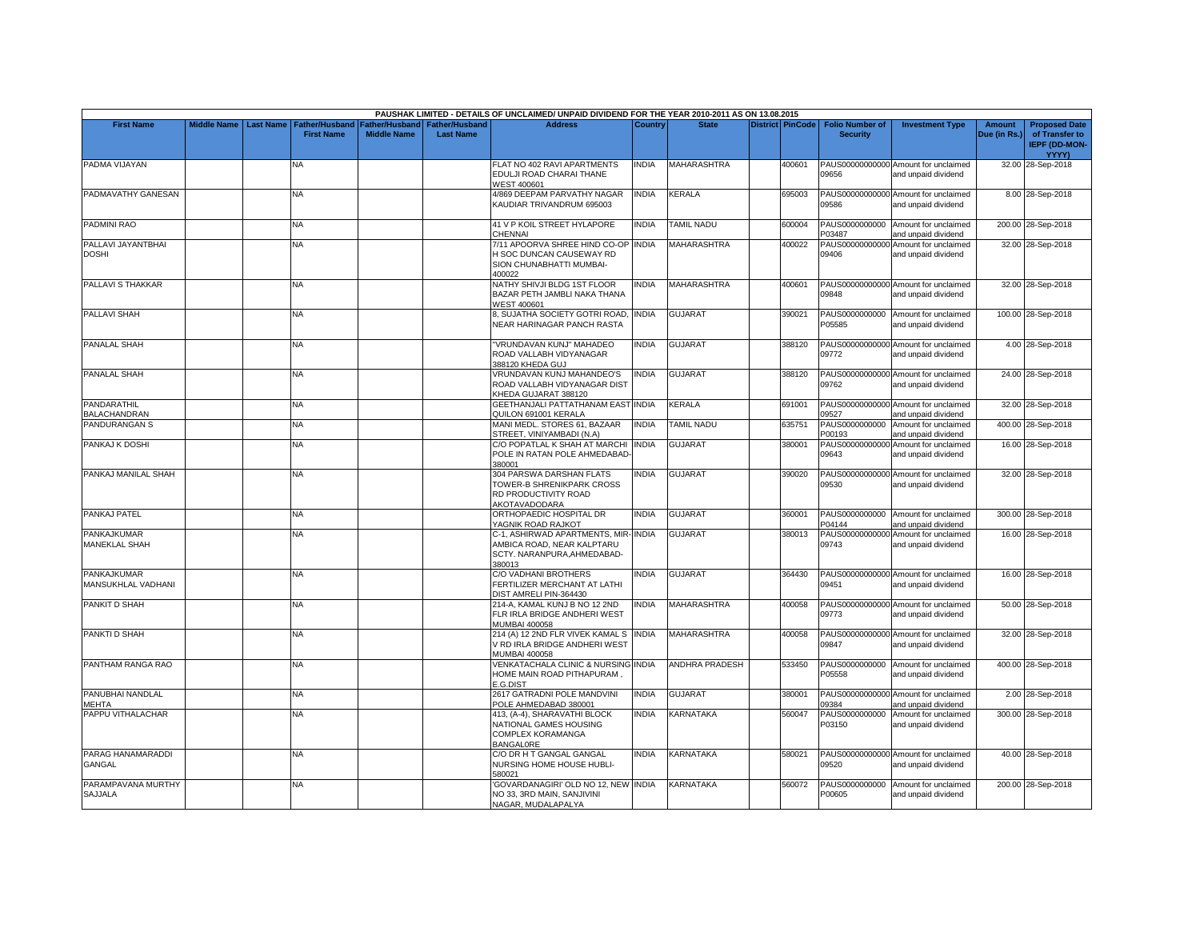|                                          |                    |                  |                                     |                                      |                                           | PAUSHAK LIMITED - DETAILS OF UNCLAIMED/ UNPAID DIVIDEND FOR THE YEAR 2010-2011 AS ON 13.08.2015                                                                                                                                                                                         |              |                       |                         |                                           |                                                             |                               |                                                                                |
|------------------------------------------|--------------------|------------------|-------------------------------------|--------------------------------------|-------------------------------------------|-----------------------------------------------------------------------------------------------------------------------------------------------------------------------------------------------------------------------------------------------------------------------------------------|--------------|-----------------------|-------------------------|-------------------------------------------|-------------------------------------------------------------|-------------------------------|--------------------------------------------------------------------------------|
| <b>First Name</b>                        | <b>Middle Name</b> | <b>Last Name</b> | Father/Husband<br><b>First Name</b> | Father/Husband<br><b>Middle Name</b> | <b>Father/Husband</b><br><b>Last Name</b> | <b>Address</b>                                                                                                                                                                                                                                                                          | Country      | <b>State</b>          | <b>District PinCode</b> | <b>Folio Number of</b><br><b>Security</b> | <b>Investment Type</b>                                      | <b>Amount</b><br>Due (in Rs.) | <b>Proposed Date</b><br>of Transfer to<br><b>IEPF (DD-MON-</b><br><b>YYYY)</b> |
| PADMA VIJAYAN                            |                    |                  | NA                                  |                                      |                                           | FLAT NO 402 RAVI APARTMENTS<br>EDULJI ROAD CHARAI THANE<br>WEST 400601                                                                                                                                                                                                                  | <b>INDIA</b> | <b>MAHARASHTRA</b>    | 400601                  | 09656                                     | PAUS00000000000 Amount for unclaimed<br>and unpaid dividend |                               | 32.00 28-Sep-2018                                                              |
| PADMAVATHY GANESAN                       |                    |                  | NA                                  |                                      |                                           | 4/869 DEEPAM PARVATHY NAGAR<br>KAUDIAR TRIVANDRUM 695003                                                                                                                                                                                                                                | <b>INDIA</b> | <b>KERALA</b>         | 695003                  | 09586                                     | PAUS00000000000 Amount for unclaimed<br>and unpaid dividend |                               | 8.00 28-Sep-2018                                                               |
| PADMINI RAO                              |                    |                  | <b>NA</b>                           |                                      |                                           | 41 V P KOIL STREET HYLAPORE<br>CHENNAI                                                                                                                                                                                                                                                  | <b>INDIA</b> | <b>TAMIL NADU</b>     | 600004                  | P03487                                    | PAUS0000000000 Amount for unclaimed<br>and unpaid dividend  |                               | 200.00 28-Sep-2018                                                             |
| PALLAVI JAYANTBHAI<br><b>DOSHI</b>       |                    |                  | NA                                  |                                      |                                           | 7/11 APOORVA SHREE HIND CO-OP INDIA<br>H SOC DUNCAN CAUSEWAY RD<br>SION CHUNABHATTI MUMBAI-<br>100022                                                                                                                                                                                   |              | <b>MAHARASHTRA</b>    | 400022                  | PAUS00000000000<br>09406                  | Amount for unclaimed<br>and unpaid dividend                 |                               | 32.00 28-Sep-2018                                                              |
| PALLAVI S THAKKAR                        |                    |                  | NA.                                 |                                      |                                           | NATHY SHIVJI BLDG 1ST FLOOR<br>BAZAR PETH JAMBLI NAKA THANA<br><b>WEST 400601</b>                                                                                                                                                                                                       | <b>INDIA</b> | <b>MAHARASHTRA</b>    | 400601                  | 09848                                     | PAUS00000000000 Amount for unclaimed<br>and unpaid dividend |                               | 32.00 28-Sep-2018                                                              |
| PALLAVI SHAH                             |                    |                  | NA                                  |                                      |                                           | 3, SUJATHA SOCIETY GOTRI ROAD, INDIA<br>NEAR HARINAGAR PANCH RASTA                                                                                                                                                                                                                      |              | <b>GUJARAT</b>        | 390021                  | P05585                                    | PAUS0000000000 Amount for unclaimed<br>and unpaid dividend  |                               | 100.00 28-Sep-2018                                                             |
| <b>PANALAL SHAH</b>                      |                    |                  | <b>NA</b>                           |                                      |                                           | 'VRUNDAVAN KUNJ" MAHADEO<br>ROAD VALLABH VIDYANAGAR<br>388120 KHEDA GUJ                                                                                                                                                                                                                 | <b>INDIA</b> | <b>GUJARAT</b>        | 388120                  | 09772                                     | PAUS00000000000 Amount for unclaimed<br>and unpaid dividend |                               | 4.00 28-Sep-2018                                                               |
| <b>PANALAL SHAH</b>                      |                    |                  | <b>NA</b>                           |                                      |                                           | VRUNDAVAN KUNJ MAHANDEO'S<br>ROAD VALLABH VIDYANAGAR DIST<br><heda 388120<="" gujarat="" td=""><td><b>INDIA</b></td><td><b>GUJARAT</b></td><td>388120</td><td>09762</td><td>PAUS00000000000 Amount for unclaimed<br/>and unpaid dividend</td><td></td><td>24.00 28-Sep-2018</td></heda> | <b>INDIA</b> | <b>GUJARAT</b>        | 388120                  | 09762                                     | PAUS00000000000 Amount for unclaimed<br>and unpaid dividend |                               | 24.00 28-Sep-2018                                                              |
| PANDARATHIL<br>BALACHANDRAN              |                    |                  | <b>NA</b>                           |                                      |                                           | GEETHANJALI PATTATHANAM EAST INDIA<br>QUILON 691001 KERALA                                                                                                                                                                                                                              |              | KERALA                | 691001                  | 09527                                     | PAUS00000000000 Amount for unclaimed<br>and unpaid dividend |                               | 32.00 28-Sep-2018                                                              |
| PANDURANGAN S                            |                    |                  | NA.                                 |                                      |                                           | <b>MANI MEDL. STORES 61, BAZAAR</b><br>STREET, VINIYAMBADI (N.A)                                                                                                                                                                                                                        | <b>INDIA</b> | <b>TAMIL NADU</b>     | 635751                  | PAUS0000000000<br>P00193                  | Amount for unclaimed<br>and unpaid dividend                 |                               | 400.00 28-Sep-2018                                                             |
| PANKAJ K DOSHI                           |                    |                  | <b>NA</b>                           |                                      |                                           | C/O POPATLAL K SHAH AT MARCHI INDIA<br>POLE IN RATAN POLE AHMEDABAD-<br>380001                                                                                                                                                                                                          |              | <b>GUJARAT</b>        | 380001                  | PAUS00000000000<br>09643                  | Amount for unclaimed<br>and unpaid dividend                 |                               | 16.00 28-Sep-2018                                                              |
| PANKAJ MANILAL SHAH                      |                    |                  | <b>NA</b>                           |                                      |                                           | 304 PARSWA DARSHAN FLATS<br>TOWER-B SHRENIKPARK CROSS<br>RD PRODUCTIVITY ROAD<br>AKOTAVADODARA                                                                                                                                                                                          | <b>INDIA</b> | GUJARAT               | 390020                  | 09530                                     | PAUS00000000000 Amount for unclaimed<br>and unpaid dividend |                               | 32.00 28-Sep-2018                                                              |
| PANKAJ PATEL                             |                    |                  | <b>NA</b>                           |                                      |                                           | ORTHOPAEDIC HOSPITAL DR<br>YAGNIK ROAD RAJKOT                                                                                                                                                                                                                                           | <b>INDIA</b> | <b>GUJARAT</b>        | 360001                  | P04144                                    | PAUS0000000000 Amount for unclaimed<br>and unpaid dividend  |                               | 300.00 28-Sep-2018                                                             |
| PANKAJKUMAR<br><b>MANEKLAL SHAH</b>      |                    |                  | NA.                                 |                                      |                                           | C-1, ASHIRWAD APARTMENTS, MIR-INDIA<br>AMBICA ROAD, NEAR KALPTARU<br>SCTY, NARANPURA, AHMEDABAD-<br>380013                                                                                                                                                                              |              | GUJARAT               | 380013                  | 09743                                     | PAUS00000000000 Amount for unclaimed<br>and unpaid dividend |                               | 16.00 28-Sep-2018                                                              |
| <b>PANKAJKUMAR</b><br>MANSUKHLAL VADHANI |                    |                  | <b>NA</b>                           |                                      |                                           | C/O VADHANI BROTHERS<br><b>ERTILIZER MERCHANT AT LATHI</b><br>DIST AMRELI PIN-364430                                                                                                                                                                                                    | <b>INDIA</b> | <b>GUJARAT</b>        | 364430                  | 09451                                     | PAUS00000000000 Amount for unclaimed<br>and unpaid dividend |                               | 16.00 28-Sep-2018                                                              |
| PANKIT D SHAH                            |                    |                  | NA.                                 |                                      |                                           | 214-A, KAMAL KUNJ B NO 12 2ND<br>FLR IRLA BRIDGE ANDHERI WEST<br>MUMBAI 400058                                                                                                                                                                                                          | <b>INDIA</b> | <b>MAHARASHTRA</b>    | 400058                  | 09773                                     | PAUS00000000000 Amount for unclaimed<br>and unpaid dividend |                               | 50.00 28-Sep-2018                                                              |
| PANKTI D SHAH                            |                    |                  | NA.                                 |                                      |                                           | 214 (A) 12 2ND FLR VIVEK KAMAL SINDIA<br>/ RD IRLA BRIDGE ANDHERI WEST<br><b>MUMBAI 400058</b>                                                                                                                                                                                          |              | <b>MAHARASHTRA</b>    | 400058                  | 09847                                     | PAUS00000000000 Amount for unclaimed<br>and unpaid dividend |                               | 32.00 28-Sep-2018                                                              |
| PANTHAM RANGA RAO                        |                    |                  | NA                                  |                                      |                                           | <b>/ENKATACHALA CLINIC &amp; NURSING INDIA</b><br>HOME MAIN ROAD PITHAPURAM.<br>G.DIST                                                                                                                                                                                                  |              | <b>ANDHRA PRADESH</b> | 533450                  | P05558                                    | PAUS0000000000 Amount for unclaimed<br>and unpaid dividend  |                               | 400.00 28-Sep-2018                                                             |
| PANUBHAI NANDLAL<br><b>MEHTA</b>         |                    |                  | <b>NA</b>                           |                                      |                                           | 2617 GATRADNI POLE MANDVINI<br>POLE AHMEDABAD 380001                                                                                                                                                                                                                                    | <b>INDIA</b> | GUJARAT               | 380001                  | 09384                                     | PAUS00000000000 Amount for unclaimed<br>and unpaid dividend |                               | 2.00 28-Sep-2018                                                               |
| PAPPU VITHALACHAR                        |                    |                  | NA                                  |                                      |                                           | 413, (A-4), SHARAVATHI BLOCK<br>NATIONAL GAMES HOUSING<br>COMPLEX KORAMANGA<br>BANGAL0RE                                                                                                                                                                                                | <b>INDIA</b> | KARNATAKA             | 560047                  | PAUS0000000000<br>P03150                  | Amount for unclaimed<br>and unpaid dividend                 |                               | 300.00 28-Sep-2018                                                             |
| PARAG HANAMARADDI<br><b>GANGAL</b>       |                    |                  | ΝA                                  |                                      |                                           | C/O DR H T GANGAL GANGAL<br>NURSING HOME HOUSE HUBLI-<br>580021                                                                                                                                                                                                                         | <b>INDIA</b> | KARNATAKA             | 580021                  | 09520                                     | PAUS00000000000 Amount for unclaimed<br>and unpaid dividend |                               | 40.00 28-Sep-2018                                                              |
| PARAMPAVANA MURTHY<br><b>SAJJALA</b>     |                    |                  | NA.                                 |                                      |                                           | GOVARDANAGIRI' OLD NO 12, NEW INDIA<br>NO 33, 3RD MAIN, SANJIVINI<br>NAGAR, MUDALAPALYA                                                                                                                                                                                                 |              | KARNATAKA             | 560072                  | PAUS0000000000<br>P00605                  | Amount for unclaimed<br>and unpaid dividend                 |                               | 200.00 28-Sep-2018                                                             |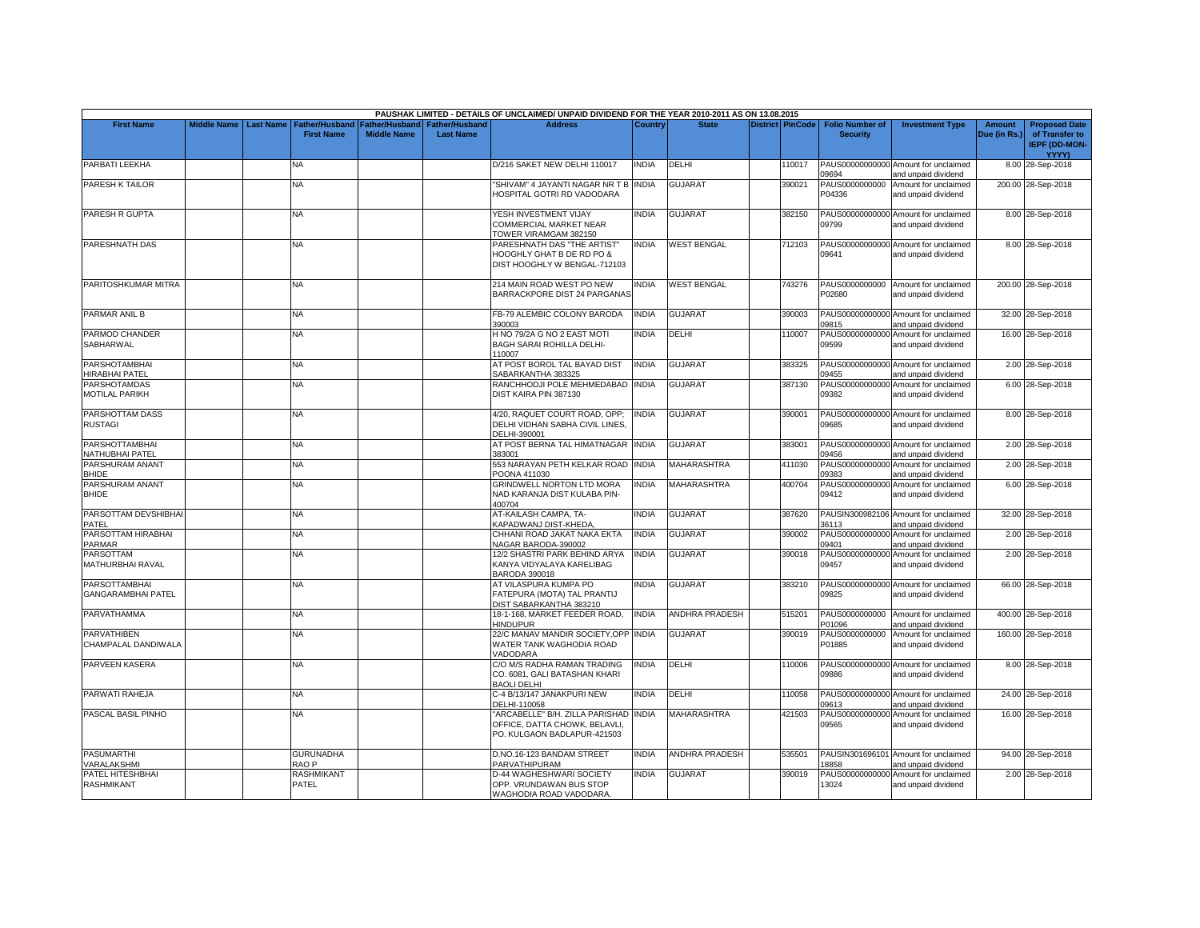|                                               |             |                  |                                            |                    |                                                     | PAUSHAK LIMITED - DETAILS OF UNCLAIMED/ UNPAID DIVIDEND FOR THE YEAR 2010-2011 AS ON 13.08.2015       |              |                       |                         |                                           |                                                             |                               |                                                                |
|-----------------------------------------------|-------------|------------------|--------------------------------------------|--------------------|-----------------------------------------------------|-------------------------------------------------------------------------------------------------------|--------------|-----------------------|-------------------------|-------------------------------------------|-------------------------------------------------------------|-------------------------------|----------------------------------------------------------------|
| <b>First Name</b>                             | Middle Name | <b>Last Name</b> | <b>Father/Husband</b><br><b>First Name</b> | <b>Middle Name</b> | Father/Husband   Father/Husband<br><b>Last Name</b> | <b>Address</b>                                                                                        | Country      | <b>State</b>          | <b>District PinCode</b> | <b>Folio Number of</b><br><b>Security</b> | <b>Investment Type</b>                                      | <b>Amount</b><br>Due (in Rs.) | <b>Proposed Date</b><br>of Transfer to<br><b>IEPF (DD-MON-</b> |
| PARBATI LEEKHA                                |             |                  | NA.                                        |                    |                                                     | D/216 SAKET NEW DELHI 110017                                                                          | <b>INDIA</b> | DELHI                 | 110017                  |                                           | PAUS00000000000 Amount for unclaimed                        |                               | YYYY)<br>8.00 28-Sep-2018                                      |
|                                               |             |                  |                                            |                    |                                                     |                                                                                                       |              |                       |                         | 09694                                     | and unpaid dividend                                         |                               |                                                                |
| PARESH K TAILOR                               |             |                  | <b>NA</b>                                  |                    |                                                     | 'SHIVAM" 4 JAYANTI NAGAR NR T B INDIA<br>HOSPITAL GOTRI RD VADODARA                                   |              | GUJARAT               | 390021                  | PAUS0000000000<br>P04336                  | Amount for unclaimed<br>and unpaid dividend                 |                               | 200.00 28-Sep-2018                                             |
| PARESH R GUPTA                                |             |                  | NA.                                        |                    |                                                     | YESH INVESTMENT VIJAY                                                                                 | INDIA        | <b>GUJARAT</b>        | 382150                  |                                           | PAUS00000000000 Amount for unclaimed                        |                               | 8.00 28-Sep-2018                                               |
|                                               |             |                  |                                            |                    |                                                     | COMMERCIAL MARKET NEAR<br>TOWER VIRAMGAM 382150                                                       |              |                       |                         | 09799                                     | and unpaid dividend                                         |                               |                                                                |
| PARESHNATH DAS                                |             |                  | <b>NA</b>                                  |                    |                                                     | PARESHNATH DAS "THE ARTIST"                                                                           | <b>INDIA</b> | <b>WEST BENGAL</b>    | 712103                  |                                           | PAUS00000000000 Amount for unclaimed                        |                               | 8.00 28-Sep-2018                                               |
|                                               |             |                  |                                            |                    |                                                     | HOOGHLY GHAT B DE RD PO &<br>DIST HOOGHLY W BENGAL-712103                                             |              |                       |                         | 09641                                     | and unpaid dividend                                         |                               |                                                                |
| PARITOSHKUMAR MITRA                           |             |                  | <b>NA</b>                                  |                    |                                                     | 214 MAIN ROAD WEST PO NEW<br>BARRACKPORE DIST 24 PARGANAS                                             | <b>INDIA</b> | <b>WEST BENGAL</b>    | 743276                  | PAUS0000000000<br>P02680                  | Amount for unclaimed<br>and unpaid dividend                 |                               | 200.00 28-Sep-2018                                             |
| PARMAR ANIL B                                 |             |                  | NA.                                        |                    |                                                     | FB-79 ALEMBIC COLONY BARODA<br>390003                                                                 | <b>INDIA</b> | GUJARAT               | 390003                  | 09815                                     | PAUS00000000000 Amount for unclaimed<br>and unpaid dividend |                               | 32.00 28-Sep-2018                                              |
| PARMOD CHANDER<br>SABHARWAL                   |             |                  | <b>NA</b>                                  |                    |                                                     | H NO 79/2A G NO 2 EAST MOTI<br>BAGH SARAI ROHILLA DELHI-<br>110007                                    | <b>INDIA</b> | DELHI                 | 110007                  | PAUS00000000000<br>09599                  | Amount for unclaimed<br>and unpaid dividend                 |                               | 16.00 28-Sep-2018                                              |
| <b>PARSHOTAMBHAI</b><br><b>HIRABHAI PATEL</b> |             |                  | NA.                                        |                    |                                                     | AT POST BOROL TAL BAYAD DIST<br>SABARKANTHA 383325                                                    | <b>INDIA</b> | GUJARAT               | 383325                  | 09455                                     | PAUS00000000000 Amount for unclaimed<br>and unpaid dividend |                               | 2.00 28-Sep-2018                                               |
| <b>PARSHOTAMDAS</b><br>MOTILAL PARIKH         |             |                  | <b>NA</b>                                  |                    |                                                     | RANCHHODJI POLE MEHMEDABAD INDIA<br>DIST KAIRA PIN 387130                                             |              | <b>GUJARAT</b>        | 387130                  | 09382                                     | PAUS00000000000 Amount for unclaimed<br>and unpaid dividend |                               | 6.00 28-Sep-2018                                               |
| PARSHOTTAM DASS<br>RUSTAGI                    |             |                  | NA                                         |                    |                                                     | 4/20, RAQUET COURT ROAD, OPP;<br>DELHI VIDHAN SABHA CIVIL LINES.<br>DELHI-390001                      | <b>INDIA</b> | <b>GUJARAT</b>        | 390001                  | 09685                                     | PAUS00000000000 Amount for unclaimed<br>and unpaid dividend |                               | 8.00 28-Sep-2018                                               |
| <b>PARSHOTTAMBHAI</b><br>NATHUBHAI PATEL      |             |                  | <b>NA</b>                                  |                    |                                                     | AT POST BERNA TAL HIMATNAGAR INDIA<br>383001                                                          |              | GUJARAT               | 383001                  | 09456                                     | PAUS00000000000 Amount for unclaimed<br>and unpaid dividend |                               | 2.00 28-Sep-2018                                               |
| PARSHURAM ANANT<br><b>BHIDE</b>               |             |                  | NA                                         |                    |                                                     | 553 NARAYAN PETH KELKAR ROAD<br>POONA 411030                                                          | <b>INDIA</b> | MAHARASHTRA           | 411030                  | PAUS00000000000<br>09383                  | Amount for unclaimed<br>and unpaid dividend                 |                               | 2.00 28-Sep-2018                                               |
| PARSHURAM ANANT<br><b>BHIDE</b>               |             |                  | <b>NA</b>                                  |                    |                                                     | <b>GRINDWELL NORTON LTD MORA</b><br>NAD KARANJA DIST KULABA PIN-<br>400704                            | <b>INDIA</b> | <b>MAHARASHTRA</b>    | 400704                  | 09412                                     | PAUS00000000000 Amount for unclaimed<br>and unpaid dividend |                               | 6.00 28-Sep-2018                                               |
| PARSOTTAM DEVSHIBHAI<br>PATEL                 |             |                  | NA.                                        |                    |                                                     | AT-KAILASH CAMPA. TA-<br>KAPADWANJ DIST-KHEDA                                                         | <b>INDIA</b> | <b>GUJARAT</b>        | 387620                  | 36113                                     | PAUSIN300982106 Amount for unclaimed<br>and unpaid dividend |                               | 32.00 28-Sep-2018                                              |
| PARSOTTAM HIRABHAI<br>PARMAR                  |             |                  | NA                                         |                    |                                                     | CHHANI ROAD JAKAT NAKA EKTA<br>NAGAR BARODA-390002                                                    | <b>INDIA</b> | GUJARAT               | 390002                  | PAUS00000000000<br>09401                  | Amount for unclaimed<br>and unpaid dividend                 |                               | 2.00 28-Sep-2018                                               |
| PARSOTTAM<br>MATHURBHAI RAVAL                 |             |                  | <b>NA</b>                                  |                    |                                                     | 12/2 SHASTRI PARK BEHIND ARYA<br>KANYA VIDYALAYA KARELIBAG<br><b>BARODA 390018</b>                    | <b>INDIA</b> | GUJARAT               | 390018                  | PAUS00000000000<br>09457                  | Amount for unclaimed<br>and unpaid dividend                 |                               | 2.00 28-Sep-2018                                               |
| PARSOTTAMBHAI<br><b>GANGARAMBHAI PATEL</b>    |             |                  | NA                                         |                    |                                                     | AT VILASPURA KUMPA PO<br>FATEPURA (MOTA) TAL PRANTIJ<br>DIST SABARKANTHA 383210                       | <b>INDIA</b> | GUJARAT               | 383210                  | 09825                                     | PAUS00000000000 Amount for unclaimed<br>and unpaid dividend |                               | 66.00 28-Sep-2018                                              |
| PARVATHAMMA                                   |             |                  | NA                                         |                    |                                                     | 18-1-168, MARKET FEEDER ROAD,<br><b>HINDUPUR</b>                                                      | <b>INDIA</b> | <b>ANDHRA PRADESH</b> | 515201                  | PAUS0000000000<br>P01096                  | Amount for unclaimed<br>and unpaid dividend                 |                               | 400.00 28-Sep-2018                                             |
| <b>PARVATHIBEN</b><br>CHAMPALAL DANDIWALA     |             |                  | <b>NA</b>                                  |                    |                                                     | 22/C MANAV MANDIR SOCIETY.OPP INDIA<br>WATER TANK WAGHODIA ROAD<br>VADODARA                           |              | <b>GUJARAT</b>        | 390019                  | PAUS0000000000<br>P01885                  | Amount for unclaimed<br>and unpaid dividend                 |                               | 160.00 28-Sep-2018                                             |
| PARVEEN KASERA                                |             |                  | NA.                                        |                    |                                                     | C/O M/S RADHA RAMAN TRADING<br>CO. 6081, GALI BATASHAN KHARI<br><b>BAOLI DELHI</b>                    | <b>NDIA</b>  | DELHI                 | 110006                  | 09886                                     | PAUS00000000000 Amount for unclaimed<br>and unpaid dividend |                               | 8.00 28-Sep-2018                                               |
| PARWATI RAHEJA                                |             |                  | <b>NA</b>                                  |                    |                                                     | C-4 B/13/147 JANAKPURI NEW<br>DELHI-110058                                                            | <b>INDIA</b> | <b>DELHI</b>          | 110058                  | 09613                                     | PAUS00000000000 Amount for unclaimed<br>and unpaid dividend |                               | 24.00 28-Sep-2018                                              |
| PASCAL BASIL PINHO                            |             |                  | NA.                                        |                    |                                                     | "ARCABELLE" B/H. ZILLA PARISHAD INDIA<br>OFFICE, DATTA CHOWK, BELAVLI,<br>PO. KULGAON BADLAPUR-421503 |              | MAHARASHTRA           | 421503                  | 09565                                     | PAUS00000000000 Amount for unclaimed<br>and unpaid dividend |                               | 16.00 28-Sep-2018                                              |
| <b>PASUMARTHI</b><br>VARALAKSHMI              |             |                  | <b>GURUNADHA</b><br>RAO <sub>P</sub>       |                    |                                                     | D.NO.16-123 BANDAM STREET<br>PARVATHIPURAM                                                            | <b>INDIA</b> | <b>ANDHRA PRADESH</b> | 535501                  | 18858                                     | PAUSIN301696101 Amount for unclaimed<br>and unpaid dividend |                               | 94.00 28-Sep-2018                                              |
| PATEL HITESHBHAI<br><b>RASHMIKANT</b>         |             |                  | RASHMIKANT<br>PATEL                        |                    |                                                     | D-44 WAGHESHWARI SOCIETY<br>OPP. VRUNDAWAN BUS STOP<br>WAGHODIA ROAD VADODARA.                        | <b>INDIA</b> | <b>GUJARAT</b>        | 390019                  | PAUS00000000000<br>13024                  | Amount for unclaimed<br>and unpaid dividend                 |                               | 2.00 28-Sep-2018                                               |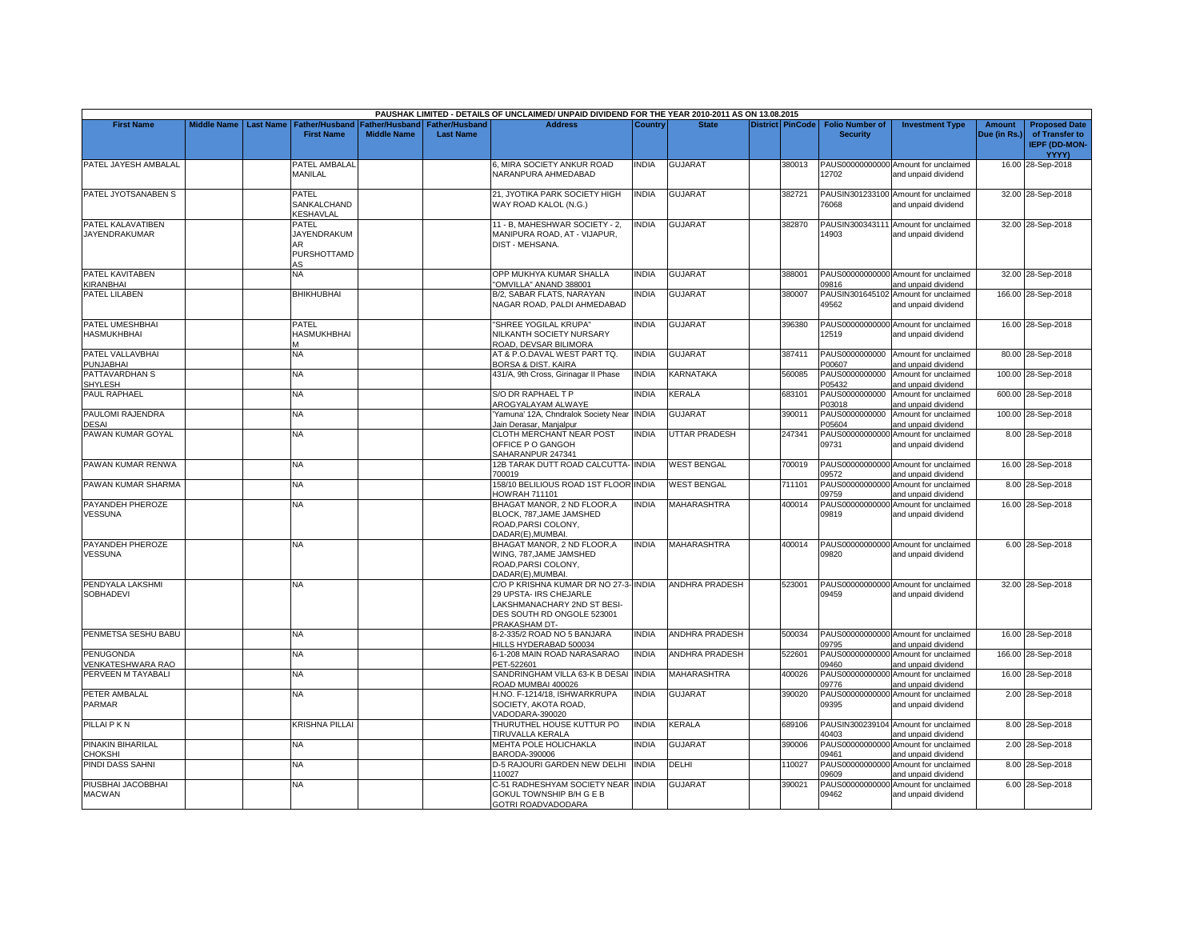|                                       |                         |                                                         |                                             |                                           | PAUSHAK LIMITED - DETAILS OF UNCLAIMED/ UNPAID DIVIDEND FOR THE YEAR 2010-2011 AS ON 13.08.2015                                               |              |                       |                         |                                           |                                                             |                        |                                                                         |
|---------------------------------------|-------------------------|---------------------------------------------------------|---------------------------------------------|-------------------------------------------|-----------------------------------------------------------------------------------------------------------------------------------------------|--------------|-----------------------|-------------------------|-------------------------------------------|-------------------------------------------------------------|------------------------|-------------------------------------------------------------------------|
| <b>First Name</b>                     | Middle Name   Last Name | Father/Husband<br><b>First Name</b>                     | <b>Father/Husband</b><br><b>Middle Name</b> | <b>Father/Husband</b><br><b>Last Name</b> | <b>Address</b>                                                                                                                                | Country      | <b>State</b>          | <b>District PinCode</b> | <b>Folio Number of</b><br><b>Security</b> | <b>Investment Type</b>                                      | Amount<br>Due (in Rs.) | <b>Proposed Date</b><br>of Transfer to<br><b>IEPF (DD-MON-</b><br>YYYY) |
| PATEL JAYESH AMBALAL                  |                         | PATEL AMBALAL<br>MANILAL                                |                                             |                                           | 6, MIRA SOCIETY ANKUR ROAD<br>NARANPURA AHMEDABAD                                                                                             | <b>INDIA</b> | <b>GUJARAT</b>        | 380013                  | 12702                                     | PAUS00000000000 Amount for unclaimed<br>and unpaid dividend |                        | 16.00 28-Sep-2018                                                       |
| PATEL JYOTSANABEN S                   |                         | PATEL<br>SANKALCHAND<br><b>KESHAVLAL</b>                |                                             |                                           | 21, JYOTIKA PARK SOCIETY HIGH<br>WAY ROAD KALOL (N.G.)                                                                                        | <b>NDIA</b>  | <b>GUJARAT</b>        | 382721                  | 76068                                     | PAUSIN301233100 Amount for unclaimed<br>and unpaid dividend |                        | 32.00 28-Sep-2018                                                       |
| PATEL KALAVATIBEN<br>JAYENDRAKUMAR    |                         | PATEL<br><b>JAYENDRAKUM</b><br>AR.<br>PURSHOTTAMD<br>AS |                                             |                                           | 11 - B, MAHESHWAR SOCIETY - 2,<br>MANIPURA ROAD, AT - VIJAPUR,<br>DIST - MEHSANA.                                                             | <b>INDIA</b> | <b>GUJARAT</b>        | 382870                  | 14903                                     | PAUSIN300343111 Amount for unclaimed<br>and unpaid dividend |                        | 32.00 28-Sep-2018                                                       |
| PATEL KAVITABEN<br>KIRANBHAI          |                         | <b>NA</b>                                               |                                             |                                           | OPP MUKHYA KUMAR SHALLA<br>'OMVILLA" ANAND 388001                                                                                             | <b>INDIA</b> | <b>GUJARAT</b>        | 388001                  | 09816                                     | PAUS00000000000 Amount for unclaimed<br>and unpaid dividend |                        | 32.00 28-Sep-2018                                                       |
| <b>PATEL LILABEN</b>                  |                         | <b>BHIKHUBHAI</b>                                       |                                             |                                           | B/2, SABAR FLATS, NARAYAN<br>NAGAR ROAD, PALDI AHMEDABAD                                                                                      | <b>INDIA</b> | GUJARAT               | 380007                  | 49562                                     | PAUSIN301645102 Amount for unclaimed<br>and unpaid dividend |                        | 166.00 28-Sep-2018                                                      |
| PATEL UMESHBHAI<br><b>HASMUKHBHAI</b> |                         | PATEL<br>HASMUKHBHAI                                    |                                             |                                           | "SHREE YOGILAL KRUPA"<br>NILKANTH SOCIETY NURSARY<br>ROAD, DEVSAR BILIMORA                                                                    | <b>INDIA</b> | <b>GUJARAT</b>        | 396380                  | 12519                                     | PAUS00000000000 Amount for unclaimed<br>and unpaid dividend |                        | 16.00 28-Sep-2018                                                       |
| PATEL VALLAVBHAI<br>PUNJABHAI         |                         | NA                                                      |                                             |                                           | AT & P.O.DAVAL WEST PART TQ.<br><b>BORSA &amp; DIST. KAIRA</b>                                                                                | INDIA        | GUJARAT               | 387411                  | P00607                                    | PAUS0000000000 Amount for unclaimed<br>and unpaid dividend  |                        | 80.00 28-Sep-2018                                                       |
| PATTAVARDHAN S<br>SHYLESH             |                         | NA                                                      |                                             |                                           | 431/A, 9th Cross, Girinagar II Phase                                                                                                          | <b>INDIA</b> | <b>KARNATAKA</b>      | 560085                  | PAUS0000000000<br>P05432                  | Amount for unclaimed<br>and unpaid dividend                 |                        | 100.00 28-Sep-2018                                                      |
| <b>PAUL RAPHAEL</b>                   |                         | NA                                                      |                                             |                                           | S/O DR RAPHAEL T P<br>AROGYALAYAM ALWAYE                                                                                                      | <b>INDIA</b> | KERALA                | 683101                  | PAUS0000000000<br>P03018                  | Amount for unclaimed<br>and unpaid dividend                 |                        | 600.00 28-Sep-2018                                                      |
| PAULOMI RAJENDRA<br><b>DESAI</b>      |                         | NA                                                      |                                             |                                           | Yamuna' 12A, Chndralok Society Near INDIA<br>Jain Derasar, Manjalpur                                                                          |              | <b>GUJARAT</b>        | 390011                  | PAUS0000000000<br>P05604                  | Amount for unclaimed<br>and unpaid dividend                 |                        | 100.00 28-Sep-2018                                                      |
| PAWAN KUMAR GOYAL                     |                         | NA.                                                     |                                             |                                           | CLOTH MERCHANT NEAR POST<br>OFFICE P O GANGOH<br>SAHARANPUR 247341                                                                            | <b>INDIA</b> | <b>UTTAR PRADESH</b>  | 247341                  | 09731                                     | PAUS00000000000 Amount for unclaimed<br>and unpaid dividend |                        | 8.00 28-Sep-2018                                                        |
| PAWAN KUMAR RENWA                     |                         | NA                                                      |                                             |                                           | 12B TARAK DUTT ROAD CALCUTTA- INDIA<br>700019                                                                                                 |              | <b>WEST BENGAL</b>    | 700019                  | 09572                                     | PAUS00000000000 Amount for unclaimed<br>and unpaid dividend |                        | 16.00 28-Sep-2018                                                       |
| PAWAN KUMAR SHARMA                    |                         | ΝA                                                      |                                             |                                           | 158/10 BELILIOUS ROAD 1ST FLOOR INDIA<br><b>HOWRAH 711101</b>                                                                                 |              | <b>WEST BENGAL</b>    | 711101                  | 09759                                     | PAUS00000000000 Amount for unclaimed<br>and unpaid dividend |                        | 8.00 28-Sep-2018                                                        |
| PAYANDEH PHEROZE<br>VESSUNA           |                         | NA.                                                     |                                             |                                           | BHAGAT MANOR, 2 ND FLOOR, A<br>BLOCK, 787, JAME JAMSHED<br>ROAD, PARSI COLONY,<br>DADAR(E).MUMBAI                                             | <b>INDIA</b> | MAHARASHTRA           | 400014                  | 09819                                     | PAUS00000000000 Amount for unclaimed<br>and unpaid dividend |                        | 16.00 28-Sep-2018                                                       |
| PAYANDEH PHEROZE<br><b>VESSUNA</b>    |                         | NA.                                                     |                                             |                                           | BHAGAT MANOR, 2 ND FLOOR, A<br>WING, 787, JAME JAMSHED<br>ROAD, PARSI COLONY,<br>DADAR(E), MUMBAI.                                            | <b>INDIA</b> | <b>MAHARASHTRA</b>    | 400014                  | 09820                                     | PAUS00000000000 Amount for unclaimed<br>and unpaid dividend |                        | 6.00 28-Sep-2018                                                        |
| PENDYALA LAKSHMI<br>SOBHADEVI         |                         | NA                                                      |                                             |                                           | C/O P KRISHNA KUMAR DR NO 27-3- INDIA<br>29 UPSTA- IRS CHEJARLE<br>LAKSHMANACHARY 2ND ST BESI-<br>DES SOUTH RD ONGOLE 523001<br>PRAKASHAM DT- |              | <b>ANDHRA PRADESH</b> | 523001                  | 09459                                     | PAUS00000000000 Amount for unclaimed<br>and unpaid dividend |                        | 32.00 28-Sep-2018                                                       |
| PENMETSA SESHU BABU                   |                         | <b>NA</b>                                               |                                             |                                           | 3-2-335/2 ROAD NO 5 BANJARA<br>HILLS HYDERABAD 500034                                                                                         | <b>INDIA</b> | <b>ANDHRA PRADESH</b> | 500034                  | 09795                                     | PAUS00000000000 Amount for unclaimed<br>and unpaid dividend |                        | 16.00 28-Sep-2018                                                       |
| <b>PENUGONDA</b><br>/ENKATESHWARA RAO |                         | NA.                                                     |                                             |                                           | 6-1-208 MAIN ROAD NARASARAO<br>PET-522601                                                                                                     | <b>INDIA</b> | <b>ANDHRA PRADESH</b> | 522601                  | 09460                                     | PAUS00000000000 Amount for unclaimed<br>and unpaid dividend |                        | 166.00 28-Sep-2018                                                      |
| PERVEEN M TAYABALI                    |                         | NA                                                      |                                             |                                           | SANDRINGHAM VILLA 63-K B DESA<br>ROAD MUMBAI 400026                                                                                           | <b>INDIA</b> | <b>MAHARASHTRA</b>    | 400026                  | 09776                                     | PAUS00000000000 Amount for unclaimed<br>and unpaid dividend |                        | 16.00 28-Sep-2018                                                       |
| PETER AMBALAL<br>PARMAR               |                         | NA.                                                     |                                             |                                           | H.NO. F-1214/18, ISHWARKRUPA<br>SOCIETY, AKOTA ROAD,<br>VADODARA-390020                                                                       | <b>INDIA</b> | <b>GUJARAT</b>        | 390020                  | 09395                                     | PAUS00000000000 Amount for unclaimed<br>and unpaid dividend |                        | 2.00 28-Sep-2018                                                        |
| PILLAI P K N                          |                         | KRISHNA PILLAI                                          |                                             |                                           | THURUTHEL HOUSE KUTTUR PO<br><b>TIRUVALLA KERALA</b>                                                                                          | <b>INDIA</b> | KERALA                | 689106                  | 40403                                     | PAUSIN300239104 Amount for unclaimed<br>and unpaid dividend |                        | 8.00 28-Sep-2018                                                        |
| PINAKIN BIHARILAL<br><b>CHOKSHI</b>   |                         | NA                                                      |                                             |                                           | MEHTA POLE HOLICHAKLA<br>BARODA-390006                                                                                                        | <b>INDIA</b> | <b>GUJARAT</b>        | 390006                  | 09461                                     | PAUS00000000000 Amount for unclaimed<br>and unpaid dividend |                        | 2.00 28-Sep-2018                                                        |
| PINDI DASS SAHNI                      |                         | NA                                                      |                                             |                                           | D-5 RAJOURI GARDEN NEW DELHI<br>110027                                                                                                        | <b>INDIA</b> | delhi                 | 110027                  | PAUS00000000000<br>09609                  | Amount for unclaimed<br>and unpaid dividend                 |                        | 8.00 28-Sep-2018                                                        |
| PIUSBHAI JACOBBHAI<br><b>MACWAN</b>   |                         | NA.                                                     |                                             |                                           | C-51 RADHESHYAM SOCIETY NEAR INDIA<br>GOKUL TOWNSHIP B/H G E B<br>GOTRI ROADVADODARA                                                          |              | <b>GUJARAT</b>        | 390021                  | PAUS00000000000<br>09462                  | Amount for unclaimed<br>and unpaid dividend                 |                        | 6.00 28-Sep-2018                                                        |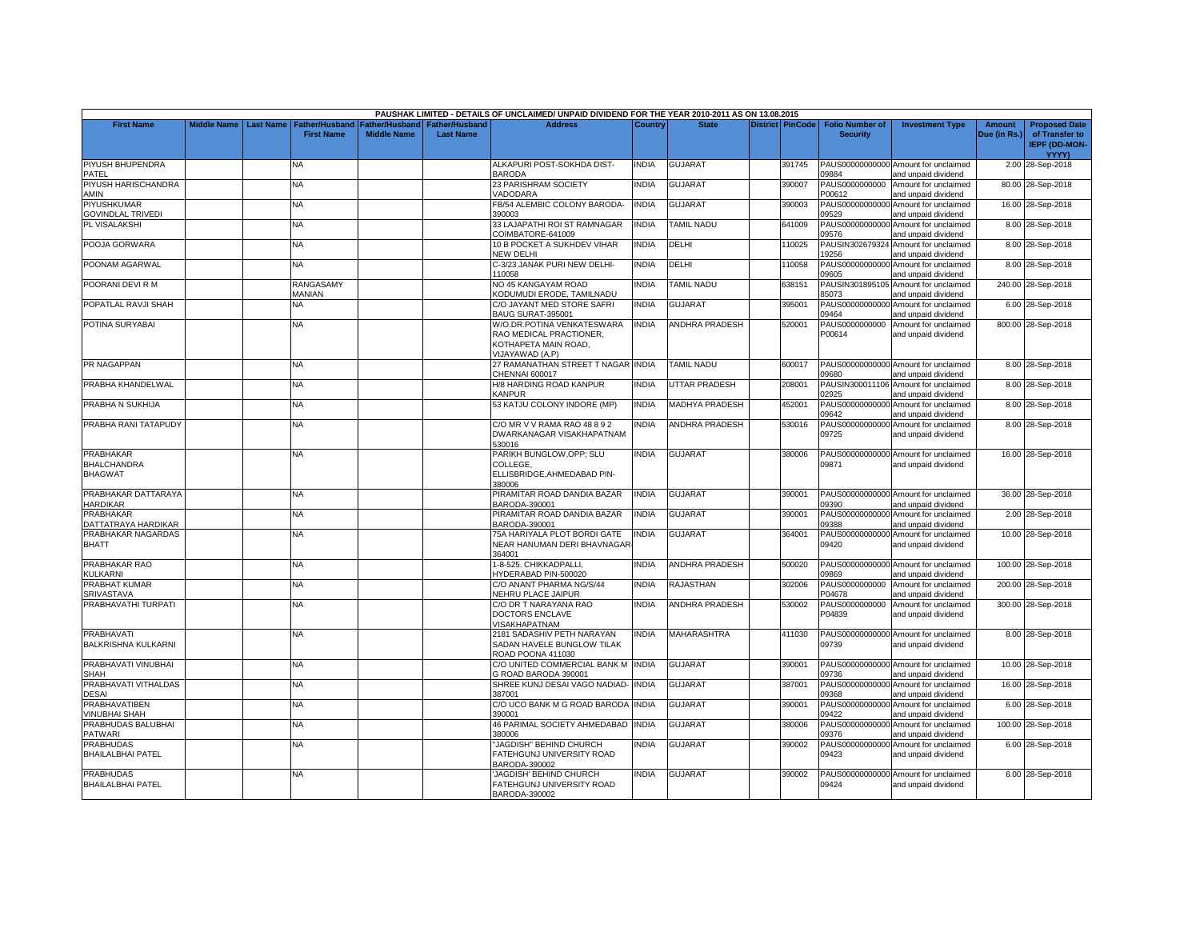|                                                          |                    |                  |                                            |                                      |                                           | PAUSHAK LIMITED - DETAILS OF UNCLAIMED/ UNPAID DIVIDEND FOR THE YEAR 2010-2011 AS ON 13.08.2015 |              |                       |                  |                                           |                                                             |                               |                                                                |
|----------------------------------------------------------|--------------------|------------------|--------------------------------------------|--------------------------------------|-------------------------------------------|-------------------------------------------------------------------------------------------------|--------------|-----------------------|------------------|-------------------------------------------|-------------------------------------------------------------|-------------------------------|----------------------------------------------------------------|
| <b>First Name</b>                                        | <b>Middle Name</b> | <b>Last Name</b> | <b>Father/Husband</b><br><b>First Name</b> | Father/Husband<br><b>Middle Name</b> | <b>Father/Husband</b><br><b>Last Name</b> | <b>Address</b>                                                                                  | Country      | <b>State</b>          | District PinCode | <b>Folio Number of</b><br><b>Security</b> | <b>Investment Type</b>                                      | <b>Amount</b><br>Due (in Rs.) | <b>Proposed Date</b><br>of Transfer to<br><b>IEPF (DD-MON-</b> |
|                                                          |                    |                  |                                            |                                      |                                           |                                                                                                 |              |                       |                  |                                           |                                                             |                               | YYYY)                                                          |
| PIYUSH BHUPENDRA<br>PATEL                                |                    |                  | NA                                         |                                      |                                           | ALKAPURI POST-SOKHDA DIST-<br><b>BARODA</b>                                                     | <b>NDIA</b>  | <b>GUJARAT</b>        | 391745           | 09884                                     | PAUS00000000000 Amount for unclaimed<br>and unpaid dividend |                               | 2.00 28-Sep-2018                                               |
| PIYUSH HARISCHANDRA<br>AMIN                              |                    |                  | <b>NA</b>                                  |                                      |                                           | 23 PARISHRAM SOCIETY<br>VADODARA                                                                | <b>INDIA</b> | <b>GUJARAT</b>        | 390007           | PAUS0000000000<br>P00612                  | Amount for unclaimed<br>and unpaid dividend                 |                               | 80.00 28-Sep-2018                                              |
| PIYUSHKUMAR<br><b>GOVINDLAL TRIVEDI</b>                  |                    |                  | <b>NA</b>                                  |                                      |                                           | FB/54 ALEMBIC COLONY BARODA-<br>390003                                                          | <b>INDIA</b> | <b>GUJARAT</b>        | 390003           | PAUS00000000000<br>09529                  | Amount for unclaimed<br>and unpaid dividend                 |                               | 16.00 28-Sep-2018                                              |
|                                                          |                    |                  |                                            |                                      |                                           |                                                                                                 |              |                       |                  |                                           |                                                             |                               |                                                                |
| PL VISALAKSHI                                            |                    |                  | NA                                         |                                      |                                           | 33 LAJAPATHI ROI ST RAMNAGAR<br>COIMBATORE-641009                                               | <b>NDIA</b>  | <b>TAMIL NADU</b>     | 641009           | PAUS00000000000<br>09576                  | Amount for unclaimed<br>and unpaid dividend                 |                               | 8.00 28-Sep-2018                                               |
| POOJA GORWARA                                            |                    |                  | <b>NA</b>                                  |                                      |                                           | 10 B POCKET A SUKHDEV VIHAR<br>NEW DELHI                                                        | <b>INDIA</b> | DELHI                 | 110025           | 19256                                     | PAUSIN302679324 Amount for unclaimed<br>and unpaid dividend |                               | 8.00 28-Sep-2018                                               |
| POONAM AGARWAL                                           |                    |                  | NA                                         |                                      |                                           | C-3/23 JANAK PURI NEW DELHI-<br>110058                                                          | INDIA        | DELHI                 | 110058           | PAUS00000000000<br>09605                  | Amount for unclaimed<br>and unpaid dividend                 |                               | 8.00 28-Sep-2018                                               |
| POORANI DEVI R M                                         |                    |                  | RANGASAMY<br><b>MANIAN</b>                 |                                      |                                           | NO 45 KANGAYAM ROAD<br>KODUMUDI ERODE, TAMILNADU                                                | <b>NDIA</b>  | <b>TAMIL NADU</b>     | 638151           | PAUSIN301895105<br>85073                  | Amount for unclaimed<br>and unpaid dividend                 |                               | 240.00 28-Sep-2018                                             |
| POPATLAL RAVJI SHAH                                      |                    |                  | NA                                         |                                      |                                           | C/O JAYANT MED STORE SAFRI                                                                      | <b>NDIA</b>  | <b>GUJARAT</b>        | 395001           | PAUS00000000000                           | Amount for unclaimed                                        |                               | 6.00 28-Sep-2018                                               |
| POTINA SURYABAI                                          |                    |                  | <b>NA</b>                                  |                                      |                                           | BAUG SURAT-395001<br>W/O.DR.POTINA VENKATESWARA                                                 | <b>INDIA</b> | <b>ANDHRA PRADESH</b> | 520001           | 09464<br>PAUS0000000000                   | and unpaid dividend<br>Amount for unclaimed                 |                               | 800.00 28-Sep-2018                                             |
|                                                          |                    |                  |                                            |                                      |                                           | RAO MEDICAL PRACTIONER.<br>KOTHAPETA MAIN ROAD,<br>VIJAYAWAD (A.P)                              |              |                       |                  | P00614                                    | and unpaid dividend                                         |                               |                                                                |
| <b>PR NAGAPPAN</b>                                       |                    |                  | <b>NA</b>                                  |                                      |                                           | 27 RAMANATHAN STREET T NAGAR INDIA<br>CHENNAI 600017                                            |              | TAMIL NADU            | 600017           | 09680                                     | PAUS00000000000 Amount for unclaimed<br>and unpaid dividend |                               | 8.00 28-Sep-2018                                               |
| PRABHA KHANDELWAL                                        |                    |                  | <b>NA</b>                                  |                                      |                                           | H/8 HARDING ROAD KANPUR<br><b>KANPUR</b>                                                        | <b>NDIA</b>  | UTTAR PRADESH         | 208001           | 02925                                     | PAUSIN300011106 Amount for unclaimed<br>and unpaid dividend |                               | 8.00 28-Sep-2018                                               |
| PRABHA N SUKHIJA                                         |                    |                  | NA                                         |                                      |                                           | 53 KATJU COLONY INDORE (MP)                                                                     | <b>INDIA</b> | <b>MADHYA PRADESH</b> | 452001           | PAUS00000000000<br>09642                  | Amount for unclaimed<br>and unpaid dividend                 |                               | 8.00 28-Sep-2018                                               |
| PRABHA RANI TATAPUDY                                     |                    |                  | NA                                         |                                      |                                           | C/O MR V V RAMA RAO 48 8 9 2<br>DWARKANAGAR VISAKHAPATNAM<br>530016                             | <b>NDIA</b>  | <b>ANDHRA PRADESH</b> | 530016           | 09725                                     | PAUS00000000000 Amount for unclaimed<br>and unpaid dividend |                               | 8.00 28-Sep-2018                                               |
| <b>PRABHAKAR</b><br><b>BHALCHANDRA</b><br><b>BHAGWAT</b> |                    |                  | NA.                                        |                                      |                                           | PARIKH BUNGLOW, OPP; SLU<br>COLLEGE,<br>ELLISBRIDGE, AHMEDABAD PIN-<br>380006                   | <b>NDIA</b>  | <b>GUJARAT</b>        | 380006           | 09871                                     | PAUS00000000000 Amount for unclaimed<br>and unpaid dividend |                               | 16.00 28-Sep-2018                                              |
| PRABHAKAR DATTARAYA<br><b>HARDIKAR</b>                   |                    |                  | <b>NA</b>                                  |                                      |                                           | PIRAMITAR ROAD DANDIA BAZAR<br>BARODA-390001                                                    | <b>INDIA</b> | <b>GUJARAT</b>        | 390001           | 09390                                     | PAUS00000000000 Amount for unclaimed<br>and unpaid dividend |                               | 36.00 28-Sep-2018                                              |
| PRABHAKAR<br>DATTATRAYA HARDIKAR                         |                    |                  | <b>NA</b>                                  |                                      |                                           | PIRAMITAR ROAD DANDIA BAZAR<br>BARODA-390001                                                    | <b>INDIA</b> | <b>GUJARAT</b>        | 390001           | PAUS00000000000<br>09388                  | Amount for unclaimed<br>and unpaid dividend                 |                               | 2.00 28-Sep-2018                                               |
| PRABHAKAR NAGARDAS                                       |                    |                  | NA                                         |                                      |                                           | 75A HARIYALA PLOT BORDI GATE                                                                    | <b>NDIA</b>  | <b>GUJARAT</b>        | 364001           | PAUS00000000000                           | Amount for unclaimed                                        |                               | 10.00 28-Sep-2018                                              |
| <b>BHATT</b>                                             |                    |                  |                                            |                                      |                                           | NEAR HANUMAN DERI BHAVNAGAR<br>364001                                                           |              |                       |                  | 09420                                     | and unpaid dividend                                         |                               |                                                                |
| PRABHAKAR RAO<br>KULKARNI                                |                    |                  | <b>NA</b>                                  |                                      |                                           | 1-8-525. CHIKKADPALLI,<br>HYDERABAD PIN-500020                                                  | INDIA        | <b>ANDHRA PRADESH</b> | 500020           | 09869                                     | PAUS00000000000 Amount for unclaimed<br>and unpaid dividend |                               | 100.00 28-Sep-2018                                             |
| PRABHAT KUMAR                                            |                    |                  | NA                                         |                                      |                                           | C/O ANANT PHARMA NG/S/44                                                                        | <b>INDIA</b> | RAJASTHAN             | 302006           | PAUS0000000000                            | Amount for unclaimed                                        |                               | 200.00 28-Sep-2018                                             |
| SRIVASTAVA                                               |                    |                  |                                            |                                      |                                           | NEHRU PLACE JAIPUR                                                                              |              |                       |                  | P04678                                    | and unpaid dividend                                         |                               |                                                                |
| PRABHAVATHI TURPATI                                      |                    |                  | NA                                         |                                      |                                           | C/O DR T NARAYANA RAO<br>DOCTORS ENCLAVE<br>VISAKHAPATNAM                                       | <b>INDIA</b> | <b>ANDHRA PRADESH</b> | 530002           | PAUS0000000000<br>P04839                  | Amount for unclaimed<br>and unpaid dividend                 |                               | 300.00 28-Sep-2018                                             |
| PRABHAVATI<br><b>BALKRISHNA KULKARNI</b>                 |                    |                  | NA                                         |                                      |                                           | 2181 SADASHIV PETH NARAYAN<br>SADAN HAVELE BUNGLOW TILAK<br>ROAD POONA 411030                   | <b>NDIA</b>  | <b>MAHARASHTRA</b>    | 411030           | 09739                                     | PAUS00000000000 Amount for unclaimed<br>and unpaid dividend |                               | 8.00 28-Sep-2018                                               |
| PRABHAVATI VINUBHAI<br>SHAH                              |                    |                  | <b>NA</b>                                  |                                      |                                           | C/O UNITED COMMERCIAL BANK M INDIA<br>G ROAD BARODA 390001                                      |              | <b>GUJARAT</b>        | 390001           | 09736                                     | PAUS00000000000 Amount for unclaimed<br>and unpaid dividend |                               | 10.00 28-Sep-2018                                              |
| PRABHAVATI VITHALDAS<br><b>DESAI</b>                     |                    |                  | <b>NA</b>                                  |                                      |                                           | SHREE KUNJ DESAI VAGO NADIAD- INDIA<br>387001                                                   |              | <b>GUJARAT</b>        | 387001           | 09368                                     | PAUS00000000000 Amount for unclaimed<br>and unpaid dividend |                               | 16.00 28-Sep-2018                                              |
| <b>PRABHAVATIBEN</b><br><b>VINUBHAI SHAH</b>             |                    |                  | NA                                         |                                      |                                           | C/O UCO BANK M G ROAD BARODA<br>390001                                                          | <b>INDIA</b> | GUJARAT               | 390001           | 09422                                     | PAUS00000000000 Amount for unclaimed<br>and unpaid dividend |                               | 6.00 28-Sep-2018                                               |
| PRABHUDAS BALUBHAI                                       |                    |                  | <b>NA</b>                                  |                                      |                                           | 46 PARIMAL SOCIETY AHMEDABAD                                                                    | <b>INDIA</b> | <b>GUJARAT</b>        | 380006           | PAUS00000000000                           | Amount for unclaimed                                        |                               | 100.00 28-Sep-2018                                             |
| <b>PATWARI</b><br><b>PRABHUDAS</b>                       |                    |                  | <b>NA</b>                                  |                                      |                                           | 380006<br>"JAGDISH" BEHIND CHURCH                                                               | INDIA        | <b>GUJARAT</b>        | 390002           | 09376<br>PAUS00000000000                  | and unpaid dividend<br>Amount for unclaimed                 |                               | 6.00 28-Sep-2018                                               |
| <b>BHAILALBHAI PATEL</b>                                 |                    |                  |                                            |                                      |                                           | FATEHGUNJ UNIVERSITY ROAD<br>BARODA-390002                                                      |              |                       |                  | 09423                                     | and unpaid dividend                                         |                               |                                                                |
| <b>PRABHUDAS</b><br><b>BHAILALBHAI PATEL</b>             |                    |                  | <b>NA</b>                                  |                                      |                                           | JAGDISH' BEHIND CHURCH<br>FATEHGUNJ UNIVERSITY ROAD<br>BARODA-390002                            | <b>NDIA</b>  | <b>GUJARAT</b>        | 390002           | 09424                                     | PAUS00000000000 Amount for unclaimed<br>and unpaid dividend |                               | 6.00 28-Sep-2018                                               |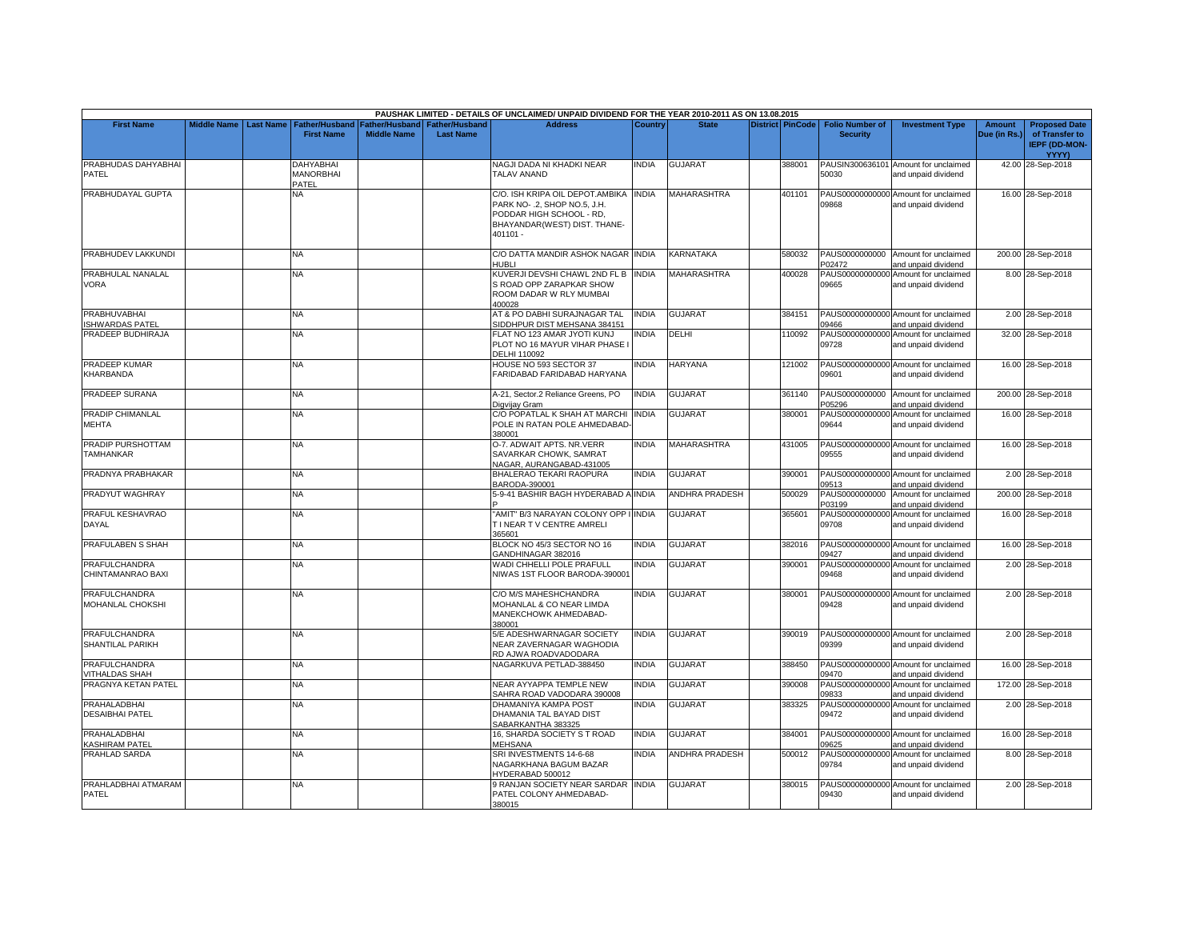|                                               |                    |                  |                                               |                                      |                                           | PAUSHAK LIMITED - DETAILS OF UNCLAIMED/ UNPAID DIVIDEND FOR THE YEAR 2010-2011 AS ON 13.08.2015                                               |              |                       |                         |                                           |                                                                                    |                               |                                                                                |
|-----------------------------------------------|--------------------|------------------|-----------------------------------------------|--------------------------------------|-------------------------------------------|-----------------------------------------------------------------------------------------------------------------------------------------------|--------------|-----------------------|-------------------------|-------------------------------------------|------------------------------------------------------------------------------------|-------------------------------|--------------------------------------------------------------------------------|
| <b>First Name</b>                             | <b>Middle Name</b> | <b>Last Name</b> | <b>Father/Husband</b><br><b>First Name</b>    | Father/Husband<br><b>Middle Name</b> | <b>Father/Husband</b><br><b>Last Name</b> | <b>Address</b>                                                                                                                                | Country      | <b>State</b>          | <b>District PinCode</b> | <b>Folio Number of</b><br><b>Security</b> | <b>Investment Type</b>                                                             | <b>Amount</b><br>Due (in Rs.) | <b>Proposed Date</b><br>of Transfer to<br><b>IEPF (DD-MON-</b><br><b>YYYY)</b> |
| PRABHUDAS DAHYABHAI<br>PATEL                  |                    |                  | <b>DAHYABHAI</b><br><b>MANORBHAI</b><br>PATEL |                                      |                                           | NAGJI DADA NI KHADKI NEAR<br>TALAV ANAND                                                                                                      | INDIA        | <b>GUJARAT</b>        | 388001                  | 50030                                     | PAUSIN300636101 Amount for unclaimed<br>and unpaid dividend                        |                               | 42.00 28-Sep-2018                                                              |
| PRABHUDAYAL GUPTA                             |                    |                  | NA                                            |                                      |                                           | C/O. ISH KRIPA OIL DEPOT.AMBIKA INDIA<br>PARK NO- .2. SHOP NO.5. J.H.<br>PODDAR HIGH SCHOOL - RD,<br>BHAYANDAR(WEST) DIST. THANE-<br>401101 - |              | <b>MAHARASHTRA</b>    | 401101                  | 09868                                     | PAUS00000000000 Amount for unclaimed<br>and unpaid dividend                        |                               | 16.00 28-Sep-2018                                                              |
| PRABHUDEV LAKKUNDI                            |                    |                  | NA                                            |                                      |                                           | C/O DATTA MANDIR ASHOK NAGAR INDIA<br>HUBLI                                                                                                   |              | KARNATAKA             | 580032                  | PAUS0000000000<br>P02472                  | Amount for unclaimed<br>and unpaid dividend                                        |                               | 200.00 28-Sep-2018                                                             |
| PRABHULAL NANALAL<br><b>VORA</b>              |                    |                  | NA.                                           |                                      |                                           | KUVERJI DEVSHI CHAWL 2ND FL B<br>S ROAD OPP ZARAPKAR SHOW<br>ROOM DADAR W RLY MUMBAI<br>400028                                                | <b>INDIA</b> | <b>MAHARASHTRA</b>    | 400028                  | 09665                                     | PAUS00000000000 Amount for unclaimed<br>and unpaid dividend                        |                               | 8.00 28-Sep-2018                                                               |
| PRABHUVABHAI<br><b>ISHWARDAS PATEL</b>        |                    |                  | NA                                            |                                      |                                           | AT & PO DABHI SURAJNAGAR TAL<br>SIDDHPUR DIST MEHSANA 384151                                                                                  | <b>INDIA</b> | <b>GUJARAT</b>        | 384151                  | 09466                                     | PAUS00000000000 Amount for unclaimed                                               |                               | 2.00 28-Sep-2018                                                               |
| PRADEEP BUDHIRAJA                             |                    |                  | NA                                            |                                      |                                           | FLAT NO 123 AMAR JYOTI KUNJ<br>PLOT NO 16 MAYUR VIHAR PHASE<br>DELHI 110092                                                                   | <b>INDIA</b> | DELHI                 | 110092                  | 09728                                     | and unpaid dividend<br>PAUS00000000000 Amount for unclaimed<br>and unpaid dividend |                               | 32.00 28-Sep-2018                                                              |
| PRADEEP KUMAR<br>KHARBANDA                    |                    |                  | ΝA                                            |                                      |                                           | HOUSE NO 593 SECTOR 37<br>FARIDABAD FARIDABAD HARYANA                                                                                         | <b>INDIA</b> | <b>HARYANA</b>        | 121002                  | 09601                                     | PAUS00000000000 Amount for unclaimed<br>and unpaid dividend                        |                               | 16.00 28-Sep-2018                                                              |
| PRADEEP SURANA                                |                    |                  | NA                                            |                                      |                                           | A-21, Sector.2 Reliance Greens, PO<br>Digvijay Gram                                                                                           | <b>INDIA</b> | GUJARAT               | 361140                  | P05296                                    | PAUS0000000000 Amount for unclaimed<br>and unpaid dividend                         |                               | 200.00 28-Sep-2018                                                             |
| PRADIP CHIMANLAL<br>MEHTA                     |                    |                  | NA                                            |                                      |                                           | C/O POPATLAL K SHAH AT MARCHI<br>POLE IN RATAN POLE AHMEDABAD-<br>380001                                                                      | <b>INDIA</b> | <b>GUJARAT</b>        | 380001                  | 09644                                     | PAUS00000000000 Amount for unclaimed<br>and unpaid dividend                        |                               | 16.00 28-Sep-2018                                                              |
| PRADIP PURSHOTTAM<br><b>TAMHANKAR</b>         |                    |                  | <b>NA</b>                                     |                                      |                                           | O-7. ADWAIT APTS. NR.VERR<br>SAVARKAR CHOWK, SAMRAT<br>VAGAR, AURANGABAD-431005                                                               | <b>INDIA</b> | MAHARASHTRA           | 431005                  | 09555                                     | PAUS00000000000 Amount for unclaimed<br>and unpaid dividend                        |                               | 16.00 28-Sep-2018                                                              |
| PRADNYA PRABHAKAR                             |                    |                  | NA                                            |                                      |                                           | BHALERAO TEKARI RAOPURA<br>BARODA-390001                                                                                                      | <b>INDIA</b> | GUJARAT               | 390001                  | 09513                                     | PAUS00000000000 Amount for unclaimed<br>and unpaid dividend                        |                               | 2.00 28-Sep-2018                                                               |
| PRADYUT WAGHRAY                               |                    |                  | NA.                                           |                                      |                                           | 5-9-41 BASHIR BAGH HYDERABAD                                                                                                                  | <b>INDIA</b> | <b>ANDHRA PRADESH</b> | 500029                  | PAUS0000000000<br>P03199                  | Amount for unclaimed<br>and unpaid dividend                                        |                               | 200.00 28-Sep-2018                                                             |
| PRAFUL KESHAVRAO<br><b>DAYAL</b>              |                    |                  | NA                                            |                                      |                                           | "AMIT" B/3 NARAYAN COLONY OPP I INDIA<br>T I NEAR T V CENTRE AMRELI<br>365601                                                                 |              | <b>GUJARAT</b>        | 365601                  | 09708                                     | PAUS00000000000 Amount for unclaimed<br>and unpaid dividend                        |                               | 16.00 28-Sep-2018                                                              |
| PRAFULABEN S SHAH                             |                    |                  | NΑ                                            |                                      |                                           | BLOCK NO 45/3 SECTOR NO 16<br>GANDHINAGAR 382016                                                                                              | <b>INDIA</b> | <b>GUJARAT</b>        | 382016                  | 09427                                     | PAUS00000000000 Amount for unclaimed<br>and unpaid dividend                        |                               | 16.00 28-Sep-2018                                                              |
| <b>PRAFULCHANDRA</b><br>CHINTAMANRAO BAXI     |                    |                  | NA                                            |                                      |                                           | WADI CHHELLI POLE PRAFULL<br>NIWAS 1ST FLOOR BARODA-390001                                                                                    | <b>INDIA</b> | <b>GUJARAT</b>        | 390001                  | 09468                                     | PAUS00000000000 Amount for unclaimed<br>and unpaid dividend                        |                               | 2.00 28-Sep-2018                                                               |
| <b>PRAFULCHANDRA</b><br>MOHANLAL CHOKSHI      |                    |                  | NA                                            |                                      |                                           | C/O M/S MAHESHCHANDRA<br>MOHANLAL & CO NEAR LIMDA<br>MANEKCHOWK AHMEDABAD-<br>380001                                                          | <b>INDIA</b> | <b>GUJARAT</b>        | 380001                  | 09428                                     | PAUS00000000000 Amount for unclaimed<br>and unpaid dividend                        |                               | 2.00 28-Sep-2018                                                               |
| <b>PRAFULCHANDRA</b><br>SHANTILAL PARIKH      |                    |                  | NA.                                           |                                      |                                           | 5/E ADESHWARNAGAR SOCIETY<br>NEAR ZAVERNAGAR WAGHODIA<br>RD AJWA ROADVADODARA                                                                 | <b>INDIA</b> | GUJARAT               | 390019                  | 09399                                     | PAUS00000000000 Amount for unclaimed<br>and unpaid dividend                        |                               | 2.00 28-Sep-2018                                                               |
| PRAFULCHANDRA<br><b>/ITHALDAS SHAH</b>        |                    |                  | NA                                            |                                      |                                           | NAGARKUVA PETLAD-388450                                                                                                                       | INDIA        | <b>GUJARAT</b>        | 388450                  | 09470                                     | PAUS00000000000 Amount for unclaimed<br>and unpaid dividend                        |                               | 16.00 28-Sep-2018                                                              |
| PRAGNYA KETAN PATEL                           |                    |                  | NA                                            |                                      |                                           | NEAR AYYAPPA TEMPLE NEW<br>SAHRA ROAD VADODARA 390008                                                                                         | <b>INDIA</b> | <b>GUJARAT</b>        | 390008                  | 09833                                     | PAUS00000000000 Amount for unclaimed<br>and unpaid dividend                        |                               | 172.00 28-Sep-2018                                                             |
| <b>PRAHALADBHAI</b><br><b>DESAIBHAI PATEL</b> |                    |                  | NA.                                           |                                      |                                           | DHAMANIYA KAMPA POST<br>DHAMANIA TAL BAYAD DIST<br>SABARKANTHA 383325                                                                         | <b>INDIA</b> | GUJARAT               | 383325                  | 09472                                     | PAUS00000000000 Amount for unclaimed<br>and unpaid dividend                        |                               | 2.00 28-Sep-2018                                                               |
| PRAHALADBHAI<br><b>KASHIRAM PATEL</b>         |                    |                  | NA                                            |                                      |                                           | 16. SHARDA SOCIETY S T ROAD<br>MEHSANA                                                                                                        | <b>INDIA</b> | <b>GUJARAT</b>        | 384001                  | 09625                                     | PAUS00000000000 Amount for unclaimed<br>and unpaid dividend                        |                               | 16.00 28-Sep-2018                                                              |
| <b>PRAHLAD SARDA</b>                          |                    |                  | ΝA                                            |                                      |                                           | SRI INVESTMENTS 14-6-68<br>NAGARKHANA BAGUM BAZAR<br>HYDERABAD 500012                                                                         | <b>INDIA</b> | <b>ANDHRA PRADESH</b> | 500012                  | 09784                                     | PAUS00000000000 Amount for unclaimed<br>and unpaid dividend                        |                               | 8.00 28-Sep-2018                                                               |
| PRAHLADBHAI ATMARAM<br>PATEL                  |                    |                  | NA.                                           |                                      |                                           | 9 RANJAN SOCIETY NEAR SARDAR INDIA<br>PATEL COLONY AHMEDABAD-<br>380015                                                                       |              | <b>GUJARAT</b>        | 380015                  | 09430                                     | PAUS00000000000 Amount for unclaimed<br>and unpaid dividend                        |                               | 2.00 28-Sep-2018                                                               |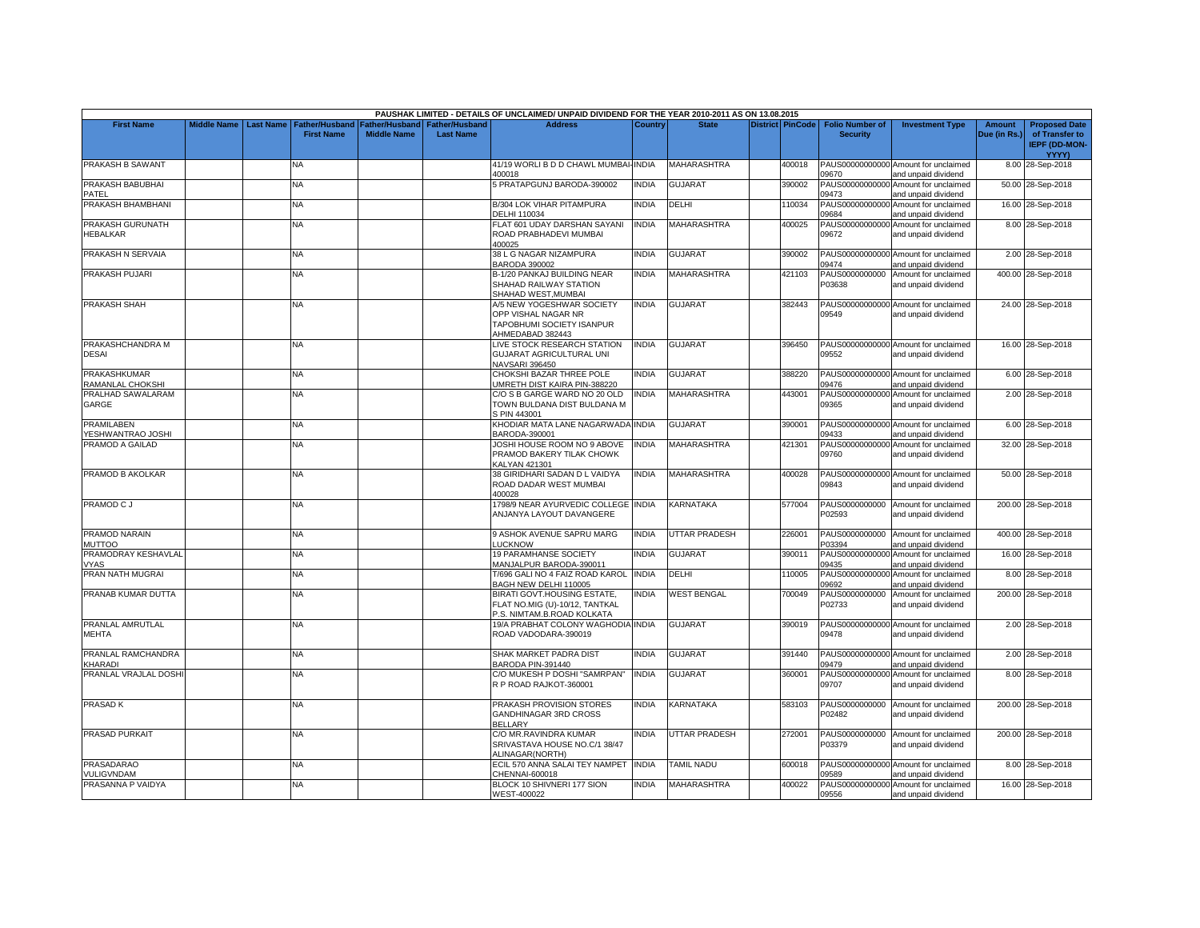|                                  |                    |                  |                                            |                                      |                                           | PAUSHAK LIMITED - DETAILS OF UNCLAIMED/ UNPAID DIVIDEND FOR THE YEAR 2010-2011 AS ON 13.08.2015 |              |                      |                  |                                           |                                                             |                               |                                                                |
|----------------------------------|--------------------|------------------|--------------------------------------------|--------------------------------------|-------------------------------------------|-------------------------------------------------------------------------------------------------|--------------|----------------------|------------------|-------------------------------------------|-------------------------------------------------------------|-------------------------------|----------------------------------------------------------------|
| <b>First Name</b>                | <b>Middle Name</b> | <b>Last Name</b> | <b>Father/Husband</b><br><b>First Name</b> | Father/Husband<br><b>Middle Name</b> | <b>Father/Husband</b><br><b>Last Name</b> | <b>Address</b>                                                                                  | Country      | <b>State</b>         | District PinCode | <b>Folio Number of</b><br><b>Security</b> | <b>Investment Type</b>                                      | <b>Amount</b><br>Due (in Rs.) | <b>Proposed Date</b><br>of Transfer to<br><b>IEPF (DD-MON-</b> |
| PRAKASH B SAWANT                 |                    |                  | NA                                         |                                      |                                           | 41/19 WORLI B D D CHAWL MUMBAI-INDIA                                                            |              | MAHARASHTRA          |                  |                                           | PAUS00000000000 Amount for unclaimed                        |                               | YYYY)                                                          |
|                                  |                    |                  |                                            |                                      |                                           | 400018                                                                                          |              |                      | 400018           | 09670                                     | and unpaid dividend                                         |                               | 8.00 28-Sep-2018                                               |
| PRAKASH BABUBHAI<br>PATEL        |                    |                  | <b>NA</b>                                  |                                      |                                           | 5 PRATAPGUNJ BARODA-390002                                                                      | <b>NDIA</b>  | <b>GUJARAT</b>       | 390002           | PAUS00000000000<br>09473                  | Amount for unclaimed<br>and unpaid dividend                 |                               | 50.00 28-Sep-2018                                              |
| PRAKASH BHAMBHANI                |                    |                  | <b>NA</b>                                  |                                      |                                           | <b>B/304 LOK VIHAR PITAMPURA</b><br>DELHI 110034                                                | <b>INDIA</b> | DELHI                | 110034           | PAUS00000000000<br>09684                  | Amount for unclaimed<br>and unpaid dividend                 |                               | 16.00 28-Sep-2018                                              |
| PRAKASH GURUNATH                 |                    |                  | NA.                                        |                                      |                                           | FLAT 601 UDAY DARSHAN SAYANI                                                                    | <b>INDIA</b> | MAHARASHTRA          | 400025           |                                           | PAUS00000000000 Amount for unclaimed                        |                               | 8.00 28-Sep-2018                                               |
| HEBALKAR                         |                    |                  |                                            |                                      |                                           | ROAD PRABHADEVI MUMBAI<br>400025                                                                |              |                      |                  | 09672                                     | and unpaid dividend                                         |                               |                                                                |
| PRAKASH N SERVAIA                |                    |                  | NA.                                        |                                      |                                           | 38 L G NAGAR NIZAMPURA<br><b>BARODA 390002</b>                                                  | <b>INDIA</b> | <b>GUJARAT</b>       | 390002           | 09474                                     | PAUS00000000000 Amount for unclaimed<br>and unpaid dividend |                               | 2.00 28-Sep-2018                                               |
| PRAKASH PUJARI                   |                    |                  | <b>NA</b>                                  |                                      |                                           | B-1/20 PANKAJ BUILDING NEAR                                                                     | <b>INDIA</b> | <b>MAHARASHTRA</b>   | 421103           | PAUS0000000000                            | Amount for unclaimed                                        |                               | 400.00 28-Sep-2018                                             |
|                                  |                    |                  |                                            |                                      |                                           | SHAHAD RAILWAY STATION<br>SHAHAD WEST, MUMBAI                                                   |              |                      |                  | P03638                                    | and unpaid dividend                                         |                               |                                                                |
| <b>PRAKASH SHAH</b>              |                    |                  | <b>NA</b>                                  |                                      |                                           | A/5 NEW YOGESHWAR SOCIETY                                                                       | <b>NDIA</b>  | <b>GUJARAT</b>       | 382443           |                                           | PAUS00000000000 Amount for unclaimed                        |                               | 24.00 28-Sep-2018                                              |
|                                  |                    |                  |                                            |                                      |                                           | OPP VISHAL NAGAR NR<br>TAPOBHUMI SOCIETY ISANPUR                                                |              |                      |                  | 09549                                     | and unpaid dividend                                         |                               |                                                                |
|                                  |                    |                  |                                            |                                      |                                           | AHMEDABAD 382443                                                                                |              |                      |                  |                                           |                                                             |                               |                                                                |
| PRAKASHCHANDRA M<br><b>DESAI</b> |                    |                  | NA                                         |                                      |                                           | LIVE STOCK RESEARCH STATION<br>GUJARAT AGRICULTURAL UNI                                         | <b>INDIA</b> | <b>GUJARAT</b>       | 396450           | 09552                                     | PAUS00000000000 Amount for unclaimed<br>and unpaid dividend |                               | 16.00 28-Sep-2018                                              |
| <b>PRAKASHKUMAR</b>              |                    |                  | NA.                                        |                                      |                                           | NAVSARI 396450<br>CHOKSHI BAZAR THREE POLE                                                      | <b>INDIA</b> | <b>GUJARAT</b>       | 388220           |                                           | PAUS00000000000 Amount for unclaimed                        |                               | 6.00 28-Sep-2018                                               |
| RAMANLAL CHOKSHI                 |                    |                  |                                            |                                      |                                           | JMRETH DIST KAIRA PIN-388220                                                                    |              |                      |                  | 09476                                     | and unpaid dividend                                         |                               |                                                                |
| PRALHAD SAWALARAM<br>GARGE       |                    |                  | <b>NA</b>                                  |                                      |                                           | C/O S B GARGE WARD NO 20 OLD<br>TOWN BULDANA DIST BULDANA M                                     | <b>INDIA</b> | <b>MAHARASHTRA</b>   | 443001           | PAUS00000000000<br>09365                  | Amount for unclaimed<br>and unpaid dividend                 |                               | 2.00 28-Sep-2018                                               |
|                                  |                    |                  |                                            |                                      |                                           | S PIN 443001                                                                                    |              |                      |                  |                                           |                                                             |                               |                                                                |
| PRAMILABEN                       |                    |                  | <b>NA</b>                                  |                                      |                                           | KHODIAR MATA LANE NAGARWADA INDIA                                                               |              | <b>GUJARAT</b>       | 390001           |                                           | PAUS00000000000 Amount for unclaimed                        |                               | 6.00 28-Sep-2018                                               |
| <b>/ESHWANTRAO JOSHI</b>         |                    |                  |                                            |                                      |                                           | BARODA-390001                                                                                   |              |                      |                  | 09433                                     | and unpaid dividend                                         |                               |                                                                |
| PRAMOD A GAILAD                  |                    |                  | NA.                                        |                                      |                                           | JOSHI HOUSE ROOM NO 9 ABOVE<br>PRAMOD BAKERY TILAK CHOWK                                        | <b>INDIA</b> | <b>MAHARASHTRA</b>   | 421301           | PAUS00000000000<br>09760                  | Amount for unclaimed                                        |                               | 32.00 28-Sep-2018                                              |
|                                  |                    |                  |                                            |                                      |                                           | KALYAN 421301                                                                                   |              |                      |                  |                                           | and unpaid dividend                                         |                               |                                                                |
| PRAMOD B AKOLKAR                 |                    |                  | NΑ                                         |                                      |                                           | 38 GIRIDHARI SADAN D L VAIDYA                                                                   | <b>INDIA</b> | <b>MAHARASHTRA</b>   | 400028           |                                           | PAUS00000000000 Amount for unclaimed                        |                               | 50.00 28-Sep-2018                                              |
|                                  |                    |                  |                                            |                                      |                                           | ROAD DADAR WEST MUMBAI                                                                          |              |                      |                  | 09843                                     | and unpaid dividend                                         |                               |                                                                |
| PRAMOD C J                       |                    |                  | NA.                                        |                                      |                                           | 400028<br>1798/9 NEAR AYURVEDIC COLLEGE INDIA                                                   |              | KARNATAKA            | 577004           | PAUS0000000000                            |                                                             |                               |                                                                |
|                                  |                    |                  |                                            |                                      |                                           | ANJANYA LAYOUT DAVANGERE                                                                        |              |                      |                  | P02593                                    | Amount for unclaimed<br>and unpaid dividend                 |                               | 200.00 28-Sep-2018                                             |
|                                  |                    |                  |                                            |                                      |                                           |                                                                                                 |              |                      |                  |                                           |                                                             |                               |                                                                |
| PRAMOD NARAIN                    |                    |                  | NA                                         |                                      |                                           | 9 ASHOK AVENUE SAPRU MARG                                                                       | <b>NDIA</b>  | UTTAR PRADESH        | 226001           | PAUS0000000000                            | Amount for unclaimed                                        |                               | 400.00 28-Sep-2018                                             |
| MUTTOO<br>PRAMODRAY KESHAVLAL    |                    |                  | NA                                         |                                      |                                           | LUCKNOW<br><b>19 PARAMHANSE SOCIETY</b>                                                         | <b>INDIA</b> | <b>GUJARAT</b>       | 390011           | P03394<br>PAUS00000000000                 | and unpaid dividend<br>Amount for unclaimed                 |                               | 16.00 28-Sep-2018                                              |
| /YAS                             |                    |                  |                                            |                                      |                                           | MANJALPUR BARODA-390011                                                                         |              |                      |                  | 09435                                     | and unpaid dividend                                         |                               |                                                                |
| PRAN NATH MUGRAI                 |                    |                  | <b>NA</b>                                  |                                      |                                           | T/696 GALI NO 4 FAIZ ROAD KAROL INDIA                                                           |              | DELHI                | 110005           | PAUS00000000000                           | Amount for unclaimed                                        |                               | 8.00 28-Sep-2018                                               |
| PRANAB KUMAR DUTTA               |                    |                  | NA                                         |                                      |                                           | BAGH NEW DELHI 110005<br>BIRATI GOVT.HOUSING ESTATE,                                            | <b>NDIA</b>  | <b>WEST BENGAL</b>   | 700049           | 09692<br>PAUS0000000000                   | and unpaid dividend<br>Amount for unclaimed                 |                               | 200.00 28-Sep-2018                                             |
|                                  |                    |                  |                                            |                                      |                                           | FLAT NO.MIG (U)-10/12, TANTKAL                                                                  |              |                      |                  | P02733                                    | and unpaid dividend                                         |                               |                                                                |
|                                  |                    |                  |                                            |                                      |                                           | P.S. NIMTAM.B.ROAD KOLKATA                                                                      |              |                      |                  |                                           |                                                             |                               |                                                                |
| PRANLAL AMRUTLAL                 |                    |                  | NA                                         |                                      |                                           | 19/A PRABHAT COLONY WAGHODIA INDIA                                                              |              | <b>GUJARAT</b>       | 390019           |                                           | PAUS00000000000 Amount for unclaimed                        |                               | 2.00 28-Sep-2018                                               |
| MEHTA                            |                    |                  |                                            |                                      |                                           | ROAD VADODARA-390019                                                                            |              |                      |                  | 09478                                     | and unpaid dividend                                         |                               |                                                                |
| PRANLAL RAMCHANDRA               |                    |                  | <b>NA</b>                                  |                                      |                                           | SHAK MARKET PADRA DIST                                                                          | <b>NDIA</b>  | <b>GUJARAT</b>       | 391440           |                                           | PAUS00000000000 Amount for unclaimed                        |                               | 2.00 28-Sep-2018                                               |
| <b>CHARADI</b>                   |                    |                  |                                            |                                      |                                           | BARODA PIN-391440                                                                               |              |                      |                  | 09479                                     | and unpaid dividend                                         |                               |                                                                |
| PRANLAL VRAJLAL DOSHI            |                    |                  | <b>NA</b>                                  |                                      |                                           | C/O MUKESH P DOSHI "SAMRPAN"<br>R P ROAD RAJKOT-360001                                          | <b>NDIA</b>  | <b>GUJARAT</b>       | 360001           | 09707                                     | PAUS00000000000 Amount for unclaimed<br>and unpaid dividend |                               | 8.00 28-Sep-2018                                               |
|                                  |                    |                  |                                            |                                      |                                           |                                                                                                 |              |                      |                  |                                           |                                                             |                               |                                                                |
| PRASAD K                         |                    |                  | <b>NA</b>                                  |                                      |                                           | PRAKASH PROVISION STORES<br>GANDHINAGAR 3RD CROSS                                               | <b>NDIA</b>  | KARNATAKA            | 583103           | P02482                                    | PAUS0000000000 Amount for unclaimed<br>and unpaid dividend  |                               | 200.00 28-Sep-2018                                             |
|                                  |                    |                  |                                            |                                      |                                           | <b>BELLARY</b>                                                                                  |              |                      |                  |                                           |                                                             |                               |                                                                |
| <b>PRASAD PURKAIT</b>            |                    |                  | NA.                                        |                                      |                                           | C/O MR.RAVINDRA KUMAR                                                                           | <b>INDIA</b> | <b>UTTAR PRADESH</b> | 272001           |                                           | PAUS0000000000 Amount for unclaimed                         |                               | 200.00 28-Sep-2018                                             |
|                                  |                    |                  |                                            |                                      |                                           | SRIVASTAVA HOUSE NO.C/1 38/47                                                                   |              |                      |                  | P03379                                    | and unpaid dividend                                         |                               |                                                                |
| <b>PRASADARAO</b>                |                    |                  | NA                                         |                                      |                                           | ALINAGAR(NORTH)<br>ECIL 570 ANNA SALAI TEY NAMPET                                               | <b>INDIA</b> | <b>TAMIL NADU</b>    | 600018           |                                           | PAUS00000000000 Amount for unclaimed                        |                               | 8.00 28-Sep-2018                                               |
| VULIGVNDAM                       |                    |                  |                                            |                                      |                                           | CHENNAI-600018                                                                                  |              |                      |                  | 09589                                     | and unpaid dividend                                         |                               |                                                                |
| PRASANNA P VAIDYA                |                    |                  | <b>NA</b>                                  |                                      |                                           | BLOCK 10 SHIVNERI 177 SION                                                                      | <b>NDIA</b>  | <b>MAHARASHTRA</b>   | 400022           |                                           | PAUS00000000000 Amount for unclaimed                        |                               | 16.00 28-Sep-2018                                              |
|                                  |                    |                  |                                            |                                      |                                           | WEST-400022                                                                                     |              |                      |                  | 09556                                     | and unpaid dividend                                         |                               |                                                                |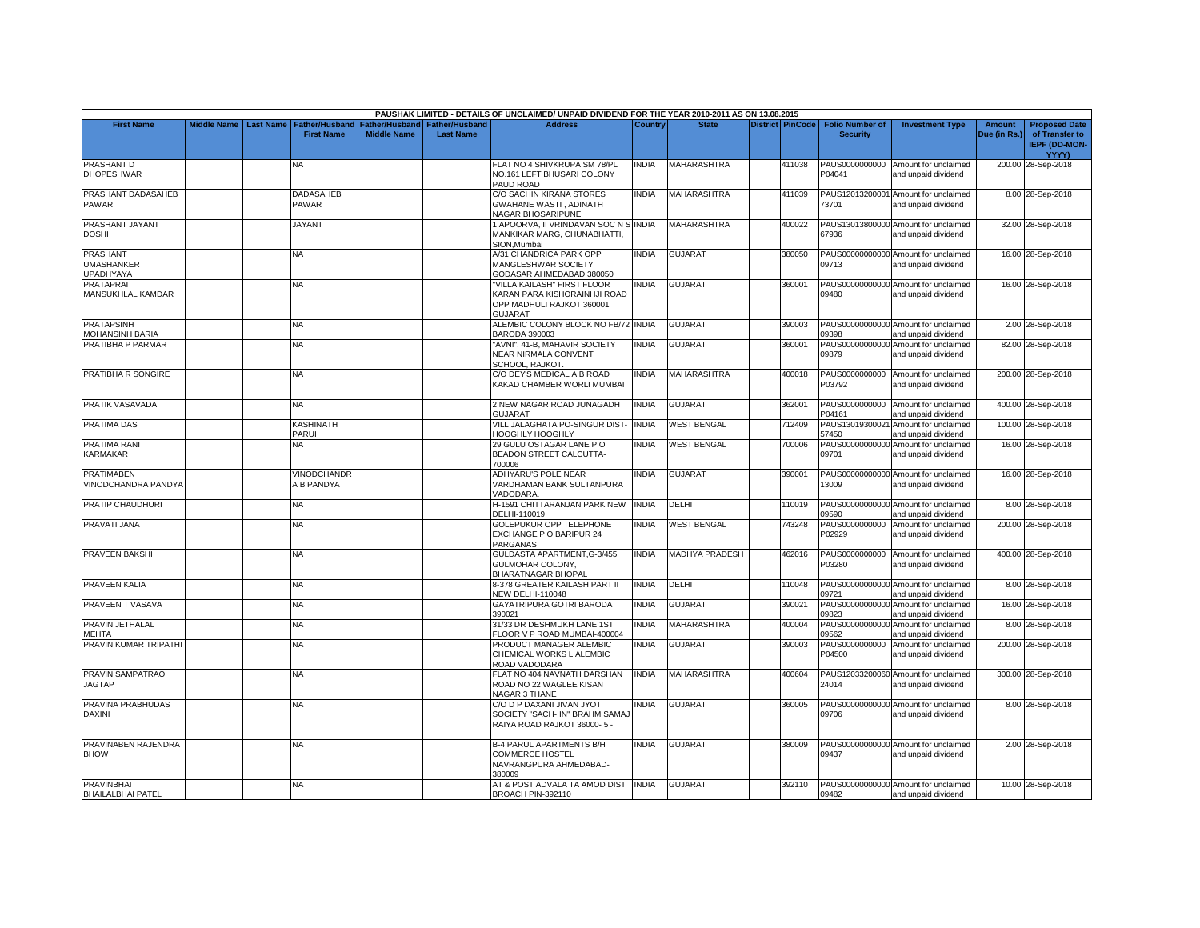|                                               |                    |           |                                            |                                      |                                           | PAUSHAK LIMITED - DETAILS OF UNCLAIMED/ UNPAID DIVIDEND FOR THE YEAR 2010-2011 AS ON 13.08.2015    |              |                       |                         |                                           |                                                             |                               |                                                                         |
|-----------------------------------------------|--------------------|-----------|--------------------------------------------|--------------------------------------|-------------------------------------------|----------------------------------------------------------------------------------------------------|--------------|-----------------------|-------------------------|-------------------------------------------|-------------------------------------------------------------|-------------------------------|-------------------------------------------------------------------------|
| <b>First Name</b>                             | <b>Middle Name</b> | Last Name | <b>Father/Husband</b><br><b>First Name</b> | Father/Husband<br><b>Middle Name</b> | <b>Father/Husband</b><br><b>Last Name</b> | <b>Address</b>                                                                                     | Country      | <b>State</b>          | <b>District PinCode</b> | <b>Folio Number of</b><br><b>Security</b> | <b>Investment Type</b>                                      | <b>Amount</b><br>Due (in Rs.) | <b>Proposed Date</b><br>of Transfer to<br><b>IEPF (DD-MON-</b><br>YYYY) |
| PRASHANT D<br><b>DHOPESHWAR</b>               |                    |           | NA                                         |                                      |                                           | FLAT NO 4 SHIVKRUPA SM 78/PL<br>NO.161 LEFT BHUSARI COLONY<br>PAUD ROAD                            | <b>INDIA</b> | MAHARASHTRA           | 411038                  | PAUS0000000000<br>P04041                  | Amount for unclaimed<br>and unpaid dividend                 |                               | 200.00 28-Sep-2018                                                      |
| PRASHANT DADASAHEB<br>PAWAR                   |                    |           | <b>DADASAHEB</b><br>PAWAR                  |                                      |                                           | C/O SACHIN KIRANA STORES<br>GWAHANE WASTI, ADINATH<br>NAGAR BHOSARIPUNE                            | <b>INDIA</b> | MAHARASHTRA           | 411039                  | 73701                                     | PAUS12013200001 Amount for unclaimed<br>and unpaid dividend |                               | 8.00 28-Sep-2018                                                        |
| PRASHANT JAYANT<br>DOSHI                      |                    |           | <b>JAYANT</b>                              |                                      |                                           | I APOORVA, II VRINDAVAN SOC N S INDIA<br>MANKIKAR MARG, CHUNABHATTI,<br>SION, Mumbai               |              | <b>MAHARASHTRA</b>    | 400022                  | 67936                                     | PAUS13013800000 Amount for unclaimed<br>and unpaid dividend |                               | 32.00 28-Sep-2018                                                       |
| PRASHANT<br>UMASHANKER<br><b>UPADHYAYA</b>    |                    |           | NA                                         |                                      |                                           | A/31 CHANDRICA PARK OPP<br>MANGLESHWAR SOCIETY<br>GODASAR AHMEDABAD 380050                         | <b>INDIA</b> | <b>GUJARAT</b>        | 380050                  | 09713                                     | PAUS00000000000 Amount for unclaimed<br>and unpaid dividend |                               | 16.00 28-Sep-2018                                                       |
| <b>PRATAPRAI</b><br>MANSUKHLAL KAMDAR         |                    |           | NA                                         |                                      |                                           | VILLA KAILASH" FIRST FLOOR<br>KARAN PARA KISHORAINHJI ROAD<br>OPP MADHULI RAJKOT 360001<br>GUJARAT | <b>INDIA</b> | <b>GUJARAT</b>        | 360001                  | 09480                                     | PAUS00000000000 Amount for unclaimed<br>and unpaid dividend |                               | 16.00 28-Sep-2018                                                       |
| <b>PRATAPSINH</b><br><b>MOHANSINH BARIA</b>   |                    |           | <b>NA</b>                                  |                                      |                                           | ALEMBIC COLONY BLOCK NO FB/72 INDIA<br><b>BARODA 390003</b>                                        |              | <b>GUJARAT</b>        | 390003                  | 09398                                     | PAUS00000000000 Amount for unclaimed<br>and unpaid dividend |                               | 2.00 28-Sep-2018                                                        |
| PRATIBHA P PARMAR                             |                    |           | <b>NA</b>                                  |                                      |                                           | "AVNI", 41-B, MAHAVIR SOCIETY<br>NEAR NIRMALA CONVENT<br>SCHOOL, RAJKOT.                           | <b>INDIA</b> | <b>GUJARAT</b>        | 360001                  | 09879                                     | PAUS00000000000 Amount for unclaimed<br>and unpaid dividend |                               | 82.00 28-Sep-2018                                                       |
| PRATIBHA R SONGIRE                            |                    |           | NA                                         |                                      |                                           | C/O DEY'S MEDICAL A B ROAD<br>KAKAD CHAMBER WORLI MUMBAI                                           | <b>INDIA</b> | <b>MAHARASHTRA</b>    | 400018                  | PAUS0000000000<br>P03792                  | Amount for unclaimed<br>and unpaid dividend                 |                               | 200.00 28-Sep-2018                                                      |
| PRATIK VASAVADA                               |                    |           | NA                                         |                                      |                                           | 2 NEW NAGAR ROAD JUNAGADH<br><b>GUJARAT</b>                                                        | <b>INDIA</b> | <b>GUJARAT</b>        | 362001                  | PAUS0000000000<br>P04161                  | Amount for unclaimed<br>and unpaid dividend                 |                               | 400.00 28-Sep-2018                                                      |
| PRATIMA DAS                                   |                    |           | KASHINATH<br>PARUI                         |                                      |                                           | VILL JALAGHATA PO-SINGUR DIST<br>HOOGHLY HOOGHLY                                                   | <b>INDIA</b> | <b>WEST BENGAL</b>    | 712409                  | PAUS13019300021<br>57450                  | Amount for unclaimed<br>and unpaid dividend                 |                               | 100.00 28-Sep-2018                                                      |
| PRATIMA RANI<br>KARMAKAR                      |                    |           | <b>NA</b>                                  |                                      |                                           | 29 GULU OSTAGAR LANE PO<br>BEADON STREET CALCUTTA-<br>700006                                       | <b>INDIA</b> | <b>WEST BENGAL</b>    | 700006                  | 09701                                     | PAUS00000000000 Amount for unclaimed<br>and unpaid dividend |                               | 16.00 28-Sep-2018                                                       |
| <b>PRATIMABEN</b><br>VINODCHANDRA PANDYA      |                    |           | VINODCHANDR<br>A B PANDYA                  |                                      |                                           | ADHYARU'S POLE NEAR<br>VARDHAMAN BANK SULTANPURA<br>VADODARA                                       | <b>INDIA</b> | GUJARAT               | 390001                  | 13009                                     | PAUS00000000000 Amount for unclaimed<br>and unpaid dividend |                               | 16.00 28-Sep-2018                                                       |
| PRATIP CHAUDHURI                              |                    |           | NA                                         |                                      |                                           | H-1591 CHITTARANJAN PARK NEW<br>DELHI-110019                                                       | <b>INDIA</b> | DELHI                 | 110019                  | 09590                                     | PAUS00000000000 Amount for unclaimed<br>and unpaid dividend |                               | 8.00 28-Sep-2018                                                        |
| PRAVATI JANA                                  |                    |           | NA                                         |                                      |                                           | GOLEPUKUR OPP TELEPHONE<br>EXCHANGE P O BARIPUR 24<br>PARGANAS                                     | <b>INDIA</b> | <b>WEST BENGAL</b>    | 743248                  | PAUS0000000000<br>P02929                  | Amount for unclaimed<br>and unpaid dividend                 |                               | 200.00 28-Sep-2018                                                      |
| <b>PRAVEEN BAKSHI</b>                         |                    |           | <b>NA</b>                                  |                                      |                                           | GULDASTA APARTMENT, G-3/455<br>GULMOHAR COLONY,<br>BHARATNAGAR BHOPAL                              | <b>INDIA</b> | <b>MADHYA PRADESH</b> | 462016                  | PAUS0000000000<br>P03280                  | Amount for unclaimed<br>and unpaid dividend                 |                               | 400.00 28-Sep-2018                                                      |
| <b>PRAVEEN KALIA</b>                          |                    |           | NA                                         |                                      |                                           | 8-378 GREATER KAILASH PART II<br>NEW DELHI-110048                                                  | <b>INDIA</b> | <b>DELHI</b>          | 110048                  | 09721                                     | PAUS00000000000 Amount for unclaimed<br>and unpaid dividend |                               | 8.00 28-Sep-2018                                                        |
| PRAVEEN T VASAVA                              |                    |           | NA                                         |                                      |                                           | GAYATRIPURA GOTRI BARODA<br>390021                                                                 | <b>INDIA</b> | GUJARAT               | 390021                  | 09823                                     | PAUS00000000000 Amount for unclaimed<br>and unpaid dividend |                               | 16.00 28-Sep-2018                                                       |
| PRAVIN JETHALAL<br>MEHTA                      |                    |           | <b>NA</b>                                  |                                      |                                           | 31/33 DR DESHMUKH LANE 1ST<br>LOOR V P ROAD MUMBAI-400004                                          | <b>INDIA</b> | MAHARASHTRA           | 400004                  | PAUS00000000000<br>09562                  | Amount for unclaimed<br>and unpaid dividend                 |                               | 8.00 28-Sep-2018                                                        |
| PRAVIN KUMAR TRIPATHI                         |                    |           | <b>NA</b>                                  |                                      |                                           | PRODUCT MANAGER ALEMBIC<br>CHEMICAL WORKS L ALEMBIC<br>ROAD VADODARA                               | <b>INDIA</b> | <b>GUJARAT</b>        | 390003                  | PAUS0000000000<br>P04500                  | Amount for unclaimed<br>and unpaid dividend                 |                               | 200.00 28-Sep-2018                                                      |
| PRAVIN SAMPATRAO<br><b>JAGTAP</b>             |                    |           | <b>NA</b>                                  |                                      |                                           | FLAT NO 404 NAVNATH DARSHAN<br>ROAD NO 22 WAGLEE KISAN<br>NAGAR 3 THANE                            | <b>INDIA</b> | <b>MAHARASHTRA</b>    | 400604                  | 24014                                     | PAUS12033200060 Amount for unclaimed<br>and unpaid dividend |                               | 300.00 28-Sep-2018                                                      |
| PRAVINA PRABHUDAS<br><b>DAXINI</b>            |                    |           | NA                                         |                                      |                                           | C/O D P DAXANI JIVAN JYOT<br>SOCIETY "SACH- IN" BRAHM SAMAJ<br>RAIYA ROAD RAJKOT 36000-5 -         | <b>INDIA</b> | <b>GUJARAT</b>        | 360005                  | 09706                                     | PAUS00000000000 Amount for unclaimed<br>and unpaid dividend |                               | 8.00 28-Sep-2018                                                        |
| PRAVINABEN RAJENDRA<br><b>BHOW</b>            |                    |           | <b>NA</b>                                  |                                      |                                           | <b>B-4 PARUL APARTMENTS B/H</b><br><b>COMMERCE HOSTEL</b><br>NAVRANGPURA AHMEDABAD-<br>380009      | <b>INDIA</b> | <b>GUJARAT</b>        | 380009                  | 09437                                     | PAUS00000000000 Amount for unclaimed<br>and unpaid dividend |                               | 2.00 28-Sep-2018                                                        |
| <b>PRAVINBHAI</b><br><b>BHAILALBHAI PATEL</b> |                    |           | <b>NA</b>                                  |                                      |                                           | AT & POST ADVALA TA AMOD DIST<br>BROACH PIN-392110                                                 | <b>INDIA</b> | <b>GUJARAT</b>        | 392110                  | 09482                                     | PAUS00000000000 Amount for unclaimed<br>and unpaid dividend |                               | 10.00 28-Sep-2018                                                       |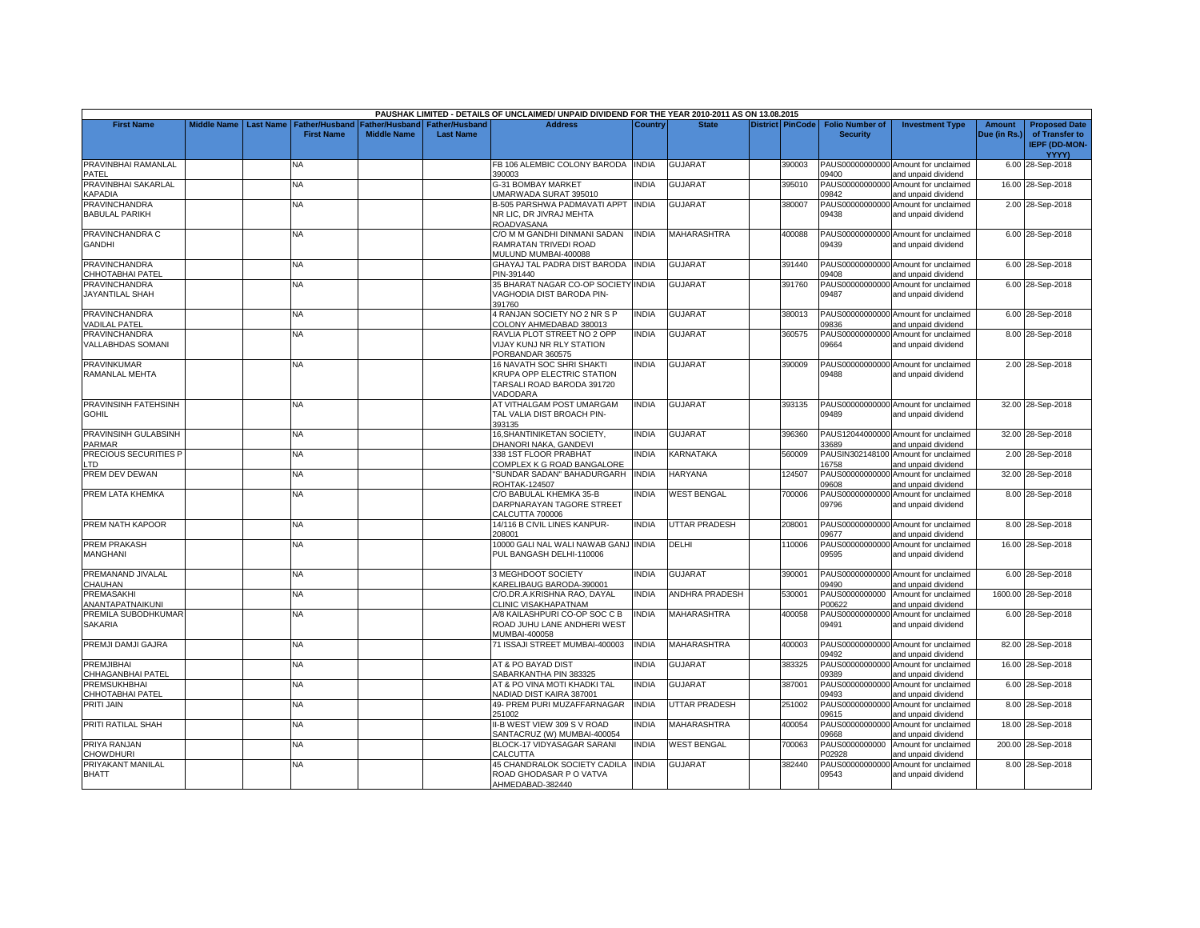|                                                |                    |                  |                                            |                                      |                                           | PAUSHAK LIMITED - DETAILS OF UNCLAIMED/ UNPAID DIVIDEND FOR THE YEAR 2010-2011 AS ON 13.08.2015   |                |                       |                    |                                                     |                                                             |                               |                                                                         |
|------------------------------------------------|--------------------|------------------|--------------------------------------------|--------------------------------------|-------------------------------------------|---------------------------------------------------------------------------------------------------|----------------|-----------------------|--------------------|-----------------------------------------------------|-------------------------------------------------------------|-------------------------------|-------------------------------------------------------------------------|
| <b>First Name</b>                              | <b>Middle Name</b> | <b>Last Name</b> | <b>Father/Husband</b><br><b>First Name</b> | Father/Husband<br><b>Middle Name</b> | <b>Father/Husband</b><br><b>Last Name</b> | <b>Address</b>                                                                                    | <b>Country</b> | <b>State</b>          |                    | District PinCode Folio Number of<br><b>Security</b> | <b>Investment Type</b>                                      | <b>Amount</b><br>Due (in Rs.) | <b>Proposed Date</b><br>of Transfer to<br><b>IEPF (DD-MON-</b><br>YYYY) |
| PRAVINBHAI RAMANLAL<br>PATEL                   |                    |                  | NA                                         |                                      |                                           | FB 106 ALEMBIC COLONY BARODA<br>390003                                                            | <b>INDIA</b>   | <b>GUJARAT</b>        | 390003             | 00490                                               | PAUS00000000000 Amount for unclaimed<br>and unpaid dividend |                               | 6.00 28-Sep-2018                                                        |
| PRAVINBHAI SAKARLAL<br>KAPADIA                 |                    |                  | <b>NA</b>                                  |                                      |                                           | G-31 BOMBAY MARKET<br><b>JMARWADA SURAT 395010</b>                                                | <b>INDIA</b>   | <b>GUJARAT</b>        | 395010             | 09842                                               | PAUS00000000000 Amount for unclaimed<br>and unpaid dividend |                               | 16.00 28-Sep-2018                                                       |
| PRAVINCHANDRA<br><b>BABULAL PARIKH</b>         |                    |                  | <b>NA</b>                                  |                                      |                                           | B-505 PARSHWA PADMAVATI APPT INDIA<br>NR LIC. DR JIVRAJ MEHTA<br><b>ROADVASANA</b>                |                | <b>GUJARAT</b>        | 380007             | 09438                                               | PAUS00000000000 Amount for unclaimed<br>and unpaid dividend |                               | 2.00 28-Sep-2018                                                        |
| PRAVINCHANDRA C<br><b>GANDHI</b>               |                    |                  | <b>NA</b>                                  |                                      |                                           | C/O M M GANDHI DINMANI SADAN<br>RAMRATAN TRIVEDI ROAD<br>MULUND MUMBAI-400088                     | <b>INDIA</b>   | <b>MAHARASHTRA</b>    | 400088             | 09439                                               | PAUS00000000000 Amount for unclaimed<br>and unpaid dividend |                               | 6.00 28-Sep-2018                                                        |
| PRAVINCHANDRA<br>CHHOTABHAI PATEL              |                    |                  | <b>NA</b>                                  |                                      |                                           | GHAYAJ TAL PADRA DIST BARODA<br>PIN-391440                                                        | <b>INDIA</b>   | <b>GUJARAT</b>        | 391440             | 9408                                                | PAUS00000000000 Amount for unclaimed<br>and unpaid dividend |                               | 6.00 28-Sep-2018                                                        |
| <b>PRAVINCHANDRA</b><br><b>JAYANTILAL SHAH</b> |                    |                  | <b>NA</b>                                  |                                      |                                           | 35 BHARAT NAGAR CO-OP SOCIETY INDIA<br>VAGHODIA DIST BARODA PIN-<br>391760                        |                | <b>GUJARAT</b>        | 391760             | 09487                                               | PAUS00000000000 Amount for unclaimed<br>and unpaid dividend |                               | 6.00 28-Sep-2018                                                        |
| <b>PRAVINCHANDRA</b><br><b>VADILAL PATEL</b>   |                    |                  | ΝA                                         |                                      |                                           | 4 RANJAN SOCIETY NO 2 NR S P<br>COLONY AHMEDABAD 380013                                           | INDIA          | <b>GUJARAT</b>        | 380013             | 09836                                               | PAUS00000000000 Amount for unclaimed<br>and unpaid dividend |                               | 6.00 28-Sep-2018                                                        |
| PRAVINCHANDRA<br>VALLABHDAS SOMANI             |                    |                  | NA                                         |                                      |                                           | RAVLIA PLOT STREET NO 2 OPP<br>VIJAY KUNJ NR RLY STATION<br>PORBANDAR 360575                      | <b>INDIA</b>   | <b>GUJARAT</b>        | 360575             | 09664                                               | PAUS00000000000 Amount for unclaimed<br>and unpaid dividend |                               | 8.00 28-Sep-2018                                                        |
| <b>PRAVINKUMAR</b><br>RAMANLAL MEHTA           |                    |                  | NA                                         |                                      |                                           | 16 NAVATH SOC SHRI SHAKTI<br>KRUPA OPP ELECTRIC STATION<br>TARSALI ROAD BARODA 391720<br>VADODARA | INDIA          | <b>GUJARAT</b>        | 390009             | 09488                                               | PAUS00000000000 Amount for unclaimed<br>and unpaid dividend |                               | 2.00 28-Sep-2018                                                        |
| PRAVINSINH FATEHSINH<br>GOHIL                  |                    |                  | <b>NA</b>                                  |                                      |                                           | AT VITHALGAM POST UMARGAM<br>TAL VALIA DIST BROACH PIN-<br>393135                                 | INDIA          | <b>GUJARAT</b>        | 393135             | 09489                                               | PAUS00000000000 Amount for unclaimed<br>and unpaid dividend |                               | 32.00 28-Sep-2018                                                       |
| PRAVINSINH GULABSINH<br><b>PARMAR</b>          |                    |                  | <b>NA</b>                                  |                                      |                                           | 16, SHANTINIKETAN SOCIETY,<br>DHANORI NAKA, GANDEVI                                               | <b>INDIA</b>   | <b>GUJARAT</b>        | 396360             | 33689                                               | PAUS12044000000 Amount for unclaimed<br>and unpaid dividend |                               | 32.00 28-Sep-2018                                                       |
| PRECIOUS SECURITIES P<br><b>TD</b>             |                    |                  | NA                                         |                                      |                                           | 338 1ST FLOOR PRABHAT<br>COMPLEX K G ROAD BANGALORE                                               | <b>INDIA</b>   | KARNATAKA             | 560009             | 16758                                               | PAUSIN302148100 Amount for unclaimed<br>and unpaid dividend |                               | 2.00 28-Sep-2018                                                        |
| PREM DEV DEWAN                                 |                    |                  | <b>NA</b>                                  |                                      |                                           | "SUNDAR SADAN" BAHADURGARH<br>ROHTAK-124507                                                       | <b>INDIA</b>   | <b>HARYANA</b>        | 124507             | AUS00000000000<br>9608                              | Amount for unclaimed<br>and unpaid dividend                 |                               | 32.00 28-Sep-2018                                                       |
| PREM LATA KHEMKA                               |                    |                  | <b>NA</b>                                  |                                      |                                           | C/O BABULAL KHEMKA 35-B<br>DARPNARAYAN TAGORE STREET<br>CALCUTTA 700006                           | <b>INDIA</b>   | <b>WEST BENGAL</b>    | 700006             | PAUS00000000000<br>09796                            | Amount for unclaimed<br>and unpaid dividend                 |                               | 8.00 28-Sep-2018                                                        |
| PREM NATH KAPOOR                               |                    |                  | <b>NA</b>                                  |                                      |                                           | 14/116 B CIVIL LINES KANPUR-<br>208001                                                            | <b>INDIA</b>   | <b>UTTAR PRADESH</b>  | 208001             | 09677                                               | PAUS00000000000 Amount for unclaimed<br>and unpaid dividend |                               | 8.00 28-Sep-2018                                                        |
| <b>PREM PRAKASH</b><br><b>MANGHANI</b>         |                    |                  | <b>NA</b>                                  |                                      |                                           | 10000 GALI NAL WALI NAWAB GANJ INDIA<br>PUL BANGASH DELHI-110006                                  |                | <b>DELHI</b>          | 110006             | 09595                                               | PAUS00000000000 Amount for unclaimed<br>and unpaid dividend |                               | 16.00 28-Sep-2018                                                       |
| PREMANAND JIVALAL<br>CHAUHAN                   |                    |                  | <b>NA</b>                                  |                                      |                                           | 3 MEGHDOOT SOCIETY<br>KARELIBAUG BARODA-390001                                                    | <b>INDIA</b>   | <b>GUJARAT</b>        | 390001             | 09490                                               | PAUS00000000000 Amount for unclaimed<br>and unpaid dividend |                               | 6.00 28-Sep-2018                                                        |
| PREMASAKHI<br>ANANTAPATNAIKUNI                 |                    |                  | <b>NA</b>                                  |                                      |                                           | C/O.DR.A.KRISHNA RAO, DAYAL<br>CLINIC VISAKHAPATNAM                                               | <b>INDIA</b>   | <b>ANDHRA PRADESH</b> | 53000 <sup>-</sup> | PAUS0000000000<br>200622                            | Amount for unclaimed<br>and unpaid dividend                 |                               | 1600.00 28-Sep-2018                                                     |
| PREMILA SUBODHKUMAR<br><b>SAKARIA</b>          |                    |                  | <b>NA</b>                                  |                                      |                                           | A/8 KAILASHPURI CO-OP SOC C B<br>ROAD JUHU LANE ANDHERI WEST<br>MUMBAI-400058                     | <b>INDIA</b>   | <b>MAHARASHTRA</b>    | 400058             | 09491                                               | PAUS00000000000 Amount for unclaimed<br>and unpaid dividend |                               | 6.00 28-Sep-2018                                                        |
| PREMJI DAMJI GAJRA                             |                    |                  | <b>NA</b>                                  |                                      |                                           | 71 ISSAJI STREET MUMBAI-400003                                                                    | <b>INDIA</b>   | <b>MAHARASHTRA</b>    | 400003             | 19492                                               | PAUS00000000000 Amount for unclaimed<br>and unpaid dividend |                               | 82.00 28-Sep-2018                                                       |
| <b>PREMJIBHAI</b><br>CHHAGANBHAI PATEL         |                    |                  | NA                                         |                                      |                                           | AT & PO BAYAD DIST<br>SABARKANTHA PIN 383325                                                      | INDIA          | <b>GUJARAT</b>        | 383325             | 09389                                               | PAUS00000000000 Amount for unclaimed<br>and unpaid dividend |                               | 16.00 28-Sep-2018                                                       |
| <b>PREMSUKHBHAI</b><br>CHHOTABHAI PATEL        |                    |                  | <b>NA</b>                                  |                                      |                                           | AT & PO VINA MOTI KHADKI TAL<br>NADIAD DIST KAIRA 387001                                          | <b>INDIA</b>   | <b>GUJARAT</b>        | 387001             | 09493                                               | PAUS00000000000 Amount for unclaimed<br>and unpaid dividend |                               | 6.00 28-Sep-2018                                                        |
| <b>PRITI JAIN</b>                              |                    |                  | <b>NA</b>                                  |                                      |                                           | 49- PREM PURI MUZAFFARNAGAR<br>251002                                                             | <b>INDIA</b>   | <b>UTTAR PRADESH</b>  | 251002             | PAUS00000000000<br>09615                            | Amount for unclaimed<br>and unpaid dividend                 |                               | 8.00 28-Sep-2018                                                        |
| PRITI RATILAL SHAH                             |                    |                  | <b>NA</b>                                  |                                      |                                           | II-B WEST VIEW 309 S V ROAD<br>SANTACRUZ (W) MUMBAI-400054                                        | <b>INDIA</b>   | <b>MAHARASHTRA</b>    | 400054             | PAUS00000000000<br>8399                             | Amount for unclaimed<br>and unpaid dividend                 |                               | 18.00 28-Sep-2018                                                       |
| PRIYA RANJAN<br><b>CHOWDHURI</b>               |                    |                  | <b>NA</b>                                  |                                      |                                           | BLOCK-17 VIDYASAGAR SARANI<br>CALCUTTA                                                            | INDIA          | <b>WEST BENGAL</b>    | 700063             | PAUS0000000000<br>02928                             | Amount for unclaimed<br>and unpaid dividend                 |                               | 200.00 28-Sep-2018                                                      |
| PRIYAKANT MANILAL<br><b>BHATT</b>              |                    |                  | <b>NA</b>                                  |                                      |                                           | 45 CHANDRALOK SOCIETY CADILA<br>ROAD GHODASAR P O VATVA<br>AHMEDABAD-382440                       | <b>INDIA</b>   | <b>GUJARAT</b>        | 382440             | PAUS00000000000<br>09543                            | Amount for unclaimed<br>and unpaid dividend                 |                               | 8.00 28-Sep-2018                                                        |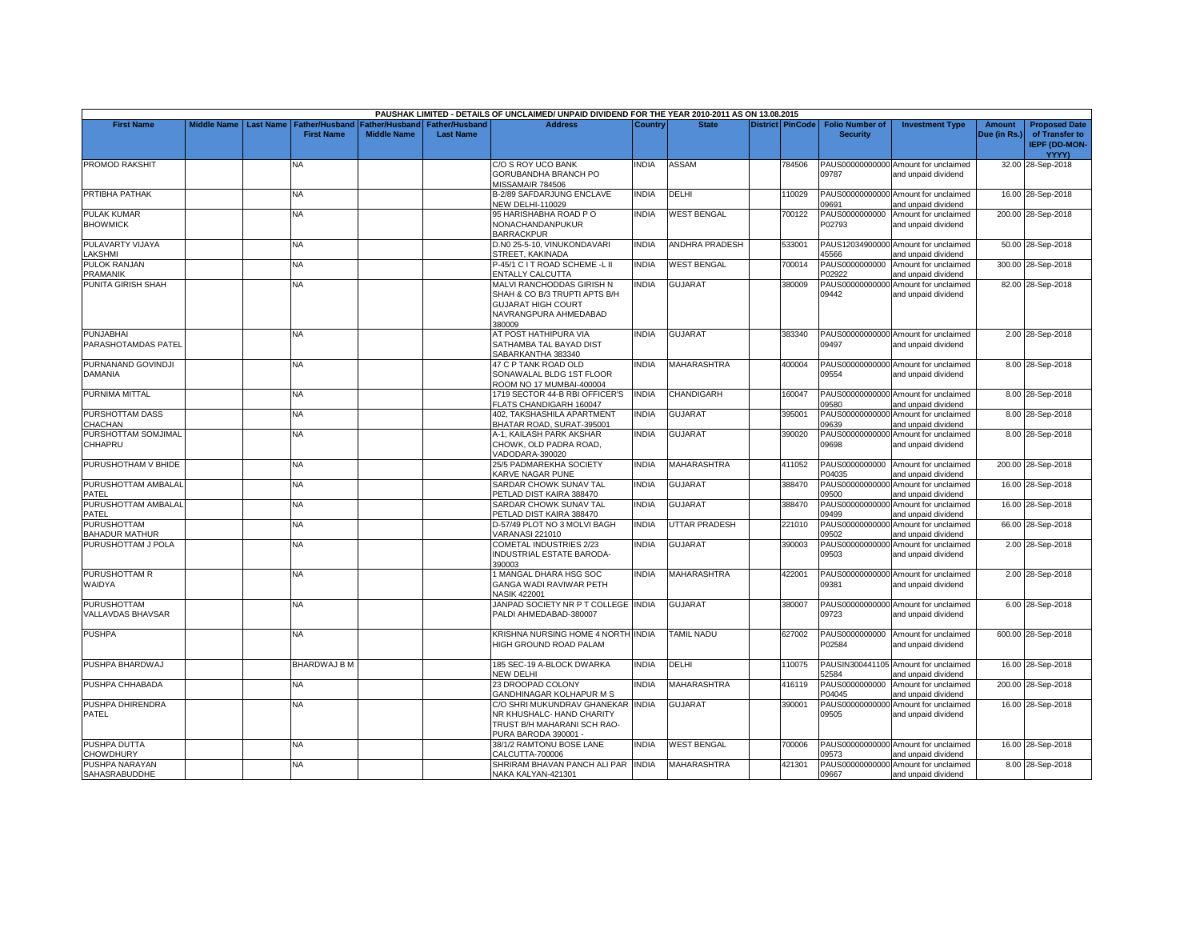|                                  |                         |                       |                       |                       | PAUSHAK LIMITED - DETAILS OF UNCLAIMED/ UNPAID DIVIDEND FOR THE YEAR 2010-2011 AS ON 13.08.2015 |                |                       |                         |                           |                                                             |               |                      |
|----------------------------------|-------------------------|-----------------------|-----------------------|-----------------------|-------------------------------------------------------------------------------------------------|----------------|-----------------------|-------------------------|---------------------------|-------------------------------------------------------------|---------------|----------------------|
| <b>First Name</b>                | Middle Name   Last Name | <b>Father/Husband</b> | <b>Father/Husband</b> | <b>Father/Husband</b> | <b>Address</b>                                                                                  | <b>Country</b> | <b>State</b>          | <b>District PinCode</b> | <b>Folio Number of</b>    | <b>Investment Type</b>                                      | <b>Amount</b> | <b>Proposed Date</b> |
|                                  |                         | <b>First Name</b>     | <b>Middle Name</b>    | <b>Last Name</b>      |                                                                                                 |                |                       |                         | <b>Security</b>           |                                                             | Due (in Rs.)  | of Transfer to       |
|                                  |                         |                       |                       |                       |                                                                                                 |                |                       |                         |                           |                                                             |               | IEPF (DD-MON-        |
|                                  |                         |                       |                       |                       |                                                                                                 |                |                       |                         |                           |                                                             |               | <b>YYYY)</b>         |
| <b>PROMOD RAKSHIT</b>            |                         | NA                    |                       |                       | C/O S ROY UCO BANK                                                                              | <b>NDIA</b>    | <b>ASSAM</b>          | 784506                  |                           | PAUS00000000000 Amount for unclaimed                        |               | 32.00 28-Sep-2018    |
|                                  |                         |                       |                       |                       | GORUBANDHA BRANCH PO                                                                            |                |                       |                         | 09787                     | and unpaid dividend                                         |               |                      |
|                                  |                         |                       |                       |                       | MISSAMAIR 784506                                                                                |                |                       |                         |                           |                                                             |               |                      |
| PRTIBHA PATHAK                   |                         | NA                    |                       |                       | B-2/89 SAFDARJUNG ENCLAVE                                                                       | <b>INDIA</b>   | DELHI                 | 110029                  |                           | PAUS00000000000 Amount for unclaimed                        |               | 16.00 28-Sep-2018    |
|                                  |                         |                       |                       |                       | <b>NEW DELHI-110029</b>                                                                         |                | <b>WEST BENGAL</b>    |                         | 09691                     | and unpaid dividend                                         |               |                      |
| PULAK KUMAR<br><b>BHOWMICK</b>   |                         | NA                    |                       |                       | 95 HARISHABHA ROAD PO<br>NONACHANDANPUKUR                                                       | INDIA          |                       | 700122                  | PAUS0000000000<br>P02793  | Amount for unclaimed<br>and unpaid dividend                 |               | 200.00 28-Sep-2018   |
|                                  |                         |                       |                       |                       | <b>BARRACKPUR</b>                                                                               |                |                       |                         |                           |                                                             |               |                      |
| PULAVARTY VIJAYA                 |                         | <b>NA</b>             |                       |                       | D.N0 25-5-10, VINUKONDAVARI                                                                     | <b>NDIA</b>    | <b>ANDHRA PRADESH</b> | 533001                  |                           | PAUS12034900000 Amount for unclaimed                        |               | 50.00 28-Sep-2018    |
| <b>AKSHMI</b>                    |                         |                       |                       |                       | STREET, KAKINADA                                                                                |                |                       |                         | 45566                     | and unpaid dividend                                         |               |                      |
| PULOK RANJAN                     |                         | <b>NA</b>             |                       |                       | P-45/1 C I T ROAD SCHEME -L II                                                                  | india          | <b>WEST BENGAL</b>    | 700014                  |                           | PAUS0000000000 Amount for unclaimed                         |               | 300.00 28-Sep-2018   |
| PRAMANIK                         |                         |                       |                       |                       | ENTALLY CALCUTTA                                                                                |                |                       |                         | P02922                    | and unpaid dividend                                         |               |                      |
| PUNITA GIRISH SHAH               |                         | <b>NA</b>             |                       |                       | MALVI RANCHODDAS GIRISH N                                                                       | <b>NDIA</b>    | <b>GUJARAT</b>        | 380009                  |                           | PAUS00000000000 Amount for unclaimed                        |               | 82.00 28-Sep-2018    |
|                                  |                         |                       |                       |                       | SHAH & CO B/3 TRUPTI APTS B/H                                                                   |                |                       |                         | 09442                     | and unpaid dividend                                         |               |                      |
|                                  |                         |                       |                       |                       | <b>GUJARAT HIGH COURT</b>                                                                       |                |                       |                         |                           |                                                             |               |                      |
|                                  |                         |                       |                       |                       | NAVRANGPURA AHMEDABAD                                                                           |                |                       |                         |                           |                                                             |               |                      |
|                                  |                         |                       |                       |                       | 380009                                                                                          |                |                       |                         |                           |                                                             |               |                      |
| PUNJABHAI<br>PARASHOTAMDAS PATEL |                         | NA                    |                       |                       | AT POST HATHIPURA VIA<br>SATHAMBA TAL BAYAD DIST                                                | <b>INDIA</b>   | <b>GUJARAT</b>        | 383340                  | 09497                     | PAUS00000000000 Amount for unclaimed<br>and unpaid dividend |               | 2.00 28-Sep-2018     |
|                                  |                         |                       |                       |                       | SABARKANTHA 383340                                                                              |                |                       |                         |                           |                                                             |               |                      |
| PURNANAND GOVINDJI               |                         | NA                    |                       |                       | 47 C P TANK ROAD OLD                                                                            | <b>NDIA</b>    | MAHARASHTRA           | 400004                  |                           | PAUS00000000000 Amount for unclaimed                        |               | 8.00 28-Sep-2018     |
| DAMANIA                          |                         |                       |                       |                       | SONAWALAL BLDG 1ST FLOOR                                                                        |                |                       |                         | 09554                     | and unpaid dividend                                         |               |                      |
|                                  |                         |                       |                       |                       | ROOM NO 17 MUMBAI-400004                                                                        |                |                       |                         |                           |                                                             |               |                      |
| PURNIMA MITTAL                   |                         | <b>NA</b>             |                       |                       | 1719 SECTOR 44-B RBI OFFICER'S                                                                  | <b>INDIA</b>   | CHANDIGARH            | 160047                  |                           | PAUS00000000000 Amount for unclaimed                        |               | 8.00 28-Sep-2018     |
|                                  |                         |                       |                       |                       | FLATS CHANDIGARH 160047                                                                         |                |                       |                         | 09580                     | and unpaid dividend                                         |               |                      |
| PURSHOTTAM DASS                  |                         | NA.                   |                       |                       | 402, TAKSHASHILA APARTMENT                                                                      | <b>NDIA</b>    | GUJARAT               | 395001                  |                           | PAUS00000000000 Amount for unclaimed                        |               | 8.00 28-Sep-2018     |
| CHACHAN                          |                         |                       |                       |                       | BHATAR ROAD, SURAT-395001                                                                       |                |                       |                         | 09639                     | and unpaid dividend                                         |               |                      |
| PURSHOTTAM SOMJIMAL              |                         | NΑ                    |                       |                       | A-1, KAILASH PARK AKSHAR                                                                        | <b>INDIA</b>   | <b>GUJARAT</b>        | 390020                  |                           | PAUS00000000000 Amount for unclaimed                        |               | 8.00 28-Sep-2018     |
| CHHAPRU                          |                         |                       |                       |                       | CHOWK, OLD PADRA ROAD,                                                                          |                |                       |                         | 09698                     | and unpaid dividend                                         |               |                      |
|                                  |                         |                       |                       |                       | VADODARA-390020                                                                                 |                |                       |                         |                           |                                                             |               |                      |
| PURUSHOTHAM V BHIDE              |                         | NA.                   |                       |                       | 25/5 PADMAREKHA SOCIETY                                                                         | INDIA          | MAHARASHTRA           | 411052                  |                           | PAUS0000000000 Amount for unclaimed                         |               | 200.00 28-Sep-2018   |
| PURUSHOTTAM AMBALAL              |                         | <b>NA</b>             |                       |                       | KARVE NAGAR PUNE<br>SARDAR CHOWK SUNAV TAL                                                      | <b>INDIA</b>   | <b>GUJARAT</b>        | 388470                  | P04035<br>PAUS00000000000 | and unpaid dividend<br>Amount for unclaimed                 |               | 16.00 28-Sep-2018    |
| PATEL                            |                         |                       |                       |                       | PETLAD DIST KAIRA 388470                                                                        |                |                       |                         | 09500                     | and unpaid dividend                                         |               |                      |
| PURUSHOTTAM AMBALAL              |                         | <b>NA</b>             |                       |                       | SARDAR CHOWK SUNAV TAL                                                                          | <b>INDIA</b>   | <b>GUJARAT</b>        | 388470                  |                           | PAUS00000000000 Amount for unclaimed                        |               | 16.00 28-Sep-2018    |
| PATEL                            |                         |                       |                       |                       | PETLAD DIST KAIRA 388470                                                                        |                |                       |                         | 09499                     | and unpaid dividend                                         |               |                      |
| <b>PURUSHOTTAM</b>               |                         | <b>NA</b>             |                       |                       | D-57/49 PLOT NO 3 MOLVI BAGH                                                                    | <b>INDIA</b>   | UTTAR PRADESH         | 221010                  |                           | PAUS00000000000 Amount for unclaimed                        |               | 66.00 28-Sep-2018    |
| BAHADUR MATHUR                   |                         |                       |                       |                       | <b>VARANASI 221010</b>                                                                          |                |                       |                         | 09502                     | and unpaid dividend                                         |               |                      |
| PURUSHOTTAM J POLA               |                         | <b>NA</b>             |                       |                       | <b>COMETAL INDUSTRIES 2/23</b>                                                                  | <b>INDIA</b>   | <b>GUJARAT</b>        | 390003                  |                           | PAUS00000000000 Amount for unclaimed                        |               | 2.00 28-Sep-2018     |
|                                  |                         |                       |                       |                       | INDUSTRIAL ESTATE BARODA-                                                                       |                |                       |                         | 09503                     | and unpaid dividend                                         |               |                      |
|                                  |                         |                       |                       |                       | 390003                                                                                          |                |                       |                         |                           |                                                             |               |                      |
| PURUSHOTTAM R                    |                         | <b>NA</b>             |                       |                       | <b>MANGAL DHARA HSG SOC</b>                                                                     | <b>NDIA</b>    | <b>MAHARASHTRA</b>    | 422001                  |                           | PAUS00000000000 Amount for unclaimed                        |               | 2.00 28-Sep-2018     |
| WAIDYA                           |                         |                       |                       |                       | GANGA WADI RAVIWAR PETH<br><b>NASIK 422001</b>                                                  |                |                       |                         | 09381                     | and unpaid dividend                                         |               |                      |
| <b>PURUSHOTTAM</b>               |                         | <b>NA</b>             |                       |                       | JANPAD SOCIETY NR P T COLLEGE INDIA                                                             |                | <b>GUJARAT</b>        | 380007                  |                           | PAUS00000000000 Amount for unclaimed                        |               | 6.00 28-Sep-2018     |
| <b>VALLAVDAS BHAVSAR</b>         |                         |                       |                       |                       | PALDI AHMEDABAD-380007                                                                          |                |                       |                         | 09723                     | and unpaid dividend                                         |               |                      |
|                                  |                         |                       |                       |                       |                                                                                                 |                |                       |                         |                           |                                                             |               |                      |
| <b>PUSHPA</b>                    |                         | <b>NA</b>             |                       |                       | KRISHNA NURSING HOME 4 NORTH INDIA                                                              |                | <b>TAMIL NADU</b>     | 627002                  |                           | PAUS0000000000 Amount for unclaimed                         |               | 600.00 28-Sep-2018   |
|                                  |                         |                       |                       |                       | HIGH GROUND ROAD PALAM                                                                          |                |                       |                         | P02584                    | and unpaid dividend                                         |               |                      |
|                                  |                         |                       |                       |                       |                                                                                                 |                |                       |                         |                           |                                                             |               |                      |
| PUSHPA BHARDWAJ                  |                         | BHARDWAJ B M          |                       |                       | 185 SEC-19 A-BLOCK DWARKA                                                                       | <b>NDIA</b>    | DELHI                 | 110075                  |                           | PAUSIN300441105 Amount for unclaimed                        |               | 16.00 28-Sep-2018    |
|                                  |                         |                       |                       |                       | <b>NEW DELHI</b>                                                                                |                |                       |                         | 52584                     | and unpaid dividend                                         |               |                      |
| PUSHPA CHHABADA                  |                         | NA                    |                       |                       | 23 DROOPAD COLONY                                                                               | <b>INDIA</b>   | <b>MAHARASHTRA</b>    | 416119                  | PAUS0000000000            | Amount for unclaimed                                        |               | 200.00 28-Sep-2018   |
|                                  |                         |                       |                       |                       | GANDHINAGAR KOLHAPUR M S                                                                        |                |                       |                         | P04045                    | and unpaid dividend                                         |               |                      |
| PUSHPA DHIRENDRA                 |                         | <b>NA</b>             |                       |                       | C/O SHRI MUKUNDRAV GHANEKAR INDIA                                                               |                | GUJARAT               | 390001                  | PAUS00000000000<br>09505  | Amount for unclaimed                                        |               | 16.00 28-Sep-2018    |
| PATEL                            |                         |                       |                       |                       | NR KHUSHALC- HAND CHARITY<br>TRUST B/H MAHARANI SCH RAO-                                        |                |                       |                         |                           | and unpaid dividend                                         |               |                      |
|                                  |                         |                       |                       |                       | PURA BARODA 390001 -                                                                            |                |                       |                         |                           |                                                             |               |                      |
| PUSHPA DUTTA                     |                         | NA                    |                       |                       | 38/1/2 RAMTONU BOSE LANE                                                                        | <b>NDIA</b>    | <b>WEST BENGAL</b>    | 700006                  |                           | PAUS00000000000 Amount for unclaimed                        |               | 16.00 28-Sep-2018    |
| <b>CHOWDHURY</b>                 |                         |                       |                       |                       | CALCUTTA-700006                                                                                 |                |                       |                         | 09573                     | and unpaid dividend                                         |               |                      |
| PUSHPA NARAYAN                   |                         | <b>NA</b>             |                       |                       | SHRIRAM BHAVAN PANCH ALI PAR INDIA                                                              |                | MAHARASHTRA           | 421301                  |                           | PAUS00000000000 Amount for unclaimed                        |               | 8.00 28-Sep-2018     |
| SAHASRABUDDHE                    |                         |                       |                       |                       | NAKA KALYAN-421301                                                                              |                |                       |                         | 09667                     | and unpaid dividend                                         |               |                      |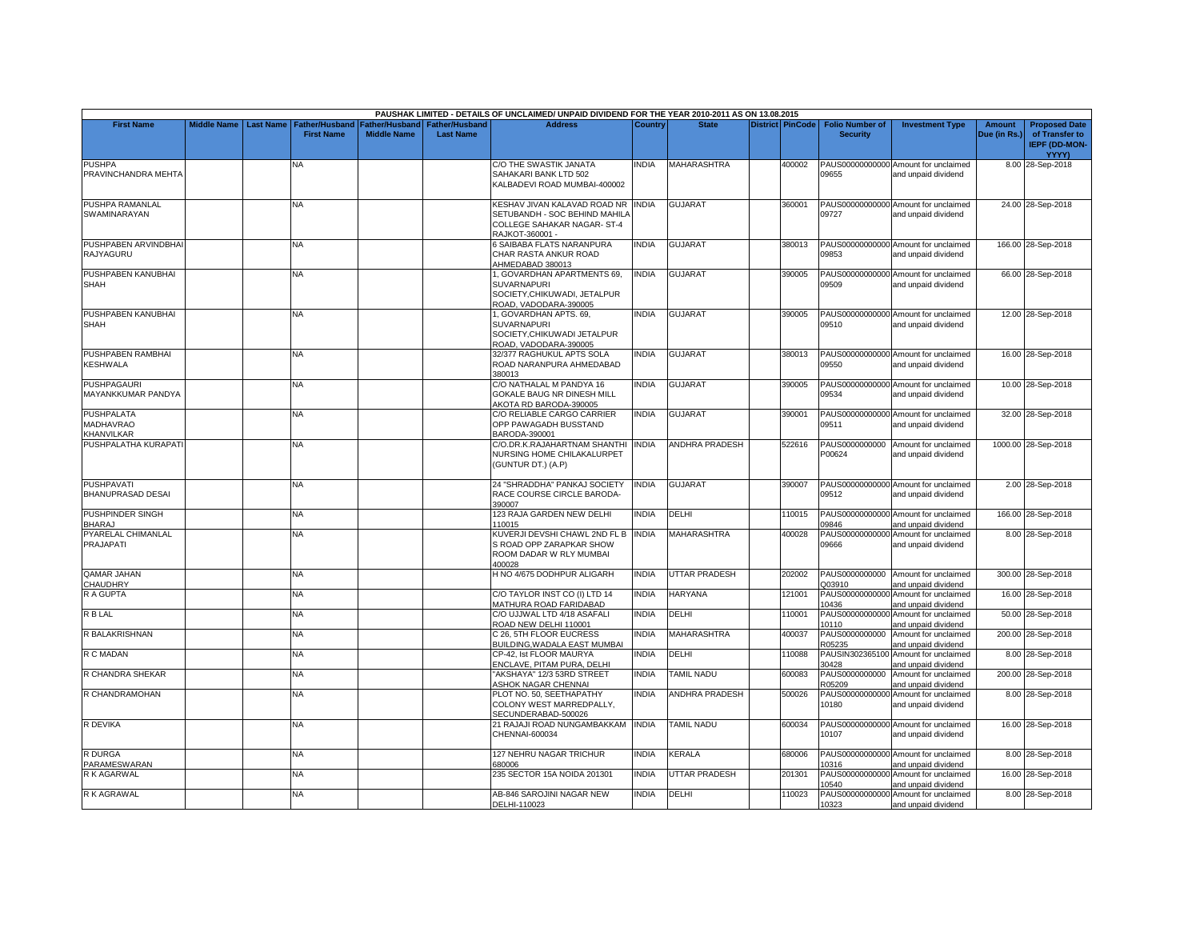|                                              |                         |                       |                    |                               | PAUSHAK LIMITED - DETAILS OF UNCLAIMED/ UNPAID DIVIDEND FOR THE YEAR 2010-2011 AS ON 13.08.2015                              |                |                       |                         |                          |                                                             |              |                                                        |
|----------------------------------------------|-------------------------|-----------------------|--------------------|-------------------------------|------------------------------------------------------------------------------------------------------------------------------|----------------|-----------------------|-------------------------|--------------------------|-------------------------------------------------------------|--------------|--------------------------------------------------------|
| <b>First Name</b>                            | Middle Name   Last Name | <b>Father/Husband</b> |                    | Father/Husband Father/Husband | <b>Address</b>                                                                                                               | <b>Country</b> | <b>State</b>          | <b>District PinCode</b> | <b>Folio Number of</b>   | <b>Investment Type</b>                                      | Amount       | <b>Proposed Date</b>                                   |
|                                              |                         | <b>First Name</b>     | <b>Middle Name</b> | <b>Last Name</b>              |                                                                                                                              |                |                       |                         | <b>Security</b>          |                                                             | Due (in Rs.) | of Transfer to<br><b>IEPF (DD-MON-</b><br><b>YYYY)</b> |
| <b>PUSHPA</b><br>PRAVINCHANDRA MEHTA         |                         | NA                    |                    |                               | C/O THE SWASTIK JANATA<br>SAHAKARI BANK LTD 502<br>KALBADEVI ROAD MUMBAI-400002                                              | INDIA          | MAHARASHTRA           | 400002                  | 09655                    | PAUS00000000000 Amount for unclaimed<br>and unpaid dividend |              | 8.00 28-Sep-2018                                       |
| PUSHPA RAMANLAL<br><b>SWAMINARAYAN</b>       |                         | <b>NA</b>             |                    |                               | <b>KESHAV JIVAN KALAVAD ROAD NR INDIA</b><br>SETUBANDH - SOC BEHIND MAHILA<br>COLLEGE SAHAKAR NAGAR- ST-4<br>RAJKOT-360001 - |                | <b>GUJARAT</b>        | 360001                  | 09727                    | PAUS00000000000 Amount for unclaimed<br>and unpaid dividend |              | 24.00 28-Sep-2018                                      |
| PUSHPABEN ARVINDBHAI<br>RAJYAGURU            |                         | <b>NA</b>             |                    |                               | 6 SAIBABA FLATS NARANPURA<br>CHAR RASTA ANKUR ROAD<br>AHMEDABAD 380013                                                       | <b>NDIA</b>    | <b>GUJARAT</b>        | 380013                  | 09853                    | PAUS00000000000 Amount for unclaimed<br>and unpaid dividend |              | 166.00 28-Sep-2018                                     |
| PUSHPABEN KANUBHAI<br><b>SHAH</b>            |                         | <b>NA</b>             |                    |                               | I. GOVARDHAN APARTMENTS 69.<br><b>SUVARNAPURI</b><br>SOCIETY, CHIKUWADI, JETALPUR<br>ROAD, VADODARA-390005                   | <b>INDIA</b>   | <b>GUJARAT</b>        | 390005                  | 09509                    | PAUS00000000000 Amount for unclaimed<br>and unpaid dividend |              | 66.00 28-Sep-2018                                      |
| PUSHPABEN KANUBHAI<br><b>SHAH</b>            |                         | NA                    |                    |                               | I, GOVARDHAN APTS. 69,<br><b>SUVARNAPURI</b><br>SOCIETY, CHIKUWADI JETALPUR<br>ROAD, VADODARA-390005                         | <b>INDIA</b>   | <b>GUJARAT</b>        | 390005                  | 09510                    | PAUS00000000000 Amount for unclaimed<br>and unpaid dividend |              | 12.00 28-Sep-2018                                      |
| PUSHPABEN RAMBHAI<br><b>KESHWALA</b>         |                         | <b>NA</b>             |                    |                               | 32/377 RAGHUKUL APTS SOLA<br>ROAD NARANPURA AHMEDABAD<br>380013                                                              | <b>NDIA</b>    | <b>GUJARAT</b>        | 380013                  | 09550                    | PAUS00000000000 Amount for unclaimed<br>and unpaid dividend |              | 16.00 28-Sep-2018                                      |
| <b>PUSHPAGAURI</b><br>MAYANKKUMAR PANDYA     |                         | <b>NA</b>             |                    |                               | C/O NATHALAL M PANDYA 16<br><b>GOKALE BAUG NR DINESH MILL</b><br>AKOTA RD BARODA-390005                                      | <b>NDIA</b>    | <b>GUJARAT</b>        | 390005                  | 09534                    | PAUS00000000000 Amount for unclaimed<br>and unpaid dividend |              | 10.00 28-Sep-2018                                      |
| <b>PUSHPALATA</b><br>MADHAVRAO<br>KHANVILKAR |                         | NA                    |                    |                               | C/O RELIABLE CARGO CARRIER<br>OPP PAWAGADH BUSSTAND<br>BARODA-390001                                                         | INDIA          | <b>GUJARAT</b>        | 390001                  | 09511                    | PAUS00000000000 Amount for unclaimed<br>and unpaid dividend |              | 32.00 28-Sep-2018                                      |
| PUSHPALATHA KURAPATI                         |                         | <b>NA</b>             |                    |                               | C/O.DR.K.RAJAHARTNAM SHANTHI<br>NURSING HOME CHILAKALURPET<br>(GUNTUR DT.) (A.P)                                             | <b>INDIA</b>   | <b>ANDHRA PRADESH</b> | 522616                  | PAUS0000000000<br>P00624 | Amount for unclaimed<br>and unpaid dividend                 |              | 1000.00 28-Sep-2018                                    |
| <b>PUSHPAVATI</b><br>BHANUPRASAD DESAI       |                         | NA                    |                    |                               | 24 "SHRADDHA" PANKAJ SOCIETY<br>RACE COURSE CIRCLE BARODA-<br>390007                                                         | NDIA           | <b>GUJARAT</b>        | 390007                  | 09512                    | PAUS00000000000 Amount for unclaimed<br>and unpaid dividend |              | 2.00 28-Sep-2018                                       |
| PUSHPINDER SINGH<br><b>BHARAJ</b>            |                         | NA.                   |                    |                               | 123 RAJA GARDEN NEW DELHI<br>110015                                                                                          | NDIA           | DELHI                 | 110015                  | 09846                    | PAUS00000000000 Amount for unclaimed<br>and unpaid dividend |              | 166.00 28-Sep-2018                                     |
| PYARELAL CHIMANLAL<br>PRAJAPATI              |                         | <b>NA</b>             |                    |                               | KUVERJI DEVSHI CHAWL 2ND FL BINDIA<br>S ROAD OPP ZARAPKAR SHOW<br>ROOM DADAR W RLY MUMBAI<br>400028                          |                | <b>MAHARASHTRA</b>    | 400028                  | 09666                    | PAUS00000000000 Amount for unclaimed<br>and unpaid dividend |              | 8.00 28-Sep-2018                                       |
| <b>QAMAR JAHAN</b><br>CHAUDHRY               |                         | <b>NA</b>             |                    |                               | H NO 4/675 DODHPUR ALIGARH                                                                                                   | <b>INDIA</b>   | UTTAR PRADESH         | 202002                  | Q03910                   | PAUS0000000000 Amount for unclaimed<br>and unpaid dividend  |              | 300.00 28-Sep-2018                                     |
| R A GUPTA                                    |                         | <b>NA</b>             |                    |                               | C/O TAYLOR INST CO (I) LTD 14<br>MATHURA ROAD FARIDABAD                                                                      | <b>INDIA</b>   | <b>HARYANA</b>        | 121001                  | 10436                    | PAUS00000000000 Amount for unclaimed<br>and unpaid dividend |              | 16.00 28-Sep-2018                                      |
| <b>R B LAL</b>                               |                         | NA.                   |                    |                               | C/O UJJWAL LTD 4/18 ASAFALI<br>ROAD NEW DELHI 110001                                                                         | INDIA          | DELHI                 | 110001                  | PAUS00000000000<br>10110 | Amount for unclaimed<br>and unpaid dividend                 |              | 50.00 28-Sep-2018                                      |
| R BALAKRISHNAN                               |                         | NA                    |                    |                               | C 26, 5TH FLOOR EUCRESS<br>BUILDING, WADALA EAST MUMBAI                                                                      | <b>NDIA</b>    | <b>MAHARASHTRA</b>    | 400037                  | PAUS0000000000<br>R05235 | Amount for unclaimed<br>and unpaid dividend                 |              | 200.00 28-Sep-2018                                     |
| R C MADAN                                    |                         | <b>NA</b>             |                    |                               | CP-42. Ist FLOOR MAURYA<br>ENCLAVE, PITAM PURA, DELHI                                                                        | <b>NDIA</b>    | DELHI                 | 110088                  | PAUSIN302365100<br>30428 | Amount for unclaimed<br>and unpaid dividend                 |              | 8.00 28-Sep-2018                                       |
| R CHANDRA SHEKAR                             |                         | NA                    |                    |                               | "AKSHAYA" 12/3 53RD STREET<br><b>ASHOK NAGAR CHENNAI</b>                                                                     | INDIA          | <b>TAMIL NADU</b>     | 600083                  | PAUS0000000000<br>R05209 | Amount for unclaimed<br>and unpaid dividend                 |              | 200.00 28-Sep-2018                                     |
| R CHANDRAMOHAN                               |                         | <b>NA</b>             |                    |                               | PLOT NO. 50, SEETHAPATHY<br>COLONY WEST MARREDPALLY,<br>SECUNDERABAD-500026                                                  | <b>NDIA</b>    | <b>ANDHRA PRADESH</b> | 500026                  | 10180                    | PAUS00000000000 Amount for unclaimed<br>and unpaid dividend |              | 8.00 28-Sep-2018                                       |
| R DEVIKA                                     |                         | <b>NA</b>             |                    |                               | 21 RAJAJI ROAD NUNGAMBAKKAM<br>CHENNAI-600034                                                                                | <b>INDIA</b>   | <b>TAMIL NADU</b>     | 600034                  | 10107                    | PAUS00000000000 Amount for unclaimed<br>and unpaid dividend |              | 16.00 28-Sep-2018                                      |
| <b>R DURGA</b><br>PARAMESWARAN               |                         | NA                    |                    |                               | 127 NEHRU NAGAR TRICHUR<br>680006                                                                                            | INDIA          | KERALA                | 680006                  | 10316                    | PAUS00000000000 Amount for unclaimed<br>and unpaid dividend |              | 8.00 28-Sep-2018                                       |
| R K AGARWAL                                  |                         | NA                    |                    |                               | 235 SECTOR 15A NOIDA 201301                                                                                                  | <b>INDIA</b>   | <b>UTTAR PRADESH</b>  | 201301                  | PAUS00000000000<br>10540 | Amount for unclaimed<br>and unpaid dividend                 |              | 16.00 28-Sep-2018                                      |
| R K AGRAWAL                                  |                         | NA                    |                    |                               | AB-846 SAROJINI NAGAR NEW<br>DELHI-110023                                                                                    | <b>INDIA</b>   | DELHI                 | 110023                  | 10323                    | PAUS00000000000 Amount for unclaimed<br>and unpaid dividend |              | 8.00 28-Sep-2018                                       |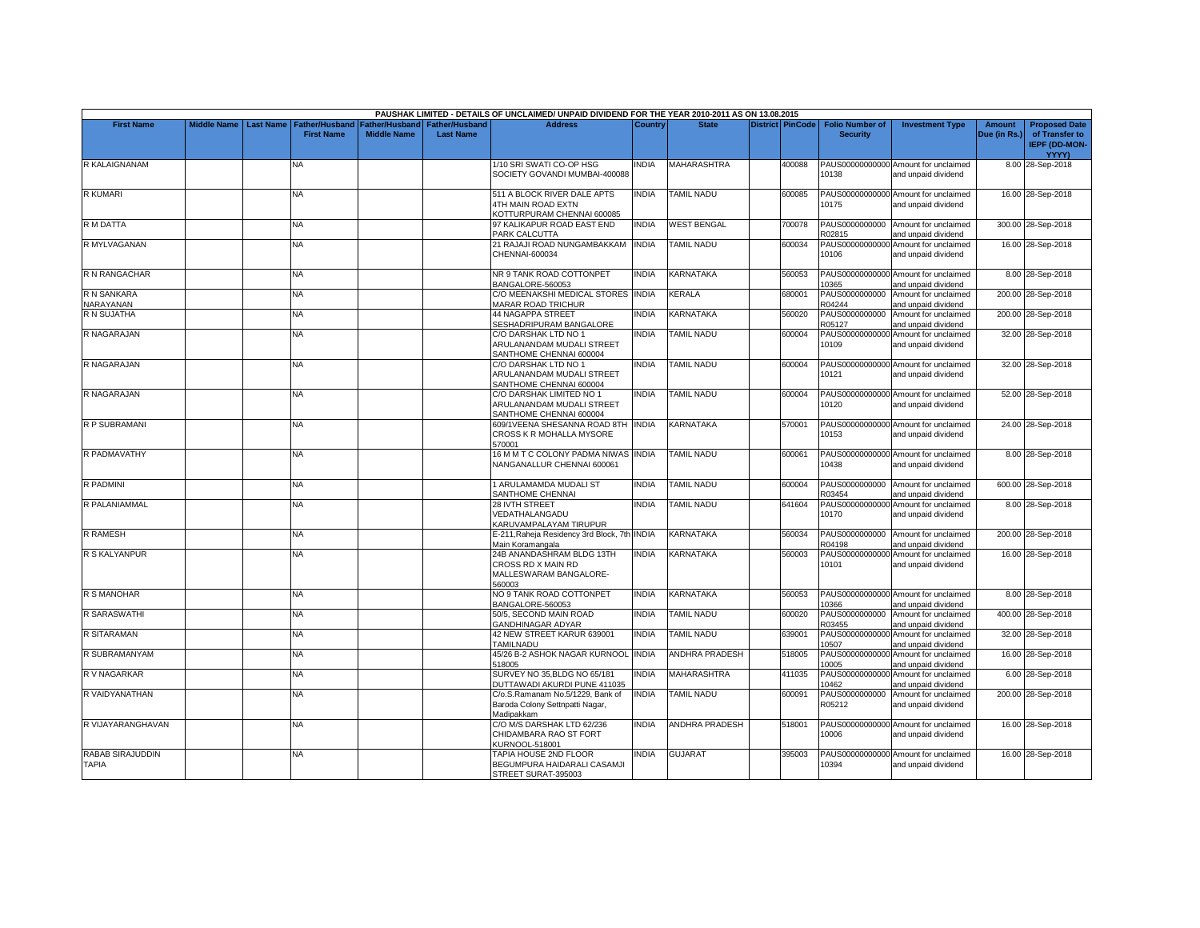|                                  |                       |                   |                                                  |                  | PAUSHAK LIMITED - DETAILS OF UNCLAIMED/ UNPAID DIVIDEND FOR THE YEAR 2010-2011 AS ON 13.08.2015 |                |                       |                         |                          |                                                             |              |                                                 |
|----------------------------------|-----------------------|-------------------|--------------------------------------------------|------------------|-------------------------------------------------------------------------------------------------|----------------|-----------------------|-------------------------|--------------------------|-------------------------------------------------------------|--------------|-------------------------------------------------|
| <b>First Name</b>                | Middle Name Last Name |                   | Father/Husband   Father/Husband   Father/Husband |                  | <b>Address</b>                                                                                  | <b>Country</b> | <b>State</b>          | <b>District PinCode</b> | <b>Folio Number of</b>   | <b>Investment Type</b>                                      | Amount       | <b>Proposed Date</b>                            |
|                                  |                       | <b>First Name</b> | <b>Middle Name</b>                               | <b>Last Name</b> |                                                                                                 |                |                       |                         | <b>Security</b>          |                                                             | Due (in Rs.) | of Transfer to<br>IEPF (DD-MON-<br><b>YYYY)</b> |
| R KALAIGNANAM                    |                       | NA                |                                                  |                  | 1/10 SRI SWATI CO-OP HSG<br>SOCIETY GOVANDI MUMBAI-400088                                       | <b>NDIA</b>    | MAHARASHTRA           | 400088                  | 10138                    | PAUS00000000000 Amount for unclaimed<br>and unpaid dividend |              | 8.00 28-Sep-2018                                |
| <b>R KUMARI</b>                  |                       | <b>NA</b>         |                                                  |                  | 511 A BLOCK RIVER DALE APTS<br>4TH MAIN ROAD EXTN<br>KOTTURPURAM CHENNAI 600085                 | <b>INDIA</b>   | <b>TAMIL NADU</b>     | 600085                  | 10175                    | PAUS00000000000 Amount for unclaimed<br>and unpaid dividend |              | 16.00 28-Sep-2018                               |
| R M DATTA                        |                       | <b>NA</b>         |                                                  |                  | 97 KALIKAPUR ROAD EAST END<br>PARK CALCUTTA                                                     | <b>INDIA</b>   | <b>WEST BENGAL</b>    | 700078                  | PAUS0000000000<br>R02815 | Amount for unclaimed<br>and unpaid dividend                 |              | 300.00 28-Sep-2018                              |
| R MYLVAGANAN                     |                       | NA.               |                                                  |                  | 21 RAJAJI ROAD NUNGAMBAKKAM<br>CHENNAI-600034                                                   | <b>INDIA</b>   | <b>TAMIL NADU</b>     | 600034                  | 10106                    | PAUS00000000000 Amount for unclaimed<br>and unpaid dividend |              | 16.00 28-Sep-2018                               |
| R N RANGACHAR                    |                       | <b>NA</b>         |                                                  |                  | NR 9 TANK ROAD COTTONPET<br>BANGALORE-560053                                                    | <b>NDIA</b>    | KARNATAKA             | 560053                  | 10365                    | PAUS00000000000 Amount for unclaimed<br>and unpaid dividend |              | 8.00 28-Sep-2018                                |
| R N SANKARA<br>NARAYANAN         |                       | <b>NA</b>         |                                                  |                  | C/O MEENAKSHI MEDICAL STORES INDIA<br><b>MARAR ROAD TRICHUR</b>                                 |                | KERALA                | 680001                  | PAUS0000000000<br>R04244 | Amount for unclaimed<br>and unpaid dividend                 |              | 200.00 28-Sep-2018                              |
| R N SUJATHA                      |                       | NA                |                                                  |                  | 44 NAGAPPA STREET<br>SESHADRIPURAM BANGALORE                                                    | <b>NDIA</b>    | KARNATAKA             | 560020                  | PAUS0000000000<br>R05127 | Amount for unclaimed<br>and unpaid dividend                 |              | 200.00 28-Sep-2018                              |
| <b>R NAGARAJAN</b>               |                       | <b>NA</b>         |                                                  |                  | C/O DARSHAK LTD NO 1<br>ARULANANDAM MUDALI STREET<br>SANTHOME CHENNAI 600004                    | <b>NDIA</b>    | <b>TAMIL NADU</b>     | 600004                  | 10109                    | PAUS00000000000 Amount for unclaimed<br>and unpaid dividend |              | 32.00 28-Sep-2018                               |
| R NAGARAJAN                      |                       | NA.               |                                                  |                  | C/O DARSHAK LTD NO 1<br>ARULANANDAM MUDALI STREET<br>SANTHOME CHENNAI 600004                    | INDIA          | <b>TAMIL NADU</b>     | 600004                  | 10121                    | PAUS00000000000 Amount for unclaimed<br>and unpaid dividend |              | 32.00 28-Sep-2018                               |
| R NAGARAJAN                      |                       | NA                |                                                  |                  | C/O DARSHAK LIMITED NO 1<br>ARULANANDAM MUDALI STREET<br>SANTHOME CHENNAI 600004                | <b>NDIA</b>    | <b>TAMIL NADU</b>     | 600004                  | 10120                    | PAUS00000000000 Amount for unclaimed<br>and unpaid dividend |              | 52.00 28-Sep-2018                               |
| R P SUBRAMANI                    |                       | <b>NA</b>         |                                                  |                  | 609/1VEENA SHESANNA ROAD 8TH INDIA<br>CROSS K R MOHALLA MYSORE<br>570001                        |                | KARNATAKA             | 570001                  | 10153                    | PAUS00000000000 Amount for unclaimed<br>and unpaid dividend |              | 24.00 28-Sep-2018                               |
| R PADMAVATHY                     |                       | <b>NA</b>         |                                                  |                  | 16 M M T C COLONY PADMA NIWAS INDIA<br>NANGANALLUR CHENNAI 600061                               |                | <b>TAMIL NADU</b>     | 600061                  | 10438                    | PAUS00000000000 Amount for unclaimed<br>and unpaid dividend |              | 8.00 28-Sep-2018                                |
| R PADMINI                        |                       | <b>NA</b>         |                                                  |                  | 1 ARULAMAMDA MUDALI ST<br>SANTHOME CHENNAI                                                      | <b>INDIA</b>   | <b>TAMIL NADU</b>     | 600004                  | R03454                   | PAUS0000000000 Amount for unclaimed<br>and unpaid dividend  |              | 600.00 28-Sep-2018                              |
| R PALANIAMMAL                    |                       | NA                |                                                  |                  | 28 IVTH STREET<br>VEDATHALANGADU<br>KARUVAMPALAYAM TIRUPUR                                      | <b>NDIA</b>    | <b>TAMIL NADU</b>     | 641604                  | 10170                    | PAUS00000000000 Amount for unclaimed<br>and unpaid dividend |              | 8.00 28-Sep-2018                                |
| <b>R RAMESH</b>                  |                       | <b>NA</b>         |                                                  |                  | E-211, Raheja Residency 3rd Block, 7th INDIA<br>Main Koramangala                                |                | KARNATAKA             | 560034                  | R04198                   | PAUS0000000000 Amount for unclaimed<br>and unpaid dividend  |              | 200.00 28-Sep-2018                              |
| R S KALYANPUR                    |                       | <b>NA</b>         |                                                  |                  | 24B ANANDASHRAM BLDG 13TH<br>CROSS RD X MAIN RD<br>MALLESWARAM BANGALORE-<br>560003             | <b>INDIA</b>   | KARNATAKA             | 560003                  | 10101                    | PAUS00000000000 Amount for unclaimed<br>and unpaid dividend |              | 16.00 28-Sep-2018                               |
| R S MANOHAR                      |                       | NA                |                                                  |                  | NO 9 TANK ROAD COTTONPET<br>BANGALORE-560053                                                    | <b>NDIA</b>    | KARNATAKA             | 560053                  | 10366                    | PAUS00000000000 Amount for unclaimed<br>and unpaid dividend |              | 8.00 28-Sep-2018                                |
| R SARASWATHI                     |                       | NA.               |                                                  |                  | 50/5, SECOND MAIN ROAD<br><b>GANDHINAGAR ADYAR</b>                                              | INDIA          | <b>TAMIL NADU</b>     | 600020                  | PAUS0000000000<br>R03455 | Amount for unclaimed<br>and unpaid dividend                 |              | 400.00 28-Sep-2018                              |
| <b>R SITARAMAN</b>               |                       | NA                |                                                  |                  | 42 NEW STREET KARUR 639001<br>TAMILNADU                                                         | <b>INDIA</b>   | <b>TAMIL NADU</b>     | 639001                  | 10507                    | PAUS00000000000 Amount for unclaimed<br>and unpaid dividend |              | 32.00 28-Sep-2018                               |
| R SUBRAMANYAM                    |                       | <b>NA</b>         |                                                  |                  | 45/26 B-2 ASHOK NAGAR KURNOOL<br>518005                                                         | <b>INDIA</b>   | <b>ANDHRA PRADESH</b> | 518005                  | PAUS00000000000<br>10005 | Amount for unclaimed<br>and unpaid dividend                 |              | 16.00 28-Sep-2018                               |
| R V NAGARKAR                     |                       | NA                |                                                  |                  | SURVEY NO 35, BLDG NO 65/181<br>DUTTAWADI AKURDI PUNE 411035                                    | <b>NDIA</b>    | <b>MAHARASHTRA</b>    | 411035                  | 10462                    | PAUS00000000000 Amount for unclaimed<br>and unpaid dividend |              | 6.00 28-Sep-2018                                |
| R VAIDYANATHAN                   |                       | <b>NA</b>         |                                                  |                  | C/o.S.Ramanam No.5/1229, Bank of<br>Baroda Colony Settnpatti Nagar,<br>Madipakkam               | <b>NDIA</b>    | TAMIL NADU            | 600091                  | PAUS0000000000<br>R05212 | Amount for unclaimed<br>and unpaid dividend                 |              | 200.00 28-Sep-2018                              |
| R VIJAYARANGHAVAN                |                       | ΝA                |                                                  |                  | C/O M/S DARSHAK LTD 62/236<br>CHIDAMBARA RAO ST FORT<br><b>KURNOOL-518001</b>                   | INDIA          | <b>ANDHRA PRADESH</b> | 518001                  | 10006                    | PAUS00000000000 Amount for unclaimed<br>and unpaid dividend |              | 16.00 28-Sep-2018                               |
| RABAB SIRAJUDDIN<br><b>TAPIA</b> |                       | <b>NA</b>         |                                                  |                  | <b>TAPIA HOUSE 2ND FLOOR</b><br>BEGUMPURA HAIDARALI CASAMJI<br>STREET SURAT-395003              | <b>NDIA</b>    | <b>GUJARAT</b>        | 395003                  | 10394                    | PAUS00000000000 Amount for unclaimed<br>and unpaid dividend |              | 16.00 28-Sep-2018                               |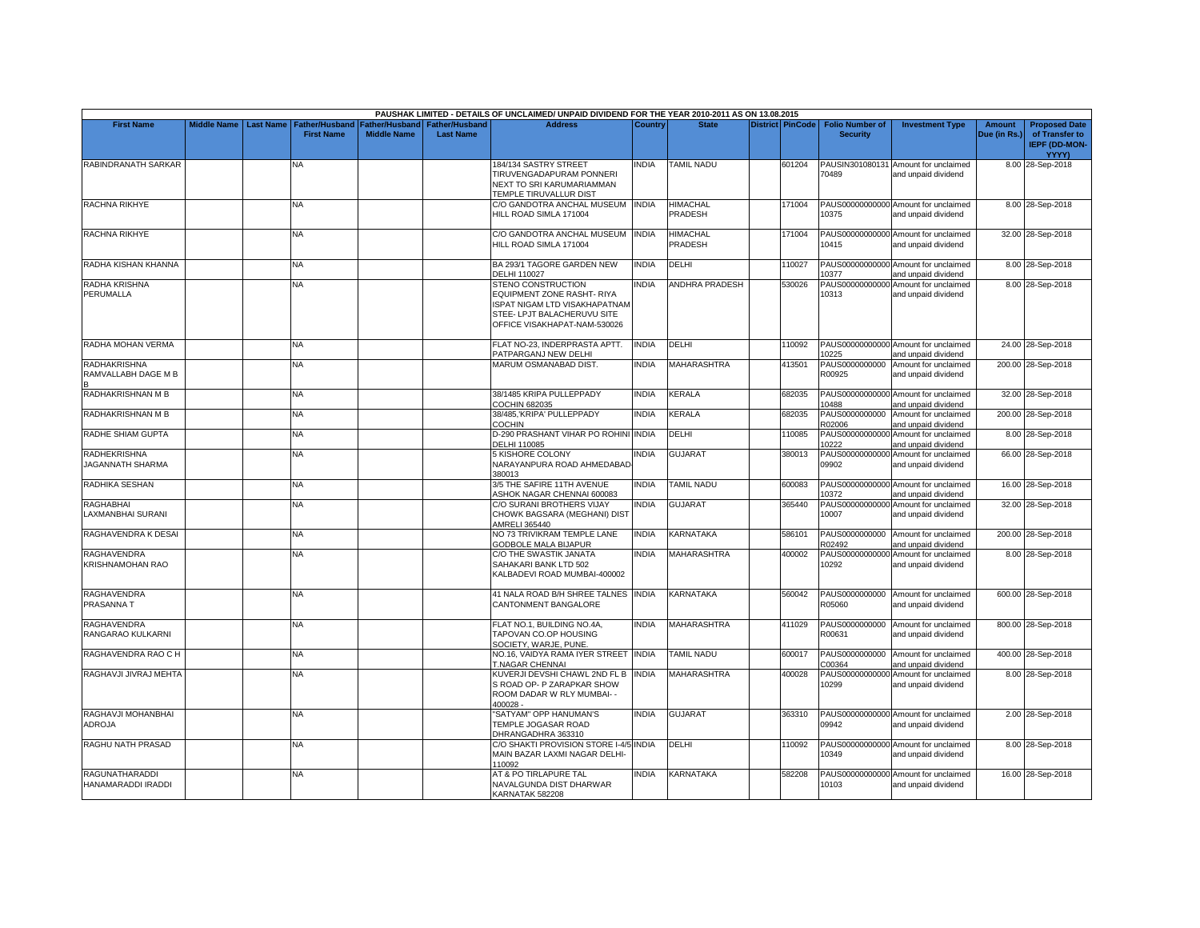|                                                |                    |                  |                                            |                                             |                                           | PAUSHAK LIMITED - DETAILS OF UNCLAIMED/ UNPAID DIVIDEND FOR THE YEAR 2010-2011 AS ON 13.08.2015                                                         |              |                            |                         |                                           |                                                             |                               |                                                                         |
|------------------------------------------------|--------------------|------------------|--------------------------------------------|---------------------------------------------|-------------------------------------------|---------------------------------------------------------------------------------------------------------------------------------------------------------|--------------|----------------------------|-------------------------|-------------------------------------------|-------------------------------------------------------------|-------------------------------|-------------------------------------------------------------------------|
| <b>First Name</b>                              | <b>Middle Name</b> | <b>Last Name</b> | <b>Father/Husband</b><br><b>First Name</b> | <b>Father/Husband</b><br><b>Middle Name</b> | <b>Father/Husband</b><br><b>Last Name</b> | <b>Address</b>                                                                                                                                          | Country      | <b>State</b>               | <b>District PinCode</b> | <b>Folio Number of</b><br><b>Security</b> | <b>Investment Type</b>                                      | <b>Amount</b><br>Due (in Rs.) | <b>Proposed Date</b><br>of Transfer to<br><b>IEPF (DD-MON-</b><br>YYYY) |
| RABINDRANATH SARKAR                            |                    |                  | N٨                                         |                                             |                                           | 184/134 SASTRY STREET<br>TIRUVENGADAPURAM PONNERI<br>NEXT TO SRI KARUMARIAMMAN<br>TEMPLE TIRUVALLUR DIST                                                | INDIA        | <b>TAMIL NADU</b>          | 601204                  | 70489                                     | PAUSIN301080131 Amount for unclaimed<br>and unpaid dividend |                               | 8.00 28-Sep-2018                                                        |
| RACHNA RIKHYE                                  |                    |                  | <b>NA</b>                                  |                                             |                                           | C/O GANDOTRA ANCHAL MUSEUM INDIA<br>HILL ROAD SIMLA 171004                                                                                              |              | <b>HIMACHAL</b><br>PRADESH | 171004                  | 10375                                     | PAUS00000000000 Amount for unclaimed<br>and unpaid dividend |                               | 8.00 28-Sep-2018                                                        |
| RACHNA RIKHYE                                  |                    |                  | ΝA                                         |                                             |                                           | C/O GANDOTRA ANCHAL MUSEUM INDIA<br>HILL ROAD SIMLA 171004                                                                                              |              | <b>HIMACHAL</b><br>PRADESH | 171004                  | 10415                                     | PAUS00000000000 Amount for unclaimed<br>and unpaid dividend |                               | 32.00 28-Sep-2018                                                       |
| RADHA KISHAN KHANNA                            |                    |                  | NA                                         |                                             |                                           | BA 293/1 TAGORE GARDEN NEW<br><b>DELHI 110027</b>                                                                                                       | <b>INDIA</b> | DELHI                      | 110027                  | 10377                                     | PAUS00000000000 Amount for unclaimed<br>and unpaid dividend |                               | 8.00 28-Sep-2018                                                        |
| RADHA KRISHNA<br>PERUMALLA                     |                    |                  | ΝA                                         |                                             |                                           | <b>STENO CONSTRUCTION</b><br>EQUIPMENT ZONE RASHT- RIYA<br>ISPAT NIGAM LTD VISAKHAPATNAM<br>STEE- LPJT BALACHERUVU SITE<br>OFFICE VISAKHAPAT-NAM-530026 | INDIA        | <b>ANDHRA PRADESH</b>      | 530026                  | 10313                                     | PAUS00000000000 Amount for unclaimed<br>and unpaid dividend |                               | 8.00 28-Sep-2018                                                        |
| RADHA MOHAN VERMA                              |                    |                  | <b>NA</b>                                  |                                             |                                           | FLAT NO-23, INDERPRASTA APTT.<br>PATPARGANJ NEW DELHI                                                                                                   | <b>INDIA</b> | DELHI                      | 110092                  | 10225                                     | PAUS00000000000 Amount for unclaimed<br>and unpaid dividend |                               | 24.00 28-Sep-2018                                                       |
| RADHAKRISHNA<br>RAMVALLABH DAGE M B            |                    |                  | NA                                         |                                             |                                           | MARUM OSMANABAD DIST                                                                                                                                    | INDIA        | <b>MAHARASHTRA</b>         | 413501                  | PAUS0000000000<br>R00925                  | Amount for unclaimed<br>and unpaid dividend                 |                               | 200.00 28-Sep-2018                                                      |
| RADHAKRISHNAN M B                              |                    |                  | NA.                                        |                                             |                                           | 38/1485 KRIPA PULLEPPADY<br>COCHIN 682035                                                                                                               | INDIA        | KERALA                     | 682035                  | 10488                                     | PAUS00000000000 Amount for unclaimed<br>and unpaid dividend |                               | 32.00 28-Sep-2018                                                       |
| RADHAKRISHNAN M B                              |                    |                  | NA                                         |                                             |                                           | 38/485, KRIPA' PULLEPPADY<br>COCHIN                                                                                                                     | <b>INDIA</b> | <b>KERALA</b>              | 682035                  | PAUS0000000000<br>R02006                  | Amount for unclaimed<br>and unpaid dividend                 |                               | 200.00 28-Sep-2018                                                      |
| RADHE SHIAM GUPTA                              |                    |                  | <b>NA</b>                                  |                                             |                                           | D-290 PRASHANT VIHAR PO ROHINI INDIA<br>DELHI 110085                                                                                                    |              | DELHI                      | 110085                  | 10222                                     | PAUS00000000000 Amount for unclaimed<br>and unpaid dividend |                               | 8.00 28-Sep-2018                                                        |
| <b>RADHEKRISHNA</b><br><b>JAGANNATH SHARMA</b> |                    |                  | NA.                                        |                                             |                                           | <b>5 KISHORE COLONY</b><br>NARAYANPURA ROAD AHMEDABAD<br>380013                                                                                         | <b>INDIA</b> | <b>GUJARAT</b>             | 380013                  | 09902                                     | PAUS00000000000 Amount for unclaimed<br>and unpaid dividend |                               | 66.00 28-Sep-2018                                                       |
| RADHIKA SESHAN                                 |                    |                  | NA.                                        |                                             |                                           | 3/5 THE SAFIRE 11TH AVENUE<br>ASHOK NAGAR CHENNAI 600083                                                                                                | <b>INDIA</b> | <b>TAMIL NADU</b>          | 600083                  | 10372                                     | PAUS00000000000 Amount for unclaimed<br>and unpaid dividend |                               | 16.00 28-Sep-2018                                                       |
| <b>RAGHABHAI</b><br>LAXMANBHAI SURANI          |                    |                  | <b>NA</b>                                  |                                             |                                           | C/O SURANI BROTHERS VIJAY<br>CHOWK BAGSARA (MEGHANI) DIST<br>AMRELI 365440                                                                              | <b>INDIA</b> | <b>GUJARAT</b>             | 365440                  | 10007                                     | PAUS00000000000 Amount for unclaimed<br>and unpaid dividend |                               | 32.00 28-Sep-2018                                                       |
| RAGHAVENDRA K DESAI                            |                    |                  | <b>NA</b>                                  |                                             |                                           | NO 73 TRIVIKRAM TEMPLE LANE<br>GODBOLE MALA BIJAPUR                                                                                                     | <b>INDIA</b> | KARNATAKA                  | 586101                  | R02492                                    | PAUS0000000000 Amount for unclaimed<br>and unpaid dividend  |                               | 200.00 28-Sep-2018                                                      |
| RAGHAVENDRA<br>KRISHNAMOHAN RAO                |                    |                  | NA                                         |                                             |                                           | C/O THE SWASTIK JANATA<br>SAHAKARI BANK LTD 502<br>KALBADEVI ROAD MUMBAI-400002                                                                         | <b>INDIA</b> | <b>MAHARASHTRA</b>         | 400002                  | 10292                                     | PAUS00000000000 Amount for unclaimed<br>and unpaid dividend |                               | 8.00 28-Sep-2018                                                        |
| RAGHAVENDRA<br>PRASANNA T                      |                    |                  | <b>NA</b>                                  |                                             |                                           | 41 NALA ROAD B/H SHREE TALNES INDIA<br>CANTONMENT BANGALORE                                                                                             |              | KARNATAKA                  | 560042                  | R05060                                    | PAUS0000000000 Amount for unclaimed<br>and unpaid dividend  |                               | 600.00 28-Sep-2018                                                      |
| <b>RAGHAVENDRA</b><br>RANGARAO KULKARNI        |                    |                  | <b>NA</b>                                  |                                             |                                           | FLAT NO.1, BUILDING NO.4A,<br>TAPOVAN CO.OP HOUSING<br>SOCIETY, WARJE, PUNE.                                                                            | <b>INDIA</b> | <b>MAHARASHTRA</b>         | 411029                  | R00631                                    | PAUS0000000000 Amount for unclaimed<br>and unpaid dividend  |                               | 800.00 28-Sep-2018                                                      |
| RAGHAVENDRA RAO C H                            |                    |                  | <b>NA</b>                                  |                                             |                                           | NO.16, VAIDYA RAMA IYER STREET INDIA<br><b>T.NAGAR CHENNAI</b>                                                                                          |              | TAMIL NADU                 | 600017                  | C00364                                    | PAUS0000000000 Amount for unclaimed<br>and unpaid dividend  |                               | 400.00 28-Sep-2018                                                      |
| RAGHAVJI JIVRAJ MEHTA                          |                    |                  | NA                                         |                                             |                                           | KUVERJI DEVSHI CHAWL 2ND FL B INDIA<br>S ROAD OP- P ZARAPKAR SHOW<br>ROOM DADAR W RLY MUMBAI- -<br>400028 -                                             |              | <b>MAHARASHTRA</b>         | 400028                  | 10299                                     | PAUS00000000000 Amount for unclaimed<br>and unpaid dividend |                               | 8.00 28-Sep-2018                                                        |
| RAGHAVJI MOHANBHAI<br>ADROJA                   |                    |                  | NA                                         |                                             |                                           | 'SATYAM" OPP HANUMAN'S<br>TEMPLE JOGASAR ROAD<br>DHRANGADHRA 363310                                                                                     | INDIA        | <b>GUJARAT</b>             | 363310                  | 09942                                     | PAUS00000000000 Amount for unclaimed<br>and unpaid dividend |                               | 2.00 28-Sep-2018                                                        |
| RAGHU NATH PRASAD                              |                    |                  | <b>NA</b>                                  |                                             |                                           | C/O SHAKTI PROVISION STORE I-4/5 INDIA<br>MAIN BAZAR LAXMI NAGAR DELHI-<br>110092                                                                       |              | <b>DELHI</b>               | 110092                  | 10349                                     | PAUS00000000000 Amount for unclaimed<br>and unpaid dividend |                               | 8.00 28-Sep-2018                                                        |
| <b>RAGUNATHARADDI</b><br>HANAMARADDI IRADDI    |                    |                  | NA                                         |                                             |                                           | AT & PO TIRLAPURE TAL<br>NAVALGUNDA DIST DHARWAR<br>KARNATAK 582208                                                                                     | <b>INDIA</b> | KARNATAKA                  | 582208                  | 10103                                     | PAUS00000000000 Amount for unclaimed<br>and unpaid dividend |                               | 16.00 28-Sep-2018                                                       |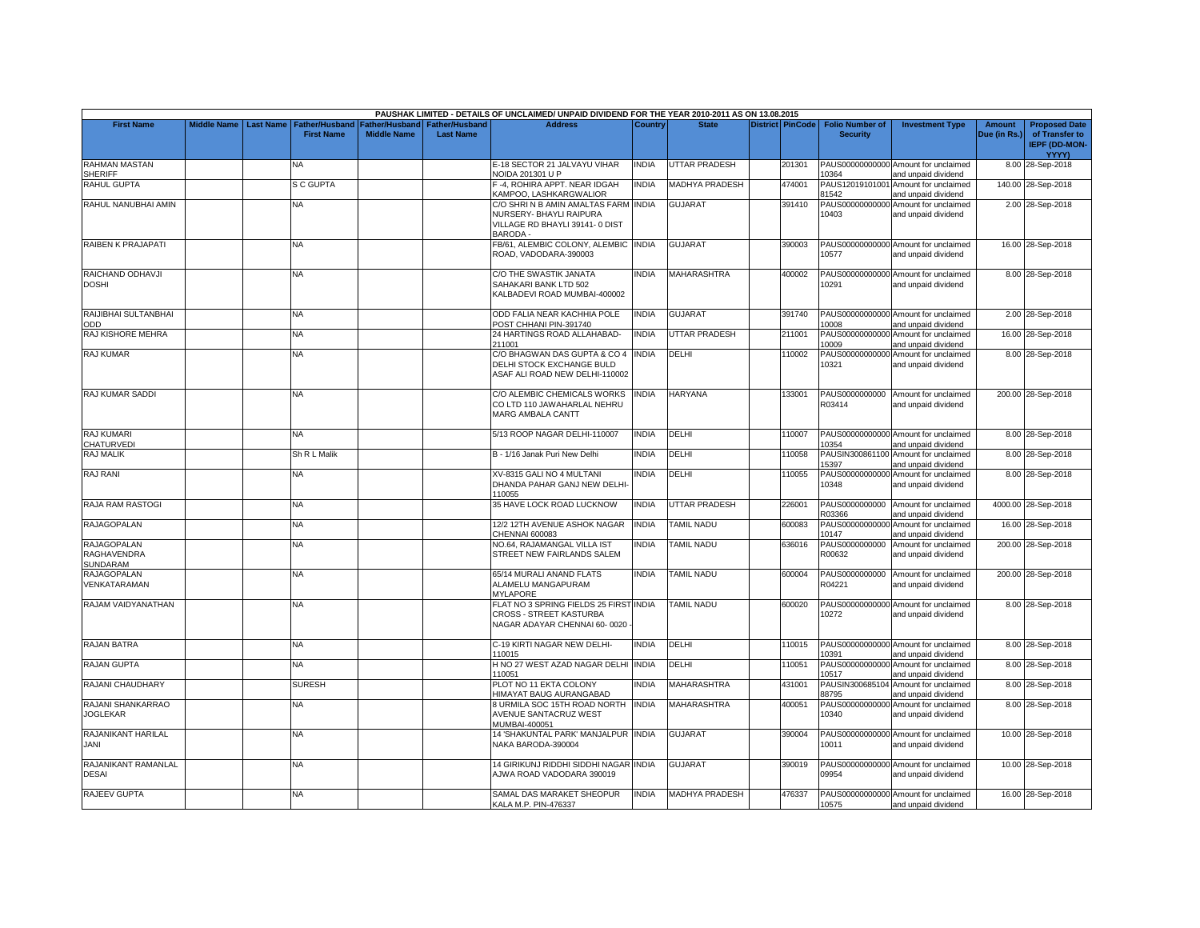|                                               |                    |                  |                                            |                                      |                                           | PAUSHAK LIMITED - DETAILS OF UNCLAIMED/ UNPAID DIVIDEND FOR THE YEAR 2010-2011 AS ON 13.08.2015               |              |                       |                         |                                           |                                                             |                               |                                                                                |
|-----------------------------------------------|--------------------|------------------|--------------------------------------------|--------------------------------------|-------------------------------------------|---------------------------------------------------------------------------------------------------------------|--------------|-----------------------|-------------------------|-------------------------------------------|-------------------------------------------------------------|-------------------------------|--------------------------------------------------------------------------------|
| <b>First Name</b>                             | <b>Middle Name</b> | <b>Last Name</b> | <b>Father/Husband</b><br><b>First Name</b> | Father/Husband<br><b>Middle Name</b> | <b>Father/Husband</b><br><b>Last Name</b> | <b>Address</b>                                                                                                | Country      | <b>State</b>          | <b>District PinCode</b> | <b>Folio Number of</b><br><b>Security</b> | <b>Investment Type</b>                                      | <b>Amount</b><br>Due (in Rs.) | <b>Proposed Date</b><br>of Transfer to<br><b>IEPF (DD-MON-</b><br><b>YYYY)</b> |
| <b>RAHMAN MASTAN</b><br>SHERIFF               |                    |                  | N٨                                         |                                      |                                           | E-18 SECTOR 21 JALVAYU VIHAR<br><b>NOIDA 201301 U P</b>                                                       | <b>INDIA</b> | <b>UTTAR PRADESH</b>  | 201301                  | 10364                                     | PAUS00000000000 Amount for unclaimed<br>and unpaid dividend |                               | 8.00 28-Sep-2018                                                               |
| <b>RAHUL GUPTA</b>                            |                    |                  | <b>S C GUPTA</b>                           |                                      |                                           | -4, ROHIRA APPT. NEAR IDGAH<br>KAMPOO, LASHKARGWALIOR                                                         | <b>INDIA</b> | <b>MADHYA PRADESH</b> | 474001                  | 81542                                     | PAUS12019101001 Amount for unclaimed<br>and unpaid dividend |                               | 140.00 28-Sep-2018                                                             |
| RAHUL NANUBHAI AMIN                           |                    |                  | NA.                                        |                                      |                                           | C/O SHRI N B AMIN AMALTAS FARM INDIA<br>NURSERY- BHAYLI RAIPURA<br>VILLAGE RD BHAYLI 39141-0 DIST<br>BARODA - |              | GUJARAT               | 391410                  | PAUS00000000000<br>10403                  | Amount for unclaimed<br>and unpaid dividend                 |                               | 2.00 28-Sep-2018                                                               |
| RAIBEN K PRAJAPATI                            |                    |                  | NA                                         |                                      |                                           | FB/61, ALEMBIC COLONY, ALEMBIC INDIA<br>ROAD, VADODARA-390003                                                 |              | <b>GUJARAT</b>        | 390003                  | 10577                                     | PAUS00000000000 Amount for unclaimed<br>and unpaid dividend |                               | 16.00 28-Sep-2018                                                              |
| RAICHAND ODHAVJI<br><b>DOSHI</b>              |                    |                  | NA                                         |                                      |                                           | C/O THE SWASTIK JANATA<br>SAHAKARI BANK LTD 502<br>KALBADEVI ROAD MUMBAI-400002                               | <b>INDIA</b> | <b>MAHARASHTRA</b>    | 400002                  | 10291                                     | PAUS00000000000 Amount for unclaimed<br>and unpaid dividend |                               | 8.00 28-Sep-2018                                                               |
| RAIJIBHAI SULTANBHAI<br>ODD                   |                    |                  | NA                                         |                                      |                                           | ODD FALIA NEAR KACHHIA POLE<br>POST CHHANI PIN-391740                                                         | <b>INDIA</b> | <b>GUJARAT</b>        | 391740                  | 10008                                     | PAUS00000000000 Amount for unclaimed<br>and unpaid dividend |                               | 2.00 28-Sep-2018                                                               |
| RAJ KISHORE MEHRA                             |                    |                  | ΝA                                         |                                      |                                           | 24 HARTINGS ROAD ALLAHABAD-<br>211001                                                                         | <b>INDIA</b> | <b>UTTAR PRADESH</b>  | 211001                  | 10009                                     | PAUS00000000000 Amount for unclaimed<br>and unpaid dividend |                               | 16.00 28-Sep-2018                                                              |
| RAJ KUMAR                                     |                    |                  | NA.                                        |                                      |                                           | C/O BHAGWAN DAS GUPTA & CO 4 INDIA<br>DELHI STOCK EXCHANGE BULD<br>ASAF ALI ROAD NEW DELHI-110002             |              | DELHI                 | 110002                  | 10321                                     | PAUS00000000000 Amount for unclaimed<br>and unpaid dividend |                               | 8.00 28-Sep-2018                                                               |
| RAJ KUMAR SADDI                               |                    |                  | NA.                                        |                                      |                                           | C/O ALEMBIC CHEMICALS WORKS<br>CO LTD 110 JAWAHARLAL NEHRU<br>MARG AMBALA CANTT                               | <b>INDIA</b> | <b>HARYANA</b>        | 133001                  | R03414                                    | PAUS0000000000 Amount for unclaimed<br>and unpaid dividend  |                               | 200.00 28-Sep-2018                                                             |
| <b>RAJ KUMARI</b><br>CHATURVEDI               |                    |                  | NA                                         |                                      |                                           | 5/13 ROOP NAGAR DELHI-110007                                                                                  | <b>INDIA</b> | DELHI                 | 110007                  | 10354                                     | PAUS00000000000 Amount for unclaimed<br>and unpaid dividend |                               | 8.00 28-Sep-2018                                                               |
| RAJ MALIK                                     |                    |                  | Sh R L Malik                               |                                      |                                           | B - 1/16 Janak Puri New Delhi                                                                                 | <b>INDIA</b> | DELHI                 | 110058                  | 15397                                     | PAUSIN300861100 Amount for unclaimed<br>and unpaid dividend |                               | 8.00 28-Sep-2018                                                               |
| RAJ RANI                                      |                    |                  | NA                                         |                                      |                                           | XV-8315 GALI NO 4 MULTANI<br>DHANDA PAHAR GANJ NEW DELHI<br>110055                                            | <b>INDIA</b> | DELHI                 | 110055                  | 10348                                     | PAUS00000000000 Amount for unclaimed<br>and unpaid dividend |                               | 8.00 28-Sep-2018                                                               |
| RAJA RAM RASTOGI                              |                    |                  | NA.                                        |                                      |                                           | 35 HAVE LOCK ROAD LUCKNOW                                                                                     | <b>INDIA</b> | <b>JTTAR PRADESH</b>  | 226001                  | PAUS0000000000<br>R03366                  | Amount for unclaimed<br>and unpaid dividend                 |                               | 4000.00 28-Sep-2018                                                            |
| <b>RAJAGOPALAN</b>                            |                    |                  | <b>NA</b>                                  |                                      |                                           | 12/2 12TH AVENUE ASHOK NAGAR<br>CHENNAI 600083                                                                | <b>INDIA</b> | <b>TAMIL NADU</b>     | 600083                  | 10147                                     | PAUS00000000000 Amount for unclaimed<br>and unpaid dividend |                               | 16.00 28-Sep-2018                                                              |
| <b>RAJAGOPALAN</b><br>RAGHAVENDRA<br>SUNDARAM |                    |                  | NA.                                        |                                      |                                           | NO.64, RAJAMANGAL VILLA IST<br>STREET NEW FAIRLANDS SALEM                                                     | <b>INDIA</b> | <b>TAMIL NADU</b>     | 636016                  | PAUS0000000000<br>R00632                  | Amount for unclaimed<br>and unpaid dividend                 |                               | 200.00 28-Sep-2018                                                             |
| <b>RAJAGOPALAN</b><br>VENKATARAMAN            |                    |                  | NA.                                        |                                      |                                           | 65/14 MURALI ANAND FLATS<br>ALAMELU MANGAPURAM<br><b>MYLAPORE</b>                                             | <b>INDIA</b> | <b>TAMIL NADU</b>     | 600004                  | PAUS0000000000<br>R04221                  | Amount for unclaimed<br>and unpaid dividend                 |                               | 200.00 28-Sep-2018                                                             |
| RAJAM VAIDYANATHAN                            |                    |                  | NA                                         |                                      |                                           | FLAT NO 3 SPRING FIELDS 25 FIRST INDIA<br><b>CROSS - STREET KASTURBA</b><br>NAGAR ADAYAR CHENNAI 60-0020      |              | <b>TAMIL NADU</b>     | 600020                  | 10272                                     | PAUS00000000000 Amount for unclaimed<br>and unpaid dividend |                               | 8.00 28-Sep-2018                                                               |
| <b>RAJAN BATRA</b>                            |                    |                  | NA                                         |                                      |                                           | C-19 KIRTI NAGAR NEW DELHI-<br>110015                                                                         | <b>INDIA</b> | DELHI                 | 110015                  | 10391                                     | PAUS00000000000 Amount for unclaimed<br>and unpaid dividend |                               | 8.00 28-Sep-2018                                                               |
| <b>RAJAN GUPTA</b>                            |                    |                  | NA                                         |                                      |                                           | H NO 27 WEST AZAD NAGAR DELHI INDIA<br>110051                                                                 |              | DELHI                 | 110051                  | 10517                                     | PAUS00000000000 Amount for unclaimed<br>and unpaid dividend |                               | 8.00 28-Sep-2018                                                               |
| RAJANI CHAUDHARY                              |                    |                  | <b>SURESH</b>                              |                                      |                                           | PLOT NO 11 EKTA COLONY<br>HIMAYAT BAUG AURANGABAD                                                             | <b>INDIA</b> | MAHARASHTRA           | 431001                  | 88795                                     | PAUSIN300685104 Amount for unclaimed<br>and unpaid dividend |                               | 8.00 28-Sep-2018                                                               |
| RAJANI SHANKARRAO<br><b>JOGLEKAR</b>          |                    |                  | NA                                         |                                      |                                           | 3 URMILA SOC 15TH ROAD NORTH INDIA<br><b>AVENUE SANTACRUZ WEST</b><br>MUMBAI-400051                           |              | <b>MAHARASHTRA</b>    | 400051                  | 10340                                     | PAUS00000000000 Amount for unclaimed<br>and unpaid dividend |                               | 8.00 28-Sep-2018                                                               |
| RAJANIKANT HARILAL<br>JANI                    |                    |                  | <b>NA</b>                                  |                                      |                                           | 14 'SHAKUNTAL PARK' MANJALPUR INDIA<br>NAKA BARODA-390004                                                     |              | <b>GUJARAT</b>        | 390004                  | 10011                                     | PAUS00000000000 Amount for unclaimed<br>and unpaid dividend |                               | 10.00 28-Sep-2018                                                              |
| RAJANIKANT RAMANLAL<br><b>DESAI</b>           |                    |                  | NA                                         |                                      |                                           | 14 GIRIKUNJ RIDDHI SIDDHI NAGAR INDIA<br>AJWA ROAD VADODARA 390019                                            |              | <b>GUJARAT</b>        | 390019                  | 09954                                     | PAUS00000000000 Amount for unclaimed<br>and unpaid dividend |                               | 10.00 28-Sep-2018                                                              |
| RAJEEV GUPTA                                  |                    |                  | NA.                                        |                                      |                                           | SAMAL DAS MARAKET SHEOPUR<br>KALA M.P. PIN-476337                                                             | <b>INDIA</b> | <b>MADHYA PRADESH</b> | 476337                  | 10575                                     | PAUS00000000000 Amount for unclaimed<br>and unpaid dividend |                               | 16.00 28-Sep-2018                                                              |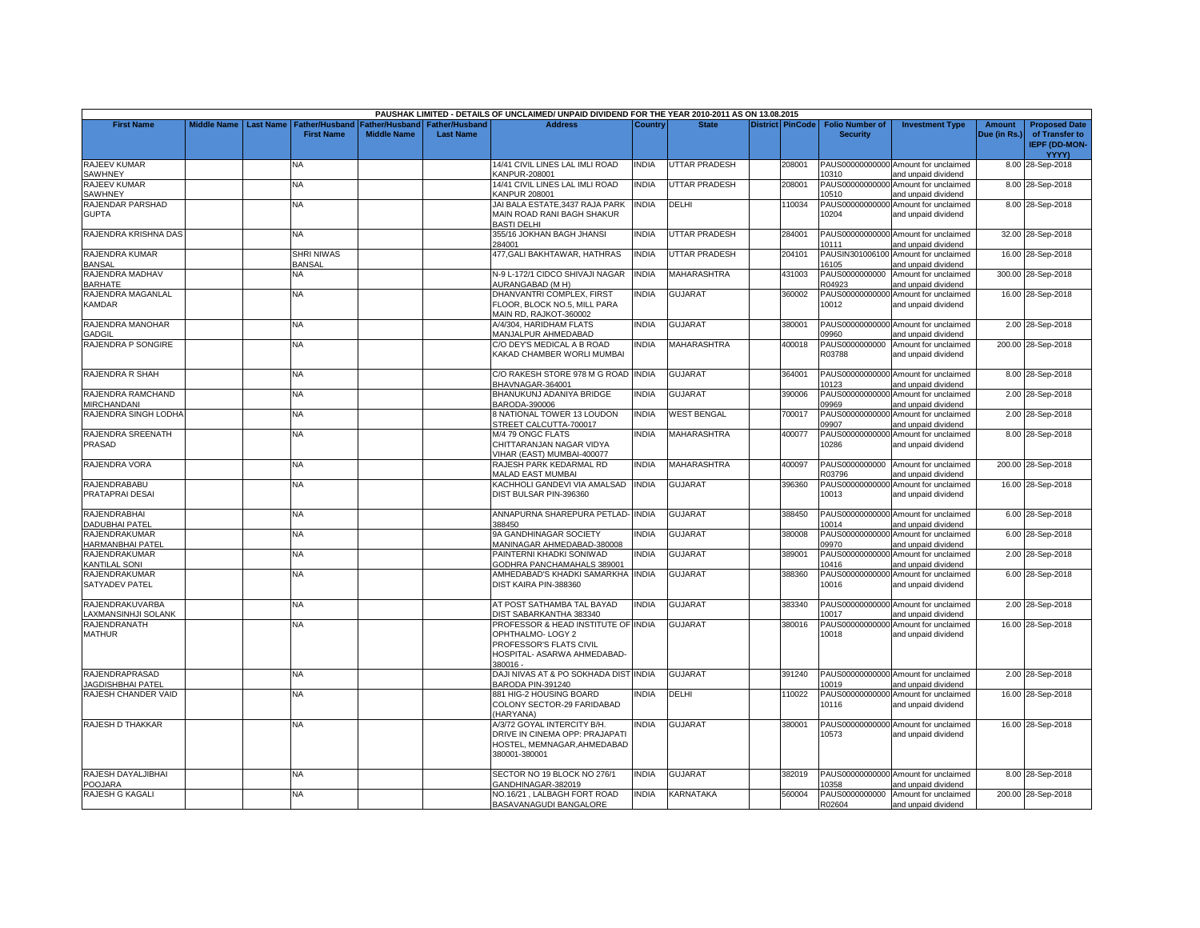|                                           |                    |                  |                                     |                                      |                                    | PAUSHAK LIMITED - DETAILS OF UNCLAIMED/ UNPAID DIVIDEND FOR THE YEAR 2010-2011 AS ON 13.08.2015                                |              |                      |                         |                                           |                                                             |                        |                                                                |
|-------------------------------------------|--------------------|------------------|-------------------------------------|--------------------------------------|------------------------------------|--------------------------------------------------------------------------------------------------------------------------------|--------------|----------------------|-------------------------|-------------------------------------------|-------------------------------------------------------------|------------------------|----------------------------------------------------------------|
| <b>First Name</b>                         | <b>Middle Name</b> | <b>Last Name</b> | Father/Husband<br><b>First Name</b> | Father/Husband<br><b>Middle Name</b> | Father/Husband<br><b>Last Name</b> | <b>Address</b>                                                                                                                 | Country      | <b>State</b>         | <b>District PinCode</b> | <b>Folio Number of</b><br><b>Security</b> | <b>Investment Type</b>                                      | Amount<br>Due (in Rs.) | <b>Proposed Date</b><br>of Transfer to<br><b>IEPF (DD-MON-</b> |
| RAJEEV KUMAR<br>SAWHNEY                   |                    |                  | N٨                                  |                                      |                                    | 14/41 CIVIL LINES LAL IMLI ROAD<br><b>KANPUR-208001</b>                                                                        | <b>INDIA</b> | UTTAR PRADESH        | 208001                  | 10310                                     | PAUS00000000000 Amount for unclaimed<br>and unpaid dividend |                        | <b>YYYY)</b><br>8.00 28-Sep-2018                               |
| RAJEEV KUMAR<br>SAWHNEY                   |                    |                  | ΝA                                  |                                      |                                    | 14/41 CIVIL LINES LAL IMLI ROAD<br>KANPUR 208001                                                                               | INDIA        | <b>JTTAR PRADESH</b> | 208001                  | 10510                                     | PAUS00000000000 Amount for unclaimed<br>and unpaid dividend |                        | 8.00 28-Sep-2018                                               |
| RAJENDAR PARSHAD<br><b>GUPTA</b>          |                    |                  | NA.                                 |                                      |                                    | JAI BALA ESTATE,3437 RAJA PARK<br>MAIN ROAD RANI BAGH SHAKUR<br><b>BASTI DELHI</b>                                             | <b>INDIA</b> | DELHI                | 110034                  | 10204                                     | PAUS00000000000 Amount for unclaimed<br>and unpaid dividend |                        | 8.00 28-Sep-2018                                               |
| RAJENDRA KRISHNA DAS                      |                    |                  | NA                                  |                                      |                                    | 355/16 JOKHAN BAGH JHANSI<br>284001                                                                                            | <b>INDIA</b> | <b>JTTAR PRADESH</b> | 284001                  | 10111                                     | PAUS00000000000 Amount for unclaimed<br>and unpaid dividend |                        | 32.00 28-Sep-2018                                              |
| RAJENDRA KUMAR<br><b>BANSAL</b>           |                    |                  | <b>SHRI NIWAS</b><br><b>BANSAL</b>  |                                      |                                    | 477, GALI BAKHTAWAR, HATHRAS                                                                                                   | <b>INDIA</b> | <b>JTTAR PRADESH</b> | 204101                  | 16105                                     | PAUSIN301006100 Amount for unclaimed<br>and unpaid dividend |                        | 16.00 28-Sep-2018                                              |
| RAJENDRA MADHAV<br><b>BARHATE</b>         |                    |                  | NA                                  |                                      |                                    | N-9 L-172/1 CIDCO SHIVAJI NAGAR<br><b>AURANGABAD (M H)</b>                                                                     | <b>INDIA</b> | <b>MAHARASHTRA</b>   | 431003                  | PAUS0000000000<br>R04923                  | Amount for unclaimed<br>and unpaid dividend                 |                        | 300.00 28-Sep-2018                                             |
| RAJENDRA MAGANLAL<br>KAMDAR               |                    |                  | NA.                                 |                                      |                                    | DHANVANTRI COMPLEX, FIRST<br>FLOOR, BLOCK NO.5, MILL PARA<br>MAIN RD. RAJKOT-360002                                            | <b>INDIA</b> | GUJARAT              | 360002                  | 10012                                     | PAUS00000000000 Amount for unclaimed<br>and unpaid dividend |                        | 16.00 28-Sep-2018                                              |
| RAJENDRA MANOHAR<br>GADGIL                |                    |                  | NA                                  |                                      |                                    | A/4/304, HARIDHAM FLATS<br><b>MANJALPUR AHMEDABAD</b>                                                                          | <b>INDIA</b> | GUJARAT              | 380001                  | 09960                                     | PAUS00000000000 Amount for unclaimed<br>and unpaid dividend |                        | 2.00 28-Sep-2018                                               |
| RAJENDRA P SONGIRE                        |                    |                  | NA                                  |                                      |                                    | C/O DEY'S MEDICAL A B ROAD<br>KAKAD CHAMBER WORLI MUMBAI                                                                       | <b>INDIA</b> | <b>MAHARASHTRA</b>   | 400018                  | PAUS0000000000<br>R03788                  | Amount for unclaimed<br>and unpaid dividend                 |                        | 200.00 28-Sep-2018                                             |
| RAJENDRA R SHAH                           |                    |                  | <b>NA</b>                           |                                      |                                    | C/O RAKESH STORE 978 M G ROAD INDIA<br>BHAVNAGAR-364001                                                                        |              | <b>GUJARAT</b>       | 364001                  | 10123                                     | PAUS00000000000 Amount for unclaimed<br>and unpaid dividend |                        | 8.00 28-Sep-2018                                               |
| RAJENDRA RAMCHAND<br>MIRCHANDANI          |                    |                  | NA.                                 |                                      |                                    | BHANUKUNJ ADANIYA BRIDGE<br>BARODA-390006                                                                                      | <b>INDIA</b> | GUJARAT              | 390006                  | 09969                                     | PAUS00000000000 Amount for unclaimed<br>and unpaid dividend |                        | 2.00 28-Sep-2018                                               |
| <b>RAJENDRA SINGH LODHA</b>               |                    |                  | NA                                  |                                      |                                    | <b>B NATIONAL TOWER 13 LOUDON</b><br>STREET CALCUTTA-700017                                                                    | <b>INDIA</b> | <b>NEST BENGAL</b>   | 700017                  | 09907                                     | PAUS00000000000 Amount for unclaimed<br>and unpaid dividend |                        | 2.00 28-Sep-2018                                               |
| RAJENDRA SREENATH<br>PRASAD               |                    |                  | NA.                                 |                                      |                                    | M/4 79 ONGC FLATS<br>CHITTARANJAN NAGAR VIDYA<br>VIHAR (EAST) MUMBAI-400077                                                    | <b>INDIA</b> | <b>MAHARASHTRA</b>   | 400077                  | 10286                                     | PAUS00000000000 Amount for unclaimed<br>and unpaid dividend |                        | 8.00 28-Sep-2018                                               |
| RAJENDRA VORA                             |                    |                  | NA                                  |                                      |                                    | RAJESH PARK KEDARMAL RD<br><b>MALAD EAST MUMBAI</b>                                                                            | INDIA        | MAHARASHTRA          | 400097                  | R03796                                    | PAUS0000000000 Amount for unclaimed<br>and unpaid dividend  |                        | 200.00 28-Sep-2018                                             |
| RAJENDRABABU<br>PRATAPRAI DESAI           |                    |                  | NA                                  |                                      |                                    | KACHHOLI GANDEVI VIA AMALSAD<br>DIST BULSAR PIN-396360                                                                         | <b>INDIA</b> | <b>GUJARAT</b>       | 396360                  | 10013                                     | PAUS00000000000 Amount for unclaimed<br>and unpaid dividend |                        | 16.00 28-Sep-2018                                              |
| RAJENDRABHAI<br><b>DADUBHAI PATEL</b>     |                    |                  | NA                                  |                                      |                                    | ANNAPURNA SHAREPURA PETLAD- INDIA<br>388450                                                                                    |              | GUJARAT              | 388450                  | 10014                                     | PAUS00000000000 Amount for unclaimed<br>and unpaid dividend |                        | 6.00 28-Sep-2018                                               |
| <b>RAJENDRAKUMAR</b><br>HARMANBHAI PATEL  |                    |                  | NA                                  |                                      |                                    | <b>9A GANDHINAGAR SOCIETY</b><br>MANINAGAR AHMEDABAD-380008                                                                    | <b>INDIA</b> | GUJARAT              | 380008                  | 09970                                     | PAUS00000000000 Amount for unclaimed<br>and unpaid dividend |                        | 6.00 28-Sep-2018                                               |
| RAJENDRAKUMAR<br><b>KANTILAL SONI</b>     |                    |                  | NA                                  |                                      |                                    | PAINTERNI KHADKI SONIWAD<br>GODHRA PANCHAMAHALS 389001                                                                         | <b>INDIA</b> | GUJARAT              | 389001                  | 10416                                     | PAUS00000000000 Amount for unclaimed<br>and unpaid dividend |                        | 2.00 28-Sep-2018                                               |
| RAJENDRAKUMAR<br><b>SATYADEV PATEL</b>    |                    |                  | NA.                                 |                                      |                                    | AMHEDABAD'S KHADKI SAMARKHA<br>DIST KAIRA PIN-388360                                                                           | <b>INDIA</b> | GUJARAT              | 388360                  | 10016                                     | PAUS00000000000 Amount for unclaimed<br>and unpaid dividend |                        | 6.00 28-Sep-2018                                               |
| RAJENDRAKUVARBA<br>AXMANSINHJI SOLANK     |                    |                  | <b>NA</b>                           |                                      |                                    | AT POST SATHAMBA TAL BAYAD<br>DIST SABARKANTHA 383340                                                                          | <b>INDIA</b> | <b>GUJARAT</b>       | 383340                  | 10017                                     | PAUS00000000000 Amount for unclaimed<br>and unpaid dividend |                        | 2.00 28-Sep-2018                                               |
| RAJENDRANATH<br><b>MATHUR</b>             |                    |                  | ΝA                                  |                                      |                                    | PROFESSOR & HEAD INSTITUTE OF INDIA<br>OPHTHALMO- LOGY 2<br>PROFESSOR'S FLATS CIVIL<br>HOSPITAL- ASARWA AHMEDABAD-<br>380016 - |              | GUJARAT              | 380016                  | 10018                                     | PAUS00000000000 Amount for unclaimed<br>and unpaid dividend |                        | 16.00 28-Sep-2018                                              |
| RAJENDRAPRASAD<br><b>AGDISHBHAI PATEL</b> |                    |                  | NA                                  |                                      |                                    | DAJI NIVAS AT & PO SOKHADA DIST INDIA<br><b>BARODA PIN-391240</b>                                                              |              | GUJARAT              | 391240                  | 10019                                     | PAUS00000000000 Amount for unclaimed<br>and unpaid dividend |                        | 2.00 28-Sep-2018                                               |
| RAJESH CHANDER VAID                       |                    |                  | NA                                  |                                      |                                    | 881 HIG-2 HOUSING BOARD<br>COLONY SECTOR-29 FARIDABAD<br>(HARYANA)                                                             | <b>INDIA</b> | DELHI                | 110022                  | 10116                                     | PAUS00000000000 Amount for unclaimed<br>and unpaid dividend |                        | 16.00 28-Sep-2018                                              |
| RAJESH D THAKKAR                          |                    |                  | NA.                                 |                                      |                                    | 4/3/72 GOYAL INTERCITY B/H.<br>DRIVE IN CINEMA OPP: PRAJAPATI<br>HOSTEL, MEMNAGAR, AHMEDABAD<br>380001-380001                  | <b>INDIA</b> | GUJARAT              | 380001                  | 10573                                     | PAUS00000000000 Amount for unclaimed<br>and unpaid dividend |                        | 16.00 28-Sep-2018                                              |
| RAJESH DAYALJIBHAI<br><b>POOJARA</b>      |                    |                  | NΑ                                  |                                      |                                    | SECTOR NO 19 BLOCK NO 276/1<br>GANDHINAGAR-382019                                                                              | <b>INDIA</b> | <b>GUJARAT</b>       | 382019                  | 10358                                     | PAUS00000000000 Amount for unclaimed<br>and unpaid dividend |                        | 8.00 28-Sep-2018                                               |
| RAJESH G KAGALI                           |                    |                  | NA                                  |                                      |                                    | NO.16/21, LALBAGH FORT ROAD<br>BASAVANAGUDI BANGALORE                                                                          | <b>INDIA</b> | KARNATAKA            | 560004                  | R02604                                    | PAUS0000000000 Amount for unclaimed<br>and unpaid dividend  |                        | 200.00 28-Sep-2018                                             |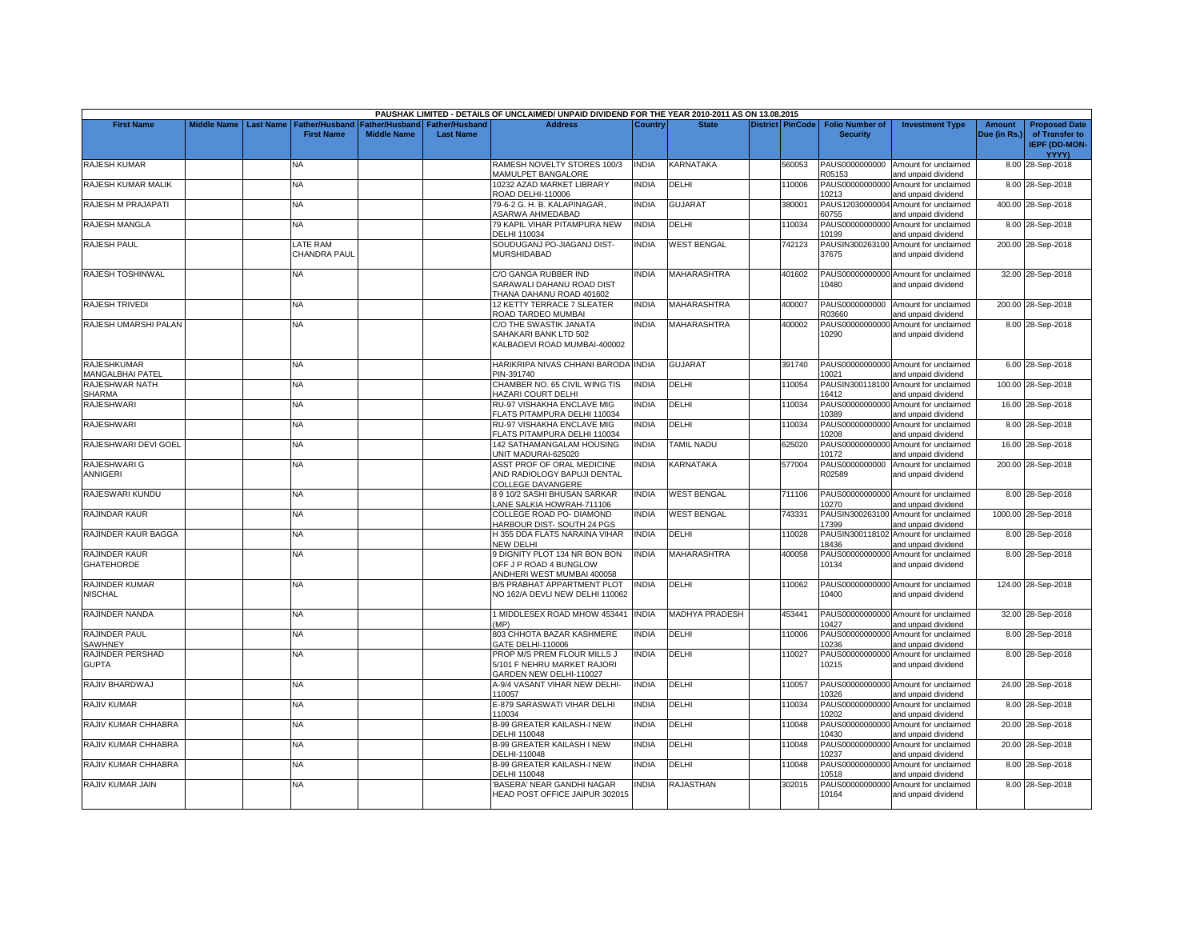|                                               |                         |                                            |                                      |                                           | PAUSHAK LIMITED - DETAILS OF UNCLAIMED/ UNPAID DIVIDEND FOR THE YEAR 2010-2011 AS ON 13.08.2015 |              |                       |                         |                                           |                                                             |                               |                                                                |
|-----------------------------------------------|-------------------------|--------------------------------------------|--------------------------------------|-------------------------------------------|-------------------------------------------------------------------------------------------------|--------------|-----------------------|-------------------------|-------------------------------------------|-------------------------------------------------------------|-------------------------------|----------------------------------------------------------------|
| <b>First Name</b>                             | Middle Name   Last Name | <b>Father/Husband</b><br><b>First Name</b> | Father/Husband<br><b>Middle Name</b> | <b>Father/Husband</b><br><b>Last Name</b> | <b>Address</b>                                                                                  | Country      | <b>State</b>          | <b>District PinCode</b> | <b>Folio Number of</b><br><b>Security</b> | <b>Investment Type</b>                                      | <b>Amount</b><br>Due (in Rs.) | <b>Proposed Date</b><br>of Transfer to<br><b>IEPF (DD-MON-</b> |
| <b>RAJESH KUMAR</b>                           |                         | NA                                         |                                      |                                           | RAMESH NOVELTY STORES 100/3<br><b>MAMULPET BANGALORE</b>                                        | <b>INDIA</b> | KARNATAKA             | 560053                  | PAUS0000000000<br>305153                  | Amount for unclaimed<br>and unpaid dividend                 |                               | YYYY)<br>8.00 28-Sep-2018                                      |
| RAJESH KUMAR MALIK                            |                         | <b>NA</b>                                  |                                      |                                           | 10232 AZAD MARKET LIBRARY<br>ROAD DELHI-110006                                                  | <b>INDIA</b> | DELHI                 | 110006                  | PAUS00000000000<br>10213                  | Amount for unclaimed<br>and unpaid dividend                 |                               | 8.00 28-Sep-2018                                               |
| RAJESH M PRAJAPATI                            |                         | <b>NA</b>                                  |                                      |                                           | 79-6-2 G. H. B. KALAPINAGAR.<br><b>ASARWA AHMEDABAD</b>                                         | <b>INDIA</b> | <b>GUJARAT</b>        | 380001                  | 60755                                     | PAUS12030000004 Amount for unclaimed<br>and unpaid dividend |                               | 400.00 28-Sep-2018                                             |
| RAJESH MANGLA                                 |                         | <b>NA</b>                                  |                                      |                                           | 79 KAPIL VIHAR PITAMPURA NEW<br>DELHI 110034                                                    | <b>INDIA</b> | DELHI                 | 110034                  | PAUS00000000000<br>10199                  | Amount for unclaimed<br>and unpaid dividend                 |                               | 8.00 28-Sep-2018                                               |
| <b>RAJESH PAUL</b>                            |                         | <b>LATE RAM</b><br>CHANDRA PAUL            |                                      |                                           | SOUDUGANJ PO-JIAGANJ DIST-<br>MURSHIDABAD                                                       | <b>INDIA</b> | <b>WEST BENGAL</b>    | 742123                  | 37675                                     | PAUSIN300263100 Amount for unclaimed<br>and unpaid dividend |                               | 200.00 28-Sep-2018                                             |
| RAJESH TOSHINWAL                              |                         | NA                                         |                                      |                                           | C/O GANGA RUBBER IND<br>SARAWALI DAHANU ROAD DIST<br>THANA DAHANU ROAD 401602                   | <b>INDIA</b> | <b>MAHARASHTRA</b>    | 401602                  | 10480                                     | PAUS00000000000 Amount for unclaimed<br>and unpaid dividend |                               | 32.00 28-Sep-2018                                              |
| <b>RAJESH TRIVEDI</b>                         |                         | <b>NA</b>                                  |                                      |                                           | 12 KETTY TERRACE 7 SLEATER<br>ROAD TARDEO MUMBAI                                                | <b>INDIA</b> | <b>MAHARASHTRA</b>    | 400007                  | PAUS0000000000<br>R03660                  | Amount for unclaimed<br>and unpaid dividend                 |                               | 200.00 28-Sep-2018                                             |
| RAJESH UMARSHI PALAN                          |                         | NA                                         |                                      |                                           | C/O THE SWASTIK JANATA<br>SAHAKARI BANK LTD 502<br>KALBADEVI ROAD MUMBAI-400002                 | <b>INDIA</b> | <b>MAHARASHTRA</b>    | 400002                  | PAUS00000000000<br>10290                  | Amount for unclaimed<br>and unpaid dividend                 |                               | 8.00 28-Sep-2018                                               |
| <b>RAJESHKUMAR</b><br><b>MANGALBHAI PATEL</b> |                         | NA.                                        |                                      |                                           | HARIKRIPA NIVAS CHHANI BARODA INDIA<br>PIN-391740                                               |              | <b>GUJARAT</b>        | 391740                  | 10021                                     | PAUS00000000000 Amount for unclaimed<br>and unpaid dividend |                               | 6.00 28-Sep-2018                                               |
| RAJESHWAR NATH<br><b>SHARMA</b>               |                         | <b>NA</b>                                  |                                      |                                           | CHAMBER NO. 65 CIVIL WING TIS<br>HAZARI COURT DELHI                                             | <b>INDIA</b> | DELHI                 | 110054                  | 16412                                     | PAUSIN300118100 Amount for unclaimed<br>and unpaid dividend |                               | 100.00 28-Sep-2018                                             |
| <b>RAJESHWARI</b>                             |                         | <b>NA</b>                                  |                                      |                                           | RU-97 VISHAKHA ENCLAVE MIG<br>FLATS PITAMPURA DELHI 110034                                      | <b>INDIA</b> | DELHI                 | 110034                  | PAUS00000000000<br>10389                  | Amount for unclaimed<br>and unpaid dividend                 |                               | 16.00 28-Sep-2018                                              |
| <b>RAJESHWARI</b>                             |                         | <b>NA</b>                                  |                                      |                                           | RU-97 VISHAKHA ENCLAVE MIG<br>FLATS PITAMPURA DELHI 110034                                      | <b>INDIA</b> | DELHI                 | 110034                  | 10208                                     | PAUS00000000000 Amount for unclaimed<br>and unpaid dividend |                               | 8.00 28-Sep-2018                                               |
| RAJESHWARI DEVI GOEL                          |                         | <b>NA</b>                                  |                                      |                                           | 142 SATHAMANGALAM HOUSING<br>UNIT MADURAI-625020                                                | <b>INDIA</b> | <b>TAMIL NADU</b>     | 625020                  | PAUS00000000000<br>10172                  | Amount for unclaimed<br>and unpaid dividend                 |                               | 16.00 28-Sep-2018                                              |
| RAJESHWARI G<br>ANNIGERI                      |                         | NA.                                        |                                      |                                           | <b>ASST PROF OF ORAL MEDICINE</b><br>AND RADIOLOGY BAPUJI DENTAL<br>COLLEGE DAVANGERE           | <b>INDIA</b> | <b>KARNATAKA</b>      | 577004                  | PAUS0000000000<br>R02589                  | Amount for unclaimed<br>and unpaid dividend                 |                               | 200.00 28-Sep-2018                                             |
| RAJESWARI KUNDU                               |                         | NA                                         |                                      |                                           | 3 9 10/2 SASHI BHUSAN SARKAR<br>ANE SALKIA HOWRAH-711106                                        | <b>INDIA</b> | <b>WEST BENGAL</b>    | 711106                  | 10270                                     | PAUS00000000000 Amount for unclaimed<br>and unpaid dividend |                               | 8.00 28-Sep-2018                                               |
| RAJINDAR KAUR                                 |                         | NA                                         |                                      |                                           | COLLEGE ROAD PO- DIAMOND<br>HARBOUR DIST- SOUTH 24 PGS                                          | <b>INDIA</b> | <b>WEST BENGAL</b>    | 743331                  | PAUSIN300263100<br>17399                  | Amount for unclaimed<br>and unpaid dividend                 |                               | 1000.00 28-Sep-2018                                            |
| RAJINDER KAUR BAGGA                           |                         | <b>NA</b>                                  |                                      |                                           | <b>H355 DDA FLATS NARAINA VIHAR</b><br><b>NEW DELHI</b>                                         | <b>INDIA</b> | DELHI                 | 110028                  | 18436                                     | PAUSIN300118102 Amount for unclaimed<br>and unpaid dividend |                               | 8.00 28-Sep-2018                                               |
| RAJINDER KAUR<br><b>GHATEHORDE</b>            |                         | NA                                         |                                      |                                           | <b>J DIGNITY PLOT 134 NR BON BON</b><br>OFF J P ROAD 4 BUNGLOW<br>ANDHERI WEST MUMBAI 400058    | <b>INDIA</b> | <b>MAHARASHTRA</b>    | 400058                  | PAUS00000000000<br>10134                  | Amount for unclaimed<br>and unpaid dividend                 |                               | 8.00 28-Sep-2018                                               |
| RAJINDER KUMAR<br><b>NISCHAL</b>              |                         | NA.                                        |                                      |                                           | <b>B/5 PRABHAT APPARTMENT PLOT</b><br>NO 162/A DEVLI NEW DELHI 110062                           | <b>INDIA</b> | DELHI                 | 110062                  | PAUS00000000000<br>10400                  | Amount for unclaimed<br>and unpaid dividend                 |                               | 124.00 28-Sep-2018                                             |
| RAJINDER NANDA                                |                         | NA                                         |                                      |                                           | I MIDDLESEX ROAD MHOW 453441<br>(MP)                                                            | <b>INDIA</b> | <b>MADHYA PRADESH</b> | 453441                  | 10427                                     | PAUS00000000000 Amount for unclaimed<br>and unpaid dividend |                               | 32.00 28-Sep-2018                                              |
| RAJINDER PAUL<br><b>SAWHNEY</b>               |                         | NA                                         |                                      |                                           | 803 CHHOTA BAZAR KASHMERE<br>GATE DELHI-110006                                                  | INDIA        | DELHI                 | 110006                  | 10236                                     | PAUS00000000000 Amount for unclaimed<br>and unpaid dividend |                               | 8.00 28-Sep-2018                                               |
| RAJINDER PERSHAD<br><b>GUPTA</b>              |                         | NA.                                        |                                      |                                           | PROP M/S PREM FLOUR MILLS J<br>5/101 F NEHRU MARKET RAJORI<br>GARDEN NEW DELHI-110027           | <b>INDIA</b> | DELHI                 | 110027                  | PAUS00000000000<br>10215                  | Amount for unclaimed<br>and unpaid dividend                 |                               | 8.00 28-Sep-2018                                               |
| RAJIV BHARDWAJ                                |                         | <b>NA</b>                                  |                                      |                                           | 4-9/4 VASANT VIHAR NEW DELHI-<br>110057                                                         | <b>INDIA</b> | DELHI                 | 110057                  | 10326                                     | PAUS00000000000 Amount for unclaimed<br>and unpaid dividend |                               | 24.00 28-Sep-2018                                              |
| <b>RAJIV KUMAR</b>                            |                         | <b>NA</b>                                  |                                      |                                           | E-879 SARASWATI VIHAR DELHI<br>110034                                                           | <b>INDIA</b> | DELHI                 | 110034                  | PAUS00000000000<br>10202                  | Amount for unclaimed<br>and unpaid dividend                 |                               | 8.00 28-Sep-2018                                               |
| RAJIV KUMAR CHHABRA                           |                         | NA.                                        |                                      |                                           | <b>B-99 GREATER KAILASH-I NEW</b><br>DELHI 110048                                               | <b>INDIA</b> | DELHI                 | 110048                  | PAUS0000000000<br>10430                   | Amount for unclaimed<br>and unpaid dividend                 |                               | 20.00 28-Sep-2018                                              |
| RAJIV KUMAR CHHABRA                           |                         | <b>NA</b>                                  |                                      |                                           | <b>B-99 GREATER KAILASH I NEW</b><br>DELHI-110048                                               | <b>INDIA</b> | DELHI                 | 110048                  | PAUS00000000000<br>10237                  | Amount for unclaimed<br>and unpaid dividend                 |                               | 20.00 28-Sep-2018                                              |
| RAJIV KUMAR CHHABRA                           |                         | NA.                                        |                                      |                                           | B-99 GREATER KAILASH-I NEW<br>DELHI 110048                                                      | <b>INDIA</b> | DELHI                 | 110048                  | PAUS00000000000<br>10518                  | Amount for unclaimed<br>and unpaid dividend                 |                               | 8.00 28-Sep-2018                                               |
| RAJIV KUMAR JAIN                              |                         | <b>NA</b>                                  |                                      |                                           | BASERA' NEAR GANDHI NAGAR<br>HEAD POST OFFICE JAIPUR 302015                                     | <b>NDIA</b>  | <b>RAJASTHAN</b>      | 302015                  | PAUS00000000000<br>10164                  | Amount for unclaimed<br>and unpaid dividend                 |                               | 8.00 28-Sep-2018                                               |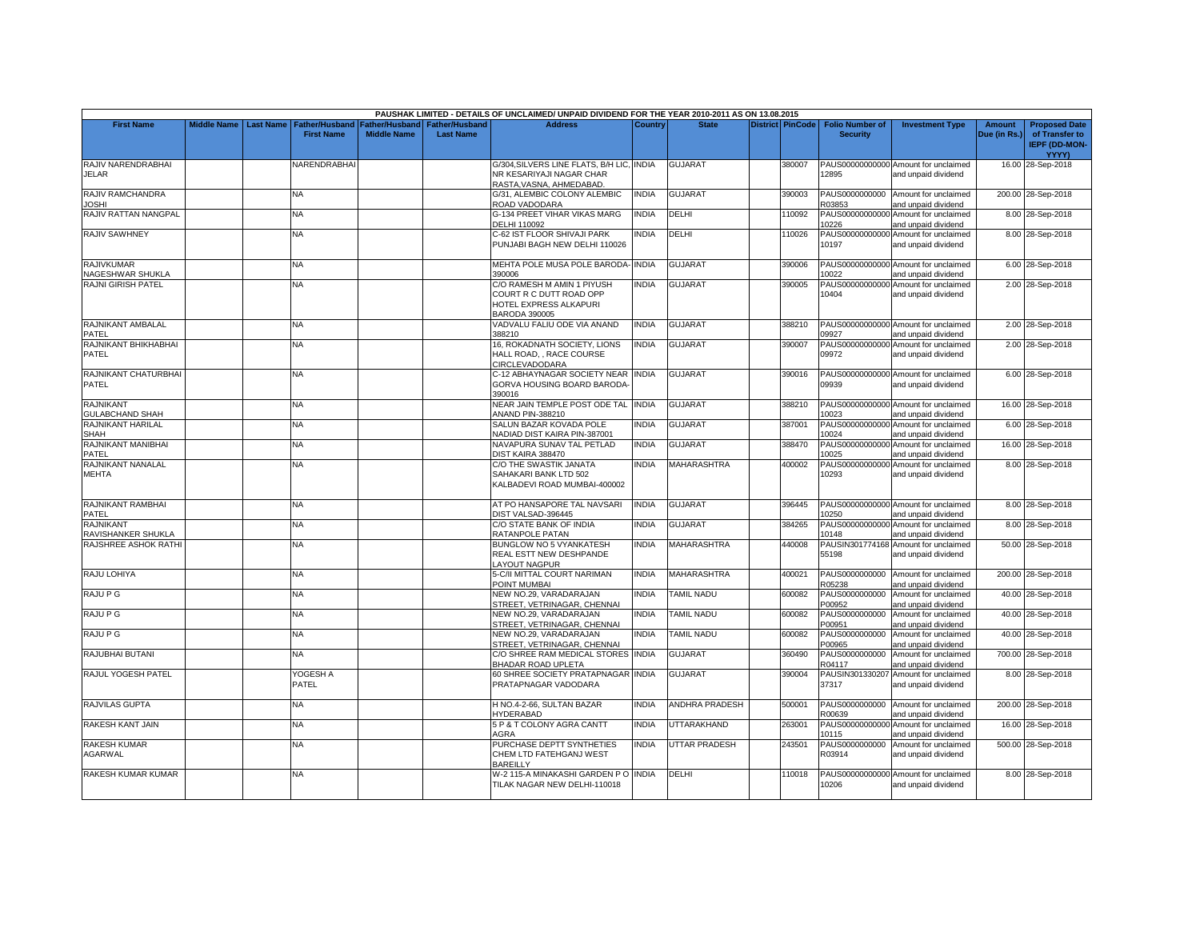|                                            |                    |                  |                                            |                                             |                                           | PAUSHAK LIMITED - DETAILS OF UNCLAIMED/ UNPAID DIVIDEND FOR THE YEAR 2010-2011 AS ON 13.08.2015         |              |                       |                  |                                           |                                                             |                               |                                                                |
|--------------------------------------------|--------------------|------------------|--------------------------------------------|---------------------------------------------|-------------------------------------------|---------------------------------------------------------------------------------------------------------|--------------|-----------------------|------------------|-------------------------------------------|-------------------------------------------------------------|-------------------------------|----------------------------------------------------------------|
| <b>First Name</b>                          | <b>Middle Name</b> | <b>Last Name</b> | <b>Father/Husband</b><br><b>First Name</b> | <b>Father/Husband</b><br><b>Middle Name</b> | <b>Father/Husband</b><br><b>Last Name</b> | <b>Address</b>                                                                                          | Country      | <b>State</b>          | District PinCode | <b>Folio Number of</b><br><b>Security</b> | <b>Investment Type</b>                                      | <b>Amount</b><br>Due (in Rs.) | <b>Proposed Date</b><br>of Transfer to<br><b>IEPF (DD-MON-</b> |
| RAJIV NARENDRABHAI<br><b>JELAR</b>         |                    |                  | VARENDRABHA                                |                                             |                                           | G/304, SILVERS LINE FLATS, B/H LIC, INDIA<br>NR KESARIYAJI NAGAR CHAR<br>RASTA, VASNA, AHMEDABAD.       |              | <b>GUJARAT</b>        | 380007           | 12895                                     | PAUS00000000000 Amount for unclaimed<br>and unpaid dividend |                               | YYYY)<br>16.00 28-Sep-2018                                     |
| RAJIV RAMCHANDRA<br><b>JOSHI</b>           |                    |                  | NA.                                        |                                             |                                           | G/31, ALEMBIC COLONY ALEMBIC<br>ROAD VADODARA                                                           | <b>NDIA</b>  | <b>GUJARAT</b>        | 390003           | PAUS0000000000<br>R03853                  | Amount for unclaimed<br>and unpaid dividend                 |                               | 200.00 28-Sep-2018                                             |
| RAJIV RATTAN NANGPAL                       |                    |                  | NA                                         |                                             |                                           | G-134 PREET VIHAR VIKAS MARG<br><b>DELHI 110092</b>                                                     | INDIA        | DELHI                 | 110092           | 10226                                     | PAUS00000000000 Amount for unclaimed<br>and unpaid dividend |                               | 8.00 28-Sep-2018                                               |
| <b>RAJIV SAWHNEY</b>                       |                    |                  | <b>NA</b>                                  |                                             |                                           | C-62 IST FLOOR SHIVAJI PARK<br>PUNJABI BAGH NEW DELHI 110026                                            | <b>NDIA</b>  | DELHI                 | 110026           | 10197                                     | PAUS00000000000 Amount for unclaimed<br>and unpaid dividend |                               | 8.00 28-Sep-2018                                               |
| <b>RAJIVKUMAR</b><br>NAGESHWAR SHUKLA      |                    |                  | <b>NA</b>                                  |                                             |                                           | MEHTA POLE MUSA POLE BARODA- INDIA<br>390006                                                            |              | <b>GUJARAT</b>        | 390006           | 10022                                     | PAUS00000000000 Amount for unclaimed<br>and unpaid dividend |                               | 6.00 28-Sep-2018                                               |
| <b>RAJNI GIRISH PATEL</b>                  |                    |                  | <b>NA</b>                                  |                                             |                                           | C/O RAMESH M AMIN 1 PIYUSH<br>COURT R C DUTT ROAD OPP<br>HOTEL EXPRESS ALKAPURI<br><b>BARODA 390005</b> | <b>NDIA</b>  | <b>GUJARAT</b>        | 390005           | PAUS00000000000<br>10404                  | Amount for unclaimed<br>and unpaid dividend                 |                               | 2.00 28-Sep-2018                                               |
| RAJNIKANT AMBALAL<br>PATEL                 |                    |                  | <b>NA</b>                                  |                                             |                                           | VADVALU FALIU ODE VIA ANAND<br>388210                                                                   | INDIA        | <b>GUJARAT</b>        | 388210           | 09927                                     | PAUS00000000000 Amount for unclaimed<br>and unpaid dividend |                               | 2.00 28-Sep-2018                                               |
| RAJNIKANT BHIKHABHAI<br>PATEL              |                    |                  | NA.                                        |                                             |                                           | 16, ROKADNATH SOCIETY, LIONS<br>HALL ROAD, , RACE COURSE<br>CIRCLEVADODARA                              | <b>INDIA</b> | <b>GUJARAT</b>        | 390007           | 09972                                     | PAUS00000000000 Amount for unclaimed<br>and unpaid dividend |                               | 2.00 28-Sep-2018                                               |
| RAJNIKANT CHATURBHAI<br><b>PATEL</b>       |                    |                  | NA.                                        |                                             |                                           | C-12 ABHAYNAGAR SOCIETY NEAR<br>GORVA HOUSING BOARD BARODA-<br>390016                                   | <b>INDIA</b> | <b>GUJARAT</b>        | 390016           | 09939                                     | PAUS00000000000 Amount for unclaimed<br>and unpaid dividend |                               | 6.00 28-Sep-2018                                               |
| <b>RAJNIKANT</b><br><b>GULABCHAND SHAH</b> |                    |                  | NA                                         |                                             |                                           | NEAR JAIN TEMPLE POST ODE TAL INDIA<br><b>ANAND PIN-388210</b>                                          |              | <b>GUJARAT</b>        | 388210           | 10023                                     | PAUS00000000000 Amount for unclaimed<br>and unpaid dividend |                               | 16.00 28-Sep-2018                                              |
| <b>RAJNIKANT HARILAL</b><br><b>SHAH</b>    |                    |                  | <b>NA</b>                                  |                                             |                                           | SALUN BAZAR KOVADA POLE<br>NADIAD DIST KAIRA PIN-387001                                                 | <b>NDIA</b>  | <b>GUJARAT</b>        | 387001           | 10024                                     | PAUS00000000000 Amount for unclaimed<br>and unpaid dividend |                               | 6.00 28-Sep-2018                                               |
| RAJNIKANT MANIBHAI<br>PATEL                |                    |                  | NA                                         |                                             |                                           | NAVAPURA SUNAV TAL PETLAD<br>DIST KAIRA 388470                                                          | <b>INDIA</b> | <b>GUJARAT</b>        | 388470           | PAUS00000000000<br>10025                  | Amount for unclaimed<br>and unpaid dividend                 |                               | 16.00 28-Sep-2018                                              |
| <b>RAJNIKANT NANALAL</b><br><b>MEHTA</b>   |                    |                  | NA                                         |                                             |                                           | C/O THE SWASTIK JANATA<br>SAHAKARI BANK LTD 502<br>KALBADEVI ROAD MUMBAI-400002                         | NDIA         | MAHARASHTRA           | 400002           | 10293                                     | PAUS00000000000 Amount for unclaimed<br>and unpaid dividend |                               | 8.00 28-Sep-2018                                               |
| RAJNIKANT RAMBHAI<br>PATEL                 |                    |                  | <b>NA</b>                                  |                                             |                                           | AT PO HANSAPORE TAL NAVSARI<br>DIST VALSAD-396445                                                       | <b>INDIA</b> | <b>GUJARAT</b>        | 396445           | 10250                                     | PAUS00000000000 Amount for unclaimed<br>and unpaid dividend |                               | 8.00 28-Sep-2018                                               |
| RAJNIKANT<br>RAVISHANKER SHUKLA            |                    |                  | <b>NA</b>                                  |                                             |                                           | C/O STATE BANK OF INDIA<br>RATANPOLE PATAN                                                              | <b>NDIA</b>  | <b>GUJARAT</b>        | 384265           | PAUS00000000000<br>10148                  | Amount for unclaimed<br>and unpaid dividend                 |                               | 8.00 28-Sep-2018                                               |
| RAJSHREE ASHOK RATHI                       |                    |                  | <b>NA</b>                                  |                                             |                                           | BUNGLOW NO 5 VYANKATESH<br>REAL ESTT NEW DESHPANDE<br>AYOUT NAGPUR                                      | <b>NDIA</b>  | <b>MAHARASHTRA</b>    | 440008           | 55198                                     | PAUSIN301774168 Amount for unclaimed<br>and unpaid dividend |                               | 50.00 28-Sep-2018                                              |
| RAJU LOHIYA                                |                    |                  | <b>NA</b>                                  |                                             |                                           | 5-C/II MITTAL COURT NARIMAN<br>POINT MUMBAI                                                             | <b>NDIA</b>  | <b>MAHARASHTRA</b>    | 400021           | R05238                                    | PAUS0000000000 Amount for unclaimed<br>and unpaid dividend  |                               | 200.00 28-Sep-2018                                             |
| <b>RAJU P G</b>                            |                    |                  | NA                                         |                                             |                                           | NEW NO.29, VARADARAJAN<br>STREET, VETRINAGAR, CHENNAI                                                   | <b>INDIA</b> | <b>TAMIL NADU</b>     | 600082           | PAUS0000000000<br>P00952                  | Amount for unclaimed<br>and unpaid dividend                 |                               | 40.00 28-Sep-2018                                              |
| RAJU P G                                   |                    |                  | NA                                         |                                             |                                           | NEW NO.29. VARADARAJAN<br>STREET, VETRINAGAR, CHENNAI                                                   | INDIA        | TAMIL NADU            | 600082           | PAUS0000000000<br>P00951                  | Amount for unclaimed<br>and unpaid dividend                 |                               | 40.00 28-Sep-2018                                              |
| RAJU P G                                   |                    |                  | <b>NA</b>                                  |                                             |                                           | NEW NO.29. VARADARAJAN<br>STREET, VETRINAGAR, CHENNAI                                                   | <b>INDIA</b> | <b>TAMIL NADU</b>     | 600082           | PAUS0000000000<br>200965                  | Amount for unclaimed<br>and unpaid dividend                 |                               | 40.00 28-Sep-2018                                              |
| RAJUBHAI BUTANI                            |                    |                  | NA                                         |                                             |                                           | C/O SHREE RAM MEDICAL STORES<br>BHADAR ROAD UPLETA                                                      | <b>INDIA</b> | <b>GUJARAT</b>        | 360490           | PAUS0000000000<br>R04117                  | Amount for unclaimed<br>and unpaid dividend                 |                               | 700.00 28-Sep-2018                                             |
| RAJUL YOGESH PATEL                         |                    |                  | YOGESH A<br>PATEL                          |                                             |                                           | 60 SHREE SOCIETY PRATAPNAGAR INDIA<br>PRATAPNAGAR VADODARA                                              |              | <b>GUJARAT</b>        | 390004           | PAUSIN301330207<br>37317                  | Amount for unclaimed<br>and unpaid dividend                 |                               | 8.00 28-Sep-2018                                               |
| RAJVILAS GUPTA                             |                    |                  | NA.                                        |                                             |                                           | H NO.4-2-66, SULTAN BAZAR<br>HYDERABAD                                                                  | <b>NDIA</b>  | <b>ANDHRA PRADESH</b> | 500001           | PAUS0000000000<br>R00639                  | Amount for unclaimed<br>and unpaid dividend                 |                               | 200.00 28-Sep-2018                                             |
| RAKESH KANT JAIN                           |                    |                  | <b>NA</b>                                  |                                             |                                           | 5 P & T COLONY AGRA CANTT<br><b>AGRA</b>                                                                | <b>INDIA</b> | UTTARAKHAND           | 263001           | 10115                                     | PAUS00000000000 Amount for unclaimed<br>and unpaid dividend |                               | 16.00 28-Sep-2018                                              |
| <b>RAKESH KUMAR</b><br>AGARWAL             |                    |                  | <b>NA</b>                                  |                                             |                                           | PURCHASE DEPTT SYNTHETIES<br>CHEM LTD FATEHGANJ WEST<br><b>BAREILLY</b>                                 | <b>INDIA</b> | <b>UTTAR PRADESH</b>  | 243501           | PAUS0000000000<br>R03914                  | Amount for unclaimed<br>and unpaid dividend                 |                               | 500.00 28-Sep-2018                                             |
| RAKESH KUMAR KUMAR                         |                    |                  | NA                                         |                                             |                                           | W-2 115-A MINAKASHI GARDEN PO INDIA<br>TILAK NAGAR NEW DELHI-110018                                     |              | DELHI                 | 110018           | 10206                                     | PAUS00000000000 Amount for unclaimed<br>and unpaid dividend |                               | 8.00 28-Sep-2018                                               |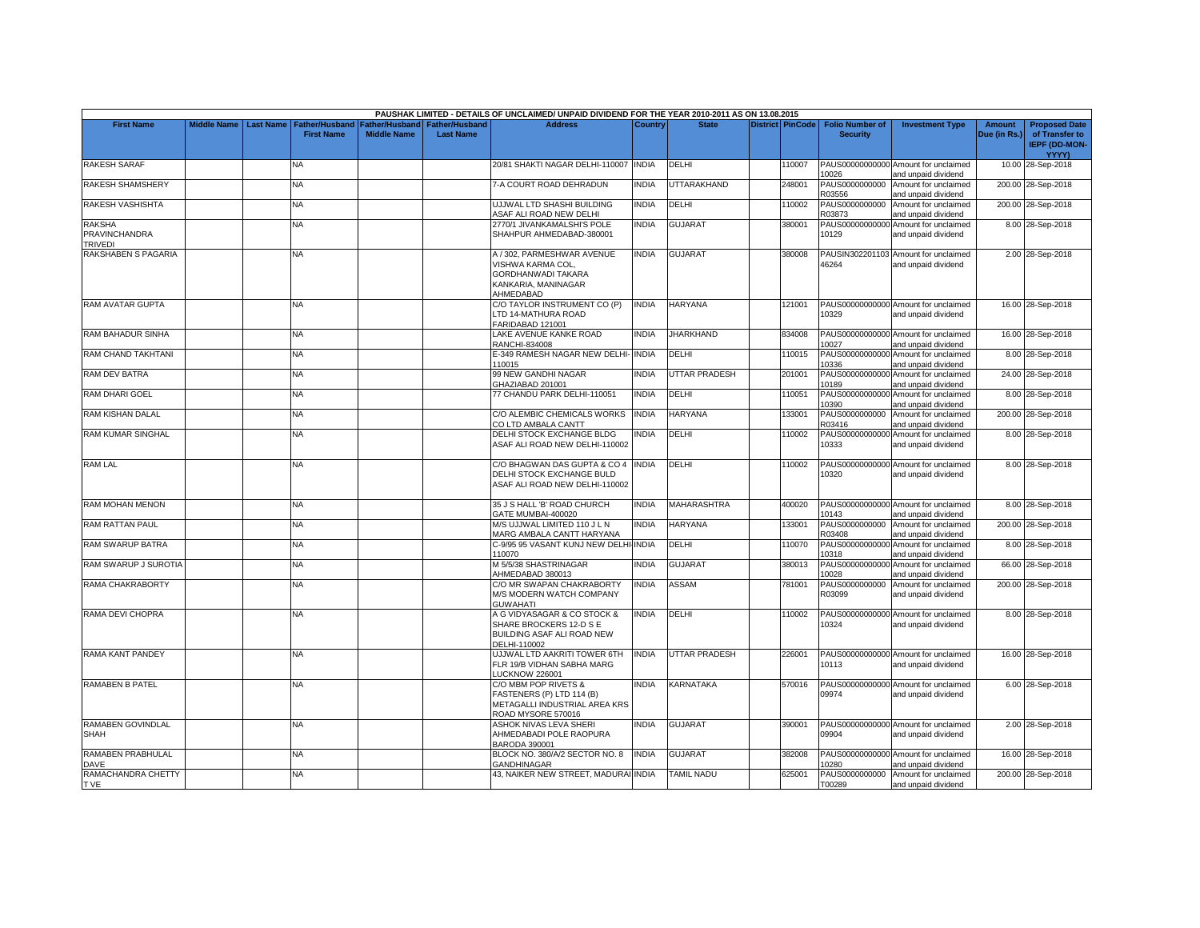|                                           |             |                  |                                            |                                                              |                  | PAUSHAK LIMITED - DETAILS OF UNCLAIMED/ UNPAID DIVIDEND FOR THE YEAR 2010-2011 AS ON 13.08.2015                  |                |                      |                         |                                           |                                                             |                        |                                                                         |
|-------------------------------------------|-------------|------------------|--------------------------------------------|--------------------------------------------------------------|------------------|------------------------------------------------------------------------------------------------------------------|----------------|----------------------|-------------------------|-------------------------------------------|-------------------------------------------------------------|------------------------|-------------------------------------------------------------------------|
| <b>First Name</b>                         | Middle Name | <b>Last Name</b> | <b>Father/Husband</b><br><b>First Name</b> | <b>Father/Husband   Father/Husband</b><br><b>Middle Name</b> | <b>Last Name</b> | <b>Address</b>                                                                                                   | <b>Country</b> | <b>State</b>         | <b>District PinCode</b> | <b>Folio Number of</b><br><b>Security</b> | <b>Investment Type</b>                                      | Amount<br>Due (in Rs.) | <b>Proposed Date</b><br>of Transfer to<br><b>IEPF (DD-MON-</b><br>YYYY) |
| <b>RAKESH SARAF</b>                       |             |                  | NA                                         |                                                              |                  | 20/81 SHAKTI NAGAR DELHI-110007                                                                                  | <b>INDIA</b>   | DELHI                | 110007                  | 10026                                     | PAUS00000000000 Amount for unclaimed<br>and unpaid dividend |                        | 10.00 28-Sep-2018                                                       |
| RAKESH SHAMSHERY                          |             |                  | <b>NA</b>                                  |                                                              |                  | 7-A COURT ROAD DEHRADUN                                                                                          | <b>NDIA</b>    | <b>JTTARAKHAND</b>   | 248001                  | PAUS0000000000<br>R03556                  | Amount for unclaimed<br>and unpaid dividend                 |                        | 200.00 28-Sep-2018                                                      |
| RAKESH VASHISHTA                          |             |                  | <b>NA</b>                                  |                                                              |                  | UJJWAL LTD SHASHI BUILDING<br>ASAF ALI ROAD NEW DELHI                                                            | INDIA          | DELHI                | 110002                  | PAUS0000000000<br>R03873                  | Amount for unclaimed<br>and unpaid dividend                 |                        | 200.00 28-Sep-2018                                                      |
| RAKSHA<br>PRAVINCHANDRA<br><b>TRIVEDI</b> |             |                  | NA                                         |                                                              |                  | 2770/1 JIVANKAMALSHI'S POLE<br>SHAHPUR AHMEDABAD-380001                                                          | INDIA          | GUJARAT              | 380001                  | 10129                                     | PAUS00000000000 Amount for unclaimed<br>and unpaid dividend |                        | 8.00 28-Sep-2018                                                        |
| RAKSHABEN S PAGARIA                       |             |                  | <b>NA</b>                                  |                                                              |                  | A / 302. PARMESHWAR AVENUE<br>VISHWA KARMA COL,<br><b>GORDHANWADI TAKARA</b><br>KANKARIA, MANINAGAR<br>AHMEDABAD | <b>INDIA</b>   | <b>GUJARAT</b>       | 380008                  | 46264                                     | PAUSIN302201103 Amount for unclaimed<br>and unpaid dividend |                        | 2.00 28-Sep-2018                                                        |
| RAM AVATAR GUPTA                          |             |                  | NA                                         |                                                              |                  | C/O TAYLOR INSTRUMENT CO (P)<br>LTD 14-MATHURA ROAD<br>FARIDABAD 121001                                          | <b>INDIA</b>   | <b>HARYANA</b>       | 121001                  | 10329                                     | PAUS00000000000 Amount for unclaimed<br>and unpaid dividend |                        | 16.00 28-Sep-2018                                                       |
| <b>RAM BAHADUR SINHA</b>                  |             |                  | <b>NA</b>                                  |                                                              |                  | LAKE AVENUE KANKE ROAD<br>RANCHI-834008                                                                          | <b>INDIA</b>   | <b>JHARKHAND</b>     | 834008                  | 10027                                     | PAUS00000000000 Amount for unclaimed<br>and unpaid dividend |                        | 16.00 28-Sep-2018                                                       |
| RAM CHAND TAKHTANI                        |             |                  | <b>NA</b>                                  |                                                              |                  | E-349 RAMESH NAGAR NEW DELHI- INDIA<br>110015                                                                    |                | DELHI                | 110015                  | 10336                                     | PAUS00000000000 Amount for unclaimed<br>and unpaid dividend |                        | 8.00 28-Sep-2018                                                        |
| RAM DEV BATRA                             |             |                  | NA                                         |                                                              |                  | 99 NEW GANDHI NAGAR<br>GHAZIABAD 201001                                                                          | INDIA          | UTTAR PRADESH        | 201001                  | PAUS00000000000<br>10189                  | Amount for unclaimed<br>and unpaid dividend                 |                        | 24.00 28-Sep-2018                                                       |
| <b>RAM DHARI GOEL</b>                     |             |                  | <b>NA</b>                                  |                                                              |                  | 77 CHANDU PARK DELHI-110051                                                                                      | <b>NDIA</b>    | DELHI                | 110051                  | 10390                                     | PAUS00000000000 Amount for unclaimed<br>and unpaid dividend |                        | 8.00 28-Sep-2018                                                        |
| RAM KISHAN DALAL                          |             |                  | NA                                         |                                                              |                  | C/O ALEMBIC CHEMICALS WORKS<br>CO LTD AMBALA CANTT                                                               | <b>INDIA</b>   | HARYANA              | 133001                  | PAUS0000000000<br>R03416                  | Amount for unclaimed<br>and unpaid dividend                 |                        | 200.00 28-Sep-2018                                                      |
| RAM KUMAR SINGHAL                         |             |                  | <b>NA</b>                                  |                                                              |                  | DELHI STOCK EXCHANGE BLDG<br>ASAF ALI ROAD NEW DELHI-110002                                                      | <b>INDIA</b>   | DELHI                | 110002                  | 10333                                     | PAUS00000000000 Amount for unclaimed<br>and unpaid dividend |                        | 8.00 28-Sep-2018                                                        |
| <b>RAM LAL</b>                            |             |                  | NA                                         |                                                              |                  | C/O BHAGWAN DAS GUPTA & CO 4 INDIA<br>DELHI STOCK EXCHANGE BULD<br>ASAF ALI ROAD NEW DELHI-110002                |                | DELHI                | 110002                  | 10320                                     | PAUS00000000000 Amount for unclaimed<br>and unpaid dividend |                        | 8.00 28-Sep-2018                                                        |
| <b>RAM MOHAN MENON</b>                    |             |                  | <b>NA</b>                                  |                                                              |                  | 35 J S HALL 'B' ROAD CHURCH<br>GATE MUMBAI-400020                                                                | <b>NDIA</b>    | <b>MAHARASHTRA</b>   | 400020                  | 10143                                     | PAUS00000000000 Amount for unclaimed<br>and unpaid dividend |                        | 8.00 28-Sep-2018                                                        |
| <b>RAM RATTAN PAUL</b>                    |             |                  | <b>NA</b>                                  |                                                              |                  | M/S UJJWAL LIMITED 110 J L N<br>MARG AMBALA CANTT HARYANA                                                        | <b>INDIA</b>   | <b>HARYANA</b>       | 133001                  | PAUS0000000000<br>R03408                  | Amount for unclaimed<br>and unpaid dividend                 |                        | 200.00 28-Sep-2018                                                      |
| RAM SWARUP BATRA                          |             |                  | NA                                         |                                                              |                  | C-9/95 95 VASANT KUNJ NEW DELHI INDIA<br>110070                                                                  |                | DELHI                | 110070                  | 10318                                     | PAUS00000000000 Amount for unclaimed<br>and unpaid dividend |                        | 8.00 28-Sep-2018                                                        |
| RAM SWARUP J SUROTIA                      |             |                  | NA                                         |                                                              |                  | M 5/5/38 SHASTRINAGAR<br>AHMEDABAD 380013                                                                        | INDIA          | <b>GUJARAT</b>       | 380013                  | PAUS00000000000<br>10028                  | Amount for unclaimed<br>and unpaid dividend                 |                        | 66.00 28-Sep-2018                                                       |
| RAMA CHAKRABORTY                          |             |                  | <b>NA</b>                                  |                                                              |                  | C/O MR SWAPAN CHAKRABORTY<br>M/S MODERN WATCH COMPANY<br><b>GUWAHATI</b>                                         | <b>INDIA</b>   | <b>ASSAM</b>         | 781001                  | PAUS0000000000<br>R03099                  | Amount for unclaimed<br>and unpaid dividend                 |                        | 200.00 28-Sep-2018                                                      |
| RAMA DEVI CHOPRA                          |             |                  | NA                                         |                                                              |                  | A G VIDYASAGAR & CO STOCK &<br>SHARE BROCKERS 12-D S E<br>BUILDING ASAF ALI ROAD NEW<br>DELHI-110002             | <b>NDIA</b>    | DELHI                | 110002                  | 10324                                     | PAUS00000000000 Amount for unclaimed<br>and unpaid dividend |                        | 8.00 28-Sep-2018                                                        |
| RAMA KANT PANDEY                          |             |                  | NA                                         |                                                              |                  | UJJWAL LTD AAKRITI TOWER 6TH<br>FLR 19/B VIDHAN SABHA MARG<br>LUCKNOW 226001                                     | <b>INDIA</b>   | <b>UTTAR PRADESH</b> | 226001                  | 10113                                     | PAUS00000000000 Amount for unclaimed<br>and unpaid dividend |                        | 16.00 28-Sep-2018                                                       |
| <b>RAMABEN B PATEL</b>                    |             |                  | <b>NA</b>                                  |                                                              |                  | C/O MBM POP RIVETS &<br>FASTENERS (P) LTD 114 (B)<br>METAGALLI INDUSTRIAL AREA KRS<br>ROAD MYSORE 570016         | <b>INDIA</b>   | <b>KARNATAKA</b>     | 570016                  | 09974                                     | PAUS00000000000 Amount for unclaimed<br>and unpaid dividend |                        | 6.00 28-Sep-2018                                                        |
| RAMABEN GOVINDLAL<br><b>SHAH</b>          |             |                  | <b>NA</b>                                  |                                                              |                  | ASHOK NIVAS LEVA SHERI<br>AHMEDABADI POLE RAOPURA<br>BARODA 390001                                               | <b>NDIA</b>    | <b>GUJARAT</b>       | 390001                  | 09904                                     | PAUS00000000000 Amount for unclaimed<br>and unpaid dividend |                        | 2.00 28-Sep-2018                                                        |
| RAMABEN PRABHULAL<br><b>DAVE</b>          |             |                  | NA                                         |                                                              |                  | BLOCK NO. 380/A/2 SECTOR NO. 8<br><b>GANDHINAGAR</b>                                                             | <b>INDIA</b>   | GUJARAT              | 382008                  | 10280                                     | PAUS00000000000 Amount for unclaimed<br>and unpaid dividend |                        | 16.00 28-Sep-2018                                                       |
| RAMACHANDRA CHETTY<br>T VE                |             |                  | <b>NA</b>                                  |                                                              |                  | 43. NAIKER NEW STREET, MADURAL                                                                                   | <b>INDIA</b>   | <b>TAMIL NADU</b>    | 625001                  | PAUS0000000000<br>T00289                  | Amount for unclaimed<br>and unpaid dividend                 |                        | 200.00 28-Sep-2018                                                      |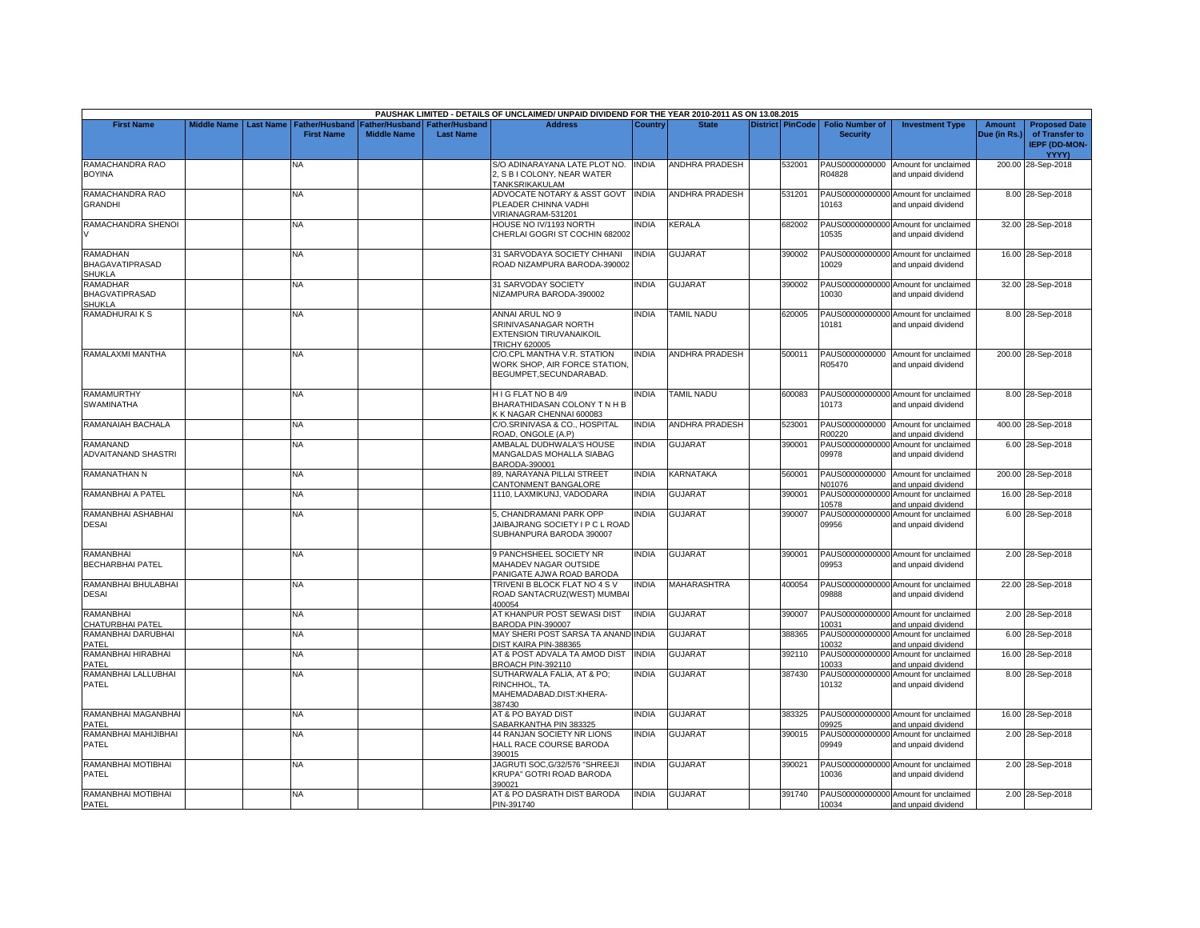|                                                            |                    |                  |                                            |                                      |                                    | PAUSHAK LIMITED - DETAILS OF UNCLAIMED/ UNPAID DIVIDEND FOR THE YEAR 2010-2011 AS ON 13.08.2015 |              |                       |                         |                                           |                                                             |                        |                                                                                |
|------------------------------------------------------------|--------------------|------------------|--------------------------------------------|--------------------------------------|------------------------------------|-------------------------------------------------------------------------------------------------|--------------|-----------------------|-------------------------|-------------------------------------------|-------------------------------------------------------------|------------------------|--------------------------------------------------------------------------------|
| <b>First Name</b>                                          | <b>Middle Name</b> | <b>Last Name</b> | <b>Father/Husband</b><br><b>First Name</b> | Father/Husband<br><b>Middle Name</b> | Father/Husband<br><b>Last Name</b> | <b>Address</b>                                                                                  | Country      | <b>State</b>          | <b>District PinCode</b> | <b>Folio Number of</b><br><b>Security</b> | <b>Investment Type</b>                                      | Amount<br>Due (in Rs.) | <b>Proposed Date</b><br>of Transfer to<br><b>IEPF (DD-MON-</b><br><b>YYYY)</b> |
| RAMACHANDRA RAO<br><b>BOYINA</b>                           |                    |                  | NА                                         |                                      |                                    | S/O ADINARAYANA LATE PLOT NO.<br>2. S B I COLONY. NEAR WATER<br>TANKSRIKAKULAM                  | <b>INDIA</b> | <b>ANDHRA PRADESH</b> | 532001                  | PAUS0000000000<br>R04828                  | Amount for unclaimed<br>and unpaid dividend                 |                        | 200.00 28-Sep-2018                                                             |
| RAMACHANDRA RAO<br><b>GRANDHI</b>                          |                    |                  | NA                                         |                                      |                                    | ADVOCATE NOTARY & ASST GOVT<br>PLEADER CHINNA VADHI<br>/IRIANAGRAM-531201                       | <b>INDIA</b> | ANDHRA PRADESH        | 531201                  | 10163                                     | PAUS00000000000 Amount for unclaimed<br>and unpaid dividend |                        | 8.00 28-Sep-2018                                                               |
| RAMACHANDRA SHENOI                                         |                    |                  | NA                                         |                                      |                                    | HOUSE NO IV/1193 NORTH<br>CHERLAI GOGRI ST COCHIN 682002                                        | <b>INDIA</b> | KERALA                | 682002                  | 10535                                     | PAUS00000000000 Amount for unclaimed<br>and unpaid dividend |                        | 32.00 28-Sep-2018                                                              |
| <b>RAMADHAN</b><br><b>BHAGAVATIPRASAD</b><br><b>SHUKLA</b> |                    |                  | NA                                         |                                      |                                    | 31 SARVODAYA SOCIETY CHHANI<br>ROAD NIZAMPURA BARODA-390002                                     | <b>INDIA</b> | GUJARAT               | 390002                  | 10029                                     | PAUS00000000000 Amount for unclaimed<br>and unpaid dividend |                        | 16.00 28-Sep-2018                                                              |
| <b>RAMADHAR</b><br><b>BHAGVATIPRASAD</b><br><b>SHUKLA</b>  |                    |                  | NA.                                        |                                      |                                    | 31 SARVODAY SOCIETY<br>NIZAMPURA BARODA-390002                                                  | <b>INDIA</b> | <b>GUJARAT</b>        | 390002                  | 10030                                     | PAUS00000000000 Amount for unclaimed<br>and unpaid dividend |                        | 32.00 28-Sep-2018                                                              |
| <b>RAMADHURAIKS</b>                                        |                    |                  | NA                                         |                                      |                                    | ANNAI ARUL NO 9<br>SRINIVASANAGAR NORTH<br>EXTENSION TIRUVANAIKOIL<br>TRICHY 620005             | INDIA        | <b>TAMIL NADU</b>     | 620005                  | 10181                                     | PAUS00000000000 Amount for unclaimed<br>and unpaid dividend |                        | 8.00 28-Sep-2018                                                               |
| RAMALAXMI MANTHA                                           |                    |                  | NA                                         |                                      |                                    | C/O.CPL MANTHA V.R. STATION<br>WORK SHOP, AIR FORCE STATION.<br>BEGUMPET, SECUNDARABAD.         | <b>INDIA</b> | <b>ANDHRA PRADESH</b> | 500011                  | R05470                                    | PAUS0000000000 Amount for unclaimed<br>and unpaid dividend  |                        | 200.00 28-Sep-2018                                                             |
| <b>RAMAMURTHY</b><br>SWAMINATHA                            |                    |                  | <b>NA</b>                                  |                                      |                                    | HIG FLAT NO B 4/9<br>BHARATHIDASAN COLONY TN H B<br>K K NAGAR CHENNAI 600083                    | <b>INDIA</b> | <b>TAMIL NADU</b>     | 600083                  | 10173                                     | PAUS00000000000 Amount for unclaimed<br>and unpaid dividend |                        | 8.00 28-Sep-2018                                                               |
| RAMANAIAH BACHALA                                          |                    |                  | <b>NA</b>                                  |                                      |                                    | C/O.SRINIVASA & CO., HOSPITAL<br>ROAD, ONGOLE (A.P)                                             | <b>INDIA</b> | <b>ANDHRA PRADESH</b> | 523001                  | R00220                                    | PAUS0000000000 Amount for unclaimed<br>and unpaid dividend  |                        | 400.00 28-Sep-2018                                                             |
| RAMANAND<br>ADVAITANAND SHASTRI                            |                    |                  | NA.                                        |                                      |                                    | AMBALAL DUDHWALA'S HOUSE<br>MANGALDAS MOHALLA SIABAG<br>BARODA-390001                           | <b>INDIA</b> | GUJARAT               | 390001                  | 09978                                     | PAUS00000000000 Amount for unclaimed<br>and unpaid dividend |                        | 6.00 28-Sep-2018                                                               |
| <b>RAMANATHAN N</b>                                        |                    |                  | NA                                         |                                      |                                    | 89. NARAYANA PILLAI STREET<br>CANTONMENT BANGALORE                                              | <b>INDIA</b> | KARNATAKA             | 560001                  | N01076                                    | PAUS0000000000 Amount for unclaimed<br>and unpaid dividend  |                        | 200.00 28-Sep-2018                                                             |
| RAMANBHAI A PATEL                                          |                    |                  | ΝA                                         |                                      |                                    | 1110, LAXMIKUNJ, VADODARA                                                                       | <b>INDIA</b> | GUJARAT               | 390001                  | 10578                                     | PAUS00000000000 Amount for unclaimed<br>and unpaid dividend |                        | 16.00 28-Sep-2018                                                              |
| RAMANBHAI ASHABHAI<br><b>DESAI</b>                         |                    |                  | NА                                         |                                      |                                    | 5, CHANDRAMANI PARK OPP<br>JAIBAJRANG SOCIETY I P C L ROAD<br>SUBHANPURA BARODA 390007          | INDIA        | <b>GUJARAT</b>        | 390007                  | 09956                                     | PAUS00000000000 Amount for unclaimed<br>and unpaid dividend |                        | 6.00 28-Sep-2018                                                               |
| RAMANBHAI<br><b>BECHARBHAI PATEL</b>                       |                    |                  | NA                                         |                                      |                                    | 9 PANCHSHEEL SOCIETY NR<br>MAHADEV NAGAR OUTSIDE<br>PANIGATE AJWA ROAD BARODA                   | <b>INDIA</b> | <b>GUJARAT</b>        | 390001                  | 09953                                     | PAUS00000000000 Amount for unclaimed<br>and unpaid dividend |                        | 2.00 28-Sep-2018                                                               |
| RAMANBHAI BHULABHAI<br><b>DESAI</b>                        |                    |                  | NA                                         |                                      |                                    | TRIVENI B BLOCK FLAT NO 4 S V<br>ROAD SANTACRUZ(WEST) MUMBAI<br>400054                          | <b>INDIA</b> | <b>MAHARASHTRA</b>    | 400054                  | 09888                                     | PAUS00000000000 Amount for unclaimed<br>and unpaid dividend |                        | 22.00 28-Sep-2018                                                              |
| <b>RAMANBHAI</b><br>CHATURBHAI PATEL                       |                    |                  | NA                                         |                                      |                                    | AT KHANPUR POST SEWASI DIST<br>BARODA PIN-390007                                                | <b>INDIA</b> | <b>GUJARAT</b>        | 390007                  | 10031                                     | PAUS00000000000 Amount for unclaimed<br>and unpaid dividend |                        | 2.00 28-Sep-2018                                                               |
| RAMANBHAI DARUBHAI<br>PATEL                                |                    |                  | NΑ                                         |                                      |                                    | MAY SHERI POST SARSA TA ANAND INDIA<br>DIST KAIRA PIN-388365                                    |              | <b>GUJARAT</b>        | 388365                  | 10032                                     | PAUS00000000000 Amount for unclaimed<br>and unpaid dividend |                        | 6.00 28-Sep-2018                                                               |
| RAMANBHAI HIRABHAI<br>PATEL                                |                    |                  | NA                                         |                                      |                                    | AT & POST ADVALA TA AMOD DIST<br><b>BROACH PIN-392110</b>                                       | <b>INDIA</b> | <b>GUJARAT</b>        | 392110                  | PAUS00000000000<br>10033                  | Amount for unclaimed<br>and unpaid dividend                 |                        | 16.00 28-Sep-2018                                                              |
| RAMANBHAI LALLUBHAI<br><b>PATEL</b>                        |                    |                  | NA.                                        |                                      |                                    | SUTHARWALA FALIA, AT & PO;<br>RINCHHOL, TA.<br>MAHEMADABAD.DIST:KHERA-<br>387430                | <b>INDIA</b> | GUJARAT               | 387430                  | 10132                                     | PAUS00000000000 Amount for unclaimed<br>and unpaid dividend |                        | 8.00 28-Sep-2018                                                               |
| RAMANBHAI MAGANBHAI<br>PATEL                               |                    |                  | NA                                         |                                      |                                    | AT & PO BAYAD DIST<br>SABARKANTHA PIN 383325                                                    | <b>INDIA</b> | <b>GUJARAT</b>        | 383325                  | 09925                                     | PAUS00000000000 Amount for unclaimed<br>and unpaid dividend |                        | 16.00 28-Sep-2018                                                              |
| RAMANBHAI MAHIJIBHAI<br>PATEL                              |                    |                  | NA.                                        |                                      |                                    | 44 RANJAN SOCIETY NR LIONS<br>HALL RACE COURSE BARODA<br>390015                                 | <b>INDIA</b> | <b>GUJARAT</b>        | 390015                  | 09949                                     | PAUS00000000000 Amount for unclaimed<br>and unpaid dividend |                        | 2.00 28-Sep-2018                                                               |
| RAMANBHAI MOTIBHAI<br>PATEL                                |                    |                  | NA                                         |                                      |                                    | JAGRUTI SOC, G/32/576 "SHREEJI<br><b>KRUPA" GOTRI ROAD BARODA</b><br>390021                     | <b>INDIA</b> | <b>GUJARAT</b>        | 390021                  | 10036                                     | PAUS00000000000 Amount for unclaimed<br>and unpaid dividend |                        | 2.00 28-Sep-2018                                                               |
| RAMANBHAI MOTIBHAI<br>PATEL                                |                    |                  | NA                                         |                                      |                                    | AT & PO DASRATH DIST BARODA<br>PIN-391740                                                       | <b>INDIA</b> | <b>GUJARAT</b>        | 391740                  | 10034                                     | PAUS00000000000 Amount for unclaimed<br>and unpaid dividend |                        | 2.00 28-Sep-2018                                                               |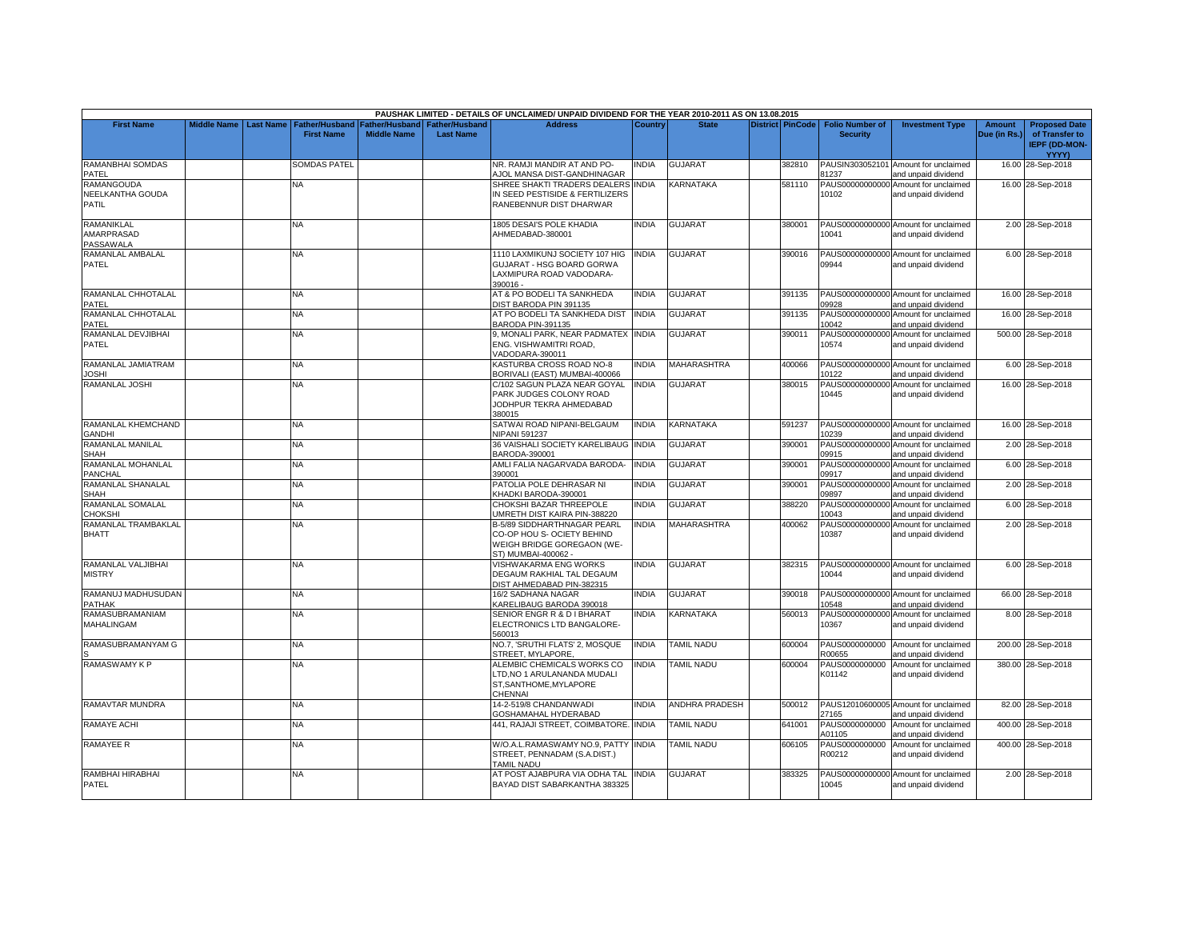|                                                       |                    |                  |                                            |                                             |                                           | PAUSHAK LIMITED - DETAILS OF UNCLAIMED/ UNPAID DIVIDEND FOR THE YEAR 2010-2011 AS ON 13.08.2015                       |              |                       |                         |                                           |                                                             |                               |                                                                         |
|-------------------------------------------------------|--------------------|------------------|--------------------------------------------|---------------------------------------------|-------------------------------------------|-----------------------------------------------------------------------------------------------------------------------|--------------|-----------------------|-------------------------|-------------------------------------------|-------------------------------------------------------------|-------------------------------|-------------------------------------------------------------------------|
| <b>First Name</b>                                     | <b>Middle Name</b> | <b>Last Name</b> | <b>Father/Husband</b><br><b>First Name</b> | <b>Father/Husband</b><br><b>Middle Name</b> | <b>Father/Husband</b><br><b>Last Name</b> | <b>Address</b>                                                                                                        | Country      | <b>State</b>          | <b>District PinCode</b> | <b>Folio Number of</b><br><b>Security</b> | <b>Investment Type</b>                                      | <b>Amount</b><br>Due (in Rs.) | <b>Proposed Date</b><br>of Transfer to<br><b>IEPF (DD-MON-</b><br>YYYY) |
| <b>RAMANBHAI SOMDAS</b><br>PATEL                      |                    |                  | SOMDAS PATEL                               |                                             |                                           | NR. RAMJI MANDIR AT AND PO-<br>AJOL MANSA DIST-GANDHINAGAR                                                            | <b>INDIA</b> | <b>GUJARAT</b>        | 382810                  | 81237                                     | PAUSIN303052101 Amount for unclaimed<br>and unpaid dividend |                               | 16.00 28-Sep-2018                                                       |
| <b>RAMANGOUDA</b><br>NEELKANTHA GOUDA<br><b>PATIL</b> |                    |                  | NA                                         |                                             |                                           | SHREE SHAKTI TRADERS DEALERS INDIA<br>IN SEED PESTISIDE & FERTILIZERS<br>RANEBENNUR DIST DHARWAR                      |              | KARNATAKA             | 581110                  | 10102                                     | PAUS00000000000 Amount for unclaimed<br>and unpaid dividend |                               | 16.00 28-Sep-2018                                                       |
| RAMANIKLAL<br>AMARPRASAD<br>PASSAWALA                 |                    |                  | NA.                                        |                                             |                                           | 1805 DESAI'S POLE KHADIA<br>AHMEDABAD-380001                                                                          | <b>INDIA</b> | <b>GUJARAT</b>        | 380001                  | 10041                                     | PAUS00000000000 Amount for unclaimed<br>and unpaid dividend |                               | 2.00 28-Sep-2018                                                        |
| RAMANLAL AMBALAL<br>PATEL                             |                    |                  | NA.                                        |                                             |                                           | 1110 LAXMIKUNJ SOCIETY 107 HIG<br>GUJARAT - HSG BOARD GORWA<br>LAXMIPURA ROAD VADODARA-<br>390016-                    | <b>INDIA</b> | GUJARAT               | 390016                  | 09944                                     | PAUS00000000000 Amount for unclaimed<br>and unpaid dividend |                               | 6.00 28-Sep-2018                                                        |
| RAMANLAL CHHOTALAL<br>PATEL                           |                    |                  | NA                                         |                                             |                                           | AT & PO BODELI TA SANKHEDA<br>DIST BARODA PIN 391135                                                                  | <b>INDIA</b> | GUJARAT               | 391135                  | 09928                                     | PAUS00000000000 Amount for unclaimed<br>and unpaid dividend |                               | 16.00 28-Sep-2018                                                       |
| RAMANLAL CHHOTALAL<br>PATEL                           |                    |                  | ΝĀ                                         |                                             |                                           | AT PO BODELI TA SANKHEDA DIST<br>BARODA PIN-391135                                                                    | <b>INDIA</b> | GUJARAT               | 391135                  | 10042                                     | PAUS00000000000 Amount for unclaimed<br>and unpaid dividend |                               | 16.00 28-Sep-2018                                                       |
| RAMANLAL DEVJIBHAI<br>PATEL                           |                    |                  | NA.                                        |                                             |                                           | 9, MONALI PARK, NEAR PADMATEX INDIA<br>ENG. VISHWAMITRI ROAD,<br>VADODARA-390011                                      |              | <b>GUJARAT</b>        | 390011                  | 10574                                     | PAUS00000000000 Amount for unclaimed<br>and unpaid dividend |                               | 500.00 28-Sep-2018                                                      |
| RAMANLAL JAMIATRAM<br><b>JOSHI</b>                    |                    |                  | NA                                         |                                             |                                           | KASTURBA CROSS ROAD NO-8<br>BORIVALI (EAST) MUMBAI-400066                                                             | <b>INDIA</b> | MAHARASHTRA           | 400066                  | 10122                                     | PAUS00000000000 Amount for unclaimed<br>and unpaid dividend |                               | 6.00 28-Sep-2018                                                        |
| RAMANLAL JOSHI                                        |                    |                  | <b>NA</b>                                  |                                             |                                           | C/102 SAGUN PLAZA NEAR GOYAL<br>PARK JUDGES COLONY ROAD<br>JODHPUR TEKRA AHMEDABAD<br>380015                          | <b>INDIA</b> | <b>GUJARAT</b>        | 380015                  | 10445                                     | PAUS00000000000 Amount for unclaimed<br>and unpaid dividend |                               | 16.00 28-Sep-2018                                                       |
| RAMANLAL KHEMCHAND<br><b>GANDHI</b>                   |                    |                  | NA                                         |                                             |                                           | SATWAI ROAD NIPANI-BELGAUM<br><b>NIPANI 591237</b>                                                                    | <b>INDIA</b> | <b>KARNATAKA</b>      | 591237                  | 10239                                     | PAUS00000000000 Amount for unclaimed<br>and unpaid dividend |                               | 16.00 28-Sep-2018                                                       |
| RAMANLAL MANILAL<br><b>SHAH</b>                       |                    |                  | <b>NA</b>                                  |                                             |                                           | 36 VAISHALI SOCIETY KARELIBAUG INDIA<br>BARODA-390001                                                                 |              | <b>GUJARAT</b>        | 390001                  | 09915                                     | PAUS00000000000 Amount for unclaimed<br>and unpaid dividend |                               | 2.00 28-Sep-2018                                                        |
| RAMANLAL MOHANLAL<br>PANCHAL                          |                    |                  | NA                                         |                                             |                                           | AMLI FALIA NAGARVADA BARODA-<br>390001                                                                                | <b>INDIA</b> | <b>GUJARAT</b>        | 390001                  | PAUS00000000000<br>09917                  | Amount for unclaimed<br>and unpaid dividend                 |                               | 6.00 28-Sep-2018                                                        |
| RAMANLAL SHANALAL<br><b>SHAH</b>                      |                    |                  | NA.                                        |                                             |                                           | PATOLIA POLE DEHRASAR NI<br>KHADKI BARODA-390001                                                                      | <b>INDIA</b> | GUJARAT               | 390001                  | PAUS00000000000<br>09897                  | Amount for unclaimed<br>and unpaid dividend                 |                               | 2.00 28-Sep-2018                                                        |
| RAMANLAL SOMALAL<br><b>HOKSHI</b>                     |                    |                  | <b>NA</b>                                  |                                             |                                           | CHOKSHI BAZAR THREEPOLE<br><b>JMRETH DIST KAIRA PIN-388220</b>                                                        | <b>INDIA</b> | <b>GUJARAT</b>        | 388220                  | 10043                                     | PAUS00000000000 Amount for unclaimed<br>and unpaid dividend |                               | 6.00 28-Sep-2018                                                        |
| RAMANLAL TRAMBAKLAL<br><b>BHATT</b>                   |                    |                  | ΝA                                         |                                             |                                           | <b>B-5/89 SIDDHARTHNAGAR PEARL</b><br>CO-OP HOU S- OCIETY BEHIND<br>WEIGH BRIDGE GOREGAON (WE-<br>ST) MUMBAI-400062 - | <b>INDIA</b> | <b>MAHARASHTRA</b>    | 400062                  | 10387                                     | PAUS00000000000 Amount for unclaimed<br>and unpaid dividend |                               | 2.00 28-Sep-2018                                                        |
| RAMANLAL VALJIBHAI<br><b>MISTRY</b>                   |                    |                  | ΝA                                         |                                             |                                           | VISHWAKARMA ENG WORKS<br>DEGAUM RAKHIAL TAL DEGAUM<br>DIST AHMEDABAD PIN-382315                                       | INDIA        | <b>GUJARAT</b>        | 382315                  | 10044                                     | PAUS00000000000 Amount for unclaimed<br>and unpaid dividend |                               | 6.00 28-Sep-2018                                                        |
| RAMANUJ MADHUSUDAN<br><b>PATHAK</b>                   |                    |                  | <b>NA</b>                                  |                                             |                                           | 16/2 SADHANA NAGAR<br>KARELIBAUG BARODA 390018                                                                        | <b>INDIA</b> | <b>GUJARAT</b>        | 390018                  | 10548                                     | PAUS00000000000 Amount for unclaimed<br>and unpaid dividend |                               | 66.00 28-Sep-2018                                                       |
| RAMASUBRAMANIAM<br><b>MAHALINGAM</b>                  |                    |                  | <b>NA</b>                                  |                                             |                                           | SENIOR ENGR R & D I BHARAT<br>ELECTRONICS LTD BANGALORE-<br>560013                                                    | <b>INDIA</b> | KARNATAKA             | 560013                  | 10367                                     | PAUS00000000000 Amount for unclaimed<br>and unpaid dividend |                               | 8.00 28-Sep-2018                                                        |
| RAMASUBRAMANYAM G                                     |                    |                  | NΑ                                         |                                             |                                           | NO.7, 'SRUTHI FLATS' 2, MOSQUE<br>STREET, MYLAPORE,                                                                   | <b>INDIA</b> | <b>TAMIL NADU</b>     | 600004                  | PAUS0000000000<br>R00655                  | Amount for unclaimed<br>and unpaid dividend                 |                               | 200.00 28-Sep-2018                                                      |
| <b>RAMASWAMY K P</b>                                  |                    |                  | NА                                         |                                             |                                           | ALEMBIC CHEMICALS WORKS CO<br>LTD, NO 1 ARULANANDA MUDALI<br>ST, SANTHOME, MYLAPORE<br>CHENNAI                        | <b>INDIA</b> | <b>TAMIL NADU</b>     | 600004                  | PAUS0000000000<br>K01142                  | Amount for unclaimed<br>and unpaid dividend                 |                               | 380.00 28-Sep-2018                                                      |
| RAMAVTAR MUNDRA                                       |                    |                  | NA                                         |                                             |                                           | 14-2-519/8 CHANDANWADI<br>GOSHAMAHAL HYDERABAD                                                                        | <b>INDIA</b> | <b>ANDHRA PRADESH</b> | 500012                  | 27165                                     | PAUS12010600005 Amount for unclaimed<br>and unpaid dividend |                               | 82.00 28-Sep-2018                                                       |
| RAMAYE ACHI                                           |                    |                  | NΑ                                         |                                             |                                           | 441, RAJAJI STREET, COIMBATORE. INDIA                                                                                 |              | TAMIL NADU            | 641001                  | PAUS0000000000<br>A01105                  | Amount for unclaimed<br>and unpaid dividend                 |                               | 400.00 28-Sep-2018                                                      |
| <b>RAMAYEE R</b>                                      |                    |                  | <b>NA</b>                                  |                                             |                                           | W/O.A.L.RAMASWAMY NO.9. PATTY INDIA<br>STREET, PENNADAM (S.A.DIST.)<br>TAMIL NADU                                     |              | <b>TAMIL NADU</b>     | 606105                  | PAUS0000000000<br>R00212                  | Amount for unclaimed<br>and unpaid dividend                 |                               | 400.00 28-Sep-2018                                                      |
| RAMBHAI HIRABHAI<br>PATEL                             |                    |                  | NA                                         |                                             |                                           | AT POST AJABPURA VIA ODHA TAL<br>BAYAD DIST SABARKANTHA 383325                                                        | <b>INDIA</b> | <b>GUJARAT</b>        | 383325                  | 10045                                     | PAUS00000000000 Amount for unclaimed<br>and unpaid dividend |                               | 2.00 28-Sep-2018                                                        |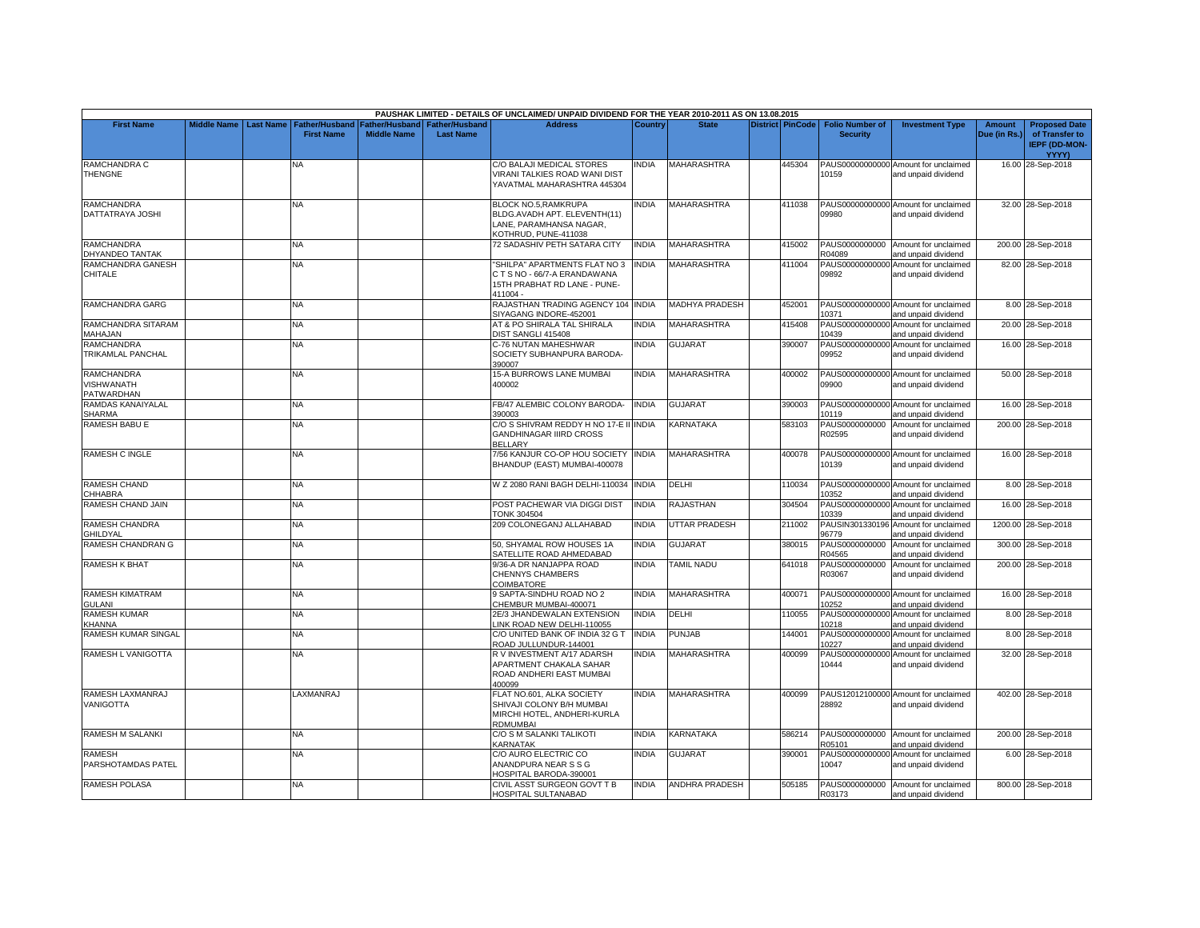|                                                      |                    |                  |                                            |                                             |                                           | PAUSHAK LIMITED - DETAILS OF UNCLAIMED/ UNPAID DIVIDEND FOR THE YEAR 2010-2011 AS ON 13.08.2015         |              |                       |                         |                                           |                                                             |                               |                                                                         |
|------------------------------------------------------|--------------------|------------------|--------------------------------------------|---------------------------------------------|-------------------------------------------|---------------------------------------------------------------------------------------------------------|--------------|-----------------------|-------------------------|-------------------------------------------|-------------------------------------------------------------|-------------------------------|-------------------------------------------------------------------------|
| <b>First Name</b>                                    | <b>Middle Name</b> | <b>Last Name</b> | <b>Father/Husband</b><br><b>First Name</b> | <b>Father/Husband</b><br><b>Middle Name</b> | <b>Father/Husband</b><br><b>Last Name</b> | <b>Address</b>                                                                                          | Country      | <b>State</b>          | <b>District PinCode</b> | <b>Folio Number of</b><br><b>Security</b> | <b>Investment Type</b>                                      | <b>Amount</b><br>Due (in Rs.) | <b>Proposed Date</b><br>of Transfer to<br><b>IEPF (DD-MON-</b><br>YYYY) |
| RAMCHANDRA C<br><b>THENGNE</b>                       |                    |                  | N٨                                         |                                             |                                           | C/O BALAJI MEDICAL STORES<br>VIRANI TALKIES ROAD WANI DIST<br>YAVATMAL MAHARASHTRA 445304               | INDIA        | MAHARASHTRA           | 445304                  | 10159                                     | PAUS00000000000 Amount for unclaimed<br>and unpaid dividend |                               | 16.00 28-Sep-2018                                                       |
| <b>RAMCHANDRA</b><br>DATTATRAYA JOSHI                |                    |                  | <b>NA</b>                                  |                                             |                                           | BLOCK NO.5, RAMKRUPA<br>BLDG.AVADH APT. ELEVENTH(11)<br>LANE, PARAMHANSA NAGAR,<br>KOTHRUD, PUNE-411038 | <b>INDIA</b> | <b>MAHARASHTRA</b>    | 411038                  | 09980                                     | PAUS00000000000 Amount for unclaimed<br>and unpaid dividend |                               | 32.00 28-Sep-2018                                                       |
| <b>RAMCHANDRA</b><br>DHYANDEO TANTAK                 |                    |                  | <b>NA</b>                                  |                                             |                                           | 72 SADASHIV PETH SATARA CITY                                                                            | <b>INDIA</b> | <b>MAHARASHTRA</b>    | 415002                  | R04089                                    | PAUS0000000000 Amount for unclaimed<br>and unpaid dividend  |                               | 200.00 28-Sep-2018                                                      |
| RAMCHANDRA GANESH<br>CHITALE                         |                    |                  | NA                                         |                                             |                                           | 'SHILPA" APARTMENTS FLAT NO 3<br>CTS NO - 66/7-A ERANDAWANA<br>15TH PRABHAT RD LANE - PUNE-<br>411004 - | <b>INDIA</b> | MAHARASHTRA           | 411004                  | 09892                                     | PAUS00000000000 Amount for unclaimed<br>and unpaid dividend |                               | 82.00 28-Sep-2018                                                       |
| RAMCHANDRA GARG                                      |                    |                  | NA                                         |                                             |                                           | RAJASTHAN TRADING AGENCY 104 INDIA<br>SIYAGANG INDORE-452001                                            |              | <b>MADHYA PRADESH</b> | 452001                  | 10371                                     | PAUS00000000000 Amount for unclaimed<br>and unpaid dividend |                               | 8.00 28-Sep-2018                                                        |
| RAMCHANDRA SITARAM<br>MAHAJAN                        |                    |                  | <b>NA</b>                                  |                                             |                                           | AT & PO SHIRALA TAL SHIRALA<br>DIST SANGLI 415408                                                       | <b>INDIA</b> | MAHARASHTRA           | 415408                  | 10439                                     | PAUS00000000000 Amount for unclaimed<br>and unpaid dividend |                               | 20.00 28-Sep-2018                                                       |
| <b>RAMCHANDRA</b><br><b>TRIKAMLAL PANCHAL</b>        |                    |                  | NA.                                        |                                             |                                           | C-76 NUTAN MAHESHWAR<br>SOCIETY SUBHANPURA BARODA-<br>390007                                            | <b>INDIA</b> | <b>GUJARAT</b>        | 390007                  | 09952                                     | PAUS00000000000 Amount for unclaimed<br>and unpaid dividend |                               | 16.00 28-Sep-2018                                                       |
| <b>RAMCHANDRA</b><br><b>VISHWANATH</b><br>PATWARDHAN |                    |                  | NA.                                        |                                             |                                           | 15-A BURROWS LANE MUMBAI<br>400002                                                                      | <b>INDIA</b> | <b>MAHARASHTRA</b>    | 400002                  | 09900                                     | PAUS00000000000 Amount for unclaimed<br>and unpaid dividend |                               | 50.00 28-Sep-2018                                                       |
| RAMDAS KANAIYALAL<br><b>SHARMA</b>                   |                    |                  | NΑ                                         |                                             |                                           | FB/47 ALEMBIC COLONY BARODA-<br>390003                                                                  | <b>INDIA</b> | GUJARAT               | 390003                  | 10119                                     | PAUS00000000000 Amount for unclaimed<br>and unpaid dividend |                               | 16.00 28-Sep-2018                                                       |
| <b>RAMESH BABU E</b>                                 |                    |                  | NA                                         |                                             |                                           | C/O S SHIVRAM REDDY H NO 17-E II INDIA<br><b>GANDHINAGAR IIIRD CROSS</b><br><b>BELLARY</b>              |              | KARNATAKA             | 583103                  | PAUS0000000000<br>R02595                  | Amount for unclaimed<br>and unpaid dividend                 |                               | 200.00 28-Sep-2018                                                      |
| <b>RAMESH C INGLE</b>                                |                    |                  | <b>NA</b>                                  |                                             |                                           | 7/56 KANJUR CO-OP HOU SOCIETY INDIA<br>BHANDUP (EAST) MUMBAI-400078                                     |              | <b>MAHARASHTRA</b>    | 400078                  | 10139                                     | PAUS00000000000 Amount for unclaimed<br>and unpaid dividend |                               | 16.00 28-Sep-2018                                                       |
| <b>RAMESH CHAND</b><br>CHHABRA                       |                    |                  | NA                                         |                                             |                                           | W Z 2080 RANI BAGH DELHI-110034 INDIA                                                                   |              | DELHI                 | 110034                  | 10352                                     | PAUS00000000000 Amount for unclaimed<br>and unpaid dividend |                               | 8.00 28-Sep-2018                                                        |
| RAMESH CHAND JAIN                                    |                    |                  | NA                                         |                                             |                                           | POST PACHEWAR VIA DIGGI DIST<br><b>TONK 304504</b>                                                      | <b>INDIA</b> | RAJASTHAN             | 304504                  | 10339                                     | PAUS00000000000 Amount for unclaimed<br>and unpaid dividend |                               | 16.00 28-Sep-2018                                                       |
| RAMESH CHANDRA<br><b>GHILDYAL</b>                    |                    |                  | NA.                                        |                                             |                                           | 209 COLONEGANJ ALLAHABAD                                                                                | <b>INDIA</b> | <b>JTTAR PRADESH</b>  | 211002                  | 96779                                     | PAUSIN301330196 Amount for unclaimed<br>and unpaid dividend |                               | 1200.00 28-Sep-2018                                                     |
| RAMESH CHANDRAN G                                    |                    |                  | NA                                         |                                             |                                           | 50, SHYAMAL ROW HOUSES 1A<br>SATELLITE ROAD AHMEDABAD                                                   | <b>INDIA</b> | GUJARAT               | 380015                  | PAUS0000000000<br>R04565                  | Amount for unclaimed<br>and unpaid dividend                 |                               | 300.00 28-Sep-2018                                                      |
| <b>RAMESH K BHAT</b>                                 |                    |                  | NA                                         |                                             |                                           | 9/36-A DR NANJAPPA ROAD<br><b>CHENNYS CHAMBERS</b><br>COIMBATORE                                        | INDIA        | <b>TAMIL NADU</b>     | 641018                  | PAUS0000000000<br>R03067                  | Amount for unclaimed<br>and unpaid dividend                 |                               | 200.00 28-Sep-2018                                                      |
| RAMESH KIMATRAM<br><b>GULANI</b>                     |                    |                  | NΑ                                         |                                             |                                           | 9 SAPTA-SINDHU ROAD NO 2<br>CHEMBUR MUMBAI-400071                                                       | <b>INDIA</b> | MAHARASHTRA           | 400071                  | 10252                                     | PAUS00000000000 Amount for unclaimed<br>and unpaid dividend |                               | 16.00 28-Sep-2018                                                       |
| RAMESH KUMAR<br><b>CHANNA</b>                        |                    |                  | NA                                         |                                             |                                           | 2E/3 JHANDEWALAN EXTENSION<br>INK ROAD NEW DELHI-110055                                                 | <b>INDIA</b> | DELHI                 | 110055                  | PAUS00000000000<br>10218                  | Amount for unclaimed<br>and unpaid dividend                 |                               | 8.00 28-Sep-2018                                                        |
| RAMESH KUMAR SINGAL                                  |                    |                  | <b>NA</b>                                  |                                             |                                           | C/O UNITED BANK OF INDIA 32 G T<br>ROAD JULLUNDUR-144001                                                | <b>INDIA</b> | PUNJAB                | 144001                  | 10227                                     | PAUS00000000000 Amount for unclaimed<br>and unpaid dividend |                               | 8.00 28-Sep-2018                                                        |
| RAMESH L VANIGOTTA                                   |                    |                  | ΝA                                         |                                             |                                           | R V INVESTMENT A/17 ADARSH<br>APARTMENT CHAKALA SAHAR<br>ROAD ANDHERI EAST MUMBAI<br>400099             | <b>INDIA</b> | <b>MAHARASHTRA</b>    | 400099                  | 10444                                     | PAUS00000000000 Amount for unclaimed<br>and unpaid dividend |                               | 32.00 28-Sep-2018                                                       |
| RAMESH LAXMANRAJ<br>VANIGOTTA                        |                    |                  | LAXMANRAJ                                  |                                             |                                           | FLAT NO.601, ALKA SOCIETY<br>SHIVAJI COLONY B/H MUMBAI<br>MIRCHI HOTEL, ANDHERI-KURLA<br>RDMUMBAI       | <b>INDIA</b> | <b>MAHARASHTRA</b>    | 400099                  | 28892                                     | PAUS12012100000 Amount for unclaimed<br>and unpaid dividend |                               | 402.00 28-Sep-2018                                                      |
| RAMESH M SALANKI                                     |                    |                  | NA                                         |                                             |                                           | C/O S M SALANKI TALIKOTI<br>KARNATAK                                                                    | <b>INDIA</b> | KARNATAKA             | 586214                  | PAUS0000000000<br>R05101                  | Amount for unclaimed<br>and unpaid dividend                 |                               | 200.00 28-Sep-2018                                                      |
| <b>RAMESH</b><br>PARSHOTAMDAS PATEL                  |                    |                  | NA                                         |                                             |                                           | C/O AURO ELECTRIC CO<br>ANANDPURA NEAR S S G<br>HOSPITAL BARODA-390001                                  | <b>INDIA</b> | <b>GUJARAT</b>        | 390001                  | 10047                                     | PAUS00000000000 Amount for unclaimed<br>and unpaid dividend |                               | 6.00 28-Sep-2018                                                        |
| <b>RAMESH POLASA</b>                                 |                    |                  | <b>NA</b>                                  |                                             |                                           | CIVIL ASST SURGEON GOVT T B<br>HOSPITAL SULTANABAD                                                      | <b>INDIA</b> | <b>ANDHRA PRADESH</b> | 505185                  | R03173                                    | PAUS0000000000 Amount for unclaimed<br>and unpaid dividend  |                               | 800.00 28-Sep-2018                                                      |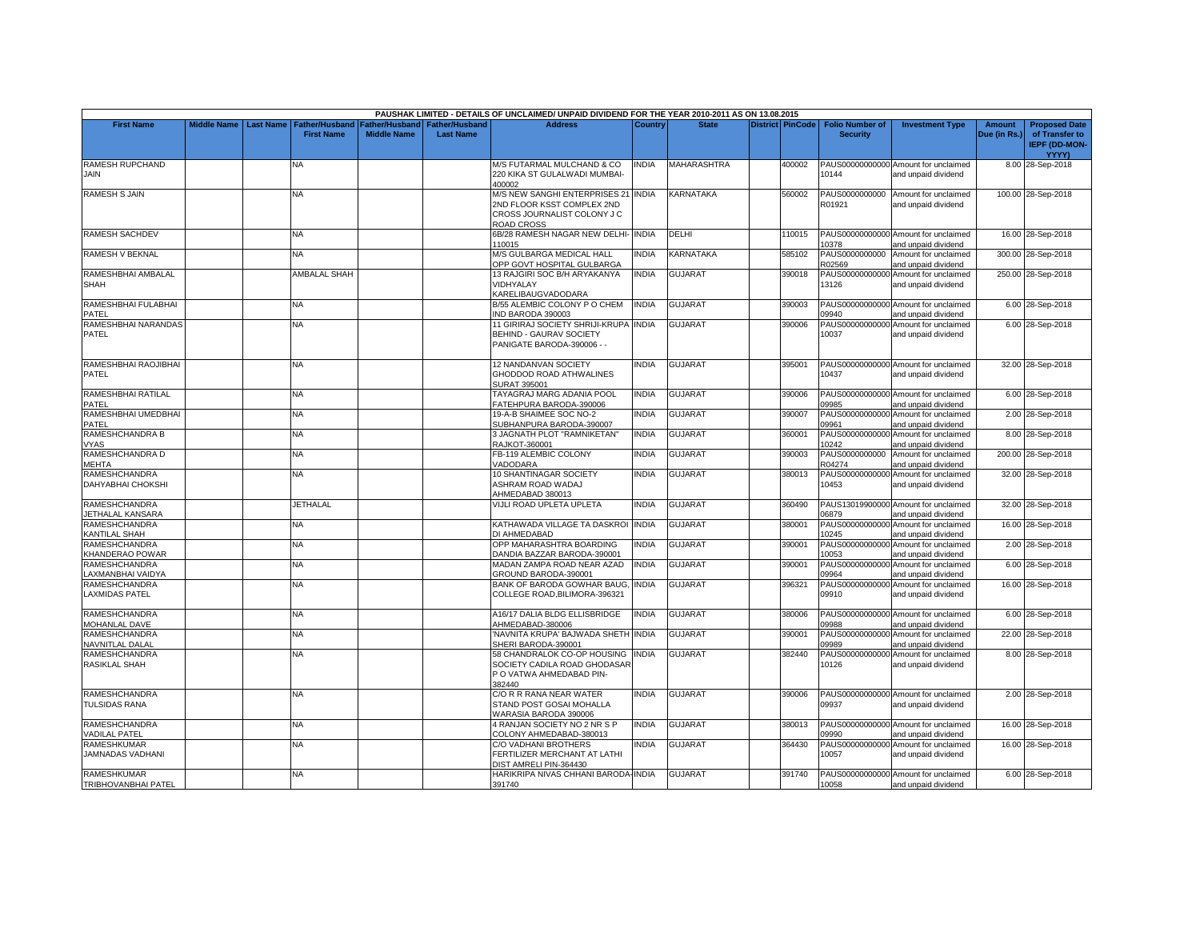|                                                  |                    |                                                 |                                             |                                           | PAUSHAK LIMITED - DETAILS OF UNCLAIMED/ UNPAID DIVIDEND FOR THE YEAR 2010-2011 AS ON 13.08.2015                |                |                |                         |                                           |                                                             |                        |                                                                         |
|--------------------------------------------------|--------------------|-------------------------------------------------|---------------------------------------------|-------------------------------------------|----------------------------------------------------------------------------------------------------------------|----------------|----------------|-------------------------|-------------------------------------------|-------------------------------------------------------------|------------------------|-------------------------------------------------------------------------|
| <b>First Name</b>                                | <b>Middle Name</b> | Last Name   Father/Husband<br><b>First Name</b> | <b>Father/Husband</b><br><b>Middle Name</b> | <b>Father/Husband</b><br><b>Last Name</b> | <b>Address</b>                                                                                                 | <b>Country</b> | <b>State</b>   | <b>District PinCode</b> | <b>Folio Number of</b><br><b>Security</b> | <b>Investment Type</b>                                      | Amount<br>Due (in Rs.) | <b>Proposed Date</b><br>of Transfer to<br><b>IEPF (DD-MON-</b><br>YYYY) |
| RAMESH RUPCHAND<br><b>JAIN</b>                   |                    | NA                                              |                                             |                                           | M/S FUTARMAL MULCHAND & CO<br>220 KIKA ST GULALWADI MUMBAI-<br>400002                                          | NDIA           | MAHARASHTRA    | 400002                  | 10144                                     | PAUS00000000000 Amount for unclaimed<br>and unpaid dividend |                        | 8.00 28-Sep-2018                                                        |
| <b>RAMESH S JAIN</b>                             |                    | <b>NA</b>                                       |                                             |                                           | M/S NEW SANGHI ENTERPRISES 21 INDIA<br>2ND FLOOR KSST COMPLEX 2ND<br>CROSS JOURNALIST COLONY J C<br>ROAD CROSS |                | KARNATAKA      | 560002                  | R01921                                    | PAUS0000000000 Amount for unclaimed<br>and unpaid dividend  |                        | 100.00 28-Sep-2018                                                      |
| <b>RAMESH SACHDEV</b>                            |                    | NA                                              |                                             |                                           | 6B/28 RAMESH NAGAR NEW DELHI- INDIA<br>110015                                                                  |                | DELHI          | 110015                  | 10378                                     | PAUS00000000000 Amount for unclaimed<br>and unpaid dividend |                        | 16.00 28-Sep-2018                                                       |
| RAMESH V BEKNAL                                  |                    | NA.                                             |                                             |                                           | <b>M/S GULBARGA MEDICAL HALL</b><br>OPP GOVT HOSPITAL GULBARGA                                                 | <b>INDIA</b>   | KARNATAKA      | 585102                  | PAUS0000000000<br>R02569                  | Amount for unclaimed<br>and unpaid dividend                 |                        | 300.00 28-Sep-2018                                                      |
| RAMESHBHAI AMBALAL<br><b>SHAH</b>                |                    | <b>AMBALAL SHAH</b>                             |                                             |                                           | 13 RAJGIRI SOC B/H ARYAKANYA<br>VIDHYALAY<br>KARELIBAUGVADODARA                                                | <b>INDIA</b>   | <b>GUJARAT</b> | 390018                  | 13126                                     | PAUS00000000000 Amount for unclaimed<br>and unpaid dividend |                        | 250.00 28-Sep-2018                                                      |
| RAMESHBHAI FULABHAI<br>PATEL                     |                    | <b>NA</b>                                       |                                             |                                           | B/55 ALEMBIC COLONY P O CHEM<br>IND BARODA 390003                                                              | <b>INDIA</b>   | <b>GUJARAT</b> | 390003                  | 09940                                     | PAUS00000000000 Amount for unclaimed<br>and unpaid dividend |                        | 6.00 28-Sep-2018                                                        |
| RAMESHBHAI NARANDAS<br><b>PATEL</b>              |                    | NA                                              |                                             |                                           | 11 GIRIRAJ SOCIETY SHRIJI-KRUPA INDIA<br>BEHIND - GAURAV SOCIETY<br>PANIGATE BARODA-390006 - -                 |                | <b>GUJARAT</b> | 390006                  | 10037                                     | PAUS00000000000 Amount for unclaimed<br>and unpaid dividend |                        | 6.00 28-Sep-2018                                                        |
| RAMESHBHAI RAOJIBHAI<br>PATEL                    |                    | ΝA                                              |                                             |                                           | 12 NANDANVAN SOCIETY<br>GHODDOD ROAD ATHWALINES<br>SURAT 395001                                                | INDIA          | <b>GUJARAT</b> | 395001                  | 10437                                     | PAUS00000000000 Amount for unclaimed<br>and unpaid dividend |                        | 32.00 28-Sep-2018                                                       |
| RAMESHBHAI RATILAL<br>PATEL                      |                    | NA                                              |                                             |                                           | TAYAGRAJ MARG ADANIA POOL<br>FATEHPURA BARODA-390006                                                           | <b>INDIA</b>   | GUJARAT        | 390006                  | 09985                                     | PAUS00000000000 Amount for unclaimed<br>and unpaid dividend |                        | 6.00 28-Sep-2018                                                        |
| RAMESHBHAI UMEDBHAI<br>PATEL                     |                    | NA                                              |                                             |                                           | 19-A-B SHAIMEE SOC NO-2<br>SUBHANPURA BARODA-390007                                                            | <b>INDIA</b>   | GUJARAT        | 390007                  | 09961                                     | PAUS00000000000 Amount for unclaimed<br>and unpaid dividend |                        | 2.00 28-Sep-2018                                                        |
| RAMESHCHANDRA B<br><b>VYAS</b>                   |                    | NA.                                             |                                             |                                           | 3 JAGNATH PLOT "RAMNIKETAN"<br><b>RAJKOT-360001</b>                                                            | <b>INDIA</b>   | GUJARAT        | 360001                  | PAUS00000000000<br>10242                  | Amount for unclaimed<br>and unpaid dividend                 |                        | 8.00 28-Sep-2018                                                        |
| RAMESHCHANDRA D<br>MEHTA                         |                    | <b>NA</b>                                       |                                             |                                           | FB-119 ALEMBIC COLONY<br>VADODARA                                                                              | <b>INDIA</b>   | <b>GUJARAT</b> | 390003                  | PAUS0000000000<br>R04274                  | Amount for unclaimed<br>and unpaid dividend                 |                        | 200.00 28-Sep-2018                                                      |
| RAMESHCHANDRA<br><b>DAHYABHAI CHOKSHI</b>        |                    | NA                                              |                                             |                                           | 10 SHANTINAGAR SOCIETY<br>ASHRAM ROAD WADAJ<br>AHMEDABAD 380013                                                | <b>INDIA</b>   | GUJARAT        | 380013                  | 10453                                     | PAUS00000000000 Amount for unclaimed<br>and unpaid dividend |                        | 32.00 28-Sep-2018                                                       |
| <b>RAMESHCHANDRA</b><br><b>IETHALAL KANSARA</b>  |                    | <b>JETHALAL</b>                                 |                                             |                                           | VIJLI ROAD UPLETA UPLETA                                                                                       | <b>INDIA</b>   | <b>GUJARAT</b> | 360490                  | 06879                                     | PAUS13019900000 Amount for unclaimed<br>and unpaid dividend |                        | 32.00 28-Sep-2018                                                       |
| <b>RAMESHCHANDRA</b><br><b>KANTILAL SHAH</b>     |                    | NA                                              |                                             |                                           | KATHAWADA VILLAGE TA DASKROI<br>DI AHMEDABAD                                                                   | <b>INDIA</b>   | <b>GUJARAT</b> | 380001                  | 10245                                     | PAUS00000000000 Amount for unclaimed<br>and unpaid dividend |                        | 16.00 28-Sep-2018                                                       |
| <b>RAMESHCHANDRA</b><br>KHANDERAO POWAR          |                    | <b>NA</b>                                       |                                             |                                           | OPP MAHARASHTRA BOARDING<br>DANDIA BAZZAR BARODA-390001                                                        | <b>INDIA</b>   | <b>GUJARAT</b> | 390001                  | PAUS00000000000<br>10053                  | Amount for unclaimed<br>and unpaid dividend                 |                        | 2.00 28-Sep-2018                                                        |
| RAMESHCHANDRA<br>AXMANBHAI VAIDYA                |                    | NA                                              |                                             |                                           | MADAN ZAMPA ROAD NEAR AZAD<br>GROUND BARODA-390001                                                             | <b>INDIA</b>   | <b>GUJARAT</b> | 390001                  | 09964                                     | PAUS00000000000 Amount for unclaimed<br>and unpaid dividend |                        | 6.00 28-Sep-2018                                                        |
| <b>RAMESHCHANDRA</b><br><b>LAXMIDAS PATEL</b>    |                    | NA                                              |                                             |                                           | BANK OF BARODA GOWHAR BAUG,<br>COLLEGE ROAD, BILIMORA-396321                                                   | <b>INDIA</b>   | <b>GUJARAT</b> | 396321                  | 09910                                     | PAUS00000000000 Amount for unclaimed<br>and unpaid dividend |                        | 16.00 28-Sep-2018                                                       |
| RAMESHCHANDRA<br>MOHANLAL DAVE                   |                    | NA                                              |                                             |                                           | 416/17 DALIA BLDG ELLISBRIDGE<br>AHMEDABAD-380006                                                              | <b>INDIA</b>   | <b>GUJARAT</b> | 380006                  | 09988                                     | PAUS00000000000 Amount for unclaimed<br>and unpaid dividend |                        | 6.00 28-Sep-2018                                                        |
| <b>RAMESHCHANDRA</b><br>NAVNITLAL DALAL          |                    | NA                                              |                                             |                                           | NAVNITA KRUPA' BAJWADA SHETH INDIA<br>SHERI BARODA-390001                                                      |                | <b>GUJARAT</b> | 390001                  | 09989                                     | PAUS00000000000 Amount for unclaimed<br>and unpaid dividend |                        | 22.00 28-Sep-2018                                                       |
| RAMESHCHANDRA<br>RASIKLAL SHAH                   |                    | NA                                              |                                             |                                           | 58 CHANDRALOK CO-OP HOUSING INDIA<br>SOCIETY CADILA ROAD GHODASAR<br>P O VATWA AHMEDABAD PIN-<br>382440        |                | <b>GUJARAT</b> | 382440                  | 10126                                     | PAUS00000000000 Amount for unclaimed<br>and unpaid dividend |                        | 8.00 28-Sep-2018                                                        |
| <b>RAMESHCHANDRA</b><br><b>TULSIDAS RANA</b>     |                    | NA.                                             |                                             |                                           | C/O R R RANA NEAR WATER<br>STAND POST GOSAI MOHALLA<br>WARASIA BARODA 390006                                   | <b>INDIA</b>   | <b>GUJARAT</b> | 390006                  | 09937                                     | PAUS00000000000 Amount for unclaimed<br>and unpaid dividend |                        | 2.00 28-Sep-2018                                                        |
| RAMESHCHANDRA<br><b>/ADILAL PATEL</b>            |                    | NA                                              |                                             |                                           | 4 RANJAN SOCIETY NO 2 NR S P<br>COLONY AHMEDABAD-380013                                                        | <b>INDIA</b>   | GUJARAT        | 380013                  | 09990                                     | PAUS00000000000 Amount for unclaimed<br>and unpaid dividend |                        | 16.00 28-Sep-2018                                                       |
| <b>RAMESHKUMAR</b><br>JAMNADAS VADHANI           |                    | NA                                              |                                             |                                           | C/O VADHANI BROTHERS<br>FERTILIZER MERCHANT AT LATHI<br>DIST AMRELI PIN-364430                                 | <b>INDIA</b>   | GUJARAT        | 364430                  | 10057                                     | PAUS00000000000 Amount for unclaimed<br>and unpaid dividend |                        | 16.00 28-Sep-2018                                                       |
| <b>RAMESHKUMAR</b><br><b>TRIBHOVANBHAI PATEL</b> |                    | <b>NA</b>                                       |                                             |                                           | HARIKRIPA NIVAS CHHANI BARODA-INDIA<br>391740                                                                  |                | <b>GUJARAT</b> | 391740                  | 10058                                     | PAUS00000000000 Amount for unclaimed<br>and unpaid dividend |                        | 6.00 28-Sep-2018                                                        |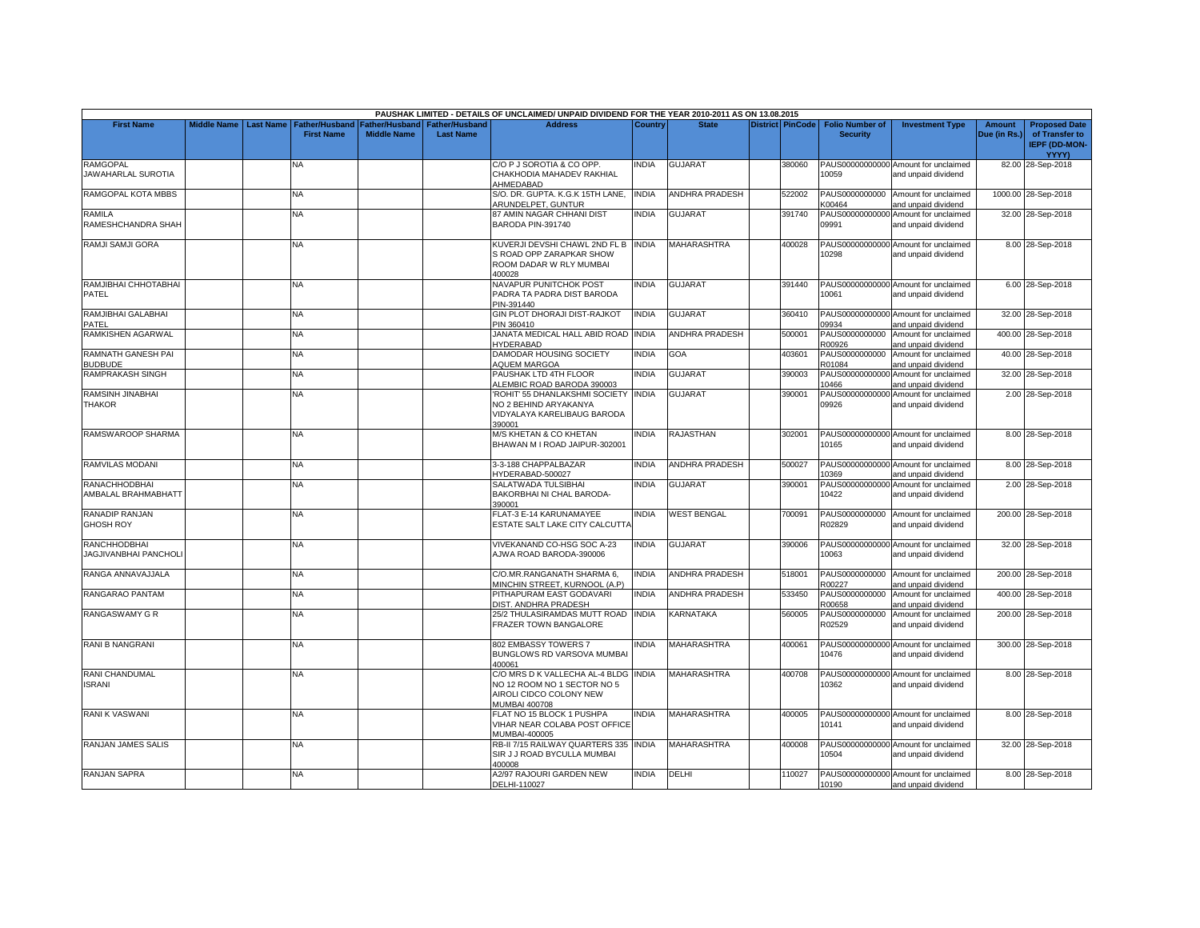|                                              |                    |                  |                                     |                                             |                                           | PAUSHAK LIMITED - DETAILS OF UNCLAIMED/ UNPAID DIVIDEND FOR THE YEAR 2010-2011 AS ON 13.08.2015                 |              |                       |                         |                                           |                                                             |                               |                                                                                |
|----------------------------------------------|--------------------|------------------|-------------------------------------|---------------------------------------------|-------------------------------------------|-----------------------------------------------------------------------------------------------------------------|--------------|-----------------------|-------------------------|-------------------------------------------|-------------------------------------------------------------|-------------------------------|--------------------------------------------------------------------------------|
| <b>First Name</b>                            | <b>Middle Name</b> | <b>Last Name</b> | Father/Husband<br><b>First Name</b> | <b>Father/Husband</b><br><b>Middle Name</b> | <b>Father/Husband</b><br><b>Last Name</b> | <b>Address</b>                                                                                                  | Country      | <b>State</b>          | <b>District PinCode</b> | <b>Folio Number of</b><br><b>Security</b> | <b>Investment Type</b>                                      | <b>Amount</b><br>Due (in Rs.) | <b>Proposed Date</b><br>of Transfer to<br><b>IEPF (DD-MON-</b><br><b>YYYY)</b> |
| <b>RAMGOPAL</b><br><b>JAWAHARLAL SUROTIA</b> |                    |                  | NA                                  |                                             |                                           | C/O P J SOROTIA & CO OPP.<br>CHAKHODIA MAHADEV RAKHIAL<br>AHMEDABAD                                             | INDIA        | <b>GUJARAT</b>        | 380060                  | 10059                                     | PAUS00000000000 Amount for unclaimed<br>and unpaid dividend |                               | 82.00 28-Sep-2018                                                              |
| RAMGOPAL KOTA MBBS                           |                    |                  | <b>NA</b>                           |                                             |                                           | S/O. DR. GUPTA. K.G.K 15TH LANE,<br>ARUNDELPET, GUNTUR                                                          | <b>INDIA</b> | <b>ANDHRA PRADESH</b> | 522002                  | K00464                                    | PAUS0000000000 Amount for unclaimed<br>and unpaid dividend  |                               | 1000.00 28-Sep-2018                                                            |
| RAMILA<br>RAMESHCHANDRA SHAH                 |                    |                  | NA                                  |                                             |                                           | 87 AMIN NAGAR CHHANI DIST<br>BARODA PIN-391740                                                                  | <b>INDIA</b> | GUJARAT               | 391740                  | 09991                                     | PAUS00000000000 Amount for unclaimed<br>and unpaid dividend |                               | 32.00 28-Sep-2018                                                              |
| RAMJI SAMJI GORA                             |                    |                  | <b>NA</b>                           |                                             |                                           | KUVERJI DEVSHI CHAWL 2ND FL B INDIA<br>S ROAD OPP ZARAPKAR SHOW<br>ROOM DADAR W RLY MUMBAI<br>400028            |              | <b>MAHARASHTRA</b>    | 400028                  | 10298                                     | PAUS00000000000 Amount for unclaimed<br>and unpaid dividend |                               | 8.00 28-Sep-2018                                                               |
| RAMJIBHAI CHHOTABHAI<br>PATEL                |                    |                  | <b>NA</b>                           |                                             |                                           | NAVAPUR PUNITCHOK POST<br>PADRA TA PADRA DIST BARODA<br>PIN-391440                                              | <b>INDIA</b> | <b>GUJARAT</b>        | 391440                  | 10061                                     | PAUS00000000000 Amount for unclaimed<br>and unpaid dividend |                               | 6.00 28-Sep-2018                                                               |
| RAMJIBHAI GALABHAI<br>PATEL                  |                    |                  | NA                                  |                                             |                                           | GIN PLOT DHORAJI DIST-RAJKOT<br>PIN 360410                                                                      | <b>INDIA</b> | <b>GUJARAT</b>        | 360410                  | 09934                                     | PAUS00000000000 Amount for unclaimed<br>and unpaid dividend |                               | 32.00 28-Sep-2018                                                              |
| RAMKISHEN AGARWAL                            |                    |                  | NA                                  |                                             |                                           | JANATA MEDICAL HALL ABID ROAD INDIA<br><b>HYDERABAD</b>                                                         |              | <b>ANDHRA PRADESH</b> | 500001                  | PAUS0000000000<br>R00926                  | Amount for unclaimed<br>and unpaid dividend                 |                               | 400.00 28-Sep-2018                                                             |
| RAMNATH GANESH PAI<br><b>BUDBUDE</b>         |                    |                  | NΑ                                  |                                             |                                           | DAMODAR HOUSING SOCIETY<br>AQUEM MARGOA                                                                         | <b>INDIA</b> | <b>GOA</b>            | 403601                  | PAUS0000000000<br>R01084                  | Amount for unclaimed<br>and unpaid dividend                 |                               | 40.00 28-Sep-2018                                                              |
| <b>RAMPRAKASH SINGH</b>                      |                    |                  | NA.                                 |                                             |                                           | PAUSHAK LTD 4TH FLOOR<br>ALEMBIC ROAD BARODA 390003                                                             | <b>INDIA</b> | GUJARAT               | 390003                  | PAUS00000000000<br>10466                  | Amount for unclaimed<br>and unpaid dividend                 |                               | 32.00 28-Sep-2018                                                              |
| RAMSINH JINABHAI<br><b>THAKOR</b>            |                    |                  | <b>NA</b>                           |                                             |                                           | ROHIT' 55 DHANLAKSHMI SOCIETY INDIA<br>NO 2 BEHIND ARYAKANYA<br>VIDYALAYA KARELIBAUG BARODA<br>390001           |              | <b>GUJARAT</b>        | 390001                  | 09926                                     | PAUS00000000000 Amount for unclaimed<br>and unpaid dividend |                               | 2.00 28-Sep-2018                                                               |
| RAMSWAROOP SHARMA                            |                    |                  | <b>NA</b>                           |                                             |                                           | M/S KHETAN & CO KHETAN<br>BHAWAN M I ROAD JAIPUR-302001                                                         | <b>INDIA</b> | <b>RAJASTHAN</b>      | 302001                  | 10165                                     | PAUS00000000000 Amount for unclaimed<br>and unpaid dividend |                               | 8.00 28-Sep-2018                                                               |
| RAMVILAS MODANI                              |                    |                  | NA                                  |                                             |                                           | 3-3-188 CHAPPALBAZAR<br>HYDERABAD-500027                                                                        | <b>INDIA</b> | ANDHRA PRADESH        | 500027                  | 10369                                     | PAUS00000000000 Amount for unclaimed<br>and unpaid dividend |                               | 8.00 28-Sep-2018                                                               |
| <b>RANACHHODBHAI</b><br>AMBALAL BRAHMABHATT  |                    |                  | <b>NA</b>                           |                                             |                                           | SALATWADA TULSIBHAI<br>BAKORBHAI NI CHAL BARODA-<br>390001                                                      | <b>INDIA</b> | <b>GUJARAT</b>        | 390001                  | 10422                                     | PAUS00000000000 Amount for unclaimed<br>and unpaid dividend |                               | 2.00 28-Sep-2018                                                               |
| <b>RANADIP RANJAN</b><br><b>GHOSH ROY</b>    |                    |                  | ΝA                                  |                                             |                                           | FLAT-3 E-14 KARUNAMAYEE<br>ESTATE SALT LAKE CITY CALCUTTA                                                       | <b>INDIA</b> | <b>WEST BENGAL</b>    | 700091                  | R02829                                    | PAUS0000000000 Amount for unclaimed<br>and unpaid dividend  |                               | 200.00 28-Sep-2018                                                             |
| <b>RANCHHODBHAI</b><br>JAGJIVANBHAI PANCHOLI |                    |                  | NA                                  |                                             |                                           | VIVEKANAND CO-HSG SOC A-23<br>AJWA ROAD BARODA-390006                                                           | <b>INDIA</b> | <b>GUJARAT</b>        | 390006                  | 10063                                     | PAUS00000000000 Amount for unclaimed<br>and unpaid dividend |                               | 32.00 28-Sep-2018                                                              |
| RANGA ANNAVAJJALA                            |                    |                  | NA.                                 |                                             |                                           | C/O.MR.RANGANATH SHARMA 6,<br>MINCHIN STREET, KURNOOL (A.P)                                                     | <b>INDIA</b> | <b>ANDHRA PRADESH</b> | 518001                  | PAUS0000000000<br>R00227                  | Amount for unclaimed<br>and unpaid dividend                 |                               | 200.00 28-Sep-2018                                                             |
| RANGARAO PANTAM                              |                    |                  | NA                                  |                                             |                                           | PITHAPURAM EAST GODAVARI<br>DIST. ANDHRA PRADESH                                                                | <b>INDIA</b> | <b>ANDHRA PRADESH</b> | 533450                  | R00658                                    | PAUS0000000000 Amount for unclaimed<br>and unpaid dividend  |                               | 400.00 28-Sep-2018                                                             |
| RANGASWAMY G R                               |                    |                  | NA                                  |                                             |                                           | 25/2 THULASIRAMDAS MUTT ROAD<br>FRAZER TOWN BANGALORE                                                           | <b>INDIA</b> | <b>KARNATAKA</b>      | 560005                  | PAUS0000000000<br>R02529                  | Amount for unclaimed<br>and unpaid dividend                 |                               | 200.00 28-Sep-2018                                                             |
| RANI B NANGRANI                              |                    |                  | NA                                  |                                             |                                           | 802 EMBASSY TOWERS 7<br>BUNGLOWS RD VARSOVA MUMBAI<br>400061                                                    | <b>INDIA</b> | <b>MAHARASHTRA</b>    | 400061                  | 10476                                     | PAUS00000000000 Amount for unclaimed<br>and unpaid dividend |                               | 300.00 28-Sep-2018                                                             |
| RANI CHANDUMAL<br><b>ISRANI</b>              |                    |                  | NA.                                 |                                             |                                           | C/O MRS D K VALLECHA AL-4 BLDG INDIA<br>NO 12 ROOM NO 1 SECTOR NO 5<br>AIROLI CIDCO COLONY NEW<br>MUMBAI 400708 |              | MAHARASHTRA           | 400708                  | 10362                                     | PAUS00000000000 Amount for unclaimed<br>and unpaid dividend |                               | 8.00 28-Sep-2018                                                               |
| RANI K VASWANI                               |                    |                  | ΝA                                  |                                             |                                           | FLAT NO 15 BLOCK 1 PUSHPA<br>VIHAR NEAR COLABA POST OFFICE<br>MUMBAI-400005                                     | <b>INDIA</b> | MAHARASHTRA           | 400005                  | 10141                                     | PAUS00000000000 Amount for unclaimed<br>and unpaid dividend |                               | 8.00 28-Sep-2018                                                               |
| RANJAN JAMES SALIS                           |                    |                  | NA                                  |                                             |                                           | RB-II 7/15 RAILWAY QUARTERS 335 INDIA<br>SIR J J ROAD BYCULLA MUMBAI<br>400008                                  |              | <b>MAHARASHTRA</b>    | 400008                  | 10504                                     | PAUS00000000000 Amount for unclaimed<br>and unpaid dividend |                               | 32.00 28-Sep-2018                                                              |
| <b>RANJAN SAPRA</b>                          |                    |                  | NA.                                 |                                             |                                           | <b>A2/97 RAJOURI GARDEN NEW</b><br>DELHI-110027                                                                 | <b>INDIA</b> | DELHI                 | 110027                  | 10190                                     | PAUS00000000000 Amount for unclaimed<br>and unpaid dividend |                               | 8.00 28-Sep-2018                                                               |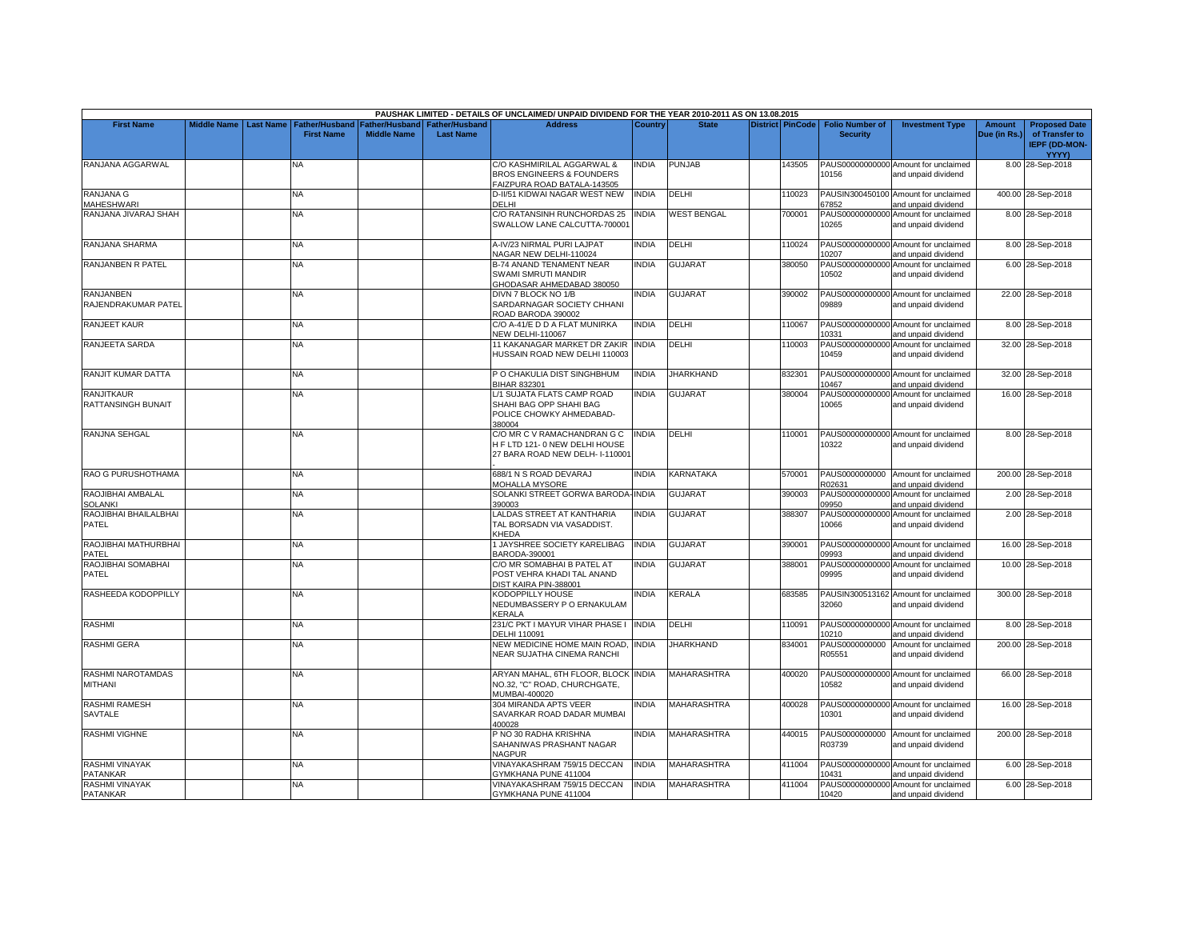|                                            |                    |                  |                                            |                                             |                                           | PAUSHAK LIMITED - DETAILS OF UNCLAIMED/ UNPAID DIVIDEND FOR THE YEAR 2010-2011 AS ON 13.08.2015   |              |                    |                         |                                           |                                                             |                               |                                                                |
|--------------------------------------------|--------------------|------------------|--------------------------------------------|---------------------------------------------|-------------------------------------------|---------------------------------------------------------------------------------------------------|--------------|--------------------|-------------------------|-------------------------------------------|-------------------------------------------------------------|-------------------------------|----------------------------------------------------------------|
| <b>First Name</b>                          | <b>Middle Name</b> | <b>Last Name</b> | <b>Father/Husband</b><br><b>First Name</b> | <b>Father/Husband</b><br><b>Middle Name</b> | <b>Father/Husband</b><br><b>Last Name</b> | <b>Address</b>                                                                                    | Country      | <b>State</b>       | <b>District PinCode</b> | <b>Folio Number of</b><br><b>Security</b> | <b>Investment Type</b>                                      | <b>Amount</b><br>Due (in Rs.) | <b>Proposed Date</b><br>of Transfer to<br><b>IEPF (DD-MON-</b> |
| RANJANA AGGARWAL                           |                    |                  | NA                                         |                                             |                                           | C/O KASHMIRILAL AGGARWAL &                                                                        | INDIA        | <b>PUNJAB</b>      | 43505                   |                                           | PAUS00000000000 Amount for unclaimed                        |                               | YYYY)<br>8.00 28-Sep-2018                                      |
|                                            |                    |                  |                                            |                                             |                                           | BROS ENGINEERS & FOUNDERS<br>AIZPURA ROAD BATALA-143505                                           |              |                    |                         | 10156                                     | and unpaid dividend                                         |                               |                                                                |
| <b>RANJANA G</b>                           |                    |                  | NA.                                        |                                             |                                           | D-II/51 KIDWAI NAGAR WEST NEW                                                                     | <b>INDIA</b> | DELHI              | 110023                  |                                           | PAUSIN300450100 Amount for unclaimed                        |                               | 400.00 28-Sep-2018                                             |
| <b>MAHESHWARI</b>                          |                    |                  |                                            |                                             |                                           | DELHI                                                                                             |              |                    |                         | 67852                                     | and unpaid dividend                                         |                               |                                                                |
| RANJANA JIVARAJ SHAH                       |                    |                  | NA                                         |                                             |                                           | C/O RATANSINH RUNCHORDAS 25<br>SWALLOW LANE CALCUTTA-700001                                       | <b>INDIA</b> | <b>WEST BENGAL</b> | 700001                  | 10265                                     | PAUS00000000000 Amount for unclaimed<br>and unpaid dividend |                               | 8.00 28-Sep-2018                                               |
| RANJANA SHARMA                             |                    |                  | <b>NA</b>                                  |                                             |                                           | A-IV/23 NIRMAL PURI LAJPAT<br>VAGAR NEW DELHI-110024                                              | <b>INDIA</b> | <b>DELHI</b>       | 110024                  | 10207                                     | PAUS00000000000 Amount for unclaimed<br>and unpaid dividend |                               | 8.00 28-Sep-2018                                               |
| RANJANBEN R PATEL                          |                    |                  | <b>NA</b>                                  |                                             |                                           | <b>B-74 ANAND TENAMENT NEAR</b><br>SWAMI SMRUTI MANDIR                                            | <b>INDIA</b> | GUJARAT            | 380050                  | 10502                                     | PAUS00000000000 Amount for unclaimed<br>and unpaid dividend |                               | 6.00 28-Sep-2018                                               |
| <b>RANJANBEN</b>                           |                    |                  | NΑ                                         |                                             |                                           | GHODASAR AHMEDABAD 380050<br>DIVN 7 BLOCK NO 1/B                                                  | <b>INDIA</b> | GUJARAT            | 390002                  |                                           | PAUS00000000000 Amount for unclaimed                        |                               | 22.00 28-Sep-2018                                              |
| RAJENDRAKUMAR PATEI                        |                    |                  |                                            |                                             |                                           | SARDARNAGAR SOCIETY CHHANI<br>ROAD BARODA 390002                                                  |              |                    |                         | 09889                                     | and unpaid dividend                                         |                               |                                                                |
| RANJEET KAUR                               |                    |                  | NΑ                                         |                                             |                                           | C/O A-41/E D D A FLAT MUNIRKA                                                                     | <b>INDIA</b> | DELHI              | 110067                  |                                           | PAUS00000000000 Amount for unclaimed                        |                               | 8.00 28-Sep-2018                                               |
| RANJEETA SARDA                             |                    |                  | NA                                         |                                             |                                           | <b>NEW DELHI-110067</b><br>11 KAKANAGAR MARKET DR ZAKIR INDIA                                     |              | <b>DELHI</b>       | 110003                  | 10331                                     | and unpaid dividend<br>PAUS00000000000 Amount for unclaimed |                               | 32.00 28-Sep-2018                                              |
|                                            |                    |                  |                                            |                                             |                                           | HUSSAIN ROAD NEW DELHI 110003                                                                     |              |                    |                         | 10459                                     | and unpaid dividend                                         |                               |                                                                |
| RANJIT KUMAR DATTA                         |                    |                  | NA.                                        |                                             |                                           | P O CHAKULIA DIST SINGHBHUM<br>BIHAR 832301                                                       | <b>INDIA</b> | <b>JHARKHAND</b>   | 832301                  | 10467                                     | PAUS00000000000 Amount for unclaimed<br>and unpaid dividend |                               | 32.00 28-Sep-2018                                              |
| <b>RANJITKAUR</b><br>RATTANSINGH BUNAIT    |                    |                  | <b>NA</b>                                  |                                             |                                           | <b>J1 SUJATA FLATS CAMP ROAD</b><br>SHAHI BAG OPP SHAHI BAG<br>POLICE CHOWKY AHMEDABAD-<br>380004 | <b>INDIA</b> | <b>GUJARAT</b>     | 380004                  | 10065                                     | PAUS00000000000 Amount for unclaimed<br>and unpaid dividend |                               | 16.00 28-Sep-2018                                              |
| RANJNA SEHGAL                              |                    |                  | NA.                                        |                                             |                                           | C/O MR C V RAMACHANDRAN G C<br>H F LTD 121- 0 NEW DELHI HOUSE<br>27 BARA ROAD NEW DELH- I-110001  | <b>INDIA</b> | DELHI              | 110001                  | 10322                                     | PAUS00000000000 Amount for unclaimed<br>and unpaid dividend |                               | 8.00 28-Sep-2018                                               |
| RAO G PURUSHOTHAMA                         |                    |                  | NΑ                                         |                                             |                                           | 688/1 N S ROAD DEVARAJ<br><b>MOHALLA MYSORE</b>                                                   | <b>INDIA</b> | KARNATAKA          | 570001                  | PAUS0000000000<br>R02631                  | Amount for unclaimed<br>and unpaid dividend                 |                               | 200.00 28-Sep-2018                                             |
| RAOJIBHAI AMBALAL<br>SOLANKI               |                    |                  | <b>NA</b>                                  |                                             |                                           | SOLANKI STREET GORWA BARODA-INDIA<br>390003                                                       |              | <b>GUJARAT</b>     | 390003                  | 09950                                     | PAUS00000000000 Amount for unclaimed<br>and unpaid dividend |                               | 2.00 28-Sep-2018                                               |
| RAOJIBHAI BHAILALBHAI<br>PATEL             |                    |                  | NA                                         |                                             |                                           | ALDAS STREET AT KANTHARIA<br>TAL BORSADN VIA VASADDIST.<br><b>HEDA</b>                            | <b>INDIA</b> | <b>GUJARAT</b>     | 388307                  | 10066                                     | PAUS00000000000 Amount for unclaimed<br>and unpaid dividend |                               | 2.00 28-Sep-2018                                               |
| RAOJIBHAI MATHURBHAI<br>PATEL              |                    |                  | <b>NA</b>                                  |                                             |                                           | I JAYSHREE SOCIETY KARELIBAG<br>BARODA-390001                                                     | <b>INDIA</b> | GUJARAT            | 390001                  | PAUS00000000000<br>09993                  | Amount for unclaimed<br>and unpaid dividend                 |                               | 16.00 28-Sep-2018                                              |
| RAOJIBHAI SOMABHAI<br>PATEL                |                    |                  | NA                                         |                                             |                                           | C/O MR SOMABHAI B PATEL AT<br>POST VEHRA KHADI TAL ANAND<br>DIST KAIRA PIN-388001                 | <b>INDIA</b> | <b>GUJARAT</b>     | 388001                  | 09995                                     | PAUS00000000000 Amount for unclaimed<br>and unpaid dividend |                               | 10.00 28-Sep-2018                                              |
| RASHEEDA KODOPPILLY                        |                    |                  | NA                                         |                                             |                                           | <b>KODOPPILLY HOUSE</b><br>NEDUMBASSERY P O ERNAKULAM<br><b>KERALA</b>                            | <b>INDIA</b> | KERALA             | 683585                  | 32060                                     | PAUSIN300513162 Amount for unclaimed<br>and unpaid dividend |                               | 300.00 28-Sep-2018                                             |
| <b>RASHMI</b>                              |                    |                  | NA                                         |                                             |                                           | 231/C PKT I MAYUR VIHAR PHASE I<br>DELHI 110091                                                   | <b>INDIA</b> | DELHI              | 110091                  | 10210                                     | PAUS00000000000 Amount for unclaimed<br>and unpaid dividend |                               | 8.00 28-Sep-2018                                               |
| <b>RASHMI GERA</b>                         |                    |                  | <b>NA</b>                                  |                                             |                                           | NEW MEDICINE HOME MAIN ROAD, INDIA<br><b>NEAR SUJATHA CINEMA RANCHI</b>                           |              | <b>JHARKHAND</b>   | 834001                  | PAUS0000000000<br>R05551                  | Amount for unclaimed<br>and unpaid dividend                 |                               | 200.00 28-Sep-2018                                             |
| <b>RASHMI NAROTAMDAS</b><br><b>MITHANI</b> |                    |                  | <b>NA</b>                                  |                                             |                                           | ARYAN MAHAL, 6TH FLOOR, BLOCK INDIA<br>NO.32, "C" ROAD, CHURCHGATE,<br>MUMBAI-400020              |              | <b>MAHARASHTRA</b> | 400020                  | 10582                                     | PAUS00000000000 Amount for unclaimed<br>and unpaid dividend |                               | 66.00 28-Sep-2018                                              |
| RASHMI RAMESH<br>SAVTALE                   |                    |                  | <b>NA</b>                                  |                                             |                                           | 304 MIRANDA APTS VEER<br>SAVARKAR ROAD DADAR MUMBAI<br>400028                                     | <b>INDIA</b> | <b>MAHARASHTRA</b> | 400028                  | 10301                                     | PAUS00000000000 Amount for unclaimed<br>and unpaid dividend |                               | 16.00 28-Sep-2018                                              |
| <b>RASHMI VIGHNE</b>                       |                    |                  | <b>NA</b>                                  |                                             |                                           | P NO 30 RADHA KRISHNA<br>SAHANIWAS PRASHANT NAGAR<br><b>NAGPUR</b>                                | <b>INDIA</b> | <b>MAHARASHTRA</b> | 440015                  | R03739                                    | PAUS0000000000 Amount for unclaimed<br>and unpaid dividend  |                               | 200.00 28-Sep-2018                                             |
| <b>RASHMI VINAYAK</b>                      |                    |                  | ΝA                                         |                                             |                                           | /INAYAKASHRAM 759/15 DECCAN                                                                       | <b>INDIA</b> | <b>MAHARASHTRA</b> | 411004                  |                                           | PAUS00000000000 Amount for unclaimed                        |                               | 6.00 28-Sep-2018                                               |
| PATANKAR                                   |                    |                  |                                            |                                             |                                           | GYMKHANA PUNE 411004                                                                              |              |                    |                         | 10431                                     | and unpaid dividend                                         |                               |                                                                |
| RASHMI VINAYAK<br>PATANKAR                 |                    |                  | <b>NA</b>                                  |                                             |                                           | VINAYAKASHRAM 759/15 DECCAN<br>GYMKHANA PUNE 411004                                               | <b>INDIA</b> | <b>MAHARASHTRA</b> | 411004                  | 10420                                     | PAUS00000000000 Amount for unclaimed<br>and unpaid dividend |                               | 6.00 28-Sep-2018                                               |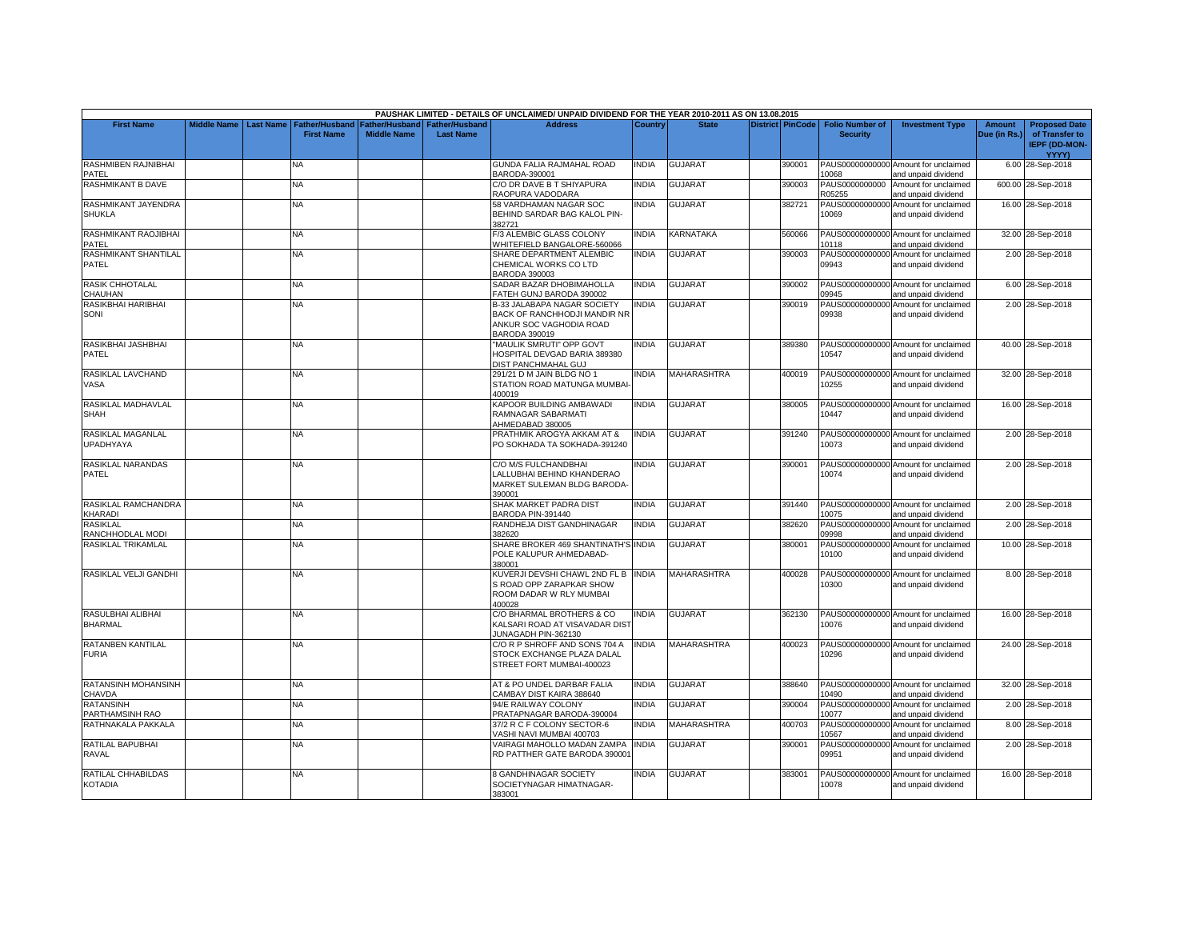|                                       |                    |           |                                            |                                      |                                           | PAUSHAK LIMITED - DETAILS OF UNCLAIMED/ UNPAID DIVIDEND FOR THE YEAR 2010-2011 AS ON 13.08.2015                |              |                    |                  |                                           |                                                             |                               |                                                                |
|---------------------------------------|--------------------|-----------|--------------------------------------------|--------------------------------------|-------------------------------------------|----------------------------------------------------------------------------------------------------------------|--------------|--------------------|------------------|-------------------------------------------|-------------------------------------------------------------|-------------------------------|----------------------------------------------------------------|
| <b>First Name</b>                     | <b>Middle Name</b> | Last Name | <b>Father/Husband</b><br><b>First Name</b> | Father/Husband<br><b>Middle Name</b> | <b>Father/Husband</b><br><b>Last Name</b> | <b>Address</b>                                                                                                 | Country      | <b>State</b>       | District PinCode | <b>Folio Number of</b><br><b>Security</b> | <b>Investment Type</b>                                      | <b>Amount</b><br>Due (in Rs.) | <b>Proposed Date</b><br>of Transfer to<br><b>IEPF (DD-MON-</b> |
| RASHMIBEN RAJNIBHAI                   |                    |           | NA                                         |                                      |                                           | GUNDA FALIA RAJMAHAL ROAD                                                                                      | <b>NDIA</b>  | <b>GUJARAT</b>     | 390001           |                                           | PAUS00000000000 Amount for unclaimed                        |                               | YYYY)<br>6.00 28-Sep-2018                                      |
| PATEL                                 |                    |           |                                            |                                      |                                           | BARODA-390001                                                                                                  |              |                    |                  | 10068                                     | and unpaid dividend                                         |                               |                                                                |
| <b>RASHMIKANT B DAVE</b>              |                    |           | <b>NA</b>                                  |                                      |                                           | C/O DR DAVE B T SHIYAPURA<br>RAOPURA VADODARA                                                                  | <b>INDIA</b> | <b>GUJARAT</b>     | 390003           | PAUS0000000000<br>R05255                  | Amount for unclaimed<br>and unpaid dividend                 |                               | 600.00 28-Sep-2018                                             |
| RASHMIKANT JAYENDRA                   |                    |           | <b>NA</b>                                  |                                      |                                           | 58 VARDHAMAN NAGAR SOC                                                                                         | INDIA        | <b>GUJARAT</b>     | 382721           |                                           | PAUS00000000000 Amount for unclaimed                        |                               | 16.00 28-Sep-2018                                              |
| SHUKLA                                |                    |           |                                            |                                      |                                           | BEHIND SARDAR BAG KALOL PIN-<br>382721                                                                         |              |                    |                  | 10069                                     | and unpaid dividend                                         |                               |                                                                |
| RASHMIKANT RAOJIBHAI<br>PATEL         |                    |           | ΝA                                         |                                      |                                           | F/3 ALEMBIC GLASS COLONY<br>WHITEFIELD BANGALORE-560066                                                        | INDIA        | KARNATAKA          | 560066           | 10118                                     | PAUS00000000000 Amount for unclaimed<br>and unpaid dividend |                               | 32.00 28-Sep-2018                                              |
| RASHMIKANT SHANTILAL<br>PATEL         |                    |           | <b>NA</b>                                  |                                      |                                           | SHARE DEPARTMENT ALEMBIC<br>CHEMICAL WORKS CO LTD<br><b>BARODA 390003</b>                                      | <b>INDIA</b> | <b>GUJARAT</b>     | 390003           | PAUS00000000000<br>09943                  | Amount for unclaimed<br>and unpaid dividend                 |                               | 2.00 28-Sep-2018                                               |
| <b>RASIK CHHOTALAL</b><br>CHAUHAN     |                    |           | NΑ                                         |                                      |                                           | SADAR BAZAR DHOBIMAHOLLA<br>FATEH GUNJ BARODA 390002                                                           | <b>NDIA</b>  | GUJARAT            | 390002           | PAUS00000000000<br>09945                  | Amount for unclaimed<br>and unpaid dividend                 |                               | 6.00 28-Sep-2018                                               |
| RASIKBHAI HARIBHAI<br>SONI            |                    |           | <b>NA</b>                                  |                                      |                                           | B-33 JALABAPA NAGAR SOCIETY<br>BACK OF RANCHHODJI MANDIR NR<br>ANKUR SOC VAGHODIA ROAD<br><b>BARODA 390019</b> | <b>NDIA</b>  | <b>GUJARAT</b>     | 390019           | PAUS00000000000<br>09938                  | Amount for unclaimed<br>and unpaid dividend                 |                               | 2.00 28-Sep-2018                                               |
| RASIKBHAI JASHBHAI<br>PATEL           |                    |           | <b>NA</b>                                  |                                      |                                           | "MAULIK SMRUTI" OPP GOVT<br>HOSPITAL DEVGAD BARIA 389380<br>DIST PANCHMAHAL GUJ                                | <b>INDIA</b> | <b>GUJARAT</b>     | 389380           | 10547                                     | PAUS00000000000 Amount for unclaimed<br>and unpaid dividend |                               | 40.00 28-Sep-2018                                              |
| RASIKLAL LAVCHAND<br>VASA             |                    |           | <b>NA</b>                                  |                                      |                                           | 291/21 D M JAIN BLDG NO 1<br>STATION ROAD MATUNGA MUMBAI-<br>400019                                            | <b>INDIA</b> | <b>MAHARASHTRA</b> | 400019           | 10255                                     | PAUS00000000000 Amount for unclaimed<br>and unpaid dividend |                               | 32.00 28-Sep-2018                                              |
| RASIKLAL MADHAVLAL<br>SHAH            |                    |           | NΑ                                         |                                      |                                           | KAPOOR BUILDING AMBAWADI<br>RAMNAGAR SABARMATI<br>AHMEDABAD 380005                                             | <b>NDIA</b>  | <b>GUJARAT</b>     | 380005           | 10447                                     | PAUS00000000000 Amount for unclaimed<br>and unpaid dividend |                               | 16.00 28-Sep-2018                                              |
| RASIKLAL MAGANLAL<br><b>UPADHYAYA</b> |                    |           | <b>NA</b>                                  |                                      |                                           | PRATHMIK AROGYA AKKAM AT &<br>PO SOKHADA TA SOKHADA-391240                                                     | INDIA        | <b>GUJARAT</b>     | 391240           | 10073                                     | PAUS00000000000 Amount for unclaimed<br>and unpaid dividend |                               | 2.00 28-Sep-2018                                               |
| RASIKLAL NARANDAS<br>PATEL            |                    |           | NA                                         |                                      |                                           | C/O M/S FULCHANDBHAI<br>LALLUBHAI BEHIND KHANDERAO<br>MARKET SULEMAN BLDG BARODA-<br>390001                    | NDIA         | <b>GUJARAT</b>     | 390001           | 10074                                     | PAUS00000000000 Amount for unclaimed<br>and unpaid dividend |                               | 2.00 28-Sep-2018                                               |
| RASIKLAL RAMCHANDRA<br>KHARADI        |                    |           | <b>NA</b>                                  |                                      |                                           | SHAK MARKET PADRA DIST<br>BARODA PIN-391440                                                                    | <b>INDIA</b> | <b>GUJARAT</b>     | 391440           | 10075                                     | PAUS00000000000 Amount for unclaimed<br>and unpaid dividend |                               | 2.00 28-Sep-2018                                               |
| <b>RASIKLAL</b><br>RANCHHODLAL MODI   |                    |           | NΑ                                         |                                      |                                           | RANDHEJA DIST GANDHINAGAR<br>382620                                                                            | <b>NDIA</b>  | GUJARAT            | 382620           | PAUS00000000000<br>09998                  | Amount for unclaimed<br>and unpaid dividend                 |                               | 2.00 28-Sep-2018                                               |
| RASIKLAL TRIKAMLAL                    |                    |           | <b>NA</b>                                  |                                      |                                           | SHARE BROKER 469 SHANTINATH'S INDIA<br>POLE KALUPUR AHMEDABAD-<br>380001                                       |              | <b>GUJARAT</b>     | 380001           | PAUS00000000000<br>10100                  | Amount for unclaimed<br>and unpaid dividend                 |                               | 10.00 28-Sep-2018                                              |
| RASIKLAL VELJI GANDHI                 |                    |           | <b>NA</b>                                  |                                      |                                           | KUVERJI DEVSHI CHAWL 2ND FL B INDIA<br>S ROAD OPP ZARAPKAR SHOW<br>ROOM DADAR W RLY MUMBAI<br>400028           |              | <b>MAHARASHTRA</b> | 400028           | 10300                                     | PAUS00000000000 Amount for unclaimed<br>and unpaid dividend |                               | 8.00 28-Sep-2018                                               |
| RASULBHAI ALIBHAI<br><b>BHARMAL</b>   |                    |           | NA                                         |                                      |                                           | C/O BHARMAL BROTHERS & CO<br>KALSARI ROAD AT VISAVADAR DIST<br>JUNAGADH PIN-362130                             | <b>INDIA</b> | <b>GUJARAT</b>     | 362130           | 10076                                     | PAUS00000000000 Amount for unclaimed<br>and unpaid dividend |                               | 16.00 28-Sep-2018                                              |
| RATANBEN KANTILAL<br><b>FURIA</b>     |                    |           | ΝA                                         |                                      |                                           | C/O R P SHROFF AND SONS 704 A<br>STOCK EXCHANGE PLAZA DALAL<br>STREET FORT MUMBAI-400023                       | <b>NDIA</b>  | MAHARASHTRA        | 400023           | 10296                                     | PAUS00000000000 Amount for unclaimed<br>and unpaid dividend |                               | 24.00 28-Sep-2018                                              |
| RATANSINH MOHANSINH<br>CHAVDA         |                    |           | <b>NA</b>                                  |                                      |                                           | AT & PO UNDEL DARBAR FALIA<br>CAMBAY DIST KAIRA 388640                                                         | <b>NDIA</b>  | <b>GUJARAT</b>     | 388640           | 10490                                     | PAUS00000000000 Amount for unclaimed<br>and unpaid dividend |                               | 32.00 28-Sep-2018                                              |
| <b>RATANSINH</b><br>PARTHAMSINH RAO   |                    |           | <b>NA</b>                                  |                                      |                                           | 94/E RAILWAY COLONY<br>PRATAPNAGAR BARODA-390004                                                               | <b>INDIA</b> | GUJARAT            | 390004           | PAUS00000000000<br>10077                  | Amount for unclaimed<br>and unpaid dividend                 |                               | 2.00 28-Sep-2018                                               |
| RATHNAKALA PAKKALA                    |                    |           | NΑ                                         |                                      |                                           | 37/2 R C F COLONY SECTOR-6<br>VASHI NAVI MUMBAI 400703                                                         | INDIA        | MAHARASHTRA        | 400703           | PAUS00000000000<br>10567                  | Amount for unclaimed<br>and unpaid dividend                 |                               | 8.00 28-Sep-2018                                               |
| RATILAL BAPUBHAI<br>RAVAL             |                    |           | <b>NA</b>                                  |                                      |                                           | VAIRAGI MAHOLLO MADAN ZAMPA<br>RD PATTHER GATE BARODA 390001                                                   | <b>INDIA</b> | <b>GUJARAT</b>     | 390001           | 09951                                     | PAUS00000000000 Amount for unclaimed<br>and unpaid dividend |                               | 2.00 28-Sep-2018                                               |
| RATILAL CHHABILDAS<br><b>KOTADIA</b>  |                    |           | <b>NA</b>                                  |                                      |                                           | <b>8 GANDHINAGAR SOCIETY</b><br>SOCIETYNAGAR HIMATNAGAR-<br>383001                                             | <b>NDIA</b>  | <b>GUJARAT</b>     | 383001           | 10078                                     | PAUS00000000000 Amount for unclaimed<br>and unpaid dividend |                               | 16.00 28-Sep-2018                                              |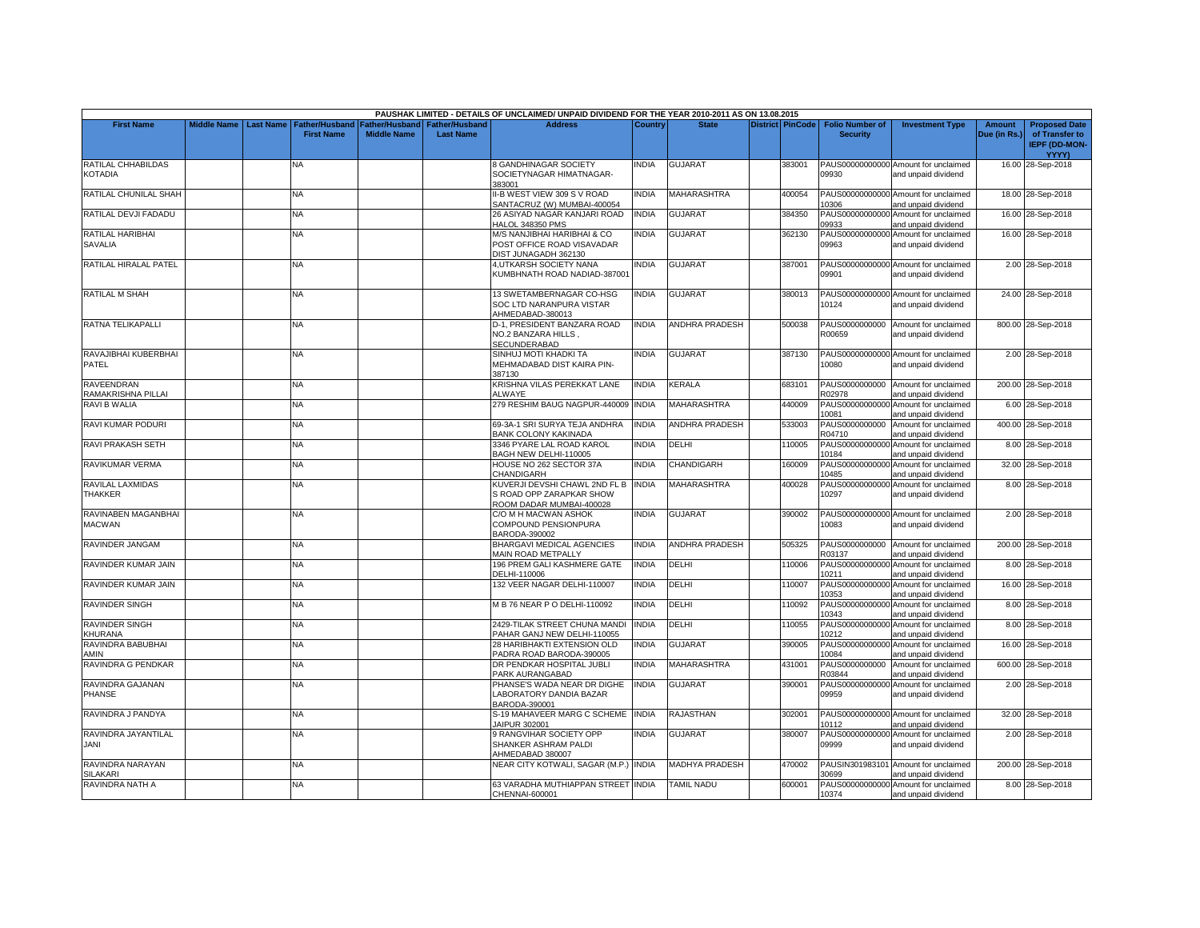|                                         |                    |                  |                                            |                                             |                                           | PAUSHAK LIMITED - DETAILS OF UNCLAIMED/ UNPAID DIVIDEND FOR THE YEAR 2010-2011 AS ON 13.08.2015 |                |                       |                         |                                           |                                                             |                               |                                                                |
|-----------------------------------------|--------------------|------------------|--------------------------------------------|---------------------------------------------|-------------------------------------------|-------------------------------------------------------------------------------------------------|----------------|-----------------------|-------------------------|-------------------------------------------|-------------------------------------------------------------|-------------------------------|----------------------------------------------------------------|
| <b>First Name</b>                       | <b>Middle Name</b> | <b>Last Name</b> | <b>Father/Husband</b><br><b>First Name</b> | <b>Father/Husband</b><br><b>Middle Name</b> | <b>Father/Husband</b><br><b>Last Name</b> | <b>Address</b>                                                                                  | <b>Country</b> | <b>State</b>          | <b>District PinCode</b> | <b>Folio Number of</b><br><b>Security</b> | <b>Investment Type</b>                                      | <b>Amount</b><br>Due (in Rs.) | <b>Proposed Date</b><br>of Transfer to<br><b>IEPF (DD-MON-</b> |
| RATILAL CHHABILDAS<br><b>KOTADIA</b>    |                    |                  | NA                                         |                                             |                                           | <b>8 GANDHINAGAR SOCIETY</b><br>SOCIETYNAGAR HIMATNAGAR-<br>383001                              | <b>NDIA</b>    | <b>GUJARAT</b>        | 383001                  | 09930                                     | PAUS00000000000 Amount for unclaimed<br>and unpaid dividend |                               | YYYY)<br>16.00 28-Sep-2018                                     |
| RATILAL CHUNILAL SHAH                   |                    |                  | NA.                                        |                                             |                                           | II-B WEST VIEW 309 S V ROAD<br>SANTACRUZ (W) MUMBAI-400054                                      | <b>NDIA</b>    | <b>MAHARASHTRA</b>    | 400054                  | 10306                                     | PAUS00000000000 Amount for unclaimed<br>and unpaid dividend |                               | 18.00 28-Sep-2018                                              |
| RATILAL DEVJI FADADU                    |                    |                  | NA                                         |                                             |                                           | 26 ASIYAD NAGAR KANJARI ROAD<br>HALOL 348350 PMS                                                | <b>INDIA</b>   | <b>GUJARAT</b>        | 384350                  | 09933                                     | PAUS00000000000 Amount for unclaimed<br>and unpaid dividend |                               | 16.00 28-Sep-2018                                              |
| RATILAL HARIBHAI<br><b>SAVALIA</b>      |                    |                  | NA                                         |                                             |                                           | M/S NANJIBHAI HARIBHAI & CO<br>POST OFFICE ROAD VISAVADAR<br>DIST JUNAGADH 362130               | <b>NDIA</b>    | <b>GUJARAT</b>        | 362130                  | 09963                                     | PAUS00000000000 Amount for unclaimed<br>and unpaid dividend |                               | 16.00 28-Sep-2018                                              |
| RATILAL HIRALAL PATEL                   |                    |                  | NA                                         |                                             |                                           | 4, UTKARSH SOCIETY NANA<br>KUMBHNATH ROAD NADIAD-387001                                         | INDIA          | <b>GUJARAT</b>        | 387001                  | 09901                                     | PAUS00000000000 Amount for unclaimed<br>and unpaid dividend |                               | 2.00 28-Sep-2018                                               |
| RATILAL M SHAH                          |                    |                  | NA                                         |                                             |                                           | 13 SWETAMBERNAGAR CO-HSG<br>SOC LTD NARANPURA VISTAR<br>AHMEDABAD-380013                        | <b>NDIA</b>    | <b>GUJARAT</b>        | 380013                  | 10124                                     | PAUS00000000000 Amount for unclaimed<br>and unpaid dividend |                               | 24.00 28-Sep-2018                                              |
| RATNA TELIKAPALLI                       |                    |                  | NΑ                                         |                                             |                                           | D-1, PRESIDENT BANZARA ROAD<br>NO.2 BANZARA HILLS,<br>SECUNDERABAD                              | INDIA          | <b>ANDHRA PRADESH</b> | 500038                  | R00659                                    | PAUS0000000000 Amount for unclaimed<br>and unpaid dividend  |                               | 800.00 28-Sep-2018                                             |
| RAVAJIBHAI KUBERBHAI<br>PATEL           |                    |                  | <b>NA</b>                                  |                                             |                                           | SINHUJ MOTI KHADKI TA<br>MEHMADABAD DIST KAIRA PIN-<br>387130                                   | <b>NDIA</b>    | <b>GUJARAT</b>        | 387130                  | 10080                                     | PAUS00000000000 Amount for unclaimed<br>and unpaid dividend |                               | 2.00 28-Sep-2018                                               |
| <b>RAVEENDRAN</b><br>RAMAKRISHNA PILLAI |                    |                  | <b>NA</b>                                  |                                             |                                           | KRISHNA VILAS PEREKKAT LANE<br><b>ALWAYE</b>                                                    | <b>INDIA</b>   | KERALA                | 683101                  | R02978                                    | PAUS0000000000 Amount for unclaimed<br>and unpaid dividend  |                               | 200.00 28-Sep-2018                                             |
| RAVI B WALIA                            |                    |                  | NA                                         |                                             |                                           | 279 RESHIM BAUG NAGPUR-440009                                                                   | <b>INDIA</b>   | <b>MAHARASHTRA</b>    | 440009                  | PAUS00000000000<br>10081                  | Amount for unclaimed<br>and unpaid dividend                 |                               | 6.00 28-Sep-2018                                               |
| <b>RAVI KUMAR PODURI</b>                |                    |                  | <b>NA</b>                                  |                                             |                                           | 69-3A-1 SRI SURYA TEJA ANDHRA<br>BANK COLONY KAKINADA                                           | <b>INDIA</b>   | <b>ANDHRA PRADESH</b> | 533003                  | PAUS0000000000<br>R04710                  | Amount for unclaimed<br>and unpaid dividend                 |                               | 400.00 28-Sep-2018                                             |
| RAVI PRAKASH SETH                       |                    |                  | NA                                         |                                             |                                           | 3346 PYARE LAL ROAD KAROL<br>BAGH NEW DELHI-110005                                              | <b>INDIA</b>   | DELHI                 | 110005                  | PAUS00000000000<br>10184                  | Amount for unclaimed<br>and unpaid dividend                 |                               | 8.00 28-Sep-2018                                               |
| <b>RAVIKUMAR VERMA</b>                  |                    |                  | NA                                         |                                             |                                           | HOUSE NO 262 SECTOR 37A<br>CHANDIGARH                                                           | NDIA           | CHANDIGARH            | 160009                  | PAUS00000000000<br>10485                  | Amount for unclaimed<br>and unpaid dividend                 |                               | 32.00 28-Sep-2018                                              |
| RAVILAL LAXMIDAS<br><b>THAKKER</b>      |                    |                  | <b>NA</b>                                  |                                             |                                           | KUVERJI DEVSHI CHAWL 2ND FL B INDIA<br>S ROAD OPP ZARAPKAR SHOW<br>ROOM DADAR MUMBAI-400028     |                | <b>MAHARASHTRA</b>    | 400028                  | 10297                                     | PAUS00000000000 Amount for unclaimed<br>and unpaid dividend |                               | 8.00 28-Sep-2018                                               |
| RAVINABEN MAGANBHAI<br><b>MACWAN</b>    |                    |                  | NA                                         |                                             |                                           | C/O M H MACWAN ASHOK<br>COMPOUND PENSIONPURA<br>BARODA-390002                                   | INDIA          | <b>GUJARAT</b>        | 390002                  | 10083                                     | PAUS00000000000 Amount for unclaimed<br>and unpaid dividend |                               | 2.00 28-Sep-2018                                               |
| RAVINDER JANGAM                         |                    |                  | <b>NA</b>                                  |                                             |                                           | BHARGAVI MEDICAL AGENCIES<br>MAIN ROAD METPALLY                                                 | <b>INDIA</b>   | <b>ANDHRA PRADESH</b> | 505325                  | R03137                                    | PAUS0000000000 Amount for unclaimed<br>and unpaid dividend  |                               | 200.00 28-Sep-2018                                             |
| RAVINDER KUMAR JAIN                     |                    |                  | NA                                         |                                             |                                           | 196 PREM GALI KASHMERE GATE<br>DELHI-110006                                                     | <b>INDIA</b>   | DELHI                 | 110006                  | 10211                                     | PAUS00000000000 Amount for unclaimed<br>and unpaid dividend |                               | 8.00 28-Sep-2018                                               |
| RAVINDER KUMAR JAIN                     |                    |                  | NA                                         |                                             |                                           | 132 VEER NAGAR DELHI-110007                                                                     | <b>NDIA</b>    | DELHI                 | 110007                  | PAUS00000000000<br>10353                  | Amount for unclaimed<br>and unpaid dividend                 |                               | 16.00 28-Sep-2018                                              |
| <b>RAVINDER SINGH</b>                   |                    |                  | <b>NA</b>                                  |                                             |                                           | M B 76 NEAR P O DELHI-110092                                                                    | <b>INDIA</b>   | DELHI                 | 110092                  | 10343                                     | PAUS00000000000 Amount for unclaimed<br>and unpaid dividend |                               | 8.00 28-Sep-2018                                               |
| <b>RAVINDER SINGH</b><br><b>CHURANA</b> |                    |                  | NA                                         |                                             |                                           | 2429-TILAK STREET CHUNA MAND<br>PAHAR GANJ NEW DELHI-110055                                     | <b>INDIA</b>   | DELHI                 | 110055                  | PAUS00000000000<br>10212                  | Amount for unclaimed<br>and unpaid dividend                 |                               | 8.00 28-Sep-2018                                               |
| RAVINDRA BABUBHAI<br><b>AMIN</b>        |                    |                  | NA.                                        |                                             |                                           | 28 HARIBHAKTI EXTENSION OLD<br>PADRA ROAD BARODA-390005                                         | <b>NDIA</b>    | <b>GUJARAT</b>        | 390005                  | PAUS0000000000<br>10084                   | Amount for unclaimed<br>and unpaid dividend                 |                               | 16.00 28-Sep-2018                                              |
| RAVINDRA G PENDKAR                      |                    |                  | NA                                         |                                             |                                           | DR PENDKAR HOSPITAL JUBLI<br>PARK AURANGABAD                                                    | <b>NDIA</b>    | MAHARASHTRA           | 431001                  | PAUS0000000000<br>R03844                  | Amount for unclaimed<br>and unpaid dividend                 |                               | 600.00 28-Sep-2018                                             |
| RAVINDRA GAJANAN<br><b>PHANSE</b>       |                    |                  | <b>NA</b>                                  |                                             |                                           | PHANSE'S WADA NEAR DR DIGHE<br>LABORATORY DANDIA BAZAR<br>BARODA-390001                         | <b>INDIA</b>   | <b>GUJARAT</b>        | 390001                  | PAUS00000000000<br>09959                  | Amount for unclaimed<br>and unpaid dividend                 |                               | 2.00 28-Sep-2018                                               |
| RAVINDRA J PANDYA                       |                    |                  | NA                                         |                                             |                                           | S-19 MAHAVEER MARG C SCHEME INDIA<br>JAIPUR 302001                                              |                | RAJASTHAN             | 302001                  | 10112                                     | PAUS00000000000 Amount for unclaimed<br>and unpaid dividend |                               | 32.00 28-Sep-2018                                              |
| RAVINDRA JAYANTILAL<br>JANI             |                    |                  | NA.                                        |                                             |                                           | 9 RANGVIHAR SOCIETY OPP<br>SHANKER ASHRAM PALDI<br>AHMEDABAD 380007                             | INDIA          | <b>GUJARAT</b>        | 380007                  | PAUS00000000000<br>09999                  | Amount for unclaimed<br>and unpaid dividend                 |                               | 2.00 28-Sep-2018                                               |
| RAVINDRA NARAYAN<br><b>SILAKARI</b>     |                    |                  | NA                                         |                                             |                                           | NEAR CITY KOTWALI, SAGAR (M.P.) INDIA                                                           |                | <b>MADHYA PRADESH</b> | 470002                  | 30699                                     | PAUSIN301983101 Amount for unclaimed<br>and unpaid dividend |                               | 200.00 28-Sep-2018                                             |
| RAVINDRA NATH A                         |                    |                  | <b>NA</b>                                  |                                             |                                           | 63 VARADHA MUTHIAPPAN STREET INDIA<br>CHENNAI-600001                                            |                | <b>TAMIL NADU</b>     | 600001                  | 10374                                     | PAUS00000000000 Amount for unclaimed<br>and unpaid dividend |                               | 8.00 28-Sep-2018                                               |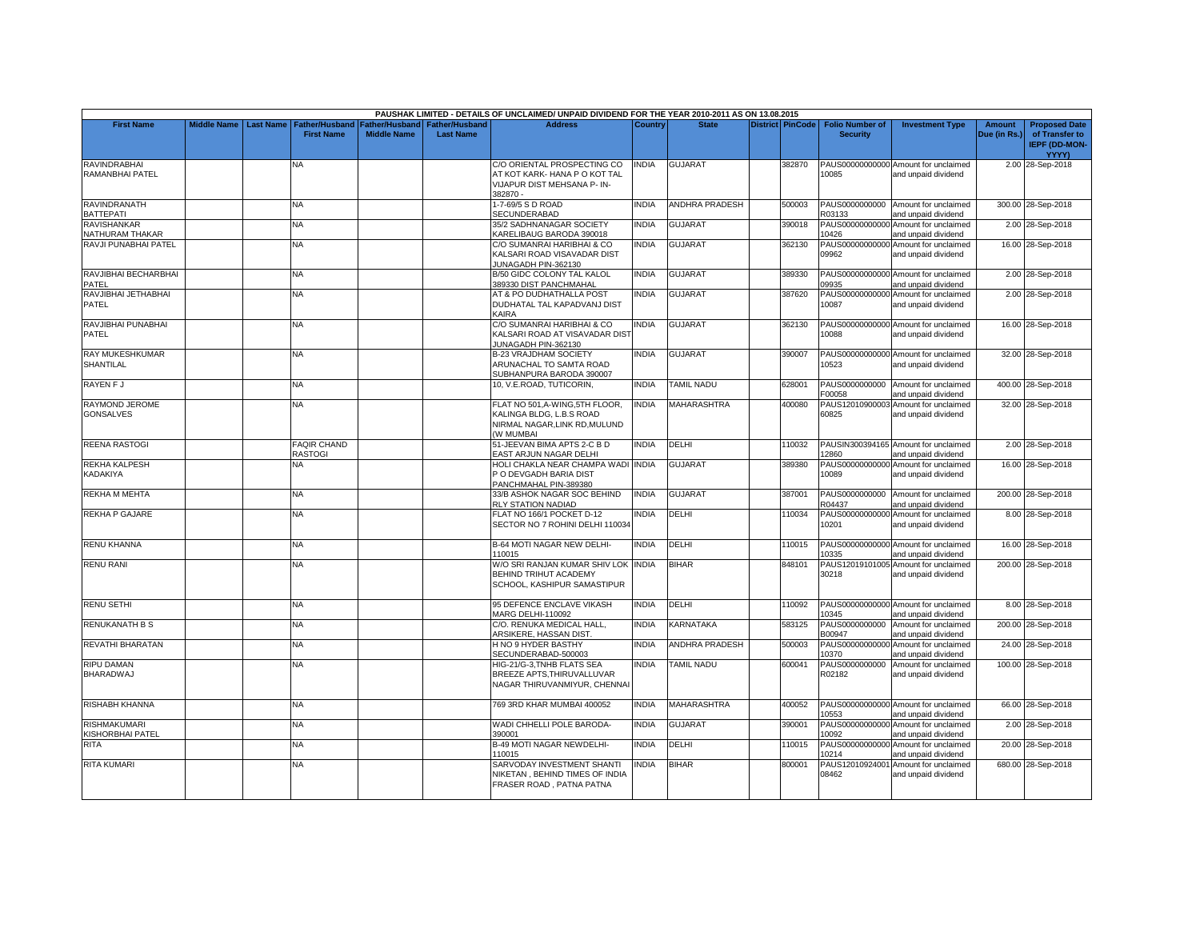|                                            |                    |                  |                                            |                                             |                                           | PAUSHAK LIMITED - DETAILS OF UNCLAIMED/ UNPAID DIVIDEND FOR THE YEAR 2010-2011 AS ON 13.08.2015                |                |                       |                  |                                           |                                                             |                               |                                                                |
|--------------------------------------------|--------------------|------------------|--------------------------------------------|---------------------------------------------|-------------------------------------------|----------------------------------------------------------------------------------------------------------------|----------------|-----------------------|------------------|-------------------------------------------|-------------------------------------------------------------|-------------------------------|----------------------------------------------------------------|
| <b>First Name</b>                          | <b>Middle Name</b> | <b>Last Name</b> | <b>Father/Husband</b><br><b>First Name</b> | <b>Father/Husband</b><br><b>Middle Name</b> | <b>Father/Husband</b><br><b>Last Name</b> | <b>Address</b>                                                                                                 | <b>Country</b> | <b>State</b>          | District PinCode | <b>Folio Number of</b><br><b>Security</b> | <b>Investment Type</b>                                      | <b>Amount</b><br>Due (in Rs.) | <b>Proposed Date</b><br>of Transfer to<br><b>IEPF (DD-MON-</b> |
| <b>RAVINDRABHAI</b><br>RAMANBHAI PATEL     |                    |                  | NA                                         |                                             |                                           | C/O ORIENTAL PROSPECTING CO<br>AT KOT KARK- HANA P O KOT TAL<br><b>VIJAPUR DIST MEHSANA P- IN-</b><br>382870 - | <b>INDIA</b>   | <b>GUJARAT</b>        | 382870           | 10085                                     | PAUS00000000000 Amount for unclaimed<br>and unpaid dividend |                               | YYYY)<br>2.00 28-Sep-2018                                      |
| RAVINDRANATH<br><b>BATTEPATI</b>           |                    |                  | <b>NA</b>                                  |                                             |                                           | 1-7-69/5 S D ROAD<br>SECUNDERABAD                                                                              | <b>INDIA</b>   | ANDHRA PRADESH        | 500003           | R03133                                    | PAUS0000000000 Amount for unclaimed<br>and unpaid dividend  |                               | 300.00 28-Sep-2018                                             |
| <b>RAVISHANKAR</b><br>NATHURAM THAKAR      |                    |                  | NA.                                        |                                             |                                           | 35/2 SADHNANAGAR SOCIETY<br>KARELIBAUG BARODA 390018                                                           | <b>INDIA</b>   | GUJARAT               | 390018           | 10426                                     | PAUS00000000000 Amount for unclaimed<br>and unpaid dividend |                               | 2.00 28-Sep-2018                                               |
| RAVJI PUNABHAI PATEL                       |                    |                  | <b>NA</b>                                  |                                             |                                           | C/O SUMANRAI HARIBHAI & CO<br>KALSARI ROAD VISAVADAR DIST<br>JUNAGADH PIN-362130                               | <b>INDIA</b>   | <b>GUJARAT</b>        | 362130           | 09962                                     | PAUS00000000000 Amount for unclaimed<br>and unpaid dividend |                               | 16.00 28-Sep-2018                                              |
| RAVJIBHAI BECHARBHAI<br>PATEL              |                    |                  | NA                                         |                                             |                                           | <b>B/50 GIDC COLONY TAL KALOL</b><br>389330 DIST PANCHMAHAL                                                    | <b>INDIA</b>   | <b>GUJARAT</b>        | 389330           | 09935                                     | PAUS00000000000 Amount for unclaimed<br>and unpaid dividend |                               | 2.00 28-Sep-2018                                               |
| RAVJIBHAI JETHABHAI<br><b>PATEL</b>        |                    |                  | <b>NA</b>                                  |                                             |                                           | AT & PO DUDHATHALLA POST<br>DUDHATAL TAL KAPADVANJ DIST<br><b>KAIRA</b>                                        | <b>INDIA</b>   | GUJARAT               | 387620           | 10087                                     | PAUS00000000000 Amount for unclaimed<br>and unpaid dividend |                               | 2.00 28-Sep-2018                                               |
| RAVJIBHAI PUNABHAI<br>PATEL                |                    |                  | <b>NA</b>                                  |                                             |                                           | C/O SUMANRAI HARIBHAI & CO<br>KALSARI ROAD AT VISAVADAR DIST<br>JUNAGADH PIN-362130                            | <b>INDIA</b>   | <b>GUJARAT</b>        | 362130           | 10088                                     | PAUS00000000000 Amount for unclaimed<br>and unpaid dividend |                               | 16.00 28-Sep-2018                                              |
| <b>RAY MUKESHKUMAR</b><br><b>SHANTILAL</b> |                    |                  | <b>NA</b>                                  |                                             |                                           | <b>B-23 VRAJDHAM SOCIETY</b><br>ARUNACHAL TO SAMTA ROAD<br>SUBHANPURA BARODA 390007                            | <b>INDIA</b>   | <b>GUJARAT</b>        | 390007           | 10523                                     | PAUS00000000000 Amount for unclaimed<br>and unpaid dividend |                               | 32.00 28-Sep-2018                                              |
| RAYEN F J                                  |                    |                  | <b>NA</b>                                  |                                             |                                           | 10, V.E.ROAD, TUTICORIN,                                                                                       | <b>INDIA</b>   | <b>TAMIL NADU</b>     | 628001           | F00058                                    | PAUS0000000000 Amount for unclaimed<br>and unpaid dividend  |                               | 400.00 28-Sep-2018                                             |
| RAYMOND JEROME<br><b>GONSALVES</b>         |                    |                  | <b>NA</b>                                  |                                             |                                           | FLAT NO 501, A-WING, 5TH FLOOR,<br>KALINGA BLDG, L.B.S ROAD<br>NIRMAL NAGAR,LINK RD,MULUND<br>W MUMBAI         | <b>INDIA</b>   | <b>MAHARASHTRA</b>    | 400080           | PAUS12010900003<br>60825                  | Amount for unclaimed<br>and unpaid dividend                 |                               | 32.00 28-Sep-2018                                              |
| <b>REENA RASTOGI</b>                       |                    |                  | <b>FAQIR CHAND</b><br>RASTOGI              |                                             |                                           | 51-JEEVAN BIMA APTS 2-C B D<br>EAST ARJUN NAGAR DELHI                                                          | <b>INDIA</b>   | <b>DELHI</b>          | 110032           | 12860                                     | PAUSIN300394165 Amount for unclaimed<br>and unpaid dividend |                               | 2.00 28-Sep-2018                                               |
| <b>REKHA KALPESH</b><br><b>KADAKIYA</b>    |                    |                  | NA                                         |                                             |                                           | HOLI CHAKLA NEAR CHAMPA WADI INDIA<br>P O DEVGADH BARIA DIST<br>PANCHMAHAL PIN-389380                          |                | <b>GUJARAT</b>        | 389380           | 10089                                     | PAUS00000000000 Amount for unclaimed<br>and unpaid dividend |                               | 16.00 28-Sep-2018                                              |
| REKHA M MEHTA                              |                    |                  | <b>NA</b>                                  |                                             |                                           | 33/B ASHOK NAGAR SOC BEHIND<br>RLY STATION NADIAD                                                              | <b>INDIA</b>   | <b>GUJARAT</b>        | 387001           | PAUS0000000000<br>R04437                  | Amount for unclaimed<br>and unpaid dividend                 |                               | 200.00 28-Sep-2018                                             |
| REKHA P GAJARE                             |                    |                  | NA                                         |                                             |                                           | <b>ELAT NO 166/1 POCKET D-12</b><br>SECTOR NO 7 ROHINI DELHI 110034                                            | <b>INDIA</b>   | DELHI                 | 10034            | PAUS00000000000<br>10201                  | Amount for unclaimed<br>and unpaid dividend                 |                               | 8.00 28-Sep-2018                                               |
| <b>RENU KHANNA</b>                         |                    |                  | NA.                                        |                                             |                                           | B-64 MOTI NAGAR NEW DELHI-<br>110015                                                                           | <b>INDIA</b>   | DELHI                 | 110015           | 10335                                     | PAUS00000000000 Amount for unclaimed<br>and unpaid dividend |                               | 16.00 28-Sep-2018                                              |
| <b>RENU RANI</b>                           |                    |                  | NA                                         |                                             |                                           | W/O SRI RANJAN KUMAR SHIV LOK INDIA<br>BEHIND TRIHUT ACADEMY<br>SCHOOL, KASHIPUR SAMASTIPUR                    |                | <b>BIHAR</b>          | 848101           | 30218                                     | PAUS12019101005 Amount for unclaimed<br>and unpaid dividend |                               | 200.00 28-Sep-2018                                             |
| <b>RENU SETHI</b>                          |                    |                  | <b>NA</b>                                  |                                             |                                           | 95 DEFENCE ENCLAVE VIKASH<br><b>MARG DELHI-110092</b>                                                          | <b>INDIA</b>   | DELHI                 | 110092           | 10345                                     | PAUS00000000000 Amount for unclaimed<br>and unpaid dividend |                               | 8.00 28-Sep-2018                                               |
| <b>RENUKANATH B S</b>                      |                    |                  | <b>NA</b>                                  |                                             |                                           | C/O. RENUKA MEDICAL HALL,<br>ARSIKERE, HASSAN DIST.                                                            | <b>INDIA</b>   | <b>KARNATAKA</b>      | 583125           | PAUS0000000000<br>B00947                  | Amount for unclaimed<br>and unpaid dividend                 |                               | 200.00 28-Sep-2018                                             |
| REVATHI BHARATAN                           |                    |                  | NA                                         |                                             |                                           | H NO 9 HYDER BASTHY<br>SECUNDERABAD-500003                                                                     | <b>INDIA</b>   | <b>ANDHRA PRADESH</b> | 500003           | PAUS00000000000<br>10370                  | Amount for unclaimed<br>and unpaid dividend                 |                               | 24.00 28-Sep-2018                                              |
| <b>RIPU DAMAN</b><br><b>BHARADWAJ</b>      |                    |                  | NA                                         |                                             |                                           | HIG-21/G-3, TNHB FLATS SEA<br>BREEZE APTS, THIRUVALLUVAR<br>NAGAR THIRUVANMIYUR, CHENNAI                       | <b>INDIA</b>   | TAMIL NADU            | 600041           | PAUS0000000000<br>R02182                  | Amount for unclaimed<br>and unpaid dividend                 |                               | 100.00 28-Sep-2018                                             |
| RISHABH KHANNA                             |                    |                  | <b>NA</b>                                  |                                             |                                           | 769 3RD KHAR MUMBAI 400052                                                                                     | <b>INDIA</b>   | <b>MAHARASHTRA</b>    | 400052           | 10553                                     | PAUS00000000000 Amount for unclaimed<br>and unpaid dividend |                               | 66.00 28-Sep-2018                                              |
| <b>RISHMAKUMARI</b><br>KISHORBHAI PATEL    |                    |                  | NA                                         |                                             |                                           | WADI CHHELLI POLE BARODA-<br>390001                                                                            | <b>INDIA</b>   | <b>GUJARAT</b>        | 390001           | PAUS00000000000<br>10092                  | Amount for unclaimed<br>and unpaid dividend                 |                               | 2.00 28-Sep-2018                                               |
| <b>RITA</b>                                |                    |                  | NA                                         |                                             |                                           | <b>B-49 MOTI NAGAR NEWDELHI-</b><br>110015                                                                     | <b>INDIA</b>   | <b>DELHI</b>          | 110015           | PAUS00000000000<br>10214                  | Amount for unclaimed<br>and unpaid dividend                 |                               | 20.00 28-Sep-2018                                              |
| <b>RITA KUMARI</b>                         |                    |                  | NA                                         |                                             |                                           | SARVODAY INVESTMENT SHANTI<br>NIKETAN, BEHIND TIMES OF INDIA<br>FRASER ROAD, PATNA PATNA                       | INDIA          | <b>BIHAR</b>          | 800001           | PAUS12010924001<br>08462                  | Amount for unclaimed<br>and unpaid dividend                 |                               | 680.00 28-Sep-2018                                             |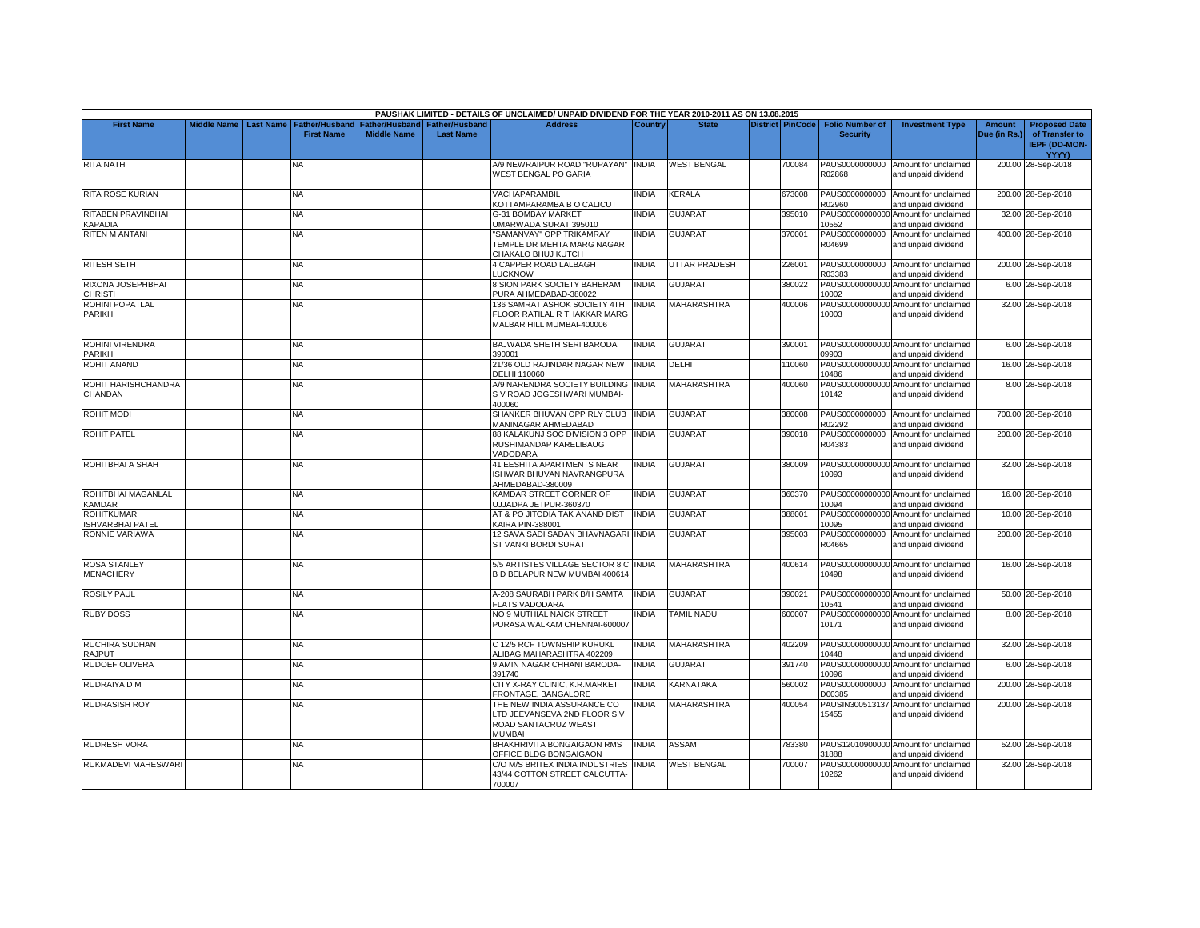|                                                   |                    |                  |                                     |                                      |                                           | PAUSHAK LIMITED - DETAILS OF UNCLAIMED/ UNPAID DIVIDEND FOR THE YEAR 2010-2011 AS ON 13.08.2015    |                |                    |        |                                                     |                                                             |                               |                                                                                |
|---------------------------------------------------|--------------------|------------------|-------------------------------------|--------------------------------------|-------------------------------------------|----------------------------------------------------------------------------------------------------|----------------|--------------------|--------|-----------------------------------------------------|-------------------------------------------------------------|-------------------------------|--------------------------------------------------------------------------------|
| <b>First Name</b>                                 | <b>Middle Name</b> | <b>Last Name</b> | Father/Husband<br><b>First Name</b> | Father/Husband<br><b>Middle Name</b> | <b>Father/Husband</b><br><b>Last Name</b> | <b>Address</b>                                                                                     | <b>Country</b> | <b>State</b>       |        | District PinCode Folio Number of<br><b>Security</b> | <b>Investment Type</b>                                      | <b>Amount</b><br>Due (in Rs.) | <b>Proposed Date</b><br>of Transfer to<br><b>IEPF (DD-MON-</b><br><b>YYYY)</b> |
| <b>RITA NATH</b>                                  |                    |                  | NA                                  |                                      |                                           | 4/9 NEWRAIPUR ROAD "RUPAYAN" INDIA<br>WEST BENGAL PO GARIA                                         |                | <b>WEST BENGAL</b> | 700084 | R02868                                              | PAUS0000000000 Amount for unclaimed<br>and unpaid dividend  |                               | 200.00 28-Sep-2018                                                             |
| <b>RITA ROSE KURIAN</b>                           |                    |                  | <b>NA</b>                           |                                      |                                           | VACHAPARAMBIL<br>KOTTAMPARAMBA B O CALICUT                                                         | <b>INDIA</b>   | <b>KERALA</b>      | 673008 | R02960                                              | PAUS0000000000 Amount for unclaimed<br>and unpaid dividend  |                               | 200.00 28-Sep-2018                                                             |
| RITABEN PRAVINBHAI<br><b><i><u>APADIA</u></i></b> |                    |                  | NA                                  |                                      |                                           | <b>G-31 BOMBAY MARKET</b><br>JMARWADA SURAT 395010                                                 | <b>INDIA</b>   | <b>GUJARAT</b>     | 395010 | 10552                                               | PAUS00000000000 Amount for unclaimed<br>and unpaid dividend |                               | 32.00 28-Sep-2018                                                              |
| <b>RITEN M ANTANI</b>                             |                    |                  | <b>NA</b>                           |                                      |                                           | 'SAMANVAY" OPP TRIKAMRAY<br>TEMPLE DR MEHTA MARG NAGAR<br>CHAKALO BHUJ KUTCH                       | <b>INDIA</b>   | <b>GUJARAT</b>     | 370001 | PAUS0000000000<br>R04699                            | Amount for unclaimed<br>and unpaid dividend                 |                               | 400.00 28-Sep-2018                                                             |
| <b>RITESH SETH</b>                                |                    |                  | NA                                  |                                      |                                           | <b>4 CAPPER ROAD LALBAGH</b><br><b>LUCKNOW</b>                                                     | <b>INDIA</b>   | UTTAR PRADESH      | 226001 | R03383                                              | PAUS0000000000 Amount for unclaimed<br>and unpaid dividend  |                               | 200.00 28-Sep-2018                                                             |
| RIXONA JOSEPHBHAI<br><b>CHRISTI</b>               |                    |                  | NA                                  |                                      |                                           | <b>3 SION PARK SOCIETY BAHERAM</b><br>PURA AHMEDABAD-380022                                        | <b>INDIA</b>   | <b>GUJARAT</b>     | 380022 | PAUS00000000000<br>10002                            | Amount for unclaimed<br>and unpaid dividend                 |                               | 6.00 28-Sep-2018                                                               |
| ROHINI POPATLAL<br>PARIKH                         |                    |                  | NA                                  |                                      |                                           | 136 SAMRAT ASHOK SOCIETY 4TH<br>FLOOR RATILAL R THAKKAR MARG<br>MALBAR HILL MUMBAI-400006          | <b>INDIA</b>   | <b>MAHARASHTRA</b> | 400006 | PAUS00000000000<br>10003                            | Amount for unclaimed<br>and unpaid dividend                 |                               | 32.00 28-Sep-2018                                                              |
| ROHINI VIRENDRA<br>PARIKH                         |                    |                  | <b>NA</b>                           |                                      |                                           | BAJWADA SHETH SERI BARODA<br>390001                                                                | <b>INDIA</b>   | <b>GUJARAT</b>     | 390001 | 09903                                               | PAUS00000000000 Amount for unclaimed<br>and unpaid dividend |                               | 6.00 28-Sep-2018                                                               |
| <b>ROHIT ANAND</b>                                |                    |                  | NA.                                 |                                      |                                           | 21/36 OLD RAJINDAR NAGAR NEW<br>DELHI 110060                                                       | <b>INDIA</b>   | DELHI              | 110060 | 10486                                               | PAUS00000000000 Amount for unclaimed<br>and unpaid dividend |                               | 16.00 28-Sep-2018                                                              |
| ROHIT HARISHCHANDRA<br>CHANDAN                    |                    |                  | <b>NA</b>                           |                                      |                                           | <b>4/9 NARENDRA SOCIETY BUILDING INDIA</b><br>S V ROAD JOGESHWARI MUMBAI-<br>400060                |                | <b>MAHARASHTRA</b> | 400060 | 10142                                               | PAUS00000000000 Amount for unclaimed<br>and unpaid dividend |                               | 8.00 28-Sep-2018                                                               |
| <b>ROHIT MODI</b>                                 |                    |                  | NA.                                 |                                      |                                           | SHANKER BHUVAN OPP RLY CLUB INDIA<br><b>MANINAGAR AHMEDABAD</b>                                    |                | <b>GUJARAT</b>     | 380008 | R02292                                              | PAUS0000000000 Amount for unclaimed<br>and unpaid dividend  |                               | 700.00 28-Sep-2018                                                             |
| <b>ROHIT PATEL</b>                                |                    |                  | <b>NA</b>                           |                                      |                                           | <b>38 KALAKUNJ SOC DIVISION 3 OPP</b><br>RUSHIMANDAP KARELIBAUG<br>VADODARA                        | <b>INDIA</b>   | <b>GUJARAT</b>     | 390018 | PAUS0000000000<br>R04383                            | Amount for unclaimed<br>and unpaid dividend                 |                               | 200.00 28-Sep-2018                                                             |
| ROHITBHAI A SHAH                                  |                    |                  | NA.                                 |                                      |                                           | <b>41 EESHITA APARTMENTS NEAR</b><br>ISHWAR BHUVAN NAVRANGPURA<br>AHMEDABAD-380009                 | <b>INDIA</b>   | <b>GUJARAT</b>     | 380009 | 10093                                               | PAUS00000000000 Amount for unclaimed<br>and unpaid dividend |                               | 32.00 28-Sep-2018                                                              |
| ROHITBHAI MAGANLAL<br>KAMDAR                      |                    |                  | NA                                  |                                      |                                           | KAMDAR STREET CORNER OF<br>JJJADPA JETPUR-360370                                                   | <b>INDIA</b>   | <b>GUJARAT</b>     | 360370 | 10094                                               | PAUS00000000000 Amount for unclaimed<br>and unpaid dividend |                               | 16.00 28-Sep-2018                                                              |
| <b>ROHITKUMAR</b><br><b>ISHVARBHAI PATEL</b>      |                    |                  | NA.                                 |                                      |                                           | AT & PO JITODIA TAK ANAND DIST<br><b>KAIRA PIN-388001</b>                                          | <b>INDIA</b>   | <b>GUJARAT</b>     | 388001 | PAUS00000000000<br>10095                            | Amount for unclaimed<br>and unpaid dividend                 |                               | 10.00 28-Sep-2018                                                              |
| RONNIE VARIAWA                                    |                    |                  | <b>NA</b>                           |                                      |                                           | 12 SAVA SADI SADAN BHAVNAGARI INDIA<br>ST VANKI BORDI SURAT                                        |                | <b>GUJARAT</b>     | 395003 | PAUS0000000000<br>R04665                            | Amount for unclaimed<br>and unpaid dividend                 |                               | 200.00 28-Sep-2018                                                             |
| <b>ROSA STANLEY</b><br><b>MENACHERY</b>           |                    |                  | NA                                  |                                      |                                           | 5/5 ARTISTES VILLAGE SECTOR 8 C INDIA<br>B D BELAPUR NEW MUMBAI 400614                             |                | MAHARASHTRA        | 400614 | 10498                                               | PAUS00000000000 Amount for unclaimed<br>and unpaid dividend |                               | 16.00 28-Sep-2018                                                              |
| <b>ROSILY PAUL</b>                                |                    |                  | NA                                  |                                      |                                           | A-208 SAURABH PARK B/H SAMTA<br><b>FLATS VADODARA</b>                                              | <b>INDIA</b>   | <b>GUJARAT</b>     | 390021 | 10541                                               | PAUS00000000000 Amount for unclaimed<br>and unpaid dividend |                               | 50.00 28-Sep-2018                                                              |
| <b>RUBY DOSS</b>                                  |                    |                  | NA                                  |                                      |                                           | NO 9 MUTHIAL NAICK STREET<br>PURASA WALKAM CHENNAI-600007                                          | INDIA          | TAMIL NADU         | 600007 | PAUS00000000000<br>10171                            | Amount for unclaimed<br>and unpaid dividend                 |                               | 8.00 28-Sep-2018                                                               |
| RUCHIRA SUDHAN<br><b>RAJPUT</b>                   |                    |                  | NA                                  |                                      |                                           | C 12/5 RCF TOWNSHIP KURUKL<br>ALIBAG MAHARASHTRA 402209                                            | <b>INDIA</b>   | <b>MAHARASHTRA</b> | 402209 | 10448                                               | PAUS00000000000 Amount for unclaimed<br>and unpaid dividend |                               | 32.00 28-Sep-2018                                                              |
| <b>RUDOEF OLIVERA</b>                             |                    |                  | NA.                                 |                                      |                                           | <b>9 AMIN NAGAR CHHANI BARODA-</b><br>391740                                                       | INDIA          | <b>GUJARAT</b>     | 391740 | PAUS00000000000<br>10096                            | Amount for unclaimed<br>and unpaid dividend                 |                               | 6.00 28-Sep-2018                                                               |
| RUDRAIYA D M                                      |                    |                  | NA                                  |                                      |                                           | CITY X-RAY CLINIC, K.R.MARKET<br>FRONTAGE, BANGALORE                                               | <b>INDIA</b>   | <b>KARNATAKA</b>   | 560002 | PAUS0000000000<br>D00385                            | Amount for unclaimed<br>and unpaid dividend                 |                               | 200.00 28-Sep-2018                                                             |
| <b>RUDRASISH ROY</b>                              |                    |                  | <b>NA</b>                           |                                      |                                           | THE NEW INDIA ASSURANCE CO<br>LTD JEEVANSEVA 2ND FLOOR SV<br>ROAD SANTACRUZ WEAST<br><b>MUMBAI</b> | <b>INDIA</b>   | <b>MAHARASHTRA</b> | 400054 | PAUSIN300513137<br>15455                            | Amount for unclaimed<br>and unpaid dividend                 |                               | 200.00 28-Sep-2018                                                             |
| RUDRESH VORA                                      |                    |                  | NA                                  |                                      |                                           | BHAKHRIVITA BONGAIGAON RMS<br>OFFICE BLDG BONGAIGAON                                               | <b>INDIA</b>   | ASSAM              | 783380 | 31888                                               | PAUS12010900000 Amount for unclaimed<br>and unpaid dividend |                               | 52.00 28-Sep-2018                                                              |
| RUKMADEVI MAHESWARI                               |                    |                  | NA                                  |                                      |                                           | C/O M/S BRITEX INDIA INDUSTRIES INDIA<br>43/44 COTTON STREET CALCUTTA-<br>700007                   |                | <b>WEST BENGAL</b> | 700007 | PAUS00000000000<br>10262                            | Amount for unclaimed<br>and unpaid dividend                 |                               | 32.00 28-Sep-2018                                                              |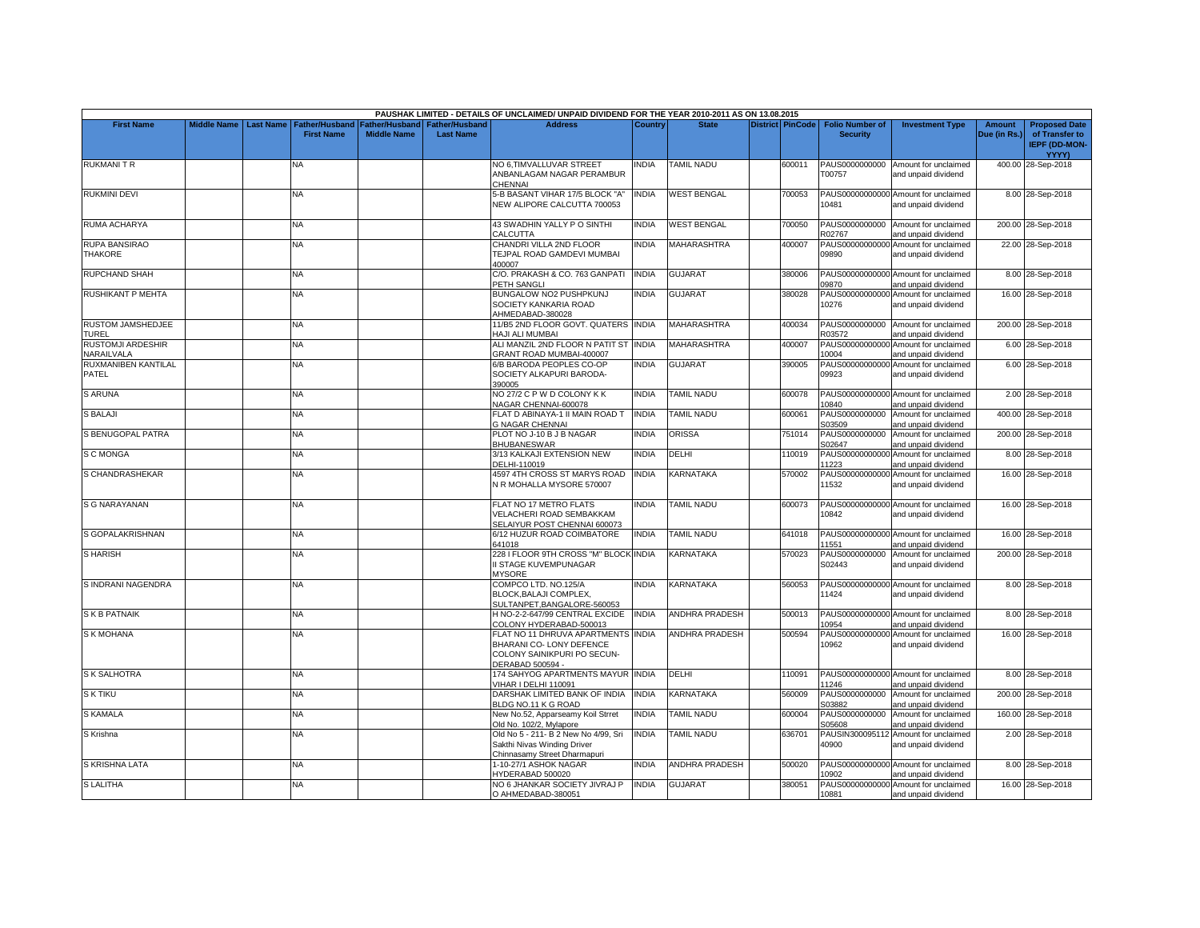|                                        |                    |                  |                                            |                                      |                                           | PAUSHAK LIMITED - DETAILS OF UNCLAIMED/ UNPAID DIVIDEND FOR THE YEAR 2010-2011 AS ON 13.08.2015                   |              |                       |                         |                                           |                                                             |                               |                                                                |
|----------------------------------------|--------------------|------------------|--------------------------------------------|--------------------------------------|-------------------------------------------|-------------------------------------------------------------------------------------------------------------------|--------------|-----------------------|-------------------------|-------------------------------------------|-------------------------------------------------------------|-------------------------------|----------------------------------------------------------------|
| <b>First Name</b>                      | <b>Middle Name</b> | <b>Last Name</b> | <b>Father/Husband</b><br><b>First Name</b> | Father/Husband<br><b>Middle Name</b> | <b>Father/Husband</b><br><b>Last Name</b> | <b>Address</b>                                                                                                    | Country      | <b>State</b>          | <b>District PinCode</b> | <b>Folio Number of</b><br><b>Security</b> | <b>Investment Type</b>                                      | <b>Amount</b><br>Due (in Rs.) | <b>Proposed Date</b><br>of Transfer to<br><b>IEPF (DD-MON-</b> |
| <b>RUKMANITR</b>                       |                    |                  | NA.                                        |                                      |                                           | NO 6,TIMVALLUVAR STREET<br>ANBANLAGAM NAGAR PERAMBUR<br>CHENNAI                                                   | INDIA        | <b>TAMIL NADU</b>     | 600011                  | PAUS0000000000<br>T00757                  | Amount for unclaimed<br>and unpaid dividend                 |                               | YYYY)<br>400.00 28-Sep-2018                                    |
| <b>RUKMINI DEVI</b>                    |                    |                  | NA.                                        |                                      |                                           | 5-B BASANT VIHAR 17/5 BLOCK "A'<br>NEW ALIPORE CALCUTTA 700053                                                    | <b>INDIA</b> | <b>WEST BENGAL</b>    | 700053                  | 10481                                     | PAUS00000000000 Amount for unclaimed<br>and unpaid dividend |                               | 8.00 28-Sep-2018                                               |
| <b>RUMA ACHARYA</b>                    |                    |                  | NA                                         |                                      |                                           | 43 SWADHIN YALLY P O SINTHI<br>CALCUTTA                                                                           | <b>INDIA</b> | <b>WEST BENGAL</b>    | 700050                  | R02767                                    | PAUS0000000000 Amount for unclaimed<br>and unpaid dividend  |                               | 200.00 28-Sep-2018                                             |
| <b>RUPA BANSIRAO</b><br><b>THAKORE</b> |                    |                  | <b>NA</b>                                  |                                      |                                           | CHANDRI VILLA 2ND FLOOR<br>TEJPAL ROAD GAMDEVI MUMBAI<br>400007                                                   | <b>INDIA</b> | <b>MAHARASHTRA</b>    | 400007                  | 09890                                     | PAUS00000000000 Amount for unclaimed<br>and unpaid dividend |                               | 22.00 28-Sep-2018                                              |
| <b>RUPCHAND SHAH</b>                   |                    |                  | <b>NA</b>                                  |                                      |                                           | C/O. PRAKASH & CO. 763 GANPATI<br><b>PETH SANGLI</b>                                                              | <b>INDIA</b> | <b>GUJARAT</b>        | 380006                  | 09870                                     | PAUS00000000000 Amount for unclaimed<br>and unpaid dividend |                               | 8.00 28-Sep-2018                                               |
| <b>RUSHIKANT P MEHTA</b>               |                    |                  | NA                                         |                                      |                                           | BUNGALOW NO2 PUSHPKUNJ<br>SOCIETY KANKARIA ROAD<br>AHMEDABAD-380028                                               | <b>INDIA</b> | <b>GUJARAT</b>        | 380028                  | 10276                                     | PAUS00000000000 Amount for unclaimed<br>and unpaid dividend |                               | 16.00 28-Sep-2018                                              |
| RUSTOM JAMSHEDJEE<br>TUREL             |                    |                  | NA                                         |                                      |                                           | 11/B5 2ND FLOOR GOVT. QUATERS INDIA<br>HAJI ALI MUMBAI                                                            |              | <b>MAHARASHTRA</b>    | 400034                  | PAUS0000000000<br>R03572                  | Amount for unclaimed<br>and unpaid dividend                 |                               | 200.00 28-Sep-2018                                             |
| <b>RUSTOMJI ARDESHIR</b><br>NARAILVALA |                    |                  | NA                                         |                                      |                                           | ALI MANZIL 2ND FLOOR N PATIT ST<br>GRANT ROAD MUMBAI-400007                                                       | <b>INDIA</b> | <b>MAHARASHTRA</b>    | 400007                  | PAUS00000000000<br>10004                  | Amount for unclaimed<br>and unpaid dividend                 |                               | 6.00 28-Sep-2018                                               |
| RUXMANIBEN KANTILAL<br>PATEL           |                    |                  | NA                                         |                                      |                                           | 6/B BARODA PEOPLES CO-OP<br>SOCIETY ALKAPURI BARODA-<br>390005                                                    | INDIA        | <b>GUJARAT</b>        | 390005                  | 09923                                     | PAUS00000000000 Amount for unclaimed<br>and unpaid dividend |                               | 6.00 28-Sep-2018                                               |
| <b>S ARUNA</b>                         |                    |                  | <b>NA</b>                                  |                                      |                                           | NO 27/2 C P W D COLONY K K<br>NAGAR CHENNAI-600078                                                                | <b>INDIA</b> | <b>TAMIL NADU</b>     | 600078                  | 10840                                     | PAUS00000000000 Amount for unclaimed<br>and unpaid dividend |                               | 2.00 28-Sep-2018                                               |
| <b>S BALAJI</b>                        |                    |                  | NA                                         |                                      |                                           | FLAT D ABINAYA-1 II MAIN ROAD T<br><b>G NAGAR CHENNAI</b>                                                         | INDIA        | TAMIL NADU            | 600061                  | PAUS0000000000<br>S03509                  | Amount for unclaimed<br>and unpaid dividend                 |                               | 400.00 28-Sep-2018                                             |
| S BENUGOPAL PATRA                      |                    |                  | NA                                         |                                      |                                           | PLOT NO J-10 B J B NAGAR<br><b>BHUBANESWAR</b>                                                                    | <b>INDIA</b> | <b>ORISSA</b>         | 751014                  | PAUS0000000000<br>S02647                  | Amount for unclaimed<br>and unpaid dividend                 |                               | 200.00 28-Sep-2018                                             |
| S C MONGA                              |                    |                  | <b>NA</b>                                  |                                      |                                           | 3/13 KALKAJI EXTENSION NEW<br>DELHI-110019                                                                        | <b>INDIA</b> | DELHI                 | 110019                  | PAUS00000000000<br>11223                  | Amount for unclaimed<br>and unpaid dividend                 |                               | 8.00 28-Sep-2018                                               |
| S CHANDRASHEKAR                        |                    |                  | NA                                         |                                      |                                           | 4597 4TH CROSS ST MARYS ROAD<br>N R MOHALLA MYSORE 570007                                                         | <b>INDIA</b> | KARNATAKA             | 570002                  | PAUS00000000000<br>11532                  | Amount for unclaimed<br>and unpaid dividend                 |                               | 16.00 28-Sep-2018                                              |
| S G NARAYANAN                          |                    |                  | <b>NA</b>                                  |                                      |                                           | FLAT NO 17 METRO FLATS<br>VELACHERI ROAD SEMBAKKAM<br>SELAIYUR POST CHENNAI 600073                                | <b>INDIA</b> | <b>TAMIL NADU</b>     | 600073                  | 10842                                     | PAUS00000000000 Amount for unclaimed<br>and unpaid dividend |                               | 16.00 28-Sep-2018                                              |
| S GOPALAKRISHNAN                       |                    |                  | <b>NA</b>                                  |                                      |                                           | 6/12 HUZUR ROAD COIMBATORE<br>641018                                                                              | <b>NDIA</b>  | <b>TAMIL NADU</b>     | 641018                  | 11551                                     | PAUS00000000000 Amount for unclaimed<br>and unpaid dividend |                               | 16.00 28-Sep-2018                                              |
| <b>S HARISH</b>                        |                    |                  | NA                                         |                                      |                                           | 228 I FLOOR 9TH CROSS "M" BLOCK INDIA<br>I STAGE KUVEMPUNAGAR<br><b>MYSORE</b>                                    |              | KARNATAKA             | 570023                  | PAUS0000000000<br>S02443                  | Amount for unclaimed<br>and unpaid dividend                 |                               | 200.00 28-Sep-2018                                             |
| S INDRANI NAGENDRA                     |                    |                  | NA                                         |                                      |                                           | COMPCO LTD. NO.125/A<br>BLOCK, BALAJI COMPLEX,<br>SULTANPET.BANGALORE-560053                                      | <b>INDIA</b> | KARNATAKA             | 560053                  | 11424                                     | PAUS00000000000 Amount for unclaimed<br>and unpaid dividend |                               | 8.00 28-Sep-2018                                               |
| <b>SKB PATNAIK</b>                     |                    |                  | NA                                         |                                      |                                           | H NO-2-2-647/99 CENTRAL EXCIDE<br>COLONY HYDERABAD-500013                                                         | <b>INDIA</b> | <b>ANDHRA PRADESH</b> | 500013                  | 10954                                     | PAUS00000000000 Amount for unclaimed<br>and unpaid dividend |                               | 8.00 28-Sep-2018                                               |
| <b>S K MOHANA</b>                      |                    |                  | <b>NA</b>                                  |                                      |                                           | FLAT NO 11 DHRUVA APARTMENTS INDIA<br>BHARANI CO- LONY DEFENCE<br>COLONY SAINIKPURI PO SECUN-<br>DERABAD 500594 - |              | <b>ANDHRA PRADESH</b> | 500594                  | PAUS00000000000<br>10962                  | Amount for unclaimed<br>and unpaid dividend                 |                               | 16.00 28-Sep-2018                                              |
| <b>S K SALHOTRA</b>                    |                    |                  | <b>NA</b>                                  |                                      |                                           | 174 SAHYOG APARTMENTS MAYUR INDIA<br>VIHAR I DELHI 110091                                                         |              | DELHI                 | 110091                  | 11246                                     | PAUS00000000000 Amount for unclaimed<br>and unpaid dividend |                               | 8.00 28-Sep-2018                                               |
| <b>S K TIKU</b>                        |                    |                  | NA                                         |                                      |                                           | DARSHAK LIMITED BANK OF INDIA<br>BLDG NO.11 K G ROAD                                                              | <b>INDIA</b> | <b>KARNATAKA</b>      | 560009                  | S03882                                    | PAUS0000000000 Amount for unclaimed<br>and unpaid dividend  |                               | 200.00 28-Sep-2018                                             |
| <b>S KAMALA</b>                        |                    |                  | NA                                         |                                      |                                           | New No.52, Apparseamy Koil Strret<br>Old No. 102/2, Mylapore                                                      | INDIA        | <b>TAMIL NADU</b>     | 600004                  | PAUS0000000000<br>S05608                  | Amount for unclaimed<br>and unpaid dividend                 |                               | 160.00 28-Sep-2018                                             |
| S Krishna                              |                    |                  | <b>NA</b>                                  |                                      |                                           | Old No 5 - 211- B 2 New No 4/99, Sri<br>Sakthi Nivas Winding Driver<br>Chinnasamy Street Dharmapuri               | <b>INDIA</b> | TAMIL NADU            | 636701                  | PAUSIN300095112<br>40900                  | Amount for unclaimed<br>and unpaid dividend                 |                               | 2.00 28-Sep-2018                                               |
| S KRISHNA LATA                         |                    |                  | NA                                         |                                      |                                           | -10-27/1 ASHOK NAGAR<br>HYDERABAD 500020                                                                          | INDIA        | <b>ANDHRA PRADESH</b> | 500020                  | 10902                                     | PAUS00000000000 Amount for unclaimed<br>and unpaid dividend |                               | 8.00 28-Sep-2018                                               |
| <b>S LALITHA</b>                       |                    |                  | <b>NA</b>                                  |                                      |                                           | NO 6 JHANKAR SOCIETY JIVRAJ P<br>O AHMEDABAD-380051                                                               | <b>INDIA</b> | <b>GUJARAT</b>        | 380051                  | 10881                                     | PAUS00000000000 Amount for unclaimed<br>and unpaid dividend |                               | 16.00 28-Sep-2018                                              |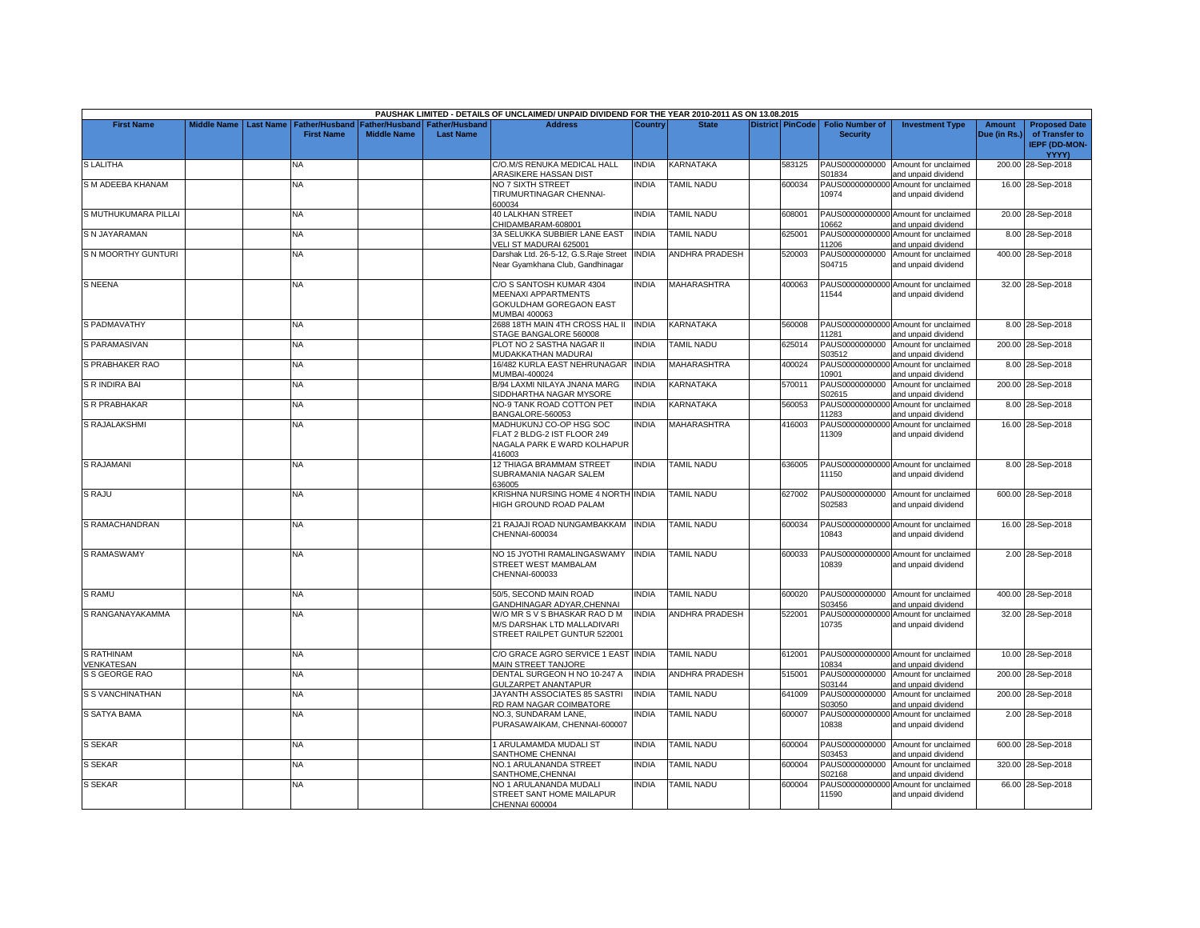|                                 |                         |                       |                    |                                 | PAUSHAK LIMITED - DETAILS OF UNCLAIMED/ UNPAID DIVIDEND FOR THE YEAR 2010-2011 AS ON 13.08.2015           |                |                       |                         |                          |                                                             |               |                                                        |
|---------------------------------|-------------------------|-----------------------|--------------------|---------------------------------|-----------------------------------------------------------------------------------------------------------|----------------|-----------------------|-------------------------|--------------------------|-------------------------------------------------------------|---------------|--------------------------------------------------------|
| <b>First Name</b>               | Middle Name   Last Name | <b>Father/Husband</b> |                    | Father/Husband I Father/Husband | <b>Address</b>                                                                                            | <b>Country</b> | <b>State</b>          | <b>District PinCode</b> | <b>Folio Number of</b>   | <b>Investment Type</b>                                      | <b>Amount</b> | <b>Proposed Date</b>                                   |
|                                 |                         | <b>First Name</b>     | <b>Middle Name</b> | <b>Last Name</b>                |                                                                                                           |                |                       |                         | <b>Security</b>          |                                                             | Due (in Rs.)  | of Transfer to<br><b>IEPF (DD-MON-</b><br><b>YYYY)</b> |
| <b>SLALITHA</b>                 |                         | NA                    |                    |                                 | C/O.M/S RENUKA MEDICAL HALL<br>ARASIKERE HASSAN DIST                                                      | <b>INDIA</b>   | <b>KARNATAKA</b>      | 583125                  | PAUS0000000000<br>S01834 | Amount for unclaimed<br>and unpaid dividend                 |               | 200.00 28-Sep-2018                                     |
| S M ADEEBA KHANAM               |                         | NA.                   |                    |                                 | NO 7 SIXTH STREET<br>TIRUMURTINAGAR CHENNAI-<br>600034                                                    | <b>NDIA</b>    | <b>TAMIL NADU</b>     | 600034                  | 10974                    | PAUS00000000000 Amount for unclaimed<br>and unpaid dividend |               | 16.00 28-Sep-2018                                      |
| S MUTHUKUMARA PILLAI            |                         | NA.                   |                    |                                 | <b>40 LALKHAN STREET</b><br>CHIDAMBARAM-608001                                                            | <b>NDIA</b>    | <b>TAMIL NADU</b>     | 608001                  | 10662                    | PAUS00000000000 Amount for unclaimed<br>and unpaid dividend |               | 20.00 28-Sep-2018                                      |
| <b>S N JAYARAMAN</b>            |                         | <b>NA</b>             |                    |                                 | 3A SELUKKA SUBBIER LANE EAST<br>VELI ST MADURAI 625001                                                    | <b>INDIA</b>   | <b>TAMIL NADU</b>     | 625001                  | 1206                     | PAUS00000000000 Amount for unclaimed<br>and unpaid dividend |               | 8.00 28-Sep-2018                                       |
| <b>S N MOORTHY GUNTURI</b>      |                         | NA                    |                    |                                 | Darshak Ltd. 26-5-12, G.S.Raje Street<br>Near Gyamkhana Club, Gandhinagar                                 | <b>INDIA</b>   | ANDHRA PRADESH        | 520003                  | PAUS0000000000<br>S04715 | Amount for unclaimed<br>and unpaid dividend                 |               | 400.00 28-Sep-2018                                     |
| <b>S NEENA</b>                  |                         | <b>NA</b>             |                    |                                 | C/O S SANTOSH KUMAR 4304<br><b>MEENAXI APPARTMENTS</b><br><b>GOKULDHAM GOREGAON EAST</b><br>MUMBAI 400063 | <b>NDIA</b>    | <b>MAHARASHTRA</b>    | 400063                  | 11544                    | PAUS00000000000 Amount for unclaimed<br>and unpaid dividend |               | 32.00 28-Sep-2018                                      |
| S PADMAVATHY                    |                         | <b>NA</b>             |                    |                                 | 2688 18TH MAIN 4TH CROSS HAL II<br>STAGE BANGALORE 560008                                                 | <b>INDIA</b>   | KARNATAKA             | 560008                  | 11281                    | PAUS00000000000 Amount for unclaimed<br>and unpaid dividend |               | 8.00 28-Sep-2018                                       |
| S PARAMASIVAN                   |                         | <b>NA</b>             |                    |                                 | PLOT NO 2 SASTHA NAGAR II<br>MUDAKKATHAN MADURAI                                                          | <b>NDIA</b>    | <b>TAMIL NADU</b>     | 625014                  | PAUS0000000000<br>S03512 | Amount for unclaimed<br>and unpaid dividend                 |               | 200.00 28-Sep-2018                                     |
| S PRABHAKER RAO                 |                         | NA                    |                    |                                 | 16/482 KURLA EAST NEHRUNAGAR INDIA<br>MUMBAI-400024                                                       |                | MAHARASHTRA           | 400024                  | 10901                    | PAUS00000000000 Amount for unclaimed<br>and unpaid dividend |               | 8.00 28-Sep-2018                                       |
| S R INDIRA BAI                  |                         | <b>NA</b>             |                    |                                 | B/94 LAXMI NILAYA JNANA MARG<br>SIDDHARTHA NAGAR MYSORE                                                   | <b>INDIA</b>   | KARNATAKA             | 570011                  | S02615                   | PAUS0000000000 Amount for unclaimed<br>and unpaid dividend  |               | 200.00 28-Sep-2018                                     |
| <b>S R PRABHAKAR</b>            |                         | <b>NA</b>             |                    |                                 | NO-9 TANK ROAD COTTON PET<br>BANGALORE-560053                                                             | <b>INDIA</b>   | KARNATAKA             | 560053                  | 11283                    | PAUS00000000000 Amount for unclaimed<br>and unpaid dividend |               | 8.00 28-Sep-2018                                       |
| <b>S RAJALAKSHMI</b>            |                         | <b>NA</b>             |                    |                                 | MADHUKUNJ CO-OP HSG SOC<br>FLAT 2 BLDG-2 IST FLOOR 249<br>NAGALA PARK E WARD KOLHAPUR<br>416003           | <b>NDIA</b>    | <b>MAHARASHTRA</b>    | 416003                  | PAUS0000000000<br>11309  | Amount for unclaimed<br>and unpaid dividend                 |               | 16.00 28-Sep-2018                                      |
| S RAJAMANI                      |                         | NA.                   |                    |                                 | <b>12 THIAGA BRAMMAM STREET</b><br>SUBRAMANIA NAGAR SALEM<br>636005                                       | INDIA          | <b>TAMIL NADU</b>     | 636005                  | 11150                    | PAUS00000000000 Amount for unclaimed<br>and unpaid dividend |               | 8.00 28-Sep-2018                                       |
| S RAJU                          |                         | <b>NA</b>             |                    |                                 | KRISHNA NURSING HOME 4 NORTH IINDIA<br>HIGH GROUND ROAD PALAM                                             |                | TAMIL NADU            | 627002                  | S02583                   | PAUS0000000000 Amount for unclaimed<br>and unpaid dividend  |               | 600.00 28-Sep-2018                                     |
| S RAMACHANDRAN                  |                         | <b>NA</b>             |                    |                                 | 21 RAJAJI ROAD NUNGAMBAKKAM INDIA<br>CHENNAI-600034                                                       |                | <b>TAMIL NADU</b>     | 600034                  | 10843                    | PAUS00000000000 Amount for unclaimed<br>and unpaid dividend |               | 16.00 28-Sep-2018                                      |
| S RAMASWAMY                     |                         | NA                    |                    |                                 | NO 15 JYOTHI RAMALINGASWAMY<br>STREET WEST MAMBALAM<br>CHENNAI-600033                                     | <b>INDIA</b>   | <b>TAMIL NADU</b>     | 600033                  | 10839                    | PAUS00000000000 Amount for unclaimed<br>and unpaid dividend |               | 2.00 28-Sep-2018                                       |
| S RAMU                          |                         | <b>NA</b>             |                    |                                 | 50/5, SECOND MAIN ROAD<br>GANDHINAGAR ADYAR.CHENNAI                                                       | <b>INDIA</b>   | TAMIL NADU            | 600020                  | S03456                   | PAUS0000000000 Amount for unclaimed<br>and unpaid dividend  |               | 400.00 28-Sep-2018                                     |
| S RANGANAYAKAMMA                |                         | NA.                   |                    |                                 | W/O MR S V S BHASKAR RAO D M<br>M/S DARSHAK LTD MALLADIVARI<br>STREET RAILPET GUNTUR 522001               | NDIA           | ANDHRA PRADESH        | 522001                  | 10735                    | PAUS00000000000 Amount for unclaimed<br>and unpaid dividend |               | 32.00 28-Sep-2018                                      |
| <b>S RATHINAM</b><br>VENKATESAN |                         | NA                    |                    |                                 | C/O GRACE AGRO SERVICE 1 EAST<br>MAIN STREET TANJORE                                                      | <b>INDIA</b>   | <b>TAMIL NADU</b>     | 612001                  | 10834                    | PAUS00000000000 Amount for unclaimed<br>and unpaid dividend |               | 10.00 28-Sep-2018                                      |
| S S GEORGE RAO                  |                         | <b>NA</b>             |                    |                                 | DENTAL SURGEON H NO 10-247 A<br>GULZARPET ANANTAPUR                                                       | <b>INDIA</b>   | <b>ANDHRA PRADESH</b> | 515001                  | PAUS0000000000<br>S03144 | Amount for unclaimed<br>and unpaid dividend                 |               | 200.00 28-Sep-2018                                     |
| S S VANCHINATHAN                |                         | NA                    |                    |                                 | JAYANTH ASSOCIATES 85 SASTRI<br>RD RAM NAGAR COIMBATORE                                                   | <b>INDIA</b>   | <b>TAMIL NADU</b>     | 641009                  | PAUS0000000000<br>S03050 | Amount for unclaimed<br>and unpaid dividend                 |               | 200.00 28-Sep-2018                                     |
| S SATYA BAMA                    |                         | NA.                   |                    |                                 | NO.3, SUNDARAM LANE,<br>PURASAWAIKAM, CHENNAI-600007                                                      | INDIA          | <b>TAMIL NADU</b>     | 600007                  | 10838                    | PAUS00000000000 Amount for unclaimed<br>and unpaid dividend |               | 2.00 28-Sep-2018                                       |
| <b>S SEKAR</b>                  |                         | <b>NA</b>             |                    |                                 | 1 ARULAMAMDA MUDALI ST<br>SANTHOME CHENNAI                                                                | <b>INDIA</b>   | <b>TAMIL NADU</b>     | 600004                  | S03453                   | PAUS0000000000 Amount for unclaimed<br>and unpaid dividend  |               | 600.00 28-Sep-2018                                     |
| <b>S SEKAR</b>                  |                         | NA.                   |                    |                                 | NO.1 ARULANANDA STREET<br>SANTHOME, CHENNAI                                                               | <b>NDIA</b>    | <b>TAMIL NADU</b>     | 600004                  | PAUS0000000000<br>S02168 | Amount for unclaimed<br>and unpaid dividend                 |               | 320.00 28-Sep-2018                                     |
| <b>S SEKAR</b>                  |                         | NA.                   |                    |                                 | NO 1 ARULANANDA MUDALI<br>STREET SANT HOME MAILAPUR<br>CHENNAI 600004                                     | <b>NDIA</b>    | <b>TAMIL NADU</b>     | 600004                  | PAUS00000000000<br>11590 | Amount for unclaimed<br>and unpaid dividend                 |               | 66.00 28-Sep-2018                                      |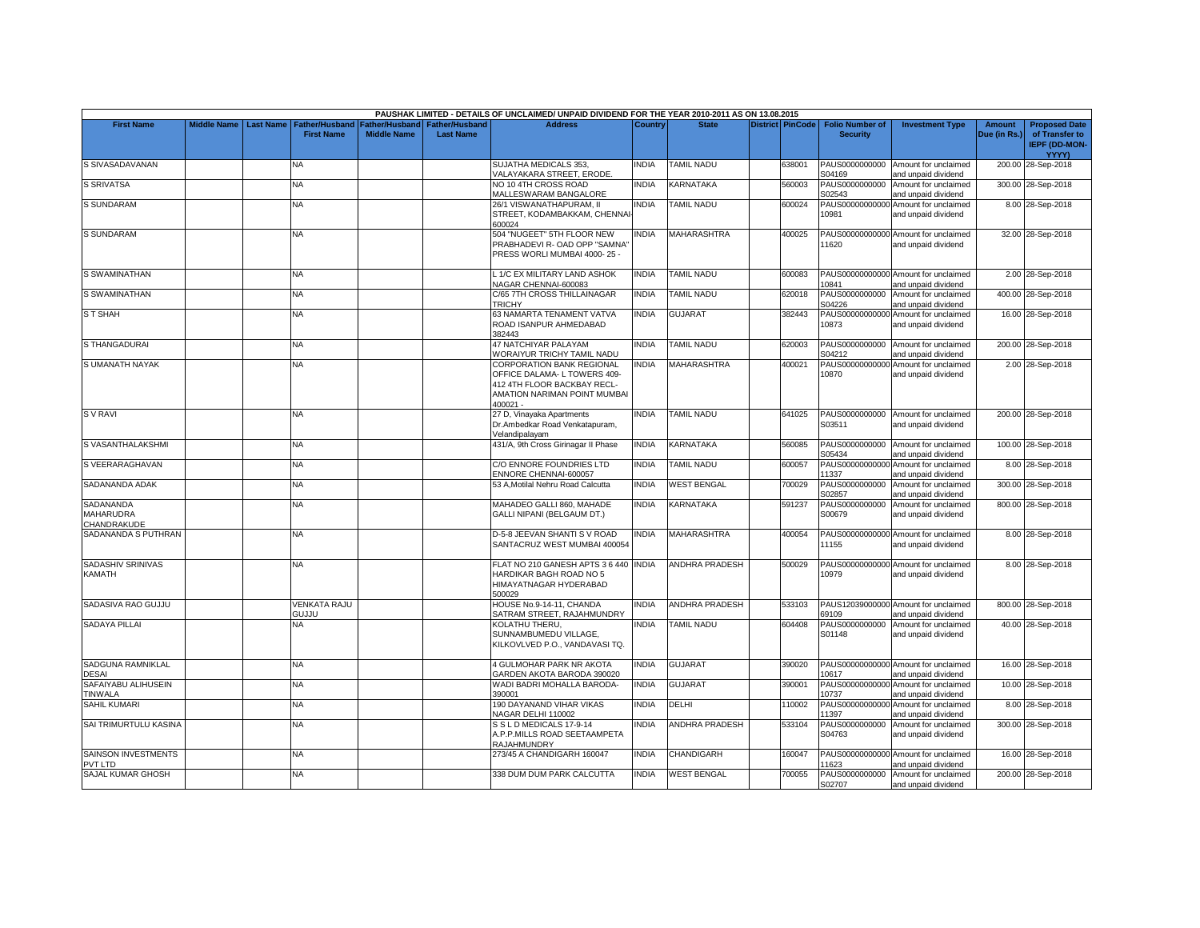|                                              |                    |                  |                                            |                    |                                                   | PAUSHAK LIMITED - DETAILS OF UNCLAIMED/ UNPAID DIVIDEND FOR THE YEAR 2010-2011 AS ON 13.08.2015                                             |                |                           |                  |                                           |                                                             |                               |                                                                         |
|----------------------------------------------|--------------------|------------------|--------------------------------------------|--------------------|---------------------------------------------------|---------------------------------------------------------------------------------------------------------------------------------------------|----------------|---------------------------|------------------|-------------------------------------------|-------------------------------------------------------------|-------------------------------|-------------------------------------------------------------------------|
| <b>First Name</b>                            | <b>Middle Name</b> | <b>Last Name</b> | <b>Father/Husband</b><br><b>First Name</b> | <b>Middle Name</b> | Father/Husband Father/Husband<br><b>Last Name</b> | <b>Address</b>                                                                                                                              | <b>Country</b> | <b>State</b>              | District PinCode | <b>Folio Number of</b><br><b>Security</b> | <b>Investment Type</b>                                      | <b>Amount</b><br>Due (in Rs.) | <b>Proposed Date</b><br>of Transfer to<br><b>IEPF (DD-MON-</b><br>YYYY) |
| S SIVASADAVANAN                              |                    |                  | NA                                         |                    |                                                   | SUJATHA MEDICALS 353,<br>VALAYAKARA STREET, ERODE.                                                                                          | <b>INDIA</b>   | <b>TAMIL NADU</b>         | 638001           | PAUS0000000000<br>S04169                  | Amount for unclaimed<br>and unpaid dividend                 |                               | 200.00 28-Sep-2018                                                      |
| <b>S SRIVATSA</b>                            |                    |                  | <b>NA</b>                                  |                    |                                                   | NO 10 4TH CROSS ROAD<br>MALLESWARAM BANGALORE                                                                                               | <b>INDIA</b>   | KARNATAKA                 | 560003           | PAUS0000000000<br>S02543                  | Amount for unclaimed<br>and unpaid dividend                 |                               | 300.00 28-Sep-2018                                                      |
| S SUNDARAM                                   |                    |                  | <b>NA</b>                                  |                    |                                                   | 26/1 VISWANATHAPURAM, II<br>STREET, KODAMBAKKAM, CHENNA<br>600024                                                                           | <b>INDIA</b>   | <b>TAMIL NADU</b>         | 600024           | 10981                                     | PAUS00000000000 Amount for unclaimed<br>and unpaid dividend |                               | 8.00 28-Sep-2018                                                        |
| <b>S SUNDARAM</b>                            |                    |                  | <b>NA</b>                                  |                    |                                                   | 504 "NUGEET" 5TH FLOOR NEW<br>PRABHADEVI R- OAD OPP "SAMNA"<br>PRESS WORLI MUMBAI 4000-25 -                                                 | <b>INDIA</b>   | <b>MAHARASHTRA</b>        | 400025           | 11620                                     | PAUS00000000000 Amount for unclaimed<br>and unpaid dividend |                               | 32.00 28-Sep-2018                                                       |
| S SWAMINATHAN                                |                    |                  | NA                                         |                    |                                                   | L 1/C EX MILITARY LAND ASHOK<br>NAGAR CHENNAI-600083                                                                                        | <b>INDIA</b>   | <b>TAMIL NADU</b>         | 600083           | 10841                                     | PAUS00000000000 Amount for unclaimed<br>and unpaid dividend |                               | 2.00 28-Sep-2018                                                        |
| S SWAMINATHAN                                |                    |                  | <b>NA</b>                                  |                    |                                                   | C/65 7TH CROSS THILLAINAGAR<br><b>TRICHY</b>                                                                                                | <b>INDIA</b>   | <b>TAMIL NADU</b>         | 620018           | S04226                                    | PAUS0000000000 Amount for unclaimed<br>and unpaid dividend  |                               | 400.00 28-Sep-2018                                                      |
| <b>ST SHAH</b>                               |                    |                  | NA                                         |                    |                                                   | 63 NAMARTA TENAMENT VATVA<br>ROAD ISANPUR AHMEDABAD<br>382443                                                                               | INDIA          | <b>GUJARAT</b>            | 382443           | 10873                                     | PAUS00000000000 Amount for unclaimed<br>and unpaid dividend |                               | 16.00 28-Sep-2018                                                       |
| S THANGADURAI                                |                    |                  | <b>NA</b>                                  |                    |                                                   | 47 NATCHIYAR PALAYAM<br>WORAIYUR TRICHY TAMIL NADU                                                                                          | <b>INDIA</b>   | <b>TAMIL NADU</b>         | 620003           | PAUS0000000000<br>S04212                  | Amount for unclaimed<br>and unpaid dividend                 |                               | 200.00 28-Sep-2018                                                      |
| S UMANATH NAYAK                              |                    |                  | NA.                                        |                    |                                                   | <b>CORPORATION BANK REGIONAL</b><br>OFFICE DALAMA- L TOWERS 409-<br>412 4TH FLOOR BACKBAY RECL-<br>AMATION NARIMAN POINT MUMBAI<br>400021 - | INDIA          | MAHARASHTRA               | 400021           | PAUS00000000000<br>10870                  | Amount for unclaimed<br>and unpaid dividend                 |                               | 2.00 28-Sep-2018                                                        |
| <b>SV RAVI</b>                               |                    |                  | <b>NA</b>                                  |                    |                                                   | 27 D, Vinayaka Apartments<br>Dr.Ambedkar Road Venkatapuram,<br>Velandipalayam                                                               | <b>INDIA</b>   | <b>TAMIL NADU</b>         | 641025           | S03511                                    | PAUS0000000000 Amount for unclaimed<br>and unpaid dividend  |                               | 200.00 28-Sep-2018                                                      |
| S VASANTHALAKSHMI                            |                    |                  | <b>NA</b>                                  |                    |                                                   | 431/A, 9th Cross Girinagar II Phase                                                                                                         | <b>INDIA</b>   | KARNATAKA                 | 560085           | S05434                                    | PAUS0000000000 Amount for unclaimed<br>and unpaid dividend  |                               | 100.00 28-Sep-2018                                                      |
| S VEERARAGHAVAN                              |                    |                  | NA.                                        |                    |                                                   | C/O ENNORE FOUNDRIES LTD<br>ENNORE CHENNAI-600057                                                                                           | <b>INDIA</b>   | TAMIL NADU                | 600057           | PAUS00000000000<br>11337                  | Amount for unclaimed<br>and unpaid dividend                 |                               | 8.00 28-Sep-2018                                                        |
| SADANANDA ADAK                               |                    |                  | <b>NA</b>                                  |                    |                                                   | 53 A, Motilal Nehru Road Calcutta                                                                                                           | <b>INDIA</b>   | <b>WEST BENGAL</b>        | 700029           | PAUS0000000000<br>S02857                  | Amount for unclaimed<br>and unpaid dividend                 |                               | 300.00 28-Sep-2018                                                      |
| <b>SADANANDA</b><br>MAHARUDRA<br>CHANDRAKUDE |                    |                  | <b>NA</b>                                  |                    |                                                   | MAHADEO GALLI 860, MAHADE<br>GALLI NIPANI (BELGAUM DT.)                                                                                     | <b>INDIA</b>   | <b>KARNATAKA</b>          | 591237           | PAUS0000000000<br>S00679                  | Amount for unclaimed<br>and unpaid dividend                 |                               | 800.00 28-Sep-2018                                                      |
| SADANANDA S PUTHRAN                          |                    |                  | <b>NA</b>                                  |                    |                                                   | D-5-8 JEEVAN SHANTI S V ROAD<br>SANTACRUZ WEST MUMBAI 400054                                                                                | <b>NDIA</b>    | <b>MAHARASHTRA</b>        | 400054           | PAUS00000000000<br>11155                  | Amount for unclaimed<br>and unpaid dividend                 |                               | 8.00 28-Sep-2018                                                        |
| SADASHIV SRINIVAS<br>KAMATH                  |                    |                  | <b>NA</b>                                  |                    |                                                   | FLAT NO 210 GANESH APTS 3 6 440 INDIA<br>HARDIKAR BAGH ROAD NO 5<br>HIMAYATNAGAR HYDERABAD<br>500029                                        |                | <b>ANDHRA PRADESH</b>     | 500029           | 10979                                     | PAUS00000000000 Amount for unclaimed<br>and unpaid dividend |                               | 8.00 28-Sep-2018                                                        |
| SADASIVA RAO GUJJU                           |                    |                  | <b>VENKATA RAJU</b><br>GUJJU               |                    |                                                   | HOUSE No.9-14-11, CHANDA<br>SATRAM STREET, RAJAHMUNDRY                                                                                      | <b>INDIA</b>   | <b>ANDHRA PRADESH</b>     | 533103           | PAUS12039000000<br>69109                  | Amount for unclaimed<br>and unpaid dividend                 |                               | 800.00 28-Sep-2018                                                      |
| <b>SADAYA PILLAI</b>                         |                    |                  | <b>NA</b>                                  |                    |                                                   | KOLATHU THERU.<br>SUNNAMBUMEDU VILLAGE,<br>KILKOVLVED P.O., VANDAVASI TQ.                                                                   | <b>INDIA</b>   | <b>TAMIL NADU</b>         | 604408           | PAUS0000000000<br>S01148                  | Amount for unclaimed<br>and unpaid dividend                 |                               | 40.00 28-Sep-2018                                                       |
| SADGUNA RAMNIKLAL<br><b>DESAI</b>            |                    |                  | NA.                                        |                    |                                                   | 4 GULMOHAR PARK NR AKOTA<br>GARDEN AKOTA BARODA 390020                                                                                      | INDIA          | <b>GUJARAT</b>            | 390020           | 10617                                     | PAUS00000000000 Amount for unclaimed<br>and unpaid dividend |                               | 16.00 28-Sep-2018                                                       |
| SAFAIYABU ALIHUSEIN<br><b>TINWALA</b>        |                    |                  | NA                                         |                    |                                                   | WADI BADRI MOHALLA BARODA-<br>390001                                                                                                        | <b>INDIA</b>   | <b>GUJARAT</b>            | 390001           | 10737                                     | PAUS00000000000 Amount for unclaimed<br>and unpaid dividend |                               | 10.00 28-Sep-2018                                                       |
| <b>SAHIL KUMARI</b>                          |                    |                  | <b>NA</b>                                  |                    |                                                   | 190 DAYANAND VIHAR VIKAS<br>NAGAR DELHI 110002                                                                                              | <b>INDIA</b>   | DELHI                     | 110002           | 11397                                     | PAUS00000000000 Amount for unclaimed<br>and unpaid dividend |                               | 8.00 28-Sep-2018                                                        |
| SAI TRIMURTULU KASINA                        |                    |                  | <b>NA</b>                                  |                    |                                                   | S S L D MEDICALS 17-9-14<br>A.P.P.MILLS ROAD SEETAAMPETA<br>RAJAHMUNDRY                                                                     | <b>INDIA</b>   | ANDHRA PRADESH            | 533104           | PAUS0000000000<br>S04763                  | Amount for unclaimed<br>and unpaid dividend                 |                               | 300.00 28-Sep-2018                                                      |
| <b>SAINSON INVESTMENTS</b><br>PVT LTD        |                    |                  | <b>NA</b>                                  |                    |                                                   | 273/45 A CHANDIGARH 160047                                                                                                                  | <b>INDIA</b>   | CHANDIGARH                | 160047           | PAUS00000000000<br>1623                   | Amount for unclaimed<br>and unpaid dividend                 |                               | 16.00 28-Sep-2018                                                       |
| SAJAL KUMAR GHOSH                            |                    |                  | <b>NA</b>                                  |                    |                                                   | 338 DUM DUM PARK CALCUTTA                                                                                                                   | <b>INDIA</b>   | <b><i>NEST BENGAL</i></b> | 700055           | PAUS0000000000<br>S02707                  | Amount for unclaimed<br>and unpaid dividend                 |                               | 200.00 28-Sep-2018                                                      |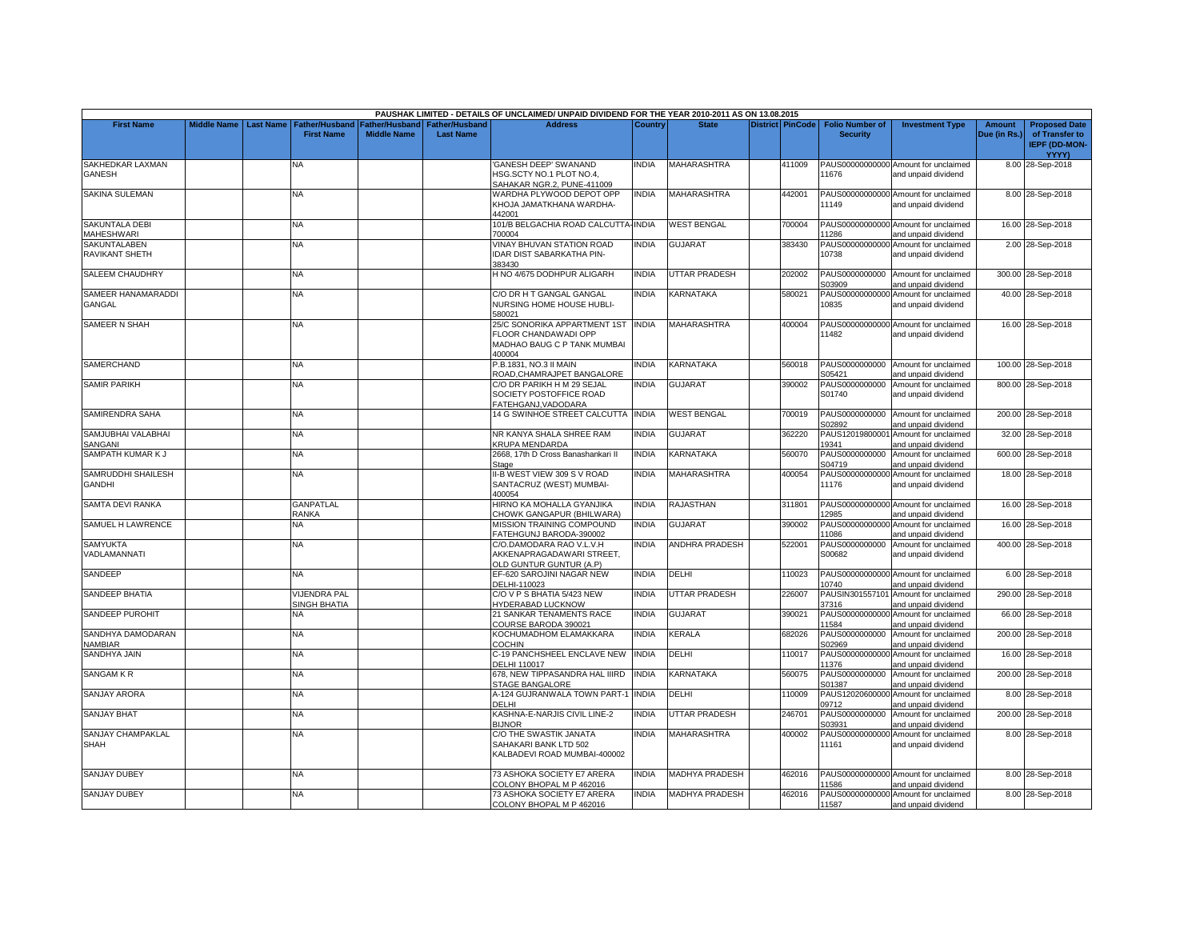|                                         |  |                                                               |                                      |                                           | PAUSHAK LIMITED - DETAILS OF UNCLAIMED/ UNPAID DIVIDEND FOR THE YEAR 2010-2011 AS ON 13.08.2015 |              |                       |                         |                                           |                                                                                    |                        |                                                                         |
|-----------------------------------------|--|---------------------------------------------------------------|--------------------------------------|-------------------------------------------|-------------------------------------------------------------------------------------------------|--------------|-----------------------|-------------------------|-------------------------------------------|------------------------------------------------------------------------------------|------------------------|-------------------------------------------------------------------------|
| <b>First Name</b>                       |  | Middle Name   Last Name   Father/Husband<br><b>First Name</b> | Father/Husband<br><b>Middle Name</b> | <b>Father/Husband</b><br><b>Last Name</b> | <b>Address</b>                                                                                  | Country      | <b>State</b>          | <b>District PinCode</b> | <b>Folio Number of</b><br><b>Security</b> | <b>Investment Type</b>                                                             | Amount<br>Due (in Rs.) | <b>Proposed Date</b><br>of Transfer to<br><b>IEPF (DD-MON-</b><br>YYYY) |
| SAKHEDKAR LAXMAN<br>GANESH              |  | NA                                                            |                                      |                                           | <b>GANESH DEEP' SWANAND</b><br><b>HSG.SCTY NO.1 PLOT NO.4.</b><br>SAHAKAR NGR.2, PUNE-411009    | <b>INDIA</b> | MAHARASHTRA           | 411009                  | 11676                                     | PAUS00000000000 Amount for unclaimed<br>and unpaid dividend                        |                        | 8.00 28-Sep-2018                                                        |
| SAKINA SULEMAN                          |  | ΝA                                                            |                                      |                                           | WARDHA PLYWOOD DEPOT OPP<br>KHOJA JAMATKHANA WARDHA-<br>442001                                  | <b>INDIA</b> | <b>MAHARASHTRA</b>    | 442001                  | 11149                                     | PAUS00000000000 Amount for unclaimed<br>and unpaid dividend                        |                        | 8.00 28-Sep-2018                                                        |
| <b>SAKUNTALA DEBI</b><br>MAHESHWARI     |  | NA.                                                           |                                      |                                           | 101/B BELGACHIA ROAD CALCUTTA-INDIA<br>700004                                                   |              | <b>WEST BENGAL</b>    | 700004                  | 11286                                     | PAUS00000000000 Amount for unclaimed<br>and unpaid dividend                        |                        | 16.00 28-Sep-2018                                                       |
| <b>SAKUNTALABEN</b><br>RAVIKANT SHETH   |  | <b>NA</b>                                                     |                                      |                                           | <b>VINAY BHUVAN STATION ROAD</b><br>IDAR DIST SABARKATHA PIN-<br>383430                         | <b>INDIA</b> | <b>GUJARAT</b>        | 383430                  | 10738                                     | PAUS00000000000 Amount for unclaimed<br>and unpaid dividend                        |                        | 2.00 28-Sep-2018                                                        |
| <b>SALEEM CHAUDHRY</b>                  |  | NA                                                            |                                      |                                           | H NO 4/675 DODHPUR ALIGARH                                                                      | <b>INDIA</b> | UTTAR PRADESH         | 202002                  | S03909                                    | PAUS0000000000 Amount for unclaimed<br>and unpaid dividend                         |                        | 300.00 28-Sep-2018                                                      |
| SAMEER HANAMARADDI<br>GANGAL            |  | NA.                                                           |                                      |                                           | C/O DR H T GANGAL GANGAL<br>NURSING HOME HOUSE HUBLI-<br>580021                                 | <b>INDIA</b> | KARNATAKA             | 580021                  | PAUS00000000000<br>10835                  | Amount for unclaimed<br>and unpaid dividend                                        |                        | 40.00 28-Sep-2018                                                       |
| <b>SAMEER N SHAH</b>                    |  | NA                                                            |                                      |                                           | 25/C SONORIKA APPARTMENT 1ST<br>FLOOR CHANDAWADI OPP<br>MADHAO BAUG C P TANK MUMBAI<br>400004   | <b>INDIA</b> | <b>MAHARASHTRA</b>    | 400004                  | 11482                                     | PAUS00000000000 Amount for unclaimed<br>and unpaid dividend                        |                        | 16.00 28-Sep-2018                                                       |
| <b>SAMERCHAND</b>                       |  | NA                                                            |                                      |                                           | P.B.1831. NO.3 II MAIN<br>ROAD, CHAMRAJPET BANGALORE                                            | INDIA        | KARNATAKA             | 560018                  | S05421                                    | PAUS0000000000 Amount for unclaimed<br>and unpaid dividend                         |                        | 100.00 28-Sep-2018                                                      |
| <b>SAMIR PARIKH</b>                     |  | <b>NA</b>                                                     |                                      |                                           | C/O DR PARIKH H M 29 SEJAL<br>SOCIETY POSTOFFICE ROAD<br>FATEHGANJ, VADODARA                    | <b>INDIA</b> | <b>GUJARAT</b>        | 390002                  | S01740                                    | PAUS0000000000 Amount for unclaimed<br>and unpaid dividend                         |                        | 800.00 28-Sep-2018                                                      |
| SAMIRENDRA SAHA                         |  | NA                                                            |                                      |                                           | 14 G SWINHOE STREET CALCUTTA INDIA                                                              |              | <b>WEST BENGAL</b>    | 700019                  | S02892                                    | PAUS0000000000 Amount for unclaimed<br>and unpaid dividend                         |                        | 200.00 28-Sep-2018                                                      |
| SAMJUBHAI VALABHAI<br>SANGANI           |  | NA.                                                           |                                      |                                           | NR KANYA SHALA SHREE RAM<br><b>KRUPA MENDARDA</b>                                               | <b>INDIA</b> | <b>GUJARAT</b>        | 362220                  | PAUS1201980000<br>19341                   | Amount for unclaimed<br>and unpaid dividend                                        |                        | 32.00 28-Sep-2018                                                       |
| SAMPATH KUMAR K J                       |  | <b>NA</b>                                                     |                                      |                                           | 2668, 17th D Cross Banashankari II<br>Stage                                                     | <b>INDIA</b> | <b>KARNATAKA</b>      | 560070                  | PAUS0000000000<br>S04719                  | Amount for unclaimed<br>and unpaid dividend                                        |                        | 600.00 28-Sep-2018                                                      |
| SAMRUDDHI SHAILESH<br><b>GANDHI</b>     |  | NA.                                                           |                                      |                                           | I-B WEST VIEW 309 S V ROAD<br>SANTACRUZ (WEST) MUMBAI-<br>100054                                | <b>INDIA</b> | <b>MAHARASHTRA</b>    | 400054                  | PAUS00000000000<br>11176                  | Amount for unclaimed<br>and unpaid dividend                                        |                        | 18.00 28-Sep-2018                                                       |
| SAMTA DEVI RANKA                        |  | <b>GANPATLAL</b><br>RANKA                                     |                                      |                                           | HIRNO KA MOHALLA GYANJIKA<br>CHOWK GANGAPUR (BHILWARA)                                          | <b>INDIA</b> | <b>RAJASTHAN</b>      | 311801                  | 12985                                     | PAUS00000000000 Amount for unclaimed<br>and unpaid dividend                        |                        | 16.00 28-Sep-2018                                                       |
| SAMUEL H LAWRENCE                       |  | <b>NA</b>                                                     |                                      |                                           | <b>MISSION TRAINING COMPOUND</b><br>FATEHGUNJ BARODA-390002                                     | <b>INDIA</b> | GUJARAT               | 390002                  | PAUS00000000000<br>11086                  | Amount for unclaimed<br>and unpaid dividend                                        |                        | 16.00 28-Sep-2018                                                       |
| <b>SAMYUKTA</b><br>VADLAMANNATI         |  | NA.                                                           |                                      |                                           | C/O.DAMODARA RAO V.L.V.H<br>AKKENAPRAGADAWARI STREET,<br>OLD GUNTUR GUNTUR (A.P)                | <b>INDIA</b> | ANDHRA PRADESH        | 522001                  | PAUS0000000000<br>S00682                  | Amount for unclaimed<br>and unpaid dividend                                        |                        | 400.00 28-Sep-2018                                                      |
| SANDEEP                                 |  | <b>NA</b>                                                     |                                      |                                           | EF-620 SAROJINI NAGAR NEW<br>DELHI-110023                                                       | <b>INDIA</b> | DELHI                 | 110023                  | 10740                                     | PAUS00000000000 Amount for unclaimed<br>and unpaid dividend                        |                        | 6.00 28-Sep-2018                                                        |
| SANDEEP BHATIA                          |  | <b>VIJENDRA PAL</b><br>SINGH BHATIA                           |                                      |                                           | C/O V P S BHATIA 5/423 NEW<br><b>HYDERABAD LUCKNOW</b>                                          | <b>INDIA</b> | <b>UTTAR PRADESH</b>  | 226007                  | PAUSIN301557101<br>37316                  | Amount for unclaimed<br>and unpaid dividend                                        |                        | 290.00 28-Sep-2018                                                      |
| <b>SANDEEP PUROHIT</b>                  |  | NA                                                            |                                      |                                           | 21 SANKAR TENAMENTS RACE<br>COURSE BARODA 390021                                                | <b>INDIA</b> | <b>GUJARAT</b>        | 390021                  | PAUS00000000000<br>11584                  | Amount for unclaimed<br>and unpaid dividend                                        |                        | 66.00 28-Sep-2018                                                       |
| SANDHYA DAMODARAN<br><b>NAMBIAR</b>     |  | NA                                                            |                                      |                                           | KOCHUMADHOM ELAMAKKARA<br>COCHIN                                                                | INDIA        | KERALA                | 682026                  | PAUS0000000000<br>S02969                  | Amount for unclaimed<br>and unpaid dividend                                        |                        | 200.00 28-Sep-2018                                                      |
| SANDHYA JAIN                            |  | NA.                                                           |                                      |                                           | C-19 PANCHSHEEL ENCLAVE NEW<br>DELHI 110017                                                     | <b>INDIA</b> | DELHI                 | 110017                  | PAUS00000000000<br>11376                  | Amount for unclaimed<br>and unpaid dividend                                        |                        | 16.00 28-Sep-2018                                                       |
| <b>SANGAM K R</b>                       |  | NA                                                            |                                      |                                           | 678, NEW TIPPASANDRA HAL IIIRD<br><b>STAGE BANGALORE</b>                                        | <b>INDIA</b> | KARNATAKA             | 560075                  | PAUS0000000000<br>S01387                  | Amount for unclaimed<br>and unpaid dividend                                        |                        | 200.00 28-Sep-2018                                                      |
| <b>SANJAY ARORA</b>                     |  | NA.                                                           |                                      |                                           | 4-124 GUJRANWALA TOWN PART-<br>DELHI                                                            | <b>INDIA</b> | <b>DELHI</b>          | 110009                  | PAUS12020600000<br>09712                  | Amount for unclaimed<br>and unpaid dividend                                        |                        | 8.00 28-Sep-2018                                                        |
| <b>SANJAY BHAT</b>                      |  | NA                                                            |                                      |                                           | KASHNA-E-NARJIS CIVIL LINE-2<br><b>BIJNOR</b>                                                   | <b>INDIA</b> | UTTAR PRADESH         | 246701                  | PAUS0000000000<br>S03931                  | Amount for unclaimed<br>and unpaid dividend                                        |                        | 200.00 28-Sep-2018                                                      |
| <b>SANJAY CHAMPAKLAL</b><br><b>SHAH</b> |  | NA.                                                           |                                      |                                           | C/O THE SWASTIK JANATA<br>SAHAKARI BANK LTD 502<br>KALBADEVI ROAD MUMBAI-400002                 | <b>INDIA</b> | MAHARASHTRA           | 400002                  | PAUS00000000000<br>11161                  | Amount for unclaimed<br>and unpaid dividend                                        |                        | 8.00 28-Sep-2018                                                        |
| <b>SANJAY DUBEY</b>                     |  | ΝA                                                            |                                      |                                           | 73 ASHOKA SOCIETY E7 ARERA                                                                      | <b>INDIA</b> | MADHYA PRADESH        | 462016                  |                                           | PAUS00000000000 Amount for unclaimed                                               |                        | 8.00 28-Sep-2018                                                        |
| <b>SANJAY DUBEY</b>                     |  | <b>NA</b>                                                     |                                      |                                           | COLONY BHOPAL M P 462016<br>73 ASHOKA SOCIETY E7 ARERA<br>COLONY BHOPAL M P 462016              | <b>INDIA</b> | <b>MADHYA PRADESH</b> | 462016                  | 11586<br>11587                            | and unpaid dividend<br>PAUS00000000000 Amount for unclaimed<br>and unpaid dividend |                        | 8.00 28-Sep-2018                                                        |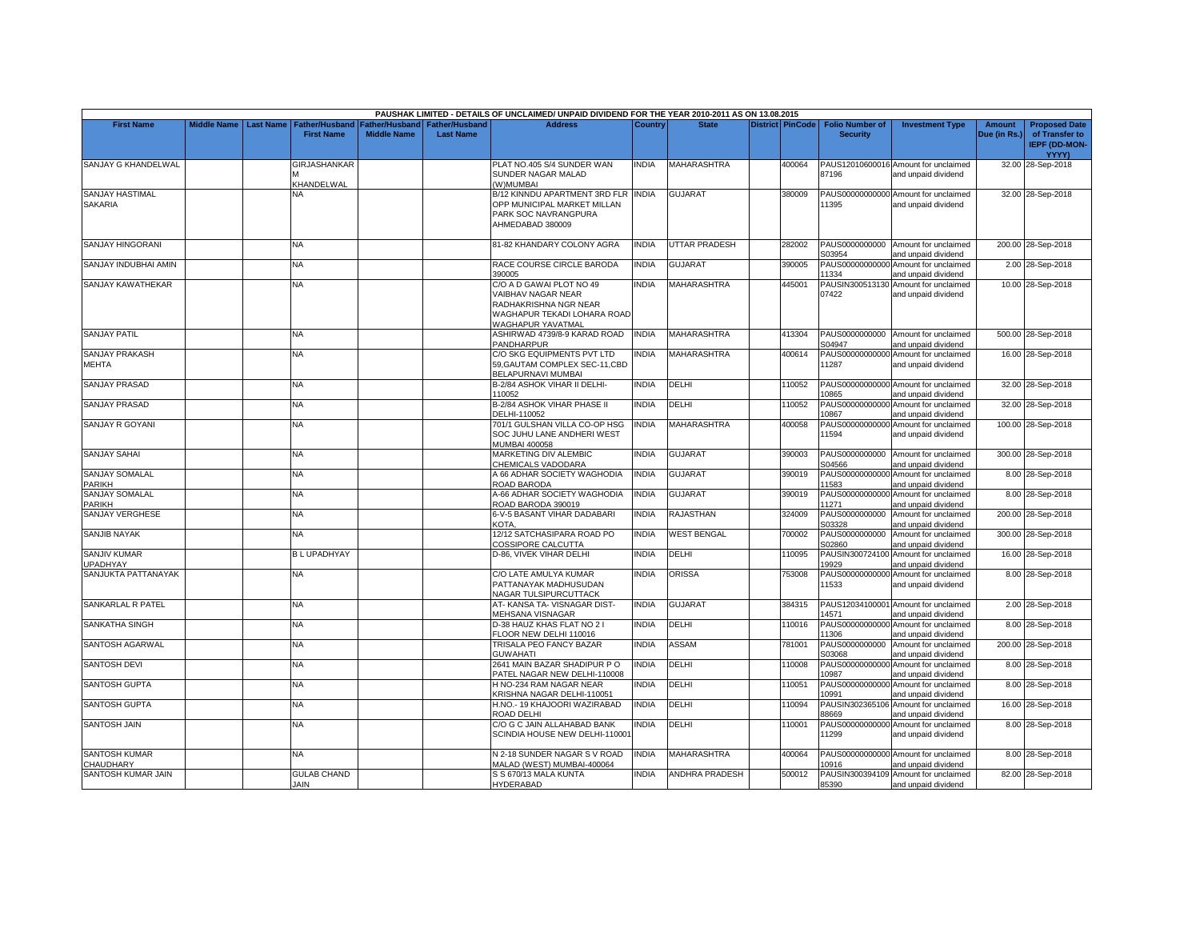|                                          |             |                  |                            |                                                                        |                  | PAUSHAK LIMITED - DETAILS OF UNCLAIMED/ UNPAID DIVIDEND FOR THE YEAR 2010-2011 AS ON 13.08.2015                             |                |                       |                         |                                           |                                                             |                               |                                                                         |
|------------------------------------------|-------------|------------------|----------------------------|------------------------------------------------------------------------|------------------|-----------------------------------------------------------------------------------------------------------------------------|----------------|-----------------------|-------------------------|-------------------------------------------|-------------------------------------------------------------|-------------------------------|-------------------------------------------------------------------------|
| <b>First Name</b>                        | Middle Name | <b>Last Name</b> | <b>First Name</b>          | Father/Husband   Father/Husband   Father/Husband<br><b>Middle Name</b> | <b>Last Name</b> | <b>Address</b>                                                                                                              | <b>Country</b> | <b>State</b>          | <b>District PinCode</b> | <b>Folio Number of</b><br><b>Security</b> | <b>Investment Type</b>                                      | <b>Amount</b><br>Due (in Rs.) | <b>Proposed Date</b><br>of Transfer to<br><b>IEPF (DD-MON-</b><br>YYYY) |
| SANJAY G KHANDELWAL                      |             |                  | GIRJASHANKAR<br>KHANDELWAL |                                                                        |                  | PLAT NO.405 S/4 SUNDER WAN<br>SUNDER NAGAR MALAD<br>(W)MUMBAI                                                               | NDIA           | MAHARASHTRA           | 400064                  | 87196                                     | PAUS12010600016 Amount for unclaimed<br>and unpaid dividend |                               | 32.00 28-Sep-2018                                                       |
| <b>SANJAY HASTIMAL</b><br><b>SAKARIA</b> |             |                  | <b>NA</b>                  |                                                                        |                  | B/12 KINNDU APARTMENT 3RD FLR INDIA<br>OPP MUNICIPAL MARKET MILLAN<br>PARK SOC NAVRANGPURA<br>AHMEDABAD 380009              |                | <b>GUJARAT</b>        | 380009                  | 11395                                     | PAUS00000000000 Amount for unclaimed<br>and unpaid dividend |                               | 32.00 28-Sep-2018                                                       |
| SANJAY HINGORANI                         |             |                  | <b>NA</b>                  |                                                                        |                  | 81-82 KHANDARY COLONY AGRA                                                                                                  | <b>INDIA</b>   | UTTAR PRADESH         | 282002                  | S03954                                    | PAUS0000000000 Amount for unclaimed<br>and unpaid dividend  |                               | 200.00 28-Sep-2018                                                      |
| SANJAY INDUBHAI AMIN                     |             |                  | NA                         |                                                                        |                  | RACE COURSE CIRCLE BARODA<br>390005                                                                                         | <b>NDIA</b>    | GUJARAT               | 390005                  | 11334                                     | PAUS00000000000 Amount for unclaimed<br>and unpaid dividend |                               | 2.00 28-Sep-2018                                                        |
| SANJAY KAWATHEKAR                        |             |                  | NA                         |                                                                        |                  | C/O A D GAWAI PLOT NO 49<br>VAIBHAV NAGAR NEAR<br>RADHAKRISHNA NGR NEAR<br>WAGHAPUR TEKADI LOHARA ROAD<br>WAGHAPUR YAVATMAL | <b>NDIA</b>    | <b>MAHARASHTRA</b>    | 445001                  | 07422                                     | PAUSIN300513130 Amount for unclaimed<br>and unpaid dividend |                               | 10.00 28-Sep-2018                                                       |
| <b>SANJAY PATIL</b>                      |             |                  | <b>NA</b>                  |                                                                        |                  | ASHIRWAD 4739/8-9 KARAD ROAD<br>PANDHARPUR                                                                                  | <b>INDIA</b>   | <b>MAHARASHTRA</b>    | 413304                  | PAUS0000000000<br>S04947                  | Amount for unclaimed<br>and unpaid dividend                 |                               | 500.00 28-Sep-2018                                                      |
| <b>SANJAY PRAKASH</b><br>MEHTA           |             |                  | <b>NA</b>                  |                                                                        |                  | C/O SKG EQUIPMENTS PVT LTD<br>59, GAUTAM COMPLEX SEC-11, CBD<br>BELAPURNAVI MUMBAI                                          | <b>NDIA</b>    | <b>MAHARASHTRA</b>    | 400614                  | 11287                                     | PAUS00000000000 Amount for unclaimed<br>and unpaid dividend |                               | 16.00 28-Sep-2018                                                       |
| <b>SANJAY PRASAD</b>                     |             |                  | NA                         |                                                                        |                  | B-2/84 ASHOK VIHAR II DELHI-<br>110052                                                                                      | <b>NDIA</b>    | DELHI                 | 110052                  | 10865                                     | PAUS00000000000 Amount for unclaimed<br>and unpaid dividend |                               | 32.00 28-Sep-2018                                                       |
| <b>SANJAY PRASAD</b>                     |             |                  | <b>NA</b>                  |                                                                        |                  | B-2/84 ASHOK VIHAR PHASE II<br>DELHI-110052                                                                                 | INDIA          | DELHI                 | 110052                  | 10867                                     | PAUS00000000000 Amount for unclaimed<br>and unpaid dividend |                               | 32.00 28-Sep-2018                                                       |
| <b>SANJAY R GOYANI</b>                   |             |                  | <b>NA</b>                  |                                                                        |                  | 701/1 GULSHAN VILLA CO-OP HSG<br>SOC JUHU LANE ANDHERI WEST<br><b>MUMBAI 400058</b>                                         | <b>INDIA</b>   | <b>MAHARASHTRA</b>    | 400058                  | 11594                                     | PAUS00000000000 Amount for unclaimed<br>and unpaid dividend |                               | 100.00 28-Sep-2018                                                      |
| <b>SANJAY SAHAI</b>                      |             |                  | <b>NA</b>                  |                                                                        |                  | <b>MARKETING DIV ALEMBIC</b><br>CHEMICALS VADODARA                                                                          | <b>INDIA</b>   | <b>GUJARAT</b>        | 390003                  | S04566                                    | PAUS0000000000 Amount for unclaimed<br>and unpaid dividend  |                               | 300.00 28-Sep-2018                                                      |
| <b>SANJAY SOMALAL</b><br>PARIKH          |             |                  | <b>NA</b>                  |                                                                        |                  | A 66 ADHAR SOCIETY WAGHODIA<br>ROAD BARODA                                                                                  | INDIA          | GUJARAT               | 390019                  | 11583                                     | PAUS00000000000 Amount for unclaimed<br>and unpaid dividend |                               | 8.00 28-Sep-2018                                                        |
| <b>SANJAY SOMALAL</b><br>PARIKH          |             |                  | NA                         |                                                                        |                  | A-66 ADHAR SOCIETY WAGHODIA<br>ROAD BARODA 390019                                                                           | <b>INDIA</b>   | GUJARAT               | 390019                  | 11271                                     | PAUS00000000000 Amount for unclaimed<br>and unpaid dividend |                               | 8.00 28-Sep-2018                                                        |
| <b>SANJAY VERGHESE</b>                   |             |                  | NA                         |                                                                        |                  | 6-V-5 BASANT VIHAR DADABARI<br>KOTA.                                                                                        | NDIA           | RAJASTHAN             | 324009                  | PAUS0000000000<br>S03328                  | Amount for unclaimed<br>and unpaid dividend                 |                               | 200.00 28-Sep-2018                                                      |
| <b>SANJIB NAYAK</b>                      |             |                  | NA                         |                                                                        |                  | 12/12 SATCHASIPARA ROAD PO<br>COSSIPORE CALCUTTA                                                                            | INDIA          | <b>WEST BENGAL</b>    | 700002                  | PAUS0000000000<br>S02860                  | Amount for unclaimed<br>and unpaid dividend                 |                               | 300.00 28-Sep-2018                                                      |
| <b>SANJIV KUMAR</b><br><b>JPADHYAY</b>   |             |                  | <b>BLUPADHYAY</b>          |                                                                        |                  | D-86. VIVEK VIHAR DELHI                                                                                                     | <b>NDIA</b>    | DELHI                 | 110095                  | PAUSIN300724100<br>19929                  | Amount for unclaimed<br>and unpaid dividend                 |                               | 16.00 28-Sep-2018                                                       |
| SANJUKTA PATTANAYAK                      |             |                  | <b>NA</b>                  |                                                                        |                  | C/O LATE AMULYA KUMAR<br>PATTANAYAK MADHUSUDAN<br>NAGAR TULSIPURCUTTACK                                                     | <b>INDIA</b>   | ORISSA                | 753008                  | 11533                                     | PAUS00000000000 Amount for unclaimed<br>and unpaid dividend |                               | 8.00 28-Sep-2018                                                        |
| <b>SANKARLAL R PATEL</b>                 |             |                  | <b>NA</b>                  |                                                                        |                  | AT-KANSA TA-VISNAGAR DIST-<br>MEHSANA VISNAGAR                                                                              | <b>NDIA</b>    | GUJARAT               | 384315                  | 14571                                     | PAUS12034100001 Amount for unclaimed<br>and unpaid dividend |                               | 2.00 28-Sep-2018                                                        |
| <b>SANKATHA SINGH</b>                    |             |                  | <b>NA</b>                  |                                                                        |                  | D-38 HAUZ KHAS FLAT NO 21<br>FLOOR NEW DELHI 110016                                                                         | <b>INDIA</b>   | DELHI                 | 110016                  | 11306                                     | PAUS00000000000 Amount for unclaimed<br>and unpaid dividend |                               | 8.00 28-Sep-2018                                                        |
| SANTOSH AGARWAL                          |             |                  | <b>NA</b>                  |                                                                        |                  | TRISALA PEO FANCY BAZAR<br><b>GUWAHATI</b>                                                                                  | <b>INDIA</b>   | ASSAM                 | 781001                  | PAUS0000000000<br>S03068                  | Amount for unclaimed<br>and unpaid dividend                 |                               | 200.00 28-Sep-2018                                                      |
| <b>SANTOSH DEVI</b>                      |             |                  | NA.                        |                                                                        |                  | 2641 MAIN BAZAR SHADIPUR PO<br>PATEL NAGAR NEW DELHI-110008                                                                 | <b>NDIA</b>    | DELHI                 | 110008                  | PAUS00000000000<br>10987                  | Amount for unclaimed<br>and unpaid dividend                 |                               | 8.00 28-Sep-2018                                                        |
| <b>SANTOSH GUPTA</b>                     |             |                  | <b>NA</b>                  |                                                                        |                  | H NO-234 RAM NAGAR NEAR<br>KRISHNA NAGAR DELHI-110051                                                                       | <b>NDIA</b>    | DELHI                 | 110051                  | 10991                                     | PAUS00000000000 Amount for unclaimed<br>and unpaid dividend |                               | 8.00 28-Sep-2018                                                        |
| <b>SANTOSH GUPTA</b>                     |             |                  | <b>NA</b>                  |                                                                        |                  | H.NO.- 19 KHAJOORI WAZIRABAD<br>ROAD DELHI                                                                                  | <b>INDIA</b>   | DELHI                 | 110094                  | 88669                                     | PAUSIN302365106 Amount for unclaimed<br>and unpaid dividend |                               | 16.00 28-Sep-2018                                                       |
| <b>SANTOSH JAIN</b>                      |             |                  | <b>NA</b>                  |                                                                        |                  | C/O G C JAIN ALLAHABAD BANK<br>SCINDIA HOUSE NEW DELHI-110001                                                               | <b>INDIA</b>   | DELHI                 | 110001                  | 11299                                     | PAUS00000000000 Amount for unclaimed<br>and unpaid dividend |                               | 8.00 28-Sep-2018                                                        |
| <b>SANTOSH KUMAR</b><br><b>CHAUDHARY</b> |             |                  | <b>NA</b>                  |                                                                        |                  | N 2-18 SUNDER NAGAR S V ROAD<br>MALAD (WEST) MUMBAI-400064                                                                  | <b>INDIA</b>   | <b>MAHARASHTRA</b>    | 400064                  | 10916                                     | PAUS00000000000 Amount for unclaimed<br>and unpaid dividend |                               | 8.00 28-Sep-2018                                                        |
| SANTOSH KUMAR JAIN                       |             |                  | <b>GULAB CHAND</b><br>JAIN |                                                                        |                  | S S 670/13 MALA KUNTA<br><b>HYDERABAD</b>                                                                                   | <b>INDIA</b>   | <b>ANDHRA PRADESH</b> | 500012                  | 85390                                     | PAUSIN300394109 Amount for unclaimed<br>and unpaid dividend |                               | 82.00 28-Sep-2018                                                       |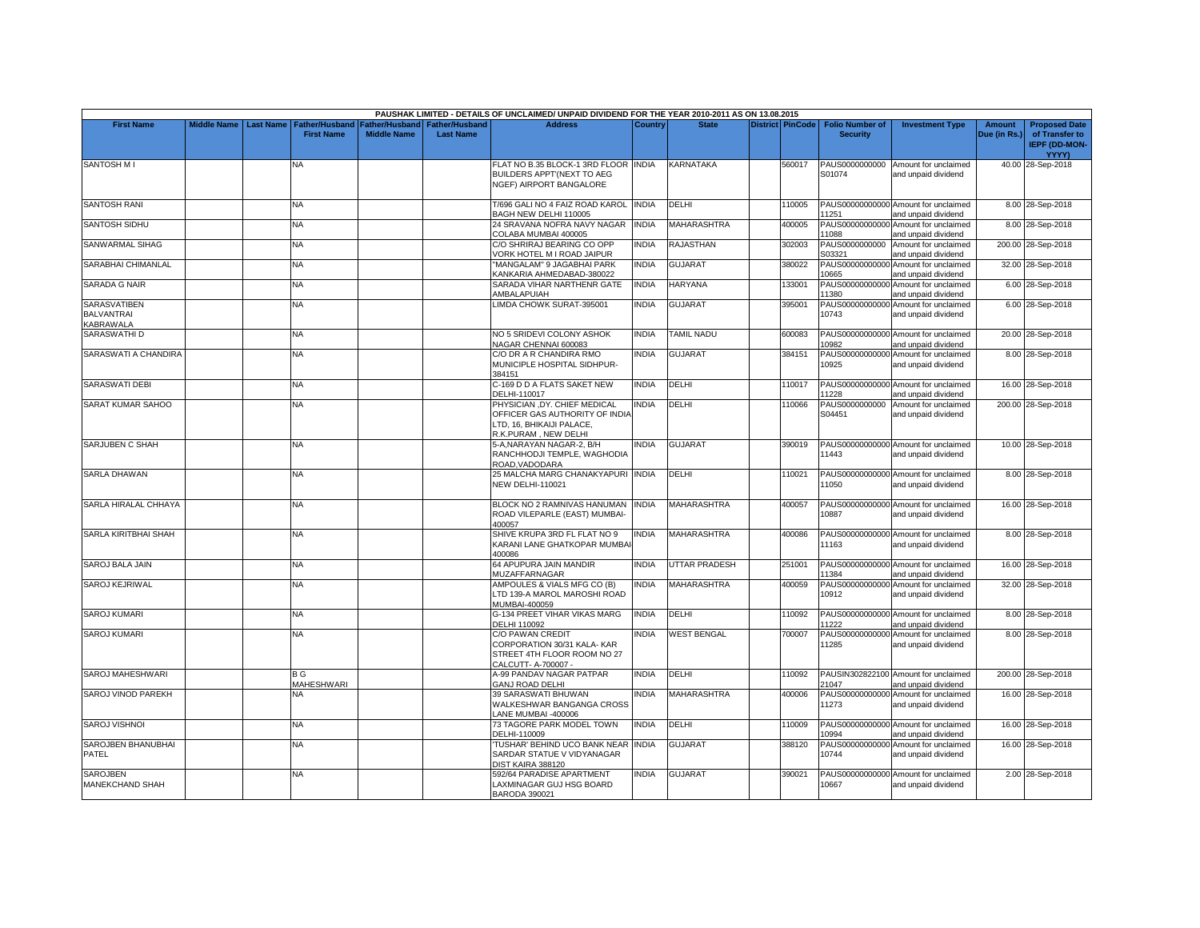|                                                                     |                    |                  |                                     |                                             |                                           | PAUSHAK LIMITED - DETAILS OF UNCLAIMED/ UNPAID DIVIDEND FOR THE YEAR 2010-2011 AS ON 13.08.2015                    |                |                    |                         |                                           |                                                             |                               |                                                                         |
|---------------------------------------------------------------------|--------------------|------------------|-------------------------------------|---------------------------------------------|-------------------------------------------|--------------------------------------------------------------------------------------------------------------------|----------------|--------------------|-------------------------|-------------------------------------------|-------------------------------------------------------------|-------------------------------|-------------------------------------------------------------------------|
| <b>First Name</b>                                                   | <b>Middle Name</b> | <b>Last Name</b> | Father/Husband<br><b>First Name</b> | <b>Father/Husband</b><br><b>Middle Name</b> | <b>Father/Husband</b><br><b>Last Name</b> | <b>Address</b>                                                                                                     | <b>Country</b> | <b>State</b>       | <b>District PinCode</b> | <b>Folio Number of</b><br><b>Security</b> | <b>Investment Type</b>                                      | <b>Amount</b><br>Due (in Rs.) | <b>Proposed Date</b><br>of Transfer to<br><b>IEPF (DD-MON-</b><br>YYYY) |
| <b>SANTOSH MI</b>                                                   |                    |                  | NA                                  |                                             |                                           | FLAT NO B.35 BLOCK-1 3RD FLOOR INDIA<br>BUILDERS APPT (NEXT TO AEG<br><b>NGEF) AIRPORT BANGALORE</b>               |                | <b>KARNATAKA</b>   | 560017                  | PAUS0000000000<br>S01074                  | Amount for unclaimed<br>and unpaid dividend                 |                               | 40.00 28-Sep-2018                                                       |
| <b>SANTOSH RANI</b>                                                 |                    |                  | <b>NA</b>                           |                                             |                                           | T/696 GALI NO 4 FAIZ ROAD KAROL INDIA<br>BAGH NEW DELHI 110005                                                     |                | DELHI              | 110005                  | 11251                                     | PAUS00000000000 Amount for unclaimed<br>and unpaid dividend |                               | 8.00 28-Sep-2018                                                        |
| <b>SANTOSH SIDHU</b>                                                |                    |                  | NA.                                 |                                             |                                           | 24 SRAVANA NOFRA NAVY NAGAR<br>COLABA MUMBAI 400005                                                                | <b>INDIA</b>   | MAHARASHTRA        | 400005                  | 11088                                     | PAUS00000000000 Amount for unclaimed<br>and unpaid dividend |                               | 8.00 28-Sep-2018                                                        |
| <b>SANWARMAL SIHAG</b>                                              |                    |                  | <b>NA</b>                           |                                             |                                           | C/O SHRIRAJ BEARING CO OPP<br>ORK HOTEL M I ROAD JAIPUR                                                            | <b>INDIA</b>   | <b>RAJASTHAN</b>   | 302003                  | S03321                                    | PAUS0000000000 Amount for unclaimed<br>and unpaid dividend  |                               | 200.00 28-Sep-2018                                                      |
| SARABHAI CHIMANLAL                                                  |                    |                  | <b>NA</b>                           |                                             |                                           | 'MANGALAM" 9 JAGABHAI PARK<br>KANKARIA AHMEDABAD-380022                                                            | <b>INDIA</b>   | <b>GUJARAT</b>     | 380022                  | PAUS00000000000<br>10665                  | Amount for unclaimed<br>and unpaid dividend                 |                               | 32.00 28-Sep-2018                                                       |
| <b>SARADA G NAIR</b>                                                |                    |                  | NΑ                                  |                                             |                                           | SARADA VIHAR NARTHENR GATE<br>AMBALAPUIAH                                                                          | <b>INDIA</b>   | <b>HARYANA</b>     | 133001                  | PAUS00000000000<br>11380                  | Amount for unclaimed<br>and unpaid dividend                 |                               | 6.00 28-Sep-2018                                                        |
| <b>SARASVATIBEN</b><br><b>BALVANTRAI</b><br><b><i>KABRAWALA</i></b> |                    |                  | NA.                                 |                                             |                                           | LIMDA CHOWK SURAT-395001                                                                                           | <b>INDIA</b>   | <b>GUJARAT</b>     | 395001                  | 10743                                     | PAUS00000000000 Amount for unclaimed<br>and unpaid dividend |                               | 6.00 28-Sep-2018                                                        |
| SARASWATHI D                                                        |                    |                  | NA.                                 |                                             |                                           | NO 5 SRIDEVI COLONY ASHOK<br>NAGAR CHENNAI 600083                                                                  | <b>INDIA</b>   | <b>TAMIL NADU</b>  | 600083                  | 10982                                     | PAUS00000000000 Amount for unclaimed<br>and unpaid dividend |                               | 20.00 28-Sep-2018                                                       |
| SARASWATI A CHANDIRA                                                |                    |                  | NA                                  |                                             |                                           | C/O DR A R CHANDIRA RMO<br>MUNICIPLE HOSPITAL SIDHPUR-<br>384151                                                   | <b>INDIA</b>   | GUJARAT            | 384151                  | 10925                                     | PAUS00000000000 Amount for unclaimed<br>and unpaid dividend |                               | 8.00 28-Sep-2018                                                        |
| <b>SARASWATI DEBI</b>                                               |                    |                  | <b>NA</b>                           |                                             |                                           | C-169 D D A FLATS SAKET NEW<br>DELHI-110017                                                                        | <b>INDIA</b>   | <b>DELHI</b>       | 110017                  | 11228                                     | PAUS00000000000 Amount for unclaimed<br>and unpaid dividend |                               | 16.00 28-Sep-2018                                                       |
| SARAT KUMAR SAHOO                                                   |                    |                  | ΝA                                  |                                             |                                           | PHYSICIAN ,DY. CHIEF MEDICAL<br>OFFICER GAS AUTHORITY OF INDIA<br>TD. 16. BHIKAIJI PALACE.<br>R.K.PURAM, NEW DELHI | <b>INDIA</b>   | DELHI              | 110066                  | PAUS0000000000<br>S04451                  | Amount for unclaimed<br>and unpaid dividend                 |                               | 200.00 28-Sep-2018                                                      |
| SARJUBEN C SHAH                                                     |                    |                  | <b>NA</b>                           |                                             |                                           | 5-A,NARAYAN NAGAR-2, B/H<br>RANCHHODJI TEMPLE, WAGHODIA<br>ROAD.VADODARA                                           | <b>INDIA</b>   | <b>GUJARAT</b>     | 390019                  | 11443                                     | PAUS00000000000 Amount for unclaimed<br>and unpaid dividend |                               | 10.00 28-Sep-2018                                                       |
| <b>SARLA DHAWAN</b>                                                 |                    |                  | NA                                  |                                             |                                           | 25 MALCHA MARG CHANAKYAPURI INDIA<br><b>NEW DELHI-110021</b>                                                       |                | <b>DELHI</b>       | 110021                  | 11050                                     | PAUS00000000000 Amount for unclaimed<br>and unpaid dividend |                               | 8.00 28-Sep-2018                                                        |
| SARLA HIRALAL CHHAYA                                                |                    |                  | <b>NA</b>                           |                                             |                                           | BLOCK NO 2 RAMNIVAS HANUMAN<br>ROAD VILEPARLE (EAST) MUMBAI-<br>400057                                             | <b>INDIA</b>   | <b>MAHARASHTRA</b> | 400057                  | 10887                                     | PAUS00000000000 Amount for unclaimed<br>and unpaid dividend |                               | 16.00 28-Sep-2018                                                       |
| SARLA KIRITBHAI SHAH                                                |                    |                  | <b>NA</b>                           |                                             |                                           | SHIVE KRUPA 3RD FL FLAT NO 9<br>KARANI LANE GHATKOPAR MUMBA<br>400086                                              | <b>INDIA</b>   | <b>MAHARASHTRA</b> | 400086                  | 11163                                     | PAUS00000000000 Amount for unclaimed<br>and unpaid dividend |                               | 8.00 28-Sep-2018                                                        |
| SAROJ BALA JAIN                                                     |                    |                  | NA                                  |                                             |                                           | 64 APUPURA JAIN MANDIR<br><b>MUZAFFARNAGAR</b>                                                                     | <b>INDIA</b>   | UTTAR PRADESH      | 251001                  | 11384                                     | PAUS00000000000 Amount for unclaimed<br>and unpaid dividend |                               | 16.00 28-Sep-2018                                                       |
| <b>SAROJ KEJRIWAL</b>                                               |                    |                  | NA                                  |                                             |                                           | AMPOULES & VIALS MFG CO (B)<br>TD 139-A MAROL MAROSHI ROAD<br>MUMBAI-400059                                        | <b>INDIA</b>   | MAHARASHTRA        | 400059                  | 10912                                     | PAUS00000000000 Amount for unclaimed<br>and unpaid dividend |                               | 32.00 28-Sep-2018                                                       |
| <b>SAROJ KUMARI</b>                                                 |                    |                  | NA                                  |                                             |                                           | G-134 PREET VIHAR VIKAS MARG<br>DELHI 110092                                                                       | <b>INDIA</b>   | DELHI              | 110092                  | 11222                                     | PAUS00000000000 Amount for unclaimed<br>and unpaid dividend |                               | 8.00 28-Sep-2018                                                        |
| <b>SAROJ KUMARI</b>                                                 |                    |                  | NΑ                                  |                                             |                                           | C/O PAWAN CREDIT<br>CORPORATION 30/31 KALA-KAR<br>STREET 4TH FLOOR ROOM NO 27<br>CALCUTT- A-700007 -               | <b>INDIA</b>   | <b>WEST BENGAL</b> | 700007                  | 11285                                     | PAUS00000000000 Amount for unclaimed<br>and unpaid dividend |                               | 8.00 28-Sep-2018                                                        |
| SAROJ MAHESHWARI                                                    |                    |                  | B G<br>MAHESHWARI                   |                                             |                                           | 4-99 PANDAV NAGAR PATPAR<br><b>GANJ ROAD DELHI</b>                                                                 | <b>INDIA</b>   | DELHI              | 110092                  | 21047                                     | PAUSIN302822100 Amount for unclaimed<br>and unpaid dividend |                               | 200.00 28-Sep-2018                                                      |
| SAROJ VINOD PAREKH                                                  |                    |                  | NА                                  |                                             |                                           | 39 SARASWATI BHUWAN<br>WALKESHWAR BANGANGA CROSS<br>ANE MUMBAI -400006                                             | <b>INDIA</b>   | <b>MAHARASHTRA</b> | 400006                  | 11273                                     | PAUS00000000000 Amount for unclaimed<br>and unpaid dividend |                               | 16.00 28-Sep-2018                                                       |
| SAROJ VISHNOI                                                       |                    |                  | NΑ                                  |                                             |                                           | 73 TAGORE PARK MODEL TOWN<br>DELHI-110009                                                                          | <b>INDIA</b>   | DELHI              | 110009                  | 10994                                     | PAUS00000000000 Amount for unclaimed<br>and unpaid dividend |                               | 16.00 28-Sep-2018                                                       |
| SAROJBEN BHANUBHAI<br><b>PATEL</b>                                  |                    |                  | <b>NA</b>                           |                                             |                                           | TUSHAR' BEHIND UCO BANK NEAR INDIA<br>SARDAR STATUE V VIDYANAGAR<br>DIST KAIRA 388120                              |                | <b>GUJARAT</b>     | 388120                  | 10744                                     | PAUS00000000000 Amount for unclaimed<br>and unpaid dividend |                               | 16.00 28-Sep-2018                                                       |
| <b>SAROJBEN</b><br>MANEKCHAND SHAH                                  |                    |                  | <b>NA</b>                           |                                             |                                           | 592/64 PARADISE APARTMENT<br>LAXMINAGAR GUJ HSG BOARD<br>BARODA 390021                                             | <b>INDIA</b>   | <b>GUJARAT</b>     | 390021                  | 10667                                     | PAUS00000000000 Amount for unclaimed<br>and unpaid dividend |                               | 2.00 28-Sep-2018                                                        |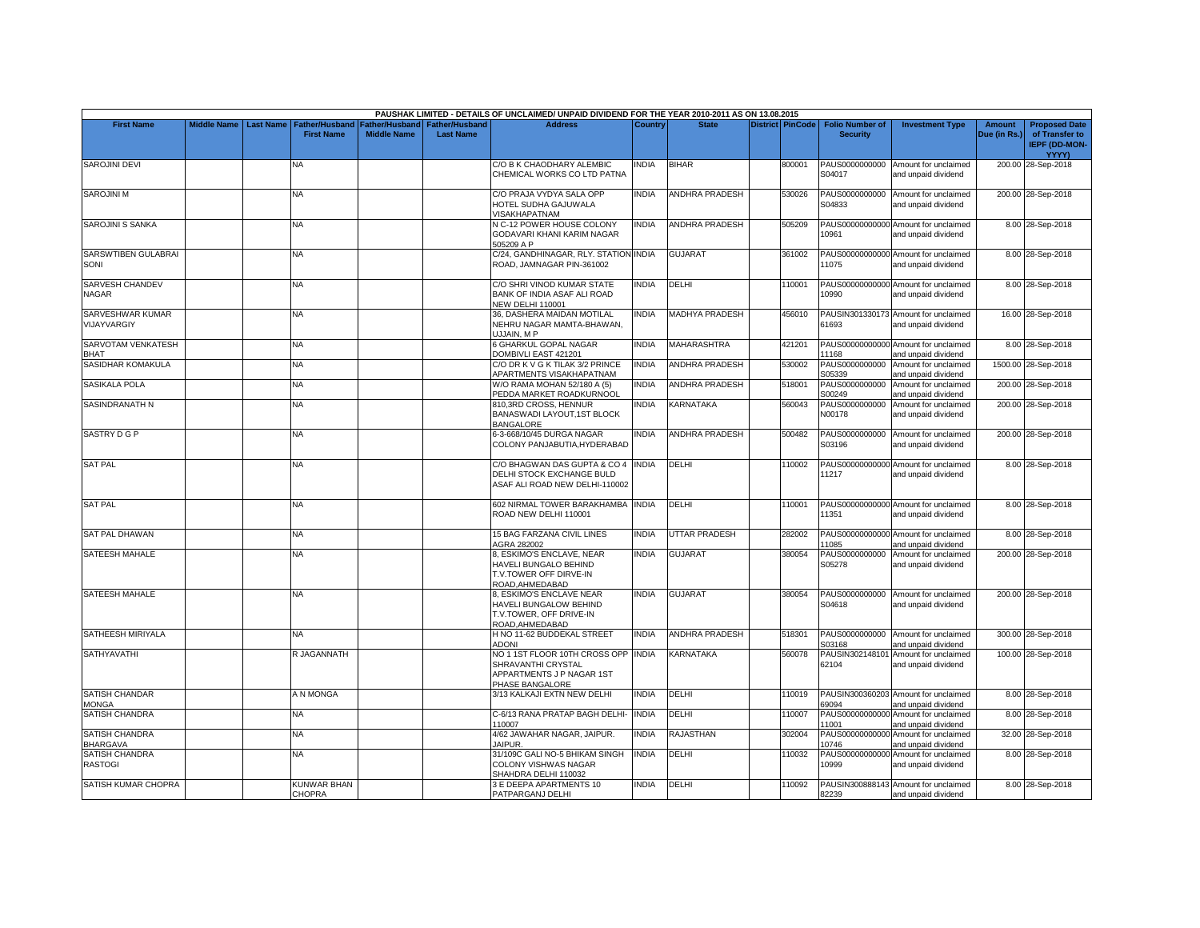|                                          |                    |                  |                                            |                                      |                                           | PAUSHAK LIMITED - DETAILS OF UNCLAIMED/ UNPAID DIVIDEND FOR THE YEAR 2010-2011 AS ON 13.08.2015         |              |                       |                         |                                           |                                                             |                               |                                                                         |
|------------------------------------------|--------------------|------------------|--------------------------------------------|--------------------------------------|-------------------------------------------|---------------------------------------------------------------------------------------------------------|--------------|-----------------------|-------------------------|-------------------------------------------|-------------------------------------------------------------|-------------------------------|-------------------------------------------------------------------------|
| <b>First Name</b>                        | <b>Middle Name</b> | <b>Last Name</b> | <b>Father/Husband</b><br><b>First Name</b> | Father/Husband<br><b>Middle Name</b> | <b>Father/Husband</b><br><b>Last Name</b> | <b>Address</b>                                                                                          | Country      | <b>State</b>          | <b>District PinCode</b> | <b>Folio Number of</b><br><b>Security</b> | <b>Investment Type</b>                                      | <b>Amount</b><br>Due (in Rs.) | <b>Proposed Date</b><br>of Transfer to<br><b>IEPF (DD-MON-</b><br>YYYY) |
| <b>SAROJINI DEVI</b>                     |                    |                  | NA                                         |                                      |                                           | C/O B K CHAODHARY ALEMBIC<br>CHEMICAL WORKS CO LTD PATNA                                                | INDIA        | <b>BIHAR</b>          | 800001                  | S04017                                    | PAUS0000000000 Amount for unclaimed<br>and unpaid dividend  |                               | 200.00 28-Sep-2018                                                      |
| SAROJINI M                               |                    |                  | NA.                                        |                                      |                                           | C/O PRAJA VYDYA SALA OPP<br>HOTEL SUDHA GAJUWALA<br>VISAKHAPATNAM                                       | <b>INDIA</b> | <b>ANDHRA PRADESH</b> | 530026                  | PAUS0000000000<br>S04833                  | Amount for unclaimed<br>and unpaid dividend                 |                               | 200.00 28-Sep-2018                                                      |
| <b>SAROJINI S SANKA</b>                  |                    |                  | NA.                                        |                                      |                                           | N C-12 POWER HOUSE COLONY<br>GODAVARI KHANI KARIM NAGAR<br>505209 A P                                   | <b>INDIA</b> | <b>ANDHRA PRADESH</b> | 505209                  | 10961                                     | PAUS00000000000 Amount for unclaimed<br>and unpaid dividend |                               | 8.00 28-Sep-2018                                                        |
| SARSWTIBEN GULABRAI<br>SONI              |                    |                  | NA.                                        |                                      |                                           | C/24, GANDHINAGAR, RLY. STATION INDIA<br>ROAD, JAMNAGAR PIN-361002                                      |              | <b>GUJARAT</b>        | 361002                  | 11075                                     | PAUS00000000000 Amount for unclaimed<br>and unpaid dividend |                               | 8.00 28-Sep-2018                                                        |
| SARVESH CHANDEV<br><b>NAGAR</b>          |                    |                  | ΝA                                         |                                      |                                           | C/O SHRI VINOD KUMAR STATE<br>BANK OF INDIA ASAF ALI ROAD<br><b>NEW DELHI 110001</b>                    | <b>INDIA</b> | DELHI                 | 110001                  | 10990                                     | PAUS00000000000 Amount for unclaimed<br>and unpaid dividend |                               | 8.00 28-Sep-2018                                                        |
| SARVESHWAR KUMAR<br>VIJAYVARGIY          |                    |                  | NA                                         |                                      |                                           | 36, DASHERA MAIDAN MOTILAL<br>NEHRU NAGAR MAMTA-BHAWAN.<br>JJJAIN, MP                                   | INDIA        | MADHYA PRADESH        | 456010                  | 61693                                     | PAUSIN301330173 Amount for unclaimed<br>and unpaid dividend |                               | 16.00 28-Sep-2018                                                       |
| SARVOTAM VENKATESH<br>BHAT               |                    |                  | NA                                         |                                      |                                           | <b>GHARKUL GOPAL NAGAR</b><br>DOMBIVLI EAST 421201                                                      | <b>INDIA</b> | <b>MAHARASHTRA</b>    | 421201                  | 11168                                     | PAUS00000000000 Amount for unclaimed<br>and unpaid dividend |                               | 8.00 28-Sep-2018                                                        |
| SASIDHAR KOMAKULA                        |                    |                  | ΝA                                         |                                      |                                           | C/O DR K V G K TILAK 3/2 PRINCE<br>APARTMENTS VISAKHAPATNAM                                             | <b>INDIA</b> | ANDHRA PRADESH        | 530002                  | S05339                                    | PAUS0000000000 Amount for unclaimed<br>and unpaid dividend  |                               | 1500.00 28-Sep-2018                                                     |
| SASIKALA POLA                            |                    |                  | <b>NA</b>                                  |                                      |                                           | W/O RAMA MOHAN 52/180 A (5)<br>PEDDA MARKET ROADKURNOOL                                                 | <b>INDIA</b> | <b>ANDHRA PRADESH</b> | 518001                  | PAUS0000000000<br>S00249                  | Amount for unclaimed<br>and unpaid dividend                 |                               | 200.00 28-Sep-2018                                                      |
| <b>SASINDRANATH N</b>                    |                    |                  | NA.                                        |                                      |                                           | <b>310.3RD CROSS, HENNUR</b><br>BANASWADI LAYOUT,1ST BLOCK<br><b>BANGALORE</b>                          | <b>INDIA</b> | <b>KARNATAKA</b>      | 560043                  | PAUS0000000000<br>N00178                  | Amount for unclaimed<br>and unpaid dividend                 |                               | 200.00 28-Sep-2018                                                      |
| SASTRY D G P                             |                    |                  | NA.                                        |                                      |                                           | 6-3-668/10/45 DURGA NAGAR<br>COLONY PANJABUTIA.HYDERABAD                                                | <b>INDIA</b> | <b>ANDHRA PRADESH</b> | 500482                  | S03196                                    | PAUS0000000000 Amount for unclaimed<br>and unpaid dividend  |                               | 200.00 28-Sep-2018                                                      |
| <b>SAT PAL</b>                           |                    |                  | <b>NA</b>                                  |                                      |                                           | C/O BHAGWAN DAS GUPTA & CO 4 INDIA<br>DELHI STOCK EXCHANGE BULD<br>ASAF ALI ROAD NEW DELHI-110002       |              | DELHI                 | 110002                  | 11217                                     | PAUS00000000000 Amount for unclaimed<br>and unpaid dividend |                               | 8.00 28-Sep-2018                                                        |
| <b>SAT PAL</b>                           |                    |                  | <b>NA</b>                                  |                                      |                                           | 602 NIRMAL TOWER BARAKHAMBA<br>ROAD NEW DELHI 110001                                                    | <b>INDIA</b> | DELHI                 | 110001                  | 11351                                     | PAUS00000000000 Amount for unclaimed<br>and unpaid dividend |                               | 8.00 28-Sep-2018                                                        |
| <b>SAT PAL DHAWAN</b>                    |                    |                  | NΑ                                         |                                      |                                           | 15 BAG FARZANA CIVIL LINES<br>AGRA 282002                                                               | <b>INDIA</b> | <b>JTTAR PRADESH</b>  | 282002                  | 11085                                     | PAUS00000000000 Amount for unclaimed<br>and unpaid dividend |                               | 8.00 28-Sep-2018                                                        |
| <b>SATEESH MAHALE</b>                    |                    |                  | NA                                         |                                      |                                           | LESKIMO'S ENCLAVE, NEAR<br>HAVELI BUNGALO BEHIND<br>T.V.TOWER OFF DIRVE-IN<br>ROAD.AHMEDABAD            | <b>INDIA</b> | <b>GUJARAT</b>        | 380054                  | PAUS0000000000<br>S05278                  | Amount for unclaimed<br>and unpaid dividend                 |                               | 200.00 28-Sep-2018                                                      |
| SATEESH MAHALE                           |                    |                  | NA                                         |                                      |                                           | <b>B, ESKIMO'S ENCLAVE NEAR</b><br>HAVELI BUNGALOW BEHIND<br>T.V.TOWER, OFF DRIVE-IN<br>ROAD, AHMEDABAD | <b>INDIA</b> | <b>GUJARAT</b>        | 380054                  | S04618                                    | PAUS0000000000 Amount for unclaimed<br>and unpaid dividend  |                               | 200.00 28-Sep-2018                                                      |
| SATHEESH MIRIYALA                        |                    |                  | <b>NA</b>                                  |                                      |                                           | H NO 11-62 BUDDEKAL STREET<br><b>ADONI</b>                                                              | <b>INDIA</b> | ANDHRA PRADESH        | 518301                  | PAUS0000000000<br>S03168                  | Amount for unclaimed<br>and unpaid dividend                 |                               | 300.00 28-Sep-2018                                                      |
| <b>SATHYAVATHI</b>                       |                    |                  | R JAGANNATH                                |                                      |                                           | NO 1 1ST FLOOR 10TH CROSS OPP<br>SHRAVANTHI CRYSTAL<br>APPARTMENTS J P NAGAR 1ST<br>PHASE BANGALORE     | <b>INDIA</b> | KARNATAKA             | 560078                  | 62104                                     | PAUSIN302148101 Amount for unclaimed<br>and unpaid dividend |                               | 100.00 28-Sep-2018                                                      |
| <b>SATISH CHANDAR</b><br><b>MONGA</b>    |                    |                  | A N MONGA                                  |                                      |                                           | 3/13 KALKAJI EXTN NEW DELHI                                                                             | <b>INDIA</b> | DELHI                 | 110019                  | 69094                                     | PAUSIN300360203 Amount for unclaimed<br>and unpaid dividend |                               | 8.00 28-Sep-2018                                                        |
| <b>SATISH CHANDRA</b>                    |                    |                  | NA                                         |                                      |                                           | C-6/13 RANA PRATAP BAGH DELHI-<br>110007                                                                | <b>INDIA</b> | DELHI                 | 110007                  | 11001                                     | PAUS00000000000 Amount for unclaimed<br>and unpaid dividend |                               | 8.00 28-Sep-2018                                                        |
| <b>SATISH CHANDRA</b><br><b>BHARGAVA</b> |                    |                  | <b>NA</b>                                  |                                      |                                           | 4/62 JAWAHAR NAGAR, JAIPUR.<br><b>JAIPUR.</b>                                                           | <b>INDIA</b> | RAJASTHAN             | 302004                  | PAUS00000000000<br>10746                  | Amount for unclaimed<br>and unpaid dividend                 |                               | 32.00 28-Sep-2018                                                       |
| SATISH CHANDRA<br><b>RASTOGI</b>         |                    |                  | <b>NA</b>                                  |                                      |                                           | 31/109C GALI NO-5 BHIKAM SINGH<br>COLONY VISHWAS NAGAR<br>SHAHDRA DELHI 110032                          | <b>INDIA</b> | DELHI                 | 110032                  | PAUS00000000000<br>10999                  | Amount for unclaimed<br>and unpaid dividend                 |                               | 8.00 28-Sep-2018                                                        |
| SATISH KUMAR CHOPRA                      |                    |                  | KUNWAR BHAN<br><b>CHOPRA</b>               |                                      |                                           | 3 E DEEPA APARTMENTS 10<br>PATPARGANJ DELHI                                                             | <b>INDIA</b> | <b>DELHI</b>          | 110092                  | 82239                                     | PAUSIN300888143 Amount for unclaimed<br>and unpaid dividend |                               | 8.00 28-Sep-2018                                                        |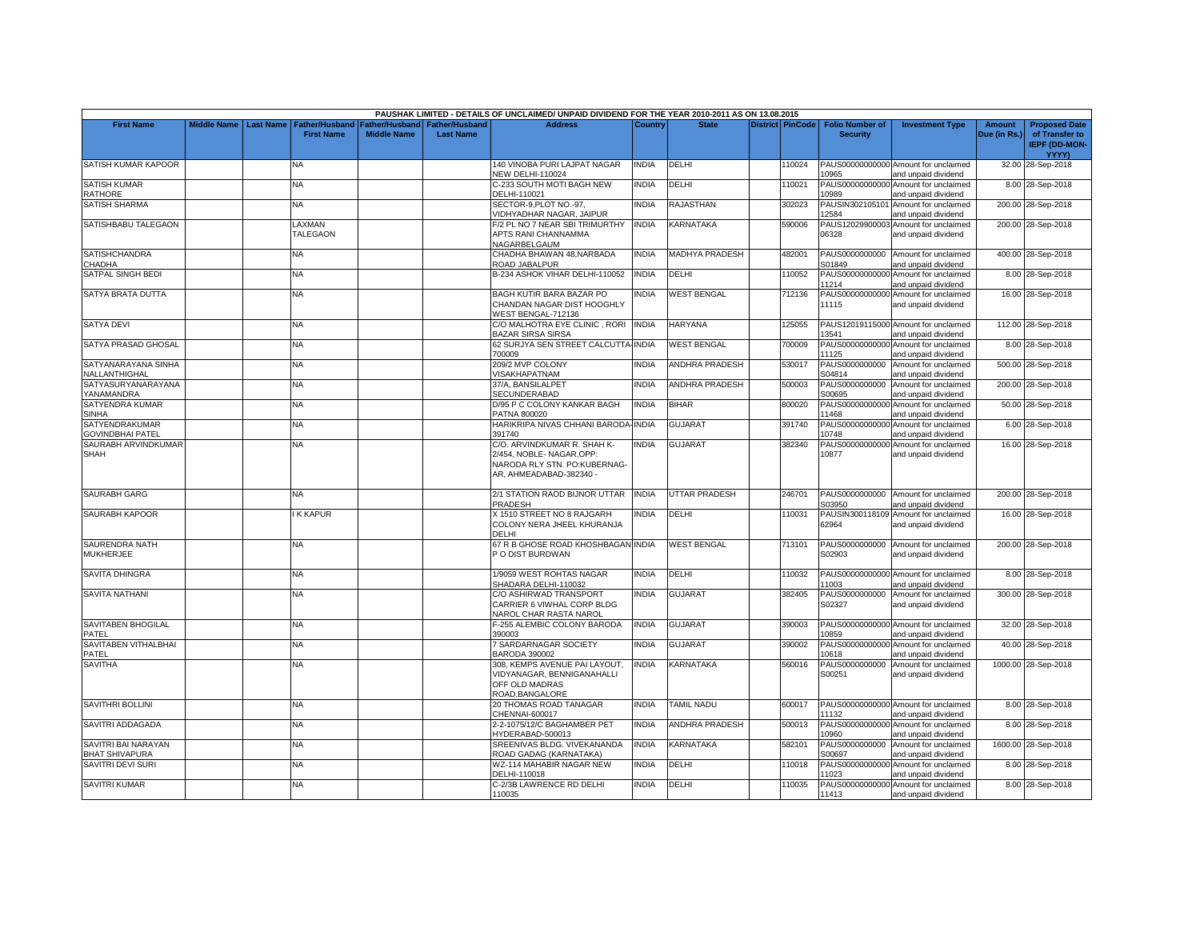|                                                   |                    |                  |                                            |                                             |                                           | PAUSHAK LIMITED - DETAILS OF UNCLAIMED/ UNPAID DIVIDEND FOR THE YEAR 2010-2011 AS ON 13.08.2015 |              |                       |                  |                                           |                                                             |                               |                                                                |
|---------------------------------------------------|--------------------|------------------|--------------------------------------------|---------------------------------------------|-------------------------------------------|-------------------------------------------------------------------------------------------------|--------------|-----------------------|------------------|-------------------------------------------|-------------------------------------------------------------|-------------------------------|----------------------------------------------------------------|
| <b>First Name</b>                                 | <b>Middle Name</b> | <b>Last Name</b> | <b>Father/Husband</b><br><b>First Name</b> | <b>Father/Husband</b><br><b>Middle Name</b> | <b>Father/Husband</b><br><b>Last Name</b> | <b>Address</b>                                                                                  | Country      | <b>State</b>          | District PinCode | <b>Folio Number of</b><br><b>Security</b> | <b>Investment Type</b>                                      | <b>Amount</b><br>Due (in Rs.) | <b>Proposed Date</b><br>of Transfer to<br><b>IEPF (DD-MON-</b> |
|                                                   |                    |                  |                                            |                                             |                                           |                                                                                                 |              |                       |                  |                                           |                                                             |                               | YYYY)                                                          |
| SATISH KUMAR KAPOOR                               |                    |                  | NA                                         |                                             |                                           | 140 VINOBA PURI LAJPAT NAGAR<br>NEW DELHI-110024                                                | <b>INDIA</b> | DELHI                 | 110024           | 10965                                     | PAUS00000000000 Amount for unclaimed<br>and unpaid dividend |                               | 32.00 28-Sep-2018                                              |
| <b>SATISH KUMAR</b><br>RATHORE                    |                    |                  | <b>NA</b>                                  |                                             |                                           | C-233 SOUTH MOTI BAGH NEW<br>DELHI-110021                                                       | <b>NDIA</b>  | DELHI                 | 110021           | PAUS00000000000<br>10989                  | Amount for unclaimed<br>and unpaid dividend                 |                               | 8.00 28-Sep-2018                                               |
| <b>SATISH SHARMA</b>                              |                    |                  | <b>NA</b>                                  |                                             |                                           | SECTOR-9, PLOT NO.-97,<br>VIDHYADHAR NAGAR, JAIPUR                                              | <b>INDIA</b> | <b>RAJASTHAN</b>      | 302023           | PAUSIN302105101<br>12584                  | Amount for unclaimed<br>and unpaid dividend                 |                               | 200.00 28-Sep-2018                                             |
| SATISHBABU TALEGAON                               |                    |                  | <b>AXMAN</b>                               |                                             |                                           | F/2 PL NO 7 NEAR SBI TRIMURTHY                                                                  | <b>INDIA</b> | KARNATAKA             | 590006           | PAUS12029900003                           | Amount for unclaimed                                        |                               | 200.00 28-Sep-2018                                             |
|                                                   |                    |                  | <b>TALEGAON</b>                            |                                             |                                           | APTS RANI CHANNAMMA<br>NAGARBELGAUM                                                             |              |                       |                  | 06328                                     | and unpaid dividend                                         |                               |                                                                |
| <b>SATISHCHANDRA</b><br>CHADHA                    |                    |                  | <b>NA</b>                                  |                                             |                                           | CHADHA BHAWAN 48,NARBADA<br>ROAD JABALPUR                                                       | <b>INDIA</b> | MADHYA PRADESH        | 482001           | PAUS0000000000<br>S01849                  | Amount for unclaimed<br>and unpaid dividend                 |                               | 400.00 28-Sep-2018                                             |
| SATPAL SINGH BEDI                                 |                    |                  | <b>NA</b>                                  |                                             |                                           | B-234 ASHOK VIHAR DELHI-110052                                                                  | <b>INDIA</b> | DELHI                 | 110052           | PAUS00000000000<br>11214                  | Amount for unclaimed<br>and unpaid dividend                 |                               | 8.00 28-Sep-2018                                               |
| SATYA BRATA DUTTA                                 |                    |                  | NΑ                                         |                                             |                                           | BAGH KUTIR BARA BAZAR PO<br>CHANDAN NAGAR DIST HOOGHLY<br>WEST BENGAL-712136                    | <b>NDIA</b>  | <b>WEST BENGAL</b>    | 712136           | 11115                                     | PAUS00000000000 Amount for unclaimed<br>and unpaid dividend |                               | 16.00 28-Sep-2018                                              |
| <b>SATYA DEVI</b>                                 |                    |                  | NA                                         |                                             |                                           | C/O MALHOTRA EYE CLINIC, RORI<br><b>BAZAR SIRSA SIRSA</b>                                       | <b>INDIA</b> | <b>HARYANA</b>        | 125055           | 13541                                     | PAUS12019115000 Amount for unclaimed<br>and unpaid dividend |                               | 112.00 28-Sep-2018                                             |
| SATYA PRASAD GHOSAL                               |                    |                  | NA.                                        |                                             |                                           | 62 SURJYA SEN STREET CALCUTTA-INDIA<br>700009                                                   |              | <b>WEST BENGAL</b>    | 700009           | PAUS00000000000<br>11125                  | Amount for unclaimed<br>and unpaid dividend                 |                               | 8.00 28-Sep-2018                                               |
| SATYANARAYANA SINHA<br>NALLANTHIGHAL              |                    |                  | NA                                         |                                             |                                           | 209/2 MVP COLONY<br>VISAKHAPATNAM                                                               | INDIA        | ANDHRA PRADESH        | 530017           | PAUS0000000000<br>S04814                  | Amount for unclaimed<br>and unpaid dividend                 |                               | 500.00 28-Sep-2018                                             |
| SATYASURYANARAYANA<br>YANAMANDRA                  |                    |                  | <b>NA</b>                                  |                                             |                                           | 37/A, BANSILALPET<br>SECUNDERABAD                                                               | <b>INDIA</b> | <b>ANDHRA PRADESH</b> | 500003           | PAUS0000000000<br>S00695                  | Amount for unclaimed<br>and unpaid dividend                 |                               | 200.00 28-Sep-2018                                             |
| SATYENDRA KUMAR<br><b>SINHA</b>                   |                    |                  | NA.                                        |                                             |                                           | D/95 P C COLONY KANKAR BAGH<br>PATNA 800020                                                     | <b>INDIA</b> | <b>BIHAR</b>          | 800020           | PAUS0000000000<br>11468                   | Amount for unclaimed<br>and unpaid dividend                 |                               | 50.00 28-Sep-2018                                              |
| SATYENDRAKUMAR<br><b>GOVINDBHAI PATEL</b>         |                    |                  | <b>NA</b>                                  |                                             |                                           | HARIKRIPA NIVAS CHHANI BARODA-INDIA<br>391740                                                   |              | <b>GUJARAT</b>        | 391740           | PAUS00000000000                           | Amount for unclaimed                                        |                               | 6.00 28-Sep-2018                                               |
| SAURABH ARVINDKUMAR                               |                    |                  | NA.                                        |                                             |                                           | C/O. ARVINDKUMAR R. SHAH K-                                                                     | <b>NDIA</b>  | <b>GUJARAT</b>        | 382340           | 10748<br>PAUS00000000000                  | and unpaid dividend<br>Amount for unclaimed                 |                               | 16.00 28-Sep-2018                                              |
| <b>SHAH</b>                                       |                    |                  |                                            |                                             |                                           | 2/454, NOBLE-NAGAR, OPP:<br>NARODA RLY STN. PO:KUBERNAG-<br>AR, AHMEADABAD-382340 -             |              |                       |                  | 10877                                     | and unpaid dividend                                         |                               |                                                                |
| <b>SAURABH GARG</b>                               |                    |                  | <b>NA</b>                                  |                                             |                                           | 2/1 STATION RAOD BIJNOR UTTAR<br>PRADESH                                                        | <b>INDIA</b> | <b>UTTAR PRADESH</b>  | 246701           | S03950                                    | PAUS0000000000 Amount for unclaimed<br>and unpaid dividend  |                               | 200.00 28-Sep-2018                                             |
| <b>SAURABH KAPOOR</b>                             |                    |                  | <b>IKKAPUR</b>                             |                                             |                                           | X 1510 STREET NO 8 RAJGARH<br>COLONY NERA JHEEL KHURANJA<br>DELHI                               | INDIA        | DELHI                 | 110031           | 62964                                     | PAUSIN300118109 Amount for unclaimed<br>and unpaid dividend |                               | 16.00 28-Sep-2018                                              |
| SAURENDRA NATH<br><b>MUKHERJEE</b>                |                    |                  | <b>NA</b>                                  |                                             |                                           | 67 R B GHOSE ROAD KHOSHBAGAN INDIA<br>P O DIST BURDWAN                                          |              | <b>WEST BENGAL</b>    | 713101           | S02903                                    | PAUS0000000000 Amount for unclaimed<br>and unpaid dividend  |                               | 200.00 28-Sep-2018                                             |
| <b>SAVITA DHINGRA</b>                             |                    |                  | <b>NA</b>                                  |                                             |                                           | 1/9059 WEST ROHTAS NAGAR<br>SHADARA DELHI-110032                                                | <b>INDIA</b> | DELHI                 | 110032           | 11003                                     | PAUS00000000000 Amount for unclaimed<br>and unpaid dividend |                               | 8.00 28-Sep-2018                                               |
| <b>SAVITA NATHANI</b>                             |                    |                  | NA                                         |                                             |                                           | C/O ASHIRWAD TRANSPORT<br>CARRIER 6 VIWHAL CORP BLDG<br>NAROL CHAR RASTA NAROL                  | NDIA         | GUJARAT               | 382405           | PAUS0000000000<br>S02327                  | Amount for unclaimed<br>and unpaid dividend                 |                               | 300.00 28-Sep-2018                                             |
| SAVITABEN BHOGILAL<br>PATEL                       |                    |                  | <b>NA</b>                                  |                                             |                                           | -255 ALEMBIC COLONY BARODA<br>390003                                                            | <b>INDIA</b> | <b>GUJARAT</b>        | 390003           | 10859                                     | PAUS00000000000 Amount for unclaimed<br>and unpaid dividend |                               | 32.00 28-Sep-2018                                              |
| SAVITABEN VITHALBHAI<br>PATEL                     |                    |                  | <b>NA</b>                                  |                                             |                                           | <b>7 SARDARNAGAR SOCIETY</b><br><b>BARODA 390002</b>                                            | <b>NDIA</b>  | <b>GUJARAT</b>        | 390002           | PAUS00000000000<br>10618                  | Amount for unclaimed<br>and unpaid dividend                 |                               | 40.00 28-Sep-2018                                              |
| <b>SAVITHA</b>                                    |                    |                  | ΝA                                         |                                             |                                           | 308, KEMPS AVENUE PAI LAYOUT<br>VIDYANAGAR, BENNIGANAHALLI<br>OFF OLD MADRAS<br>ROAD, BANGALORE | <b>NDIA</b>  | KARNATAKA             | 560016           | PAUS0000000000<br>S00251                  | Amount for unclaimed<br>and unpaid dividend                 |                               | 1000.00 28-Sep-2018                                            |
| SAVITHRI BOLLINI                                  |                    |                  | <b>NA</b>                                  |                                             |                                           | 20 THOMAS ROAD TANAGAR<br>CHENNAI-600017                                                        | <b>NDIA</b>  | <b>TAMIL NADU</b>     | 600017           | 11132                                     | PAUS00000000000 Amount for unclaimed<br>and unpaid dividend |                               | 8.00 28-Sep-2018                                               |
| SAVITRI ADDAGADA                                  |                    |                  | <b>NA</b>                                  |                                             |                                           | 2-2-1075/12/C BAGHAMBER PET<br>HYDERABAD-500013                                                 | <b>INDIA</b> | <b>ANDHRA PRADESH</b> | 500013           | PAUS00000000000<br>10960                  | Amount for unclaimed<br>and unpaid dividend                 |                               | 8.00 28-Sep-2018                                               |
| SAVITRI BAI NARAYAN                               |                    |                  | NA.                                        |                                             |                                           | SREENIVAS BLDG. VIVEKANANDA                                                                     | <b>INDIA</b> | KARNATAKA             | 582101           | PAUS0000000000<br>S00697                  | Amount for unclaimed                                        |                               | 1600.00 28-Sep-2018                                            |
| <b>BHAT SHIVAPURA</b><br><b>SAVITRI DEVI SURI</b> |                    |                  | NA                                         |                                             |                                           | ROAD GADAG (KARNATAKA)<br>WZ-114 MAHABIR NAGAR NEW                                              | <b>NDIA</b>  | DELHI                 | 110018           | PAUS00000000000                           | and unpaid dividend<br>Amount for unclaimed                 |                               | 8.00 28-Sep-2018                                               |
| <b>SAVITRI KUMAR</b>                              |                    |                  | <b>NA</b>                                  |                                             |                                           | DELHI-110018<br>C-2/3B LAWRENCE RD DELHI                                                        | <b>NDIA</b>  | DELHI                 | 110035           | 11023                                     | and unpaid dividend<br>PAUS00000000000 Amount for unclaimed |                               | 8.00 28-Sep-2018                                               |
|                                                   |                    |                  |                                            |                                             |                                           | 110035                                                                                          |              |                       |                  | 11413                                     | and unpaid dividend                                         |                               |                                                                |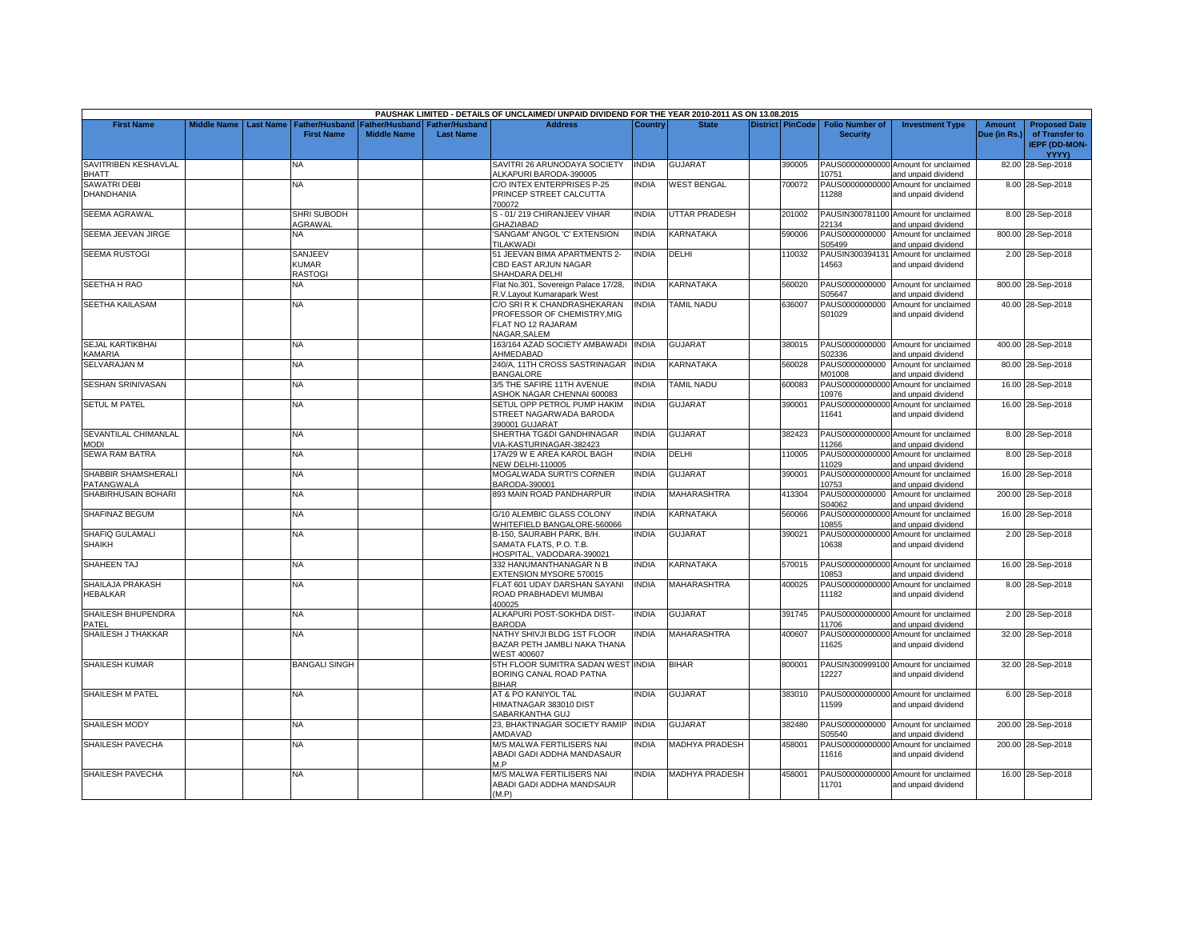|                                    |                    |                  |                                                  |                                      |                                           | PAUSHAK LIMITED - DETAILS OF UNCLAIMED/ UNPAID DIVIDEND FOR THE YEAR 2010-2011 AS ON 13.08.2015         |                |                       |                         |                                           |                                                             |                               |                                                                |
|------------------------------------|--------------------|------------------|--------------------------------------------------|--------------------------------------|-------------------------------------------|---------------------------------------------------------------------------------------------------------|----------------|-----------------------|-------------------------|-------------------------------------------|-------------------------------------------------------------|-------------------------------|----------------------------------------------------------------|
| <b>First Name</b>                  | <b>Middle Name</b> | <b>Last Name</b> | <b>Father/Husband</b><br><b>First Name</b>       | Father/Husband<br><b>Middle Name</b> | <b>Father/Husband</b><br><b>Last Name</b> | <b>Address</b>                                                                                          | <b>Country</b> | <b>State</b>          | <b>District PinCode</b> | <b>Folio Number of</b><br><b>Security</b> | <b>Investment Type</b>                                      | <b>Amount</b><br>Due (in Rs.) | <b>Proposed Date</b><br>of Transfer to<br><b>IEPF (DD-MON-</b> |
| SAVITRIBEN KESHAVLAL               |                    |                  | NA                                               |                                      |                                           | SAVITRI 26 ARUNODAYA SOCIETY                                                                            | <b>INDIA</b>   | <b>GUJARAT</b>        | 390005                  |                                           | PAUS00000000000 Amount for unclaimed                        |                               | YYYY)<br>82.00 28-Sep-2018                                     |
| <b>BHATT</b>                       |                    |                  |                                                  |                                      |                                           | ALKAPURI BARODA-390005                                                                                  |                |                       |                         | 10751                                     | and unpaid dividend                                         |                               |                                                                |
| <b>SAWATRI DEBI</b><br>DHANDHANIA  |                    |                  | NA                                               |                                      |                                           | C/O INTEX ENTERPRISES P-25<br>PRINCEP STREET CALCUTTA<br>700072                                         | <b>INDIA</b>   | <b>WEST BENGAL</b>    | 700072                  | 11288                                     | PAUS00000000000 Amount for unclaimed<br>and unpaid dividend |                               | 8.00 28-Sep-2018                                               |
| <b>SEEMA AGRAWAL</b>               |                    |                  | <b>SHRI SUBODH</b><br>AGRAWAL                    |                                      |                                           | S - 01/219 CHIRANJEEV VIHAR<br><b>GHAZIABAD</b>                                                         | <b>INDIA</b>   | UTTAR PRADESH         | 201002                  | 22134                                     | PAUSIN300781100 Amount for unclaimed<br>and unpaid dividend |                               | 8.00 28-Sep-2018                                               |
| SEEMA JEEVAN JIRGE                 |                    |                  | <b>NA</b>                                        |                                      |                                           | 'SANGAM' ANGOL 'C' EXTENSION<br><b>TILAKWADI</b>                                                        | <b>INDIA</b>   | KARNATAKA             | 590006                  | S05499                                    | PAUS0000000000 Amount for unclaimed<br>and unpaid dividend  |                               | 800.00 28-Sep-2018                                             |
| <b>SEEMA RUSTOGI</b>               |                    |                  | <b>SANJEEV</b><br><b>KUMAR</b><br><b>RASTOGI</b> |                                      |                                           | 51 JEEVAN BIMA APARTMENTS 2-<br>CBD EAST ARJUN NAGAR<br>SHAHDARA DELHI                                  | <b>INDIA</b>   | <b>DELHI</b>          | 110032                  | PAUSIN300394131<br>14563                  | Amount for unclaimed<br>and unpaid dividend                 |                               | 2.00 28-Sep-2018                                               |
| SEETHA H RAO                       |                    |                  | NA                                               |                                      |                                           | Flat No.301, Sovereign Palace 17/28,<br>R.V.Layout Kumarapark West                                      | <b>INDIA</b>   | KARNATAKA             | 560020                  | PAUS0000000000<br>S05647                  | Amount for unclaimed<br>and unpaid dividend                 |                               | 800.00 28-Sep-2018                                             |
| SEETHA KAILASAM                    |                    |                  | NA                                               |                                      |                                           | C/O SRI R K CHANDRASHEKARAN<br>PROFESSOR OF CHEMISTRY, MIG<br>FLAT NO 12 RAJARAM<br><b>NAGAR, SALEM</b> | <b>INDIA</b>   | <b>TAMIL NADU</b>     | 636007                  | PAUS0000000000<br>S01029                  | Amount for unclaimed<br>and unpaid dividend                 |                               | 40.00 28-Sep-2018                                              |
| <b>SEJAL KARTIKBHAI</b><br>KAMARIA |                    |                  | NA.                                              |                                      |                                           | 163/164 AZAD SOCIETY AMBAWADI<br>AHMEDABAD                                                              | <b>INDIA</b>   | <b>GUJARAT</b>        | 380015                  | S02336                                    | PAUS0000000000 Amount for unclaimed<br>and unpaid dividend  |                               | 400.00 28-Sep-2018                                             |
| <b>SELVARAJAN M</b>                |                    |                  | NA                                               |                                      |                                           | 240/A, 11TH CROSS SASTRINAGAR<br>BANGALORE                                                              | <b>INDIA</b>   | KARNATAKA             | 560028                  | PAUS0000000000<br>M01008                  | Amount for unclaimed<br>and unpaid dividend                 |                               | 80.00 28-Sep-2018                                              |
| <b>SESHAN SRINIVASAN</b>           |                    |                  | <b>NA</b>                                        |                                      |                                           | 3/5 THE SAFIRE 11TH AVENUE<br>ASHOK NAGAR CHENNAI 600083                                                | <b>INDIA</b>   | <b>TAMIL NADU</b>     | 600083                  | PAUS00000000000<br>10976                  | Amount for unclaimed<br>and unpaid dividend                 |                               | 16.00 28-Sep-2018                                              |
| <b>SETUL M PATEL</b>               |                    |                  | ΝA                                               |                                      |                                           | SETUL OPP PETROL PUMP HAKIM<br>STREET NAGARWADA BARODA<br>390001 GUJARAT                                | <b>INDIA</b>   | GUJARAT               | 390001                  | PAUS00000000000<br>11641                  | Amount for unclaimed<br>and unpaid dividend                 |                               | 16.00 28-Sep-2018                                              |
| SEVANTILAL CHIMANLAL<br>MODI       |                    |                  | <b>NA</b>                                        |                                      |                                           | SHERTHA TG&DI GANDHINAGAR<br>VIA-KASTURINAGAR-382423                                                    | <b>INDIA</b>   | <b>GUJARAT</b>        | 382423                  | 11266                                     | PAUS00000000000 Amount for unclaimed<br>and unpaid dividend |                               | 8.00 28-Sep-2018                                               |
| <b>SEWA RAM BATRA</b>              |                    |                  | NA.                                              |                                      |                                           | 17A/29 W E AREA KAROL BAGH<br><b>NEW DELHI-110005</b>                                                   | <b>INDIA</b>   | DELHI                 | 110005                  | 11029                                     | PAUS00000000000 Amount for unclaimed<br>and unpaid dividend |                               | 8.00 28-Sep-2018                                               |
| SHABBIR SHAMSHERALI<br>PATANGWALA  |                    |                  | NA                                               |                                      |                                           | <b>MOGALWADA SURTI'S CORNER</b><br>3ARODA-390001                                                        | <b>INDIA</b>   | GUJARAT               | 390001                  | 10753                                     | PAUS00000000000 Amount for unclaimed<br>and unpaid dividend |                               | 16.00 28-Sep-2018                                              |
| SHABIRHUSAIN BOHARI                |                    |                  | NA.                                              |                                      |                                           | 393 MAIN ROAD PANDHARPUR                                                                                | <b>INDIA</b>   | <b>MAHARASHTRA</b>    | 413304                  | PAUS0000000000<br>S04062                  | Amount for unclaimed<br>and unpaid dividend                 |                               | 200.00 28-Sep-2018                                             |
| SHAFINAZ BEGUM                     |                    |                  | NA                                               |                                      |                                           | G/10 ALEMBIC GLASS COLONY<br>WHITEFIELD BANGALORE-560066                                                | INDIA          | KARNATAKA             | 560066                  | PAUS00000000000<br>10855                  | Amount for unclaimed<br>and unpaid dividend                 |                               | 16.00 28-Sep-2018                                              |
| SHAFIQ GULAMALI<br><b>SHAIKH</b>   |                    |                  | <b>NA</b>                                        |                                      |                                           | B-150, SAURABH PARK, B/H.<br>SAMATA FLATS, P.O. T.B.<br>HOSPITAL, VADODARA-390021                       | <b>INDIA</b>   | <b>GUJARAT</b>        | 390021                  | 10638                                     | PAUS00000000000 Amount for unclaimed<br>and unpaid dividend |                               | 2.00 28-Sep-2018                                               |
| SHAHEEN TAJ                        |                    |                  | NA                                               |                                      |                                           | 332 HANUMANTHANAGAR N B<br><b>EXTENSION MYSORE 570015</b>                                               | INDIA          | KARNATAKA             | 570015                  | 10853                                     | PAUS00000000000 Amount for unclaimed<br>and unpaid dividend |                               | 16.00 28-Sep-2018                                              |
| SHAILAJA PRAKASH<br>HEBALKAR       |                    |                  | NA                                               |                                      |                                           | FLAT 601 UDAY DARSHAN SAYANI<br>ROAD PRABHADEVI MUMBAI<br>400025                                        | <b>INDIA</b>   | <b>MAHARASHTRA</b>    | 400025                  | 11182                                     | PAUS00000000000 Amount for unclaimed<br>and unpaid dividend |                               | 8.00 28-Sep-2018                                               |
| SHAILESH BHUPENDRA<br>PATEL        |                    |                  | <b>NA</b>                                        |                                      |                                           | ALKAPURI POST-SOKHDA DIST-<br><b>BARODA</b>                                                             | <b>INDIA</b>   | <b>GUJARAT</b>        | 391745                  | 11706                                     | PAUS00000000000 Amount for unclaimed<br>and unpaid dividend |                               | 2.00 28-Sep-2018                                               |
| SHAILESH J THAKKAR                 |                    |                  | NA                                               |                                      |                                           | NATHY SHIVJI BLDG 1ST FLOOR<br>BAZAR PETH JAMBLI NAKA THANA<br>WEST 400607                              | <b>INDIA</b>   | <b>MAHARASHTRA</b>    | 400607                  | 11625                                     | PAUS00000000000 Amount for unclaimed<br>and unpaid dividend |                               | 32.00 28-Sep-2018                                              |
| <b>SHAILESH KUMAR</b>              |                    |                  | BANGALI SINGH                                    |                                      |                                           | 5TH FLOOR SUMITRA SADAN WEST INDIA<br>BORING CANAL ROAD PATNA<br><b>BIHAR</b>                           |                | <b>BIHAR</b>          | 300001                  | 12227                                     | PAUSIN300999100 Amount for unclaimed<br>and unpaid dividend |                               | 32.00 28-Sep-2018                                              |
| SHAILESH M PATEL                   |                    |                  | NA.                                              |                                      |                                           | <b>AT &amp; PO KANIYOL TAL</b><br>HIMATNAGAR 383010 DIST<br>SABARKANTHA GUJ                             | <b>INDIA</b>   | <b>GUJARAT</b>        | 383010                  | 11599                                     | PAUS00000000000 Amount for unclaimed<br>and unpaid dividend |                               | 6.00 28-Sep-2018                                               |
| SHAILESH MODY                      |                    |                  | NΑ                                               |                                      |                                           | 23, BHAKTINAGAR SOCIETY RAMIP<br>AMDAVAD                                                                | <b>INDIA</b>   | <b>GUJARAT</b>        | 382480                  | S05540                                    | PAUS0000000000 Amount for unclaimed<br>and unpaid dividend  |                               | 200.00 28-Sep-2018                                             |
| SHAILESH PAVECHA                   |                    |                  | <b>NA</b>                                        |                                      |                                           | M/S MALWA FERTILISERS NAI<br>ABADI GADI ADDHA MANDASAUR<br>M P                                          | <b>INDIA</b>   | <b>MADHYA PRADESH</b> | 458001                  | 11616                                     | PAUS00000000000 Amount for unclaimed<br>and unpaid dividend |                               | 200.00 28-Sep-2018                                             |
| SHAILESH PAVECHA                   |                    |                  | <b>NA</b>                                        |                                      |                                           | <b>M/S MALWA FERTILISERS NAI</b><br>ABADI GADI ADDHA MANDSAUR<br>(M.P)                                  | <b>INDIA</b>   | MADHYA PRADESH        | 458001                  | 11701                                     | PAUS00000000000 Amount for unclaimed<br>and unpaid dividend |                               | 16.00 28-Sep-2018                                              |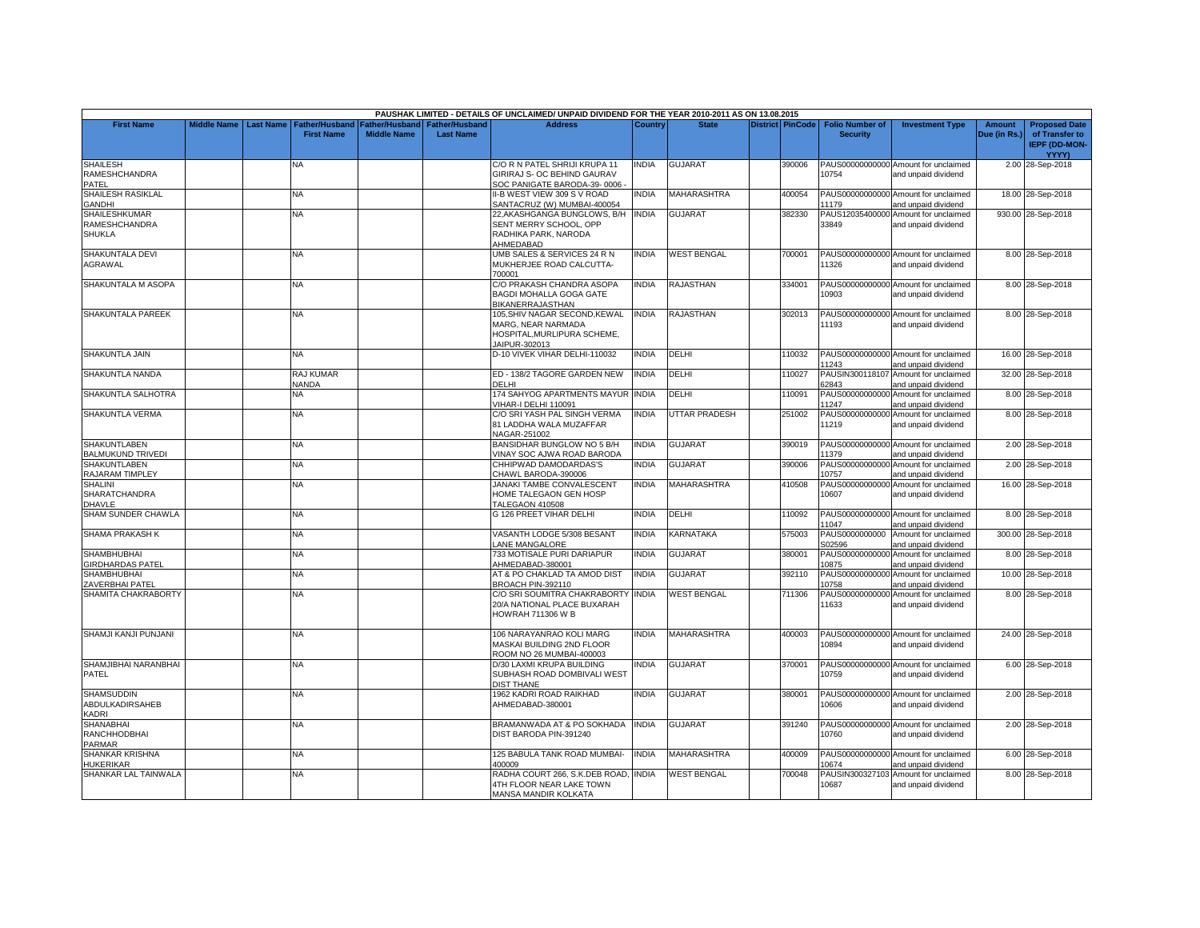|                                                      |             |                  |                                     |                                             |                                           | PAUSHAK LIMITED - DETAILS OF UNCLAIMED/ UNPAID DIVIDEND FOR THE YEAR 2010-2011 AS ON 13.08.2015 |              |                    |                         |                                           |                                                             |                               |                                                                |
|------------------------------------------------------|-------------|------------------|-------------------------------------|---------------------------------------------|-------------------------------------------|-------------------------------------------------------------------------------------------------|--------------|--------------------|-------------------------|-------------------------------------------|-------------------------------------------------------------|-------------------------------|----------------------------------------------------------------|
| <b>First Name</b>                                    | Middle Name | <b>Last Name</b> | Father/Husband<br><b>First Name</b> | <b>Father/Husband</b><br><b>Middle Name</b> | <b>Father/Husband</b><br><b>Last Name</b> | <b>Address</b>                                                                                  | Country      | <b>State</b>       | <b>District PinCode</b> | <b>Folio Number of</b><br><b>Security</b> | <b>Investment Type</b>                                      | <b>Amount</b><br>Due (in Rs.) | <b>Proposed Date</b><br>of Transfer to<br><b>IEPF (DD-MON-</b> |
|                                                      |             |                  |                                     |                                             |                                           |                                                                                                 |              |                    |                         |                                           |                                                             |                               | YYYY)                                                          |
| <b>SHAILESH</b><br>RAMESHCHANDRA<br>PATEL            |             |                  | NA.                                 |                                             |                                           | C/O R N PATEL SHRIJI KRUPA 11<br>GIRIRAJ S- OC BEHIND GAURAV<br>SOC PANIGATE BARODA-39-0006     | INDIA        | <b>GUJARAT</b>     | 390006                  | 10754                                     | PAUS00000000000 Amount for unclaimed<br>and unpaid dividend |                               | 2.00 28-Sep-2018                                               |
| SHAILESH RASIKLAL<br><b>GANDHI</b>                   |             |                  | <b>NA</b>                           |                                             |                                           | II-B WEST VIEW 309 S V ROAD<br>SANTACRUZ (W) MUMBAI-400054                                      | <b>INDIA</b> | MAHARASHTRA        | 400054                  | 11179                                     | PAUS00000000000 Amount for unclaimed<br>and unpaid dividend |                               | 18.00 28-Sep-2018                                              |
| <b>SHAILESHKUMAR</b>                                 |             |                  | NA.                                 |                                             |                                           | 22, AKASHGANGA BUNGLOWS, B/H INDIA                                                              |              | <b>GUJARAT</b>     | 382330                  |                                           | PAUS12035400000 Amount for unclaimed                        |                               | 930.00 28-Sep-2018                                             |
| RAMESHCHANDRA<br><b>SHUKLA</b>                       |             |                  |                                     |                                             |                                           | SENT MERRY SCHOOL, OPP<br>RADHIKA PARK, NARODA<br>AHMEDABAD                                     |              |                    |                         | 33849                                     | and unpaid dividend                                         |                               |                                                                |
| SHAKUNTALA DEVI<br>AGRAWAL                           |             |                  | <b>NA</b>                           |                                             |                                           | UMB SALES & SERVICES 24 R N<br>MUKHERJEE ROAD CALCUTTA-<br>700001                               | <b>INDIA</b> | <b>WEST BENGAL</b> | 700001                  | 11326                                     | PAUS00000000000 Amount for unclaimed<br>and unpaid dividend |                               | 8.00 28-Sep-2018                                               |
| SHAKUNTALA M ASOPA                                   |             |                  | <b>NA</b>                           |                                             |                                           | C/O PRAKASH CHANDRA ASOPA<br><b>BAGDI MOHALLA GOGA GATE</b><br>BIKANERRAJASTHAN                 | <b>INDIA</b> | RAJASTHAN          | 334001                  | 10903                                     | PAUS00000000000 Amount for unclaimed<br>and unpaid dividend |                               | 8.00 28-Sep-2018                                               |
| <b>SHAKUNTALA PAREEK</b>                             |             |                  | NA.                                 |                                             |                                           | 105,SHIV NAGAR SECOND,KEWAL<br>MARG, NEAR NARMADA<br>HOSPITAL.MURLIPURA SCHEME.                 | <b>INDIA</b> | RAJASTHAN          | 302013                  | 11193                                     | PAUS00000000000 Amount for unclaimed<br>and unpaid dividend |                               | 8.00 28-Sep-2018                                               |
| SHAKUNTLA JAIN                                       |             |                  | NA                                  |                                             |                                           | JAIPUR-302013<br>D-10 VIVEK VIHAR DELHI-110032                                                  | <b>INDIA</b> | DELHI              | 110032                  | 11243                                     | PAUS00000000000 Amount for unclaimed<br>and unpaid dividend |                               | 16.00 28-Sep-2018                                              |
| SHAKUNTLA NANDA                                      |             |                  | <b>RAJ KUMAR</b><br><b>NANDA</b>    |                                             |                                           | ED - 138/2 TAGORE GARDEN NEW<br>DELHI                                                           | <b>INDIA</b> | DELHI              | 110027                  | PAUSIN300118107<br>62843                  | Amount for unclaimed<br>and unpaid dividend                 |                               | 32.00 28-Sep-2018                                              |
| SHAKUNTLA SALHOTRA                                   |             |                  | <b>NA</b>                           |                                             |                                           | 174 SAHYOG APARTMENTS MAYUR INDIA<br>VIHAR-I DELHI 110091                                       |              | <b>DELHI</b>       | 110091                  | PAUS00000000000<br>11247                  | Amount for unclaimed<br>and unpaid dividend                 |                               | 8.00 28-Sep-2018                                               |
| SHAKUNTLA VERMA                                      |             |                  | NA                                  |                                             |                                           | C/O SRI YASH PAL SINGH VERMA<br>81 LADDHA WALA MUZAFFAR<br>NAGAR-251002                         | <b>INDIA</b> | UTTAR PRADESH      | 251002                  | PAUS00000000000<br>11219                  | Amount for unclaimed<br>and unpaid dividend                 |                               | 8.00 28-Sep-2018                                               |
| <b>SHAKUNTLABEN</b><br><b>BALMUKUND TRIVEDI</b>      |             |                  | <b>NA</b>                           |                                             |                                           | BANSIDHAR BUNGLOW NO 5 B/H<br>VINAY SOC AJWA ROAD BARODA                                        | <b>INDIA</b> | <b>GUJARAT</b>     | 390019                  | 11379                                     | PAUS00000000000 Amount for unclaimed<br>and unpaid dividend |                               | 2.00 28-Sep-2018                                               |
| <b>SHAKUNTLABEN</b><br>RAJARAM TIMPLEY               |             |                  | NA                                  |                                             |                                           | CHHIPWAD DAMODARDAS'S<br>CHAWL BARODA-390006                                                    | <b>INDIA</b> | GUJARAT            | 390006                  | PAUS00000000000<br>10757                  | Amount for unclaimed<br>and unpaid dividend                 |                               | 2.00 28-Sep-2018                                               |
| <b>SHALINI</b><br>SHARATCHANDRA<br>DHAVLE            |             |                  | <b>NA</b>                           |                                             |                                           | JANAKI TAMBE CONVALESCENT<br>HOME TALEGAON GEN HOSP<br>TALEGAON 410508                          | <b>INDIA</b> | <b>MAHARASHTRA</b> | 410508                  | 10607                                     | PAUS00000000000 Amount for unclaimed<br>and unpaid dividend |                               | 16.00 28-Sep-2018                                              |
| <b>SHAM SUNDER CHAWLA</b>                            |             |                  | NA.                                 |                                             |                                           | G 126 PREET VIHAR DELHI                                                                         | INDIA        | DELHI              | 110092                  | 11047                                     | PAUS00000000000 Amount for unclaimed<br>and unpaid dividend |                               | 8.00 28-Sep-2018                                               |
| SHAMA PRAKASH K                                      |             |                  | NA                                  |                                             |                                           | VASANTH LODGE 5/308 BESANT<br>ANE MANGALORE                                                     | <b>INDIA</b> | KARNATAKA          | 575003                  | PAUS0000000000<br>S02596                  | Amount for unclaimed<br>and unpaid dividend                 |                               | 300.00 28-Sep-2018                                             |
| <b>SHAMBHUBHAI</b><br><b>GIRDHARDAS PATEL</b>        |             |                  | <b>NA</b>                           |                                             |                                           | 733 MOTISALE PURI DARIAPUR<br>AHMEDABAD-380001                                                  | <b>INDIA</b> | GUJARAT            | 380001                  | PAUS00000000000<br>10875                  | Amount for unclaimed<br>and unpaid dividend                 |                               | 8.00 28-Sep-2018                                               |
| <b>SHAMBHUBHAI</b><br>ZAVERBHAI PATEL                |             |                  | <b>NA</b>                           |                                             |                                           | AT & PO CHAKLAD TA AMOD DIST<br>BROACH PIN-392110                                               | <b>INDIA</b> | GUJARAT            | 392110                  | PAUS00000000000<br>10758                  | Amount for unclaimed<br>and unpaid dividend                 |                               | 10.00 28-Sep-2018                                              |
| SHAMITA CHAKRABORTY                                  |             |                  | <b>NA</b>                           |                                             |                                           | C/O SRI SOUMITRA CHAKRABORTY<br>20/A NATIONAL PLACE BUXARAH<br><b>HOWRAH 711306 W B</b>         | <b>INDIA</b> | <b>WEST BENGAL</b> | 711306                  | PAUS00000000000<br>11633                  | Amount for unclaimed<br>and unpaid dividend                 |                               | 8.00 28-Sep-2018                                               |
| SHAMJI KANJI PUNJANI                                 |             |                  | <b>NA</b>                           |                                             |                                           | 106 NARAYANRAO KOLI MARG<br>MASKAI BUILDING 2ND FLOOR<br>ROOM NO 26 MUMBAI-400003               | <b>INDIA</b> | <b>MAHARASHTRA</b> | 400003                  | 10894                                     | PAUS00000000000 Amount for unclaimed<br>and unpaid dividend |                               | 24.00 28-Sep-2018                                              |
| SHAMJIBHAI NARANBHAI<br>PATEL                        |             |                  | NA.                                 |                                             |                                           | D/30 LAXMI KRUPA BUILDING<br>SUBHASH ROAD DOMBIVALI WEST<br>DIST THANE                          | <b>INDIA</b> | <b>GUJARAT</b>     | 370001                  | 10759                                     | PAUS00000000000 Amount for unclaimed<br>and unpaid dividend |                               | 6.00 28-Sep-2018                                               |
| <b>SHAMSUDDIN</b><br>ABDULKADIRSAHEB<br><b>KADRI</b> |             |                  | <b>NA</b>                           |                                             |                                           | 1962 KADRI ROAD RAIKHAD<br>AHMEDABAD-380001                                                     | <b>INDIA</b> | <b>GUJARAT</b>     | 380001                  | 10606                                     | PAUS00000000000 Amount for unclaimed<br>and unpaid dividend |                               | 2.00 28-Sep-2018                                               |
| <b>SHANABHAI</b><br>RANCHHODBHAI<br>PARMAR           |             |                  | <b>NA</b>                           |                                             |                                           | BRAMANWADA AT & PO SOKHADA<br>DIST BARODA PIN-391240                                            | <b>INDIA</b> | GUJARAT            | 391240                  | 10760                                     | PAUS00000000000 Amount for unclaimed<br>and unpaid dividend |                               | 2.00 28-Sep-2018                                               |
| SHANKAR KRISHNA<br>HUKERIKAR                         |             |                  | <b>NA</b>                           |                                             |                                           | 125 BABULA TANK ROAD MUMBAI-<br>400009                                                          | <b>INDIA</b> | <b>MAHARASHTRA</b> | 400009                  | 10674                                     | PAUS00000000000 Amount for unclaimed<br>and unpaid dividend |                               | 6.00 28-Sep-2018                                               |
| SHANKAR LAL TAINWALA                                 |             |                  | ΝA                                  |                                             |                                           | RADHA COURT 266, S.K.DEB ROAD, INDIA<br>4TH FLOOR NEAR LAKE TOWN<br>MANSA MANDIR KOLKATA        |              | <b>WEST BENGAL</b> | 700048                  | PAUSIN300327103<br>10687                  | Amount for unclaimed<br>and unpaid dividend                 |                               | 8.00 28-Sep-2018                                               |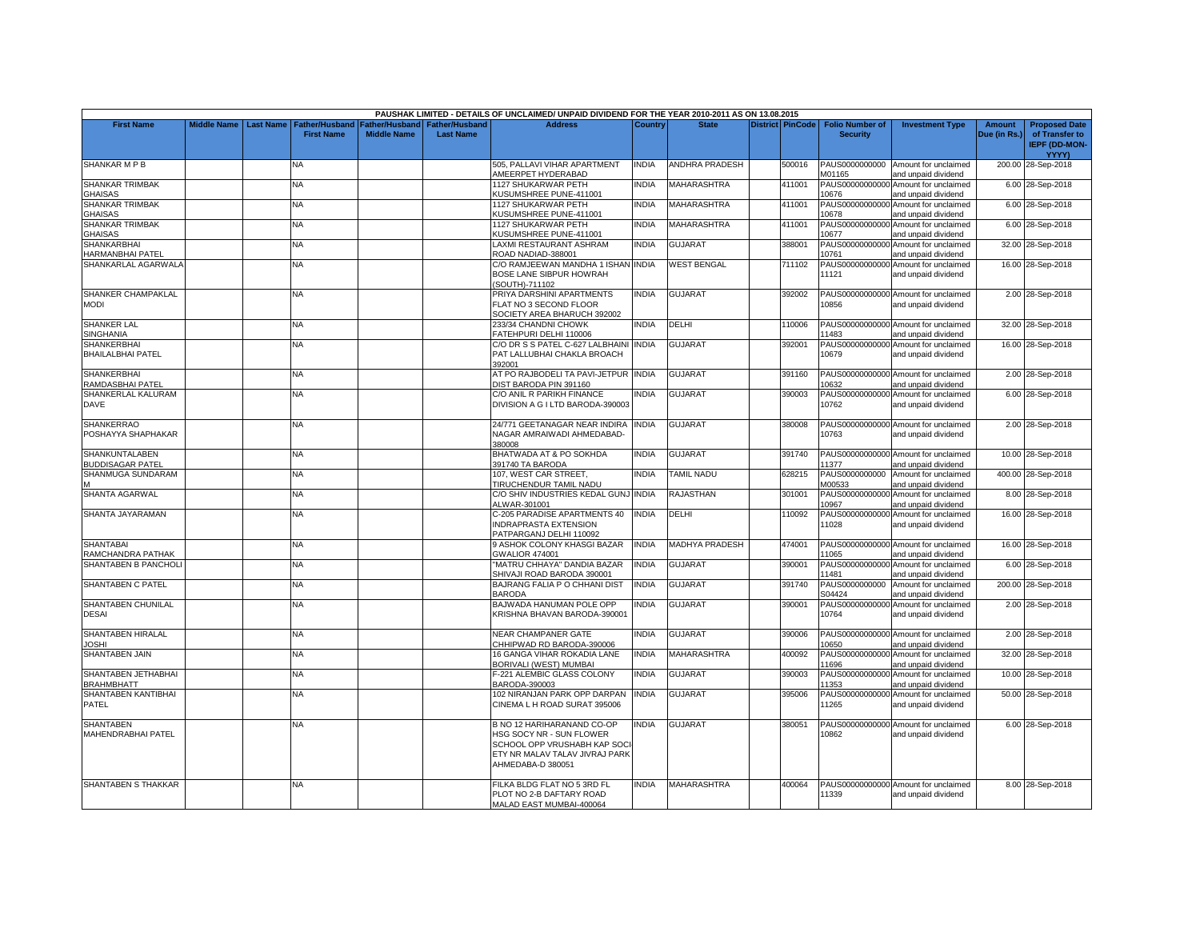|                                                  |                    |                  |                                            |                                             |                                           | PAUSHAK LIMITED - DETAILS OF UNCLAIMED/ UNPAID DIVIDEND FOR THE YEAR 2010-2011 AS ON 13.08.2015                                               |              |                       |                         |                                           |                                                             |                        |                                                                |
|--------------------------------------------------|--------------------|------------------|--------------------------------------------|---------------------------------------------|-------------------------------------------|-----------------------------------------------------------------------------------------------------------------------------------------------|--------------|-----------------------|-------------------------|-------------------------------------------|-------------------------------------------------------------|------------------------|----------------------------------------------------------------|
| <b>First Name</b>                                | <b>Middle Name</b> | <b>Last Name</b> | <b>Father/Husband</b><br><b>First Name</b> | <b>Father/Husband</b><br><b>Middle Name</b> | <b>Father/Husband</b><br><b>Last Name</b> | <b>Address</b>                                                                                                                                | Country      | <b>State</b>          | <b>District PinCode</b> | <b>Folio Number of</b><br><b>Security</b> | <b>Investment Type</b>                                      | Amount<br>Due (in Rs.) | <b>Proposed Date</b><br>of Transfer to<br><b>IEPF (DD-MON-</b> |
|                                                  |                    |                  |                                            |                                             |                                           |                                                                                                                                               |              |                       |                         |                                           |                                                             |                        | <b>YYYY)</b>                                                   |
| <b>SHANKAR M P B</b>                             |                    |                  | NA                                         |                                             |                                           | 505, PALLAVI VIHAR APARTMENT<br>AMEERPET HYDERABAD                                                                                            | <b>INDIA</b> | <b>ANDHRA PRADESH</b> | 500016                  | PAUS0000000000<br>M01165                  | Amount for unclaimed<br>and unpaid dividend                 |                        | 200.00 28-Sep-2018                                             |
| <b>SHANKAR TRIMBAK</b><br><b>GHAISAS</b>         |                    |                  | <b>NA</b>                                  |                                             |                                           | 1127 SHUKARWAR PETH<br>KUSUMSHREE PUNE-411001                                                                                                 | <b>NDIA</b>  | <b>MAHARASHTRA</b>    | 411001                  | PAUS00000000000<br>10676                  | Amount for unclaimed<br>and unpaid dividend                 |                        | 6.00 28-Sep-2018                                               |
| SHANKAR TRIMBAK<br><b>GHAISAS</b>                |                    |                  | NA                                         |                                             |                                           | 1127 SHUKARWAR PETH<br>KUSUMSHREE PUNE-411001                                                                                                 | <b>INDIA</b> | <b>MAHARASHTRA</b>    | 411001                  | PAUS00000000000<br>10678                  | Amount for unclaimed<br>and unpaid dividend                 |                        | 6.00 28-Sep-2018                                               |
| SHANKAR TRIMBAK                                  |                    |                  | <b>NA</b>                                  |                                             |                                           | 1127 SHUKARWAR PETH                                                                                                                           | INDIA        | <b>MAHARASHTRA</b>    | 411001                  | PAUS00000000000                           | Amount for unclaimed                                        |                        | 6.00 28-Sep-2018                                               |
| <b>GHAISAS</b><br><b>SHANKARBHAI</b>             |                    |                  | NA                                         |                                             |                                           | KUSUMSHREE PUNE-411001<br>LAXMI RESTAURANT ASHRAM                                                                                             | INDIA        | <b>GUJARAT</b>        | 388001                  | 10677<br>PAUS00000000000                  | and unpaid dividend<br>Amount for unclaimed                 |                        | 32.00 28-Sep-2018                                              |
| <b>HARMANBHAI PATEL</b>                          |                    |                  |                                            |                                             |                                           | ROAD NADIAD-388001                                                                                                                            |              |                       |                         | 10761                                     | and unpaid dividend                                         |                        |                                                                |
| SHANKARLAL AGARWALA                              |                    |                  | NA                                         |                                             |                                           | C/O RAMJEEWAN MANDHA 1 ISHAN<br>BOSE LANE SIBPUR HOWRAH<br>(SOUTH)-711102                                                                     | <b>INDIA</b> | <b>WEST BENGAL</b>    | 711102                  | 11121                                     | PAUS00000000000 Amount for unclaimed<br>and unpaid dividend |                        | 16.00 28-Sep-2018                                              |
| SHANKER CHAMPAKLAL<br><b>MODI</b>                |                    |                  | <b>NA</b>                                  |                                             |                                           | PRIYA DARSHINI APARTMENTS<br>FLAT NO 3 SECOND FLOOR<br>SOCIETY AREA BHARUCH 392002                                                            | <b>INDIA</b> | <b>GUJARAT</b>        | 392002                  | 10856                                     | PAUS00000000000 Amount for unclaimed<br>and unpaid dividend |                        | 2.00 28-Sep-2018                                               |
| <b>SHANKER LAL</b><br>SINGHANIA                  |                    |                  | ΝA                                         |                                             |                                           | 233/34 CHANDNI CHOWK<br>FATEHPURI DELHI 110006                                                                                                | <b>NDIA</b>  | DELHI                 | 110006                  | 11483                                     | PAUS00000000000 Amount for unclaimed<br>and unpaid dividend |                        | 32.00 28-Sep-2018                                              |
| SHANKERBHAI<br><b>BHAILALBHAI PATEL</b>          |                    |                  | <b>NA</b>                                  |                                             |                                           | C/O DR S S PATEL C-627 LALBHAINI INDIA<br>PAT LALLUBHAI CHAKLA BROACH<br>392001                                                               |              | <b>GUJARAT</b>        | 392001                  | 10679                                     | PAUS00000000000 Amount for unclaimed<br>and unpaid dividend |                        | 16.00 28-Sep-2018                                              |
| <b>SHANKERBHAI</b><br>RAMDASBHAI PATEL           |                    |                  | <b>NA</b>                                  |                                             |                                           | AT PO RAJBODELI TA PAVI-JETPUR INDIA<br>DIST BARODA PIN 391160                                                                                |              | <b>GUJARAT</b>        | 391160                  | 10632                                     | PAUS00000000000 Amount for unclaimed<br>and unpaid dividend |                        | 2.00 28-Sep-2018                                               |
| SHANKERLAL KALURAM                               |                    |                  | NA                                         |                                             |                                           | C/O ANIL R PARIKH FINANCE                                                                                                                     | <b>NDIA</b>  | GUJARAT               | 390003                  |                                           | PAUS00000000000 Amount for unclaimed                        |                        | 6.00 28-Sep-2018                                               |
| <b>DAVE</b>                                      |                    |                  |                                            |                                             |                                           | DIVISION A G I LTD BARODA-390003                                                                                                              |              |                       |                         | 10762                                     | and unpaid dividend                                         |                        |                                                                |
| <b>SHANKERRAO</b><br>POSHAYYA SHAPHAKAR          |                    |                  | NA                                         |                                             |                                           | 24/771 GEETANAGAR NEAR INDIRA<br>NAGAR AMRAIWADI AHMEDABAD-<br>380008                                                                         | <b>INDIA</b> | <b>GUJARAT</b>        | 380008                  | 10763                                     | PAUS00000000000 Amount for unclaimed<br>and unpaid dividend |                        | 2.00 28-Sep-2018                                               |
| <b>SHANKUNTALABEN</b><br><b>BUDDISAGAR PATEL</b> |                    |                  | <b>NA</b>                                  |                                             |                                           | BHATWADA AT & PO SOKHDA<br>391740 TA BARODA                                                                                                   | <b>INDIA</b> | <b>GUJARAT</b>        | 391740                  | 11377                                     | PAUS00000000000 Amount for unclaimed<br>and unpaid dividend |                        | 10.00 28-Sep-2018                                              |
| SHANMUGA SUNDARAM                                |                    |                  | NA                                         |                                             |                                           | 107, WEST CAR STREET,<br>TIRUCHENDUR TAMIL NADU                                                                                               | <b>NDIA</b>  | <b>TAMIL NADU</b>     | 628215                  | PAUS0000000000<br>M00533                  | Amount for unclaimed<br>and unpaid dividend                 |                        | 400.00 28-Sep-2018                                             |
| SHANTA AGARWAL                                   |                    |                  | <b>NA</b>                                  |                                             |                                           | C/O SHIV INDUSTRIES KEDAL GUNJ<br>ALWAR-301001                                                                                                | <b>INDIA</b> | RAJASTHAN             | 301001                  | PAUS00000000000<br>10967                  | Amount for unclaimed<br>and unpaid dividend                 |                        | 8.00 28-Sep-2018                                               |
| SHANTA JAYARAMAN                                 |                    |                  | NA                                         |                                             |                                           | C-205 PARADISE APARTMENTS 40<br><b>INDRAPRASTA EXTENSION</b>                                                                                  | <b>INDIA</b> | DELHI                 | 110092                  | 11028                                     | PAUS00000000000 Amount for unclaimed<br>and unpaid dividend |                        | 16.00 28-Sep-2018                                              |
| <b>SHANTABAI</b>                                 |                    |                  | NA                                         |                                             |                                           | PATPARGANJ DELHI 110092<br>9 ASHOK COLONY KHASGI BAZAR                                                                                        | <b>INDIA</b> | <b>MADHYA PRADESH</b> | 474001                  |                                           | PAUS00000000000 Amount for unclaimed                        |                        | 16.00 28-Sep-2018                                              |
| RAMCHANDRA PATHAK<br>SHANTABEN B PANCHOLI        |                    |                  | NA                                         |                                             |                                           | <b>GWALIOR 474001</b><br>"MATRU CHHAYA" DANDIA BAZAR                                                                                          | INDIA        | <b>GUJARAT</b>        | 390001                  | 11065                                     | and unpaid dividend<br>PAUS00000000000 Amount for unclaimed |                        | 6.00 28-Sep-2018                                               |
| SHANTABEN C PATEL                                |                    |                  | <b>NA</b>                                  |                                             |                                           | SHIVAJI ROAD BARODA 390001<br>BAJRANG FALIA P O CHHANI DIST                                                                                   | <b>INDIA</b> | <b>GUJARAT</b>        | 391740                  | 11481<br>PAUS0000000000                   | and unpaid dividend<br>Amount for unclaimed                 |                        | 200.00 28-Sep-2018                                             |
|                                                  |                    |                  |                                            |                                             |                                           | <b>BARODA</b>                                                                                                                                 |              |                       |                         | S04424                                    | and unpaid dividend                                         |                        |                                                                |
| SHANTABEN CHUNILAL<br><b>DESAI</b>               |                    |                  | NA.                                        |                                             |                                           | BAJWADA HANUMAN POLE OPP<br>KRISHNA BHAVAN BARODA-390001                                                                                      | <b>NDIA</b>  | <b>GUJARAT</b>        | 390001                  | PAUS00000000000<br>10764                  | Amount for unclaimed<br>and unpaid dividend                 |                        | 2.00 28-Sep-2018                                               |
| SHANTABEN HIRALAL<br>JOSHI                       |                    |                  | <b>NA</b>                                  |                                             |                                           | NEAR CHAMPANER GATE<br>CHHIPWAD RD BARODA-390006                                                                                              | <b>NDIA</b>  | <b>GUJARAT</b>        | 390006                  | 10650                                     | PAUS00000000000 Amount for unclaimed<br>and unpaid dividend |                        | 2.00 28-Sep-2018                                               |
| SHANTABEN JAIN                                   |                    |                  | NA.                                        |                                             |                                           | 16 GANGA VIHAR ROKADIA LANE<br>BORIVALI (WEST) MUMBAI                                                                                         | <b>INDIA</b> | <b>MAHARASHTRA</b>    | 400092                  | PAUS00000000000<br>11696                  | Amount for unclaimed<br>and unpaid dividend                 |                        | 32.00 28-Sep-2018                                              |
| SHANTABEN JETHABHAI<br><b>BRAHMBHATT</b>         |                    |                  | NA                                         |                                             |                                           | F-221 ALEMBIC GLASS COLONY<br>BARODA-390003                                                                                                   | <b>INDIA</b> | <b>GUJARAT</b>        | 390003                  | 11353                                     | PAUS00000000000 Amount for unclaimed<br>and unpaid dividend |                        | 10.00 28-Sep-2018                                              |
| SHANTABEN KANTIBHAI<br>PATEL                     |                    |                  | NA                                         |                                             |                                           | 102 NIRANJAN PARK OPP DARPAN<br>CINEMA L H ROAD SURAT 395006                                                                                  | <b>INDIA</b> | GUJARAT               | 395006                  | PAUS00000000000<br>11265                  | Amount for unclaimed<br>and unpaid dividend                 |                        | 50.00 28-Sep-2018                                              |
| <b>SHANTABEN</b><br>MAHENDRABHAI PATEL           |                    |                  | NA.                                        |                                             |                                           | B NO 12 HARIHARANAND CO-OP<br>HSG SOCY NR - SUN FLOWER<br>SCHOOL OPP VRUSHABH KAP SOCI<br>ETY NR MALAV TALAV JIVRAJ PARK<br>AHMEDABA-D 380051 | <b>INDIA</b> | <b>GUJARAT</b>        | 380051                  | PAUS00000000000<br>10862                  | Amount for unclaimed<br>and unpaid dividend                 |                        | 6.00 28-Sep-2018                                               |
| <b>SHANTABEN S THAKKAR</b>                       |                    |                  | <b>NA</b>                                  |                                             |                                           | FILKA BLDG FLAT NO 5 3RD FL<br>PLOT NO 2-B DAFTARY ROAD<br>MALAD EAST MUMBAI-400064                                                           | <b>NDIA</b>  | <b>MAHARASHTRA</b>    | 400064                  | 11339                                     | PAUS00000000000 Amount for unclaimed<br>and unpaid dividend |                        | 8.00 28-Sep-2018                                               |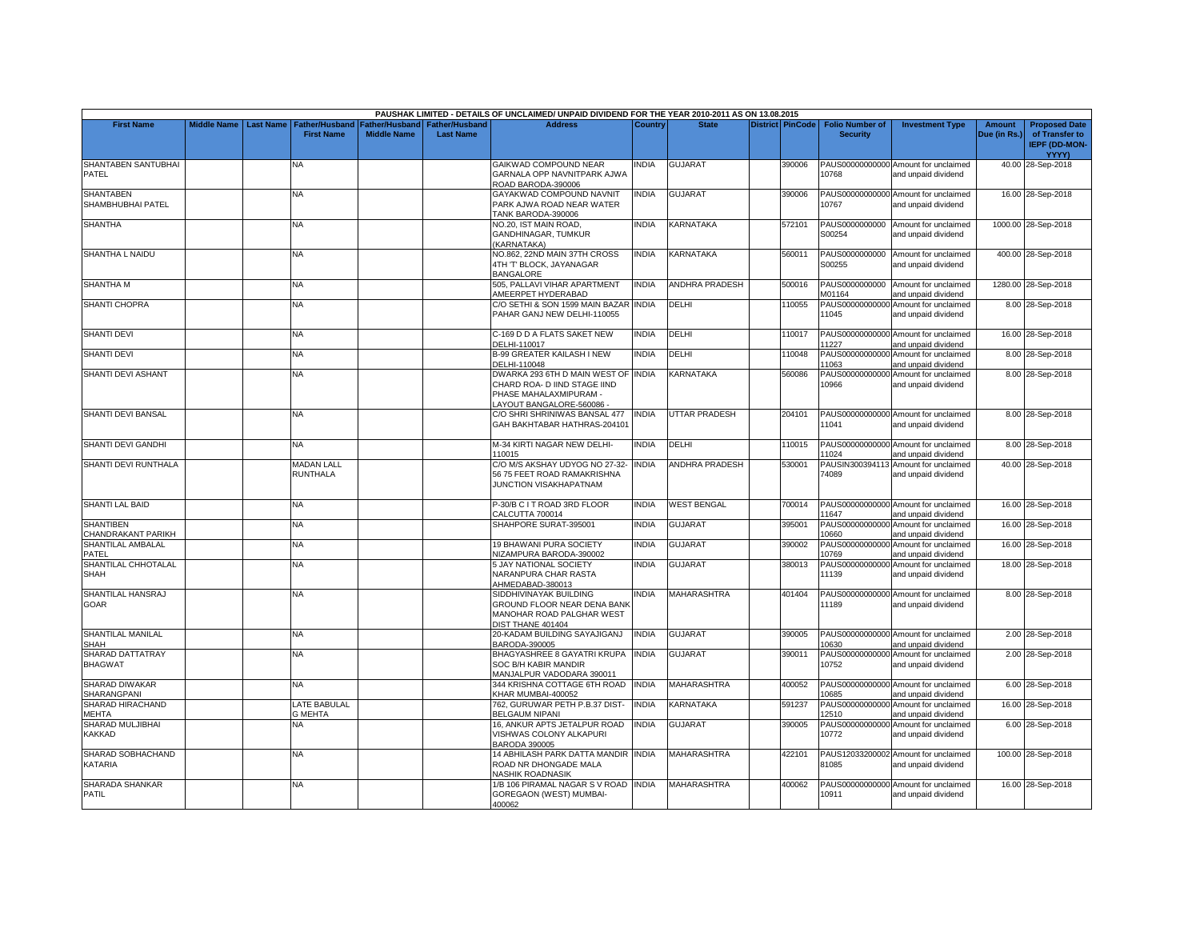|                                        |                    |                  |                                            |                                      |                                           | PAUSHAK LIMITED - DETAILS OF UNCLAIMED/ UNPAID DIVIDEND FOR THE YEAR 2010-2011 AS ON 13.08.2015                            |              |                       |                         |                                           |                                                             |                               |                                                                |
|----------------------------------------|--------------------|------------------|--------------------------------------------|--------------------------------------|-------------------------------------------|----------------------------------------------------------------------------------------------------------------------------|--------------|-----------------------|-------------------------|-------------------------------------------|-------------------------------------------------------------|-------------------------------|----------------------------------------------------------------|
| <b>First Name</b>                      | <b>Middle Name</b> | <b>Last Name</b> | <b>Father/Husband</b><br><b>First Name</b> | Father/Husband<br><b>Middle Name</b> | <b>Father/Husband</b><br><b>Last Name</b> | <b>Address</b>                                                                                                             | Country      | <b>State</b>          | <b>District PinCode</b> | <b>Folio Number of</b><br><b>Security</b> | <b>Investment Type</b>                                      | <b>Amount</b><br>Due (in Rs.) | <b>Proposed Date</b><br>of Transfer to<br><b>IEPF (DD-MON-</b> |
| SHANTABEN SANTUBHAI<br>PATEL           |                    |                  | N٨                                         |                                      |                                           | <b>GAIKWAD COMPOUND NEAR</b><br>GARNALA OPP NAVNITPARK AJWA<br>ROAD BARODA-390006                                          | INDIA        | <b>GUJARAT</b>        | 390006                  | 10768                                     | PAUS00000000000 Amount for unclaimed<br>and unpaid dividend |                               | <b>YYYY)</b><br>40.00 28-Sep-2018                              |
| <b>SHANTABEN</b><br>SHAMBHUBHAI PATEL  |                    |                  | ΝA                                         |                                      |                                           | GAYAKWAD COMPOUND NAVNIT<br>PARK AJWA ROAD NEAR WATER<br>TANK BARODA-390006                                                | <b>INDIA</b> | GUJARAT               | 390006                  | 10767                                     | PAUS00000000000 Amount for unclaimed<br>and unpaid dividend |                               | 16.00 28-Sep-2018                                              |
| <b>SHANTHA</b>                         |                    |                  | NA                                         |                                      |                                           | NO.20, IST MAIN ROAD,<br>GANDHINAGAR, TUMKUR<br>(KARNATAKA)                                                                | <b>INDIA</b> | KARNATAKA             | 572101                  | S00254                                    | PAUS0000000000 Amount for unclaimed<br>and unpaid dividend  |                               | 1000.00 28-Sep-2018                                            |
| SHANTHA L NAIDU                        |                    |                  | NΑ                                         |                                      |                                           | NO.862, 22ND MAIN 37TH CROSS<br>4TH 'T' BLOCK, JAYANAGAR<br><b>BANGALORE</b>                                               | <b>INDIA</b> | KARNATAKA             | 560011                  | PAUS0000000000<br>S00255                  | Amount for unclaimed<br>and unpaid dividend                 |                               | 400.00 28-Sep-2018                                             |
| <b>SHANTHA M</b>                       |                    |                  | NA.                                        |                                      |                                           | 505. PALLAVI VIHAR APARTMENT<br>AMEERPET HYDERABAD                                                                         | <b>INDIA</b> | <b>ANDHRA PRADESH</b> | 500016                  | PAUS0000000000<br>M01164                  | Amount for unclaimed<br>and unpaid dividend                 |                               | 1280.00 28-Sep-2018                                            |
| <b>SHANTI CHOPRA</b>                   |                    |                  | <b>NA</b>                                  |                                      |                                           | C/O SETHI & SON 1599 MAIN BAZAR INDIA<br>PAHAR GANJ NEW DELHI-110055                                                       |              | <b>DELHI</b>          | 110055                  | 11045                                     | PAUS00000000000 Amount for unclaimed<br>and unpaid dividend |                               | 8.00 28-Sep-2018                                               |
| <b>SHANTI DEVI</b>                     |                    |                  | <b>NA</b>                                  |                                      |                                           | C-169 D D A FLATS SAKET NEW<br>DELHI-110017                                                                                | <b>INDIA</b> | DELHI                 | 110017                  | 11227                                     | PAUS00000000000 Amount for unclaimed<br>and unpaid dividend |                               | 16.00 28-Sep-2018                                              |
| <b>SHANTI DEVI</b>                     |                    |                  | NA                                         |                                      |                                           | <b>B-99 GREATER KAILASH I NEW</b><br>DELHI-110048                                                                          | <b>INDIA</b> | DELHI                 | 110048                  | 11063                                     | PAUS00000000000 Amount for unclaimed<br>and unpaid dividend |                               | 8.00 28-Sep-2018                                               |
| SHANTI DEVI ASHANT                     |                    |                  | <b>NA</b>                                  |                                      |                                           | DWARKA 293 6TH D MAIN WEST OF INDIA<br>CHARD ROA- D IIND STAGE IIND<br>PHASE MAHALAXMIPURAM -<br>LAYOUT BANGALORE-560086 - |              | KARNATAKA             | 560086                  | 10966                                     | PAUS00000000000 Amount for unclaimed<br>and unpaid dividend |                               | 8.00 28-Sep-2018                                               |
| SHANTI DEVI BANSAL                     |                    |                  | NA                                         |                                      |                                           | C/O SHRI SHRINIWAS BANSAL 477<br>GAH BAKHTABAR HATHRAS-204101                                                              | <b>INDIA</b> | <b>JTTAR PRADESH</b>  | 204101                  | 11041                                     | PAUS00000000000 Amount for unclaimed<br>and unpaid dividend |                               | 8.00 28-Sep-2018                                               |
| SHANTI DEVI GANDHI                     |                    |                  | <b>NA</b>                                  |                                      |                                           | M-34 KIRTI NAGAR NEW DELHI-<br>110015                                                                                      | <b>INDIA</b> | DELHI                 | 110015                  | 11024                                     | PAUS00000000000 Amount for unclaimed<br>and unpaid dividend |                               | 8.00 28-Sep-2018                                               |
| SHANTI DEVI RUNTHALA                   |                    |                  | <b>MADAN LALL</b><br>RUNTHALA              |                                      |                                           | C/O M/S AKSHAY UDYOG NO 27-32-<br>56 75 FEET ROAD RAMAKRISHNA<br><b>JUNCTION VISAKHAPATNAM</b>                             | INDIA        | <b>ANDHRA PRADESH</b> | 530001                  | 74089                                     | PAUSIN300394113 Amount for unclaimed<br>and unpaid dividend |                               | 40.00 28-Sep-2018                                              |
| <b>SHANTI LAL BAID</b>                 |                    |                  | NA                                         |                                      |                                           | P-30/B C I T ROAD 3RD FLOOR<br>CALCUTTA 700014                                                                             | INDIA        | <b>WEST BENGAL</b>    | 700014                  | 11647                                     | PAUS00000000000 Amount for unclaimed<br>and unpaid dividend |                               | 16.00 28-Sep-2018                                              |
| <b>SHANTIBEN</b><br>CHANDRAKANT PARIKH |                    |                  | NA                                         |                                      |                                           | SHAHPORE SURAT-395001                                                                                                      | INDIA        | GUJARAT               | 395001                  | 10660                                     | PAUS00000000000 Amount for unclaimed<br>and unpaid dividend |                               | 16.00 28-Sep-2018                                              |
| SHANTILAL AMBALAL<br>PATEL             |                    |                  | NA                                         |                                      |                                           | 19 BHAWANI PURA SOCIETY<br>NIZAMPURA BARODA-390002                                                                         | <b>INDIA</b> | <b>GUJARAT</b>        | 390002                  | 10769                                     | PAUS00000000000 Amount for unclaimed<br>and unpaid dividend |                               | 16.00 28-Sep-2018                                              |
| SHANTILAL CHHOTALAL<br><b>SHAH</b>     |                    |                  | NA                                         |                                      |                                           | <b>5 JAY NATIONAL SOCIETY</b><br>NARANPURA CHAR RASTA<br>AHMEDABAD-380013                                                  | <b>INDIA</b> | <b>GUJARAT</b>        | 380013                  | 11139                                     | PAUS00000000000 Amount for unclaimed<br>and unpaid dividend |                               | 18.00 28-Sep-2018                                              |
| SHANTILAL HANSRAJ<br>GOAR              |                    |                  | NA                                         |                                      |                                           | SIDDHIVINAYAK BUILDING<br>GROUND FLOOR NEAR DENA BANK<br>MANOHAR ROAD PALGHAR WEST<br>DIST THANE 401404                    | <b>INDIA</b> | <b>MAHARASHTRA</b>    | 401404                  | 11189                                     | PAUS00000000000 Amount for unclaimed<br>and unpaid dividend |                               | 8.00 28-Sep-2018                                               |
| SHANTILAL MANILAL<br>SHAH              |                    |                  | NA                                         |                                      |                                           | 20-KADAM BUILDING SAYAJIGANJ<br>BARODA-390005                                                                              | <b>INDIA</b> | GUJARAT               | 390005                  | 10630                                     | PAUS00000000000 Amount for unclaimed<br>and unpaid dividend |                               | 2.00 28-Sep-2018                                               |
| SHARAD DATTATRAY<br><b>BHAGWAT</b>     |                    |                  | NA                                         |                                      |                                           | BHAGYASHREE 8 GAYATRI KRUPA<br>SOC B/H KABIR MANDIR<br>MANJALPUR VADODARA 390011                                           | <b>INDIA</b> | GUJARAT               | 390011                  | 10752                                     | PAUS00000000000 Amount for unclaimed<br>and unpaid dividend |                               | 2.00 28-Sep-2018                                               |
| SHARAD DIWAKAR<br>SHARANGPANI          |                    |                  | NA                                         |                                      |                                           | 344 KRISHNA COTTAGE 6TH ROAD<br>KHAR MUMBAI-400052                                                                         | <b>INDIA</b> | MAHARASHTRA           | 400052                  | 10685                                     | PAUS00000000000 Amount for unclaimed<br>and unpaid dividend |                               | 6.00 28-Sep-2018                                               |
| SHARAD HIRACHAND<br><b>MEHTA</b>       |                    |                  | <b>ATE BABULAL</b><br><b>G MEHTA</b>       |                                      |                                           | 762. GURUWAR PETH P.B.37 DIST<br><b>BELGAUM NIPANI</b>                                                                     | <b>INDIA</b> | <b>KARNATAKA</b>      | 591237                  | 12510                                     | PAUS00000000000 Amount for unclaimed<br>and unpaid dividend |                               | 16.00 28-Sep-2018                                              |
| SHARAD MULJIBHAI<br><b>KAKKAD</b>      |                    |                  | ΝA                                         |                                      |                                           | 16, ANKUR APTS JETALPUR ROAD<br>VISHWAS COLONY ALKAPURI<br>BARODA 390005                                                   | <b>INDIA</b> | GUJARAT               | 390005                  | 10772                                     | PAUS00000000000 Amount for unclaimed<br>and unpaid dividend |                               | 6.00 28-Sep-2018                                               |
| SHARAD SOBHACHAND<br>KATARIA           |                    |                  | ΝA                                         |                                      |                                           | 14 ABHILASH PARK DATTA MANDIR INDIA<br>ROAD NR DHONGADE MALA<br>NASHIK ROADNASIK                                           |              | <b>MAHARASHTRA</b>    | 422101                  | 81085                                     | PAUS12033200002 Amount for unclaimed<br>and unpaid dividend |                               | 100.00 28-Sep-2018                                             |
| SHARADA SHANKAR<br><b>PATIL</b>        |                    |                  | NA.                                        |                                      |                                           | 1/B 106 PIRAMAL NAGAR S V ROAD INDIA<br>GOREGAON (WEST) MUMBAI-<br>400062                                                  |              | <b>MAHARASHTRA</b>    | 400062                  | 10911                                     | PAUS00000000000 Amount for unclaimed<br>and unpaid dividend |                               | 16.00 28-Sep-2018                                              |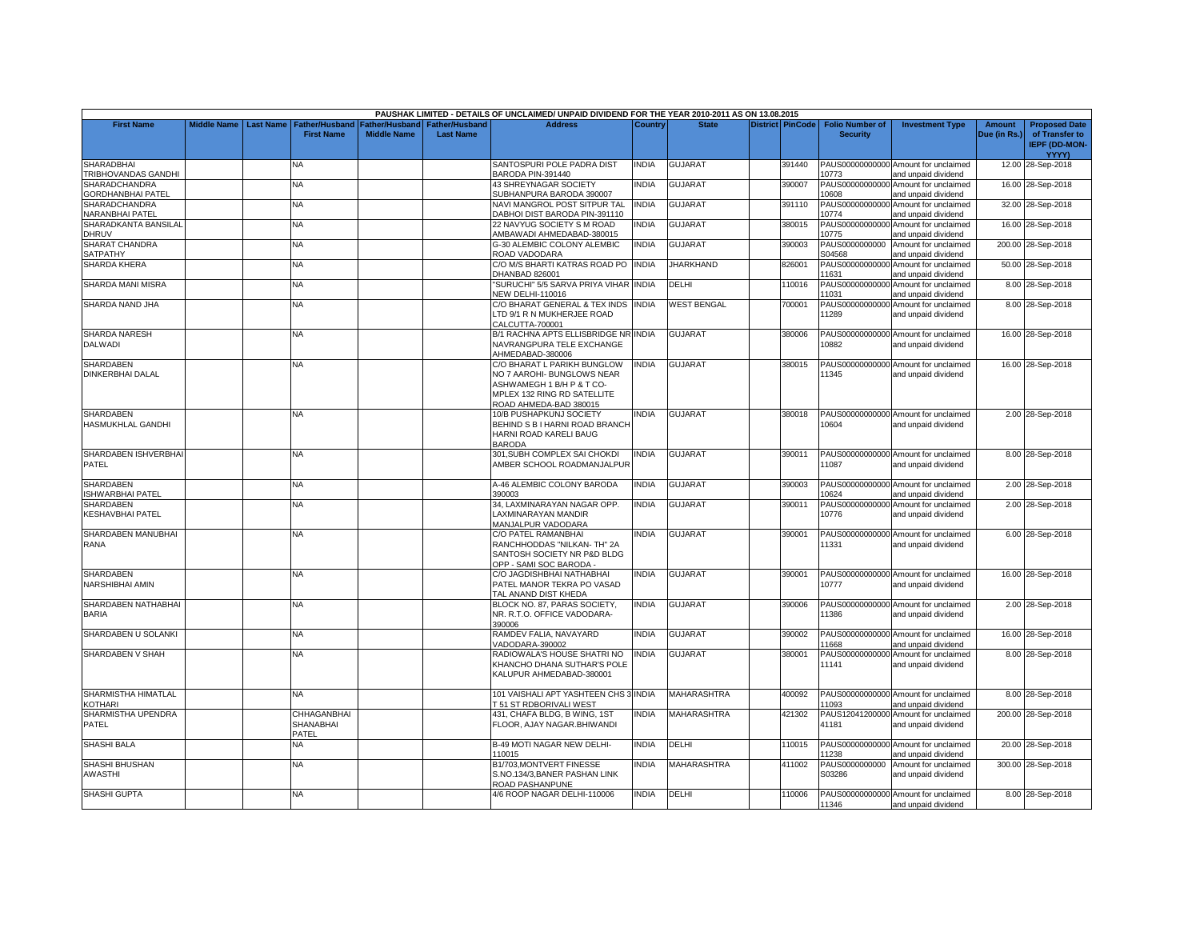|                                                  |                    |                  |                                          |                    |                       | PAUSHAK LIMITED - DETAILS OF UNCLAIMED/ UNPAID DIVIDEND FOR THE YEAR 2010-2011 AS ON 13.08.2015                                                 |                |                    |                         |                           |                                                             |               |                                        |
|--------------------------------------------------|--------------------|------------------|------------------------------------------|--------------------|-----------------------|-------------------------------------------------------------------------------------------------------------------------------------------------|----------------|--------------------|-------------------------|---------------------------|-------------------------------------------------------------|---------------|----------------------------------------|
| <b>First Name</b>                                | <b>Middle Name</b> | <b>Last Name</b> | <b>Father/Husband</b>                    | Father/Husband     | <b>Father/Husband</b> | <b>Address</b>                                                                                                                                  | <b>Country</b> | <b>State</b>       | <b>District PinCode</b> | <b>Folio Number of</b>    | <b>Investment Type</b>                                      | <b>Amount</b> | <b>Proposed Date</b>                   |
|                                                  |                    |                  | <b>First Name</b>                        | <b>Middle Name</b> | <b>Last Name</b>      |                                                                                                                                                 |                |                    |                         | <b>Security</b>           |                                                             | Due (in Rs.)  | of Transfer to<br><b>IEPF (DD-MON-</b> |
|                                                  |                    |                  |                                          |                    |                       |                                                                                                                                                 |                |                    |                         |                           |                                                             |               | <b>YYYY)</b>                           |
| <b>SHARADBHAI</b><br>TRIBHOVANDAS GANDHI         |                    |                  | NA                                       |                    |                       | SANTOSPURI POLE PADRA DIST<br>BARODA PIN-391440                                                                                                 | INDIA          | <b>GUJARAT</b>     | 391440                  | PAUS00000000000<br>10773  | Amount for unclaimed<br>and unpaid dividend                 |               | 12.00 28-Sep-2018                      |
| <b>SHARADCHANDRA</b><br><b>GORDHANBHAI PATEL</b> |                    |                  | <b>NA</b>                                |                    |                       | 43 SHREYNAGAR SOCIETY<br>SUBHANPURA BARODA 390007                                                                                               | <b>NDIA</b>    | <b>GUJARAT</b>     | 390007                  | PAUS00000000000<br>10608  | Amount for unclaimed<br>and unpaid dividend                 |               | 16.00 28-Sep-2018                      |
| <b>SHARADCHANDRA</b>                             |                    |                  | NA                                       |                    |                       | NAVI MANGROL POST SITPUR TAL                                                                                                                    | <b>INDIA</b>   | <b>GUJARAT</b>     | 391110                  | PAUS0000000000<br>10774   | Amount for unclaimed                                        |               | 32.00 28-Sep-2018                      |
| NARANBHAI PATEL<br>SHARADKANTA BANSILAL          |                    |                  | <b>NA</b>                                |                    |                       | DABHOI DIST BARODA PIN-391110<br>22 NAVYUG SOCIETY S M ROAD                                                                                     | <b>INDIA</b>   | <b>GUJARAT</b>     | 380015                  | PAUS00000000000           | and unpaid dividend<br>Amount for unclaimed                 |               | 16.00 28-Sep-2018                      |
| DHRUV<br>SHARAT CHANDRA                          |                    |                  | NA                                       |                    |                       | AMBAWADI AHMEDABAD-380015<br>G-30 ALEMBIC COLONY ALEMBIC                                                                                        | <b>NDIA</b>    | <b>GUJARAT</b>     | 390003                  | 10775<br>PAUS0000000000   | and unpaid dividend<br>Amount for unclaimed                 |               | 200.00 28-Sep-2018                     |
| SATPATHY<br><b>SHARDA KHERA</b>                  |                    |                  | <b>NA</b>                                |                    |                       | ROAD VADODARA<br>C/O M/S BHARTI KATRAS ROAD PO                                                                                                  | <b>INDIA</b>   | JHARKHAND          | 826001                  | S04568<br>PAUS00000000000 | and unpaid dividend<br>Amount for unclaimed                 |               | 50.00 28-Sep-2018                      |
|                                                  |                    |                  |                                          |                    |                       | DHANBAD 826001                                                                                                                                  |                |                    |                         | 11631                     | and unpaid dividend                                         |               |                                        |
| SHARDA MANI MISRA                                |                    |                  | NA.                                      |                    |                       | "SURUCHI" 5/5 SARVA PRIYA VIHAR INDIA<br><b>NEW DELHI-110016</b>                                                                                |                | DELHI              | 110016                  | PAUS00000000000<br>11031  | Amount for unclaimed<br>and unpaid dividend                 |               | 8.00 28-Sep-2018                       |
| SHARDA NAND JHA                                  |                    |                  | <b>NA</b>                                |                    |                       | C/O BHARAT GENERAL & TEX INDS INDIA<br>TD 9/1 R N MUKHERJEE ROAD<br>CALCUTTA-700001                                                             |                | <b>WEST BENGAL</b> | 700001                  | PAUS00000000000<br>11289  | Amount for unclaimed<br>and unpaid dividend                 |               | 8.00 28-Sep-2018                       |
| SHARDA NARESH<br><b>DALWADI</b>                  |                    |                  | <b>NA</b>                                |                    |                       | B/1 RACHNA APTS ELLISBRIDGE NR INDIA<br>NAVRANGPURA TELE EXCHANGE<br>AHMEDABAD-380006                                                           |                | <b>GUJARAT</b>     | 380006                  | 10882                     | PAUS00000000000 Amount for unclaimed<br>and unpaid dividend |               | 16.00 28-Sep-2018                      |
| <b>SHARDABEN</b><br><b>DINKERBHAI DALAL</b>      |                    |                  | NA                                       |                    |                       | C/O BHARAT L PARIKH BUNGLOW<br>NO 7 AAROHI- BUNGLOWS NEAR<br>ASHWAMEGH 1 B/H P & T CO-<br>MPLEX 132 RING RD SATELLITE<br>ROAD AHMEDA-BAD 380015 | INDIA          | <b>GUJARAT</b>     | 380015                  | 11345                     | PAUS00000000000 Amount for unclaimed<br>and unpaid dividend |               | 16.00 28-Sep-2018                      |
| <b>SHARDABEN</b><br><b>HASMUKHLAL GANDHI</b>     |                    |                  | <b>NA</b>                                |                    |                       | 10/B PUSHAPKUNJ SOCIETY<br>BEHIND S B I HARNI ROAD BRANCH<br>HARNI ROAD KARELI BAUG<br><b>BARODA</b>                                            | <b>NDIA</b>    | <b>GUJARAT</b>     | 380018                  | 10604                     | PAUS00000000000 Amount for unclaimed<br>and unpaid dividend |               | 2.00 28-Sep-2018                       |
| SHARDABEN ISHVERBHAI<br>PATEL                    |                    |                  | <b>NA</b>                                |                    |                       | 301.SUBH COMPLEX SAI CHOKDI<br>AMBER SCHOOL ROADMANJALPUR                                                                                       | <b>NDIA</b>    | <b>GUJARAT</b>     | 390011                  | 11087                     | PAUS00000000000 Amount for unclaimed<br>and unpaid dividend |               | 8.00 28-Sep-2018                       |
| <b>SHARDABEN</b><br><b>ISHWARBHAI PATEL</b>      |                    |                  | <b>NA</b>                                |                    |                       | A-46 ALEMBIC COLONY BARODA<br>390003                                                                                                            | <b>NDIA</b>    | <b>GUJARAT</b>     | 390003                  | 10624                     | PAUS00000000000 Amount for unclaimed<br>and unpaid dividend |               | 2.00 28-Sep-2018                       |
| <b>SHARDABEN</b><br><b>KESHAVBHAI PATEL</b>      |                    |                  | NA.                                      |                    |                       | 34, LAXMINARAYAN NAGAR OPP.<br>LAXMINARAYAN MANDIR<br>MANJALPUR VADODARA                                                                        | <b>INDIA</b>   | <b>GUJARAT</b>     | 390011                  | PAUS00000000000<br>10776  | Amount for unclaimed<br>and unpaid dividend                 |               | 2.00 28-Sep-2018                       |
| SHARDABEN MANUBHAI<br>RANA                       |                    |                  | NA.                                      |                    |                       | C/O PATEL RAMANBHAI<br>RANCHHODDAS "NILKAN- TH" 2A<br>SANTOSH SOCIETY NR P&D BLDG<br>OPP - SAMI SOC BARODA                                      | <b>NDIA</b>    | <b>GUJARAT</b>     | 390001                  | 11331                     | PAUS00000000000 Amount for unclaimed<br>and unpaid dividend |               | 6.00 28-Sep-2018                       |
| <b>SHARDABEN</b><br>NARSHIBHAI AMIN              |                    |                  | NA.                                      |                    |                       | C/O JAGDISHBHAI NATHABHAI<br>PATEL MANOR TEKRA PO VASAD<br>TAL ANAND DIST KHEDA                                                                 | INDIA          | <b>GUJARAT</b>     | 390001                  | 10777                     | PAUS00000000000 Amount for unclaimed<br>and unpaid dividend |               | 16.00 28-Sep-2018                      |
| SHARDABEN NATHABHAI<br><b>BARIA</b>              |                    |                  | NA                                       |                    |                       | BLOCK NO. 87. PARAS SOCIETY.<br>NR. R.T.O. OFFICE VADODARA-<br>390006                                                                           | <b>NDIA</b>    | <b>GUJARAT</b>     | 390006                  | 11386                     | PAUS00000000000 Amount for unclaimed<br>and unpaid dividend |               | 2.00 28-Sep-2018                       |
| SHARDABEN U SOLANKI                              |                    |                  | <b>NA</b>                                |                    |                       | RAMDEV FALIA, NAVAYARD<br>VADODARA-390002                                                                                                       | <b>NDIA</b>    | <b>GUJARAT</b>     | 390002                  | 11668                     | PAUS00000000000 Amount for unclaimed<br>and unpaid dividend |               | 16.00 28-Sep-2018                      |
| SHARDABEN V SHAH                                 |                    |                  | NA                                       |                    |                       | RADIOWALA'S HOUSE SHATRI NO<br>KHANCHO DHANA SUTHAR'S POLE<br>KALUPUR AHMEDABAD-380001                                                          | <b>INDIA</b>   | <b>GUJARAT</b>     | 380001                  | PAUS00000000000<br>11141  | Amount for unclaimed<br>and unpaid dividend                 |               | 8.00 28-Sep-2018                       |
| SHARMISTHA HIMATLAL<br>KOTHARI                   |                    |                  | NA.                                      |                    |                       | 101 VAISHALI APT YASHTEEN CHS 3 INDIA<br><b>T 51 ST RDBORIVALI WEST</b>                                                                         |                | <b>MAHARASHTRA</b> | 400092                  | 11093                     | PAUS00000000000 Amount for unclaimed<br>and unpaid dividend |               | 8.00 28-Sep-2018                       |
| SHARMISTHA UPENDRA<br><b>PATEL</b>               |                    |                  | CHHAGANBHAI<br><b>SHANABHAI</b><br>PATEL |                    |                       | 431, CHAFA BLDG, B WING, 1ST<br>FLOOR, AJAY NAGAR.BHIWANDI                                                                                      | INDIA          | MAHARASHTRA        | 421302                  | PAUS12041200000<br>41181  | Amount for unclaimed<br>and unpaid dividend                 |               | 200.00 28-Sep-2018                     |
| <b>SHASHI BALA</b>                               |                    |                  | <b>NA</b>                                |                    |                       | <b>B-49 MOTI NAGAR NEW DELHI-</b><br>110015                                                                                                     | <b>INDIA</b>   | DELHI              | 110015                  | 11238                     | PAUS00000000000 Amount for unclaimed<br>and unpaid dividend |               | 20.00 28-Sep-2018                      |
| <b>SHASHI BHUSHAN</b><br>AWASTHI                 |                    |                  | NΑ                                       |                    |                       | B1/703, MONTVERT FINESSE<br>S.NO.134/3,BANER PASHAN LINK<br>ROAD PASHANPUNE                                                                     | <b>NDIA</b>    | MAHARASHTRA        | 411002                  | PAUS0000000000<br>S03286  | Amount for unclaimed<br>and unpaid dividend                 |               | 300.00 28-Sep-2018                     |
| SHASHI GUPTA                                     |                    |                  | NA.                                      |                    |                       | 4/6 ROOP NAGAR DELHI-110006                                                                                                                     | <b>NDIA</b>    | <b>DELHI</b>       | 110006                  | 11346                     | PAUS00000000000 Amount for unclaimed<br>and unpaid dividend |               | 8.00 28-Sep-2018                       |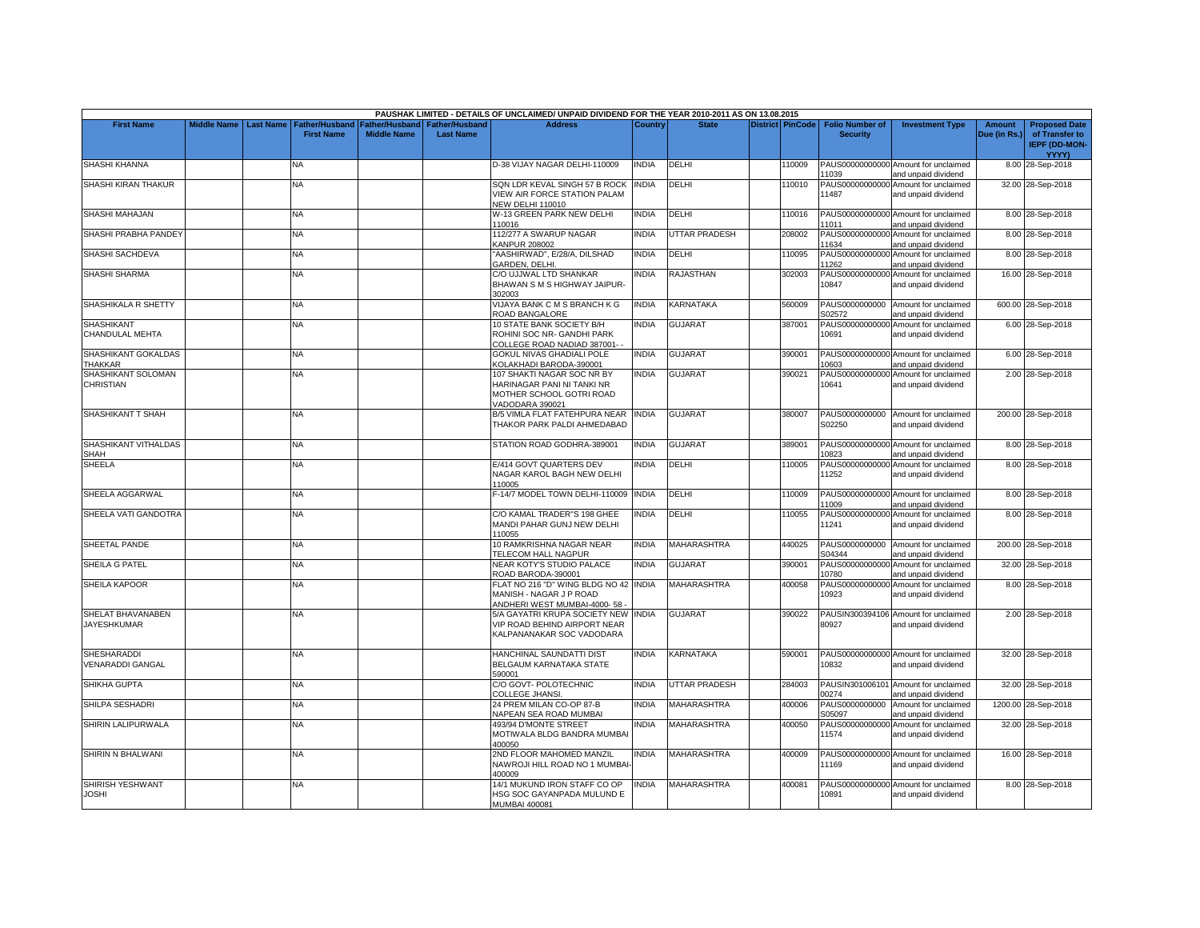|                                         |                    |                  |                                            |                                        |                                           | PAUSHAK LIMITED - DETAILS OF UNCLAIMED/ UNPAID DIVIDEND FOR THE YEAR 2010-2011 AS ON 13.08.2015         |              |                      |                         |                                           |                                                             |                               |                                                                                |
|-----------------------------------------|--------------------|------------------|--------------------------------------------|----------------------------------------|-------------------------------------------|---------------------------------------------------------------------------------------------------------|--------------|----------------------|-------------------------|-------------------------------------------|-------------------------------------------------------------|-------------------------------|--------------------------------------------------------------------------------|
| <b>First Name</b>                       | <b>Middle Name</b> | <b>Last Name</b> | <b>Father/Husband</b><br><b>First Name</b> | Father/Husband I<br><b>Middle Name</b> | <b>Father/Husband</b><br><b>Last Name</b> | <b>Address</b>                                                                                          | Country      | <b>State</b>         | <b>District PinCode</b> | <b>Folio Number of</b><br><b>Security</b> | <b>Investment Type</b>                                      | <b>Amount</b><br>Due (in Rs.) | <b>Proposed Date</b><br>of Transfer to<br><b>IEPF (DD-MON-</b><br><b>YYYY)</b> |
| SHASHI KHANNA                           |                    |                  | NA                                         |                                        |                                           | D-38 VIJAY NAGAR DELHI-110009                                                                           | <b>INDIA</b> | DELHI                | 110009                  | 11039                                     | PAUS00000000000 Amount for unclaimed<br>and unpaid dividend |                               | 8.00 28-Sep-2018                                                               |
| SHASHI KIRAN THAKUR                     |                    |                  | NA                                         |                                        |                                           | SQN LDR KEVAL SINGH 57 B ROCK<br>VIEW AIR FORCE STATION PALAM<br><b>NEW DELHI 110010</b>                | <b>INDIA</b> | DELHI                | 110010                  | 11487                                     | PAUS00000000000 Amount for unclaimed<br>and unpaid dividend |                               | 32.00 28-Sep-2018                                                              |
| SHASHI MAHAJAN                          |                    |                  | NĀ                                         |                                        |                                           | W-13 GREEN PARK NEW DELHI<br>110016                                                                     | <b>INDIA</b> | DELHI                | 110016                  | 11011                                     | PAUS00000000000 Amount for unclaimed<br>and unpaid dividend |                               | 8.00 28-Sep-2018                                                               |
| SHASHI PRABHA PANDEY                    |                    |                  | <b>NA</b>                                  |                                        |                                           | 112/277 A SWARUP NAGAR<br><b>KANPUR 208002</b>                                                          | INDIA        | UTTAR PRADESH        | 208002                  | 11634                                     | PAUS00000000000 Amount for unclaimed<br>and unpaid dividend |                               | 8.00 28-Sep-2018                                                               |
| SHASHI SACHDEVA                         |                    |                  | NA                                         |                                        |                                           | "AASHIRWAD", E/28/A, DILSHAD<br>GARDEN, DELHI                                                           | <b>INDIA</b> | DELHI                | 110095                  | 11262                                     | PAUS00000000000 Amount for unclaimed<br>and unpaid dividend |                               | 8.00 28-Sep-2018                                                               |
| <b>SHASHI SHARMA</b>                    |                    |                  | <b>NA</b>                                  |                                        |                                           | C/O UJJWAL LTD SHANKAR<br>BHAWAN S M S HIGHWAY JAIPUR-<br>302003                                        | <b>INDIA</b> | RAJASTHAN            | 302003                  | 10847                                     | PAUS00000000000 Amount for unclaimed<br>and unpaid dividend |                               | 16.00 28-Sep-2018                                                              |
| SHASHIKALA R SHETTY                     |                    |                  | <b>NA</b>                                  |                                        |                                           | VIJAYA BANK C M S BRANCH K G<br>ROAD BANGALORE                                                          | <b>INDIA</b> | KARNATAKA            | 560009                  | S02572                                    | PAUS0000000000 Amount for unclaimed<br>and unpaid dividend  |                               | 600.00 28-Sep-2018                                                             |
| <b>SHASHIKANT</b><br>CHANDULAL MEHTA    |                    |                  | NA.                                        |                                        |                                           | 10 STATE BANK SOCIETY B/H<br>ROHINI SOC NR- GANDHI PARK<br>COLLEGE ROAD NADIAD 387001-                  | <b>INDIA</b> | GUJARAT              | 387001                  | 10691                                     | PAUS00000000000 Amount for unclaimed<br>and unpaid dividend |                               | 6.00 28-Sep-2018                                                               |
| SHASHIKANT GOKALDAS<br>THAKKAR          |                    |                  | NA                                         |                                        |                                           | GOKUL NIVAS GHADIALI POLE<br>KOLAKHADI BARODA-390001                                                    | <b>INDIA</b> | <b>GUJARAT</b>       | 390001                  | 10603                                     | PAUS00000000000 Amount for unclaimed<br>and unpaid dividend |                               | 6.00 28-Sep-2018                                                               |
| SHASHIKANT SOLOMAN<br>CHRISTIAN         |                    |                  | <b>NA</b>                                  |                                        |                                           | 107 SHAKTI NAGAR SOC NR BY<br>HARINAGAR PANI NI TANKI NR<br>MOTHER SCHOOL GOTRI ROAD<br>VADODARA 390021 | <b>INDIA</b> | <b>GUJARAT</b>       | 390021                  | 10641                                     | PAUS00000000000 Amount for unclaimed<br>and unpaid dividend |                               | 2.00 28-Sep-2018                                                               |
| SHASHIKANT T SHAH                       |                    |                  | NA                                         |                                        |                                           | B/5 VIMLA FLAT FATEHPURA NEAR<br>THAKOR PARK PALDI AHMEDABAD                                            | <b>INDIA</b> | <b>GUJARAT</b>       | 380007                  | S02250                                    | PAUS0000000000 Amount for unclaimed<br>and unpaid dividend  |                               | 200.00 28-Sep-2018                                                             |
| SHASHIKANT VITHALDAS<br>SHAH            |                    |                  | <b>NA</b>                                  |                                        |                                           | STATION ROAD GODHRA-389001                                                                              | <b>INDIA</b> | <b>GUJARAT</b>       | 389001                  | 10823                                     | PAUS00000000000 Amount for unclaimed<br>and unpaid dividend |                               | 8.00 28-Sep-2018                                                               |
| <b>SHEELA</b>                           |                    |                  | N٨                                         |                                        |                                           | E/414 GOVT QUARTERS DEV<br>NAGAR KAROL BAGH NEW DELHI<br>110005                                         | INDIA        | DELHI                | 110005                  | 11252                                     | PAUS00000000000 Amount for unclaimed<br>and unpaid dividend |                               | 8.00 28-Sep-2018                                                               |
| SHEELA AGGARWAL                         |                    |                  | NA.                                        |                                        |                                           | -14/7 MODEL TOWN DELHI-110009                                                                           | <b>INDIA</b> | DELHI                | 110009                  | 11009                                     | PAUS00000000000 Amount for unclaimed<br>and unpaid dividend |                               | 8.00 28-Sep-2018                                                               |
| SHEELA VATI GANDOTRA                    |                    |                  | NA                                         |                                        |                                           | C/O KAMAL TRADER"S 198 GHEE<br>MANDI PAHAR GUNJ NEW DELHI<br>110055                                     | INDIA        | DELHI                | 110055                  | 11241                                     | PAUS00000000000 Amount for unclaimed<br>and unpaid dividend |                               | 8.00 28-Sep-2018                                                               |
| SHEETAL PANDE                           |                    |                  | NA                                         |                                        |                                           | 10 RAMKRISHNA NAGAR NEAR<br>TELECOM HALL NAGPUR                                                         | <b>INDIA</b> | MAHARASHTRA          | 440025                  | PAUS0000000000<br>S04344                  | Amount for unclaimed<br>and unpaid dividend                 |                               | 200.00 28-Sep-2018                                                             |
| SHEILA G PATEL                          |                    |                  | NA                                         |                                        |                                           | NEAR KOTY'S STUDIO PALACE<br>ROAD BARODA-390001                                                         | <b>INDIA</b> | GUJARAT              | 390001                  | PAUS000000000<br>10780                    | Amount for unclaimed<br>and unpaid dividend                 |                               | 32.00 28-Sep-2018                                                              |
| SHEILA KAPOOR                           |                    |                  | <b>NA</b>                                  |                                        |                                           | FLAT NO 216 "D" WING BLDG NO 42 INDIA<br>MANISH - NAGAR J P ROAD<br>ANDHERI WEST MUMBAI-4000-58         |              | <b>MAHARASHTRA</b>   | 400058                  | 10923                                     | PAUS00000000000 Amount for unclaimed<br>and unpaid dividend |                               | 8.00 28-Sep-2018                                                               |
| SHELAT BHAVANABEN<br><b>JAYESHKUMAR</b> |                    |                  | NA                                         |                                        |                                           | 5/A GAYATRI KRUPA SOCIETY NEW INDIA<br>VIP ROAD BEHIND AIRPORT NEAR<br>KALPANANAKAR SOC VADODARA        |              | <b>GUJARAT</b>       | 390022                  | 80927                                     | PAUSIN300394106 Amount for unclaimed<br>and unpaid dividend |                               | 2.00 28-Sep-2018                                                               |
| <b>SHESHARADDI</b><br>VENARADDI GANGAL  |                    |                  | <b>NA</b>                                  |                                        |                                           | HANCHINAL SAUNDATTI DIST<br>BELGAUM KARNATAKA STATE<br>590001                                           | <b>INDIA</b> | KARNATAKA            | 590001                  | 10832                                     | PAUS00000000000 Amount for unclaimed<br>and unpaid dividend |                               | 32.00 28-Sep-2018                                                              |
| SHIKHA GUPTA                            |                    |                  | NA                                         |                                        |                                           | C/O GOVT- POLOTECHNIC<br>COLLEGE JHANSI.                                                                | <b>INDIA</b> | <b>JTTAR PRADESH</b> | 284003                  | 00274                                     | PAUSIN301006101 Amount for unclaimed<br>and unpaid dividend |                               | 32.00 28-Sep-2018                                                              |
| SHILPA SESHADRI                         |                    |                  | NA.                                        |                                        |                                           | 24 PREM MILAN CO-OP 87-B<br>NAPEAN SEA ROAD MUMBAI                                                      | <b>INDIA</b> | <b>MAHARASHTRA</b>   | 400006                  | PAUS0000000000<br>S05097                  | Amount for unclaimed<br>and unpaid dividend                 |                               | 1200.00 28-Sep-2018                                                            |
| SHIRIN LALIPURWALA                      |                    |                  | NA                                         |                                        |                                           | 493/94 D'MONTE STREET<br>MOTIWALA BLDG BANDRA MUMBAI<br>100050                                          | <b>INDIA</b> | <b>MAHARASHTRA</b>   | 400050                  | 11574                                     | PAUS00000000000 Amount for unclaimed<br>and unpaid dividend |                               | 32.00 28-Sep-2018                                                              |
| SHIRIN N BHALWANI                       |                    |                  | ΝA                                         |                                        |                                           | 2ND FLOOR MAHOMED MANZIL<br>NAWROJI HILL ROAD NO 1 MUMBAI-<br>400009                                    | <b>INDIA</b> | <b>MAHARASHTRA</b>   | 400009                  | 11169                                     | PAUS00000000000 Amount for unclaimed<br>and unpaid dividend |                               | 16.00 28-Sep-2018                                                              |
| SHIRISH YESHWANT<br><b>JOSHI</b>        |                    |                  | NA.                                        |                                        |                                           | 14/1 MUKUND IRON STAFF CO OP<br>HSG SOC GAYANPADA MULUND E<br><b>MUMBAI 400081</b>                      | <b>INDIA</b> | <b>MAHARASHTRA</b>   | 400081                  | 10891                                     | PAUS00000000000 Amount for unclaimed<br>and unpaid dividend |                               | 8.00 28-Sep-2018                                                               |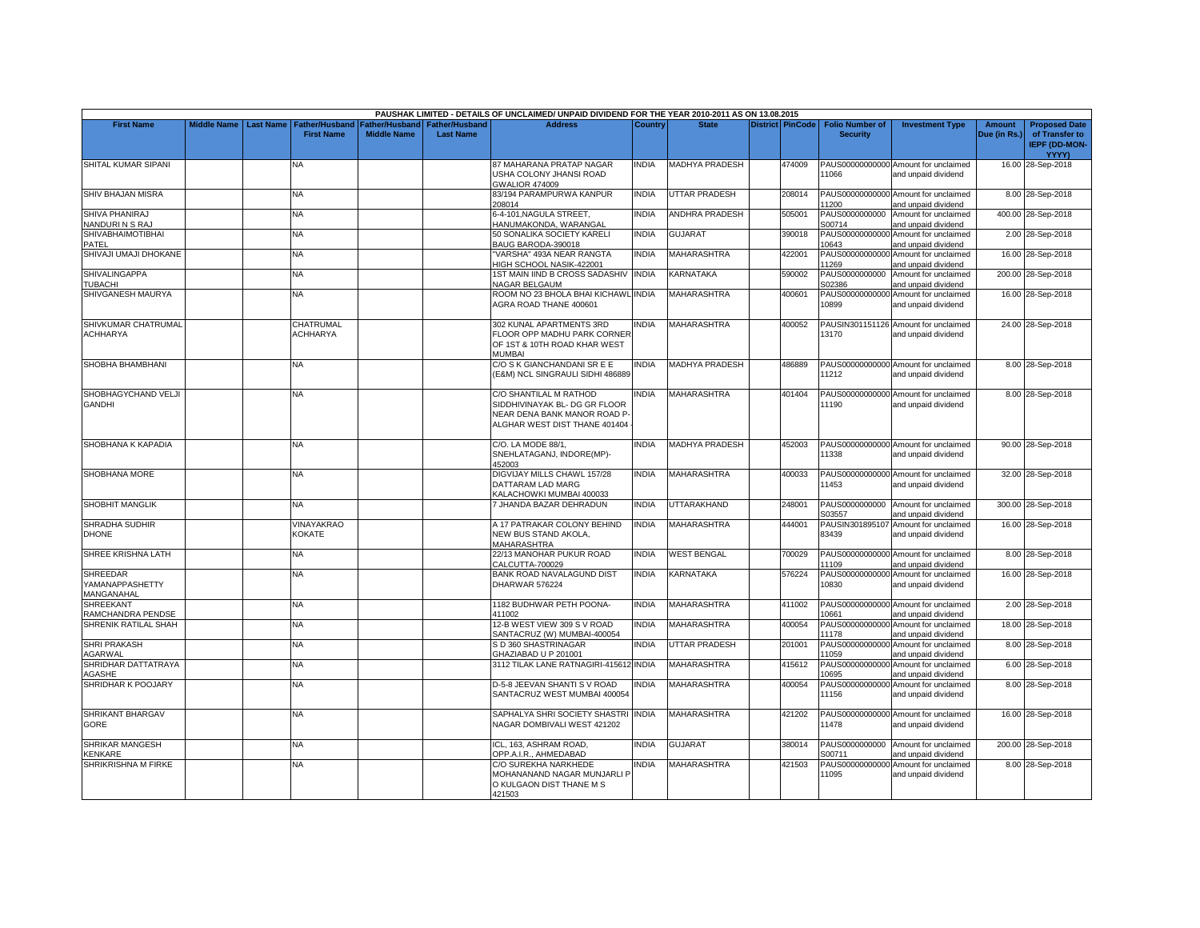|                                           |                    |                  |                                            |                                      |                                           | PAUSHAK LIMITED - DETAILS OF UNCLAIMED/ UNPAID DIVIDEND FOR THE YEAR 2010-2011 AS ON 13.08.2015                          |              |                       |                  |                                           |                                                             |                               |                                                                |
|-------------------------------------------|--------------------|------------------|--------------------------------------------|--------------------------------------|-------------------------------------------|--------------------------------------------------------------------------------------------------------------------------|--------------|-----------------------|------------------|-------------------------------------------|-------------------------------------------------------------|-------------------------------|----------------------------------------------------------------|
| <b>First Name</b>                         | <b>Middle Name</b> | <b>Last Name</b> | <b>Father/Husband</b><br><b>First Name</b> | Father/Husband<br><b>Middle Name</b> | <b>Father/Husband</b><br><b>Last Name</b> | <b>Address</b>                                                                                                           | Country      | <b>State</b>          | District PinCode | <b>Folio Number of</b><br><b>Security</b> | <b>Investment Type</b>                                      | <b>Amount</b><br>Due (in Rs.) | <b>Proposed Date</b><br>of Transfer to<br><b>IEPF (DD-MON-</b> |
| SHITAL KUMAR SIPANI                       |                    |                  | NA                                         |                                      |                                           | 87 MAHARANA PRATAP NAGAR<br>USHA COLONY JHANSI ROAD<br><b>GWALIOR 474009</b>                                             | <b>NDIA</b>  | <b>MADHYA PRADESH</b> | 474009           | 11066                                     | PAUS00000000000 Amount for unclaimed<br>and unpaid dividend |                               | YYYY)<br>16.00 28-Sep-2018                                     |
| SHIV BHAJAN MISRA                         |                    |                  | NA.                                        |                                      |                                           | 83/194 PARAMPURWA KANPUR<br>208014                                                                                       | <b>INDIA</b> | UTTAR PRADESH         | 208014           | 11200                                     | PAUS00000000000 Amount for unclaimed<br>and unpaid dividend |                               | 8.00 28-Sep-2018                                               |
| SHIVA PHANIRAJ<br>NANDURINS RAJ           |                    |                  | <b>NA</b>                                  |                                      |                                           | 6-4-101, NAGULA STREET,<br>HANUMAKONDA, WARANGAL                                                                         | INDIA        | <b>ANDHRA PRADESH</b> | 505001           | S00714                                    | PAUS0000000000 Amount for unclaimed<br>and unpaid dividend  |                               | 400.00 28-Sep-2018                                             |
| <b>SHIVABHAIMOTIBHAI</b><br>PATEL         |                    |                  | NA                                         |                                      |                                           | 50 SONALIKA SOCIETY KARELI<br>BAUG BARODA-390018                                                                         | INDIA        | <b>GUJARAT</b>        | 390018           | 10643                                     | PAUS00000000000 Amount for unclaimed<br>and unpaid dividend |                               | 2.00 28-Sep-2018                                               |
| SHIVAJI UMAJI DHOKANE                     |                    |                  | <b>NA</b>                                  |                                      |                                           | "VARSHA" 493A NEAR RANGTA<br>HIGH SCHOOL NASIK-422001                                                                    | <b>INDIA</b> | <b>MAHARASHTRA</b>    | 422001           | PAUS00000000000<br>11269                  | Amount for unclaimed<br>and unpaid dividend                 |                               | 16.00 28-Sep-2018                                              |
| <b>SHIVALINGAPPA</b><br>TUBACHI           |                    |                  | <b>NA</b>                                  |                                      |                                           | 1ST MAIN IIND B CROSS SADASHIV INDIA<br><b>NAGAR BELGAUM</b>                                                             |              | KARNATAKA             | 590002           | PAUS0000000000<br>S02386                  | Amount for unclaimed<br>and unpaid dividend                 |                               | 200.00 28-Sep-2018                                             |
| SHIVGANESH MAURYA                         |                    |                  | <b>NA</b>                                  |                                      |                                           | ROOM NO 23 BHOLA BHAI KICHAWL INDIA<br>AGRA ROAD THANE 400601                                                            |              | <b>MAHARASHTRA</b>    | 400601           | PAUS00000000000<br>10899                  | Amount for unclaimed<br>and unpaid dividend                 |                               | 16.00 28-Sep-2018                                              |
| SHIVKUMAR CHATRUMAL<br><b>ACHHARYA</b>    |                    |                  | CHATRUMAL<br><b>ACHHARYA</b>               |                                      |                                           | 302 KUNAL APARTMENTS 3RD<br>FLOOR OPP MADHU PARK CORNER<br>OF 1ST & 10TH ROAD KHAR WEST<br><b>MUMBAI</b>                 | <b>INDIA</b> | <b>MAHARASHTRA</b>    | 400052           | 13170                                     | PAUSIN301151126 Amount for unclaimed<br>and unpaid dividend |                               | 24.00 28-Sep-2018                                              |
| SHOBHA BHAMBHANI                          |                    |                  | NA                                         |                                      |                                           | C/O S K GIANCHANDANI SR E E<br>(E&M) NCL SINGRAULI SIDHI 486889                                                          | INDIA        | <b>MADHYA PRADESH</b> | 486889           | 11212                                     | PAUS00000000000 Amount for unclaimed<br>and unpaid dividend |                               | 8.00 28-Sep-2018                                               |
| SHOBHAGYCHAND VELJI<br><b>GANDHI</b>      |                    |                  | NA.                                        |                                      |                                           | C/O SHANTILAL M RATHOD<br>SIDDHIVINAYAK BL- DG GR FLOOR<br>NEAR DENA BANK MANOR ROAD P-<br>ALGHAR WEST DIST THANE 401404 | <b>NDIA</b>  | <b>MAHARASHTRA</b>    | 401404           | 11190                                     | PAUS00000000000 Amount for unclaimed<br>and unpaid dividend |                               | 8.00 28-Sep-2018                                               |
| SHOBHANA K KAPADIA                        |                    |                  | <b>NA</b>                                  |                                      |                                           | C/O. LA MODE 88/1,<br>SNEHLATAGANJ, INDORE(MP)-<br>452003                                                                | <b>INDIA</b> | <b>MADHYA PRADESH</b> | 452003           | 11338                                     | PAUS00000000000 Amount for unclaimed<br>and unpaid dividend |                               | 90.00 28-Sep-2018                                              |
| SHOBHANA MORE                             |                    |                  | NA                                         |                                      |                                           | DIGVIJAY MILLS CHAWL 157/28<br>DATTARAM LAD MARG<br>KALACHOWKI MUMBAI 400033                                             | <b>INDIA</b> | <b>MAHARASHTRA</b>    | 400033           | 11453                                     | PAUS00000000000 Amount for unclaimed<br>and unpaid dividend |                               | 32.00 28-Sep-2018                                              |
| <b>SHOBHIT MANGLIK</b>                    |                    |                  | <b>NA</b>                                  |                                      |                                           | 7 JHANDA BAZAR DEHRADUN                                                                                                  | <b>INDIA</b> | UTTARAKHAND           | 248001           | 303557                                    | PAUS0000000000 Amount for unclaimed<br>and unpaid dividend  |                               | 300.00 28-Sep-2018                                             |
| SHRADHA SUDHIR<br><b>DHONE</b>            |                    |                  | <b>VINAYAKRAO</b><br><b>KOKATE</b>         |                                      |                                           | A 17 PATRAKAR COLONY BEHIND<br>NEW BUS STAND AKOLA.<br>MAHARASHTRA                                                       | <b>NDIA</b>  | <b>MAHARASHTRA</b>    | 444001           | 83439                                     | PAUSIN301895107 Amount for unclaimed<br>and unpaid dividend |                               | 16.00 28-Sep-2018                                              |
| SHREE KRISHNA LATH                        |                    |                  | <b>NA</b>                                  |                                      |                                           | 22/13 MANOHAR PUKUR ROAD<br>CALCUTTA-700029                                                                              | INDIA        | <b>WEST BENGAL</b>    | 700029           | PAUS00000000000<br>11109                  | Amount for unclaimed<br>and unpaid dividend                 |                               | 8.00 28-Sep-2018                                               |
| SHREEDAR<br>YAMANAPPASHETTY<br>MANGANAHAL |                    |                  | NA.                                        |                                      |                                           | BANK ROAD NAVALAGUND DIST<br>DHARWAR 576224                                                                              | <b>NDIA</b>  | <b>KARNATAKA</b>      | 576224           | 10830                                     | PAUS00000000000 Amount for unclaimed<br>and unpaid dividend |                               | 16.00 28-Sep-2018                                              |
| SHREEKANT<br>RAMCHANDRA PENDSE            |                    |                  | NA.                                        |                                      |                                           | 1182 BUDHWAR PETH POONA-<br>411002                                                                                       | INDIA        | <b>MAHARASHTRA</b>    | 411002           | 10661                                     | PAUS00000000000 Amount for unclaimed<br>and unpaid dividend |                               | 2.00 28-Sep-2018                                               |
| SHRENIK RATILAL SHAH                      |                    |                  | <b>NA</b>                                  |                                      |                                           | 12-B WEST VIEW 309 S V ROAD<br>SANTACRUZ (W) MUMBAI-400054                                                               | <b>INDIA</b> | <b>MAHARASHTRA</b>    | 400054           | PAUS00000000000<br>11178                  | Amount for unclaimed<br>and unpaid dividend                 |                               | 18.00 28-Sep-2018                                              |
| <b>SHRI PRAKASH</b><br>AGARWAL            |                    |                  | NA                                         |                                      |                                           | S D 360 SHASTRINAGAR<br>GHAZIABAD U P 201001                                                                             | <b>NDIA</b>  | UTTAR PRADESH         | 201001           | PAUS00000000000<br>11059                  | Amount for unclaimed<br>and unpaid dividend                 |                               | 8.00 28-Sep-2018                                               |
| SHRIDHAR DATTATRAYA<br>AGASHE             |                    |                  | NA                                         |                                      |                                           | 3112 TILAK LANE RATNAGIRI-415612 INDIA                                                                                   |              | MAHARASHTRA           | 415612           | PAUS00000000000<br>10695                  | Amount for unclaimed<br>and unpaid dividend                 |                               | 6.00 28-Sep-2018                                               |
| SHRIDHAR K POOJARY                        |                    |                  | NA.                                        |                                      |                                           | D-5-8 JEEVAN SHANTI S V ROAD<br>SANTACRUZ WEST MUMBAI 400054                                                             | <b>NDIA</b>  | <b>MAHARASHTRA</b>    | 400054           | 11156                                     | PAUS00000000000 Amount for unclaimed<br>and unpaid dividend |                               | 8.00 28-Sep-2018                                               |
| SHRIKANT BHARGAV<br>GORE                  |                    |                  | <b>NA</b>                                  |                                      |                                           | SAPHALYA SHRI SOCIETY SHASTRI INDIA<br>NAGAR DOMBIVALI WEST 421202                                                       |              | MAHARASHTRA           | 421202           | 11478                                     | PAUS00000000000 Amount for unclaimed<br>and unpaid dividend |                               | 16.00 28-Sep-2018                                              |
| SHRIKAR MANGESH<br><b>CENKARE</b>         |                    |                  | <b>NA</b>                                  |                                      |                                           | ICL. 163. ASHRAM ROAD.<br>OPP.A.I.R., AHMEDABAD                                                                          | <b>INDIA</b> | <b>GUJARAT</b>        | 380014           | S00711                                    | PAUS0000000000 Amount for unclaimed<br>and unpaid dividend  |                               | 200.00 28-Sep-2018                                             |
| SHRIKRISHNA M FIRKE                       |                    |                  | NA                                         |                                      |                                           | C/O SUREKHA NARKHEDE<br>MOHANANAND NAGAR MUNJARLI P<br>O KULGAON DIST THANE M S<br>421503                                | NDIA         | <b>MAHARASHTRA</b>    | 421503           | PAUS00000000000<br>11095                  | Amount for unclaimed<br>and unpaid dividend                 |                               | 8.00 28-Sep-2018                                               |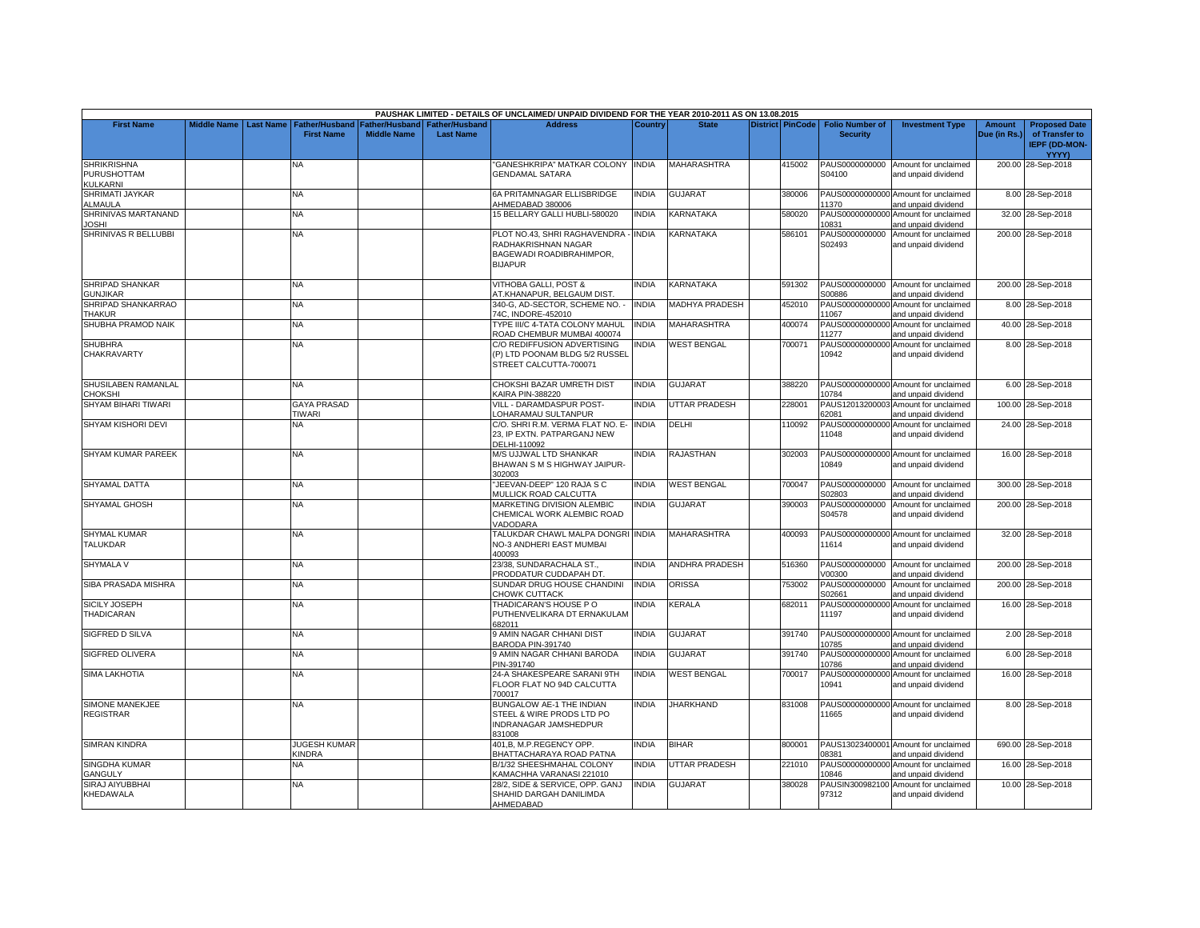|                                                      |                    |                  |                                     |                                      |                                           | PAUSHAK LIMITED - DETAILS OF UNCLAIMED/ UNPAID DIVIDEND FOR THE YEAR 2010-2011 AS ON 13.08.2015   |              |                    |                         |                                           |                                                             |                               |                                                                                |
|------------------------------------------------------|--------------------|------------------|-------------------------------------|--------------------------------------|-------------------------------------------|---------------------------------------------------------------------------------------------------|--------------|--------------------|-------------------------|-------------------------------------------|-------------------------------------------------------------|-------------------------------|--------------------------------------------------------------------------------|
| <b>First Name</b>                                    | <b>Middle Name</b> | <b>Last Name</b> | Father/Husband<br><b>First Name</b> | Father/Husband<br><b>Middle Name</b> | <b>Father/Husband</b><br><b>Last Name</b> | <b>Address</b>                                                                                    | Country      | <b>State</b>       | <b>District PinCode</b> | <b>Folio Number of</b><br><b>Security</b> | <b>Investment Type</b>                                      | <b>Amount</b><br>Due (in Rs.) | <b>Proposed Date</b><br>of Transfer to<br><b>IEPF (DD-MON-</b><br><b>YYYY)</b> |
| <b>SHRIKRISHNA</b><br>PURUSHOTTAM<br><b>KULKARNI</b> |                    |                  | NA                                  |                                      |                                           | GANESHKRIPA" MATKAR COLONY INDIA<br><b>GENDAMAL SATARA</b>                                        |              | <b>MAHARASHTRA</b> | 415002                  | PAUS0000000000<br>S04100                  | Amount for unclaimed<br>and unpaid dividend                 |                               | 200.00 28-Sep-2018                                                             |
| SHRIMATI JAYKAR<br>ALMAULA                           |                    |                  | NA                                  |                                      |                                           | 6A PRITAMNAGAR ELLISBRIDGE<br>AHMEDABAD 380006                                                    | <b>INDIA</b> | <b>GUJARAT</b>     | 380006                  | 11370                                     | PAUS00000000000 Amount for unclaimed<br>and unpaid dividend |                               | 8.00 28-Sep-2018                                                               |
| SHRINIVAS MARTANAND<br><b>IOSHI</b>                  |                    |                  | NA                                  |                                      |                                           | 15 BELLARY GALLI HUBLI-580020                                                                     | <b>INDIA</b> | KARNATAKA          | 580020                  | PAUS00000000000<br>10831                  | Amount for unclaimed<br>and unpaid dividend                 |                               | 32.00 28-Sep-2018                                                              |
| SHRINIVAS R BELLUBBI                                 |                    |                  | NA.                                 |                                      |                                           | PLOT NO.43, SHRI RAGHAVENDRA<br>RADHAKRISHNAN NAGAR<br>BAGEWADI ROADIBRAHIMPOR,<br><b>BIJAPUR</b> | <b>INDIA</b> | <b>KARNATAKA</b>   | 586101                  | PAUS0000000000<br>S02493                  | Amount for unclaimed<br>and unpaid dividend                 |                               | 200.00 28-Sep-2018                                                             |
| SHRIPAD SHANKAR<br><b>GUNJIKAR</b>                   |                    |                  | <b>NA</b>                           |                                      |                                           | VITHOBA GALLI, POST &<br>AT.KHANAPUR, BELGAUM DIST.                                               | <b>INDIA</b> | KARNATAKA          | 591302                  | PAUS0000000000<br>S00886                  | Amount for unclaimed<br>and unpaid dividend                 |                               | 200.00 28-Sep-2018                                                             |
| SHRIPAD SHANKARRAO<br><b>THAKUR</b>                  |                    |                  | <b>NA</b>                           |                                      |                                           | 340-G. AD-SECTOR. SCHEME NO.<br>74C. INDORE-452010                                                | <b>INDIA</b> | MADHYA PRADESH     | 452010                  | PAUS00000000000<br>11067                  | Amount for unclaimed<br>and unpaid dividend                 |                               | 8.00 28-Sep-2018                                                               |
| SHUBHA PRAMOD NAIK                                   |                    |                  | ΝA                                  |                                      |                                           | TYPE III/C 4-TATA COLONY MAHUL<br>ROAD CHEMBUR MUMBAI 400074                                      | <b>INDIA</b> | MAHARASHTRA        | 400074                  | PAUS00000000000<br>11277                  | Amount for unclaimed<br>and unpaid dividend                 |                               | 40.00 28-Sep-2018                                                              |
| <b>SHUBHRA</b><br>CHAKRAVARTY                        |                    |                  | <b>NA</b>                           |                                      |                                           | C/O REDIFFUSION ADVERTISING<br>(P) LTD POONAM BLDG 5/2 RUSSEL<br>STREET CALCUTTA-700071           | <b>INDIA</b> | <b>WEST BENGAL</b> | 700071                  | 10942                                     | PAUS00000000000 Amount for unclaimed<br>and unpaid dividend |                               | 8.00 28-Sep-2018                                                               |
| SHUSILABEN RAMANLAL<br>CHOKSHI                       |                    |                  | NA.                                 |                                      |                                           | CHOKSHI BAZAR UMRETH DIST<br>KAIRA PIN-388220                                                     | <b>INDIA</b> | <b>GUJARAT</b>     | 388220                  | 10784                                     | PAUS00000000000 Amount for unclaimed<br>and unpaid dividend |                               | 6.00 28-Sep-2018                                                               |
| SHYAM BIHARI TIWARI                                  |                    |                  | <b>GAYA PRASAD</b><br><b>TIWARI</b> |                                      |                                           | VILL - DARAMDASPUR POST-<br>OHARAMAU SULTANPUR                                                    | <b>INDIA</b> | UTTAR PRADESH      | 228001                  | 62081                                     | PAUS12013200003 Amount for unclaimed<br>and unpaid dividend |                               | 100.00 28-Sep-2018                                                             |
| SHYAM KISHORI DEVI                                   |                    |                  | NA.                                 |                                      |                                           | C/O. SHRI R.M. VERMA FLAT NO. E-<br>23, IP EXTN. PATPARGANJ NEW<br>DELHI-110092                   | <b>INDIA</b> | DELHI              | 110092                  | PAUS00000000000<br>11048                  | Amount for unclaimed<br>and unpaid dividend                 |                               | 24.00 28-Sep-2018                                                              |
| SHYAM KUMAR PAREEK                                   |                    |                  | NA.                                 |                                      |                                           | <b>M/S UJJWAL LTD SHANKAR</b><br>BHAWAN S M S HIGHWAY JAIPUR-<br>302003                           | <b>INDIA</b> | RAJASTHAN          | 302003                  | 10849                                     | PAUS00000000000 Amount for unclaimed<br>and unpaid dividend |                               | 16.00 28-Sep-2018                                                              |
| <b>SHYAMAL DATTA</b>                                 |                    |                  | NA                                  |                                      |                                           | JEEVAN-DEEP" 120 RAJA S C<br><b>MULLICK ROAD CALCUTTA</b>                                         | <b>INDIA</b> | <b>WEST BENGAL</b> | 700047                  | PAUS0000000000<br>S02803                  | Amount for unclaimed<br>and unpaid dividend                 |                               | 300.00 28-Sep-2018                                                             |
| SHYAMAL GHOSH                                        |                    |                  | NA                                  |                                      |                                           | <b>MARKETING DIVISION ALEMBIC</b><br>CHEMICAL WORK ALEMBIC ROAD<br><b>/ADODARA</b>                | <b>INDIA</b> | GUJARAT            | 390003                  | PAUS0000000000<br>S04578                  | Amount for unclaimed<br>and unpaid dividend                 |                               | 200.00 28-Sep-2018                                                             |
| <b>SHYMAL KUMAR</b><br><b>TALUKDAR</b>               |                    |                  | NΑ                                  |                                      |                                           | TALUKDAR CHAWL MALPA DONGRI INDIA<br>NO-3 ANDHERI EAST MUMBAI<br>400093                           |              | MAHARASHTRA        | 400093                  | 11614                                     | PAUS00000000000 Amount for unclaimed<br>and unpaid dividend |                               | 32.00 28-Sep-2018                                                              |
| <b>SHYMALA V</b>                                     |                    |                  | NA                                  |                                      |                                           | 23/38, SUNDARACHALA ST.,<br>PRODDATUR CUDDAPAH DT.                                                | <b>INDIA</b> | ANDHRA PRADESH     | 516360                  | V00300                                    | PAUS0000000000 Amount for unclaimed<br>and unpaid dividend  |                               | 200.00 28-Sep-2018                                                             |
| SIBA PRASADA MISHRA                                  |                    |                  | <b>NA</b>                           |                                      |                                           | SUNDAR DRUG HOUSE CHANDINI<br>CHOWK CUTTACK                                                       | <b>INDIA</b> | <b>ORISSA</b>      | 753002                  | PAUS0000000000<br>S02661                  | Amount for unclaimed<br>and unpaid dividend                 |                               | 200.00 28-Sep-2018                                                             |
| SICILY JOSEPH<br>THADICARAN                          |                    |                  | ΝA                                  |                                      |                                           | THADICARAN'S HOUSE PO<br>PUTHENVELIKARA DT ERNAKULAM<br>682011                                    | <b>INDIA</b> | KERALA             | 682011                  | 11197                                     | PAUS00000000000 Amount for unclaimed<br>and unpaid dividend |                               | 16.00 28-Sep-2018                                                              |
| SIGFRED D SILVA                                      |                    |                  | NA.                                 |                                      |                                           | <b>JAMIN NAGAR CHHANI DIST</b><br>BARODA PIN-391740                                               | <b>INDIA</b> | GUJARAT            | 391740                  | 10785                                     | PAUS00000000000 Amount for unclaimed<br>and unpaid dividend |                               | 2.00 28-Sep-2018                                                               |
| <b>SIGFRED OLIVERA</b>                               |                    |                  | <b>NA</b>                           |                                      |                                           | <b>3 AMIN NAGAR CHHANI BARODA</b><br>PIN-391740                                                   | <b>INDIA</b> | <b>GUJARAT</b>     | 391740                  | 10786                                     | PAUS00000000000 Amount for unclaimed<br>and unpaid dividend |                               | 6.00 28-Sep-2018                                                               |
| <b>SIMA LAKHOTIA</b>                                 |                    |                  | NA.                                 |                                      |                                           | 24-A SHAKESPEARE SARANI 9TH<br>FLOOR FLAT NO 94D CALCUTTA<br>700017                               | <b>INDIA</b> | <b>WEST BENGAL</b> | 700017                  | 10941                                     | PAUS00000000000 Amount for unclaimed<br>and unpaid dividend |                               | 16.00 28-Sep-2018                                                              |
| SIMONE MANEKJEE<br><b>REGISTRAR</b>                  |                    |                  | NA.                                 |                                      |                                           | BUNGALOW AE-1 THE INDIAN<br>STEEL & WIRE PRODS LTD PO<br>INDRANAGAR JAMSHEDPUR<br>31008           | <b>INDIA</b> | <b>JHARKHAND</b>   | 831008                  | 11665                                     | PAUS00000000000 Amount for unclaimed<br>and unpaid dividend |                               | 8.00 28-Sep-2018                                                               |
| <b>SIMRAN KINDRA</b>                                 |                    |                  | <b>JUGESH KUMAR</b><br>KINDRA       |                                      |                                           | 401, B, M.P.REGENCY OPP.<br>BHATTACHARAYA ROAD PATNA                                              | <b>INDIA</b> | <b>BIHAR</b>       | 800001                  | 08381                                     | PAUS13023400001 Amount for unclaimed<br>and unpaid dividend |                               | 690.00 28-Sep-2018                                                             |
| SINGDHA KUMAR<br><b>GANGULY</b>                      |                    |                  | NA                                  |                                      |                                           | B/1/32 SHEESHMAHAL COLONY<br><b>KAMACHHA VARANASI 221010</b>                                      | INDIA        | UTTAR PRADESH      | 221010                  | 10846                                     | PAUS00000000000 Amount for unclaimed<br>and unpaid dividend |                               | 16.00 28-Sep-2018                                                              |
| SIRAJ AIYUBBHAI<br>KHEDAWALA                         |                    |                  | NA                                  |                                      |                                           | 28/2, SIDE & SERVICE, OPP. GANJ<br>SHAHID DARGAH DANILIMDA<br>AHMEDABAD                           | <b>INDIA</b> | <b>GUJARAT</b>     | 380028                  | 97312                                     | PAUSIN300982100 Amount for unclaimed<br>and unpaid dividend |                               | 10.00 28-Sep-2018                                                              |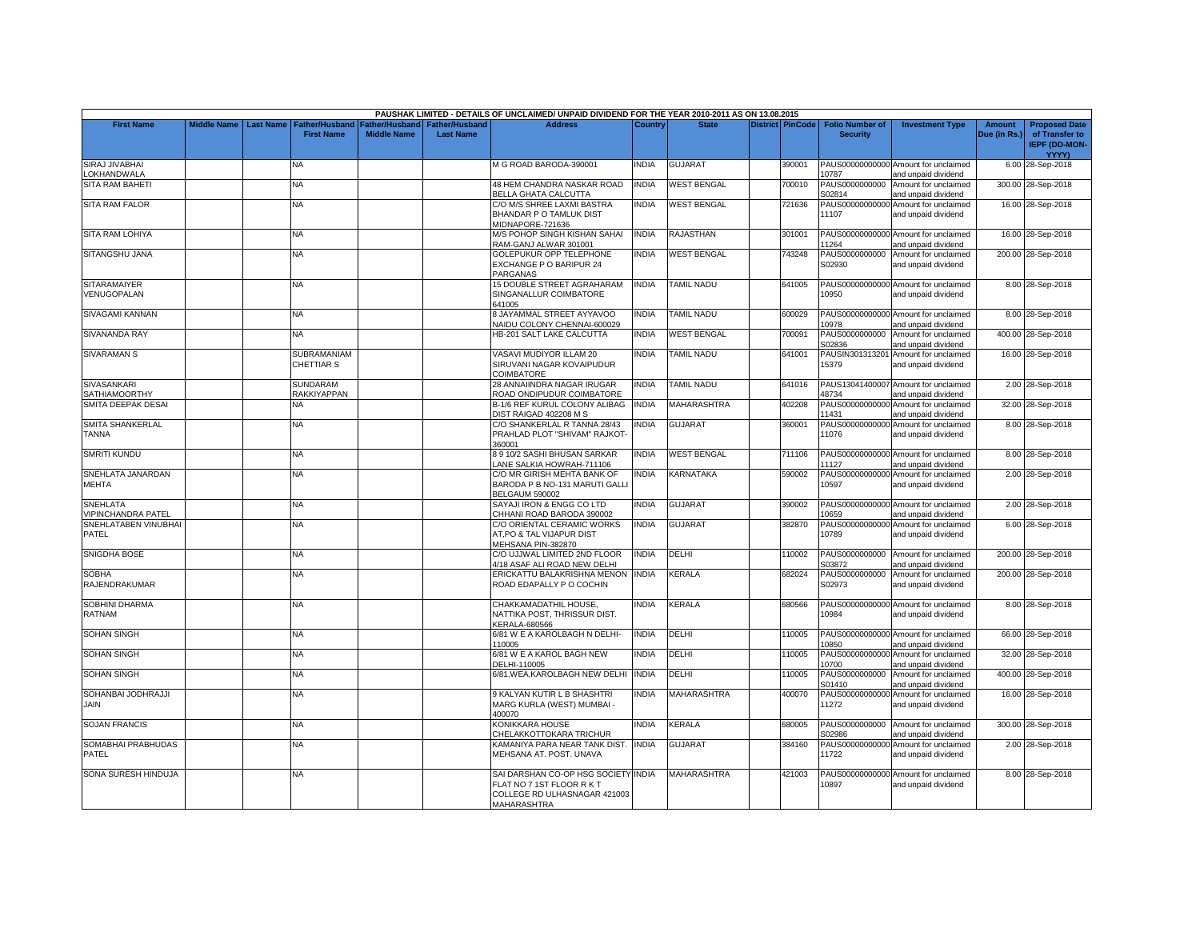|                                              |                    |                  |                                            |                                      |                                           | PAUSHAK LIMITED - DETAILS OF UNCLAIMED/ UNPAID DIVIDEND FOR THE YEAR 2010-2011 AS ON 13.08.2015                        |              |                           |                         |                                           |                                                             |                               |                                                                |
|----------------------------------------------|--------------------|------------------|--------------------------------------------|--------------------------------------|-------------------------------------------|------------------------------------------------------------------------------------------------------------------------|--------------|---------------------------|-------------------------|-------------------------------------------|-------------------------------------------------------------|-------------------------------|----------------------------------------------------------------|
| <b>First Name</b>                            | <b>Middle Name</b> | <b>Last Name</b> | <b>Father/Husband</b><br><b>First Name</b> | Father/Husband<br><b>Middle Name</b> | <b>Father/Husband</b><br><b>Last Name</b> | <b>Address</b>                                                                                                         | Country      | <b>State</b>              | <b>District PinCode</b> | <b>Folio Number of</b><br><b>Security</b> | <b>Investment Type</b>                                      | <b>Amount</b><br>Due (in Rs.) | <b>Proposed Date</b><br>of Transfer to<br><b>IEPF (DD-MON-</b> |
| <b>SIRAJ JIVABHAI</b>                        |                    |                  | NA                                         |                                      |                                           | <b>M G ROAD BARODA-390001</b>                                                                                          | <b>INDIA</b> | <b>GUJARAT</b>            | 390001                  |                                           | PAUS00000000000 Amount for unclaimed                        |                               | <b>YYYY)</b><br>6.00 28-Sep-2018                               |
| <b>OKHANDWALA</b>                            |                    |                  |                                            |                                      |                                           |                                                                                                                        |              |                           |                         | 10787                                     | and unpaid dividend                                         |                               |                                                                |
| <b>SITA RAM BAHETI</b>                       |                    |                  | NA                                         |                                      |                                           | 48 HEM CHANDRA NASKAR ROAD<br><b>BELLA GHATA CALCUTTA</b>                                                              | <b>INDIA</b> | <b>WEST BENGAL</b>        | 700010                  | PAUS0000000000<br>S02814                  | Amount for unclaimed<br>and unpaid dividend                 |                               | 300.00 28-Sep-2018                                             |
| <b>SITA RAM FALOR</b>                        |                    |                  | NA.                                        |                                      |                                           | C/O M/S SHREE LAXMI BASTRA<br>BHANDAR P O TAMLUK DIST<br>MIDNAPORE-721636                                              | <b>INDIA</b> | <b><i>NEST BENGAL</i></b> | 721636                  | PAUS00000000000<br>11107                  | Amount for unclaimed<br>and unpaid dividend                 |                               | 16.00 28-Sep-2018                                              |
| SITA RAM LOHIYA                              |                    |                  | NA                                         |                                      |                                           | M/S POHOP SINGH KISHAN SAHAI<br>RAM-GANJ ALWAR 301001                                                                  | <b>INDIA</b> | RAJASTHAN                 | 301001                  | 11264                                     | PAUS00000000000 Amount for unclaimed<br>and unpaid dividend |                               | 16.00 28-Sep-2018                                              |
| SITANGSHU JANA                               |                    |                  | NΑ                                         |                                      |                                           | GOLEPUKUR OPP TELEPHONE<br>EXCHANGE P O BARIPUR 24<br>PARGANAS                                                         | <b>INDIA</b> | <b>WEST BENGAL</b>        | 743248                  | PAUS0000000000<br>S02930                  | Amount for unclaimed<br>and unpaid dividend                 |                               | 200.00 28-Sep-2018                                             |
| <b>SITARAMAIYER</b><br>VENUGOPALAN           |                    |                  | NA                                         |                                      |                                           | 15 DOUBLE STREET AGRAHARAM<br>SINGANALLUR COIMBATORE<br>641005                                                         | <b>INDIA</b> | <b>TAMIL NADU</b>         | 641005                  | 10950                                     | PAUS00000000000 Amount for unclaimed<br>and unpaid dividend |                               | 8.00 28-Sep-2018                                               |
| SIVAGAMI KANNAN                              |                    |                  | NA                                         |                                      |                                           | <b>B JAYAMMAL STREET AYYAVOO</b><br>NAIDU COLONY CHENNAI-600029                                                        | INDIA        | TAMIL NADU                | 600029                  | 10978                                     | PAUS00000000000 Amount for unclaimed<br>and unpaid dividend |                               | 8.00 28-Sep-2018                                               |
| <b>SIVANANDA RAY</b>                         |                    |                  | NA                                         |                                      |                                           | <b>HB-201 SALT LAKE CALCUTTA</b>                                                                                       | <b>INDIA</b> | <b>WEST BENGAL</b>        | 700091                  | PAUS0000000000<br>S02836                  | Amount for unclaimed<br>and unpaid dividend                 |                               | 400.00 28-Sep-2018                                             |
| <b>SIVARAMAN S</b>                           |                    |                  | <b>SUBRAMANIAM</b><br>CHETTIAR S           |                                      |                                           | VASAVI MUDIYOR ILLAM 20<br>SIRUVANI NAGAR KOVAIPUDUR<br><b>COIMBATORE</b>                                              | <b>INDIA</b> | <b>TAMIL NADU</b>         | 641001                  | PAUSIN301313201<br>15379                  | Amount for unclaimed<br>and unpaid dividend                 |                               | 16.00 28-Sep-2018                                              |
| <b>SIVASANKARI</b><br><b>SATHIAMOORTHY</b>   |                    |                  | <b>SUNDARAM</b><br>RAKKIYAPPAN             |                                      |                                           | 28 ANNAIINDRA NAGAR IRUGAR<br>ROAD ONDIPUDUR COIMBATORE                                                                | <b>INDIA</b> | <b>TAMIL NADU</b>         | 641016                  | 48734                                     | PAUS13041400007 Amount for unclaimed<br>and unpaid dividend |                               | 2.00 28-Sep-2018                                               |
| SMITA DEEPAK DESAI                           |                    |                  | NA                                         |                                      |                                           | B-1/6 REF KURUL COLONY ALIBAG<br>DIST RAIGAD 402208 M S                                                                | <b>INDIA</b> | MAHARASHTRA               | 402208                  | 11431                                     | PAUS00000000000 Amount for unclaimed<br>and unpaid dividend |                               | 32.00 28-Sep-2018                                              |
| <b>SMITA SHANKERLAL</b><br>TANNA             |                    |                  | NA.                                        |                                      |                                           | C/O SHANKERLAL R TANNA 28/43<br>PRAHLAD PLOT "SHIVAM" RAJKOT-<br>360001                                                | <b>INDIA</b> | GUJARAT                   | 360001                  | 11076                                     | PAUS00000000000 Amount for unclaimed<br>and unpaid dividend |                               | 8.00 28-Sep-2018                                               |
| <b>SMRITI KUNDU</b>                          |                    |                  | NA.                                        |                                      |                                           | 8 9 10/2 SASHI BHUSAN SARKAR<br>ANE SALKIA HOWRAH-711106                                                               | <b>INDIA</b> | <b>WEST BENGAL</b>        | 711106                  | 11127                                     | PAUS00000000000 Amount for unclaimed<br>and unpaid dividend |                               | 8.00 28-Sep-2018                                               |
| SNEHLATA JANARDAN<br><b>MEHTA</b>            |                    |                  | NA                                         |                                      |                                           | C/O MR GIRISH MEHTA BANK OF<br>BARODA P B NO-131 MARUTI GALLI<br><b>BELGAUM 590002</b>                                 | <b>INDIA</b> | KARNATAKA                 | 590002                  | 10597                                     | PAUS00000000000 Amount for unclaimed<br>and unpaid dividend |                               | 2.00 28-Sep-2018                                               |
| <b>SNEHLATA</b><br><b>VIPINCHANDRA PATEL</b> |                    |                  | <b>NA</b>                                  |                                      |                                           | SAYAJI IRON & ENGG CO LTD<br>CHHANI ROAD BARODA 390002                                                                 | <b>INDIA</b> | <b>GUJARAT</b>            | 390002                  | 10659                                     | PAUS00000000000 Amount for unclaimed<br>and unpaid dividend |                               | 2.00 28-Sep-2018                                               |
| SNEHLATABEN VINUBHAI<br><b>PATEL</b>         |                    |                  | NA.                                        |                                      |                                           | C/O ORIENTAL CERAMIC WORKS<br>AT, PO & TAL VIJAPUR DIST<br>MEHSANA PIN-382870                                          | <b>INDIA</b> | GUJARAT                   | 382870                  | 10789                                     | PAUS00000000000 Amount for unclaimed<br>and unpaid dividend |                               | 6.00 28-Sep-2018                                               |
| SNIGDHA BOSE                                 |                    |                  | NA                                         |                                      |                                           | C/O UJJWAL LIMITED 2ND FLOOR<br>4/18 ASAF ALI ROAD NEW DELHI                                                           | <b>INDIA</b> | DELHI                     | 110002                  | S03872                                    | PAUS0000000000 Amount for unclaimed<br>and unpaid dividend  |                               | 200.00 28-Sep-2018                                             |
| <b>SOBHA</b><br>RAJENDRAKUMAR                |                    |                  | NA                                         |                                      |                                           | ERICKATTU BALAKRISHNA MENON<br>ROAD EDAPALLY P O COCHIN                                                                | <b>INDIA</b> | KERALA                    | 682024                  | PAUS0000000000<br>S02973                  | Amount for unclaimed<br>and unpaid dividend                 |                               | 200.00 28-Sep-2018                                             |
| <b>SOBHINI DHARMA</b><br>RATNAM              |                    |                  | NΑ                                         |                                      |                                           | CHAKKAMADATHIL HOUSE,<br>NATTIKA POST, THRISSUR DIST.<br><b>KERALA-680566</b>                                          | <b>INDIA</b> | <b>KERALA</b>             | 680566                  | 10984                                     | PAUS00000000000 Amount for unclaimed<br>and unpaid dividend |                               | 8.00 28-Sep-2018                                               |
| <b>SOHAN SINGH</b>                           |                    |                  | NA.                                        |                                      |                                           | 6/81 W E A KAROLBAGH N DELHI-<br>110005                                                                                | <b>INDIA</b> | DELHI                     | 110005                  | 10850                                     | PAUS00000000000 Amount for unclaimed<br>and unpaid dividend |                               | 66.00 28-Sep-2018                                              |
| <b>SOHAN SINGH</b>                           |                    |                  | <b>NA</b>                                  |                                      |                                           | 6/81 W E A KAROL BAGH NEW<br>DELHI-110005                                                                              | <b>INDIA</b> | DELHI                     | 110005                  | 10700                                     | PAUS00000000000 Amount for unclaimed<br>and unpaid dividend |                               | 32.00 28-Sep-2018                                              |
| <b>SOHAN SINGH</b>                           |                    |                  | NA.                                        |                                      |                                           | 6/81, WEA, KAROLBAGH NEW DELHI                                                                                         | <b>INDIA</b> | DELHI                     | 110005                  | PAUS0000000000<br>S01410                  | Amount for unclaimed<br>and unpaid dividend                 |                               | 400.00 28-Sep-2018                                             |
| SOHANBAI JODHRAJJI<br>JAIN                   |                    |                  | NA                                         |                                      |                                           | 9 KALYAN KUTIR L B SHASHTRI<br>MARG KURLA (WEST) MUMBAI -<br>400070                                                    | <b>INDIA</b> | <b>MAHARASHTRA</b>        | 400070                  | 11272                                     | PAUS00000000000 Amount for unclaimed<br>and unpaid dividend |                               | 16.00 28-Sep-2018                                              |
| <b>SOJAN FRANCIS</b>                         |                    |                  | <b>NA</b>                                  |                                      |                                           | KONIKKARA HOUSE<br>CHELAKKOTTOKARA TRICHUR                                                                             | <b>INDIA</b> | <b>KERALA</b>             | 680005                  | PAUS0000000000<br>302986                  | Amount for unclaimed<br>and unpaid dividend                 |                               | 300.00 28-Sep-2018                                             |
| SOMABHAI PRABHUDAS<br>PATEL                  |                    |                  | NΑ                                         |                                      |                                           | KAMANIYA PARA NEAR TANK DIST.<br>MEHSANA AT. POST. UNAVA                                                               | <b>INDIA</b> | <b>GUJARAT</b>            | 384160                  | 11722                                     | PAUS00000000000 Amount for unclaimed<br>and unpaid dividend |                               | 2.00 28-Sep-2018                                               |
| <b>SONA SURESH HINDUJA</b>                   |                    |                  | NA.                                        |                                      |                                           | SAI DARSHAN CO-OP HSG SOCIETY INDIA<br>FLAT NO 7 1ST FLOOR R K T<br>COLLEGE RD ULHASNAGAR 421003<br><b>MAHARASHTRA</b> |              | MAHARASHTRA               | 421003                  | 10897                                     | PAUS00000000000 Amount for unclaimed<br>and unpaid dividend |                               | 8.00 28-Sep-2018                                               |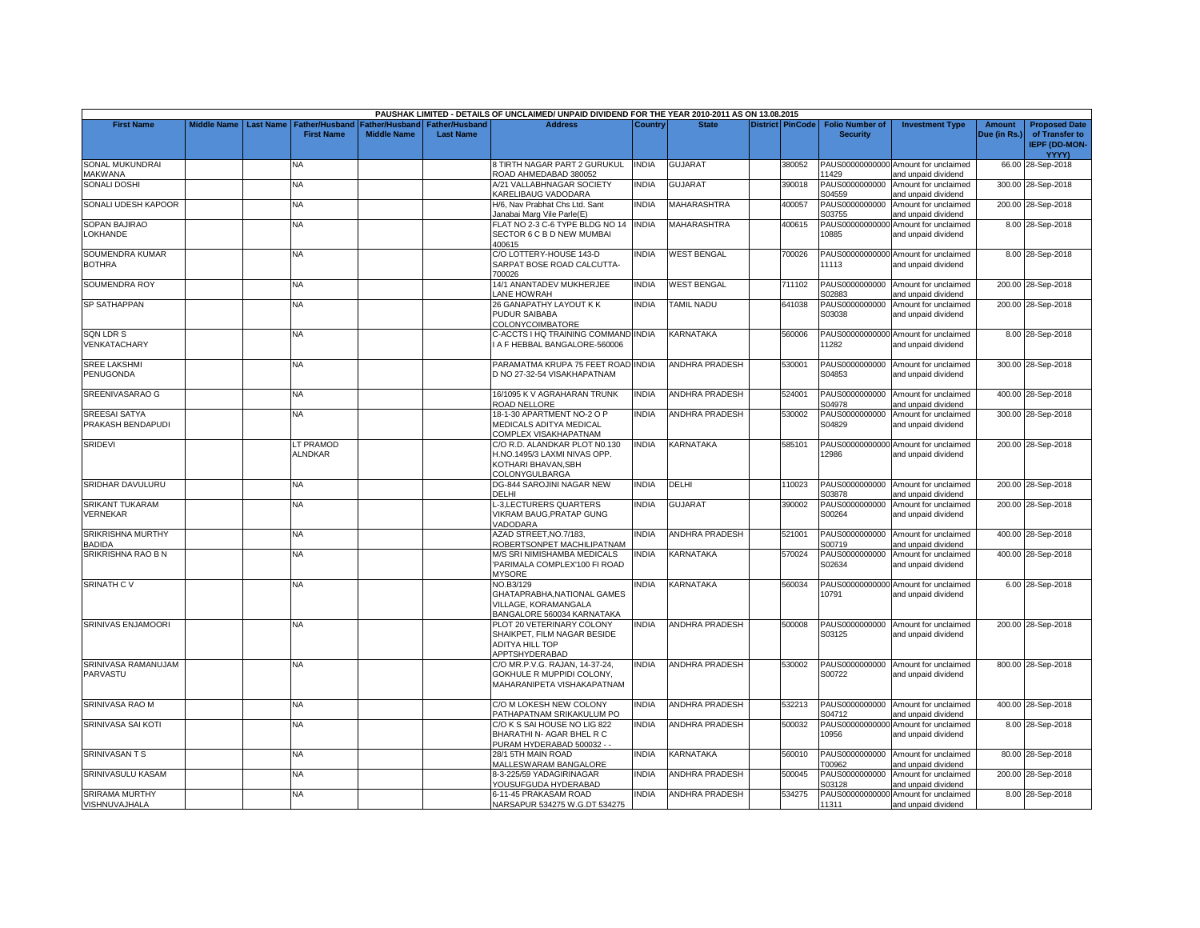|                                           |                    |                  |                             |                    |                  | PAUSHAK LIMITED - DETAILS OF UNCLAIMED/ UNPAID DIVIDEND FOR THE YEAR 2010-2011 AS ON 13.08.2015       |              |                       |                         |                          |                                                             |              |                                                        |
|-------------------------------------------|--------------------|------------------|-----------------------------|--------------------|------------------|-------------------------------------------------------------------------------------------------------|--------------|-----------------------|-------------------------|--------------------------|-------------------------------------------------------------|--------------|--------------------------------------------------------|
| <b>First Name</b>                         | <b>Middle Name</b> | <b>Last Name</b> | <b>Father/Husband</b>       | Father/Husband     | Father/Husband   | <b>Address</b>                                                                                        | Country      | <b>State</b>          | <b>District PinCode</b> | <b>Folio Number of</b>   | <b>Investment Type</b>                                      | Amount       | <b>Proposed Date</b>                                   |
|                                           |                    |                  | <b>First Name</b>           | <b>Middle Name</b> | <b>Last Name</b> |                                                                                                       |              |                       |                         | <b>Security</b>          |                                                             | Due (in Rs.) | of Transfer to<br><b>IEPF (DD-MON-</b><br><b>YYYY)</b> |
| SONAL MUKUNDRAI<br><b>JAKWANA</b>         |                    |                  | N٨                          |                    |                  | 3 TIRTH NAGAR PART 2 GURUKUL<br>ROAD AHMEDABAD 380052                                                 | <b>INDIA</b> | <b>GUJARAT</b>        | 380052                  | 11429                    | PAUS00000000000 Amount for unclaimed<br>and unpaid dividend |              | 66.00 28-Sep-2018                                      |
| <b>SONALI DOSHI</b>                       |                    |                  | ΝA                          |                    |                  | A/21 VALLABHNAGAR SOCIETY<br>KARELIBAUG VADODARA                                                      | <b>INDIA</b> | <b>GUJARAT</b>        | 390018                  | PAUS0000000000<br>S04559 | Amount for unclaimed<br>and unpaid dividend                 |              | 300.00 28-Sep-2018                                     |
| SONALI UDESH KAPOOR                       |                    |                  | NA.                         |                    |                  | H/6, Nav Prabhat Chs Ltd. Sant<br>Janabai Marg Vile Parle(E)                                          | <b>INDIA</b> | <b>MAHARASHTRA</b>    | 400057                  | PAUS0000000000<br>S03755 | Amount for unclaimed<br>and unpaid dividend                 |              | 200.00 28-Sep-2018                                     |
| SOPAN BAJIRAO<br>LOKHANDE                 |                    |                  | NA                          |                    |                  | FLAT NO 2-3 C-6 TYPE BLDG NO 14 INDIA<br>SECTOR 6 C B D NEW MUMBAI<br>400615                          |              | MAHARASHTRA           | 400615                  | 10885                    | PAUS00000000000 Amount for unclaimed<br>and unpaid dividend |              | 8.00 28-Sep-2018                                       |
| SOUMENDRA KUMAR<br><b>BOTHRA</b>          |                    |                  | NΑ                          |                    |                  | C/O LOTTERY-HOUSE 143-D<br>SARPAT BOSE ROAD CALCUTTA-<br>700026                                       | <b>INDIA</b> | <b>WEST BENGAL</b>    | 700026                  | 11113                    | PAUS00000000000 Amount for unclaimed<br>and unpaid dividend |              | 8.00 28-Sep-2018                                       |
| SOUMENDRA ROY                             |                    |                  | NA                          |                    |                  | 14/1 ANANTADEV MUKHERJEE<br>LANE HOWRAH                                                               | <b>INDIA</b> | <b>WEST BENGAL</b>    | 711102                  | PAUS0000000000<br>S02883 | Amount for unclaimed<br>and unpaid dividend                 |              | 200.00 28-Sep-2018                                     |
| <b>SP SATHAPPAN</b>                       |                    |                  | <b>NA</b>                   |                    |                  | 26 GANAPATHY LAYOUT K K<br><b>PUDUR SAIBABA</b><br>COLONYCOIMBATORE                                   | <b>INDIA</b> | <b>TAMIL NADU</b>     | 641038                  | PAUS0000000000<br>S03038 | Amount for unclaimed<br>and unpaid dividend                 |              | 200.00 28-Sep-2018                                     |
| <b>SQN LDR S</b><br>VENKATACHARY          |                    |                  | NA                          |                    |                  | C-ACCTS I HQ TRAINING COMMAND INDIA<br>A F HEBBAL BANGALORE-560006                                    |              | <b>KARNATAKA</b>      | 560006                  | 11282                    | PAUS00000000000 Amount for unclaimed<br>and unpaid dividend |              | 8.00 28-Sep-2018                                       |
| <b>SREE LAKSHMI</b><br>PENUGONDA          |                    |                  | NA                          |                    |                  | PARAMATMA KRUPA 75 FEET ROAD INDIA<br>D NO 27-32-54 VISAKHAPATNAM                                     |              | ANDHRA PRADESH        | 530001                  | S04853                   | PAUS0000000000 Amount for unclaimed<br>and unpaid dividend  |              | 300.00 28-Sep-2018                                     |
| SREENIVASARAO G                           |                    |                  | NA.                         |                    |                  | 16/1095 K V AGRAHARAN TRUNK<br>ROAD NELLORE                                                           | <b>INDIA</b> | <b>ANDHRA PRADESH</b> | 524001                  | S04978                   | PAUS0000000000 Amount for unclaimed<br>and unpaid dividend  |              | 400.00 28-Sep-2018                                     |
| <b>SREESAI SATYA</b><br>PRAKASH BENDAPUDI |                    |                  | NA                          |                    |                  | 18-1-30 APARTMENT NO-2 O P<br>MEDICALS ADITYA MEDICAL<br>COMPLEX VISAKHAPATNAM                        | <b>INDIA</b> | <b>ANDHRA PRADESH</b> | 530002                  | S04829                   | PAUS0000000000 Amount for unclaimed<br>and unpaid dividend  |              | 300.00 28-Sep-2018                                     |
| <b>SRIDEVI</b>                            |                    |                  | LT PRAMOD<br><b>ALNDKAR</b> |                    |                  | C/O R.D. ALANDKAR PLOT N0.130<br>H.NO.1495/3 LAXMI NIVAS OPP.<br>KOTHARI BHAVAN.SBH<br>COLONYGULBARGA | <b>INDIA</b> | <b>KARNATAKA</b>      | 585101                  | 12986                    | PAUS00000000000 Amount for unclaimed<br>and unpaid dividend |              | 200.00 28-Sep-2018                                     |
| SRIDHAR DAVULURU                          |                    |                  | <b>NA</b>                   |                    |                  | DG-844 SAROJINI NAGAR NEW<br>DELHI                                                                    | <b>INDIA</b> | DELHI                 | 110023                  | S03878                   | PAUS0000000000 Amount for unclaimed<br>and unpaid dividend  |              | 200.00 28-Sep-2018                                     |
| <b>SRIKANT TUKARAM</b><br>VERNEKAR        |                    |                  | <b>NV</b>                   |                    |                  | -3,LECTURERS QUARTERS<br>VIKRAM BAUG, PRATAP GUNG<br>VADODARA                                         | <b>INDIA</b> | <b>GUJARAT</b>        | 390002                  | PAUS0000000000<br>S00264 | Amount for unclaimed<br>and unpaid dividend                 |              | 200.00 28-Sep-2018                                     |
| SRIKRISHNA MURTHY<br>BADIDA               |                    |                  | NA                          |                    |                  | AZAD STREET, NO. 7/183,<br>ROBERTSONPET MACHILIPATNAM                                                 | <b>INDIA</b> | <b>ANDHRA PRADESH</b> | 521001                  | S00719                   | PAUS0000000000 Amount for unclaimed<br>and unpaid dividend  |              | 400.00 28-Sep-2018                                     |
| SRIKRISHNA RAO B N                        |                    |                  | NΑ                          |                    |                  | M/S SRI NIMISHAMBA MEDICALS<br>PARIMALA COMPLEX'100 FI ROAD<br><b>MYSORE</b>                          | <b>INDIA</b> | <b>KARNATAKA</b>      | 570024                  | PAUS0000000000<br>S02634 | Amount for unclaimed<br>and unpaid dividend                 |              | 400.00 28-Sep-2018                                     |
| <b>SRINATH CV</b>                         |                    |                  | NA                          |                    |                  | NO.B3/129<br>GHATAPRABHA, NATIONAL GAMES<br>VILLAGE, KORAMANGALA<br>BANGALORE 560034 KARNATAKA        | <b>INDIA</b> | KARNATAKA             | 560034                  | 10791                    | PAUS00000000000 Amount for unclaimed<br>and unpaid dividend |              | 6.00 28-Sep-2018                                       |
| SRINIVAS ENJAMOORI                        |                    |                  | NΑ                          |                    |                  | PLOT 20 VETERINARY COLONY<br>SHAIKPET, FILM NAGAR BESIDE<br><b>ADITYA HILL TOP</b><br>APPTSHYDERABAD  | <b>INDIA</b> | <b>ANDHRA PRADESH</b> | 500008                  | PAUS0000000000<br>S03125 | Amount for unclaimed<br>and unpaid dividend                 |              | 200.00 28-Sep-2018                                     |
| SRINIVASA RAMANUJAM<br>PARVASTU           |                    |                  | NA                          |                    |                  | C/O MR.P.V.G. RAJAN, 14-37-24,<br>GOKHULE R MUPPIDI COLONY,<br>MAHARANIPETA VISHAKAPATNAM             | <b>INDIA</b> | <b>ANDHRA PRADESH</b> | 530002                  | S00722                   | PAUS0000000000 Amount for unclaimed<br>and unpaid dividend  |              | 800.00 28-Sep-2018                                     |
| SRINIVASA RAO M                           |                    |                  | NA                          |                    |                  | C/O M LOKESH NEW COLONY<br>PATHAPATNAM SRIKAKULUM PO                                                  | <b>INDIA</b> | <b>ANDHRA PRADESH</b> | 532213                  | PAUS0000000000<br>S04712 | Amount for unclaimed<br>and unpaid dividend                 |              | 400.00 28-Sep-2018                                     |
| SRINIVASA SAI KOTI                        |                    |                  | NA.                         |                    |                  | C/O K S SAI HOUSE NO LIG 822<br>BHARATHI N- AGAR BHEL R C<br>PURAM HYDERABAD 500032 - -               | <b>INDIA</b> | ANDHRA PRADESH        | 500032                  | 10956                    | PAUS00000000000 Amount for unclaimed<br>and unpaid dividend |              | 8.00 28-Sep-2018                                       |
| <b>SRINIVASANTS</b>                       |                    |                  | NA                          |                    |                  | 28/1 5TH MAIN ROAD<br><b>MALLESWARAM BANGALORE</b>                                                    | <b>INDIA</b> | KARNATAKA             | 560010                  | T00962                   | PAUS0000000000 Amount for unclaimed<br>and unpaid dividend  |              | 80.00 28-Sep-2018                                      |
| SRINIVASULU KASAM                         |                    |                  | NΑ                          |                    |                  | 3-3-225/59 YADAGIRINAGAR<br>YOUSUFGUDA HYDERABAD                                                      | <b>INDIA</b> | <b>ANDHRA PRADESH</b> | 500045                  | PAUS0000000000<br>S03128 | Amount for unclaimed<br>and unpaid dividend                 |              | 200.00 28-Sep-2018                                     |
| <b>SRIRAMA MURTHY</b><br>VISHNUVAJHALA    |                    |                  | NA                          |                    |                  | 6-11-45 PRAKASAM ROAD<br>NARSAPUR 534275 W.G.DT 534275                                                | <b>INDIA</b> | <b>ANDHRA PRADESH</b> | 534275                  | 11311                    | PAUS00000000000 Amount for unclaimed<br>and unpaid dividend |              | 8.00 28-Sep-2018                                       |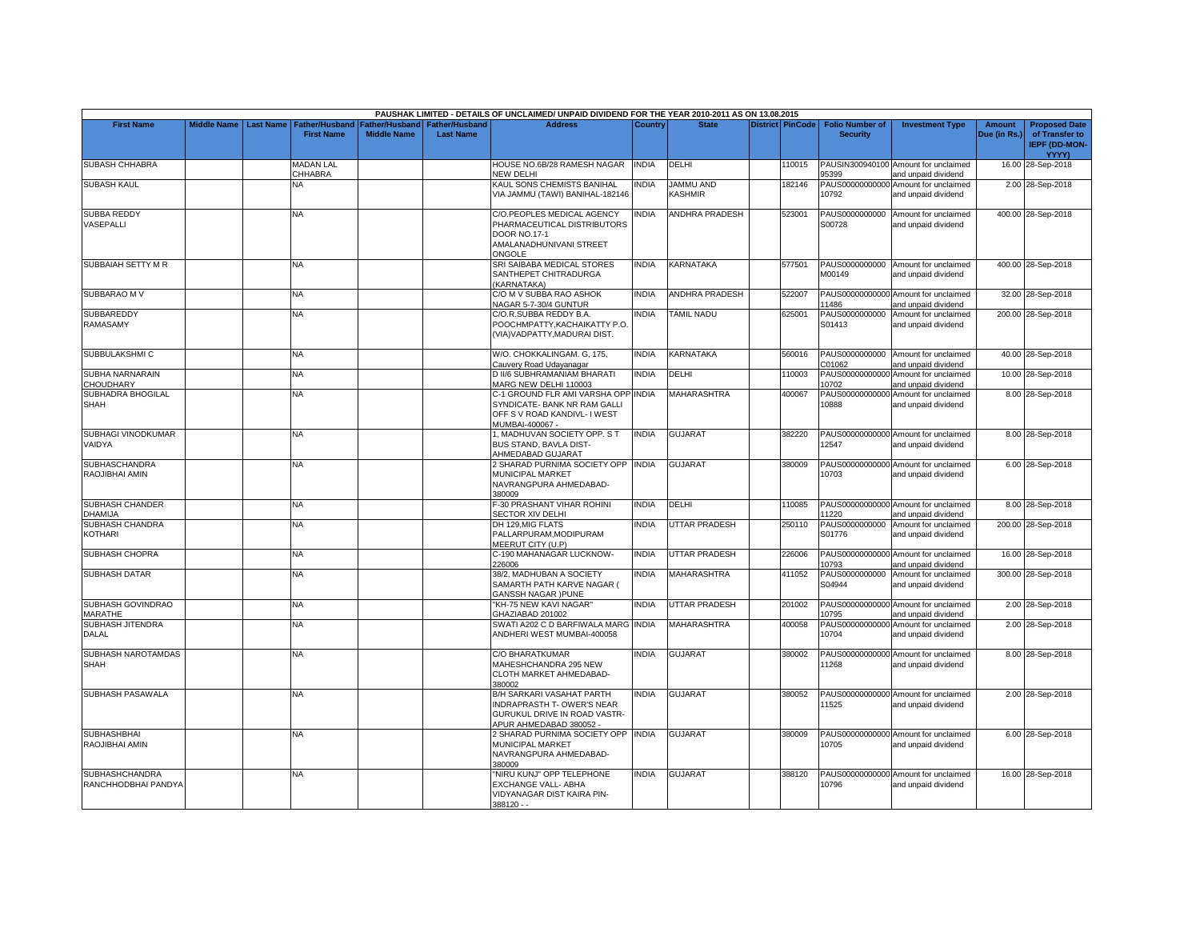|                                              |                         |                             |                    |                                 | PAUSHAK LIMITED - DETAILS OF UNCLAIMED/ UNPAID DIVIDEND FOR THE YEAR 2010-2011 AS ON 13.08.2015                           |                |                       |                         |                          |                                                             |               |                                                        |
|----------------------------------------------|-------------------------|-----------------------------|--------------------|---------------------------------|---------------------------------------------------------------------------------------------------------------------------|----------------|-----------------------|-------------------------|--------------------------|-------------------------------------------------------------|---------------|--------------------------------------------------------|
| <b>First Name</b>                            | Middle Name   Last Name | <b>Father/Husband</b>       |                    | Father/Husband I Father/Husband | <b>Address</b>                                                                                                            | <b>Country</b> | <b>State</b>          | <b>District PinCode</b> | <b>Folio Number of</b>   | <b>Investment Type</b>                                      | <b>Amount</b> | <b>Proposed Date</b>                                   |
|                                              |                         | <b>First Name</b>           | <b>Middle Name</b> | <b>Last Name</b>                |                                                                                                                           |                |                       |                         | <b>Security</b>          |                                                             | Due (in Rs.)  | of Transfer to<br><b>IEPF (DD-MON-</b><br><b>YYYY)</b> |
| <b>SUBASH CHHABRA</b>                        |                         | <b>MADAN LAL</b><br>CHHABRA |                    |                                 | HOUSE NO.6B/28 RAMESH NAGAR<br>NEW DELHI                                                                                  | <b>INDIA</b>   | DELHI                 | 110015                  | 95399                    | PAUSIN300940100 Amount for unclaimed<br>and unpaid dividend |               | 16.00 28-Sep-2018                                      |
| <b>SUBASH KAUL</b>                           |                         | NA                          |                    |                                 | KAUL SONS CHEMISTS BANIHAL<br>VIA JAMMU (TAWI) BANIHAL-182146                                                             | <b>NDIA</b>    | JAMMU AND<br>KASHMIR  | 182146                  | 10792                    | PAUS00000000000 Amount for unclaimed<br>and unpaid dividend |               | 2.00 28-Sep-2018                                       |
| <b>SUBBA REDDY</b><br>VASEPALLI              |                         | NA.                         |                    |                                 | C/O.PEOPLES MEDICAL AGENCY<br>PHARMACEUTICAL DISTRIBUTORS<br><b>DOOR NO.17-1</b><br>AMALANADHUNIVANI STREET<br>ONGOLE     | <b>NDIA</b>    | ANDHRA PRADESH        | 523001                  | S00728                   | PAUS0000000000 Amount for unclaimed<br>and unpaid dividend  |               | 400.00 28-Sep-2018                                     |
| SUBBAIAH SETTY M R                           |                         | NA                          |                    |                                 | SRI SAIBABA MEDICAL STORES<br>SANTHEPET CHITRADURGA<br>(KARNATAKA)                                                        | INDIA          | KARNATAKA             | 577501                  | M00149                   | PAUS0000000000 Amount for unclaimed<br>and unpaid dividend  |               | 400.00 28-Sep-2018                                     |
| SUBBARAO M V                                 |                         | <b>NA</b>                   |                    |                                 | C/O M V SUBBA RAO ASHOK<br>NAGAR 5-7-30/4 GUNTUR                                                                          | <b>INDIA</b>   | <b>ANDHRA PRADESH</b> | 522007                  | 11486                    | PAUS00000000000 Amount for unclaimed<br>and unpaid dividend |               | 32.00 28-Sep-2018                                      |
| <b>SUBBAREDDY</b><br>RAMASAMY                |                         | NA.                         |                    |                                 | C/O.R.SUBBA REDDY B.A.<br>POOCHMPATTY, KACHAIKATTY P.O.<br>(VIA) VADPATTY, MADURAI DIST.                                  | <b>NDIA</b>    | <b>TAMIL NADU</b>     | 625001                  | PAUS0000000000<br>S01413 | Amount for unclaimed<br>and unpaid dividend                 |               | 200.00 28-Sep-2018                                     |
| SUBBULAKSHMI C                               |                         | <b>NA</b>                   |                    |                                 | W/O. CHOKKALINGAM. G, 175,<br>Cauvery Road Udayanagar                                                                     | <b>NDIA</b>    | KARNATAKA             | 560016                  | PAUS0000000000<br>C01062 | Amount for unclaimed<br>and unpaid dividend                 |               | 40.00 28-Sep-2018                                      |
| SUBHA NARNARAIN<br><b>CHOUDHARY</b>          |                         | <b>NA</b>                   |                    |                                 | D II/6 SUBHRAMANIAM BHARATI<br>MARG NEW DELHI 110003                                                                      | <b>INDIA</b>   | DELHI                 | 110003                  | 10702                    | PAUS00000000000 Amount for unclaimed<br>and unpaid dividend |               | 10.00 28-Sep-2018                                      |
| SUBHADRA BHOGILAL<br><b>SHAH</b>             |                         | <b>NA</b>                   |                    |                                 | C-1 GROUND FLR AMI VARSHA OPP INDIA<br>SYNDICATE- BANK NR RAM GALLI<br>OFF S V ROAD KANDIVL- I WEST<br>MUMBAI-400067 -    |                | <b>MAHARASHTRA</b>    | 400067                  | 10888                    | PAUS00000000000 Amount for unclaimed<br>and unpaid dividend |               | 8.00 28-Sep-2018                                       |
| SUBHAGI VINODKUMAR<br>VAIDYA                 |                         | <b>NA</b>                   |                    |                                 | 1, MADHUVAN SOCIETY OPP. S T<br>BUS STAND, BAVLA DIST-<br><b>AHMEDABAD GUJARAT</b>                                        | <b>INDIA</b>   | <b>GUJARAT</b>        | 382220                  | 12547                    | PAUS00000000000 Amount for unclaimed<br>and unpaid dividend |               | 8.00 28-Sep-2018                                       |
| <b>SUBHASCHANDRA</b><br>RAOJIBHAI AMIN       |                         | NA.                         |                    |                                 | 2 SHARAD PURNIMA SOCIETY OPP<br>MUNICIPAL MARKET<br>NAVRANGPURA AHMEDABAD-<br>380009                                      | <b>NDIA</b>    | <b>GUJARAT</b>        | 380009                  | 10703                    | PAUS00000000000 Amount for unclaimed<br>and unpaid dividend |               | 6.00 28-Sep-2018                                       |
| <b>SUBHASH CHANDER</b><br>DHAMIJA            |                         | <b>NA</b>                   |                    |                                 | F-30 PRASHANT VIHAR ROHINI<br>SECTOR XIV DELHI                                                                            | <b>INDIA</b>   | DELHI                 | 110085                  | 11220                    | PAUS00000000000 Amount for unclaimed<br>and unpaid dividend |               | 8.00 28-Sep-2018                                       |
| <b>SUBHASH CHANDRA</b><br>KOTHARI            |                         | NA.                         |                    |                                 | DH 129.MIG FLATS<br>PALLARPURAM, MODIPURAM<br>MEERUT CITY (U.P)                                                           | <b>INDIA</b>   | <b>JTTAR PRADESH</b>  | 250110                  | S01776                   | PAUS0000000000 Amount for unclaimed<br>and unpaid dividend  |               | 200.00 28-Sep-2018                                     |
| SUBHASH CHOPRA                               |                         | <b>NA</b>                   |                    |                                 | C-190 MAHANAGAR LUCKNOW-<br>226006                                                                                        | <b>INDIA</b>   | <b>UTTAR PRADESH</b>  | 226006                  | 10793                    | PAUS00000000000 Amount for unclaimed<br>and unpaid dividend |               | 16.00 28-Sep-2018                                      |
| <b>SUBHASH DATAR</b>                         |                         | NA                          |                    |                                 | 38/2, MADHUBAN A SOCIETY<br>SAMARTH PATH KARVE NAGAR (<br><b>GANSSH NAGAR )PUNE</b>                                       | <b>INDIA</b>   | <b>MAHARASHTRA</b>    | 411052                  | PAUS0000000000<br>S04944 | Amount for unclaimed<br>and unpaid dividend                 |               | 300.00 28-Sep-2018                                     |
| SUBHASH GOVINDRAO<br>MARATHE                 |                         | NA                          |                    |                                 | "KH-75 NEW KAVI NAGAR"<br>GHAZIABAD 201002                                                                                | <b>NDIA</b>    | <b>UTTAR PRADESH</b>  | 201002                  | 10795                    | PAUS00000000000 Amount for unclaimed<br>and unpaid dividend |               | 2.00 28-Sep-2018                                       |
| <b>SUBHASH JITENDRA</b><br><b>DALAL</b>      |                         | <b>NA</b>                   |                    |                                 | SWATI A202 C D BARFIWALA MARG<br>ANDHERI WEST MUMBAI-400058                                                               | <b>INDIA</b>   | <b>MAHARASHTRA</b>    | 400058                  | 10704                    | PAUS00000000000 Amount for unclaimed<br>and unpaid dividend |               | 2.00 28-Sep-2018                                       |
| SUBHASH NAROTAMDAS<br><b>SHAH</b>            |                         | <b>NA</b>                   |                    |                                 | C/O BHARATKUMAR<br>MAHESHCHANDRA 295 NEW<br>CLOTH MARKET AHMEDABAD-<br>380002                                             | <b>INDIA</b>   | <b>GUJARAT</b>        | 380002                  | 11268                    | PAUS00000000000 Amount for unclaimed<br>and unpaid dividend |               | 8.00 28-Sep-2018                                       |
| SUBHASH PASAWALA                             |                         | <b>NA</b>                   |                    |                                 | <b>B/H SARKARI VASAHAT PARTH</b><br>INDRAPRASTH T- OWER'S NEAR<br>GURUKUL DRIVE IN ROAD VASTR-<br>APUR AHMEDABAD 380052 - | <b>INDIA</b>   | <b>GUJARAT</b>        | 380052                  | 11525                    | PAUS00000000000 Amount for unclaimed<br>and unpaid dividend |               | 2.00 28-Sep-2018                                       |
| <b>SUBHASHBHAI</b><br>RAOJIBHAI AMIN         |                         | <b>NA</b>                   |                    |                                 | SHARAD PURNIMA SOCIETY OPP INDIA<br>MUNICIPAL MARKET<br>NAVRANGPURA AHMEDABAD-<br>380009                                  |                | <b>GUJARAT</b>        | 380009                  | 10705                    | PAUS00000000000 Amount for unclaimed<br>and unpaid dividend |               | 6.00 28-Sep-2018                                       |
| <b>SUBHASHCHANDRA</b><br>RANCHHODBHAI PANDYA |                         | <b>NA</b>                   |                    |                                 | 'NIRU KUNJ" OPP TELEPHONE<br>EXCHANGE VALL- ABHA<br>VIDYANAGAR DIST KAIRA PIN-<br>$388120 - -$                            | <b>NDIA</b>    | <b>GUJARAT</b>        | 388120                  | 10796                    | PAUS00000000000 Amount for unclaimed<br>and unpaid dividend |               | 16.00 28-Sep-2018                                      |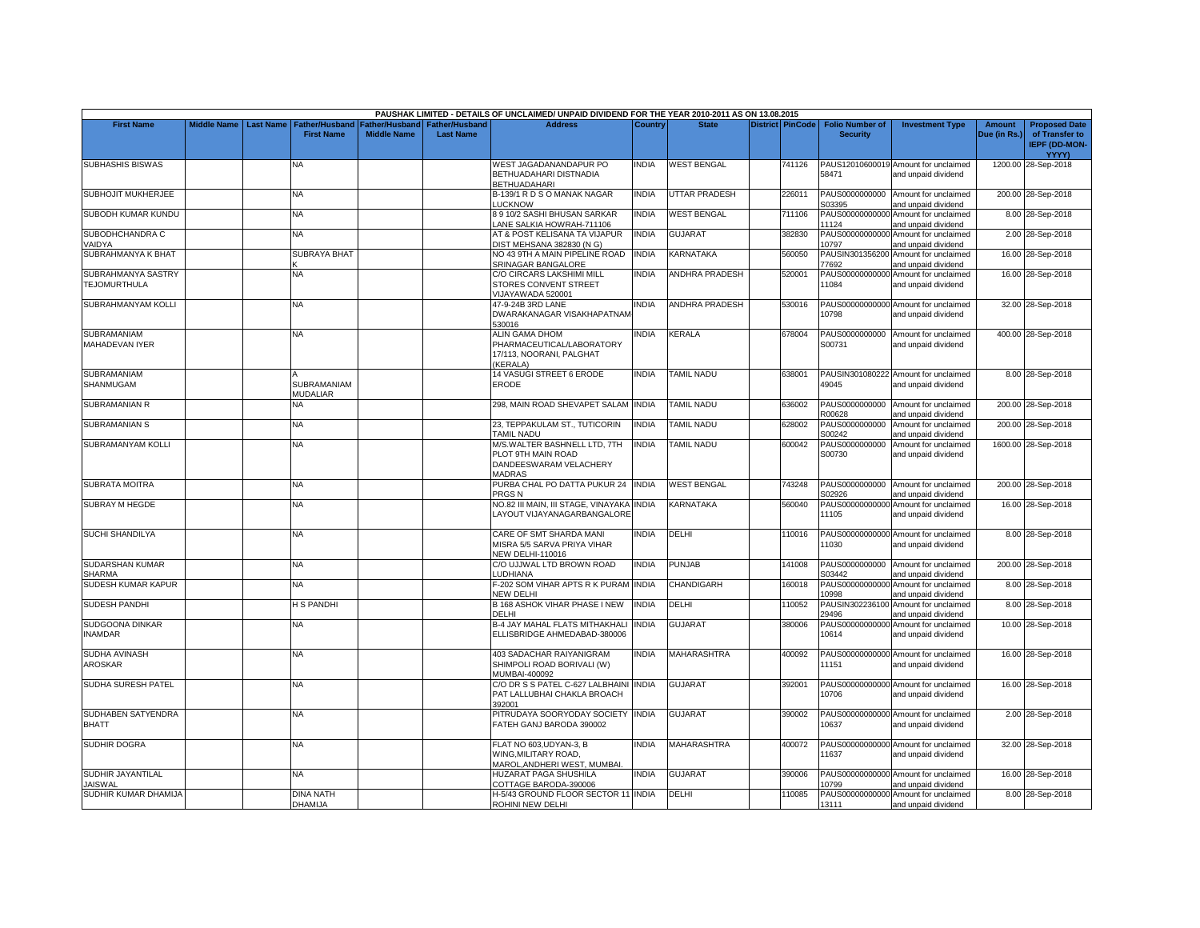|                                           |                    |                  |                                     |                                      |                                    | PAUSHAK LIMITED - DETAILS OF UNCLAIMED/ UNPAID DIVIDEND FOR THE YEAR 2010-2011 AS ON 13.08.2015 |              |                       |                         |                                           |                                                             |                        |                                                                |
|-------------------------------------------|--------------------|------------------|-------------------------------------|--------------------------------------|------------------------------------|-------------------------------------------------------------------------------------------------|--------------|-----------------------|-------------------------|-------------------------------------------|-------------------------------------------------------------|------------------------|----------------------------------------------------------------|
| <b>First Name</b>                         | <b>Middle Name</b> | <b>Last Name</b> | Father/Husband<br><b>First Name</b> | Father/Husband<br><b>Middle Name</b> | Father/Husband<br><b>Last Name</b> | <b>Address</b>                                                                                  | Country      | <b>State</b>          | <b>District PinCode</b> | <b>Folio Number of</b><br><b>Security</b> | <b>Investment Type</b>                                      | Amount<br>Due (in Rs.) | <b>Proposed Date</b><br>of Transfer to<br><b>IEPF (DD-MON-</b> |
|                                           |                    |                  |                                     |                                      |                                    |                                                                                                 |              |                       |                         |                                           |                                                             |                        | <b>YYYY)</b>                                                   |
| SUBHASHIS BISWAS                          |                    |                  | NA                                  |                                      |                                    | WEST JAGADANANDAPUR PO<br>BETHUADAHARI DISTNADIA<br><b>BETHUADAHARI</b>                         | INDIA        | <b>WEST BENGAL</b>    | 741126                  | 58471                                     | PAUS12010600019 Amount for unclaimed<br>and unpaid dividend |                        | 1200.00 28-Sep-2018                                            |
| SUBHOJIT MUKHERJEE                        |                    |                  | <b>NA</b>                           |                                      |                                    | B-139/1 R D S O MANAK NAGAR<br><b>LUCKNOW</b>                                                   | <b>INDIA</b> | UTTAR PRADESH         | 226011                  | PAUS0000000000<br>S03395                  | Amount for unclaimed<br>and unpaid dividend                 |                        | 200.00 28-Sep-2018                                             |
| SUBODH KUMAR KUNDU                        |                    |                  | NA                                  |                                      |                                    | 3 9 10/2 SASHI BHUSAN SARKAR<br>ANE SALKIA HOWRAH-711106                                        | INDIA        | <b>WEST BENGAL</b>    | 711106                  | PAUS00000000000<br>11124                  | Amount for unclaimed<br>and unpaid dividend                 |                        | 8.00 28-Sep-2018                                               |
| SUBODHCHANDRA C<br>/AIDYA                 |                    |                  | <b>NA</b>                           |                                      |                                    | AT & POST KELISANA TA VIJAPUR<br>DIST MEHSANA 382830 (N G)                                      | <b>INDIA</b> | <b>GUJARAT</b>        | 382830                  | 10797                                     | PAUS00000000000 Amount for unclaimed<br>and unpaid dividend |                        | 2.00 28-Sep-2018                                               |
| SUBRAHMANYA K BHAT                        |                    |                  | SUBRAYA BHAT                        |                                      |                                    | NO 43 9TH A MAIN PIPELINE ROAD<br>SRINAGAR BANGALORE                                            | <b>INDIA</b> | KARNATAKA             | 560050                  | 77692                                     | PAUSIN301356200 Amount for unclaimed<br>and unpaid dividend |                        | 16.00 28-Sep-2018                                              |
| SUBRAHMANYA SASTRY<br><b>TEJOMURTHULA</b> |                    |                  | <b>NA</b>                           |                                      |                                    | C/O CIRCARS LAKSHIMI MILL<br>STORES CONVENT STREET<br>/IJAYAWADA 520001                         | <b>INDIA</b> | <b>ANDHRA PRADESH</b> | 520001                  | 11084                                     | PAUS00000000000 Amount for unclaimed<br>and unpaid dividend |                        | 16.00 28-Sep-2018                                              |
| SUBRAHMANYAM KOLLI                        |                    |                  | <b>NA</b>                           |                                      |                                    | 47-9-24B 3RD LANE<br>DWARAKANAGAR VISAKHAPATNAM<br>530016                                       | <b>INDIA</b> | ANDHRA PRADESH        | 530016                  | 10798                                     | PAUS00000000000 Amount for unclaimed<br>and unpaid dividend |                        | 32.00 28-Sep-2018                                              |
| <b>SUBRAMANIAM</b>                        |                    |                  | <b>NA</b>                           |                                      |                                    | ALIN GAMA DHOM                                                                                  | <b>INDIA</b> | KERALA                | 678004                  | PAUS0000000000                            | Amount for unclaimed                                        |                        | 400.00 28-Sep-2018                                             |
| MAHADEVAN IYER                            |                    |                  |                                     |                                      |                                    | PHARMACEUTICAL/LABORATORY<br>17/113, NOORANI, PALGHAT<br><b>KERALA)</b>                         |              |                       |                         | S00731                                    | and unpaid dividend                                         |                        |                                                                |
| SUBRAMANIAM<br>SHANMUGAM                  |                    |                  | SUBRAMANIAM<br><b>MUDALIAR</b>      |                                      |                                    | 14 VASUGI STREET 6 ERODE<br>ERODE                                                               | <b>INDIA</b> | <b>TAMIL NADU</b>     | 638001                  | 49045                                     | PAUSIN301080222 Amount for unclaimed<br>and unpaid dividend |                        | 8.00 28-Sep-2018                                               |
| <b>SUBRAMANIAN R</b>                      |                    |                  | NA                                  |                                      |                                    | 298, MAIN ROAD SHEVAPET SALAM INDIA                                                             |              | TAMIL NADU            | 636002                  | PAUS0000000000<br>R00628                  | Amount for unclaimed<br>and unpaid dividend                 |                        | 200.00 28-Sep-2018                                             |
| SUBRAMANIAN S                             |                    |                  | <b>NA</b>                           |                                      |                                    | 23, TEPPAKULAM ST., TUTICORIN<br>TAMIL NADU                                                     | <b>INDIA</b> | TAMIL NADU            | 628002                  | PAUS0000000000<br>S00242                  | Amount for unclaimed<br>and unpaid dividend                 |                        | 200.00 28-Sep-2018                                             |
| SUBRAMANYAM KOLLI                         |                    |                  | NΑ                                  |                                      |                                    | M/S.WALTER BASHNELL LTD, 7TH<br>PLOT 9TH MAIN ROAD<br>DANDEESWARAM VELACHERY<br><b>MADRAS</b>   | <b>INDIA</b> | <b>TAMIL NADU</b>     | 600042                  | PAUS0000000000<br>S00730                  | Amount for unclaimed<br>and unpaid dividend                 |                        | 1600.00 28-Sep-2018                                            |
| <b>SUBRATA MOITRA</b>                     |                    |                  | <b>NA</b>                           |                                      |                                    | PURBA CHAL PO DATTA PUKUR 24<br>PRGS N                                                          | <b>INDIA</b> | <b>WEST BENGAL</b>    | 743248                  | S02926                                    | PAUS0000000000 Amount for unclaimed<br>and unpaid dividend  |                        | 200.00 28-Sep-2018                                             |
| SUBRAY M HEGDE                            |                    |                  | NA.                                 |                                      |                                    | VO.82 III MAIN, III STAGE, VINAYAKA INDIA<br>AYOUT VIJAYANAGARBANGALORE                         |              | KARNATAKA             | 560040                  | 11105                                     | PAUS00000000000 Amount for unclaimed<br>and unpaid dividend |                        | 16.00 28-Sep-2018                                              |
| SUCHI SHANDILYA                           |                    |                  | <b>NA</b>                           |                                      |                                    | CARE OF SMT SHARDA MANI<br>MISRA 5/5 SARVA PRIYA VIHAR<br>NEW DELHI-110016                      | <b>INDIA</b> | DELHI                 | 110016                  | 11030                                     | PAUS00000000000 Amount for unclaimed<br>and unpaid dividend |                        | 8.00 28-Sep-2018                                               |
| SUDARSHAN KUMAR<br><b>SHARMA</b>          |                    |                  | NA                                  |                                      |                                    | C/O UJJWAL LTD BROWN ROAD<br><b>LUDHIANA</b>                                                    | <b>INDIA</b> | <b>PUNJAB</b>         | 141008                  | S03442                                    | PAUS0000000000 Amount for unclaimed<br>and unpaid dividend  |                        | 200.00 28-Sep-2018                                             |
| SUDESH KUMAR KAPUR                        |                    |                  | NA.                                 |                                      |                                    | -202 SOM VIHAR APTS R K PURAM INDIA<br>NEW DELHI                                                |              | CHANDIGARH            | 160018                  | PAUS00000000000<br>10998                  | Amount for unclaimed<br>and unpaid dividend                 |                        | 8.00 28-Sep-2018                                               |
| <b>SUDESH PANDHI</b>                      |                    |                  | H S PANDHI                          |                                      |                                    | <b>B 168 ASHOK VIHAR PHASE I NEW</b><br>DELHI                                                   | <b>INDIA</b> | DELHI                 | 110052                  | PAUSIN302236100<br>29496                  | Amount for unclaimed<br>and unpaid dividend                 |                        | 8.00 28-Sep-2018                                               |
| SUDGOONA DINKAR<br><b>INAMDAR</b>         |                    |                  | ΝA                                  |                                      |                                    | B-4 JAY MAHAL FLATS MITHAKHALI<br>ELLISBRIDGE AHMEDABAD-380006                                  | <b>INDIA</b> | GUJARAT               | 380006                  | PAUS00000000000<br>10614                  | Amount for unclaimed<br>and unpaid dividend                 |                        | 10.00 28-Sep-2018                                              |
| SUDHA AVINASH<br>AROSKAR                  |                    |                  | NA.                                 |                                      |                                    | 403 SADACHAR RAIYANIGRAM<br>SHIMPOLI ROAD BORIVALI (W)<br>MUMBAI-400092                         | <b>INDIA</b> | MAHARASHTRA           | 400092                  | 11151                                     | PAUS00000000000 Amount for unclaimed<br>and unpaid dividend |                        | 16.00 28-Sep-2018                                              |
| SUDHA SURESH PATEL                        |                    |                  | NA.                                 |                                      |                                    | C/O DR S S PATEL C-627 LALBHAINI INDIA<br>PAT LALLUBHAI CHAKLA BROACH<br>392001                 |              | <b>GUJARAT</b>        | 392001                  | 10706                                     | PAUS00000000000 Amount for unclaimed<br>and unpaid dividend |                        | 16.00 28-Sep-2018                                              |
| <b>SUDHABEN SATYENDRA</b><br><b>BHATT</b> |                    |                  | NA                                  |                                      |                                    | PITRUDAYA SOORYODAY SOCIETY INDIA<br>ATEH GANJ BARODA 390002                                    |              | GUJARAT               | 390002                  | 10637                                     | PAUS00000000000 Amount for unclaimed<br>and unpaid dividend |                        | 2.00 28-Sep-2018                                               |
| SUDHIR DOGRA                              |                    |                  | <b>NA</b>                           |                                      |                                    | FLAT NO 603,UDYAN-3, B<br>WING.MILITARY ROAD.<br><b>MAROL, ANDHERI WEST, MUMBAL</b>             | <b>INDIA</b> | MAHARASHTRA           | 400072                  | 11637                                     | PAUS00000000000 Amount for unclaimed<br>and unpaid dividend |                        | 32.00 28-Sep-2018                                              |
| SUDHIR JAYANTILAL<br><b>JAISWAL</b>       |                    |                  | NA                                  |                                      |                                    | HUZARAT PAGA SHUSHILA<br>COTTAGE BARODA-390006                                                  | <b>INDIA</b> | GUJARAT               | 390006                  | 10799                                     | PAUS00000000000 Amount for unclaimed<br>and unpaid dividend |                        | 16.00 28-Sep-2018                                              |
| SUDHIR KUMAR DHAMIJA                      |                    |                  | <b>DINA NATH</b><br><b>DHAMIJA</b>  |                                      |                                    | H-5/43 GROUND FLOOR SECTOR 11 INDIA<br>ROHINI NEW DELHI                                         |              | <b>DELHI</b>          | 110085                  | 13111                                     | PAUS00000000000 Amount for unclaimed<br>and unpaid dividend |                        | 8.00 28-Sep-2018                                               |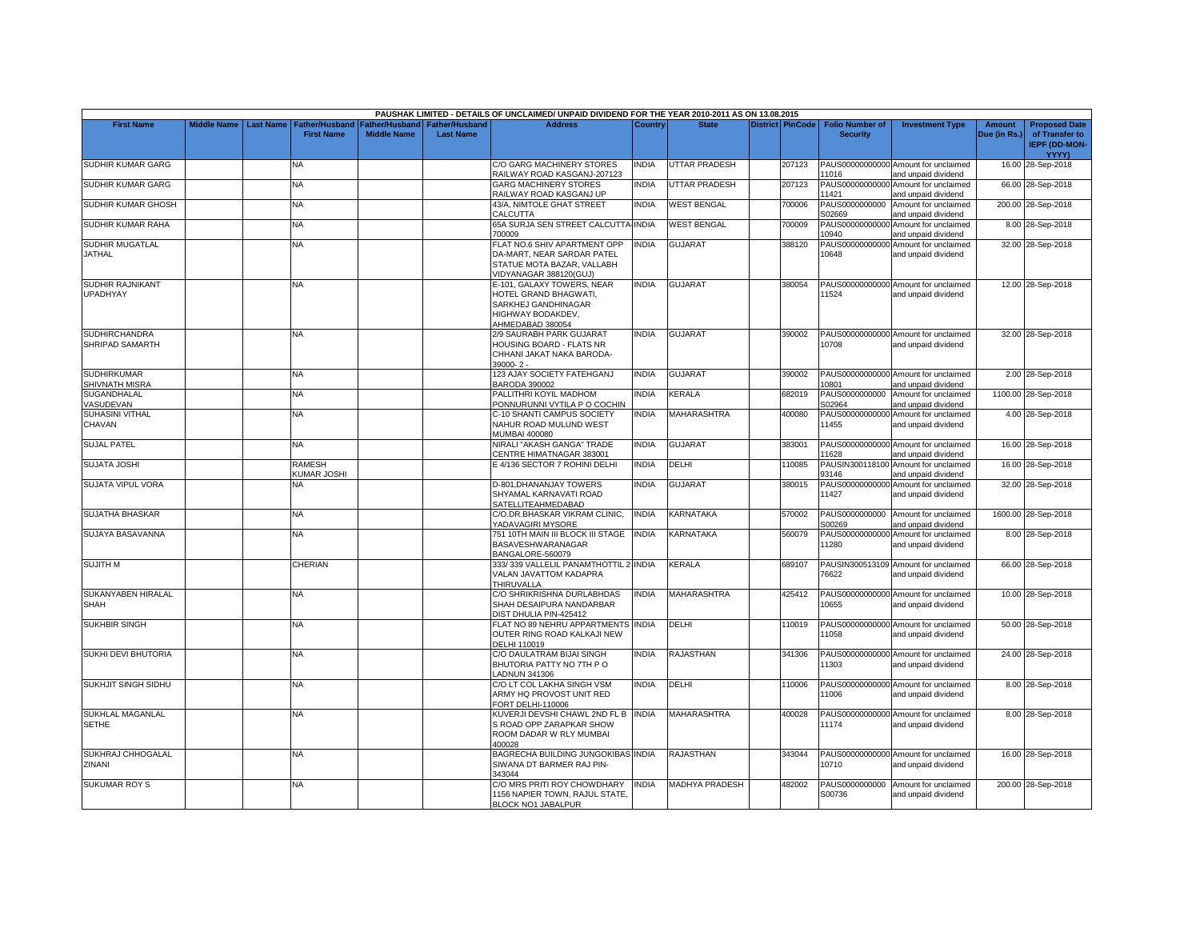|                                            |                    |                  |                                            |                                             |                                           | PAUSHAK LIMITED - DETAILS OF UNCLAIMED/ UNPAID DIVIDEND FOR THE YEAR 2010-2011 AS ON 13.08.2015                     |                |                       |                         |                                           |                                                             |                               |                                                                                |
|--------------------------------------------|--------------------|------------------|--------------------------------------------|---------------------------------------------|-------------------------------------------|---------------------------------------------------------------------------------------------------------------------|----------------|-----------------------|-------------------------|-------------------------------------------|-------------------------------------------------------------|-------------------------------|--------------------------------------------------------------------------------|
| <b>First Name</b>                          | <b>Middle Name</b> | <b>Last Name</b> | <b>Father/Husband</b><br><b>First Name</b> | <b>Father/Husband</b><br><b>Middle Name</b> | <b>Father/Husband</b><br><b>Last Name</b> | <b>Address</b>                                                                                                      | <b>Country</b> | <b>State</b>          | <b>District PinCode</b> | <b>Folio Number of</b><br><b>Security</b> | <b>Investment Type</b>                                      | <b>Amount</b><br>Due (in Rs.) | <b>Proposed Date</b><br>of Transfer to<br><b>IEPF (DD-MON-</b><br><b>YYYY)</b> |
| SUDHIR KUMAR GARG                          |                    |                  | NA.                                        |                                             |                                           | C/O GARG MACHINERY STORES<br>RAILWAY ROAD KASGANJ-207123                                                            | INDIA          | <b>UTTAR PRADESH</b>  | 207123                  | 11016                                     | PAUS00000000000 Amount for unclaimed<br>and unpaid dividend |                               | 16.00 28-Sep-2018                                                              |
| SUDHIR KUMAR GARG                          |                    |                  | NA                                         |                                             |                                           | <b>GARG MACHINERY STORES</b><br>RAILWAY ROAD KASGANJ UP                                                             | <b>NDIA</b>    | <b>UTTAR PRADESH</b>  | 207123                  | 11421                                     | PAUS00000000000 Amount for unclaimed<br>and unpaid dividend |                               | 66.00 28-Sep-2018                                                              |
| SUDHIR KUMAR GHOSH                         |                    |                  | NA                                         |                                             |                                           | 43/A, NIMTOLE GHAT STREET<br>CALCUTTA                                                                               | <b>NDIA</b>    | <b>WEST BENGAL</b>    | 700006                  | PAUS0000000000<br>S02669                  | Amount for unclaimed<br>and unpaid dividend                 |                               | 200.00 28-Sep-2018                                                             |
| SUDHIR KUMAR RAHA                          |                    |                  | NA                                         |                                             |                                           | 65A SURJA SEN STREET CALCUTTA-INDIA<br>700009                                                                       |                | <b>WEST BENGAL</b>    | 700009                  | 10940                                     | PAUS00000000000 Amount for unclaimed<br>and unpaid dividend |                               | 8.00 28-Sep-2018                                                               |
| SUDHIR MUGATLAL<br><b>JATHAL</b>           |                    |                  | NA                                         |                                             |                                           | FLAT NO.6 SHIV APARTMENT OPP<br>DA-MART, NEAR SARDAR PATEL<br>STATUE MOTA BAZAR, VALLABH<br>/IDYANAGAR 388120(GUJ)  | <b>NDIA</b>    | GUJARAT               | 388120                  | 10648                                     | PAUS00000000000 Amount for unclaimed<br>and unpaid dividend |                               | 32.00 28-Sep-2018                                                              |
| <b>SUDHIR RAJNIKANT</b><br><b>UPADHYAY</b> |                    |                  | <b>NA</b>                                  |                                             |                                           | E-101, GALAXY TOWERS, NEAR<br>HOTEL GRAND BHAGWATI,<br>SARKHEJ GANDHINAGAR<br>HIGHWAY BODAKDEV,<br>AHMEDABAD 380054 | <b>INDIA</b>   | <b>GUJARAT</b>        | 380054                  | 11524                                     | PAUS00000000000 Amount for unclaimed<br>and unpaid dividend |                               | 12.00 28-Sep-2018                                                              |
| <b>SUDHIRCHANDRA</b><br>SHRIPAD SAMARTH    |                    |                  | NA                                         |                                             |                                           | 2/9 SAURABH PARK GUJARAT<br>HOUSING BOARD - FLATS NR<br>CHHANI JAKAT NAKA BARODA-<br>39000-2-                       | <b>NDIA</b>    | <b>GUJARAT</b>        | 390002                  | 10708                                     | PAUS00000000000 Amount for unclaimed<br>and unpaid dividend |                               | 32.00 28-Sep-2018                                                              |
| <b>SUDHIRKUMAR</b><br>SHIVNATH MISRA       |                    |                  | NA                                         |                                             |                                           | 123 AJAY SOCIETY FATEHGANJ<br><b>BARODA 390002</b>                                                                  | <b>INDIA</b>   | <b>GUJARAT</b>        | 390002                  | 10801                                     | PAUS00000000000 Amount for unclaimed<br>and unpaid dividend |                               | 2.00 28-Sep-2018                                                               |
| SUGANDHALAL<br>VASUDEVAN                   |                    |                  | NA                                         |                                             |                                           | PALLITHRI KOYIL MADHOM<br>PONNURUNNI VYTILA P O COCHIN                                                              | <b>NDIA</b>    | KERALA                | 682019                  | PAUS0000000000<br>S02964                  | Amount for unclaimed<br>and unpaid dividend                 |                               | 1100.00 28-Sep-2018                                                            |
| <b>SUHASINI VITHAL</b><br>CHAVAN           |                    |                  | NA                                         |                                             |                                           | C-10 SHANTI CAMPUS SOCIETY<br>NAHUR ROAD MULUND WEST<br>MUMBAI 400080                                               | INDIA          | MAHARASHTRA           | 400080                  | 11455                                     | PAUS00000000000 Amount for unclaimed<br>and unpaid dividend |                               | 4.00 28-Sep-2018                                                               |
| <b>SUJAL PATEL</b>                         |                    |                  | <b>NA</b>                                  |                                             |                                           | NIRALI "AKASH GANGA" TRADE<br>CENTRE HIMATNAGAR 383001                                                              | <b>INDIA</b>   | <b>GUJARAT</b>        | 383001                  | 11628                                     | PAUS00000000000 Amount for unclaimed<br>and unpaid dividend |                               | 16.00 28-Sep-2018                                                              |
| <b>SUJATA JOSHI</b>                        |                    |                  | RAMESH<br><b>KUMAR JOSHI</b>               |                                             |                                           | E 4/136 SECTOR 7 ROHINI DELHI                                                                                       | INDIA          | DELHI                 | 110085                  | PAUSIN300118100<br>93146                  | Amount for unclaimed<br>and unpaid dividend                 |                               | 16.00 28-Sep-2018                                                              |
| SUJATA VIPUL VORA                          |                    |                  | NA                                         |                                             |                                           | D-801, DHANANJAY TOWERS<br>SHYAMAL KARNAVATI ROAD<br>SATELLITEAHMEDABAD                                             | <b>NDIA</b>    | <b>GUJARAT</b>        | 380015                  | 11427                                     | PAUS00000000000 Amount for unclaimed<br>and unpaid dividend |                               | 32.00 28-Sep-2018                                                              |
| <b>SUJATHA BHASKAR</b>                     |                    |                  | NA                                         |                                             |                                           | C/O.DR.BHASKAR VIKRAM CLINIC,<br>YADAVAGIRI MYSORE                                                                  | <b>INDIA</b>   | KARNATAKA             | 570002                  | S00269                                    | PAUS0000000000 Amount for unclaimed<br>and unpaid dividend  |                               | 1600.00 28-Sep-2018                                                            |
| SUJAYA BASAVANNA                           |                    |                  | <b>NA</b>                                  |                                             |                                           | 751 10TH MAIN III BLOCK III STAGE<br><b>BASAVESHWARANAGAR</b><br>BANGALORE-560079                                   | <b>INDIA</b>   | KARNATAKA             | 560079                  | 11280                                     | PAUS00000000000 Amount for unclaimed<br>and unpaid dividend |                               | 8.00 28-Sep-2018                                                               |
| <b>SUJITH M</b>                            |                    |                  | CHERIAN                                    |                                             |                                           | 333/339 VALLELIL PANAMTHOTTIL 2 INDIA<br>VALAN JAVATTOM KADAPRA<br>THIRUVALLA                                       |                | KERALA                | 689107                  | 76622                                     | PAUSIN300513109 Amount for unclaimed<br>and unpaid dividend |                               | 66.00 28-Sep-2018                                                              |
| SUKANYABEN HIRALAL<br><b>SHAH</b>          |                    |                  | <b>NA</b>                                  |                                             |                                           | C/O SHRIKRISHNA DURLABHDAS<br>SHAH DESAIPURA NANDARBAR<br>DIST DHULIA PIN-425412                                    | <b>INDIA</b>   | <b>MAHARASHTRA</b>    | 425412                  | 10655                                     | PAUS00000000000 Amount for unclaimed<br>and unpaid dividend |                               | 10.00 28-Sep-2018                                                              |
| <b>SUKHBIR SINGH</b>                       |                    |                  | NA                                         |                                             |                                           | FLAT NO 89 NEHRU APPARTMENTS<br>OUTER RING ROAD KALKAJI NEW<br>DELHI 110019                                         | INDIA          | DELHI                 | 110019                  | 11058                                     | PAUS00000000000 Amount for unclaimed<br>and unpaid dividend |                               | 50.00 28-Sep-2018                                                              |
| SUKHI DEVI BHUTORIA                        |                    |                  | <b>NA</b>                                  |                                             |                                           | C/O DAULATRAM BIJAI SINGH<br>BHUTORIA PATTY NO 7TH PO<br><b>ADNUN 341306</b>                                        | <b>NDIA</b>    | RAJASTHAN             | 341306                  | 11303                                     | PAUS00000000000 Amount for unclaimed<br>and unpaid dividend |                               | 24.00 28-Sep-2018                                                              |
| <b>SUKHJIT SINGH SIDHU</b>                 |                    |                  | <b>NA</b>                                  |                                             |                                           | C/O LT COL LAKHA SINGH VSM<br>ARMY HQ PROVOST UNIT RED<br>FORT DELHI-110006                                         | <b>INDIA</b>   | DELHI                 | 110006                  | 11006                                     | PAUS00000000000 Amount for unclaimed<br>and unpaid dividend |                               | 8.00 28-Sep-2018                                                               |
| SUKHLAL MAGANLAL<br><b>SETHE</b>           |                    |                  | NA                                         |                                             |                                           | KUVERJI DEVSHI CHAWL 2ND FL B INDIA<br>S ROAD OPP ZARAPKAR SHOW<br>ROOM DADAR W RLY MUMBAI<br>400028                |                | MAHARASHTRA           | 400028                  | 11174                                     | PAUS00000000000 Amount for unclaimed<br>and unpaid dividend |                               | 8.00 28-Sep-2018                                                               |
| SUKHRAJ CHHOGALAL<br>ZINANI                |                    |                  | <b>NA</b>                                  |                                             |                                           | BAGRECHA BUILDING JUNGOKIBAS INDIA<br>SIWANA DT BARMER RAJ PIN-<br>343044                                           |                | <b>RAJASTHAN</b>      | 343044                  | 10710                                     | PAUS00000000000 Amount for unclaimed<br>and unpaid dividend |                               | 16.00 28-Sep-2018                                                              |
| <b>SUKUMAR ROY S</b>                       |                    |                  | <b>NA</b>                                  |                                             |                                           | C/O MRS PRITI ROY CHOWDHARY<br>1156 NAPIER TOWN, RAJUL STATE,<br>BLOCK NO1 JABALPUR                                 | <b>NDIA</b>    | <b>MADHYA PRADESH</b> | 482002                  | PAUS0000000000<br>S00736                  | Amount for unclaimed<br>and unpaid dividend                 |                               | 200.00 28-Sep-2018                                                             |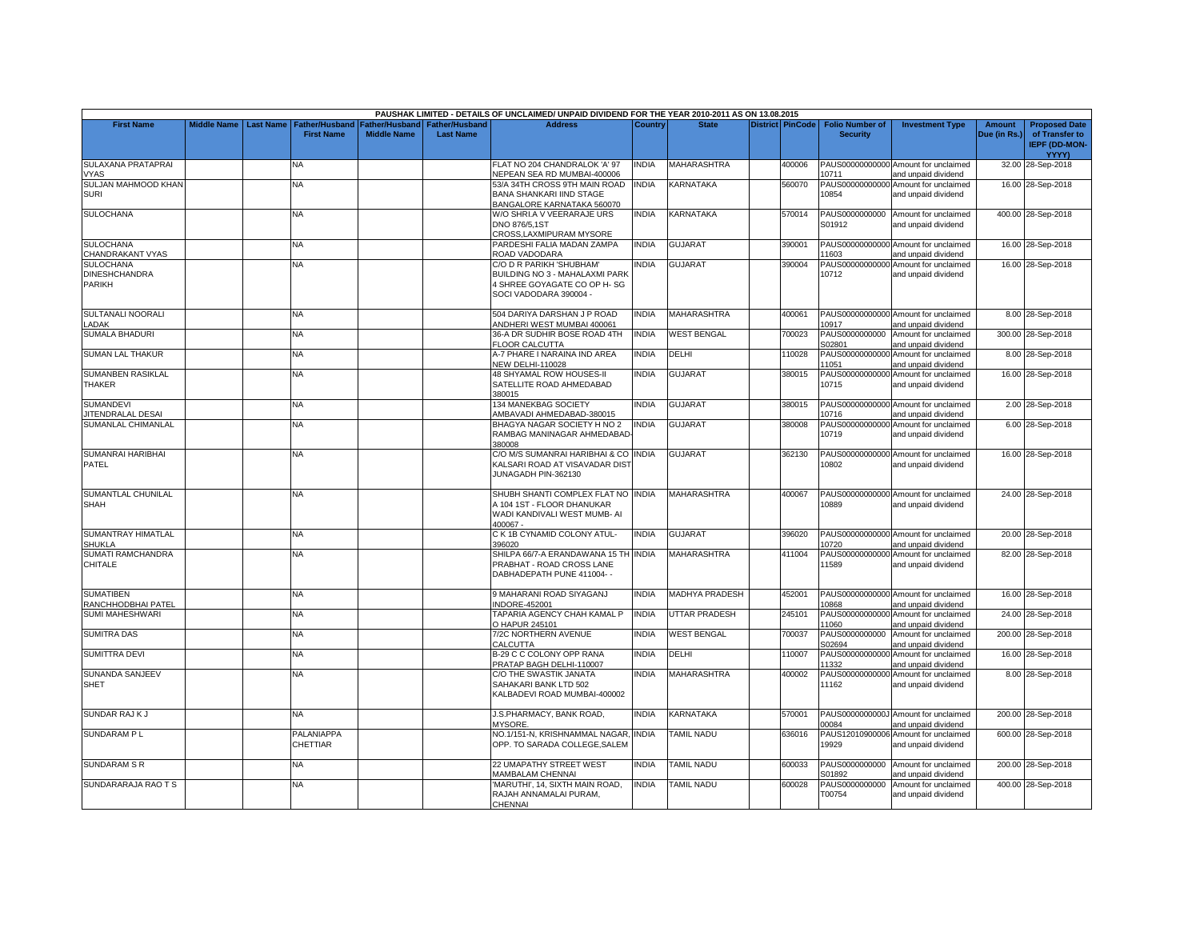|                                             |                    |                  |                                            |                                      |                                           | PAUSHAK LIMITED - DETAILS OF UNCLAIMED/ UNPAID DIVIDEND FOR THE YEAR 2010-2011 AS ON 13.08.2015               |              |                       |                         |                                           |                                                             |                               |                                                                                |
|---------------------------------------------|--------------------|------------------|--------------------------------------------|--------------------------------------|-------------------------------------------|---------------------------------------------------------------------------------------------------------------|--------------|-----------------------|-------------------------|-------------------------------------------|-------------------------------------------------------------|-------------------------------|--------------------------------------------------------------------------------|
| <b>First Name</b>                           | <b>Middle Name</b> | <b>Last Name</b> | <b>Father/Husband</b><br><b>First Name</b> | Father/Husband<br><b>Middle Name</b> | <b>Father/Husband</b><br><b>Last Name</b> | <b>Address</b>                                                                                                | Country      | <b>State</b>          | <b>District PinCode</b> | <b>Folio Number of</b><br><b>Security</b> | <b>Investment Type</b>                                      | <b>Amount</b><br>Due (in Rs.) | <b>Proposed Date</b><br>of Transfer to<br><b>IEPF (DD-MON-</b><br><b>YYYY)</b> |
| SULAXANA PRATAPRAI                          |                    |                  | NА                                         |                                      |                                           | FLAT NO 204 CHANDRALOK 'A' 97                                                                                 | <b>INDIA</b> | MAHARASHTRA           | 400006                  |                                           | PAUS00000000000 Amount for unclaimed                        |                               | 32.00 28-Sep-2018                                                              |
| <b>VYAS</b><br>SULJAN MAHMOOD KHAN          |                    |                  | NA                                         |                                      |                                           | NEPEAN SEA RD MUMBAI-400006<br>53/A 34TH CROSS 9TH MAIN ROAD                                                  | <b>INDIA</b> | KARNATAKA             | 560070                  | 10711                                     | and unpaid dividend<br>PAUS00000000000 Amount for unclaimed |                               | 16.00 28-Sep-2018                                                              |
| <b>SURI</b>                                 |                    |                  |                                            |                                      |                                           | <b>BANA SHANKARI IIND STAGE</b><br>BANGALORE KARNATAKA 560070                                                 |              |                       |                         | 10854                                     | and unpaid dividend                                         |                               |                                                                                |
| <b>SULOCHANA</b>                            |                    |                  | NA                                         |                                      |                                           | W/O SHRI.A V VEERARAJE URS                                                                                    | <b>INDIA</b> | KARNATAKA             | 570014                  |                                           | PAUS0000000000 Amount for unclaimed                         |                               | 400.00 28-Sep-2018                                                             |
|                                             |                    |                  |                                            |                                      |                                           | DNO 876/5,1ST<br>CROSS.LAXMIPURAM MYSORE                                                                      |              |                       |                         | S01912                                    | and unpaid dividend                                         |                               |                                                                                |
| <b>SULOCHANA</b>                            |                    |                  | NA                                         |                                      |                                           | PARDESHI FALIA MADAN ZAMPA                                                                                    | <b>INDIA</b> | GUJARAT               | 390001                  |                                           | PAUS00000000000 Amount for unclaimed                        |                               | 16.00 28-Sep-2018                                                              |
| CHANDRAKANT VYAS<br><b>SULOCHANA</b>        |                    |                  | NA                                         |                                      |                                           | ROAD VADODARA<br>C/O D R PARIKH 'SHUBHAM'                                                                     | INDIA        | <b>GUJARAT</b>        | 390004                  | 11603                                     | and unpaid dividend<br>PAUS00000000000 Amount for unclaimed |                               | 16.00 28-Sep-2018                                                              |
| <b>DINESHCHANDRA</b><br>PARIKH              |                    |                  |                                            |                                      |                                           | BUILDING NO 3 - MAHALAXMI PARK<br>4 SHREE GOYAGATE CO OP H- SG<br>SOCI VADODARA 390004 -                      |              |                       |                         | 10712                                     | and unpaid dividend                                         |                               |                                                                                |
| SULTANALI NOORALI<br><b>ADAK</b>            |                    |                  | NA                                         |                                      |                                           | 504 DARIYA DARSHAN J P ROAD<br>ANDHERI WEST MUMBAI 400061                                                     | INDIA        | MAHARASHTRA           | 400061                  | 10917                                     | PAUS00000000000 Amount for unclaimed<br>and unpaid dividend |                               | 8.00 28-Sep-2018                                                               |
| <b>SUMALA BHADURI</b>                       |                    |                  | NA                                         |                                      |                                           | 36-A DR SUDHIR BOSE ROAD 4TH                                                                                  | <b>INDIA</b> | <b>WEST BENGAL</b>    | 700023                  | PAUS0000000000                            | Amount for unclaimed                                        |                               | 300.00 28-Sep-2018                                                             |
| <b>SUMAN LAL THAKUR</b>                     |                    |                  | NA                                         |                                      |                                           | <b>FLOOR CALCUTTA</b><br>A-7 PHARE I NARAINA IND AREA                                                         | <b>INDIA</b> | DELHI                 | 110028                  | S02801<br>PAUS00000000000                 | and unpaid dividend<br>Amount for unclaimed                 |                               | 8.00 28-Sep-2018                                                               |
| <b>SUMANBEN RASIKLAL</b>                    |                    |                  | NA                                         |                                      |                                           | <b>NEW DELHI-110028</b><br><b>48 SHYAMAL ROW HOUSES-II</b>                                                    | <b>INDIA</b> | GUJARAT               | 380015                  | 11051                                     | and unpaid dividend<br>PAUS00000000000 Amount for unclaimed |                               | 16.00 28-Sep-2018                                                              |
| <b>THAKER</b>                               |                    |                  |                                            |                                      |                                           | SATELLITE ROAD AHMEDABAD<br>380015                                                                            |              |                       |                         | 10715                                     | and unpaid dividend                                         |                               |                                                                                |
| <b>SUMANDEVI</b><br><b>ITENDRALAL DESAI</b> |                    |                  | NA                                         |                                      |                                           | 134 MANEKBAG SOCIETY<br>AMBAVADI AHMEDABAD-380015                                                             | <b>INDIA</b> | GUJARAT               | 380015                  | 10716                                     | PAUS00000000000 Amount for unclaimed<br>and unpaid dividend |                               | 2.00 28-Sep-2018                                                               |
| <b>SUMANLAL CHIMANLAL</b>                   |                    |                  | NA                                         |                                      |                                           | BHAGYA NAGAR SOCIETY H NO 2<br>RAMBAG MANINAGAR AHMEDABAD<br>380008                                           | <b>INDIA</b> | <b>GUJARAT</b>        | 380008                  | PAUS00000000000<br>10719                  | Amount for unclaimed<br>and unpaid dividend                 |                               | 6.00 28-Sep-2018                                                               |
| SUMANRAI HARIBHAI<br>PATEL                  |                    |                  | NA                                         |                                      |                                           | C/O M/S SUMANRAI HARIBHAI & CO INDIA<br>KALSARI ROAD AT VISAVADAR DIST<br>JUNAGADH PIN-362130                 |              | <b>GUJARAT</b>        | 362130                  | 10802                                     | PAUS00000000000 Amount for unclaimed<br>and unpaid dividend |                               | 16.00 28-Sep-2018                                                              |
| SUMANTLAL CHUNILAL<br><b>SHAH</b>           |                    |                  | NA                                         |                                      |                                           | SHUBH SHANTI COMPLEX FLAT NO IINDIA<br>A 104 1ST - FLOOR DHANUKAR<br>WADI KANDIVALI WEST MUMB- AI<br>400067 - |              | <b>MAHARASHTRA</b>    | 400067                  | 10889                                     | PAUS00000000000 Amount for unclaimed<br>and unpaid dividend |                               | 24.00 28-Sep-2018                                                              |
| SUMANTRAY HIMATLAL<br><b>SHUKLA</b>         |                    |                  | NA                                         |                                      |                                           | C K 1B CYNAMID COLONY ATUL-<br>396020                                                                         | <b>INDIA</b> | <b>GUJARAT</b>        | 396020                  | 10720                                     | PAUS00000000000 Amount for unclaimed<br>and unpaid dividend |                               | 20.00 28-Sep-2018                                                              |
| <b>SUMATI RAMCHANDRA</b><br>CHITALE         |                    |                  | NA                                         |                                      |                                           | SHILPA 66/7-A ERANDAWANA 15 TH INDIA<br>PRABHAT - ROAD CROSS LANE<br>DABHADEPATH PUNE 411004- -               |              | <b>MAHARASHTRA</b>    | 411004                  | 11589                                     | PAUS00000000000 Amount for unclaimed<br>and unpaid dividend |                               | 82.00 28-Sep-2018                                                              |
| <b>SUMATIBEN</b><br>RANCHHODBHAI PATEL      |                    |                  | <b>NA</b>                                  |                                      |                                           | 9 MAHARANI ROAD SIYAGANJ<br>NDORE-452001                                                                      | <b>INDIA</b> | <b>MADHYA PRADESH</b> | 452001                  | 10868                                     | PAUS00000000000 Amount for unclaimed<br>and unpaid dividend |                               | 16.00 28-Sep-2018                                                              |
| <b>SUMI MAHESHWARI</b>                      |                    |                  | NA                                         |                                      |                                           | TAPARIA AGENCY CHAH KAMAL P<br>O HAPUR 245101                                                                 | <b>INDIA</b> | UTTAR PRADESH         | 245101                  | PAUS00000000000<br>11060                  | Amount for unclaimed<br>and unpaid dividend                 |                               | 24.00 28-Sep-2018                                                              |
| <b>SUMITRA DAS</b>                          |                    |                  | NA                                         |                                      |                                           | 7/2C NORTHERN AVENUE<br>CALCUTTA                                                                              | <b>INDIA</b> | <b>WEST BENGAL</b>    | 700037                  | PAUS0000000000<br>S02694                  | Amount for unclaimed<br>and unpaid dividend                 |                               | 200.00 28-Sep-2018                                                             |
| <b>SUMITTRA DEVI</b>                        |                    |                  | NA.                                        |                                      |                                           | B-29 C C COLONY OPP RANA                                                                                      | <b>INDIA</b> | DELHI                 | 110007                  | PAUS00000000000                           | Amount for unclaimed                                        |                               | 16.00 28-Sep-2018                                                              |
| SUNANDA SANJEEV                             |                    |                  | <b>NA</b>                                  |                                      |                                           | PRATAP BAGH DELHI-110007<br>C/O THE SWASTIK JANATA                                                            | <b>INDIA</b> | <b>MAHARASHTRA</b>    | 400002                  | 11332                                     | and unpaid dividend<br>PAUS00000000000 Amount for unclaimed |                               | 8.00 28-Sep-2018                                                               |
| <b>SHET</b>                                 |                    |                  |                                            |                                      |                                           | SAHAKARI BANK LTD 502<br>KALBADEVI ROAD MUMBAI-400002                                                         |              |                       |                         | 11162                                     | and unpaid dividend                                         |                               |                                                                                |
| SUNDAR RAJK J                               |                    |                  | NA                                         |                                      |                                           | J.S.PHARMACY, BANK ROAD,<br><b>MYSORE.</b>                                                                    | <b>INDIA</b> | <b>KARNATAKA</b>      | 570001                  | 00084                                     | PAUS0000000000J Amount for unclaimed<br>and unpaid dividend |                               | 200.00 28-Sep-2018                                                             |
| <b>SUNDARAM PL</b>                          |                    |                  | PALANIAPPA<br>CHETTIAR                     |                                      |                                           | NO.1/151-N, KRISHNAMMAL NAGAR, INDIA<br>OPP. TO SARADA COLLEGE, SALEM                                         |              | <b>TAMIL NADU</b>     | 636016                  | 19929                                     | PAUS12010900006 Amount for unclaimed<br>and unpaid dividend |                               | 600.00 28-Sep-2018                                                             |
| <b>SUNDARAM S R</b>                         |                    |                  | NA                                         |                                      |                                           | 22 UMAPATHY STREET WEST<br><b>MAMBALAM CHENNAI</b>                                                            | INDIA        | <b>TAMIL NADU</b>     | 600033                  | PAUS0000000000<br>S01892                  | Amount for unclaimed<br>and unpaid dividend                 |                               | 200.00 28-Sep-2018                                                             |
| SUNDARARAJA RAO T S                         |                    |                  | NA                                         |                                      |                                           | MARUTHI', 14, SIXTH MAIN ROAD.<br>RAJAH ANNAMALAI PURAM,<br>CHENNAI                                           | <b>INDIA</b> | <b>TAMIL NADU</b>     | 600028                  | PAUS0000000000<br>T00754                  | Amount for unclaimed<br>and unpaid dividend                 |                               | 400.00 28-Sep-2018                                                             |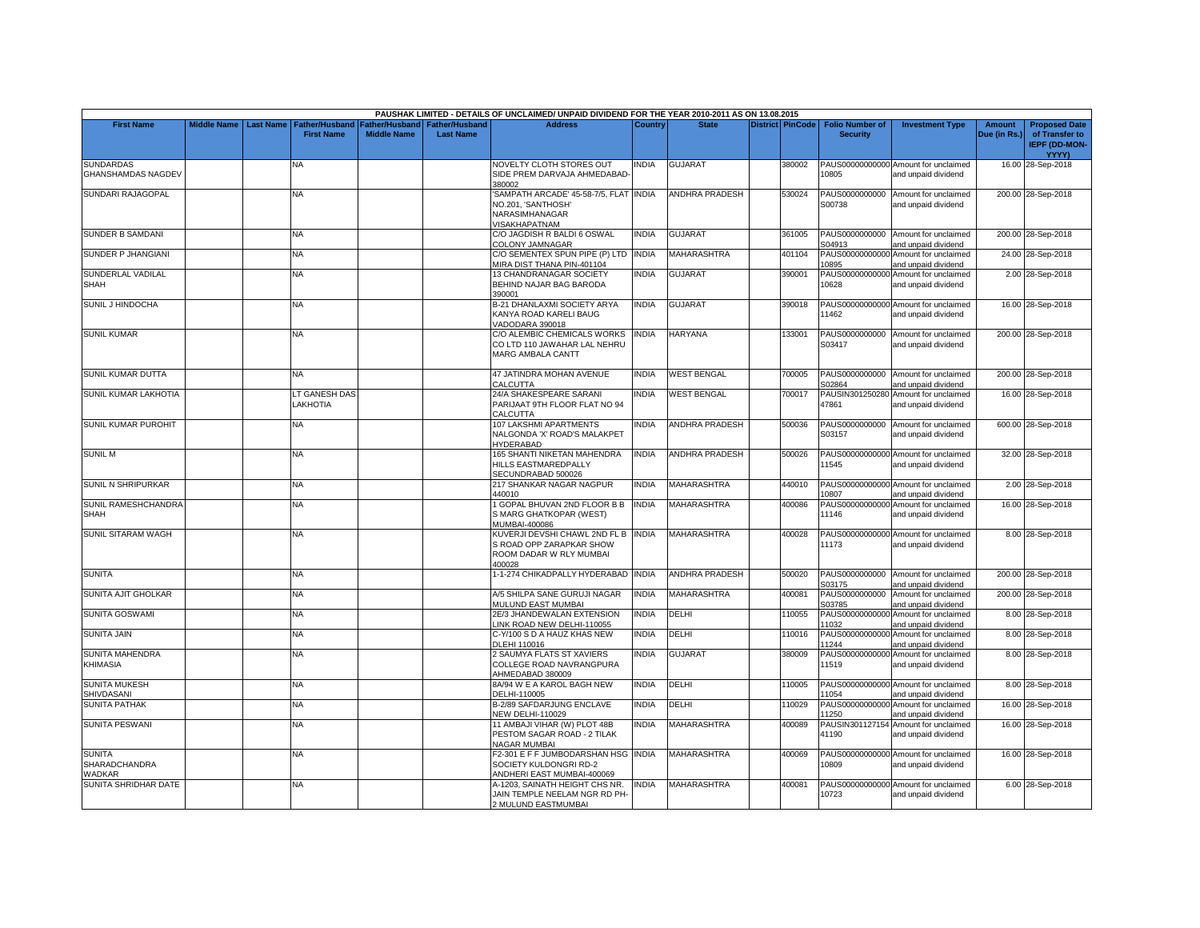|                                                 |                    |                  |                                            |                                      |                                           | PAUSHAK LIMITED - DETAILS OF UNCLAIMED/ UNPAID DIVIDEND FOR THE YEAR 2010-2011 AS ON 13.08.2015      |              |                       |                         |                                           |                                                             |                        |                                                                                |
|-------------------------------------------------|--------------------|------------------|--------------------------------------------|--------------------------------------|-------------------------------------------|------------------------------------------------------------------------------------------------------|--------------|-----------------------|-------------------------|-------------------------------------------|-------------------------------------------------------------|------------------------|--------------------------------------------------------------------------------|
| <b>First Name</b>                               | <b>Middle Name</b> | <b>Last Name</b> | <b>Father/Husband</b><br><b>First Name</b> | Father/Husband<br><b>Middle Name</b> | <b>Father/Husband</b><br><b>Last Name</b> | <b>Address</b>                                                                                       | Country      | <b>State</b>          | <b>District PinCode</b> | <b>Folio Number of</b><br><b>Security</b> | <b>Investment Type</b>                                      | Amount<br>Due (in Rs.) | <b>Proposed Date</b><br>of Transfer to<br><b>IEPF (DD-MON-</b><br><b>YYYY)</b> |
| <b>SUNDARDAS</b><br><b>GHANSHAMDAS NAGDEV</b>   |                    |                  | ΝA                                         |                                      |                                           | NOVELTY CLOTH STORES OUT<br>SIDE PREM DARVAJA AHMEDABAD-<br>380002                                   | india        | <b>GUJARAT</b>        | 380002                  | 10805                                     | PAUS00000000000 Amount for unclaimed<br>and unpaid dividend |                        | 16.00 28-Sep-2018                                                              |
| SUNDARI RAJAGOPAL                               |                    |                  | NA                                         |                                      |                                           | SAMPATH ARCADE' 45-58-7/5, FLAT INDIA<br>NO.201, 'SANTHOSH'<br>NARASIMHANAGAR<br>VISAKHAPATNAM       |              | ANDHRA PRADESH        | 530024                  | PAUS0000000000<br>S00738                  | Amount for unclaimed<br>and unpaid dividend                 |                        | 200.00 28-Sep-2018                                                             |
| SUNDER B SAMDANI                                |                    |                  | <b>NA</b>                                  |                                      |                                           | C/O JAGDISH R BALDI 6 OSWAL<br>COLONY JAMNAGAR                                                       | <b>INDIA</b> | <b>GUJARAT</b>        | 361005                  | S04913                                    | PAUS0000000000 Amount for unclaimed<br>and unpaid dividend  |                        | 200.00 28-Sep-2018                                                             |
| SUNDER P JHANGIANI                              |                    |                  | NA                                         |                                      |                                           | C/O SEMENTEX SPUN PIPE (P) LTD<br>MIRA DIST THANA PIN-401104                                         | <b>INDIA</b> | MAHARASHTRA           | 401104                  | 10895                                     | PAUS00000000000 Amount for unclaimed<br>and unpaid dividend |                        | 24.00 28-Sep-2018                                                              |
| SUNDERLAL VADILAL<br><b>SHAH</b>                |                    |                  | NA                                         |                                      |                                           | 13 CHANDRANAGAR SOCIETY<br>BEHIND NAJAR BAG BARODA<br>390001                                         | <b>INDIA</b> | <b>GUJARAT</b>        | 390001                  | 10628                                     | PAUS00000000000 Amount for unclaimed<br>and unpaid dividend |                        | 2.00 28-Sep-2018                                                               |
| <b>SUNIL J HINDOCHA</b>                         |                    |                  | <b>NA</b>                                  |                                      |                                           | B-21 DHANLAXMI SOCIETY ARYA<br>KANYA ROAD KARELI BAUG<br>VADODARA 390018                             | <b>INDIA</b> | <b>GUJARAT</b>        | 390018                  | 11462                                     | PAUS00000000000 Amount for unclaimed<br>and unpaid dividend |                        | 16.00 28-Sep-2018                                                              |
| <b>SUNIL KUMAR</b>                              |                    |                  | NA                                         |                                      |                                           | C/O ALEMBIC CHEMICALS WORKS<br>CO LTD 110 JAWAHAR LAL NEHRU<br><b>MARG AMBALA CANTT</b>              | <b>INDIA</b> | <b>HARYANA</b>        | 133001                  | S03417                                    | PAUS0000000000 Amount for unclaimed<br>and unpaid dividend  |                        | 200.00 28-Sep-2018                                                             |
| <b>SUNIL KUMAR DUTTA</b>                        |                    |                  | <b>NA</b>                                  |                                      |                                           | 47 JATINDRA MOHAN AVENUE<br>CALCUTTA                                                                 | <b>INDIA</b> | <b>WEST BENGAL</b>    | 700005                  | S02864                                    | PAUS0000000000 Amount for unclaimed<br>and unpaid dividend  |                        | 200.00 28-Sep-2018                                                             |
| SUNIL KUMAR LAKHOTIA                            |                    |                  | <b>T GANESH DAS</b><br><b>AKHOTIA</b>      |                                      |                                           | 24/A SHAKESPEARE SARANI<br>PARIJAAT 9TH FLOOR FLAT NO 94<br>CALCUTTA                                 | <b>INDIA</b> | <b>WEST BENGAL</b>    | 700017                  | 47861                                     | PAUSIN301250280 Amount for unclaimed<br>and unpaid dividend |                        | 16.00 28-Sep-2018                                                              |
| <b>SUNIL KUMAR PUROHIT</b>                      |                    |                  | NA                                         |                                      |                                           | 107 LAKSHMI APARTMENTS<br>NALGONDA 'X' ROAD'S MALAKPET<br>HYDERABAD                                  | <b>INDIA</b> | ANDHRA PRADESH        | 500036                  | S03157                                    | PAUS0000000000 Amount for unclaimed<br>and unpaid dividend  |                        | 600.00 28-Sep-2018                                                             |
| <b>SUNIL M</b>                                  |                    |                  | <b>NA</b>                                  |                                      |                                           | 165 SHANTI NIKETAN MAHENDRA<br>HILLS EASTMAREDPALLY<br>SECUNDRABAD 500026                            | <b>INDIA</b> | <b>ANDHRA PRADESH</b> | 500026                  | 11545                                     | PAUS00000000000 Amount for unclaimed<br>and unpaid dividend |                        | 32.00 28-Sep-2018                                                              |
| SUNIL N SHRIPURKAR                              |                    |                  | <b>NA</b>                                  |                                      |                                           | 217 SHANKAR NAGAR NAGPUR<br>440010                                                                   | <b>INDIA</b> | <b>MAHARASHTRA</b>    | 440010                  | 10807                                     | PAUS00000000000 Amount for unclaimed<br>and unpaid dividend |                        | 2.00 28-Sep-2018                                                               |
| SUNIL RAMESHCHANDRA<br><b>SHAH</b>              |                    |                  | NA.                                        |                                      |                                           | GOPAL BHUVAN 2ND FLOOR B B<br>S MARG GHATKOPAR (WEST)<br>MUMBAI-400086                               | <b>INDIA</b> | <b>MAHARASHTRA</b>    | 400086                  | 11146                                     | PAUS00000000000 Amount for unclaimed<br>and unpaid dividend |                        | 16.00 28-Sep-2018                                                              |
| <b>SUNIL SITARAM WAGH</b>                       |                    |                  | NA.                                        |                                      |                                           | KUVERJI DEVSHI CHAWL 2ND FL B INDIA<br>S ROAD OPP ZARAPKAR SHOW<br>ROOM DADAR W RLY MUMBAI<br>400028 |              | <b>MAHARASHTRA</b>    | 400028                  | 11173                                     | PAUS00000000000 Amount for unclaimed<br>and unpaid dividend |                        | 8.00 28-Sep-2018                                                               |
| <b>SUNITA</b>                                   |                    |                  | NA                                         |                                      |                                           | 1-1-274 CHIKADPALLY HYDERABAD INDIA                                                                  |              | <b>ANDHRA PRADESH</b> | 500020                  | S03175                                    | PAUS0000000000 Amount for unclaimed<br>and unpaid dividend  |                        | 200.00 28-Sep-2018                                                             |
| SUNITA AJIT GHOLKAR                             |                    |                  | <b>NA</b>                                  |                                      |                                           | A/5 SHILPA SANE GURUJI NAGAR<br>MULUND EAST MUMBAI                                                   | <b>INDIA</b> | <b>MAHARASHTRA</b>    | 400081                  | PAUS0000000000<br>S03785                  | Amount for unclaimed<br>and unpaid dividend                 |                        | 200.00 28-Sep-2018                                                             |
| <b>SUNITA GOSWAMI</b>                           |                    |                  | NA                                         |                                      |                                           | 2E/3 JHANDEWALAN EXTENSION<br>LINK ROAD NEW DELHI-110055                                             | <b>INDIA</b> | DELHI                 | 110055                  | PAUS00000000000<br>11032                  | Amount for unclaimed<br>and unpaid dividend                 |                        | 8.00 28-Sep-2018                                                               |
| <b>SUNITA JAIN</b>                              |                    |                  | <b>NA</b>                                  |                                      |                                           | C-Y/100 S D A HAUZ KHAS NEW<br>DLEHI 110016                                                          | <b>INDIA</b> | DELHI                 | 110016                  | 11244                                     | PAUS00000000000 Amount for unclaimed<br>and unpaid dividend |                        | 8.00 28-Sep-2018                                                               |
| SUNITA MAHENDRA<br>KHIMASIA                     |                    |                  | NA                                         |                                      |                                           | 2 SAUMYA FLATS ST XAVIERS<br>COLLEGE ROAD NAVRANGPURA<br>AHMEDABAD 380009                            | INDIA        | <b>GUJARAT</b>        | 380009                  | 11519                                     | PAUS00000000000 Amount for unclaimed<br>and unpaid dividend |                        | 8.00 28-Sep-2018                                                               |
| <b>SUNITA MUKESH</b><br>SHIVDASANI              |                    |                  | NA                                         |                                      |                                           | 8A/94 W E A KAROL BAGH NEW<br>DELHI-110005                                                           | <b>INDIA</b> | DELHI                 | 110005                  | 11054                                     | PAUS00000000000 Amount for unclaimed<br>and unpaid dividend |                        | 8.00 28-Sep-2018                                                               |
| <b>SUNITA PATHAK</b>                            |                    |                  | NA                                         |                                      |                                           | B-2/89 SAFDARJUNG ENCLAVE<br><b>NEW DELHI-110029</b>                                                 | <b>INDIA</b> | DELHI                 | 110029                  | 11250                                     | PAUS00000000000 Amount for unclaimed<br>and unpaid dividend |                        | 16.00 28-Sep-2018                                                              |
| <b>SUNITA PESWANI</b>                           |                    |                  | NA.                                        |                                      |                                           | 11 AMBAJI VIHAR (W) PLOT 48B<br>PESTOM SAGAR ROAD - 2 TILAK<br><b>NAGAR MUMBAI</b>                   | <b>INDIA</b> | <b>MAHARASHTRA</b>    | 400089                  | 41190                                     | PAUSIN301127154 Amount for unclaimed<br>and unpaid dividend |                        | 16.00 28-Sep-2018                                                              |
| <b>SUNITA</b><br><b>SHARADCHANDRA</b><br>WADKAR |                    |                  | NA                                         |                                      |                                           | F2-301 E F F JUMBODARSHAN HSG<br>SOCIETY KULDONGRI RD-2<br>ANDHERI EAST MUMBAI-400069                | <b>INDIA</b> | <b>MAHARASHTRA</b>    | 400069                  | 10809                                     | PAUS00000000000 Amount for unclaimed<br>and unpaid dividend |                        | 16.00 28-Sep-2018                                                              |
| SUNITA SHRIDHAR DATE                            |                    |                  | <b>NA</b>                                  |                                      |                                           | 4-1203. SAINATH HEIGHT CHS NR.<br>JAIN TEMPLE NEELAM NGR RD PH-<br>2 MULUND EASTMUMBAI               | <b>INDIA</b> | <b>MAHARASHTRA</b>    | 400081                  | 10723                                     | PAUS00000000000 Amount for unclaimed<br>and unpaid dividend |                        | 6.00 28-Sep-2018                                                               |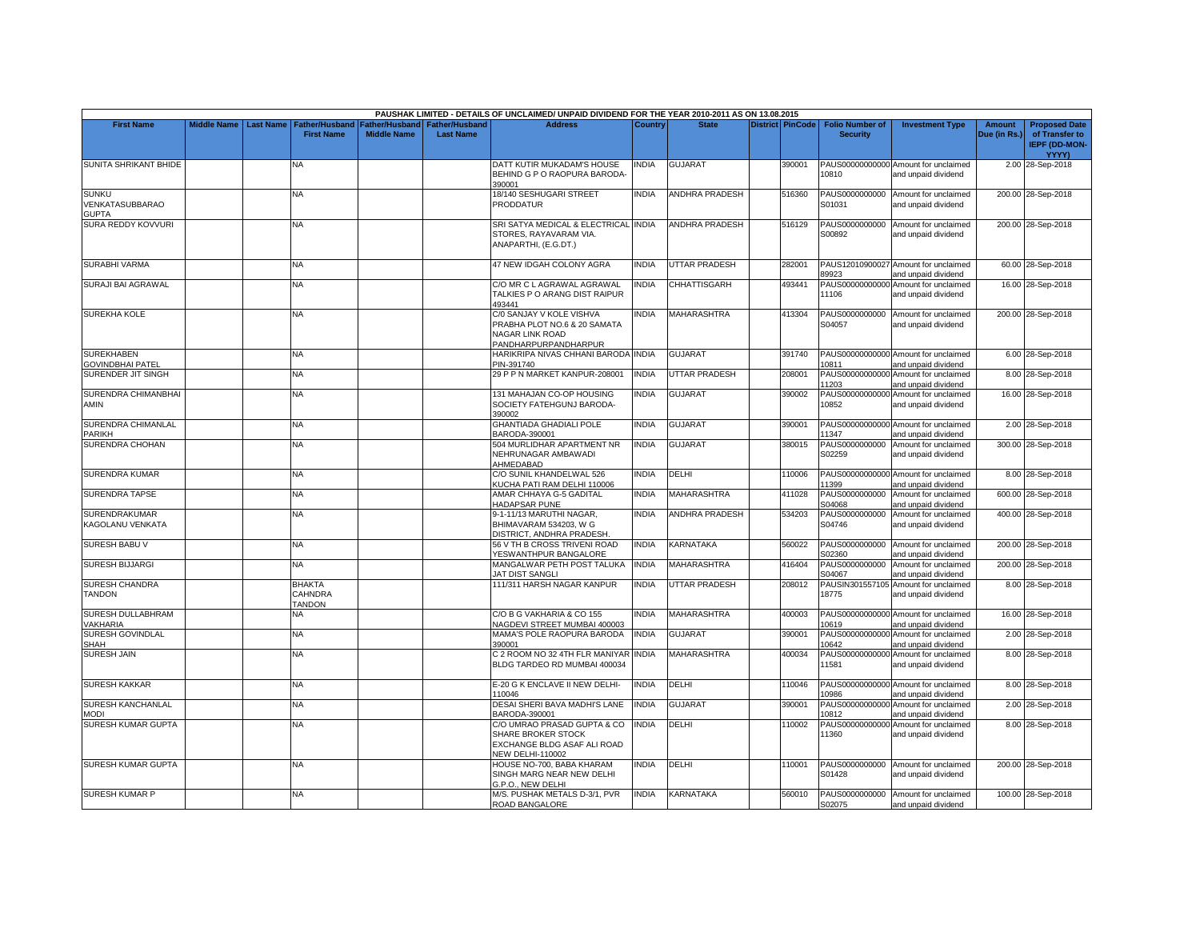|                                                 |                    |                  |                                            |                                      |                                           | PAUSHAK LIMITED - DETAILS OF UNCLAIMED/ UNPAID DIVIDEND FOR THE YEAR 2010-2011 AS ON 13.08.2015             |              |                       |                         |                                           |                                                             |                        |                                                                                |
|-------------------------------------------------|--------------------|------------------|--------------------------------------------|--------------------------------------|-------------------------------------------|-------------------------------------------------------------------------------------------------------------|--------------|-----------------------|-------------------------|-------------------------------------------|-------------------------------------------------------------|------------------------|--------------------------------------------------------------------------------|
| <b>First Name</b>                               | <b>Middle Name</b> | <b>Last Name</b> | <b>Father/Husband</b><br><b>First Name</b> | Father/Husband<br><b>Middle Name</b> | <b>Father/Husband</b><br><b>Last Name</b> | <b>Address</b>                                                                                              | Country      | <b>State</b>          | <b>District PinCode</b> | <b>Folio Number of</b><br><b>Security</b> | <b>Investment Type</b>                                      | Amount<br>Due (in Rs.) | <b>Proposed Date</b><br>of Transfer to<br><b>IEPF (DD-MON-</b><br><b>YYYY)</b> |
| <b>SUNITA SHRIKANT BHIDE</b>                    |                    |                  | N٨                                         |                                      |                                           | DATT KUTIR MUKADAM'S HOUSE<br>BEHIND G P O RAOPURA BARODA-<br>390001                                        | <b>INDIA</b> | <b>GUJARAT</b>        | 390001                  | 10810                                     | PAUS00000000000 Amount for unclaimed<br>and unpaid dividend |                        | 2.00 28-Sep-2018                                                               |
| <b>SUNKU</b><br>VENKATASUBBARAO<br><b>GUPTA</b> |                    |                  | NA                                         |                                      |                                           | 18/140 SESHUGARI STREET<br>PRODDATUR                                                                        | <b>INDIA</b> | <b>ANDHRA PRADESH</b> | 516360                  | PAUS0000000000<br>S01031                  | Amount for unclaimed<br>and unpaid dividend                 |                        | 200.00 28-Sep-2018                                                             |
| SURA REDDY KOVVURI                              |                    |                  | NA                                         |                                      |                                           | SRI SATYA MEDICAL & ELECTRICAL INDIA<br>STORES, RAYAVARAM VIA,<br>ANAPARTHI, (E.G.DT.)                      |              | <b>ANDHRA PRADESH</b> | 516129                  | S00892                                    | PAUS0000000000 Amount for unclaimed<br>and unpaid dividend  |                        | 200.00 28-Sep-2018                                                             |
| <b>SURABHI VARMA</b>                            |                    |                  | NA                                         |                                      |                                           | 47 NEW IDGAH COLONY AGRA                                                                                    | <b>INDIA</b> | UTTAR PRADESH         | 282001                  | 89923                                     | PAUS12010900027 Amount for unclaimed<br>and unpaid dividend |                        | 60.00 28-Sep-2018                                                              |
| SURAJI BAI AGRAWAL                              |                    |                  | NA.                                        |                                      |                                           | C/O MR C L AGRAWAL AGRAWAL<br>TALKIES P O ARANG DIST RAIPUR<br>493441                                       | <b>INDIA</b> | CHHATTISGARH          | 493441                  | 11106                                     | PAUS00000000000 Amount for unclaimed<br>and unpaid dividend |                        | 16.00 28-Sep-2018                                                              |
| <b>SUREKHA KOLE</b>                             |                    |                  | NA                                         |                                      |                                           | C/0 SANJAY V KOLE VISHVA<br>PRABHA PLOT NO.6 & 20 SAMATA<br><b>NAGAR LINK ROAD</b><br>PANDHARPURPANDHARPUR  | INDIA        | MAHARASHTRA           | 413304                  | S04057                                    | PAUS0000000000 Amount for unclaimed<br>and unpaid dividend  |                        | 200.00 28-Sep-2018                                                             |
| <b>SUREKHABEN</b><br>GOVINDBHAI PATEL           |                    |                  | NA                                         |                                      |                                           | HARIKRIPA NIVAS CHHANI BARODA INDIA<br>PIN-391740                                                           |              | GUJARAT               | 391740                  | 10811                                     | PAUS00000000000 Amount for unclaimed<br>and unpaid dividend |                        | 6.00 28-Sep-2018                                                               |
| SURENDER JIT SINGH                              |                    |                  | <b>NA</b>                                  |                                      |                                           | 29 P P N MARKET KANPUR-208001                                                                               | <b>INDIA</b> | <b>UTTAR PRADESH</b>  | 208001                  | 11203                                     | PAUS00000000000 Amount for unclaimed<br>and unpaid dividend |                        | 8.00 28-Sep-2018                                                               |
| SURENDRA CHIMANBHAI<br>AMIN                     |                    |                  | NA                                         |                                      |                                           | 131 MAHAJAN CO-OP HOUSING<br>SOCIETY FATEHGUNJ BARODA-<br>390002                                            | <b>INDIA</b> | <b>GUJARAT</b>        | 390002                  | 10852                                     | PAUS00000000000 Amount for unclaimed<br>and unpaid dividend |                        | 16.00 28-Sep-2018                                                              |
| SURENDRA CHIMANLAL<br>PARIKH                    |                    |                  | NA                                         |                                      |                                           | <b>GHANTIADA GHADIALI POLE</b><br>BARODA-390001                                                             | <b>INDIA</b> | GUJARAT               | 390001                  | 11347                                     | PAUS00000000000 Amount for unclaimed<br>and unpaid dividend |                        | 2.00 28-Sep-2018                                                               |
| SURENDRA CHOHAN                                 |                    |                  | NΑ                                         |                                      |                                           | 504 MURLIDHAR APARTMENT NR<br>NEHRUNAGAR AMBAWADI<br>AHMEDABAD                                              | <b>INDIA</b> | GUJARAT               | 380015                  | PAUS0000000000<br>S02259                  | Amount for unclaimed<br>and unpaid dividend                 |                        | 300.00 28-Sep-2018                                                             |
| SURENDRA KUMAR                                  |                    |                  | NA.                                        |                                      |                                           | C/O SUNIL KHANDELWAL 526<br>KUCHA PATI RAM DELHI 110006                                                     | <b>INDIA</b> | DELHI                 | 110006                  | 11399                                     | PAUS00000000000 Amount for unclaimed<br>and unpaid dividend |                        | 8.00 28-Sep-2018                                                               |
| <b>SURENDRA TAPSE</b>                           |                    |                  | NA                                         |                                      |                                           | AMAR CHHAYA G-5 GADITAL<br>HADAPSAR PUNE                                                                    | <b>INDIA</b> | <b>MAHARASHTRA</b>    | 411028                  | PAUS0000000000<br>S04068                  | Amount for unclaimed<br>and unpaid dividend                 |                        | 600.00 28-Sep-2018                                                             |
| SURENDRAKUMAR<br>KAGOLANU VENKATA               |                    |                  | NA                                         |                                      |                                           | 9-1-11/13 MARUTHI NAGAR,<br>BHIMAVARAM 534203, W G<br>DISTRICT, ANDHRA PRADESH                              | <b>INDIA</b> | ANDHRA PRADESH        | 534203                  | PAUS0000000000<br>S04746                  | Amount for unclaimed<br>and unpaid dividend                 |                        | 400.00 28-Sep-2018                                                             |
| <b>SURESH BABU V</b>                            |                    |                  | NA.                                        |                                      |                                           | 56 V TH B CROSS TRIVENI ROAD<br>YESWANTHPUR BANGALORE                                                       | <b>INDIA</b> | KARNATAKA             | 560022                  | S02360                                    | PAUS0000000000 Amount for unclaimed<br>and unpaid dividend  |                        | 200.00 28-Sep-2018                                                             |
| <b>SURESH BIJJARGI</b>                          |                    |                  | NA                                         |                                      |                                           | MANGALWAR PETH POST TALUKA<br>JAT DIST SANGLI                                                               | <b>INDIA</b> | MAHARASHTRA           | 416404                  | PAUS0000000000<br>S04067                  | Amount for unclaimed<br>and unpaid dividend                 |                        | 200.00 28-Sep-2018                                                             |
| SURESH CHANDRA<br>TANDON                        |                    |                  | <b>BHAKTA</b><br>CAHNDRA<br><b>TANDON</b>  |                                      |                                           | 111/311 HARSH NAGAR KANPUR                                                                                  | <b>INDIA</b> | <b>UTTAR PRADESH</b>  | 208012                  | 18775                                     | PAUSIN301557105 Amount for unclaimed<br>and unpaid dividend |                        | 8.00 28-Sep-2018                                                               |
| SURESH DULLABHRAM<br><b>/AKHARIA</b>            |                    |                  | NА                                         |                                      |                                           | C/O B G VAKHARIA & CO 155<br>NAGDEVI STREET MUMBAI 400003                                                   | INDIA        | MAHARASHTRA           | 400003                  | 10619                                     | PAUS00000000000 Amount for unclaimed<br>and unpaid dividend |                        | 16.00 28-Sep-2018                                                              |
| SURESH GOVINDLAL<br>SHAH                        |                    |                  | NΑ                                         |                                      |                                           | MAMA'S POLE RAOPURA BARODA<br>390001                                                                        | <b>INDIA</b> | GUJARAT               | 390001                  | 10642                                     | PAUS00000000000 Amount for unclaimed<br>and unpaid dividend |                        | 2.00 28-Sep-2018                                                               |
| <b>SURESH JAIN</b>                              |                    |                  | NA.                                        |                                      |                                           | C 2 ROOM NO 32 4TH FLR MANIYAR<br>BLDG TARDEO RD MUMBAI 400034                                              | <b>INDIA</b> | <b>MAHARASHTRA</b>    | 400034                  | 11581                                     | PAUS00000000000 Amount for unclaimed<br>and unpaid dividend |                        | 8.00 28-Sep-2018                                                               |
| <b>SURESH KAKKAR</b>                            |                    |                  | NA.                                        |                                      |                                           | E-20 G K ENCLAVE II NEW DELHI-<br>10046                                                                     | <b>INDIA</b> | DELHI                 | 110046                  | 10986                                     | PAUS00000000000 Amount for unclaimed<br>and unpaid dividend |                        | 8.00 28-Sep-2018                                                               |
| SURESH KANCHANLAL<br><b>IODI</b>                |                    |                  | NA                                         |                                      |                                           | DESAI SHERI BAVA MADHI'S LANE<br>BARODA-390001                                                              | <b>INDIA</b> | <b>GUJARAT</b>        | 390001                  | 10812                                     | PAUS00000000000 Amount for unclaimed<br>and unpaid dividend |                        | 2.00 28-Sep-2018                                                               |
| <b>SURESH KUMAR GUPTA</b>                       |                    |                  | NA                                         |                                      |                                           | C/O UMRAO PRASAD GUPTA & CO<br>SHARE BROKER STOCK<br>EXCHANGE BLDG ASAF ALI ROAD<br><b>NEW DELHI-110002</b> | <b>INDIA</b> | DELHI                 | 110002                  | PAUS00000000000<br>11360                  | Amount for unclaimed<br>and unpaid dividend                 |                        | 8.00 28-Sep-2018                                                               |
| <b>SURESH KUMAR GUPTA</b>                       |                    |                  | NA                                         |                                      |                                           | HOUSE NO-700, BABA KHARAM<br>SINGH MARG NEAR NEW DELHI<br>G.P.O., NEW DELHI                                 | INDIA        | DELHI                 | 110001                  | S01428                                    | PAUS0000000000 Amount for unclaimed<br>and unpaid dividend  |                        | 200.00 28-Sep-2018                                                             |
| SURESH KUMAR P                                  |                    |                  | NA                                         |                                      |                                           | M/S. PUSHAK METALS D-3/1, PVR<br>ROAD BANGALORE                                                             | <b>INDIA</b> | KARNATAKA             | 560010                  | S02075                                    | PAUS0000000000 Amount for unclaimed<br>and unpaid dividend  |                        | 100.00 28-Sep-2018                                                             |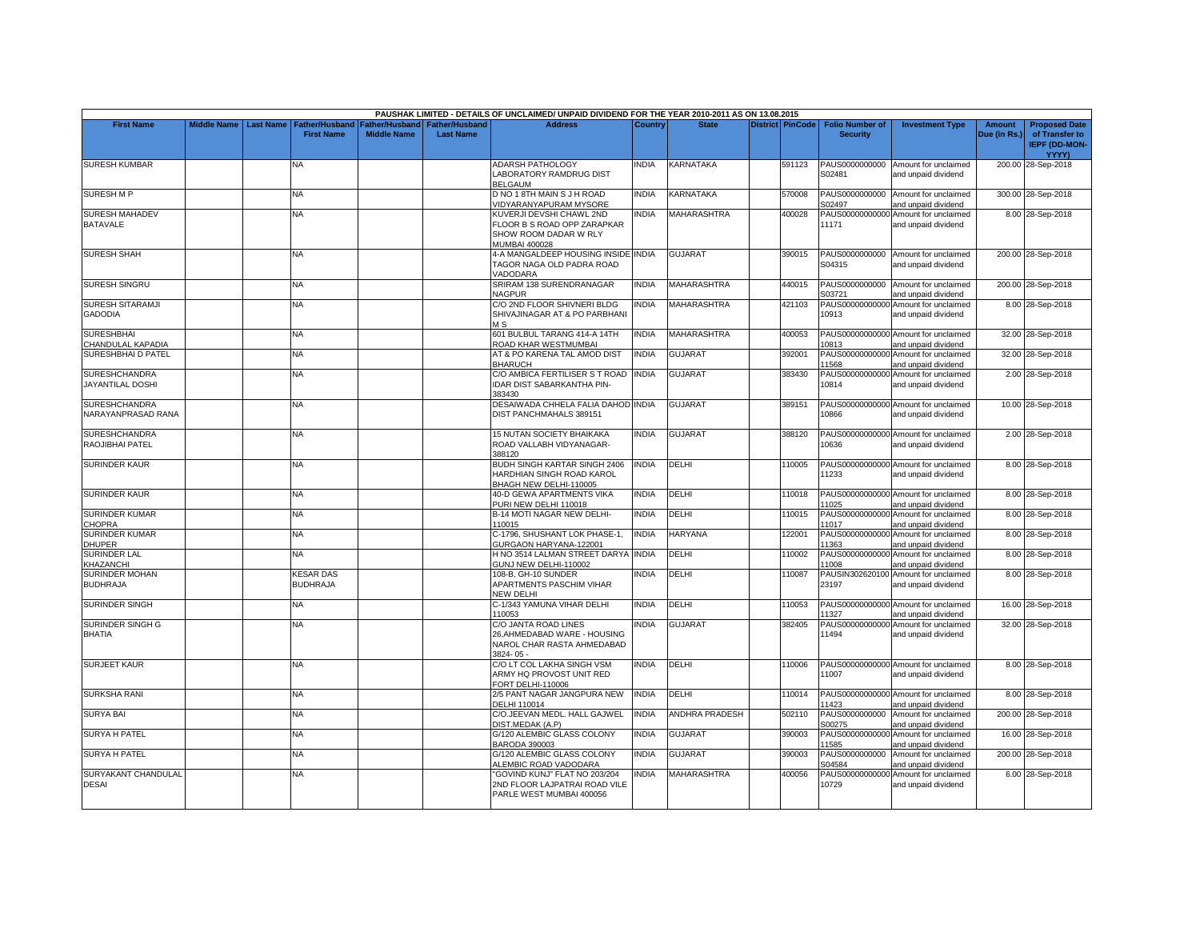|                                                   |                         |                                            |                    |                                                     | PAUSHAK LIMITED - DETAILS OF UNCLAIMED/ UNPAID DIVIDEND FOR THE YEAR 2010-2011 AS ON 13.08.2015   |                |                       |                         |                                           |                                                             |                               |                                                                                |
|---------------------------------------------------|-------------------------|--------------------------------------------|--------------------|-----------------------------------------------------|---------------------------------------------------------------------------------------------------|----------------|-----------------------|-------------------------|-------------------------------------------|-------------------------------------------------------------|-------------------------------|--------------------------------------------------------------------------------|
| <b>First Name</b>                                 | Middle Name   Last Name | <b>Father/Husband</b><br><b>First Name</b> | <b>Middle Name</b> | Father/Husband I Father/Husband<br><b>Last Name</b> | <b>Address</b>                                                                                    | <b>Country</b> | <b>State</b>          | <b>District PinCode</b> | <b>Folio Number of</b><br><b>Security</b> | <b>Investment Type</b>                                      | <b>Amount</b><br>Due (in Rs.) | <b>Proposed Date</b><br>of Transfer to<br><b>IEPF (DD-MON-</b><br><b>YYYY)</b> |
| <b>SURESH KUMBAR</b>                              |                         | NA                                         |                    |                                                     | <b>ADARSH PATHOLOGY</b><br>LABORATORY RAMDRUG DIST<br><b>BELGAUM</b>                              | INDIA          | KARNATAKA             | 591123                  | S02481                                    | PAUS0000000000 Amount for unclaimed<br>and unpaid dividend  |                               | 200.00 28-Sep-2018                                                             |
| <b>SURESH M P</b>                                 |                         | <b>NA</b>                                  |                    |                                                     | D NO 1 8TH MAIN S J H ROAD<br>/IDYARANYAPURAM MYSORE                                              | <b>INDIA</b>   | KARNATAKA             | 570008                  | S02497                                    | PAUS0000000000 Amount for unclaimed<br>and unpaid dividend  |                               | 300.00 28-Sep-2018                                                             |
| <b>SURESH MAHADEV</b><br><b>BATAVALE</b>          |                         | NA.                                        |                    |                                                     | KUVERJI DEVSHI CHAWL 2ND<br>FLOOR B S ROAD OPP ZARAPKAR<br>SHOW ROOM DADAR W RLY<br>MUMBAI 400028 | INDIA          | MAHARASHTRA           | 400028                  | 11171                                     | PAUS00000000000 Amount for unclaimed<br>and unpaid dividend |                               | 8.00 28-Sep-2018                                                               |
| <b>SURESH SHAH</b>                                |                         | NA                                         |                    |                                                     | 4-A MANGALDEEP HOUSING INSIDE INDIA<br>TAGOR NAGA OLD PADRA ROAD<br><b>/ADODARA</b>               |                | <b>GUJARAT</b>        | 390015                  | PAUS0000000000<br>S04315                  | Amount for unclaimed<br>and unpaid dividend                 |                               | 200.00 28-Sep-2018                                                             |
| SURESH SINGRU                                     |                         | <b>NA</b>                                  |                    |                                                     | SRIRAM 138 SURENDRANAGAR<br><b>NAGPUR</b>                                                         | <b>INDIA</b>   | <b>MAHARASHTRA</b>    | 440015                  | S03721                                    | PAUS0000000000 Amount for unclaimed<br>and unpaid dividend  |                               | 200.00 28-Sep-2018                                                             |
| <b>SURESH SITARAMJI</b><br><b>GADODIA</b>         |                         | <b>NA</b>                                  |                    |                                                     | C/O 2ND FLOOR SHIVNERI BLDG<br>SHIVAJINAGAR AT & PO PARBHANI<br>M <sub>S</sub>                    | <b>NDIA</b>    | <b>MAHARASHTRA</b>    | 421103                  | 10913                                     | PAUS00000000000 Amount for unclaimed<br>and unpaid dividend |                               | 8.00 28-Sep-2018                                                               |
| <b>SURESHBHAI</b><br>CHANDULAL KAPADIA            |                         | <b>NA</b>                                  |                    |                                                     | 601 BULBUL TARANG 414-A 14TH<br>ROAD KHAR WESTMUMBAI                                              | <b>NDIA</b>    | <b>MAHARASHTRA</b>    | 400053                  | 10813                                     | PAUS00000000000 Amount for unclaimed<br>and unpaid dividend |                               | 32.00 28-Sep-2018                                                              |
| SURESHBHAI D PATEL                                |                         | <b>NA</b>                                  |                    |                                                     | AT & PO KARENA TAL AMOD DIST<br><b>BHARUCH</b>                                                    | <b>INDIA</b>   | <b>GUJARAT</b>        | 392001                  | 11568                                     | PAUS00000000000 Amount for unclaimed<br>and unpaid dividend |                               | 32.00 28-Sep-2018                                                              |
| <b>SURESHCHANDRA</b><br><b>JAYANTILAL DOSHI</b>   |                         | <b>NA</b>                                  |                    |                                                     | C/O AMBICA FERTILISER S T ROAD INDIA<br>IDAR DIST SABARKANTHA PIN-<br>383430                      |                | <b>GUJARAT</b>        | 383430                  | 10814                                     | PAUS00000000000 Amount for unclaimed<br>and unpaid dividend |                               | 2.00 28-Sep-2018                                                               |
| <b>SURESHCHANDRA</b><br><b>NARAYANPRASAD RANA</b> |                         | <b>NA</b>                                  |                    |                                                     | DESAIWADA CHHELA FALIA DAHOD INDIA<br>DIST PANCHMAHALS 389151                                     |                | <b>GUJARAT</b>        | 389151                  | 10866                                     | PAUS00000000000 Amount for unclaimed<br>and unpaid dividend |                               | 10.00 28-Sep-2018                                                              |
| <b>SURESHCHANDRA</b><br>RAOJIBHAI PATEL           |                         | <b>NA</b>                                  |                    |                                                     | 15 NUTAN SOCIETY BHAIKAKA<br>ROAD VALLABH VIDYANAGAR-<br>388120                                   | <b>NDIA</b>    | <b>GUJARAT</b>        | 388120                  | 10636                                     | PAUS00000000000 Amount for unclaimed<br>and unpaid dividend |                               | 2.00 28-Sep-2018                                                               |
| <b>SURINDER KAUR</b>                              |                         | NA                                         |                    |                                                     | <b>BUDH SINGH KARTAR SINGH 2406</b><br>HARDHIAN SINGH ROAD KAROL<br>BHAGH NEW DELHI-110005        | NDIA           | DELHI                 | 110005                  | 11233                                     | PAUS00000000000 Amount for unclaimed<br>and unpaid dividend |                               | 8.00 28-Sep-2018                                                               |
| <b>SURINDER KAUR</b>                              |                         | <b>NA</b>                                  |                    |                                                     | 40-D GEWA APARTMENTS VIKA<br>PURI NEW DELHI 110018                                                | <b>INDIA</b>   | DELHI                 | 110018                  | 11025                                     | PAUS00000000000 Amount for unclaimed<br>and unpaid dividend |                               | 8.00 28-Sep-2018                                                               |
| <b>SURINDER KUMAR</b><br>CHOPRA                   |                         | NA.                                        |                    |                                                     | B-14 MOTI NAGAR NEW DELHI-<br>110015                                                              | NDIA           | delhi                 | 110015                  | 11017                                     | PAUS00000000000 Amount for unclaimed<br>and unpaid dividend |                               | 8.00 28-Sep-2018                                                               |
| <b>SURINDER KUMAR</b><br><b>DHUPER</b>            |                         | <b>NA</b>                                  |                    |                                                     | C-1796. SHUSHANT LOK PHASE-1.<br>GURGAON HARYANA-122001                                           | <b>INDIA</b>   | <b>HARYANA</b>        | 122001                  | 11363                                     | PAUS00000000000 Amount for unclaimed<br>and unpaid dividend |                               | 8.00 28-Sep-2018                                                               |
| SURINDER LAL<br><b>KHAZANCHI</b>                  |                         | NA                                         |                    |                                                     | H NO 3514 LALMAN STREET DARYA<br>GUNJ NEW DELHI-110002                                            | <b>INDIA</b>   | DELHI                 | 110002                  | PAUS00000000000<br>11008                  | Amount for unclaimed<br>and unpaid dividend                 |                               | 8.00 28-Sep-2018                                                               |
| <b>SURINDER MOHAN</b><br><b>BUDHRAJA</b>          |                         | <b>KESAR DAS</b><br><b>BUDHRAJA</b>        |                    |                                                     | 108-B. GH-10 SUNDER<br>APARTMENTS PASCHIM VIHAR<br>NEW DELHI                                      | <b>NDIA</b>    | DELHI                 | 110087                  | 23197                                     | PAUSIN302620100 Amount for unclaimed<br>and unpaid dividend |                               | 8.00 28-Sep-2018                                                               |
| <b>SURINDER SINGH</b>                             |                         | <b>NA</b>                                  |                    |                                                     | C-1/343 YAMUNA VIHAR DELHI<br>10053                                                               | <b>NDIA</b>    | DELHI                 | 110053                  | 11327                                     | PAUS00000000000 Amount for unclaimed<br>and unpaid dividend |                               | 16.00 28-Sep-2018                                                              |
| SURINDER SINGH G<br><b>BHATIA</b>                 |                         | NA                                         |                    |                                                     | C/O JANTA ROAD LINES<br>26.AHMEDABAD WARE - HOUSING<br>NAROL CHAR RASTA AHMEDABAD<br>3824-05-     | INDIA          | <b>GUJARAT</b>        | 382405                  | 11494                                     | PAUS00000000000 Amount for unclaimed<br>and unpaid dividend |                               | 32.00 28-Sep-2018                                                              |
| <b>SURJEET KAUR</b>                               |                         | NA                                         |                    |                                                     | C/O LT COL LAKHA SINGH VSM<br>ARMY HQ PROVOST UNIT RED<br><b>FORT DELHI-110006</b>                | india          | DELHI                 | 110006                  | 11007                                     | PAUS00000000000 Amount for unclaimed<br>and unpaid dividend |                               | 8.00 28-Sep-2018                                                               |
| <b>SURKSHA RANI</b>                               |                         | NA                                         |                    |                                                     | 2/5 PANT NAGAR JANGPURA NEW<br><b>DELHI 110014</b>                                                | INDIA          | DELHI                 | 110014                  | 11423                                     | PAUS00000000000 Amount for unclaimed<br>nd unpaid dividend  |                               | 8.00 28-Sep-2018                                                               |
| <b>SURYA BAI</b>                                  |                         | NA                                         |                    |                                                     | C/O.JEEVAN MEDL. HALL GAJWEL<br>DIST.MEDAK (A.P)                                                  | <b>INDIA</b>   | <b>ANDHRA PRADESH</b> | 502110                  | PAUS0000000000<br>S00275                  | Amount for unclaimed<br>and unpaid dividend                 |                               | 200.00 28-Sep-2018                                                             |
| <b>SURYA H PATEL</b>                              |                         | NA                                         |                    |                                                     | G/120 ALEMBIC GLASS COLONY<br><b>BARODA 390003</b>                                                | <b>INDIA</b>   | <b>GUJARAT</b>        | 390003                  | 11585                                     | PAUS00000000000 Amount for unclaimed<br>and unpaid dividend |                               | 16.00 28-Sep-2018                                                              |
| <b>SURYA H PATEL</b>                              |                         | <b>NA</b>                                  |                    |                                                     | G/120 ALEMBIC GLASS COLONY<br>ALEMBIC ROAD VADODARA                                               | <b>NDIA</b>    | <b>GUJARAT</b>        | 390003                  | PAUS0000000000<br>S04584                  | Amount for unclaimed<br>and unpaid dividend                 |                               | 200.00 28-Sep-2018                                                             |
| SURYAKANT CHANDULAL<br><b>DESAI</b>               |                         | <b>NA</b>                                  |                    |                                                     | "GOVIND KUNJ" FLAT NO 203/204<br>2ND FLOOR LAJPATRAI ROAD VILE<br>PARLE WEST MUMBAI 400056        | <b>INDIA</b>   | <b>MAHARASHTRA</b>    | 400056                  | 10729                                     | PAUS00000000000 Amount for unclaimed<br>and unpaid dividend |                               | 6.00 28-Sep-2018                                                               |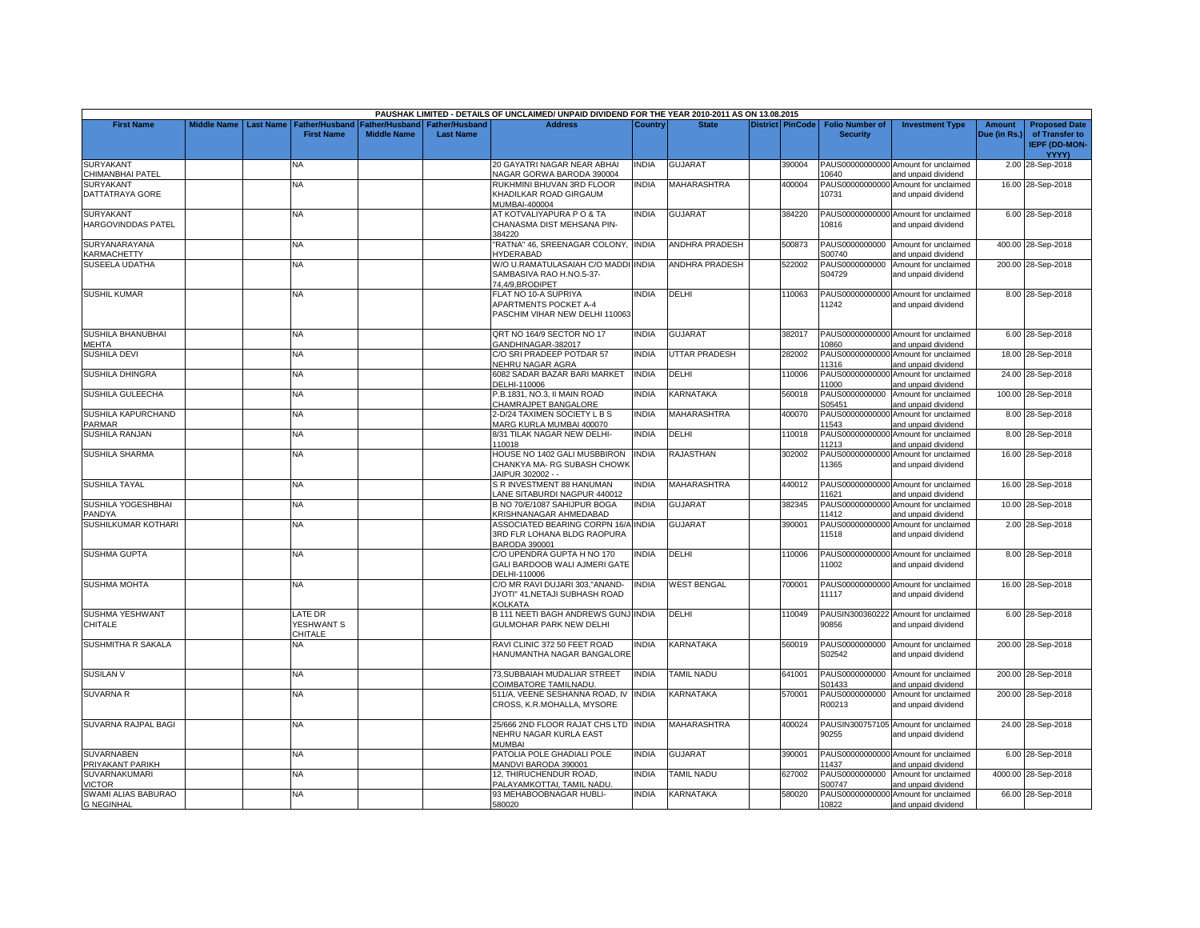|                                                         |  |                                                               |                                      |                                           | PAUSHAK LIMITED - DETAILS OF UNCLAIMED/ UNPAID DIVIDEND FOR THE YEAR 2010-2011 AS ON 13.08.2015   |              |                       |                         |                                           |                                                                                    |                        |                                                                         |
|---------------------------------------------------------|--|---------------------------------------------------------------|--------------------------------------|-------------------------------------------|---------------------------------------------------------------------------------------------------|--------------|-----------------------|-------------------------|-------------------------------------------|------------------------------------------------------------------------------------|------------------------|-------------------------------------------------------------------------|
| <b>First Name</b>                                       |  | Middle Name   Last Name   Father/Husband<br><b>First Name</b> | Father/Husband<br><b>Middle Name</b> | <b>Father/Husband</b><br><b>Last Name</b> | <b>Address</b>                                                                                    | Country      | <b>State</b>          | <b>District PinCode</b> | <b>Folio Number of</b><br><b>Security</b> | <b>Investment Type</b>                                                             | Amount<br>Due (in Rs.) | <b>Proposed Date</b><br>of Transfer to<br><b>IEPF (DD-MON-</b><br>YYYY) |
| <b>SURYAKANT</b>                                        |  | ΝA                                                            |                                      |                                           | 20 GAYATRI NAGAR NEAR ABHAI                                                                       | <b>INDIA</b> | <b>GUJARAT</b>        | 390004                  |                                           | PAUS00000000000 Amount for unclaimed                                               |                        | 2.00 28-Sep-2018                                                        |
| CHIMANBHAI PATEL<br><b>SURYAKANT</b><br>DATTATRAYA GORE |  | NA                                                            |                                      |                                           | NAGAR GORWA BARODA 390004<br>RUKHMINI BHUVAN 3RD FLOOR<br>KHADILKAR ROAD GIRGAUM<br>MUMBAI-400004 | <b>INDIA</b> | <b>MAHARASHTRA</b>    | 400004                  | 10640<br>10731                            | and unpaid dividend<br>PAUS00000000000 Amount for unclaimed<br>and unpaid dividend |                        | 16.00 28-Sep-2018                                                       |
| <b>SURYAKANT</b><br><b>HARGOVINDDAS PATEL</b>           |  | <b>NA</b>                                                     |                                      |                                           | AT KOTVALIYAPURA P O & TA<br>CHANASMA DIST MEHSANA PIN-<br>384220                                 | <b>INDIA</b> | <b>GUJARAT</b>        | 384220                  | 10816                                     | PAUS00000000000 Amount for unclaimed<br>and unpaid dividend                        |                        | 6.00 28-Sep-2018                                                        |
| SURYANARAYANA<br><b>KARMACHETTY</b>                     |  | <b>NA</b>                                                     |                                      |                                           | 'RATNA" 46, SREENAGAR COLONY, INDIA<br><b>HYDERABAD</b>                                           |              | <b>ANDHRA PRADESH</b> | 500873                  | S00740                                    | PAUS0000000000 Amount for unclaimed<br>and unpaid dividend                         |                        | 400.00 28-Sep-2018                                                      |
| <b>SUSEELA UDATHA</b>                                   |  | NA                                                            |                                      |                                           | W/O U.RAMATULASAIAH C/O MADD<br>SAMBASIVA RAO H.NO.5-37-<br>74.4/9.BRODIPET                       | <b>INDIA</b> | <b>NDHRA PRADESH</b>  | 522002                  | PAUS0000000000<br>S04729                  | Amount for unclaimed<br>and unpaid dividend                                        |                        | 200.00 28-Sep-2018                                                      |
| <b>SUSHIL KUMAR</b>                                     |  | <b>NA</b>                                                     |                                      |                                           | FLAT NO 10-A SUPRIYA<br><b>APARTMENTS POCKET A-4</b><br>PASCHIM VIHAR NEW DELHI 110063            | <b>INDIA</b> | DELHI                 | 110063                  | 11242                                     | PAUS00000000000 Amount for unclaimed<br>and unpaid dividend                        |                        | 8.00 28-Sep-2018                                                        |
| SUSHILA BHANUBHAI<br>MEHTA                              |  | NA.                                                           |                                      |                                           | QRT NO 164/9 SECTOR NO 17<br>GANDHINAGAR-382017                                                   | <b>INDIA</b> | <b>GUJARAT</b>        | 382017                  | 10860                                     | PAUS00000000000 Amount for unclaimed<br>and unpaid dividend                        |                        | 6.00 28-Sep-2018                                                        |
| SUSHILA DEVI                                            |  | NA                                                            |                                      |                                           | C/O SRI PRADEEP POTDAR 57<br>NEHRU NAGAR AGRA                                                     | INDIA        | UTTAR PRADESH         | 282002                  | PAUS00000000000<br>11316                  | Amount for unclaimed<br>and unpaid dividend                                        |                        | 18.00 28-Sep-2018                                                       |
| SUSHILA DHINGRA                                         |  | NA.                                                           |                                      |                                           | 6082 SADAR BAZAR BARI MARKET<br>DELHI-110006                                                      | <b>INDIA</b> | DELHI                 | 110006                  | 11000                                     | PAUS00000000000 Amount for unclaimed<br>and unpaid dividend                        |                        | 24.00 28-Sep-2018                                                       |
| SUSHILA GULEECHA                                        |  | <b>NA</b>                                                     |                                      |                                           | P.B.1831, NO.3, II MAIN ROAD<br>CHAMRAJPET BANGALORE                                              | <b>INDIA</b> | <b>KARNATAKA</b>      | 560018                  | PAUS0000000000<br>S05451                  | Amount for unclaimed<br>and unpaid dividend                                        |                        | 100.00 28-Sep-2018                                                      |
| SUSHILA KAPURCHAND<br>PARMAR                            |  | NA                                                            |                                      |                                           | 2-D/24 TAXIMEN SOCIETY L B S<br>MARG KURLA MUMBAI 400070                                          | INDIA        | MAHARASHTRA           | 400070                  | PAUS00000000000<br>11543                  | Amount for unclaimed<br>and unpaid dividend                                        |                        | 8.00 28-Sep-2018                                                        |
| <b>SUSHILA RANJAN</b>                                   |  | <b>NA</b>                                                     |                                      |                                           | 3/31 TILAK NAGAR NEW DELHI-<br>110018                                                             | <b>INDIA</b> | DELHI                 | 110018                  | 11213                                     | PAUS00000000000 Amount for unclaimed<br>and unpaid dividend                        |                        | 8.00 28-Sep-2018                                                        |
| <b>SUSHILA SHARMA</b>                                   |  | NA.                                                           |                                      |                                           | HOUSE NO 1402 GALI MUSBBIRON<br>CHANKYA MA- RG SUBASH CHOWK<br>JAIPUR 302002 - -                  | <b>INDIA</b> | RAJASTHAN             | 302002                  | PAUS00000000000<br>11365                  | Amount for unclaimed<br>and unpaid dividend                                        |                        | 16.00 28-Sep-2018                                                       |
| <b>SUSHILA TAYAL</b>                                    |  | NA.                                                           |                                      |                                           | S R INVESTMENT 88 HANUMAN<br>ANE SITABURDI NAGPUR 440012                                          | <b>INDIA</b> | <b>MAHARASHTRA</b>    | 440012                  | 11621                                     | PAUS00000000000 Amount for unclaimed<br>and unpaid dividend                        |                        | 16.00 28-Sep-2018                                                       |
| SUSHILA YOGESHBHAI<br><b>ANDYA</b>                      |  | NA                                                            |                                      |                                           | B NO 70/E/1087 SAHIJPUR BOGA<br>KRISHNANAGAR AHMEDABAD                                            | INDIA        | <b>GUJARAT</b>        | 382345                  | 11412                                     | PAUS00000000000 Amount for unclaimed<br>and unpaid dividend                        |                        | 10.00 28-Sep-2018                                                       |
| SUSHILKUMAR KOTHARI                                     |  | NA.                                                           |                                      |                                           | ASSOCIATED BEARING CORPN 16/A INDIA<br>3RD FLR LOHANA BLDG RAOPURA<br>BARODA 390001               |              | <b>GUJARAT</b>        | 390001                  | 11518                                     | PAUS00000000000 Amount for unclaimed<br>and unpaid dividend                        |                        | 2.00 28-Sep-2018                                                        |
| <b>SUSHMA GUPTA</b>                                     |  | <b>NA</b>                                                     |                                      |                                           | C/O UPENDRA GUPTA H NO 170<br>GALI BARDOOB WALI AJMERI GATE<br>DELHI-110006                       | <b>INDIA</b> | <b>DELHI</b>          | 110006                  | 11002                                     | PAUS00000000000 Amount for unclaimed<br>and unpaid dividend                        |                        | 8.00 28-Sep-2018                                                        |
| <b>SUSHMA MOHTA</b>                                     |  | <b>NA</b>                                                     |                                      |                                           | C/O MR RAVI DUJARI 303."ANAND-<br>JYOTI" 41, NETAJI SUBHASH ROAD<br><b>KOLKATA</b>                | <b>INDIA</b> | <b>WEST BENGAL</b>    | 700001                  | 11117                                     | PAUS00000000000 Amount for unclaimed<br>and unpaid dividend                        |                        | 16.00 28-Sep-2018                                                       |
| SUSHMA YESHWANT<br>CHITALE                              |  | LATE DR<br>YESHWANT S<br>CHITALE                              |                                      |                                           | B 111 NEETI BAGH ANDREWS GUNJ INDIA<br>GULMOHAR PARK NEW DELHI                                    |              | DELHI                 | 110049                  | 90856                                     | PAUSIN300360222 Amount for unclaimed<br>and unpaid dividend                        |                        | 6.00 28-Sep-2018                                                        |
| SUSHMITHA R SAKALA                                      |  | NA                                                            |                                      |                                           | RAVI CLINIC 372 50 FEET ROAD<br>HANUMANTHA NAGAR BANGALORE                                        | <b>INDIA</b> | KARNATAKA             | 560019                  | S02542                                    | PAUS0000000000 Amount for unclaimed<br>and unpaid dividend                         |                        | 200.00 28-Sep-2018                                                      |
| SUSILAN V                                               |  | NA.                                                           |                                      |                                           | <b>73.SUBBAIAH MUDALIAR STREET</b><br>COIMBATORE TAMILNADU                                        | <b>INDIA</b> | <b>TAMIL NADU</b>     | 641001                  | PAUS0000000000<br>S01433                  | Amount for unclaimed<br>and unpaid dividend                                        |                        | 200.00 28-Sep-2018                                                      |
| <b>SUVARNA R</b>                                        |  | <b>NA</b>                                                     |                                      |                                           | 511/A, VEENE SESHANNA ROAD, IV INDIA<br>CROSS, K.R.MOHALLA, MYSORE                                |              | KARNATAKA             | 570001                  | PAUS0000000000<br>R00213                  | Amount for unclaimed<br>and unpaid dividend                                        |                        | 200.00 28-Sep-2018                                                      |
| SUVARNA RAJPAL BAGI                                     |  | NΑ                                                            |                                      |                                           | 25/666 2ND FLOOR RAJAT CHS LTD INDIA<br>NEHRU NAGAR KURLA EAST<br>MUMBAI                          |              | <b>MAHARASHTRA</b>    | 400024                  | 90255                                     | PAUSIN300757105 Amount for unclaimed<br>and unpaid dividend                        |                        | 24.00 28-Sep-2018                                                       |
| <b>SUVARNABEN</b><br>PRIYAKANT PARIKH                   |  | NΑ                                                            |                                      |                                           | PATOLIA POLE GHADIALI POLE<br>MANDVI BARODA 390001                                                | <b>INDIA</b> | <b>GUJARAT</b>        | 390001                  | 11437                                     | PAUS00000000000 Amount for unclaimed<br>and unpaid dividend                        |                        | 6.00 28-Sep-2018                                                        |
| <b>SUVARNAKUMARI</b><br>/ICTOR                          |  | NA                                                            |                                      |                                           | 12, THIRUCHENDUR ROAD,<br>PALAYAMKOTTAI, TAMIL NADU                                               | <b>INDIA</b> | <b>TAMIL NADU</b>     | 627002                  | PAUS0000000000<br>300747                  | Amount for unclaimed<br>and unpaid dividend                                        |                        | 4000.00 28-Sep-2018                                                     |
| SWAMI ALIAS BABURAO<br><b>G NEGINHAL</b>                |  | NA.                                                           |                                      |                                           | 93 MEHABOOBNAGAR HUBLI-<br>580020                                                                 | <b>INDIA</b> | <b>KARNATAKA</b>      | 580020                  | 10822                                     | PAUS00000000000 Amount for unclaimed<br>and unpaid dividend                        |                        | 66.00 28-Sep-2018                                                       |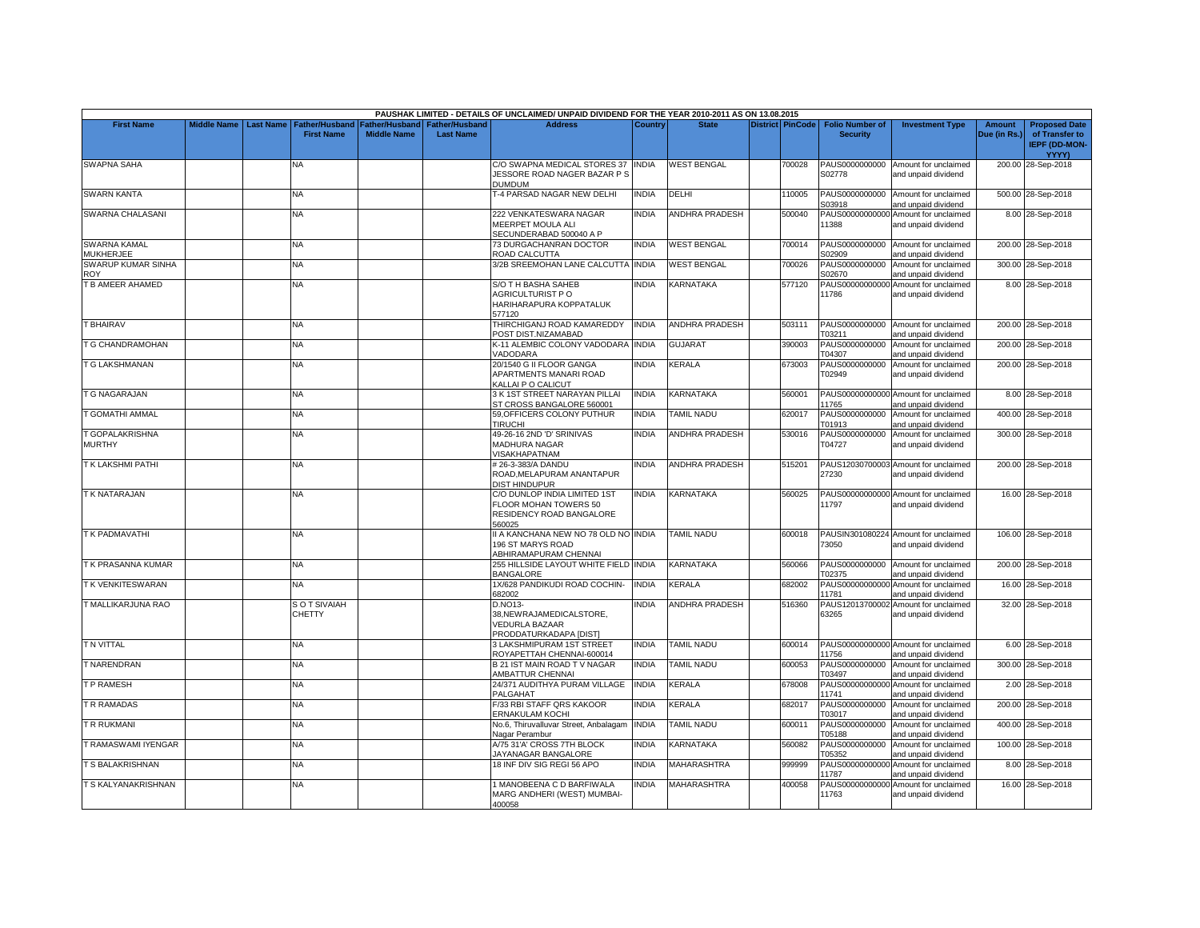|                                         |                         |                                            |                    |                                                   | PAUSHAK LIMITED - DETAILS OF UNCLAIMED/ UNPAID DIVIDEND FOR THE YEAR 2010-2011 AS ON 13.08.2015 |                |                       |                         |                                           |                                                             |                        |                                                                |
|-----------------------------------------|-------------------------|--------------------------------------------|--------------------|---------------------------------------------------|-------------------------------------------------------------------------------------------------|----------------|-----------------------|-------------------------|-------------------------------------------|-------------------------------------------------------------|------------------------|----------------------------------------------------------------|
| <b>First Name</b>                       | Middle Name   Last Name | <b>Father/Husband</b><br><b>First Name</b> | <b>Middle Name</b> | Father/Husband Father/Husband<br><b>Last Name</b> | <b>Address</b>                                                                                  | <b>Country</b> | <b>State</b>          | <b>District PinCode</b> | <b>Folio Number of</b><br><b>Security</b> | <b>Investment Type</b>                                      | Amount<br>Due (in Rs.) | <b>Proposed Date</b><br>of Transfer to<br><b>IEPF (DD-MON-</b> |
| <b>SWAPNA SAHA</b>                      |                         | NA                                         |                    |                                                   | C/O SWAPNA MEDICAL STORES 37 INDIA<br>JESSORE ROAD NAGER BAZAR P S<br><b>DUMDUM</b>             |                | <b>WEST BENGAL</b>    | 700028                  | PAUS0000000000<br>S02778                  | Amount for unclaimed<br>and unpaid dividend                 |                        | <b>YYYY)</b><br>200.00 28-Sep-2018                             |
| <b>SWARN KANTA</b>                      |                         | NA                                         |                    |                                                   | <b>-4 PARSAD NAGAR NEW DELHI</b>                                                                | <b>INDIA</b>   | DELHI                 | 110005                  | PAUS0000000000<br>S03918                  | Amount for unclaimed<br>and unpaid dividend                 |                        | 500.00 28-Sep-2018                                             |
| SWARNA CHALASANI                        |                         | NA.                                        |                    |                                                   | 222 VENKATESWARA NAGAR<br>MEERPET MOULA ALI<br>SECUNDERABAD 500040 A P                          | <b>NDIA</b>    | ANDHRA PRADESH        | 500040                  | 11388                                     | PAUS00000000000 Amount for unclaimed<br>and unpaid dividend |                        | 8.00 28-Sep-2018                                               |
| <b>SWARNA KAMAL</b><br><b>MUKHERJEE</b> |                         | <b>NA</b>                                  |                    |                                                   | 73 DURGACHANRAN DOCTOR<br>ROAD CALCUTTA                                                         | <b>INDIA</b>   | <b>WEST BENGAL</b>    | 700014                  | S02909                                    | PAUS0000000000 Amount for unclaimed<br>and unpaid dividend  |                        | 200.00 28-Sep-2018                                             |
| <b>SWARUP KUMAR SINHA</b><br><b>ROY</b> |                         | NA                                         |                    |                                                   | 3/2B SREEMOHAN LANE CALCUTTA INDIA                                                              |                | <b>WEST BENGAL</b>    | 700026                  | PAUS0000000000<br>S02670                  | Amount for unclaimed<br>and unpaid dividend                 |                        | 300.00 28-Sep-2018                                             |
| <b>B AMEER AHAMED</b>                   |                         | NA                                         |                    |                                                   | S/O TH BASHA SAHEB<br>AGRICULTURIST PO<br>HARIHARAPURA KOPPATALUK<br>577120                     | <b>NDIA</b>    | KARNATAKA             | 577120                  | PAUS00000000000<br>11786                  | Amount for unclaimed<br>and unpaid dividend                 |                        | 8.00 28-Sep-2018                                               |
| <b>T BHAIRAV</b>                        |                         | NA                                         |                    |                                                   | THIRCHIGANJ ROAD KAMAREDDY<br>POST DIST.NIZAMABAD                                               | <b>INDIA</b>   | <b>ANDHRA PRADESH</b> | 503111                  | PAUS0000000000<br>T03211                  | Amount for unclaimed<br>and unpaid dividend                 |                        | 200.00 28-Sep-2018                                             |
| <b>G CHANDRAMOHAN</b>                   |                         | NA                                         |                    |                                                   | K-11 ALEMBIC COLONY VADODARA INDIA<br><b>/ADODARA</b>                                           |                | <b>GUJARAT</b>        | 390003                  | PAUS0000000000<br>T04307                  | Amount for unclaimed<br>and unpaid dividend                 |                        | 200.00 28-Sep-2018                                             |
| <b>T G LAKSHMANAN</b>                   |                         | NA.                                        |                    |                                                   | 20/1540 G II FLOOR GANGA<br>APARTMENTS MANARI ROAD<br>KALLAI P O CALICUT                        | NDIA           | KERALA                | 673003                  | PAUS0000000000<br>T02949                  | Amount for unclaimed<br>and unpaid dividend                 |                        | 200.00 28-Sep-2018                                             |
| T G NAGARAJAN                           |                         | <b>NA</b>                                  |                    |                                                   | 3 K 1ST STREET NARAYAN PILLAI<br>ST CROSS BANGALORE 560001                                      | <b>INDIA</b>   | <b>KARNATAKA</b>      | 560001                  | 11765                                     | PAUS00000000000 Amount for unclaimed<br>and unpaid dividend |                        | 8.00 28-Sep-2018                                               |
| <b>GOMATHI AMMAL</b>                    |                         | NA.                                        |                    |                                                   | 59.OFFICERS COLONY PUTHUR<br><b>TIRUCHI</b>                                                     | <b>INDIA</b>   | <b>TAMIL NADU</b>     | 620017                  | PAUS0000000000<br>T01913                  | Amount for unclaimed<br>and unpaid dividend                 |                        | 400.00 28-Sep-2018                                             |
| <b>GOPALAKRISHNA</b><br><b>MURTHY</b>   |                         | <b>NA</b>                                  |                    |                                                   | 49-26-16 2ND 'D' SRINIVAS<br>MADHURA NAGAR<br><b>VISAKHAPATNAM</b>                              | <b>INDIA</b>   | <b>ANDHRA PRADESH</b> | 530016                  | PAUS0000000000<br>T04727                  | Amount for unclaimed<br>and unpaid dividend                 |                        | 300.00 28-Sep-2018                                             |
| <b>TK LAKSHMI PATHI</b>                 |                         | NA.                                        |                    |                                                   | # 26-3-383/A DANDU<br>ROAD, MELAPURAM ANANTAPUR<br>DIST HINDUPUR                                | INDIA          | <b>ANDHRA PRADESH</b> | 515201                  | 27230                                     | PAUS12030700003 Amount for unclaimed<br>and unpaid dividend |                        | 200.00 28-Sep-2018                                             |
| <b>T K NATARAJAN</b>                    |                         | <b>NA</b>                                  |                    |                                                   | C/O DUNLOP INDIA LIMITED 1ST<br>FLOOR MOHAN TOWERS 50<br>RESIDENCY ROAD BANGALORE<br>560025     | <b>NDIA</b>    | <b>KARNATAKA</b>      | 560025                  | 11797                                     | PAUS00000000000 Amount for unclaimed<br>and unpaid dividend |                        | 16.00 28-Sep-2018                                              |
| T K PADMAVATHI                          |                         | <b>NA</b>                                  |                    |                                                   | II A KANCHANA NEW NO 78 OLD NO INDIA<br>196 ST MARYS ROAD<br>ABHIRAMAPURAM CHENNAI              |                | <b>TAMIL NADU</b>     | 600018                  | 73050                                     | PAUSIN301080224 Amount for unclaimed<br>and unpaid dividend |                        | 106.00 28-Sep-2018                                             |
| T K PRASANNA KUMAR                      |                         | NA                                         |                    |                                                   | 255 HILLSIDE LAYOUT WHITE FIELD INDIA<br><b>BANGALORE</b>                                       |                | KARNATAKA             | 560066                  | T02375                                    | PAUS0000000000 Amount for unclaimed<br>and unpaid dividend  |                        | 200.00 28-Sep-2018                                             |
| T K VENKITESWARAN                       |                         | <b>NA</b>                                  |                    |                                                   | 1X/628 PANDIKUDI ROAD COCHIN-<br>682002                                                         | <b>INDIA</b>   | KERALA                | 682002                  | PAUS00000000000<br>11781                  | Amount for unclaimed<br>and unpaid dividend                 |                        | 16.00 28-Sep-2018                                              |
| T MALLIKARJUNA RAO                      |                         | S O T SIVAIAH<br><b>CHETTY</b>             |                    |                                                   | D.NO13-<br>38, NEW RAJAMEDICALSTORE,<br>VEDURLA BAZAAR<br>PRODDATURKADAPA [DIST]                | <b>INDIA</b>   | <b>ANDHRA PRADESH</b> | 516360                  | 63265                                     | PAUS12013700002 Amount for unclaimed<br>and unpaid dividend |                        | 32.00 28-Sep-2018                                              |
| T N VITTAL                              |                         | <b>NA</b>                                  |                    |                                                   | <b>3 LAKSHMIPURAM 1ST STREET</b><br>ROYAPETTAH CHENNAI-600014                                   | <b>NDIA</b>    | TAMIL NADU            | 600014                  | 11756                                     | PAUS00000000000 Amount for unclaimed<br>and unpaid dividend |                        | 6.00 28-Sep-2018                                               |
| <b>T NARENDRAN</b>                      |                         | NA                                         |                    |                                                   | B 21 IST MAIN ROAD TV NAGAR<br>AMBATTUR CHENNAI                                                 | INDIA          | <b>TAMIL NADU</b>     | 600053                  | PAUS0000000000<br>T03497                  | Amount for unclaimed<br>and unpaid dividend                 |                        | 300.00 28-Sep-2018                                             |
| T P RAMESH                              |                         | <b>NA</b>                                  |                    |                                                   | 24/371 AUDITHYA PURAM VILLAGE<br>PALGAHAT                                                       | <b>INDIA</b>   | KERALA                | 678008                  | 11741                                     | PAUS00000000000 Amount for unclaimed<br>and unpaid dividend |                        | 2.00 28-Sep-2018                                               |
| R RAMADAS                               |                         | <b>NA</b>                                  |                    |                                                   | F/33 RBI STAFF QRS KAKOOR<br>ERNAKULAM KOCHI                                                    | INDIA          | KERALA                | 682017                  | PAUS0000000000<br>T03017                  | Amount for unclaimed<br>and unpaid dividend                 |                        | 200.00 28-Sep-2018                                             |
| R RUKMANI                               |                         | <b>NA</b>                                  |                    |                                                   | No.6, Thiruvalluvar Street, Anbalagam<br>Nagar Perambur                                         | <b>INDIA</b>   | <b>TAMIL NADU</b>     | 600011                  | PAUS0000000000<br>T05188                  | Amount for unclaimed<br>and unpaid dividend                 |                        | 400.00 28-Sep-2018                                             |
| T RAMASWAMI IYENGAR                     |                         | <b>NA</b>                                  |                    |                                                   | A/75 31'A' CROSS 7TH BLOCK<br>JAYANAGAR BANGALORE                                               | INDIA          | KARNATAKA             | 560082                  | PAUS0000000000<br>T05352                  | Amount for unclaimed<br>and unpaid dividend                 |                        | 100.00 28-Sep-2018                                             |
| <b>T S BALAKRISHNAN</b>                 |                         | NA.                                        |                    |                                                   | 18 INF DIV SIG REGI 56 APO                                                                      | <b>NDIA</b>    | MAHARASHTRA           | 999999                  | PAUS00000000000<br>11787                  | Amount for unclaimed<br>and unpaid dividend                 |                        | 8.00 28-Sep-2018                                               |
| T S KALYANAKRISHNAN                     |                         | <b>NA</b>                                  |                    |                                                   | <b>MANOBEENA C D BARFIWALA</b><br>MARG ANDHERI (WEST) MUMBAI-<br>400058                         | <b>NDIA</b>    | <b>MAHARASHTRA</b>    | 400058                  | 11763                                     | PAUS00000000000 Amount for unclaimed<br>and unpaid dividend |                        | 16.00 28-Sep-2018                                              |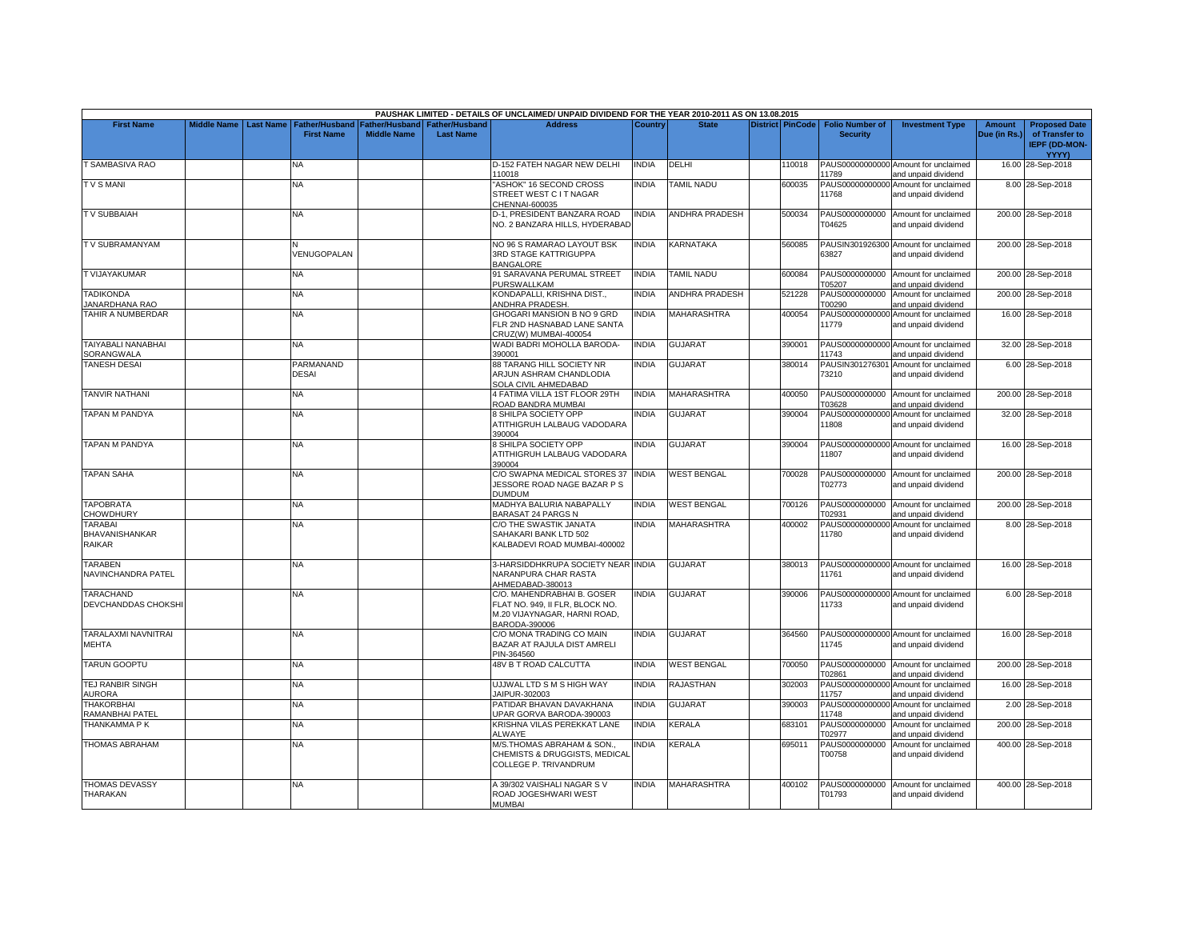|                                               |                         |                           |                    |                                 | PAUSHAK LIMITED - DETAILS OF UNCLAIMED/ UNPAID DIVIDEND FOR THE YEAR 2010-2011 AS ON 13.08.2015                |                |                       |                         |                          |                                                             |               |                                                        |
|-----------------------------------------------|-------------------------|---------------------------|--------------------|---------------------------------|----------------------------------------------------------------------------------------------------------------|----------------|-----------------------|-------------------------|--------------------------|-------------------------------------------------------------|---------------|--------------------------------------------------------|
| <b>First Name</b>                             | Middle Name   Last Name | <b>Father/Husband</b>     |                    | Father/Husband I Father/Husband | <b>Address</b>                                                                                                 | <b>Country</b> | <b>State</b>          | <b>District PinCode</b> | <b>Folio Number of</b>   | <b>Investment Type</b>                                      | <b>Amount</b> | <b>Proposed Date</b>                                   |
|                                               |                         | <b>First Name</b>         | <b>Middle Name</b> | <b>Last Name</b>                |                                                                                                                |                |                       |                         | <b>Security</b>          |                                                             | Due (in Rs.)  | of Transfer to<br><b>IEPF (DD-MON-</b><br><b>YYYY)</b> |
| T SAMBASIVA RAO                               |                         | NA                        |                    |                                 | D-152 FATEH NAGAR NEW DELHI<br>10018                                                                           | <b>INDIA</b>   | DELHI                 | 110018                  | 11789                    | PAUS00000000000 Amount for unclaimed<br>and unpaid dividend |               | 16.00 28-Sep-2018                                      |
| <b>TVSMANI</b>                                |                         | NA                        |                    |                                 | "ASHOK" 16 SECOND CROSS<br>STREET WEST C IT NAGAR<br>CHENNAI-600035                                            | <b>NDIA</b>    | <b>TAMIL NADU</b>     | 600035                  | 11768                    | PAUS00000000000 Amount for unclaimed<br>and unpaid dividend |               | 8.00 28-Sep-2018                                       |
| <b>TV SUBBAIAH</b>                            |                         | NA.                       |                    |                                 | D-1, PRESIDENT BANZARA ROAD<br>NO. 2 BANZARA HILLS, HYDERABAD                                                  | <b>NDIA</b>    | ANDHRA PRADESH        | 500034                  | T04625                   | PAUS0000000000 Amount for unclaimed<br>and unpaid dividend  |               | 200.00 28-Sep-2018                                     |
| TV SUBRAMANYAM                                |                         | VENUGOPALAN               |                    |                                 | NO 96 S RAMARAO LAYOUT BSK<br>3RD STAGE KATTRIGUPPA<br><b>BANGALORE</b>                                        | <b>INDIA</b>   | KARNATAKA             | 560085                  | 63827                    | PAUSIN301926300 Amount for unclaimed<br>and unpaid dividend |               | 200.00 28-Sep-2018                                     |
| T VIJAYAKUMAR                                 |                         | <b>NA</b>                 |                    |                                 | 91 SARAVANA PERUMAL STREET<br><b>PURSWALLKAM</b>                                                               | <b>INDIA</b>   | <b>TAMIL NADU</b>     | 600084                  | T05207                   | PAUS0000000000 Amount for unclaimed<br>and unpaid dividend  |               | 200.00 28-Sep-2018                                     |
| <b>TADIKONDA</b><br><b>ANARDHANA RAO</b>      |                         | NA                        |                    |                                 | KONDAPALLI, KRISHNA DIST.,<br>ANDHRA PRADESH                                                                   | <b>NDIA</b>    | <b>ANDHRA PRADESH</b> | 521228                  | PAUS0000000000<br>T00290 | Amount for unclaimed<br>and unpaid dividend                 |               | 200.00 28-Sep-2018                                     |
| TAHIR A NUMBERDAR                             |                         | NA                        |                    |                                 | GHOGARI MANSION B NO 9 GRD<br>FLR 2ND HASNABAD LANE SANTA<br>CRUZ(W) MUMBAI-400054                             | INDIA          | <b>MAHARASHTRA</b>    | 400054                  | 11779                    | PAUS00000000000 Amount for unclaimed<br>and unpaid dividend |               | 16.00 28-Sep-2018                                      |
| TAIYABALI NANABHAI<br>SORANGWALA              |                         | <b>NA</b>                 |                    |                                 | WADI BADRI MOHOLLA BARODA-<br>390001                                                                           | <b>INDIA</b>   | <b>GUJARAT</b>        | 390001                  | 11743                    | PAUS00000000000 Amount for unclaimed<br>and unpaid dividend |               | 32.00 28-Sep-2018                                      |
| <b>TANESH DESAI</b>                           |                         | PARMANAND<br><b>DESAI</b> |                    |                                 | 88 TARANG HILL SOCIETY NR<br>ARJUN ASHRAM CHANDLODIA<br>SOLA CIVIL AHMEDABAD                                   | INDIA          | <b>GUJARAT</b>        | 380014                  | 73210                    | PAUSIN301276301 Amount for unclaimed<br>and unpaid dividend |               | 6.00 28-Sep-2018                                       |
| <b>TANVIR NATHANI</b>                         |                         | NA                        |                    |                                 | 4 FATIMA VILLA 1ST FLOOR 29TH<br>ROAD BANDRA MUMBAI                                                            | <b>INDIA</b>   | <b>MAHARASHTRA</b>    | 400050                  | PAUS0000000000<br>T03628 | Amount for unclaimed<br>and unpaid dividend                 |               | 200.00 28-Sep-2018                                     |
| <b>TAPAN M PANDYA</b>                         |                         | NA                        |                    |                                 | 8 SHILPA SOCIETY OPP<br>ATITHIGRUH LALBAUG VADODARA<br>390004                                                  | INDIA          | GUJARAT               | 390004                  | 11808                    | PAUS00000000000 Amount for unclaimed<br>and unpaid dividend |               | 32.00 28-Sep-2018                                      |
| <b>TAPAN M PANDYA</b>                         |                         | <b>NA</b>                 |                    |                                 | 8 SHILPA SOCIETY OPP<br>ATITHIGRUH LALBAUG VADODARA<br>390004                                                  | <b>INDIA</b>   | <b>GUJARAT</b>        | 390004                  | 11807                    | PAUS00000000000 Amount for unclaimed<br>and unpaid dividend |               | 16.00 28-Sep-2018                                      |
| <b>TAPAN SAHA</b>                             |                         | NA                        |                    |                                 | C/O SWAPNA MEDICAL STORES 37<br>JESSORE ROAD NAGE BAZAR P S<br>DUMDUM                                          | INDIA          | <b>WEST BENGAL</b>    | 700028                  | PAUS0000000000<br>T02773 | Amount for unclaimed<br>and unpaid dividend                 |               | 200.00 28-Sep-2018                                     |
| <b>TAPOBRATA</b><br>CHOWDHURY                 |                         | <b>NA</b>                 |                    |                                 | MADHYA BALURIA NABAPALLY<br><b>BARASAT 24 PARGS N</b>                                                          | <b>NDIA</b>    | <b>WEST BENGAL</b>    | 700126                  | PAUS0000000000<br>T02931 | Amount for unclaimed<br>and unpaid dividend                 |               | 200.00 28-Sep-2018                                     |
| <b>TARABAI</b><br>BHAVANISHANKAR<br>RAIKAR    |                         | <b>NA</b>                 |                    |                                 | C/O THE SWASTIK JANATA<br>SAHAKARI BANK LTD 502<br>KALBADEVI ROAD MUMBAI-400002                                | <b>INDIA</b>   | <b>MAHARASHTRA</b>    | 400002                  | 11780                    | PAUS00000000000 Amount for unclaimed<br>and unpaid dividend |               | 8.00 28-Sep-2018                                       |
| <b>TARABEN</b><br>NAVINCHANDRA PATEL          |                         | NA.                       |                    |                                 | 3-HARSIDDHKRUPA SOCIETY NEAR INDIA<br>NARANPURA CHAR RASTA<br>AHMEDABAD-380013                                 |                | <b>GUJARAT</b>        | 380013                  | 11761                    | PAUS00000000000 Amount for unclaimed<br>and unpaid dividend |               | 16.00 28-Sep-2018                                      |
| <b>TARACHAND</b><br><b>DEVCHANDDAS CHOKSH</b> |                         | <b>NA</b>                 |                    |                                 | C/O. MAHENDRABHAI B. GOSER<br>FLAT NO. 949. II FLR. BLOCK NO.<br>M.20 VIJAYNAGAR, HARNI ROAD,<br>BARODA-390006 | <b>INDIA</b>   | <b>GUJARAT</b>        | 390006                  | 11733                    | PAUS00000000000 Amount for unclaimed<br>and unpaid dividend |               | 6.00 28-Sep-2018                                       |
| TARALAXMI NAVNITRAI<br><b>MEHTA</b>           |                         | <b>NA</b>                 |                    |                                 | C/O MONA TRADING CO MAIN<br>BAZAR AT RAJULA DIST AMRELI<br>PIN-364560                                          | <b>NDIA</b>    | <b>GUJARAT</b>        | 364560                  | 11745                    | PAUS00000000000 Amount for unclaimed<br>and unpaid dividend |               | 16.00 28-Sep-2018                                      |
| <b>TARUN GOOPTU</b>                           |                         | NA.                       |                    |                                 | 48V B T ROAD CALCUTTA                                                                                          | INDIA          | <b>WEST BENGAL</b>    | 700050                  | T02861                   | PAUS0000000000 Amount for unclaimed<br>and unpaid dividend  |               | 200.00 28-Sep-2018                                     |
| <b>TEJ RANBIR SINGH</b><br><b>AURORA</b>      |                         | <b>NA</b>                 |                    |                                 | UJJWAL LTD S M S HIGH WAY<br>JAIPUR-302003                                                                     | <b>INDIA</b>   | RAJASTHAN             | 302003                  | 11757                    | PAUS00000000000 Amount for unclaimed<br>and unpaid dividend |               | 16.00 28-Sep-2018                                      |
| <b>THAKORBHAI</b><br>RAMANBHAI PATEL          |                         | <b>NA</b>                 |                    |                                 | PATIDAR BHAVAN DAVAKHANA<br>UPAR GORVA BARODA-390003                                                           | <b>INDIA</b>   | <b>GUJARAT</b>        | 390003                  | 11748                    | PAUS00000000000 Amount for unclaimed<br>and unpaid dividend |               | 2.00 28-Sep-2018                                       |
| THANKAMMA P K                                 |                         | <b>NA</b>                 |                    |                                 | KRISHNA VILAS PEREKKAT LANE<br><b>ALWAYE</b>                                                                   | <b>INDIA</b>   | KERALA                | 683101                  | PAUS0000000000<br>T02977 | Amount for unclaimed<br>and unpaid dividend                 |               | 200.00 28-Sep-2018                                     |
| <b>THOMAS ABRAHAM</b>                         |                         | <b>NA</b>                 |                    |                                 | M/S. THOMAS ABRAHAM & SON<br>CHEMISTS & DRUGGISTS, MEDICAL<br>COLLEGE P. TRIVANDRUM                            | <b>NDIA</b>    | KERALA                | 695011                  | PAUS0000000000<br>T00758 | Amount for unclaimed<br>and unpaid dividend                 |               | 400.00 28-Sep-2018                                     |
| <b>THOMAS DEVASSY</b><br><b>THARAKAN</b>      |                         | <b>NA</b>                 |                    |                                 | A 39/302 VAISHALI NAGAR S V<br>ROAD JOGESHWARI WEST<br><b>MUMBAI</b>                                           | <b>NDIA</b>    | <b>MAHARASHTRA</b>    | 400102                  | PAUS0000000000<br>T01793 | Amount for unclaimed<br>and unpaid dividend                 |               | 400.00 28-Sep-2018                                     |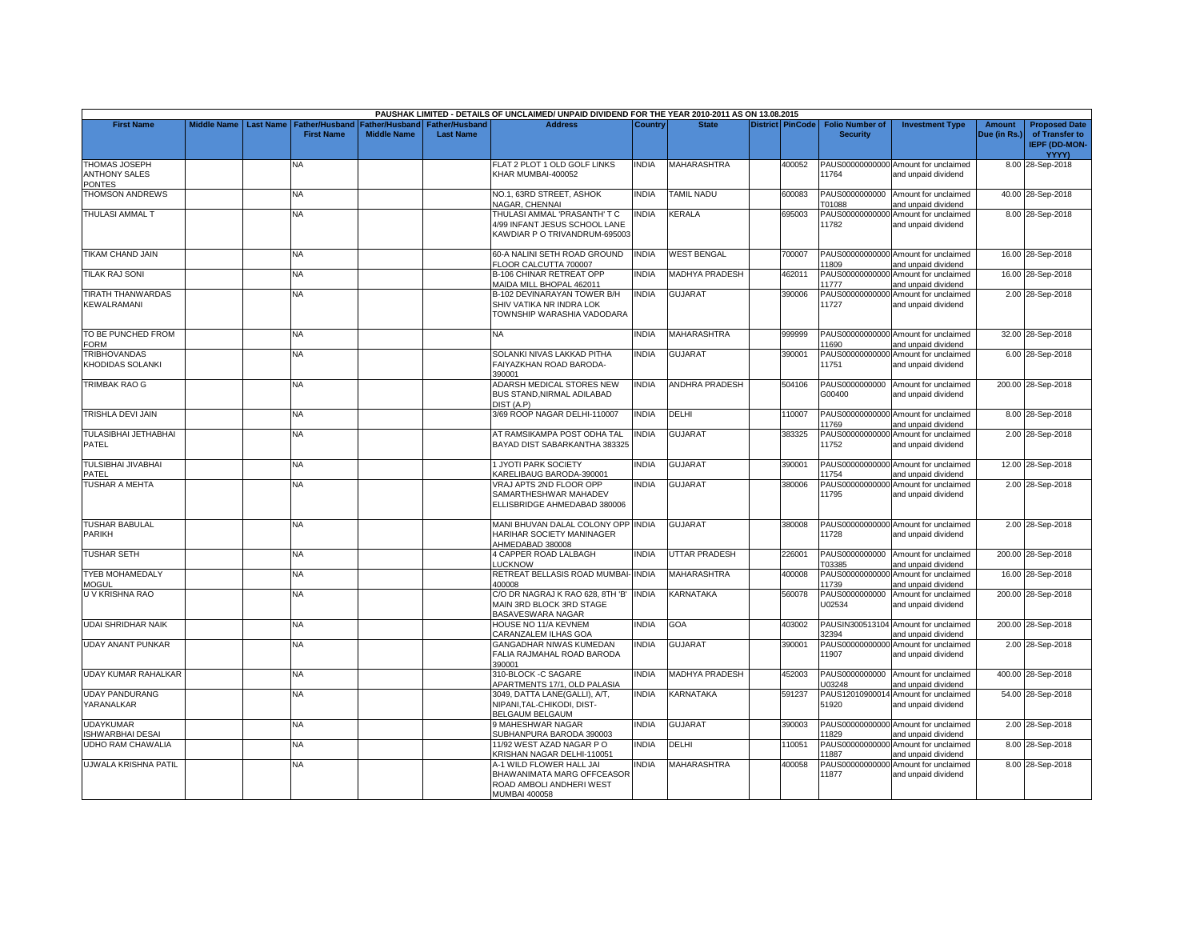|                                                 |                    |                  |                                     |                                      |                                           | PAUSHAK LIMITED - DETAILS OF UNCLAIMED/ UNPAID DIVIDEND FOR THE YEAR 2010-2011 AS ON 13.08.2015     |              |                       |                         |                                           |                                                             |                               |                                                                         |
|-------------------------------------------------|--------------------|------------------|-------------------------------------|--------------------------------------|-------------------------------------------|-----------------------------------------------------------------------------------------------------|--------------|-----------------------|-------------------------|-------------------------------------------|-------------------------------------------------------------|-------------------------------|-------------------------------------------------------------------------|
| <b>First Name</b>                               | <b>Middle Name</b> | <b>Last Name</b> | Father/Husband<br><b>First Name</b> | Father/Husband<br><b>Middle Name</b> | <b>Father/Husband</b><br><b>Last Name</b> | <b>Address</b>                                                                                      | Country      | <b>State</b>          | <b>District PinCode</b> | <b>Folio Number of</b><br><b>Security</b> | <b>Investment Type</b>                                      | <b>Amount</b><br>Due (in Rs.) | <b>Proposed Date</b><br>of Transfer to<br><b>IEPF (DD-MON-</b><br>YYYY) |
| THOMAS JOSEPH<br><b>ANTHONY SALES</b><br>PONTES |                    |                  | N٨                                  |                                      |                                           | FLAT 2 PLOT 1 OLD GOLF LINKS<br>KHAR MUMBAI-400052                                                  | <b>INDIA</b> | MAHARASHTRA           | 400052                  | 11764                                     | PAUS00000000000 Amount for unclaimed<br>and unpaid dividend |                               | 8.00 28-Sep-2018                                                        |
| THOMSON ANDREWS                                 |                    |                  | NΑ                                  |                                      |                                           | NO.1, 63RD STREET, ASHOK<br>NAGAR, CHENNAI                                                          | <b>INDIA</b> | <b>TAMIL NADU</b>     | 600083                  | PAUS0000000000<br>T01088                  | Amount for unclaimed<br>and unpaid dividend                 |                               | 40.00 28-Sep-2018                                                       |
| <b>THULASI AMMAL T</b>                          |                    |                  | <b>NA</b>                           |                                      |                                           | THULASI AMMAL 'PRASANTH' T C<br>4/99 INFANT JESUS SCHOOL LANE<br>KAWDIAR P O TRIVANDRUM-695003      | <b>INDIA</b> | KERALA                | 695003                  | 11782                                     | PAUS00000000000 Amount for unclaimed<br>and unpaid dividend |                               | 8.00 28-Sep-2018                                                        |
| TIKAM CHAND JAIN                                |                    |                  | NA.                                 |                                      |                                           | 60-A NALINI SETH ROAD GROUND<br>FLOOR CALCUTTA 700007                                               | <b>INDIA</b> | <b>WEST BENGAL</b>    | 700007                  | 11809                                     | PAUS00000000000 Amount for unclaimed<br>and unpaid dividend |                               | 16.00 28-Sep-2018                                                       |
| <b>TILAK RAJ SONI</b>                           |                    |                  | <b>NA</b>                           |                                      |                                           | <b>B-106 CHINAR RETREAT OPP</b><br>MAIDA MILL BHOPAL 462011                                         | <b>INDIA</b> | <b>MADHYA PRADESH</b> | 462011                  | 11777                                     | PAUS00000000000 Amount for unclaimed<br>and unpaid dividend |                               | 16.00 28-Sep-2018                                                       |
| TIRATH THANWARDAS<br><b>KEWALRAMANI</b>         |                    |                  | NA                                  |                                      |                                           | B-102 DEVINARAYAN TOWER B/H<br>SHIV VATIKA NR INDRA LOK<br>TOWNSHIP WARASHIA VADODARA               | <b>INDIA</b> | <b>GUJARAT</b>        | 390006                  | 11727                                     | PAUS00000000000 Amount for unclaimed<br>and unpaid dividend |                               | 2.00 28-Sep-2018                                                        |
| TO BE PUNCHED FROM<br><b>FORM</b>               |                    |                  | NA                                  |                                      |                                           | NA                                                                                                  | <b>INDIA</b> | <b>MAHARASHTRA</b>    | 999999                  | 11690                                     | PAUS00000000000 Amount for unclaimed<br>and unpaid dividend |                               | 32.00 28-Sep-2018                                                       |
| <b>TRIBHOVANDAS</b><br>KHODIDAS SOLANKI         |                    |                  | NA                                  |                                      |                                           | SOLANKI NIVAS LAKKAD PITHA<br>FAIYAZKHAN ROAD BARODA-<br>390001                                     | <b>INDIA</b> | GUJARAT               | 390001                  | 11751                                     | PAUS00000000000 Amount for unclaimed<br>and unpaid dividend |                               | 6.00 28-Sep-2018                                                        |
| <b>TRIMBAK RAO G</b>                            |                    |                  | <b>NA</b>                           |                                      |                                           | ADARSH MEDICAL STORES NEW<br>BUS STAND, NIRMAL ADILABAD<br>DIST (A.P)                               | <b>INDIA</b> | <b>ANDHRA PRADESH</b> | 504106                  | G00400                                    | PAUS0000000000 Amount for unclaimed<br>and unpaid dividend  |                               | 200.00 28-Sep-2018                                                      |
| <b>TRISHLA DEVI JAIN</b>                        |                    |                  | NA                                  |                                      |                                           | 3/69 ROOP NAGAR DELHI-110007                                                                        | <b>INDIA</b> | DELHI                 | 110007                  | 11769                                     | PAUS00000000000 Amount for unclaimed<br>and unpaid dividend |                               | 8.00 28-Sep-2018                                                        |
| <b>TULASIBHAI JETHABHAI</b><br>PATEL            |                    |                  | NA                                  |                                      |                                           | AT RAMSIKAMPA POST ODHA TAL<br>BAYAD DIST SABARKANTHA 383325                                        | <b>INDIA</b> | GUJARAT               | 383325                  | 11752                                     | PAUS00000000000 Amount for unclaimed<br>and unpaid dividend |                               | 2.00 28-Sep-2018                                                        |
| <b>TULSIBHAI JIVABHAI</b><br>PATEL              |                    |                  | NA                                  |                                      |                                           | 1 JYOTI PARK SOCIETY<br>KARELIBAUG BARODA-390001                                                    | <b>INDIA</b> | <b>GUJARAT</b>        | 390001                  | 11754                                     | PAUS00000000000 Amount for unclaimed<br>and unpaid dividend |                               | 12.00 28-Sep-2018                                                       |
| TUSHAR A MEHTA                                  |                    |                  | NA.                                 |                                      |                                           | VRAJ APTS 2ND FLOOR OPP<br>SAMARTHESHWAR MAHADEV<br>ELLISBRIDGE AHMEDABAD 380006                    | <b>INDIA</b> | <b>GUJARAT</b>        | 380006                  | 11795                                     | PAUS00000000000 Amount for unclaimed<br>and unpaid dividend |                               | 2.00 28-Sep-2018                                                        |
| <b>TUSHAR BABULAL</b><br><b>PARIKH</b>          |                    |                  | NΑ                                  |                                      |                                           | MANI BHUVAN DALAL COLONY OPP INDIA<br>HARIHAR SOCIETY MANINAGER<br>AHMEDABAD 380008                 |              | <b>GUJARAT</b>        | 380008                  | 11728                                     | PAUS00000000000 Amount for unclaimed<br>and unpaid dividend |                               | 2.00 28-Sep-2018                                                        |
| <b>TUSHAR SETH</b>                              |                    |                  | <b>NA</b>                           |                                      |                                           | 4 CAPPER ROAD LALBAGH<br>LUCKNOW                                                                    | <b>INDIA</b> | UTTAR PRADESH         | 226001                  | T03385                                    | PAUS0000000000 Amount for unclaimed<br>and unpaid dividend  |                               | 200.00 28-Sep-2018                                                      |
| <b>TYEB MOHAMEDALY</b><br><b>MOGUL</b>          |                    |                  | NA.                                 |                                      |                                           | RETREAT BELLASIS ROAD MUMBAI- INDIA<br>400008                                                       |              | <b>MAHARASHTRA</b>    | 400008                  | 11739                                     | PAUS00000000000 Amount for unclaimed<br>and unpaid dividend |                               | 16.00 28-Sep-2018                                                       |
| U V KRISHNA RAO                                 |                    |                  | NA                                  |                                      |                                           | C/O DR NAGRAJ K RAO 628, 8TH 'B' INDIA<br>MAIN 3RD BLOCK 3RD STAGE<br>BASAVESWARA NAGAR             |              | KARNATAKA             | 560078                  | PAUS0000000000<br>U02534                  | Amount for unclaimed<br>and unpaid dividend                 |                               | 200.00 28-Sep-2018                                                      |
| <b>UDAI SHRIDHAR NAIK</b>                       |                    |                  | <b>NA</b>                           |                                      |                                           | <b>HOUSE NO 11/A KEVNEM</b><br>CARANZALEM ILHAS GOA                                                 | <b>INDIA</b> | GOA                   | 403002                  | 32394                                     | PAUSIN300513104 Amount for unclaimed<br>and unpaid dividend |                               | 200.00 28-Sep-2018                                                      |
| <b>UDAY ANANT PUNKAR</b>                        |                    |                  | ΝA                                  |                                      |                                           | GANGADHAR NIWAS KUMEDAN<br>FALIA RAJMAHAL ROAD BARODA<br>390001                                     | <b>NDIA</b>  | <b>GUJARAT</b>        | 390001                  | 11907                                     | PAUS00000000000 Amount for unclaimed<br>and unpaid dividend |                               | 2.00 28-Sep-2018                                                        |
| <b>UDAY KUMAR RAHALKAR</b>                      |                    |                  | <b>NA</b>                           |                                      |                                           | 310-BLOCK -C SAGARE<br>APARTMENTS 17/1, OLD PALASIA                                                 | <b>INDIA</b> | <b>MADHYA PRADESH</b> | 452003                  | J03248                                    | PAUS0000000000 Amount for unclaimed<br>and unpaid dividend  |                               | 400.00 28-Sep-2018                                                      |
| <b>UDAY PANDURANG</b><br>YARANALKAR             |                    |                  | NA.                                 |                                      |                                           | 3049, DATTA LANE(GALLI), A/T,<br>NIPANI, TAL-CHIKODI, DIST-<br><b>BELGAUM BELGAUM</b>               | <b>INDIA</b> | KARNATAKA             | 591237                  | 51920                                     | PAUS12010900014 Amount for unclaimed<br>and unpaid dividend |                               | 54.00 28-Sep-2018                                                       |
| <b>UDAYKUMAR</b><br><b>ISHWARBHAI DESAI</b>     |                    |                  | NΑ                                  |                                      |                                           | <b>MAHESHWAR NAGAR</b><br>SUBHANPURA BARODA 390003                                                  | <b>INDIA</b> | <b>GUJARAT</b>        | 390003                  | 11829                                     | PAUS00000000000 Amount for unclaimed<br>and unpaid dividend |                               | 2.00 28-Sep-2018                                                        |
| <b>UDHO RAM CHAWALIA</b>                        |                    |                  | <b>NA</b>                           |                                      |                                           | 11/92 WEST AZAD NAGAR PO<br>KRISHAN NAGAR DELHI-110051                                              | <b>INDIA</b> | <b>DELHI</b>          | 110051                  | 11887                                     | PAUS00000000000 Amount for unclaimed<br>and unpaid dividend |                               | 8.00 28-Sep-2018                                                        |
| UJWALA KRISHNA PATIL                            |                    |                  | NA                                  |                                      |                                           | 4-1 WILD FLOWER HALL JAI<br>BHAWANIMATA MARG OFFCEASOR<br>ROAD AMBOLI ANDHERI WEST<br>MUMBAI 400058 | INDIA        | MAHARASHTRA           | 400058                  | 11877                                     | PAUS00000000000 Amount for unclaimed<br>and unpaid dividend |                               | 8.00 28-Sep-2018                                                        |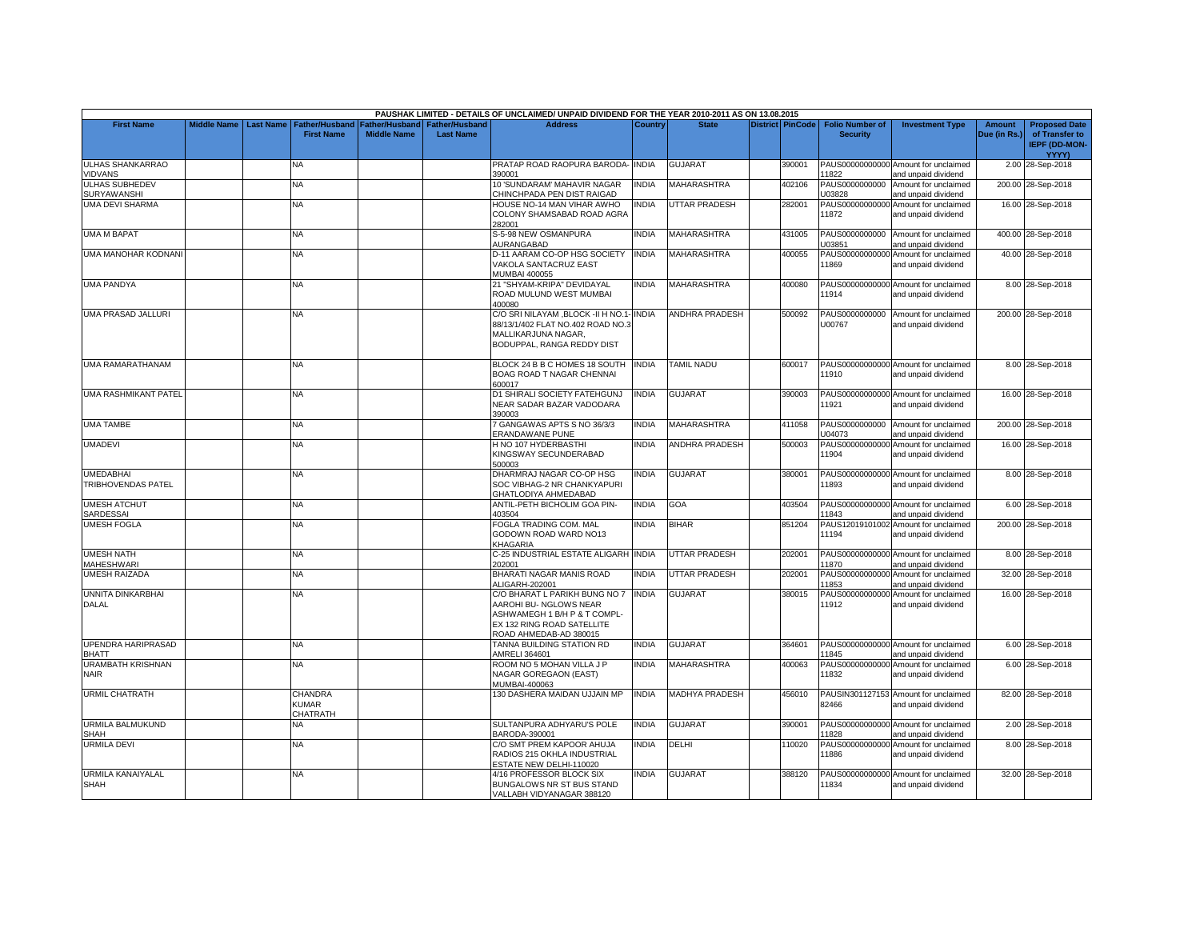|                                               |                    |                  |                                            |                                        |                                           | PAUSHAK LIMITED - DETAILS OF UNCLAIMED/ UNPAID DIVIDEND FOR THE YEAR 2010-2011 AS ON 13.08.2015                                                 |              |                       |                         |                                           |                                                             |                               |                                                                |
|-----------------------------------------------|--------------------|------------------|--------------------------------------------|----------------------------------------|-------------------------------------------|-------------------------------------------------------------------------------------------------------------------------------------------------|--------------|-----------------------|-------------------------|-------------------------------------------|-------------------------------------------------------------|-------------------------------|----------------------------------------------------------------|
| <b>First Name</b>                             | <b>Middle Name</b> | <b>Last Name</b> | <b>Father/Husband</b><br><b>First Name</b> | Father/Husband I<br><b>Middle Name</b> | <b>Father/Husband</b><br><b>Last Name</b> | <b>Address</b>                                                                                                                                  | Country      | <b>State</b>          | <b>District PinCode</b> | <b>Folio Number of</b><br><b>Security</b> | <b>Investment Type</b>                                      | <b>Amount</b><br>Due (in Rs.) | <b>Proposed Date</b><br>of Transfer to<br><b>IEPF (DD-MON-</b> |
| <b>ULHAS SHANKARRAO</b>                       |                    |                  | NA                                         |                                        |                                           | PRATAP ROAD RAOPURA BARODA- INDIA                                                                                                               |              | <b>GUJARAT</b>        | 390001                  |                                           | PAUS00000000000 Amount for unclaimed                        |                               | YYYY)<br>2.00 28-Sep-2018                                      |
| <b>VIDVANS</b>                                |                    |                  |                                            |                                        |                                           | 390001                                                                                                                                          |              |                       |                         | 11822                                     | and unpaid dividend                                         |                               |                                                                |
| <b>ULHAS SUBHEDEV</b><br>SURYAWANSHI          |                    |                  | <b>NA</b>                                  |                                        |                                           | 10 'SUNDARAM' MAHAVIR NAGAR<br>CHINCHPADA PEN DIST RAIGAD                                                                                       | <b>INDIA</b> | <b>MAHARASHTRA</b>    | 402106                  | PAUS0000000000<br>U03828                  | Amount for unclaimed<br>and unpaid dividend                 |                               | 200.00 28-Sep-2018                                             |
| <b>UMA DEVI SHARMA</b>                        |                    |                  | NA                                         |                                        |                                           | HOUSE NO-14 MAN VIHAR AWHO<br>COLONY SHAMSABAD ROAD AGRA<br>282001                                                                              | <b>INDIA</b> | UTTAR PRADESH         | 282001                  | PAUS00000000000<br>11872                  | Amount for unclaimed<br>and unpaid dividend                 |                               | 16.00 28-Sep-2018                                              |
| <b>UMA M BAPAT</b>                            |                    |                  | NA                                         |                                        |                                           | S-5-98 NEW OSMANPURA<br><b>IURANGABAD</b>                                                                                                       | <b>INDIA</b> | MAHARASHTRA           | 431005                  | U03851                                    | PAUS0000000000 Amount for unclaimed<br>and unpaid dividend  |                               | 400.00 28-Sep-2018                                             |
| UMA MANOHAR KODNAN                            |                    |                  | <b>NA</b>                                  |                                        |                                           | D-11 AARAM CO-OP HSG SOCIETY<br>VAKOLA SANTACRUZ EAST<br><b>MUMBAI 400055</b>                                                                   | <b>INDIA</b> | MAHARASHTRA           | 400055                  | PAUS00000000000<br>11869                  | Amount for unclaimed<br>and unpaid dividend                 |                               | 40.00 28-Sep-2018                                              |
| <b>UMA PANDYA</b>                             |                    |                  | NA                                         |                                        |                                           | 21 "SHYAM-KRIPA" DEVIDAYAL<br>ROAD MULUND WEST MUMBAI<br>400080                                                                                 | <b>INDIA</b> | MAHARASHTRA           | 400080                  | 11914                                     | PAUS00000000000 Amount for unclaimed<br>and unpaid dividend |                               | 8.00 28-Sep-2018                                               |
| <b>UMA PRASAD JALLURI</b>                     |                    |                  | NA.                                        |                                        |                                           | C/O SRI NILAYAM ,BLOCK -II H NO.1- INDIA<br>88/13/1/402 FLAT NO.402 ROAD NO.3<br>MALLIKARJUNA NAGAR,<br>BODUPPAL, RANGA REDDY DIST              |              | <b>ANDHRA PRADESH</b> | 500092                  | PAUS0000000000<br>U00767                  | Amount for unclaimed<br>and unpaid dividend                 |                               | 200.00 28-Sep-2018                                             |
| <b>UMA RAMARATHANAM</b>                       |                    |                  | NA.                                        |                                        |                                           | BLOCK 24 B B C HOMES 18 SOUTH<br>BOAG ROAD T NAGAR CHENNAI<br>600017                                                                            | <b>INDIA</b> | TAMIL NADU            | 600017                  | 11910                                     | PAUS00000000000 Amount for unclaimed<br>and unpaid dividend |                               | 8.00 28-Sep-2018                                               |
| <b>UMA RASHMIKANT PATEL</b>                   |                    |                  | <b>NA</b>                                  |                                        |                                           | D1 SHIRALI SOCIETY FATEHGUNJ<br>NEAR SADAR BAZAR VADODARA<br>390003                                                                             | <b>INDIA</b> | <b>GUJARAT</b>        | 390003                  | 11921                                     | PAUS00000000000 Amount for unclaimed<br>and unpaid dividend |                               | 16.00 28-Sep-2018                                              |
| <b>UMA TAMBE</b>                              |                    |                  | <b>NA</b>                                  |                                        |                                           | GANGAWAS APTS S NO 36/3/3<br><b>ERANDAWANE PUNE</b>                                                                                             | <b>INDIA</b> | <b>MAHARASHTRA</b>    | 411058                  | PAUS0000000000<br>U04073                  | Amount for unclaimed<br>and unpaid dividend                 |                               | 200.00 28-Sep-2018                                             |
| <b>UMADEVI</b>                                |                    |                  | <b>NA</b>                                  |                                        |                                           | H NO 107 HYDERBASTHI<br>KINGSWAY SECUNDERABAD<br>500003                                                                                         | <b>INDIA</b> | <b>ANDHRA PRADESH</b> | 500003                  | 11904                                     | PAUS00000000000 Amount for unclaimed<br>and unpaid dividend |                               | 16.00 28-Sep-2018                                              |
| <b>UMEDABHAI</b><br><b>TRIBHOVENDAS PATEL</b> |                    |                  | <b>NA</b>                                  |                                        |                                           | DHARMRAJ NAGAR CO-OP HSG<br>SOC VIBHAG-2 NR CHANKYAPURI<br>GHATLODIYA AHMEDABAD                                                                 | <b>INDIA</b> | <b>GUJARAT</b>        | 380001                  | 11893                                     | PAUS00000000000 Amount for unclaimed<br>and unpaid dividend |                               | 8.00 28-Sep-2018                                               |
| <b>UMESH ATCHUT</b><br>SARDESSAI              |                    |                  | <b>NA</b>                                  |                                        |                                           | <b>ANTIL-PETH BICHOLIM GOA PIN-</b><br>403504                                                                                                   | <b>INDIA</b> | GOA                   | 403504                  | 11843                                     | PAUS00000000000 Amount for unclaimed<br>and unpaid dividend |                               | 6.00 28-Sep-2018                                               |
| <b>UMESH FOGLA</b>                            |                    |                  | <b>NA</b>                                  |                                        |                                           | FOGLA TRADING COM. MAL<br>GODOWN ROAD WARD NO13<br>KHAGARIA                                                                                     | <b>INDIA</b> | <b>BIHAR</b>          | 851204                  | 11194                                     | PAUS12019101002 Amount for unclaimed<br>and unpaid dividend |                               | 200.00 28-Sep-2018                                             |
| <b>UMESH NATH</b><br><b>MAHESHWARI</b>        |                    |                  | <b>NA</b>                                  |                                        |                                           | C-25 INDUSTRIAL ESTATE ALIGARH INDIA<br>202001                                                                                                  |              | <b>UTTAR PRADESH</b>  | 202001                  | 11870                                     | PAUS00000000000 Amount for unclaimed<br>and unpaid dividend |                               | 8.00 28-Sep-2018                                               |
| <b>UMESH RAIZADA</b>                          |                    |                  | <b>NA</b>                                  |                                        |                                           | BHARATI NAGAR MANIS ROAD<br>ALIGARH-202001                                                                                                      | <b>INDIA</b> | UTTAR PRADESH         | 202001                  | 11853                                     | PAUS00000000000 Amount for unclaimed<br>and unpaid dividend |                               | 32.00 28-Sep-2018                                              |
| <b>UNNITA DINKARBHAI</b><br><b>DALAL</b>      |                    |                  | <b>NA</b>                                  |                                        |                                           | C/O BHARAT L PARIKH BUNG NO 7<br>AAROHI BU- NGLOWS NEAR<br>ASHWAMEGH 1 B/H P & T COMPL-<br>EX 132 RING ROAD SATELLITE<br>ROAD AHMEDAB-AD 380015 | <b>INDIA</b> | GUJARAT               | 380015                  | 11912                                     | PAUS00000000000 Amount for unclaimed<br>and unpaid dividend |                               | 16.00 28-Sep-2018                                              |
| <b>UPENDRA HARIPRASAD</b><br><b>BHATT</b>     |                    |                  | <b>NA</b>                                  |                                        |                                           | TANNA BUILDING STATION RD<br>AMRELI 364601                                                                                                      | <b>INDIA</b> | GUJARAT               | 364601                  | 11845                                     | PAUS00000000000 Amount for unclaimed<br>and unpaid dividend |                               | 6.00 28-Sep-2018                                               |
| <b>URAMBATH KRISHNAN</b><br>NAIR              |                    |                  | NA.                                        |                                        |                                           | ROOM NO 5 MOHAN VILLA J P<br>NAGAR GOREGAON (EAST)<br>MUMBAI-400063                                                                             | <b>INDIA</b> | MAHARASHTRA           | 400063                  | 11832                                     | PAUS00000000000 Amount for unclaimed<br>and unpaid dividend |                               | 6.00 28-Sep-2018                                               |
| <b>URMIL CHATRATH</b>                         |                    |                  | CHANDRA<br><b>KUMAR</b><br>CHATRATH        |                                        |                                           | 130 DASHERA MAIDAN UJJAIN MP                                                                                                                    | <b>INDIA</b> | <b>MADHYA PRADESH</b> | 456010                  | 82466                                     | PAUSIN301127153 Amount for unclaimed<br>and unpaid dividend |                               | 82.00 28-Sep-2018                                              |
| URMILA BALMUKUND<br><b>SHAH</b>               |                    |                  | NA                                         |                                        |                                           | SULTANPURA ADHYARU'S POLE<br>BARODA-390001                                                                                                      | <b>INDIA</b> | GUJARAT               | 390001                  | 11828                                     | PAUS00000000000 Amount for unclaimed<br>and unpaid dividend |                               | 2.00 28-Sep-2018                                               |
| <b>URMILA DEVI</b>                            |                    |                  | <b>NA</b>                                  |                                        |                                           | C/O SMT PREM KAPOOR AHUJA<br>RADIOS 215 OKHLA INDUSTRIAL<br><b>ESTATE NEW DELHI-110020</b>                                                      | <b>INDIA</b> | <b>DELHI</b>          | 110020                  | PAUS00000000000<br>11886                  | Amount for unclaimed<br>and unpaid dividend                 |                               | 8.00 28-Sep-2018                                               |
| URMILA KANAIYALAL<br>SHAH                     |                    |                  | <b>NA</b>                                  |                                        |                                           | 4/16 PROFESSOR BLOCK SIX<br>BUNGALOWS NR ST BUS STAND<br>VALLABH VIDYANAGAR 388120                                                              | <b>INDIA</b> | GUJARAT               | 388120                  | 11834                                     | PAUS00000000000 Amount for unclaimed<br>and unpaid dividend |                               | 32.00 28-Sep-2018                                              |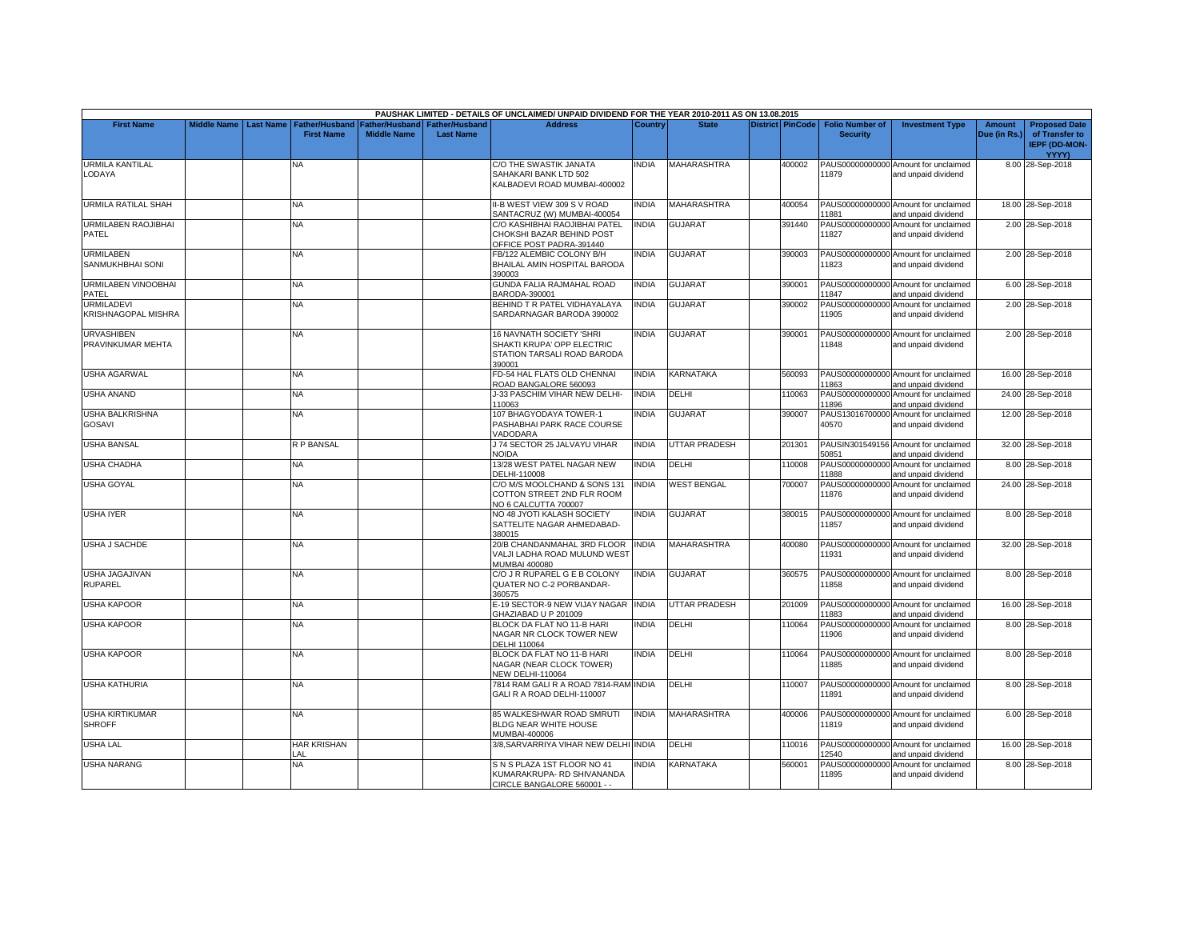|                                         |                    |                  |                                            |                    |                                                   | PAUSHAK LIMITED - DETAILS OF UNCLAIMED/ UNPAID DIVIDEND FOR THE YEAR 2010-2011 AS ON 13.08.2015 |              |                      |                  |                                           |                                                             |                               |                                                                         |
|-----------------------------------------|--------------------|------------------|--------------------------------------------|--------------------|---------------------------------------------------|-------------------------------------------------------------------------------------------------|--------------|----------------------|------------------|-------------------------------------------|-------------------------------------------------------------|-------------------------------|-------------------------------------------------------------------------|
| <b>First Name</b>                       | <b>Middle Name</b> | <b>Last Name</b> | <b>Father/Husband</b><br><b>First Name</b> | <b>Middle Name</b> | Father/Husband Father/Husband<br><b>Last Name</b> | <b>Address</b>                                                                                  | Country      | <b>State</b>         | District PinCode | <b>Folio Number of</b><br><b>Security</b> | <b>Investment Type</b>                                      | <b>Amount</b><br>Due (in Rs.) | <b>Proposed Date</b><br>of Transfer to<br><b>IEPF (DD-MON-</b><br>YYYY) |
| URMILA KANTILAL<br>LODAYA               |                    |                  | NA                                         |                    |                                                   | C/O THE SWASTIK JANATA<br>SAHAKARI BANK LTD 502<br>KALBADEVI ROAD MUMBAI-400002                 | INDIA        | MAHARASHTRA          | 400002           | 11879                                     | PAUS00000000000 Amount for unclaimed<br>and unpaid dividend |                               | 8.00 28-Sep-2018                                                        |
| <b>URMILA RATILAL SHAH</b>              |                    |                  | <b>NA</b>                                  |                    |                                                   | II-B WEST VIEW 309 S V ROAD<br>SANTACRUZ (W) MUMBAI-400054                                      | <b>INDIA</b> | <b>MAHARASHTRA</b>   | 400054           | 11881                                     | PAUS00000000000 Amount for unclaimed<br>and unpaid dividend |                               | 18.00 28-Sep-2018                                                       |
| <b>URMILABEN RAOJIBHAI</b><br>PATEL     |                    |                  | <b>NA</b>                                  |                    |                                                   | C/O KASHIBHAI RAOJIBHAI PATEL<br>CHOKSHI BAZAR BEHIND POST<br>OFFICE POST PADRA-391440          | <b>INDIA</b> | <b>GUJARAT</b>       | 391440           | PAUS00000000000<br>11827                  | Amount for unclaimed<br>and unpaid dividend                 |                               | 2.00 28-Sep-2018                                                        |
| <b>URMILABEN</b><br>SANMUKHBHAI SONI    |                    |                  | <b>NA</b>                                  |                    |                                                   | FB/122 ALEMBIC COLONY B/H<br>BHAILAL AMIN HOSPITAL BARODA<br>390003                             | <b>INDIA</b> | <b>GUJARAT</b>       | 390003           | PAUS00000000000<br>11823                  | Amount for unclaimed<br>and unpaid dividend                 |                               | 2.00 28-Sep-2018                                                        |
| URMILABEN VINOOBHAI<br>PATEL            |                    |                  | NA                                         |                    |                                                   | GUNDA FALIA RAJMAHAL ROAD<br>BARODA-390001                                                      | <b>INDIA</b> | <b>GUJARAT</b>       | 390001           | PAUS00000000000<br>11847                  | Amount for unclaimed<br>and unpaid dividend                 |                               | 6.00 28-Sep-2018                                                        |
| URMILADEVI<br>KRISHNAGOPAL MISHRA       |                    |                  | <b>NA</b>                                  |                    |                                                   | BEHIND T R PATEL VIDHAYALAYA<br>SARDARNAGAR BARODA 390002                                       | <b>INDIA</b> | GUJARAT              | 390002           | PAUS00000000000<br>11905                  | Amount for unclaimed<br>and unpaid dividend                 |                               | 2.00 28-Sep-2018                                                        |
| <b>URVASHIBEN</b><br>PRAVINKUMAR MEHTA  |                    |                  | NA                                         |                    |                                                   | 16 NAVNATH SOCIETY 'SHRI<br>SHAKTI KRUPA' OPP ELECTRIC<br>STATION TARSALI ROAD BARODA<br>390001 | <b>INDIA</b> | <b>GUJARAT</b>       | 390001           | PAUS00000000000<br>11848                  | Amount for unclaimed<br>and unpaid dividend                 |                               | 2.00 28-Sep-2018                                                        |
| <b>JSHA AGARWAL</b>                     |                    |                  | NA                                         |                    |                                                   | FD-54 HAL FLATS OLD CHENNAI<br>ROAD BANGALORE 560093                                            | <b>INDIA</b> | KARNATAKA            | 560093           | PAUS00000000000<br>11863                  | Amount for unclaimed<br>and unpaid dividend                 |                               | 16.00 28-Sep-2018                                                       |
| <b>USHA ANAND</b>                       |                    |                  | <b>NA</b>                                  |                    |                                                   | J-33 PASCHIM VIHAR NEW DELHI-<br>110063                                                         | <b>INDIA</b> | DELHI                | 110063           | PAUS00000000000<br>11896                  | Amount for unclaimed<br>and unpaid dividend                 |                               | 24.00 28-Sep-2018                                                       |
| <b>JSHA BALKRISHNA</b><br>GOSAVI        |                    |                  | <b>NA</b>                                  |                    |                                                   | 107 BHAGYODAYA TOWER-1<br>PASHABHAI PARK RACE COURSE<br>VADODARA                                | INDIA        | <b>GUJARAT</b>       | 390007           | 40570                                     | PAUS13016700000 Amount for unclaimed<br>and unpaid dividend |                               | 12.00 28-Sep-2018                                                       |
| <b>JSHA BANSAL</b>                      |                    |                  | R P BANSAL                                 |                    |                                                   | J 74 SECTOR 25 JALVAYU VIHAR<br><b>NOIDA</b>                                                    | <b>INDIA</b> | <b>UTTAR PRADESH</b> | 201301           | 50851                                     | PAUSIN301549156 Amount for unclaimed<br>and unpaid dividend |                               | 32.00 28-Sep-2018                                                       |
| USHA CHADHA                             |                    |                  | NA                                         |                    |                                                   | 13/28 WEST PATEL NAGAR NEW<br>DELHI-110008                                                      | <b>INDIA</b> | DELHI                | 110008           | PAUS00000000000<br>11888                  | Amount for unclaimed<br>and unpaid dividend                 |                               | 8.00 28-Sep-2018                                                        |
| <b>USHA GOYAL</b>                       |                    |                  | <b>NA</b>                                  |                    |                                                   | C/O M/S MOOLCHAND & SONS 131<br>COTTON STREET 2ND FLR ROOM<br>NO 6 CALCUTTA 700007              | <b>INDIA</b> | <b>WEST BENGAL</b>   | 700007           | PAUS00000000000<br>11876                  | Amount for unclaimed<br>and unpaid dividend                 |                               | 24.00 28-Sep-2018                                                       |
| USHA IYER                               |                    |                  | NA.                                        |                    |                                                   | NO 48 JYOTI KALASH SOCIETY<br>SATTELITE NAGAR AHMEDABAD-<br>380015                              | <b>NDIA</b>  | <b>GUJARAT</b>       | 380015           | 11857                                     | PAUS00000000000 Amount for unclaimed<br>and unpaid dividend |                               | 8.00 28-Sep-2018                                                        |
| <b>JSHA J SACHDE</b>                    |                    |                  | <b>NA</b>                                  |                    |                                                   | 20/B CHANDANMAHAL 3RD FLOOR<br>VALJI LADHA ROAD MULUND WEST<br><b>MUMBAI 400080</b>             | <b>INDIA</b> | <b>MAHARASHTRA</b>   | 400080           | 11931                                     | PAUS00000000000 Amount for unclaimed<br>and unpaid dividend |                               | 32.00 28-Sep-2018                                                       |
| USHA JAGAJIVAN<br>RUPAREL               |                    |                  | <b>NA</b>                                  |                    |                                                   | C/O J R RUPAREL G E B COLONY<br>QUATER NO C-2 PORBANDAR-<br>360575                              | <b>INDIA</b> | <b>GUJARAT</b>       | 360575           | 11858                                     | PAUS00000000000 Amount for unclaimed<br>and unpaid dividend |                               | 8.00 28-Sep-2018                                                        |
| <b>JSHA KAPOOR</b>                      |                    |                  | <b>NA</b>                                  |                    |                                                   | E-19 SECTOR-9 NEW VIJAY NAGAR<br>GHAZIABAD U P 201009                                           | <b>INDIA</b> | <b>UTTAR PRADESH</b> | 201009           | PAUS00000000000<br>11883                  | Amount for unclaimed<br>and unpaid dividend                 |                               | 16.00 28-Sep-2018                                                       |
| <b>USHA KAPOOR</b>                      |                    |                  | <b>NA</b>                                  |                    |                                                   | BLOCK DA FLAT NO 11-B HARI<br>NAGAR NR CLOCK TOWER NEW<br>DELHI 110064                          | <b>INDIA</b> | DELHI                | 110064           | PAUS00000000000<br>11906                  | Amount for unclaimed<br>and unpaid dividend                 |                               | 8.00 28-Sep-2018                                                        |
| <b>JSHA KAPOOR</b>                      |                    |                  | <b>NA</b>                                  |                    |                                                   | BLOCK DA FLAT NO 11-B HARI<br>NAGAR (NEAR CLOCK TOWER)<br>NEW DELHI-110064                      | <b>INDIA</b> | <b>DELHI</b>         | 110064           | PAUS00000000000<br>11885                  | Amount for unclaimed<br>and unpaid dividend                 |                               | 8.00 28-Sep-2018                                                        |
| <b>USHA KATHURIA</b>                    |                    |                  | <b>NA</b>                                  |                    |                                                   | 7814 RAM GALI R A ROAD 7814-RAM INDIA<br>GALI R A ROAD DELHI-110007                             |              | <b>DELHI</b>         | 10007            | 11891                                     | PAUS00000000000 Amount for unclaimed<br>and unpaid dividend |                               | 8.00 28-Sep-2018                                                        |
| <b>JSHA KIRTIKUMAR</b><br><b>SHROFF</b> |                    |                  | NA.                                        |                    |                                                   | 85 WALKESHWAR ROAD SMRUTI<br>BLDG NEAR WHITE HOUSE<br>MUMBAI-400006                             | <b>INDIA</b> | MAHARASHTRA          | 400006           | 11819                                     | PAUS00000000000 Amount for unclaimed<br>and unpaid dividend |                               | 6.00 28-Sep-2018                                                        |
| <b>USHA LAL</b>                         |                    |                  | <b>HAR KRISHAN</b><br>LAL                  |                    |                                                   | 3/8. SARVARRIYA VIHAR NEW DELHI INDIA                                                           |              | <b>DELHI</b>         | 110016           | 12540                                     | PAUS00000000000 Amount for unclaimed<br>and unpaid dividend |                               | 16.00 28-Sep-2018                                                       |
| <b>JSHA NARANG</b>                      |                    |                  | NA                                         |                    |                                                   | S N S PLAZA 1ST FLOOR NO 41<br>KUMARAKRUPA- RD SHIVANANDA<br>CIRCLE BANGALORE 560001 - -        | <b>INDIA</b> | KARNATAKA            | 560001           | PAUS00000000000<br>11895                  | Amount for unclaimed<br>and unpaid dividend                 |                               | 8.00 28-Sep-2018                                                        |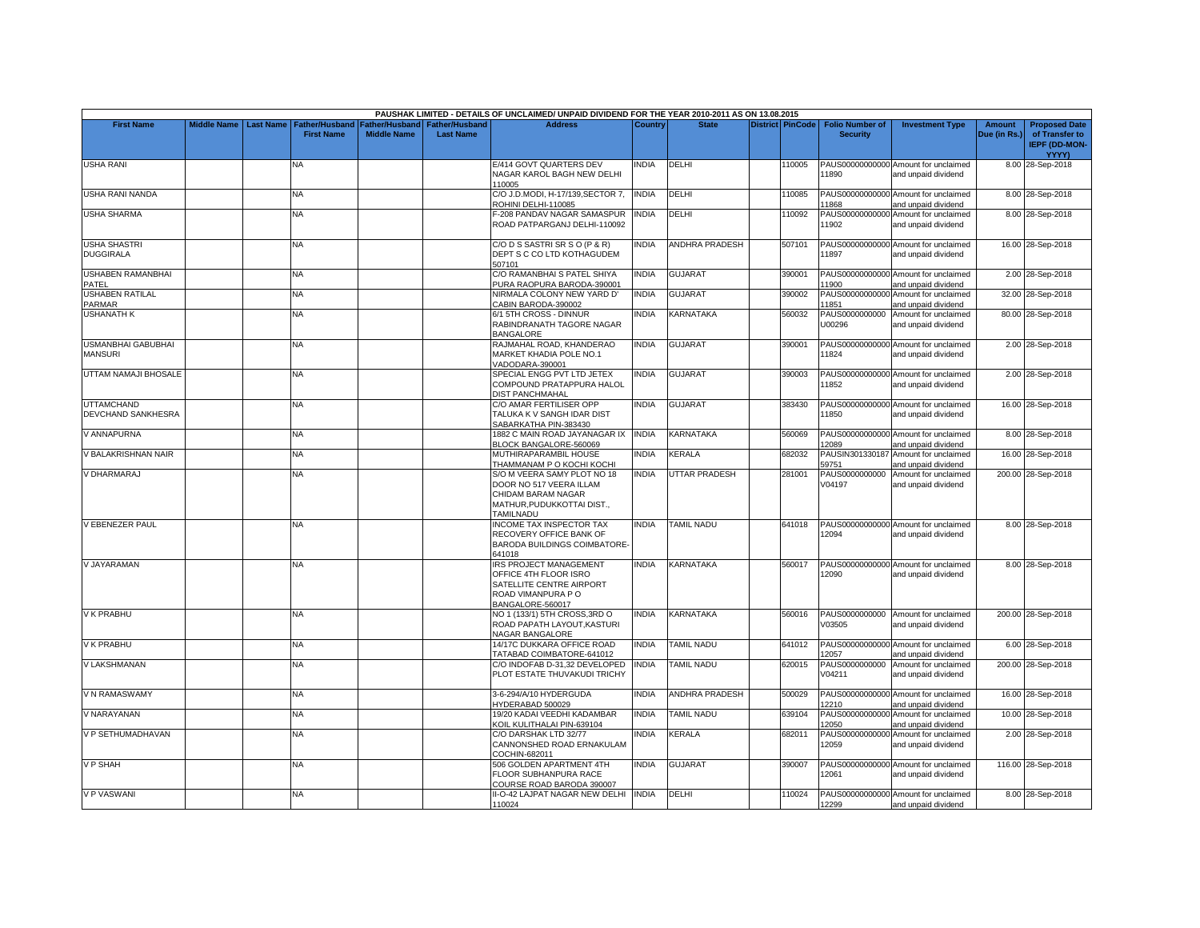|                                             |                    |                  |                                            |                                      |                                           | PAUSHAK LIMITED - DETAILS OF UNCLAIMED/ UNPAID DIVIDEND FOR THE YEAR 2010-2011 AS ON 13.08.2015                                |                |                       |                         |                                           |                                                             |                               |                                                                |
|---------------------------------------------|--------------------|------------------|--------------------------------------------|--------------------------------------|-------------------------------------------|--------------------------------------------------------------------------------------------------------------------------------|----------------|-----------------------|-------------------------|-------------------------------------------|-------------------------------------------------------------|-------------------------------|----------------------------------------------------------------|
| <b>First Name</b>                           | <b>Middle Name</b> | <b>Last Name</b> | <b>Father/Husband</b><br><b>First Name</b> | Father/Husband<br><b>Middle Name</b> | <b>Father/Husband</b><br><b>Last Name</b> | <b>Address</b>                                                                                                                 | <b>Country</b> | <b>State</b>          | <b>District PinCode</b> | <b>Folio Number of</b><br><b>Security</b> | <b>Investment Type</b>                                      | <b>Amount</b><br>Due (in Rs.) | <b>Proposed Date</b><br>of Transfer to<br><b>IEPF (DD-MON-</b> |
|                                             |                    |                  | NA                                         |                                      |                                           | E/414 GOVT QUARTERS DEV                                                                                                        | <b>NDIA</b>    | DELHI                 | 110005                  |                                           | PAUS00000000000 Amount for unclaimed                        |                               | <b>YYYY)</b><br>8.00 28-Sep-2018                               |
| <b>USHA RANI</b>                            |                    |                  |                                            |                                      |                                           | NAGAR KAROL BAGH NEW DELHI<br>110005                                                                                           |                |                       |                         | 11890                                     | and unpaid dividend                                         |                               |                                                                |
| <b>USHA RANI NANDA</b>                      |                    |                  | <b>NA</b>                                  |                                      |                                           | C/O J.D.MODI, H-17/139, SECTOR 7,<br>ROHINI DELHI-110085                                                                       | <b>INDIA</b>   | DELHI                 | 110085                  | 11868                                     | PAUS00000000000 Amount for unclaimed<br>and unpaid dividend |                               | 8.00 28-Sep-2018                                               |
| <b>USHA SHARMA</b>                          |                    |                  | NĀ                                         |                                      |                                           | -208 PANDAV NAGAR SAMASPUR<br>ROAD PATPARGANJ DELHI-110092                                                                     | INDIA          | DELHI                 | 110092                  | PAUS00000000000<br>11902                  | Amount for unclaimed<br>and unpaid dividend                 |                               | 8.00 28-Sep-2018                                               |
| <b>USHA SHASTRI</b><br><b>DUGGIRALA</b>     |                    |                  | NA.                                        |                                      |                                           | C/O D S SASTRI SR S O (P & R)<br>DEPT S C CO LTD KOTHAGUDEM<br>507101                                                          | <b>NDIA</b>    | <b>ANDHRA PRADESH</b> | 507101                  | 11897                                     | PAUS00000000000 Amount for unclaimed<br>and unpaid dividend |                               | 16.00 28-Sep-2018                                              |
| <b>USHABEN RAMANBHAI</b><br>PATEL           |                    |                  | <b>NA</b>                                  |                                      |                                           | C/O RAMANBHAI S PATEL SHIYA<br>PURA RAOPURA BARODA-390001                                                                      | <b>INDIA</b>   | <b>GUJARAT</b>        | 390001                  | 11900                                     | PAUS00000000000 Amount for unclaimed<br>and unpaid dividend |                               | 2.00 28-Sep-2018                                               |
| <b>USHABEN RATILAL</b><br>PARMAR            |                    |                  | <b>NA</b>                                  |                                      |                                           | NIRMALA COLONY NEW YARD D'<br>CABIN BARODA-390002                                                                              | INDIA          | <b>GUJARAT</b>        | 390002                  | PAUS00000000000<br>11851                  | Amount for unclaimed<br>and unpaid dividend                 |                               | 32.00 28-Sep-2018                                              |
| <b>USHANATH K</b>                           |                    |                  | NA                                         |                                      |                                           | 6/1 5TH CROSS - DINNUR<br>RABINDRANATH TAGORE NAGAR<br><b>BANGALORE</b>                                                        | NDIA           | KARNATAKA             | 560032                  | PAUS0000000000<br>U00296                  | Amount for unclaimed<br>and unpaid dividend                 |                               | 80.00 28-Sep-2018                                              |
| <b>USMANBHAI GABUBHAI</b><br><b>MANSURI</b> |                    |                  | <b>NA</b>                                  |                                      |                                           | RAJMAHAL ROAD, KHANDERAO<br>MARKET KHADIA POLE NO.1<br>VADODARA-390001                                                         | <b>NDIA</b>    | <b>GUJARAT</b>        | 390001                  | 11824                                     | PAUS00000000000 Amount for unclaimed<br>and unpaid dividend |                               | 2.00 28-Sep-2018                                               |
| UTTAM NAMAJI BHOSALE                        |                    |                  | NA                                         |                                      |                                           | SPECIAL ENGG PVT LTD JETEX<br>COMPOUND PRATAPPURA HALOL<br><b>DIST PANCHMAHAL</b>                                              | NDIA           | <b>GUJARAT</b>        | 390003                  | 11852                                     | PAUS00000000000 Amount for unclaimed<br>and unpaid dividend |                               | 2.00 28-Sep-2018                                               |
| <b>UTTAMCHAND</b><br>DEVCHAND SANKHESRA     |                    |                  | <b>NA</b>                                  |                                      |                                           | C/O AMAR FERTILISER OPP<br>TALUKA K V SANGH IDAR DIST<br>SABARKATHA PIN-383430                                                 | <b>INDIA</b>   | <b>GUJARAT</b>        | 383430                  | 11850                                     | PAUS00000000000 Amount for unclaimed<br>and unpaid dividend |                               | 16.00 28-Sep-2018                                              |
| V ANNAPURNA                                 |                    |                  | <b>NA</b>                                  |                                      |                                           | 1882 C MAIN ROAD JAYANAGAR IX<br>BLOCK BANGALORE-560069                                                                        | <b>INDIA</b>   | KARNATAKA             | 560069                  | 12089                                     | PAUS00000000000 Amount for unclaimed<br>and unpaid dividend |                               | 8.00 28-Sep-2018                                               |
| V BALAKRISHNAN NAIR                         |                    |                  | <b>NA</b>                                  |                                      |                                           | MUTHIRAPARAMBIL HOUSE<br>THAMMANAM P O KOCHI KOCHI                                                                             | <b>NDIA</b>    | KERALA                | 682032                  | PAUSIN301330187<br>59751                  | Amount for unclaimed<br>and unpaid dividend                 |                               | 16.00 28-Sep-2018                                              |
| V DHARMARAJ                                 |                    |                  | <b>NA</b>                                  |                                      |                                           | S/O M VEERA SAMY PLOT NO 18<br>DOOR NO 517 VEERA ILLAM<br>CHIDAM BARAM NAGAR<br>MATHUR, PUDUKKOTTAI DIST.,<br><b>TAMILNADU</b> | <b>NDIA</b>    | UTTAR PRADESH         | 281001                  | PAUS0000000000<br>V04197                  | Amount for unclaimed<br>and unpaid dividend                 |                               | 200.00 28-Sep-2018                                             |
| V EBENEZER PAUL                             |                    |                  | <b>NA</b>                                  |                                      |                                           | INCOME TAX INSPECTOR TAX<br>RECOVERY OFFICE BANK OF<br>BARODA BUILDINGS COIMBATORE-<br>641018                                  | <b>NDIA</b>    | <b>TAMIL NADU</b>     | 641018                  | 12094                                     | PAUS00000000000 Amount for unclaimed<br>and unpaid dividend |                               | 8.00 28-Sep-2018                                               |
| V JAYARAMAN                                 |                    |                  | <b>NA</b>                                  |                                      |                                           | IRS PROJECT MANAGEMENT<br>OFFICE 4TH FLOOR ISRO<br>SATELLITE CENTRE AIRPORT<br>ROAD VIMANPURA P O<br>BANGALORE-560017          | INDIA          | KARNATAKA             | 560017                  | 12090                                     | PAUS00000000000 Amount for unclaimed<br>and unpaid dividend |                               | 8.00 28-Sep-2018                                               |
| V K PRABHU                                  |                    |                  | <b>NA</b>                                  |                                      |                                           | NO 1 (133/1) 5TH CROSS, 3RD O<br>ROAD PAPATH LAYOUT, KASTURI<br>NAGAR BANGALORE                                                | <b>NDIA</b>    | KARNATAKA             | 560016                  | V03505                                    | PAUS0000000000 Amount for unclaimed<br>and unpaid dividend  |                               | 200.00 28-Sep-2018                                             |
| V K PRABHU                                  |                    |                  | NA                                         |                                      |                                           | 14/17C DUKKARA OFFICE ROAD<br>TATABAD COIMBATORE-641012                                                                        | <b>NDIA</b>    | <b>TAMIL NADU</b>     | 641012                  | 12057                                     | PAUS00000000000 Amount for unclaimed<br>and unpaid dividend |                               | 6.00 28-Sep-2018                                               |
| V LAKSHMANAN                                |                    |                  | NA                                         |                                      |                                           | C/O INDOFAB D-31,32 DEVELOPED<br>PLOT ESTATE THUVAKUDI TRICHY                                                                  | <b>INDIA</b>   | <b>TAMIL NADU</b>     | 620015                  | V04211                                    | PAUS0000000000 Amount for unclaimed<br>and unpaid dividend  |                               | 200.00 28-Sep-2018                                             |
| V N RAMASWAMY                               |                    |                  | <b>NA</b>                                  |                                      |                                           | 3-6-294/A/10 HYDERGUDA<br>HYDERABAD 500029                                                                                     | <b>NDIA</b>    | <b>ANDHRA PRADESH</b> | 500029                  | 12210                                     | PAUS00000000000 Amount for unclaimed<br>and unpaid dividend |                               | 16.00 28-Sep-2018                                              |
| V NARAYANAN                                 |                    |                  | NA                                         |                                      |                                           | 19/20 KADAI VEEDHI KADAMBAR<br>KOIL KULITHALAI PIN-639104                                                                      | INDIA          | <b>TAMIL NADU</b>     | 639104                  | PAUS00000000000<br>12050                  | Amount for unclaimed<br>and unpaid dividend                 |                               | 10.00 28-Sep-2018                                              |
| V P SETHUMADHAVAN                           |                    |                  | <b>NA</b>                                  |                                      |                                           | C/O DARSHAK LTD 32/77<br>CANNONSHED ROAD ERNAKULAM<br>COCHIN-682011                                                            | <b>NDIA</b>    | <b>KERALA</b>         | 682011                  | PAUS00000000000<br>12059                  | Amount for unclaimed<br>and unpaid dividend                 |                               | 2.00 28-Sep-2018                                               |
| <b>V P SHAH</b>                             |                    |                  | <b>NA</b>                                  |                                      |                                           | 506 GOLDEN APARTMENT 4TH<br>FLOOR SUBHANPURA RACE<br>COURSE ROAD BARODA 390007                                                 | NDIA           | <b>GUJARAT</b>        | 390007                  | 12061                                     | PAUS00000000000 Amount for unclaimed<br>and unpaid dividend |                               | 116.00 28-Sep-2018                                             |
| <b>V P VASWANI</b>                          |                    |                  | <b>NA</b>                                  |                                      |                                           | II-O-42 LAJPAT NAGAR NEW DELHI<br>110024                                                                                       | <b>INDIA</b>   | DELHI                 | 110024                  | 12299                                     | PAUS00000000000 Amount for unclaimed<br>and unpaid dividend |                               | 8.00 28-Sep-2018                                               |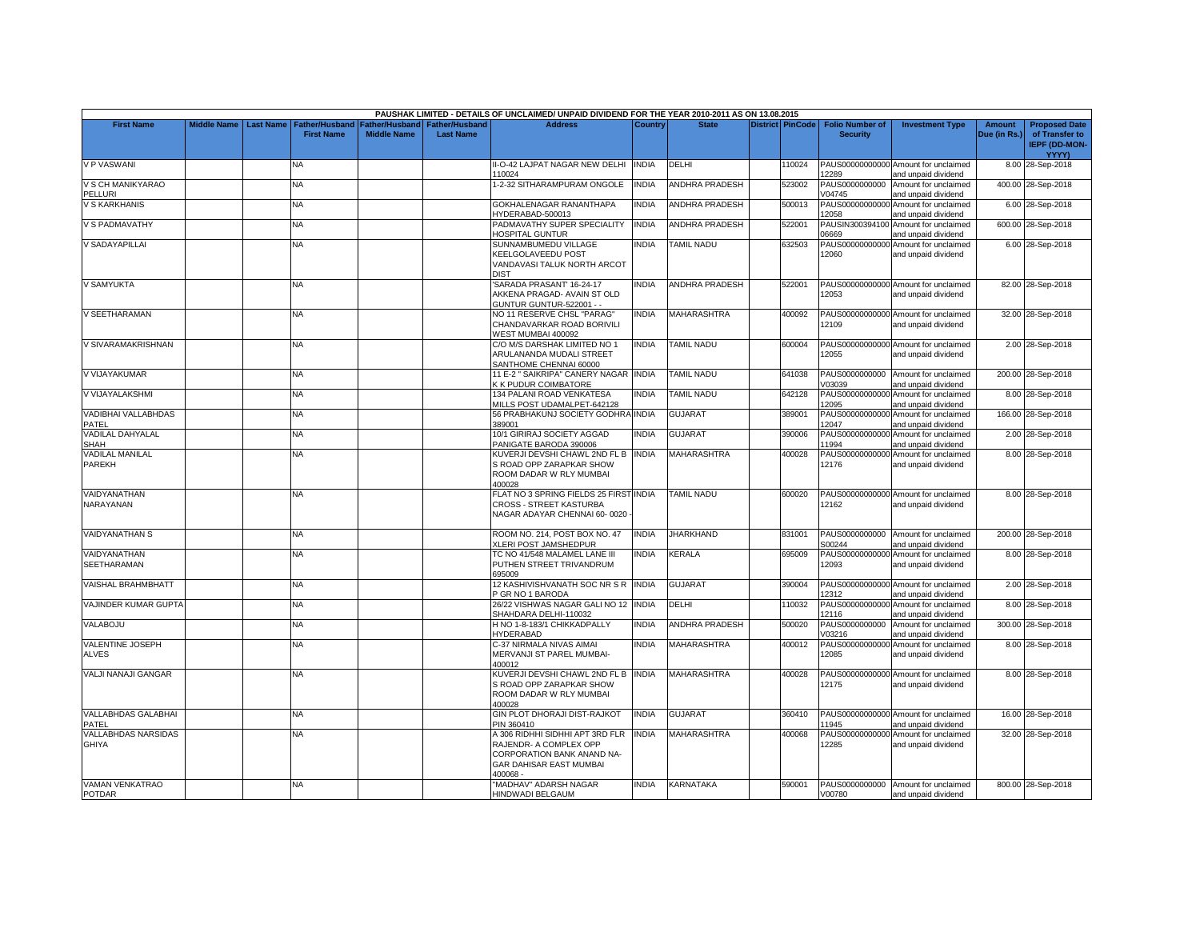|                                        |                    |                  |                                            |                                        |                                           | PAUSHAK LIMITED - DETAILS OF UNCLAIMED/ UNPAID DIVIDEND FOR THE YEAR 2010-2011 AS ON 13.08.2015                                      |              |                       |                         |                                           |                                                             |                               |                                                                |
|----------------------------------------|--------------------|------------------|--------------------------------------------|----------------------------------------|-------------------------------------------|--------------------------------------------------------------------------------------------------------------------------------------|--------------|-----------------------|-------------------------|-------------------------------------------|-------------------------------------------------------------|-------------------------------|----------------------------------------------------------------|
| <b>First Name</b>                      | <b>Middle Name</b> | <b>Last Name</b> | <b>Father/Husband</b><br><b>First Name</b> | Father/Husband I<br><b>Middle Name</b> | <b>Father/Husband</b><br><b>Last Name</b> | <b>Address</b>                                                                                                                       | Country      | <b>State</b>          | <b>District PinCode</b> | <b>Folio Number of</b><br><b>Security</b> | <b>Investment Type</b>                                      | <b>Amount</b><br>Due (in Rs.) | <b>Proposed Date</b><br>of Transfer to<br><b>IEPF (DD-MON-</b> |
|                                        |                    |                  |                                            |                                        |                                           |                                                                                                                                      |              |                       |                         |                                           |                                                             |                               | <b>YYYY)</b>                                                   |
| <b>V P VASWANI</b>                     |                    |                  | NA.                                        |                                        |                                           | I-O-42 LAJPAT NAGAR NEW DELHI<br>110024                                                                                              | <b>INDIA</b> | DELHI                 | 110024                  | 12289                                     | PAUS00000000000 Amount for unclaimed<br>and unpaid dividend |                               | 8.00 28-Sep-2018                                               |
| V S CH MANIKYARAO<br>PELLURI           |                    |                  | <b>NA</b>                                  |                                        |                                           | 1-2-32 SITHARAMPURAM ONGOLE                                                                                                          | <b>INDIA</b> | <b>ANDHRA PRADESH</b> | 523002                  | PAUS0000000000<br>V04745                  | Amount for unclaimed<br>and unpaid dividend                 |                               | 400.00 28-Sep-2018                                             |
| V S KARKHANIS                          |                    |                  | NA                                         |                                        |                                           | GOKHALENAGAR RANANTHAPA<br>HYDERABAD-500013                                                                                          | <b>INDIA</b> | ANDHRA PRADESH        | 500013                  | PAUS00000000000<br>12058                  | Amount for unclaimed<br>and unpaid dividend                 |                               | 6.00 28-Sep-2018                                               |
| V S PADMAVATHY                         |                    |                  | <b>NA</b>                                  |                                        |                                           | PADMAVATHY SUPER SPECIALITY                                                                                                          | <b>INDIA</b> | <b>ANDHRA PRADESH</b> | 522001                  | PAUSIN300394100<br>06669                  | Amount for unclaimed                                        |                               | 600.00 28-Sep-2018                                             |
| V SADAYAPILLAI                         |                    |                  | NA                                         |                                        |                                           | HOSPITAL GUNTUR<br>SUNNAMBUMEDU VILLAGE                                                                                              | <b>INDIA</b> | TAMIL NADU            | 632503                  | PAUS00000000000                           | and unpaid dividend<br>Amount for unclaimed                 |                               | 6.00 28-Sep-2018                                               |
|                                        |                    |                  |                                            |                                        |                                           | KEELGOLAVEEDU POST<br>VANDAVASI TALUK NORTH ARCOT<br><b>DIST</b>                                                                     |              |                       |                         | 12060                                     | and unpaid dividend                                         |                               |                                                                |
| V SAMYUKTA                             |                    |                  | <b>NA</b>                                  |                                        |                                           | SARADA PRASANT' 16-24-17<br>AKKENA PRAGAD- AVAIN ST OLD<br><b>GUNTUR GUNTUR-522001 - -</b>                                           | <b>INDIA</b> | <b>ANDHRA PRADESH</b> | 522001                  | 12053                                     | PAUS00000000000 Amount for unclaimed<br>and unpaid dividend |                               | 82.00 28-Sep-2018                                              |
| V SEETHARAMAN                          |                    |                  | NA                                         |                                        |                                           | NO 11 RESERVE CHSL "PARAG"<br>CHANDAVARKAR ROAD BORIVILI<br>WEST MUMBAI 400092                                                       | INDIA        | MAHARASHTRA           | 400092                  | 12109                                     | PAUS00000000000 Amount for unclaimed<br>and unpaid dividend |                               | 32.00 28-Sep-2018                                              |
| V SIVARAMAKRISHNAN                     |                    |                  | <b>NA</b>                                  |                                        |                                           | C/O M/S DARSHAK LIMITED NO 1<br>ARULANANDA MUDALI STREET<br>SANTHOME CHENNAI 60000                                                   | <b>INDIA</b> | TAMIL NADU            | 600004                  | 12055                                     | PAUS00000000000 Amount for unclaimed<br>and unpaid dividend |                               | 2.00 28-Sep-2018                                               |
| V VIJAYAKUMAR                          |                    |                  | <b>NA</b>                                  |                                        |                                           | 11 E-2 " SAIKRIPA" CANERY NAGAR INDIA<br><b>K K PUDUR COIMBATORE</b>                                                                 |              | <b>TAMIL NADU</b>     | 641038                  | V03039                                    | PAUS0000000000 Amount for unclaimed<br>and unpaid dividend  |                               | 200.00 28-Sep-2018                                             |
| V VIJAYALAKSHMI                        |                    |                  | <b>NA</b>                                  |                                        |                                           | 134 PALANI ROAD VENKATESA<br>MILLS POST UDAMALPET-642128                                                                             | <b>INDIA</b> | <b>TAMIL NADU</b>     | 642128                  | PAUS00000000000<br>12095                  | Amount for unclaimed<br>and unpaid dividend                 |                               | 8.00 28-Sep-2018                                               |
| VADIBHAI VALLABHDAS<br>PATEL           |                    |                  | NA                                         |                                        |                                           | <b>56 PRABHAKUNJ SOCIETY GODHRAINDIA</b><br>389001                                                                                   |              | <b>GUJARAT</b>        | 389001                  | PAUS00000000000<br>12047                  | Amount for unclaimed<br>and unpaid dividend                 |                               | 166.00 28-Sep-2018                                             |
| <b>VADILAL DAHYALAL</b><br><b>SHAH</b> |                    |                  | <b>NA</b>                                  |                                        |                                           | 10/1 GIRIRAJ SOCIETY AGGAD<br>PANIGATE BARODA 390006                                                                                 | <b>INDIA</b> | GUJARAT               | 390006                  | PAUS00000000000<br>11994                  | Amount for unclaimed<br>and unpaid dividend                 |                               | 2.00 28-Sep-2018                                               |
| <b>VADILAL MANILAL</b><br>PAREKH       |                    |                  | <b>NA</b>                                  |                                        |                                           | KUVERJI DEVSHI CHAWL 2ND FL B INDIA<br>S ROAD OPP ZARAPKAR SHOW<br>ROOM DADAR W RLY MUMBAI<br>400028                                 |              | <b>MAHARASHTRA</b>    | 400028                  | PAUS00000000000<br>12176                  | Amount for unclaimed<br>and unpaid dividend                 |                               | 8.00 28-Sep-2018                                               |
| VAIDYANATHAN<br>NARAYANAN              |                    |                  | <b>NA</b>                                  |                                        |                                           | FLAT NO 3 SPRING FIELDS 25 FIRST INDIA<br>CROSS - STREET KASTURBA<br>NAGAR ADAYAR CHENNAI 60-0020                                    |              | <b>TAMIL NADU</b>     | 600020                  | 12162                                     | PAUS00000000000 Amount for unclaimed<br>and unpaid dividend |                               | 8.00 28-Sep-2018                                               |
| <b>VAIDYANATHAN S</b>                  |                    |                  | NA                                         |                                        |                                           | ROOM NO. 214, POST BOX NO. 47<br><b>XLERI POST JAMSHEDPUR</b>                                                                        | <b>INDIA</b> | <b>JHARKHAND</b>      | 831001                  | PAUS0000000000<br>S00244                  | Amount for unclaimed<br>and unpaid dividend                 |                               | 200.00 28-Sep-2018                                             |
| VAIDYANATHAN<br><b>SEETHARAMAN</b>     |                    |                  | <b>NA</b>                                  |                                        |                                           | TC NO 41/548 MALAMEL LANE III<br>PUTHEN STREET TRIVANDRUM<br>695009                                                                  | <b>INDIA</b> | KERALA                | 695009                  | 12093                                     | PAUS00000000000 Amount for unclaimed<br>and unpaid dividend |                               | 8.00 28-Sep-2018                                               |
| <b>VAISHAL BRAHMBHATT</b>              |                    |                  | <b>NA</b>                                  |                                        |                                           | 12 KASHIVISHVANATH SOC NR S R INDIA<br>P GR NO 1 BARODA                                                                              |              | GUJARAT               | 390004                  | 12312                                     | PAUS00000000000 Amount for unclaimed<br>and unpaid dividend |                               | 2.00 28-Sep-2018                                               |
| VAJINDER KUMAR GUPTA                   |                    |                  | NA                                         |                                        |                                           | 26/22 VISHWAS NAGAR GALI NO 12 INDIA<br>SHAHDARA DELHI-110032                                                                        |              | DELHI                 | 110032                  | PAUS00000000000<br>12116                  | Amount for unclaimed<br>and unpaid dividend                 |                               | 8.00 28-Sep-2018                                               |
| VALABOJU                               |                    |                  | <b>NA</b>                                  |                                        |                                           | H NO 1-8-183/1 CHIKKADPALLY<br><b>HYDERABAD</b>                                                                                      | <b>INDIA</b> | ANDHRA PRADESH        | 500020                  | PAUS0000000000<br>V03216                  | Amount for unclaimed<br>and unpaid dividend                 |                               | 300.00 28-Sep-2018                                             |
| VALENTINE JOSEPH<br><b>ALVES</b>       |                    |                  | <b>NA</b>                                  |                                        |                                           | C-37 NIRMALA NIVAS AIMAI<br>MERVANJI ST PAREL MUMBAI-<br>400012                                                                      | <b>INDIA</b> | MAHARASHTRA           | 400012                  | PAUS00000000000<br>12085                  | Amount for unclaimed<br>and unpaid dividend                 |                               | 8.00 28-Sep-2018                                               |
| VALJI NANAJI GANGAR                    |                    |                  | NA                                         |                                        |                                           | KUVERJI DEVSHI CHAWL 2ND FL B<br>S ROAD OPP ZARAPKAR SHOW<br>ROOM DADAR W RLY MUMBAI<br>400028                                       | <b>INDIA</b> | MAHARASHTRA           | 400028                  | 12175                                     | PAUS00000000000 Amount for unclaimed<br>and unpaid dividend |                               | 8.00 28-Sep-2018                                               |
| <b>VALLABHDAS GALABHAI</b><br>PATEL    |                    |                  | NA.                                        |                                        |                                           | GIN PLOT DHORAJI DIST-RAJKOT<br>PIN 360410                                                                                           | <b>INDIA</b> | <b>GUJARAT</b>        | 360410                  | 11945                                     | PAUS00000000000 Amount for unclaimed<br>and unpaid dividend |                               | 16.00 28-Sep-2018                                              |
| VALLABHDAS NARSIDAS<br><b>GHIYA</b>    |                    |                  | NA                                         |                                        |                                           | A 306 RIDHHI SIDHHI APT 3RD FLR<br>RAJENDR- A COMPLEX OPP<br>CORPORATION BANK ANAND NA-<br><b>GAR DAHISAR EAST MUMBAI</b><br>400068- | <b>INDIA</b> | MAHARASHTRA           | 400068                  | 12285                                     | PAUS00000000000 Amount for unclaimed<br>and unpaid dividend |                               | 32.00 28-Sep-2018                                              |
| <b>VAMAN VENKATRAO</b>                 |                    |                  | <b>NA</b>                                  |                                        |                                           | "MADHAV" ADARSH NAGAR<br><b>HINDWADI BELGAUM</b>                                                                                     | <b>INDIA</b> | <b>KARNATAKA</b>      | 590001                  | PAUS0000000000<br>V00780                  | Amount for unclaimed                                        |                               | 800.00 28-Sep-2018                                             |
| <b>POTDAR</b>                          |                    |                  |                                            |                                        |                                           |                                                                                                                                      |              |                       |                         |                                           | and unpaid dividend                                         |                               |                                                                |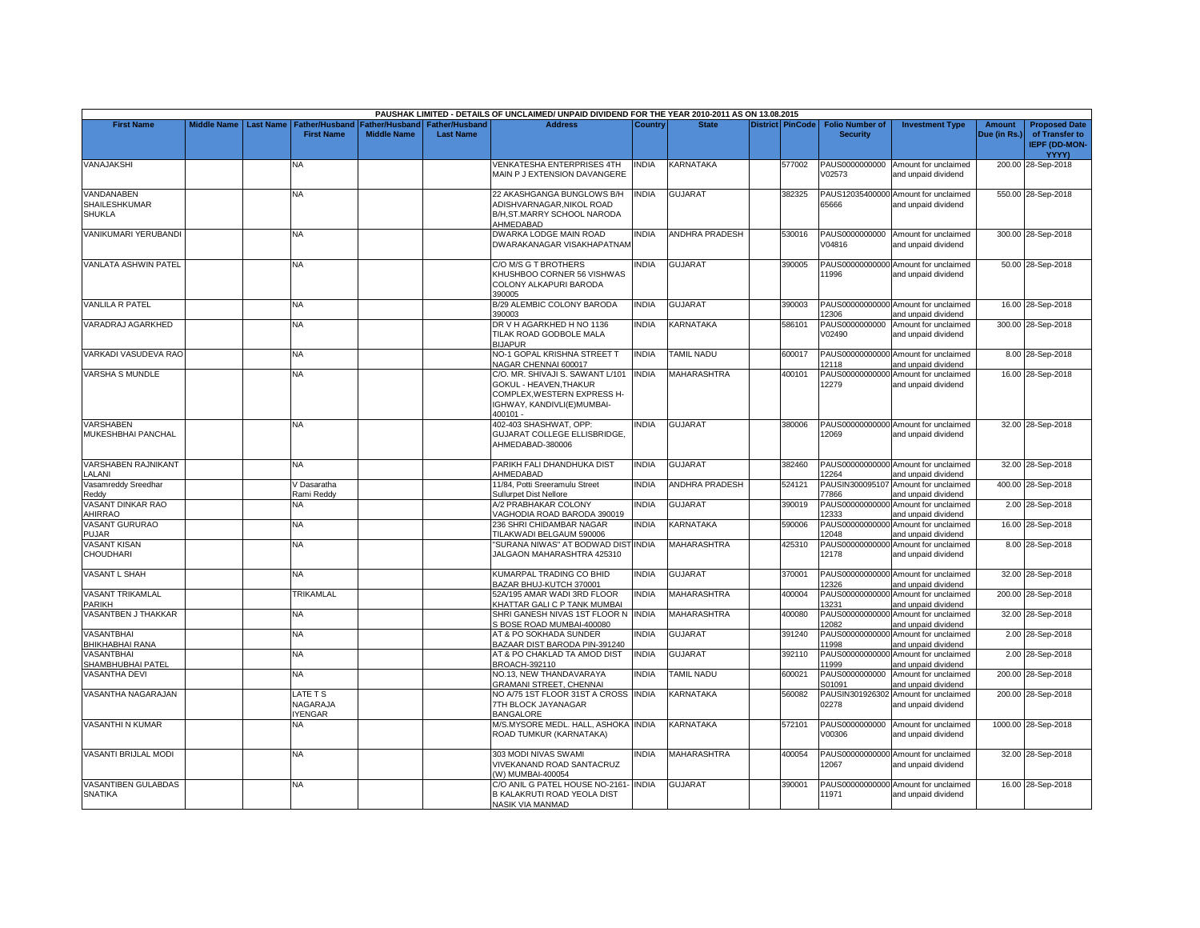|                                                     |                    |                  |                                            |                                      |                                           | PAUSHAK LIMITED - DETAILS OF UNCLAIMED/ UNPAID DIVIDEND FOR THE YEAR 2010-2011 AS ON 13.08.2015                                    |              |                       |                         |                                           |                                                             |                               |                                                                                |
|-----------------------------------------------------|--------------------|------------------|--------------------------------------------|--------------------------------------|-------------------------------------------|------------------------------------------------------------------------------------------------------------------------------------|--------------|-----------------------|-------------------------|-------------------------------------------|-------------------------------------------------------------|-------------------------------|--------------------------------------------------------------------------------|
| <b>First Name</b>                                   | <b>Middle Name</b> | <b>Last Name</b> | <b>Father/Husband</b><br><b>First Name</b> | Father/Husband<br><b>Middle Name</b> | <b>Father/Husband</b><br><b>Last Name</b> | <b>Address</b>                                                                                                                     | Country      | <b>State</b>          | <b>District PinCode</b> | <b>Folio Number of</b><br><b>Security</b> | <b>Investment Type</b>                                      | <b>Amount</b><br>Due (in Rs.) | <b>Proposed Date</b><br>of Transfer to<br><b>IEPF (DD-MON-</b><br><b>YYYY)</b> |
| VANAJAKSHI                                          |                    |                  | NA                                         |                                      |                                           | VENKATESHA ENTERPRISES 4TH<br>MAIN P J EXTENSION DAVANGERE                                                                         | <b>INDIA</b> | KARNATAKA             | 577002                  | PAUS0000000000<br>V02573                  | Amount for unclaimed<br>and unpaid dividend                 |                               | 200.00 28-Sep-2018                                                             |
| VANDANABEN<br><b>SHAILESHKUMAR</b><br><b>SHUKLA</b> |                    |                  | NA                                         |                                      |                                           | 22 AKASHGANGA BUNGLOWS B/H<br>ADISHVARNAGAR.NIKOL ROAD<br>B/H,ST.MARRY SCHOOL NARODA<br>AHMEDABAD                                  | <b>INDIA</b> | <b>GUJARAT</b>        | 382325                  | 65666                                     | PAUS12035400000 Amount for unclaimed<br>and unpaid dividend |                               | 550.00 28-Sep-2018                                                             |
| VANIKUMARI YERUBANDI                                |                    |                  | NA                                         |                                      |                                           | DWARKA LODGE MAIN ROAD<br>DWARAKANAGAR VISAKHAPATNAM                                                                               | <b>INDIA</b> | <b>ANDHRA PRADESH</b> | 530016                  | V04816                                    | PAUS0000000000 Amount for unclaimed<br>and unpaid dividend  |                               | 300.00 28-Sep-2018                                                             |
| <b>VANLATA ASHWIN PATEL</b>                         |                    |                  | NA                                         |                                      |                                           | C/O M/S G T BROTHERS<br>KHUSHBOO CORNER 56 VISHWAS<br>COLONY ALKAPURI BARODA<br>390005                                             | INDIA        | <b>GUJARAT</b>        | 390005                  | 11996                                     | PAUS00000000000 Amount for unclaimed<br>and unpaid dividend |                               | 50.00 28-Sep-2018                                                              |
| <b>VANLILA R PATEL</b>                              |                    |                  | <b>NA</b>                                  |                                      |                                           | B/29 ALEMBIC COLONY BARODA<br>390003                                                                                               | <b>INDIA</b> | <b>GUJARAT</b>        | 390003                  | 12306                                     | PAUS00000000000 Amount for unclaimed<br>and unpaid dividend |                               | 16.00 28-Sep-2018                                                              |
| VARADRAJ AGARKHED                                   |                    |                  | NA.                                        |                                      |                                           | DR V H AGARKHED H NO 1136<br>TILAK ROAD GODBOLE MALA<br><b>BIJAPUR</b>                                                             | <b>INDIA</b> | KARNATAKA             | 586101                  | PAUS0000000000<br>V02490                  | Amount for unclaimed<br>and unpaid dividend                 |                               | 300.00 28-Sep-2018                                                             |
| VARKADI VASUDEVA RAO                                |                    |                  | NA.                                        |                                      |                                           | NO-1 GOPAL KRISHNA STREET T<br>NAGAR CHENNAI 600017                                                                                | <b>INDIA</b> | <b>TAMIL NADU</b>     | 600017                  | 12118                                     | PAUS00000000000 Amount for unclaimed<br>and unpaid dividend |                               | 8.00 28-Sep-2018                                                               |
| <b>VARSHA S MUNDLE</b>                              |                    |                  | <b>NA</b>                                  |                                      |                                           | C/O. MR. SHIVAJI S. SAWANT L/101<br>GOKUL - HEAVEN.THAKUR<br>COMPLEX, WESTERN EXPRESS H-<br>IGHWAY, KANDIVLI(E)MUMBAI-<br>400101 - | <b>INDIA</b> | <b>MAHARASHTRA</b>    | 400101                  | 12279                                     | PAUS00000000000 Amount for unclaimed<br>and unpaid dividend |                               | 16.00 28-Sep-2018                                                              |
| <b>VARSHABEN</b><br>MUKESHBHAI PANCHAL              |                    |                  | <b>NA</b>                                  |                                      |                                           | 402-403 SHASHWAT, OPP:<br>GUJARAT COLLEGE ELLISBRIDGE,<br>AHMEDABAD-380006                                                         | <b>INDIA</b> | <b>GUJARAT</b>        | 380006                  | 12069                                     | PAUS00000000000 Amount for unclaimed<br>and unpaid dividend |                               | 32.00 28-Sep-2018                                                              |
| <b>VARSHABEN RAJNIKANT</b><br><b>ALANI</b>          |                    |                  | NA                                         |                                      |                                           | PARIKH FALI DHANDHUKA DIST<br>AHMEDABAD                                                                                            | <b>INDIA</b> | <b>GUJARAT</b>        | 382460                  | 12264                                     | PAUS00000000000 Amount for unclaimed<br>and unpaid dividend |                               | 32.00 28-Sep-2018                                                              |
| Vasamreddy Sreedhar<br>Reddy                        |                    |                  | / Dasaratha<br>Rami Reddy                  |                                      |                                           | 11/84. Potti Sreeramulu Street<br><b>Sullurpet Dist Nellore</b>                                                                    | <b>INDIA</b> | <b>ANDHRA PRADESH</b> | 524121                  | 77866                                     | PAUSIN300095107 Amount for unclaimed<br>and unpaid dividend |                               | 400.00 28-Sep-2018                                                             |
| VASANT DINKAR RAO<br>AHIRRAO                        |                    |                  | NA.                                        |                                      |                                           | A/2 PRABHAKAR COLONY<br>VAGHODIA ROAD BARODA 390019                                                                                | <b>INDIA</b> | <b>GUJARAT</b>        | 390019                  | 12333                                     | PAUS00000000000 Amount for unclaimed<br>and unpaid dividend |                               | 2.00 28-Sep-2018                                                               |
| <b>VASANT GURURAO</b><br>PUJAR                      |                    |                  | <b>NA</b>                                  |                                      |                                           | 236 SHRI CHIDAMBAR NAGAR<br><b>TILAKWADI BELGAUM 590006</b>                                                                        | <b>INDIA</b> | KARNATAKA             | 590006                  | 12048                                     | PAUS00000000000 Amount for unclaimed<br>and unpaid dividend |                               | 16.00 28-Sep-2018                                                              |
| <b>VASANT KISAN</b><br>CHOUDHARI                    |                    |                  | NA.                                        |                                      |                                           | 'SURANA NIWAS" AT BODWAD DIST INDIA<br>JALGAON MAHARASHTRA 425310                                                                  |              | MAHARASHTRA           | 425310                  | 12178                                     | PAUS00000000000 Amount for unclaimed<br>and unpaid dividend |                               | 8.00 28-Sep-2018                                                               |
| VASANT L SHAH                                       |                    |                  | NA.                                        |                                      |                                           | KUMARPAL TRADING CO BHID<br>BAZAR BHUJ-KUTCH 370001                                                                                | <b>INDIA</b> | GUJARAT               | 370001                  | 12326                                     | PAUS00000000000 Amount for unclaimed<br>and unpaid dividend |                               | 32.00 28-Sep-2018                                                              |
| VASANT TRIKAMLAL<br>PARIKH                          |                    |                  | TRIKAMLAL                                  |                                      |                                           | 52A/195 AMAR WADI 3RD FLOOR<br>KHATTAR GALI C P TANK MUMBAI                                                                        | <b>INDIA</b> | MAHARASHTRA           | 400004                  | 13231                                     | PAUS00000000000 Amount for unclaimed<br>and unpaid dividend |                               | 200.00 28-Sep-2018                                                             |
| VASANTBEN J THAKKAR                                 |                    |                  | ΝA                                         |                                      |                                           | SHRI GANESH NIVAS 1ST FLOOR N<br>S BOSE ROAD MUMBAI-400080                                                                         | <b>INDIA</b> | MAHARASHTRA           | 400080                  | PAUS00000000000<br>12082                  | Amount for unclaimed<br>and unpaid dividend                 |                               | 32.00 28-Sep-2018                                                              |
| VASANTBHAI<br>BHIKHABHAI RANA                       |                    |                  | NA                                         |                                      |                                           | <b>AT &amp; PO SOKHADA SUNDER</b><br>BAZAAR DIST BARODA PIN-391240                                                                 | <b>INDIA</b> | <b>GUJARAT</b>        | 391240                  | PAUS00000000000<br>11998                  | Amount for unclaimed<br>and unpaid dividend                 |                               | 2.00 28-Sep-2018                                                               |
| <b>VASANTBHAI</b><br>SHAMBHUBHAI PATEL              |                    |                  | NΑ                                         |                                      |                                           | AT & PO CHAKLAD TA AMOD DIST<br>BROACH-392110                                                                                      | <b>INDIA</b> | <b>GUJARAT</b>        | 392110                  | 11999                                     | PAUS00000000000 Amount for unclaimed<br>and unpaid dividend |                               | 2.00 28-Sep-2018                                                               |
| VASANTHA DEVI                                       |                    |                  | NA                                         |                                      |                                           | NO.13, NEW THANDAVARAYA<br><b>GRAMANI STREET, CHENNAI</b>                                                                          | <b>INDIA</b> | <b>TAMIL NADU</b>     | 600021                  | PAUS0000000000<br>S01091                  | Amount for unclaimed<br>and unpaid dividend                 |                               | 200.00 28-Sep-2018                                                             |
| VASANTHA NAGARAJAN                                  |                    |                  | ATE T S<br>NAGARAJA<br><b>YENGAR</b>       |                                      |                                           | NO A/75 1ST FLOOR 31ST A CROSS INDIA<br>7TH BLOCK JAYANAGAR<br><b>BANGALORE</b>                                                    |              | <b>KARNATAKA</b>      | 560082                  | 02278                                     | PAUSIN301926302 Amount for unclaimed<br>and unpaid dividend |                               | 200.00 28-Sep-2018                                                             |
| <b>VASANTHI N KUMAR</b>                             |                    |                  | <b>NV</b>                                  |                                      |                                           | M/S.MYSORE MEDL. HALL, ASHOKA INDIA<br>ROAD TUMKUR (KARNATAKA)                                                                     |              | KARNATAKA             | 572101                  | PAUS0000000000<br>V00306                  | Amount for unclaimed<br>and unpaid dividend                 |                               | 1000.00 28-Sep-2018                                                            |
| VASANTI BRIJLAL MODI                                |                    |                  | NA.                                        |                                      |                                           | 303 MODI NIVAS SWAMI<br>VIVEKANAND ROAD SANTACRUZ<br>(W) MUMBAI-400054                                                             | <b>INDIA</b> | <b>MAHARASHTRA</b>    | 400054                  | 12067                                     | PAUS00000000000 Amount for unclaimed<br>and unpaid dividend |                               | 32.00 28-Sep-2018                                                              |
| VASANTIBEN GULABDAS<br><b>SNATIKA</b>               |                    |                  | NA.                                        |                                      |                                           | C/O ANIL G PATEL HOUSE NO-2161<br>B KALAKRUTI ROAD YEOLA DIST<br>NASIK VIA MANMAD                                                  | <b>INDIA</b> | <b>GUJARAT</b>        | 390001                  | 11971                                     | PAUS00000000000 Amount for unclaimed<br>and unpaid dividend |                               | 16.00 28-Sep-2018                                                              |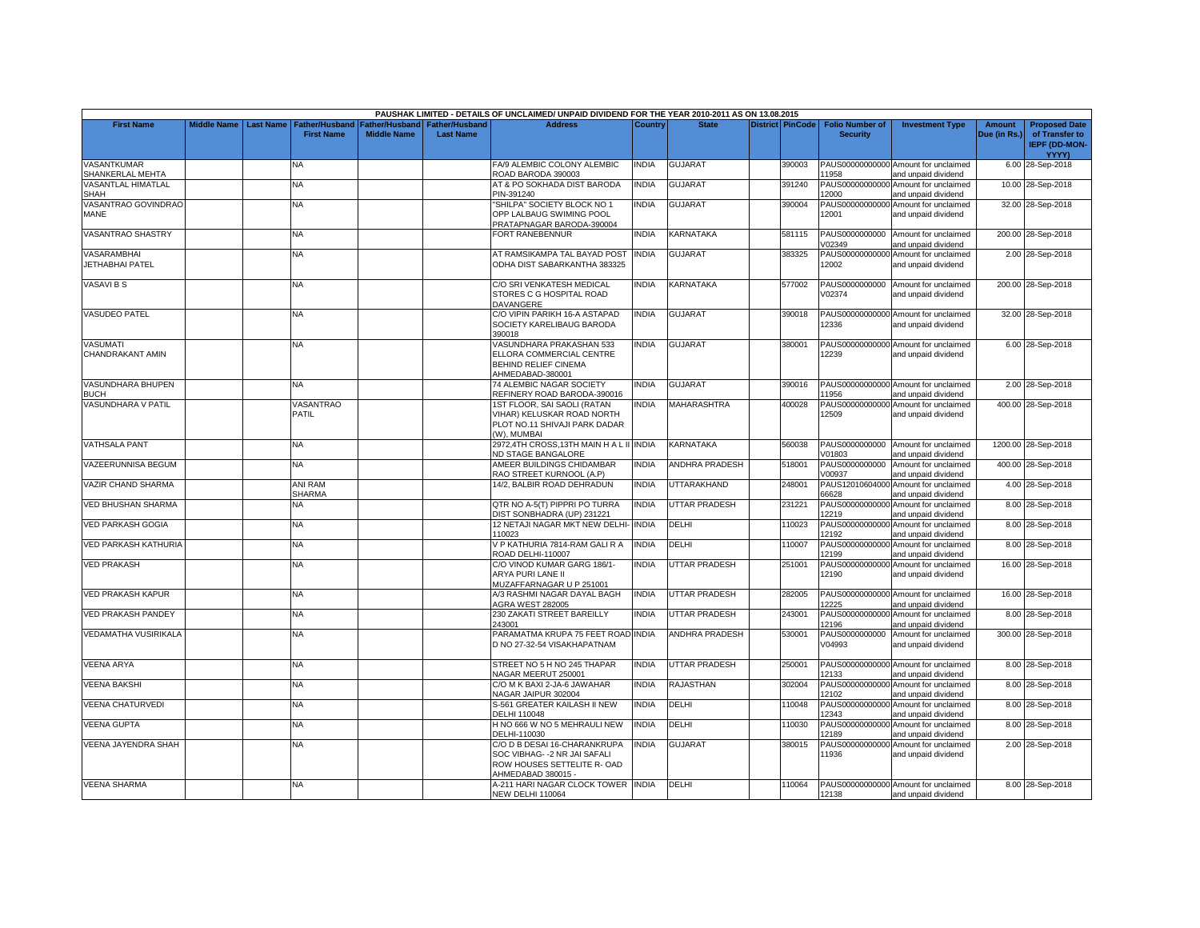|                                          |                    |                  |                                            |                                             |                                           | PAUSHAK LIMITED - DETAILS OF UNCLAIMED/ UNPAID DIVIDEND FOR THE YEAR 2010-2011 AS ON 13.08.2015                    |              |                       |                         |                                           |                                                             |                               |                                                                |
|------------------------------------------|--------------------|------------------|--------------------------------------------|---------------------------------------------|-------------------------------------------|--------------------------------------------------------------------------------------------------------------------|--------------|-----------------------|-------------------------|-------------------------------------------|-------------------------------------------------------------|-------------------------------|----------------------------------------------------------------|
| <b>First Name</b>                        | <b>Middle Name</b> | <b>Last Name</b> | <b>Father/Husband</b><br><b>First Name</b> | <b>Father/Husband</b><br><b>Middle Name</b> | <b>Father/Husband</b><br><b>Last Name</b> | <b>Address</b>                                                                                                     | Country      | <b>State</b>          | <b>District PinCode</b> | <b>Folio Number of</b><br><b>Security</b> | <b>Investment Type</b>                                      | <b>Amount</b><br>Due (in Rs.) | <b>Proposed Date</b><br>of Transfer to<br><b>IEPF (DD-MON-</b> |
| <b>VASANTKUMAR</b>                       |                    |                  | N٨                                         |                                             |                                           | FA/9 ALEMBIC COLONY ALEMBIC                                                                                        | <b>INDIA</b> | <b>GUJARAT</b>        | 390003                  |                                           | PAUS00000000000 Amount for unclaimed                        |                               | YYYY)<br>6.00 28-Sep-2018                                      |
| SHANKERLAL MEHTA                         |                    |                  |                                            |                                             |                                           | ROAD BARODA 390003                                                                                                 |              |                       |                         | 11958                                     | and unpaid dividend                                         |                               |                                                                |
| <b>VASANTLAL HIMATLAL</b><br><b>SHAH</b> |                    |                  | <b>NA</b>                                  |                                             |                                           | AT & PO SOKHADA DIST BARODA<br>PIN-391240                                                                          | <b>INDIA</b> | <b>GUJARAT</b>        | 391240                  | 12000                                     | PAUS00000000000 Amount for unclaimed<br>and unpaid dividend |                               | 10.00 28-Sep-2018                                              |
| VASANTRAO GOVINDRAO<br>MANE              |                    |                  | <b>NA</b>                                  |                                             |                                           | 'SHILPA" SOCIETY BLOCK NO 1<br>OPP LALBAUG SWIMING POOL<br>PRATAPNAGAR BARODA-390004                               | <b>INDIA</b> | <b>GUJARAT</b>        | 390004                  | 12001                                     | PAUS00000000000 Amount for unclaimed<br>and unpaid dividend |                               | 32.00 28-Sep-2018                                              |
| VASANTRAO SHASTRY                        |                    |                  | <b>NA</b>                                  |                                             |                                           | FORT RANEBENNUR                                                                                                    | <b>INDIA</b> | KARNATAKA             | 581115                  | V02349                                    | PAUS0000000000 Amount for unclaimed<br>and unpaid dividend  |                               | 200.00 28-Sep-2018                                             |
| <b>VASARAMBHAI</b><br>JETHABHAI PATEL    |                    |                  | NA.                                        |                                             |                                           | AT RAMSIKAMPA TAL BAYAD POST<br>ODHA DIST SABARKANTHA 383325                                                       | <b>INDIA</b> | <b>GUJARAT</b>        | 383325                  | 12002                                     | PAUS00000000000 Amount for unclaimed<br>and unpaid dividend |                               | 2.00 28-Sep-2018                                               |
| <b>VASAVIBS</b>                          |                    |                  | NΑ                                         |                                             |                                           | C/O SRI VENKATESH MEDICAL<br>STORES C G HOSPITAL ROAD<br>DAVANGERE                                                 | <b>INDIA</b> | KARNATAKA             | 577002                  | PAUS0000000000<br>V02374                  | Amount for unclaimed<br>and unpaid dividend                 |                               | 200.00 28-Sep-2018                                             |
| <b>VASUDEO PATEL</b>                     |                    |                  | ΝĀ                                         |                                             |                                           | C/O VIPIN PARIKH 16-A ASTAPAD<br>SOCIETY KARELIBAUG BARODA<br>390018                                               | <b>INDIA</b> | <b>GUJARAT</b>        | 390018                  | 12336                                     | PAUS00000000000 Amount for unclaimed<br>and unpaid dividend |                               | 32.00 28-Sep-2018                                              |
| <b>VASUMATI</b><br>CHANDRAKANT AMIN      |                    |                  | NA.                                        |                                             |                                           | VASUNDHARA PRAKASHAN 533<br>ELLORA COMMERCIAL CENTRE<br>BEHIND RELIEF CINEMA<br>AHMEDABAD-380001                   | <b>INDIA</b> | <b>GUJARAT</b>        | 380001                  | 12239                                     | PAUS00000000000 Amount for unclaimed<br>and unpaid dividend |                               | 6.00 28-Sep-2018                                               |
| <b>VASUNDHARA BHUPEN</b><br><b>BUCH</b>  |                    |                  | <b>NA</b>                                  |                                             |                                           | <b>74 ALEMBIC NAGAR SOCIETY</b><br>REFINERY ROAD BARODA-390016                                                     | <b>INDIA</b> | <b>GUJARAT</b>        | 390016                  | 11956                                     | PAUS00000000000 Amount for unclaimed<br>and unpaid dividend |                               | 2.00 28-Sep-2018                                               |
| VASUNDHARA V PATIL                       |                    |                  | <b>VASANTRAO</b><br>PATIL                  |                                             |                                           | 1ST FLOOR, SAI SAOLI (RATAN<br>VIHAR) KELUSKAR ROAD NORTH<br>PLOT NO.11 SHIVAJI PARK DADAR<br>W), MUMBAI           | <b>INDIA</b> | <b>MAHARASHTRA</b>    | 400028                  | 12509                                     | PAUS00000000000 Amount for unclaimed<br>and unpaid dividend |                               | 400.00 28-Sep-2018                                             |
| <b>VATHSALA PANT</b>                     |                    |                  | <b>NA</b>                                  |                                             |                                           | 2972,4TH CROSS,13TH MAIN H A L II INDIA<br>ND STAGE BANGALORE                                                      |              | KARNATAKA             | 560038                  | V01803                                    | PAUS0000000000 Amount for unclaimed<br>and unpaid dividend  |                               | 1200.00 28-Sep-2018                                            |
| VAZEERUNNISA BEGUM                       |                    |                  | NA                                         |                                             |                                           | AMEER BUILDINGS CHIDAMBAR<br>RAO STREET KURNOOL (A.P)                                                              | <b>INDIA</b> | <b>ANDHRA PRADESH</b> | 518001                  | PAUS0000000000<br>V00937                  | Amount for unclaimed<br>and unpaid dividend                 |                               | 400.00 28-Sep-2018                                             |
| VAZIR CHAND SHARMA                       |                    |                  | ANI RAM<br><b>SHARMA</b>                   |                                             |                                           | 14/2, BALBIR ROAD DEHRADUN                                                                                         | <b>INDIA</b> | UTTARAKHAND           | 248001                  | PAUS12010604000<br>66628                  | Amount for unclaimed<br>and unpaid dividend                 |                               | 4.00 28-Sep-2018                                               |
| <b>VED BHUSHAN SHARMA</b>                |                    |                  | NA                                         |                                             |                                           | QTR NO A-5(T) PIPPRI PO TURRA<br>DIST SONBHADRA (UP) 231221                                                        | <b>INDIA</b> | <b>UTTAR PRADESH</b>  | 231221                  | 12219                                     | PAUS00000000000 Amount for unclaimed<br>and unpaid dividend |                               | 8.00 28-Sep-2018                                               |
| <b>VED PARKASH GOGIA</b>                 |                    |                  | ΝA                                         |                                             |                                           | 12 NETAJI NAGAR MKT NEW DELHI-<br>110023                                                                           | <b>INDIA</b> | DELHI                 | 110023                  | 12192                                     | PAUS00000000000 Amount for unclaimed<br>and unpaid dividend |                               | 8.00 28-Sep-2018                                               |
| VED PARKASH KATHURIA                     |                    |                  | NA                                         |                                             |                                           | V P KATHURIA 7814-RAM GALI R A<br>ROAD DELHI-110007                                                                | <b>INDIA</b> | DELHI                 | 110007                  | 12199                                     | PAUS00000000000 Amount for unclaimed<br>and unpaid dividend |                               | 8.00 28-Sep-2018                                               |
| <b>VED PRAKASH</b>                       |                    |                  | ΝA                                         |                                             |                                           | C/O VINOD KUMAR GARG 186/1-<br>ARYA PURI LANE II<br>MUZAFFARNAGAR U P 251001                                       | INDIA        | <b>JTTAR PRADESH</b>  | 251001                  | 12190                                     | PAUS00000000000 Amount for unclaimed<br>and unpaid dividend |                               | 16.00 28-Sep-2018                                              |
| <b>VED PRAKASH KAPUR</b>                 |                    |                  | <b>NA</b>                                  |                                             |                                           | A/3 RASHMI NAGAR DAYAL BAGH<br><b>AGRA WEST 282005</b>                                                             | <b>INDIA</b> | <b>JTTAR PRADESH</b>  | 282005                  | 12225                                     | PAUS00000000000 Amount for unclaimed<br>and unpaid dividend |                               | 16.00 28-Sep-2018                                              |
| <b>VED PRAKASH PANDEY</b>                |                    |                  | <b>NA</b>                                  |                                             |                                           | 230 ZAKATI STREET BAREILLY<br>243001                                                                               | <b>INDIA</b> | <b>UTTAR PRADESH</b>  | 243001                  | 12196                                     | PAUS00000000000 Amount for unclaimed<br>and unpaid dividend |                               | 8.00 28-Sep-2018                                               |
| VEDAMATHA VUSIRIKALA                     |                    |                  | NA                                         |                                             |                                           | PARAMATMA KRUPA 75 FEET ROAD INDIA<br>D NO 27-32-54 VISAKHAPATNAM                                                  |              | <b>ANDHRA PRADESH</b> | 530001                  | PAUS0000000000<br>V04993                  | Amount for unclaimed<br>and unpaid dividend                 |                               | 300.00 28-Sep-2018                                             |
| <b>VEENA ARYA</b>                        |                    |                  | NA                                         |                                             |                                           | STREET NO 5 H NO 245 THAPAR<br>NAGAR MEERUT 250001                                                                 | INDIA        | <b>JTTAR PRADESH</b>  | 250001                  | 12133                                     | PAUS00000000000 Amount for unclaimed<br>and unpaid dividend |                               | 8.00 28-Sep-2018                                               |
| <b>VEENA BAKSHI</b>                      |                    |                  | NA                                         |                                             |                                           | C/O M K BAXI 2-JA-6 JAWAHAR<br>NAGAR JAIPUR 302004                                                                 | INDIA        | RAJASTHAN             | 302004                  | 12102                                     | PAUS00000000000 Amount for unclaimed<br>and unpaid dividend |                               | 8.00 28-Sep-2018                                               |
| <b>VEENA CHATURVEDI</b>                  |                    |                  | NA                                         |                                             |                                           | S-561 GREATER KAILASH II NEW<br><b>DELHI 110048</b>                                                                | <b>INDIA</b> | DELHI                 | 110048                  | 12343                                     | PAUS00000000000 Amount for unclaimed<br>and unpaid dividend |                               | 8.00 28-Sep-2018                                               |
| <b>VEENA GUPTA</b>                       |                    |                  | NΑ                                         |                                             |                                           | H NO 666 W NO 5 MEHRAULI NEW<br>DELHI-110030                                                                       | <b>INDIA</b> | DELHI                 | 110030                  | PAUS00000000000<br>12189                  | Amount for unclaimed<br>and unpaid dividend                 |                               | 8.00 28-Sep-2018                                               |
| <b>VEENA JAYENDRA SHAH</b>               |                    |                  | <b>NA</b>                                  |                                             |                                           | C/O D B DESAI 16-CHARANKRUPA<br>SOC VIBHAG- - 2 NR JAI SAFALI<br>ROW HOUSES SETTELITE R- OAD<br>AHMEDABAD 380015 - | <b>INDIA</b> | <b>GUJARAT</b>        | 380015                  | 11936                                     | PAUS00000000000 Amount for unclaimed<br>and unpaid dividend |                               | 2.00 28-Sep-2018                                               |
| <b>VEENA SHARMA</b>                      |                    |                  | <b>NA</b>                                  |                                             |                                           | A-211 HARI NAGAR CLOCK TOWER INDIA<br>NEW DELHI 110064                                                             |              | DELHI                 | 110064                  | 12138                                     | PAUS00000000000 Amount for unclaimed<br>and unpaid dividend |                               | 8.00 28-Sep-2018                                               |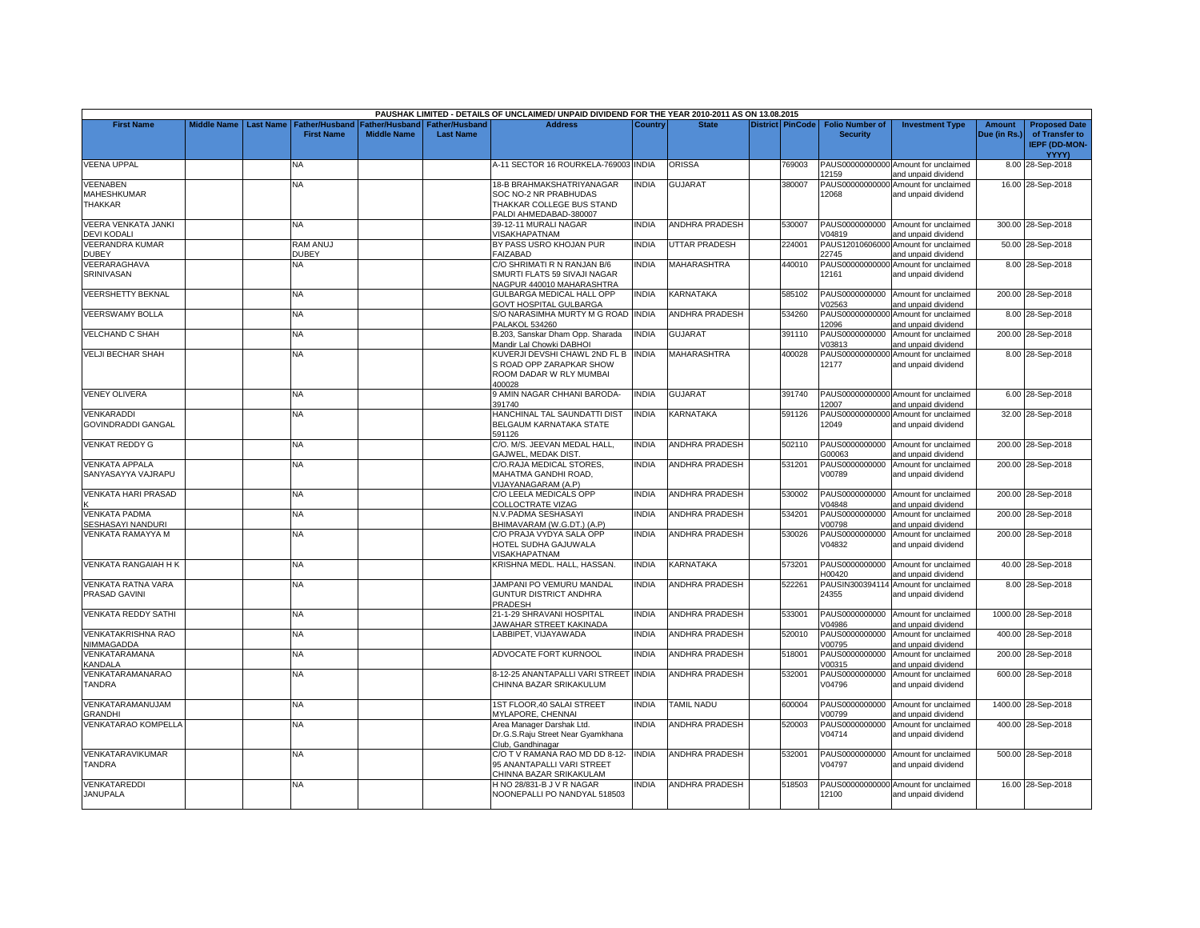|                                              |                    |                  |                       |                    |                       | PAUSHAK LIMITED - DETAILS OF UNCLAIMED/ UNPAID DIVIDEND FOR THE YEAR 2010-2011 AS ON 13.08.2015 |              |                       |                         |                          |                                                             |               |                                        |
|----------------------------------------------|--------------------|------------------|-----------------------|--------------------|-----------------------|-------------------------------------------------------------------------------------------------|--------------|-----------------------|-------------------------|--------------------------|-------------------------------------------------------------|---------------|----------------------------------------|
| <b>First Name</b>                            | <b>Middle Name</b> | <b>Last Name</b> | <b>Father/Husband</b> | Father/Husband     | <b>Father/Husband</b> | <b>Address</b>                                                                                  | Country      | <b>State</b>          | <b>District PinCode</b> | <b>Folio Number of</b>   | <b>Investment Type</b>                                      | <b>Amount</b> | <b>Proposed Date</b>                   |
|                                              |                    |                  | <b>First Name</b>     | <b>Middle Name</b> | <b>Last Name</b>      |                                                                                                 |              |                       |                         | <b>Security</b>          |                                                             | Due (in Rs.)  | of Transfer to<br><b>IEPF (DD-MON-</b> |
|                                              |                    |                  |                       |                    |                       |                                                                                                 |              |                       |                         |                          |                                                             |               | <b>YYYY)</b>                           |
| <b>VEENA UPPAL</b>                           |                    |                  | NA                    |                    |                       | 4-11 SECTOR 16 ROURKELA-769003 INDIA                                                            |              | <b>ORISSA</b>         | 769003                  | 12159                    | PAUS00000000000 Amount for unclaimed<br>and unpaid dividend |               | 8.00 28-Sep-2018                       |
| <b>VEENABEN</b>                              |                    |                  | NA                    |                    |                       | 18-B BRAHMAKSHATRIYANAGAR                                                                       | <b>INDIA</b> | <b>GUJARAT</b>        | 380007                  |                          | PAUS00000000000 Amount for unclaimed                        |               | 16.00 28-Sep-2018                      |
| MAHESHKUMAR<br>THAKKAR                       |                    |                  |                       |                    |                       | SOC NO-2 NR PRABHUDAS<br>THAKKAR COLLEGE BUS STAND                                              |              |                       |                         | 12068                    | and unpaid dividend                                         |               |                                        |
|                                              |                    |                  |                       |                    |                       | PALDI AHMEDABAD-380007                                                                          |              |                       |                         |                          |                                                             |               |                                        |
| <b>VEERA VENKATA JANKI</b>                   |                    |                  | NA                    |                    |                       | 39-12-11 MURALI NAGAR                                                                           | <b>INDIA</b> | <b>ANDHRA PRADESH</b> | 530007                  |                          | PAUS0000000000 Amount for unclaimed                         |               | 300.00 28-Sep-2018                     |
| <b>DEVI KODALI</b><br><b>VEERANDRA KUMAR</b> |                    |                  | RAM ANUJ              |                    |                       | <b>VISAKHAPATNAM</b><br>BY PASS USRO KHOJAN PUR                                                 | <b>INDIA</b> | <b>JTTAR PRADESH</b>  | 224001                  | V04819                   | and unpaid dividend<br>PAUS12010606000 Amount for unclaimed |               | 50.00 28-Sep-2018                      |
| <b>DUBEY</b>                                 |                    |                  | <b>DUBEY</b>          |                    |                       | FAIZABAD                                                                                        |              |                       |                         | 22745                    | and unpaid dividend                                         |               |                                        |
| VEERARAGHAVA                                 |                    |                  | NA                    |                    |                       | C/O SHRIMATI R N RANJAN B/6                                                                     | <b>INDIA</b> | MAHARASHTRA           | 440010                  |                          | PAUS00000000000 Amount for unclaimed                        |               | 8.00 28-Sep-2018                       |
| <b>SRINIVASAN</b>                            |                    |                  |                       |                    |                       | SMURTI FLATS 59 SIVAJI NAGAR<br>NAGPUR 440010 MAHARASHTRA                                       |              |                       |                         | 12161                    | and unpaid dividend                                         |               |                                        |
| <b>VEERSHETTY BEKNAL</b>                     |                    |                  | NA                    |                    |                       | GULBARGA MEDICAL HALL OPP<br><b>GOVT HOSPITAL GULBARGA</b>                                      | <b>INDIA</b> | KARNATAKA             | 585102                  | PAUS0000000000<br>V02563 | Amount for unclaimed<br>nd unpaid dividend                  |               | 200.00 28-Sep-2018                     |
| <b>VEERSWAMY BOLLA</b>                       |                    |                  | NA                    |                    |                       | S/O NARASIMHA MURTY M G ROAD INDIA<br><b>PALAKOL 534260</b>                                     |              | <b>ANDHRA PRADESH</b> | 534260                  | PAUS00000000000<br>12096 | Amount for unclaimed<br>and unpaid dividend                 |               | 8.00 28-Sep-2018                       |
| <b>VELCHAND C SHAH</b>                       |                    |                  | NA                    |                    |                       | B.203, Sanskar Dham Opp. Sharada<br>Mandir Lal Chowki DABHOI                                    | <b>INDIA</b> | <b>GUJARAT</b>        | 391110                  | PAUS0000000000<br>V03813 | Amount for unclaimed<br>and unpaid dividend                 |               | 200.00 28-Sep-2018                     |
| <b>VELJI BECHAR SHAH</b>                     |                    |                  | NA.                   |                    |                       | KUVERJI DEVSHI CHAWL 2ND FL B                                                                   | <b>INDIA</b> | MAHARASHTRA           | 400028                  |                          | PAUS00000000000 Amount for unclaimed                        |               | 8.00 28-Sep-2018                       |
|                                              |                    |                  |                       |                    |                       | S ROAD OPP ZARAPKAR SHOW<br>ROOM DADAR W RLY MUMBAI<br>100028                                   |              |                       |                         | 12177                    | and unpaid dividend                                         |               |                                        |
| <b>VENEY OLIVERA</b>                         |                    |                  | NA.                   |                    |                       | <b>J AMIN NAGAR CHHANI BARODA-</b><br>391740                                                    | <b>INDIA</b> | GUJARAT               | 391740                  | 12007                    | PAUS00000000000 Amount for unclaimed<br>and unpaid dividend |               | 6.00 28-Sep-2018                       |
| <b>VENKARADDI</b>                            |                    |                  | NA                    |                    |                       | HANCHINAL TAL SAUNDATTI DIST                                                                    | <b>INDIA</b> | <b>KARNATAKA</b>      | 591126                  |                          | PAUS00000000000 Amount for unclaimed                        |               | 32.00 28-Sep-2018                      |
| <b>GOVINDRADDI GANGAL</b>                    |                    |                  |                       |                    |                       | BELGAUM KARNATAKA STATE<br>591126                                                               |              |                       |                         | 12049                    | and unpaid dividend                                         |               |                                        |
| <b>VENKAT REDDY G</b>                        |                    |                  | <b>NA</b>             |                    |                       | C/O. M/S. JEEVAN MEDAL HALL,<br><b>GAJWEL, MEDAK DIST</b>                                       | <b>INDIA</b> | <b>ANDHRA PRADESH</b> | 502110                  | PAUS0000000000<br>G00063 | Amount for unclaimed<br>and unpaid dividend                 |               | 200.00 28-Sep-2018                     |
| <b>VENKATA APPALA</b>                        |                    |                  | NA                    |                    |                       | C/O.RAJA MEDICAL STORES,                                                                        | INDIA        | <b>ANDHRA PRADESH</b> | 531201                  | PAUS0000000000           | Amount for unclaimed                                        |               | 200.00 28-Sep-2018                     |
| SANYASAYYA VAJRAPU                           |                    |                  |                       |                    |                       | MAHATMA GANDHI ROAD,<br>VIJAYANAGARAM (A.P)                                                     |              |                       |                         | V00789                   | and unpaid dividend                                         |               |                                        |
| <b>VENKATA HARI PRASAD</b>                   |                    |                  | NA                    |                    |                       | C/O LEELA MEDICALS OPP<br>COLLOCTRATE VIZAG                                                     | <b>INDIA</b> | ANDHRA PRADESH        | 530002                  | V04848                   | PAUS0000000000 Amount for unclaimed<br>and unpaid dividend  |               | 200.00 28-Sep-2018                     |
| <b>VENKATA PADMA</b>                         |                    |                  | ΝA                    |                    |                       | N.V.PADMA SESHASAYI                                                                             | <b>INDIA</b> | ANDHRA PRADESH        | 534201                  | PAUS0000000000           | Amount for unclaimed                                        |               | 200.00 28-Sep-2018                     |
| SESHASAYI NANDURI<br>VENKATA RAMAYYA M       |                    |                  | NA.                   |                    |                       | BHIMAVARAM (W.G.DT.) (A.P)<br>C/O PRAJA VYDYA SALA OPP                                          | <b>INDIA</b> | ANDHRA PRADESH        | 530026                  | V00798<br>PAUS0000000000 | and unpaid dividend<br>Amount for unclaimed                 |               | 200.00 28-Sep-2018                     |
|                                              |                    |                  |                       |                    |                       | HOTEL SUDHA GAJUWALA<br>VISAKHAPATNAM                                                           |              |                       |                         | V04832                   | and unpaid dividend                                         |               |                                        |
| <b>VENKATA RANGAIAH H K</b>                  |                    |                  | NA                    |                    |                       | KRISHNA MEDL, HALL, HASSAN,                                                                     | <b>INDIA</b> | <b>KARNATAKA</b>      | 573201                  | H00420                   | PAUS0000000000 Amount for unclaimed<br>and unpaid dividend  |               | 40.00 28-Sep-2018                      |
| <b>VENKATA RATNA VARA</b>                    |                    |                  | NA                    |                    |                       | JAMPANI PO VEMURU MANDAL                                                                        | <b>INDIA</b> | <b>ANDHRA PRADESH</b> | 522261                  |                          | PAUSIN300394114 Amount for unclaimed                        |               | 8.00 28-Sep-2018                       |
| PRASAD GAVINI                                |                    |                  |                       |                    |                       | GUNTUR DISTRICT ANDHRA<br>PRADESH                                                               |              |                       |                         | 24355                    | and unpaid dividend                                         |               |                                        |
| <b>VENKATA REDDY SATHI</b>                   |                    |                  | NA                    |                    |                       | 21-1-29 SHRAVANI HOSPITAL<br>JAWAHAR STREET KAKINADA                                            | INDIA        | ANDHRA PRADESH        | 533001                  | PAUS0000000000<br>V04986 | Amount for unclaimed<br>and unpaid dividend                 |               | 1000.00 28-Sep-2018                    |
| <b>VENKATAKRISHNA RAO</b><br>NIMMAGADDA      |                    |                  | NA                    |                    |                       | LABBIPET. VIJAYAWADA                                                                            | <b>INDIA</b> | ANDHRA PRADESH        | 520010                  | PAUS0000000000<br>V00795 | Amount for unclaimed<br>and unpaid dividend                 |               | 400.00 28-Sep-2018                     |
| VENKATARAMANA<br><b>CANDALA</b>              |                    |                  | NΑ                    |                    |                       | ADVOCATE FORT KURNOOL                                                                           | INDIA        | ANDHRA PRADESH        | 518001                  | PAUS0000000000<br>V00315 | Amount for unclaimed<br>and unpaid dividend                 |               | 200.00 28-Sep-2018                     |
| VENKATARAMANARAO                             |                    |                  | NA                    |                    |                       | 8-12-25 ANANTAPALLI VARI STREET INDIA                                                           |              | <b>ANDHRA PRADESH</b> | 532001                  | PAUS0000000000           | Amount for unclaimed                                        |               | 600.00 28-Sep-2018                     |
| TANDRA                                       |                    |                  |                       |                    |                       | CHINNA BAZAR SRIKAKULUM                                                                         |              |                       |                         | V04796                   | and unpaid dividend                                         |               |                                        |
| VENKATARAMANUJAM<br><b>GRANDHI</b>           |                    |                  | <b>NA</b>             |                    |                       | 1ST FLOOR.40 SALAI STREET<br>MYLAPORE, CHENNAI                                                  | <b>INDIA</b> | <b>TAMIL NADU</b>     | 600004                  | V00799                   | PAUS0000000000 Amount for unclaimed<br>and unpaid dividend  |               | 1400.00 28-Sep-2018                    |
| VENKATARAO KOMPELLA                          |                    |                  | NA.                   |                    |                       | Area Manager Darshak Ltd.<br>Dr.G.S.Raju Street Near Gyamkhana<br>Club, Gandhinagar             | <b>INDIA</b> | <b>ANDHRA PRADESH</b> | 520003                  | PAUS0000000000<br>V04714 | Amount for unclaimed<br>and unpaid dividend                 |               | 400.00 28-Sep-2018                     |
| VENKATARAVIKUMAR<br><b>TANDRA</b>            |                    |                  | NA.                   |                    |                       | C/O T V RAMANA RAO MD DD 8-12-<br>95 ANANTAPALLI VARI STREET<br>CHINNA BAZAR SRIKAKULAM         | <b>INDIA</b> | ANDHRA PRADESH        | 532001                  | V04797                   | PAUS0000000000 Amount for unclaimed<br>and unpaid dividend  |               | 500.00 28-Sep-2018                     |
| <b>VENKATAREDDI</b><br><b>JANUPALA</b>       |                    |                  | NA                    |                    |                       | H NO 28/831-B J V R NAGAR<br>NOONEPALLI PO NANDYAL 518503                                       | <b>INDIA</b> | <b>ANDHRA PRADESH</b> | 518503                  | 12100                    | PAUS00000000000 Amount for unclaimed<br>and unpaid dividend |               | 16.00 28-Sep-2018                      |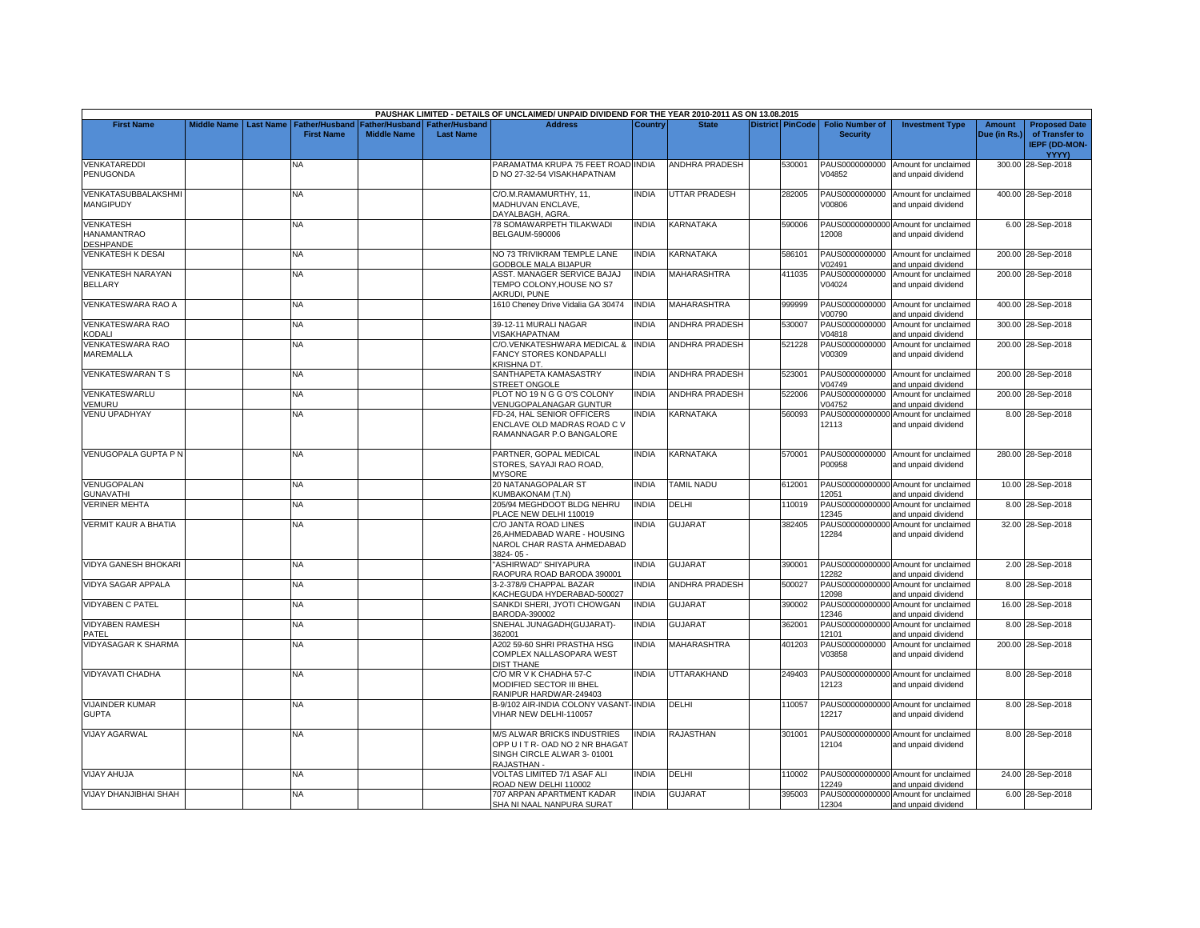|                                                     |                    |                  |                                            |                                      |                                    | PAUSHAK LIMITED - DETAILS OF UNCLAIMED/ UNPAID DIVIDEND FOR THE YEAR 2010-2011 AS ON 13.08.2015             |              |                       |                         |                                           |                                                             |                        |                                                                                |
|-----------------------------------------------------|--------------------|------------------|--------------------------------------------|--------------------------------------|------------------------------------|-------------------------------------------------------------------------------------------------------------|--------------|-----------------------|-------------------------|-------------------------------------------|-------------------------------------------------------------|------------------------|--------------------------------------------------------------------------------|
| <b>First Name</b>                                   | <b>Middle Name</b> | <b>Last Name</b> | <b>Father/Husband</b><br><b>First Name</b> | Father/Husband<br><b>Middle Name</b> | Father/Husband<br><b>Last Name</b> | <b>Address</b>                                                                                              | Country      | <b>State</b>          | <b>District PinCode</b> | <b>Folio Number of</b><br><b>Security</b> | <b>Investment Type</b>                                      | Amount<br>Due (in Rs.) | <b>Proposed Date</b><br>of Transfer to<br><b>IEPF (DD-MON-</b><br><b>YYYY)</b> |
| VENKATAREDDI<br>PENUGONDA                           |                    |                  | N٨                                         |                                      |                                    | PARAMATMA KRUPA 75 FEET ROAD INDIA<br>D NO 27-32-54 VISAKHAPATNAM                                           |              | <b>ANDHRA PRADESH</b> | 530001                  | PAUS0000000000<br>V04852                  | Amount for unclaimed<br>and unpaid dividend                 |                        | 300.00 28-Sep-2018                                                             |
| VENKATASUBBALAKSHMI<br>MANGIPUDY                    |                    |                  | NA                                         |                                      |                                    | C/O.M.RAMAMURTHY, 11,<br>MADHUVAN ENCLAVE.<br>DAYALBAGH, AGRA.                                              | <b>INDIA</b> | <b>UTTAR PRADESH</b>  | 282005                  | PAUS0000000000<br>V00806                  | Amount for unclaimed<br>and unpaid dividend                 |                        | 400.00 28-Sep-2018                                                             |
| <b>VENKATESH</b><br><b>HANAMANTRAO</b><br>DESHPANDE |                    |                  | NA                                         |                                      |                                    | 78 SOMAWARPETH TILAKWADI<br><b>BELGAUM-590006</b>                                                           | <b>INDIA</b> | KARNATAKA             | 590006                  | 12008                                     | PAUS00000000000 Amount for unclaimed<br>and unpaid dividend |                        | 6.00 28-Sep-2018                                                               |
| <b>VENKATESH K DESAI</b>                            |                    |                  | NA                                         |                                      |                                    | NO 73 TRIVIKRAM TEMPLE LANE<br>GODBOLE MALA BIJAPUR                                                         | <b>INDIA</b> | KARNATAKA             | 586101                  | PAUS0000000000<br>V02491                  | Amount for unclaimed<br>and unpaid dividend                 |                        | 200.00 28-Sep-2018                                                             |
| <b>VENKATESH NARAYAN</b><br><b>BELLARY</b>          |                    |                  | NA                                         |                                      |                                    | ASST. MANAGER SERVICE BAJAJ<br>TEMPO COLONY, HOUSE NO S7<br>AKRUDI, PUNE                                    | <b>INDIA</b> | <b>MAHARASHTRA</b>    | 411035                  | PAUS0000000000<br>V04024                  | Amount for unclaimed<br>and unpaid dividend                 |                        | 200.00 28-Sep-2018                                                             |
| VENKATESWARA RAO A                                  |                    |                  | <b>NA</b>                                  |                                      |                                    | 1610 Cheney Drive Vidalia GA 30474                                                                          | <b>INDIA</b> | <b>MAHARASHTRA</b>    | 999999                  | PAUS0000000000<br>V00790                  | Amount for unclaimed<br>nd unpaid dividend                  |                        | 400.00 28-Sep-2018                                                             |
| VENKATESWARA RAO<br>KODALI                          |                    |                  | NA                                         |                                      |                                    | 39-12-11 MURALI NAGAR<br>VISAKHAPATNAM                                                                      | <b>INDIA</b> | <b>ANDHRA PRADESH</b> | 530007                  | PAUS0000000000<br>V04818                  | Amount for unclaimed<br>and unpaid dividend                 |                        | 300.00 28-Sep-2018                                                             |
| VENKATESWARA RAO<br><b>MAREMALLA</b>                |                    |                  | NΑ                                         |                                      |                                    | C/O.VENKATESHWARA MEDICAL &<br><b>FANCY STORES KONDAPALLI</b><br><b>KRISHNA DT.</b>                         | <b>INDIA</b> | <b>ANDHRA PRADESH</b> | 521228                  | PAUS0000000000<br>V00309                  | Amount for unclaimed<br>and unpaid dividend                 |                        | 200.00 28-Sep-2018                                                             |
| <b>VENKATESWARANTS</b>                              |                    |                  | <b>NA</b>                                  |                                      |                                    | SANTHAPETA KAMASASTRY<br><b>STREET ONGOLE</b>                                                               | <b>INDIA</b> | <b>ANDHRA PRADESH</b> | 523001                  | PAUS0000000000<br>V04749                  | Amount for unclaimed<br>and unpaid dividend                 |                        | 200.00 28-Sep-2018                                                             |
| VENKATESWARLU<br>/EMURU                             |                    |                  | NA                                         |                                      |                                    | PLOT NO 19 N G G O'S COLONY<br>VENUGOPALANAGAR GUNTUR                                                       | <b>INDIA</b> | <b>ANDHRA PRADESH</b> | 522006                  | PAUS0000000000<br>V04752                  | Amount for unclaimed<br>and unpaid dividend                 |                        | 200.00 28-Sep-2018                                                             |
| <b>VENU UPADHYAY</b>                                |                    |                  | NA                                         |                                      |                                    | FD-24, HAL SENIOR OFFICERS<br>ENCLAVE OLD MADRAS ROAD C V<br>RAMANNAGAR P.O BANGALORE                       | <b>INDIA</b> | KARNATAKA             | 560093                  | 12113                                     | PAUS00000000000 Amount for unclaimed<br>and unpaid dividend |                        | 8.00 28-Sep-2018                                                               |
| <b>VENUGOPALA GUPTA P N</b>                         |                    |                  | <b>NA</b>                                  |                                      |                                    | PARTNER, GOPAL MEDICAL<br>STORES, SAYAJI RAO ROAD,<br><b>MYSORE</b>                                         | <b>INDIA</b> | <b>KARNATAKA</b>      | 570001                  | P00958                                    | PAUS0000000000 Amount for unclaimed<br>and unpaid dividend  |                        | 280.00 28-Sep-2018                                                             |
| VENUGOPALAN<br><b>GUNAVATHI</b>                     |                    |                  | <b>NA</b>                                  |                                      |                                    | 20 NATANAGOPALAR ST<br><b>KUMBAKONAM (T.N)</b>                                                              | <b>INDIA</b> | TAMIL NADU            | 612001                  | 12051                                     | PAUS00000000000 Amount for unclaimed<br>and unpaid dividend |                        | 10.00 28-Sep-2018                                                              |
| <b>VERINER MEHTA</b>                                |                    |                  | NA.                                        |                                      |                                    | 205/94 MEGHDOOT BLDG NEHRU<br>PLACE NEW DELHI 110019                                                        | <b>INDIA</b> | DELHI                 | 110019                  | PAUS00000000000<br>12345                  | Amount for unclaimed<br>and unpaid dividend                 |                        | 8.00 28-Sep-2018                                                               |
| <b>VERMIT KAUR A BHATIA</b>                         |                    |                  | NA                                         |                                      |                                    | C/O JANTA ROAD LINES<br>26, AHMEDABAD WARE - HOUSING<br>NAROL CHAR RASTA AHMEDABAD<br>3824-05-              | <b>INDIA</b> | GUJARAT               | 382405                  | 12284                                     | PAUS00000000000 Amount for unclaimed<br>and unpaid dividend |                        | 32.00 28-Sep-2018                                                              |
| <b>VIDYA GANESH BHOKARI</b>                         |                    |                  | NA                                         |                                      |                                    | 'ASHIRWAD" SHIYAPURA<br>RAOPURA ROAD BARODA 390001                                                          | <b>INDIA</b> | GUJARAT               | 390001                  | 12282                                     | PAUS00000000000 Amount for unclaimed<br>and unpaid dividend |                        | 2.00 28-Sep-2018                                                               |
| VIDYA SAGAR APPALA                                  |                    |                  | NΑ                                         |                                      |                                    | 3-2-378/9 CHAPPAL BAZAR<br>KACHEGUDA HYDERABAD-500027                                                       | <b>INDIA</b> | <b>ANDHRA PRADESH</b> | 500027                  | 12098                                     | PAUS00000000000 Amount for unclaimed<br>and unpaid dividend |                        | 8.00 28-Sep-2018                                                               |
| <b>VIDYABEN C PATEL</b>                             |                    |                  | NA                                         |                                      |                                    | SANKDI SHERI, JYOTI CHOWGAN<br>3ARODA-390002                                                                | <b>INDIA</b> | <b>GUJARAT</b>        | 390002                  | 12346                                     | PAUS00000000000 Amount for unclaimed<br>and unpaid dividend |                        | 16.00 28-Sep-2018                                                              |
| <b>VIDYABEN RAMESH</b><br>PATEL                     |                    |                  | NΑ                                         |                                      |                                    | SNEHAL JUNAGADH(GUJARAT)-<br>362001                                                                         | <b>INDIA</b> | <b>GUJARAT</b>        | 362001                  | 12101                                     | PAUS00000000000 Amount for unclaimed<br>and unpaid dividend |                        | 8.00 28-Sep-2018                                                               |
| <b>VIDYASAGAR K SHARMA</b>                          |                    |                  | NA                                         |                                      |                                    | 4202 59-60 SHRI PRASTHA HSG<br>COMPLEX NALLASOPARA WEST<br><b>DIST THANE</b>                                | <b>INDIA</b> | <b>MAHARASHTRA</b>    | 401203                  | PAUS0000000000<br>V03858                  | Amount for unclaimed<br>and unpaid dividend                 |                        | 200.00 28-Sep-2018                                                             |
| VIDYAVATI CHADHA                                    |                    |                  | <b>NA</b>                                  |                                      |                                    | C/O MR V K CHADHA 57-C<br>MODIFIED SECTOR III BHEL<br>RANIPUR HARDWAR-249403                                | <b>INDIA</b> | UTTARAKHAND           | 249403                  | 12123                                     | PAUS00000000000 Amount for unclaimed<br>and unpaid dividend |                        | 8.00 28-Sep-2018                                                               |
| <b>VIJAINDER KUMAR</b><br><b>GUPTA</b>              |                    |                  | NA                                         |                                      |                                    | B-9/102 AIR-INDIA COLONY VASANT-INDIA<br>VIHAR NEW DELHI-110057                                             |              | DELHI                 | 110057                  | 12217                                     | PAUS00000000000 Amount for unclaimed<br>and unpaid dividend |                        | 8.00 28-Sep-2018                                                               |
| <b>VIJAY AGARWAL</b>                                |                    |                  | NA                                         |                                      |                                    | M/S ALWAR BRICKS INDUSTRIES<br>OPP U I T R- OAD NO 2 NR BHAGAT<br>SINGH CIRCLE ALWAR 3-01001<br>RAJASTHAN - | <b>INDIA</b> | RAJASTHAN             | 301001                  | 12104                                     | PAUS00000000000 Amount for unclaimed<br>and unpaid dividend |                        | 8.00 28-Sep-2018                                                               |
| <b>VIJAY AHUJA</b>                                  |                    |                  | NΑ                                         |                                      |                                    | VOLTAS LIMITED 7/1 ASAF ALI<br>ROAD NEW DELHI 110002                                                        | <b>INDIA</b> | DELHI                 | 110002                  | 12249                                     | PAUS00000000000 Amount for unclaimed<br>and unpaid dividend |                        | 24.00 28-Sep-2018                                                              |
| <b>VIJAY DHANJIBHAI SHAH</b>                        |                    |                  | NA                                         |                                      |                                    | 707 ARPAN APARTMENT KADAR<br>SHA NI NAAL NANPURA SURAT                                                      | <b>INDIA</b> | <b>GUJARAT</b>        | 395003                  | 12304                                     | PAUS00000000000 Amount for unclaimed<br>and unpaid dividend |                        | 6.00 28-Sep-2018                                                               |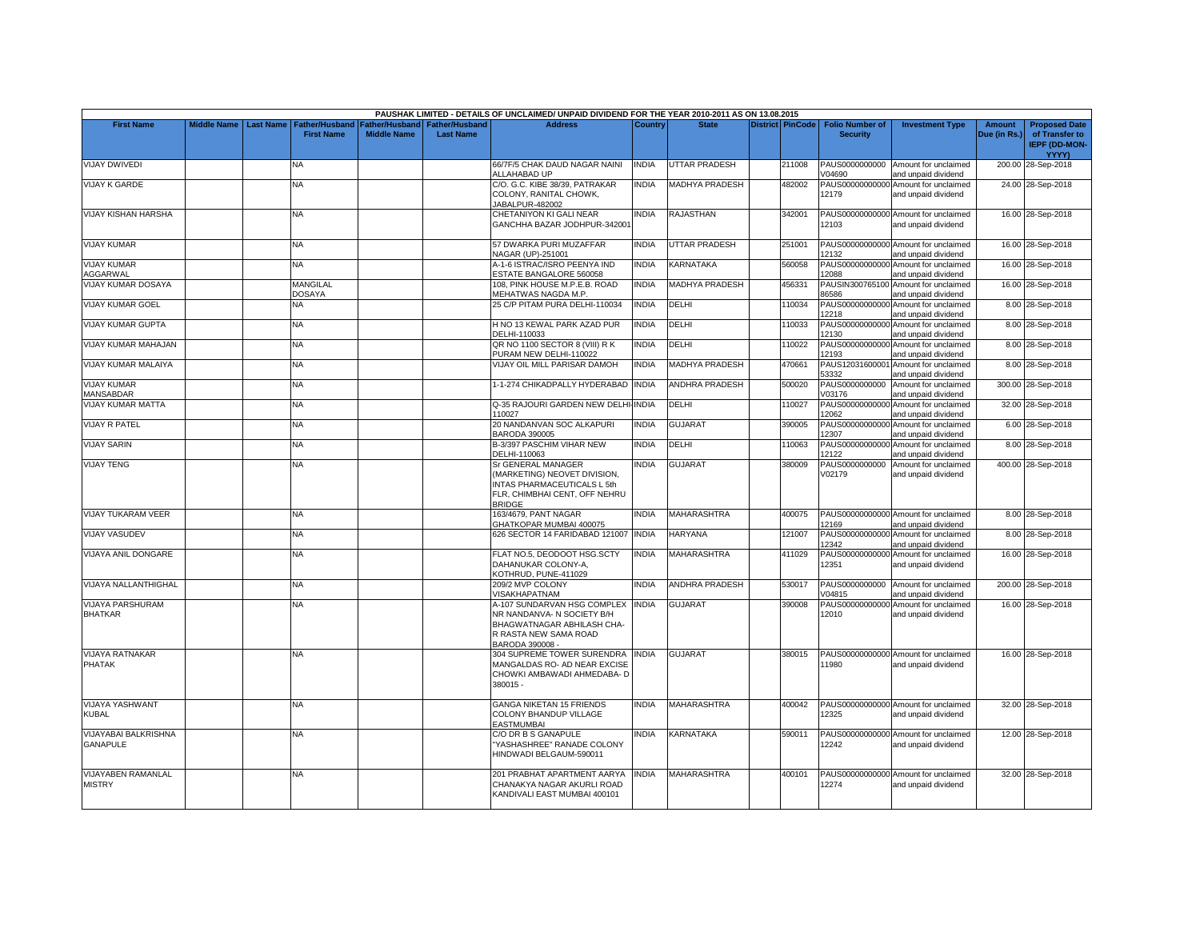|                                            |                    |                  |                                            |                                      |                                           | PAUSHAK LIMITED - DETAILS OF UNCLAIMED/ UNPAID DIVIDEND FOR THE YEAR 2010-2011 AS ON 13.08.2015                                     |                |                       |                         |                                           |                                                             |                               |                                                                                |
|--------------------------------------------|--------------------|------------------|--------------------------------------------|--------------------------------------|-------------------------------------------|-------------------------------------------------------------------------------------------------------------------------------------|----------------|-----------------------|-------------------------|-------------------------------------------|-------------------------------------------------------------|-------------------------------|--------------------------------------------------------------------------------|
| <b>First Name</b>                          | <b>Middle Name</b> | <b>Last Name</b> | <b>Father/Husband</b><br><b>First Name</b> | Father/Husband<br><b>Middle Name</b> | <b>Father/Husband</b><br><b>Last Name</b> | <b>Address</b>                                                                                                                      | <b>Country</b> | <b>State</b>          | <b>District PinCode</b> | <b>Folio Number of</b><br><b>Security</b> | <b>Investment Type</b>                                      | <b>Amount</b><br>Due (in Rs.) | <b>Proposed Date</b><br>of Transfer to<br><b>IEPF (DD-MON-</b><br><b>YYYY)</b> |
| <b>VIJAY DWIVEDI</b>                       |                    |                  | NA                                         |                                      |                                           | 66/7F/5 CHAK DAUD NAGAR NAINI<br>ALLAHABAD UP                                                                                       | <b>INDIA</b>   | <b>UTTAR PRADESH</b>  | 211008                  | PAUS0000000000<br>/04690                  | Amount for unclaimed<br>and unpaid dividend                 |                               | 200.00 28-Sep-2018                                                             |
| <b>VIJAY K GARDE</b>                       |                    |                  | <b>NA</b>                                  |                                      |                                           | C/O. G.C. KIBE 38/39, PATRAKAR<br>COLONY, RANITAL CHOWK,<br>JABALPUR-482002                                                         | <b>NDIA</b>    | MADHYA PRADESH        | 482002                  | PAUS00000000000<br>12179                  | Amount for unclaimed<br>and unpaid dividend                 |                               | 24.00 28-Sep-2018                                                              |
| <b>VIJAY KISHAN HARSHA</b>                 |                    |                  | NA                                         |                                      |                                           | CHETANIYON KI GALI NEAR<br>GANCHHA BAZAR JODHPUR-342001                                                                             | INDIA          | RAJASTHAN             | 342001                  | 12103                                     | PAUS00000000000 Amount for unclaimed<br>and unpaid dividend |                               | 16.00 28-Sep-2018                                                              |
| <b>VIJAY KUMAR</b>                         |                    |                  | NA.                                        |                                      |                                           | 57 DWARKA PURI MUZAFFAR<br>NAGAR (UP)-251001                                                                                        | <b>NDIA</b>    | <b>UTTAR PRADESH</b>  | 251001                  | 12132                                     | PAUS00000000000 Amount for unclaimed<br>and unpaid dividend |                               | 16.00 28-Sep-2018                                                              |
| <b>VIJAY KUMAR</b><br>AGGARWAL             |                    |                  | NA                                         |                                      |                                           | A-1-6 ISTRAC/ISRO PEENYA IND<br>ESTATE BANGALORE 560058                                                                             | INDIA          | KARNATAKA             | 560058                  | 12088                                     | PAUS00000000000 Amount for unclaimed<br>and unpaid dividend |                               | 16.00 28-Sep-2018                                                              |
| VIJAY KUMAR DOSAYA                         |                    |                  | <b>MANGILAL</b><br><b>DOSAYA</b>           |                                      |                                           | 108, PINK HOUSE M.P.E.B. ROAD<br>MEHATWAS NAGDA M.P.                                                                                | <b>INDIA</b>   | <b>MADHYA PRADESH</b> | 456331                  | PAUSIN300765100<br>86586                  | Amount for unclaimed<br>and unpaid dividend                 |                               | 16.00 28-Sep-2018                                                              |
| <b>VIJAY KUMAR GOEL</b>                    |                    |                  | NA.                                        |                                      |                                           | 25 C/P PITAM PURA DELHI-110034                                                                                                      | <b>INDIA</b>   | DELHI                 | 110034                  | PAUS00000000000<br>12218                  | Amount for unclaimed<br>and unpaid dividend                 |                               | 8.00 28-Sep-2018                                                               |
| <b>VIJAY KUMAR GUPTA</b>                   |                    |                  | NA                                         |                                      |                                           | H NO 13 KEWAL PARK AZAD PUR<br>DELHI-110033                                                                                         | <b>NDIA</b>    | DELHI                 | 110033                  | PAUS00000000000<br>12130                  | Amount for unclaimed<br>and unpaid dividend                 |                               | 8.00 28-Sep-2018                                                               |
| <b>VIJAY KUMAR MAHAJAN</b>                 |                    |                  | NA.                                        |                                      |                                           | QR NO 1100 SECTOR 8 (VIII) R K<br>PURAM NEW DELHI-110022                                                                            | <b>NDIA</b>    | DELHI                 | 110022                  | PAUS00000000000<br>12193                  | Amount for unclaimed<br>and unpaid dividend                 |                               | 8.00 28-Sep-2018                                                               |
| VIJAY KUMAR MALAIYA                        |                    |                  | <b>NA</b>                                  |                                      |                                           | VIJAY OIL MILL PARISAR DAMOH                                                                                                        | INDIA          | <b>MADHYA PRADESH</b> | 470661                  | 53332                                     | PAUS12031600001 Amount for unclaimed<br>and unpaid dividend |                               | 8.00 28-Sep-2018                                                               |
| <b>VIJAY KUMAR</b><br>MANSABDAR            |                    |                  | NA.                                        |                                      |                                           | 1-1-274 CHIKADPALLY HYDERABAD                                                                                                       | <b>INDIA</b>   | <b>ANDHRA PRADESH</b> | 500020                  | PAUS0000000000<br>V03176                  | Amount for unclaimed<br>and unpaid dividend                 |                               | 300.00 28-Sep-2018                                                             |
| <b>VIJAY KUMAR MATTA</b>                   |                    |                  | <b>NA</b>                                  |                                      |                                           | Q-35 RAJOURI GARDEN NEW DELHI-<br>110027                                                                                            | <b>INDIA</b>   | DELHI                 | 110027                  | 12062                                     | PAUS00000000000 Amount for unclaimed<br>and unpaid dividend |                               | 32.00 28-Sep-2018                                                              |
| <b>VIJAY R PATEL</b>                       |                    |                  | NA                                         |                                      |                                           | 20 NANDANVAN SOC ALKAPURI<br><b>BARODA 390005</b>                                                                                   | <b>INDIA</b>   | <b>GUJARAT</b>        | 390005                  | PAUS00000000000<br>12307                  | Amount for unclaimed<br>and unpaid dividend                 |                               | 6.00 28-Sep-2018                                                               |
| <b>VIJAY SARIN</b>                         |                    |                  | <b>NA</b>                                  |                                      |                                           | B-3/397 PASCHIM VIHAR NEW<br>DELHI-110063                                                                                           | <b>NDIA</b>    | DELHI                 | 110063                  | PAUS00000000000<br>12122                  | Amount for unclaimed<br>and unpaid dividend                 |                               | 8.00 28-Sep-2018                                                               |
| <b>VIJAY TENG</b>                          |                    |                  | NA                                         |                                      |                                           | Sr GENERAL MANAGER<br>(MARKETING) NEOVET DIVISION.<br>INTAS PHARMACEUTICALS L 5th<br>FLR, CHIMBHAI CENT, OFF NEHRU<br><b>BRIDGE</b> | NDIA           | <b>GUJARAT</b>        | 380009                  | PAUS0000000000<br>V02179                  | Amount for unclaimed<br>and unpaid dividend                 |                               | 400.00 28-Sep-2018                                                             |
| <b>VIJAY TUKARAM VEER</b>                  |                    |                  | <b>NA</b>                                  |                                      |                                           | 163/4679, PANT NAGAR<br>GHATKOPAR MUMBAI 400075                                                                                     | <b>INDIA</b>   | MAHARASHTRA           | 400075                  | 12169                                     | PAUS00000000000 Amount for unclaimed<br>and unpaid dividend |                               | 8.00 28-Sep-2018                                                               |
| <b>VIJAY VASUDEV</b>                       |                    |                  | <b>NA</b>                                  |                                      |                                           | 626 SECTOR 14 FARIDABAD 121007                                                                                                      | <b>INDIA</b>   | <b>HARYANA</b>        | 121007                  | 12342                                     | PAUS00000000000 Amount for unclaimed<br>and unpaid dividend |                               | 8.00 28-Sep-2018                                                               |
| <b>VIJAYA ANIL DONGARE</b>                 |                    |                  | NA.                                        |                                      |                                           | FLAT NO.5, DEODOOT HSG.SCTY<br>DAHANUKAR COLONY-A,<br>KOTHRUD, PUNE-411029                                                          | <b>INDIA</b>   | <b>MAHARASHTRA</b>    | 411029                  | PAUS0000000000<br>12351                   | Amount for unclaimed<br>and unpaid dividend                 |                               | 16.00 28-Sep-2018                                                              |
| VIJAYA NALLANTHIGHAL                       |                    |                  | <b>NA</b>                                  |                                      |                                           | 209/2 MVP COLONY<br>VISAKHAPATNAM                                                                                                   | <b>INDIA</b>   | <b>ANDHRA PRADESH</b> | 530017                  | PAUS0000000000<br>/04815                  | Amount for unclaimed<br>and unpaid dividend                 |                               | 200.00 28-Sep-2018                                                             |
| <b>VIJAYA PARSHURAM</b><br><b>BHATKAR</b>  |                    |                  | <b>NA</b>                                  |                                      |                                           | A-107 SUNDARVAN HSG COMPLEX<br>NR NANDANVA- N SOCIETY B/H<br>BHAGWATNAGAR ABHILASH CHA-<br>R RASTA NEW SAMA ROAD<br>BARODA 390008 - | <b>NDIA</b>    | <b>GUJARAT</b>        | 390008                  | PAUS00000000000<br>12010                  | Amount for unclaimed<br>and unpaid dividend                 |                               | 16.00 28-Sep-2018                                                              |
| <b>VIJAYA RATNAKAR</b><br><b>PHATAK</b>    |                    |                  | <b>NA</b>                                  |                                      |                                           | 304 SUPREME TOWER SURENDRA<br>MANGALDAS RO- AD NEAR EXCISE<br>CHOWKI AMBAWADI AHMEDABA- D<br>380015 -                               | <b>INDIA</b>   | <b>GUJARAT</b>        | 380015                  | 11980                                     | PAUS00000000000 Amount for unclaimed<br>and unpaid dividend |                               | 16.00 28-Sep-2018                                                              |
| VIJAYA YASHWANT<br><b>KUBAL</b>            |                    |                  | NA                                         |                                      |                                           | GANGA NIKETAN 15 FRIENDS<br>COLONY BHANDUP VILLAGE<br><b>EASTMUMBAI</b>                                                             | INDIA          | <b>MAHARASHTRA</b>    | 400042                  | 12325                                     | PAUS00000000000 Amount for unclaimed<br>and unpaid dividend |                               | 32.00 28-Sep-2018                                                              |
| VIJAYABAI BALKRISHNA<br><b>GANAPULE</b>    |                    |                  | NA.                                        |                                      |                                           | C/O DR B S GANAPULE<br>"YASHASHREE" RANADE COLONY<br>HINDWADI BELGAUM-590011                                                        | <b>NDIA</b>    | <b>KARNATAKA</b>      | 590011                  | 12242                                     | PAUS00000000000 Amount for unclaimed<br>and unpaid dividend |                               | 12.00 28-Sep-2018                                                              |
| <b>VIJAYABEN RAMANLAL</b><br><b>MISTRY</b> |                    |                  | <b>NA</b>                                  |                                      |                                           | 201 PRABHAT APARTMENT AARYA<br>CHANAKYA NAGAR AKURLI ROAD<br>KANDIVALI EAST MUMBAI 400101                                           | <b>INDIA</b>   | <b>MAHARASHTRA</b>    | 400101                  | 12274                                     | PAUS00000000000 Amount for unclaimed<br>and unpaid dividend |                               | 32.00 28-Sep-2018                                                              |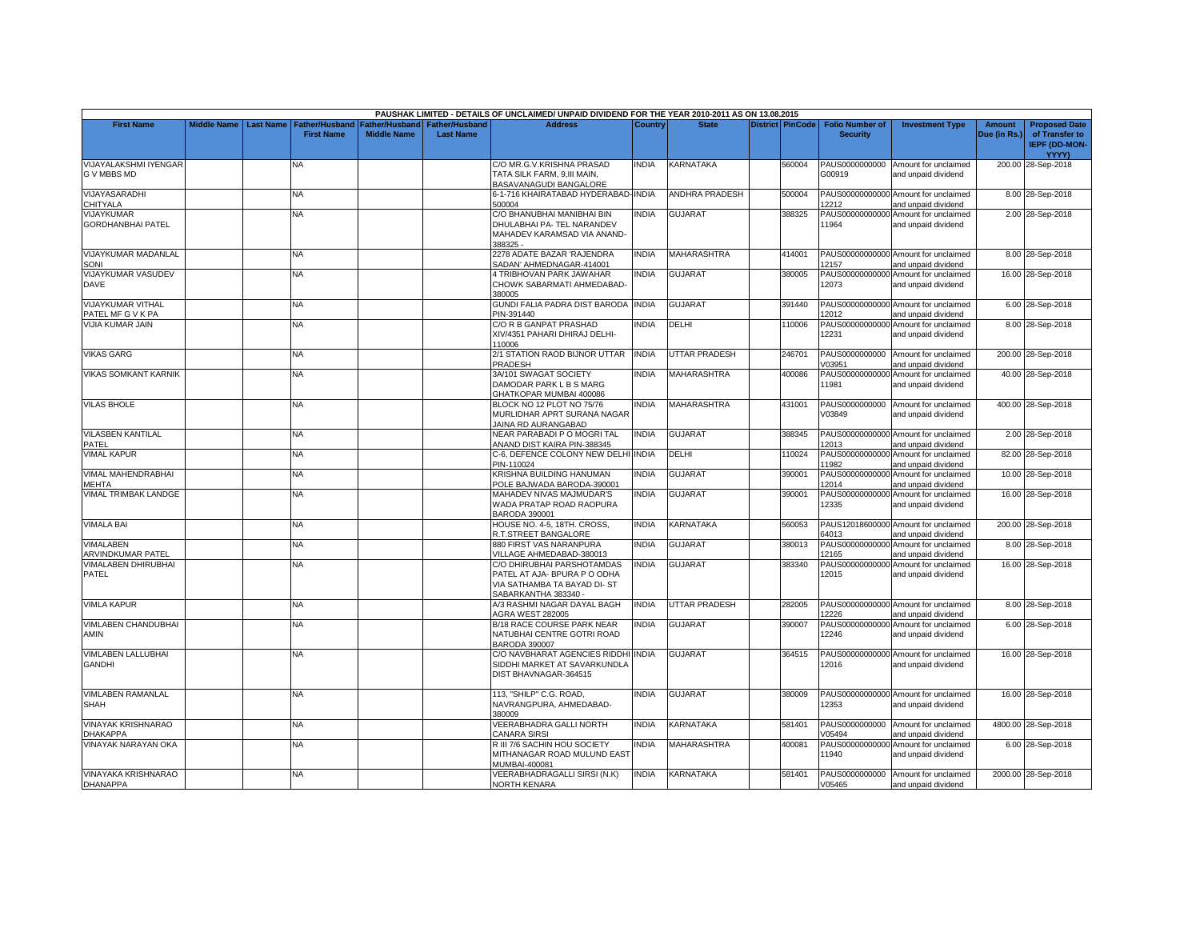|                                               |                    |                  |                                            |                                      |                                    | PAUSHAK LIMITED - DETAILS OF UNCLAIMED/ UNPAID DIVIDEND FOR THE YEAR 2010-2011 AS ON 13.08.2015                    |                |                       |                         |                                           |                                                             |                        |                                                                  |
|-----------------------------------------------|--------------------|------------------|--------------------------------------------|--------------------------------------|------------------------------------|--------------------------------------------------------------------------------------------------------------------|----------------|-----------------------|-------------------------|-------------------------------------------|-------------------------------------------------------------|------------------------|------------------------------------------------------------------|
| <b>First Name</b>                             | <b>Middle Name</b> | <b>Last Name</b> | <b>Father/Husband</b><br><b>First Name</b> | Father/Husband<br><b>Middle Name</b> | Father/Husband<br><b>Last Name</b> | <b>Address</b>                                                                                                     | <b>Country</b> | <b>State</b>          | <b>District PinCode</b> | <b>Folio Number of</b><br><b>Security</b> | <b>Investment Type</b>                                      | Amount<br>Due (in Rs.) | <b>Proposed Date</b><br>of Transfer to<br>IEPF (DD-MON-<br>YYYY) |
| VIJAYALAKSHMI IYENGAR<br>G V MBBS MD          |                    |                  | NA                                         |                                      |                                    | C/O MR.G.V.KRISHNA PRASAD<br>TATA SILK FARM, 9.III MAIN.<br>BASAVANAGUDI BANGALORE                                 | INDIA          | KARNATAKA             | 560004                  | G00919                                    | PAUS0000000000 Amount for unclaimed<br>and unpaid dividend  |                        | 200.00 28-Sep-2018                                               |
| VIJAYASARADHI<br>CHITYALA                     |                    |                  | <b>NA</b>                                  |                                      |                                    | 6-1-716 KHAIRATABAD HYDERABAD-INDIA<br>500004                                                                      |                | <b>ANDHRA PRADESH</b> | 500004                  | 12212                                     | PAUS00000000000 Amount for unclaimed<br>and unpaid dividend |                        | 8.00 28-Sep-2018                                                 |
| VIJAYKUMAR<br><b>GORDHANBHAI PATEL</b>        |                    |                  | ΝA                                         |                                      |                                    | C/O BHANUBHAI MANIBHAI BIN<br>DHULABHAI PA- TEL NARANDEV<br>MAHADEV KARAMSAD VIA ANAND-<br>388325 -                | <b>INDIA</b>   | <b>GUJARAT</b>        | 388325                  | 11964                                     | PAUS00000000000 Amount for unclaimed<br>and unpaid dividend |                        | 2.00 28-Sep-2018                                                 |
| <b>VIJAYKUMAR MADANLAL</b><br>SONI            |                    |                  | NA                                         |                                      |                                    | 2278 ADATE BAZAR 'RAJENDRA<br>SADAN' AHMEDNAGAR-414001                                                             | <b>INDIA</b>   | <b>MAHARASHTRA</b>    | 414001                  | 12157                                     | PAUS00000000000 Amount for unclaimed<br>and unpaid dividend |                        | 8.00 28-Sep-2018                                                 |
| VIJAYKUMAR VASUDEV<br><b>DAVE</b>             |                    |                  | ΝA                                         |                                      |                                    | 4 TRIBHOVAN PARK JAWAHAR<br>CHOWK SABARMATI AHMEDABAD-<br>380005                                                   | <b>INDIA</b>   | <b>GUJARAT</b>        | 380005                  | 12073                                     | PAUS00000000000 Amount for unclaimed<br>and unpaid dividend |                        | 16.00 28-Sep-2018                                                |
| <b>VIJAYKUMAR VITHAL</b><br>PATEL MF G V K PA |                    |                  | <b>NA</b>                                  |                                      |                                    | GUNDI FALIA PADRA DIST BARODA<br>PIN-391440                                                                        | <b>INDIA</b>   | <b>GUJARAT</b>        | 391440                  | 12012                                     | PAUS00000000000 Amount for unclaimed<br>and unpaid dividend |                        | 6.00 28-Sep-2018                                                 |
| <b>VIJIA KUMAR JAIN</b>                       |                    |                  | NA.                                        |                                      |                                    | C/O R B GANPAT PRASHAD<br>XIV/4351 PAHARI DHIRAJ DELHI-<br>110006                                                  | <b>INDIA</b>   | DELHI                 | 110006                  | 12231                                     | PAUS00000000000 Amount for unclaimed<br>and unpaid dividend |                        | 8.00 28-Sep-2018                                                 |
| <b>VIKAS GARG</b>                             |                    |                  | <b>NA</b>                                  |                                      |                                    | 2/1 STATION RAOD BIJNOR UTTAR<br>PRADESH                                                                           | <b>INDIA</b>   | UTTAR PRADESH         | 246701                  | PAUS0000000000<br>V03951                  | Amount for unclaimed<br>and unpaid dividend                 |                        | 200.00 28-Sep-2018                                               |
| <b>VIKAS SOMKANT KARNIK</b>                   |                    |                  | NΑ                                         |                                      |                                    | 3A/101 SWAGAT SOCIETY<br>DAMODAR PARK L B S MARG<br>GHATKOPAR MUMBAI 400086                                        | <b>INDIA</b>   | <b>MAHARASHTRA</b>    | 400086                  | 11981                                     | PAUS00000000000 Amount for unclaimed<br>and unpaid dividend |                        | 40.00 28-Sep-2018                                                |
| <b>VILAS BHOLE</b>                            |                    |                  | <b>NA</b>                                  |                                      |                                    | BLOCK NO 12 PLOT NO 75/76<br>MURLIDHAR APRT SURANA NAGAR<br>JAINA RD AURANGABAD                                    | <b>INDIA</b>   | <b>MAHARASHTRA</b>    | 431001                  | V03849                                    | PAUS0000000000 Amount for unclaimed<br>and unpaid dividend  |                        | 400.00 28-Sep-2018                                               |
| <b>VILASBEN KANTILAL</b><br>PATEL             |                    |                  | ΝA                                         |                                      |                                    | NEAR PARABADI PO MOGRI TAL<br>ANAND DIST KAIRA PIN-388345                                                          | <b>INDIA</b>   | <b>GUJARAT</b>        | 388345                  | 12013                                     | PAUS00000000000 Amount for unclaimed<br>and unpaid dividend |                        | 2.00 28-Sep-2018                                                 |
| <b>VIMAL KAPUR</b>                            |                    |                  | NΑ                                         |                                      |                                    | C-6, DEFENCE COLONY NEW DELH<br>PIN-110024                                                                         | <b>INDIA</b>   | DELHI                 | 110024                  | 11982                                     | PAUS00000000000 Amount for unclaimed<br>and unpaid dividend |                        | 82.00 28-Sep-2018                                                |
| VIMAL MAHENDRABHAI<br>MEHTA                   |                    |                  | NA                                         |                                      |                                    | KRISHNA BUILDING HANUMAN<br>POLE BAJWADA BARODA-390001                                                             | <b>INDIA</b>   | <b>GUJARAT</b>        | 390001                  | 12014                                     | PAUS00000000000 Amount for unclaimed<br>and unpaid dividend |                        | 10.00 28-Sep-2018                                                |
| VIMAL TRIMBAK LANDGE                          |                    |                  | ΝA                                         |                                      |                                    | MAHADEV NIVAS MAJMUDAR'S<br>WADA PRATAP ROAD RAOPURA<br><b>BARODA 390001</b>                                       | <b>INDIA</b>   | GUJARAT               | 390001                  | 12335                                     | PAUS00000000000 Amount for unclaimed<br>and unpaid dividend |                        | 16.00 28-Sep-2018                                                |
| <b>VIMALA BAI</b>                             |                    |                  | <b>NA</b>                                  |                                      |                                    | HOUSE NO. 4-5, 18TH. CROSS,<br>R.T.STREET BANGALORE                                                                | <b>INDIA</b>   | KARNATAKA             | 560053                  | 64013                                     | PAUS12018600000 Amount for unclaimed<br>and unpaid dividend |                        | 200.00 28-Sep-2018                                               |
| <b>VIMALABEN</b><br>ARVINDKUMAR PATEL         |                    |                  | ΝA                                         |                                      |                                    | <b>880 FIRST VAS NARANPURA</b><br>VILLAGE AHMEDABAD-380013                                                         | <b>INDIA</b>   | GUJARAT               | 380013                  | 12165                                     | PAUS00000000000 Amount for unclaimed<br>and unpaid dividend |                        | 8.00 28-Sep-2018                                                 |
| <b>VIMALABEN DHIRUBHAI</b><br>PATEL           |                    |                  | NA                                         |                                      |                                    | C/O DHIRUBHAI PARSHOTAMDAS<br>PATEL AT AJA- BPURA P O ODHA<br>VIA SATHAMBA TA BAYAD DI- ST<br>SABARKANTHA 383340 - | <b>INDIA</b>   | <b>GUJARAT</b>        | 383340                  | 12015                                     | PAUS00000000000 Amount for unclaimed<br>and unpaid dividend |                        | 16.00 28-Sep-2018                                                |
| <b>VIMLA KAPUR</b>                            |                    |                  | <b>NA</b>                                  |                                      |                                    | A/3 RASHMI NAGAR DAYAL BAGH<br>AGRA WEST 282005                                                                    | <b>INDIA</b>   | <b>UTTAR PRADESH</b>  | 282005                  | 12226                                     | PAUS00000000000 Amount for unclaimed<br>and unpaid dividend |                        | 8.00 28-Sep-2018                                                 |
| VIMLABEN CHANDUBHAI<br>AMIN                   |                    |                  | NA                                         |                                      |                                    | B/18 RACE COURSE PARK NEAR<br>NATUBHAI CENTRE GOTRI ROAD<br><b>BARODA 390007</b>                                   | <b>INDIA</b>   | <b>GUJARAT</b>        | 390007                  | 12246                                     | PAUS00000000000 Amount for unclaimed<br>and unpaid dividend |                        | 6.00 28-Sep-2018                                                 |
| VIMLABEN LALLUBHAI<br><b>GANDHI</b>           |                    |                  | ΝA                                         |                                      |                                    | C/O NAVBHARAT AGENCIES RIDDHI INDIA<br>SIDDHI MARKET AT SAVARKUNDLA<br>DIST BHAVNAGAR-364515                       |                | <b>GUJARAT</b>        | 364515                  | 12016                                     | PAUS00000000000 Amount for unclaimed<br>and unpaid dividend |                        | 16.00 28-Sep-2018                                                |
| <b>VIMLABEN RAMANLAL</b><br><b>SHAH</b>       |                    |                  | NA                                         |                                      |                                    | 113. "SHILP" C.G. ROAD.<br>NAVRANGPURA, AHMEDABAD-<br>380009                                                       | <b>INDIA</b>   | <b>GUJARAT</b>        | 380009                  | 12353                                     | PAUS00000000000 Amount for unclaimed<br>and unpaid dividend |                        | 16.00 28-Sep-2018                                                |
| VINAYAK KRISHNARAO<br><b>DHAKAPPA</b>         |                    |                  | NΑ                                         |                                      |                                    | VEERABHADRA GALLI NORTH<br>CANARA SIRSI                                                                            | <b>INDIA</b>   | KARNATAKA             | 581401                  | V05494                                    | PAUS0000000000 Amount for unclaimed<br>and unpaid dividend  |                        | 4800.00 28-Sep-2018                                              |
| VINAYAK NARAYAN OKA                           |                    |                  | NA                                         |                                      |                                    | R III 7/6 SACHIN HOU SOCIETY<br>MITHANAGAR ROAD MULUND EAST<br>MUMBAI-400081                                       | <b>INDIA</b>   | MAHARASHTRA           | 400081                  | 11940                                     | PAUS00000000000 Amount for unclaimed<br>and unpaid dividend |                        | 6.00 28-Sep-2018                                                 |
| <b>VINAYAKA KRISHNARAO</b><br><b>DHANAPPA</b> |                    |                  | NA.                                        |                                      |                                    | VEERABHADRAGALLI SIRSI (N.K)<br><b>NORTH KENARA</b>                                                                | <b>INDIA</b>   | KARNATAKA             | 581401                  | V05465                                    | PAUS0000000000 Amount for unclaimed<br>and unpaid dividend  |                        | 2000.00 28-Sep-2018                                              |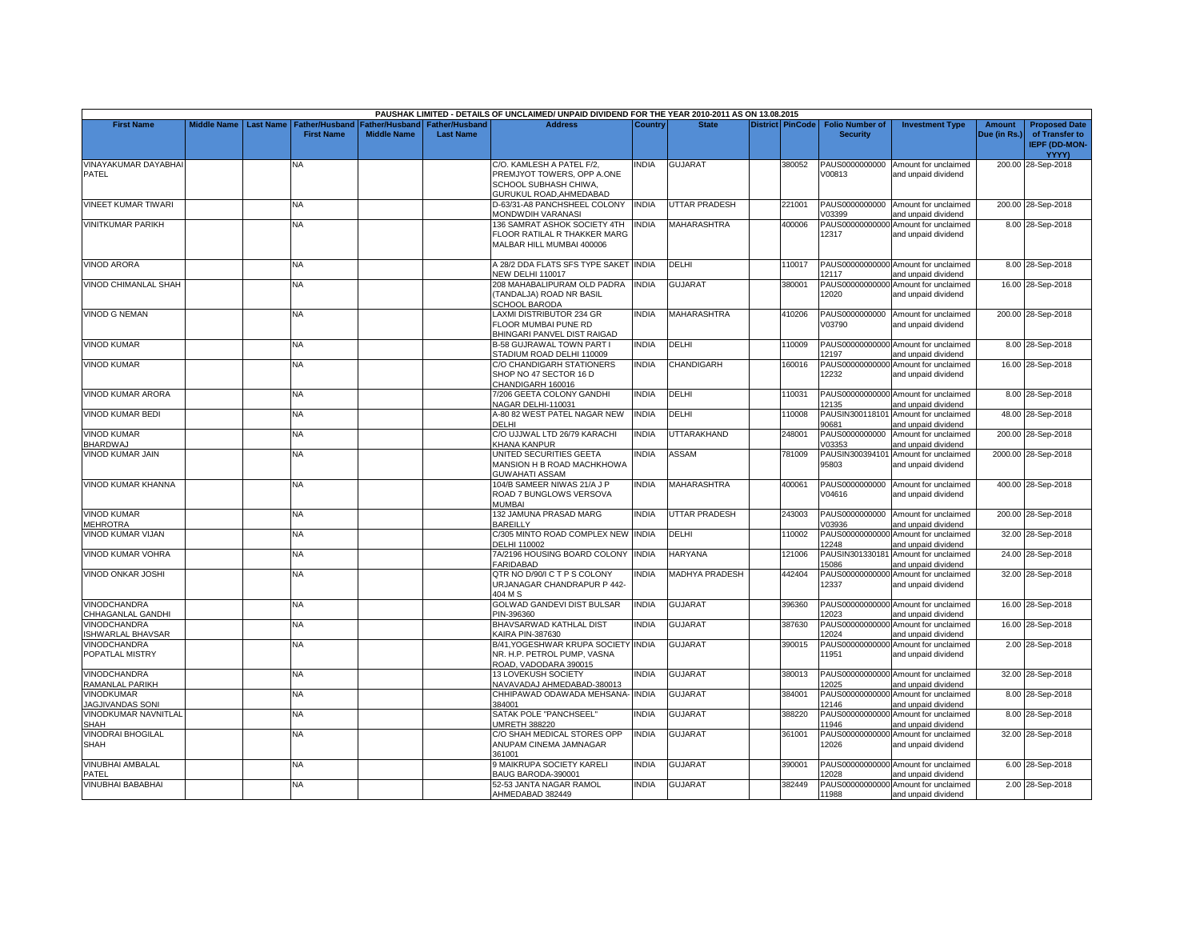| PAUSHAK LIMITED - DETAILS OF UNCLAIMED/ UNPAID DIVIDEND FOR THE YEAR 2010-2011 AS ON 13.08.2015 |                    |                  |                                            |                    |                                                     |                                                                                                             |                |                       |  |                         |                                           |                                                             |                               |                                                                         |
|-------------------------------------------------------------------------------------------------|--------------------|------------------|--------------------------------------------|--------------------|-----------------------------------------------------|-------------------------------------------------------------------------------------------------------------|----------------|-----------------------|--|-------------------------|-------------------------------------------|-------------------------------------------------------------|-------------------------------|-------------------------------------------------------------------------|
| <b>First Name</b>                                                                               | <b>Middle Name</b> | <b>Last Name</b> | <b>Father/Husband</b><br><b>First Name</b> | <b>Middle Name</b> | Father/Husband   Father/Husband<br><b>Last Name</b> | <b>Address</b>                                                                                              | <b>Country</b> | <b>State</b>          |  | <b>District PinCode</b> | <b>Folio Number of</b><br><b>Security</b> | <b>Investment Type</b>                                      | <b>Amount</b><br>Due (in Rs.) | <b>Proposed Date</b><br>of Transfer to<br><b>IEPF (DD-MON-</b><br>YYYY) |
| VINAYAKUMAR DAYABHAI<br>PATEL                                                                   |                    |                  | NA.                                        |                    |                                                     | C/O. KAMLESH A PATEL F/2,<br>PREMJYOT TOWERS, OPP A.ONE<br>SCHOOL SUBHASH CHIWA,<br>GURUKUL ROAD, AHMEDABAD | <b>NDIA</b>    | <b>GUJARAT</b>        |  | 380052                  | V00813                                    | PAUS0000000000 Amount for unclaimed<br>and unpaid dividend  |                               | 200.00 28-Sep-2018                                                      |
| VINEET KUMAR TIWARI                                                                             |                    |                  | <b>NA</b>                                  |                    |                                                     | D-63/31-A8 PANCHSHEEL COLONY<br>MONDWDIH VARANASI                                                           | <b>INDIA</b>   | <b>UTTAR PRADESH</b>  |  | 221001                  | V03399                                    | PAUS0000000000 Amount for unclaimed<br>and unpaid dividend  |                               | 200.00 28-Sep-2018                                                      |
| <b>VINITKUMAR PARIKH</b>                                                                        |                    |                  | <b>NA</b>                                  |                    |                                                     | 136 SAMRAT ASHOK SOCIETY 4TH<br>FLOOR RATILAL R THAKKER MARG<br>MALBAR HILL MUMBAI 400006                   | <b>INDIA</b>   | <b>MAHARASHTRA</b>    |  | 400006                  | 12317                                     | PAUS00000000000 Amount for unclaimed<br>and unpaid dividend |                               | 8.00 28-Sep-2018                                                        |
| <b>VINOD ARORA</b>                                                                              |                    |                  | NA                                         |                    |                                                     | A 28/2 DDA FLATS SFS TYPE SAKET INDIA<br>NEW DELHI 110017                                                   |                | DELHI                 |  | 110017                  | 12117                                     | PAUS00000000000 Amount for unclaimed<br>and unpaid dividend |                               | 8.00 28-Sep-2018                                                        |
| VINOD CHIMANLAL SHAH                                                                            |                    |                  | <b>NA</b>                                  |                    |                                                     | 208 MAHABALIPURAM OLD PADRA<br>(TANDALJA) ROAD NR BASIL<br>SCHOOL BARODA                                    | <b>NDIA</b>    | <b>GUJARAT</b>        |  | 380001                  | 12020                                     | PAUS00000000000 Amount for unclaimed<br>and unpaid dividend |                               | 16.00 28-Sep-2018                                                       |
| <b>VINOD G NEMAN</b>                                                                            |                    |                  | NA.                                        |                    |                                                     | LAXMI DISTRIBUTOR 234 GR<br>FLOOR MUMBAI PUNE RD<br>BHINGARI PANVEL DIST RAIGAD                             | <b>NDIA</b>    | MAHARASHTRA           |  | 410206                  | V03790                                    | PAUS0000000000 Amount for unclaimed<br>and unpaid dividend  |                               | 200.00 28-Sep-2018                                                      |
| <b>VINOD KUMAR</b>                                                                              |                    |                  | <b>NA</b>                                  |                    |                                                     | B-58 GUJRAWAL TOWN PART I<br>STADIUM ROAD DELHI 110009                                                      | <b>INDIA</b>   | DELHI                 |  | 110009                  | 12197                                     | PAUS00000000000 Amount for unclaimed<br>and unpaid dividend |                               | 8.00 28-Sep-2018                                                        |
| <b>VINOD KUMAR</b>                                                                              |                    |                  | NA                                         |                    |                                                     | C/O CHANDIGARH STATIONERS<br>SHOP NO 47 SECTOR 16 D<br>CHANDIGARH 160016                                    | INDIA          | CHANDIGARH            |  | 160016                  | 12232                                     | PAUS00000000000 Amount for unclaimed<br>and unpaid dividend |                               | 16.00 28-Sep-2018                                                       |
| <b>VINOD KUMAR ARORA</b>                                                                        |                    |                  | <b>NA</b>                                  |                    |                                                     | 7/206 GEETA COLONY GANDHI<br>NAGAR DELHI-110031                                                             | <b>INDIA</b>   | <b>DELHI</b>          |  | 110031                  | 12135                                     | PAUS00000000000 Amount for unclaimed<br>and unpaid dividend |                               | 8.00 28-Sep-2018                                                        |
| <b>VINOD KUMAR BEDI</b>                                                                         |                    |                  | NA                                         |                    |                                                     | A-80 82 WEST PATEL NAGAR NEW<br>DELHI                                                                       | <b>NDIA</b>    | DELHI                 |  | 110008                  | 90681                                     | PAUSIN300118101 Amount for unclaimed<br>and unpaid dividend |                               | 48.00 28-Sep-2018                                                       |
| <b>VINOD KUMAR</b><br><b>BHARDWAJ</b>                                                           |                    |                  | NA                                         |                    |                                                     | C/O UJJWAL LTD 26/79 KARACHI<br>KHANA KANPUR                                                                | <b>NDIA</b>    | <b>JTTARAKHAND</b>    |  | 248001                  | PAUS0000000000<br>V03353                  | Amount for unclaimed<br>and unpaid dividend                 |                               | 200.00 28-Sep-2018                                                      |
| <b>VINOD KUMAR JAIN</b>                                                                         |                    |                  | <b>NA</b>                                  |                    |                                                     | UNITED SECURITIES GEETA<br>MANSION H B ROAD MACHKHOWA<br><b>GUWAHATI ASSAM</b>                              | <b>INDIA</b>   | <b>ASSAM</b>          |  | 781009                  | 95803                                     | PAUSIN300394101 Amount for unclaimed<br>and unpaid dividend |                               | 2000.00 28-Sep-2018                                                     |
| VINOD KUMAR KHANNA                                                                              |                    |                  | <b>NA</b>                                  |                    |                                                     | 104/B SAMEER NIWAS 21/A J P<br>ROAD 7 BUNGLOWS VERSOVA<br><b>MUMBAI</b>                                     | <b>INDIA</b>   | <b>MAHARASHTRA</b>    |  | 400061                  | V04616                                    | PAUS0000000000 Amount for unclaimed<br>and unpaid dividend  |                               | 400.00 28-Sep-2018                                                      |
| <b>VINOD KUMAR</b><br><b>MEHROTRA</b>                                                           |                    |                  | NA                                         |                    |                                                     | 132 JAMUNA PRASAD MARG<br>BAREILLY                                                                          | INDIA          | UTTAR PRADESH         |  | 243003                  | V03936                                    | PAUS0000000000 Amount for unclaimed<br>and unpaid dividend  |                               | 200.00 28-Sep-2018                                                      |
| <b>VINOD KUMAR VIJAN</b>                                                                        |                    |                  | NA                                         |                    |                                                     | C/305 MINTO ROAD COMPLEX NEW INDIA<br>DELHI 110002                                                          |                | DELHI                 |  | 110002                  | 12248                                     | PAUS00000000000 Amount for unclaimed<br>and unpaid dividend |                               | 32.00 28-Sep-2018                                                       |
| VINOD KUMAR VOHRA                                                                               |                    |                  | <b>NA</b>                                  |                    |                                                     | 7A/2196 HOUSING BOARD COLONY<br>FARIDABAD                                                                   | <b>INDIA</b>   | <b>HARYANA</b>        |  | 121006                  | PAUSIN301330181<br>15086                  | Amount for unclaimed<br>and unpaid dividend                 |                               | 24.00 28-Sep-2018                                                       |
| <b>VINOD ONKAR JOSHI</b>                                                                        |                    |                  | <b>NA</b>                                  |                    |                                                     | QTR NO D/90/I C T P S COLONY<br>URJANAGAR CHANDRAPUR P 442-<br>404 M S                                      | <b>INDIA</b>   | <b>MADHYA PRADESH</b> |  | 442404                  | 12337                                     | PAUS00000000000 Amount for unclaimed<br>and unpaid dividend |                               | 32.00 28-Sep-2018                                                       |
| <b>VINODCHANDRA</b><br>CHHAGANLAL GANDHI                                                        |                    |                  | <b>NA</b>                                  |                    |                                                     | GOLWAD GANDEVI DIST BULSAR<br>PIN-396360                                                                    | <b>INDIA</b>   | <b>GUJARAT</b>        |  | 396360                  | 12023                                     | PAUS00000000000 Amount for unclaimed<br>and unpaid dividend |                               | 16.00 28-Sep-2018                                                       |
| VINODCHANDRA<br><b>SHWARLAL BHAVSAR</b>                                                         |                    |                  | NA                                         |                    |                                                     | BHAVSARWAD KATHLAL DIST<br>KAIRA PIN-387630                                                                 | INDIA          | <b>GUJARAT</b>        |  | 387630                  | PAUS00000000000<br>12024                  | Amount for unclaimed<br>and unpaid dividend                 |                               | 16.00 28-Sep-2018                                                       |
| VINODCHANDRA<br>POPATLAL MISTRY                                                                 |                    |                  | <b>NA</b>                                  |                    |                                                     | B/41, YOGESHWAR KRUPA SOCIETY<br>NR. H.P. PETROL PUMP, VASNA<br>ROAD, VADODARA 390015                       | <b>INDIA</b>   | <b>GUJARAT</b>        |  | 390015                  | 11951                                     | PAUS00000000000 Amount for unclaimed<br>and unpaid dividend |                               | 2.00 28-Sep-2018                                                        |
| <b>VINODCHANDRA</b><br>RAMANLAL PARIKH                                                          |                    |                  | <b>NA</b>                                  |                    |                                                     | <b>13 LOVEKUSH SOCIETY</b><br>NAVAVADAJ AHMEDABAD-380013                                                    | <b>NDIA</b>    | <b>GUJARAT</b>        |  | 380013                  | 12025                                     | PAUS00000000000 Amount for unclaimed<br>and unpaid dividend |                               | 32.00 28-Sep-2018                                                       |
| <b>VINODKUMAR</b><br><b>JAGJIVANDAS SONI</b>                                                    |                    |                  | NA                                         |                    |                                                     | CHHIPAWAD ODAWADA MEHSANA- INDIA<br>384001                                                                  |                | GUJARAT               |  | 384001                  | 12146                                     | PAUS00000000000 Amount for unclaimed<br>and unpaid dividend |                               | 8.00 28-Sep-2018                                                        |
| <b>VINODKUMAR NAVNITLAL</b><br>SHAH                                                             |                    |                  | NA.                                        |                    |                                                     | SATAK POLE "PANCHSEEL"<br>UMRETH 388220                                                                     | INDIA          | GUJARAT               |  | 388220                  | PAUS00000000000<br>11946                  | Amount for unclaimed<br>and unpaid dividend                 |                               | 8.00 28-Sep-2018                                                        |
| VINODRAI BHOGILAL<br><b>SHAH</b>                                                                |                    |                  | <b>NA</b>                                  |                    |                                                     | C/O SHAH MEDICAL STORES OPP<br>ANUPAM CINEMA JAMNAGAR<br>361001                                             | <b>INDIA</b>   | GUJARAT               |  | 361001                  | PAUS00000000000<br>12026                  | Amount for unclaimed<br>and unpaid dividend                 |                               | 32.00 28-Sep-2018                                                       |
| <b>VINUBHAI AMBALAL</b><br>PATEL                                                                |                    |                  | NA.                                        |                    |                                                     | 9 MAIKRUPA SOCIETY KARELI<br>BAUG BARODA-390001                                                             | INDIA          | <b>GUJARAT</b>        |  | 390001                  | 12028                                     | PAUS00000000000 Amount for unclaimed<br>and unpaid dividend |                               | 6.00 28-Sep-2018                                                        |
| <b>VINUBHAI BABABHAI</b>                                                                        |                    |                  | <b>NA</b>                                  |                    |                                                     | 52-53 JANTA NAGAR RAMOL<br>AHMEDABAD 382449                                                                 | <b>INDIA</b>   | <b>GUJARAT</b>        |  | 382449                  | 11988                                     | PAUS00000000000 Amount for unclaimed<br>and unpaid dividend |                               | 2.00 28-Sep-2018                                                        |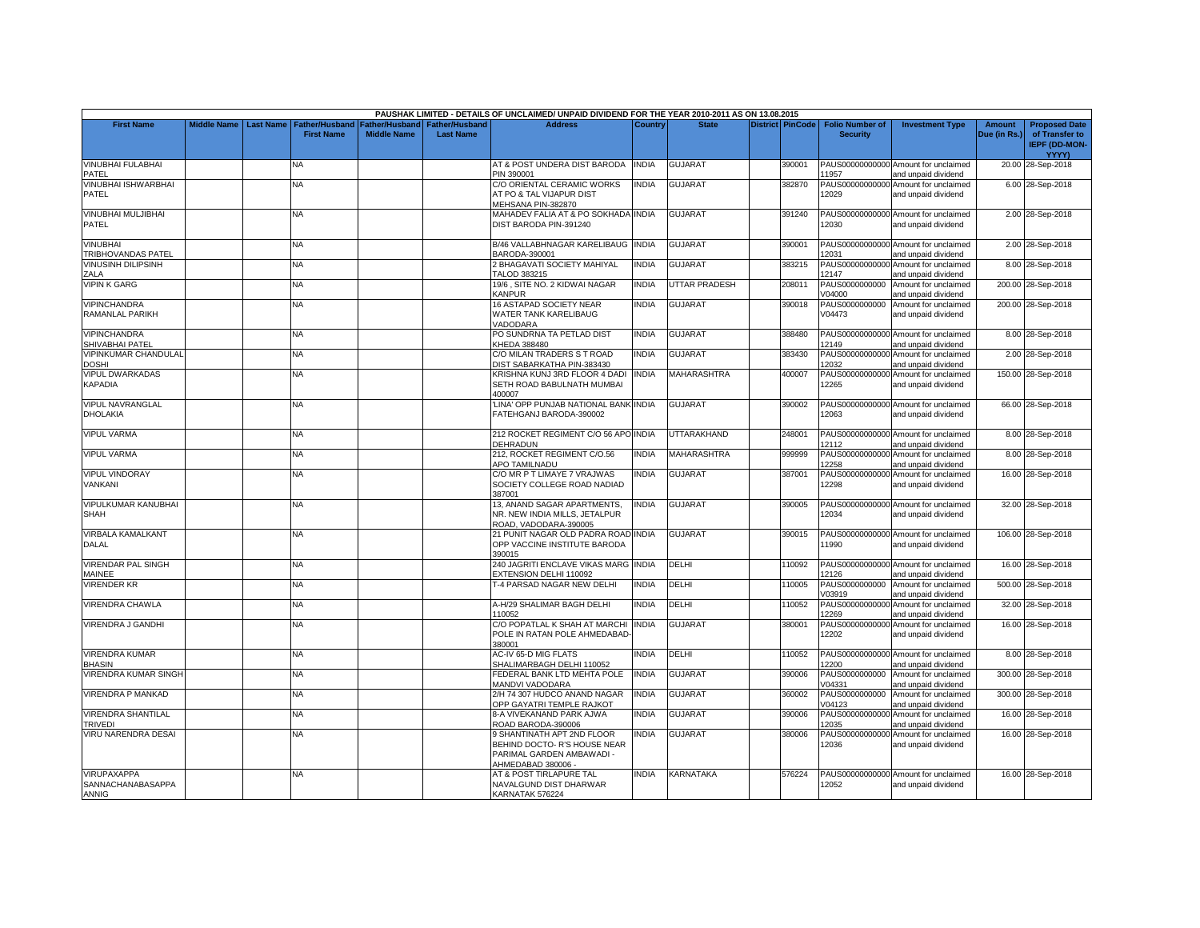| PAUSHAK LIMITED - DETAILS OF UNCLAIMED/ UNPAID DIVIDEND FOR THE YEAR 2010-2011 AS ON 13.08.2015 |                    |           |                                            |                                      |                                           |                                                            |              |                      |  |                         |                                           |                                                             |                               |                                                                |
|-------------------------------------------------------------------------------------------------|--------------------|-----------|--------------------------------------------|--------------------------------------|-------------------------------------------|------------------------------------------------------------|--------------|----------------------|--|-------------------------|-------------------------------------------|-------------------------------------------------------------|-------------------------------|----------------------------------------------------------------|
| <b>First Name</b>                                                                               | <b>Middle Name</b> | Last Name | <b>Father/Husband</b><br><b>First Name</b> | Father/Husband<br><b>Middle Name</b> | <b>Father/Husband</b><br><b>Last Name</b> | <b>Address</b>                                             | Country      | <b>State</b>         |  | <b>District PinCode</b> | <b>Folio Number of</b><br><b>Security</b> | <b>Investment Type</b>                                      | <b>Amount</b><br>Due (in Rs.) | <b>Proposed Date</b><br>of Transfer to<br><b>IEPF (DD-MON-</b> |
|                                                                                                 |                    |           |                                            |                                      |                                           |                                                            |              |                      |  |                         |                                           |                                                             |                               | YYYY)                                                          |
| VINUBHAI FULABHAI                                                                               |                    |           | NA                                         |                                      |                                           | AT & POST UNDERA DIST BARODA INDIA                         |              | <b>GUJARAT</b>       |  | 390001                  |                                           | PAUS00000000000 Amount for unclaimed                        |                               | 20.00 28-Sep-2018                                              |
| PATEL<br>VINUBHAI ISHWARBHAI                                                                    |                    |           | <b>NA</b>                                  |                                      |                                           | PIN 390001<br>C/O ORIENTAL CERAMIC WORKS                   | <b>INDIA</b> | GUJARAT              |  | 382870                  | 11957                                     | and unpaid dividend<br>PAUS00000000000 Amount for unclaimed |                               | 6.00 28-Sep-2018                                               |
| PATEL                                                                                           |                    |           |                                            |                                      |                                           | AT PO & TAL VIJAPUR DIST                                   |              |                      |  |                         | 12029                                     | and unpaid dividend                                         |                               |                                                                |
|                                                                                                 |                    |           |                                            |                                      |                                           | MEHSANA PIN-382870                                         |              |                      |  |                         |                                           |                                                             |                               |                                                                |
| VINUBHAI MULJIBHAI                                                                              |                    |           | NA                                         |                                      |                                           | MAHADEV FALIA AT & PO SOKHADA INDIA                        |              | <b>GUJARAT</b>       |  | 391240                  |                                           | PAUS00000000000 Amount for unclaimed                        |                               | 2.00 28-Sep-2018                                               |
| PATEL                                                                                           |                    |           |                                            |                                      |                                           | DIST BARODA PIN-391240                                     |              |                      |  |                         | 12030                                     | and unpaid dividend                                         |                               |                                                                |
|                                                                                                 |                    |           |                                            |                                      |                                           |                                                            |              |                      |  |                         |                                           |                                                             |                               |                                                                |
| <b>VINUBHAI</b><br>TRIBHOVANDAS PATEL                                                           |                    |           | <b>NA</b>                                  |                                      |                                           | B/46 VALLABHNAGAR KARELIBAUG INDIA<br>BARODA-390001        |              | GUJARAT              |  | 390001                  | 12031                                     | PAUS00000000000 Amount for unclaimed<br>and unpaid dividend |                               | 2.00 28-Sep-2018                                               |
| <b>VINUSINH DILIPSINH</b>                                                                       |                    |           | NA                                         |                                      |                                           | 2 BHAGAVATI SOCIETY MAHIYAL                                | <b>INDIA</b> | <b>GUJARAT</b>       |  | 383215                  |                                           | PAUS00000000000 Amount for unclaimed                        |                               | 8.00 28-Sep-2018                                               |
| ZALA                                                                                            |                    |           |                                            |                                      |                                           | TALOD 383215                                               |              |                      |  |                         | 12147                                     | and unpaid dividend                                         |                               |                                                                |
| <b>VIPIN K GARG</b>                                                                             |                    |           | NA                                         |                                      |                                           | 19/6, SITE NO. 2 KIDWAI NAGAR                              | <b>INDIA</b> | <b>UTTAR PRADESH</b> |  | 208011                  | PAUS0000000000                            | Amount for unclaimed                                        |                               | 200.00 28-Sep-2018                                             |
|                                                                                                 |                    |           |                                            |                                      |                                           | KANPUR                                                     |              |                      |  |                         | V04000                                    | and unpaid dividend                                         |                               |                                                                |
| VIPINCHANDRA                                                                                    |                    |           | <b>NA</b>                                  |                                      |                                           | 16 ASTAPAD SOCIETY NEAR                                    | <b>INDIA</b> | <b>GUJARAT</b>       |  | 390018                  | PAUS0000000000                            | Amount for unclaimed                                        |                               | 200.00 28-Sep-2018                                             |
| RAMANLAL PARIKH                                                                                 |                    |           |                                            |                                      |                                           | WATER TANK KARELIBAUG<br>VADODARA                          |              |                      |  |                         | V04473                                    | and unpaid dividend                                         |                               |                                                                |
| <b>VIPINCHANDRA</b>                                                                             |                    |           | <b>NA</b>                                  |                                      |                                           | PO SUNDRNA TA PETLAD DIST                                  | <b>INDIA</b> | <b>GUJARAT</b>       |  | 388480                  |                                           | PAUS00000000000 Amount for unclaimed                        |                               | 8.00 28-Sep-2018                                               |
| SHIVABHAI PATEL                                                                                 |                    |           |                                            |                                      |                                           | <b>CHEDA 388480</b>                                        |              |                      |  |                         | 12149                                     | and unpaid dividend                                         |                               |                                                                |
| VIPINKUMAR CHANDULAL                                                                            |                    |           | NA                                         |                                      |                                           | C/O MILAN TRADERS S T ROAD                                 | <b>INDIA</b> | GUJARAT              |  | 383430                  |                                           | PAUS00000000000 Amount for unclaimed                        |                               | 2.00 28-Sep-2018                                               |
| DOSHI                                                                                           |                    |           |                                            |                                      |                                           | DIST SABARKATHA PIN-383430                                 |              |                      |  |                         | 12032                                     | and unpaid dividend                                         |                               |                                                                |
| <b>VIPUL DWARKADAS</b>                                                                          |                    |           | NA                                         |                                      |                                           | KRISHNA KUNJ 3RD FLOOR 4 DADI                              | <b>INDIA</b> | MAHARASHTRA          |  | 400007                  |                                           | PAUS00000000000 Amount for unclaimed                        |                               | 150.00 28-Sep-2018                                             |
| KAPADIA                                                                                         |                    |           |                                            |                                      |                                           | SETH ROAD BABULNATH MUMBAI                                 |              |                      |  |                         | 12265                                     | and unpaid dividend                                         |                               |                                                                |
| <b>VIPUL NAVRANGLAL</b>                                                                         |                    |           | <b>NA</b>                                  |                                      |                                           | 400007<br>LINA' OPP PUNJAB NATIONAL BANK INDIA             |              | <b>GUJARAT</b>       |  | 390002                  |                                           | PAUS00000000000 Amount for unclaimed                        |                               | 66.00 28-Sep-2018                                              |
| <b>DHOLAKIA</b>                                                                                 |                    |           |                                            |                                      |                                           | FATEHGANJ BARODA-390002                                    |              |                      |  |                         | 12063                                     | and unpaid dividend                                         |                               |                                                                |
|                                                                                                 |                    |           |                                            |                                      |                                           |                                                            |              |                      |  |                         |                                           |                                                             |                               |                                                                |
| <b>VIPUL VARMA</b>                                                                              |                    |           | <b>NA</b>                                  |                                      |                                           | 212 ROCKET REGIMENT C/O 56 APO INDIA                       |              | <b>UTTARAKHAND</b>   |  | 248001                  |                                           | PAUS00000000000 Amount for unclaimed                        |                               | 8.00 28-Sep-2018                                               |
|                                                                                                 |                    |           |                                            |                                      |                                           | DEHRADUN                                                   |              |                      |  |                         | 12112                                     | and unpaid dividend                                         |                               |                                                                |
| <b>VIPUL VARMA</b>                                                                              |                    |           | <b>NA</b>                                  |                                      |                                           | 212, ROCKET REGIMENT C/O.56                                | <b>INDIA</b> | MAHARASHTRA          |  | 999999                  |                                           | PAUS00000000000 Amount for unclaimed                        |                               | 8.00 28-Sep-2018                                               |
|                                                                                                 |                    |           |                                            |                                      |                                           | <b>APO TAMILNADU</b>                                       |              |                      |  |                         | 12258                                     | and unpaid dividend                                         |                               |                                                                |
| <b>VIPUL VINDORAY</b><br>VANKANI                                                                |                    |           | <b>NA</b>                                  |                                      |                                           | C/O MR P T LIMAYE 7 VRAJWAS<br>SOCIETY COLLEGE ROAD NADIAD | <b>INDIA</b> | GUJARAT              |  | 387001                  | 12298                                     | PAUS00000000000 Amount for unclaimed<br>and unpaid dividend |                               | 16.00 28-Sep-2018                                              |
|                                                                                                 |                    |           |                                            |                                      |                                           | 387001                                                     |              |                      |  |                         |                                           |                                                             |                               |                                                                |
| VIPULKUMAR KANUBHAI                                                                             |                    |           | <b>NA</b>                                  |                                      |                                           | 13, ANAND SAGAR APARTMENTS,                                | <b>INDIA</b> | <b>GUJARAT</b>       |  | 390005                  |                                           | PAUS00000000000 Amount for unclaimed                        |                               | 32.00 28-Sep-2018                                              |
| SHAH                                                                                            |                    |           |                                            |                                      |                                           | NR. NEW INDIA MILLS, JETALPUR                              |              |                      |  |                         | 12034                                     | and unpaid dividend                                         |                               |                                                                |
|                                                                                                 |                    |           |                                            |                                      |                                           | ROAD, VADODARA-390005                                      |              |                      |  |                         |                                           |                                                             |                               |                                                                |
| VIRBALA KAMALKANT                                                                               |                    |           | NA                                         |                                      |                                           | 21 PUNIT NAGAR OLD PADRA ROAD INDIA                        |              | <b>GUJARAT</b>       |  | 390015                  |                                           | PAUS00000000000 Amount for unclaimed                        |                               | 106.00 28-Sep-2018                                             |
| DALAL                                                                                           |                    |           |                                            |                                      |                                           | OPP VACCINE INSTITUTE BARODA<br>390015                     |              |                      |  |                         | 11990                                     | and unpaid dividend                                         |                               |                                                                |
| <b>VIRENDAR PAL SINGH</b>                                                                       |                    |           | <b>NA</b>                                  |                                      |                                           | 240 JAGRITI ENCLAVE VIKAS MARG INDIA                       |              | DELHI                |  | 110092                  |                                           | PAUS00000000000 Amount for unclaimed                        |                               | 16.00 28-Sep-2018                                              |
| MAINEE                                                                                          |                    |           |                                            |                                      |                                           | EXTENSION DELHI 110092                                     |              |                      |  |                         | 12126                                     | and unpaid dividend                                         |                               |                                                                |
| <b>VIRENDER KR</b>                                                                              |                    |           | NA                                         |                                      |                                           | -4 PARSAD NAGAR NEW DELHI                                  | <b>INDIA</b> | DELHI                |  | 110005                  | PAUS0000000000                            | Amount for unclaimed                                        |                               | 500.00 28-Sep-2018                                             |
|                                                                                                 |                    |           |                                            |                                      |                                           |                                                            |              |                      |  |                         | V03919                                    | and unpaid dividend                                         |                               |                                                                |
| VIRENDRA CHAWLA                                                                                 |                    |           | <b>NA</b>                                  |                                      |                                           | A-H/29 SHALIMAR BAGH DELHI<br>110052                       | <b>INDIA</b> | DELHI                |  | 110052                  | PAUS00000000000<br>12269                  | Amount for unclaimed<br>and unpaid dividend                 |                               | 32.00 28-Sep-2018                                              |
| VIRENDRA J GANDHI                                                                               |                    |           | <b>NA</b>                                  |                                      |                                           | C/O POPATLAL K SHAH AT MARCHI INDIA                        |              | <b>GUJARAT</b>       |  | 380001                  |                                           | PAUS00000000000 Amount for unclaimed                        |                               | 16.00 28-Sep-2018                                              |
|                                                                                                 |                    |           |                                            |                                      |                                           | POLE IN RATAN POLE AHMEDABAD-                              |              |                      |  |                         | 12202                                     | and unpaid dividend                                         |                               |                                                                |
|                                                                                                 |                    |           |                                            |                                      |                                           | 380001                                                     |              |                      |  |                         |                                           |                                                             |                               |                                                                |
| VIRENDRA KUMAR                                                                                  |                    |           | NA                                         |                                      |                                           | AC-IV 65-D MIG FLATS                                       | <b>INDIA</b> | DELHI                |  | 110052                  |                                           | PAUS00000000000 Amount for unclaimed                        |                               | 8.00 28-Sep-2018                                               |
| <b>BHASIN</b>                                                                                   |                    |           |                                            |                                      |                                           | SHALIMARBAGH DELHI 110052                                  |              |                      |  |                         | 12200                                     | and unpaid dividend                                         |                               |                                                                |
| VIRENDRA KUMAR SINGH                                                                            |                    |           | <b>NA</b>                                  |                                      |                                           | <b>EDERAL BANK LTD MEHTA POLE</b>                          | <b>INDIA</b> | GUJARAT              |  | 390006                  | PAUS0000000000                            | Amount for unclaimed                                        |                               | 300.00 28-Sep-2018                                             |
| VIRENDRA P MANKAD                                                                               |                    |           | NA                                         |                                      |                                           | MANDVI VADODARA<br>2/H 74 307 HUDCO ANAND NAGAR            | <b>INDIA</b> | GUJARAT              |  | 360002                  | V04331<br>PAUS0000000000                  | and unpaid dividend<br>Amount for unclaimed                 |                               | 300.00 28-Sep-2018                                             |
|                                                                                                 |                    |           |                                            |                                      |                                           | OPP GAYATRI TEMPLE RAJKOT                                  |              |                      |  |                         | V04123                                    | and unpaid dividend                                         |                               |                                                                |
| VIRENDRA SHANTILAL                                                                              |                    |           | NA.                                        |                                      |                                           | 8-A VIVEKANAND PARK AJWA                                   | <b>INDIA</b> | GUJARAT              |  | 390006                  |                                           | PAUS00000000000 Amount for unclaimed                        |                               | 16.00 28-Sep-2018                                              |
| TRIVEDI                                                                                         |                    |           |                                            |                                      |                                           | ROAD BARODA-390006                                         |              |                      |  |                         | 12035                                     | and unpaid dividend                                         |                               |                                                                |
| VIRU NARENDRA DESAI                                                                             |                    |           | NA                                         |                                      |                                           | 9 SHANTINATH APT 2ND FLOOR                                 | <b>INDIA</b> | <b>GUJARAT</b>       |  | 380006                  |                                           | PAUS00000000000 Amount for unclaimed                        |                               | 16.00 28-Sep-2018                                              |
|                                                                                                 |                    |           |                                            |                                      |                                           | BEHIND DOCTO- R'S HOUSE NEAR                               |              |                      |  |                         | 12036                                     | and unpaid dividend                                         |                               |                                                                |
|                                                                                                 |                    |           |                                            |                                      |                                           | PARIMAL GARDEN AMBAWADI -<br>AHMEDABAD 380006              |              |                      |  |                         |                                           |                                                             |                               |                                                                |
| VIRUPAXAPPA                                                                                     |                    |           | NA                                         |                                      |                                           | AT & POST TIRLAPURE TAL                                    | <b>INDIA</b> | KARNATAKA            |  | 576224                  |                                           | PAUS00000000000 Amount for unclaimed                        |                               | 16.00 28-Sep-2018                                              |
| SANNACHANABASAPPA                                                                               |                    |           |                                            |                                      |                                           | NAVALGUND DIST DHARWAR                                     |              |                      |  |                         | 12052                                     | and unpaid dividend                                         |                               |                                                                |
| ANNIG                                                                                           |                    |           |                                            |                                      |                                           | KARNATAK 576224                                            |              |                      |  |                         |                                           |                                                             |                               |                                                                |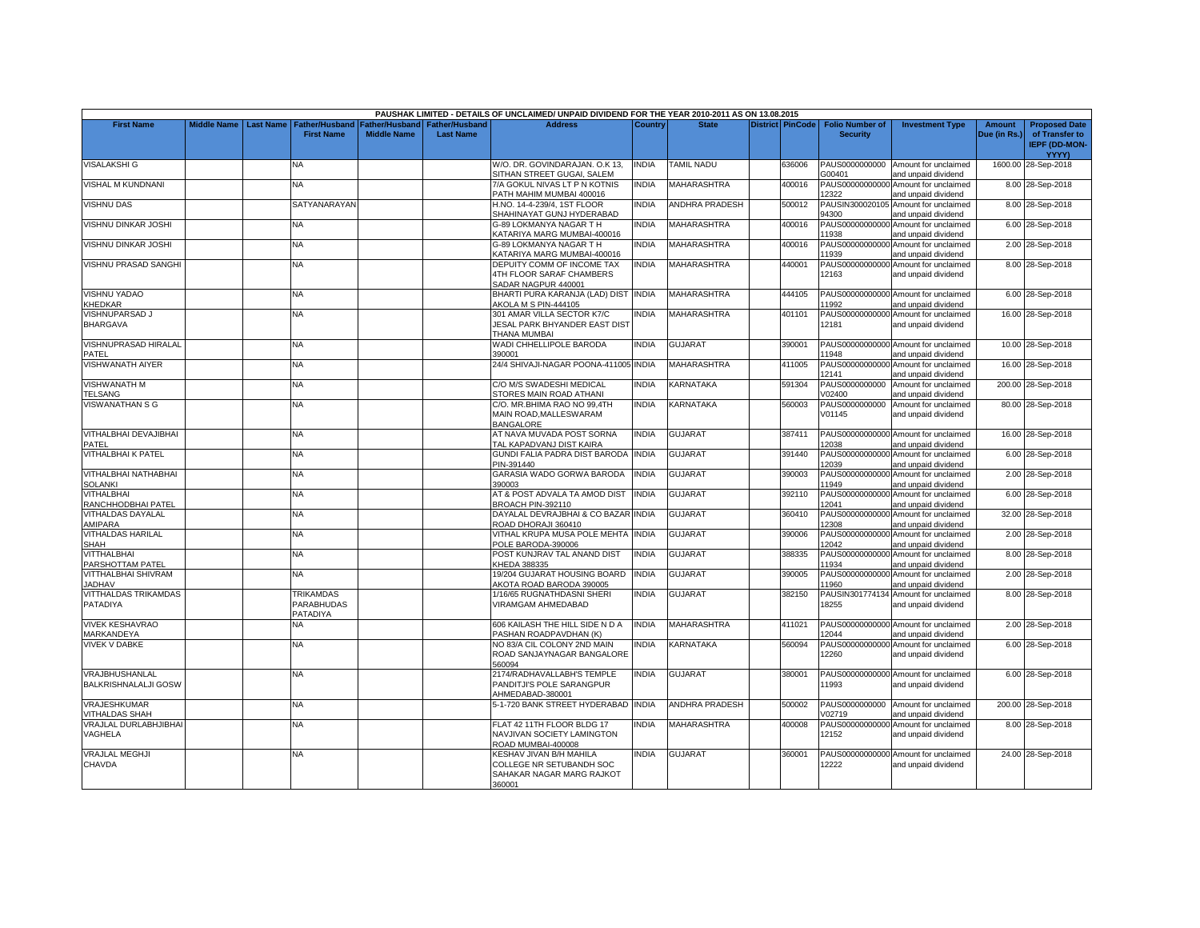| PAUSHAK LIMITED - DETAILS OF UNCLAIMED/ UNPAID DIVIDEND FOR THE YEAR 2010-2011 AS ON 13.08.2015 |                         |  |                   |                                        |                  |                                       |              |                       |  |                         |                        |                                      |               |                      |
|-------------------------------------------------------------------------------------------------|-------------------------|--|-------------------|----------------------------------------|------------------|---------------------------------------|--------------|-----------------------|--|-------------------------|------------------------|--------------------------------------|---------------|----------------------|
| <b>First Name</b>                                                                               | Middle Name   Last Name |  | Father/Husband    | <b>Father/Husband   Father/Husband</b> |                  | <b>Address</b>                        | Country      | <b>State</b>          |  | <b>District PinCode</b> | <b>Folio Number of</b> | <b>Investment Type</b>               | <b>Amount</b> | <b>Proposed Date</b> |
|                                                                                                 |                         |  | <b>First Name</b> | <b>Middle Name</b>                     | <b>Last Name</b> |                                       |              |                       |  |                         | <b>Security</b>        |                                      | Due (in Rs.)  | of Transfer to       |
|                                                                                                 |                         |  |                   |                                        |                  |                                       |              |                       |  |                         |                        |                                      |               | <b>IEPF (DD-MON-</b> |
|                                                                                                 |                         |  |                   |                                        |                  |                                       |              |                       |  |                         |                        |                                      |               | <b>YYYY)</b>         |
| <b>VISALAKSHI G</b>                                                                             |                         |  | <b>NA</b>         |                                        |                  | W/O. DR. GOVINDARAJAN, O.K 13.        | <b>INDIA</b> | <b>TAMIL NADU</b>     |  | 636006                  |                        | PAUS0000000000 Amount for unclaimed  |               | 1600.00 28-Sep-2018  |
|                                                                                                 |                         |  |                   |                                        |                  | SITHAN STREET GUGAI, SALEM            |              |                       |  |                         | G00401                 | and unpaid dividend                  |               |                      |
| VISHAL M KUNDNANI                                                                               |                         |  | NA.               |                                        |                  | 7/A GOKUL NIVAS LT P N KOTNIS         | <b>INDIA</b> | <b>MAHARASHTRA</b>    |  | 400016                  | PAUS00000000000        | Amount for unclaimed                 |               | 8.00 28-Sep-2018     |
|                                                                                                 |                         |  |                   |                                        |                  | PATH MAHIM MUMBAI 400016              |              |                       |  |                         | 12322                  | and unpaid dividend                  |               |                      |
| <b>VISHNU DAS</b>                                                                               |                         |  | SATYANARAYAN      |                                        |                  | H.NO. 14-4-239/4, 1ST FLOOR           | <b>INDIA</b> | ANDHRA PRADESH        |  | 500012                  |                        | PAUSIN300020105 Amount for unclaimed |               | 8.00 28-Sep-2018     |
|                                                                                                 |                         |  |                   |                                        |                  | SHAHINAYAT GUNJ HYDERABAD             |              |                       |  |                         | 94300                  | and unpaid dividend                  |               |                      |
| VISHNU DINKAR JOSHI                                                                             |                         |  | <b>NA</b>         |                                        |                  | G-89 LOKMANYA NAGAR T H               | <b>INDIA</b> | <b>MAHARASHTRA</b>    |  | 400016                  | PAUS00000000000        | Amount for unclaimed                 |               | 6.00 28-Sep-2018     |
|                                                                                                 |                         |  |                   |                                        |                  | KATARIYA MARG MUMBAI-400016           |              |                       |  |                         | 11938                  | and unpaid dividend                  |               |                      |
| <b>VISHNU DINKAR JOSHI</b>                                                                      |                         |  | <b>NA</b>         |                                        |                  | G-89 LOKMANYA NAGAR T H               | <b>INDIA</b> | <b>MAHARASHTRA</b>    |  | 400016                  | PAUS00000000000        | Amount for unclaimed                 |               | 2.00 28-Sep-2018     |
|                                                                                                 |                         |  |                   |                                        |                  | KATARIYA MARG MUMBAI-400016           |              |                       |  |                         | 11939                  | and unpaid dividend                  |               |                      |
| VISHNU PRASAD SANGHI                                                                            |                         |  | NA                |                                        |                  | DEPUITY COMM OF INCOME TAX            | INDIA        | MAHARASHTRA           |  | 440001                  | PAUS00000000000        | Amount for unclaimed                 |               | 8.00 28-Sep-2018     |
|                                                                                                 |                         |  |                   |                                        |                  | 4TH FLOOR SARAF CHAMBERS              |              |                       |  |                         | 12163                  | and unpaid dividend                  |               |                      |
|                                                                                                 |                         |  |                   |                                        |                  | SADAR NAGPUR 440001                   |              |                       |  |                         |                        |                                      |               |                      |
| <b>VISHNU YADAO</b>                                                                             |                         |  | <b>NA</b>         |                                        |                  | BHARTI PURA KARANJA (LAD) DIST INDIA  |              | <b>MAHARASHTRA</b>    |  | 444105                  |                        | PAUS00000000000 Amount for unclaimed |               | 6.00 28-Sep-2018     |
| KHEDKAR                                                                                         |                         |  |                   |                                        |                  | AKOLA M S PIN-444105                  |              |                       |  |                         | 11992                  | and unpaid dividend                  |               |                      |
| VISHNUPARSAD J                                                                                  |                         |  | NA                |                                        |                  | 301 AMAR VILLA SECTOR K7/C            | INDIA        | MAHARASHTRA           |  | 401101                  |                        | PAUS00000000000 Amount for unclaimed |               | 16.00 28-Sep-2018    |
| <b>BHARGAVA</b>                                                                                 |                         |  |                   |                                        |                  | JESAL PARK BHYANDER EAST DIST         |              |                       |  |                         | 12181                  | and unpaid dividend                  |               |                      |
|                                                                                                 |                         |  |                   |                                        |                  | THANA MUMBAI                          |              |                       |  |                         |                        |                                      |               |                      |
| VISHNUPRASAD HIRALAL                                                                            |                         |  | <b>NA</b>         |                                        |                  | WADI CHHELLIPOLE BARODA               | <b>INDIA</b> | <b>GUJARAT</b>        |  | 390001                  |                        | PAUS00000000000 Amount for unclaimed |               | 10.00 28-Sep-2018    |
| PATEL                                                                                           |                         |  |                   |                                        |                  | 390001                                |              |                       |  |                         | 11948                  | and unpaid dividend                  |               |                      |
| <b>VISHWANATH AIYER</b>                                                                         |                         |  | NA.               |                                        |                  | 24/4 SHIVAJI-NAGAR POONA-411005 INDIA |              | MAHARASHTRA           |  | 411005                  |                        | PAUS00000000000 Amount for unclaimed |               | 16.00 28-Sep-2018    |
|                                                                                                 |                         |  |                   |                                        |                  |                                       |              |                       |  |                         | 12141                  | and unpaid dividend                  |               |                      |
| <b>VISHWANATH M</b>                                                                             |                         |  | <b>NA</b>         |                                        |                  | C/O M/S SWADESHI MEDICAL              | <b>INDIA</b> | <b>KARNATAKA</b>      |  | 591304                  | PAUS0000000000         | Amount for unclaimed                 |               | 200.00 28-Sep-2018   |
| <b>TELSANG</b>                                                                                  |                         |  |                   |                                        |                  | STORES MAIN ROAD ATHANI               |              |                       |  |                         | V02400                 | and unpaid dividend                  |               |                      |
| <b>VISWANATHAN S G</b>                                                                          |                         |  | NA.               |                                        |                  | C/O. MR.BHIMA RAO NO 99,4TH           | <b>INDIA</b> | <b>KARNATAKA</b>      |  | 560003                  | PAUS0000000000         | Amount for unclaimed                 |               | 80.00 28-Sep-2018    |
|                                                                                                 |                         |  |                   |                                        |                  | MAIN ROAD.MALLESWARAM                 |              |                       |  |                         | V01145                 | and unpaid dividend                  |               |                      |
|                                                                                                 |                         |  |                   |                                        |                  | <b>BANGALORE</b>                      |              |                       |  |                         |                        |                                      |               |                      |
| VITHALBHAI DEVAJIBHAI                                                                           |                         |  | <b>NA</b>         |                                        |                  | AT NAVA MUVADA POST SORNA             | <b>INDIA</b> | <b>GUJARAT</b>        |  | 387411                  |                        | PAUS00000000000 Amount for unclaimed |               | 16.00 28-Sep-2018    |
| PATEL                                                                                           |                         |  |                   |                                        |                  | TAL KAPADVANJ DIST KAIRA              |              |                       |  |                         | 12038                  | and unpaid dividend                  |               |                      |
| <b>VITHALBHAI K PATEL</b>                                                                       |                         |  | NA                |                                        |                  | GUNDI FALIA PADRA DIST BARODA INDIA   |              | GUJARAT               |  | 391440                  |                        | PAUS00000000000 Amount for unclaimed |               | 6.00 28-Sep-2018     |
|                                                                                                 |                         |  |                   |                                        |                  | PIN-391440                            |              |                       |  |                         | 12039                  | and unpaid dividend                  |               |                      |
| VITHALBHAI NATHABHAI                                                                            |                         |  | NA                |                                        |                  | GARASIA WADO GORWA BARODA             | <b>INDIA</b> | GUJARAT               |  | 390003                  | PAUS00000000000        | Amount for unclaimed                 |               | 2.00 28-Sep-2018     |
| <b>SOLANKI</b>                                                                                  |                         |  |                   |                                        |                  | 390003                                |              |                       |  |                         | 11949                  | and unpaid dividend                  |               |                      |
| <b>VITHALBHAI</b>                                                                               |                         |  | <b>NA</b>         |                                        |                  | AT & POST ADVALA TA AMOD DIST         | <b>INDIA</b> | GUJARAT               |  | 392110                  | PAUS00000000000        | Amount for unclaimed                 |               | 6.00 28-Sep-2018     |
| RANCHHODBHAI PATEL                                                                              |                         |  |                   |                                        |                  | BROACH PIN-392110                     |              |                       |  |                         | 12041                  | and unpaid dividend                  |               |                      |
| <b>VITHALDAS DAYALAL</b>                                                                        |                         |  | NA.               |                                        |                  | DAYALAL DEVRAJBHAI & CO BAZAR INDIA   |              | <b>GUJARAT</b>        |  | 360410                  | PAUS00000000000        | Amount for unclaimed                 |               | 32.00 28-Sep-2018    |
| AMIPARA                                                                                         |                         |  |                   |                                        |                  | ROAD DHORAJI 360410                   |              |                       |  |                         | 12308                  | and unpaid dividend                  |               |                      |
| <b>VITHALDAS HARILAL</b>                                                                        |                         |  | <b>NA</b>         |                                        |                  | VITHAL KRUPA MUSA POLE MEHTA INDIA    |              | <b>GUJARAT</b>        |  | 390006                  | PAUS00000000000        | Amount for unclaimed                 |               | 2.00 28-Sep-2018     |
| SHAH                                                                                            |                         |  |                   |                                        |                  | POLE BARODA-390006                    |              |                       |  |                         | 12042                  | and unpaid dividend                  |               |                      |
| VITTHALBHAI                                                                                     |                         |  | NA                |                                        |                  | POST KUNJRAV TAL ANAND DIST           | <b>INDIA</b> | <b>GUJARAT</b>        |  | 388335                  | PAUS00000000000        | Amount for unclaimed                 |               | 8.00 28-Sep-2018     |
| PARSHOTTAM PATEL                                                                                |                         |  |                   |                                        |                  | KHEDA 388335                          |              |                       |  |                         | 11934                  | and unpaid dividend                  |               |                      |
| VITTHALBHAI SHIVRAM                                                                             |                         |  | NA.               |                                        |                  | 19/204 GUJARAT HOUSING BOARD          | <b>INDIA</b> | GUJARAT               |  | 390005                  | PAUS00000000000        | Amount for unclaimed                 |               | 2.00 28-Sep-2018     |
| <b>JADHAV</b>                                                                                   |                         |  |                   |                                        |                  | AKOTA ROAD BARODA 390005              |              |                       |  |                         | 11960                  | and unpaid dividend                  |               |                      |
| VITTHALDAS TRIKAMDAS                                                                            |                         |  | <b>TRIKAMDAS</b>  |                                        |                  | 1/16/65 RUGNATHDASNI SHERI            | <b>INDIA</b> | <b>GUJARAT</b>        |  | 382150                  |                        | PAUSIN301774134 Amount for unclaimed |               | 8.00 28-Sep-2018     |
| PATADIYA                                                                                        |                         |  | PARABHUDAS        |                                        |                  | <b>VIRAMGAM AHMEDABAD</b>             |              |                       |  |                         | 18255                  | and unpaid dividend                  |               |                      |
|                                                                                                 |                         |  | PATADIYA          |                                        |                  |                                       |              |                       |  |                         |                        |                                      |               |                      |
| <b>VIVEK KESHAVRAO</b>                                                                          |                         |  | NA.               |                                        |                  | 606 KAILASH THE HILL SIDE N D A       | <b>INDIA</b> | <b>MAHARASHTRA</b>    |  | 411021                  | PAUS00000000000        | Amount for unclaimed                 |               | 2.00 28-Sep-2018     |
| MARKANDEYA                                                                                      |                         |  |                   |                                        |                  | PASHAN ROADPAVDHAN (K)                |              |                       |  |                         | 12044                  | and unpaid dividend                  |               |                      |
| <b>VIVEK V DABKE</b>                                                                            |                         |  | NA.               |                                        |                  | NO 83/A CIL COLONY 2ND MAIN           | <b>INDIA</b> | KARNATAKA             |  | 560094                  | PAUS00000000000        | Amount for unclaimed                 |               | 6.00 28-Sep-2018     |
|                                                                                                 |                         |  |                   |                                        |                  | ROAD SANJAYNAGAR BANGALORE            |              |                       |  |                         | 12260                  | and unpaid dividend                  |               |                      |
|                                                                                                 |                         |  |                   |                                        |                  | 560094                                |              |                       |  |                         |                        |                                      |               |                      |
| VRAJBHUSHANLAL                                                                                  |                         |  | <b>NA</b>         |                                        |                  | 2174/RADHAVALLABH'S TEMPLE            | <b>INDIA</b> | <b>GUJARAT</b>        |  | 380001                  |                        | PAUS00000000000 Amount for unclaimed |               | 6.00 28-Sep-2018     |
| <b>BALKRISHNALALJI GOSW</b>                                                                     |                         |  |                   |                                        |                  | PANDITJI'S POLE SARANGPUR             |              |                       |  |                         | 11993                  | and unpaid dividend                  |               |                      |
|                                                                                                 |                         |  |                   |                                        |                  | AHMEDABAD-380001                      |              |                       |  |                         |                        |                                      |               |                      |
| <b>VRAJESHKUMAR</b>                                                                             |                         |  | <b>NA</b>         |                                        |                  | 5-1-720 BANK STREET HYDERABAD INDIA   |              | <b>ANDHRA PRADESH</b> |  | 500002                  |                        | PAUS0000000000 Amount for unclaimed  |               | 200.00 28-Sep-2018   |
| <b>VITHALDAS SHAH</b>                                                                           |                         |  |                   |                                        |                  |                                       |              |                       |  |                         | V02719                 | and unpaid dividend                  |               |                      |
| VRAJLAL DURLABHJIBHAI                                                                           |                         |  | <b>NA</b>         |                                        |                  | FLAT 42 11TH FLOOR BLDG 17            | <b>INDIA</b> | MAHARASHTRA           |  | 400008                  | PAUS00000000000        | Amount for unclaimed                 |               | 8.00 28-Sep-2018     |
| VAGHELA                                                                                         |                         |  |                   |                                        |                  | NAVJIVAN SOCIETY LAMINGTON            |              |                       |  |                         | 12152                  | and unpaid dividend                  |               |                      |
|                                                                                                 |                         |  |                   |                                        |                  | ROAD MUMBAI-400008                    |              |                       |  |                         |                        |                                      |               |                      |
| <b>VRAJLAL MEGHJI</b>                                                                           |                         |  | <b>NA</b>         |                                        |                  | KESHAV JIVAN B/H MAHILA               | <b>INDIA</b> | <b>GUJARAT</b>        |  | 360001                  |                        | PAUS00000000000 Amount for unclaimed |               | 24.00 28-Sep-2018    |
| CHAVDA                                                                                          |                         |  |                   |                                        |                  | COLLEGE NR SETUBANDH SOC              |              |                       |  |                         | 12222                  | and unpaid dividend                  |               |                      |
|                                                                                                 |                         |  |                   |                                        |                  | SAHAKAR NAGAR MARG RAJKOT             |              |                       |  |                         |                        |                                      |               |                      |
|                                                                                                 |                         |  |                   |                                        |                  | 360001                                |              |                       |  |                         |                        |                                      |               |                      |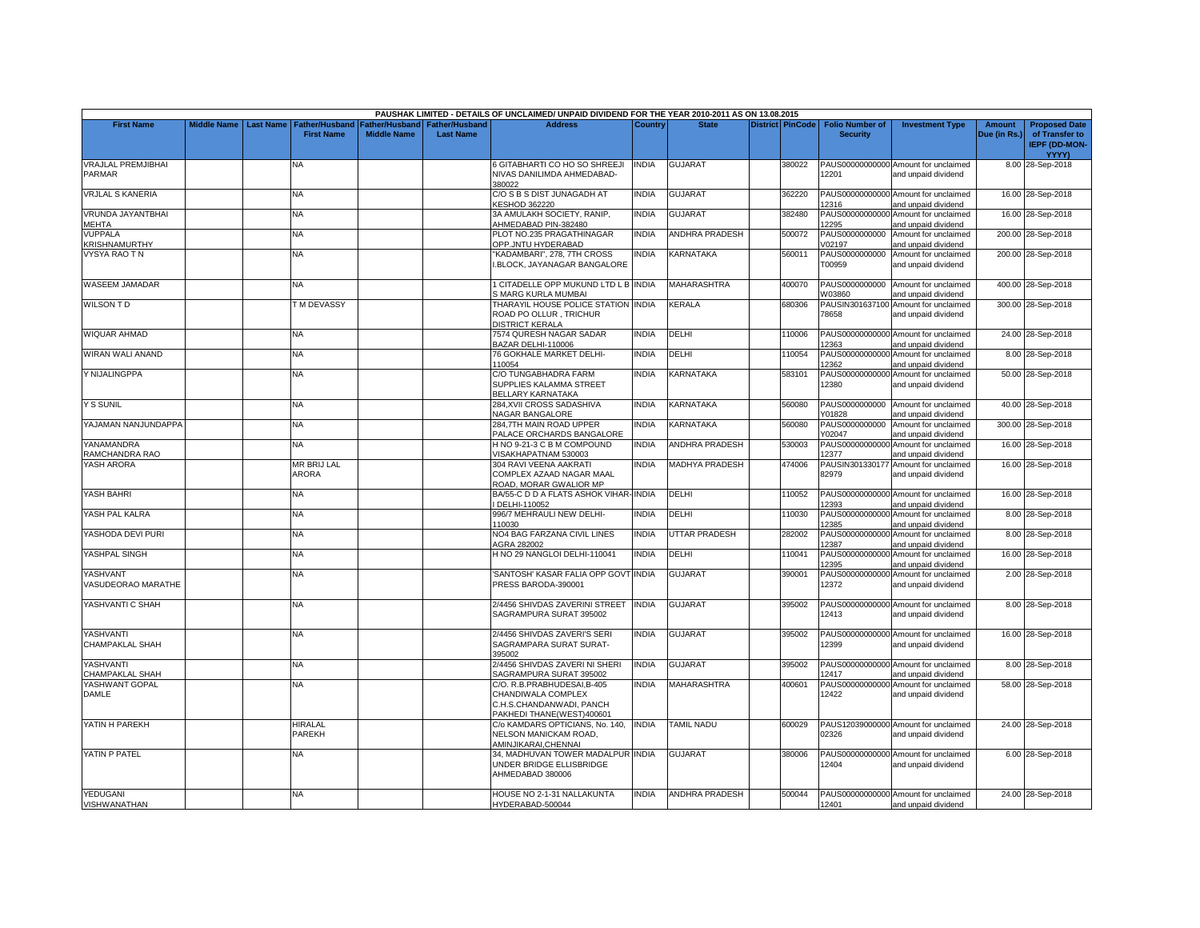|                                        |                    |                  |                                            |                                      |                                           | PAUSHAK LIMITED - DETAILS OF UNCLAIMED/ UNPAID DIVIDEND FOR THE YEAR 2010-2011 AS ON 13.08.2015           |              |                       |                         |                                           |                                                             |                               |                                                                                |
|----------------------------------------|--------------------|------------------|--------------------------------------------|--------------------------------------|-------------------------------------------|-----------------------------------------------------------------------------------------------------------|--------------|-----------------------|-------------------------|-------------------------------------------|-------------------------------------------------------------|-------------------------------|--------------------------------------------------------------------------------|
| <b>First Name</b>                      | <b>Middle Name</b> | <b>Last Name</b> | <b>Father/Husband</b><br><b>First Name</b> | Father/Husband<br><b>Middle Name</b> | <b>Father/Husband</b><br><b>Last Name</b> | <b>Address</b>                                                                                            | Country      | <b>State</b>          | <b>District PinCode</b> | <b>Folio Number of</b><br><b>Security</b> | <b>Investment Type</b>                                      | <b>Amount</b><br>Due (in Rs.) | <b>Proposed Date</b><br>of Transfer to<br><b>IEPF (DD-MON-</b><br><b>YYYY)</b> |
| <b>VRAJLAL PREMJIBHAI</b><br>PARMAR    |                    |                  | NA                                         |                                      |                                           | S GITABHARTI CO HO SO SHREEJI<br>NIVAS DANILIMDA AHMEDABAD-<br>380022                                     | <b>INDIA</b> | <b>GUJARAT</b>        | 380022                  | 12201                                     | PAUS00000000000 Amount for unclaimed<br>and unpaid dividend |                               | 8.00 28-Sep-2018                                                               |
| <b>VRJLAL S KANERIA</b>                |                    |                  | NA                                         |                                      |                                           | C/O S B S DIST JUNAGADH AT<br><b>KESHOD 362220</b>                                                        | <b>INDIA</b> | <b>GUJARAT</b>        | 362220                  | 12316                                     | PAUS00000000000 Amount for unclaimed<br>and unpaid dividend |                               | 16.00 28-Sep-2018                                                              |
| VRUNDA JAYANTBHAI<br>MEHTA             |                    |                  | NA                                         |                                      |                                           | 3A AMULAKH SOCIETY, RANIP,<br>AHMEDABAD PIN-382480                                                        | INDIA        | <b>GUJARAT</b>        | 382480                  | PAUS00000000000<br>12295                  | Amount for unclaimed<br>and unpaid dividend                 |                               | 16.00 28-Sep-2018                                                              |
| <b>VUPPALA</b><br>KRISHNAMURTHY        |                    |                  | <b>NA</b>                                  |                                      |                                           | PLOT NO.235 PRAGATHINAGAR<br>OPP.JNTU HYDERABAD                                                           | <b>INDIA</b> | <b>ANDHRA PRADESH</b> | 500072                  | PAUS0000000000<br>/02197                  | Amount for unclaimed<br>and unpaid dividend                 |                               | 200.00 28-Sep-2018                                                             |
| <b>VYSYA RAO TN</b>                    |                    |                  | NA                                         |                                      |                                           | 'KADAMBARI", 278, 7TH CROSS<br>.BLOCK, JAYANAGAR BANGALORE                                                | <b>INDIA</b> | KARNATAKA             | 560011                  | PAUS0000000000<br>T00959                  | Amount for unclaimed<br>and unpaid dividend                 |                               | 200.00 28-Sep-2018                                                             |
| WASEEM JAMADAR                         |                    |                  | <b>NA</b>                                  |                                      |                                           | I CITADELLE OPP MUKUND LTD L B INDIA<br>S MARG KURLA MUMBAI                                               |              | <b>MAHARASHTRA</b>    | 400070                  | PAUS0000000000<br>W03860                  | Amount for unclaimed<br>and unpaid dividend                 |                               | 400.00 28-Sep-2018                                                             |
| <b>WILSON TD</b>                       |                    |                  | <b>TM DEVASSY</b>                          |                                      |                                           | THARAYIL HOUSE POLICE STATION INDIA<br>ROAD PO OLLUR, TRICHUR<br><b>DISTRICT KERALA</b>                   |              | <b>KERALA</b>         | 680306                  | 78658                                     | PAUSIN301637100 Amount for unclaimed<br>and unpaid dividend |                               | 300.00 28-Sep-2018                                                             |
| WIQUAR AHMAD                           |                    |                  | NA                                         |                                      |                                           | 7574 QURESH NAGAR SADAR<br>BAZAR DELHI-110006                                                             | <b>INDIA</b> | DELHI                 | 110006                  | 12363                                     | PAUS00000000000 Amount for unclaimed<br>and unpaid dividend |                               | 24.00 28-Sep-2018                                                              |
| WIRAN WALI ANAND                       |                    |                  | <b>NA</b>                                  |                                      |                                           | 76 GOKHALE MARKET DELHI-<br>110054                                                                        | <b>INDIA</b> | DELHI                 | 110054                  | PAUS00000000000<br>12362                  | Amount for unclaimed<br>and unpaid dividend                 |                               | 8.00 28-Sep-2018                                                               |
| Y NIJALINGPPA                          |                    |                  | NA                                         |                                      |                                           | C/O TUNGABHADRA FARM<br>SUPPLIES KALAMMA STREET<br>BELLARY KARNATAKA                                      | <b>INDIA</b> | KARNATAKA             | 583101                  | 12380                                     | PAUS00000000000 Amount for unclaimed<br>and unpaid dividend |                               | 50.00 28-Sep-2018                                                              |
| <b>Y S SUNIL</b>                       |                    |                  | <b>NA</b>                                  |                                      |                                           | 284.XVII CROSS SADASHIVA<br>NAGAR BANGALORE                                                               | <b>INDIA</b> | KARNATAKA             | 560080                  | PAUS0000000000<br>Y01828                  | Amount for unclaimed<br>and unpaid dividend                 |                               | 40.00 28-Sep-2018                                                              |
| YAJAMAN NANJUNDAPPA                    |                    |                  | NA.                                        |                                      |                                           | 284.7TH MAIN ROAD UPPER<br>PALACE ORCHARDS BANGALORE                                                      | <b>INDIA</b> | KARNATAKA             | 560080                  | PAUS0000000000<br>Y02047                  | Amount for unclaimed<br>and unpaid dividend                 |                               | 300.00 28-Sep-2018                                                             |
| YANAMANDRA<br>RAMCHANDRA RAO           |                    |                  | <b>NA</b>                                  |                                      |                                           | H NO 9-21-3 C B M COMPOUND<br>VISAKHAPATNAM 530003                                                        | <b>INDIA</b> | <b>ANDHRA PRADESH</b> | 530003                  | PAUS00000000000<br>12377                  | Amount for unclaimed<br>and unpaid dividend                 |                               | 16.00 28-Sep-2018                                                              |
| YASH ARORA                             |                    |                  | MR BRIJ LAL<br>ARORA                       |                                      |                                           | 304 RAVI VEENA AAKRATI<br>COMPLEX AZAAD NAGAR MAAL<br>ROAD, MORAR GWALIOR MP                              | <b>INDIA</b> | <b>MADHYA PRADESH</b> | 474006                  | PAUSIN301330177<br>82979                  | Amount for unclaimed<br>and unpaid dividend                 |                               | 16.00 28-Sep-2018                                                              |
| YASH BAHRI                             |                    |                  | NA                                         |                                      |                                           | BA/55-C D D A FLATS ASHOK VIHAR-INDIA<br>DELHI-110052                                                     |              | DELHI                 | 110052                  | 12393                                     | PAUS00000000000 Amount for unclaimed<br>and unpaid dividend |                               | 16.00 28-Sep-2018                                                              |
| YASH PAL KALRA                         |                    |                  | NA                                         |                                      |                                           | 996/7 MEHRAULI NEW DELHI-<br>110030                                                                       | <b>INDIA</b> | DELHI                 | 110030                  | 12385                                     | PAUS00000000000 Amount for unclaimed<br>and unpaid dividend |                               | 8.00 28-Sep-2018                                                               |
| YASHODA DEVI PURI                      |                    |                  | NA                                         |                                      |                                           | <b>NO4 BAG FARZANA CIVIL LINES</b><br>AGRA 282002                                                         | <b>INDIA</b> | <b>JTTAR PRADESH</b>  | 282002                  | PAUS00000000000<br>12387                  | Amount for unclaimed<br>and unpaid dividend                 |                               | 8.00 28-Sep-2018                                                               |
| YASHPAL SINGH                          |                    |                  | NA                                         |                                      |                                           | H NO 29 NANGLOI DELHI-110041                                                                              | <b>INDIA</b> | DELHI                 | 110041                  | 12395                                     | PAUS00000000000 Amount for unclaimed<br>and unpaid dividend |                               | 16.00 28-Sep-2018                                                              |
| YASHVANT<br>VASUDEORAO MARATHE         |                    |                  | NA.                                        |                                      |                                           | SANTOSH' KASAR FALIA OPP GOVT INDIA<br>PRESS BARODA-390001                                                |              | <b>GUJARAT</b>        | 390001                  | PAUS00000000000<br>12372                  | Amount for unclaimed<br>and unpaid dividend                 |                               | 2.00 28-Sep-2018                                                               |
| YASHVANTI C SHAH                       |                    |                  | <b>NA</b>                                  |                                      |                                           | 2/4456 SHIVDAS ZAVERINI STREET<br>SAGRAMPURA SURAT 395002                                                 | <b>INDIA</b> | <b>GUJARAT</b>        | 395002                  | 12413                                     | PAUS00000000000 Amount for unclaimed<br>and unpaid dividend |                               | 8.00 28-Sep-2018                                                               |
| YASHVANTI<br><b>CHAMPAKLAL SHAH</b>    |                    |                  | NA.                                        |                                      |                                           | 2/4456 SHIVDAS ZAVERI'S SERI<br>SAGRAMPARA SURAT SURAT-<br>395002                                         | <b>INDIA</b> | <b>GUJARAT</b>        | 395002                  | 12399                                     | PAUS00000000000 Amount for unclaimed<br>and unpaid dividend |                               | 16.00 28-Sep-2018                                                              |
| YASHVANTI<br><b>CHAMPAKLAL SHAH</b>    |                    |                  | NA.                                        |                                      |                                           | 2/4456 SHIVDAS ZAVERI NI SHERI<br>SAGRAMPURA SURAT 395002                                                 | <b>INDIA</b> | <b>GUJARAT</b>        | 395002                  | 12417                                     | PAUS00000000000 Amount for unclaimed<br>and unpaid dividend |                               | 8.00 28-Sep-2018                                                               |
| YASHWANT GOPAL<br>DAMLE                |                    |                  | <b>NA</b>                                  |                                      |                                           | C/O. R.B.PRABHUDESAI.B-405<br>CHANDIWALA COMPLEX<br>C.H.S.CHANDANWADI, PANCH<br>PAKHEDI THANE(WEST)400601 | <b>INDIA</b> | <b>MAHARASHTRA</b>    | 400601                  | 12422                                     | PAUS00000000000 Amount for unclaimed<br>and unpaid dividend |                               | 58.00 28-Sep-2018                                                              |
| YATIN H PAREKH                         |                    |                  | <b>HIRALAL</b><br>PAREKH                   |                                      |                                           | C/o KAMDARS OPTICIANS, No. 140,<br>NELSON MANICKAM ROAD,<br>AMINJIKARAI.CHENNAI                           | <b>INDIA</b> | <b>TAMIL NADU</b>     | 600029                  | 02326                                     | PAUS12039000000 Amount for unclaimed<br>and unpaid dividend |                               | 24.00 28-Sep-2018                                                              |
| YATIN P PATEL                          |                    |                  | NA.                                        |                                      |                                           | 34, MADHUVAN TOWER MADALPUR INDIA<br>UNDER BRIDGE ELLISBRIDGE<br>AHMEDABAD 380006                         |              | <b>GUJARAT</b>        | 380006                  | 12404                                     | PAUS00000000000 Amount for unclaimed<br>and unpaid dividend |                               | 6.00 28-Sep-2018                                                               |
| <b>YEDUGANI</b><br><b>VISHWANATHAN</b> |                    |                  | <b>NA</b>                                  |                                      |                                           | HOUSE NO 2-1-31 NALLAKUNTA<br>HYDERABAD-500044                                                            | <b>INDIA</b> | ANDHRA PRADESH        | 500044                  | 12401                                     | PAUS00000000000 Amount for unclaimed<br>and unpaid dividend |                               | 24.00 28-Sep-2018                                                              |